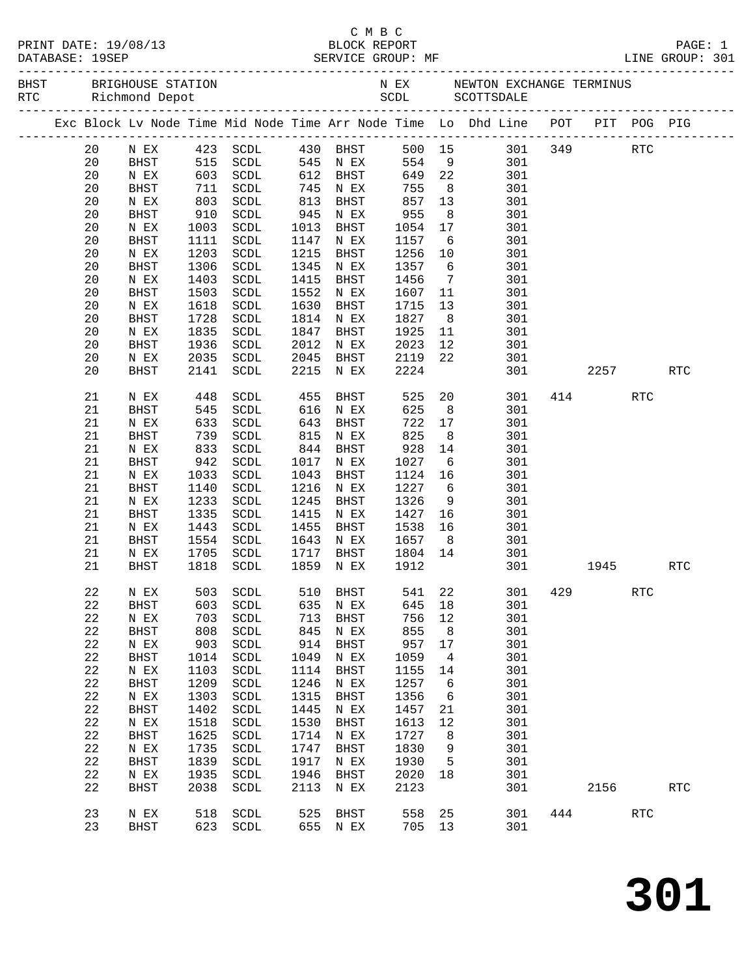|             |                                   |            |                                  |      | C M B C                           |                   |                 |                                                                                |     |         |                      | PAGE: 1<br>LINE GROUP: 301 |
|-------------|-----------------------------------|------------|----------------------------------|------|-----------------------------------|-------------------|-----------------|--------------------------------------------------------------------------------|-----|---------|----------------------|----------------------------|
|             |                                   |            |                                  |      |                                   |                   |                 |                                                                                |     |         |                      |                            |
|             |                                   |            |                                  |      |                                   |                   |                 | Exc Block Lv Node Time Mid Node Time Arr Node Time Lo Dhd Line POT PIT POG PIG |     |         |                      |                            |
| 20          | N EX                              |            | 423 SCDL 430 BHST                |      |                                   |                   |                 | 500 15 301                                                                     |     | 349 RTC |                      |                            |
| 20          | BHST                              |            | 515 SCDL                         |      | 545 N EX                          | 554               |                 | $9$ 301                                                                        |     |         |                      |                            |
| 20          | N EX                              |            | 603 SCDL                         |      | 612 BHST                          | 649 22            |                 | 301                                                                            |     |         |                      |                            |
| 20          | BHST                              |            | 711 SCDL<br>803 SCDL<br>910 SCDL |      | 745 N EX<br>813 BHST              | 755<br>857<br>955 | 8 <sup>8</sup>  | 301                                                                            |     |         |                      |                            |
| 20          | N EX                              |            |                                  |      |                                   |                   | 13              | 301                                                                            |     |         |                      |                            |
| 20          | <b>BHST</b>                       |            |                                  |      | 945 N EX                          |                   |                 | 8 <sup>1</sup><br>301                                                          |     |         |                      |                            |
| 20          | N EX                              | 1003       | SCDL                             | 1013 | BHST                              | 1054              | 17              | 301                                                                            |     |         |                      |                            |
| 20          | BHST                              | 1111       | SCDL                             | 1147 | N EX                              | 1157              | 6               | 301                                                                            |     |         |                      |                            |
| 20          | N EX                              | 1203       | SCDL                             | 1215 | BHST                              | 1256              | 10              | 301                                                                            |     |         |                      |                            |
| 20          | BHST                              | 1306       | SCDL                             | 1345 | N EX                              | 1357              |                 | $6\overline{6}$<br>301                                                         |     |         |                      |                            |
| 20          | N EX                              | 1403       | SCDL                             | 1415 | BHST                              | 1456              | $7\overline{ }$ | 301                                                                            |     |         |                      |                            |
| 20          | BHST                              | 1503       | SCDL                             | 1552 | N EX                              | 1607              | 11              | 301                                                                            |     |         |                      |                            |
| 20          | N EX                              | 1618       | SCDL                             | 1630 | BHST                              | 1715              | 13              | 301                                                                            |     |         |                      |                            |
| 20          | <b>BHST</b>                       | 1728       | SCDL                             |      | 1814 N EX                         | 1827              | 8 <sup>8</sup>  | 301                                                                            |     |         |                      |                            |
| 20          | N EX                              | 1835       | SCDL                             | 1847 | BHST                              | 1925              | 11              | 301                                                                            |     |         |                      |                            |
| 20          | BHST                              | 1936       | SCDL                             | 2012 | N EX                              | 2023              | 12              | 301                                                                            |     |         |                      |                            |
| 20          | N EX                              | 2035       | SCDL                             | 2045 | BHST                              | 2119              | 22              | 301                                                                            |     |         |                      |                            |
| 20          | <b>BHST</b>                       |            | 2141 SCDL                        |      | 2215 N EX                         | 2224              |                 | 301                                                                            |     | 2257    |                      | RTC                        |
| 21          | N EX                              | 448        | SCDL                             | 455  | BHST                              | 525               | 20 <sub>o</sub> | 301                                                                            |     | 414     | <b>RTC</b>           |                            |
| 21          | BHST                              |            | SCDL                             | 616  | N EX                              | 625               | 8 <sup>8</sup>  | 301                                                                            |     |         |                      |                            |
| 21          | N EX                              | 545<br>633 | SCDL                             | 643  | BHST                              | 722               | 17              | 301                                                                            |     |         |                      |                            |
| 21          | BHST                              | 739        | SCDL                             | 815  | N EX                              | 825               | 8 <sup>8</sup>  | 301                                                                            |     |         |                      |                            |
| 21          | N EX                              | 833        | SCDL                             | 844  | BHST                              | 928               | 14              | 301                                                                            |     |         |                      |                            |
| 21          | <b>BHST</b>                       | 942        | SCDL                             | 1017 | N EX                              | 1027              | 6               | 301                                                                            |     |         |                      |                            |
| 21          | N EX                              | 1033       | SCDL                             | 1043 | BHST                              | 1124              | 16              | 301                                                                            |     |         |                      |                            |
| 21          | BHST                              | 1140       | SCDL                             | 1216 | N EX                              | 1227              | $6\overline{6}$ | 301                                                                            |     |         |                      |                            |
| 21          | N EX                              | 1233       | SCDL                             | 1245 | BHST                              | 1326              | 9               | 301                                                                            |     |         |                      |                            |
| 21          | BHST                              | 1335       | SCDL                             | 1415 | N EX                              | 1427              | 16              | 301                                                                            |     |         |                      |                            |
| 21          | N EX                              | 1443       | SCDL                             | 1455 | BHST                              | 1538              |                 | 301                                                                            |     |         |                      |                            |
| 21          | BHST                              |            | 1554 SCDL                        | 1643 | N EX                              | 1657              |                 | $\begin{array}{c} 16 \\ 8 \end{array}$<br>301                                  |     |         |                      |                            |
| 21          | N EX                              | 1705       | SCDL                             | 1717 | BHST                              | 1804              | 14              | 301                                                                            |     |         |                      |                            |
| 21          | <b>BHST</b>                       | 1818       | SCDL                             | 1859 | N EX                              | 1912              |                 | 301                                                                            |     | 1945    |                      | <b>RTC</b>                 |
| 22          | N EX                              | 503        | $\operatorname{SCDL}$            | 510  | BHST                              | 541               | 22              | 301                                                                            | 429 |         | RTC                  |                            |
| 22          | <b>BHST</b>                       | 603        | $\operatorname{SCDL}$            | 635  | $\mathbb N$ $\mathbb E \mathbb X$ | 645               | 18              | 301                                                                            |     |         |                      |                            |
| 22          | N EX                              | 703        | $\operatorname{SCDL}$            | 713  | BHST                              | 756               | 12              | 301                                                                            |     |         |                      |                            |
| $2\sqrt{2}$ | <b>BHST</b>                       | 808        | $\operatorname{SCDL}$            | 845  | $N$ EX                            | 855               | 8               | 301                                                                            |     |         |                      |                            |
| 22          | N EX                              | 903        | $\operatorname{SCDL}$            | 914  | <b>BHST</b>                       | 957               | $17$            | 301                                                                            |     |         |                      |                            |
| $2\sqrt{2}$ | BHST                              | 1014       | SCDL                             | 1049 | N EX                              | 1059              | 4               | 301                                                                            |     |         |                      |                            |
| $2\sqrt{2}$ | N EX                              | 1103       | $\operatorname{SCDL}$            | 1114 | BHST                              | 1155              | 14              | 301                                                                            |     |         |                      |                            |
| $2\sqrt{2}$ | <b>BHST</b>                       | 1209       | $\operatorname{SCDL}$            | 1246 | N EX                              | 1257              | 6               | 301                                                                            |     |         |                      |                            |
| 22          | $\mathbb N$ $\mathbb E \mathbf X$ | 1303       | $\operatorname{SCDL}$            | 1315 | BHST                              | 1356              | 6               | 301                                                                            |     |         |                      |                            |
| 22          | BHST                              | 1402       | $\operatorname{SCDL}$            | 1445 | N EX                              | 1457              | 21              | 301                                                                            |     |         |                      |                            |
| $2\sqrt{2}$ | N EX                              | 1518       | $\operatorname{SCDL}$            | 1530 | BHST                              | 1613              | 12              | 301                                                                            |     |         |                      |                            |
| $2\sqrt{2}$ | <b>BHST</b>                       | 1625       | SCDL                             | 1714 | N EX                              | 1727              | 8               | 301                                                                            |     |         |                      |                            |
| 22          | $\mathbb N$ $\mathbb E \mathbb X$ | 1735       | SCDL                             | 1747 | BHST                              | 1830              | 9               | 301                                                                            |     |         |                      |                            |
| $2\sqrt{2}$ | BHST                              | 1839       | SCDL                             | 1917 | N EX                              | 1930              | 5               | 301                                                                            |     |         |                      |                            |
| 22          | N EX                              | 1935       | SCDL                             | 1946 | BHST                              | 2020              | 18              | 301                                                                            |     |         |                      |                            |
| 22          | <b>BHST</b>                       | 2038       | $\operatorname{SCDL}$            | 2113 | $\mathbb N$ $\mathbb E \mathbb X$ | 2123              |                 | 301                                                                            |     | 2156    |                      | $\operatorname{RTC}$       |
| 23          | N EX                              | 518        | $\operatorname{SCDL}$            | 525  | BHST                              | 558               | 25              | 301                                                                            | 444 |         | $\operatorname{RTC}$ |                            |
| 23          | BHST                              | 623        | $\operatorname{SCDL}$            | 655  | $\,$ N $\,$ EX $\,$               | 705               | 13              | 301                                                                            |     |         |                      |                            |

**301**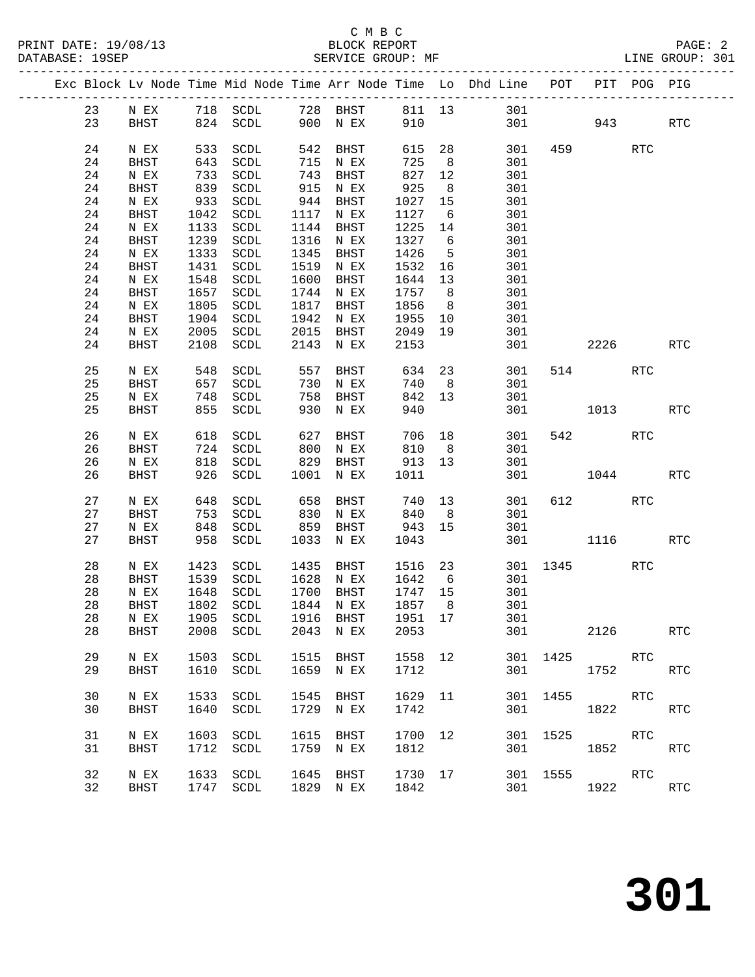|  |          |                     |              |                      |      |                                    |                    |                | Exc Block Lv Node Time Mid Node Time Arr Node Time Lo Dhd Line POT |          |              | PIT POG PIG |                      |
|--|----------|---------------------|--------------|----------------------|------|------------------------------------|--------------------|----------------|--------------------------------------------------------------------|----------|--------------|-------------|----------------------|
|  | 23       |                     |              |                      |      |                                    |                    |                |                                                                    |          |              |             |                      |
|  | 23       |                     |              |                      |      |                                    |                    |                | NEX 718 SCDL 728 BHST 811 13 301<br>BHST 824 SCDL 900 NEX 910 301  |          |              | 943         | RTC                  |
|  |          |                     |              |                      |      |                                    |                    |                |                                                                    |          |              |             |                      |
|  | 24       | N EX                |              | 533 SCDL             |      | 542 BHST<br>715 N EX<br>743 BHST   | 615 28             |                | 301                                                                |          | 459          | RTC         |                      |
|  | 24       | BHST                | 643<br>733   | SCDL                 |      |                                    | 725                | 8 <sup>8</sup> | 301                                                                |          |              |             |                      |
|  | 24       | N EX                |              | SCDL                 |      |                                    | 827 12             |                | 301                                                                |          |              |             |                      |
|  | 24       | BHST                | 839          | SCDL                 |      | 915 N EX                           | 925                | 8 <sup>8</sup> | 301                                                                |          |              |             |                      |
|  | 24       | N EX                | 933          | SCDL                 |      | 944 BHST                           | 1027 15            |                | 301                                                                |          |              |             |                      |
|  | 24<br>24 | BHST<br>N EX        | 1042<br>1133 | SCDL<br>SCDL         |      | 1117 N EX<br>1144 BHST             | 1127<br>1225 14    | 6              | 301<br>301                                                         |          |              |             |                      |
|  | 24       | BHST                | 1239         | SCDL                 |      | 1316 N EX                          | 1327               | 6              | 301                                                                |          |              |             |                      |
|  | 24       | $\,$ N $\,$ EX $\,$ | 1333         | SCDL                 |      | 1345 BHST                          | 1426               | $5^{\circ}$    | 301                                                                |          |              |             |                      |
|  | 24       | BHST                | 1431         | SCDL                 |      | 1519 N EX                          | 1532               | 16             | 301                                                                |          |              |             |                      |
|  | 24       | $\,$ N $\,$ EX $\,$ | 1548         | SCDL                 |      | 1600 BHST                          | 1644 13            |                | 301                                                                |          |              |             |                      |
|  | 24       | BHST                | 1657         | SCDL                 |      | 1744 N EX                          | 1757 8             |                | 301                                                                |          |              |             |                      |
|  | 24       | N EX                | 1805         | SCDL                 |      | 1817 BHST                          | 1856               | 8 <sup>8</sup> | 301                                                                |          |              |             |                      |
|  | 24       | BHST                | 1904         | SCDL                 |      | 1942 N EX                          | 1955 10<br>2049 19 | 10             | 301                                                                |          |              |             |                      |
|  | 24       | $\,$ N $\,$ EX $\,$ |              | 2005 SCDL            |      | 2015 BHST                          |                    |                | 301                                                                |          |              |             |                      |
|  | 24       | BHST                |              | 2108 SCDL            |      | 2143 N EX                          | 2153               |                |                                                                    | 301      | 2226         |             | RTC                  |
|  |          |                     |              |                      |      |                                    |                    |                |                                                                    |          |              |             |                      |
|  | 25       | N EX                |              | 548 SCDL<br>657 SCDL |      | 557 BHST<br>730 N EX<br>758 BHST   | 634 23<br>740 8    |                | 301                                                                |          | 514          | RTC         |                      |
|  | 25<br>25 | BHST<br>N EX        |              | SCDL<br>748 SCDL     |      | 758 BHST                           | 740 8<br>842 13    |                | 301<br>301                                                         |          |              |             |                      |
|  | 25       | BHST                |              | 855 SCDL             | 930  | N EX                               | 940                |                |                                                                    | 301 1013 |              |             | <b>RTC</b>           |
|  |          |                     |              |                      |      |                                    |                    |                |                                                                    |          |              |             |                      |
|  | 26       | N EX                |              | 618 SCDL             | 627  |                                    |                    |                | 706 18<br>301                                                      |          | 542          | RTC         |                      |
|  | 26       | BHST                |              | 724 SCDL             |      | BHST<br>N EX<br>800 N EX           | 810 8              |                | 301                                                                |          |              |             |                      |
|  | 26       | N EX                |              | 818 SCDL             |      | 829 BHST                           | 913 13             |                | 301                                                                |          |              |             |                      |
|  | 26       | BHST                |              | 926 SCDL             | 1001 | N EX                               | 1011               |                |                                                                    | 301 1044 |              |             | <b>RTC</b>           |
|  |          |                     |              |                      |      |                                    |                    |                |                                                                    |          |              |             |                      |
|  | 27       | N EX                | 648          | SCDL                 |      | 658 BHST                           |                    |                | 740 13<br>301                                                      |          | 612          | RTC         |                      |
|  | 27<br>27 | BHST<br>N EX        | 753<br>848   | SCDL<br>SCDL         |      | 830 N EX<br>859 BHST               | 840 8<br>943 15    |                | 301<br>301                                                         |          |              |             |                      |
|  | 27       | BHST                | 958          | SCDL                 | 1033 | N EX                               | 1043               |                |                                                                    | 301 000  | 1116         |             | RTC                  |
|  |          |                     |              |                      |      |                                    |                    |                |                                                                    |          |              |             |                      |
|  | 28       | N EX                |              | 1423 SCDL            |      | 1435 BHST 1516 23                  |                    |                |                                                                    | 301 1345 |              | <b>RTC</b>  |                      |
|  | 28       | BHST                | 1539         | SCDL                 |      | 1628 N EX                          | 1642 6             |                | 301                                                                |          |              |             |                      |
|  | 28       | N EX                | 1648         | SCDL                 |      | 1700 BHST                          | 1747 15            |                | 301                                                                |          |              |             |                      |
|  | 28       | BHST                |              | 1802 SCDL            |      | 1844 N EX                          | 1857 8             |                | 301                                                                |          |              |             |                      |
|  |          |                     |              |                      |      | 28 NEX 1905 SCDL 1916 BHST 1951 17 |                    |                | 301                                                                |          |              |             |                      |
|  | 28       | BHST                |              | 2008 SCDL            |      | 2043 N EX                          | 2053               |                | 301                                                                |          | 2126         |             | <b>RTC</b>           |
|  |          |                     |              |                      |      |                                    |                    |                |                                                                    |          |              |             |                      |
|  | 29<br>29 | N EX<br>BHST        | 1503<br>1610 | SCDL<br>SCDL         | 1659 | 1515 BHST<br>N EX                  | 1558 12<br>1712    |                | 301<br>301                                                         |          | 1425<br>1752 | RTC         | <b>RTC</b>           |
|  |          |                     |              |                      |      |                                    |                    |                |                                                                    |          |              |             |                      |
|  | 30       | N EX                | 1533         | SCDL                 | 1545 | BHST                               | 1629 11            |                | 301                                                                |          | 1455         | RTC         |                      |
|  | 30       | BHST                | 1640         | SCDL                 | 1729 | N EX                               | 1742               |                | 301                                                                |          | 1822         |             | RTC                  |
|  |          |                     |              |                      |      |                                    |                    |                |                                                                    |          |              |             |                      |
|  | 31       | N EX                | 1603         | SCDL                 | 1615 | BHST                               | 1700 12            |                | 301                                                                | 1525     |              | RTC         |                      |
|  | 31       | BHST                | 1712         | SCDL                 |      | 1759 N EX                          | 1812               |                | 301                                                                |          | 1852         |             | <b>RTC</b>           |
|  |          |                     |              |                      |      |                                    |                    |                |                                                                    |          |              |             |                      |
|  | 32       | N EX                | 1633         | SCDL                 | 1645 | BHST                               | 1730 17            |                | 301                                                                |          | 1555         | RTC         |                      |
|  | 32       | BHST                |              | 1747 SCDL            |      | 1829 N EX                          | 1842               |                | 301                                                                |          | 1922         |             | $\operatorname{RTC}$ |
|  |          |                     |              |                      |      |                                    |                    |                |                                                                    |          |              |             |                      |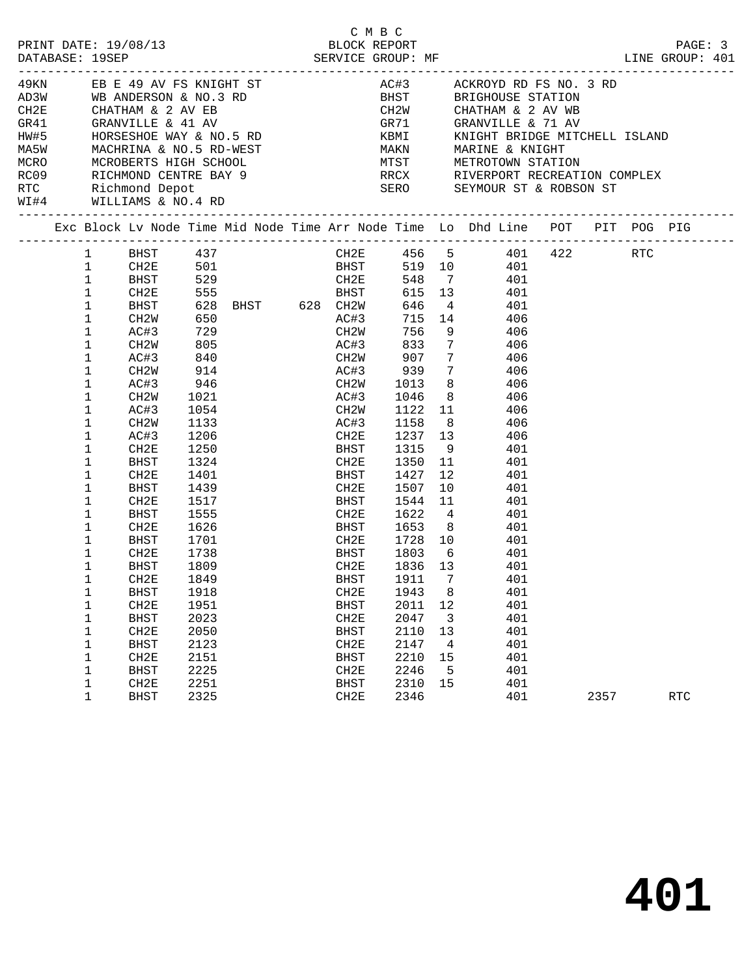| PRINT DATE: 19/08/13<br>DATABASE: 19SEP |                                                                                                                                                                                                                                          |                                                                                                                                                                                                                                       |                                                                                                             | O M B C<br>BLOCK REPORT<br>SERVICE GROUP: MF                          |                                                                                                   | C M B C                                                                                                                          |                                            |                                                                                                                                                                                                                                                                                                                                                                                                                                        |      | PAGE: 3<br>LINE GROUP: 401 |
|-----------------------------------------|------------------------------------------------------------------------------------------------------------------------------------------------------------------------------------------------------------------------------------------|---------------------------------------------------------------------------------------------------------------------------------------------------------------------------------------------------------------------------------------|-------------------------------------------------------------------------------------------------------------|-----------------------------------------------------------------------|---------------------------------------------------------------------------------------------------|----------------------------------------------------------------------------------------------------------------------------------|--------------------------------------------|----------------------------------------------------------------------------------------------------------------------------------------------------------------------------------------------------------------------------------------------------------------------------------------------------------------------------------------------------------------------------------------------------------------------------------------|------|----------------------------|
| ____________________________            |                                                                                                                                                                                                                                          |                                                                                                                                                                                                                                       |                                                                                                             |                                                                       |                                                                                                   |                                                                                                                                  |                                            |                                                                                                                                                                                                                                                                                                                                                                                                                                        |      |                            |
|                                         |                                                                                                                                                                                                                                          |                                                                                                                                                                                                                                       |                                                                                                             |                                                                       |                                                                                                   |                                                                                                                                  |                                            | Exc Block Lv Node Time Mid Node Time Arr Node Time Lo Dhd Line POT PIT POG PIG                                                                                                                                                                                                                                                                                                                                                         |      |                            |
|                                         | $1 \quad$<br>$\mathbf{1}$<br>$\mathbf{1}$<br>$\mathbf{1}$<br>$\mathbf 1$<br>$\mathbf 1$<br>1<br>1<br>1<br>$\mathbf 1$<br>1<br>$\mathbf 1$<br>1<br>$\mathbf 1$<br>1<br>$\mathbf 1$<br>1<br>1<br>1<br>1<br>1<br>1<br>1<br>1<br>1<br>1<br>1 | CH2E<br>BHST<br>CH2W<br>AC#3<br>CH2W<br>AC#3<br>CH2W<br>AC#3<br>CH <sub>2</sub> W<br>AC#3<br>CH2W<br>AC#3<br>CH2E<br><b>BHST</b><br>CH2E<br><b>BHST</b><br>CH2E<br><b>BHST</b><br>CH2E<br>BHST<br>CH2E<br>BHST<br>CH2E<br><b>BHST</b> | 805<br>1021<br>1250<br>1324<br>1401<br>1439<br>1517<br>1555<br>1626<br>1701<br>1738<br>1809<br>1849<br>1918 | $729$ CH2W<br>AC#3<br>1054<br>1133<br>1206<br><b>EXECUTE SHEAFERS</b> | CH2W<br>AC#3<br>CH2E<br>CH2E<br>BHST<br>CH2E<br>BHST<br>CH2E<br>CH <sub>2E</sub>                  | 756<br>1046<br>1122<br>1158<br>1237<br>1315<br>1350<br>1427<br>1507<br>1544<br>CH2E 1622 4<br>BHST 1653 8<br>BHST 1911 7<br>1943 | 8 <sup>1</sup><br>10<br>11<br>1836 13<br>8 | BHST 437 CH2E 456 5 401 422 RTC<br>CH2E 501 BHST 519 10 401<br>BHST 529 CH2E 548 7 401<br>555<br>528 BHST 628 CH2W 646 4 401<br>550 BHST 628 CH2W 646 4 401<br>550 AC#3 715 14 406<br>9 406<br>7 406<br>$\frac{7}{7}$<br>406<br>406<br>8 406<br>8 406<br>$11$<br>406<br>406<br>13 406<br>9<br>401<br>11<br>401<br>12<br>401<br>401<br>401<br>$4\overline{ }$<br>401<br>401<br>CH2E 1728 10 401<br>BHST 1803 6 401<br>401<br>401<br>401 |      |                            |
|                                         | 1<br>1<br>1<br>1<br>1<br>1<br>1                                                                                                                                                                                                          | CH2E<br><b>BHST</b><br>CH2E<br><b>BHST</b><br>CH2E<br><b>BHST</b><br>CH2E                                                                                                                                                             | 1951<br>2023<br>2050<br>2123<br>2151<br>2225<br>2251                                                        |                                                                       | <b>BHST</b><br>CH <sub>2E</sub><br><b>BHST</b><br>CH2E<br>BHST<br>CH <sub>2E</sub><br><b>BHST</b> | 2011<br>2047<br>2110<br>2147<br>2210<br>2246<br>2310                                                                             | 12<br>3<br>13<br>4<br>15<br>5<br>15        | 401<br>401<br>401<br>401<br>401<br>401<br>401                                                                                                                                                                                                                                                                                                                                                                                          |      |                            |
|                                         | $\mathbf 1$                                                                                                                                                                                                                              | <b>BHST</b>                                                                                                                                                                                                                           | 2325                                                                                                        |                                                                       | CH2E                                                                                              | 2346                                                                                                                             |                                            | 401                                                                                                                                                                                                                                                                                                                                                                                                                                    | 2357 | RTC                        |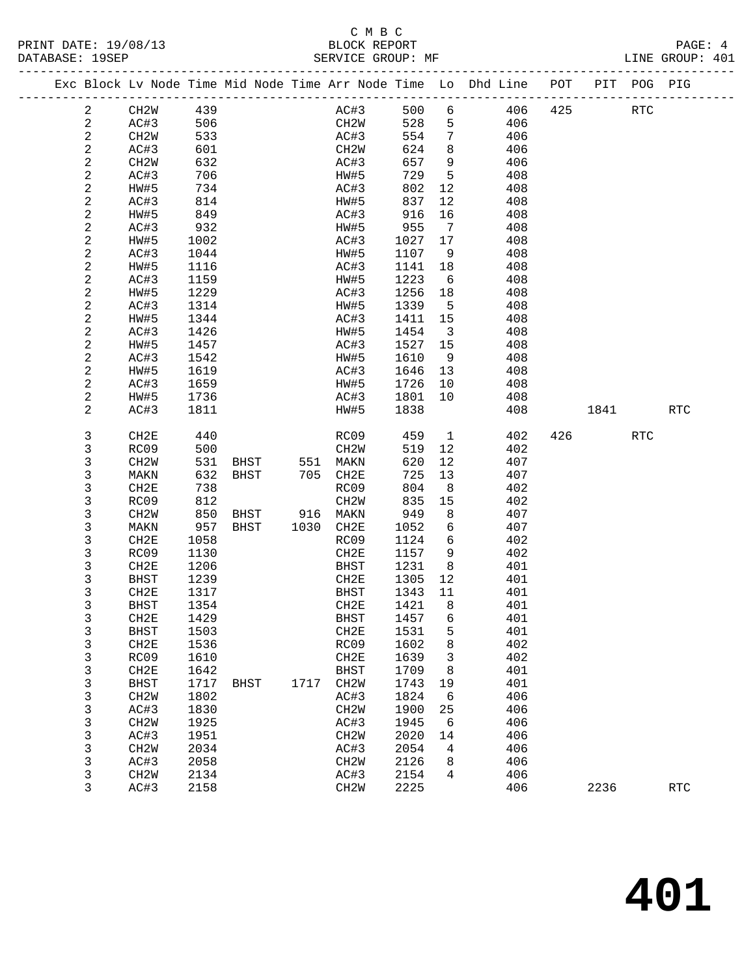|  |                 |                          |              |      |      |                   |              |         | Exc Block Lv Node Time Mid Node Time Arr Node Time Lo Dhd Line POT |     |      | PIT POG PIG |                      |
|--|-----------------|--------------------------|--------------|------|------|-------------------|--------------|---------|--------------------------------------------------------------------|-----|------|-------------|----------------------|
|  | $\overline{a}$  | CH2W                     | 439          |      |      | AC#3              | 500          | 6       | 406                                                                | 425 |      | <b>RTC</b>  |                      |
|  | 2               | AC#3                     | 506          |      |      | CH2W              | 528          | 5       | 406                                                                |     |      |             |                      |
|  | $\mathbf{2}$    | CH2W                     | 533          |      |      | AC#3              | 554          | 7       | 406                                                                |     |      |             |                      |
|  | 2               | AC#3                     | 601          |      |      | CH2W              | 624          | 8       | 406                                                                |     |      |             |                      |
|  | $\mathbf{2}$    | CH <sub>2</sub> W        | 632          |      |      | AC#3              | 657          | 9       | 406                                                                |     |      |             |                      |
|  | $\sqrt{2}$      | AC#3                     | 706          |      |      | HW#5              | 729          | 5       | 408                                                                |     |      |             |                      |
|  | $\sqrt{2}$      | HW#5                     | 734          |      |      | AC#3              | 802          | 12      | 408                                                                |     |      |             |                      |
|  | 2               | AC#3                     | 814          |      |      | HW#5              | 837          | 12      | 408                                                                |     |      |             |                      |
|  | $\sqrt{2}$      | HW#5                     | 849          |      |      | AC#3              | 916          | 16      | 408                                                                |     |      |             |                      |
|  | $\sqrt{2}$      | AC#3                     | 932          |      |      | HW#5              | 955          | 7       | 408                                                                |     |      |             |                      |
|  | $\sqrt{2}$      | HW#5                     | 1002         |      |      | AC#3              | 1027         | 17      | 408                                                                |     |      |             |                      |
|  | $\sqrt{2}$      | AC#3                     | 1044         |      |      | HW#5              | 1107         | 9       | 408                                                                |     |      |             |                      |
|  | $\sqrt{2}$      | HW#5                     | 1116         |      |      | AC#3              | 1141         | 18      | 408                                                                |     |      |             |                      |
|  | 2               | AC#3                     | 1159         |      |      | HW#5              | 1223         | 6       | 408                                                                |     |      |             |                      |
|  | $\sqrt{2}$      | HW#5                     | 1229         |      |      | AC#3              | 1256         | 18      | 408                                                                |     |      |             |                      |
|  | $\sqrt{2}$      | AC#3                     | 1314         |      |      | HW#5              | 1339         | 5       | 408                                                                |     |      |             |                      |
|  | $\sqrt{2}$      | HW#5                     | 1344         |      |      | AC#3              | 1411         | 15      | 408                                                                |     |      |             |                      |
|  | 2<br>$\sqrt{2}$ | AC#3                     | 1426         |      |      | HW#5              | 1454         | 3<br>15 | 408<br>408                                                         |     |      |             |                      |
|  | $\sqrt{2}$      | HW#5<br>AC#3             | 1457<br>1542 |      |      | AC#3<br>HW#5      | 1527<br>1610 | - 9     | 408                                                                |     |      |             |                      |
|  | 2               | HW#5                     | 1619         |      |      | AC#3              | 1646         | 13      | 408                                                                |     |      |             |                      |
|  | $\sqrt{2}$      | AC#3                     | 1659         |      |      | HW#5              | 1726         | 10      | 408                                                                |     |      |             |                      |
|  | $\sqrt{2}$      | HW#5                     | 1736         |      |      | AC#3              | 1801         | 10      | 408                                                                |     |      |             |                      |
|  | 2               | AC#3                     | 1811         |      |      | HW#5              | 1838         |         | 408                                                                |     | 1841 |             | $\operatorname{RTC}$ |
|  |                 |                          |              |      |      |                   |              |         |                                                                    |     |      |             |                      |
|  | 3               | CH <sub>2E</sub>         | 440          |      |      | RC09              | 459          | 1       | 402                                                                | 426 |      | <b>RTC</b>  |                      |
|  | 3               | RC09                     | 500          |      |      | CH <sub>2</sub> M | 519          | 12      | 402                                                                |     |      |             |                      |
|  | 3               | CH <sub>2</sub> W        | 531          | BHST | 551  | MAKN              | 620          | 12      | 407                                                                |     |      |             |                      |
|  | 3               | MAKN                     | 632          | BHST | 705  | CH2E              | 725          | 13      | 407                                                                |     |      |             |                      |
|  | 3               | CH <sub>2E</sub>         | 738          |      |      | RC09              | 804          | 8       | 402                                                                |     |      |             |                      |
|  | 3               | RC09                     | 812          |      |      | CH <sub>2</sub> M | 835          | 15      | 402                                                                |     |      |             |                      |
|  | 3               | CH <sub>2</sub> W        | 850          | BHST | 916  | MAKN              | 949          | 8       | 407                                                                |     |      |             |                      |
|  | 3               | MAKN                     | 957          | BHST | 1030 | CH2E              | 1052         | 6       | 407                                                                |     |      |             |                      |
|  | 3<br>3          | CH2E                     | 1058         |      |      | RC09              | 1124         | 6<br>9  | 402<br>402                                                         |     |      |             |                      |
|  | 3               | RC09<br>CH <sub>2E</sub> | 1130<br>1206 |      |      | CH2E<br>BHST      | 1157<br>1231 | 8       | 401                                                                |     |      |             |                      |
|  | 3               | <b>BHST</b>              | 1239         |      |      | CH2E              | 1305         | 12      | 401                                                                |     |      |             |                      |
|  | 3               | CH2E                     | 1317         |      |      | <b>BHST</b>       | 1343         | 11      | 401                                                                |     |      |             |                      |
|  | 3               | <b>BHST</b>              | 1354         |      |      | CH2E              | 1421         | 8       | 401                                                                |     |      |             |                      |
|  | 3               | ${\tt CH2E}$             | 1429         |      |      | BHST              | 1457 6       |         | 401                                                                |     |      |             |                      |
|  | 3               | BHST                     | 1503         |      |      | CH2E              | 1531         | 5       | 401                                                                |     |      |             |                      |
|  | 3               | CH2E                     | 1536         |      |      | RC09              | 1602         | 8       | 402                                                                |     |      |             |                      |
|  | 3               | RC09                     | 1610         |      |      | CH2E              | 1639         | 3       | 402                                                                |     |      |             |                      |
|  | 3               | CH2E                     | 1642         |      |      | <b>BHST</b>       | 1709         | 8       | 401                                                                |     |      |             |                      |
|  | 3               | <b>BHST</b>              | 1717         | BHST | 1717 | CH2W              | 1743         | 19      | 401                                                                |     |      |             |                      |
|  | 3               | CH <sub>2</sub> W        | 1802         |      |      | AC#3              | 1824         | 6       | 406                                                                |     |      |             |                      |
|  | 3               | AC#3                     | 1830         |      |      | CH <sub>2</sub> M | 1900         | 25      | 406                                                                |     |      |             |                      |
|  | 3               | CH2W                     | 1925         |      |      | AC#3              | 1945         | 6       | 406                                                                |     |      |             |                      |
|  | 3               | AC#3                     | 1951         |      |      | CH <sub>2</sub> M | 2020         | 14      | 406                                                                |     |      |             |                      |
|  | 3               | CH <sub>2</sub> W        | 2034         |      |      | AC#3              | 2054         | 4       | 406                                                                |     |      |             |                      |
|  | 3               | AC#3                     | 2058         |      |      | CH <sub>2</sub> M | 2126         | 8       | 406                                                                |     |      |             |                      |
|  | 3               | CH <sub>2</sub> W        | 2134         |      |      | AC#3              | 2154         | 4       | 406                                                                |     |      |             |                      |
|  | 3               | AC#3                     | 2158         |      |      | CH2W              | 2225         |         | 406                                                                |     | 2236 |             | <b>RTC</b>           |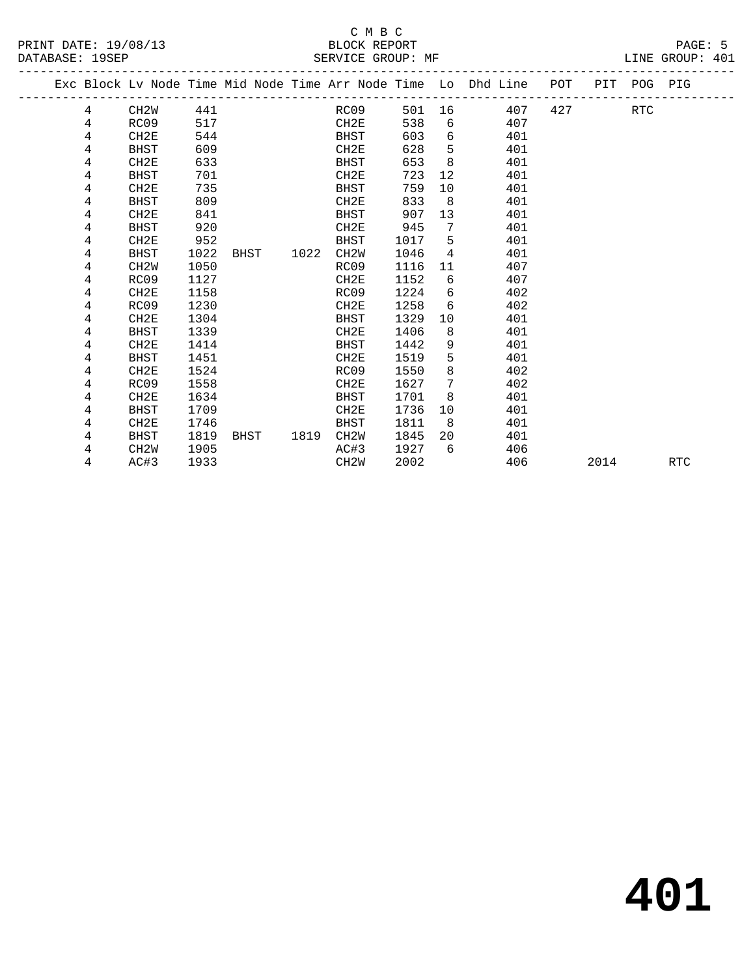|  |   |                   |      |      |      |                   |      |      |                   |        | Exc Block Lv Node Time Mid Node Time Arr Node Time Lo Dhd Line POT |     |      | PIT POG PIG |     |
|--|---|-------------------|------|------|------|-------------------|------|------|-------------------|--------|--------------------------------------------------------------------|-----|------|-------------|-----|
|  | 4 | CH2W              | 441  |      |      |                   | RC09 |      |                   | 501 16 | 407                                                                | 427 |      | RTC         |     |
|  | 4 | RC09              | 517  |      |      | CH2E              |      | 538  | 6                 |        | 407                                                                |     |      |             |     |
|  | 4 | CH2E              | 544  |      |      | BHST              |      | 603  | 6                 |        | 401                                                                |     |      |             |     |
|  | 4 | BHST              | 609  |      |      | CH2E              |      | 628  | 5                 |        | 401                                                                |     |      |             |     |
|  | 4 | CH2E              | 633  |      |      | BHST              |      | 653  | 8                 |        | 401                                                                |     |      |             |     |
|  | 4 | <b>BHST</b>       | 701  |      |      | CH2E              |      | 723  | $12 \overline{ }$ |        | 401                                                                |     |      |             |     |
|  | 4 | CH2E              | 735  |      |      | BHST              |      | 759  | 10                |        | 401                                                                |     |      |             |     |
|  | 4 | <b>BHST</b>       | 809  |      |      | CH2E              |      | 833  | 8 <sup>8</sup>    |        | 401                                                                |     |      |             |     |
|  | 4 | CH2E              | 841  |      |      | BHST              |      | 907  | 13                |        | 401                                                                |     |      |             |     |
|  | 4 | <b>BHST</b>       | 920  |      |      | CH2E              |      | 945  | 7                 |        | 401                                                                |     |      |             |     |
|  | 4 | CH2E              | 952  |      |      | <b>BHST</b>       |      | 1017 | 5                 |        | 401                                                                |     |      |             |     |
|  | 4 | <b>BHST</b>       | 1022 | BHST | 1022 | CH <sub>2</sub> W |      | 1046 | 4                 |        | 401                                                                |     |      |             |     |
|  | 4 | CH <sub>2</sub> M | 1050 |      |      | RC09              |      | 1116 | 11                |        | 407                                                                |     |      |             |     |
|  | 4 | RC09              | 1127 |      |      | CH2E              |      | 1152 | 6                 |        | 407                                                                |     |      |             |     |
|  | 4 | CH2E              | 1158 |      |      | RC09              |      | 1224 | 6                 |        | 402                                                                |     |      |             |     |
|  | 4 | RC09              | 1230 |      |      | CH2E              |      | 1258 | 6                 |        | 402                                                                |     |      |             |     |
|  | 4 | CH2E              | 1304 |      |      | BHST              |      | 1329 | 10                |        | 401                                                                |     |      |             |     |
|  | 4 | <b>BHST</b>       | 1339 |      |      | CH2E              |      | 1406 | 8                 |        | 401                                                                |     |      |             |     |
|  | 4 | CH <sub>2E</sub>  | 1414 |      |      | BHST              |      | 1442 | 9                 |        | 401                                                                |     |      |             |     |
|  | 4 | <b>BHST</b>       | 1451 |      |      | CH2E              |      | 1519 | 5                 |        | 401                                                                |     |      |             |     |
|  | 4 | CH2E              | 1524 |      |      | RC09              |      | 1550 | 8                 |        | 402                                                                |     |      |             |     |
|  | 4 | RC09              | 1558 |      |      | CH2E              |      | 1627 | 7                 |        | 402                                                                |     |      |             |     |
|  | 4 | CH <sub>2E</sub>  | 1634 |      |      | BHST              |      | 1701 | 8                 |        | 401                                                                |     |      |             |     |
|  | 4 | <b>BHST</b>       | 1709 |      |      | CH2E              |      | 1736 | 10                |        | 401                                                                |     |      |             |     |
|  | 4 | CH <sub>2E</sub>  | 1746 |      |      | BHST              |      | 1811 | 8                 |        | 401                                                                |     |      |             |     |
|  | 4 | BHST              | 1819 | BHST | 1819 | CH2W              |      | 1845 | 20                |        | 401                                                                |     |      |             |     |
|  | 4 | CH <sub>2</sub> W | 1905 |      |      | AC#3              |      | 1927 | 6                 |        | 406                                                                |     |      |             |     |
|  | 4 | AC#3              | 1933 |      |      | CH <sub>2</sub> W |      | 2002 |                   |        | 406                                                                |     | 2014 |             | RTC |
|  |   |                   |      |      |      |                   |      |      |                   |        |                                                                    |     |      |             |     |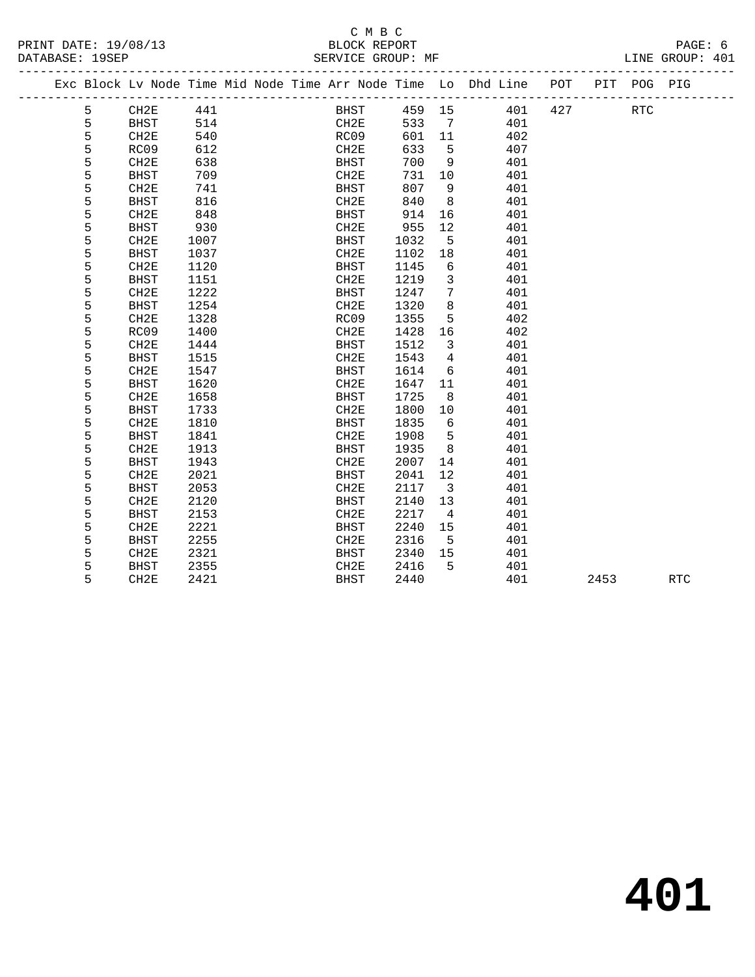|  |   |                  |      |  |                  |        |                | Exc Block Lv Node Time Mid Node Time Arr Node Time Lo Dhd Line POT<br>------------- <i>-</i> |     |      | PIT POG PIG |            |  |
|--|---|------------------|------|--|------------------|--------|----------------|----------------------------------------------------------------------------------------------|-----|------|-------------|------------|--|
|  | 5 | CH2E             | 441  |  | <b>BHST</b>      | 459 15 |                | 401                                                                                          | 427 |      | <b>RTC</b>  |            |  |
|  | 5 | <b>BHST</b>      | 514  |  | CH2E             | 533    | $\overline{7}$ | 401                                                                                          |     |      |             |            |  |
|  | 5 | CH2E             | 540  |  | RC09             | 601    | 11             | 402                                                                                          |     |      |             |            |  |
|  | 5 | RC09             | 612  |  | CH2E             | 633    | 5              | 407                                                                                          |     |      |             |            |  |
|  | 5 | CH2E             | 638  |  | BHST             | 700    | 9              | 401                                                                                          |     |      |             |            |  |
|  | 5 | <b>BHST</b>      | 709  |  | CH2E             | 731    | 10             | 401                                                                                          |     |      |             |            |  |
|  | 5 | CH2E             | 741  |  | <b>BHST</b>      | 807    | 9              | 401                                                                                          |     |      |             |            |  |
|  | 5 | <b>BHST</b>      | 816  |  | CH2E             | 840    | 8              | 401                                                                                          |     |      |             |            |  |
|  | 5 | CH2E             | 848  |  | <b>BHST</b>      | 914    | 16             | 401                                                                                          |     |      |             |            |  |
|  | 5 | <b>BHST</b>      | 930  |  | CH2E             | 955    | 12             | 401                                                                                          |     |      |             |            |  |
|  | 5 | CH2E             | 1007 |  | <b>BHST</b>      | 1032   | 5              | 401                                                                                          |     |      |             |            |  |
|  | 5 | <b>BHST</b>      | 1037 |  | CH <sub>2E</sub> | 1102   | 18             | 401                                                                                          |     |      |             |            |  |
|  | 5 | CH2E             | 1120 |  | <b>BHST</b>      | 1145   | 6              | 401                                                                                          |     |      |             |            |  |
|  | 5 | <b>BHST</b>      | 1151 |  | CH2E             | 1219   | 3              | 401                                                                                          |     |      |             |            |  |
|  | 5 | CH2E             | 1222 |  | <b>BHST</b>      | 1247   | 7              | 401                                                                                          |     |      |             |            |  |
|  | 5 | <b>BHST</b>      | 1254 |  | CH2E             | 1320   | 8              | 401                                                                                          |     |      |             |            |  |
|  | 5 | CH <sub>2E</sub> | 1328 |  | RC09             | 1355   | 5              | 402                                                                                          |     |      |             |            |  |
|  | 5 | RC09             | 1400 |  | CH2E             | 1428   | 16             | 402                                                                                          |     |      |             |            |  |
|  | 5 | CH <sub>2E</sub> | 1444 |  | <b>BHST</b>      | 1512   | 3              | 401                                                                                          |     |      |             |            |  |
|  | 5 | <b>BHST</b>      | 1515 |  | CH <sub>2E</sub> | 1543   | 4              | 401                                                                                          |     |      |             |            |  |
|  | 5 | CH2E             | 1547 |  | <b>BHST</b>      | 1614   | 6              | 401                                                                                          |     |      |             |            |  |
|  | 5 | <b>BHST</b>      | 1620 |  | CH2E             | 1647   | 11             | 401                                                                                          |     |      |             |            |  |
|  | 5 | CH2E             | 1658 |  | <b>BHST</b>      | 1725   | 8              | 401                                                                                          |     |      |             |            |  |
|  | 5 | <b>BHST</b>      | 1733 |  | CH2E             | 1800   | 10             | 401                                                                                          |     |      |             |            |  |
|  | 5 | CH2E             | 1810 |  | <b>BHST</b>      | 1835   | 6              | 401                                                                                          |     |      |             |            |  |
|  | 5 | <b>BHST</b>      | 1841 |  | CH2E             | 1908   | 5              | 401                                                                                          |     |      |             |            |  |
|  | 5 | CH2E             | 1913 |  | <b>BHST</b>      | 1935   | 8              | 401                                                                                          |     |      |             |            |  |
|  | 5 | <b>BHST</b>      | 1943 |  | CH <sub>2E</sub> | 2007   | 14             | 401                                                                                          |     |      |             |            |  |
|  | 5 | CH2E             | 2021 |  | <b>BHST</b>      | 2041   | 12             | 401                                                                                          |     |      |             |            |  |
|  | 5 | <b>BHST</b>      | 2053 |  | CH2E             | 2117   | $\overline{3}$ | 401                                                                                          |     |      |             |            |  |
|  | 5 | CH <sub>2E</sub> | 2120 |  | <b>BHST</b>      | 2140   | 13             | 401                                                                                          |     |      |             |            |  |
|  | 5 | <b>BHST</b>      | 2153 |  | CH2E             | 2217   | 4              | 401                                                                                          |     |      |             |            |  |
|  | 5 | CH2E             | 2221 |  | <b>BHST</b>      | 2240   | 15             | 401                                                                                          |     |      |             |            |  |
|  | 5 | <b>BHST</b>      | 2255 |  | CH2E             | 2316   | 5              | 401                                                                                          |     |      |             |            |  |
|  | 5 | CH <sub>2E</sub> | 2321 |  | <b>BHST</b>      | 2340   | 15             | 401                                                                                          |     |      |             |            |  |
|  | 5 | <b>BHST</b>      | 2355 |  | CH <sub>2E</sub> | 2416   | 5              | 401                                                                                          |     |      |             |            |  |
|  | 5 | CH2E             | 2421 |  | <b>BHST</b>      | 2440   |                | 401                                                                                          |     | 2453 |             | <b>RTC</b> |  |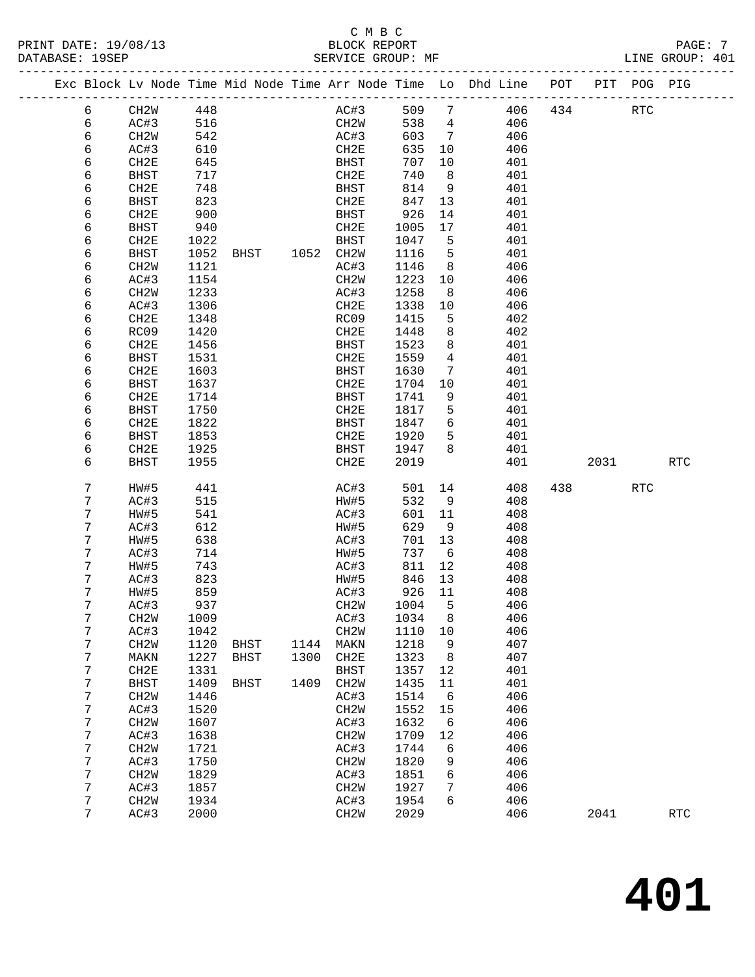#### C M B C<br>BLOCK REPORT PRINT DATE: 19/08/13 BLOCK REPORT PAGE: 7 SERVICE GROUP: MF

|  |        | Exc Block Lv Node Time Mid Node Time Arr Node Time Lo Dhd Line POT PIT POG PIG |              |             |                |                           |      |               |                 |            |         |      |            |            |
|--|--------|--------------------------------------------------------------------------------|--------------|-------------|----------------|---------------------------|------|---------------|-----------------|------------|---------|------|------------|------------|
|  | 6      | CH2W                                                                           | 448          |             |                |                           | AC#3 | 509           | $7\phantom{.0}$ |            | 406 434 |      | <b>RTC</b> |            |
|  | 6      | AC#3                                                                           | 516          |             |                | CH2W                      |      | 538 4         |                 | 406        |         |      |            |            |
|  | 6      | CH2W                                                                           | 542          |             |                | AC#3                      |      | 603           | $\overline{7}$  | 406        |         |      |            |            |
|  | 6      | AC#3                                                                           | 610          |             |                | CH2E                      |      | 635           | 10              | 406        |         |      |            |            |
|  | 6      | CH2E                                                                           | 645          |             |                | BHST                      |      | 707           | 10              | 401        |         |      |            |            |
|  | 6      | BHST                                                                           | 717          |             |                | CH2E                      |      | 740           | 8 <sup>8</sup>  | 401        |         |      |            |            |
|  | 6      | CH2E                                                                           | 748          |             |                | BHST                      |      | 814           | 9               | 401        |         |      |            |            |
|  | 6      | <b>BHST</b>                                                                    | 823          |             |                | CH2E                      |      | 847           | 13              | 401        |         |      |            |            |
|  | 6      | CH2E                                                                           | 900          |             |                | BHST                      |      | 926           | 14              | 401        |         |      |            |            |
|  | 6      | <b>BHST</b>                                                                    | 940          |             |                | CH2E                      |      | 1005          | 17              | 401        |         |      |            |            |
|  | 6      | CH2E                                                                           | 1022         |             |                | BHST                      |      | 1047          | 5               | 401        |         |      |            |            |
|  | 6      | BHST                                                                           | 1052         |             | BHST 1052 CH2W |                           |      | 1116          | 5               | 401        |         |      |            |            |
|  | 6      | CH <sub>2</sub> W                                                              | 1121         |             |                | AC#3                      |      | 1146          | 8 <sup>8</sup>  | 406        |         |      |            |            |
|  | 6      | AC#3                                                                           | 1154         |             |                | CH2W                      |      | 1223          | 10              | 406        |         |      |            |            |
|  | 6      | CH <sub>2</sub> W                                                              | 1233         |             |                | AC#3                      |      | 1258          | 8               | 406        |         |      |            |            |
|  | 6<br>6 | AC#3<br>CH2E                                                                   | 1306<br>1348 |             |                | CH2E<br>RC09              |      | 1338<br>1415  | 10<br>5         | 406<br>402 |         |      |            |            |
|  | 6      | RC09                                                                           | 1420         |             |                | CH2E                      |      | 1448          | 8               | 402        |         |      |            |            |
|  | 6      | CH2E                                                                           | 1456         |             |                | BHST                      |      | 1523          | 8               | 401        |         |      |            |            |
|  | 6      | <b>BHST</b>                                                                    | 1531         |             |                | CH2E                      |      | 1559          | $4\overline{ }$ | 401        |         |      |            |            |
|  | 6      | CH2E                                                                           | 1603         |             |                | BHST                      |      | 1630          | 7               | 401        |         |      |            |            |
|  | 6      | BHST                                                                           | 1637         |             |                | CH2E                      |      | 1704          | 10              | 401        |         |      |            |            |
|  | 6      | CH <sub>2E</sub>                                                               | 1714         |             |                | BHST                      |      | 1741          | 9               | 401        |         |      |            |            |
|  | 6      | <b>BHST</b>                                                                    | 1750         |             |                | CH2E                      |      | 1817          | 5               | 401        |         |      |            |            |
|  | 6      | CH2E                                                                           | 1822         |             |                | BHST                      |      | 1847          | 6               | 401        |         |      |            |            |
|  | 6      | <b>BHST</b>                                                                    | 1853         |             |                | CH2E                      |      | 1920          | 5               | 401        |         |      |            |            |
|  | 6      | CH2E                                                                           | 1925         |             |                | BHST                      |      | 1947          | 8               | 401        |         |      |            |            |
|  | 6      | BHST                                                                           | 1955         |             |                | CH2E                      |      | 2019          |                 | 401        |         | 2031 |            | RTC        |
|  | 7      | HW#5                                                                           | 441          |             |                | AC#3                      |      | 501 14        |                 | 408        | 438     |      | RTC        |            |
|  | 7      | AC#3                                                                           | 515          |             |                | HW#5                      |      | 532           | 9               | 408        |         |      |            |            |
|  | 7      | HW#5                                                                           | 541          |             |                | AC#3                      |      | 601           | 11              | 408        |         |      |            |            |
|  | 7      | AC#3                                                                           | 612          |             |                | HW#5                      |      | 629           | 9               | 408        |         |      |            |            |
|  | 7      | HW#5                                                                           | 638          |             |                | AC#3                      |      | 701           | 13              | 408        |         |      |            |            |
|  | 7      | AC#3                                                                           | 714          |             |                | HW#5                      |      | 737           | 6               | 408        |         |      |            |            |
|  | 7      | HW#5                                                                           | 743          |             |                | AC#3                      |      | 811           | 12              | 408        |         |      |            |            |
|  | 7      | AC#3                                                                           | 823          |             |                | HW#5                      |      | 846<br>926 11 | 13              | 408        |         |      |            |            |
|  | 7<br>7 | HW#5<br>AC#3                                                                   | 859<br>937   |             |                | AC#3<br>CH <sub>2</sub> W |      | 1004          | $-5$            | 408<br>406 |         |      |            |            |
|  | 7      | CH <sub>2</sub> W                                                              | 1009         |             |                | AC#3                      |      | 1034 8        |                 | 406        |         |      |            |            |
|  | 7      | AC#3                                                                           | 1042         |             |                | CH <sub>2</sub> W         |      | 1110          | 10              | 406        |         |      |            |            |
|  | 7      | CH2W                                                                           | 1120         | <b>BHST</b> | 1144           | MAKN                      |      | 1218          | 9               | 407        |         |      |            |            |
|  | 7      | MAKN                                                                           | 1227         | <b>BHST</b> | 1300           | CH2E                      |      | 1323          | 8               | 407        |         |      |            |            |
|  | 7      | CH2E                                                                           | 1331         |             |                | <b>BHST</b>               |      | 1357          | 12              | 401        |         |      |            |            |
|  | 7      | <b>BHST</b>                                                                    | 1409         | <b>BHST</b> | 1409           | CH2W                      |      | 1435          | 11              | 401        |         |      |            |            |
|  | 7      | CH2W                                                                           | 1446         |             |                | AC#3                      |      | 1514          | 6               | 406        |         |      |            |            |
|  | 7      | AC#3                                                                           | 1520         |             |                | CH2W                      |      | 1552          | 15              | 406        |         |      |            |            |
|  | 7      | CH <sub>2</sub> W                                                              | 1607         |             |                | AC#3                      |      | 1632          | 6               | 406        |         |      |            |            |
|  | 7      | AC#3                                                                           | 1638         |             |                | CH2W                      |      | 1709          | 12              | 406        |         |      |            |            |
|  | 7      | CH2W                                                                           | 1721         |             |                | AC#3                      |      | 1744          | 6               | 406        |         |      |            |            |
|  | 7      | AC#3                                                                           | 1750         |             |                | CH <sub>2</sub> M         |      | 1820          | 9               | 406        |         |      |            |            |
|  | 7      | CH <sub>2</sub> W                                                              | 1829         |             |                | AC#3                      |      | 1851          | 6               | 406        |         |      |            |            |
|  | 7      | AC#3                                                                           | 1857         |             |                | CH2W                      |      | 1927          | 7               | 406        |         |      |            |            |
|  | 7      | CH <sub>2</sub> W                                                              | 1934         |             |                | AC#3                      |      | 1954          | 6               | 406        |         |      |            |            |
|  | 7      | AC#3                                                                           | 2000         |             |                | CH2W                      |      | 2029          |                 | 406        |         | 2041 |            | <b>RTC</b> |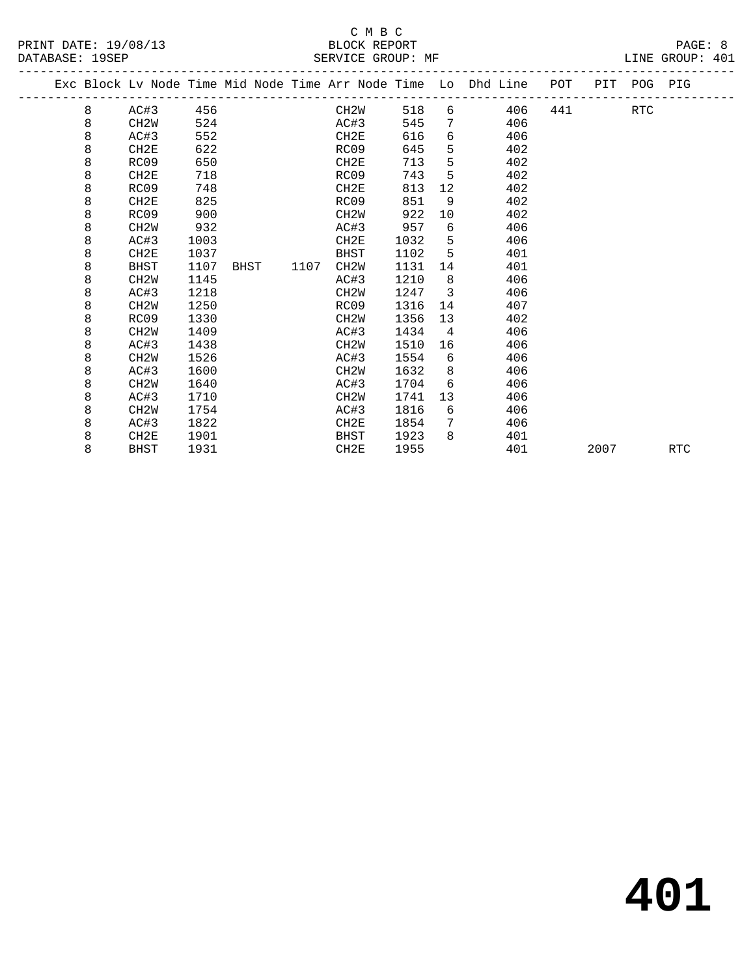|  |   |                   |      |      |      |                   |      |                   | Exc Block Lv Node Time Mid Node Time Arr Node Time Lo Dhd Line POT |     |      | PIT POG PIG |            |  |
|--|---|-------------------|------|------|------|-------------------|------|-------------------|--------------------------------------------------------------------|-----|------|-------------|------------|--|
|  | 8 | AC#3              | 456  |      |      | CH2W              | 518  |                   | 406<br>$6 \quad \sigma$                                            | 441 |      | <b>RTC</b>  |            |  |
|  | 8 | CH2W              | 524  |      |      | AC#3              | 545  | $7\overline{ }$   | 406                                                                |     |      |             |            |  |
|  | 8 | AC#3              | 552  |      |      | CH2E              | 616  | 6                 | 406                                                                |     |      |             |            |  |
|  | 8 | CH2E              | 622  |      |      | RC09              | 645  | 5                 | 402                                                                |     |      |             |            |  |
|  | 8 | RC09              | 650  |      |      | CH2E              | 713  | 5                 | 402                                                                |     |      |             |            |  |
|  | 8 | CH2E              | 718  |      |      | RC09              | 743  | 5                 | 402                                                                |     |      |             |            |  |
|  | 8 | RC09              | 748  |      |      | CH2E              | 813  | $12 \overline{ }$ | 402                                                                |     |      |             |            |  |
|  | 8 | CH2E              | 825  |      |      | RC09              | 851  | 9                 | 402                                                                |     |      |             |            |  |
|  | 8 | RC09              | 900  |      |      | CH <sub>2</sub> W | 922  | 10                | 402                                                                |     |      |             |            |  |
|  | 8 | CH <sub>2</sub> W | 932  |      |      | AC#3              | 957  | 6                 | 406                                                                |     |      |             |            |  |
|  | 8 | AC#3              | 1003 |      |      | CH2E              | 1032 | -5                | 406                                                                |     |      |             |            |  |
|  | 8 | CH2E              | 1037 |      |      | BHST              | 1102 | -5                | 401                                                                |     |      |             |            |  |
|  | 8 | BHST              | 1107 | BHST | 1107 | CH <sub>2</sub> W | 1131 | 14                | 401                                                                |     |      |             |            |  |
|  | 8 | CH <sub>2</sub> W | 1145 |      |      | AC#3              | 1210 | 8                 | 406                                                                |     |      |             |            |  |
|  | 8 | AC#3              | 1218 |      |      | CH2W              | 1247 | $\overline{3}$    | 406                                                                |     |      |             |            |  |
|  | 8 | CH <sub>2</sub> W | 1250 |      |      | RC09              | 1316 | 14                | 407                                                                |     |      |             |            |  |
|  | 8 | RC09              | 1330 |      |      | CH2W              | 1356 | 13                | 402                                                                |     |      |             |            |  |
|  | 8 | CH <sub>2</sub> W | 1409 |      |      | AC#3              | 1434 | $\overline{4}$    | 406                                                                |     |      |             |            |  |
|  | 8 | AC#3              | 1438 |      |      | CH2W              | 1510 | 16                | 406                                                                |     |      |             |            |  |
|  | 8 | CH <sub>2</sub> W | 1526 |      |      | AC#3              | 1554 | 6                 | 406                                                                |     |      |             |            |  |
|  | 8 | AC#3              | 1600 |      |      | CH <sub>2</sub> W | 1632 | 8                 | 406                                                                |     |      |             |            |  |
|  | 8 | CH <sub>2</sub> W | 1640 |      |      | AC#3              | 1704 | 6                 | 406                                                                |     |      |             |            |  |
|  | 8 | AC#3              | 1710 |      |      | CH2W              | 1741 | 13                | 406                                                                |     |      |             |            |  |
|  | 8 | CH <sub>2</sub> W | 1754 |      |      | AC#3              | 1816 | 6                 | 406                                                                |     |      |             |            |  |
|  | 8 | AC#3              | 1822 |      |      | CH2E              | 1854 | 7                 | 406                                                                |     |      |             |            |  |
|  | 8 | CH2E              | 1901 |      |      | <b>BHST</b>       | 1923 | 8                 | 401                                                                |     |      |             |            |  |
|  | 8 | <b>BHST</b>       | 1931 |      |      | CH2E              | 1955 |                   | 401                                                                |     | 2007 |             | <b>RTC</b> |  |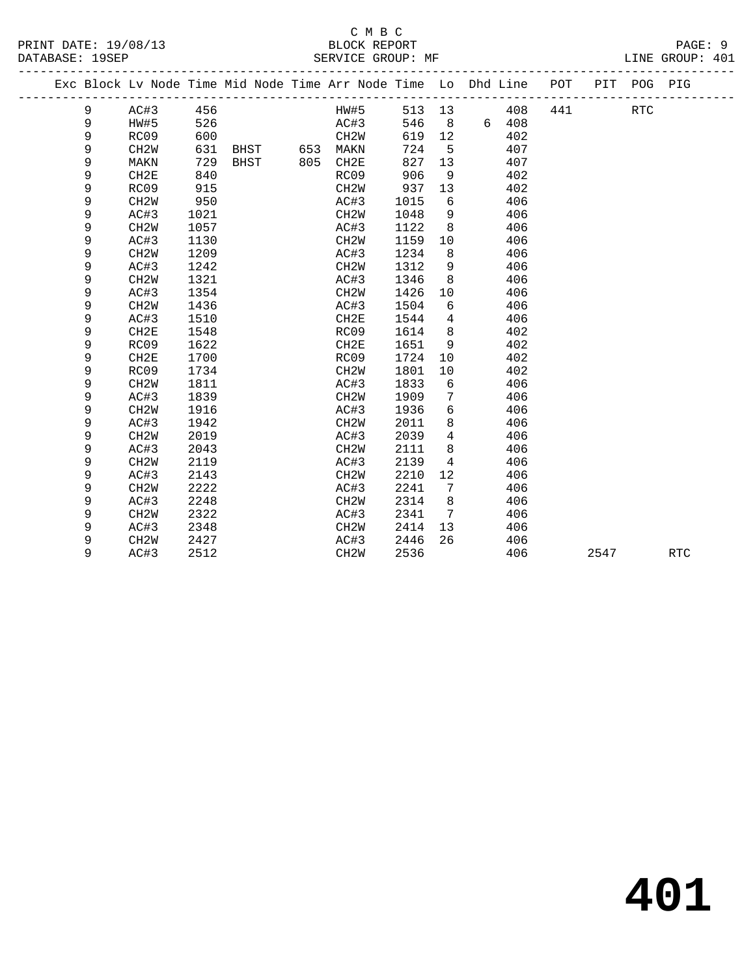#### C M B C<br>BLOCK REPORT PRINT DATE: 19/08/13 BLOCK REPORT PAGE: 9 SERVICE GROUP: MF

|  |   | Exc Block Lv Node Time Mid Node Time Arr Node Time Lo Dhd Line POT |      |      |          |                   |      |      |                 |        |         |         | PIT POG PIG |  |
|--|---|--------------------------------------------------------------------|------|------|----------|-------------------|------|------|-----------------|--------|---------|---------|-------------|--|
|  | 9 | AC#3                                                               | 456  |      |          |                   | HW#5 |      |                 | 513 13 | 408     | 441 RTC |             |  |
|  | 9 | HW#5                                                               | 526  |      |          |                   | AC#3 | 546  |                 |        | 8 6 408 |         |             |  |
|  | 9 | RC09                                                               | 600  |      |          | CH2W              |      | 619  | 12              |        | 402     |         |             |  |
|  | 9 | CH2W                                                               | 631  |      | BHST 653 | MAKN              |      | 724  | 5               |        | 407     |         |             |  |
|  | 9 | MAKN                                                               | 729  | BHST | 805      | CH2E              |      | 827  | 13              |        | 407     |         |             |  |
|  | 9 | CH2E                                                               | 840  |      |          | RC09              |      | 906  | 9               |        | 402     |         |             |  |
|  | 9 | RC09                                                               | 915  |      |          | CH2W              |      |      |                 | 937 13 | 402     |         |             |  |
|  | 9 | CH2W                                                               | 950  |      |          | AC#3              |      | 1015 | 6               |        | 406     |         |             |  |
|  | 9 | AC#3                                                               | 1021 |      |          | CH2W              |      | 1048 | 9               |        | 406     |         |             |  |
|  | 9 | CH <sub>2</sub> W                                                  | 1057 |      |          | AC#3              |      | 1122 | 8               |        | 406     |         |             |  |
|  | 9 | AC#3                                                               | 1130 |      |          | CH2W              |      | 1159 | 10              |        | 406     |         |             |  |
|  | 9 | CH <sub>2</sub> W                                                  | 1209 |      |          | AC#3              |      | 1234 | 8               |        | 406     |         |             |  |
|  | 9 | AC#3                                                               | 1242 |      |          | CH2W              |      | 1312 | 9               |        | 406     |         |             |  |
|  | 9 | CH <sub>2</sub> W                                                  | 1321 |      |          | AC#3              |      | 1346 | 8               |        | 406     |         |             |  |
|  | 9 | AC#3                                                               | 1354 |      |          | CH2W              |      | 1426 | 10              |        | 406     |         |             |  |
|  | 9 | CH <sub>2</sub> W                                                  | 1436 |      |          | AC#3              |      | 1504 | 6               |        | 406     |         |             |  |
|  | 9 | AC#3                                                               | 1510 |      |          | CH2E              |      | 1544 | 4               |        | 406     |         |             |  |
|  | 9 | CH2E                                                               | 1548 |      |          | RC09              |      | 1614 | 8               |        | 402     |         |             |  |
|  | 9 | RC09                                                               | 1622 |      |          | CH2E              |      | 1651 | 9               |        | 402     |         |             |  |
|  | 9 | CH2E                                                               | 1700 |      |          | RC09              |      | 1724 | 10              |        | 402     |         |             |  |
|  | 9 | RC09                                                               | 1734 |      |          | CH <sub>2</sub> W |      | 1801 | 10 <sup>°</sup> |        | 402     |         |             |  |
|  | 9 | CH <sub>2</sub> W                                                  | 1811 |      |          | AC#3              |      | 1833 | 6               |        | 406     |         |             |  |
|  | 9 | AC#3                                                               | 1839 |      |          | CH2W              |      | 1909 | $7\phantom{.0}$ |        | 406     |         |             |  |
|  | 9 | CH <sub>2</sub> W                                                  | 1916 |      |          | AC#3              |      | 1936 | 6               |        | 406     |         |             |  |
|  | 9 | AC#3                                                               | 1942 |      |          | CH2W              |      | 2011 | 8               |        | 406     |         |             |  |
|  | 9 | CH2W                                                               | 2019 |      |          | AC#3              |      | 2039 | 4               |        | 406     |         |             |  |
|  | 9 | AC#3                                                               | 2043 |      |          | CH <sub>2</sub> W |      | 2111 | 8               |        | 406     |         |             |  |
|  | 9 | CH2W                                                               | 2119 |      |          | AC#3              |      | 2139 | $\overline{4}$  |        | 406     |         |             |  |

 9 CH2W 2222 AC#3 2241 7 406 9 AC#3 2248 CH2W 2314 8 406 9 CH2W 2322 AC#3 2341 7 406 9 AC#3 2348 CH2W 2414 13 406 9 CH2W 2427 AC#3 2446 26 406

9 AC#3 2143 CH2W 2210 12 406<br>9 CH2W 2222 AC#3 2241 7 406

9 AC#3 2512 CH2W 2536 406 2547 RTC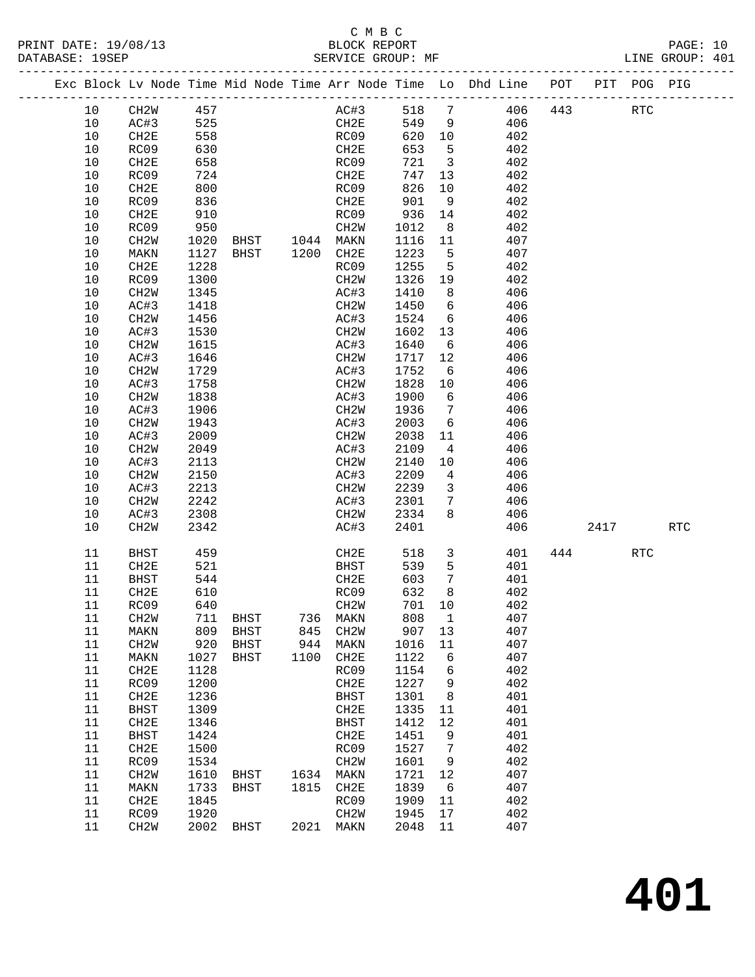#### C M B C<br>BLOCK REPORT SERVICE GROUP: MF

|    | Exc Block Lv Node Time Mid Node Time Arr Node Time Lo Dhd Line POT PIT POG PIG |      |          |             |      |                      |      |      |                         |       |           |     |      |                      |            |
|----|--------------------------------------------------------------------------------|------|----------|-------------|------|----------------------|------|------|-------------------------|-------|-----------|-----|------|----------------------|------------|
| 10 | CH2W                                                                           | 457  |          |             |      | AC#3                 |      |      |                         |       | 518 7 406 | 443 |      | $\operatorname{RTC}$ |            |
| 10 | AC#3                                                                           | 525  |          |             |      | CH2E                 |      | 549  | 9                       |       | 406       |     |      |                      |            |
| 10 | CH2E                                                                           | 558  |          |             |      | $Cn\angle E$<br>RC09 |      |      | 620 10                  |       | 402       |     |      |                      |            |
| 10 | RC09                                                                           | 630  |          |             |      | CH2E                 |      | 653  | $5^{\circ}$             |       | 402       |     |      |                      |            |
| 10 | CH2E                                                                           | 658  |          |             |      | RC09                 |      | 721  | $\overline{\mathbf{3}}$ |       | 402       |     |      |                      |            |
| 10 | RC09                                                                           | 724  |          |             |      | CH2E                 |      | 747  | 13                      |       | 402       |     |      |                      |            |
| 10 | CH2E                                                                           | 800  |          |             |      | RC09                 |      | 826  | 10                      |       | 402       |     |      |                      |            |
| 10 | RC09                                                                           | 836  |          |             |      | CH2E                 |      | 901  | 9                       |       | 402       |     |      |                      |            |
| 10 | CH2E                                                                           | 910  |          |             |      | RC09                 |      | 936  | 14                      |       | 402       |     |      |                      |            |
| 10 | RC09                                                                           | 950  |          |             |      | CH2W                 | 1012 |      | 8 <sup>8</sup>          |       | 402       |     |      |                      |            |
| 10 | CH2W                                                                           | 1020 |          | <b>BHST</b> |      | 1044 MAKN            | 1116 |      | 11                      |       | 407       |     |      |                      |            |
| 10 | MAKN                                                                           | 1127 | BHST     |             | 1200 | CH2E                 | 1223 |      | $5^{\circ}$             |       | 407       |     |      |                      |            |
| 10 | CH2E                                                                           | 1228 |          |             |      | RC09                 | 1255 |      | $5^{\circ}$             |       | 402       |     |      |                      |            |
| 10 | RC09                                                                           | 1300 |          |             |      | CH2W                 | 1326 |      | 19                      |       | 402       |     |      |                      |            |
| 10 | CH2W                                                                           | 1345 |          |             |      | AC#3                 | 1410 |      | 8 <sup>8</sup>          |       | 406       |     |      |                      |            |
| 10 | AC#3                                                                           | 1418 |          |             |      | CH <sub>2</sub> W    | 1450 |      | $6\overline{6}$         |       | 406       |     |      |                      |            |
| 10 | CH2W                                                                           | 1456 |          |             |      | AC#3                 | 1524 |      |                         | 6 406 |           |     |      |                      |            |
| 10 | AC#3                                                                           | 1530 |          |             |      | CH2W                 | 1602 |      | 13                      |       | 406       |     |      |                      |            |
| 10 | CH2W                                                                           | 1615 |          |             |      | AC#3                 | 1640 |      | $6\overline{6}$         |       | 406       |     |      |                      |            |
| 10 | AC#3                                                                           | 1646 |          |             |      | CH2W                 |      | 1717 | 12                      |       | 406       |     |      |                      |            |
| 10 | CH <sub>2</sub> W                                                              | 1729 |          |             |      | AC#3                 | 1752 |      | 6                       |       | 406       |     |      |                      |            |
| 10 | AC#3                                                                           | 1758 |          |             |      | CH2W                 | 1828 |      | 10                      |       | 406       |     |      |                      |            |
| 10 | CH2W                                                                           | 1838 |          |             |      | AC#3                 | 1900 |      | $6\overline{6}$         |       | 406       |     |      |                      |            |
| 10 | AC#3                                                                           | 1906 |          |             |      | CH <sub>2</sub> W    | 1936 |      | $7\overline{ }$         |       | 406       |     |      |                      |            |
| 10 | CH2W                                                                           | 1943 |          |             |      | AC#3                 | 2003 |      | 6                       | 406   |           |     |      |                      |            |
| 10 | AC#3                                                                           | 2009 |          |             |      | CH2W                 | 2038 |      | 11                      |       | 406       |     |      |                      |            |
| 10 | CH <sub>2</sub> W                                                              | 2049 |          |             |      | AC#3                 | 2109 |      | $4\overline{ }$         |       | 406       |     |      |                      |            |
| 10 | AC#3                                                                           | 2113 |          |             |      | CH2W                 |      | 2140 | 10                      |       | 406       |     |      |                      |            |
| 10 | CH2W                                                                           | 2150 |          |             |      | AC#3                 | 2209 |      | $\overline{4}$          |       | 406       |     |      |                      |            |
| 10 | AC#3                                                                           | 2213 |          |             |      | CH2W                 | 2239 |      | $\overline{\mathbf{3}}$ |       | 406       |     |      |                      |            |
| 10 | CH2W                                                                           | 2242 |          |             |      | AC#3                 | 2301 |      | $7\overline{ }$         |       | 406       |     |      |                      |            |
| 10 | AC#3                                                                           | 2308 |          |             |      | CH2W                 | 2334 |      | 8                       |       | 406       |     |      |                      |            |
| 10 | CH <sub>2</sub> M                                                              | 2342 |          |             |      | AC#3                 | 2401 |      |                         |       | 406       |     | 2417 |                      | <b>RTC</b> |
|    |                                                                                |      |          |             |      |                      |      |      |                         |       |           |     |      |                      |            |
| 11 | BHST                                                                           | 459  |          |             |      | CH2E                 |      | 518  | $\overline{\mathbf{3}}$ |       | 401       |     | 444  | <b>RTC</b>           |            |
| 11 | CH2E                                                                           | 521  |          |             |      | BHST                 |      | 539  | 5                       |       | 401       |     |      |                      |            |
| 11 | BHST                                                                           | 544  |          |             |      | CH2E                 |      | 603  | $7\phantom{0}$          |       | 401       |     |      |                      |            |
| 11 | CH2E                                                                           | 610  |          |             |      | RC09                 |      | 632  | 8                       |       | 402       |     |      |                      |            |
| 11 | RC09                                                                           | 640  |          |             |      | CH <sub>2</sub> W    |      | 701  | 10                      |       | 402       |     |      |                      |            |
|    | 11 CH2W                                                                        |      | 711 BHST |             |      | 736 MAKN             |      |      | 808 1                   |       | 407       |     |      |                      |            |
| 11 | MAKN                                                                           | 809  | BHST     |             | 845  | CH <sub>2</sub> M    |      | 907  | 13                      |       | 407       |     |      |                      |            |
| 11 | CH <sub>2</sub> M                                                              | 920  | BHST     |             | 944  | MAKN                 | 1016 |      | 11                      |       | 407       |     |      |                      |            |
| 11 | MAKN                                                                           | 1027 | BHST     |             | 1100 | CH2E                 | 1122 |      | 6                       |       | 407       |     |      |                      |            |
| 11 | CH2E                                                                           | 1128 |          |             |      | RC09                 | 1154 |      | 6                       |       | 402       |     |      |                      |            |
| 11 | RC09                                                                           | 1200 |          |             |      | CH2E                 | 1227 |      | 9                       |       | 402       |     |      |                      |            |
| 11 | CH2E                                                                           | 1236 |          |             |      | <b>BHST</b>          | 1301 |      | 8                       |       | 401       |     |      |                      |            |
| 11 | <b>BHST</b>                                                                    | 1309 |          |             |      | CH2E                 | 1335 |      | 11                      |       | 401       |     |      |                      |            |
| 11 | CH2E                                                                           | 1346 |          |             |      | <b>BHST</b>          | 1412 |      | 12                      |       | 401       |     |      |                      |            |
| 11 | <b>BHST</b>                                                                    | 1424 |          |             |      | CH2E                 | 1451 |      | 9                       |       | 401       |     |      |                      |            |
| 11 | CH2E                                                                           | 1500 |          |             |      | RC09                 | 1527 |      | 7                       |       | 402       |     |      |                      |            |
| 11 | RC09                                                                           | 1534 |          |             |      | CH <sub>2</sub> M    | 1601 |      | 9                       |       | 402       |     |      |                      |            |
| 11 | CH <sub>2</sub> W                                                              | 1610 | BHST     |             | 1634 | MAKN                 | 1721 |      | 12                      |       | 407       |     |      |                      |            |

 11 MAKN 1733 BHST 1815 CH2E 1839 6 407 11 CH2E 1845 RC09 1909 11 402 11 RC09 1920 CH2W 1945 17 402 11 CH2W 2002 BHST 2021 MAKN 2048 11 407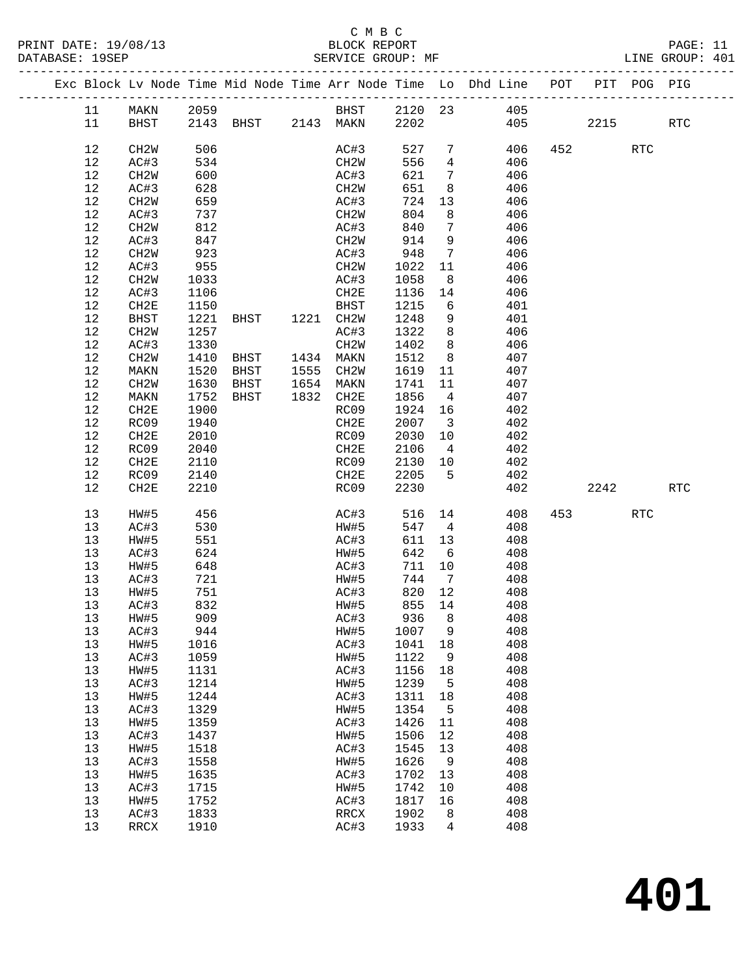PRINT DATE: 19/08/13 BLOCK REPORT BATABASE: 19SEP

## C M B C<br>BLOCK REPORT

PAGE: 11<br>LINE GROUP: 401

|  |      |                   |      |                     |      |                          |        |                         | Exc Block Lv Node Time Mid Node Time Arr Node Time Lo Dhd Line POT PIT POG PIG |     |                        |            |            |
|--|------|-------------------|------|---------------------|------|--------------------------|--------|-------------------------|--------------------------------------------------------------------------------|-----|------------------------|------------|------------|
|  | 11   | MAKN              | 2059 |                     |      | BHST                     |        |                         | 2120 23 405                                                                    |     |                        |            |            |
|  | 11   | BHST              |      | 2143 BHST 2143 MAKN |      |                          | 2202   |                         |                                                                                | 405 | 2215                   |            | RTC        |
|  |      |                   |      |                     |      |                          |        |                         |                                                                                |     |                        |            |            |
|  | 12   | CH2W              | 506  |                     |      | AC#3                     | 527    | $7\phantom{.0}$         | 406                                                                            | 452 |                        | <b>RTC</b> |            |
|  | 12   | AC#3              | 534  |                     |      | CH2W                     | 556    | $\overline{4}$          | 406                                                                            |     |                        |            |            |
|  | 12   | CH2W              | 600  |                     |      | AC#3                     | 621    | $7\phantom{.0}$         | 406                                                                            |     |                        |            |            |
|  | 12   | AC#3              | 628  |                     |      | CH2W                     | 651    | 8                       | 406                                                                            |     |                        |            |            |
|  | 12   | CH2W              | 659  |                     |      | AC#3                     | 724    | 13                      | 406                                                                            |     |                        |            |            |
|  | 12   | AC#3              | 737  |                     |      | CH2W                     | 804    | 8                       | 406                                                                            |     |                        |            |            |
|  | 12   | CH <sub>2</sub> W | 812  |                     |      | AC#3                     | 840    | $7\phantom{.0}$         | 406                                                                            |     |                        |            |            |
|  | 12   | AC#3              | 847  |                     |      | CH2W                     | 914    | 9                       | 406                                                                            |     |                        |            |            |
|  | 12   | CH2W              | 923  |                     |      | AC#3                     | 948    | $\overline{7}$          | 406                                                                            |     |                        |            |            |
|  | 12   | AC#3              | 955  |                     |      | CH2W                     | 1022   | 11                      | 406                                                                            |     |                        |            |            |
|  | 12   | CH2W              | 1033 |                     |      | AC#3                     | 1058   | 8                       | 406                                                                            |     |                        |            |            |
|  | 12   | AC#3              | 1106 |                     |      | CH2E                     | 1136   | 14                      | 406                                                                            |     |                        |            |            |
|  | 12   | CH2E              | 1150 |                     |      | BHST                     | 1215   | 6                       | 401                                                                            |     |                        |            |            |
|  | 12   | BHST              | 1221 | BHST                |      | 1221 CH2W                | 1248   | 9                       | 401                                                                            |     |                        |            |            |
|  | 12   | CH <sub>2</sub> W | 1257 |                     |      | AC#3                     | 1322   | 8                       | 406                                                                            |     |                        |            |            |
|  | 12   | AC#3              | 1330 |                     |      | CH <sub>2</sub> W        | 1402   | 8                       | 406                                                                            |     |                        |            |            |
|  | 12   | CH2W              | 1410 | BHST                |      | 1434 MAKN                | 1512   | 8 <sup>8</sup>          | 407                                                                            |     |                        |            |            |
|  | 12   | MAKN              | 1520 | BHST                | 1555 | CH2W                     | 1619   | 11                      | 407                                                                            |     |                        |            |            |
|  | 12   | CH <sub>2</sub> M | 1630 | BHST                | 1654 | MAKN                     | 1741   | 11                      | 407                                                                            |     |                        |            |            |
|  | $12$ | MAKN              | 1752 | BHST                |      | 1832 CH2E                | 1856   | $\overline{4}$          | 407                                                                            |     |                        |            |            |
|  | 12   | CH2E              | 1900 |                     |      | RC09                     | 1924   | 16                      | 402                                                                            |     |                        |            |            |
|  | 12   | RC09              | 1940 |                     |      | CH2E                     | 2007   | $\overline{\mathbf{3}}$ | 402                                                                            |     |                        |            |            |
|  | 12   | CH2E              | 2010 |                     |      | RC09                     | 2030   | 10                      | 402                                                                            |     |                        |            |            |
|  | $12$ | RC09              | 2040 |                     |      | CH2E                     | 2106   | 4                       | 402                                                                            |     |                        |            |            |
|  | 12   | CH2E              | 2110 |                     |      | RC09                     | 2130   | 10                      | 402                                                                            |     |                        |            |            |
|  | 12   | RC09              | 2140 |                     |      | CH2E                     | 2205   | $5^{\circ}$             | 402                                                                            |     |                        |            |            |
|  | 12   | CH2E              | 2210 |                     |      | RC09                     | 2230   |                         | 402                                                                            |     | 2242                   |            | <b>RTC</b> |
|  |      |                   |      |                     |      |                          |        |                         |                                                                                |     |                        |            |            |
|  | 13   | HW#5              | 456  |                     |      | AC#3                     | 516    | 14                      | 408                                                                            |     | 453 and $\overline{a}$ | <b>RTC</b> |            |
|  | 13   | AC#3              | 530  |                     |      | HW#5                     | 547    | $\overline{4}$          | 408                                                                            |     |                        |            |            |
|  | 13   | HW#5              | 551  |                     |      | AC#3                     | 611    | 13                      | 408                                                                            |     |                        |            |            |
|  | 13   | AC#3              | 624  |                     |      | HW#5                     | 642    | 6                       | 408                                                                            |     |                        |            |            |
|  | 13   | HW#5              | 648  |                     |      | AC#3                     | 711    | 10                      | 408                                                                            |     |                        |            |            |
|  | 13   | AC#3              | 721  |                     |      | HW#5                     | 744    | $\overline{7}$          | 408                                                                            |     |                        |            |            |
|  | 13   | HW#5              | 751  |                     |      | AC#3                     | 820 12 |                         | 408                                                                            |     |                        |            |            |
|  | 13   | AC#3              | 832  |                     |      | HW#5                     | 855    | 14                      | 408                                                                            |     |                        |            |            |
|  | 13   | HW#5              | 909  |                     |      | AC#3                     | 936 8  |                         | 408                                                                            |     |                        |            |            |
|  | 13   | AC#3              | 944  |                     |      | HW#5                     | 1007   | 9                       | 408                                                                            |     |                        |            |            |
|  | 13   | HW#5              | 1016 |                     |      | AC#3                     | 1041   | 18                      | 408                                                                            |     |                        |            |            |
|  | 13   | AC#3              | 1059 |                     |      | HW#5                     | 1122   | 9                       | 408                                                                            |     |                        |            |            |
|  | 13   | HW#5              | 1131 |                     |      | AC#3                     | 1156   | 18                      | 408                                                                            |     |                        |            |            |
|  | 13   | AC#3              | 1214 |                     |      | HW#5                     | 1239   | 5                       | 408                                                                            |     |                        |            |            |
|  | 13   | HW#5              | 1244 |                     |      | AC#3                     | 1311   | 18                      | 408                                                                            |     |                        |            |            |
|  | 13   | AC#3              | 1329 |                     |      | HW#5                     | 1354   | 5                       | 408                                                                            |     |                        |            |            |
|  | 13   | HW#5              | 1359 |                     |      | AC#3                     | 1426   | 11                      | 408                                                                            |     |                        |            |            |
|  | 13   | AC#3              | 1437 |                     |      | HW#5                     | 1506   | 12                      | 408                                                                            |     |                        |            |            |
|  | 13   | HW#5              | 1518 |                     |      | AC#3                     | 1545   | 13                      | 408                                                                            |     |                        |            |            |
|  | 13   | AC#3              | 1558 |                     |      | HW#5                     | 1626   | 9                       | 408                                                                            |     |                        |            |            |
|  | 13   | HW#5              | 1635 |                     |      | AC#3                     | 1702   | 13                      | 408                                                                            |     |                        |            |            |
|  | 13   | AC#3              | 1715 |                     |      | HW#5                     | 1742   | 10                      | 408                                                                            |     |                        |            |            |
|  | 13   | HW#5              | 1752 |                     |      | AC#3                     | 1817   | 16                      | 408                                                                            |     |                        |            |            |
|  | 13   | AC#3              | 1833 |                     |      | $\mathop{\mathrm{RRCX}}$ | 1902   | 8                       | 408                                                                            |     |                        |            |            |
|  | 13   | RRCX              | 1910 |                     |      | AC#3                     | 1933   | 4                       | 408                                                                            |     |                        |            |            |
|  |      |                   |      |                     |      |                          |        |                         |                                                                                |     |                        |            |            |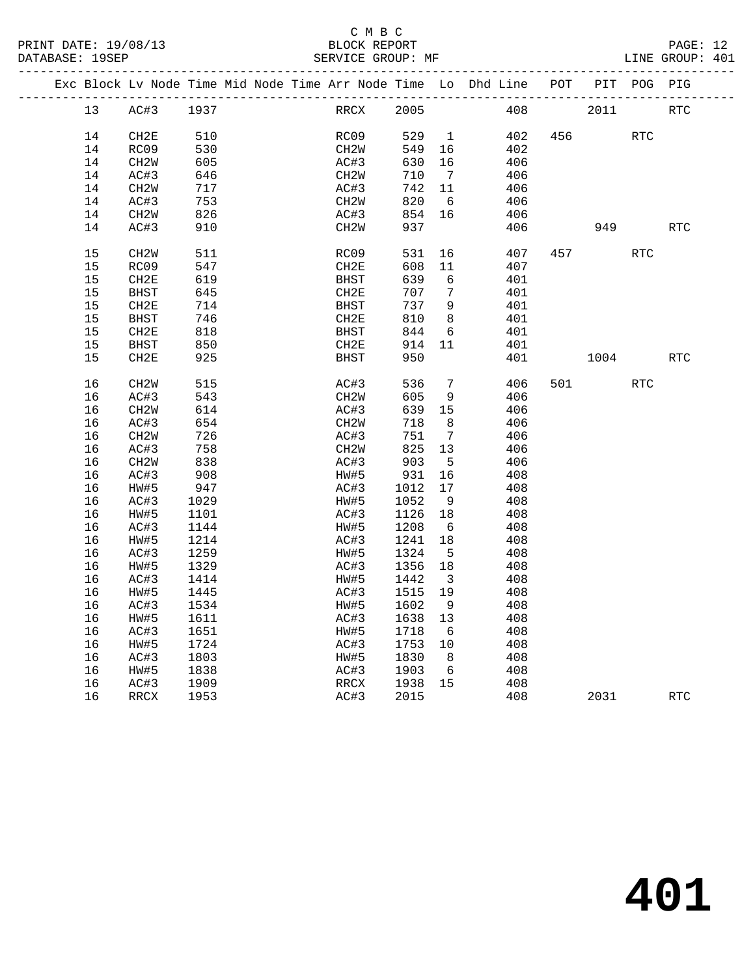PRINT DATE: 19/08/13 BLOCK REPORT BATABASE: 19SEP

## C M B C<br>BLOCK REPORT

PAGE: 12<br>LINE GROUP: 401

|  |          | Exc Block Lv Node Time Mid Node Time Arr Node Time Lo Dhd Line POT PIT POG PIG |              |  |              |      |              |                         |            |                        |            |                      |
|--|----------|--------------------------------------------------------------------------------|--------------|--|--------------|------|--------------|-------------------------|------------|------------------------|------------|----------------------|
|  | 13       | AC#3                                                                           | 1937         |  |              |      | RRCX 2005    |                         | 408        | 2011                   |            | <b>RTC</b>           |
|  | 14       | CH2E                                                                           | 510          |  |              | RC09 | 529 1        |                         | 402        | 456                    | <b>RTC</b> |                      |
|  | 14       | RC09                                                                           | 530          |  | CH2W         |      | 549          | 16                      | 402        |                        |            |                      |
|  | 14       | CH2W                                                                           | 605          |  | AC#3         |      | 630          | 16                      | 406        |                        |            |                      |
|  | 14       | AC#3                                                                           | 646          |  | CH2W         |      | 710          | $\overline{7}$          | 406        |                        |            |                      |
|  | 14       | CH2W                                                                           | 717          |  | AC#3         |      | 742          | 11                      | 406        |                        |            |                      |
|  | 14       | AC#3                                                                           | 753          |  | CH2W         |      | 820          | 6                       | 406        |                        |            |                      |
|  | 14       | CH2W                                                                           | 826          |  | AC#3         |      | 854 16       |                         | 406        |                        |            |                      |
|  | 14       | AC#3                                                                           | 910          |  | CH2W         |      | 937          |                         | 406        | 949                    |            | <b>RTC</b>           |
|  |          |                                                                                |              |  |              |      |              |                         |            |                        |            |                      |
|  | 15       | CH2W                                                                           | 511          |  | RC09         |      | 531          | 16                      | 407        | 457 and $\overline{a}$ | RTC        |                      |
|  | 15       | RC09                                                                           | 547          |  | CH2E         |      | 608          | 11                      | 407        |                        |            |                      |
|  | 15       | CH2E                                                                           | 619          |  | BHST         |      | 639          | 6                       | 401        |                        |            |                      |
|  | 15       | BHST                                                                           | 645          |  | CH2E         |      | 707          | $\overline{7}$          | 401        |                        |            |                      |
|  | 15       | CH2E                                                                           | 714          |  | <b>BHST</b>  |      | 737          | 9                       | 401        |                        |            |                      |
|  | 15       | BHST                                                                           | 746          |  | CH2E         |      | 810          | 8 <sup>8</sup>          | 401        |                        |            |                      |
|  | 15       | CH2E                                                                           | 818          |  | BHST         |      | 844          | 6                       | 401        |                        |            |                      |
|  | 15       | BHST                                                                           | 850          |  | CH2E         |      | 914          | 11                      | 401        |                        |            |                      |
|  | 15       | CH2E                                                                           | 925          |  | BHST         |      | 950          |                         | 401        | 1004                   |            | <b>RTC</b>           |
|  |          |                                                                                |              |  |              |      |              |                         |            |                        |            |                      |
|  | 16       | CH2W                                                                           | 515          |  | AC#3         |      | 536          | $\overline{7}$          | 406        | 501 700                | RTC        |                      |
|  | 16       | AC#3                                                                           | 543          |  | CH2W         |      | 605          | $\overline{9}$          | 406        |                        |            |                      |
|  | 16       | CH2W                                                                           | 614          |  | AC#3         |      | 639 15       |                         | 406        |                        |            |                      |
|  | 16<br>16 | AC#3                                                                           | 654<br>726   |  | CH2W<br>AC#3 |      | 718<br>751   | 8                       | 406        |                        |            |                      |
|  |          | CH2W                                                                           | 758          |  |              |      |              | $\overline{7}$          | 406        |                        |            |                      |
|  | 16       | AC#3                                                                           |              |  | CH2W         |      | 825          | 13                      | 406        |                        |            |                      |
|  | 16       | CH2W                                                                           | 838          |  | AC#3         |      | 903<br>931   | $5^{\circ}$             | 406<br>408 |                        |            |                      |
|  | 16<br>16 | AC#3<br>HW#5                                                                   | 908          |  | HW#5         |      |              | 16                      | 408        |                        |            |                      |
|  | 16       |                                                                                | 947          |  | AC#3         |      | 1012<br>1052 | 17                      | 408        |                        |            |                      |
|  | 16       | AC#3                                                                           | 1029<br>1101 |  | HW#5<br>AC#3 |      | 1126         | 9<br>18                 | 408        |                        |            |                      |
|  | 16       | HW#5                                                                           | 1144         |  | HW#5         |      | 1208         | $6\overline{6}$         | 408        |                        |            |                      |
|  | 16       | AC#3                                                                           |              |  |              |      | 1241         | 18                      |            |                        |            |                      |
|  | 16       | HW#5<br>AC#3                                                                   | 1214<br>1259 |  | AC#3<br>HW#5 |      | 1324         | $5^{\circ}$             | 408<br>408 |                        |            |                      |
|  | 16       |                                                                                | 1329         |  | AC#3         |      | 1356 18      |                         | 408        |                        |            |                      |
|  | 16       | HW#5                                                                           | 1414         |  | HW#5         |      | 1442         | $\overline{\mathbf{3}}$ | 408        |                        |            |                      |
|  | 16       | AC#3<br>HW#5                                                                   | 1445         |  | AC#3         |      | 1515 19      |                         | 408        |                        |            |                      |
|  | 16       | AC#3                                                                           | 1534         |  | HW#5         |      | 1602         | $\overline{9}$          | 408        |                        |            |                      |
|  |          |                                                                                |              |  |              |      | AC#3 1638 13 |                         |            |                        |            |                      |
|  |          | 16 HW#5 1611                                                                   |              |  |              |      |              |                         | 408<br>408 |                        |            |                      |
|  | 16<br>16 | AC#3                                                                           | 1651<br>1724 |  | HW#5<br>AC#3 |      | 1718<br>1753 | 6                       | 408        |                        |            |                      |
|  | 16       | HW#5                                                                           | 1803         |  |              |      | 1830         | 10<br>8                 | 408        |                        |            |                      |
|  | 16       | AC#3<br>HW#5                                                                   | 1838         |  | HW#5<br>AC#3 |      | 1903         | $6\overline{6}$         | 408        |                        |            |                      |
|  | 16       | AC#3                                                                           | 1909         |  | RRCX         |      | 1938         | 15                      | 408        |                        |            |                      |
|  | 16       | RRCX                                                                           | 1953         |  | AC#3         |      | 2015         |                         | 408        | 2031                   |            | $\operatorname{RTC}$ |
|  |          |                                                                                |              |  |              |      |              |                         |            |                        |            |                      |
|  |          |                                                                                |              |  |              |      |              |                         |            |                        |            |                      |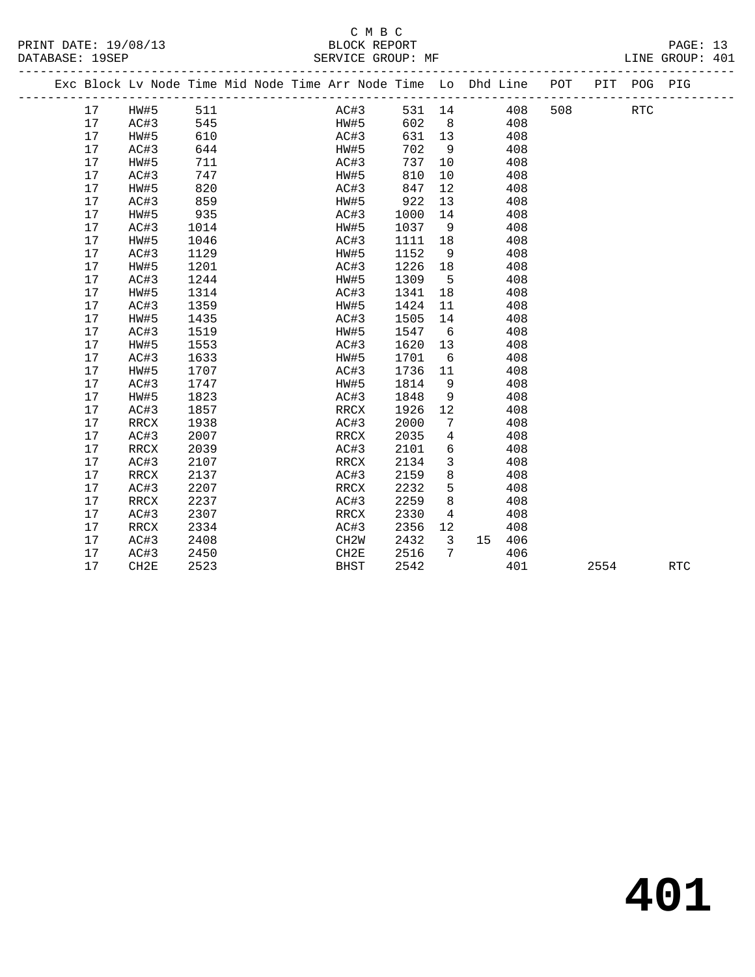## C M B C<br>BLOCK REPORT

PRINT DATE: 19/08/13 BLOCK REPORT<br>DATABASE: 19SEP SERVICE GROUP: MF

PAGE: 13<br>LINE GROUP: 401

|  |    | Exc Block Lv Node Time Mid Node Time Arr Node Time Lo Dhd Line POT |      |  |      |      |         |                         |        |        |     |      | PIT POG PIG |            |
|--|----|--------------------------------------------------------------------|------|--|------|------|---------|-------------------------|--------|--------|-----|------|-------------|------------|
|  | 17 | HW#5 511                                                           |      |  |      | AC#3 |         |                         | 531 14 | 408    | 508 |      | <b>RTC</b>  |            |
|  | 17 | AC#3                                                               | 545  |  |      | HW#5 | 602 8   |                         |        | 408    |     |      |             |            |
|  | 17 | HW#5                                                               | 610  |  |      | AC#3 | 631 13  |                         |        | 408    |     |      |             |            |
|  | 17 | AC#3                                                               | 644  |  | HW#5 |      | 702     | 9                       |        | 408    |     |      |             |            |
|  | 17 | HW#5                                                               | 711  |  | AC#3 |      | 737     | 10                      |        | 408    |     |      |             |            |
|  | 17 | AC#3                                                               | 747  |  | HW#5 |      | 810     | 10                      |        | 408    |     |      |             |            |
|  | 17 | HW#5                                                               | 820  |  | AC#3 |      | 847     | 12                      |        | 408    |     |      |             |            |
|  | 17 | AC#3                                                               | 859  |  | HW#5 |      | 922     | 13                      |        | 408    |     |      |             |            |
|  | 17 | HW#5                                                               | 935  |  | AC#3 |      | 1000    | 14                      |        | 408    |     |      |             |            |
|  | 17 | AC#3                                                               | 1014 |  | HW#5 |      | 1037    | - 9                     |        | 408    |     |      |             |            |
|  | 17 | HW#5                                                               | 1046 |  | AC#3 |      | 1111 18 |                         |        | 408    |     |      |             |            |
|  | 17 | AC#3                                                               | 1129 |  | HW#5 |      | 1152    | - 9                     |        | 408    |     |      |             |            |
|  | 17 | HW#5                                                               | 1201 |  | AC#3 |      | 1226 18 |                         |        | 408    |     |      |             |            |
|  | 17 | AC#3                                                               | 1244 |  | HW#5 |      | 1309    | $5^{\circ}$             |        | 408    |     |      |             |            |
|  | 17 | HW#5                                                               | 1314 |  | AC#3 |      | 1341    | 18                      |        | 408    |     |      |             |            |
|  | 17 | AC#3                                                               | 1359 |  | HW#5 |      | 1424    | 11                      |        | 408    |     |      |             |            |
|  | 17 | HW#5                                                               | 1435 |  | AC#3 |      | 1505    | 14                      |        | 408    |     |      |             |            |
|  | 17 | AC#3                                                               | 1519 |  | HW#5 |      | 1547    | 6                       |        | 408    |     |      |             |            |
|  | 17 | HW#5                                                               | 1553 |  | AC#3 |      | 1620    | 13                      |        | 408    |     |      |             |            |
|  | 17 | AC#3                                                               | 1633 |  | HW#5 |      | 1701    | 6                       |        | 408    |     |      |             |            |
|  | 17 | HW#5                                                               | 1707 |  | AC#3 |      | 1736    | 11                      |        | 408    |     |      |             |            |
|  | 17 | AC#3                                                               | 1747 |  | HW#5 |      | 1814    | 9                       |        | 408    |     |      |             |            |
|  | 17 | HW#5                                                               | 1823 |  | AC#3 |      | 1848    | 9                       |        | 408    |     |      |             |            |
|  | 17 | AC#3                                                               | 1857 |  | RRCX |      | 1926    | 12                      |        | 408    |     |      |             |            |
|  | 17 | RRCX                                                               | 1938 |  | AC#3 |      | 2000    | 7                       |        | 408    |     |      |             |            |
|  | 17 | AC#3                                                               | 2007 |  | RRCX |      | 2035    | $\overline{4}$          |        | 408    |     |      |             |            |
|  | 17 | RRCX                                                               | 2039 |  | AC#3 |      | 2101    | 6                       |        | 408    |     |      |             |            |
|  | 17 | AC#3                                                               | 2107 |  | RRCX |      | 2134    | $\overline{3}$          |        | 408    |     |      |             |            |
|  | 17 | RRCX                                                               | 2137 |  | AC#3 |      | 2159    | 8                       |        | 408    |     |      |             |            |
|  | 17 | AC#3                                                               | 2207 |  | RRCX |      | 2232    | 5                       |        | 408    |     |      |             |            |
|  | 17 | RRCX                                                               | 2237 |  | AC#3 |      | 2259    | 8                       |        | 408    |     |      |             |            |
|  | 17 | AC#3                                                               | 2307 |  | RRCX |      | 2330    | $\overline{4}$          |        | 408    |     |      |             |            |
|  | 17 | RRCX                                                               | 2334 |  | AC#3 |      | 2356    | 12 <sub>2</sub>         |        | 408    |     |      |             |            |
|  | 17 | AC#3                                                               | 2408 |  | CH2W |      | 2432    | $\overline{\mathbf{3}}$ |        | 15 406 |     |      |             |            |
|  | 17 | AC#3                                                               | 2450 |  | CH2E |      | 2516    | 7                       |        | 406    |     |      |             |            |
|  | 17 | CH2E                                                               | 2523 |  | BHST |      | 2542    |                         |        | 401    |     | 2554 |             | <b>RTC</b> |
|  |    |                                                                    |      |  |      |      |         |                         |        |        |     |      |             |            |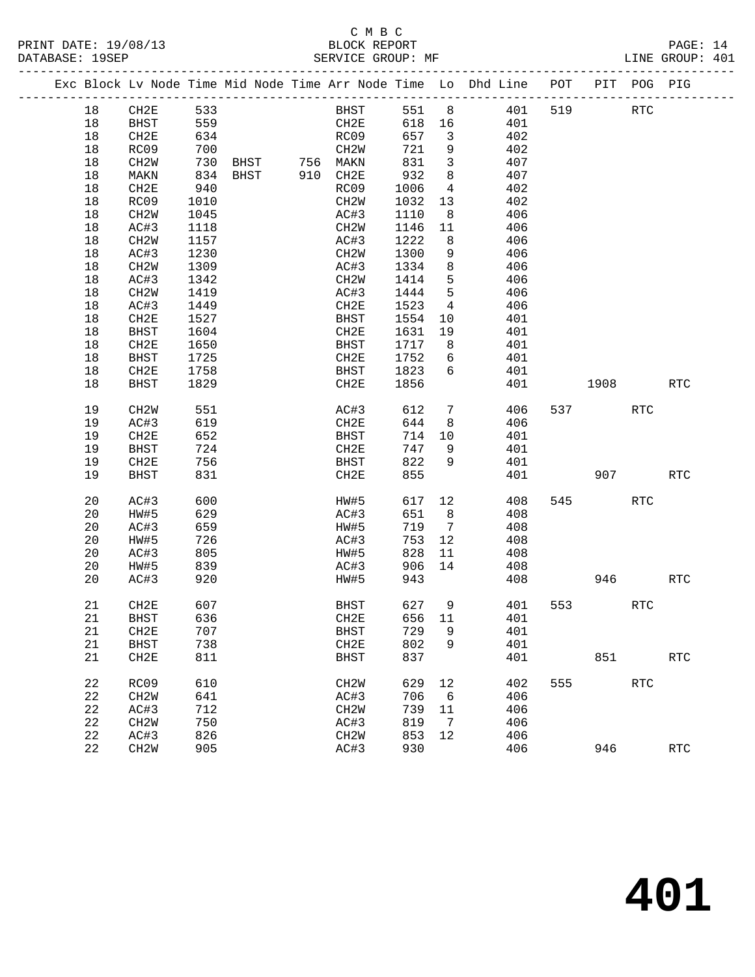### C M B C<br>BLOCK REPORT PRINT DATE: 19/08/13 BLOCK REPORT BATABASE: 19SEP

PAGE: 14<br>LINE GROUP: 401

|  |             |                   |              |  |                   |       |                         | Exc Block Lv Node Time Mid Node Time Arr Node Time Lo Dhd Line |     | POT PIT POG PIG          |            |            |
|--|-------------|-------------------|--------------|--|-------------------|-------|-------------------------|----------------------------------------------------------------|-----|--------------------------|------------|------------|
|  | 18          | CH2E              | 533          |  | <b>BHST</b>       | 551   | 8 <sup>8</sup>          | 401                                                            | 519 | <b>RTC</b>               |            |            |
|  | 18          | BHST              | 559          |  | CH2E              | 618   | 16                      | 401                                                            |     |                          |            |            |
|  | 18          | CH2E              | 634          |  | RC09              | 657   | $\overline{\mathbf{3}}$ | 402                                                            |     |                          |            |            |
|  | 18          | RC09              |              |  |                   | 721   | 9                       | 402                                                            |     |                          |            |            |
|  | 18          | CH2W              |              |  |                   | 831   | $\mathbf{3}$            | 407                                                            |     |                          |            |            |
|  | 18          | MAKN              |              |  |                   | 932   | 8                       | 407                                                            |     |                          |            |            |
|  | 18          | CH2E              | 940          |  | RC09              | 1006  | $\overline{4}$          | 402                                                            |     |                          |            |            |
|  | 18          | RC09              | 1010         |  | CH2W              | 1032  | 13                      | 402                                                            |     |                          |            |            |
|  | $18\,$      | CH2W              | 1045         |  | AC#3              | 1110  | 8 <sup>8</sup>          | 406                                                            |     |                          |            |            |
|  |             |                   |              |  |                   | 1146  |                         |                                                                |     |                          |            |            |
|  | 18          | AC#3              | 1118<br>1157 |  | CH2W              | 1222  | 11<br>8 <sup>8</sup>    | 406                                                            |     |                          |            |            |
|  | 18          | CH2W              |              |  | AC#3              |       |                         | 406                                                            |     |                          |            |            |
|  | 18          | AC#3              | 1230         |  | CH2W              | 1300  | 9                       | 406                                                            |     |                          |            |            |
|  | 18          | CH <sub>2</sub> M | 1309         |  | AC#3              | 1334  | 8                       | 406                                                            |     |                          |            |            |
|  | 18          | AC#3              | 1342         |  | CH2W              | 1414  | 5                       | 406                                                            |     |                          |            |            |
|  | $18\,$      | CH2W              | 1419         |  | AC#3              | 1444  | $5^{\circ}$             | 406                                                            |     |                          |            |            |
|  | 18          | AC#3              | 1449         |  | CH2E              | 1523  | $\overline{4}$          | 406                                                            |     |                          |            |            |
|  | 18          | CH2E              | 1527         |  | BHST              | 1554  | 10                      | 401                                                            |     |                          |            |            |
|  | 18          | <b>BHST</b>       | 1604         |  | CH2E              | 1631  | 19                      | 401                                                            |     |                          |            |            |
|  | 18          | CH2E              | 1650         |  | BHST              | 1717  | 8                       | 401                                                            |     |                          |            |            |
|  | 18          | <b>BHST</b>       | 1725         |  | CH2E              | 1752  | 6                       | 401                                                            |     |                          |            |            |
|  | 18          | CH2E              | 1758         |  | BHST              | 1823  | 6                       | 401                                                            |     |                          |            |            |
|  | $18\,$      | <b>BHST</b>       | 1829         |  | CH2E              | 1856  |                         | 401                                                            |     | 1908                     |            | <b>RTC</b> |
|  |             |                   |              |  |                   |       |                         |                                                                |     |                          |            |            |
|  | 19          | CH <sub>2</sub> W | 551          |  | AC#3              | 612   | 7                       | 406                                                            |     | 537 and $\overline{537}$ | RTC        |            |
|  | 19          | AC#3              | 619          |  | CH2E              | 644   | 8 <sup>8</sup>          | 406                                                            |     |                          |            |            |
|  | 19          | CH2E              | 652          |  | BHST              | 714   | 10                      | 401                                                            |     |                          |            |            |
|  | 19          | <b>BHST</b>       | 724          |  | CH2E              | 747   | 9                       | 401                                                            |     |                          |            |            |
|  | 19          | CH2E              | 756          |  | BHST              | 822   | 9                       | 401                                                            |     |                          |            |            |
|  | 19          | <b>BHST</b>       | 831          |  | CH2E              | 855   |                         | 401                                                            |     | 907                      |            | <b>RTC</b> |
|  |             |                   |              |  |                   |       |                         |                                                                |     |                          |            |            |
|  | 20          | AC#3              | 600          |  | HW#5              | 617   | 12                      | 408                                                            |     | 545                      | <b>RTC</b> |            |
|  | 20          | HW#5              | 629          |  | AC#3              | 651   | 8 <sup>8</sup>          | 408                                                            |     |                          |            |            |
|  | 20          | AC#3              | 659          |  | HW#5              | 719   | $\overline{7}$          | 408                                                            |     |                          |            |            |
|  | 20          | HW#5              | 726<br>805   |  | AC#3              | 753   | 12                      | 408                                                            |     |                          |            |            |
|  | 20          | AC#3              |              |  | HW#5              | 828   | 11                      | 408                                                            |     |                          |            |            |
|  | 20          | HW#5              | 839          |  | AC#3              | 906   | 14                      | 408                                                            |     |                          |            |            |
|  | 20          | AC#3              | 920          |  | HW#5              | 943   |                         | 408                                                            |     | 946                      |            | <b>RTC</b> |
|  |             |                   |              |  |                   |       |                         |                                                                |     |                          |            |            |
|  | 21          | CH2E              | 607          |  | <b>BHST</b>       | 627 9 |                         | 401                                                            |     | 553 and $\overline{553}$ | <b>RTC</b> |            |
|  | 21          | BHST              | 636          |  | CH2E              |       |                         | 656 11 401                                                     |     |                          |            |            |
|  | 21          | CH <sub>2E</sub>  | 707          |  | BHST              | 729   | 9                       | 401                                                            |     |                          |            |            |
|  | 21          | <b>BHST</b>       | 738          |  | CH2E              | 802   | 9                       | 401                                                            |     |                          |            |            |
|  | 21          | CH2E              | 811          |  | <b>BHST</b>       | 837   |                         | 401                                                            |     | 851                      |            | RTC        |
|  |             |                   |              |  |                   |       |                         |                                                                |     |                          |            |            |
|  | 22          | RC09              | 610          |  | CH <sub>2</sub> W | 629   | 12                      | 402                                                            | 555 |                          | RTC        |            |
|  | 22          | CH <sub>2</sub> W | 641          |  | AC#3              | 706   | 6                       | 406                                                            |     |                          |            |            |
|  | $2\sqrt{2}$ | AC#3              | 712          |  | CH2W              | 739   | 11                      | 406                                                            |     |                          |            |            |
|  | 22          | CH <sub>2</sub> W | 750          |  | AC#3              | 819   | $\overline{7}$          | 406                                                            |     |                          |            |            |
|  | 22          | AC#3              | 826          |  | CH <sub>2</sub> W | 853   | 12                      | 406                                                            |     |                          |            |            |
|  | 22          | CH <sub>2</sub> W | 905          |  | AC#3              | 930   |                         | 406                                                            |     | 946                      |            | RTC        |
|  |             |                   |              |  |                   |       |                         |                                                                |     |                          |            |            |

**401**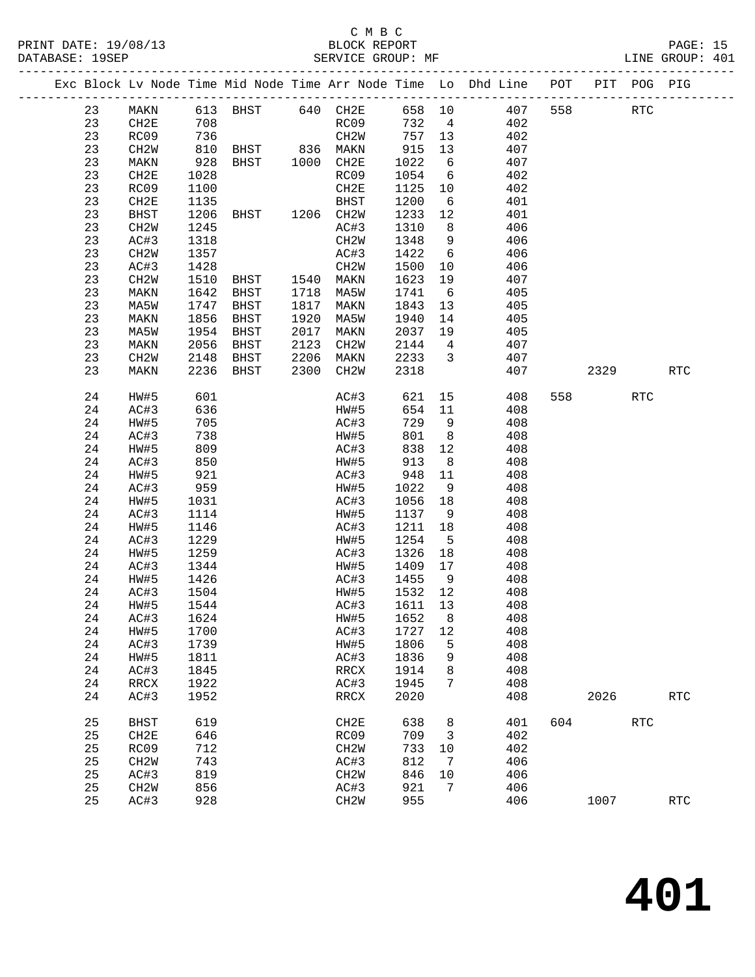#### C M B C<br>BLOCK REPORT PRINT DATE: 19/08/13 BLOCK REPORT PAGE: 15 SERVICE GROUP: MF

|  |         |                   |            |                                 |      |                   |                     |                         | Exc Block Lv Node Time Mid Node Time Arr Node Time Lo Dhd Line POT PIT POG PIG |     |       |            |                      |
|--|---------|-------------------|------------|---------------------------------|------|-------------------|---------------------|-------------------------|--------------------------------------------------------------------------------|-----|-------|------------|----------------------|
|  | 23      |                   |            | MAKN 613 BHST 640 CH2E 658 10   |      |                   |                     |                         | 407                                                                            | 558 |       | <b>RTC</b> |                      |
|  | 23      | CH2E              | 708        |                                 |      | RC09              | 732 4               |                         | 402                                                                            |     |       |            |                      |
|  | 23      | RC09              | 736        |                                 |      | CH2W              | 757 13              |                         | 402                                                                            |     |       |            |                      |
|  | 23      | CH2W              |            |                                 |      |                   | 915                 | 13                      | 407                                                                            |     |       |            |                      |
|  | 23      | MAKN              | 810<br>928 | BHST 836 MAKN<br>BHST 1000 CH2E |      |                   | 1022                | 6                       | 407                                                                            |     |       |            |                      |
|  | 23      | CH2E              | 1028       |                                 |      | RC09              | 1054                | 6                       | 402                                                                            |     |       |            |                      |
|  | 23      | RC09              | 1100       |                                 |      | CH2E              | 1125 10             |                         | 402                                                                            |     |       |            |                      |
|  | 23      | CH2E              | 1135       |                                 |      | BHST              | 1200                | $6\overline{6}$         | 401                                                                            |     |       |            |                      |
|  | 23      | BHST              | 1206       | BHST 1206 CH2W                  |      |                   | 1233                | 12                      | 401                                                                            |     |       |            |                      |
|  | 23      | CH2W              | 1245       |                                 |      | AC#3              | 1310                | 8 <sup>8</sup>          | 406                                                                            |     |       |            |                      |
|  | 23      | AC#3              | 1318       |                                 |      | CH2W              | 1348                | 9                       | 406                                                                            |     |       |            |                      |
|  | 23      | CH2W              | 1357       |                                 |      | AC#3              | 1422                | $6\overline{6}$         | 406                                                                            |     |       |            |                      |
|  | 23      | AC#3              | 1428       |                                 |      | CH2W              | 1500                | 10                      | 406                                                                            |     |       |            |                      |
|  | 23      | CH2W              | 1510       | BHST 1540 MAKN                  |      |                   | 1623                | 19                      | 407                                                                            |     |       |            |                      |
|  | 23      | MAKN              | 1642       | BHST 1718 MA5W                  |      |                   | 1741                | 6                       | 405                                                                            |     |       |            |                      |
|  | 23      | MA5W              | 1747       | BHST                            | 1817 | MAKN              | 1843                | 13                      | 405                                                                            |     |       |            |                      |
|  | 23      | MAKN              | 1856       | BHST                            | 1920 | MA5W              | 1940                | 14                      | 405                                                                            |     |       |            |                      |
|  | 23      | MA5W              | 1954       | BHST                            | 2017 | MAKN              | $\frac{1}{2037}$ 19 |                         | 405                                                                            |     |       |            |                      |
|  | 23      | MAKN              | 2056       | BHST                            | 2123 | CH2W              | 2144                | $\overline{4}$          | 407                                                                            |     |       |            |                      |
|  | 23      | CH2W              | 2148       | BHST                            | 2206 | MAKN 2233         |                     | $\overline{\mathbf{3}}$ | 407                                                                            |     |       |            |                      |
|  | 23      | MAKN              | 2236       | BHST                            | 2300 | CH2W              | 2318                |                         | 407                                                                            |     | 2329  |            | <b>RTC</b>           |
|  |         |                   |            |                                 |      |                   |                     |                         |                                                                                |     |       |            |                      |
|  | 24      | HW#5              | 601        |                                 |      | AC#3              | 621                 |                         | 15<br>408                                                                      |     | 558 7 | <b>RTC</b> |                      |
|  | 24      | AC#3              | 636        |                                 |      | HW#5              | 654 11              |                         | 408                                                                            |     |       |            |                      |
|  | 24      | HW#5              | 705<br>738 |                                 |      | AC#3              | 729                 | 9                       | 408                                                                            |     |       |            |                      |
|  | 24      | AC#3              |            |                                 |      | HW#5              | 801                 | 8 <sup>8</sup>          | 408                                                                            |     |       |            |                      |
|  | 24      | HW#5              | 809        |                                 |      | AC#3              | 838 12              |                         | 408                                                                            |     |       |            |                      |
|  | 24      | AC#3              | 850        |                                 |      | HW#5              | 913                 | 8 <sup>8</sup>          | 408                                                                            |     |       |            |                      |
|  | 24      | HW#5              | 921        |                                 |      | AC#3              | 948                 | 11                      | 408                                                                            |     |       |            |                      |
|  | 24      | AC#3              | 959        |                                 |      | HW#5              | 1022                | 9                       | 408                                                                            |     |       |            |                      |
|  | 24      | HW#5              | 1031       |                                 |      | AC#3              | 1056 18             |                         | 408                                                                            |     |       |            |                      |
|  | 24      | AC#3              | 1114       |                                 |      | HW#5              | 1137                | 9                       | 408                                                                            |     |       |            |                      |
|  | 24      | HW#5              | 1146       |                                 |      | AC#3              | 1211                | 18                      | 408                                                                            |     |       |            |                      |
|  | 24      | AC#3              | 1229       |                                 |      | HW#5              | 1254                | $5^{\circ}$             | 408                                                                            |     |       |            |                      |
|  | 24      | HW#5              | 1259       |                                 |      | AC#3              | 1326                | 18                      | 408                                                                            |     |       |            |                      |
|  | 24      | AC#3              | 1344       |                                 |      | HW#5              | 1409 17             |                         | 408                                                                            |     |       |            |                      |
|  | 24      | HW#5              | 1426       |                                 |      | AC#3              | 1455                | 9                       | 408                                                                            |     |       |            |                      |
|  | 24      | AC#3              | 1504       |                                 |      | HW#5              | 1532 12             |                         | 408                                                                            |     |       |            |                      |
|  | 24      | HW#5              | 1544       |                                 |      | AC#3              | 1611 13             |                         | 408                                                                            |     |       |            |                      |
|  | 24 AC#3 |                   | 1624       |                                 |      | HW#5 1652 8       |                     |                         | 408                                                                            |     |       |            |                      |
|  | 24      | HW#5              | 1700       |                                 |      | AC#3              | 1727                | 12                      | 408                                                                            |     |       |            |                      |
|  | 24      | AC#3              | 1739       |                                 |      | HW#5              | 1806                | 5                       | 408                                                                            |     |       |            |                      |
|  | 24      | HW#5              | 1811       |                                 |      | AC#3              | 1836                | 9                       | 408                                                                            |     |       |            |                      |
|  | 24      | AC#3              | 1845       |                                 |      | RRCX              | 1914                | 8                       | 408                                                                            |     |       |            |                      |
|  | 24      | RRCX              | 1922       |                                 |      | AC#3              | 1945                | 7                       | 408                                                                            |     |       |            |                      |
|  | 24      | AC#3              | 1952       |                                 |      | RRCX              | 2020                |                         | 408                                                                            |     | 2026  |            | $\operatorname{RTC}$ |
|  | 25      | <b>BHST</b>       | 619        |                                 |      | CH2E              | 638                 | 8                       | 401                                                                            | 604 |       | <b>RTC</b> |                      |
|  | 25      | CH2E              | 646        |                                 |      | RC09              | 709                 | 3                       | 402                                                                            |     |       |            |                      |
|  | 25      | RC09              | 712        |                                 |      | CH <sub>2</sub> M | 733                 | 10                      | 402                                                                            |     |       |            |                      |
|  | 25      | CH <sub>2</sub> W | 743        |                                 |      | AC#3              | 812                 | $\overline{7}$          | 406                                                                            |     |       |            |                      |
|  | 25      | AC#3              | 819        |                                 |      | CH2W              | 846                 | 10                      | 406                                                                            |     |       |            |                      |
|  | 25      | CH <sub>2</sub> W | 856        |                                 |      | AC#3              | 921                 | 7                       | 406                                                                            |     |       |            |                      |
|  | 25      | AC#3              | 928        |                                 |      | CH <sub>2</sub> M | 955                 |                         | 406                                                                            |     | 1007  |            | $\operatorname{RTC}$ |
|  |         |                   |            |                                 |      |                   |                     |                         |                                                                                |     |       |            |                      |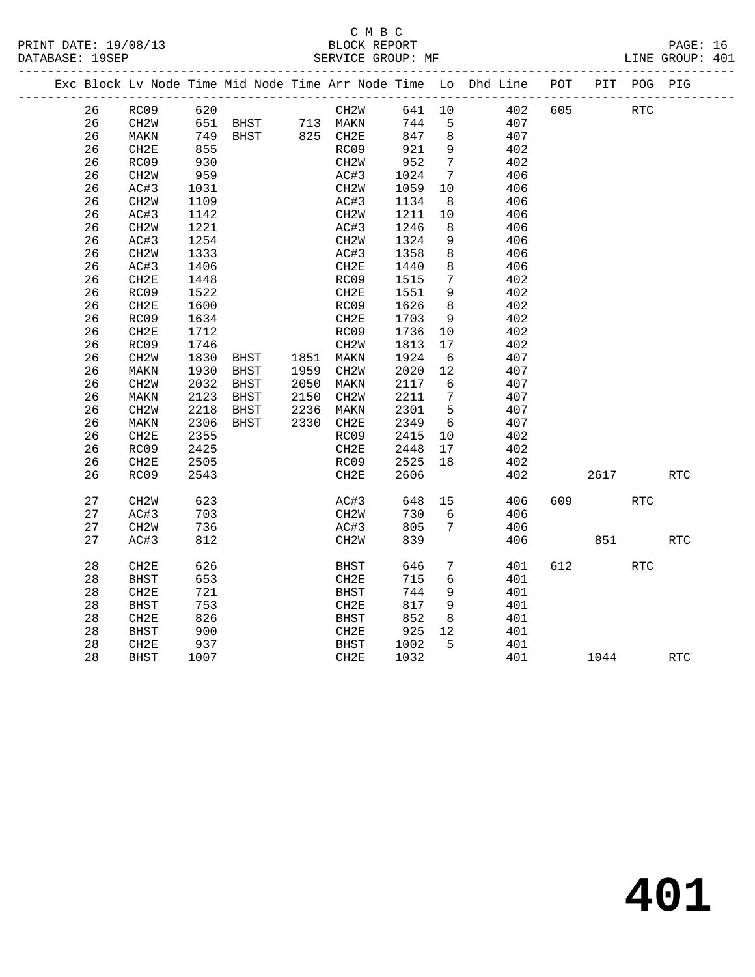### C M B C<br>BLOCK REPORT PRINT DATE: 19/08/13 BLOCK REPORT<br>DATABASE: 19SEP SERVICE GROUP: MF

PAGE: 16<br>LINE GROUP: 401

|  |    | Exc Block Lv Node Time Mid Node Time Arr Node Time Lo Dhd Line POT |      |      |                                                          |                   |        |                 |     |     |      | PIT POG PIG |            |
|--|----|--------------------------------------------------------------------|------|------|----------------------------------------------------------|-------------------|--------|-----------------|-----|-----|------|-------------|------------|
|  | 26 | RC09                                                               | 620  |      |                                                          | CH2W              | 641 10 |                 | 402 | 605 |      | RTC         |            |
|  | 26 | CH2W                                                               |      |      | 651 BHST       713   MAKN<br>749   BHST       825   CH2E |                   | 744    | 5               | 407 |     |      |             |            |
|  | 26 | MAKN                                                               |      |      |                                                          |                   | 847    | 8               | 407 |     |      |             |            |
|  | 26 | CH2E                                                               | 855  |      |                                                          | RC09              | 921    | 9               | 402 |     |      |             |            |
|  | 26 | RC09                                                               | 930  |      |                                                          | CH2W              | 952    | $\overline{7}$  | 402 |     |      |             |            |
|  | 26 | CH2W                                                               | 959  |      |                                                          | AC#3              | 1024   | $\overline{7}$  | 406 |     |      |             |            |
|  | 26 | AC#3                                                               | 1031 |      |                                                          | CH2W              | 1059   | 10              | 406 |     |      |             |            |
|  | 26 | CH <sub>2</sub> W                                                  | 1109 |      |                                                          | AC#3              | 1134   | 8               | 406 |     |      |             |            |
|  | 26 | AC#3                                                               | 1142 |      |                                                          | CH2W              | 1211   | 10              | 406 |     |      |             |            |
|  | 26 | CH <sub>2</sub> W                                                  | 1221 |      |                                                          | AC#3              | 1246   | 8               | 406 |     |      |             |            |
|  | 26 | AC#3                                                               | 1254 |      |                                                          | CH <sub>2</sub> W | 1324   | 9               | 406 |     |      |             |            |
|  | 26 | CH <sub>2</sub> M                                                  | 1333 |      |                                                          | AC#3              | 1358   | 8               | 406 |     |      |             |            |
|  | 26 | AC#3                                                               | 1406 |      |                                                          | CH2E              | 1440   | 8               | 406 |     |      |             |            |
|  | 26 | CH2E                                                               | 1448 |      |                                                          | RC09              | 1515   | $7\phantom{.0}$ | 402 |     |      |             |            |
|  | 26 | RC09                                                               | 1522 |      |                                                          | CH2E              | 1551   | 9               | 402 |     |      |             |            |
|  | 26 | CH <sub>2E</sub>                                                   | 1600 |      |                                                          | RC09              | 1626   | 8               | 402 |     |      |             |            |
|  | 26 | RC09                                                               | 1634 |      |                                                          | CH2E              | 1703   | 9               | 402 |     |      |             |            |
|  | 26 | CH2E                                                               | 1712 |      |                                                          | RC09              | 1736   | $10\,$          | 402 |     |      |             |            |
|  | 26 | RC09                                                               | 1746 |      |                                                          | CH2W              | 1813   | 17              | 402 |     |      |             |            |
|  | 26 | CH <sub>2</sub> M                                                  | 1830 |      | BHST 1851 MAKN                                           |                   | 1924   | $6\overline{6}$ | 407 |     |      |             |            |
|  | 26 | MAKN                                                               | 1930 | BHST | 1959                                                     | CH <sub>2</sub> W | 2020   | 12              | 407 |     |      |             |            |
|  | 26 | CH2W                                                               | 2032 | BHST | 2050                                                     | MAKN              | 2117   | 6               | 407 |     |      |             |            |
|  | 26 | MAKN                                                               | 2123 | BHST | 2150                                                     | CH2W              | 2211   | $\overline{7}$  | 407 |     |      |             |            |
|  | 26 | CH <sub>2</sub> W                                                  | 2218 | BHST | 2236                                                     | MAKN              | 2301   | $5^{\circ}$     | 407 |     |      |             |            |
|  | 26 | MAKN                                                               | 2306 | BHST | 2330                                                     | CH2E              | 2349   | $6\overline{6}$ | 407 |     |      |             |            |
|  | 26 | CH2E                                                               | 2355 |      |                                                          | RC09              | 2415   | 10              | 402 |     |      |             |            |
|  | 26 | RC09                                                               | 2425 |      |                                                          | CH2E              | 2448   | 17              | 402 |     |      |             |            |
|  | 26 | CH2E                                                               | 2505 |      |                                                          | RC09              | 2525   | 18              | 402 |     |      |             |            |
|  | 26 | RC09                                                               | 2543 |      |                                                          | CH2E              | 2606   |                 | 402 |     | 2617 |             | RTC        |
|  |    |                                                                    |      |      |                                                          |                   |        |                 |     |     |      |             |            |
|  | 27 | CH <sub>2</sub> M                                                  | 623  |      |                                                          | AC#3              | 648    | 15              | 406 | 609 |      | <b>RTC</b>  |            |
|  | 27 | AC#3                                                               | 703  |      |                                                          | CH2W              | 730    | 6               | 406 |     |      |             |            |
|  | 27 | CH2W                                                               | 736  |      |                                                          | AC#3              | 805    | $7\phantom{.0}$ | 406 |     |      |             |            |
|  | 27 | AC#3                                                               | 812  |      |                                                          | CH <sub>2</sub> W | 839    |                 | 406 |     | 851  |             | <b>RTC</b> |
|  | 28 | CH2E                                                               | 626  |      |                                                          | BHST              | 646    | 7               | 401 | 612 |      | <b>RTC</b>  |            |
|  | 28 | <b>BHST</b>                                                        | 653  |      |                                                          | CH <sub>2E</sub>  | 715    | 6               | 401 |     |      |             |            |
|  | 28 | CH2E                                                               | 721  |      |                                                          | BHST              | 744    | 9               | 401 |     |      |             |            |
|  | 28 | <b>BHST</b>                                                        | 753  |      |                                                          | CH2E              | 817    | 9               | 401 |     |      |             |            |
|  | 28 | CH2E                                                               | 826  |      |                                                          | BHST              | 852    | 8               | 401 |     |      |             |            |
|  | 28 | BHST                                                               | 900  |      |                                                          | CH2E              | 925    | 12              | 401 |     |      |             |            |
|  | 28 | CH <sub>2E</sub>                                                   | 937  |      |                                                          | <b>BHST</b>       | 1002   | 5               | 401 |     |      |             |            |
|  | 28 | <b>BHST</b>                                                        | 1007 |      |                                                          | CH2E              | 1032   |                 | 401 |     | 1044 |             | <b>RTC</b> |
|  |    |                                                                    |      |      |                                                          |                   |        |                 |     |     |      |             |            |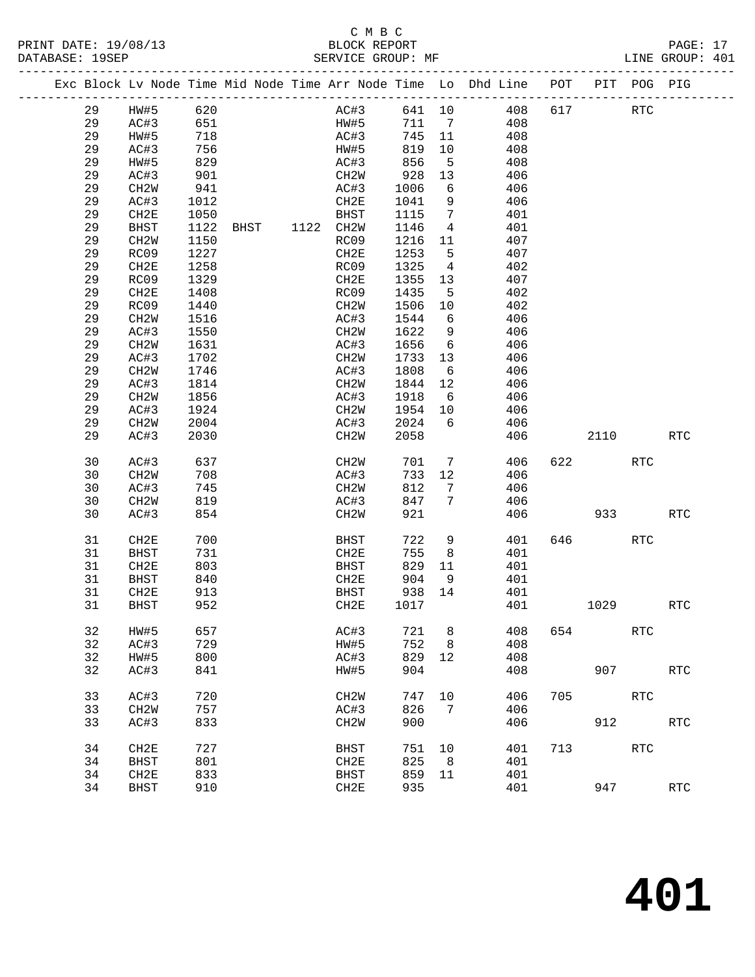### C M B C<br>BLOCK REPORT PRINT DATE: 19/08/13 BLOCK REPORT BATABASE: 19SEP

PAGE: 17<br>LINE GROUP: 401

|  |    | Exc Block Lv Node Time Mid Node Time Arr Node Time Lo Dhd Line POT |      |      |           |                   |             |        |                 |     |     |      | PIT POG PIG |                      |
|--|----|--------------------------------------------------------------------|------|------|-----------|-------------------|-------------|--------|-----------------|-----|-----|------|-------------|----------------------|
|  | 29 | <b>HW#5</b>                                                        | 620  |      |           |                   | AC#3        | 641 10 |                 | 408 | 617 |      | <b>RTC</b>  |                      |
|  | 29 | AC#3                                                               | 651  |      |           |                   | <b>HW#5</b> | 711 7  |                 | 408 |     |      |             |                      |
|  | 29 | HW#5                                                               | 718  |      |           |                   | AC#3        | 745 11 |                 | 408 |     |      |             |                      |
|  | 29 | AC#3                                                               | 756  |      |           | HW#5              |             | 819    | 10              | 408 |     |      |             |                      |
|  | 29 | HW#5                                                               | 829  |      |           | AC#3              |             | 856    | $5^{\circ}$     | 408 |     |      |             |                      |
|  | 29 | AC#3                                                               | 901  |      |           | CH2W              |             | 928    | 13              | 406 |     |      |             |                      |
|  | 29 | CH2W                                                               | 941  |      |           | AC#3              |             | 1006   | 6               | 406 |     |      |             |                      |
|  | 29 | AC#3                                                               | 1012 |      |           | CH2E              |             | 1041   | 9               | 406 |     |      |             |                      |
|  | 29 | CH2E                                                               | 1050 |      |           | BHST              |             | 1115   | $\overline{7}$  | 401 |     |      |             |                      |
|  | 29 | BHST                                                               | 1122 | BHST | 1122 CH2W |                   |             | 1146   | $\overline{4}$  | 401 |     |      |             |                      |
|  | 29 | CH <sub>2</sub> W                                                  | 1150 |      |           | RC09              |             | 1216   | 11              | 407 |     |      |             |                      |
|  | 29 | RC09                                                               | 1227 |      |           | CH2E              |             | 1253   | 5               | 407 |     |      |             |                      |
|  | 29 | CH <sub>2E</sub>                                                   | 1258 |      |           | RC09              |             | 1325   | $\overline{4}$  | 402 |     |      |             |                      |
|  | 29 | RC09                                                               | 1329 |      |           | CH2E              |             | 1355   | 13              | 407 |     |      |             |                      |
|  | 29 | CH2E                                                               | 1408 |      |           | RC09              |             | 1435   | $5^{\circ}$     | 402 |     |      |             |                      |
|  | 29 | RC09                                                               | 1440 |      |           | CH2W              |             | 1506   | 10              | 402 |     |      |             |                      |
|  | 29 | CH <sub>2</sub> W                                                  | 1516 |      |           | AC#3              |             | 1544   | 6               | 406 |     |      |             |                      |
|  | 29 | AC#3                                                               | 1550 |      |           | CH2W              |             | 1622   | 9               | 406 |     |      |             |                      |
|  | 29 | CH <sub>2</sub> W                                                  | 1631 |      |           | AC#3              |             | 1656   | $6\overline{6}$ | 406 |     |      |             |                      |
|  | 29 | AC#3                                                               | 1702 |      |           | CH2W              |             | 1733   | 13              | 406 |     |      |             |                      |
|  | 29 | CH <sub>2</sub> W                                                  | 1746 |      |           | AC#3              |             | 1808   | 6               | 406 |     |      |             |                      |
|  | 29 | AC#3                                                               | 1814 |      |           | CH2W              |             | 1844   | 12              | 406 |     |      |             |                      |
|  | 29 | CH <sub>2</sub> W                                                  | 1856 |      |           | AC#3              |             | 1918   | 6               | 406 |     |      |             |                      |
|  | 29 | AC#3                                                               | 1924 |      |           | CH2W              |             | 1954   | 10              | 406 |     |      |             |                      |
|  | 29 | CH2W                                                               | 2004 |      |           | AC#3              |             | 2024   | 6               | 406 |     |      |             |                      |
|  | 29 | AC#3                                                               | 2030 |      |           | CH2W              |             | 2058   |                 | 406 |     | 2110 |             | RTC                  |
|  | 30 | AC#3                                                               | 637  |      |           | CH2W              |             | 701    | $7\overline{ }$ | 406 | 622 |      | RTC         |                      |
|  | 30 | CH2W                                                               | 708  |      |           | AC#3              |             | 733    | 12              | 406 |     |      |             |                      |
|  | 30 | AC#3                                                               | 745  |      |           | CH <sub>2</sub> W |             | 812    | 7               | 406 |     |      |             |                      |
|  | 30 | CH2W                                                               | 819  |      |           | AC#3              |             | 847    | 7               | 406 |     |      |             |                      |
|  | 30 | AC#3                                                               | 854  |      |           | CH <sub>2</sub> W |             | 921    |                 | 406 |     | 933  |             | RTC                  |
|  |    |                                                                    |      |      |           |                   |             |        |                 |     |     |      |             |                      |
|  | 31 | CH2E                                                               | 700  |      |           | BHST              |             | 722    | 9               | 401 | 646 |      | RTC         |                      |
|  | 31 | BHST                                                               | 731  |      |           | CH2E              |             | 755    | 8 <sup>8</sup>  | 401 |     |      |             |                      |
|  | 31 | CH2E                                                               | 803  |      |           | BHST              |             | 829    | 11              | 401 |     |      |             |                      |
|  | 31 | BHST                                                               | 840  |      |           | CH2E              |             | 904    | 9               | 401 |     |      |             |                      |
|  | 31 | CH2E                                                               | 913  |      |           | BHST              |             | 938    | 14              | 401 |     |      |             |                      |
|  | 31 | BHST                                                               | 952  |      |           | CH2E              |             | 1017   |                 | 401 |     | 1029 |             | RTC                  |
|  | 32 | HW#5                                                               | 657  |      |           | AC#3              |             | 721    | 8               | 408 | 654 |      | <b>RTC</b>  |                      |
|  | 32 | AC#3                                                               | 729  |      |           | HW#5              |             | 752    | 8               | 408 |     |      |             |                      |
|  | 32 | HW#5                                                               | 800  |      |           | AC#3              |             | 829    | 12              | 408 |     |      |             |                      |
|  | 32 | AC#3                                                               | 841  |      |           | HW#5              |             | 904    |                 | 408 |     | 907  |             | $\operatorname{RTC}$ |
|  |    |                                                                    |      |      |           |                   |             |        |                 |     |     |      |             |                      |
|  | 33 | AC#3                                                               | 720  |      |           | CH <sub>2</sub> M |             | 747    | 10              | 406 | 705 |      | <b>RTC</b>  |                      |
|  | 33 | CH <sub>2</sub> W                                                  | 757  |      |           | AC#3              |             | 826    | 7               | 406 |     |      |             |                      |
|  | 33 | AC#3                                                               | 833  |      |           | CH2W              |             | 900    |                 | 406 |     | 912  |             | $\operatorname{RTC}$ |
|  | 34 | CH2E                                                               | 727  |      |           | <b>BHST</b>       |             | 751    | 10              | 401 | 713 |      | <b>RTC</b>  |                      |
|  | 34 | <b>BHST</b>                                                        | 801  |      |           | CH2E              |             | 825    | 8               | 401 |     |      |             |                      |
|  | 34 | CH <sub>2E</sub>                                                   | 833  |      |           | <b>BHST</b>       |             | 859    | 11              | 401 |     |      |             |                      |
|  | 34 | <b>BHST</b>                                                        | 910  |      |           | CH2E              |             | 935    |                 | 401 |     | 947  |             | $\operatorname{RTC}$ |
|  |    |                                                                    |      |      |           |                   |             |        |                 |     |     |      |             |                      |

**401**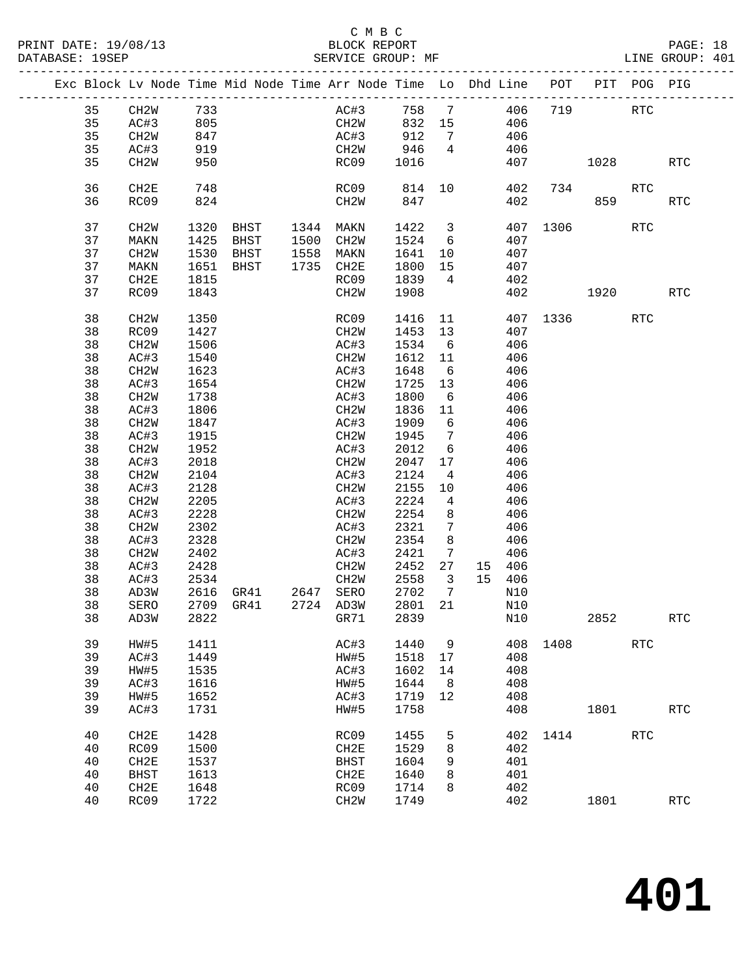PRINT DATE: 19/08/13 BLOCK REPORT BATABASE: 19SEP

## C M B C<br>BLOCK REPORT

|  |          |                           |              | Exc Block Lv Node Time Mid Node Time Arr Node Time Lo Dhd Line POT PIT POG PIG |      |                   |              |                         |     |            |      |          |            |                      |
|--|----------|---------------------------|--------------|--------------------------------------------------------------------------------|------|-------------------|--------------|-------------------------|-----|------------|------|----------|------------|----------------------|
|  | 35       | CH2W                      | 733          |                                                                                |      | AC#3              | 758 7        |                         | 406 |            | 719  |          | RTC        |                      |
|  | 35       | AC#3                      | 805          |                                                                                |      | CH2W              | 832 15       |                         |     | 406        |      |          |            |                      |
|  | 35       | CH2W                      | 847          |                                                                                |      | AC#3              | 912          | $\overline{7}$          |     | 406        |      |          |            |                      |
|  | 35       | AC#3                      | 919          |                                                                                |      | CH2W              | 946          | $\overline{4}$          |     | 406        |      |          |            |                      |
|  | 35       | CH <sub>2</sub> W         | 950          |                                                                                |      | RC09              | 1016         |                         |     | 407        |      | 1028     |            | <b>RTC</b>           |
|  |          |                           |              |                                                                                |      |                   |              |                         |     |            |      |          |            |                      |
|  | 36       | CH2E                      | 748          |                                                                                |      | RC09              | 814 10       |                         |     | 402        |      | 734      | <b>RTC</b> |                      |
|  | 36       | RC09                      | 824          |                                                                                |      | CH2W              | 847          |                         |     | 402        |      | 859      |            | <b>RTC</b>           |
|  |          |                           |              |                                                                                |      |                   |              |                         |     |            |      |          |            |                      |
|  | 37       | CH <sub>2</sub> W         | 1320         | BHST 1344 MAKN                                                                 |      |                   | 1422         | $\overline{\mathbf{3}}$ |     | 407        |      | 1306     | <b>RTC</b> |                      |
|  | 37       | MAKN                      | 1425         | BHST 1500 CH2W                                                                 |      |                   | 1524         | 6                       |     | 407        |      |          |            |                      |
|  | 37       | CH <sub>2</sub> W         | 1530         | BHST                                                                           | 1558 | MAKN              | 1641         | 10                      |     | 407        |      |          |            |                      |
|  | 37       | MAKN                      | 1651         | BHST                                                                           |      | 1735 CH2E         | 1800         | 15                      |     | 407        |      |          |            |                      |
|  | 37       | CH2E                      | 1815         |                                                                                |      | RC09              | 1839         | $\overline{4}$          |     | 402        |      |          |            |                      |
|  | 37       | RC09                      | 1843         |                                                                                |      | CH2W              | 1908         |                         |     | 402        |      | 1920     |            | <b>RTC</b>           |
|  |          |                           |              |                                                                                |      |                   |              |                         |     |            |      |          |            |                      |
|  | 38       | CH <sub>2</sub> W         | 1350         |                                                                                |      | RC09              | 1416         | 11                      |     |            |      | 407 1336 | RTC        |                      |
|  | 38       | RC09                      | 1427         |                                                                                |      | CH2W              | 1453 13      |                         |     | 407        |      |          |            |                      |
|  | 38       | CH2W                      | 1506         |                                                                                |      | AC#3              | 1534         | 6                       |     | 406        |      |          |            |                      |
|  | 38       | AC#3                      | 1540         |                                                                                |      | CH2W              | 1612         | 11                      |     | 406        |      |          |            |                      |
|  | 38       | CH <sub>2</sub> W         | 1623         |                                                                                |      | AC#3              | 1648         | 6                       |     | 406        |      |          |            |                      |
|  | 38       | AC#3                      | 1654         |                                                                                |      | CH2W              | 1725         | 13                      |     | 406        |      |          |            |                      |
|  | 38       | CH <sub>2</sub> W         | 1738         |                                                                                |      | AC#3              | 1800         | 6                       |     | 406        |      |          |            |                      |
|  | 38       | AC#3                      | 1806         |                                                                                |      | CH2W              | 1836         | 11                      |     | 406        |      |          |            |                      |
|  | 38       | CH <sub>2</sub> W         | 1847         |                                                                                |      | AC#3              | 1909         | 6                       |     | 406        |      |          |            |                      |
|  | 38       | AC#3                      | 1915         |                                                                                |      | CH2W              | 1945         | $\overline{7}$          |     | 406        |      |          |            |                      |
|  | 38       | CH2W                      | 1952         |                                                                                |      | AC#3              | 2012         | 6                       |     | 406        |      |          |            |                      |
|  | 38       | AC#3                      | 2018         |                                                                                |      | CH2W              | 2047         | 17                      |     | 406        |      |          |            |                      |
|  | 38       | CH <sub>2</sub> W         | 2104         |                                                                                |      | AC#3              | 2124         | $\overline{4}$          |     | 406        |      |          |            |                      |
|  | 38<br>38 | AC#3                      | 2128<br>2205 |                                                                                |      | CH <sub>2</sub> W | 2155<br>2224 | 10                      |     | 406<br>406 |      |          |            |                      |
|  | 38       | CH <sub>2</sub> W<br>AC#3 | 2228         |                                                                                |      | AC#3<br>CH2W      | 2254         | 4<br>8                  |     | 406        |      |          |            |                      |
|  | 38       | CH <sub>2</sub> W         | 2302         |                                                                                |      | AC#3              | 2321         | 7                       |     | 406        |      |          |            |                      |
|  | 38       | AC#3                      | 2328         |                                                                                |      | CH2W              | 2354         | 8                       |     | 406        |      |          |            |                      |
|  | 38       | CH2W                      | 2402         |                                                                                |      | AC#3              | 2421         | $7\phantom{.0}$         |     | 406        |      |          |            |                      |
|  | 38       | AC#3                      | 2428         |                                                                                |      | CH2W              | 2452         | 27                      |     | 15 406     |      |          |            |                      |
|  | 38       | AC#3                      | 2534         |                                                                                |      | CH2W              | 2558         | $\overline{\mathbf{3}}$ |     | 15 406     |      |          |            |                      |
|  | 38       | AD3W                      | 2616         | GR41 2647 SERO                                                                 |      |                   | 2702         | $\overline{7}$          |     | N10        |      |          |            |                      |
|  | 38       | SERO                      |              | 2709 GR41                                                                      |      | 2724 AD3W         | 2801         | 21                      |     | N10        |      |          |            |                      |
|  | 38       | AD3W                      |              | 2822 GR71                                                                      |      |                   | 2839         |                         | N10 |            |      | 2852     |            | <b>RTC</b>           |
|  |          |                           |              |                                                                                |      |                   |              |                         |     |            |      |          |            |                      |
|  | 39       | HW#5                      | 1411         |                                                                                |      | AC#3              | 1440         | 9                       |     | 408        | 1408 |          | <b>RTC</b> |                      |
|  | 39       | AC#3                      | 1449         |                                                                                |      | HW#5              | 1518         | 17                      |     | 408        |      |          |            |                      |
|  | 39       | HW#5                      | 1535         |                                                                                |      | AC#3              | 1602         | 14                      |     | 408        |      |          |            |                      |
|  | 39       | AC#3                      | 1616         |                                                                                |      | HW#5              | 1644         | 8                       |     | 408        |      |          |            |                      |
|  | 39       | HW#5                      | 1652         |                                                                                |      | AC#3              | 1719         | 12                      |     | 408        |      |          |            |                      |
|  | 39       | AC#3                      | 1731         |                                                                                |      | HW#5              | 1758         |                         |     | 408        |      | 1801     |            | <b>RTC</b>           |
|  |          |                           |              |                                                                                |      |                   |              |                         |     |            |      |          |            |                      |
|  | 40       | CH2E                      | 1428         |                                                                                |      | RC09              | 1455         | 5                       |     | 402        | 1414 |          | <b>RTC</b> |                      |
|  | 40       | RC09                      | 1500         |                                                                                |      | CH2E              | 1529         | 8                       |     | 402        |      |          |            |                      |
|  | 40       | CH2E                      | 1537         |                                                                                |      | <b>BHST</b>       | 1604         | 9                       |     | 401        |      |          |            |                      |
|  | 40       | <b>BHST</b>               | 1613         |                                                                                |      | CH2E              | 1640         | 8                       |     | 401        |      |          |            |                      |
|  | 40       | CH2E                      | 1648         |                                                                                |      | RC09              | 1714         | 8                       |     | 402        |      |          |            |                      |
|  | 40       | RC09                      | 1722         |                                                                                |      | CH <sub>2</sub> W | 1749         |                         |     | 402        |      | 1801     |            | $\operatorname{RTC}$ |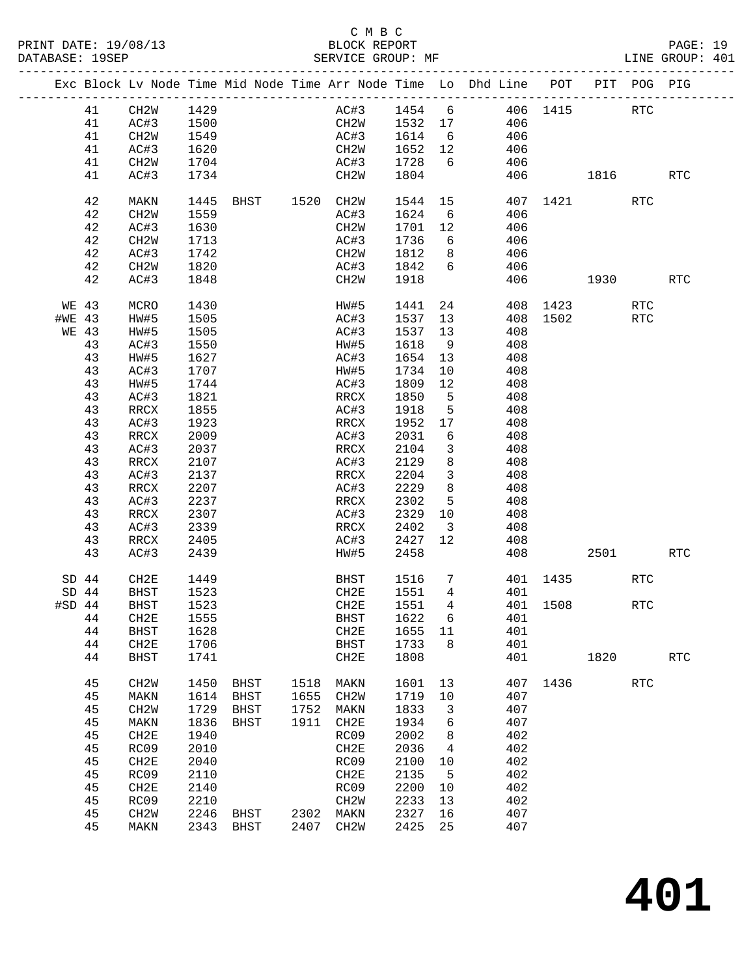PRINT DATE: 19/08/13 BLOCK REPORT<br>DATABASE: 19SEP SERVICE GROUP: MF

### C M B C<br>BLOCK REPORT

|          |         | Exc Block Lv Node Time Mid Node Time Arr Node Time Lo Dhd Line POT |      |             |                |                   |                             |                         |                 |     |          |                      | PIT POG PIG |            |
|----------|---------|--------------------------------------------------------------------|------|-------------|----------------|-------------------|-----------------------------|-------------------------|-----------------|-----|----------|----------------------|-------------|------------|
|          | 41      | CH2W                                                               | 1429 |             |                |                   |                             |                         |                 |     |          | AC#3 1454 6 406 1415 | RTC         |            |
|          | 41      | AC#3                                                               | 1500 |             |                |                   |                             |                         |                 | 406 |          |                      |             |            |
|          | 41      | CH2W                                                               | 1549 |             |                |                   | CH2W 1532 17<br>AC#3 1614 6 |                         |                 | 406 |          |                      |             |            |
|          | 41      | AC#3                                                               | 1620 |             |                | CH2W              | 1652 12                     |                         |                 | 406 |          |                      |             |            |
|          | 41      | CH2W                                                               | 1704 |             |                | AC#3              | 1728                        | 6                       |                 | 406 |          |                      |             |            |
|          | 41      | AC#3                                                               | 1734 |             |                | CH2W              | 1804                        |                         |                 |     |          | 406 1816             |             | <b>RTC</b> |
|          | 42      | MAKN                                                               | 1445 |             | BHST 1520 CH2W |                   | 1544                        |                         | 15              |     |          | 407 1421             | RTC         |            |
|          | 42      | CH <sub>2</sub> W                                                  | 1559 |             |                | AC#3              | 1624                        | 6                       |                 | 406 |          |                      |             |            |
|          | 42      | AC#3                                                               | 1630 |             |                | CH2W              | 1701                        | 12                      |                 | 406 |          |                      |             |            |
|          | 42      | CH <sub>2</sub> W                                                  | 1713 |             |                | AC#3              | 1736                        | 6                       |                 | 406 |          |                      |             |            |
|          | 42      | AC#3                                                               | 1742 |             |                | CH2W              | 1812                        | 8 <sup>8</sup>          |                 | 406 |          |                      |             |            |
|          | 42      | CH2W                                                               | 1820 |             |                | AC#3              | 1842                        |                         | $6\overline{6}$ | 406 |          |                      |             |            |
|          | 42      | AC#3                                                               | 1848 |             |                | CH2W              | 1918                        |                         |                 | 406 |          |                      |             | RTC        |
| WE 43    |         | MCRO                                                               | 1430 |             |                | HW#5              | 1441                        |                         | 24              |     | 408 1423 |                      | RTC         |            |
| #WE 43   |         | HW#5                                                               | 1505 |             |                | AC#3              | 1537                        | 13                      |                 |     |          | 408 1502 RTC         |             |            |
| WE 43    |         | HW#5                                                               | 1505 |             |                | AC#3              | 1537                        | 13                      |                 | 408 |          |                      |             |            |
|          | 43      | AC#3                                                               | 1550 |             |                | HW#5              | 1618                        | 9                       |                 | 408 |          |                      |             |            |
|          | 43      | HW#5                                                               | 1627 |             |                | AC#3              | 1654                        | 13                      |                 | 408 |          |                      |             |            |
|          | 43      | AC#3                                                               | 1707 |             |                | HW#5              | 1734                        | 10                      |                 | 408 |          |                      |             |            |
|          | 43      | HW#5                                                               | 1744 |             |                | AC#3              | 1809                        | 12                      |                 | 408 |          |                      |             |            |
|          | 43      | AC#3                                                               | 1821 |             |                | RRCX              | 1850                        | $5^{\circ}$             |                 | 408 |          |                      |             |            |
|          | 43      | RRCX                                                               | 1855 |             |                | AC#3              | 1918                        | $5^{\circ}$             |                 | 408 |          |                      |             |            |
|          | 43      | AC#3                                                               | 1923 |             |                | RRCX              | 1952                        | 17                      |                 | 408 |          |                      |             |            |
|          | 43      | RRCX                                                               | 2009 |             |                | AC#3              | 2031                        | 6                       |                 | 408 |          |                      |             |            |
|          | 43      | AC#3                                                               | 2037 |             |                | RRCX              | 2104                        | $\overline{3}$          |                 | 408 |          |                      |             |            |
|          | 43      | RRCX                                                               | 2107 |             |                | AC#3              | 2129                        | 8                       |                 | 408 |          |                      |             |            |
|          | 43      | AC#3                                                               | 2137 |             |                | RRCX              | 2204                        | $\overline{\mathbf{3}}$ |                 | 408 |          |                      |             |            |
|          | 43      | RRCX                                                               | 2207 |             |                | AC#3              | 2229                        | 8                       |                 | 408 |          |                      |             |            |
|          | 43      | AC#3                                                               | 2237 |             |                | RRCX              | 2302                        | $5^{\circ}$             |                 | 408 |          |                      |             |            |
|          | 43      | RRCX                                                               | 2307 |             |                | AC#3              | 2329                        | 10                      |                 | 408 |          |                      |             |            |
|          | 43      | AC#3                                                               | 2339 |             |                | RRCX              | 2402                        | $\overline{\mathbf{3}}$ |                 | 408 |          |                      |             |            |
|          | 43      | RRCX                                                               | 2405 |             |                | AC#3              | 2427                        | 12                      |                 | 408 |          |                      |             |            |
|          | 43      | AC#3                                                               | 2439 |             |                | HW#5              | 2458                        |                         |                 | 408 |          | 2501 7               |             | RTC        |
| SD 44    |         | CH2E                                                               | 1449 |             |                |                   | BHST 1516                   |                         | $7\overline{ }$ |     | 401 1435 |                      | <b>RTC</b>  |            |
| SD 44    |         | BHST                                                               | 1523 |             |                | CH2E              | 1551                        | $\overline{4}$          |                 | 401 |          |                      |             |            |
| $#SD$ 44 |         | <b>BHST</b>                                                        | 1523 |             |                | CH2E              | 1551                        | $\overline{4}$          |                 |     | 401 1508 |                      | RTC         |            |
|          | 44 CH2E |                                                                    | 1555 |             |                | BHST              | 1622 6                      |                         |                 | 401 |          |                      |             |            |
|          | 44      | <b>BHST</b>                                                        | 1628 |             |                | CH2E              | 1655                        | 11                      |                 | 401 |          |                      |             |            |
|          | 44      | CH2E                                                               | 1706 |             |                | BHST              | 1733                        | 8                       |                 | 401 |          |                      |             |            |
|          | 44      | <b>BHST</b>                                                        | 1741 |             |                | CH2E              | 1808                        |                         |                 | 401 |          | 1820                 |             | RTC        |
|          | 45      | CH <sub>2</sub> W                                                  | 1450 | <b>BHST</b> | 1518           | MAKN              | 1601                        | 13                      |                 |     | 407 1436 |                      | <b>RTC</b>  |            |
|          | 45      | MAKN                                                               | 1614 | BHST        | 1655           | CH <sub>2</sub> W | 1719                        | 10                      |                 | 407 |          |                      |             |            |
|          | 45      | CH2W                                                               | 1729 | BHST        | 1752           | MAKN              | 1833                        | 3                       |                 | 407 |          |                      |             |            |
|          | 45      | MAKN                                                               | 1836 | BHST        | 1911           | CH2E              | 1934                        | 6                       |                 | 407 |          |                      |             |            |
|          | 45      | CH2E                                                               | 1940 |             |                | RC09              | 2002                        | 8                       |                 | 402 |          |                      |             |            |
|          | 45      | RC09                                                               | 2010 |             |                | CH2E              | 2036                        | 4                       |                 | 402 |          |                      |             |            |
|          | 45      | CH2E                                                               | 2040 |             |                | RC09              | 2100                        | 10                      |                 | 402 |          |                      |             |            |
|          | 45      | RC09                                                               | 2110 |             |                | CH2E              | 2135                        | $-5$                    |                 | 402 |          |                      |             |            |
|          | 45      | CH2E                                                               | 2140 |             |                | RC09              | 2200                        | 10                      |                 | 402 |          |                      |             |            |
|          | 45      | RC09                                                               | 2210 |             |                | CH2W              | 2233                        | 13                      |                 | 402 |          |                      |             |            |
|          | 45      | CH <sub>2</sub> W                                                  | 2246 | BHST        | 2302           | MAKN              | 2327                        | 16                      |                 | 407 |          |                      |             |            |
|          | 45      | MAKN                                                               | 2343 | BHST        | 2407           | CH2W              | 2425                        | 25                      |                 | 407 |          |                      |             |            |
|          |         |                                                                    |      |             |                |                   |                             |                         |                 |     |          |                      |             |            |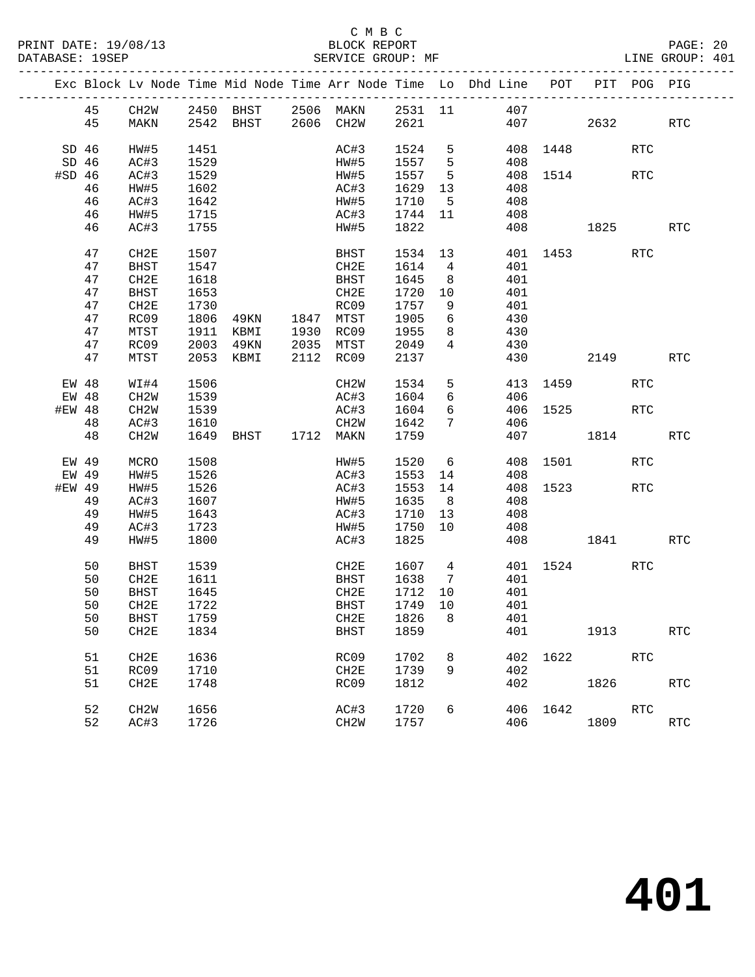PRINT DATE: 19/08/13 BLOCK REPORT BATABASE: 19SEP

## C M B C<br>BLOCK REPORT

PAGE: 20<br>LINE GROUP: 401

|          |         |              |              |                                            |             |                                           |                 | Exc Block Lv Node Time Mid Node Time Arr Node Time Lo Dhd Line POT PIT POG PIG |          |          |            |            |
|----------|---------|--------------|--------------|--------------------------------------------|-------------|-------------------------------------------|-----------------|--------------------------------------------------------------------------------|----------|----------|------------|------------|
|          | 45      | CH2W         |              |                                            |             |                                           |                 | 2450 BHST 2506 MAKN 2531 11 407                                                |          |          |            |            |
|          | 45      | MAKN         |              | 2542 BHST 2606 CH2W 2621                   |             |                                           |                 |                                                                                | 407      | 2632     |            | RTC        |
|          |         |              |              |                                            |             |                                           |                 |                                                                                |          |          |            |            |
|          | $SD$ 46 | HW#5         | 1451         |                                            |             | AC#3 1524 5<br>HW#5 1557 5<br>HW#5 1557 5 |                 |                                                                                | 408 1448 |          | <b>RTC</b> |            |
|          | SD 46   | AC#3         | 1529         |                                            |             |                                           |                 | 408                                                                            |          |          |            |            |
| $#SD$ 46 |         | AC#3         | 1529         |                                            |             |                                           |                 |                                                                                |          | 408 1514 | RTC        |            |
|          | 46      | HW#5         | 1602         |                                            |             | AC#3 1629 13                              |                 | 408                                                                            |          |          |            |            |
|          | 46      | AC#3         | 1642         |                                            |             | HW#5 1710 5                               |                 | 408                                                                            |          |          |            |            |
|          | 46      | HW#5         | 1715<br>1755 |                                            |             | AC#3 1744 11<br>HW#5 1822                 |                 | 408                                                                            |          |          |            |            |
|          | 46      | AC#3         |              |                                            |             |                                           |                 |                                                                                |          | 408 1825 |            | RTC        |
|          | 47      | CH2E         | 1507         |                                            | <b>BHST</b> | 1534 13                                   |                 |                                                                                |          | 401 1453 | RTC        |            |
|          | 47      | BHST         | 1547         |                                            | CH2E        | 1614                                      | $4\overline{4}$ | 401                                                                            |          |          |            |            |
|          | 47      | CH2E         | 1618         |                                            | BHST        | 1645                                      | 8 <sup>8</sup>  | 401                                                                            |          |          |            |            |
|          | 47      | BHST         | 1653         |                                            | CH2E        | 1720 10                                   |                 | 401                                                                            |          |          |            |            |
|          | 47      | CH2E         | 1730         |                                            | RC09        | 1757                                      | 9               | 401                                                                            |          |          |            |            |
|          | 47      | RC09         |              | 1806 49KN 1847 MTST<br>1911 KBMI 1930 RC09 |             | 1905<br>1955                              | 6               | 430                                                                            |          |          |            |            |
|          | 47      | MTST         |              |                                            |             |                                           | 8 <sup>8</sup>  | 430                                                                            |          |          |            |            |
|          | 47      | RC09         |              | 2003 49KN 2035 MTST 2049                   |             |                                           | $\overline{4}$  | 430                                                                            |          |          |            |            |
|          | 47      | MTST         |              | 2053 KBMI 2112 RC09 2137                   |             |                                           |                 |                                                                                |          | 430 2149 |            | RTC        |
| EW 48    |         | WI#4         | 1506         |                                            | CH2W        | 1534                                      | $5\overline{)}$ |                                                                                |          | 413 1459 | <b>RTC</b> |            |
|          | EW 48   | CH2W         | 1539         |                                            |             | AC#3 1604                                 | 6               | 406                                                                            |          |          |            |            |
| #EW 48   |         | CH2W         | 1539         |                                            | AC#3        | 1604                                      | $6\overline{6}$ |                                                                                |          | 406 1525 | <b>RTC</b> |            |
|          | 48      | AC#3         | 1610         |                                            | CH2W        | 1642                                      | 7               | 406                                                                            |          |          |            |            |
|          | 48      | CH2W         | 1649         | BHST 1712 MAKN                             |             | 1759                                      |                 |                                                                                |          | 407 1814 |            | <b>RTC</b> |
|          | EW 49   | MCRO         | 1508         |                                            |             | HW#5 1520 6                               |                 |                                                                                |          | 408 1501 | <b>RTC</b> |            |
|          | EW 49   | HW#5         | 1526         |                                            | AC#3        | 1553 14                                   |                 | 408                                                                            |          |          |            |            |
| #EW 49   |         | HW#5         | 1526         |                                            | AC#3        | 1553 14                                   |                 |                                                                                |          | 408 1523 | RTC        |            |
|          | 49      | AC#3         | 1607         |                                            | HW#5        | 1635                                      | 8 <sup>8</sup>  | 408                                                                            |          |          |            |            |
|          | 49      | HW#5         | 1643         |                                            |             | AC#3 1710 13                              |                 | 408                                                                            |          |          |            |            |
|          | 49      | AC#3         | 1723         |                                            |             | HW#5 1750                                 | 10              | 408                                                                            |          |          |            |            |
|          | 49      | HW#5         | 1800         |                                            | AC#3        | 1825                                      |                 |                                                                                |          | 408 1841 |            | RTC        |
|          | 50      | BHST         | 1539         |                                            | CH2E        | 1607 4                                    |                 |                                                                                |          | 401 1524 | RTC        |            |
|          | 50      | CH2E         | 1611         |                                            | <b>BHST</b> | 1638                                      | $7\overline{ }$ | 401                                                                            |          |          |            |            |
|          | 50      | BHST         | 1645         |                                            | CH2E        | 1712 10                                   |                 | 401                                                                            |          |          |            |            |
|          | 50      | CH2E         | 1722         |                                            | BHST        | 1749 10                                   |                 | 401                                                                            |          |          |            |            |
|          |         | 50 BHST 1759 |              |                                            |             |                                           |                 | CH2E 1826 8 401                                                                |          |          |            |            |
|          | 50      | CH2E         | 1834         |                                            | BHST        | 1859                                      |                 | 401                                                                            |          | 1913     |            | <b>RTC</b> |
|          | 51      | CH2E         | 1636         |                                            | RC09        | 1702                                      | 8               |                                                                                |          | 402 1622 | RTC        |            |
|          | 51      | RC09         | 1710         |                                            | CH2E        | 1739                                      | 9               | 402                                                                            |          |          |            |            |
|          | 51      | CH2E         | 1748         |                                            | RC09        | 1812                                      |                 | 402                                                                            |          | 1826     |            | <b>RTC</b> |
|          | 52      | CH2W         | 1656         |                                            | AC#3        | 1720                                      | 6               |                                                                                | 406 1642 |          | <b>RTC</b> |            |
|          | 52      | AC#3         | 1726         |                                            | CH2W        | 1757                                      |                 | 406                                                                            |          | 1809     |            | <b>RTC</b> |
|          |         |              |              |                                            |             |                                           |                 |                                                                                |          |          |            |            |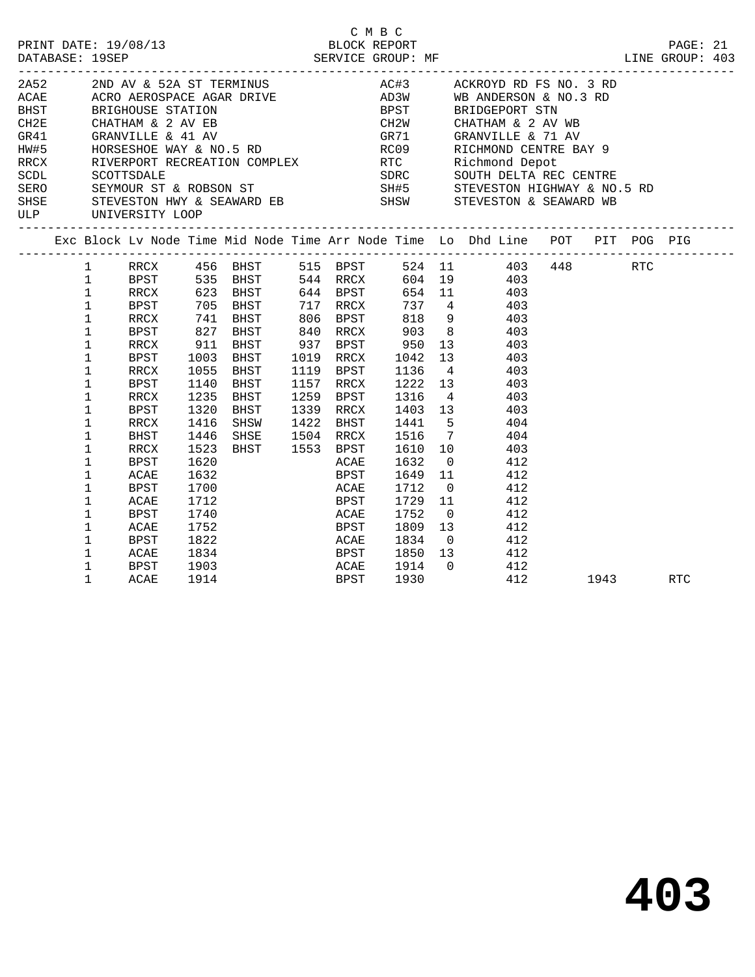|                                                                                                                                                                                             | PRINT DATE: 19/08/13                                                                                |                                                                              |                                                                                                                                                                                                                                                                                                                                                                                                                                                                                                          |                                            | C M B C<br>BLOCK REPORT                                                                        |  |                                                                                                                                       |          | PAGE: 21 |  |
|---------------------------------------------------------------------------------------------------------------------------------------------------------------------------------------------|-----------------------------------------------------------------------------------------------------|------------------------------------------------------------------------------|----------------------------------------------------------------------------------------------------------------------------------------------------------------------------------------------------------------------------------------------------------------------------------------------------------------------------------------------------------------------------------------------------------------------------------------------------------------------------------------------------------|--------------------------------------------|------------------------------------------------------------------------------------------------|--|---------------------------------------------------------------------------------------------------------------------------------------|----------|----------|--|
|                                                                                                                                                                                             | ULP UNIVERSITY LOOP                                                                                 |                                                                              | 2A52 2ND AV & 52A ST TERMINUS<br>ACAE ACRO AEROSPACE AGAR DRIVE AD3W WB ANDERSON & NO.3 RD<br>BHST BRIGHOUSE STATION BPST BRIDGEPORT STN CH2E CHATHAM & 2 AV EB CH2W CHATHAM & 2 AV WB GR41 GRANVILLE & 41 AV<br>HW#5<br>HORSESHOE WAY & NO.5 RD<br>RECR RIVERPORT RECREATION COMPLEX<br>SCDL SCOTTSDALE<br>SEYMOUR ST & ROBSON ST<br>RERO SEYMOUR ST & ROBSON ST SH#5<br>SERO SEYMOUR ST & ROBSON ST SH#5<br>STEVESTON HIGHWAY & NO.5 RD<br>SHSE STEVESTON HWY & SEAWARD EB SHSW STEVESTON & SEAWARD WB |                                            |                                                                                                |  | AC#3 ACKROYD RD FS NO. 3 RD                                                                                                           |          |          |  |
|                                                                                                                                                                                             |                                                                                                     |                                                                              | Exc Block Lv Node Time Mid Node Time Arr Node Time Lo Dhd Line POT PIT POG PIG                                                                                                                                                                                                                                                                                                                                                                                                                           |                                            |                                                                                                |  |                                                                                                                                       |          |          |  |
| $\mathbf 1$<br>$\mathbf{1}$<br>$\mathbf{1}$<br>$\mathbf{1}$<br>$\mathbf{1}$<br>$\mathbf{1}$<br>$\mathbf{1}$<br>$\mathbf{1}$<br>$\mathbf{1}$<br>$\mathbf{1}$<br>$\mathbf{1}$<br>$\mathbf{1}$ | <b>BPST</b><br>RRCX<br>BPST<br>RRCX<br>BPST<br>RRCX<br>BPST<br>RRCX<br>BPST<br>RRCX<br>BHST<br>RRCX | 911<br>1003<br>1055<br>1140<br>1235<br>1320<br>1416<br>1446<br>1523          | 1 RRCX 456 BHST 515 BPST 524 11 403 448 RTC<br>1 BPST 535 BHST 544 RRCX 604 19 403<br>1 RRCX 623 BHST 644 BPST 654 11 403<br>705 BHST 717 RRCX 737 4 403<br>741 BHST 806 BPST 818 9 403<br>827 BHST 840 RRCX 903 8 403<br>BHST 937 BPST 950 13 403<br><b>BHST</b><br>BHST<br>BHST<br><b>BHST</b><br>BHST 1339 RRCX 1403 13 403<br>SHSW 1422 BHST 1441 5 404<br>SHSE 1504 RRCX 1516 7 404<br>BHST 1553 BPST 1610 10 403                                                                                   |                                            | 1019 RRCX 1042 13 403<br>1119 BPST 1136 4 403<br>1157 RRCX 1222 13 403<br>1259 BPST 1316 4 403 |  |                                                                                                                                       |          |          |  |
| $\mathbf{1}$<br>$\mathbf{1}$<br>$\mathbf{1}$<br>$\mathbf{1}$<br>$\mathbf{1}$<br>$\mathbf{1}$<br>$\mathbf{1}$<br>$\mathbf{1}$<br>$\mathbf{1}$<br>$\mathbf{1}$                                | BPST<br>ACAE<br>BPST<br>ACAE<br>BPST<br>ACAE<br>BPST<br>ACAE<br>BPST<br>ACAE                        | 1620<br>1632<br>1700<br>1712<br>1740<br>1752<br>1822<br>1834<br>1903<br>1914 | ACAE<br>BPST 1850 13 412<br>ACAE 1914 0 412<br>BPST 1930 412                                                                                                                                                                                                                                                                                                                                                                                                                                             | BPST<br><b>ACAE</b><br>BPST<br><b>ACAE</b> | BPST 1809 13<br>ACAE 1834 0 412<br>1930                                                        |  | $\begin{array}{cccc} 1632 & 0 & 412 \\ 1649 & 11 & 412 \\ 1712 & 0 & 412 \end{array}$<br>1729 11 412<br>$1752$ 0 412<br>$1809$ 13 412 | 1943 RTC |          |  |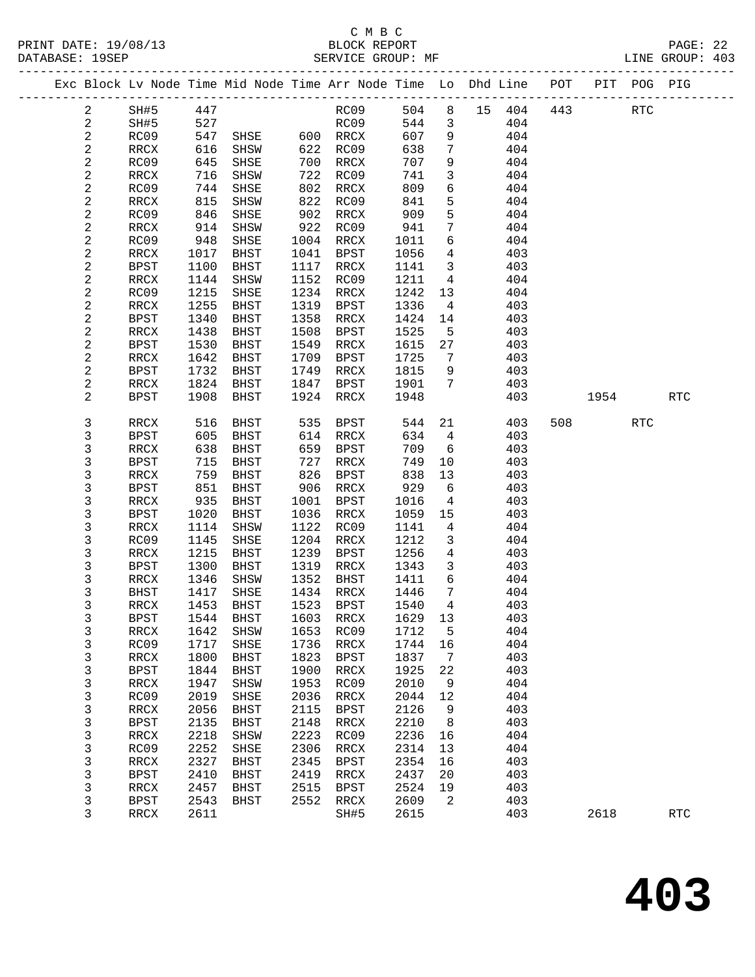# C M B C

|  | DATABASE: 19SEP |             |      |                                        |      | SERVICE GROUP: MF |         |                 |                                                                                |     |         |     | LINE GROUP: 403 |  |
|--|-----------------|-------------|------|----------------------------------------|------|-------------------|---------|-----------------|--------------------------------------------------------------------------------|-----|---------|-----|-----------------|--|
|  |                 |             |      |                                        |      |                   |         |                 | Exc Block Lv Node Time Mid Node Time Arr Node Time Lo Dhd Line POT PIT POG PIG |     |         |     |                 |  |
|  | 2               | SH#5        | 447  |                                        |      | RC09              | 504 8   |                 | 15 404 443 RTC                                                                 |     |         |     |                 |  |
|  | $\overline{a}$  | SH#5        | 527  |                                        |      | RC09              | 544     | 3               | 404                                                                            |     |         |     |                 |  |
|  | $\sqrt{2}$      | RC09        | 547  |                                        |      |                   | 607     | $\overline{9}$  | 404                                                                            |     |         |     |                 |  |
|  | $\overline{c}$  | RRCX        | 616  | SHSE 600 RRCX<br>SHSW 622 RC09<br>SHSW |      | 622 RC09          | 638     | $7\overline{ }$ | 404                                                                            |     |         |     |                 |  |
|  | $\sqrt{2}$      | RC09        | 645  | SHSE                                   | 700  | RRCX              | 707     | 9               | 404                                                                            |     |         |     |                 |  |
|  | $\sqrt{2}$      | RRCX        | 716  | SHSW                                   |      | 722 RC09          | 741     | $\mathbf{3}$    | 404                                                                            |     |         |     |                 |  |
|  | $\sqrt{2}$      | RC09        | 744  | SHSE                                   | 802  | RRCX              | 809     | 6               | 404                                                                            |     |         |     |                 |  |
|  | $\sqrt{2}$      | RRCX        | 815  | SHSW                                   | 822  | RC09              | 841     | 5               | 404                                                                            |     |         |     |                 |  |
|  | $\overline{a}$  | RC09        | 846  | SHSE                                   | 902  | RRCX              | 909     | 5               | 404                                                                            |     |         |     |                 |  |
|  | $\overline{2}$  | RRCX        | 914  | SHSW                                   | 922  | RC09              | 941     | $7\phantom{.0}$ | 404                                                                            |     |         |     |                 |  |
|  | $\sqrt{2}$      | RC09        | 948  | SHSE                                   |      | 1004 RRCX         | 1011    | $\epsilon$      | 404                                                                            |     |         |     |                 |  |
|  | $\sqrt{2}$      | RRCX        | 1017 | <b>BHST</b>                            | 1041 | BPST              | 1056    | $\overline{4}$  | 403                                                                            |     |         |     |                 |  |
|  | $\sqrt{2}$      | BPST        | 1100 | BHST                                   | 1117 | RRCX              | 1141    | $\mathbf{3}$    | 403                                                                            |     |         |     |                 |  |
|  | $\overline{2}$  | RRCX        | 1144 | SHSW                                   | 1152 | RC09              | 1211    | $\overline{4}$  | 404                                                                            |     |         |     |                 |  |
|  | $\overline{a}$  | RC09        | 1215 | SHSE                                   | 1234 | RRCX              | 1242    | 13              | 404                                                                            |     |         |     |                 |  |
|  | $\overline{a}$  | RRCX        | 1255 | <b>BHST</b>                            | 1319 | <b>BPST</b>       | 1336    | $\overline{4}$  | 403                                                                            |     |         |     |                 |  |
|  | $\sqrt{2}$      | <b>BPST</b> | 1340 | BHST                                   | 1358 | RRCX              | 1424    | 14              | 403                                                                            |     |         |     |                 |  |
|  | 2               | RRCX        | 1438 | BHST                                   | 1508 | BPST              | 1525    | 5               | 403                                                                            |     |         |     |                 |  |
|  | $\overline{a}$  | <b>BPST</b> | 1530 | BHST                                   | 1549 | RRCX              | 1615    | 27              | 403                                                                            |     |         |     |                 |  |
|  | $\overline{2}$  | RRCX        | 1642 | BHST                                   | 1709 | BPST              | 1725    | $\overline{7}$  | 403                                                                            |     |         |     |                 |  |
|  | $\overline{a}$  | BPST        | 1732 | BHST                                   | 1749 | RRCX              | 1815    | 9               | 403                                                                            |     |         |     |                 |  |
|  | $\overline{2}$  | RRCX        | 1824 | BHST                                   | 1847 | BPST              | 1901 7  |                 | 403                                                                            |     |         |     |                 |  |
|  | $\overline{2}$  | BPST        | 1908 | <b>BHST</b>                            | 1924 | RRCX              | 1948    |                 | 403                                                                            |     | 1954 70 |     | <b>RTC</b>      |  |
|  | 3               | RRCX        | 516  | BHST                                   | 535  | BPST              | 544     | 21              | 403                                                                            | 508 |         | RTC |                 |  |
|  | 3               | BPST        | 605  | BHST                                   |      | 614 RRCX          | 634     | $\overline{4}$  | 403                                                                            |     |         |     |                 |  |
|  | 3               | RRCX        | 638  | BHST                                   | 659  | BPST              | 709     | 6               | 403                                                                            |     |         |     |                 |  |
|  | 3               | <b>BPST</b> | 715  | <b>BHST</b>                            | 727  | RRCX              | 749     | 10              | 403                                                                            |     |         |     |                 |  |
|  | 3               | RRCX        | 759  | BHST                                   | 826  | BPST              | 838 13  |                 | 403                                                                            |     |         |     |                 |  |
|  | 3               | BPST        | 851  | BHST                                   | 906  | RRCX              | 929     | 6               | 403                                                                            |     |         |     |                 |  |
|  | $\mathbf{3}$    | RRCX        | 935  | BHST                                   | 1001 | BPST              | 1016    | $\overline{4}$  | 403                                                                            |     |         |     |                 |  |
|  | 3               | BPST        | 1020 | <b>BHST</b>                            | 1036 | RRCX              | 1059 15 |                 | 403                                                                            |     |         |     |                 |  |
|  | 3               | RRCX        | 1114 | SHSW                                   | 1122 | RC09              | 1141    | $\overline{4}$  | 404                                                                            |     |         |     |                 |  |
|  | 3               | RC09        | 1145 | SHSE                                   | 1204 | RRCX              | 1212    | 3               | 404                                                                            |     |         |     |                 |  |
|  | $\mathfrak{Z}$  | RRCX        | 1215 | <b>BHST</b>                            | 1239 | <b>BPST</b>       | 1256    | $\overline{4}$  | 403                                                                            |     |         |     |                 |  |
|  | 3               | <b>BPST</b> | 1300 | BHST                                   | 1319 | RRCX              | 1343    | $\mathbf{3}$    | 403                                                                            |     |         |     |                 |  |
|  | 3               | RRCX        | 1346 | SHSW                                   | 1352 | BHST              | 1411    | 6               | 404                                                                            |     |         |     |                 |  |
|  | 3               | BHST        | 1417 | SHSE                                   | 1434 | RRCX              | 1446    | 7               | 404                                                                            |     |         |     |                 |  |
|  | 3               | RRCX        | 1453 | <b>BHST</b>                            | 1523 | BPST              | 1540    | $\overline{4}$  | 403                                                                            |     |         |     |                 |  |
|  | 3               | <b>BPST</b> | 1544 | BHST                                   | 1603 | RRCX              | 1629    | 13              | 403                                                                            |     |         |     |                 |  |
|  | 3               | RRCX        | 1642 | SHSW                                   | 1653 | RC09              | 1712    | $-5$            | 404                                                                            |     |         |     |                 |  |
|  | 3               | RC09        | 1717 | SHSE                                   | 1736 | RRCX              | 1744    | 16              | 404                                                                            |     |         |     |                 |  |
|  | 3               | RRCX        | 1800 | BHST                                   | 1823 | BPST              | 1837    | $\overline{7}$  | 403                                                                            |     |         |     |                 |  |
|  | 3               | <b>BPST</b> | 1844 | <b>BHST</b>                            | 1900 | RRCX              | 1925    | 22              | 403                                                                            |     |         |     |                 |  |
|  |                 |             |      |                                        |      |                   |         |                 |                                                                                |     |         |     |                 |  |

 3 RRCX 1947 SHSW 1953 RC09 2010 9 404 3 RC09 2019 SHSE 2036 RRCX 2044 12 404 3 RRCX 2056 BHST 2115 BPST 2126 9 403 3 BPST 2135 BHST 2148 RRCX 2210 8 403

 3 RRCX 2457 BHST 2515 BPST 2524 19 403 3 BPST 2543 BHST 2552 RRCX 2609 2 403

3 RRCX 2218 SHSW 2223 RC09 2236 16 404<br>3 RC09 2252 SHSE 2306 RRCX 2314 13 404<br>3 RRCX 2327 BHST 2345 BPST 2354 16 403 3 RC09 2252 SHSE 2306 RRCX 2314 13 404

3 RRCX 2327 BHST 2345 BPST 2354 16 403<br>3 BPST 2410 BHST 2419 RRCX 2437 20 403<br>3 RRCX 2457 BHST 2515 BPST 2524 19 403 3 BPST 2410 BHST 2419 RRCX 2437 20 403

3 RRCX 2611 SH#5 2615 403 2618 RTC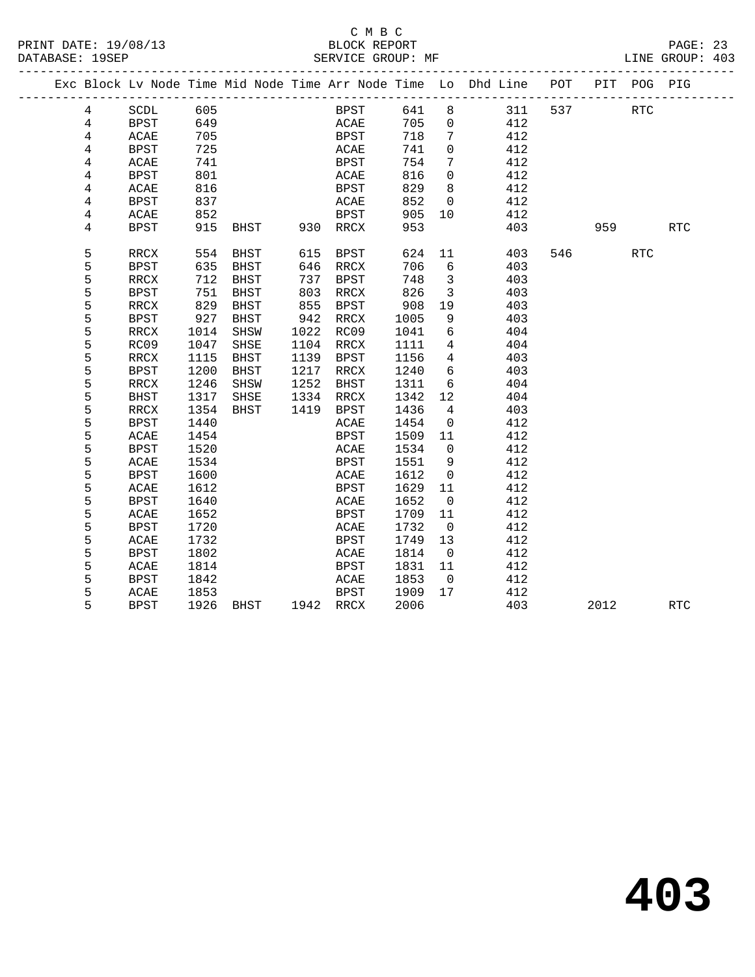#### C M B C<br>BLOCK REPORT PRINT DATE: 19/08/13 BLOCK REPORT PAGE: 23 SERVICE GROUP: MF

|  |                |                              |      |             |      |                              |      |                 | Exc Block Lv Node Time Mid Node Time Arr Node Time Lo Dhd Line | POT | PIT  | POG PIG    |            |
|--|----------------|------------------------------|------|-------------|------|------------------------------|------|-----------------|----------------------------------------------------------------|-----|------|------------|------------|
|  | $\overline{4}$ | $\operatorname{SCDL}$        | 605  |             |      | BPST                         | 641  | 8               | 311                                                            | 537 |      | RTC        |            |
|  | $\overline{4}$ | BPST                         | 649  |             |      | ACAE                         | 705  | $\mathbf 0$     | 412                                                            |     |      |            |            |
|  | $\overline{4}$ | ACAE                         | 705  |             |      | BPST                         | 718  | $7\phantom{.0}$ | 412                                                            |     |      |            |            |
|  | 4              | BPST                         | 725  |             |      | ACAE                         | 741  | $\overline{0}$  | 412                                                            |     |      |            |            |
|  | 4              | ACAE                         | 741  |             |      | BPST                         | 754  | 7               | 412                                                            |     |      |            |            |
|  | $\overline{4}$ | BPST                         | 801  |             |      | ACAE                         | 816  | $\overline{0}$  | 412                                                            |     |      |            |            |
|  | 4              | ACAE                         | 816  |             |      | BPST                         | 829  | 8               | 412                                                            |     |      |            |            |
|  | 4              | <b>BPST</b>                  | 837  |             |      | $\ensuremath{\mathsf{ACAE}}$ | 852  | $\overline{0}$  | 412                                                            |     |      |            |            |
|  | 4              | ACAE                         | 852  |             |      | <b>BPST</b>                  | 905  | 10              | 412                                                            |     |      |            |            |
|  | 4              | BPST                         | 915  | BHST        |      | 930 RRCX                     | 953  |                 | 403                                                            |     | 959  |            | <b>RTC</b> |
|  | 5              | RRCX                         | 554  | BHST        | 615  | BPST                         | 624  | 11              | 403                                                            | 546 |      | <b>RTC</b> |            |
|  | 5              | <b>BPST</b>                  | 635  | BHST        | 646  | RRCX                         | 706  | 6               | 403                                                            |     |      |            |            |
|  | 5              | RRCX                         | 712  | BHST        | 737  | BPST                         | 748  | $\overline{3}$  | 403                                                            |     |      |            |            |
|  | 5              | BPST                         | 751  | BHST        | 803  | RRCX                         | 826  | $\overline{3}$  | 403                                                            |     |      |            |            |
|  | 5              | RRCX                         | 829  | BHST        | 855  | <b>BPST</b>                  | 908  | 19              | 403                                                            |     |      |            |            |
|  | 5              | <b>BPST</b>                  | 927  | BHST        | 942  | RRCX                         | 1005 | - 9             | 403                                                            |     |      |            |            |
|  | 5              | RRCX                         | 1014 | SHSW        | 1022 | RC09                         | 1041 | 6               | 404                                                            |     |      |            |            |
|  | 5              | RC09                         | 1047 | SHSE        | 1104 | RRCX                         | 1111 | $\overline{4}$  | 404                                                            |     |      |            |            |
|  | 5              | RRCX                         | 1115 | BHST        | 1139 | BPST                         | 1156 | $4\overline{ }$ | 403                                                            |     |      |            |            |
|  | 5              | <b>BPST</b>                  | 1200 | <b>BHST</b> | 1217 | RRCX                         | 1240 | $6\overline{6}$ | 403                                                            |     |      |            |            |
|  | 5              | RRCX                         | 1246 | SHSW        | 1252 | BHST                         | 1311 | 6               | 404                                                            |     |      |            |            |
|  | 5              | <b>BHST</b>                  | 1317 | SHSE        | 1334 | RRCX                         | 1342 | 12              | 404                                                            |     |      |            |            |
|  | 5              | RRCX                         | 1354 | BHST        | 1419 | BPST                         | 1436 | $4\overline{ }$ | 403                                                            |     |      |            |            |
|  | 5              | BPST                         | 1440 |             |      | ACAE                         | 1454 | $\mathbf 0$     | 412                                                            |     |      |            |            |
|  | 5              | ACAE                         | 1454 |             |      | <b>BPST</b>                  | 1509 | 11              | 412                                                            |     |      |            |            |
|  | 5              | <b>BPST</b>                  | 1520 |             |      | ACAE                         | 1534 | $\overline{0}$  | 412                                                            |     |      |            |            |
|  | 5              | $\ensuremath{\mathsf{ACAE}}$ | 1534 |             |      | <b>BPST</b>                  | 1551 | 9               | 412                                                            |     |      |            |            |
|  | 5              | <b>BPST</b>                  | 1600 |             |      | ACAE                         | 1612 | $\overline{0}$  | 412                                                            |     |      |            |            |
|  | 5              | ACAE                         | 1612 |             |      | <b>BPST</b>                  | 1629 | 11              | 412                                                            |     |      |            |            |
|  | 5              | <b>BPST</b>                  | 1640 |             |      | ACAE                         | 1652 | $\overline{0}$  | 412                                                            |     |      |            |            |
|  | 5              | ACAE                         | 1652 |             |      | BPST                         | 1709 | 11              | 412                                                            |     |      |            |            |
|  | 5              | <b>BPST</b>                  | 1720 |             |      | ACAE                         | 1732 | $\overline{0}$  | 412                                                            |     |      |            |            |
|  | 5              | ACAE                         | 1732 |             |      | BPST                         | 1749 | 13              | 412                                                            |     |      |            |            |
|  | 5              | <b>BPST</b>                  | 1802 |             |      | ACAE                         | 1814 | $\overline{0}$  | 412                                                            |     |      |            |            |
|  | 5              | ACAE                         | 1814 |             |      | BPST                         | 1831 | 11              | 412                                                            |     |      |            |            |
|  | 5              | BPST                         | 1842 |             |      | ACAE                         | 1853 | $\overline{0}$  | 412                                                            |     |      |            |            |
|  | 5              | ACAE                         | 1853 |             |      | <b>BPST</b>                  | 1909 | 17              | 412                                                            |     |      |            |            |
|  | 5              | <b>BPST</b>                  | 1926 | BHST        |      | 1942 RRCX                    | 2006 |                 | 403                                                            |     | 2012 |            | <b>RTC</b> |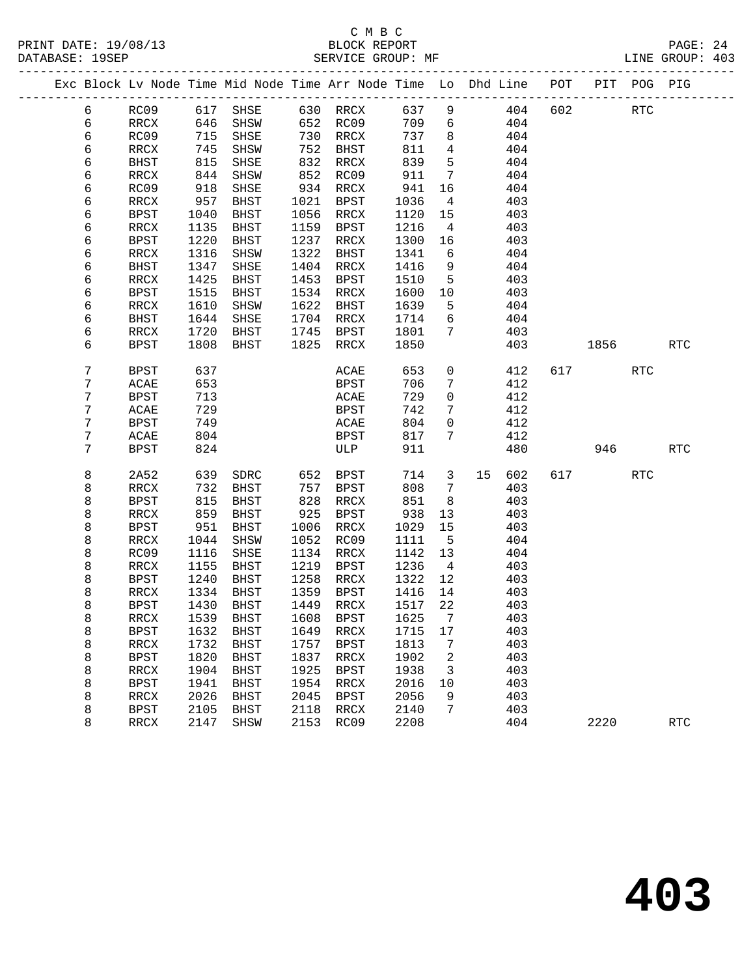### C M B C DATABASE: 19SEP SERVICE GROUP: MF LINE GROUP: 403

| Exc Block Lv Node Time Mid Node Time Arr Node Time Lo Dhd Line POT |             |      |             |      |           |      |                |           |     |          | PIT POG PIG |            |
|--------------------------------------------------------------------|-------------|------|-------------|------|-----------|------|----------------|-----------|-----|----------|-------------|------------|
| 6                                                                  | RC09        | 617  | SHSE        |      | 630 RRCX  | 637  | 9              | 404       | 602 |          | <b>RTC</b>  |            |
| 6                                                                  | RRCX        | 646  | SHSW        |      | 652 RC09  | 709  | 6              | 404       |     |          |             |            |
| 6                                                                  | RC09        | 715  | SHSE        | 730  | RRCX      | 737  | 8              | 404       |     |          |             |            |
| 6                                                                  | RRCX        | 745  | SHSW        | 752  | BHST      | 811  | $\overline{4}$ | 404       |     |          |             |            |
| 6                                                                  | BHST        | 815  | SHSE        | 832  | RRCX      | 839  | 5              | 404       |     |          |             |            |
| 6                                                                  | RRCX        | 844  | SHSW        | 852  | RC09      | 911  | $7\phantom{.}$ | 404       |     |          |             |            |
| 6                                                                  | RC09        | 918  | SHSE        | 934  | RRCX      | 941  | 16             | 404       |     |          |             |            |
| 6                                                                  | RRCX        | 957  | BHST        | 1021 | BPST      | 1036 | $\overline{4}$ | 403       |     |          |             |            |
| 6                                                                  | <b>BPST</b> | 1040 | BHST        | 1056 | RRCX      | 1120 | 15             | 403       |     |          |             |            |
| 6                                                                  | RRCX        | 1135 | BHST        | 1159 | BPST      | 1216 | $\overline{4}$ | 403       |     |          |             |            |
| 6                                                                  | BPST        | 1220 | BHST        | 1237 | RRCX      | 1300 | 16             | 403       |     |          |             |            |
| 6                                                                  | RRCX        | 1316 | SHSW        | 1322 | BHST      | 1341 | 6              | 404       |     |          |             |            |
| 6                                                                  | BHST        | 1347 | SHSE        | 1404 | RRCX      | 1416 | 9              | 404       |     |          |             |            |
| 6                                                                  | RRCX        | 1425 | BHST        | 1453 | BPST      | 1510 | 5              | 403       |     |          |             |            |
| 6                                                                  | BPST        | 1515 | <b>BHST</b> | 1534 | RRCX      | 1600 | 10             | 403       |     |          |             |            |
| 6                                                                  | RRCX        | 1610 | SHSW        | 1622 | BHST      | 1639 | 5              | 404       |     |          |             |            |
| 6                                                                  | BHST        | 1644 | SHSE        | 1704 | RRCX      | 1714 | 6              | 404       |     |          |             |            |
| 6                                                                  | RRCX        | 1720 | <b>BHST</b> | 1745 | BPST      | 1801 | $7^{\circ}$    | 403       |     |          |             |            |
| 6                                                                  | BPST        | 1808 | BHST        | 1825 | RRCX      | 1850 |                | 403       |     | 1856     |             | RTC        |
|                                                                    |             |      |             |      |           |      |                |           |     |          |             |            |
| $7\phantom{.}$                                                     | BPST        | 637  |             |      | ACAE      | 653  | 0              | 412       |     | 617 — 17 | RTC         |            |
| 7                                                                  | ACAE        | 653  |             |      | BPST      | 706  | 7              | 412       |     |          |             |            |
| 7                                                                  | BPST        | 713  |             |      | ACAE      | 729  | 0              | 412       |     |          |             |            |
| 7                                                                  | ACAE        | 729  |             |      | BPST      | 742  | 7              | 412       |     |          |             |            |
| 7                                                                  | BPST        | 749  |             |      | ACAE      | 804  | 0              | 412       |     |          |             |            |
| 7                                                                  | ACAE        | 804  |             |      | BPST      | 817  | 7              | 412       |     |          |             |            |
| 7                                                                  | BPST        | 824  |             |      | ULP       | 911  |                | 480       |     | 946      |             | <b>RTC</b> |
| 8                                                                  | 2A52        | 639  | SDRC        | 652  | BPST      | 714  | $\mathbf{3}$   | 602<br>15 | 617 |          | RTC         |            |
| 8                                                                  | RRCX        | 732  | BHST        | 757  | BPST      | 808  | 7              | 403       |     |          |             |            |
| 8                                                                  | BPST        | 815  | <b>BHST</b> | 828  | RRCX      | 851  | 8              | 403       |     |          |             |            |
| 8                                                                  | RRCX        | 859  | <b>BHST</b> | 925  | BPST      | 938  | 13             | 403       |     |          |             |            |
| 8                                                                  | BPST        | 951  | BHST        | 1006 | RRCX      | 1029 | 15             | 403       |     |          |             |            |
| 8                                                                  | RRCX        | 1044 | SHSW        | 1052 | RC09      | 1111 | 5              | 404       |     |          |             |            |
| 8                                                                  | RC09        | 1116 | SHSE        | 1134 | RRCX      | 1142 | 13             | 404       |     |          |             |            |
| 8                                                                  | RRCX        | 1155 | BHST        |      | 1219 BPST | 1236 | $\overline{4}$ | 403       |     |          |             |            |
|                                                                    |             |      |             |      |           |      |                |           |     |          |             |            |

 8 BPST 1240 BHST 1258 RRCX 1322 12 403 8 RRCX 1334 BHST 1359 BPST 1416 14 403 8 BPST 1430 BHST 1449 RRCX 1517 22 403 8 RRCX 1539 BHST 1608 BPST 1625 7 403 8 BPST 1632 BHST 1649 RRCX 1715 17 403 8 RRCX 1732 BHST 1757 BPST 1813 7 403 8 BPST 1820 BHST 1837 RRCX 1902 2 403 8 RRCX 1904 BHST 1925 BPST 1938 3 403 8 BPST 1941 BHST 1954 RRCX 2016 10 403 8 RRCX 2026 BHST 2045 BPST 2056 9 403 8 BPST 2105 BHST 2118 RRCX 2140 7 403

8 RRCX 2147 SHSW 2153 RC09 2208 404 2220 RTC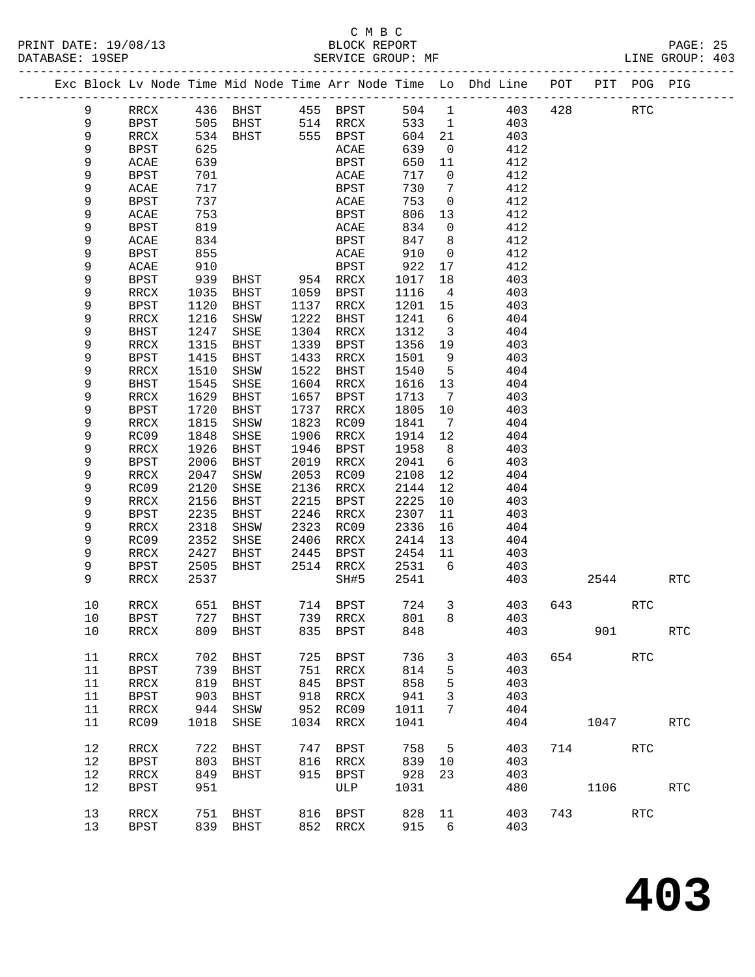## C M B C

| DATABASE: 19SEP |    |               |      |               |      | SERVICE GROUP: MF      |                 |                            |                                                                                |     |      |            | LINE GROUP: 403 |  |
|-----------------|----|---------------|------|---------------|------|------------------------|-----------------|----------------------------|--------------------------------------------------------------------------------|-----|------|------------|-----------------|--|
|                 |    |               |      |               |      |                        |                 |                            | Exc Block Lv Node Time Mid Node Time Arr Node Time Lo Dhd Line POT PIT POG PIG |     |      |            |                 |  |
|                 | 9  |               |      |               |      |                        |                 |                            | RRCX 436 BHST 455 BPST 504 1 403 428 RTC                                       |     |      |            |                 |  |
|                 | 9  |               |      |               |      | BPST 505 BHST 514 RRCX | 533 1           |                            | 403                                                                            |     |      |            |                 |  |
|                 | 9  | RRCX          |      |               |      | 534 BHST 555 BPST      | 604 21          |                            | 403                                                                            |     |      |            |                 |  |
|                 | 9  | BPST          | 625  |               |      | ACAE                   | 639             | $\overline{\mathbf{0}}$    | 412                                                                            |     |      |            |                 |  |
|                 | 9  | ACAE          | 639  |               |      | BPST                   | 650             | 11                         | 412                                                                            |     |      |            |                 |  |
|                 | 9  | BPST          | 701  |               |      | ACAE                   | 717             | $\overline{0}$             | 412                                                                            |     |      |            |                 |  |
|                 | 9  | ACAE          | 717  |               |      | BPST                   | 730             | $\overline{7}$             | 412                                                                            |     |      |            |                 |  |
|                 | 9  | BPST          | 737  |               |      | ACAE                   | 753             | $\overline{0}$             | 412                                                                            |     |      |            |                 |  |
|                 | 9  | ACAE          | 753  |               |      | BPST                   | 806             | 13                         | 412                                                                            |     |      |            |                 |  |
|                 | 9  | BPST          | 819  |               |      | ACAE                   | 834             | $\overline{0}$             | 412                                                                            |     |      |            |                 |  |
|                 | 9  | ACAE          | 834  |               |      | BPST                   | 847             | $\overline{\phantom{0}}$ 8 | 412                                                                            |     |      |            |                 |  |
|                 | 9  | BPST          | 855  |               |      | ACAE                   | 910             | $\overline{0}$             | 412                                                                            |     |      |            |                 |  |
|                 | 9  | ACAE          | 910  |               |      | BPST                   | 922             | 17                         | 412                                                                            |     |      |            |                 |  |
|                 | 9  | BPST          | 939  | BHST 954 RRCX |      |                        | 1017            | 18                         | 403                                                                            |     |      |            |                 |  |
|                 | 9  | RRCX          | 1035 | BHST          |      | 1059 BPST              | 1116            | $\overline{4}$             | 403                                                                            |     |      |            |                 |  |
|                 | 9  | BPST          | 1120 | BHST          |      | 1137 RRCX              | 1201 15         |                            | 403                                                                            |     |      |            |                 |  |
|                 | 9  | RRCX          | 1216 | SHSW          |      | 1222 BHST              | 1241            | 6                          | 404                                                                            |     |      |            |                 |  |
|                 | 9  | BHST          | 1247 | SHSE          |      | 1304 RRCX              | 1312            | $\overline{\mathbf{3}}$    | 404                                                                            |     |      |            |                 |  |
|                 | 9  | RRCX          | 1315 | BHST          |      | 1339 BPST              | 1356 19         |                            | 403                                                                            |     |      |            |                 |  |
|                 | 9  | BPST          | 1415 | BHST          | 1433 | RRCX                   | 1501            | 9                          | 403                                                                            |     |      |            |                 |  |
|                 | 9  | RRCX          | 1510 | SHSW          |      | 1522 BHST              | 1540            | $5^{\circ}$                | 404                                                                            |     |      |            |                 |  |
|                 | 9  | BHST          | 1545 | SHSE          |      | 1604 RRCX              | 1616            | 13                         | 404                                                                            |     |      |            |                 |  |
|                 | 9  | RRCX          | 1629 | BHST          |      | 1657 BPST              | 1713            | $\overline{7}$             | 403                                                                            |     |      |            |                 |  |
|                 |    |               |      |               | 1737 |                        |                 |                            | 403                                                                            |     |      |            |                 |  |
|                 | 9  | BPST<br>RRCX  | 1720 | BHST          | 1823 | RRCX                   | 1805            | 10                         | 404                                                                            |     |      |            |                 |  |
|                 | 9  |               | 1815 | SHSW          | 1906 | RC09                   | 1841<br>1914 12 | $\overline{7}$             | 404                                                                            |     |      |            |                 |  |
|                 | 9  | RC09          | 1848 | SHSE          |      | RRCX                   |                 |                            |                                                                                |     |      |            |                 |  |
|                 | 9  | RRCX          | 1926 | BHST          | 1946 | BPST                   | 1958            | 8 <sup>8</sup>             | 403                                                                            |     |      |            |                 |  |
|                 | 9  | BPST          | 2006 | BHST          | 2019 | RRCX                   | 2041            | 6                          | 403                                                                            |     |      |            |                 |  |
|                 | 9  | RRCX          | 2047 | SHSW          | 2053 | RC09                   | 2108            | 12                         | 404                                                                            |     |      |            |                 |  |
|                 | 9  | RC09          | 2120 | SHSE          |      | 2136 RRCX              | 2144            | 12                         | 404                                                                            |     |      |            |                 |  |
|                 | 9  | RRCX          | 2156 | BHST          | 2215 | BPST                   | 2225            | 10                         | 403                                                                            |     |      |            |                 |  |
|                 | 9  | BPST          | 2235 | BHST          | 2246 | RRCX                   | 2307            | 11                         | 403                                                                            |     |      |            |                 |  |
|                 | 9  | RRCX          | 2318 | SHSW          | 2323 | RC09                   | 2336            | 16                         | 404                                                                            |     |      |            |                 |  |
|                 | 9  | RC09          | 2352 | SHSE          |      | 2406 RRCX              | 2414 13         |                            | 404                                                                            |     |      |            |                 |  |
|                 | 9  | RRCX          | 2427 | BHST          | 2445 | BPST 2454 11           |                 |                            | 403                                                                            |     |      |            |                 |  |
|                 | 9  | BPST          | 2505 | BHST          |      | 2514 RRCX 2531 6       |                 |                            | 403                                                                            |     |      |            |                 |  |
|                 | 9  | RRCX          | 2537 |               |      | SH#5                   | 2541            |                            |                                                                                | 403 | 2544 |            | <b>RTC</b>      |  |
|                 | 10 |               |      |               |      |                        |                 |                            | RRCX 651 BHST 714 BPST 724 3 403 643                                           |     |      | <b>RTC</b> |                 |  |
|                 | 10 | <b>BPST</b>   | 727  | BHST          | 739  | RRCX                   | 801             | 8                          | 403                                                                            |     |      |            |                 |  |
|                 | 10 | RRCX          | 809  | BHST          | 835  | <b>BPST</b>            | 848             |                            | 403                                                                            |     | 901  |            | <b>RTC</b>      |  |
|                 | 11 | $\verb!RRCX!$ | 702  | BHST          | 725  | BPST                   | 736             | $\mathbf{3}$               | 403                                                                            |     | 654  | RTC        |                 |  |
|                 | 11 | BPST          | 739  | BHST          | 751  | RRCX                   | 814             | 5                          | 403                                                                            |     |      |            |                 |  |
|                 | 11 | $\verb!RRCX!$ | 819  | <b>BHST</b>   | 845  | <b>BPST</b>            | 858             | 5                          | 403                                                                            |     |      |            |                 |  |
|                 | 11 | <b>BPST</b>   | 903  | BHST          | 918  | RRCX                   | 941             | $\mathbf{3}$               | 403                                                                            |     |      |            |                 |  |
|                 | 11 | RRCX          | 944  | SHSW          | 952  | RC09                   | 1011            | $7\phantom{.0}$            | 404                                                                            |     |      |            |                 |  |
|                 | 11 | RC09          | 1018 | SHSE          | 1034 | RRCX                   | 1041            |                            | 404                                                                            |     | 1047 |            | <b>RTC</b>      |  |
|                 | 12 | RRCX          | 722  | BHST          |      | 747 BPST               | 758             | 5                          | 403                                                                            |     | 714  | RTC        |                 |  |
|                 | 12 | <b>BPST</b>   | 803  | BHST          | 816  | RRCX                   | 839             | 10                         | 403                                                                            |     |      |            |                 |  |
|                 | 12 | RRCX          | 849  | BHST          | 915  | BPST                   | 928             | 23                         | 403                                                                            |     |      |            |                 |  |
|                 | 12 | BPST          | 951  |               |      | ULP                    | 1031            |                            | 480                                                                            |     | 1106 |            | <b>RTC</b>      |  |
|                 | 13 | $\verb!RRCX!$ | 751  | BHST          |      | 816 BPST               | 828 11          |                            | 403                                                                            |     | 743  | RTC        |                 |  |
|                 | 13 | BPST          |      | 839 BHST      |      | 852 RRCX               | 915 6           |                            | 403                                                                            |     |      |            |                 |  |
|                 |    |               |      |               |      |                        |                 |                            |                                                                                |     |      |            |                 |  |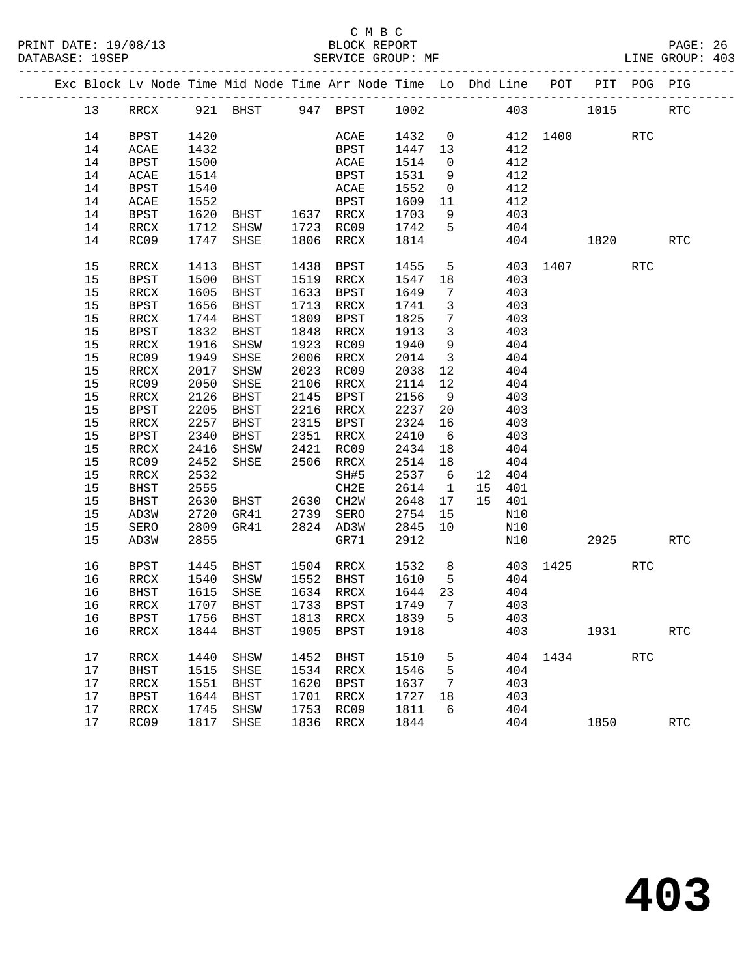|    |                   |      | Exc Block Lv Node Time Mid Node Time Arr Node Time Lo Dhd Line POT |      |                  |         |                         |     |        |          |         | PIT POG PIG |            |
|----|-------------------|------|--------------------------------------------------------------------|------|------------------|---------|-------------------------|-----|--------|----------|---------|-------------|------------|
| 13 |                   |      | RRCX 921 BHST 947 BPST 1002                                        |      |                  |         |                         |     |        | 403      | 1015    |             | <b>RTC</b> |
| 14 | BPST              | 1420 |                                                                    |      | ACAE             | 1432    | $\overline{0}$          |     |        | 412 1400 |         | <b>RTC</b>  |            |
| 14 | ACAE              | 1432 |                                                                    |      | <b>BPST</b>      | 1447 13 |                         | 412 |        |          |         |             |            |
| 14 | BPST              | 1500 |                                                                    |      | ACAE             | 1514    | $\overline{0}$          |     | 412    |          |         |             |            |
| 14 | ACAE              | 1514 |                                                                    |      | BPST             | 1531    | 9                       |     | 412    |          |         |             |            |
| 14 | <b>BPST</b>       | 1540 |                                                                    |      | ACAE             | 1552    | $\overline{0}$          |     | 412    |          |         |             |            |
| 14 | ACAE              | 1552 |                                                                    |      | BPST             | 1609 11 |                         |     | 412    |          |         |             |            |
| 14 | BPST              | 1620 |                                                                    |      |                  | 1703    | 9                       |     | 403    |          |         |             |            |
| 14 | RRCX              | 1712 |                                                                    |      |                  | 1742    | $5^{\circ}$             |     | 404    |          |         |             |            |
| 14 | RC09              |      | BHST 1637 RRCX<br>SHSW 1723 RC09<br>SHSE 1806 RRCX<br>1747 SHSE    |      | 1806 RRCX        | 1814    |                         |     | 404    | 1820     |         |             | RTC        |
| 15 | RRCX              | 1413 | BHST                                                               | 1438 | BPST             | 1455    | $5^{\circ}$             |     |        | 403 1407 |         | RTC         |            |
| 15 | <b>BPST</b>       | 1500 | BHST                                                               | 1519 | RRCX             | 1547 18 |                         |     | 403    |          |         |             |            |
| 15 | RRCX              | 1605 | BHST                                                               | 1633 | BPST             | 1649    | $7\overline{ }$         |     | 403    |          |         |             |            |
| 15 | BPST              | 1656 | BHST                                                               | 1713 | RRCX             | 1741    | $\overline{\mathbf{3}}$ |     | 403    |          |         |             |            |
| 15 | RRCX              | 1744 | BHST                                                               | 1809 | BPST             | 1825    | $\overline{7}$          |     | 403    |          |         |             |            |
| 15 | BPST              | 1832 | BHST                                                               | 1848 | RRCX             | 1913    | $\overline{\mathbf{3}}$ |     | 403    |          |         |             |            |
| 15 | RRCX              | 1916 | SHSW                                                               | 1923 | RC09             | 1940    | 9                       |     | 404    |          |         |             |            |
| 15 | RC09              | 1949 | SHSE                                                               | 2006 | RRCX             | 2014    | $\overline{\mathbf{3}}$ |     | 404    |          |         |             |            |
| 15 | RRCX              | 2017 | SHSW                                                               | 2023 | RC09             | 2038    | 12                      |     | 404    |          |         |             |            |
| 15 | RC09              | 2050 | SHSE                                                               | 2106 | RRCX             | 2114    | 12                      |     | 404    |          |         |             |            |
| 15 | RRCX              | 2126 | BHST                                                               | 2145 | BPST             | 2156    | 9                       |     | 403    |          |         |             |            |
| 15 | <b>BPST</b>       | 2205 | BHST                                                               |      | 2216 RRCX        | 2237    | 20                      |     | 403    |          |         |             |            |
| 15 | RRCX              | 2257 | BHST                                                               |      | 2315 BPST        | 2324    | 16                      |     | 403    |          |         |             |            |
| 15 | <b>BPST</b>       | 2340 | BHST                                                               |      | 2351 RRCX        | 2410    | 6                       |     | 403    |          |         |             |            |
| 15 | RRCX              | 2416 | SHSW                                                               | 2421 | RC09             | 2434    | 18                      |     | 404    |          |         |             |            |
| 15 | RC09              | 2452 | SHSE                                                               |      | 2506 RRCX        | 2514 18 |                         |     | 404    |          |         |             |            |
| 15 | RRCX              | 2532 |                                                                    |      | SH#5             | 2537    | $6\overline{6}$         |     | 12 404 |          |         |             |            |
| 15 | BHST              | 2555 |                                                                    |      | CH2E             | 2614    | $\overline{1}$          |     | 15 401 |          |         |             |            |
| 15 | BHST              | 2630 | BHST 2630 CH2W                                                     |      |                  | 2648    | 17                      |     | 15 401 |          |         |             |            |
| 15 | AD3W              | 2720 | GR41                                                               |      | 2739 SERO        | 2754    | 15                      |     | N10    |          |         |             |            |
| 15 | SERO              | 2809 | GR41                                                               |      | 2824 AD3W        | 2845    | 10                      |     | N10    |          |         |             |            |
| 15 | AD3W              | 2855 |                                                                    |      | GR71             | 2912    |                         |     | N10    |          | 2925 70 |             | <b>RTC</b> |
| 16 | BPST              | 1445 | BHST                                                               |      | 1504 RRCX        | 1532 8  |                         |     |        | 403 1425 |         | <b>RTC</b>  |            |
| 16 | RRCX              | 1540 | SHSW                                                               |      | 1552 BHST 1610   |         | 5 <sup>5</sup>          |     | 404    |          |         |             |            |
| 16 | BHST              | 1615 | SHSE                                                               |      | 1634 RRCX        | 1644 23 |                         |     | 404    |          |         |             |            |
| 16 | <b>RRCX</b>       | 1707 | BHST                                                               |      | 1733 BPST        | 1749    | $\overline{7}$          |     | 403    |          |         |             |            |
|    | 16 BPST 1756 BHST |      |                                                                    |      | 1813 RRCX 1839 5 |         |                         |     | 403    |          |         |             |            |
| 16 | RRCX              | 1844 | BHST                                                               | 1905 | BPST             | 1918    |                         |     | 403    |          | 1931    |             | <b>RTC</b> |
| 17 | RRCX              | 1440 | SHSW                                                               |      | 1452 BHST        | 1510    | 5                       |     | 404    | 1434     |         | <b>RTC</b>  |            |
| 17 | <b>BHST</b>       | 1515 | SHSE                                                               |      | 1534 RRCX        | 1546    | 5                       |     | 404    |          |         |             |            |
| 17 | RRCX              | 1551 | BHST                                                               | 1620 | BPST             | 1637    | 7                       |     | 403    |          |         |             |            |
| 17 | <b>BPST</b>       | 1644 | BHST                                                               | 1701 | RRCX             | 1727    | 18                      |     | 403    |          |         |             |            |
| 17 | RRCX              | 1745 | SHSW                                                               | 1753 | RC09             | 1811    | 6                       |     | 404    |          |         |             |            |
| 17 | RC09              | 1817 | SHSE                                                               | 1836 | RRCX             | 1844    |                         |     | 404    |          | 1850    |             | <b>RTC</b> |
|    |                   |      |                                                                    |      |                  |         |                         |     |        |          |         |             |            |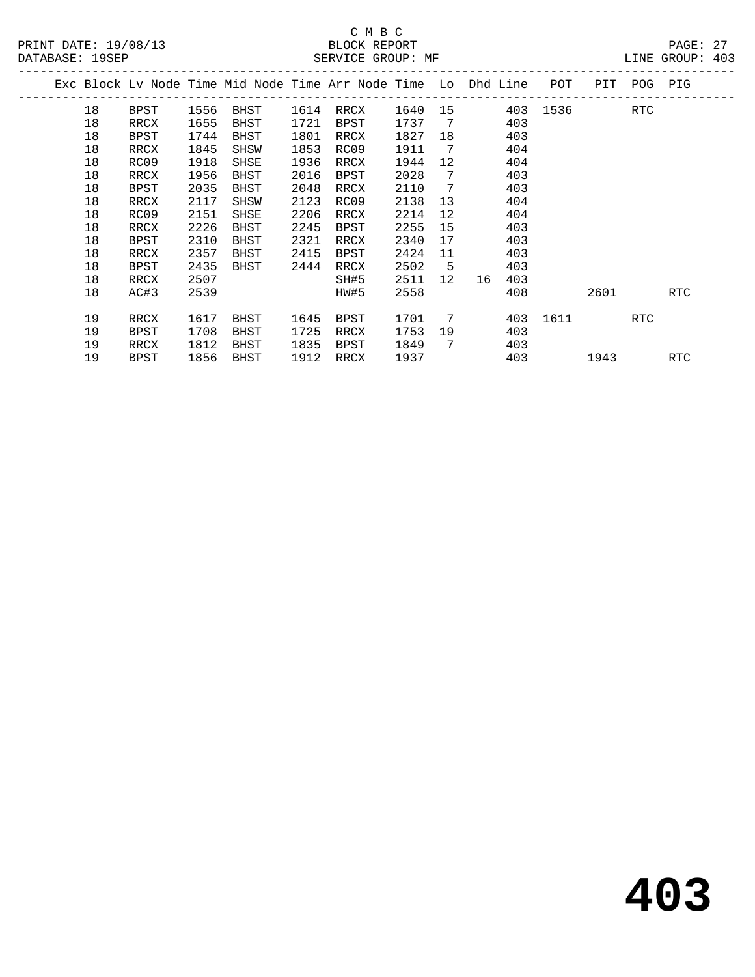|  |    |             |      |      |      | Exc Block Lv Node Time Mid Node Time Arr Node Time Lo Dhd Line |      |                 |    |     | POT      | PIT  | POG PIG |     |
|--|----|-------------|------|------|------|----------------------------------------------------------------|------|-----------------|----|-----|----------|------|---------|-----|
|  | 18 | BPST        | 1556 | BHST | 1614 | RRCX                                                           | 1640 |                 |    |     | 403 1536 |      | RTC     |     |
|  | 18 | RRCX        | 1655 | BHST | 1721 | BPST                                                           | 1737 | $\overline{7}$  |    | 403 |          |      |         |     |
|  | 18 | <b>BPST</b> | 1744 | BHST | 1801 | RRCX                                                           | 1827 | 18              |    | 403 |          |      |         |     |
|  | 18 | RRCX        | 1845 | SHSW | 1853 | RC09                                                           | 1911 | 7               |    | 404 |          |      |         |     |
|  | 18 | RC09        | 1918 | SHSE | 1936 | RRCX                                                           | 1944 | 12              |    | 404 |          |      |         |     |
|  | 18 | RRCX        | 1956 | BHST | 2016 | BPST                                                           | 2028 | 7               |    | 403 |          |      |         |     |
|  | 18 | <b>BPST</b> | 2035 | BHST | 2048 | RRCX                                                           | 2110 | 7               |    | 403 |          |      |         |     |
|  | 18 | RRCX        | 2117 | SHSW | 2123 | RC09                                                           | 2138 | 13              |    | 404 |          |      |         |     |
|  | 18 | RC09        | 2151 | SHSE | 2206 | RRCX                                                           | 2214 | 12 <sup>°</sup> |    | 404 |          |      |         |     |
|  | 18 | RRCX        | 2226 | BHST | 2245 | BPST                                                           | 2255 | 15              |    | 403 |          |      |         |     |
|  | 18 | BPST        | 2310 | BHST | 2321 | RRCX                                                           | 2340 | 17              |    | 403 |          |      |         |     |
|  | 18 | RRCX        | 2357 | BHST | 2415 | BPST                                                           | 2424 | 11              |    | 403 |          |      |         |     |
|  | 18 | BPST        | 2435 | BHST | 2444 | RRCX                                                           | 2502 | 5               |    | 403 |          |      |         |     |
|  | 18 | RRCX        | 2507 |      |      | SH#5                                                           | 2511 | 12              | 16 | 403 |          |      |         |     |
|  | 18 | AC#3        | 2539 |      |      | HW#5                                                           | 2558 |                 |    | 408 |          | 2601 |         | RTC |
|  |    |             |      |      |      |                                                                |      |                 |    |     |          |      |         |     |
|  | 19 | RRCX        | 1617 | BHST | 1645 | BPST                                                           | 1701 | 7               |    | 403 | 1611     |      | RTC     |     |
|  | 19 | BPST        | 1708 | BHST | 1725 | RRCX                                                           | 1753 | 19              |    | 403 |          |      |         |     |
|  | 19 | RRCX        | 1812 | BHST | 1835 | BPST                                                           | 1849 | 7               |    | 403 |          |      |         |     |
|  | 19 | BPST        | 1856 | BHST | 1912 | RRCX                                                           | 1937 |                 |    | 403 |          | 1943 |         | RTC |
|  |    |             |      |      |      |                                                                |      |                 |    |     |          |      |         |     |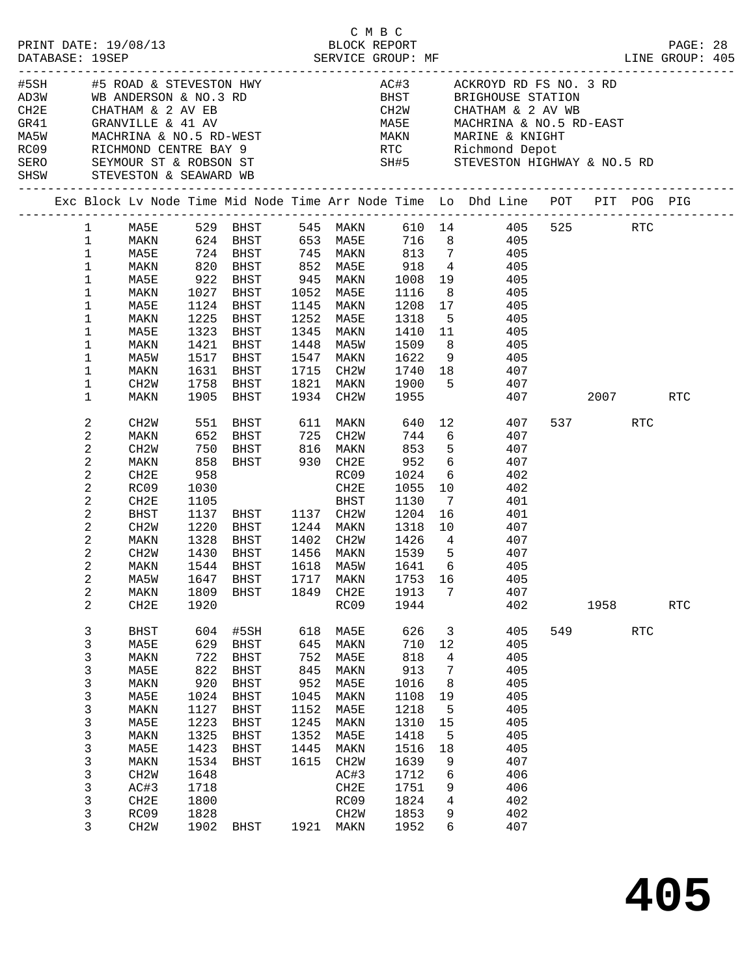|      |                             |                        |              |                                |              |              |              |                      | C M B C<br>PRINT DATE: 19/08/13 BLOCK REPORT PAGE: 28<br>DATABASE: 19SEP SERVICE GROUP: MF ELECTRIC SERVICE SERVICE SERVICE SERVICE SERVICE SERVICE SERVICE SERVICE SE |     |           |             |            |  |
|------|-----------------------------|------------------------|--------------|--------------------------------|--------------|--------------|--------------|----------------------|------------------------------------------------------------------------------------------------------------------------------------------------------------------------|-----|-----------|-------------|------------|--|
|      |                             |                        |              |                                |              |              |              |                      |                                                                                                                                                                        |     |           |             |            |  |
|      |                             |                        |              |                                |              |              |              |                      |                                                                                                                                                                        |     |           |             |            |  |
|      |                             |                        |              |                                |              |              |              |                      |                                                                                                                                                                        |     |           |             |            |  |
|      |                             |                        |              |                                |              |              |              |                      |                                                                                                                                                                        |     |           |             |            |  |
|      |                             |                        |              |                                |              |              |              |                      |                                                                                                                                                                        |     |           |             |            |  |
|      |                             |                        |              |                                |              |              |              |                      |                                                                                                                                                                        |     |           |             |            |  |
|      |                             |                        |              |                                |              |              |              |                      |                                                                                                                                                                        |     |           |             |            |  |
|      |                             |                        |              |                                |              |              |              |                      | SERO SEYMOUR ST & ROBSON ST SH#5 STEVESTON HIGHWAY & NO.5 RD                                                                                                           |     |           |             |            |  |
| SHSW |                             | STEVESTON & SEAWARD WB |              |                                |              |              |              |                      |                                                                                                                                                                        |     |           |             |            |  |
|      |                             |                        |              |                                |              |              |              |                      | Exc Block Lv Node Time Mid Node Time Arr Node Time Lo Dhd Line POT PIT POG PIG                                                                                         |     |           |             |            |  |
|      | $\mathbf{1}$                | MA5E                   |              |                                |              | 545 MAKN     |              |                      |                                                                                                                                                                        |     |           |             |            |  |
|      | $\mathbf{1}$                | MAKN                   |              | 529   BHST<br>624   BHST       |              | 653 MA5E     |              |                      | 610  14<br>716  8                                                                                                                                                      |     |           |             |            |  |
|      | $\mathbf{1}$                | MA5E                   |              | 724 BHST                       |              |              |              |                      | 745 MAKN 813 7 405                                                                                                                                                     |     |           |             |            |  |
|      | $\mathbf{1}$                | MAKN                   | 820          | BHST                           | 852          | MA5E         |              |                      | 918 4 405                                                                                                                                                              |     |           |             |            |  |
|      | $\mathbf 1$                 | MA5E                   | 922          | BHST                           |              | 945 MAKN     | 1008         |                      | 19<br>405                                                                                                                                                              |     |           |             |            |  |
|      | $\mathbf 1$                 | MAKN                   | 1027         | BHST                           | 1052         | MA5E         | 1116         |                      | 8 <sup>8</sup><br>405                                                                                                                                                  |     |           |             |            |  |
|      | $\mathbf 1$                 | MA5E                   | 1124         | BHST                           | 1145         | MAKN         | 1208         | 17                   | 405                                                                                                                                                                    |     |           |             |            |  |
|      | $\mathbf{1}$                | MAKN                   | 1225         | BHST                           | 1252         | MA5E         | 1318         | $5^{\circ}$          | 405                                                                                                                                                                    |     |           |             |            |  |
|      | $\mathbf 1$                 | MA5E                   | 1323         | BHST                           | 1345         | MAKN         | 1410         | 11                   | 405                                                                                                                                                                    |     |           |             |            |  |
|      | $\mathbf 1$                 | MAKN                   | 1421         | BHST                           | 1448         | MA5W         | 1509 8       |                      | 405<br>9 405                                                                                                                                                           |     |           |             |            |  |
|      | 1                           | MA5W                   | 1517         | BHST                           | 1547         | MAKN         | 1622         |                      |                                                                                                                                                                        |     |           |             |            |  |
|      | $\mathbf{1}$<br>$\mathbf 1$ | MAKN                   | 1631<br>1758 | BHST                           | 1715<br>1821 | CH2W         |              |                      | 1740 18 407<br>1900 5 407                                                                                                                                              |     |           |             |            |  |
|      | $\mathbf{1}$                | CH2W<br>MAKN           | 1905         | BHST<br>BHST                   | 1934         | MAKN<br>CH2W | 1955         |                      | 407                                                                                                                                                                    |     |           | 2007 — 2007 | RTC        |  |
|      |                             |                        |              |                                |              |              |              |                      |                                                                                                                                                                        |     |           |             |            |  |
|      | 2                           | CH2W                   | 551          | BHST                           |              | 611 MAKN     |              |                      | 640 12<br>407                                                                                                                                                          |     | 537 — 100 | <b>RTC</b>  |            |  |
|      | 2                           | MAKN                   | 652          | BHST                           | 725          | CH2W         | 744          |                      | $6\overline{6}$<br>407                                                                                                                                                 |     |           |             |            |  |
|      | $\sqrt{2}$                  | CH <sub>2</sub> W      | 750          | BHST 816 MAKN<br>BHST 930 CH2E |              |              | 853          | 5 <sup>5</sup>       | 407                                                                                                                                                                    |     |           |             |            |  |
|      | 2                           | MAKN                   | 858          |                                |              |              | 952          | 6                    | 407                                                                                                                                                                    |     |           |             |            |  |
|      | 2                           | CH2E                   | 958          |                                |              | RC09         | 1024         | 6                    | 402                                                                                                                                                                    |     |           |             |            |  |
|      | 2                           | RC09<br>CH2E           | 1030         | BHST 1137                      |              | CH2E<br>BHST | 1055         | 10<br>$\overline{7}$ | 402<br>401                                                                                                                                                             |     |           |             |            |  |
|      | $\sqrt{2}$<br>$\sqrt{2}$    | BHST                   | 1105<br>1137 |                                |              | 1137 CH2W    | 1130<br>1204 | 16                   | 401                                                                                                                                                                    |     |           |             |            |  |
|      | 2                           | CH2W                   | 1220         | BHST                           |              | 1244 MAKN    | 1318         |                      | 10 0<br>407                                                                                                                                                            |     |           |             |            |  |
|      | 2                           | MAKN                   | 1328         | BHST                           | 1402         | CH2W         | 1426         |                      | 4 407                                                                                                                                                                  |     |           |             |            |  |
|      | 2                           | CH <sub>2</sub> W      | 1430         | BHST                           |              | 1456 MAKN    | 1539 5       |                      | 407                                                                                                                                                                    |     |           |             |            |  |
|      | 2                           | MAKN                   |              | 1544 BHST                      |              | 1618 MA5W    | 1641 6       |                      | 405                                                                                                                                                                    |     |           |             |            |  |
|      | 2                           | MA5W                   |              |                                |              |              |              |                      | 1647 BHST 1717 MAKN 1753 16 405                                                                                                                                        |     |           |             |            |  |
|      | 2                           | MAKN                   | 1809         | BHST                           | 1849         | CH2E         | 1913         | $\overline{7}$       | 407                                                                                                                                                                    |     |           |             |            |  |
|      | $\overline{a}$              | CH2E                   | 1920         |                                |              | RC09         | 1944         |                      | 402                                                                                                                                                                    |     | 1958      |             | <b>RTC</b> |  |
|      | $\mathbf{3}$                | <b>BHST</b>            | 604          | #5SH                           | 618          | MA5E         | 626          | $\overline{3}$       | 405                                                                                                                                                                    | 549 |           | <b>RTC</b>  |            |  |
|      | 3                           | MA5E                   | 629          | BHST                           | 645          | MAKN         | 710          | 12                   | 405                                                                                                                                                                    |     |           |             |            |  |
|      | 3                           | MAKN                   | 722          | BHST                           | 752          | MA5E         | 818          | 4                    | 405                                                                                                                                                                    |     |           |             |            |  |
|      | 3                           | MA5E                   | 822          | BHST                           | 845          | MAKN         | 913          | 7                    | 405                                                                                                                                                                    |     |           |             |            |  |
|      | 3                           | MAKN                   | 920          | BHST                           | 952          | MA5E         | 1016         | 8                    | 405                                                                                                                                                                    |     |           |             |            |  |
|      | 3                           | MA5E                   | 1024         | BHST                           | 1045         | MAKN         | 1108         | 19                   | 405                                                                                                                                                                    |     |           |             |            |  |
|      | 3                           | MAKN                   | 1127         | BHST                           | 1152         | MA5E         | 1218         | 5                    | 405                                                                                                                                                                    |     |           |             |            |  |
|      | $\mathsf 3$                 | MA5E                   | 1223         | BHST                           | 1245         | MAKN         | 1310         | 15                   | 405                                                                                                                                                                    |     |           |             |            |  |
|      | 3                           | MAKN                   | 1325         | BHST                           | 1352         | MA5E         | 1418         | 5                    | 405                                                                                                                                                                    |     |           |             |            |  |
|      | 3                           | MA5E                   | 1423         | BHST                           | 1445         | MAKN         | 1516         | 18                   | 405                                                                                                                                                                    |     |           |             |            |  |
|      | $\mathsf{3}$                | MAKN                   | 1534         | BHST                           | 1615         | CH2W         | 1639         | 9                    | 407                                                                                                                                                                    |     |           |             |            |  |
|      | $\mathsf{3}$                | CH <sub>2</sub> W      | 1648         |                                |              | AC#3         | 1712         | 6                    | 406                                                                                                                                                                    |     |           |             |            |  |
|      | 3                           | AC#3                   | 1718         |                                |              | CH2E         | 1751         | 9                    | 406                                                                                                                                                                    |     |           |             |            |  |
|      | 3                           | CH2E                   | 1800         |                                |              | RC09         | 1824         | 4                    | 402                                                                                                                                                                    |     |           |             |            |  |
|      | 3<br>3                      | RC09                   | 1828         |                                |              | CH2W         | 1853<br>1952 | 9<br>6               | 402<br>407                                                                                                                                                             |     |           |             |            |  |
|      |                             | CH <sub>2</sub> W      | 1902         | BHST                           |              | 1921 MAKN    |              |                      |                                                                                                                                                                        |     |           |             |            |  |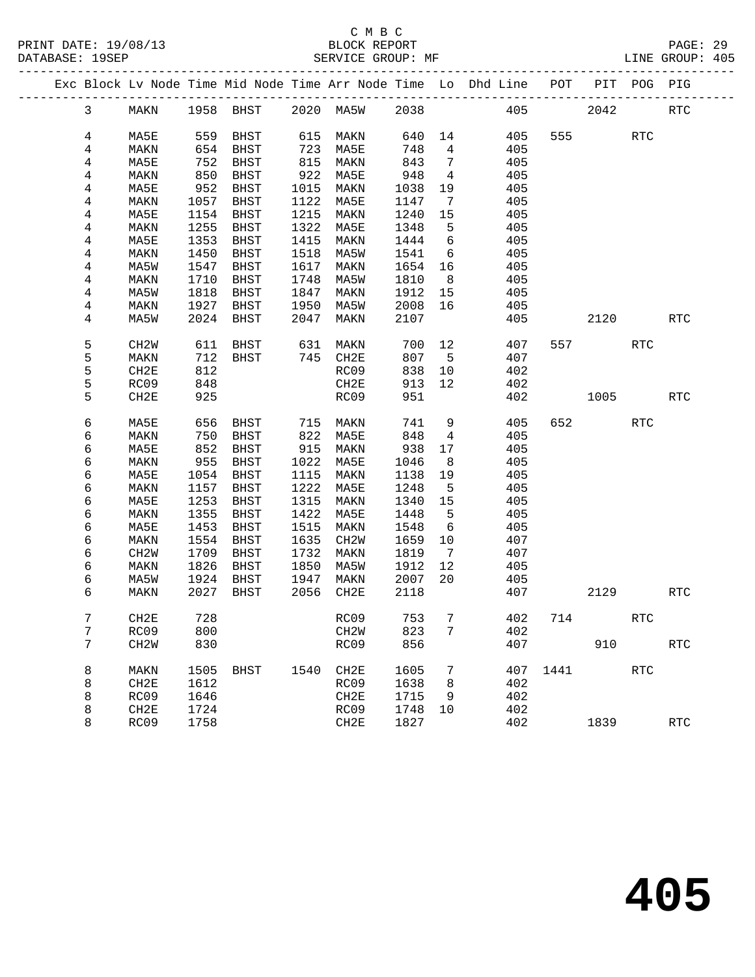|  |                |                   |      |                          |      |                   |        |                | Exc Block Lv Node Time Mid Node Time Arr Node Time Lo Dhd Line POT PIT POG PIG |      |        |            |                      |
|--|----------------|-------------------|------|--------------------------|------|-------------------|--------|----------------|--------------------------------------------------------------------------------|------|--------|------------|----------------------|
|  | $\mathbf{3}$   | MAKN              |      | 1958 BHST 2020 MA5W 2038 |      |                   |        |                | 405                                                                            |      | 2042   |            | <b>RTC</b>           |
|  | $\overline{4}$ | MA5E              |      | 559 BHST                 |      | 615 MAKN          | 640 14 |                | 405                                                                            |      | 555    | RTC        |                      |
|  | 4              | MAKN              | 654  | BHST                     |      | 723 MA5E          | 748    | $\overline{4}$ | 405                                                                            |      |        |            |                      |
|  | 4              | MA5E              | 752  | BHST                     |      | 815 MAKN          | 843    | $\overline{7}$ | 405                                                                            |      |        |            |                      |
|  | 4              | MAKN              | 850  | BHST                     | 922  | MA5E              | 948    | $\overline{4}$ | 405                                                                            |      |        |            |                      |
|  | 4              | MA5E              | 952  | BHST                     | 1015 | MAKN              | 1038   | 19             | 405                                                                            |      |        |            |                      |
|  | 4              | MAKN              | 1057 | BHST                     | 1122 | MA5E              | 1147   | $\overline{7}$ | 405                                                                            |      |        |            |                      |
|  | 4              | MA5E              | 1154 | BHST                     | 1215 | MAKN              | 1240   | 15             | 405                                                                            |      |        |            |                      |
|  | 4              | MAKN              | 1255 | BHST                     | 1322 | MA5E              | 1348   | $5^{\circ}$    | 405                                                                            |      |        |            |                      |
|  | 4              | MA5E              | 1353 | BHST                     | 1415 | MAKN              | 1444   | 6              | 405                                                                            |      |        |            |                      |
|  | 4              | MAKN              | 1450 | BHST                     | 1518 | MA5W              | 1541   | 6              | 405                                                                            |      |        |            |                      |
|  | 4              | MA5W              | 1547 | BHST                     | 1617 | MAKN              | 1654   | 16             | 405                                                                            |      |        |            |                      |
|  | 4              | MAKN              | 1710 | BHST                     | 1748 | MA5W              | 1810   | 8 <sup>8</sup> | 405                                                                            |      |        |            |                      |
|  | 4              | MA5W              | 1818 | BHST                     | 1847 | MAKN              | 1912   | 15             | 405                                                                            |      |        |            |                      |
|  | 4              | MAKN              | 1927 | BHST                     | 1950 | MA5W              | 2008   | 16             | 405                                                                            |      |        |            |                      |
|  | $\overline{4}$ | MA5W              | 2024 | BHST                     | 2047 | MAKN              | 2107   |                | 405                                                                            |      | 2120   |            | <b>RTC</b>           |
|  |                |                   |      |                          |      |                   |        |                |                                                                                |      |        |            |                      |
|  | 5              | CH2W              |      | 611 BHST 631 MAKN        |      |                   | 700 12 |                | 407                                                                            |      | 557 35 | <b>RTC</b> |                      |
|  | 5              | MAKN              | 712  | BHST                     |      | 745 CH2E          | 807    | $5^{\circ}$    | 407                                                                            |      |        |            |                      |
|  | 5              | CH2E              | 812  |                          |      | RC09              | 838    | 10             | 402                                                                            |      |        |            |                      |
|  | 5              | RC09              | 848  |                          |      | CH2E              | 913    | 12             | 402                                                                            |      |        |            |                      |
|  | 5              | CH2E              | 925  |                          |      | RC09              | 951    |                | 402                                                                            |      | 1005   |            | <b>RTC</b>           |
|  |                |                   |      |                          |      |                   |        |                |                                                                                |      |        |            |                      |
|  | 6              | MA5E              | 656  | BHST 715 MAKN            |      |                   | 741    | 9              | 405                                                                            |      | 652 7  | <b>RTC</b> |                      |
|  | 6              | MAKN              | 750  | BHST                     |      | 822 MA5E          | 848    | $\overline{4}$ | 405                                                                            |      |        |            |                      |
|  | 6              | MA5E              | 852  | BHST                     |      | 915 MAKN          | 938    | 17             | 405                                                                            |      |        |            |                      |
|  | 6              | MAKN              | 955  | BHST                     |      | 1022 MA5E         | 1046   | 8              | 405                                                                            |      |        |            |                      |
|  | 6              | MA5E              | 1054 | BHST                     | 1115 | MAKN              | 1138   | 19             | 405                                                                            |      |        |            |                      |
|  | 6              | MAKN              | 1157 | BHST                     | 1222 | MA5E              | 1248   | $5^{\circ}$    | 405                                                                            |      |        |            |                      |
|  | 6              | MA5E              | 1253 | BHST                     | 1315 | MAKN              | 1340   | 15             | 405                                                                            |      |        |            |                      |
|  | 6              | MAKN              | 1355 | BHST                     | 1422 | MA5E              | 1448   | $5^{\circ}$    | 405                                                                            |      |        |            |                      |
|  | 6              | MA5E              | 1453 | BHST                     | 1515 | MAKN              | 1548   | 6              | 405                                                                            |      |        |            |                      |
|  | 6              | MAKN              | 1554 | BHST                     | 1635 | CH2W              | 1659   | 10             | 407                                                                            |      |        |            |                      |
|  | 6              | CH <sub>2</sub> W | 1709 | BHST                     | 1732 | MAKN              | 1819   | $\overline{7}$ | 407                                                                            |      |        |            |                      |
|  | 6              | MAKN              | 1826 | BHST                     | 1850 | MA5W              | 1912   | 12             | 405                                                                            |      |        |            |                      |
|  | 6              | MA5W              | 1924 | BHST                     | 1947 | MAKN              | 2007   | 20             | 405                                                                            |      |        |            |                      |
|  | 6              | MAKN              | 2027 | BHST                     |      | 2056 CH2E         | 2118   |                | 407                                                                            |      | 2129   |            | <b>RTC</b>           |
|  |                |                   |      |                          |      |                   |        |                |                                                                                |      |        |            |                      |
|  | 7              | CH2E              | 728  |                          |      | RC09              |        |                | 753 7 402                                                                      | 714  |        | <b>RTC</b> |                      |
|  | 7              | RC09              | 800  |                          |      | CH <sub>2</sub> W | 823    | 7              | 402                                                                            |      |        |            |                      |
|  | 7              | CH <sub>2</sub> W | 830  |                          |      | RC09              | 856    |                | 407                                                                            |      | 910    |            | <b>RTC</b>           |
|  | 8              | MAKN              | 1505 | BHST                     | 1540 | CH2E              | 1605   | 7              | 407                                                                            | 1441 |        | <b>RTC</b> |                      |
|  | 8              | CH <sub>2E</sub>  | 1612 |                          |      | RC09              | 1638   | 8              | 402                                                                            |      |        |            |                      |
|  | 8              | RC09              | 1646 |                          |      | CH2E              | 1715   | 9              | 402                                                                            |      |        |            |                      |
|  | 8              | CH2E              | 1724 |                          |      | RC09              | 1748   | 10             | 402                                                                            |      |        |            |                      |
|  | 8              | RC09              | 1758 |                          |      | CH2E              | 1827   |                | 402                                                                            |      | 1839   |            | $\operatorname{RTC}$ |
|  |                |                   |      |                          |      |                   |        |                |                                                                                |      |        |            |                      |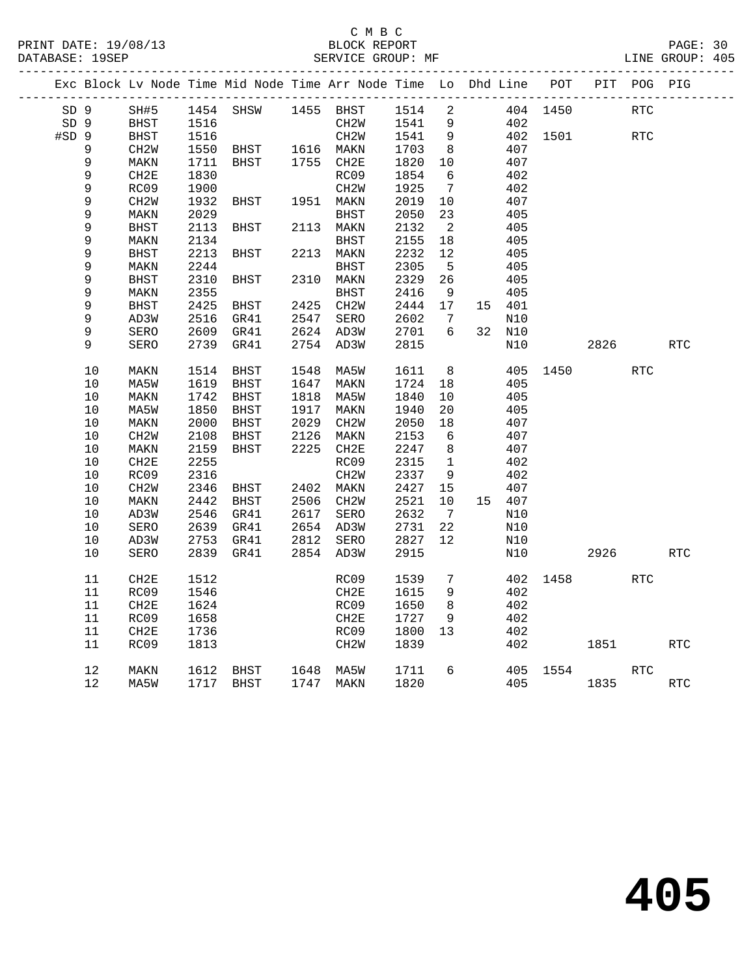#### C M B C<br>BLOCK REPORT PRINT DATE: 19/08/13 BLOCK REPORT PAGE: 30 SERVICE GROUP: MF

|                 |             |                     |              | Exc Block Lv Node Time Mid Node Time Arr Node Time Lo Dhd Line POT |      |                   |                        |                 |               |          |      | PIT POG PIG |            |
|-----------------|-------------|---------------------|--------------|--------------------------------------------------------------------|------|-------------------|------------------------|-----------------|---------------|----------|------|-------------|------------|
| SD 9            |             | SH#5                |              | 1454 SHSW 1455 BHST                                                |      |                   | 1514                   | $\overline{2}$  |               | 404 1450 |      | <b>RTC</b>  |            |
| SD <sub>9</sub> |             | BHST                | 1516         |                                                                    |      | CH2W              | 1541 9<br>1541<br>1541 |                 | 402           |          |      |             |            |
| $#SD$ 9         |             | BHST                | 1516         |                                                                    |      | CH2W              |                        | 9               |               | 402 1501 |      | <b>RTC</b>  |            |
|                 | 9           | CH <sub>2</sub> W   | 1550         | BHST 1616 MAKN<br>BHST 1755 CH2E                                   |      |                   | 1703                   | 8 <sup>8</sup>  | 407           |          |      |             |            |
|                 | 9           | MAKN                | 1711         |                                                                    |      |                   | 1820                   | 10              | 407           |          |      |             |            |
|                 | 9           | CH <sub>2E</sub>    | 1830         |                                                                    |      | RC09              | 1854                   | 6               | 402           |          |      |             |            |
|                 | 9           | RC09                | 1900         |                                                                    |      | CH2W              | 1925                   | $\overline{7}$  | 402           |          |      |             |            |
|                 | 9           | CH <sub>2</sub> M   | 1932         | BHST                                                               |      | 1951 MAKN         | 2019                   | 10              | 407           |          |      |             |            |
|                 | 9           | MAKN                | 2029         |                                                                    |      | BHST              | 2050                   | 23              | 405           |          |      |             |            |
|                 | 9           | <b>BHST</b>         | 2113         | BHST                                                               |      | 2113 MAKN         | 2132                   | $\overline{2}$  | 405           |          |      |             |            |
|                 | 9           | $\texttt{MAXN}$     | 2134         |                                                                    |      | BHST              | 2155                   | 18              | 405           |          |      |             |            |
|                 | 9           | <b>BHST</b>         | 2213         | BHST                                                               |      | 2213 MAKN         | 2232                   | 12              | 405           |          |      |             |            |
|                 | $\mathsf 9$ | MAKN                | 2244         |                                                                    |      | <b>BHST</b>       | 2305                   | $5^{\circ}$     | 405           |          |      |             |            |
|                 | 9           | <b>BHST</b>         | 2310         | BHST                                                               |      | 2310 MAKN         | 2329                   | 26              | 405           |          |      |             |            |
|                 | 9<br>9      | MAKN<br><b>BHST</b> | 2355<br>2425 | BHST                                                               |      | BHST<br>2425 CH2W | 2416<br>2444           | 9<br>17         | 405<br>15 401 |          |      |             |            |
|                 | 9           | AD3W                | 2516         | GR41                                                               |      | 2547 SERO         |                        | $\overline{7}$  | N10           |          |      |             |            |
|                 | 9           | <b>SERO</b>         | 2609         | GR41                                                               |      | 2624 AD3W         | 2602<br>2701           | 6               | 32 N10        |          |      |             |            |
|                 | 9           | SERO                | 2739         | GR41                                                               |      | 2754 AD3W         | 2815                   |                 | N10           |          | 2826 |             | RTC        |
|                 |             |                     |              |                                                                    |      |                   |                        |                 |               |          |      |             |            |
|                 | 10          | MAKN                | 1514         | BHST                                                               | 1548 | MA5W              | 1611                   | 8 <sup>8</sup>  |               | 405 1450 |      | RTC         |            |
|                 | $10$        | MA5W                | 1619         | BHST                                                               | 1647 | MAKN              | 1724                   | 18              | 405           |          |      |             |            |
|                 | 10          | MAKN                | 1742         | BHST                                                               | 1818 | MA5W              | 1840                   | 10              | 405           |          |      |             |            |
|                 | 10          | MA5W                | 1850         | BHST                                                               | 1917 | MAKN              | 1940                   | 20              | 405           |          |      |             |            |
|                 | 10          | MAKN                | 2000         | BHST                                                               | 2029 | CH2W              | 2050                   | 18              | 407           |          |      |             |            |
|                 | 10          | CH2W                | 2108         | BHST                                                               | 2126 | MAKN              | 2153                   | 6               | 407           |          |      |             |            |
|                 | 10          | MAKN                | 2159         | BHST                                                               | 2225 | CH2E              | 2247                   | 8 <sup>8</sup>  | 407           |          |      |             |            |
|                 | 10          | CH2E                | 2255         |                                                                    |      | RC09              | 2315                   | $\overline{1}$  | 402           |          |      |             |            |
|                 | $10$        | RC09                | 2316         |                                                                    |      | CH2W              | 2337                   | - 9             | 402           |          |      |             |            |
|                 | 10          | CH <sub>2</sub> W   | 2346         | BHST                                                               |      | 2402 MAKN         | 2427                   | 15              | 407           |          |      |             |            |
|                 | $10$        | MAKN                | 2442         | BHST                                                               |      | 2506 CH2W         | 2521                   | 10              | 15 407        |          |      |             |            |
|                 | 10          | AD3W                | 2546         | GR41                                                               |      | 2617 SERO         | 2632                   | $\overline{7}$  | N10           |          |      |             |            |
|                 | 10          | SERO                | 2639         | GR41                                                               |      | 2654 AD3W         | 2731                   | 22              | N10           |          |      |             |            |
|                 | 10          | AD3W                | 2753         | GR41                                                               |      | 2812 SERO         | 2827                   | 12              | N10           |          |      |             |            |
|                 | 10          | SERO                | 2839         | GR41                                                               |      | 2854 AD3W         | 2915                   |                 | N10           |          | 2926 |             | RTC        |
|                 | 11          | CH2E                | 1512         |                                                                    |      | RC09              | 1539                   | $7\phantom{.0}$ | 402           | 1458     |      | <b>RTC</b>  |            |
|                 | 11          | RC09                | 1546         |                                                                    |      | CH2E              | 1615                   | 9               | 402           |          |      |             |            |
|                 | 11          | CH <sub>2E</sub>    | 1624         |                                                                    |      | RC09              | 1650                   | 8               | 402           |          |      |             |            |
|                 | 11          | RC09                | 1658         |                                                                    |      | CH2E              | 1727                   | 9               | 402           |          |      |             |            |
|                 | 11          | CH2E                | 1736         |                                                                    |      | RC09              | 1800                   | 13              | 402           |          |      |             |            |
|                 | 11          | RC09                | 1813         |                                                                    |      | CH2W              | 1839                   |                 | 402           |          | 1851 |             | <b>RTC</b> |
|                 |             |                     |              |                                                                    |      |                   |                        |                 |               |          |      |             |            |
|                 | $12$        | MAKN                | 1612         | BHST                                                               |      | 1648 MA5W         | 1711                   | 6               |               | 405 1554 |      | <b>RTC</b>  |            |
|                 | 12          | MA5W                |              | 1717 BHST                                                          |      | 1747 MAKN         | 1820                   |                 | 405           |          | 1835 |             | RTC        |
|                 |             |                     |              |                                                                    |      |                   |                        |                 |               |          |      |             |            |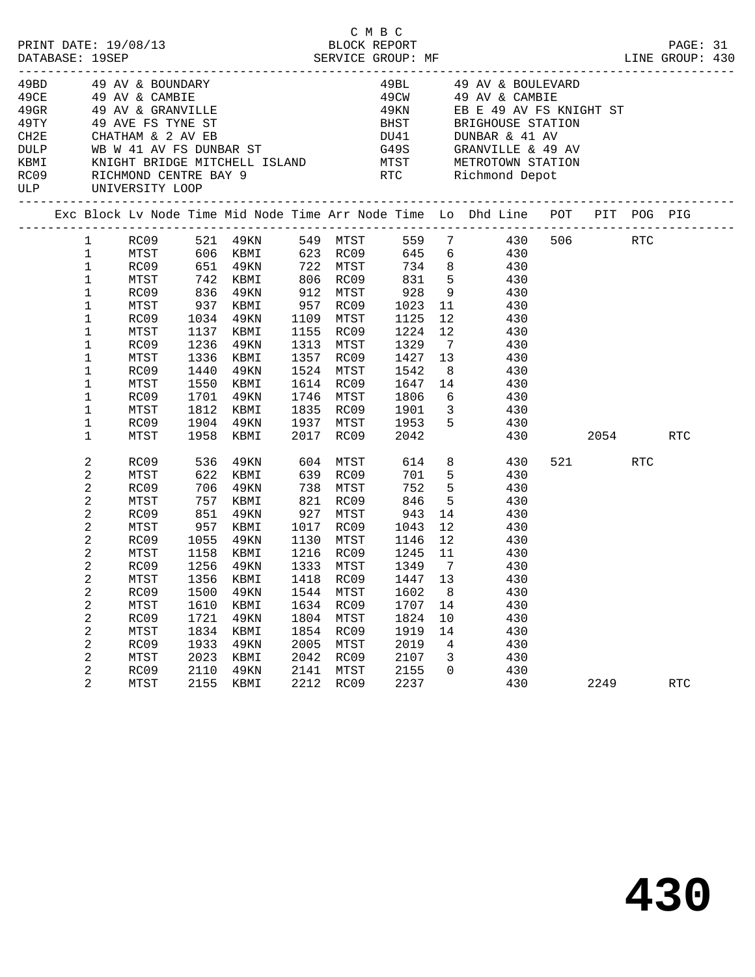|      | PRINT DATE: 19/08/13<br>DATABASE: 19SEP<br>DATABASE: 19SEP<br>SERVICE GROUP: MF                                                                                                                                                                                                                                                                                                                                         |                                                                                                                                            |                                                                                                                    |                                                                           |                                                              | C M B C                                                                                                               |                                                                                                            | LINE GROUP: 430                                                                                                                                                                                                                                                                                                                                                                                                                                                                                                                                                                                           |                 | PAGE: 31   |  |
|------|-------------------------------------------------------------------------------------------------------------------------------------------------------------------------------------------------------------------------------------------------------------------------------------------------------------------------------------------------------------------------------------------------------------------------|--------------------------------------------------------------------------------------------------------------------------------------------|--------------------------------------------------------------------------------------------------------------------|---------------------------------------------------------------------------|--------------------------------------------------------------|-----------------------------------------------------------------------------------------------------------------------|------------------------------------------------------------------------------------------------------------|-----------------------------------------------------------------------------------------------------------------------------------------------------------------------------------------------------------------------------------------------------------------------------------------------------------------------------------------------------------------------------------------------------------------------------------------------------------------------------------------------------------------------------------------------------------------------------------------------------------|-----------------|------------|--|
| 49CE | 49BD 49 AV & BOUNDARY<br>49CE              49   AV   &  CAMBIE<br>49GR              49   AV   &  GRANVILLE<br>49TY 49 AVE FS TYNE ST<br>ULP UNIVERSITY LOOP                                                                                                                                                                                                                                                             |                                                                                                                                            |                                                                                                                    |                                                                           |                                                              |                                                                                                                       |                                                                                                            | 49BL 49 AV & BOULEVARD<br>49CW      49 AV & CAMBIE<br>49KN        EB E 49 AV FS KNIGHT ST<br>BHST BRIGHOUSE STATION<br>$\begin{tabular}{lllllllllllllllllllll} \multicolumn{3}{c}{\textbf{CH2E}} & \multicolumn{3}{c}{\textbf{CHATHAM}} & $\hat{\alpha}$ & $\textbf{2} $\;\text{AV}$ & $\textbf{EB}$ & $\textbf{D} \textbf{U41}$ & $\textbf{D} \textbf{UNBAR}} $\;\hat{\alpha}$ & $\textbf{41} $\;\text{AV}$ \\ \multicolumn{3}{c}{\textbf{D} \textbf{ULP}} & $\textbf{WB} $\;\textbf{W}$ & $\textbf{41} $\;\textbf{AV}$ & $\textbf{FS} $\;\textbf{D} \textbf{UNBAR}}$ & $\textbf{ST}$ & $\textbf{G49S}$$ |                 |            |  |
|      |                                                                                                                                                                                                                                                                                                                                                                                                                         |                                                                                                                                            |                                                                                                                    |                                                                           |                                                              |                                                                                                                       |                                                                                                            | Exc Block Lv Node Time Mid Node Time Arr Node Time Lo Dhd Line POT PIT POG PIG                                                                                                                                                                                                                                                                                                                                                                                                                                                                                                                            |                 |            |  |
|      | $\mathbf{1}$<br>$\mathbf{1}$<br>$\mathbf{1}$<br>$\mathbf{1}$<br>$\mathbf{1}$<br>RC09<br>$\mathbf{1}$<br>MTST<br>$\mathbf{1}$<br>RC09<br>$\mathbf{1}$<br>MTST<br>$\mathbf{1}$<br>RC09<br>MTST<br>1<br>$\mathbf{1}$<br>RC09<br>$\mathbf{1}$<br>MTST<br>$\mathbf{1}$<br>RC09<br>$\mathbf{1}$<br>MTST<br>$\mathbf{1}$<br>RC09<br>$\mathbf{1}$<br>MTST<br>2<br>RC09<br>2<br>MTST<br>2<br>RC09<br>2<br>MTST<br>2<br>RC09<br>2 | RC09 521 49KN 549 MTST 559<br>742 KBMI<br>1236<br>1336<br>1440<br>1550<br>1701<br>1904 49KN<br>1958 KBMI<br>536<br>757 KBMI<br>851         | 836 49KN 912 MTST 928<br>1137 KBMI<br>49KN<br>KBMI<br>49KN<br>KBMI<br>49KN<br>49KN<br>622 KBMI<br>706 49KN<br>49KN | 1313 MTST<br>1614 RC09<br>639 RC09<br>738 MTST<br>821 RC09<br>927 MTST    | 1357 RC09<br>1524 MTST                                       | 1023<br>1125<br>1125<br>1155 RC09 1224<br>1329<br>1542<br>1647<br>1746 MTST 1806<br>604 MTST 614<br>752<br>846<br>943 | 12<br>12<br>$\overline{7}$<br>1427 13<br>8 <sup>8</sup><br>701 5<br>5 <sup>5</sup><br>5 <sup>5</sup><br>12 | 7 430 506 RTC<br>MTST 606 KBMI 623 RC09 645 6 430<br>RC09 651 49KN 722 MTST 734 8 430<br>MTST 742 KBMI 806 RC09 831 5 430<br>9 430<br>11 430<br>430<br>430<br>430<br>430<br>430<br>$14$ $430$<br>6 430<br>1812 KBMI 1835 RC09 1901 3 1903<br>1904 49KN 1937 MTST 1953 5 1430<br>1958 KBMI 2017 RC09 2042 1430<br>430<br>430<br>8 430<br>430<br>430<br>430<br>14<br>430<br>430                                                                                                                                                                                                                             | 2054<br>521 RTC | RTC        |  |
|      | 2<br>2<br>MTST<br>$\overline{2}$<br>RC09<br>$\overline{a}$<br>MTST<br>2<br>RC09<br>2<br>MTST<br>2<br>RC09<br>2<br>MTST<br>$\sqrt{2}$<br>RC09<br>2<br>MTST<br>2<br>RC09<br>2<br>MTST                                                                                                                                                                                                                                     | MTST 957 KBMI 1017 RC09 1043<br>RC09 1055 49KN 1130 MTST 1146<br>1158 KBMI<br>1500<br>1610<br>1721<br>1834<br>1933<br>2023<br>2110<br>2155 | 1256 49KN<br>1356 KBMI 1418 RC09 1447 13<br>49KN<br>KBMI<br>49KN<br>KBMI<br>49KN<br>KBMI<br>49KN<br>KBMI           | 1333 MTST<br>1544<br>1634<br>1804<br>1854<br>2005<br>2042<br>2141<br>2212 | MTST<br>RC09<br>MTST<br>RC09<br>MTST<br>RC09<br>MTST<br>RC09 | 1216 RC09 1245 11<br>1349<br>1602<br>1707<br>1824<br>1919<br>2019<br>2107<br>2155<br>2237                             | 12<br>$\overline{7}$<br>8<br>14<br>10<br>14<br>4<br>3<br>0                                                 | 430<br>430<br>430<br>430<br>430<br>430<br>430<br>430<br>430<br>430<br>430<br>430                                                                                                                                                                                                                                                                                                                                                                                                                                                                                                                          | 2249            | <b>RTC</b> |  |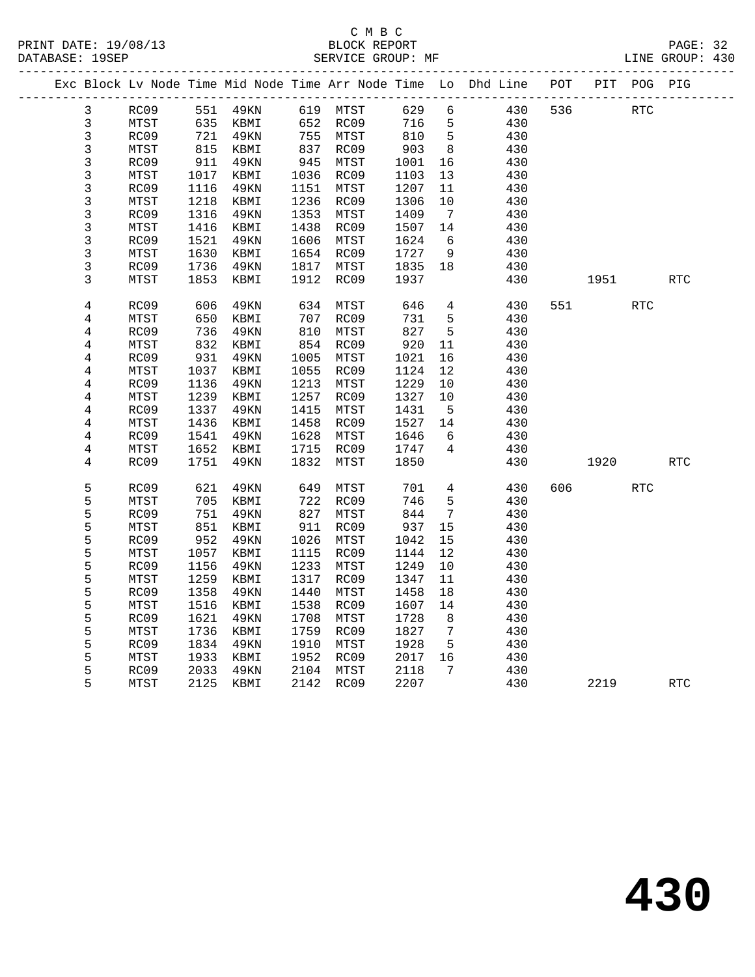|  |                |      |      |          |      |           |      |                              | Exc Block Lv Node Time Mid Node Time Arr Node Time Lo Dhd Line |     | POT PIT POG PIG |            |            |
|--|----------------|------|------|----------|------|-----------|------|------------------------------|----------------------------------------------------------------|-----|-----------------|------------|------------|
|  | 3              | RC09 |      | 551 49KN |      | 619 MTST  | 629  | 6                            | 430                                                            | 536 |                 | <b>RTC</b> |            |
|  | $\mathbf{3}$   | MTST |      | 635 KBMI |      | 652 RC09  | 716  | 5                            | 430                                                            |     |                 |            |            |
|  | $\mathsf{3}$   | RC09 | 721  | 49KN     |      | 755 MTST  | 810  | $5^{\circ}$                  | 430                                                            |     |                 |            |            |
|  | $\mathfrak{Z}$ | MTST | 815  | KBMI     |      | 837 RC09  | 903  | 8 <sup>8</sup>               | 430                                                            |     |                 |            |            |
|  | $\mathsf{3}$   | RC09 | 911  | 49KN     | 945  | MTST      | 1001 | 16                           | 430                                                            |     |                 |            |            |
|  | 3              | MTST | 1017 | KBMI     | 1036 | RC09      | 1103 | 13                           | 430                                                            |     |                 |            |            |
|  | 3              | RC09 | 1116 | 49KN     | 1151 | MTST      | 1207 | 11                           | 430                                                            |     |                 |            |            |
|  | 3              | MTST | 1218 | KBMI     | 1236 | RC09      | 1306 | 10                           | 430                                                            |     |                 |            |            |
|  | 3              | RC09 | 1316 | 49KN     | 1353 | MTST      | 1409 | $\overline{7}$               | 430                                                            |     |                 |            |            |
|  | 3              | MTST | 1416 | KBMI     | 1438 | RC09      | 1507 | 14                           | 430                                                            |     |                 |            |            |
|  | 3              | RC09 | 1521 | 49KN     | 1606 | MTST      | 1624 | 6                            | 430                                                            |     |                 |            |            |
|  | 3              | MTST | 1630 | KBMI     | 1654 | RC09      | 1727 | 9                            | 430                                                            |     |                 |            |            |
|  | 3              | RC09 | 1736 | 49KN     |      | 1817 MTST | 1835 | 18                           | 430                                                            |     |                 |            |            |
|  | 3              | MTST | 1853 | KBMI     | 1912 | RC09      | 1937 |                              | 430                                                            |     | 1951            |            | <b>RTC</b> |
|  |                |      |      |          |      |           |      |                              |                                                                |     |                 |            |            |
|  | $\,4$          | RC09 | 606  | 49KN     | 634  | MTST      | 646  | $\overline{4}$               | 430                                                            | 551 |                 | <b>RTC</b> |            |
|  | 4              | MTST | 650  | KBMI     | 707  | RC09      | 731  | 5                            | 430                                                            |     |                 |            |            |
|  | 4              | RC09 | 736  | 49KN     | 810  | MTST      | 827  | 5                            | 430                                                            |     |                 |            |            |
|  | 4              | MTST | 832  | KBMI     | 854  | RC09      | 920  | 11                           | 430                                                            |     |                 |            |            |
|  | $\bf 4$        | RC09 | 931  | 49KN     | 1005 | MTST      | 1021 | 16                           | 430                                                            |     |                 |            |            |
|  | 4              | MTST | 1037 | KBMI     | 1055 | RC09      | 1124 | 12                           | 430                                                            |     |                 |            |            |
|  | 4              | RC09 | 1136 | 49KN     | 1213 | MTST      | 1229 | 10                           | 430                                                            |     |                 |            |            |
|  | 4              | MTST | 1239 | KBMI     | 1257 | RC09      | 1327 | 10                           | 430                                                            |     |                 |            |            |
|  | 4              | RC09 | 1337 | 49KN     | 1415 | MTST      | 1431 | 5                            | 430                                                            |     |                 |            |            |
|  | 4              | MTST | 1436 | KBMI     | 1458 | RC09      | 1527 | 14                           | 430                                                            |     |                 |            |            |
|  | 4              | RC09 | 1541 | 49KN     | 1628 | MTST      | 1646 | 6                            | 430                                                            |     |                 |            |            |
|  | $\overline{4}$ | MTST | 1652 | KBMI     | 1715 | RC09      | 1747 | $\overline{4}$               | 430                                                            |     |                 |            |            |
|  | 4              | RC09 | 1751 | 49KN     | 1832 | MTST      | 1850 |                              | 430                                                            |     | 1920            |            | <b>RTC</b> |
|  |                |      |      |          |      |           |      |                              |                                                                |     |                 |            |            |
|  | 5              | RC09 | 621  | 49KN     | 649  | MTST      | 701  | $\overline{4}$               | 430                                                            | 606 |                 | <b>RTC</b> |            |
|  | 5              | MTST | 705  | KBMI     | 722  | RC09      | 746  | 5                            | 430                                                            |     |                 |            |            |
|  | 5              | RC09 | 751  | 49KN     | 827  | MTST      | 844  | $7\phantom{.0}$              | 430                                                            |     |                 |            |            |
|  | 5              | MTST | 851  | KBMI     | 911  | RC09      | 937  | 15                           | 430                                                            |     |                 |            |            |
|  | 5              | RC09 | 952  | 49KN     | 1026 | MTST      | 1042 | 15                           | 430                                                            |     |                 |            |            |
|  | 5              | MTST | 1057 | KBMI     | 1115 | RC09      | 1144 | 12                           | 430                                                            |     |                 |            |            |
|  | 5              | RC09 | 1156 | 49KN     | 1233 | MTST      | 1249 | $10$                         | 430                                                            |     |                 |            |            |
|  | 5              | MTST | 1259 | KBMI     | 1317 | RC09      | 1347 | 11                           | 430                                                            |     |                 |            |            |
|  | 5              | RC09 | 1358 | 49KN     | 1440 | MTST      | 1458 | 18                           | 430                                                            |     |                 |            |            |
|  | 5              | MTST | 1516 | KBMI     | 1538 | RC09      | 1607 | 14                           | 430                                                            |     |                 |            |            |
|  | 5              | RC09 | 1621 | 49KN     | 1708 | MTST      | 1728 | 8                            | 430                                                            |     |                 |            |            |
|  | 5              | MTST | 1736 | KBMI     | 1759 | RC09      | 1827 | $7\phantom{.0}\phantom{.0}7$ | 430                                                            |     |                 |            |            |
|  | 5              | RC09 | 1834 | 49KN     | 1910 | MTST      | 1928 | $5^{\circ}$                  | 430                                                            |     |                 |            |            |
|  | 5              | MTST | 1933 | KBMI     | 1952 | RC09      | 2017 | 16                           | 430                                                            |     |                 |            |            |
|  | 5              | RC09 | 2033 | 49KN     | 2104 | MTST      | 2118 | 7                            | 430                                                            |     |                 |            |            |
|  | 5              | MTST | 2125 | KBMI     | 2142 | RC09      | 2207 |                              | 430                                                            |     | 2219            |            | <b>RTC</b> |
|  |                |      |      |          |      |           |      |                              |                                                                |     |                 |            |            |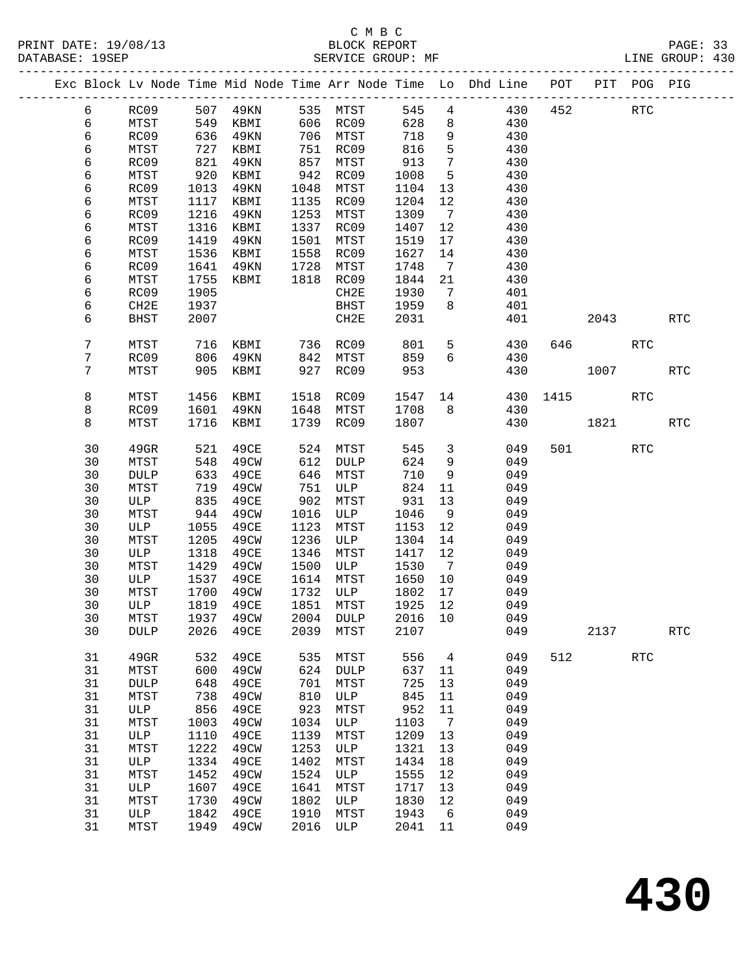### C M B C<br>BLOCK REPORT DATABASE: 19SEP SERVICE GROUP: MF SERVICE GROUP: 430

-------------------------------------------------------------------------------------------------

|  |    |             |      |           |      |             |         |                              | Exc Block Lv Node Time Mid Node Time Arr Node Time Lo Dhd Line | POT  | PIT  | POG PIG              |            |
|--|----|-------------|------|-----------|------|-------------|---------|------------------------------|----------------------------------------------------------------|------|------|----------------------|------------|
|  | 6  | RC09        | 507  | 49KN      | 535  | MTST        | 545     | $\overline{4}$               | 430                                                            | 452  |      | $\operatorname{RTC}$ |            |
|  | 6  | MTST        | 549  | KBMI      | 606  | RC09        | 628     | 8                            | 430                                                            |      |      |                      |            |
|  | б  | RC09        | 636  | 49KN      | 706  | MTST        | 718     | 9                            | 430                                                            |      |      |                      |            |
|  | 6  | MTST        | 727  | KBMI      | 751  | RC09        | 816     | 5                            | 430                                                            |      |      |                      |            |
|  | 6  | RC09        | 821  | 49KN      | 857  | MTST        | 913     | 7                            | 430                                                            |      |      |                      |            |
|  | 6  | MTST        | 920  | KBMI      | 942  | RC09        | 1008    | 5                            | 430                                                            |      |      |                      |            |
|  | 6  | RC09        | 1013 | 49KN      | 1048 | MTST        | 1104    | 13                           | 430                                                            |      |      |                      |            |
|  | 6  | MTST        | 1117 | KBMI      | 1135 | RC09        | 1204    | 12                           | 430                                                            |      |      |                      |            |
|  | 6  | RC09        | 1216 | 49KN      | 1253 | MTST        | 1309    | $7\overline{ }$              | 430                                                            |      |      |                      |            |
|  | б  | MTST        | 1316 | KBMI      | 1337 | RC09        | 1407    | 12                           | 430                                                            |      |      |                      |            |
|  | 6  | RC09        | 1419 | 49KN      | 1501 | MTST        | 1519    | 17                           | 430                                                            |      |      |                      |            |
|  | 6  | MTST        | 1536 | KBMI      | 1558 | RC09        | 1627    | 14                           | 430                                                            |      |      |                      |            |
|  | 6  | RC09        | 1641 | 49KN      | 1728 | MTST        | 1748    | $7\phantom{.0}$              | 430                                                            |      |      |                      |            |
|  | 6  | MTST        | 1755 | KBMI      | 1818 | RC09        | 1844    | 21                           | 430                                                            |      |      |                      |            |
|  | б  | RC09        | 1905 |           |      | CH2E        | 1930    | 7                            | 401                                                            |      |      |                      |            |
|  | 6  | CH2E        | 1937 |           |      | BHST        | 1959    | 8                            | 401                                                            |      |      |                      |            |
|  | 6  | BHST        | 2007 |           |      | CH2E        | 2031    |                              | 401                                                            |      | 2043 |                      | <b>RTC</b> |
|  |    |             |      |           |      |             |         |                              |                                                                |      |      |                      |            |
|  | 7  | MTST        | 716  | KBMI      | 736  | RC09        | 801     | 5                            | 430                                                            | 646  |      | RTC                  |            |
|  | 7  | RC09        | 806  | 49KN      | 842  | MTST        | 859     | 6                            | 430                                                            |      |      |                      |            |
|  | 7  | MTST        | 905  | KBMI      | 927  | RC09        | 953     |                              | 430                                                            |      | 1007 |                      | RTC        |
|  |    |             |      |           |      |             |         |                              |                                                                |      |      |                      |            |
|  | 8  | MTST        | 1456 | KBMI      | 1518 | RC09        | 1547    | 14                           | 430                                                            | 1415 |      | <b>RTC</b>           |            |
|  | 8  | RC09        | 1601 | 49KN      | 1648 | MTST        | 1708    | 8                            | 430                                                            |      |      |                      |            |
|  | 8  | MTST        | 1716 | KBMI      | 1739 | RC09        | 1807    |                              | 430                                                            |      | 1821 |                      | <b>RTC</b> |
|  |    |             |      |           |      |             |         |                              |                                                                |      |      |                      |            |
|  | 30 | 49GR        | 521  | 49CE      | 524  | MTST        | 545     | 3                            | 049                                                            | 501  |      | <b>RTC</b>           |            |
|  | 30 | MTST        | 548  | 49CW      | 612  | <b>DULP</b> | 624     | 9                            | 049                                                            |      |      |                      |            |
|  | 30 | DULP        | 633  | 49CE      | 646  | MTST        | 710     | 9                            | 049                                                            |      |      |                      |            |
|  | 30 | MTST        | 719  | 49CW      | 751  | ULP         | 824     | 11                           | 049                                                            |      |      |                      |            |
|  | 30 | ULP         | 835  | 49CE      | 902  | MTST        | 931     | 13                           | 049                                                            |      |      |                      |            |
|  | 30 | MTST        | 944  | 49CW      | 1016 | ULP         | 1046    | 9                            | 049                                                            |      |      |                      |            |
|  | 30 | ULP         | 1055 | 49CE      | 1123 | MTST        | 1153    | 12                           | 049                                                            |      |      |                      |            |
|  | 30 | MTST        | 1205 | 49CW      | 1236 | ULP         | 1304    | 14                           | 049                                                            |      |      |                      |            |
|  | 30 | ULP         | 1318 | 49CE      | 1346 | MTST        | 1417    | 12                           | 049                                                            |      |      |                      |            |
|  | 30 | MTST        | 1429 | 49CW      | 1500 | ULP         | 1530    | $7\phantom{.0}\phantom{.0}7$ | 049                                                            |      |      |                      |            |
|  | 30 | ULP         | 1537 | 49CE      | 1614 | MTST        | 1650    | 10                           | 049                                                            |      |      |                      |            |
|  | 30 | MTST        | 1700 | 49CW      | 1732 | ULP         | 1802    | 17                           | 049                                                            |      |      |                      |            |
|  | 30 | ULP         | 1819 | 49CE      | 1851 | MTST        | 1925    | 12                           | 049                                                            |      |      |                      |            |
|  | 30 | MTST        | 1937 | 49CW      | 2004 | DULP        | 2016    | 10                           | 049                                                            |      |      |                      |            |
|  | 30 | <b>DULP</b> |      | 2026 49CE |      | 2039 MTST   | 2107    |                              | 049                                                            |      | 2137 |                      | RTC        |
|  |    |             |      |           |      |             |         |                              |                                                                |      |      |                      |            |
|  | 31 | 49GR        | 532  | 49CE      | 535  | MTST        | 556     | $\overline{4}$               | 049                                                            | 512  |      | <b>RTC</b>           |            |
|  | 31 | MTST        | 600  | 49CW      | 624  | DULP        | 637     | 11                           | 049                                                            |      |      |                      |            |
|  | 31 | DULP        | 648  | 49CE      | 701  | MTST        | 725     | 13                           | 049                                                            |      |      |                      |            |
|  | 31 | MTST        | 738  | 49CW      | 810  | ULP         | 845     | 11                           | 049                                                            |      |      |                      |            |
|  | 31 | ULP         | 856  | 49CE      | 923  | MTST        | 952     | 11                           | 049                                                            |      |      |                      |            |
|  | 31 | MTST        | 1003 | 49CW      | 1034 | ULP         | 1103    | 7                            | 049                                                            |      |      |                      |            |
|  | 31 | ULP         | 1110 | 49CE      | 1139 | MTST        | 1209    | 13                           | 049                                                            |      |      |                      |            |
|  | 31 | MTST        | 1222 | 49CW      | 1253 | ULP         | 1321    | 13                           | 049                                                            |      |      |                      |            |
|  | 31 | ULP         | 1334 | 49CE      | 1402 | MTST        | 1434    | 18                           | 049                                                            |      |      |                      |            |
|  | 31 | MTST        | 1452 | 49CW      | 1524 | ULP         | 1555    | 12                           | 049                                                            |      |      |                      |            |
|  | 31 | ULP         | 1607 | 49CE      | 1641 | MTST        | 1717    | 13                           | 049                                                            |      |      |                      |            |
|  | 31 | MTST        | 1730 | 49CW      | 1802 | ULP         | 1830    | 12                           | 049                                                            |      |      |                      |            |
|  | 31 | ULP         | 1842 | 49CE      | 1910 | MTST        | 1943    | 6                            | 049                                                            |      |      |                      |            |
|  | 31 | MTST        | 1949 | 49CW      | 2016 | ULP         | 2041 11 |                              | 049                                                            |      |      |                      |            |
|  |    |             |      |           |      |             |         |                              |                                                                |      |      |                      |            |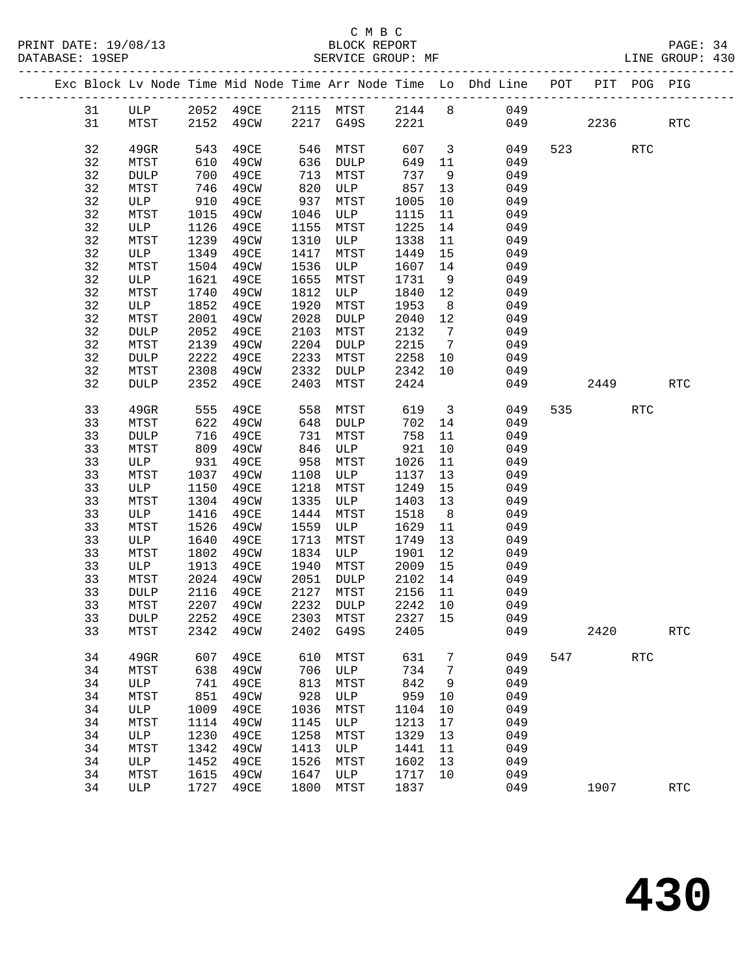|  |          |             |              |                        |              |             |              |                         | Exc Block Lv Node Time Mid Node Time Arr Node Time Lo Dhd Line POT PIT POG PIG |     |      |            |                      |
|--|----------|-------------|--------------|------------------------|--------------|-------------|--------------|-------------------------|--------------------------------------------------------------------------------|-----|------|------------|----------------------|
|  | 31       | <b>ULP</b>  |              |                        |              |             |              |                         | 2052 49CE 2115 MTST 2144 8 049                                                 |     |      |            |                      |
|  | 31       | MTST        |              | 2152  49CW  2217  G49S |              |             | 2221         |                         |                                                                                | 049 | 2236 |            | $\operatorname{RTC}$ |
|  |          |             |              |                        |              |             |              |                         |                                                                                |     |      |            |                      |
|  | 32       | $49$ GR     | 543          | 49CE                   | 546          | MTST        | 607          | $\overline{\mathbf{3}}$ | 049                                                                            |     | 523  | <b>RTC</b> |                      |
|  | 32       | MTST        | 610          | 49CW                   | 636          | DULP        | 649          | 11                      | 049                                                                            |     |      |            |                      |
|  | 32       | <b>DULP</b> | 700          | 49CE                   | 713          | MTST        | 737          | 9                       | 049                                                                            |     |      |            |                      |
|  | 32       | MTST        | 746          | 49CW                   | 820          | ULP         | 857          | 13                      | 049                                                                            |     |      |            |                      |
|  | 32       | ULP         | 910          | 49CE                   | 937          | MTST        | 1005         | 10                      | 049                                                                            |     |      |            |                      |
|  | 32       | MTST        | 1015         | 49CW                   | 1046         | ULP         | 1115         | 11                      | 049                                                                            |     |      |            |                      |
|  | 32       | ULP         | 1126         | 49CE                   | 1155         | MTST        | 1225         | 14                      | 049                                                                            |     |      |            |                      |
|  | 32       | MTST        | 1239         | 49CW                   | 1310         | ULP         | 1338         | 11                      | 049                                                                            |     |      |            |                      |
|  | 32<br>32 | ULP<br>MTST | 1349<br>1504 | 49CE<br>49CW           | 1417<br>1536 | MTST<br>ULP | 1449<br>1607 | 15<br>14                | 049<br>049                                                                     |     |      |            |                      |
|  | 32       | ULP         | 1621         | 49CE                   | 1655         | MTST        | 1731         | 9                       | 049                                                                            |     |      |            |                      |
|  | 32       | MTST        | 1740         | 49CW                   | 1812         | ULP         | 1840         | 12                      | 049                                                                            |     |      |            |                      |
|  | 32       | ULP         | 1852         | 49CE                   | 1920         | MTST        | 1953         | 8 <sup>8</sup>          | 049                                                                            |     |      |            |                      |
|  | 32       | MTST        | 2001         | 49CW                   | 2028         | DULP        | 2040         | 12                      | 049                                                                            |     |      |            |                      |
|  | 32       | <b>DULP</b> | 2052         | 49CE                   | 2103         | MTST        | 2132         | $\overline{7}$          | 049                                                                            |     |      |            |                      |
|  | 32       | MTST        | 2139         | 49CW                   | 2204         | DULP        | 2215         | $\overline{7}$          | 049                                                                            |     |      |            |                      |
|  | 32       | <b>DULP</b> | 2222         | 49CE                   | 2233         | MTST        | 2258         | 10                      | 049                                                                            |     |      |            |                      |
|  | 32       | MTST        | 2308         | 49CW                   | 2332         | DULP        | 2342         | 10                      | 049                                                                            |     |      |            |                      |
|  | 32       | <b>DULP</b> | 2352         | 49CE                   | 2403         | MTST        | 2424         |                         | 049                                                                            |     | 2449 |            | <b>RTC</b>           |
|  |          |             |              |                        |              |             |              |                         |                                                                                |     |      |            |                      |
|  | 33       | 49GR        | 555          | 49CE                   | 558          | MTST        | 619          | $\overline{\mathbf{3}}$ | 049                                                                            |     | 535  | <b>RTC</b> |                      |
|  | 33       | MTST        | 622          | 49CW                   | 648          | DULP        | 702          | 14                      | 049                                                                            |     |      |            |                      |
|  | 33       | <b>DULP</b> | 716<br>809   | 49CE                   | 731          | MTST        | 758          | 11                      | 049                                                                            |     |      |            |                      |
|  | 33       | MTST        |              | 49CW                   | 846          | ULP         | 921          | 10                      | 049                                                                            |     |      |            |                      |
|  | 33<br>33 | ULP<br>MTST | 931<br>1037  | 49CE<br>49CW           | 958<br>1108  | MTST<br>ULP | 1026<br>1137 | 11<br>13                | 049<br>049                                                                     |     |      |            |                      |
|  | 33       | ULP         | 1150         | 49CE                   | 1218         | MTST        | 1249         | 15                      | 049                                                                            |     |      |            |                      |
|  | 33       | MTST        | 1304         | 49CW                   | 1335         | ULP         | 1403         | 13                      | 049                                                                            |     |      |            |                      |
|  | 33       | ULP         | 1416         | 49CE                   | 1444         | MTST        | 1518         | 8 <sup>8</sup>          | 049                                                                            |     |      |            |                      |
|  | 33       | MTST        | 1526         | 49CW                   | 1559         | ULP         | 1629         | 11                      | 049                                                                            |     |      |            |                      |
|  | 33       | ULP         | 1640         | 49CE                   | 1713         | MTST        | 1749         | 13                      | 049                                                                            |     |      |            |                      |
|  | 33       | MTST        | 1802         | 49CW                   | 1834         | ULP         | 1901         | 12                      | 049                                                                            |     |      |            |                      |
|  | 33       | ULP         | 1913         | 49CE                   | 1940         | MTST        | 2009         | 15                      | 049                                                                            |     |      |            |                      |
|  | 33       | MTST        | 2024         | 49CW                   | 2051         | DULP        | 2102         | 14                      | 049                                                                            |     |      |            |                      |
|  | 33       | <b>DULP</b> | 2116         | 49CE                   | 2127         | MTST        | 2156         | 11                      | 049                                                                            |     |      |            |                      |
|  | 33       | MTST        | 2207         | 49CW                   |              | 2232 DULP   | 2242 10      |                         | 049                                                                            |     |      |            |                      |
|  | 33       | <b>DULP</b> |              | 2252 49CE              |              | 2303 MTST   | 2327 15      |                         | 049                                                                            |     |      |            |                      |
|  | 33       | MTST        | 2342         | 49CW                   |              | 2402 G49S   | 2405         |                         | 049                                                                            |     | 2420 |            | $\operatorname{RTC}$ |
|  | 34       | 49GR        | 607          | 49CE                   | 610          | MTST        | 631          | 7                       | 049                                                                            |     | 547  | <b>RTC</b> |                      |
|  | 34       | MTST        | 638          | 49CW                   | 706          | ULP         | 734          | 7                       | 049                                                                            |     |      |            |                      |
|  | 34       | ULP         | 741          | 49CE                   | 813          | MTST        | 842          | 9                       | 049                                                                            |     |      |            |                      |
|  | 34       | MTST        | 851          | 49CW                   | 928          | ULP         | 959          | 10                      | 049                                                                            |     |      |            |                      |
|  | 34       | ULP         | 1009         | 49CE                   | 1036         | MTST        | 1104         | 10                      | 049                                                                            |     |      |            |                      |
|  | 34       | MTST        | 1114         | 49CW                   | 1145         | ULP         | 1213         | 17                      | 049                                                                            |     |      |            |                      |
|  | 34       | ULP         | 1230         | 49CE                   | 1258         | MTST        | 1329         | 13                      | 049                                                                            |     |      |            |                      |
|  | 34       | MTST        | 1342         | 49CW                   | 1413         | ULP         | 1441         | 11                      | 049                                                                            |     |      |            |                      |
|  | 34       | ULP         | 1452         | 49CE                   | 1526         | MTST        | 1602         | 13                      | 049                                                                            |     |      |            |                      |
|  | 34       | MTST        | 1615         | 49CW                   | 1647         | ULP         | 1717         | 10                      | 049                                                                            |     |      |            |                      |
|  | 34       | ULP         | 1727         | 49CE                   | 1800         | MTST        | 1837         |                         | 049                                                                            |     | 1907 |            | $\operatorname{RTC}$ |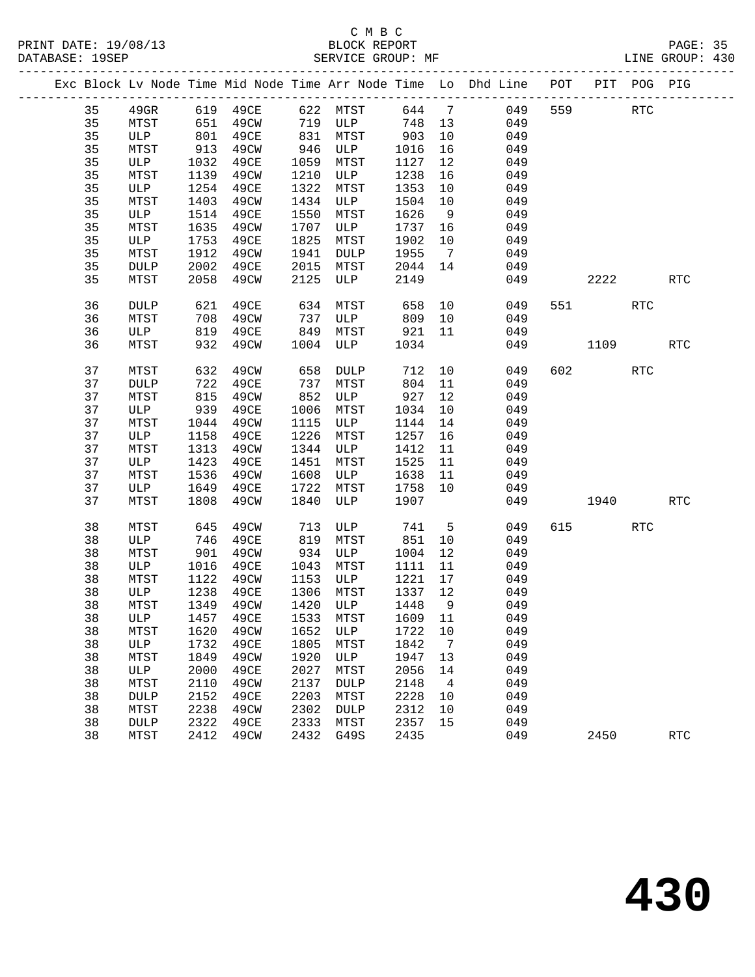#### C M B C<br>BLOCK REPORT SERVICE GROUP: MF

|    |             |      |          |      |                 |         |                | Exc Block Lv Node Time Mid Node Time Arr Node Time Lo Dhd Line POT PIT POG PIG |     |            |            |                      |
|----|-------------|------|----------|------|-----------------|---------|----------------|--------------------------------------------------------------------------------|-----|------------|------------|----------------------|
| 35 | 49GR        |      | 619 49CE |      | 622 MTST        |         |                | 644 7<br>049                                                                   | 559 | <b>RTC</b> |            |                      |
| 35 | MTST        | 651  | 49CW     |      | 719 ULP         | 748 13  |                | 049                                                                            |     |            |            |                      |
| 35 | ULP         | 801  | 49CE     |      | $831$ MTST      | 903 10  |                | 049                                                                            |     |            |            |                      |
| 35 | MTST        | 913  | 49CW     |      | 946 ULP         | 1016 16 |                | 049                                                                            |     |            |            |                      |
| 35 | ULP         | 1032 | 49CE     | 1059 | MTST            | 1127    | 12             | 049                                                                            |     |            |            |                      |
| 35 | MTST        | 1139 | 49CW     | 1210 | ULP             | 1238    | 16             | 049                                                                            |     |            |            |                      |
| 35 | ULP         | 1254 | 49CE     | 1322 | MTST            | 1353    | 10             | 049                                                                            |     |            |            |                      |
| 35 | MTST        | 1403 | 49CW     | 1434 | ULP             | 1504    | 10             | 049                                                                            |     |            |            |                      |
| 35 | ULP         | 1514 | 49CE     | 1550 | MTST            | 1626    | 9              | 049                                                                            |     |            |            |                      |
| 35 | MTST        | 1635 | 49CW     | 1707 | ULP             | 1737 16 |                | 049                                                                            |     |            |            |                      |
| 35 | ULP         | 1753 | 49CE     | 1825 | MTST            | 1902    | 10             | 049                                                                            |     |            |            |                      |
| 35 | MTST        | 1912 | 49CW     | 1941 | $\texttt{DULP}$ | 1955    | $\overline{7}$ | 049                                                                            |     |            |            |                      |
| 35 | <b>DULP</b> | 2002 | 49CE     | 2015 | MTST            | 2044    | 14             | 049                                                                            |     |            |            |                      |
| 35 | MTST        | 2058 | 49CW     | 2125 | ULP             | 2149    |                | 049                                                                            |     | 2222       |            | $\operatorname{RTC}$ |
| 36 | <b>DULP</b> | 621  | 49CE     | 634  | MTST            | 658     | 10             | 049                                                                            | 551 |            | <b>RTC</b> |                      |
| 36 | MTST        | 708  | 49CW     | 737  | ULP             | 809 10  |                | 049                                                                            |     |            |            |                      |
| 36 | ULP         | 819  | 49CE     | 849  | MTST            | 921 11  |                | 049                                                                            |     |            |            |                      |
| 36 | MTST        | 932  | 49CW     | 1004 | ULP             | 1034    |                | 049                                                                            |     | 1109       |            | <b>RTC</b>           |
| 37 | MTST        | 632  | 49CW     | 658  | $\texttt{DULP}$ | 712     | 10             | 049                                                                            | 602 |            | <b>RTC</b> |                      |
| 37 | DULP        | 722  | 49CE     | 737  | MTST            | 804     | 11             | 049                                                                            |     |            |            |                      |
| 37 | MTST        | 815  | 49CW     | 852  | ULP             | 927 12  |                | 049                                                                            |     |            |            |                      |
| 37 | ULP         | 939  | 49CE     | 1006 | MTST            | 1034    | 10             | 049                                                                            |     |            |            |                      |
| 37 | MTST        | 1044 | 49CW     | 1115 | ULP             | 1144    | 14             | 049                                                                            |     |            |            |                      |
| 37 | ULP         | 1158 | 49CE     | 1226 | MTST            | 1257    | 16             | 049                                                                            |     |            |            |                      |
| 37 | MTST        | 1313 | 49CW     | 1344 | ULP             | 1412    | 11             | 049                                                                            |     |            |            |                      |
| 37 | ULP         | 1423 | 49CE     | 1451 | MTST            | 1525    | 11             | 049                                                                            |     |            |            |                      |
| 37 | MTST        | 1536 | 49CW     | 1608 | ULP             | 1638    | - 11           | 049                                                                            |     |            |            |                      |
| 37 | ULP         | 1649 | 49CE     | 1722 | MTST            | 1758 10 |                | 049                                                                            |     |            |            |                      |
| 37 | MTST        | 1808 | 49CW     | 1840 | ULP             | 1907    |                | 049                                                                            |     | 1940       |            | <b>RTC</b>           |
| 38 | MTST        | 645  | 49CW     | 713  | ULP             | 741     | 5              | 049                                                                            | 615 |            | RTC        |                      |
| 38 | ULP         | 746  | 49CE     | 819  | MTST            | 851 10  |                | 049                                                                            |     |            |            |                      |
| 38 | MTST        | 901  | 49CW     | 934  | ULP             | 1004 12 |                | 049                                                                            |     |            |            |                      |
| 38 | ULP         | 1016 | 49CE     | 1043 | MTST            | 1111    | 11             | 049                                                                            |     |            |            |                      |
| 38 | MTST        | 1122 | 49CW     | 1153 | ULP             | 1221    | 17             | 049                                                                            |     |            |            |                      |
| 38 | ULP         | 1238 | 49CE     | 1306 | MTST            | 1337    | 12             | 049                                                                            |     |            |            |                      |
| 38 | MTST        | 1349 | 49CW     | 1420 | ULP             | 1448    | 9              | 049                                                                            |     |            |            |                      |
| 38 | ULP         | 1457 | 49CE     | 1533 | MTST            | 1609    | 11             | 049                                                                            |     |            |            |                      |
| 38 | MTST        | 1620 | 49CW     | 1652 | ULP             | 1722    | 10             | 049                                                                            |     |            |            |                      |
| 38 | ULP         | 1732 | 49CE     | 1805 | MTST            | 1842    | $\overline{7}$ | 049                                                                            |     |            |            |                      |
| 38 | MTST        | 1849 | 49CW     | 1920 | ULP             | 1947    | 13             | 049                                                                            |     |            |            |                      |
| 38 | ULP         | 2000 | 49CE     | 2027 | MTST            | 2056    | 14             | 049                                                                            |     |            |            |                      |

 38 MTST 2110 49CW 2137 DULP 2148 4 049 38 DULP 2152 49CE 2203 MTST 2228 10 049 38 MTST 2238 49CW 2302 DULP 2312 10 049 38 DULP 2322 49CE 2333 MTST 2357 15 049

38 MTST 2412 49CW 2432 G49S 2435 049 2450 RTC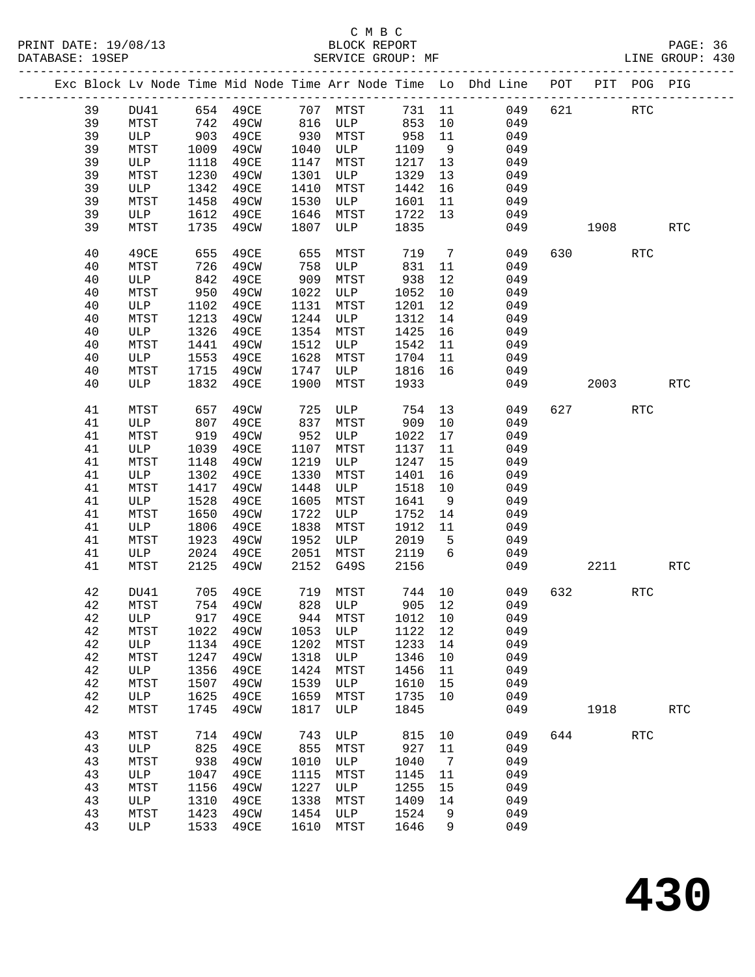|  |        |              |      |          |      |                  |        |                | Exc Block Lv Node Time Mid Node Time Arr Node Time Lo Dhd Line POT PIT POG PIG |     |        |            |                      |
|--|--------|--------------|------|----------|------|------------------|--------|----------------|--------------------------------------------------------------------------------|-----|--------|------------|----------------------|
|  | 39     | DU41         |      | 654 49CE | 707  | MTST             | 731 11 |                | 049                                                                            | 621 |        | <b>RTC</b> |                      |
|  | 39     | MTST         | 742  | 49CW     | 816  | ULP              | 853    | 10             | 049                                                                            |     |        |            |                      |
|  | 39     | ULP          | 903  | 49CE     | 930  | MTST             | 958    | 11             | 049                                                                            |     |        |            |                      |
|  | 39     | MTST         | 1009 | 49CW     | 1040 | ULP              | 1109   | 9              | 049                                                                            |     |        |            |                      |
|  | 39     | ULP          | 1118 | 49CE     | 1147 | MTST             | 1217   | 13             | 049                                                                            |     |        |            |                      |
|  |        |              |      |          |      |                  |        |                |                                                                                |     |        |            |                      |
|  | 39     | MTST         | 1230 | 49CW     | 1301 | ULP              | 1329   | 13             | 049                                                                            |     |        |            |                      |
|  | 39     | ULP          | 1342 | 49CE     | 1410 | MTST             | 1442   | 16             | 049                                                                            |     |        |            |                      |
|  | 39     | MTST         | 1458 | 49CW     | 1530 | ULP              | 1601   | 11             | 049                                                                            |     |        |            |                      |
|  | 39     | ULP          | 1612 | 49CE     | 1646 | MTST             | 1722   | 13             | 049                                                                            |     |        |            |                      |
|  | 39     | MTST         | 1735 | 49CW     | 1807 | ULP              | 1835   |                | 049                                                                            |     | 1908   |            | <b>RTC</b>           |
|  | 40     | 49CE         | 655  | 49CE     | 655  | MTST             | 719    | $\overline{7}$ | 049                                                                            | 630 |        | <b>RTC</b> |                      |
|  | 40     | MTST         | 726  | 49CW     | 758  | ULP              | 831    | 11             | 049                                                                            |     |        |            |                      |
|  | 40     | ULP          | 842  | 49CE     | 909  | MTST             | 938    | 12             | 049                                                                            |     |        |            |                      |
|  | 40     | MTST         | 950  | 49CW     | 1022 | ULP              | 1052   | 10             | 049                                                                            |     |        |            |                      |
|  | 40     | ULP          | 1102 | 49CE     | 1131 | MTST             | 1201   | 12             | 049                                                                            |     |        |            |                      |
|  | 40     | MTST         | 1213 | 49CW     | 1244 | ULP              | 1312   | 14             | 049                                                                            |     |        |            |                      |
|  | 40     | ULP          | 1326 | 49CE     | 1354 | MTST             | 1425   | 16             | 049                                                                            |     |        |            |                      |
|  | 40     | MTST         | 1441 | 49CW     | 1512 | ULP              | 1542   | 11             | 049                                                                            |     |        |            |                      |
|  |        |              |      |          | 1628 |                  |        |                |                                                                                |     |        |            |                      |
|  | 40     | ULP          | 1553 | 49CE     |      | MTST             | 1704   | 11             | 049                                                                            |     |        |            |                      |
|  | 40     | MTST         | 1715 | 49CW     | 1747 | ULP              | 1816   | 16             | 049                                                                            |     |        |            |                      |
|  | 40     | ULP          | 1832 | 49CE     | 1900 | MTST             | 1933   |                | 049                                                                            |     | 2003   |            | $\operatorname{RTC}$ |
|  | 41     | MTST         | 657  | 49CW     | 725  | ULP              | 754    | 13             | 049                                                                            |     | 627 62 | <b>RTC</b> |                      |
|  | 41     | ULP          | 807  | 49CE     | 837  | MTST             | 909    | 10             | 049                                                                            |     |        |            |                      |
|  | 41     | MTST         | 919  | 49CW     | 952  | ULP              | 1022   | 17             | 049                                                                            |     |        |            |                      |
|  | 41     | ULP          | 1039 | 49CE     | 1107 | MTST             | 1137   | 11             | 049                                                                            |     |        |            |                      |
|  | 41     | MTST         | 1148 | 49CW     | 1219 | ULP              | 1247   | 15             | 049                                                                            |     |        |            |                      |
|  | 41     | ULP          | 1302 | 49CE     | 1330 | MTST             | 1401   | 16             | 049                                                                            |     |        |            |                      |
|  | 41     | MTST         | 1417 | 49CW     | 1448 | ULP              | 1518   | 10             | 049                                                                            |     |        |            |                      |
|  | 41     | ULP          | 1528 | 49CE     | 1605 | MTST             | 1641   | 9              | 049                                                                            |     |        |            |                      |
|  |        | MTST         | 1650 | 49CW     | 1722 | ULP              | 1752   | 14             | 049                                                                            |     |        |            |                      |
|  | 41     |              |      |          |      |                  |        |                |                                                                                |     |        |            |                      |
|  | 41     | ULP          | 1806 | 49CE     | 1838 | MTST             | 1912   | 11             | 049                                                                            |     |        |            |                      |
|  | 41     | MTST         | 1923 | 49CW     | 1952 | ULP              | 2019   | 5              | 049                                                                            |     |        |            |                      |
|  | 41     | ULP          | 2024 | 49CE     | 2051 | MTST             | 2119   | 6              | 049                                                                            |     |        |            |                      |
|  | 41     | MTST         | 2125 | 49CW     | 2152 | G49S             | 2156   |                | 049                                                                            |     | 2211   |            | <b>RTC</b>           |
|  | 42     | DU41         | 705  | 49CE     | 719  | MTST             | 744 10 |                | 049                                                                            | 632 |        | <b>RTC</b> |                      |
|  | 42     | MTST         |      | 754 49CW |      | 828 ULP          | 905 12 |                | 049                                                                            |     |        |            |                      |
|  | 42 ULP |              |      | 917 49CE |      | 944 MTST 1012 10 |        |                | 049                                                                            |     |        |            |                      |
|  |        |              |      |          |      |                  |        |                |                                                                                |     |        |            |                      |
|  | 42     | MTST         | 1022 | 49CW     | 1053 | ULP              | 1122   | 12             | 049                                                                            |     |        |            |                      |
|  | 42     | $_{\rm ULP}$ | 1134 | 49CE     | 1202 | MTST             | 1233   | 14             | 049                                                                            |     |        |            |                      |
|  | 42     | MTST         | 1247 | 49CW     | 1318 | ULP              | 1346   | 10             | 049                                                                            |     |        |            |                      |
|  | 42     | ULP          | 1356 | 49CE     | 1424 | MTST             | 1456   | 11             | 049                                                                            |     |        |            |                      |
|  | 42     | MTST         | 1507 | 49CW     | 1539 | ULP              | 1610   | 15             | 049                                                                            |     |        |            |                      |
|  | 42     | ULP          | 1625 | 49CE     | 1659 | MTST             | 1735   | 10             | 049                                                                            |     |        |            |                      |
|  | 42     | MTST         | 1745 | 49CW     | 1817 | ULP              | 1845   |                | 049                                                                            |     | 1918   |            | $\operatorname{RTC}$ |
|  | 43     | MTST         | 714  | 49CW     | 743  | ULP              | 815    | 10             | 049                                                                            | 644 |        | <b>RTC</b> |                      |
|  | 43     | ULP          | 825  | 49CE     | 855  | MTST             | 927    | 11             | 049                                                                            |     |        |            |                      |
|  | 43     | MTST         | 938  | 49CW     | 1010 | ULP              | 1040   | 7              | 049                                                                            |     |        |            |                      |
|  | 43     | ULP          | 1047 | 49CE     | 1115 | MTST             | 1145   | 11             | 049                                                                            |     |        |            |                      |
|  | 43     | MTST         | 1156 | 49CW     | 1227 | ULP              | 1255   | 15             | 049                                                                            |     |        |            |                      |
|  | 43     |              | 1310 | 49CE     | 1338 |                  | 1409   | 14             | 049                                                                            |     |        |            |                      |
|  |        | ULP          |      |          |      | MTST             |        |                |                                                                                |     |        |            |                      |
|  | 43     | MTST         | 1423 | 49CW     | 1454 | ULP              | 1524   | 9              | 049                                                                            |     |        |            |                      |
|  | 43     | ULP          | 1533 | 49CE     | 1610 | MTST             | 1646   | 9              | 049                                                                            |     |        |            |                      |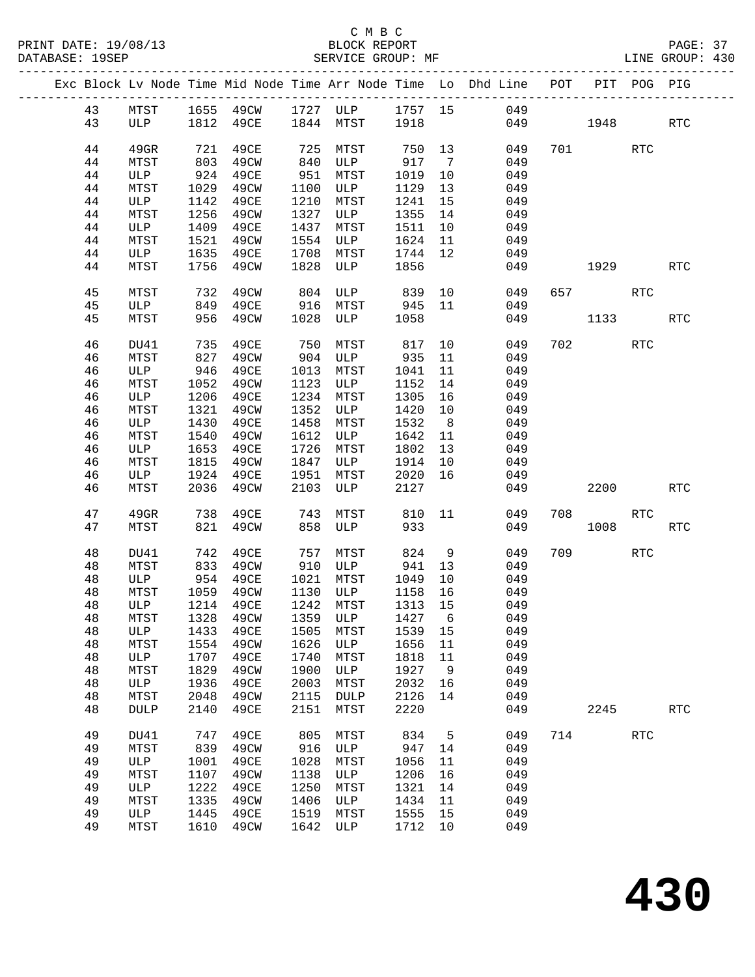|  |          |             |             |              |             |                              |             |                | Exc Block Lv Node Time Mid Node Time Arr Node Time Lo Dhd Line POT PIT POG PIG |           |            |            |
|--|----------|-------------|-------------|--------------|-------------|------------------------------|-------------|----------------|--------------------------------------------------------------------------------|-----------|------------|------------|
|  | 43       |             |             |              |             |                              |             |                | MTST 1655 49CW 1727 ULP 1757 15 049                                            |           |            |            |
|  | 43       |             |             |              |             | ULP 1812 49CE 1844 MTST 1918 |             |                |                                                                                | 049 1948  |            | RTC        |
|  |          |             |             |              |             |                              |             |                |                                                                                |           |            |            |
|  | 44       | 49GR        | 721         | 49CE         | 725         | MTST                         | 750 13      |                | 049                                                                            | 701       | RTC        |            |
|  | 44       | MTST        | 803         | 49CW         | 840         | ULP                          | 917 7       |                | 049                                                                            |           |            |            |
|  | 44       | ULP         | 924         | 49CE         | 951         | MTST                         | 1019        | 10             | 049                                                                            |           |            |            |
|  | 44       | MTST        | 1029        | 49CW         | 1100        | ULP                          | 1129        | 13             | 049                                                                            |           |            |            |
|  | 44       | ULP         | 1142        | 49CE         | 1210        | MTST                         | 1241        | 15             | 049                                                                            |           |            |            |
|  | 44       | MTST        | 1256        | 49CW         | 1327        | ULP                          | 1355        | 14             | 049                                                                            |           |            |            |
|  | 44       | ULP         | 1409        | 49CE         | 1437        | MTST                         | 1511        | 10             | 049                                                                            |           |            |            |
|  | 44       | MTST        | 1521        | 49CW         | 1554        | ULP                          | 1624        | 11             | 049                                                                            |           |            |            |
|  | 44       | ULP         | 1635        | 49CE         | 1708        | MTST                         | 1744        | 12             | 049                                                                            |           |            |            |
|  | 44       | MTST        | 1756        | 49CW         | 1828        | ULP                          | 1856        |                | 049                                                                            | 1929      |            | <b>RTC</b> |
|  |          |             |             |              |             |                              |             |                |                                                                                |           |            |            |
|  | 45       | MTST        | 732         | 49CW         | 804         | ULP                          | 839         | 10             | 049                                                                            | 657 — 100 | <b>RTC</b> |            |
|  | 45       | ULP         | 849         | 49CE         |             | 916 MTST                     | 945         | 11             | 049                                                                            |           |            |            |
|  | 45       | MTST        | 956         | 49CW         |             | 1028 ULP                     | 1058        |                | 049                                                                            | 1133      |            | <b>RTC</b> |
|  | 46       | DU41        | 735         | 49CE         | 750         | MTST                         | 817 10      |                | 049                                                                            | 702       | RTC        |            |
|  | 46       | MTST        | 827         | 49CW         | 904         | ULP                          | 935         | 11             | 049                                                                            |           |            |            |
|  | 46       | ULP         | 946         | 49CE         | 1013        | MTST                         | 1041        | 11             | 049                                                                            |           |            |            |
|  | 46       | MTST        | 1052        | 49CW         |             | 1123 ULP                     | 1152        | 14             | 049                                                                            |           |            |            |
|  | 46       | ULP         | 1206        | 49CE         | 1234        | MTST                         | 1305        | 16             | 049                                                                            |           |            |            |
|  | 46       | MTST        | 1321        | 49CW         | 1352        | ULP                          | 1420        | 10             | 049                                                                            |           |            |            |
|  | 46       | ULP         | 1430        | 49CE         | 1458        | MTST                         | 1532        | 8 <sup>8</sup> | 049                                                                            |           |            |            |
|  | 46       | MTST        | 1540        | 49CW         | 1612        | ULP                          | 1642        | 11             | 049                                                                            |           |            |            |
|  | 46       | ULP         | 1653        | 49CE         | 1726        | MTST                         | 1802        | 13             | 049                                                                            |           |            |            |
|  | 46       | MTST        | 1815        | 49CW         | 1847        | ULP                          | 1914        | 10             | 049                                                                            |           |            |            |
|  | 46       | ULP         | 1924        | 49CE         | 1951        | MTST                         | 2020        | 16             | 049                                                                            |           |            |            |
|  | 46       | MTST        | 2036        | 49CW         | 2103        | ULP                          | 2127        |                | 049                                                                            | 2200      |            | <b>RTC</b> |
|  |          |             |             |              |             |                              |             |                |                                                                                |           |            |            |
|  | 47       | 49GR        | 738         | 49CE         | 743         | MTST                         | 810         | 11             | 049                                                                            | 708 708   | <b>RTC</b> |            |
|  | 47       | MTST        | 821         | 49CW         | 858         | ULP                          | 933         |                | 049                                                                            | 1008      |            | <b>RTC</b> |
|  | 48       | DU41        | 742         | 49CE         | 757         | MTST                         | 824         | 9              | 049                                                                            | 709       | RTC        |            |
|  | 48       | MTST        | 833         | 49CW         |             | 910 ULP 941                  |             | 13             | 049                                                                            |           |            |            |
|  | 48       | ULP         | 954         | 49CE         |             | 1021 MTST                    | 1049        | 10             | 049                                                                            |           |            |            |
|  | 48       | MTST        | 1059        | 49CW         |             | 1130 ULP                     | 1158        | 16             | 049                                                                            |           |            |            |
|  | 48       | ULP         |             | 1214 49CE    |             | 1242 MTST                    | 1313 15     |                | 049                                                                            |           |            |            |
|  | 48       |             |             |              |             |                              |             |                | MTST 1328 49CW 1359 ULP 1427 6 049                                             |           |            |            |
|  | 48       | ULP         | 1433        | 49CE         | 1505        | MTST                         | 1539        | 15             | 049                                                                            |           |            |            |
|  | 48       | MTST        | 1554        | 49CW         | 1626        | ULP                          | 1656        | 11             | 049                                                                            |           |            |            |
|  | 48       | ULP         | 1707        | 49CE         | 1740        | MTST                         | 1818        | 11             | 049                                                                            |           |            |            |
|  | 48       | MTST        | 1829        | 49CW         | 1900        | ULP                          | 1927        | 9              | 049                                                                            |           |            |            |
|  | 48       | ULP         | 1936        | 49CE         | 2003        | MTST                         | 2032        | 16             | 049                                                                            |           |            |            |
|  | 48       | MTST        | 2048        | 49CW         | 2115        | DULP                         | 2126        | 14             | 049                                                                            |           |            |            |
|  | 48       | <b>DULP</b> | 2140        | 49CE         | 2151        | MTST                         | 2220        |                | 049                                                                            | 2245      |            | RTC        |
|  |          |             |             |              |             |                              |             |                |                                                                                |           |            |            |
|  | 49       | DU41        | 747         | 49CE         | 805         | MTST                         | 834         | 5              | 049                                                                            | 714       | <b>RTC</b> |            |
|  | 49<br>49 | MTST<br>ULP | 839<br>1001 | 49CW<br>49CE | 916<br>1028 | ULP<br>MTST                  | 947<br>1056 | 14<br>11       | 049<br>049                                                                     |           |            |            |
|  | 49       | MTST        | 1107        | 49CW         | 1138        | ULP                          | 1206        | 16             | 049                                                                            |           |            |            |
|  | 49       | ULP         | 1222        | 49CE         | 1250        | MTST                         | 1321        | 14             | 049                                                                            |           |            |            |
|  | 49       | MTST        | 1335        | 49CW         | 1406        | ULP                          | 1434        | 11             | 049                                                                            |           |            |            |
|  | 49       | ULP         | 1445        | 49CE         | 1519        | MTST                         | 1555        | 15             | 049                                                                            |           |            |            |
|  | 49       | MTST        | 1610        | 49CW         | 1642        | ULP                          | 1712 10     |                | 049                                                                            |           |            |            |
|  |          |             |             |              |             |                              |             |                |                                                                                |           |            |            |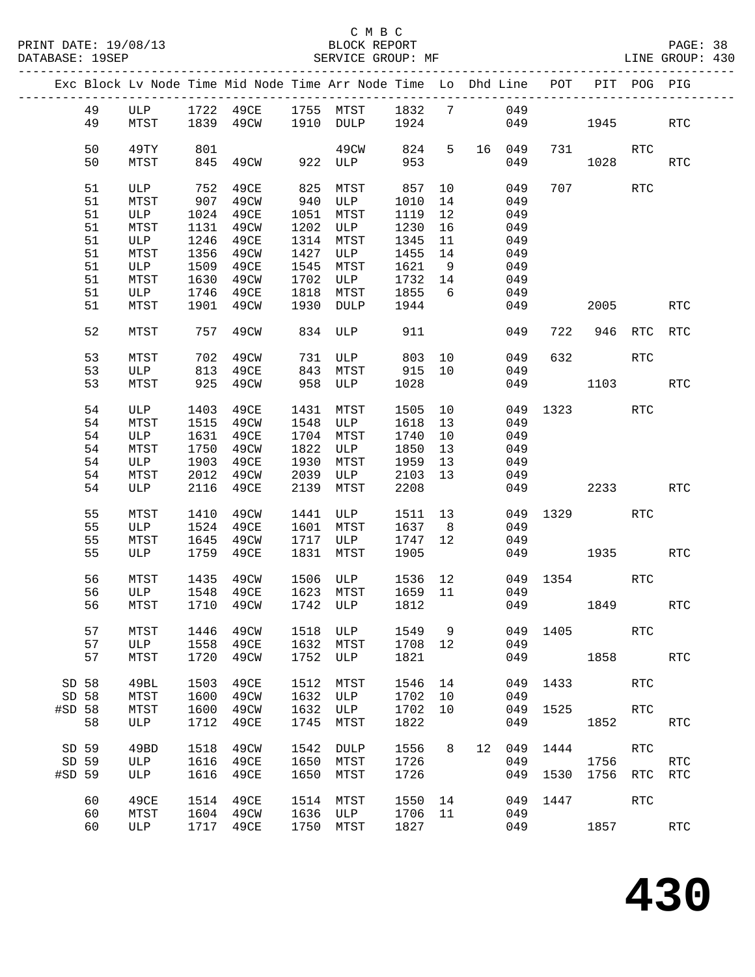### C M B C<br>BLOCK REPORT

-------------------------------------------------------------------------------------------------

|        |              |      | Exc Block Lv Node Time Mid Node Time Arr Node Time Lo Dhd Line |      |          |         |                 |    |     | POT  |                     | PIT POG PIG |                      |
|--------|--------------|------|----------------------------------------------------------------|------|----------|---------|-----------------|----|-----|------|---------------------|-------------|----------------------|
| 49     | ULP          | 1722 | 49CE                                                           | 1755 | MTST     | 1832    | $7\phantom{.0}$ |    | 049 |      |                     |             |                      |
| 49     | MTST         | 1839 | 49CW                                                           | 1910 | DULP     | 1924    |                 |    | 049 |      | 1945                |             | <b>RTC</b>           |
| 50     | 49TY         | 801  |                                                                |      | 49CW     | 824     | 5               | 16 | 049 | 731  |                     | <b>RTC</b>  |                      |
| 50     | MTST         | 845  | 49CW                                                           | 922  | ULP      | 953     |                 |    | 049 |      | 1028                |             | $\operatorname{RTC}$ |
| 51     | ULP          | 752  | 49CE                                                           | 825  | MTST     | 857     | 10              |    | 049 | 707  |                     | <b>RTC</b>  |                      |
| 51     | MTST         | 907  | 49CW                                                           | 940  | ULP      | 1010    | 14              |    | 049 |      |                     |             |                      |
| 51     | ULP          | 1024 | 49CE                                                           | 1051 | MTST     | 1119    | 12              |    | 049 |      |                     |             |                      |
| 51     | MTST         | 1131 | 49CW                                                           | 1202 | ULP      | 1230    | 16              |    | 049 |      |                     |             |                      |
| 51     | ULP          | 1246 | 49CE                                                           | 1314 | MTST     | 1345    | 11              |    | 049 |      |                     |             |                      |
| 51     | MTST         | 1356 | 49CW                                                           | 1427 | ULP      | 1455    | 14              |    | 049 |      |                     |             |                      |
| 51     | ULP          | 1509 | 49CE                                                           | 1545 | MTST     | 1621    | 9               |    | 049 |      |                     |             |                      |
| 51     | MTST         | 1630 | 49CW                                                           | 1702 | ULP      | 1732    | 14              |    | 049 |      |                     |             |                      |
| 51     | ULP          | 1746 | 49CE                                                           | 1818 | MTST     | 1855    | 6               |    | 049 |      |                     |             |                      |
| 51     | MTST         | 1901 | 49CW                                                           | 1930 | DULP     | 1944    |                 |    | 049 |      | 2005                |             | $\operatorname{RTC}$ |
| 52     | MTST         | 757  | 49CW                                                           | 834  | ULP      | 911     |                 |    | 049 | 722  | 946                 | <b>RTC</b>  | <b>RTC</b>           |
| 53     | MTST         | 702  | 49CW                                                           | 731  | ULP      | 803     | 10              |    | 049 | 632  |                     | <b>RTC</b>  |                      |
| 53     | ULP          | 813  | 49CE                                                           | 843  | MTST     | 915     | 10              |    | 049 |      |                     |             |                      |
| 53     | MTST         | 925  | 49CW                                                           | 958  | ULP      | 1028    |                 |    | 049 |      | 1103                |             | $\operatorname{RTC}$ |
| 54     | ULP          | 1403 | 49CE                                                           | 1431 | MTST     | 1505    | 10              |    | 049 | 1323 |                     | <b>RTC</b>  |                      |
| 54     | MTST         | 1515 | 49CW                                                           | 1548 | ULP      | 1618    | 13              |    | 049 |      |                     |             |                      |
| 54     | ULP          | 1631 | 49CE                                                           | 1704 | MTST     | 1740    | 10              |    | 049 |      |                     |             |                      |
| 54     | MTST         | 1750 | 49CW                                                           | 1822 | ULP      | 1850    | 13              |    | 049 |      |                     |             |                      |
| 54     | ULP          | 1903 | 49CE                                                           | 1930 | MTST     | 1959    | 13              |    | 049 |      |                     |             |                      |
| 54     | MTST         | 2012 | 49CW                                                           | 2039 | ULP      | 2103    | 13              |    | 049 |      |                     |             |                      |
| 54     | ULP          | 2116 | 49CE                                                           | 2139 | MTST     | 2208    |                 |    | 049 |      | 2233                |             | <b>RTC</b>           |
|        |              |      |                                                                |      |          |         |                 |    |     |      |                     |             |                      |
| 55     | MTST         | 1410 | 49CW                                                           | 1441 | ULP      | 1511    | 13              |    | 049 | 1329 |                     | <b>RTC</b>  |                      |
| 55     | ULP          | 1524 | 49CE                                                           | 1601 | MTST     | 1637    | 8               |    | 049 |      |                     |             |                      |
| 55     | MTST         | 1645 | 49CW                                                           | 1717 | ULP      | 1747    | 12              |    | 049 |      |                     |             |                      |
| 55     | ULP          | 1759 | 49CE                                                           | 1831 | MTST     | 1905    |                 |    | 049 |      | 1935                |             | <b>RTC</b>           |
| 56     | MTST         | 1435 | 49CW                                                           | 1506 | ULP      | 1536    | 12              |    | 049 | 1354 |                     | RTC         |                      |
| 56     | ULP          | 1548 | 49CE                                                           | 1623 | MTST     | 1659    | 11              |    | 049 |      |                     |             |                      |
| 56     | MTST         | 1710 | 49CW                                                           | 1742 | ULP      | 1812    |                 |    | 049 |      | 1849                |             | <b>RTC</b>           |
| 57     | ${\tt MTST}$ |      | 1446 49CW                                                      |      | 1518 ULP |         |                 |    |     |      | 1549 9 049 1405 RTC |             |                      |
| 57     | ULP          | 1558 | 49CE                                                           | 1632 | MTST     | 1708 12 |                 |    | 049 |      |                     |             |                      |
| 57     | MTST         | 1720 | 49CW                                                           | 1752 | ULP      | 1821    |                 |    | 049 |      | 1858                |             | <b>RTC</b>           |
| SD 58  | 49BL         | 1503 | 49CE                                                           | 1512 | MTST     | 1546    | 14              |    | 049 | 1433 |                     | <b>RTC</b>  |                      |
| SD 58  | MTST         | 1600 | 49CW                                                           | 1632 | ULP      | 1702    | 10              |    | 049 |      |                     |             |                      |
| #SD 58 | MTST         | 1600 | 49CW                                                           | 1632 | ULP      | 1702    | 10              |    | 049 | 1525 |                     | <b>RTC</b>  |                      |
| 58     | ULP          | 1712 | 49CE                                                           | 1745 | MTST     | 1822    |                 |    | 049 |      | 1852                |             | $\operatorname{RTC}$ |
|        |              |      |                                                                |      |          |         |                 |    |     |      |                     |             |                      |
| SD 59  | 49BD         | 1518 | 49CW                                                           | 1542 | DULP     | 1556    | 8               | 12 | 049 | 1444 |                     | <b>RTC</b>  |                      |
| SD 59  | ULP          | 1616 | 49CE                                                           | 1650 | MTST     | 1726    |                 |    | 049 |      | 1756                |             | <b>RTC</b>           |
| #SD 59 | ULP          | 1616 | 49CE                                                           | 1650 | MTST     | 1726    |                 |    | 049 | 1530 | 1756                | RTC         | <b>RTC</b>           |
| 60     | 49CE         | 1514 | 49CE                                                           | 1514 | MTST     | 1550    | 14              |    | 049 | 1447 |                     | <b>RTC</b>  |                      |
| 60     | MTST         | 1604 | 49CW                                                           | 1636 | ULP      | 1706    | 11              |    | 049 |      |                     |             |                      |
| 60     | ULP          | 1717 | 49CE                                                           | 1750 | MTST     | 1827    |                 |    | 049 |      | 1857                |             | $\operatorname{RTC}$ |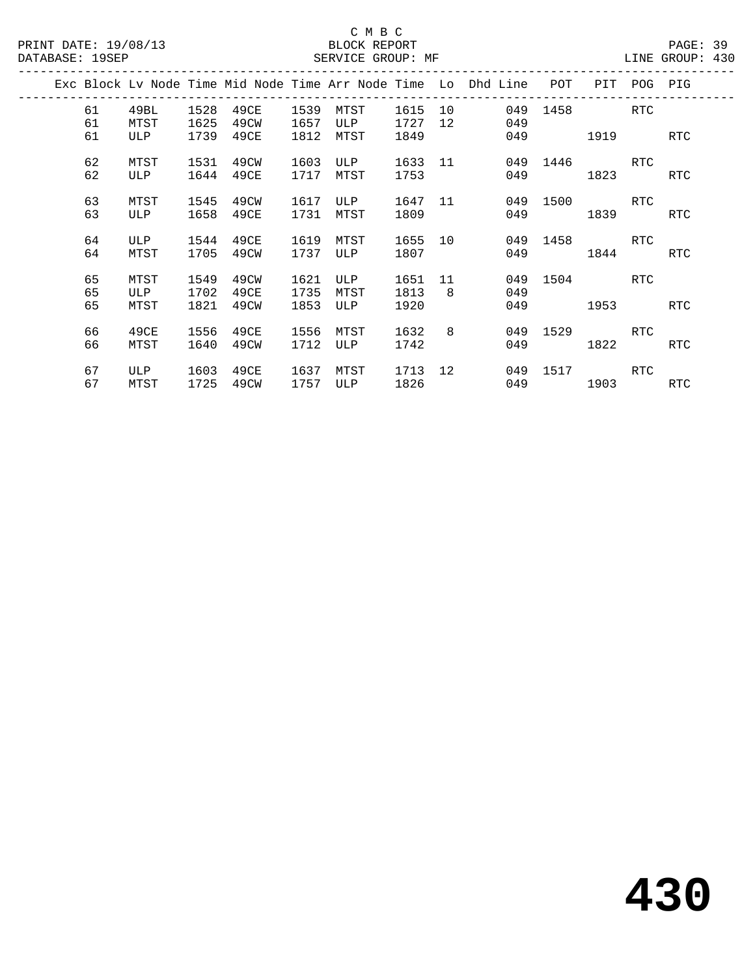|  |    |      |      |      |      |      |         |    | Exc Block Lv Node Time Mid Node Time Arr Node Time Lo Dhd Line | POT      | PIT                   | POG | PIG        |
|--|----|------|------|------|------|------|---------|----|----------------------------------------------------------------|----------|-----------------------|-----|------------|
|  | 61 | 49BL | 1528 | 49CE | 1539 | MTST | 1615    | 10 | 049                                                            | 1458     |                       | RTC |            |
|  | 61 | MTST | 1625 | 49CW | 1657 | ULP  | 1727    | 12 | 049                                                            |          |                       |     |            |
|  | 61 | ULP  | 1739 | 49CE | 1812 | MTST | 1849    |    | 049                                                            |          | 1919                  |     | <b>RTC</b> |
|  | 62 | MTST | 1531 | 49CW | 1603 | ULP  | 1633    | 11 | 049                                                            | 1446     |                       | RTC |            |
|  | 62 | ULP  | 1644 | 49CE | 1717 | MTST | 1753    |    | 049                                                            |          | 1823                  |     | RTC        |
|  |    |      |      |      |      |      |         |    |                                                                |          |                       |     |            |
|  | 63 | MTST | 1545 | 49CW | 1617 | ULP  | 1647 11 |    |                                                                | 049 1500 |                       | RTC |            |
|  | 63 | ULP  | 1658 | 49CE | 1731 | MTST | 1809    |    | 049                                                            |          | 1839                  |     | RTC        |
|  |    |      |      |      |      |      |         |    |                                                                |          |                       |     |            |
|  | 64 | ULP  | 1544 | 49CE | 1619 | MTST | 1655    | 10 | 049                                                            | 1458     |                       | RTC |            |
|  | 64 | MTST | 1705 | 49CW | 1737 | ULP  | 1807    |    | 049                                                            |          | 1844                  |     | RTC        |
|  | 65 | MTST | 1549 | 49CW | 1621 | ULP  | 1651    | 11 |                                                                | 049 1504 | <b>Example 18 RTC</b> |     |            |
|  | 65 | ULP  | 1702 | 49CE | 1735 | MTST | 1813    | 8  | 049                                                            |          |                       |     |            |
|  | 65 | MTST | 1821 | 49CW | 1853 | ULP  | 1920    |    | 049                                                            |          | 1953                  |     | RTC        |
|  |    |      |      |      |      |      |         |    |                                                                |          |                       |     |            |
|  | 66 | 49CE | 1556 | 49CE | 1556 | MTST | 1632    | 8  |                                                                | 049 1529 |                       | RTC |            |
|  | 66 | MTST | 1640 | 49CW | 1712 | ULP  | 1742    |    | 049                                                            |          | 1822                  |     | <b>RTC</b> |
|  |    |      |      |      |      |      |         |    |                                                                |          |                       |     |            |
|  | 67 | ULP  | 1603 | 49CE | 1637 | MTST | 1713    | 12 |                                                                | 049 1517 |                       | RTC |            |
|  | 67 | MTST | 1725 | 49CW | 1757 | ULP  | 1826    |    | 049                                                            |          | 1903                  |     | RTC        |
|  |    |      |      |      |      |      |         |    |                                                                |          |                       |     |            |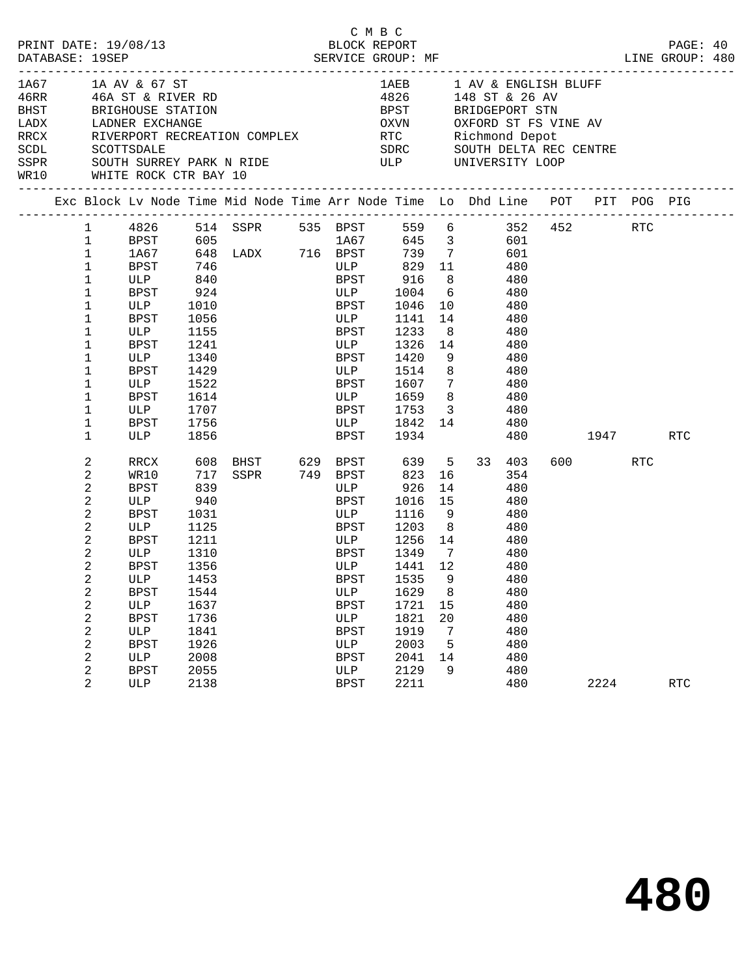| PRINT DATE: 19/08/13<br>DATABASE: 19SEP                                                                          |                                                                                                                                                                                                                           |                                                                                                                                              |                                                                                                                                       |                                                                                                     | BLOCK REPORT |                                                                                                                    | смвс                                           |                                                                                                                                                                            |                                                                                                                               |                                                                                                                                             |                                                                                                                        |           |     | PAGE: 40   |  |
|------------------------------------------------------------------------------------------------------------------|---------------------------------------------------------------------------------------------------------------------------------------------------------------------------------------------------------------------------|----------------------------------------------------------------------------------------------------------------------------------------------|---------------------------------------------------------------------------------------------------------------------------------------|-----------------------------------------------------------------------------------------------------|--------------|--------------------------------------------------------------------------------------------------------------------|------------------------------------------------|----------------------------------------------------------------------------------------------------------------------------------------------------------------------------|-------------------------------------------------------------------------------------------------------------------------------|---------------------------------------------------------------------------------------------------------------------------------------------|------------------------------------------------------------------------------------------------------------------------|-----------|-----|------------|--|
| 1A67 <b>18</b><br>BHST BRIGHOUSE STATION<br>LADX<br>——————<br>RRCX<br>SCDL<br>SSPR<br>WR10 WHITE ROCK CTR BAY 10 |                                                                                                                                                                                                                           | 1A AV & 67 ST<br>SCOTTSDALE<br>SOUTH SURREY PARK N RIDE                                                                                      |                                                                                                                                       | 46RR 46A ST & RIVER RD<br>LADNER EXCHANGE<br>RIVERPORT RECREATION COMPLEX                           |              |                                                                                                                    |                                                | <b>BPST</b><br>SDRC<br><b>ULP</b>                                                                                                                                          |                                                                                                                               | 4826 148 ST & 26 AV<br>BRIDGEPORT STN<br>UNIVERSITY LOOP                                                                                    | 1AEB 1 AV & ENGLISH BLUFF<br>OXVN         OXFORD ST FS VINE AV<br>RTC         Richmond Depot<br>SOUTH DELTA REC CENTRE |           |     |            |  |
|                                                                                                                  |                                                                                                                                                                                                                           |                                                                                                                                              |                                                                                                                                       | Exc Block Lv Node Time Mid Node Time Arr Node Time Lo Dhd Line POT PIT POG PIG                      |              |                                                                                                                    |                                                |                                                                                                                                                                            |                                                                                                                               |                                                                                                                                             |                                                                                                                        |           |     |            |  |
|                                                                                                                  | $\mathbf{1}$<br>$\mathbf{1}$<br>$\mathbf{1}$<br>$\mathbf{1}$<br>$\mathbf{1}$<br>$\mathbf{1}$<br>$\mathbf 1$<br>$\mathbf 1$<br>1<br>$\mathbf 1$<br>$\mathbf 1$<br>1<br>$\mathbf 1$<br>1<br>1<br>1<br>1<br>2<br>2<br>2<br>2 | BPST<br>BPST<br>ULP<br>BPST<br>ULP<br>BPST<br>ULP<br>BPST<br>ULP<br>BPST<br>ULP<br>BPST<br>ULP<br>BPST<br>ULP<br>RRCX<br>WR10<br>BPST<br>ULP | 746<br>840<br>924<br>1010<br>1056<br>1155<br>1241<br>1340<br>1429<br>1522<br>1614<br>1707<br>1756<br>1856<br>608<br>717<br>839<br>940 | 4826 514 SSPR 535 BPST<br>BPST 605 1A67<br>1A67 648 LADX 716 BPST<br>BHST 629 BPST<br>SSPR 749 BPST |              | BPST<br>BPST<br>ULP<br>BPST<br>ULP<br>BPST<br>BPST<br>BPST<br>ULP<br>BPST                                          | ULP<br>ULP<br>ULP<br>ULP<br><b>ULP</b><br>BPST | 559 6<br>645 3<br>739 7<br>829<br>916<br>1004<br>1046<br>1141<br>1233<br>1326 14<br>1420<br>1514<br>1607<br>1659<br>1753 3<br>1842 14<br>1934<br>639<br>823<br>926<br>1016 | 11<br>8 <sup>8</sup><br>6<br>10<br>14<br>8<br>9<br>8<br>$7\overline{ }$<br>8 <sup>8</sup><br>5 <sub>5</sub><br>16<br>14<br>15 | 601<br>601<br>480<br>480<br>480<br>480<br>480<br>480<br>480<br>480<br>480<br>480<br>480<br>480<br>480<br>480<br>33 403<br>354<br>480<br>480 | 352 452 RTC<br>1947                                                                                                    | 600 — 100 | RTC | RTC        |  |
|                                                                                                                  | 2<br>2<br>2<br>2<br>2<br>2<br>2<br>2<br>2<br>2<br>2<br>2<br>2<br>2                                                                                                                                                        | BPST<br>ULP<br>BPST<br>ULP<br>BPST<br>ULP 1453<br>BPST<br>ULP<br><b>BPST</b><br>ULP<br><b>BPST</b><br>ULP<br><b>BPST</b><br>ULP              | 1031<br>1125<br>1211<br>1310<br>1356<br>1544<br>1637<br>1736<br>1841<br>1926<br>2008<br>2055<br>2138                                  |                                                                                                     |              | ULP<br>BPST<br>ULP<br>BPST<br>ULP<br><b>BPST</b><br>ULP<br><b>BPST</b><br>ULP<br><b>BPST</b><br>ULP<br><b>BPST</b> | <b>BPST</b><br>ULP                             | 1116<br>1203 8<br>1256 14 480<br>1349<br>1441 12<br>1535 9<br>1629<br>1721<br>1821<br>1919<br>2003<br>2041<br>2129<br>2211                                                 | 9<br>$7\overline{ }$<br>8<br>15<br>20<br>7<br>5<br>14<br>9                                                                    | 480<br>480<br>480<br>480<br>480<br>480<br>480<br>480<br>480<br>480<br>480<br>480<br>480                                                     |                                                                                                                        | 2224      |     | <b>RTC</b> |  |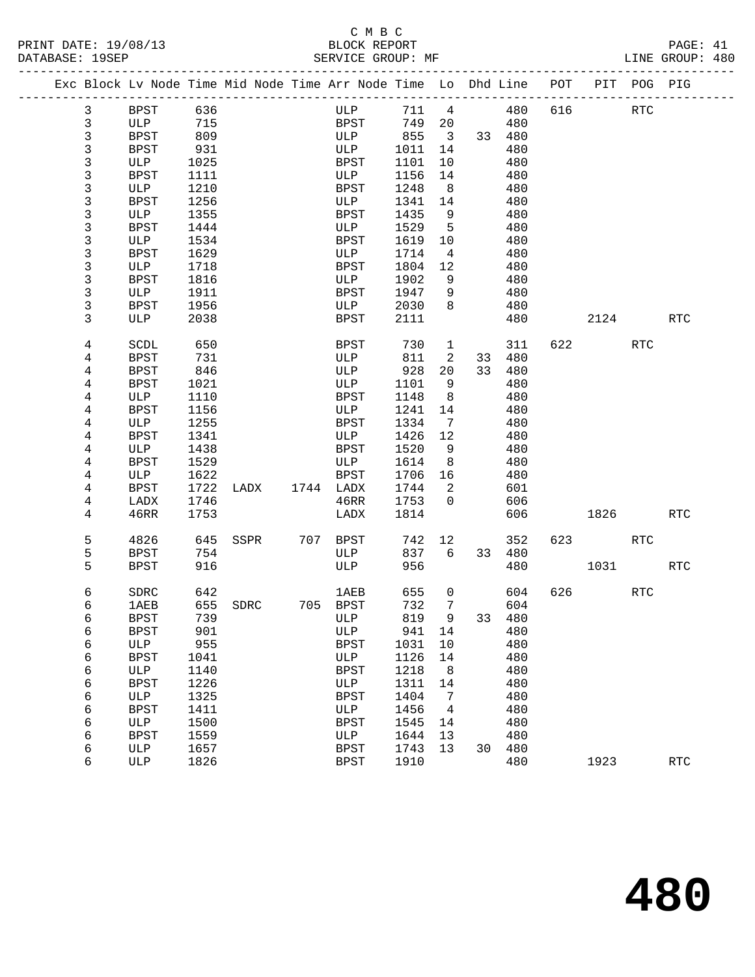# C M B C<br>BLOCK REPORT

| PRINT DATE: 19/08/13<br>DATABASE: 19SEP |                                                                                | BLOCK REPORT<br>SERVICE GROUP: MF | PAGE: 41<br>LINE GROUP: 480 |
|-----------------------------------------|--------------------------------------------------------------------------------|-----------------------------------|-----------------------------|
|                                         | Exc Block Lv Node Time Mid Node Time Arr Node Time Lo Dhd Line POT PIT POG PIG |                                   |                             |
|                                         |                                                                                |                                   |                             |

| 3              | BPST        | 636  |                |          | ULP         | 711     | $\frac{4}{3}$              |    | 480    | 616 |                        | RTC                  |                      |
|----------------|-------------|------|----------------|----------|-------------|---------|----------------------------|----|--------|-----|------------------------|----------------------|----------------------|
| $\mathbf{3}$   | ULP         | 715  |                |          | BPST        | 749     | 20                         |    | 480    |     |                        |                      |                      |
| 3              | <b>BPST</b> | 809  |                |          | ULP         | 855     | $\overline{\mathbf{3}}$    |    | 33 480 |     |                        |                      |                      |
| 3              | <b>BPST</b> | 931  |                |          | ULP         | 1011    | 14                         |    | 480    |     |                        |                      |                      |
| 3              | ULP         | 1025 |                |          | BPST        | 1101    | 10                         |    | 480    |     |                        |                      |                      |
| 3              | BPST        | 1111 |                |          | ULP         | 1156    | 14                         |    | 480    |     |                        |                      |                      |
| 3              | ULP         | 1210 |                |          | <b>BPST</b> | 1248    | 8 <sup>8</sup>             |    | 480    |     |                        |                      |                      |
| 3              | <b>BPST</b> | 1256 |                |          | ULP         | 1341    | 14                         |    | 480    |     |                        |                      |                      |
|                |             |      |                |          |             |         |                            |    |        |     |                        |                      |                      |
| 3              | ULP         | 1355 |                |          | <b>BPST</b> | 1435    | 9                          |    | 480    |     |                        |                      |                      |
| 3              | BPST        | 1444 |                |          | ULP         | 1529    | 5                          |    | 480    |     |                        |                      |                      |
| 3              | ULP         | 1534 |                |          | BPST        | 1619    | 10                         |    | 480    |     |                        |                      |                      |
| 3              | BPST        | 1629 |                |          | ULP         | 1714    | $\overline{4}$             |    | 480    |     |                        |                      |                      |
| 3              | ULP         | 1718 |                |          | BPST        | 1804    | 12                         |    | 480    |     |                        |                      |                      |
| 3              | BPST        | 1816 |                |          | ULP         | 1902    | 9                          |    | 480    |     |                        |                      |                      |
| $\mathsf{3}$   | ULP         | 1911 |                |          | <b>BPST</b> | 1947    | 9                          |    | 480    |     |                        |                      |                      |
| $\mathsf{3}$   | BPST        | 1956 |                |          | ULP         | 2030    | 8                          |    | 480    |     |                        |                      |                      |
| 3              | ULP         | 2038 |                |          | <b>BPST</b> | 2111    |                            |    | 480    |     | 2124                   |                      | $\operatorname{RTC}$ |
|                |             |      |                |          |             |         |                            |    |        |     |                        |                      |                      |
| 4              | SCDL        | 650  |                |          | BPST        | 730     | $\mathbf{1}$               |    | 311    |     | 622 and $\overline{a}$ | RTC                  |                      |
| 4              | <b>BPST</b> | 731  |                |          | ULP         | 811     | $\overline{a}$             |    | 33 480 |     |                        |                      |                      |
| 4              | <b>BPST</b> | 846  |                |          | ULP         | 928     | 20                         | 33 | 480    |     |                        |                      |                      |
| 4              | BPST        | 1021 |                |          | ULP         | 1101    | 9                          |    | 480    |     |                        |                      |                      |
| 4              | ULP         | 1110 |                |          | BPST        | 1148    | 8                          |    | 480    |     |                        |                      |                      |
| 4              | BPST        | 1156 |                |          | ULP         | 1241    | 14                         |    | 480    |     |                        |                      |                      |
| 4              | ULP         | 1255 |                |          | BPST        | 1334    | $\overline{7}$             |    | 480    |     |                        |                      |                      |
| 4              | BPST        | 1341 |                |          | ULP         | 1426    | 12                         |    | 480    |     |                        |                      |                      |
| 4              | ULP         | 1438 |                |          | <b>BPST</b> | 1520    | 9                          |    | 480    |     |                        |                      |                      |
|                | <b>BPST</b> | 1529 |                |          |             | 1614    | 8 <sup>8</sup>             |    |        |     |                        |                      |                      |
| 4              |             |      |                |          | ULP         |         |                            |    | 480    |     |                        |                      |                      |
| 4              | ULP         | 1622 |                |          | <b>BPST</b> | 1706    | 16                         |    | 480    |     |                        |                      |                      |
| 4              | <b>BPST</b> | 1722 | LADX 1744 LADX |          |             | 1744    | $\overline{\phantom{a}}^2$ |    | 601    |     |                        |                      |                      |
| 4              | LADX        | 1746 |                |          | 46RR        | 1753    | $\Omega$                   |    | 606    |     |                        |                      |                      |
| $\overline{4}$ | 46RR        | 1753 |                |          | LADX        | 1814    |                            |    | 606    |     | 1826                   |                      | RTC                  |
| 5              | 4826        | 645  | SSPR           | 707 BPST |             | 742     | 12                         |    | 352    |     | 623                    | RTC                  |                      |
|                |             |      |                |          |             |         |                            |    |        |     |                        |                      |                      |
| 5              | <b>BPST</b> | 754  |                |          | ULP         | 837     | 6                          |    | 33 480 |     |                        |                      |                      |
| 5              | BPST        | 916  |                |          | ULP         | 956     |                            |    | 480    |     | 1031                   |                      | RTC                  |
| 6              | SDRC        | 642  |                |          | <b>1AEB</b> | 655     | $\overline{0}$             |    | 604    |     | 626 30                 | $\operatorname{RTC}$ |                      |
| 6              | 1AEB        | 655  | SDRC           | 705 BPST |             | 732     | 7                          |    | 604    |     |                        |                      |                      |
|                |             |      |                |          |             | 819     |                            |    |        |     |                        |                      |                      |
| 6              | <b>BPST</b> | 739  |                |          | ULP         |         | 9                          |    | 33 480 |     |                        |                      |                      |
| 6              | BPST        | 901  |                |          | ULP         | 941     | 14                         |    | 480    |     |                        |                      |                      |
| 6              | ULP         | 955  |                |          | BPST        | 1031 10 |                            |    | 480    |     |                        |                      |                      |
| 6              | BPST        | 1041 |                |          | ULP         | 1126    | 14                         |    | 480    |     |                        |                      |                      |
| 6              | ULP         | 1140 |                |          | <b>BPST</b> | 1218    | 8                          |    | 480    |     |                        |                      |                      |
| 6              | BPST        | 1226 |                |          | ULP         | 1311    | 14                         |    | 480    |     |                        |                      |                      |
| 6              | ULP         | 1325 |                |          | <b>BPST</b> | 1404    | 7                          |    | 480    |     |                        |                      |                      |
| 6              | <b>BPST</b> | 1411 |                |          | ULP         | 1456    | 4                          |    | 480    |     |                        |                      |                      |
| 6              | ULP         | 1500 |                |          | <b>BPST</b> | 1545    | 14                         |    | 480    |     |                        |                      |                      |
| 6              | <b>BPST</b> | 1559 |                |          | ULP         | 1644    | 13                         |    | 480    |     |                        |                      |                      |
| 6              | ULP         | 1657 |                |          | <b>BPST</b> | 1743    | 13                         | 30 | 480    |     |                        |                      |                      |
| 6              | ULP         | 1826 |                |          | <b>BPST</b> | 1910    |                            |    | 480    |     | 1923                   |                      | <b>RTC</b>           |
|                |             |      |                |          |             |         |                            |    |        |     |                        |                      |                      |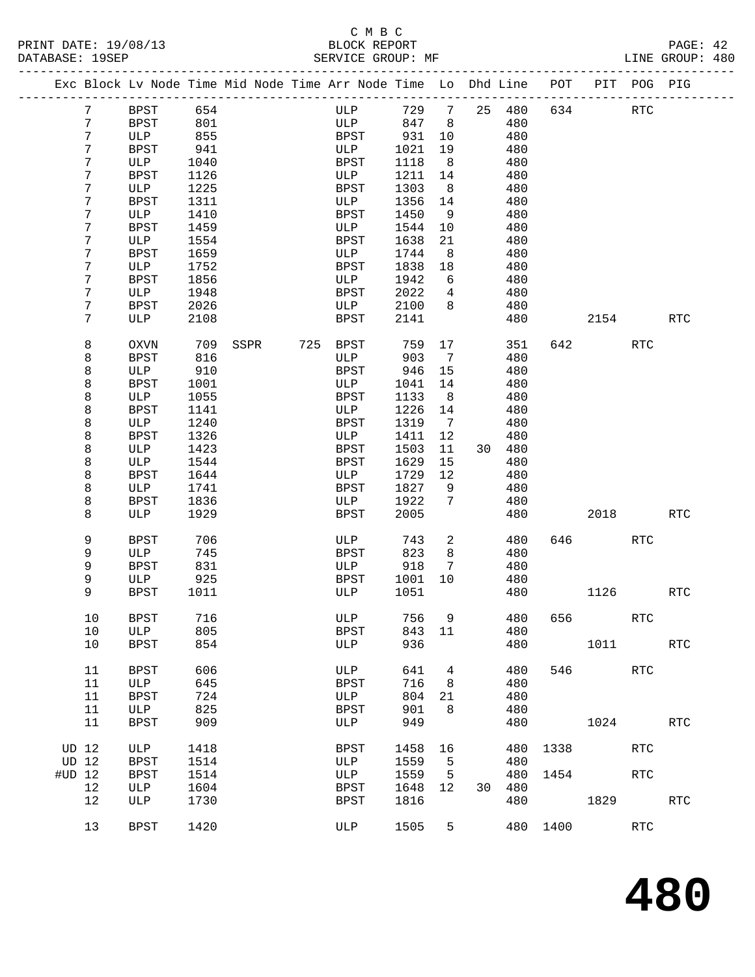#### C M B C<br>BLOCK REPORT PRINT DATE: 19/08/13 BLOCK REPORT PAGE: 42 SERVICE GROUP: MF

|              |                 | Exc Block Lv Node Time Mid Node Time Arr Node Time Lo Dhd Line POT |              |      |     |                    |              |                              |    |            |         |      | PIT POG PIG          |                      |
|--------------|-----------------|--------------------------------------------------------------------|--------------|------|-----|--------------------|--------------|------------------------------|----|------------|---------|------|----------------------|----------------------|
|              | $7\phantom{.0}$ | <b>BPST</b>                                                        | 654          |      |     | ULP                | 729          | $7\phantom{.0}$              | 25 | 480        | 634     |      | $\operatorname{RTC}$ |                      |
|              | 7               | <b>BPST</b>                                                        | 801          |      |     | ULP                | 847          | 8                            |    | 480        |         |      |                      |                      |
|              | 7               | ULP                                                                | 855          |      |     | <b>BPST</b>        | 931          | 10                           |    | 480        |         |      |                      |                      |
|              | 7               | BPST                                                               | 941          |      |     | ULP                | 1021         | 19                           |    | 480        |         |      |                      |                      |
|              | 7               | ULP                                                                | 1040         |      |     | BPST               | 1118         | 8                            |    | 480        |         |      |                      |                      |
|              | 7               | <b>BPST</b>                                                        | 1126         |      |     | ULP                | 1211         | 14                           |    | 480        |         |      |                      |                      |
|              | 7               | ULP                                                                | 1225         |      |     | <b>BPST</b>        | 1303         | 8                            |    | 480        |         |      |                      |                      |
|              | 7               | <b>BPST</b>                                                        | 1311         |      |     | ULP                | 1356         | 14                           |    | 480        |         |      |                      |                      |
|              | 7               | ULP                                                                | 1410         |      |     | BPST               | 1450         | 9                            |    | 480        |         |      |                      |                      |
|              | 7               | BPST                                                               | 1459         |      |     | ULP                | 1544         | 10                           |    | 480        |         |      |                      |                      |
|              | 7               | ULP                                                                | 1554         |      |     | <b>BPST</b>        | 1638         | 21                           |    | 480        |         |      |                      |                      |
|              | 7               | $_{\rm BPST}$                                                      | 1659         |      |     | ULP                | 1744         | 8                            |    | 480        |         |      |                      |                      |
|              | 7               | ULP                                                                | 1752         |      |     | BPST               | 1838         | 18                           |    | 480        |         |      |                      |                      |
|              | 7               | <b>BPST</b>                                                        | 1856         |      |     | ULP                | 1942         | 6                            |    | 480        |         |      |                      |                      |
|              | 7               | ULP                                                                | 1948         |      |     | <b>BPST</b>        | 2022         | $\overline{4}$               |    | 480        |         |      |                      |                      |
|              | 7               | BPST                                                               | 2026         |      |     | ULP                | 2100         | 8                            |    | 480        |         |      |                      |                      |
|              | 7               | ULP                                                                | 2108         |      |     | <b>BPST</b>        | 2141         |                              |    | 480        |         | 2154 |                      | RTC                  |
|              |                 |                                                                    |              |      |     |                    |              |                              |    |            |         |      |                      |                      |
|              | 8               | <b>OXVN</b>                                                        | 709          | SSPR | 725 | BPST               | 759          | 17                           |    | 351        | 642     |      | RTC                  |                      |
|              | 8               | BPST                                                               | 816          |      |     | ULP                | 903          | $7\phantom{.0}\phantom{.0}7$ |    | 480        |         |      |                      |                      |
|              | 8               | ULP                                                                | 910          |      |     | <b>BPST</b>        | 946          | 15                           |    | 480        |         |      |                      |                      |
|              | 8               | <b>BPST</b>                                                        | 1001         |      |     | ULP                | 1041         | 14                           |    | 480        |         |      |                      |                      |
|              | 8               | ULP                                                                | 1055         |      |     | <b>BPST</b>        | 1133         | 8                            |    | 480        |         |      |                      |                      |
|              | 8               | <b>BPST</b>                                                        | 1141         |      |     | ULP                | 1226         | 14                           |    | 480        |         |      |                      |                      |
|              | 8               | ULP                                                                | 1240         |      |     | <b>BPST</b>        | 1319         | 7                            |    | 480        |         |      |                      |                      |
|              | 8               | BPST                                                               | 1326         |      |     | ULP                | 1411         | 12                           |    | 480        |         |      |                      |                      |
|              | 8               | ULP                                                                | 1423         |      |     | <b>BPST</b>        | 1503         | 11                           | 30 | 480        |         |      |                      |                      |
|              | 8               | ULP                                                                | 1544         |      |     | <b>BPST</b>        | 1629         | 15                           |    | 480        |         |      |                      |                      |
|              | 8<br>8          | <b>BPST</b><br>ULP                                                 | 1644<br>1741 |      |     | ULP<br>BPST        | 1729<br>1827 | 12<br>9                      |    | 480<br>480 |         |      |                      |                      |
|              | 8               | <b>BPST</b>                                                        | 1836         |      |     | ULP                | 1922         | 7                            |    | 480        |         |      |                      |                      |
|              | 8               | ULP                                                                | 1929         |      |     | <b>BPST</b>        | 2005         |                              |    | 480        |         | 2018 |                      | <b>RTC</b>           |
|              |                 |                                                                    |              |      |     |                    |              |                              |    |            |         |      |                      |                      |
|              | 9               | <b>BPST</b>                                                        | 706          |      |     | ULP                | 743          | 2                            |    | 480        | 646     |      | <b>RTC</b>           |                      |
|              | 9               | ULP                                                                | 745          |      |     | <b>BPST</b>        | 823          | 8                            |    | 480        |         |      |                      |                      |
|              | 9               | <b>BPST</b>                                                        | 831          |      |     | ULP                | 918          | 7                            |    | 480        |         |      |                      |                      |
|              | 9               | ULP                                                                | 925          |      |     | BPST               | 1001         | 10                           |    | 480        |         |      |                      |                      |
|              | 9               | <b>BPST</b>                                                        | 1011         |      |     | ULP                | 1051         |                              |    | 480        |         | 1126 |                      | <b>RTC</b>           |
|              |                 |                                                                    |              |      |     |                    |              |                              |    |            |         |      |                      |                      |
|              | $10$            | BPST                                                               | 716          |      |     | ULP                | 756 9        |                              |    |            | 480 656 |      | $\operatorname{RTC}$ |                      |
|              | 10              | ULP                                                                | 805          |      |     | <b>BPST</b>        | 843          | 11                           |    | 480        |         |      |                      |                      |
|              | 10              | <b>BPST</b>                                                        | 854          |      |     | ULP                | 936          |                              |    | 480        |         | 1011 |                      | <b>RTC</b>           |
|              |                 |                                                                    |              |      |     |                    |              |                              |    |            |         |      |                      |                      |
|              | 11              | <b>BPST</b>                                                        | 606          |      |     | ULP                | 641          | 4                            |    | 480        | 546     |      | RTC                  |                      |
|              | 11              | ULP                                                                | 645          |      |     | <b>BPST</b>        | 716          | 8                            |    | 480        |         |      |                      |                      |
|              | 11              | <b>BPST</b>                                                        | 724          |      |     | ULP                | 804          | 21                           |    | 480        |         |      |                      |                      |
|              | 11              | ULP                                                                | 825          |      |     | <b>BPST</b>        | 901          | 8                            |    | 480        |         |      |                      |                      |
|              | 11              | <b>BPST</b>                                                        | 909          |      |     | ULP                | 949          |                              |    | 480        |         | 1024 |                      | $\operatorname{RTC}$ |
| <b>UD 12</b> |                 |                                                                    |              |      |     |                    |              |                              |    |            |         |      | <b>RTC</b>           |                      |
| UD 12        |                 | ULP<br><b>BPST</b>                                                 | 1418<br>1514 |      |     | <b>BPST</b><br>ULP | 1458<br>1559 | 16<br>5                      |    | 480<br>480 | 1338    |      |                      |                      |
| #UD 12       |                 | <b>BPST</b>                                                        | 1514         |      |     | ULP                | 1559         | 5                            |    | 480        | 1454    |      | RTC                  |                      |
|              | 12              | ULP                                                                | 1604         |      |     | <b>BPST</b>        | 1648         | 12                           | 30 | 480        |         |      |                      |                      |
|              | 12              | ULP                                                                | 1730         |      |     | <b>BPST</b>        | 1816         |                              |    | 480        |         | 1829 |                      | <b>RTC</b>           |
|              |                 |                                                                    |              |      |     |                    |              |                              |    |            |         |      |                      |                      |
|              | 13              | <b>BPST</b>                                                        | 1420         |      |     | ULP                | 1505         | 5                            |    | 480        | 1400    |      | RTC                  |                      |
|              |                 |                                                                    |              |      |     |                    |              |                              |    |            |         |      |                      |                      |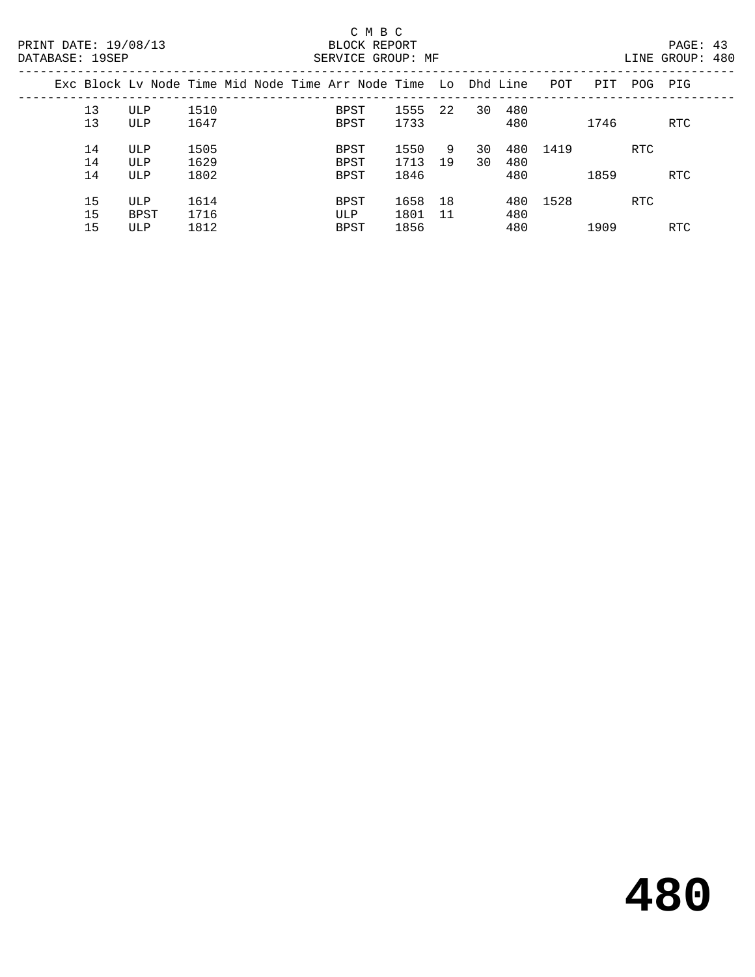|  |                |                    | Exc Block Ly Node Time Mid Node Time Arr Node Time Lo Dhd Line POT |                      |                      |            |          |            |          | PIT  | POG | PIG        |
|--|----------------|--------------------|--------------------------------------------------------------------|----------------------|----------------------|------------|----------|------------|----------|------|-----|------------|
|  | 13<br>13       | ULP<br>ULP         | 1510<br>1647                                                       | BPST<br>BPST         | 1555<br>1733         | 22         | 30       | 480<br>480 |          | 1746 |     | RTC.       |
|  | 14<br>14<br>14 | ULP<br>ULP<br>ULP  | 1505<br>1629<br>1802                                               | BPST<br>BPST<br>BPST | 1550<br>1713<br>1846 | 9<br>19    | 30<br>30 | 480<br>480 | 480 1419 | 1859 | RTC | RTC        |
|  | 15<br>15<br>15 | ULP<br>BPST<br>ULP | 1614<br>1716<br>1812                                               | BPST<br>ULP<br>BPST  | 1658<br>1801<br>1856 | 18<br>- 11 |          | 480<br>480 | 480 1528 | 1909 | RTC | <b>RTC</b> |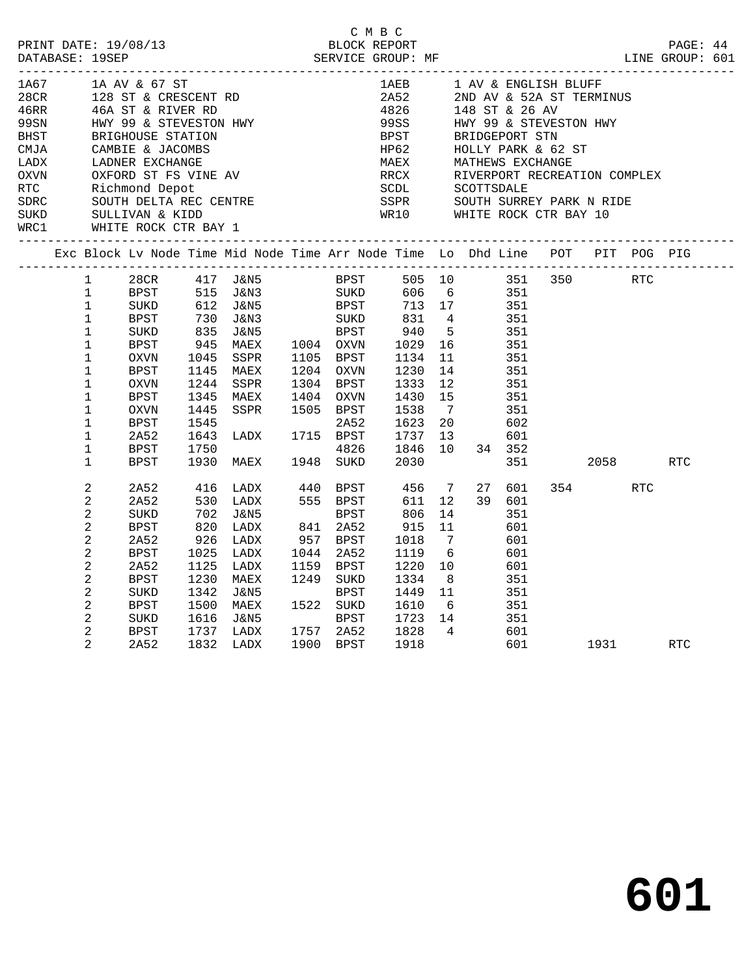|                                                                                                                                  |                                                                                                                                                                                             |                                                                                                                                                  |                                                                                                 |                                                                                                                                                                                 |                                                                                                                                                    | C M B C                                                                                                  |                                                                                                                                            |                                           |                                                                                         |                                                                                                                                                                                                                                                                |                                                                                                       |            | LINE GROUP: 601 |  |
|----------------------------------------------------------------------------------------------------------------------------------|---------------------------------------------------------------------------------------------------------------------------------------------------------------------------------------------|--------------------------------------------------------------------------------------------------------------------------------------------------|-------------------------------------------------------------------------------------------------|---------------------------------------------------------------------------------------------------------------------------------------------------------------------------------|----------------------------------------------------------------------------------------------------------------------------------------------------|----------------------------------------------------------------------------------------------------------|--------------------------------------------------------------------------------------------------------------------------------------------|-------------------------------------------|-----------------------------------------------------------------------------------------|----------------------------------------------------------------------------------------------------------------------------------------------------------------------------------------------------------------------------------------------------------------|-------------------------------------------------------------------------------------------------------|------------|-----------------|--|
| 1A67<br>28CR<br>46RR 46A ST & RIVER RD<br>99SN HWY 99 & STEVESTOP<br>BHST<br>CMJA<br>LADX<br>OXVN<br>RTC<br>SDRC<br>SUKD<br>WRC1 |                                                                                                                                                                                             | 1A AV & 67 ST<br>BRIGHOUSE SILL<br>CAMBIE & JACOMBS<br>CAMBIE EXCHANGE<br>Richmond Depot<br>SULLIVAN & KIDD<br>WHITE ROCK CTR BAY 1              |                                                                                                 | 1A AV & 67 ST<br>128 ST & CRESCENT RD<br>46A ST & RIVER RD<br>HWY 99 & STEVESTON HWY<br>BRIGHOUSE STATION<br>CAMBIE & JACOMBS<br>OXFORD ST FS VINE AV<br>SOUTH DELTA REC CENTRE |                                                                                                                                                    | 99SS –<br>BPST<br>HP62<br>MAEX MATHEWS EXCHANGE<br>RRCX RIVERPORT RECREATION COMPLEX<br>SCDL SCOTTSDALE  |                                                                                                                                            |                                           |                                                                                         | 1AEB 1 AV & ENGLISH BLUFF<br>2A52 2ND AV & 52A ST TERMI<br>2ND AV & 52A ST TERMINUS<br>4826 148 ST & 26 AV<br>99SS HWY 99 & STEVESTON HWY<br>BRIDGEPORT STN<br>HOLLY PARK & 62 ST<br>SSPR        SOUTH SURREY PARK N RIDE<br>WR10        WHITE ROCK CTR BAY 10 |                                                                                                       |            |                 |  |
|                                                                                                                                  |                                                                                                                                                                                             |                                                                                                                                                  |                                                                                                 | Exc Block Lv Node Time Mid Node Time Arr Node Time Lo Dhd Line POT PIT POG PIG                                                                                                  |                                                                                                                                                    |                                                                                                          |                                                                                                                                            |                                           |                                                                                         |                                                                                                                                                                                                                                                                |                                                                                                       |            |                 |  |
|                                                                                                                                  | $\mathbf{1}$<br>$\mathbf 1$<br>$\mathbf{1}$<br>$\mathbf 1$<br>$\mathbf{1}$<br>$\mathbf{1}$<br>$\mathbf{1}$<br>$\mathbf{1}$<br>1<br>1<br>$\mathbf 1$<br>1<br>$\mathbf 1$<br>1<br>$\mathbf 1$ | 28CR<br>BPST<br>SUKD<br>BPST<br>SUKD<br>BPST<br>OXVN<br>BPST<br>OXVN<br><b>BPST</b><br>OXVN<br><b>BPST</b><br>2A52<br><b>BPST</b><br><b>BPST</b> | 730<br>835<br>945<br>1045<br>1145<br>1244<br>1345<br>1445<br>1545<br>1643<br>1750<br>1930       | 417 J&N5<br>$612$ $J\&N5$ $BFST$<br>J&N3<br>J&N5<br>MAEX<br>SSPR<br>MAEX<br>SSPR<br>MAEX<br>MAEX 1404 OXVN<br>SSPR 1505 BPST<br>LADX<br>MAEX 1948 SUKD                          | 1004 OXVN<br>1105 BPST<br>1204 OXVN<br>1304 BPST<br>2A52<br>1715 BPST<br>4826                                                                      | SUKD 831 4<br>BPST 940 5<br>1029<br>1134<br>1230<br>1333<br>1430<br>1538<br>1623<br>1737<br>1846<br>2030 | 11<br>14<br>12<br>15<br>$\overline{7}$<br>20                                                                                               | 606 6 351<br>713 17 351<br>16<br>13<br>10 | 351<br>351<br>351<br>351<br>351<br>- 351<br>- 351<br>351<br>602<br>601<br>34 352<br>351 | 505 10 351 350                                                                                                                                                                                                                                                 | 2058 — 2058 — 2058 — 2058 — 2058 — 2058 — 2058 — 2058 — 2058 — 2058 — 2058 — 2058 — 2058 — 2058 — 205 | <b>RTC</b> | RTC             |  |
|                                                                                                                                  | 2<br>2<br>$\overline{a}$<br>$\overline{a}$<br>$\overline{c}$<br>2<br>$\overline{c}$<br>$\overline{c}$<br>$\overline{a}$<br>$\overline{a}$<br>2<br>$\overline{a}$<br>$\overline{2}$          | 2A52<br>2A52<br>SUKD<br>BPST<br>2A52<br><b>BPST</b><br>2A52<br>BPST<br>SUKD<br>BPST<br>SUKD<br>BPST<br>2A52                                      | 416<br>530<br>702<br>820<br>926<br>1025<br>1125<br>1230<br>1342<br>1500<br>1616<br>1737<br>1832 | LADX<br>LADX<br>J&N5<br>LADX<br>LADX<br>LADX<br>LADX<br>MAEX<br>J&N5<br>MAEX<br>J&N5<br>LADX<br>LADX                                                                            | 440 BPST<br>555 BPST<br>BPST<br>841 2A52<br>957 BPST<br>1044 2A52<br>1159 BPST<br>1249 SUKD<br>BPST<br>1522 SUKD<br>BPST<br>1757 2A52<br>1900 BPST | 456<br>611<br>806<br>915<br>1018<br>1119<br>1220<br>1334<br>1610<br>1828<br>1918                         | $7\overline{ }$<br>12 <sup>°</sup><br>14<br>11<br>$\overline{7}$<br>6<br>10<br>8 <sup>8</sup><br>1449 11<br>6<br>1723 14<br>$\overline{4}$ | 27<br>39<br>601                           | 601<br>601<br>351<br>601<br>601<br>601<br>351<br>351<br>351<br>351<br>601<br>601        |                                                                                                                                                                                                                                                                | 354 200<br>1931                                                                                       | <b>RTC</b> | RTC             |  |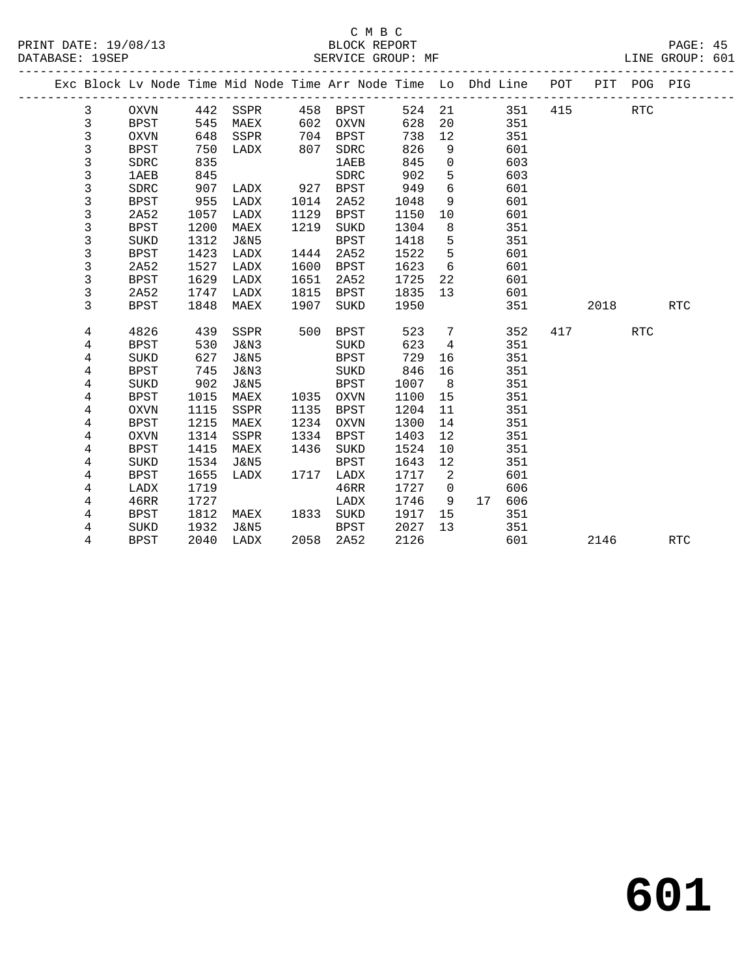|  |        |                     |            | Exc Block Lv Node Time Mid Node Time Arr Node Time Lo Dhd Line POT |      |                     |            |                      |            |     |      | PIT POG PIG |            |
|--|--------|---------------------|------------|--------------------------------------------------------------------|------|---------------------|------------|----------------------|------------|-----|------|-------------|------------|
|  | 3      | OXVN                | 442        | SSPR                                                               | 458  | BPST                | 524 21     |                      | 351        | 415 |      | <b>RTC</b>  |            |
|  | 3      | BPST                | 545        | MAEX                                                               | 602  | OXVN                | 628        | 20                   | 351        |     |      |             |            |
|  | 3      | OXVN                | 648        | SSPR                                                               | 704  | BPST                | 738        | 12                   | 351        |     |      |             |            |
|  | 3      | <b>BPST</b>         | 750        | LADX                                                               | 807  | SDRC                | 826        | 9                    | 601        |     |      |             |            |
|  | 3      | SDRC                | 835        |                                                                    |      | <b>1AEB</b>         | 845        | $\overline{0}$       | 603        |     |      |             |            |
|  | 3      | 1AEB                | 845        |                                                                    |      | SDRC                | 902        | 5                    | 603        |     |      |             |            |
|  | 3      | SDRC                | 907        | LADX                                                               | 927  | BPST                | 949        | 6                    | 601        |     |      |             |            |
|  | 3      | BPST                | 955        | LADX                                                               | 1014 | 2A52                | 1048       | 9                    | 601        |     |      |             |            |
|  | 3      | 2A52                | 1057       | LADX                                                               | 1129 | BPST                | 1150       | 10                   | 601        |     |      |             |            |
|  | 3      | BPST                | 1200       | MAEX                                                               | 1219 | SUKD                | 1304       | 8                    | 351        |     |      |             |            |
|  | 3      | SUKD                | 1312       | J&N5                                                               |      | BPST                | 1418       | 5                    | 351        |     |      |             |            |
|  | 3      | BPST                | 1423       | LADX                                                               | 1444 | 2A52                | 1522       | 5                    | 601        |     |      |             |            |
|  | 3      | 2A52                | 1527       | LADX                                                               | 1600 | BPST                | 1623       | 6                    | 601        |     |      |             |            |
|  | 3      | BPST                | 1629       | LADX                                                               | 1651 | 2A52                | 1725       | 22                   | 601        |     |      |             |            |
|  | 3      | 2A52                | 1747       | LADX                                                               | 1815 | <b>BPST</b>         | 1835       | 13                   | 601        |     |      |             |            |
|  | 3      | <b>BPST</b>         | 1848       | MAEX                                                               | 1907 | SUKD                | 1950       |                      | 351        |     | 2018 |             | <b>RTC</b> |
|  |        |                     |            |                                                                    |      |                     |            |                      |            | 417 |      |             |            |
|  | 4      | 4826                | 439        | SSPR                                                               | 500  | BPST                | 523        | 7                    | 352        |     |      | <b>RTC</b>  |            |
|  | 4      | BPST                | 530<br>627 | J&N3                                                               |      | SUKD<br><b>BPST</b> | 623<br>729 | $\overline{4}$<br>16 | 351<br>351 |     |      |             |            |
|  | 4<br>4 | SUKD<br><b>BPST</b> | 745        | J&N5<br>J&N3                                                       |      | SUKD                | 846        | 16                   | 351        |     |      |             |            |
|  | 4      | SUKD                | 902        | J&N5                                                               |      | <b>BPST</b>         | 1007       | 8                    | 351        |     |      |             |            |
|  | 4      | <b>BPST</b>         | 1015       | MAEX                                                               |      | 1035 OXVN           | 1100       | 15                   | 351        |     |      |             |            |
|  | 4      | <b>OXVN</b>         | 1115       | SSPR                                                               | 1135 | BPST                | 1204       | 11                   | 351        |     |      |             |            |
|  | 4      | <b>BPST</b>         | 1215       | MAEX                                                               | 1234 | OXVN                | 1300       | 14                   | 351        |     |      |             |            |
|  | 4      | <b>OXVN</b>         | 1314       | SSPR                                                               | 1334 | BPST                | 1403       | 12                   | 351        |     |      |             |            |
|  | 4      | <b>BPST</b>         | 1415       | MAEX                                                               | 1436 | SUKD                | 1524       | 10                   | 351        |     |      |             |            |
|  | 4      | SUKD                | 1534       | J&N5                                                               |      | <b>BPST</b>         | 1643       | 12                   | 351        |     |      |             |            |
|  | 4      | <b>BPST</b>         | 1655       | LADX                                                               | 1717 | LADX                | 1717       | $\overline{2}$       | 601        |     |      |             |            |
|  | 4      | LADX                | 1719       |                                                                    |      | 46RR                | 1727       | $\overline{0}$       | 606        |     |      |             |            |
|  | 4      | 46RR                | 1727       |                                                                    |      | LADX                | 1746       | 9                    | 606<br>17  |     |      |             |            |
|  | 4      | <b>BPST</b>         | 1812       | MAEX                                                               |      | 1833 SUKD           | 1917       | 15                   | 351        |     |      |             |            |
|  | 4      | SUKD                | 1932       | J&N5                                                               |      | BPST                | 2027       | 13                   | 351        |     |      |             |            |
|  | 4      | <b>BPST</b>         | 2040       | LADX                                                               | 2058 | 2A52                | 2126       |                      | 601        |     | 2146 |             | <b>RTC</b> |
|  |        |                     |            |                                                                    |      |                     |            |                      |            |     |      |             |            |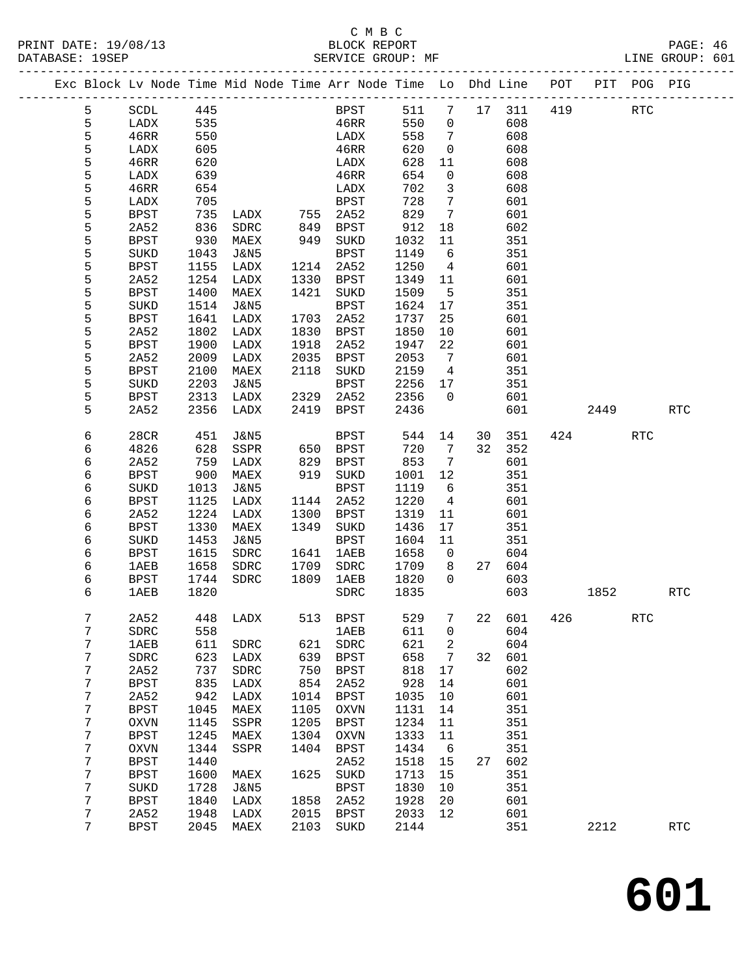|                                                                                |                     |              |                         |              | U M D U                  |              |                         |    |            |                  |      |                      | PAGE: 46<br>LINE GROUP: 601 |  |
|--------------------------------------------------------------------------------|---------------------|--------------|-------------------------|--------------|--------------------------|--------------|-------------------------|----|------------|------------------|------|----------------------|-----------------------------|--|
| Exc Block Lv Node Time Mid Node Time Arr Node Time Lo Dhd Line POT PIT POG PIG |                     |              |                         |              |                          |              |                         |    |            |                  |      |                      |                             |  |
| 5                                                                              | SCDL                | 445          |                         |              | BPST                     |              |                         |    |            | 511 7 17 311 419 |      | <b>RTC</b>           |                             |  |
| 5                                                                              | LADX                | 535          |                         |              | 46RR                     | 550          | $\overline{0}$          |    | 608        |                  |      |                      |                             |  |
| 5                                                                              | 46RR                | 550          |                         |              | LADX                     | 558          | $7\overline{ }$         |    | 608        |                  |      |                      |                             |  |
| 5                                                                              | LADX                | 605          |                         |              | 46RR                     | 620          | $\overline{0}$          |    | 608        |                  |      |                      |                             |  |
| 5                                                                              | 46RR                | 620          |                         |              | LADX                     | 628          | 11                      |    | 608        |                  |      |                      |                             |  |
| 5                                                                              | LADX                | 639          |                         |              | 46RR                     | 654          | $\overline{0}$          |    | 608        |                  |      |                      |                             |  |
| 5                                                                              | 46RR                | 654          |                         |              | LADX                     | 702          | $\overline{\mathbf{3}}$ |    | 608        |                  |      |                      |                             |  |
| 5                                                                              | LADX                | 705          |                         |              | BPST                     | 728          | $\overline{7}$          |    | 601        |                  |      |                      |                             |  |
| 5                                                                              | <b>BPST</b>         | 735          | LADX 755 2A52           |              |                          | 829          | $7\phantom{0}$          |    | 601        |                  |      |                      |                             |  |
| 5                                                                              | 2A52                | 836          | SDRC                    | 849          | BPST                     | 912          | 18                      |    | 602        |                  |      |                      |                             |  |
| 5                                                                              | <b>BPST</b>         | 930          | MAEX                    | 949          | SUKD                     | 1032         | 11                      |    | 351        |                  |      |                      |                             |  |
| 5                                                                              | SUKD                | 1043         | J&N5                    |              | BPST                     | 1149         | $6\overline{6}$         |    | 351        |                  |      |                      |                             |  |
| 5                                                                              | <b>BPST</b>         | 1155         | LADX                    |              | 1214 2A52                | 1250         | $4\overline{4}$         |    | 601        |                  |      |                      |                             |  |
| 5                                                                              | 2A52                | 1254         | LADX                    | 1330         | <b>BPST</b>              | 1349         | 11                      |    | 601        |                  |      |                      |                             |  |
| 5<br>5                                                                         | <b>BPST</b>         | 1400<br>1514 | MAEX                    | 1421         | SUKD                     | 1509<br>1624 | $5^{\circ}$             |    | 351<br>351 |                  |      |                      |                             |  |
| 5                                                                              | SUKD<br><b>BPST</b> | 1641         | J&N5<br>LADX            |              | <b>BPST</b><br>1703 2A52 | 1737         | 17<br>25                |    | 601        |                  |      |                      |                             |  |
| 5                                                                              | 2A52                | 1802         | LADX                    | 1830         | BPST                     | 1850         | 10                      |    | 601        |                  |      |                      |                             |  |
| 5                                                                              | <b>BPST</b>         | 1900         | LADX                    | 1918         | 2A52                     | 1947         | 22                      |    | 601        |                  |      |                      |                             |  |
| 5                                                                              | 2A52                | 2009         | LADX                    | 2035         | BPST                     | 2053         | $\overline{7}$          |    | 601        |                  |      |                      |                             |  |
| 5                                                                              | <b>BPST</b>         | 2100         | MAEX                    | 2118         | SUKD                     | 2159         | 4                       |    | 351        |                  |      |                      |                             |  |
| 5                                                                              | SUKD                | 2203         | J&N5                    |              | <b>BPST</b>              | 2256 17      |                         |    | 351        |                  |      |                      |                             |  |
| 5                                                                              | <b>BPST</b>         | 2313         | LADX                    | 2329         | 2A52                     | 2356         | $\overline{0}$          |    | 601        |                  |      |                      |                             |  |
| 5                                                                              | 2A52                | 2356         | LADX                    | 2419         | BPST                     | 2436         |                         |    | 601        |                  |      | 2449                 | RTC                         |  |
|                                                                                |                     |              |                         |              |                          |              |                         |    |            |                  |      |                      |                             |  |
| 6                                                                              | 28CR                | 451          | J&N5                    |              | BPST                     | 544          | 14                      | 30 | 351        |                  | 424  | RTC                  |                             |  |
| 6                                                                              | 4826                | 628          | SSPR                    | 650          | BPST                     | 720          | 7                       |    | 32 352     |                  |      |                      |                             |  |
| 6                                                                              | 2A52                | 759          | LADX                    | 829          | BPST                     | 853          | 7                       |    | 601        |                  |      |                      |                             |  |
| 6                                                                              | <b>BPST</b>         | 900          | MAEX                    | 919          | SUKD                     | 1001         | 12                      |    | 351        |                  |      |                      |                             |  |
| 6                                                                              | SUKD                | 1013         | J&N5                    |              | <b>BPST</b>              | 1119         | 6                       |    | 351        |                  |      |                      |                             |  |
| 6                                                                              | <b>BPST</b>         | 1125         | LADX                    | 1144         | 2A52                     | 1220         | $\overline{4}$          |    | 601        |                  |      |                      |                             |  |
| 6<br>6                                                                         | 2A52                | 1224         | LADX                    | 1300<br>1349 | BPST                     | 1319         | 11<br>17                |    | 601        |                  |      |                      |                             |  |
| 6                                                                              | <b>BPST</b><br>SUKD | 1330<br>1453 | MAEX<br>J&N5            |              | SUKD<br>BPST             | 1436<br>1604 | 11                      |    | 351<br>351 |                  |      |                      |                             |  |
| 6                                                                              | <b>BPST</b>         | 1615         | SDRC                    | 1641         | 1AEB                     | 1658         | $\overline{0}$          |    | 604        |                  |      |                      |                             |  |
| б                                                                              | 1AEB                | 1658         | SDRC                    | 1709         | SDRC                     | 1709 8       |                         |    | 27 604     |                  |      |                      |                             |  |
| 6                                                                              | <b>BPST</b>         | 1744         | SDRC                    | 1809         | 1AEB                     | 1820         | $\Omega$                |    | 603        |                  |      |                      |                             |  |
| 6                                                                              | 1AEB                | 1820         |                         |              | ${\tt SDRC}$             | 1835         |                         |    | 603        |                  | 1852 |                      | RTC                         |  |
| 7                                                                              | 2A52                | 448          | LADX                    | 513          | <b>BPST</b>              | 529          | 7                       | 22 | 601        | 426              |      | $\operatorname{RTC}$ |                             |  |
| 7                                                                              | SDRC                | 558          |                         |              | 1AEB                     | 611          | 0                       |    | 604        |                  |      |                      |                             |  |
| 7                                                                              | <b>1AEB</b>         | 611          | SDRC                    | 621          | SDRC                     | 621          | 2                       |    | 604        |                  |      |                      |                             |  |
| 7                                                                              | SDRC                | 623          | LADX                    | 639          | <b>BPST</b>              | 658          | 7                       | 32 | 601        |                  |      |                      |                             |  |
| 7                                                                              | 2A52                | 737          | ${\tt SDRC}$            | 750          | <b>BPST</b>              | 818          | 17                      |    | 602        |                  |      |                      |                             |  |
| 7                                                                              | $_{\rm BPST}$       | 835          | ${\rm LADX}$            | 854          | 2A52                     | 928          | 14                      |    | 601        |                  |      |                      |                             |  |
| 7                                                                              | 2A52                | 942          | ${\rm LADX}$            | 1014         | <b>BPST</b>              | 1035         | $10$                    |    | 601        |                  |      |                      |                             |  |
| 7                                                                              | <b>BPST</b>         | 1045         | MAEX                    | 1105         | <b>OXVN</b>              | 1131         | 14                      |    | 351        |                  |      |                      |                             |  |
| 7                                                                              | OXVN                | 1145         | SSPR                    | 1205         | <b>BPST</b>              | 1234         | 11                      |    | 351        |                  |      |                      |                             |  |
| 7                                                                              | <b>BPST</b>         | 1245         | MAEX                    | 1304         | <b>OXVN</b>              | 1333         | 11                      |    | 351        |                  |      |                      |                             |  |
| 7                                                                              | OXVN                | 1344         | SSPR                    | 1404         | <b>BPST</b>              | 1434         | 6                       |    | 351        |                  |      |                      |                             |  |
| 7                                                                              | <b>BPST</b>         | 1440         |                         |              | 2A52                     | 1518         | 15                      | 27 | 602        |                  |      |                      |                             |  |
| 7                                                                              | <b>BPST</b>         | 1600         | MAEX                    | 1625         | SUKD                     | 1713         | 15                      |    | 351        |                  |      |                      |                             |  |
| 7<br>7                                                                         | SUKD<br><b>BPST</b> | 1728<br>1840 | <b>J&amp;N5</b><br>LADX | 1858         | <b>BPST</b><br>2A52      | 1830<br>1928 | 10<br>20                |    | 351<br>601 |                  |      |                      |                             |  |
| 7                                                                              | 2A52                | 1948         | LADX                    | 2015         | <b>BPST</b>              | 2033         | 12                      |    | 601        |                  |      |                      |                             |  |
| 7                                                                              | <b>BPST</b>         | 2045         | MAEX                    | 2103         | SUKD                     | 2144         |                         |    | 351        |                  | 2212 |                      | RTC                         |  |
|                                                                                |                     |              |                         |              |                          |              |                         |    |            |                  |      |                      |                             |  |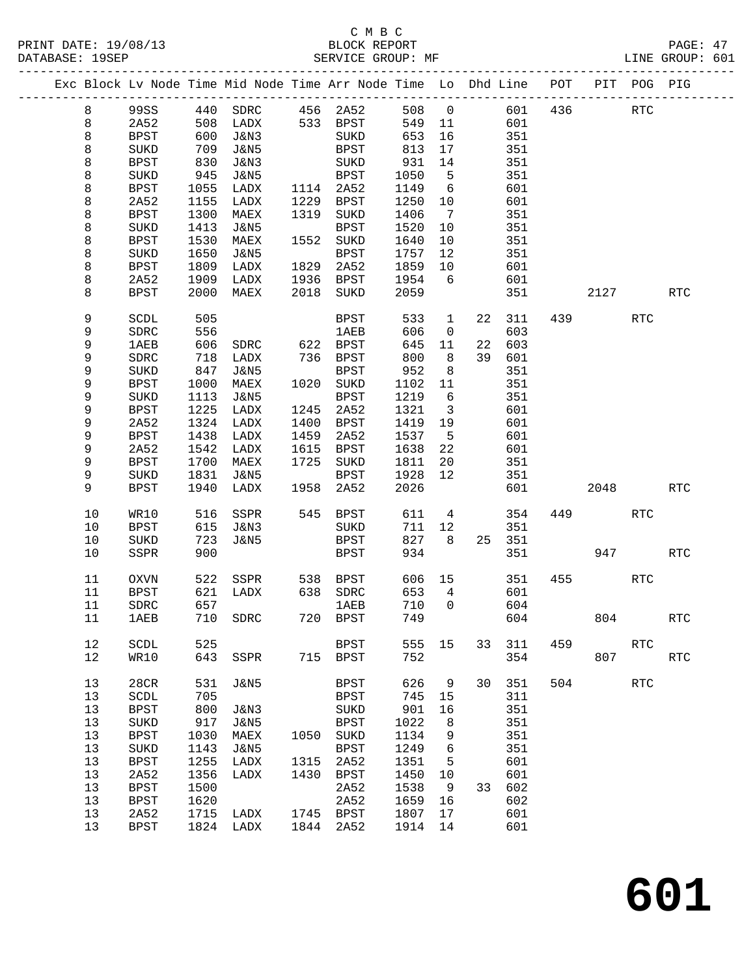#### C M B C<br>BLOCK REPORT PRINT DATE: 19/08/13 BLOCK REPORT PAGE: 47 SERVICE GROUP: MF

|         | Exc Block Lv Node Time Mid Node Time Arr Node Time Lo Dhd Line |      |                 |      |             |        |                          |    |        | POT | PIT  | POG                  | PIG        |
|---------|----------------------------------------------------------------|------|-----------------|------|-------------|--------|--------------------------|----|--------|-----|------|----------------------|------------|
| $\,8\,$ | 99SS                                                           |      | 440 SDRC        |      | 456 2A52    | 508    | $\overline{\mathbf{0}}$  |    | 601    | 436 |      | <b>RTC</b>           |            |
| 8       | 2A52                                                           | 508  | LADX            |      | 533 BPST    | 549    | 11                       |    | 601    |     |      |                      |            |
| 8       | BPST                                                           | 600  | J&N3            |      | SUKD        | 653    | 16                       |    | 351    |     |      |                      |            |
| 8       | SUKD                                                           | 709  | J&N5            |      | BPST        | 813    | 17                       |    | 351    |     |      |                      |            |
|         |                                                                | 830  |                 |      |             | 931    |                          |    |        |     |      |                      |            |
| 8       | <b>BPST</b>                                                    |      | J&N3            |      | SUKD        |        | 14                       |    | 351    |     |      |                      |            |
| 8       | SUKD                                                           | 945  | <b>J&amp;N5</b> |      | BPST        | 1050   | $5^{\circ}$              |    | 351    |     |      |                      |            |
| 8       | BPST                                                           | 1055 | LADX            | 1114 | 2A52        | 1149   | 6                        |    | 601    |     |      |                      |            |
| 8       | 2A52                                                           | 1155 | LADX            | 1229 | BPST        | 1250   | 10                       |    | 601    |     |      |                      |            |
| 8       | <b>BPST</b>                                                    | 1300 | MAEX            | 1319 | SUKD        | 1406   | $\overline{7}$           |    | 351    |     |      |                      |            |
| 8       | SUKD                                                           | 1413 | J&N5            |      | BPST        | 1520   | 10                       |    | 351    |     |      |                      |            |
| 8       | <b>BPST</b>                                                    | 1530 | MAEX            | 1552 | SUKD        | 1640   | 10                       |    | 351    |     |      |                      |            |
| 8       | SUKD                                                           | 1650 | J&N5            |      | <b>BPST</b> | 1757   | 12                       |    | 351    |     |      |                      |            |
| 8       | <b>BPST</b>                                                    | 1809 | LADX            | 1829 | 2A52        | 1859   | 10                       |    | 601    |     |      |                      |            |
| 8       | 2A52                                                           | 1909 | LADX            | 1936 | BPST        | 1954   | 6                        |    | 601    |     |      |                      |            |
| 8       | <b>BPST</b>                                                    | 2000 | MAEX            | 2018 | SUKD        | 2059   |                          |    | 351    |     | 2127 |                      | RTC        |
|         |                                                                |      |                 |      |             |        |                          |    |        |     |      |                      |            |
| 9       | <b>SCDL</b>                                                    | 505  |                 |      | BPST        | 533    | $\mathbf{1}$             | 22 | 311    | 439 |      | <b>RTC</b>           |            |
| 9       | SDRC                                                           | 556  |                 |      | 1AEB        | 606    | $\mathbf 0$              |    | 603    |     |      |                      |            |
| 9       | <b>1AEB</b>                                                    | 606  | SDRC            | 622  | BPST        | 645    | 11                       | 22 | 603    |     |      |                      |            |
| 9       | SDRC                                                           | 718  | LADX            | 736  | BPST        | 800    | 8 <sup>8</sup>           | 39 | 601    |     |      |                      |            |
| 9       | SUKD                                                           | 847  | J&N5            |      | BPST        | 952    | 8                        |    | 351    |     |      |                      |            |
| 9       | <b>BPST</b>                                                    | 1000 | MAEX            | 1020 | SUKD        | 1102   | 11                       |    | 351    |     |      |                      |            |
| 9       | SUKD                                                           | 1113 | J&N5            |      | <b>BPST</b> | 1219   | $6\overline{6}$          |    | 351    |     |      |                      |            |
| 9       | <b>BPST</b>                                                    | 1225 | LADX            | 1245 | 2A52        | 1321   | $\overline{\phantom{a}}$ |    | 601    |     |      |                      |            |
| 9       | 2A52                                                           | 1324 | LADX            | 1400 | BPST        | 1419   | 19                       |    | 601    |     |      |                      |            |
| 9       | <b>BPST</b>                                                    | 1438 | LADX            | 1459 | 2A52        | 1537   | $5^{\circ}$              |    | 601    |     |      |                      |            |
| 9       | 2A52                                                           | 1542 | LADX            | 1615 | BPST        | 1638   | 22                       |    | 601    |     |      |                      |            |
| 9       | BPST                                                           | 1700 | MAEX            | 1725 | SUKD        | 1811   | 20                       |    | 351    |     |      |                      |            |
| 9       | SUKD                                                           | 1831 | J&N5            |      | BPST        | 1928   | 12                       |    | 351    |     |      |                      |            |
| 9       | <b>BPST</b>                                                    | 1940 | LADX            | 1958 | 2A52        | 2026   |                          |    | 601    |     | 2048 |                      | <b>RTC</b> |
|         |                                                                |      |                 |      |             |        |                          |    |        |     |      |                      |            |
| 10      | WR10                                                           | 516  | SSPR            | 545  | BPST        | 611    | 4                        |    | 354    | 449 |      | <b>RTC</b>           |            |
| 10      | <b>BPST</b>                                                    | 615  | J&N3            |      | SUKD        | 711    | 12                       |    | 351    |     |      |                      |            |
| 10      | SUKD                                                           | 723  | J&N5            |      | BPST        | 827    | 8                        |    | 25 351 |     |      |                      |            |
| 10      | SSPR                                                           | 900  |                 |      | <b>BPST</b> | 934    |                          |    | 351    |     | 947  |                      | <b>RTC</b> |
| 11      | OXVN                                                           | 522  | SSPR            |      | 538 BPST    | 606 15 |                          |    | 351    | 455 |      | RTC                  |            |
| 11      | <b>BPST</b>                                                    | 621  | LADX            | 638  | SDRC        | 653    | 4                        |    | 601    |     |      |                      |            |
| 11      | SDRC                                                           | 657  |                 |      | <b>1AEB</b> | 710    | $\Omega$                 |    | 604    |     |      |                      |            |
| 11      | 1AEB                                                           |      | 710 SDRC        |      | 720 BPST    |        | 749                      |    | 604    |     | 804  |                      | RTC        |
|         |                                                                |      |                 |      |             |        |                          |    |        |     |      |                      |            |
| 12      | SCDL                                                           | 525  |                 |      | <b>BPST</b> | 555    | 15                       | 33 | 311    | 459 |      | $\operatorname{RTC}$ |            |
| 12      | WR10                                                           | 643  | SSPR            |      | 715 BPST    | 752    |                          |    | 354    |     | 807  |                      | RTC        |
|         |                                                                |      |                 |      |             |        |                          |    |        |     |      |                      |            |
| 13      | 28CR                                                           | 531  | <b>J&amp;N5</b> |      | BPST        | 626    | 9                        | 30 | 351    | 504 |      | <b>RTC</b>           |            |
| 13      | SCDL                                                           | 705  |                 |      | <b>BPST</b> | 745    | 15                       |    | 311    |     |      |                      |            |
| 13      | <b>BPST</b>                                                    | 800  | J&N3            |      | SUKD        | 901    | 16                       |    | 351    |     |      |                      |            |
| 13      | SUKD                                                           | 917  | J&N5            |      | BPST        | 1022   | 8                        |    | 351    |     |      |                      |            |
| 13      | <b>BPST</b>                                                    | 1030 | MAEX            | 1050 | SUKD        | 1134   | 9                        |    | 351    |     |      |                      |            |
| 13      | SUKD                                                           | 1143 | <b>J&amp;N5</b> |      | <b>BPST</b> | 1249   | 6                        |    | 351    |     |      |                      |            |
| 13      | <b>BPST</b>                                                    | 1255 | LADX            | 1315 | 2A52        | 1351   | 5                        |    | 601    |     |      |                      |            |
| 13      | 2A52                                                           | 1356 | LADX            | 1430 | <b>BPST</b> | 1450   | 10                       |    | 601    |     |      |                      |            |
| 13      | <b>BPST</b>                                                    | 1500 |                 |      | 2A52        | 1538   | 9                        | 33 | 602    |     |      |                      |            |
| 13      | <b>BPST</b>                                                    | 1620 |                 |      | 2A52        | 1659   | 16                       |    | 602    |     |      |                      |            |
| 13      | 2A52                                                           | 1715 | LADX            | 1745 | <b>BPST</b> | 1807   | 17                       |    | 601    |     |      |                      |            |
| 13      | <b>BPST</b>                                                    | 1824 | LADX            | 1844 | 2A52        | 1914   | 14                       |    | 601    |     |      |                      |            |
|         |                                                                |      |                 |      |             |        |                          |    |        |     |      |                      |            |

**601**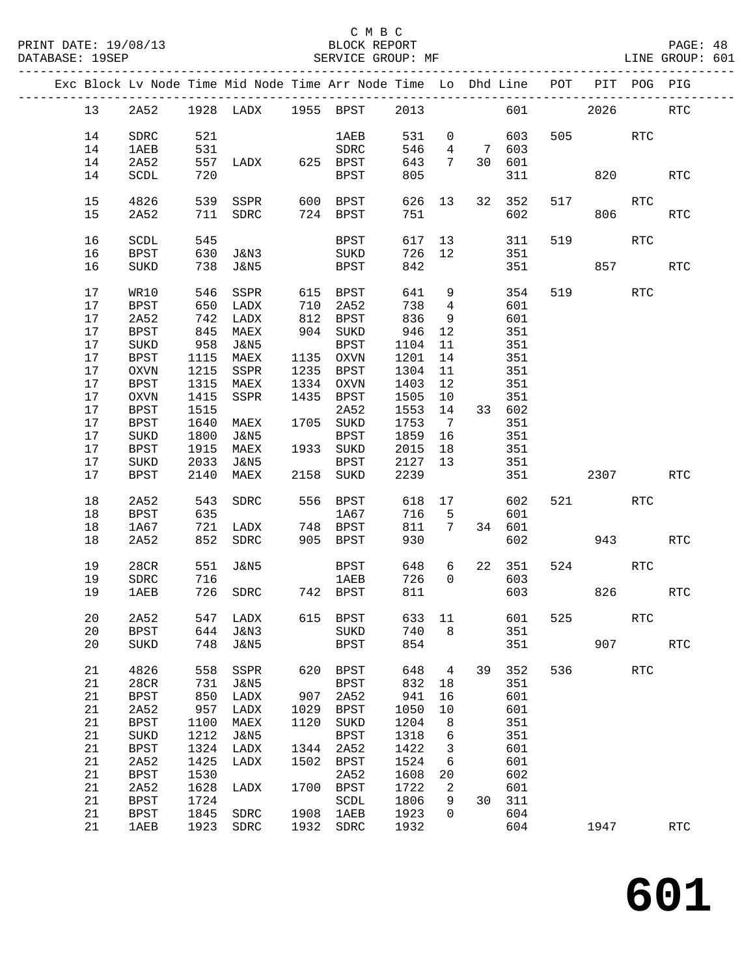|                 |              |                                                                                         |                   |      | Exc Block Lv Node Time Mid Node Time Arr Node Time Lo Dhd Line POT PIT POG PIG |            |                 |                 |         |         |                        |            |                      |
|-----------------|--------------|-----------------------------------------------------------------------------------------|-------------------|------|--------------------------------------------------------------------------------|------------|-----------------|-----------------|---------|---------|------------------------|------------|----------------------|
| 13              | 2A52         |                                                                                         |                   |      | 1928 LADX 1955 BPST 2013                                                       |            |                 |                 |         | 601 000 | 2026                   |            | RTC                  |
| 14              | SDRC         | 521                                                                                     |                   |      | <b>1AEB</b>                                                                    | 531        | $\overline{0}$  |                 | 603     |         | 505                    | RTC        |                      |
|                 |              |                                                                                         |                   |      |                                                                                |            |                 |                 |         |         |                        |            |                      |
| 14              | 1AEB         | 531                                                                                     |                   |      | SDRC                                                                           | 546        |                 |                 | 4 7 603 |         |                        |            |                      |
| 14              | 2A52         | 557                                                                                     | LADX 625 BPST     |      |                                                                                | 643        | 7               |                 | 30 601  |         |                        |            |                      |
| 14              | SCDL         | 720                                                                                     |                   |      | BPST                                                                           | 805        |                 |                 | 311     |         | 820                    |            | <b>RTC</b>           |
| 15              | 4826         | 539                                                                                     | SSPR 600 BPST     |      |                                                                                | 626 13     |                 |                 | 32 352  |         | 517                    | RTC        |                      |
| 15              | 2A52         |                                                                                         | 711 SDRC          |      | 724 BPST                                                                       | 751        |                 |                 | 602     |         | 806                    |            | RTC                  |
| 16              | SCDL         | 545                                                                                     |                   |      | BPST                                                                           |            |                 | 617 13          | 311     | 519     |                        | RTC        |                      |
| 16              | BPST         |                                                                                         | 630 J&N3          |      | SUKD                                                                           | 726 12     |                 |                 | 351     |         |                        |            |                      |
| 16              | SUKD         |                                                                                         | 738 J&N5          |      | BPST                                                                           | 842        |                 |                 | 351     |         | 857 and $\overline{a}$ |            | RTC                  |
|                 |              |                                                                                         |                   |      |                                                                                |            |                 |                 |         |         |                        |            |                      |
| 17              | WR10         | 546                                                                                     | SSPR              |      | 615 BPST                                                                       | 641        | 9               |                 | 354     |         | 519                    | <b>RTC</b> |                      |
| 17              | BPST         | 650                                                                                     | LADX              |      | 710 2A52                                                                       | 738 4      |                 |                 | 601     |         |                        |            |                      |
| 17              | 2A52         | 742                                                                                     | LADX              |      |                                                                                | 836        | 9               |                 | 601     |         |                        |            |                      |
| 17              | BPST         | $\begin{array}{c} \n \stackrel{\frown}{\phantom{}_{0}}\n 845 \\  -\circ \n \end{array}$ | MAEX              |      | 812 BPST<br>904 SUKD                                                           | 946        | 12              |                 | 351     |         |                        |            |                      |
| 17              | SUKD         | 958                                                                                     | J&N5              |      | BPST                                                                           | 1104       | 11              |                 | 351     |         |                        |            |                      |
| 17              | BPST         | 1115                                                                                    | MAEX              |      | 1135 OXVN                                                                      | 1201       | 14              |                 | 351     |         |                        |            |                      |
|                 |              |                                                                                         |                   |      |                                                                                |            |                 |                 |         |         |                        |            |                      |
| 17              | OXVN         | 1215                                                                                    | SSPR              |      | 1235 BPST                                                                      | 1304       | 11              |                 | 351     |         |                        |            |                      |
| 17              | <b>BPST</b>  | 1315                                                                                    | MAEX              |      | 1334 OXVN                                                                      | 1403       | 12              |                 | 351     |         |                        |            |                      |
| 17              | OXVN         | 1415                                                                                    | SSPR              |      | 1435 BPST                                                                      | 1505       | 10              |                 | 351     |         |                        |            |                      |
| 17              | BPST         | 1515                                                                                    |                   |      | 2A52                                                                           | 1553 14    |                 |                 | 33 602  |         |                        |            |                      |
| 17              | BPST         | 1640                                                                                    | MAEX              |      | 1705 SUKD                                                                      | 1753 7     |                 |                 | 351     |         |                        |            |                      |
| 17              | SUKD         | 1800                                                                                    | J&N5              |      | BPST                                                                           | 1859 16    |                 |                 | 351     |         |                        |            |                      |
| 17              | BPST         | 1915                                                                                    | MAEX              |      | 1933 SUKD                                                                      | 2015 18    |                 |                 | 351     |         |                        |            |                      |
| 17              | SUKD         | 2033                                                                                    | J&N5              |      | <b>BPST</b>                                                                    | 2127 13    |                 |                 | 351     |         |                        |            |                      |
| 17              | BPST         | 2140                                                                                    | MAEX              |      | 2158 SUKD                                                                      | 2239       |                 |                 |         |         | 351 2307               |            | RTC                  |
| 18              | 2A52         | 543                                                                                     | SDRC              |      | 556 BPST                                                                       |            |                 | 618 17          | 602     |         | 521 72                 | RTC        |                      |
| 18              | BPST         | 635                                                                                     |                   |      | 1A67                                                                           | 716 5      |                 |                 | 601     |         |                        |            |                      |
| 18              | 1A67         | 721                                                                                     | LADX              |      | 748 BPST                                                                       | 811        | $7\overline{ }$ |                 | 34 601  |         |                        |            |                      |
| 18              | 2A52         |                                                                                         | 852 SDRC          |      | 905 BPST                                                                       | 930        |                 |                 | 602     |         | 943                    |            | RTC                  |
|                 |              |                                                                                         |                   |      |                                                                                |            |                 |                 |         |         |                        |            |                      |
| 19              | 28CR         |                                                                                         | 551 J&N5          |      | <b>BPST</b>                                                                    | 648        | 6               |                 | 22 351  | 524     |                        | RTC        |                      |
| 19              | ${\tt SDRC}$ | 716                                                                                     |                   |      | 1AEB                                                                           | 726        | $\overline{0}$  |                 | 603     |         |                        |            |                      |
| 19              | 1AEB         |                                                                                         | 726 SDRC          |      | 742 BPST                                                                       | 811        |                 |                 | 603     |         | 826                    |            | <b>RTC</b>           |
| 20 <sub>o</sub> | 2A52         |                                                                                         | 547 LADX 615 BPST |      |                                                                                | 633 11 601 |                 |                 |         |         | 525                    | RTC        |                      |
| 20              | <b>BPST</b>  | 644                                                                                     | J&N3              |      | SUKD                                                                           | 740        | 8               |                 | 351     |         |                        |            |                      |
| 20              | SUKD         | 748                                                                                     | <b>J&amp;N5</b>   |      | <b>BPST</b>                                                                    | 854        |                 |                 | 351     |         | 907                    |            | $\operatorname{RTC}$ |
|                 |              |                                                                                         |                   |      |                                                                                |            |                 |                 |         |         |                        |            |                      |
| 21              | 4826         | 558                                                                                     | SSPR              | 620  | <b>BPST</b>                                                                    | 648        | $4\overline{ }$ | 39              | 352     | 536     |                        | <b>RTC</b> |                      |
| 21              | 28CR         | 731                                                                                     | J&N5              |      | <b>BPST</b>                                                                    | 832        | 18              |                 | 351     |         |                        |            |                      |
| 21              | <b>BPST</b>  | 850                                                                                     | LADX              | 907  | 2A52                                                                           | 941        | 16              |                 | 601     |         |                        |            |                      |
| 21              | 2A52         | 957                                                                                     | LADX              | 1029 | BPST                                                                           | 1050       | 10              |                 | 601     |         |                        |            |                      |
| 21              | <b>BPST</b>  | 1100                                                                                    | MAEX              | 1120 | SUKD                                                                           | 1204       | 8               |                 | 351     |         |                        |            |                      |
| 21              | SUKD         | 1212                                                                                    | J&N5              |      | <b>BPST</b>                                                                    | 1318       | 6               |                 | 351     |         |                        |            |                      |
| 21              | <b>BPST</b>  | 1324                                                                                    | LADX              | 1344 | 2A52                                                                           | 1422       | 3               |                 | 601     |         |                        |            |                      |
| 21              | 2A52         | 1425                                                                                    | LADX              | 1502 | <b>BPST</b>                                                                    | 1524       | 6               |                 | 601     |         |                        |            |                      |
| 21              | <b>BPST</b>  | 1530                                                                                    |                   |      | 2A52                                                                           | 1608       | 20              |                 | 602     |         |                        |            |                      |
| 21              | 2A52         | 1628                                                                                    | LADX              | 1700 | <b>BPST</b>                                                                    | 1722       | 2               |                 | 601     |         |                        |            |                      |
|                 |              |                                                                                         |                   |      |                                                                                |            |                 | 30 <sup>°</sup> |         |         |                        |            |                      |
| 21              | <b>BPST</b>  | 1724                                                                                    |                   |      | SCDL                                                                           | 1806       | 9               |                 | 311     |         |                        |            |                      |
| 21              | <b>BPST</b>  | 1845                                                                                    | SDRC              | 1908 | 1AEB                                                                           | 1923       | $\mathbf 0$     |                 | 604     |         |                        |            |                      |
| 21              | <b>1AEB</b>  | 1923                                                                                    | SDRC              | 1932 | SDRC                                                                           | 1932       |                 |                 | 604     |         | 1947                   |            | <b>RTC</b>           |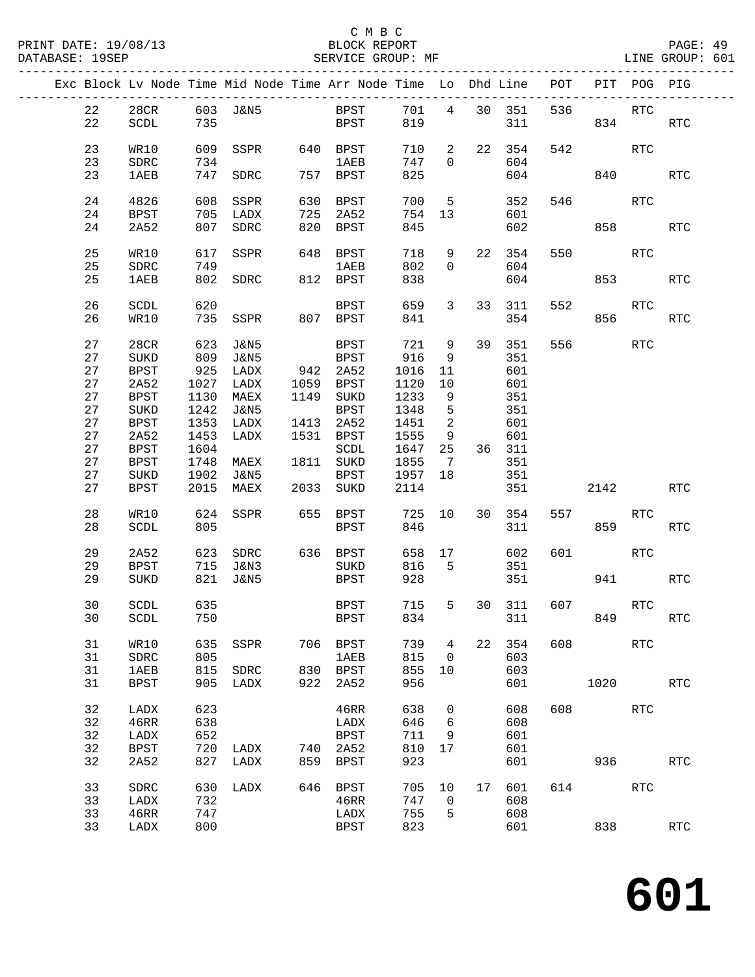#### C M B C<br>BLOCK REPORT SERVICE GROUP: MF

|  |    |             |      | Exc Block Lv Node Time Mid Node Time Arr Node Time Lo Dhd Line POT |      |             |        |                 |    |        |     |         | PIT POG PIG          |                      |
|--|----|-------------|------|--------------------------------------------------------------------|------|-------------|--------|-----------------|----|--------|-----|---------|----------------------|----------------------|
|  | 22 | 28CR        |      | 603 J&N5                                                           |      | <b>BPST</b> | 701    | $4\overline{ }$ |    | 30 351 | 536 |         | <b>RTC</b>           |                      |
|  |    |             |      |                                                                    |      |             |        |                 |    |        |     |         |                      |                      |
|  | 22 | SCDL        | 735  |                                                                    |      | BPST        | 819    |                 |    | 311    |     | 834     |                      | RTC                  |
|  |    |             |      |                                                                    |      |             |        |                 |    |        |     |         |                      |                      |
|  | 23 | WR10        | 609  | SSPR                                                               |      | 640 BPST    | 710    | 2               |    | 22 354 | 542 |         | RTC                  |                      |
|  | 23 | SDRC        | 734  |                                                                    |      | <b>1AEB</b> | 747    | $\overline{0}$  |    | 604    |     |         |                      |                      |
|  | 23 | <b>1AEB</b> |      | 747 SDRC                                                           |      | 757 BPST    | 825    |                 |    | 604    |     |         | 840                  | <b>RTC</b>           |
|  |    |             |      |                                                                    |      |             |        |                 |    |        |     |         |                      |                      |
|  | 24 | 4826        | 608  | SSPR                                                               | 630  | BPST        | 700    | 5               |    | 352    | 546 |         | $\operatorname{RTC}$ |                      |
|  | 24 | <b>BPST</b> | 705  | LADX                                                               | 725  | 2A52        | 754    | 13              |    | 601    |     |         |                      |                      |
|  | 24 | 2A52        | 807  | SDRC                                                               | 820  | BPST        | 845    |                 |    | 602    |     | 858     |                      | RTC                  |
|  |    |             |      |                                                                    |      |             |        |                 |    |        |     |         |                      |                      |
|  | 25 | WR10        | 617  | SSPR                                                               |      | 648 BPST    | 718    | 9               |    | 22 354 | 550 |         | RTC                  |                      |
|  | 25 | SDRC        | 749  |                                                                    |      | <b>1AEB</b> | 802    | $\overline{0}$  |    | 604    |     |         |                      |                      |
|  | 25 | 1AEB        | 802  | SDRC                                                               |      | 812 BPST    | 838    |                 |    | 604    |     |         | 853                  | <b>RTC</b>           |
|  |    |             |      |                                                                    |      |             |        |                 |    |        |     |         |                      |                      |
|  | 26 | SCDL        | 620  |                                                                    |      | BPST        | 659    | 3               | 33 | 311    | 552 |         | <b>RTC</b>           |                      |
|  | 26 | WR10        | 735  | SSPR                                                               |      | 807 BPST    | 841    |                 |    | 354    |     | 856     |                      | $\operatorname{RTC}$ |
|  |    |             |      |                                                                    |      |             |        |                 |    |        |     |         |                      |                      |
|  | 27 | 28CR        | 623  | J&N5                                                               |      | BPST        | 721    | 9               |    | 39 351 | 556 |         | RTC                  |                      |
|  | 27 | SUKD        | 809  | J&N5                                                               |      | BPST        | 916    | 9               |    | 351    |     |         |                      |                      |
|  | 27 | BPST        | 925  | LADX                                                               |      | 942 2A52    | 1016   | 11              |    | 601    |     |         |                      |                      |
|  | 27 | 2A52        | 1027 | LADX                                                               | 1059 | BPST        | 1120   | 10              |    | 601    |     |         |                      |                      |
|  | 27 | <b>BPST</b> | 1130 | MAEX                                                               |      | 1149 SUKD   | 1233   | 9               |    | 351    |     |         |                      |                      |
|  | 27 | SUKD        | 1242 | J&N5                                                               |      | BPST        | 1348   | 5               |    | 351    |     |         |                      |                      |
|  | 27 | <b>BPST</b> | 1353 | LADX                                                               |      | 1413 2A52   | 1451   | 2               |    | 601    |     |         |                      |                      |
|  | 27 | 2A52        |      |                                                                    |      | 1531 BPST   | 1555   |                 |    |        |     |         |                      |                      |
|  |    |             | 1453 | LADX                                                               |      |             |        | 9               |    | 601    |     |         |                      |                      |
|  | 27 | <b>BPST</b> | 1604 |                                                                    |      | SCDL        | 1647   | 25              |    | 36 311 |     |         |                      |                      |
|  | 27 | <b>BPST</b> | 1748 | MAEX                                                               |      | 1811 SUKD   | 1855   | $\overline{7}$  |    | 351    |     |         |                      |                      |
|  | 27 | SUKD        | 1902 | J&N5                                                               |      | BPST        | 1957   | 18              |    | 351    |     |         |                      |                      |
|  | 27 | <b>BPST</b> | 2015 | MAEX                                                               |      | 2033 SUKD   | 2114   |                 |    | 351    |     | 2142    |                      | <b>RTC</b>           |
|  |    |             |      |                                                                    |      |             |        |                 |    |        |     |         |                      |                      |
|  | 28 | WR10        | 624  | SSPR                                                               |      | 655 BPST    | 725 10 |                 | 30 | 354    | 557 |         | <b>RTC</b>           |                      |
|  | 28 | SCDL        | 805  |                                                                    |      | <b>BPST</b> | 846    |                 |    | 311    |     | 859     |                      | <b>RTC</b>           |
|  |    |             |      |                                                                    |      |             |        |                 |    |        |     |         |                      |                      |
|  | 29 | 2A52        | 623  | SDRC                                                               |      | 636 BPST    | 658    | 17              |    | 602    | 601 |         | RTC                  |                      |
|  | 29 | <b>BPST</b> | 715  | J&N3                                                               |      | SUKD        | 816    | 5               |    | 351    |     |         |                      |                      |
|  | 29 | SUKD        | 821  | J&N5                                                               |      | BPST        | 928    |                 |    | 351    |     | 941     |                      | RTC                  |
|  |    |             |      |                                                                    |      |             |        |                 |    |        |     |         |                      |                      |
|  | 30 | SCDL        | 635  |                                                                    |      | BPST        | 715    | $5 -$           |    | 30 311 |     | 607     | <b>RTC</b>           |                      |
|  | 30 | SCDL        | 750  |                                                                    |      | <b>BPST</b> | 834    |                 |    | 311    |     | 849 RTC |                      |                      |
|  |    |             |      |                                                                    |      |             |        |                 |    |        |     |         |                      |                      |
|  | 31 | WR10        | 635  | SSPR                                                               | 706  | BPST        | 739    | 4               | 22 | 354    | 608 |         | <b>RTC</b>           |                      |
|  | 31 | SDRC        | 805  |                                                                    |      | 1AEB        | 815    | $\mathbf 0$     |    | 603    |     |         |                      |                      |
|  | 31 | <b>1AEB</b> | 815  | SDRC                                                               | 830  | BPST        | 855    | 10              |    | 603    |     |         |                      |                      |
|  | 31 | <b>BPST</b> | 905  | LADX                                                               | 922  | 2A52        | 956    |                 |    | 601    |     | 1020    |                      | $\operatorname{RTC}$ |
|  |    |             |      |                                                                    |      |             |        |                 |    |        |     |         |                      |                      |
|  | 32 | LADX        | 623  |                                                                    |      | 46RR        | 638    | 0               |    | 608    | 608 |         | $\operatorname{RTC}$ |                      |
|  | 32 | 46RR        | 638  |                                                                    |      | LADX        | 646    | 6               |    | 608    |     |         |                      |                      |
|  | 32 | LADX        | 652  |                                                                    |      | <b>BPST</b> | 711    | 9               |    | 601    |     |         |                      |                      |
|  | 32 | <b>BPST</b> | 720  | LADX                                                               | 740  | 2A52        | 810    | 17              |    | 601    |     |         |                      |                      |
|  | 32 | 2A52        | 827  | LADX                                                               | 859  | <b>BPST</b> | 923    |                 |    | 601    |     | 936     |                      | $\operatorname{RTC}$ |
|  |    |             |      |                                                                    |      |             |        |                 |    |        |     |         |                      |                      |
|  | 33 | SDRC        | 630  | LADX                                                               | 646  | <b>BPST</b> | 705    | 10              | 17 | 601    | 614 |         | <b>RTC</b>           |                      |
|  | 33 | LADX        | 732  |                                                                    |      | 46RR        | 747    | 0               |    | 608    |     |         |                      |                      |
|  | 33 | 46RR        | 747  |                                                                    |      | LADX        | 755    | 5               |    | 608    |     |         |                      |                      |
|  | 33 | LADX        | 800  |                                                                    |      | <b>BPST</b> | 823    |                 |    | 601    |     | 838     |                      | $\operatorname{RTC}$ |
|  |    |             |      |                                                                    |      |             |        |                 |    |        |     |         |                      |                      |

**601**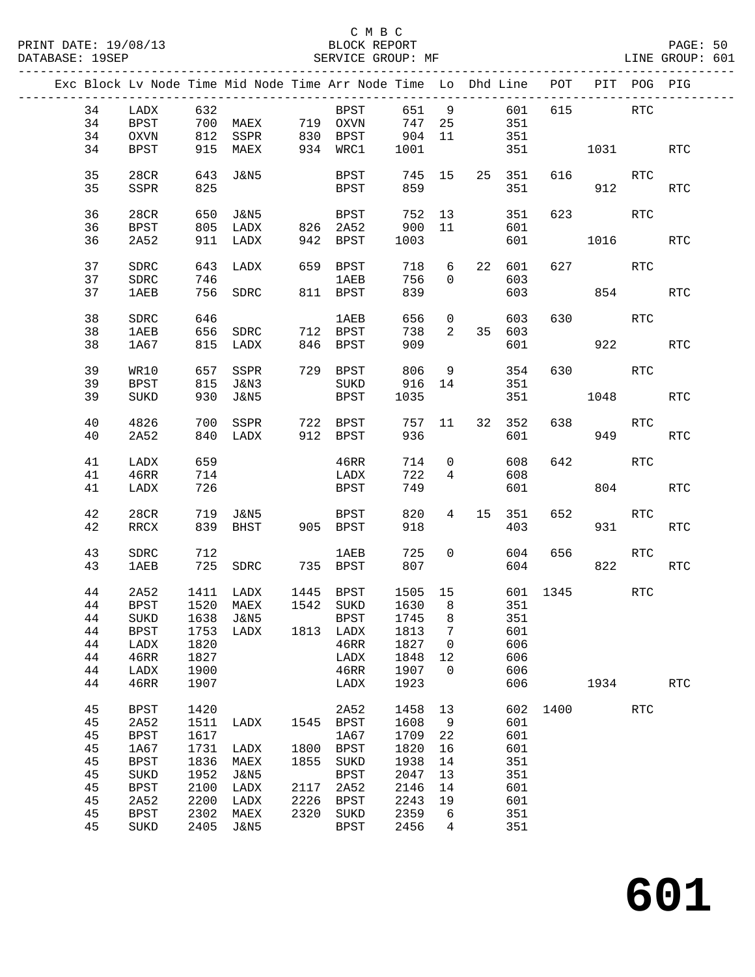### C M B C<br>BLOCK REPORT

PAGE: 50<br>LINE GROUP: 601

|  |    |             |      | Exc Block Lv Node Time Mid Node Time Arr Node Time Lo Dhd Line POT |      |                                  |         |                 |    |        |      |                           | PIT POG PIG |                      |
|--|----|-------------|------|--------------------------------------------------------------------|------|----------------------------------|---------|-----------------|----|--------|------|---------------------------|-------------|----------------------|
|  | 34 | LADX        | 632  |                                                                    |      | BPST                             | 651 9   |                 |    | 601    |      | 615                       | <b>RTC</b>  |                      |
|  | 34 |             |      |                                                                    |      |                                  | 747 25  |                 |    |        |      |                           |             |                      |
|  |    | BPST        |      | 700 MAEX 719 OXVN                                                  |      |                                  |         |                 |    | 351    |      |                           |             |                      |
|  | 34 | OXVN        |      | 812 SSPR<br>915 MARI                                               |      | 830 BPST 904 11<br>934 WRC1 1001 |         |                 |    | 351    |      |                           |             |                      |
|  | 34 | BPST        |      | 915 MAEX                                                           |      |                                  |         |                 |    | 351    |      | 1031                      |             | RTC                  |
|  | 35 | 28CR        |      | 643 J&N5                                                           |      | BPST 745 15                      |         |                 |    | 25 351 |      | 616 70                    | RTC         |                      |
|  | 35 | SSPR        | 825  |                                                                    |      | BPST                             | 859     |                 |    | 351    |      |                           | 912         | RTC                  |
|  |    |             |      |                                                                    |      |                                  |         |                 |    |        |      |                           |             |                      |
|  | 36 | 28CR        | 650  | J&N5                                                               |      | BPST                             | 752     | 13              |    | 351    |      | 623 and the set of $\sim$ | <b>RTC</b>  |                      |
|  | 36 | <b>BPST</b> | 805  | LADX                                                               |      | 826 2A52                         | 900     | 11              |    | 601    |      |                           |             |                      |
|  | 36 | 2A52        |      | 911 LADX                                                           |      | 942 BPST                         | 1003    |                 |    | 601    |      | 1016                      |             | RTC                  |
|  | 37 |             |      |                                                                    |      |                                  |         |                 | 22 | 601    |      | 627                       | RTC         |                      |
|  |    | SDRC        |      | 643 LADX                                                           |      | 659 BPST                         | 718     | 6               |    |        |      |                           |             |                      |
|  | 37 | SDRC        | 746  |                                                                    |      | 1AEB                             | 756     | $\overline{0}$  |    | 603    |      |                           |             |                      |
|  | 37 | 1AEB        |      | 756 SDRC                                                           |      | 811 BPST                         | 839     |                 |    | 603    |      | 854                       |             | <b>RTC</b>           |
|  | 38 | SDRC        | 646  |                                                                    |      | <b>1AEB</b>                      | 656     | $\overline{0}$  |    | 603    |      | 630                       | RTC         |                      |
|  | 38 | <b>1AEB</b> | 656  | SDRC                                                               |      | 712 BPST                         | 738     | 2               | 35 | 603    |      |                           |             |                      |
|  | 38 | 1A67        |      | 815 LADX                                                           |      | 846 BPST                         | 909     |                 |    | 601    |      | 922                       |             | <b>RTC</b>           |
|  |    |             |      |                                                                    |      |                                  |         |                 |    |        |      |                           |             |                      |
|  | 39 | WR10        | 657  | SSPR                                                               |      | 729 BPST                         | 806     | 9               |    | 354    |      | 630 RTC                   |             |                      |
|  | 39 | <b>BPST</b> | 815  | J&N3                                                               |      | SUKD                             | 916 14  |                 |    | 351    |      |                           |             |                      |
|  | 39 | <b>SUKD</b> | 930  | J&N5                                                               |      | BPST                             | 1035    |                 |    | 351    |      | 1048                      |             | <b>RTC</b>           |
|  |    |             |      |                                                                    |      |                                  |         |                 |    |        |      |                           |             |                      |
|  | 40 | 4826        | 700  | SSPR                                                               |      | 722 BPST                         | 757 11  |                 | 32 | 352    | 638  |                           | <b>RTC</b>  |                      |
|  | 40 | 2A52        |      | 840 LADX                                                           |      | 912 BPST                         | 936     |                 |    | 601    |      | 949                       |             | <b>RTC</b>           |
|  |    |             |      |                                                                    |      |                                  |         |                 |    |        |      |                           |             |                      |
|  | 41 | LADX        | 659  |                                                                    |      | 46RR                             | 714     | $\overline{0}$  |    | 608    | 642  |                           | RTC         |                      |
|  | 41 | 46RR        | 714  |                                                                    |      | LADX                             | 722     | $4\overline{ }$ |    | 608    |      |                           |             |                      |
|  | 41 | LADX        | 726  |                                                                    |      | BPST                             | 749     |                 |    | 601    |      |                           | 804         | <b>RTC</b>           |
|  | 42 |             |      | 719 J&N5                                                           |      | BPST                             | 820     | 4               |    | 15 351 | 652  |                           | <b>RTC</b>  |                      |
|  | 42 | 28CR        |      | 839 BHST                                                           |      | 905 BPST                         | 918     |                 |    | 403    |      |                           | 931 72      |                      |
|  |    | RRCX        |      |                                                                    |      |                                  |         |                 |    |        |      |                           |             | RTC                  |
|  | 43 | SDRC        | 712  |                                                                    |      | <b>1AEB</b>                      | 725     | $\overline{0}$  |    | 604    | 656  |                           | <b>RTC</b>  |                      |
|  | 43 | 1AEB        |      | 725 SDRC                                                           |      | 735 BPST                         | 807     |                 |    | 604    |      | 822                       |             | <b>RTC</b>           |
|  |    |             |      |                                                                    |      |                                  |         |                 |    |        |      |                           |             |                      |
|  | 44 | 2A52        |      | 1411 LADX                                                          | 1445 | BPST                             | 1505 15 |                 |    | 601    |      | 1345                      | RTC         |                      |
|  | 44 | <b>BPST</b> |      | 1520 MAEX                                                          |      | 1542 SUKD                        | 1630    | 8 <sup>8</sup>  |    | 351    |      |                           |             |                      |
|  | 44 | SUKD        |      | 1638 J&N5                                                          |      | BPST 1745 8                      |         |                 |    | 351    |      |                           |             |                      |
|  | 44 | <b>BPST</b> | 1753 | LADX                                                               | 1813 | LADX                             | 1813    | 7               |    | 601    |      |                           |             |                      |
|  | 44 | LADX        | 1820 |                                                                    |      | 46RR                             | 1827    | 0               |    | 606    |      |                           |             |                      |
|  | 44 | 46RR        | 1827 |                                                                    |      | LADX                             | 1848    | 12              |    | 606    |      |                           |             |                      |
|  | 44 | LADX        | 1900 |                                                                    |      | 46RR                             | 1907    | $\Omega$        |    | 606    |      |                           |             |                      |
|  | 44 | 46RR        | 1907 |                                                                    |      | LADX                             | 1923    |                 |    | 606    |      | 1934                      |             | $\operatorname{RTC}$ |
|  |    |             |      |                                                                    |      |                                  |         |                 |    |        |      |                           |             |                      |
|  | 45 | <b>BPST</b> | 1420 |                                                                    |      | 2A52                             | 1458    | 13              |    | 602    | 1400 |                           | RTC         |                      |
|  | 45 | 2A52        | 1511 | LADX                                                               | 1545 | <b>BPST</b>                      | 1608    | 9               |    | 601    |      |                           |             |                      |
|  | 45 | <b>BPST</b> | 1617 |                                                                    |      | 1A67                             | 1709    | 22              |    | 601    |      |                           |             |                      |
|  | 45 | 1A67        | 1731 | LADX                                                               | 1800 | <b>BPST</b>                      | 1820    | 16              |    | 601    |      |                           |             |                      |
|  | 45 | <b>BPST</b> | 1836 | MAEX                                                               | 1855 | SUKD                             | 1938    | 14              |    | 351    |      |                           |             |                      |
|  | 45 | SUKD        | 1952 | <b>J&amp;N5</b>                                                    |      | <b>BPST</b>                      | 2047    | 13              |    | 351    |      |                           |             |                      |
|  | 45 | <b>BPST</b> | 2100 | LADX                                                               | 2117 | 2A52                             | 2146    | 14              |    | 601    |      |                           |             |                      |
|  | 45 | 2A52        | 2200 | LADX                                                               | 2226 | <b>BPST</b>                      | 2243    | 19              |    | 601    |      |                           |             |                      |
|  | 45 | <b>BPST</b> | 2302 | MAEX                                                               | 2320 | SUKD                             | 2359    | 6               |    | 351    |      |                           |             |                      |
|  | 45 | SUKD        | 2405 | <b>J&amp;N5</b>                                                    |      | <b>BPST</b>                      | 2456    | 4               |    | 351    |      |                           |             |                      |
|  |    |             |      |                                                                    |      |                                  |         |                 |    |        |      |                           |             |                      |

**601**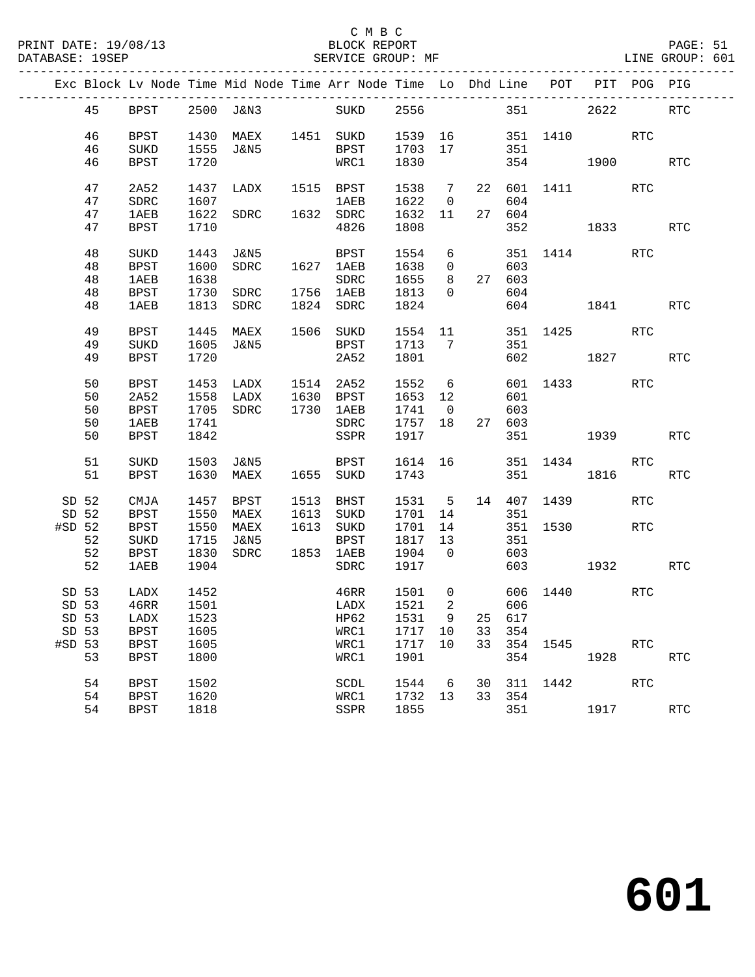|          |       |              |      | Exc Block Lv Node Time Mid Node Time Arr Node Time Lo Dhd Line POT PIT POG PIG |                    |         |                          |                |          |                      |      |            |                      |
|----------|-------|--------------|------|--------------------------------------------------------------------------------|--------------------|---------|--------------------------|----------------|----------|----------------------|------|------------|----------------------|
|          | 45    | BPST         |      | 2500 J&N3 SUKD 2556                                                            |                    |         |                          |                |          | 351 2622             |      |            | RTC                  |
|          | 46    | BPST         |      | 1430 MAEX 1451 SUKD 1539 16 351 1410                                           |                    |         |                          |                |          |                      |      | RTC        |                      |
|          | 46    | SUKD         | 1555 | J&N5                                                                           | BPST 1703 17       |         |                          |                | 351      |                      |      |            |                      |
|          | 46    | <b>BPST</b>  | 1720 |                                                                                | WRC1               | 1830    |                          |                |          | 354 1900             |      |            | <b>RTC</b>           |
|          |       |              |      |                                                                                |                    |         |                          |                |          |                      |      |            |                      |
|          | 47    | 2A52         | 1437 |                                                                                | LADX 1515 BPST     | 1538    | $7\overline{ }$          |                |          | 22 601 1411          |      | RTC        |                      |
|          | 47    | ${\tt SDRC}$ | 1607 |                                                                                | 1 AE B             | 1622    |                          | $\overline{0}$ | 604      |                      |      |            |                      |
|          | 47    | 1 AEB        | 1622 | SDRC 1632 SDRC                                                                 |                    | 1632 11 |                          |                | 27 604   |                      |      |            |                      |
|          | 47    | BPST         | 1710 |                                                                                | 4826               | 1808    |                          |                |          | 352 1833 RTC         |      |            |                      |
|          |       |              |      |                                                                                |                    |         |                          |                |          |                      |      |            |                      |
|          | 48    | SUKD         |      | 1443 J&N5                                                                      | BPST               | 1554    | 6                        |                |          | 351 1414             |      | RTC        |                      |
|          | 48    | BPST         | 1600 | SDRC                                                                           | 1627 1AEB          | 1638    | $\overline{0}$           |                | 603      |                      |      |            |                      |
|          | 48    | 1AEB         | 1638 |                                                                                | SDRC               | 1655    |                          |                | 8 27 603 |                      |      |            |                      |
|          | 48    | BPST         | 1730 | SDRC                                                                           | 1756 1AEB          | 1813    | $\overline{0}$           |                | 604      |                      |      |            |                      |
|          | 48    | 1AEB         |      | 1813 SDRC                                                                      | 1824 SDRC          | 1824    |                          |                |          | 604 1841             |      |            | <b>RTC</b>           |
|          | 49    |              |      | 1445 MAEX 1506 SUKD                                                            |                    |         |                          |                |          | 1554 11 351 1425 RTC |      |            |                      |
|          | 49    | BPST<br>SUKD | 1605 | J&N5                                                                           | BPST 1713 7        |         |                          |                | 351      |                      |      |            |                      |
|          | 49    | BPST         | 1720 |                                                                                | 2A52               | 1801    |                          |                |          | 602 1827             |      |            | RTC                  |
|          |       |              |      |                                                                                |                    |         |                          |                |          |                      |      |            |                      |
|          | 50    | BPST         |      | 1453 LADX 1514 2A52                                                            |                    | 1552    | 6                        |                |          | 601 1433             |      | RTC        |                      |
|          | 50    | 2A52         |      | 1558 LADX 1630 BPST                                                            |                    | 1653 12 |                          |                | 601      |                      |      |            |                      |
|          | 50    | <b>BPST</b>  | 1705 | SDRC 1730 1AEB                                                                 |                    | 1741    | $\overline{0}$           |                | 603      |                      |      |            |                      |
|          | 50    | 1AEB         | 1741 |                                                                                | SDRC               | 1757 18 |                          |                | 27 603   |                      |      |            |                      |
|          | 50    | BPST         | 1842 |                                                                                | SSPR               | 1917    |                          |                |          |                      | 1939 |            | RTC                  |
|          |       |              |      |                                                                                |                    |         |                          |                |          |                      |      |            |                      |
|          | 51    | SUKD         |      | 1503 J&N5                                                                      | <b>BPST</b>        | 1614 16 |                          |                |          | 351 1434             |      | RTC        |                      |
|          | 51    | <b>BPST</b>  | 1630 | MAEX                                                                           | 1655 SUKD          | 1743    |                          |                |          | 351 1816             |      |            | <b>RTC</b>           |
| SD 52    |       | CMJA         | 1457 | BPST                                                                           | 1513 BHST          | 1531    | 5 <sub>5</sub>           |                |          | 14 407 1439          |      | <b>RTC</b> |                      |
| SD 52    |       | BPST         | 1550 | MAEX                                                                           | 1613 SUKD          | 1701 14 |                          |                | 351      |                      |      |            |                      |
| $#SD$ 52 |       | <b>BPST</b>  | 1550 | MAEX                                                                           | 1613 SUKD          | 1701    | 14                       |                |          | 351 1530             |      | RTC        |                      |
|          | 52    | SUKD         | 1715 | J&N5                                                                           |                    | 1817 13 |                          |                | 351      |                      |      |            |                      |
|          | 52    | BPST         | 1830 | SDRC                                                                           | BPST<br>1853 1AEB  | 1904    | $\overline{0}$           |                | 603      |                      |      |            |                      |
|          | 52    | 1AEB         | 1904 |                                                                                | SDRC               | 1917    |                          |                |          | 603 1932             |      |            | RTC                  |
|          |       |              |      |                                                                                |                    |         |                          |                |          |                      |      |            |                      |
|          | SD 53 | LADX         | 1452 |                                                                                | 46RR               | 1501    | $\overline{0}$           |                |          | 606 1440             |      | RTC        |                      |
|          | SD 53 | <b>46RR</b>  | 1501 |                                                                                | LADX               | 1521    | $\overline{\phantom{a}}$ |                | 606      |                      |      |            |                      |
|          |       |              |      | SD 53 LADX 1523                                                                | HP62 1531 9 25 617 |         |                          |                |          |                      |      |            |                      |
| SD 53    |       | <b>BPST</b>  | 1605 |                                                                                | WRC1               | 1717 10 |                          | 33             | 354      |                      |      |            |                      |
| #SD 53   |       | BPST         | 1605 |                                                                                | WRC1               | 1717    | 10                       |                |          | 33 354 1545          |      | <b>RTC</b> |                      |
|          | 53    | <b>BPST</b>  | 1800 |                                                                                | WRC1               | 1901    |                          |                | 354      |                      | 1928 |            | $\operatorname{RTC}$ |
|          |       |              |      |                                                                                |                    |         |                          |                |          |                      |      |            |                      |
|          | 54    | <b>BPST</b>  | 1502 |                                                                                | SCDL               | 1544    | 6                        | 30             | 311      | 1442                 |      | <b>RTC</b> |                      |
|          | 54    | <b>BPST</b>  | 1620 |                                                                                | WRC1               | 1732 13 |                          |                | 33 354   |                      |      |            |                      |
|          | 54    | <b>BPST</b>  | 1818 |                                                                                | SSPR               | 1855    |                          |                | 351      |                      | 1917 |            | RTC                  |
|          |       |              |      |                                                                                |                    |         |                          |                |          |                      |      |            |                      |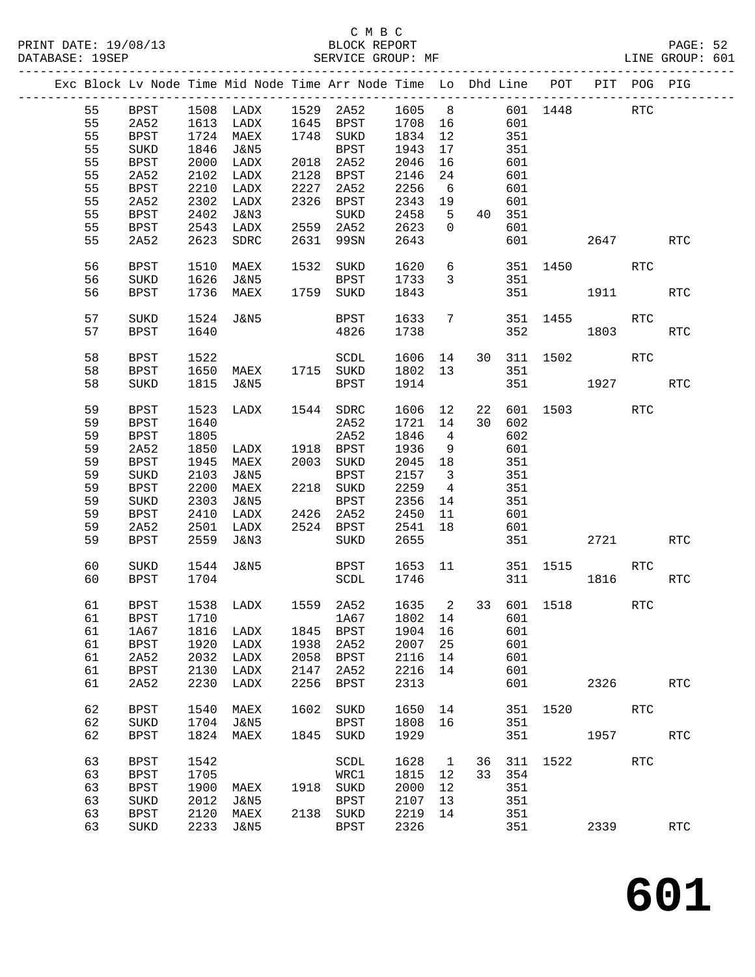|  |    |             |      |                     |      | Exc Block Lv Node Time Mid Node Time Arr Node Time Lo Dhd Line POT |                      |                         |                 |        |                     |             | PIT POG PIG          |                      |
|--|----|-------------|------|---------------------|------|--------------------------------------------------------------------|----------------------|-------------------------|-----------------|--------|---------------------|-------------|----------------------|----------------------|
|  | 55 | <b>BPST</b> |      |                     |      | 1508 LADX 1529 2A52 1605 8 601 1448                                |                      |                         |                 |        |                     |             | RTC                  |                      |
|  |    |             |      |                     |      |                                                                    |                      |                         |                 |        |                     |             |                      |                      |
|  | 55 | 2A52        |      | 1613 LADX           |      | 1645 BPST<br>1748 SUKD                                             | 1708  16<br>1834  12 |                         |                 | 601    |                     |             |                      |                      |
|  | 55 | BPST        |      | 1724 MAEX           |      |                                                                    |                      |                         |                 | 351    |                     |             |                      |                      |
|  | 55 | SUKD        | 1846 | J&N5                |      | BPST                                                               | 1943                 | 17                      |                 | 351    |                     |             |                      |                      |
|  | 55 | BPST        | 2000 | LADX                |      | 2018 2A52                                                          | 2046                 | 16                      |                 | 601    |                     |             |                      |                      |
|  | 55 | 2A52        | 2102 | LADX                |      | 2128 BPST                                                          | 2146                 | 24                      |                 | 601    |                     |             |                      |                      |
|  | 55 | BPST        |      | 2210 LADX           |      | 2227 2A52                                                          | 2256                 | 6                       |                 | 601    |                     |             |                      |                      |
|  | 55 | 2A52        |      | 2302 LADX           |      | 2326 BPST                                                          | 2343                 | 19                      |                 | 601    |                     |             |                      |                      |
|  | 55 | BPST        | 2402 | J&N3                |      | SUKD                                                               | 2458                 | 5                       |                 | 40 351 |                     |             |                      |                      |
|  |    |             |      |                     |      |                                                                    |                      |                         |                 |        |                     |             |                      |                      |
|  | 55 | BPST        |      | 2543 LADX           |      | 2559 2A52                                                          | 2623                 | $\overline{0}$          |                 | 601    |                     |             |                      |                      |
|  | 55 | 2A52        |      | 2623 SDRC           |      | 2631 99SN                                                          | 2643                 |                         |                 | 601    |                     | 2647        |                      | <b>RTC</b>           |
|  | 56 | <b>BPST</b> | 1510 | MAEX                |      | 1532 SUKD                                                          | 1620                 |                         |                 |        | 6 351 1450 RTC      |             |                      |                      |
|  | 56 | SUKD        | 1626 | J&N5                |      | BPST                                                               | 1733                 | $\overline{\mathbf{3}}$ |                 | 351    |                     |             |                      |                      |
|  | 56 | <b>BPST</b> |      | 1736 MAEX           |      | 1759 SUKD                                                          | 1843                 |                         |                 |        |                     | 1911 — 1911 |                      | <b>RTC</b>           |
|  |    |             |      |                     |      |                                                                    |                      |                         |                 |        |                     |             |                      |                      |
|  | 57 | SUKD        | 1524 | J&N5                |      | BPST                                                               | 1633                 | 7                       |                 |        | 351 1455            |             | RTC                  |                      |
|  | 57 | <b>BPST</b> | 1640 |                     |      | 4826                                                               | 1738                 |                         |                 |        | 352                 | 1803        |                      | <b>RTC</b>           |
|  |    |             |      |                     |      |                                                                    |                      |                         |                 |        |                     |             |                      |                      |
|  | 58 | <b>BPST</b> | 1522 |                     |      | SCDL                                                               |                      |                         |                 |        | 1606 14 30 311 1502 |             | RTC                  |                      |
|  |    |             |      |                     |      |                                                                    |                      |                         |                 |        |                     |             |                      |                      |
|  | 58 | <b>BPST</b> |      | 1650 MAEX 1715 SUKD |      |                                                                    | 1802                 | 13                      |                 | 351    |                     |             |                      |                      |
|  | 58 | SUKD        | 1815 | J&N5                |      | BPST                                                               | 1914                 |                         |                 |        | 351 1927            |             |                      | $\operatorname{RTC}$ |
|  | 59 | <b>BPST</b> | 1523 | LADX 1544 SDRC      |      |                                                                    | 1606                 | 12                      |                 |        | 22 601 1503         |             | $\operatorname{RTC}$ |                      |
|  | 59 | <b>BPST</b> | 1640 |                     |      | 2A52                                                               | 1721                 | 14                      | 30 <sup>2</sup> | 602    |                     |             |                      |                      |
|  | 59 | <b>BPST</b> | 1805 |                     |      | 2A52                                                               | 1846                 | $\overline{4}$          |                 | 602    |                     |             |                      |                      |
|  | 59 | 2A52        | 1850 | LADX 1918 BPST      |      |                                                                    | 1936                 | 9                       |                 | 601    |                     |             |                      |                      |
|  | 59 | BPST        |      | 1945 MAEX           |      | 2003 SUKD                                                          | 2045                 | 18                      |                 | 351    |                     |             |                      |                      |
|  |    |             |      |                     |      |                                                                    |                      |                         |                 |        |                     |             |                      |                      |
|  | 59 | SUKD        | 2103 | J&N5                |      | BPST                                                               | 2157                 | $\overline{\mathbf{3}}$ |                 | 351    |                     |             |                      |                      |
|  | 59 | <b>BPST</b> | 2200 | MAEX                |      | 2218 SUKD                                                          | 2259                 | $\overline{4}$          |                 | 351    |                     |             |                      |                      |
|  | 59 | SUKD        | 2303 | J&N5                |      | BPST                                                               | 2356                 | 14                      |                 | 351    |                     |             |                      |                      |
|  | 59 | BPST        |      | 2410 LADX           |      | 2426 2A52                                                          | 2450                 | 11                      |                 | 601    |                     |             |                      |                      |
|  | 59 | 2A52        |      | 2501 LADX           |      | 2524 BPST                                                          | 2541                 | 18                      |                 | 601    |                     |             |                      |                      |
|  | 59 | <b>BPST</b> | 2559 | J&N3                |      | SUKD                                                               | 2655                 |                         |                 | 351    |                     | 2721        |                      | <b>RTC</b>           |
|  |    |             |      |                     |      |                                                                    |                      |                         |                 |        |                     |             |                      |                      |
|  | 60 | SUKD        |      | 1544 J&N5           |      | BPST 1653 11 351 1515                                              |                      |                         |                 |        |                     |             | RTC                  |                      |
|  | 60 | <b>BPST</b> | 1704 |                     |      | SCDL                                                               | 1746                 |                         |                 |        | 311 7               | 1816        |                      | RTC                  |
|  |    |             |      |                     |      |                                                                    |                      |                         |                 |        |                     |             |                      |                      |
|  | 61 | BPST        |      | 1538 LADX 1559 2A52 |      |                                                                    |                      |                         |                 |        | 1635 2 33 601 1518  |             | RTC                  |                      |
|  |    |             |      |                     |      | 61 BPST 1710 1A67 1802 14 601                                      |                      |                         |                 |        |                     |             |                      |                      |
|  | 61 | 1A67        | 1816 | LADX                | 1845 | <b>BPST</b>                                                        | 1904                 | 16                      |                 | 601    |                     |             |                      |                      |
|  | 61 | <b>BPST</b> | 1920 | LADX                | 1938 | 2A52                                                               | 2007                 | 25                      |                 | 601    |                     |             |                      |                      |
|  | 61 | 2A52        | 2032 | LADX                | 2058 | <b>BPST</b>                                                        | 2116                 | 14                      |                 | 601    |                     |             |                      |                      |
|  |    |             |      |                     |      |                                                                    |                      |                         |                 |        |                     |             |                      |                      |
|  | 61 | <b>BPST</b> | 2130 | LADX                | 2147 | 2A52                                                               | 2216                 | 14                      |                 | 601    |                     |             |                      |                      |
|  | 61 | 2A52        | 2230 | LADX                | 2256 | BPST                                                               | 2313                 |                         |                 | 601    |                     | 2326        |                      | $\operatorname{RTC}$ |
|  | 62 | <b>BPST</b> | 1540 | MAEX                | 1602 | SUKD                                                               | 1650                 | 14                      |                 | 351    | 1520                |             | RTC                  |                      |
|  | 62 | SUKD        | 1704 | J&N5                |      | BPST                                                               | 1808                 | 16                      |                 | 351    |                     |             |                      |                      |
|  | 62 | <b>BPST</b> | 1824 | MAEX                | 1845 | SUKD                                                               | 1929                 |                         |                 | 351    |                     | 1957        |                      | $\operatorname{RTC}$ |
|  |    |             |      |                     |      |                                                                    |                      |                         |                 |        |                     |             |                      |                      |
|  | 63 | <b>BPST</b> | 1542 |                     |      | SCDL                                                               | 1628                 | $\overline{1}$          | 36              | 311    | 1522                |             | <b>RTC</b>           |                      |
|  | 63 | <b>BPST</b> | 1705 |                     |      | WRC1                                                               | 1815                 | 12                      | 33              | 354    |                     |             |                      |                      |
|  | 63 | <b>BPST</b> | 1900 | MAEX                | 1918 | SUKD                                                               | 2000                 | 12                      |                 | 351    |                     |             |                      |                      |
|  | 63 | SUKD        | 2012 | J&N5                |      | BPST                                                               | 2107                 | 13                      |                 | 351    |                     |             |                      |                      |
|  | 63 | <b>BPST</b> | 2120 | MAEX                | 2138 | SUKD                                                               | 2219                 | 14                      |                 | 351    |                     |             |                      |                      |
|  |    |             |      |                     |      |                                                                    |                      |                         |                 |        |                     |             |                      |                      |
|  | 63 | SUKD        | 2233 | J&N5                |      | BPST                                                               | 2326                 |                         |                 | 351    |                     | 2339        |                      | RTC                  |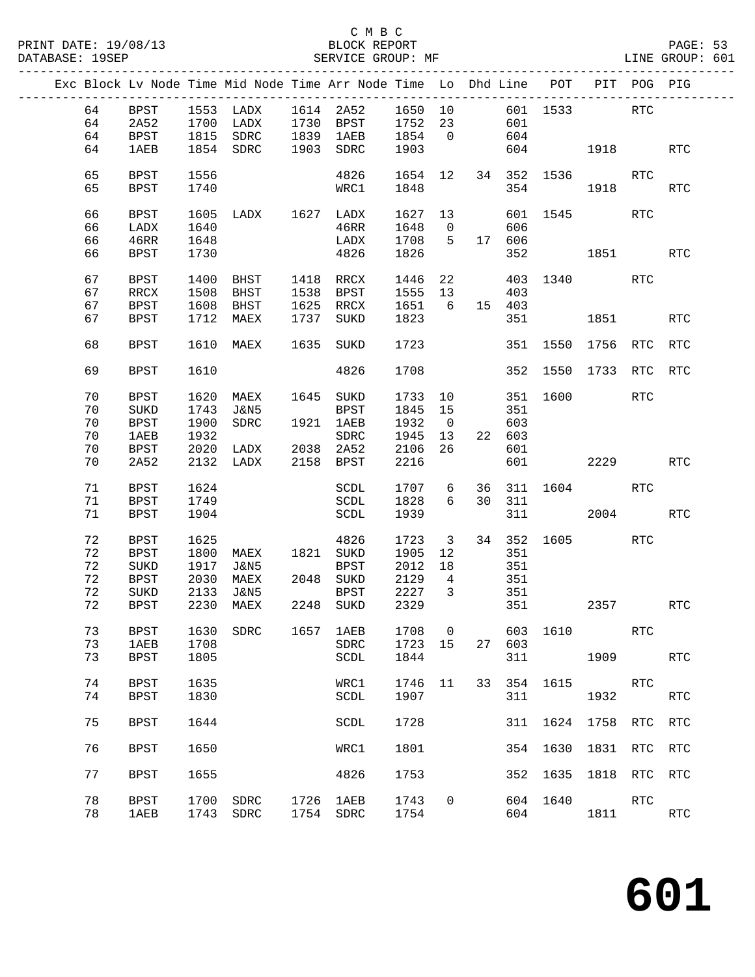|  |    |             |      | Exc Block Lv Node Time Mid Node Time Arr Node Time Lo Dhd Line POT PIT POG PIG |      |             |               |                         |    |        |          |                       |            |            |
|--|----|-------------|------|--------------------------------------------------------------------------------|------|-------------|---------------|-------------------------|----|--------|----------|-----------------------|------------|------------|
|  | 64 | BPST        |      | 1553 LADX 1614 2A52 1650 10 601 1533 RTC                                       |      |             |               |                         |    |        |          |                       |            |            |
|  |    |             |      | 1700 LADX 1730 BPST 1752 23                                                    |      |             |               |                         |    | 601    |          |                       |            |            |
|  | 64 | 2A52        |      |                                                                                |      |             |               |                         |    |        |          |                       |            |            |
|  | 64 | <b>BPST</b> |      | 1815 SDRC 1839 1AEB 1854 0                                                     |      |             |               |                         |    | 604    |          |                       |            |            |
|  | 64 | 1AEB        |      | 1854 SDRC 1903 SDRC                                                            |      |             | 1903          |                         |    |        |          | 604 1918              |            | RTC        |
|  |    |             |      |                                                                                |      |             |               |                         |    |        |          |                       |            |            |
|  | 65 | BPST        | 1556 |                                                                                |      | 4826        |               |                         |    |        |          | 1654 12 34 352 1536   | RTC        |            |
|  | 65 | BPST        | 1740 |                                                                                |      | WRC1        | 1848          |                         |    |        | 354 1918 |                       |            | <b>RTC</b> |
|  |    |             |      |                                                                                |      |             |               |                         |    |        |          |                       |            |            |
|  | 66 | BPST        |      |                                                                                |      |             |               |                         |    |        |          | 601 1545              | RTC        |            |
|  | 66 | LADX        |      |                                                                                |      |             |               |                         |    | 606    |          |                       |            |            |
|  | 66 | 46RR        | 1648 |                                                                                |      | LADX        | 1708 5 17 606 |                         |    |        |          |                       |            |            |
|  | 66 | BPST        | 1730 |                                                                                |      | 4826        | 1826          |                         |    |        |          | 352 1851              |            | RTC        |
|  |    |             |      |                                                                                |      |             |               |                         |    |        |          |                       |            |            |
|  | 67 | BPST        | 1400 | BHST 1418 RRCX                                                                 |      |             | 1446          | 22                      |    |        |          | 403 1340              | RTC        |            |
|  | 67 | RRCX        | 1508 | BHST                                                                           |      | 1538 BPST   | 1555 13       |                         |    | 403    |          |                       |            |            |
|  | 67 | <b>BPST</b> | 1608 | BHST 1625 RRCX                                                                 |      |             | 1651          | $6\overline{6}$         |    | 15 403 |          |                       |            |            |
|  | 67 | BPST        | 1712 | MAEX                                                                           |      | 1737 SUKD   | 1823          |                         |    |        |          | 1851                  |            | <b>RTC</b> |
|  |    |             |      |                                                                                |      |             |               |                         |    |        |          |                       |            |            |
|  | 68 | BPST        |      | 1610 MAEX                                                                      |      | 1635 SUKD   | 1723          |                         |    |        |          | 351 1550 1756 RTC     |            | <b>RTC</b> |
|  | 69 | <b>BPST</b> | 1610 |                                                                                |      | 4826        | 1708          |                         |    |        |          | 352 1550 1733 RTC RTC |            |            |
|  |    |             |      |                                                                                |      |             |               |                         |    |        |          |                       |            |            |
|  | 70 | BPST        | 1620 | MAEX 1645 SUKD                                                                 |      |             | 1733 10       |                         |    |        | 351 1600 |                       | <b>RTC</b> |            |
|  | 70 | SUKD        | 1743 | J&N5                                                                           |      | BPST        | 1845 15       |                         |    | 351    |          |                       |            |            |
|  | 70 | <b>BPST</b> | 1900 | SDRC                                                                           |      | 1921 1AEB   | 1932          | $\overline{0}$          |    | 603    |          |                       |            |            |
|  | 70 | 1AEB        | 1932 |                                                                                |      | SDRC        | 1945          | 13                      |    | 22 603 |          |                       |            |            |
|  |    |             | 2020 | LADX 2038 2A52                                                                 |      |             | 2106          |                         |    |        |          |                       |            |            |
|  | 70 | BPST        |      |                                                                                |      |             |               | 26                      |    | 601    |          |                       |            |            |
|  | 70 | 2A52        |      | 2132 LADX                                                                      |      | 2158 BPST   | 2216          |                         |    |        | 601 2229 |                       |            | <b>RTC</b> |
|  | 71 | BPST        | 1624 |                                                                                |      | SCDL        | 1707 6        |                         |    |        |          | 36 311 1604           | RTC        |            |
|  | 71 | BPST        | 1749 |                                                                                |      | SCDL        | 1828          | 6                       |    | 30 311 |          |                       |            |            |
|  | 71 | BPST        | 1904 |                                                                                |      | SCDL        | 1939          |                         |    |        | 311 \,   | 2004                  |            | <b>RTC</b> |
|  |    |             |      |                                                                                |      |             |               |                         |    |        |          |                       |            |            |
|  | 72 | BPST        | 1625 |                                                                                |      | 4826        | 1723 3        |                         |    |        |          | 34 352 1605           | RTC        |            |
|  | 72 | BPST        | 1800 | MAEX 1821 SUKD                                                                 |      |             | 1905          | 12                      |    | 351    |          |                       |            |            |
|  | 72 | SUKD        | 1917 | J&N5                                                                           |      | BPST        | 2012 18       |                         |    | 351    |          |                       |            |            |
|  | 72 |             | 2030 |                                                                                |      |             | 2129          |                         |    |        |          |                       |            |            |
|  |    | BPST        |      | MAEX                                                                           |      | 2048 SUKD   |               | $\overline{4}$          |    | 351    |          |                       |            |            |
|  | 72 | SUKD        | 2133 | J&N5                                                                           |      | BPST        | 2227<br>2329  | $\overline{\mathbf{3}}$ |    | 351    |          |                       |            |            |
|  | 72 | BPST        |      | 2230 MAEX                                                                      |      | 2248 SUKD   |               |                         |    |        | 351 30   | 2357                  |            | RTC        |
|  | 73 | <b>BPST</b> | 1630 | SDRC                                                                           | 1657 | <b>1AEB</b> | 1708          | 0                       |    | 603    | 1610     |                       | <b>RTC</b> |            |
|  |    |             |      |                                                                                |      |             |               |                         |    |        |          |                       |            |            |
|  | 73 | <b>1AEB</b> | 1708 |                                                                                |      | SDRC        | 1723          | 15                      | 27 | 603    |          |                       |            |            |
|  | 73 | BPST        | 1805 |                                                                                |      | SCDL        | 1844          |                         |    | 311    |          | 1909                  |            | <b>RTC</b> |
|  | 74 | <b>BPST</b> | 1635 |                                                                                |      | WRC1        | 1746          | 11                      | 33 | 354    | 1615     |                       | RTC        |            |
|  | 74 | <b>BPST</b> | 1830 |                                                                                |      | SCDL        | 1907          |                         |    | 311    |          | 1932                  |            | RTC        |
|  |    |             |      |                                                                                |      |             |               |                         |    |        |          |                       |            |            |
|  | 75 | <b>BPST</b> | 1644 |                                                                                |      | SCDL        | 1728          |                         |    | 311    | 1624     | 1758                  | RTC        | <b>RTC</b> |
|  |    |             |      |                                                                                |      |             |               |                         |    |        |          |                       |            |            |
|  | 76 | <b>BPST</b> | 1650 |                                                                                |      | WRC1        | 1801          |                         |    | 354    | 1630     | 1831                  | RTC        | <b>RTC</b> |
|  |    |             |      |                                                                                |      |             |               |                         |    |        |          |                       |            |            |
|  | 77 | BPST        | 1655 |                                                                                |      | 4826        | 1753          |                         |    | 352    | 1635     | 1818                  | RTC        | <b>RTC</b> |
|  |    |             |      |                                                                                |      |             |               |                         |    |        |          |                       |            |            |
|  | 78 | <b>BPST</b> | 1700 | SDRC                                                                           | 1726 | <b>1AEB</b> | 1743          | 0                       |    | 604    | 1640     |                       | <b>RTC</b> |            |
|  | 78 | 1AEB        | 1743 | SDRC                                                                           | 1754 | SDRC        | 1754          |                         |    | 604    |          | 1811                  |            | RTC        |
|  |    |             |      |                                                                                |      |             |               |                         |    |        |          |                       |            |            |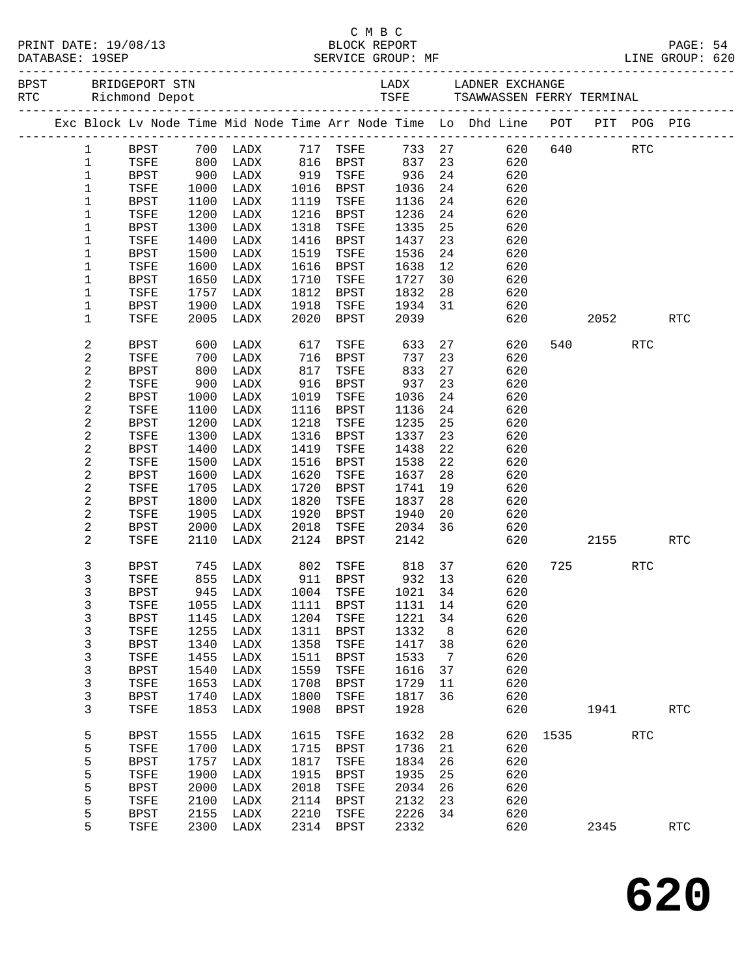|  |                |                     |              |                    |              |                      |              |                | Exc Block Lv Node Time Mid Node Time Arr Node Time Lo Dhd Line POT PIT POG PIG |     |             |            |            |  |
|--|----------------|---------------------|--------------|--------------------|--------------|----------------------|--------------|----------------|--------------------------------------------------------------------------------|-----|-------------|------------|------------|--|
|  | $\mathbf{1}$   | BPST                |              | 700 LADX           |              | 717 TSFE             |              |                | 733 27                                                                         |     | 620 640 RTC |            |            |  |
|  | $\mathbf{1}$   | TSFE                | 800          | LADX               |              | 816 BPST             | 837          | 23             | 620                                                                            |     |             |            |            |  |
|  | $\mathbf 1$    | BPST                | 900          | LADX               | 919          | TSFE                 | 936          | 24             | 620                                                                            |     |             |            |            |  |
|  | $\mathbf{1}$   | TSFE                | 1000         | LADX               | 1016         | BPST                 | 1036         | 24             | 620                                                                            |     |             |            |            |  |
|  | $\mathbf 1$    | BPST                | 1100         | LADX               | 1119         | TSFE                 | 1136         | 24             | 620                                                                            |     |             |            |            |  |
|  | $\mathbf 1$    | TSFE                | 1200         | LADX               | 1216         | BPST                 | 1236         | 24             | 620                                                                            |     |             |            |            |  |
|  | $\mathbf 1$    | <b>BPST</b>         | 1300         | LADX               | 1318         | TSFE                 | 1335         | 25             | 620                                                                            |     |             |            |            |  |
|  | 1              | TSFE                | 1400         | LADX               | 1416         | BPST                 | 1437         | 23             | 620                                                                            |     |             |            |            |  |
|  | $\mathbf 1$    | BPST                | 1500         | LADX               | 1519         | TSFE                 | 1536         | 24             | 620                                                                            |     |             |            |            |  |
|  | 1              | TSFE                | 1600         | LADX               | 1616         | BPST                 | 1638         | 12             | 620                                                                            |     |             |            |            |  |
|  | $\mathbf 1$    | <b>BPST</b>         | 1650         | LADX               | 1710         | TSFE                 | 1727         | 30             | 620                                                                            |     |             |            |            |  |
|  | $\mathbf 1$    | TSFE                | 1757         | LADX               | 1812         | BPST                 | 1832         | 28             | 620                                                                            |     |             |            |            |  |
|  | $\mathbf 1$    | BPST                | 1900         | LADX               | 1918         | TSFE                 | 1934         | 31             | 620                                                                            |     |             |            |            |  |
|  | 1              | TSFE                | 2005         | LADX               | 2020         | BPST                 | 2039         |                | 620                                                                            |     | 2052        |            | <b>RTC</b> |  |
|  | 2              | <b>BPST</b>         | 600          | LADX               | 617          | TSFE                 | 633          | 27             | 620                                                                            | 540 |             | <b>RTC</b> |            |  |
|  | 2              | TSFE                | 700          | LADX               | 716          | BPST                 | 737          | 23             | 620                                                                            |     |             |            |            |  |
|  | 2              | <b>BPST</b>         | 800          | LADX               | 817          | TSFE                 | 833          | 27             | 620                                                                            |     |             |            |            |  |
|  | $\overline{c}$ | TSFE                | 900          | LADX               | 916          | BPST                 | 937          | 23             | 620                                                                            |     |             |            |            |  |
|  | $\overline{c}$ | <b>BPST</b>         | 1000         | LADX               | 1019         | TSFE                 | 1036         | 24             | 620                                                                            |     |             |            |            |  |
|  | $\overline{c}$ | TSFE                | 1100         | LADX               | 1116         | BPST                 | 1136         | 24             | 620                                                                            |     |             |            |            |  |
|  | $\overline{c}$ | <b>BPST</b>         | 1200         | LADX               | 1218         | TSFE                 | 1235         | 25             | 620                                                                            |     |             |            |            |  |
|  | $\overline{c}$ | TSFE                | 1300         | LADX               | 1316         | BPST                 | 1337         | 23             | 620                                                                            |     |             |            |            |  |
|  | $\overline{c}$ | <b>BPST</b>         | 1400         | LADX               | 1419         | TSFE                 | 1438         | 22             | 620                                                                            |     |             |            |            |  |
|  | $\overline{c}$ | TSFE                | 1500         | LADX               | 1516         | BPST                 | 1538         | 22             | 620                                                                            |     |             |            |            |  |
|  | $\overline{c}$ | <b>BPST</b>         | 1600         | LADX               | 1620         | TSFE                 | 1637         | 28             | 620                                                                            |     |             |            |            |  |
|  | $\overline{c}$ | TSFE                | 1705         | LADX               | 1720         | BPST                 | 1741         | 19             | 620                                                                            |     |             |            |            |  |
|  | $\overline{c}$ | <b>BPST</b>         | 1800         | LADX               | 1820         | TSFE                 | 1837         | 28             | 620                                                                            |     |             |            |            |  |
|  | $\overline{c}$ | TSFE                | 1905         | LADX               | 1920         | BPST                 | 1940         | 20             | 620                                                                            |     |             |            |            |  |
|  | $\overline{c}$ | BPST                | 2000         | LADX               | 2018         | TSFE                 | 2034         | 36             | 620                                                                            |     |             |            |            |  |
|  | 2              | TSFE                | 2110         | LADX               | 2124         | BPST                 | 2142         |                | 620                                                                            |     | 2155        |            | <b>RTC</b> |  |
|  | 3              | BPST                | 745          | LADX               |              | 802 TSFE<br>911 BPST | 818          | 37             | 620                                                                            | 725 |             | <b>RTC</b> |            |  |
|  | 3              | TSFE                | 855          | LADX               |              |                      |              | 932 13         | 620                                                                            |     |             |            |            |  |
|  | 3              | BPST                |              | 945 LADX 1004 TSFE |              |                      |              |                | 1021 34 620                                                                    |     |             |            |            |  |
|  | 3              | TSFE                | 1055         | LADX               | 1111         | BPST                 | 1131 14      |                | 620                                                                            |     |             |            |            |  |
|  | 3              | <b>BPST</b>         | 1145         | LADX               | 1204         | TSFE                 | 1221         | 34             | 620                                                                            |     |             |            |            |  |
|  | 3              | TSFE                | 1255         | LADX               | 1311         | <b>BPST</b>          | 1332         | 8              | 620                                                                            |     |             |            |            |  |
|  | 3              | <b>BPST</b>         | 1340         | LADX               | 1358         | TSFE                 | 1417         | 38             | 620                                                                            |     |             |            |            |  |
|  | 3<br>3         | TSFE                | 1455         | LADX               | 1511         | <b>BPST</b>          | 1533         | $\overline{7}$ | 620<br>620                                                                     |     |             |            |            |  |
|  | 3              | <b>BPST</b><br>TSFE | 1540<br>1653 | LADX<br>LADX       | 1559<br>1708 | TSFE<br><b>BPST</b>  | 1616<br>1729 | 37<br>11       | 620                                                                            |     |             |            |            |  |
|  |                |                     | 1740         |                    | 1800         |                      | 1817         | 36             | 620                                                                            |     |             |            |            |  |
|  | 3              | <b>BPST</b>         |              | LADX               |              | TSFE                 |              |                |                                                                                |     |             |            |            |  |
|  | 3              | TSFE                | 1853         | LADX               | 1908         | <b>BPST</b>          | 1928         |                | 620                                                                            |     | 1941        |            | <b>RTC</b> |  |
|  | 5              | <b>BPST</b>         | 1555         | LADX               | 1615         | TSFE                 | 1632         | 28             | 620                                                                            |     | 1535   1530 | RTC        |            |  |
|  | 5              | TSFE                | 1700         | LADX               | 1715         | <b>BPST</b>          | 1736         | 21             | 620                                                                            |     |             |            |            |  |
|  | 5              | <b>BPST</b>         | 1757         | LADX               | 1817         | TSFE                 | 1834         | 26             | 620                                                                            |     |             |            |            |  |
|  | 5              | TSFE                | 1900         | LADX               | 1915         | <b>BPST</b>          | 1935         | 25             | 620                                                                            |     |             |            |            |  |
|  | 5              | <b>BPST</b>         | 2000         | LADX               | 2018         | TSFE                 | 2034         | 26             | 620                                                                            |     |             |            |            |  |
|  | 5              | TSFE                | 2100         | LADX               | 2114         | BPST                 | 2132         | 23             | 620                                                                            |     |             |            |            |  |
|  | 5              | BPST                | 2155         | LADX               | 2210         | TSFE                 | 2226         | 34             | 620                                                                            |     |             |            |            |  |
|  | 5              | TSFE                | 2300         | LADX               |              | 2314 BPST            | 2332         |                | 620                                                                            |     | 2345        |            | <b>RTC</b> |  |
|  |                |                     |              |                    |              |                      |              |                |                                                                                |     |             |            |            |  |

C M B C

**620**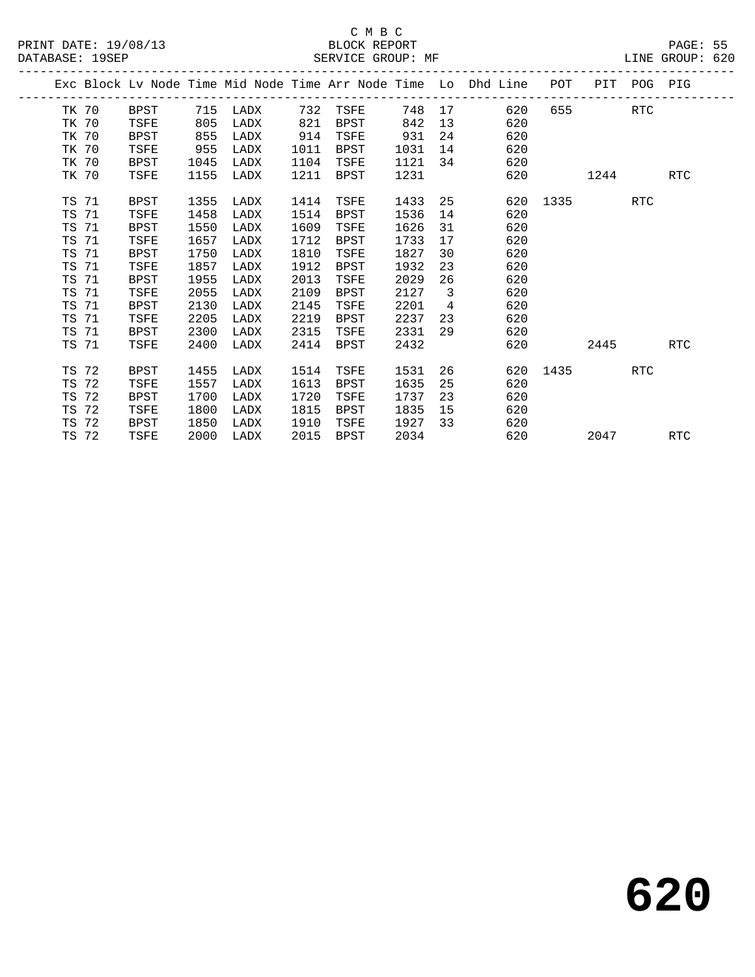|       |       |      |              |          |              |             |              |                | Exc Block Lv Node Time Mid Node Time Arr Node Time Lo Dhd Line POT PIT POG PIG |          |         |     |            |
|-------|-------|------|--------------|----------|--------------|-------------|--------------|----------------|--------------------------------------------------------------------------------|----------|---------|-----|------------|
|       | TK 70 | BPST |              | 715 LADX | 732          | TSFE        | 748 17       |                | 620                                                                            |          | 655 RTC |     |            |
| TK 70 |       | TSFE | 805          | LADX     | 821          | BPST        | 842          |                | 620<br>13                                                                      |          |         |     |            |
| TK 70 |       | BPST | 855          | LADX     | 914          | TSFE        | 931          |                | 24 and $\sim$<br>620                                                           |          |         |     |            |
| TK 70 |       | TSFE | 955          | LADX     | 1011         | BPST        | 1031         | 14             | 620                                                                            |          |         |     |            |
| TK 70 |       | BPST | 1045         | LADX     | 1104         | TSFE        | 1121         |                | 620<br>34                                                                      |          |         |     |            |
| TK 70 |       | TSFE | 1155         | LADX     | 1211         | BPST        | 1231         |                | 620                                                                            |          | 1244    |     | RTC        |
| TS 71 |       | BPST | 1355         | LADX     | 1414         | TSFE        | 1433         |                | 25                                                                             | 620 1335 |         | RTC |            |
| TS 71 |       | TSFE | 1458         | LADX     | 1514         | BPST        | 1536         | 14             | 620                                                                            |          |         |     |            |
| TS 71 |       | BPST | 1550         | LADX     | 1609         | TSFE        | 1626         | 31             | 620                                                                            |          |         |     |            |
|       | TS 71 | TSFE | 1657         | LADX     | 1712         | BPST        | 1733         | 17             | 620                                                                            |          |         |     |            |
| TS 71 |       | BPST |              | LADX     |              | TSFE        |              | 30             |                                                                                |          |         |     |            |
| TS 71 |       | TSFE | 1750<br>1857 | LADX     | 1810<br>1912 | BPST        | 1827<br>1932 | 23             | 620<br>620                                                                     |          |         |     |            |
| TS 71 |       | BPST | 1955         | LADX     | 2013         | TSFE        | 2029         | 26             | 620                                                                            |          |         |     |            |
|       |       |      |              |          |              |             |              |                |                                                                                |          |         |     |            |
| TS 71 |       | TSFE | 2055         | LADX     | 2109         | BPST        | 2127         | $\overline{3}$ | 620                                                                            |          |         |     |            |
| TS 71 |       | BPST | 2130         | LADX     | 2145         | TSFE        | 2201         | $\overline{4}$ | 620                                                                            |          |         |     |            |
| TS 71 |       | TSFE | 2205         | LADX     | 2219         | BPST        | 2237         | 23             | 620                                                                            |          |         |     |            |
| TS 71 |       | BPST | 2300         | LADX     | 2315         | TSFE        | 2331         | 29             | 620                                                                            |          |         |     |            |
| TS 71 |       | TSFE | 2400         | LADX     | 2414         | BPST        | 2432         |                | 620                                                                            |          | 2445    |     | RTC        |
| TS 72 |       | BPST | 1455         | LADX     | 1514         | TSFE        | 1531         | 26             | 620                                                                            | 1435     |         | RTC |            |
|       | TS 72 | TSFE | 1557         | LADX     | 1613         | <b>BPST</b> | 1635         | 25             | 620                                                                            |          |         |     |            |
| TS 72 |       | BPST | 1700         | LADX     | 1720         | TSFE        | 1737         | 23             | 620                                                                            |          |         |     |            |
|       | TS 72 | TSFE | 1800         | LADX     | 1815         | <b>BPST</b> | 1835         | 15             | 620                                                                            |          |         |     |            |
| TS 72 |       | BPST | 1850         | LADX     | 1910         | TSFE        | 1927         | 33             | 620                                                                            |          |         |     |            |
|       | TS 72 | TSFE | 2000         | LADX     | 2015         | BPST        | 2034         |                | 620                                                                            |          | 2047    |     | <b>RTC</b> |
|       |       |      |              |          |              |             |              |                |                                                                                |          |         |     |            |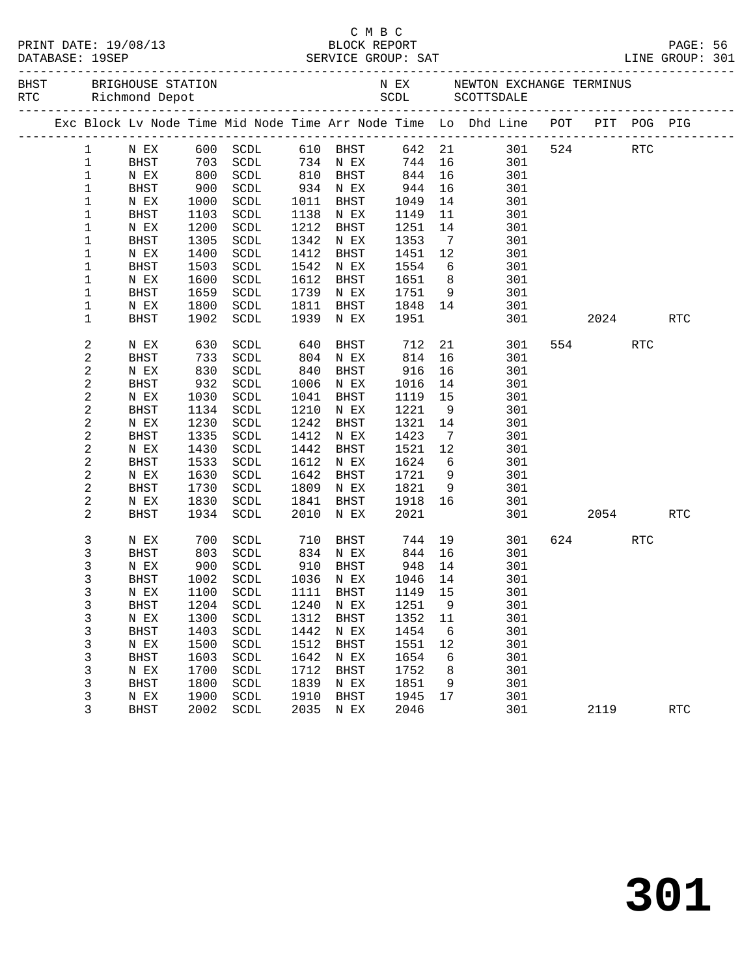|                  |             |      |                                  |      |             |                          |                |                                                                                |        |            | PAGE: 56<br>LINE GROUP: 301 |  |
|------------------|-------------|------|----------------------------------|------|-------------|--------------------------|----------------|--------------------------------------------------------------------------------|--------|------------|-----------------------------|--|
|                  |             |      |                                  |      |             |                          |                |                                                                                |        |            |                             |  |
|                  |             |      |                                  |      |             |                          |                | Exc Block Lv Node Time Mid Node Time Arr Node Time Lo Dhd Line POT PIT POG PIG |        |            |                             |  |
| $\mathbf{1}$     | N EX        |      | 600 SCDL                         |      | 610 BHST    |                          |                | 642 21 301 524 RTC                                                             |        |            |                             |  |
| $\mathbf 1$      | BHST        | 703  | SCDL                             |      | 734 N EX    | 744 16                   |                | 301                                                                            |        |            |                             |  |
| $\mathbf 1$      | N EX        | 800  | SCDL                             |      | 810 BHST    | 844                      | 16             | 301                                                                            |        |            |                             |  |
| $\mathbf 1$      | BHST        | 900  | SCDL                             |      | 934 N EX    | 944                      | 16             | 301                                                                            |        |            |                             |  |
| $\mathbf 1$      | N EX        | 1000 | SCDL                             |      | 1011 BHST   | 1049                     | 14             | 301                                                                            |        |            |                             |  |
| 1                | BHST        | 1103 | SCDL                             |      | 1138 N EX   | 1149                     | 11             | 301                                                                            |        |            |                             |  |
| $\mathbf 1$      | N EX        | 1200 | SCDL                             |      | 1212 BHST   | 1251                     | 14             | 301                                                                            |        |            |                             |  |
| 1                | BHST        | 1305 | SCDL                             | 1342 | N EX        | 1353                     | 7              | 301                                                                            |        |            |                             |  |
| $\mathbf 1$      | N EX        | 1400 | SCDL                             |      | 1412 BHST   | 1451                     | 12             | 301                                                                            |        |            |                             |  |
| 1                | BHST        | 1503 | SCDL                             |      | 1542 N EX   | 1554                     | 6              | 301                                                                            |        |            |                             |  |
| $\mathbf 1$      | N EX        | 1600 | SCDL                             |      | 1612 BHST   | 1651                     | 8 <sup>8</sup> | 301                                                                            |        |            |                             |  |
| 1                | BHST        | 1659 | SCDL                             | 1739 | N EX        | 1751                     | 9              | 301                                                                            |        |            |                             |  |
| 1                | N EX        | 1800 | SCDL                             | 1811 | BHST        | 1848                     | 14             | 301                                                                            |        |            |                             |  |
| $\mathbf 1$      | BHST        | 1902 | SCDL                             |      | 1939 N EX   | 1951                     |                | 301                                                                            | 2024   |            | <b>RTC</b>                  |  |
| 2                | N EX        | 630  | SCDL                             | 640  | BHST        | 712                      | 21             | 301                                                                            | 554 75 | <b>RTC</b> |                             |  |
| 2                | BHST        | 733  | SCDL                             |      | 804 N EX    | 814                      | 16             | 301                                                                            |        |            |                             |  |
| $\overline{c}$   | N EX        | 830  | SCDL                             | 840  | BHST        | 916                      | 16             | 301                                                                            |        |            |                             |  |
| $\overline{c}$   | BHST        | 932  | SCDL                             | 1006 | N EX        | 1016                     | 14             | 301                                                                            |        |            |                             |  |
| 2                | N EX        | 1030 | SCDL                             | 1041 | BHST        | 1119                     | 15             | 301                                                                            |        |            |                             |  |
| $\boldsymbol{2}$ | BHST        | 1134 | SCDL                             | 1210 | N EX        | 1221                     | $\overline{9}$ | 301                                                                            |        |            |                             |  |
| $\overline{c}$   | N EX        | 1230 | SCDL                             | 1242 | BHST        | 1321                     | 14             | 301                                                                            |        |            |                             |  |
| 2                | BHST        | 1335 | SCDL                             | 1412 | N EX        | 1423                     | $\overline{7}$ | 301                                                                            |        |            |                             |  |
| 2                | N EX        | 1430 | SCDL                             | 1442 | BHST        | 1521                     | 12             | 301                                                                            |        |            |                             |  |
| 2                | BHST        | 1533 | SCDL                             | 1612 | N EX        | 1624                     | 6              | 301                                                                            |        |            |                             |  |
| $\overline{c}$   | N EX        | 1630 | SCDL                             | 1642 | BHST        | 1721                     | 9              | 301                                                                            |        |            |                             |  |
| 2                | BHST        | 1730 | SCDL                             | 1809 | N EX        | 1821                     | 9              | 301                                                                            |        |            |                             |  |
| 2                | N EX        | 1830 | SCDL                             | 1841 | BHST        | 1918                     | 16             | 301                                                                            |        |            |                             |  |
| 2                | <b>BHST</b> | 1934 | SCDL                             | 2010 | N EX        | 2021                     |                | 301 000                                                                        | 2054   |            | <b>RTC</b>                  |  |
| 3                | N EX        | 700  | SCDL                             | 710  | BHST        |                          |                | 744 19<br>301                                                                  | 624    | <b>RTC</b> |                             |  |
| 3                | BHST        | 803  | SCDL                             |      | 834 N EX    | 844 16<br>$5 + 4$<br>948 |                | 301                                                                            |        |            |                             |  |
| 3                | N EX        | 900  | SCDL                             |      | 910 BHST    |                          | 14             | 301                                                                            |        |            |                             |  |
| 3                | BHST        | 1002 | SCDL                             |      | 1036 N EX   | 1046 14                  |                | 301                                                                            |        |            |                             |  |
|                  |             |      | N EX 1100 SCDL 1111 BHST 1149 15 |      |             |                          |                | 301                                                                            |        |            |                             |  |
| 3                | BHST        | 1204 | SCDL                             | 1240 | N EX        | 1251                     | 9              | 301                                                                            |        |            |                             |  |
| 3                | N EX        | 1300 | SCDL                             | 1312 | <b>BHST</b> | 1352                     | 11             | 301                                                                            |        |            |                             |  |
| 3                | <b>BHST</b> | 1403 | SCDL                             | 1442 | N EX        | 1454                     | 6              | 301                                                                            |        |            |                             |  |
| 3                | N EX        | 1500 | SCDL                             | 1512 | <b>BHST</b> | 1551                     | 12             | 301                                                                            |        |            |                             |  |
| 3                | <b>BHST</b> | 1603 | $\operatorname{SCDL}$            | 1642 | N EX        | 1654                     | 6              | 301                                                                            |        |            |                             |  |
| 3                | N EX        | 1700 | SCDL                             | 1712 | <b>BHST</b> | 1752                     | 8              | 301                                                                            |        |            |                             |  |
| 3                | <b>BHST</b> | 1800 | SCDL                             | 1839 | N EX        | 1851                     | 9              | 301                                                                            |        |            |                             |  |
| 3                | N EX        | 1900 | SCDL                             | 1910 | BHST        | 1945                     | 17             | 301                                                                            |        |            |                             |  |
| 3                | BHST        | 2002 | SCDL                             | 2035 | N EX        | 2046                     |                | 301                                                                            | 2119   |            | <b>RTC</b>                  |  |

C M B C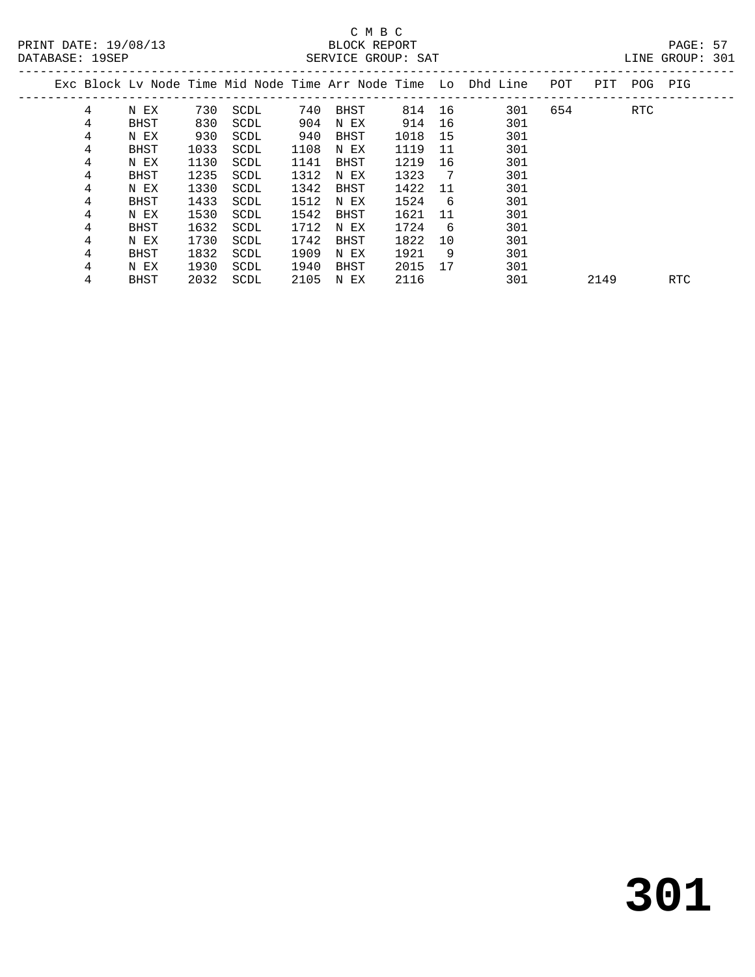### C M B C<br>BLOCK REPORT SERVICE GROUP: SAT

|  |   |             |      |      |      |      |      |     | Exc Block Ly Node Time Mid Node Time Arr Node Time Lo Dhd Line | POT | PIT | POG PIG    |  |
|--|---|-------------|------|------|------|------|------|-----|----------------------------------------------------------------|-----|-----|------------|--|
|  | 4 | N EX        | 730  | SCDL | 740  | BHST | 814  | 16  | 301                                                            | 654 |     | <b>RTC</b> |  |
|  | 4 | BHST        | 830  | SCDL | 904  | N EX | 914  | 16  | 301                                                            |     |     |            |  |
|  | 4 | N EX        | 930  | SCDL | 940  | BHST | 1018 | 15  | 301                                                            |     |     |            |  |
|  | 4 | BHST        | 1033 | SCDL | 1108 | N EX | 1119 | 11  | 301                                                            |     |     |            |  |
|  | 4 | N EX        | 1130 | SCDL | 1141 | BHST | 1219 | 16  | 301                                                            |     |     |            |  |
|  | 4 | BHST        | 1235 | SCDL | 1312 | N EX | 1323 | - 7 | 301                                                            |     |     |            |  |
|  | 4 | N EX        | 1330 | SCDL | 1342 | BHST | 1422 | 11  | 301                                                            |     |     |            |  |
|  | 4 | BHST        | 1433 | SCDL | 1512 | N EX | 1524 | 6   | 301                                                            |     |     |            |  |
|  | 4 | N EX        | 1530 | SCDL | 1542 | BHST | 1621 | -11 | 301                                                            |     |     |            |  |
|  | 4 | <b>BHST</b> | 1632 | SCDL | 1712 | N EX | 1724 | 6   | 301                                                            |     |     |            |  |
|  | 4 | N EX        | 1730 | SCDL | 1742 | BHST | 1822 | 10  | 301                                                            |     |     |            |  |
|  | 4 | <b>BHST</b> | 1832 | SCDL | 1909 | N EX | 1921 | 9   | 301                                                            |     |     |            |  |
|  | 4 | N EX        | 1930 | SCDL | 1940 | BHST | 2015 | 17  | 301                                                            |     |     |            |  |
|  |   |             |      |      |      |      |      |     |                                                                |     |     |            |  |

4 BHST 2032 SCDL 2105 N EX 2116 301 2149 RTC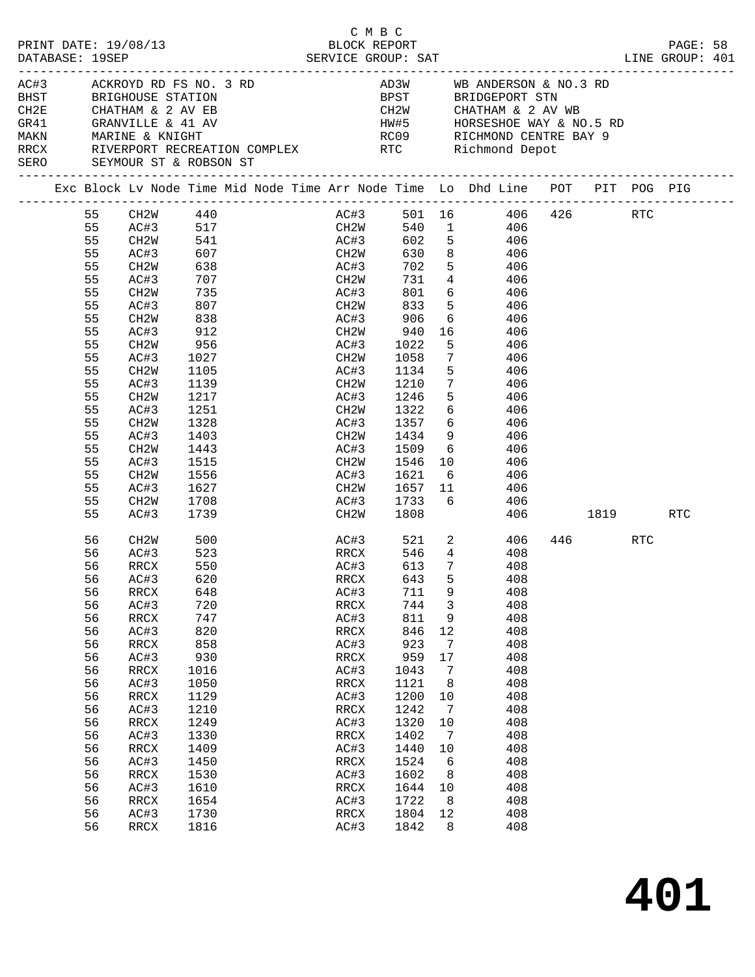| PRINT DATE: 19/08/13<br>DATABASE: 19SEP<br>AC#3 ACKROYD RD FS NO. 3 RD |                                                                                                                                                                                                                            |                                                                                                                                                                                                                                                                                                                                                        |                                                                                                                                                                                                                                                    |  |  | C M B C                                                                                                                                           | BLOCK REPORT                                                                                                                                                                                                                                                                                                       |                                                          |                                                                        |                                                                                                                                                                                                                                                                                                                                                                                                                                                                                                 |         | PAGE: 58 |  |
|------------------------------------------------------------------------|----------------------------------------------------------------------------------------------------------------------------------------------------------------------------------------------------------------------------|--------------------------------------------------------------------------------------------------------------------------------------------------------------------------------------------------------------------------------------------------------------------------------------------------------------------------------------------------------|----------------------------------------------------------------------------------------------------------------------------------------------------------------------------------------------------------------------------------------------------|--|--|---------------------------------------------------------------------------------------------------------------------------------------------------|--------------------------------------------------------------------------------------------------------------------------------------------------------------------------------------------------------------------------------------------------------------------------------------------------------------------|----------------------------------------------------------|------------------------------------------------------------------------|-------------------------------------------------------------------------------------------------------------------------------------------------------------------------------------------------------------------------------------------------------------------------------------------------------------------------------------------------------------------------------------------------------------------------------------------------------------------------------------------------|---------|----------|--|
|                                                                        |                                                                                                                                                                                                                            | BHST BRIGHOUSE STATION<br>SERO SEYMOUR ST & ROBSON ST                                                                                                                                                                                                                                                                                                  |                                                                                                                                                                                                                                                    |  |  |                                                                                                                                                   |                                                                                                                                                                                                                                                                                                                    |                                                          |                                                                        | AD3W WB ANDERSON & NO.3 RD<br>BPST BRIDGEPORT STN<br>CH2W        CHATHAM & 2 AV WB<br>HW#5       HORSESHOE WAY & NO.5 RD<br>RC09       RICHMOND CENTRE BAY 9<br>RRCX RIVERPORT RECREATION COMPLEX RTC Richmond Depot                                                                                                                                                                                                                                                                            |         |          |  |
|                                                                        |                                                                                                                                                                                                                            |                                                                                                                                                                                                                                                                                                                                                        |                                                                                                                                                                                                                                                    |  |  |                                                                                                                                                   |                                                                                                                                                                                                                                                                                                                    |                                                          |                                                                        | Exc Block Lv Node Time Mid Node Time Arr Node Time Lo Dhd Line POT PIT POG PIG                                                                                                                                                                                                                                                                                                                                                                                                                  |         |          |  |
|                                                                        | 55<br>55<br>55<br>55<br>55<br>55<br>55<br>55<br>55<br>55<br>55<br>55<br>55<br>55<br>55<br>55<br>55<br>55<br>55<br>55<br>55<br>55<br>55<br>55<br>56<br>56<br>56<br>56<br>56<br>56<br>56<br>56<br>56<br>56<br>56<br>56<br>56 | CH2W 440<br>-----:<br>AC#3 517<br>CH2W 541<br>AC#3 607<br>CH2W<br>AC#3<br>CH2W<br>AC#3<br>CH2W<br>AC#3<br>CH2W<br>AC#3<br>CH2W<br>AC#3<br>CH2W<br>AC#3<br>CH2W<br>AC#3<br>CH2W<br>AC#3<br>CH2W<br>AC#3<br>CH2W<br>AC#3<br>CH2W<br>AC#3<br>RRCX<br>AC#3 620<br>RRCX<br>AC#3<br>$\mathop{\mathrm{RRCX}}$<br>AC#3<br>RRCX<br>AC#3<br>RRCX<br>AC#3<br>RRCX | 638<br>707<br>735<br>807<br>838<br>912<br>956<br>1027<br>1105<br>$113 >$<br>$1217$<br>$251$<br>1328<br>1403<br>1443<br>1515<br>1556<br>1627<br>1708<br>1739<br>500<br>523<br>550<br>648<br>720<br>747<br>820<br>858<br>930<br>1016<br>1050<br>1129 |  |  | CH <sub>2</sub> W<br>AC#3<br>AC#3<br>CH2W<br>AC#3<br>CH2W<br>AC#3<br>AC#3<br>AC#3<br>RRCX<br>AC#3<br>RRCX<br>AC#3<br>RRCX<br>AC#3<br>RRCX<br>AC#3 | 702<br>$CH2W$ 833<br>906<br>940<br>1022<br>CH2W 1058<br>AC#3 1134<br>1210<br>1246<br>CH2W 1322<br>AC#3 1357 6<br>CH2W 1434<br>1509<br>CH2W 1546<br>AC#3 1621<br>CH2W 1657 11<br>AC#3 1733 6<br>CH2W 1808<br>RRCX 546 4<br>AC#3 613 7<br>RRCX 643<br>711<br>744<br>811<br>846<br>923<br>959<br>1043<br>1121<br>1200 | 12<br>17<br>$\overline{7}$<br>10                         | 5 <sub>5</sub><br>5 <sub>5</sub><br>9<br>$\overline{3}$<br>9<br>7<br>8 | AC#3 501 16 406 426 RTC<br>$540$ 1 406<br>406<br>630 8 406<br>5 406<br>CH2W 731 4 406<br>AC#3 801 6 406<br>$5 \overline{406}$<br>6 406<br>16 406<br>406<br>7 406<br>5 406<br>7 406<br>406<br>$\overline{6}$ $\overline{406}$<br>406<br>$9 \left( \frac{1}{2} \right)$<br>406<br>$\begin{array}{ccc} 6 & 406 \\ 10 & 406 \end{array}$<br>6 <sup>6</sup><br>406<br>406<br>406<br>406 1819<br>AC#3 521 2 406<br>408<br>408<br>5 408<br>408<br>408<br>408<br>408<br>408<br>408<br>408<br>408<br>408 | 446 RTC | RTC      |  |
|                                                                        | 56<br>56<br>56<br>56<br>56<br>56<br>56<br>56<br>56<br>56                                                                                                                                                                   | AC#3<br>RRCX<br>AC#3<br>RRCX<br>AC#3<br>RRCX<br>AC#3<br>RRCX<br>AC#3<br>RRCX                                                                                                                                                                                                                                                                           | 1210<br>1249<br>1330<br>1409<br>1450<br>1530<br>1610<br>1654<br>1730<br>1816                                                                                                                                                                       |  |  | RRCX<br>AC#3<br>RRCX<br>AC#3<br>RRCX<br>AC#3<br>RRCX<br>AC#3<br>RRCX<br>AC#3                                                                      | 1242<br>1320<br>1402<br>1440<br>1524<br>1602<br>1644<br>1722<br>1804<br>1842                                                                                                                                                                                                                                       | $\overline{7}$<br>10<br>$\overline{7}$<br>10<br>10<br>12 | 6<br>8<br>8<br>8                                                       | 408<br>408<br>408<br>408<br>408<br>408<br>408<br>408<br>408<br>408                                                                                                                                                                                                                                                                                                                                                                                                                              |         |          |  |

**401**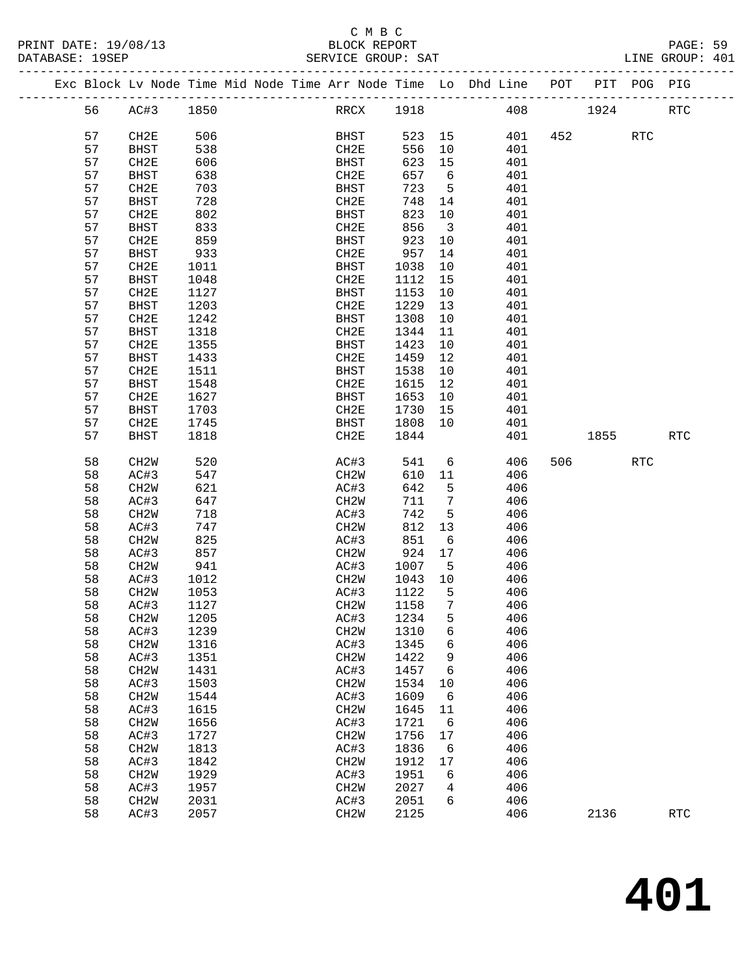#### C M B C<br>BLOCK REPORT DATABASE: 19SEP SERVICE GROUP: SAT LINE GROUP: 401

#### ------------------------------------------------------------------------------------------------- Exc Block Lv Node Time Mid Node Time Arr Node Time Lo Dhd Line POT PIT POG PIG ------------------------------------------------------------------------------------------------- 56 AC#3 1850 RRCX 1918 408 1924 RTC 57 CH2E 506 BHST 523 15 401 452 RTC 57 BHST 538 CH2E 556 10 401 57 CH2E 606 BHST 623 15 401 57 BHST 638 CH2E 657 6 401 57 CH2E 703 BHST 723 5 401 57 BHST 728 CH2E 748 14 401 57 CH2E 802 BHST 823 10 401 57 BHST 833 CH2E 856 3 401 57 CH2E 859 BHST 923 10 401 57 BHST 933 CH2E 957 14 401 57 CH2E 1011 BHST 1038 10 401 57 BHST 1048 CH2E 1112 15 401 57 CH2E 1127 BHST 1153 10 401 57 BHST 1203 CH2E 1229 13 401 57 CH2E 1242 BHST 1308 10 401 57 BHST 1318 CH2E 1344 11 401 57 CH2E 1355 BHST 1423 10 401 57 BHST 1433 CH2E 1459 12 401 57 CH2E 1511 BHST 1538 10 401 57 BHST 1548 CH2E 1615 12 401 57 CH2E 1627 BHST 1653 10 401 57 BHST 1703 CH2E 1730 15 401  $\begin{tabular}{@{}c@{}}57 & BHST & 538 & CH2E & 556 & 10 & 401 \\ 57 & BHST & 638 & BHST & 623 & 15 & 401 \\ 57 & BHST & 703 & BHST & 723 & 5 & 401 \\ 57 & THST & 703 & BHST & 723 & 5 & 401 \\ 57 & THST & 833 & CH2E & 748 & 14 & 401 \\ 57 & THST & 833 & CH2E & 859 & 310 & 401 \\ 57 & THST & 933 & CH2E & 857 & 14$  57 BHST 1818 CH2E 1844 401 1855 RTC 58 CH2W 520 AC#3 541 6 406 506 RTC 58 AC#3 547 CH2W 610 11 406 58 CH2W 621 AC#3 642 5 406 58 AC#3 647 CH2W 711 7 406 58 CH2W 718 AC#3 742 5 406 58 AC#3 747 CH2W 812 13 406 58 CH2W 825 AC#3 851 6 406 58 AC#3 857 CH2W 924 17 406 58 CH2W 941 AC#3 1007 5 406 58 AC#3 1012 CH2W 1043 10 406 58 CH2W 1053 AC#3 1122 5 406 58 AC#3 1127 CH2W 1158 7 406 58 CH2W 1205 AC#3 1234 5 406 58 AC#3 1239 CH2W 1310 6 406 58 CH2W 1316 AC#3 1345 6 406 58 AC#3 1351 CH2W 1422 9 406 58 CH2W 1431 AC#3 1457 6 406 58 AC#3 1503 CH2W 1534 10 406 58 CH2W 1544 AC#3 1609 6 406 58 AC#3 1615 CH2W 1645 11 406 58 CH2W 1656 AC#3 1721 6 406 58 AC#3 1727 CH2W 1756 17 406 58 CH2W 1813 AC#3 1836 6 406 58 AC#3 1842 CH2W 1912 17 406 58 CH2W 1929 AC#3 1951 6 406

 58 AC#3 1957 CH2W 2027 4 406 58 CH2W 2031 AC#3 2051 6 406

58 AC#3 2057 CH2W 2125 406 2136 RTC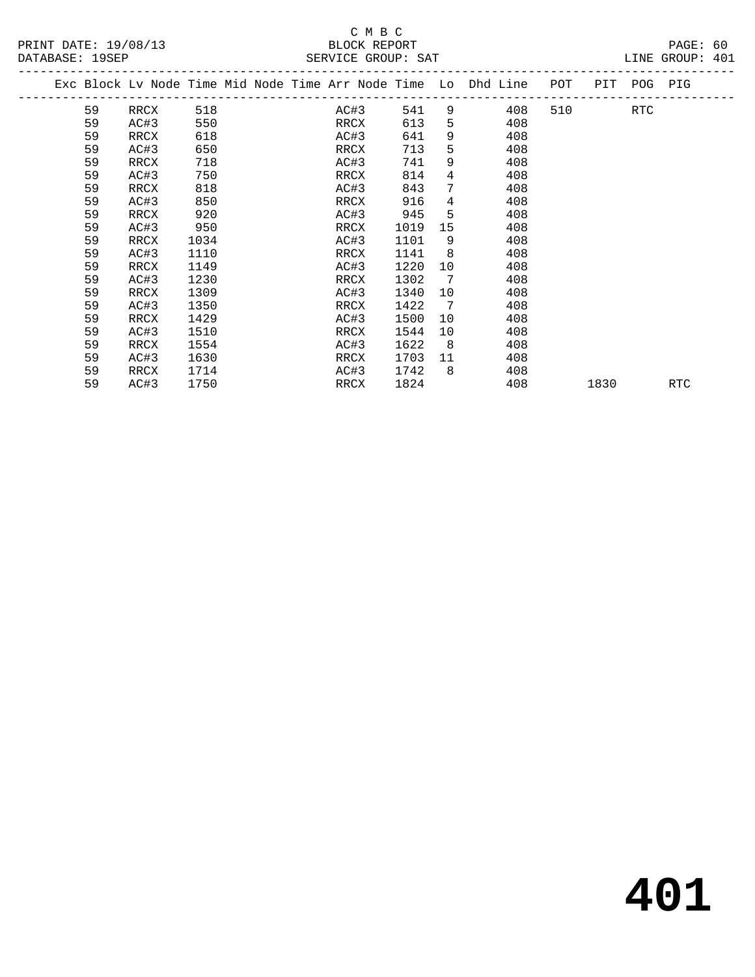|    |      |      | Exc Block Lv Node Time Mid Node Time Arr Node Time Lo Dhd Line |      |                 |                                       | POT |      | PIT POG PIG |     |  |
|----|------|------|----------------------------------------------------------------|------|-----------------|---------------------------------------|-----|------|-------------|-----|--|
| 59 | RRCX | 518  | AC#3                                                           | 541  |                 | $9 \left( \frac{1}{2} \right)$<br>408 | 510 |      | RTC         |     |  |
| 59 | AC#3 | 550  | RRCX                                                           | 613  | 5               | 408                                   |     |      |             |     |  |
| 59 | RRCX | 618  | AC#3                                                           | 641  | 9               | 408                                   |     |      |             |     |  |
| 59 | AC#3 | 650  | RRCX                                                           | 713  | 5               | 408                                   |     |      |             |     |  |
| 59 | RRCX | 718  | AC#3                                                           | 741  | 9               | 408                                   |     |      |             |     |  |
| 59 | AC#3 | 750  | RRCX                                                           | 814  | 4               | 408                                   |     |      |             |     |  |
| 59 | RRCX | 818  | AC#3                                                           | 843  | 7               | 408                                   |     |      |             |     |  |
| 59 | AC#3 | 850  | RRCX                                                           | 916  | 4               | 408                                   |     |      |             |     |  |
| 59 | RRCX | 920  | AC#3                                                           | 945  | 5               | 408                                   |     |      |             |     |  |
| 59 | AC#3 | 950  | RRCX                                                           | 1019 | 15              | 408                                   |     |      |             |     |  |
| 59 | RRCX | 1034 | AC#3                                                           | 1101 | 9               | 408                                   |     |      |             |     |  |
| 59 | AC#3 | 1110 | RRCX                                                           | 1141 | 8               | 408                                   |     |      |             |     |  |
| 59 | RRCX | 1149 | AC#3                                                           | 1220 | 10              | 408                                   |     |      |             |     |  |
| 59 | AC#3 | 1230 | RRCX                                                           | 1302 | 7               | 408                                   |     |      |             |     |  |
| 59 | RRCX | 1309 | AC#3                                                           | 1340 | 10              | 408                                   |     |      |             |     |  |
| 59 | AC#3 | 1350 | RRCX                                                           | 1422 | $7\overline{ }$ | 408                                   |     |      |             |     |  |
| 59 | RRCX | 1429 | AC#3                                                           | 1500 | 10              | 408                                   |     |      |             |     |  |
| 59 | AC#3 | 1510 | RRCX                                                           | 1544 | 10              | 408                                   |     |      |             |     |  |
| 59 | RRCX | 1554 | AC#3                                                           | 1622 | 8               | 408                                   |     |      |             |     |  |
| 59 | AC#3 | 1630 | RRCX                                                           | 1703 | 11              | 408                                   |     |      |             |     |  |
| 59 | RRCX | 1714 | AC#3                                                           | 1742 | 8               | 408                                   |     |      |             |     |  |
| 59 | AC#3 | 1750 | RRCX                                                           | 1824 |                 | 408                                   |     | 1830 |             | RTC |  |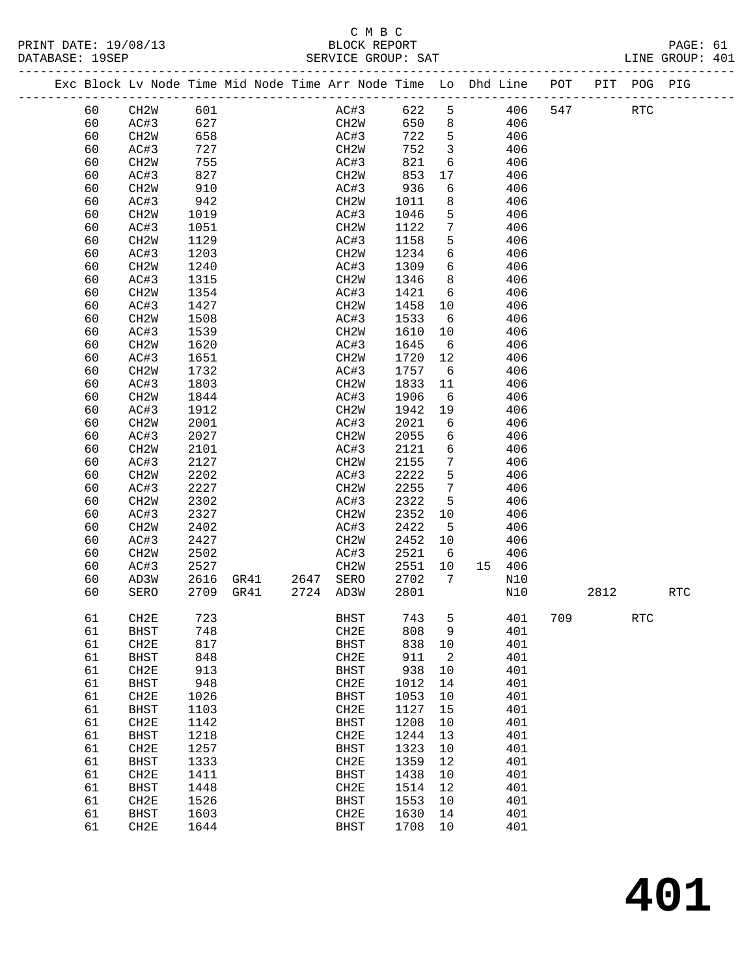## C M B C<br>BLOCK REPORT

|  |    | PRINT DAIE: 19700713<br>DATABASE: 19SEP                                        |      |           |                |                   | DUVUN NEPUNI | SERVICE GROUP: SAT |                         |        |         |      |                      | FAGE. OI<br>LINE GROUP: 401 |
|--|----|--------------------------------------------------------------------------------|------|-----------|----------------|-------------------|--------------|--------------------|-------------------------|--------|---------|------|----------------------|-----------------------------|
|  |    | Exc Block Lv Node Time Mid Node Time Arr Node Time Lo Dhd Line POT PIT POG PIG |      |           |                |                   |              |                    |                         |        |         |      |                      |                             |
|  | 60 | CH2W                                                                           | 601  |           |                |                   | AC#3         | 622                | 5                       |        | 406 547 |      | <b>RTC</b>           |                             |
|  | 60 | AC#3                                                                           | 627  |           |                |                   | CH2W         |                    | 650 8                   | 406    |         |      |                      |                             |
|  | 60 | CH2W                                                                           | 658  |           |                | AC#3              |              | 722                | $5^{\circ}$             | 406    |         |      |                      |                             |
|  | 60 | AC#3                                                                           | 727  |           |                | CH2W              |              | 752                | $\overline{\mathbf{3}}$ | 406    |         |      |                      |                             |
|  | 60 | CH2W                                                                           | 755  |           |                | AC#3              |              | 821                | 6                       | 406    |         |      |                      |                             |
|  | 60 | AC#3                                                                           | 827  |           |                | CH2W              |              | 853                | 17                      | 406    |         |      |                      |                             |
|  | 60 | CH2W                                                                           | 910  |           |                | AC#3              |              | 936                | 6                       | 406    |         |      |                      |                             |
|  | 60 | AC#3                                                                           | 942  |           |                | CH2W              |              | 1011               | 8                       | 406    |         |      |                      |                             |
|  | 60 | CH2W                                                                           | 1019 |           |                | AC#3              |              | 1046               | 5                       | 406    |         |      |                      |                             |
|  | 60 | AC#3                                                                           | 1051 |           |                | CH <sub>2</sub> W |              | 1122               | $7\overline{ }$         | 406    |         |      |                      |                             |
|  | 60 | CH <sub>2</sub> W                                                              | 1129 |           |                | AC#3              |              | 1158               | 5                       | 406    |         |      |                      |                             |
|  | 60 | AC#3                                                                           | 1203 |           |                | CH <sub>2</sub> W |              | 1234               | 6                       | 406    |         |      |                      |                             |
|  | 60 | CH <sub>2</sub> W                                                              | 1240 |           |                | AC#3              |              | 1309               | 6                       | 406    |         |      |                      |                             |
|  | 60 | AC#3                                                                           | 1315 |           |                | CH <sub>2</sub> W |              | 1346               | 8                       | 406    |         |      |                      |                             |
|  | 60 | CH <sub>2</sub> W                                                              | 1354 |           |                | AC#3              |              | 1421               | 6                       | 406    |         |      |                      |                             |
|  | 60 | AC#3                                                                           | 1427 |           |                | CH <sub>2</sub> W |              | 1458               | 10                      | 406    |         |      |                      |                             |
|  | 60 | CH <sub>2</sub> W                                                              | 1508 |           |                | AC#3              |              | 1533               | 6                       | 406    |         |      |                      |                             |
|  | 60 | AC#3                                                                           | 1539 |           |                | CH <sub>2</sub> W |              | 1610               | 10                      | 406    |         |      |                      |                             |
|  | 60 | CH2W                                                                           | 1620 |           |                | AC#3              |              | 1645               | 6                       | 406    |         |      |                      |                             |
|  | 60 | AC#3                                                                           | 1651 |           |                | CH2W              |              | 1720               | 12                      | 406    |         |      |                      |                             |
|  | 60 | CH <sub>2</sub> W                                                              | 1732 |           |                | AC#3              |              | 1757               | 6                       | 406    |         |      |                      |                             |
|  | 60 | AC#3                                                                           | 1803 |           |                | CH2W              |              | 1833               | 11                      | 406    |         |      |                      |                             |
|  | 60 | CH <sub>2</sub> W                                                              | 1844 |           |                | AC#3              |              | 1906               | 6                       | 406    |         |      |                      |                             |
|  | 60 | AC#3                                                                           | 1912 |           |                | CH2W              |              | 1942               | 19                      | 406    |         |      |                      |                             |
|  | 60 | CH <sub>2</sub> W                                                              | 2001 |           |                | AC#3              |              | 2021               | 6                       | 406    |         |      |                      |                             |
|  | 60 | AC#3                                                                           | 2027 |           |                | CH2W              |              | 2055               | 6                       | 406    |         |      |                      |                             |
|  | 60 | CH2W                                                                           | 2101 |           |                | AC#3              |              | 2121               | 6                       | 406    |         |      |                      |                             |
|  | 60 | AC#3                                                                           | 2127 |           |                | CH2W              |              | 2155               | $7\phantom{.0}$         | 406    |         |      |                      |                             |
|  | 60 | CH <sub>2</sub> W                                                              | 2202 |           |                | AC#3              |              | 2222               | 5                       | 406    |         |      |                      |                             |
|  | 60 | AC#3                                                                           | 2227 |           |                | CH2W              |              | 2255               | $7\phantom{.0}$         | 406    |         |      |                      |                             |
|  | 60 | CH2W                                                                           | 2302 |           |                | AC#3              |              | 2322               | 5                       | 406    |         |      |                      |                             |
|  | 60 | AC#3                                                                           | 2327 |           |                | CH2W              |              | 2352               | 10                      | 406    |         |      |                      |                             |
|  | 60 | CH <sub>2</sub> W                                                              | 2402 |           |                | AC#3              |              | 2422               | 5                       | 406    |         |      |                      |                             |
|  | 60 | AC#3                                                                           | 2427 |           |                | CH2W              |              | 2452               | 10                      | 406    |         |      |                      |                             |
|  | 60 | CH2W                                                                           | 2502 |           |                | AC#3              |              | 2521               | - 6                     | 406    |         |      |                      |                             |
|  | 60 | AC#3                                                                           | 2527 |           |                | CH2W              |              | 2551               | 10                      | 15 406 |         |      |                      |                             |
|  | 60 | AD3W                                                                           | 2616 |           | GR41 2647 SERO |                   |              | 2702               | $7\phantom{.0}$         | N10    |         |      |                      |                             |
|  | 60 | SERO                                                                           |      | 2709 GR41 | 2724 AD3W      |                   |              | 2801               |                         | N10    |         | 2812 |                      | <b>RTC</b>                  |
|  |    |                                                                                |      |           |                |                   |              |                    |                         |        |         |      |                      |                             |
|  | 61 | CH2E                                                                           | 723  |           |                | BHST              |              | 743                | 5                       | 401    | 709     |      | $\operatorname{RTC}$ |                             |
|  | 61 | <b>BHST</b>                                                                    | 748  |           |                | CH2E              |              | 808                | 9                       | 401    |         |      |                      |                             |
|  | 61 | CH2E                                                                           | 817  |           |                | <b>BHST</b>       |              | 838                | 10                      | 401    |         |      |                      |                             |
|  | 61 | <b>BHST</b>                                                                    | 848  |           |                | CH2E              |              | 911                | $\overline{c}$          | 401    |         |      |                      |                             |
|  | 61 | CH2E                                                                           | 913  |           |                | <b>BHST</b>       |              | 938                | 10                      | 401    |         |      |                      |                             |
|  | 61 | <b>BHST</b>                                                                    | 948  |           |                | CH2E              |              | 1012               | 14                      | 401    |         |      |                      |                             |
|  | 61 | CH2E                                                                           | 1026 |           |                | <b>BHST</b>       |              | 1053               | $10$                    | 401    |         |      |                      |                             |
|  | 61 | <b>BHST</b>                                                                    | 1103 |           |                | CH2E              |              | 1127               | 15                      | 401    |         |      |                      |                             |
|  | 61 | CH2E                                                                           | 1142 |           |                | <b>BHST</b>       |              | 1208               | 10                      | 401    |         |      |                      |                             |
|  | 61 | <b>BHST</b>                                                                    | 1218 |           |                | CH2E              |              | 1244               | 13                      | 401    |         |      |                      |                             |
|  | 61 | CH2E                                                                           | 1257 |           |                | <b>BHST</b>       |              | 1323               | 10                      | 401    |         |      |                      |                             |
|  | 61 | <b>BHST</b>                                                                    | 1333 |           |                | CH2E              |              | 1359               | 12                      | 401    |         |      |                      |                             |
|  | 61 | CH2E                                                                           | 1411 |           |                | <b>BHST</b>       |              | 1438               | 10                      | 401    |         |      |                      |                             |
|  | 61 | <b>BHST</b>                                                                    | 1448 |           |                | CH2E              |              | 1514               | 12                      | 401    |         |      |                      |                             |
|  | 61 | CH2E                                                                           | 1526 |           |                | <b>BHST</b>       |              | 1553               | 10                      | 401    |         |      |                      |                             |
|  | 61 | $_{\rm BHST}$                                                                  | 1603 |           |                | CH2E              |              | 1630               | 14                      | 401    |         |      |                      |                             |
|  |    |                                                                                |      |           |                |                   |              |                    |                         |        |         |      |                      |                             |

61 CH2E 1644 BHST 1708 10 401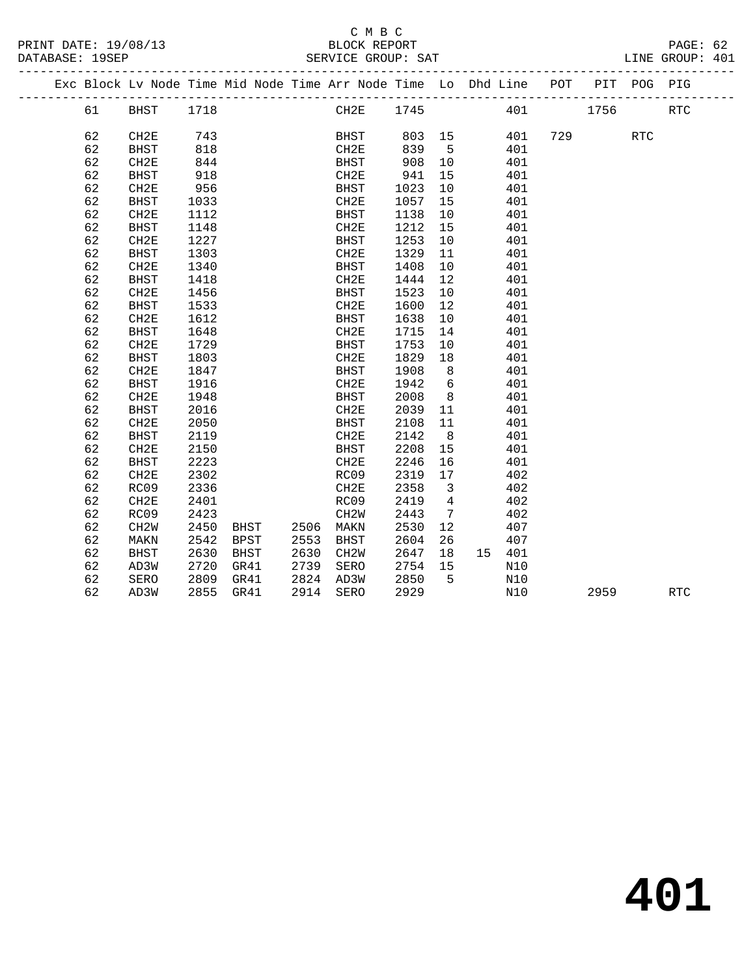## C M B C

|  |  | ת ת |
|--|--|-----|

|  | DATABASE: 19SEP | --------------------------                                                     |           |      |                |                   | SERVICE GROUP: SAT |                         |        | -------------------------------------- |      |     | LINE GROUP: 401 |  |
|--|-----------------|--------------------------------------------------------------------------------|-----------|------|----------------|-------------------|--------------------|-------------------------|--------|----------------------------------------|------|-----|-----------------|--|
|  |                 | Exc Block Lv Node Time Mid Node Time Arr Node Time Lo Dhd Line POT PIT POG PIG |           |      |                |                   |                    |                         |        |                                        |      |     |                 |  |
|  | 61              | <b>BHST</b>                                                                    | 1718      |      |                |                   | CH2E 1745          |                         |        | 401 1756                               |      |     | RTC             |  |
|  | 62              | CH2E                                                                           | 743       |      |                |                   | BHST 803 15        |                         | 401    |                                        | 729  | RTC |                 |  |
|  | 62              | BHST                                                                           | 818       |      |                | CH2E              | 839 5              |                         | 401    |                                        |      |     |                 |  |
|  | 62              | CH2E                                                                           | 844       |      |                | BHST              | 908                | 10                      | 401    |                                        |      |     |                 |  |
|  | 62              | <b>BHST</b>                                                                    | 918       |      |                | CH2E              | 941                | 15                      | 401    |                                        |      |     |                 |  |
|  | 62              | CH2E                                                                           | 956       |      |                | BHST              | 1023               | 10                      | 401    |                                        |      |     |                 |  |
|  | 62              | BHST                                                                           | 1033      |      |                | CH2E              | 1057               | 15                      | 401    |                                        |      |     |                 |  |
|  | 62              | CH2E                                                                           | 1112      |      |                | BHST              | 1138               | 10                      | 401    |                                        |      |     |                 |  |
|  | 62              | BHST                                                                           | 1148      |      |                | CH2E              | 1212               | 15                      | 401    |                                        |      |     |                 |  |
|  | 62              | CH2E                                                                           | 1227      |      |                | BHST              | 1253               | 10                      | 401    |                                        |      |     |                 |  |
|  | 62              | <b>BHST</b>                                                                    | 1303      |      |                | CH2E              | 1329               | 11                      | 401    |                                        |      |     |                 |  |
|  | 62              | CH2E                                                                           | 1340      |      |                | BHST              | 1408               | 10                      | 401    |                                        |      |     |                 |  |
|  | 62              | <b>BHST</b>                                                                    | 1418      |      |                | CH2E              | 1444               | 12                      | 401    |                                        |      |     |                 |  |
|  | 62              | CH2E                                                                           | 1456      |      |                | <b>BHST</b>       | 1523               | 10                      | 401    |                                        |      |     |                 |  |
|  | 62              | <b>BHST</b>                                                                    | 1533      |      |                | CH2E              | 1600               | 12                      | 401    |                                        |      |     |                 |  |
|  | 62              | CH2E                                                                           | 1612      |      |                | BHST              | 1638               | 10                      | 401    |                                        |      |     |                 |  |
|  | 62              | BHST                                                                           | 1648      |      |                | CH2E              | 1715               | 14                      | 401    |                                        |      |     |                 |  |
|  | 62              | CH2E                                                                           | 1729      |      |                | BHST              | 1753               | $10 \,$                 | 401    |                                        |      |     |                 |  |
|  | 62              | BHST                                                                           | 1803      |      |                | CH2E              | 1829               | 18                      | 401    |                                        |      |     |                 |  |
|  | 62              | CH2E                                                                           | 1847      |      |                | <b>BHST</b>       | 1908               | 8 <sup>8</sup>          | 401    |                                        |      |     |                 |  |
|  | 62              | <b>BHST</b>                                                                    | 1916      |      |                | CH2E              | 1942               | 6                       | 401    |                                        |      |     |                 |  |
|  | 62              | CH2E                                                                           | 1948      |      |                | BHST              | 2008               | 8 <sup>8</sup>          | 401    |                                        |      |     |                 |  |
|  | 62              | <b>BHST</b>                                                                    | 2016      |      |                | CH2E              | 2039               | 11                      | 401    |                                        |      |     |                 |  |
|  | 62              | CH2E                                                                           | 2050      |      |                | BHST              | 2108               | 11                      | 401    |                                        |      |     |                 |  |
|  | 62              | <b>BHST</b>                                                                    | 2119      |      |                | CH2E              | 2142               | 8 <sup>8</sup>          | 401    |                                        |      |     |                 |  |
|  | 62              | CH2E                                                                           | 2150      |      |                | BHST              | 2208               | 15                      | 401    |                                        |      |     |                 |  |
|  | 62              | <b>BHST</b>                                                                    | 2223      |      |                | CH2E              | 2246               | 16                      | 401    |                                        |      |     |                 |  |
|  | 62              | CH2E                                                                           | 2302      |      |                | RC09              | 2319               | 17                      | 402    |                                        |      |     |                 |  |
|  | 62              | RC09                                                                           | 2336      |      |                | CH2E              | 2358               | $\overline{\mathbf{3}}$ | 402    |                                        |      |     |                 |  |
|  | 62              | CH2E                                                                           | 2401      |      |                | RC09              | 2419               | $\overline{4}$          | 402    |                                        |      |     |                 |  |
|  | 62              | RC09                                                                           | 2423      |      |                | CH <sub>2</sub> W | 2443               | $\overline{7}$          | 402    |                                        |      |     |                 |  |
|  | 62              | CH <sub>2</sub> W                                                              | 2450      |      | BHST 2506 MAKN |                   | 2530               | 12                      | 407    |                                        |      |     |                 |  |
|  | 62              | MAKN                                                                           | 2542      | BPST | 2553           | BHST              | 2604               | 26                      | 407    |                                        |      |     |                 |  |
|  | 62              | <b>BHST</b>                                                                    | 2630      | BHST | 2630           | CH2W              | 2647               | 18                      | 15 401 |                                        |      |     |                 |  |
|  | 62              | AD3W                                                                           | 2720      | GR41 | 2739           | SERO              | 2754               | 15                      | N10    |                                        |      |     |                 |  |
|  | 62              | SERO                                                                           | 2809      | GR41 |                | 2824 AD3W         | 2850               | $-5$                    | N10    |                                        |      |     |                 |  |
|  | 62              | AD3W                                                                           | 2855 GR41 |      | 2914 SERO      |                   | 2929               |                         | N10    |                                        | 2959 |     | <b>RTC</b>      |  |
|  |                 |                                                                                |           |      |                |                   |                    |                         |        |                                        |      |     |                 |  |
|  |                 |                                                                                |           |      |                |                   |                    |                         |        |                                        |      |     |                 |  |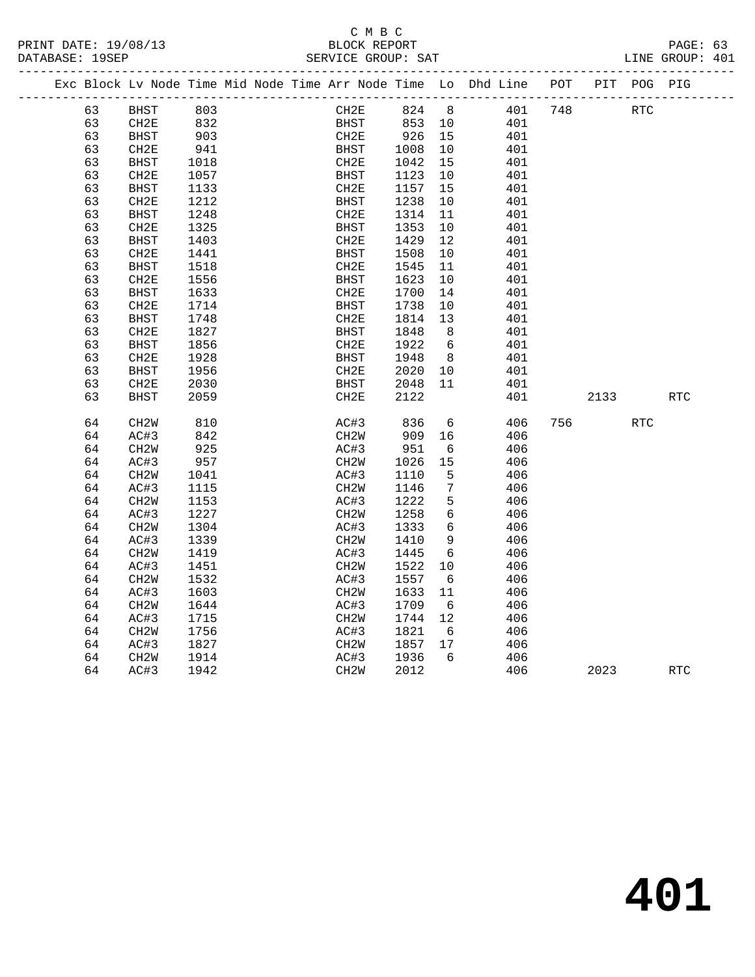#### C M B C<br>BLOCK REPORT SERVICE GROUP: SAT

|  |    | Exc Block Lv Node Time Mid Node Time Arr Node Time Lo Dhd Line POT |            |  |                   |                            |                 |         |         |      | PIT POG PIG |            |
|--|----|--------------------------------------------------------------------|------------|--|-------------------|----------------------------|-----------------|---------|---------|------|-------------|------------|
|  | 63 | BHST                                                               | 803        |  | CH2E              | 824 8                      |                 | 401 748 |         |      | RTC         |            |
|  | 63 | CH2E                                                               | 832<br>903 |  |                   | BHST 853 10<br>CH2E 926 15 |                 | 401     |         |      |             |            |
|  | 63 | BHST                                                               |            |  | CH2E              | 926 15                     |                 | 401     |         |      |             |            |
|  | 63 | CH2E                                                               | 941        |  | BHST              | 1008                       | 10              | 401     |         |      |             |            |
|  | 63 | BHST                                                               | 1018       |  | CH2E              | 1042                       | 15              | 401     |         |      |             |            |
|  | 63 | CH2E                                                               | 1057       |  | BHST              | 1123                       | 10              | 401     |         |      |             |            |
|  | 63 | <b>BHST</b>                                                        | 1133       |  | CH2E              | 1157                       | 15              | 401     |         |      |             |            |
|  | 63 | CH2E                                                               | 1212       |  | BHST              | 1238                       | 10              | 401     |         |      |             |            |
|  | 63 | <b>BHST</b>                                                        | 1248       |  | CH2E              | 1314                       | 11              | 401     |         |      |             |            |
|  | 63 | CH2E                                                               | 1325       |  | BHST              | 1353                       | 10              | 401     |         |      |             |            |
|  | 63 | BHST                                                               | 1403       |  | CH2E              | 1429                       | 12              | 401     |         |      |             |            |
|  | 63 | CH <sub>2E</sub>                                                   | 1441       |  | BHST              | 1508                       | 10              | 401     |         |      |             |            |
|  | 63 | <b>BHST</b>                                                        | 1518       |  | CH <sub>2E</sub>  | 1545                       | 11              | 401     |         |      |             |            |
|  | 63 | CH2E                                                               | 1556       |  | BHST              | 1623                       | 10              | 401     |         |      |             |            |
|  | 63 | <b>BHST</b>                                                        | 1633       |  | CH2E              | 1700                       | 14              | 401     |         |      |             |            |
|  | 63 | CH <sub>2E</sub>                                                   | 1714       |  | BHST              | 1738                       | 10              | 401     |         |      |             |            |
|  | 63 | <b>BHST</b>                                                        | 1748       |  | CH2E              | 1814                       | 13              | 401     |         |      |             |            |
|  | 63 | CH2E                                                               | 1827       |  | BHST              | 1848                       | 8               | 401     |         |      |             |            |
|  | 63 | <b>BHST</b>                                                        | 1856       |  | CH2E              | 1922                       | $6\overline{6}$ | 401     |         |      |             |            |
|  | 63 | CH <sub>2E</sub>                                                   | 1928       |  | BHST              | 1948                       | 8 <sup>8</sup>  | 401     |         |      |             |            |
|  | 63 | <b>BHST</b>                                                        | 1956       |  | CH2E              | 2020                       | 10              | 401     |         |      |             |            |
|  | 63 | CH2E                                                               | 2030       |  | BHST              | 2048                       | 11              | 401     |         |      |             |            |
|  | 63 | $_{\rm BHST}$                                                      | 2059       |  | CH2E              | 2122                       |                 | 401     |         | 2133 |             | <b>RTC</b> |
|  |    |                                                                    |            |  |                   |                            |                 |         |         |      |             |            |
|  | 64 | CH <sub>2</sub> W                                                  | 810        |  | AC#3              | 836                        | 6               | 406     | 756 751 |      | <b>RTC</b>  |            |
|  | 64 | AC#3                                                               | 842        |  | CH2W              | 909                        | 16              | 406     |         |      |             |            |
|  | 64 | CH <sub>2</sub> W                                                  | 925        |  | AC#3              | 951                        | 6               | 406     |         |      |             |            |
|  | 64 | AC#3                                                               | 957        |  | CH <sub>2</sub> W | 1026                       | 15              | 406     |         |      |             |            |
|  | 64 | CH2W                                                               | 1041       |  | AC#3              | 1110                       | 5               | 406     |         |      |             |            |
|  | 64 | AC#3                                                               | 1115       |  | CH2W              | 1146                       | $7\phantom{.0}$ | 406     |         |      |             |            |
|  | 64 | CH2W                                                               | 1153       |  | AC#3              | 1222                       | 5               | 406     |         |      |             |            |
|  | 64 | AC#3                                                               | 1227       |  | CH <sub>2</sub> W | 1258                       | $6\overline{6}$ | 406     |         |      |             |            |
|  | 64 | CH2W                                                               | 1304       |  | AC#3              | 1333                       | 6               | 406     |         |      |             |            |
|  | 64 | AC#3                                                               | 1339       |  | CH <sub>2</sub> W | 1410                       | 9               | 406     |         |      |             |            |
|  | 64 | CH <sub>2</sub> W                                                  | 1419       |  | AC#3              | 1445                       | 6               | 406     |         |      |             |            |
|  | 64 | AC#3                                                               | 1451       |  | CH2W              | 1522                       | 10              | 406     |         |      |             |            |
|  | 64 | CH <sub>2</sub> W                                                  | 1532       |  | AC#3              | 1557                       | 6               | 406     |         |      |             |            |
|  | 64 | AC#3                                                               | 1603       |  | CH <sub>2</sub> W | 1633                       | 11              | 406     |         |      |             |            |
|  | 64 | CH <sub>2</sub> W                                                  | 1644       |  | AC#3              | 1709                       | 6               | 406     |         |      |             |            |
|  | 64 | AC#3                                                               | 1715       |  | CH <sub>2</sub> W | 1744                       | 12              | 406     |         |      |             |            |
|  | 64 | CH2W                                                               | 1756       |  | AC#3              | 1821                       | 6               | 406     |         |      |             |            |
|  | 64 | AC#3                                                               | 1827       |  | CH <sub>2</sub> W | 1857 17                    |                 | 406     |         |      |             |            |
|  | 64 | CH <sub>2</sub> W                                                  | 1914       |  | AC#3              | 1936                       | 6               | 406     |         |      |             |            |
|  |    |                                                                    |            |  |                   |                            |                 |         |         |      |             |            |

64 AC#3 1942 CH2W 2012 406 2023 RTC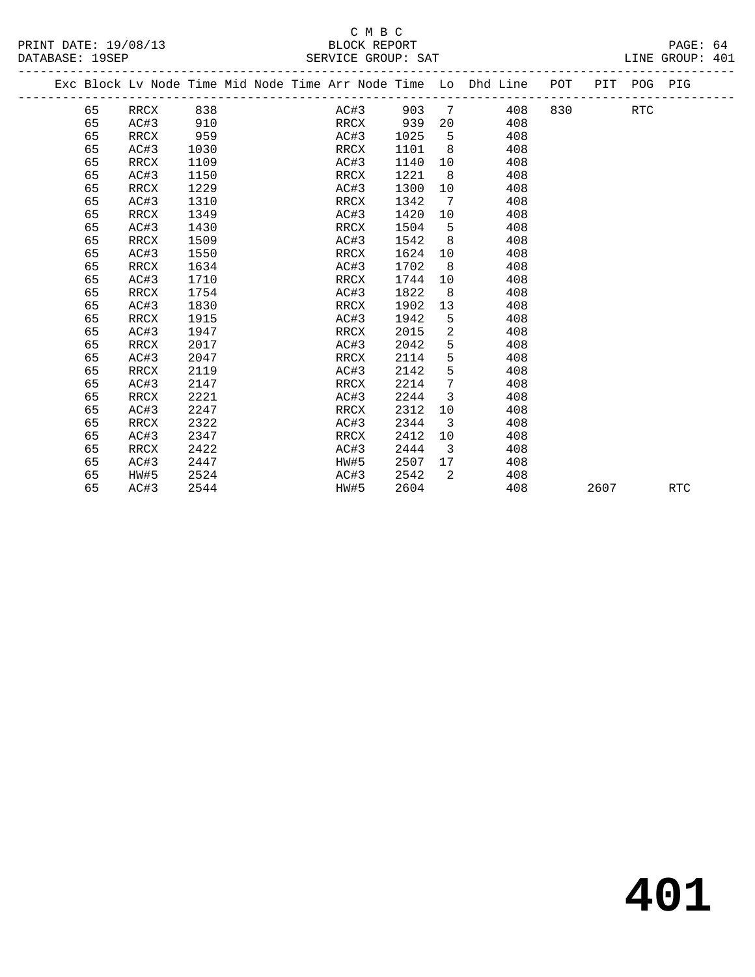|  |    | Exc Block Lv Node Time Mid Node Time Arr Node Time Lo Dhd Line POT |      |  |      |      |      |                 |     |     |      | PIT POG PIG |            |
|--|----|--------------------------------------------------------------------|------|--|------|------|------|-----------------|-----|-----|------|-------------|------------|
|  | 65 | RRCX                                                               | 838  |  |      | AC#3 | 903  | 7               | 408 | 830 |      | <b>RTC</b>  |            |
|  | 65 | AC#3                                                               | 910  |  | RRCX |      | 939  | 20              | 408 |     |      |             |            |
|  | 65 | RRCX                                                               | 959  |  | AC#3 |      | 1025 | 5               | 408 |     |      |             |            |
|  | 65 | AC#3                                                               | 1030 |  | RRCX |      | 1101 | 8 <sup>8</sup>  | 408 |     |      |             |            |
|  | 65 | RRCX                                                               | 1109 |  | AC#3 |      | 1140 | 10              | 408 |     |      |             |            |
|  | 65 | AC#3                                                               | 1150 |  | RRCX |      | 1221 | 8               | 408 |     |      |             |            |
|  | 65 | RRCX                                                               | 1229 |  | AC#3 |      | 1300 | 10              | 408 |     |      |             |            |
|  | 65 | AC#3                                                               | 1310 |  | RRCX |      | 1342 | 7               | 408 |     |      |             |            |
|  | 65 | RRCX                                                               | 1349 |  | AC#3 |      | 1420 | 10 <sup>°</sup> | 408 |     |      |             |            |
|  | 65 | AC#3                                                               | 1430 |  | RRCX |      | 1504 | -5              | 408 |     |      |             |            |
|  | 65 | RRCX                                                               | 1509 |  | AC#3 |      | 1542 | 8               | 408 |     |      |             |            |
|  | 65 | AC#3                                                               | 1550 |  | RRCX |      | 1624 | 10              | 408 |     |      |             |            |
|  | 65 | RRCX                                                               | 1634 |  | AC#3 |      | 1702 | 8               | 408 |     |      |             |            |
|  | 65 | AC#3                                                               | 1710 |  | RRCX |      | 1744 | 10              | 408 |     |      |             |            |
|  | 65 | RRCX                                                               | 1754 |  | AC#3 |      | 1822 | 8               | 408 |     |      |             |            |
|  | 65 | AC#3                                                               | 1830 |  | RRCX |      | 1902 | 13              | 408 |     |      |             |            |
|  | 65 | RRCX                                                               | 1915 |  | AC#3 |      | 1942 | 5               | 408 |     |      |             |            |
|  | 65 | AC#3                                                               | 1947 |  | RRCX |      | 2015 | 2               | 408 |     |      |             |            |
|  | 65 | RRCX                                                               | 2017 |  | AC#3 |      | 2042 | 5               | 408 |     |      |             |            |
|  | 65 | AC#3                                                               | 2047 |  | RRCX |      | 2114 | 5               | 408 |     |      |             |            |
|  | 65 | RRCX                                                               | 2119 |  | AC#3 |      | 2142 | 5               | 408 |     |      |             |            |
|  | 65 | AC#3                                                               | 2147 |  | RRCX |      | 2214 | $7\phantom{.0}$ | 408 |     |      |             |            |
|  | 65 | RRCX                                                               | 2221 |  | AC#3 |      | 2244 | 3               | 408 |     |      |             |            |
|  | 65 | AC#3                                                               | 2247 |  | RRCX |      | 2312 | 10              | 408 |     |      |             |            |
|  | 65 | RRCX                                                               | 2322 |  | AC#3 |      | 2344 | 3               | 408 |     |      |             |            |
|  | 65 | AC#3                                                               | 2347 |  | RRCX |      | 2412 | 10              | 408 |     |      |             |            |
|  | 65 | RRCX                                                               | 2422 |  | AC#3 |      | 2444 | $\overline{3}$  | 408 |     |      |             |            |
|  | 65 | AC#3                                                               | 2447 |  | HW#5 |      | 2507 | 17              | 408 |     |      |             |            |
|  | 65 | HW#5                                                               | 2524 |  | AC#3 |      | 2542 | 2               | 408 |     |      |             |            |
|  | 65 | AC#3                                                               | 2544 |  | HW#5 |      | 2604 |                 | 408 |     | 2607 |             | <b>RTC</b> |
|  |    |                                                                    |      |  |      |      |      |                 |     |     |      |             |            |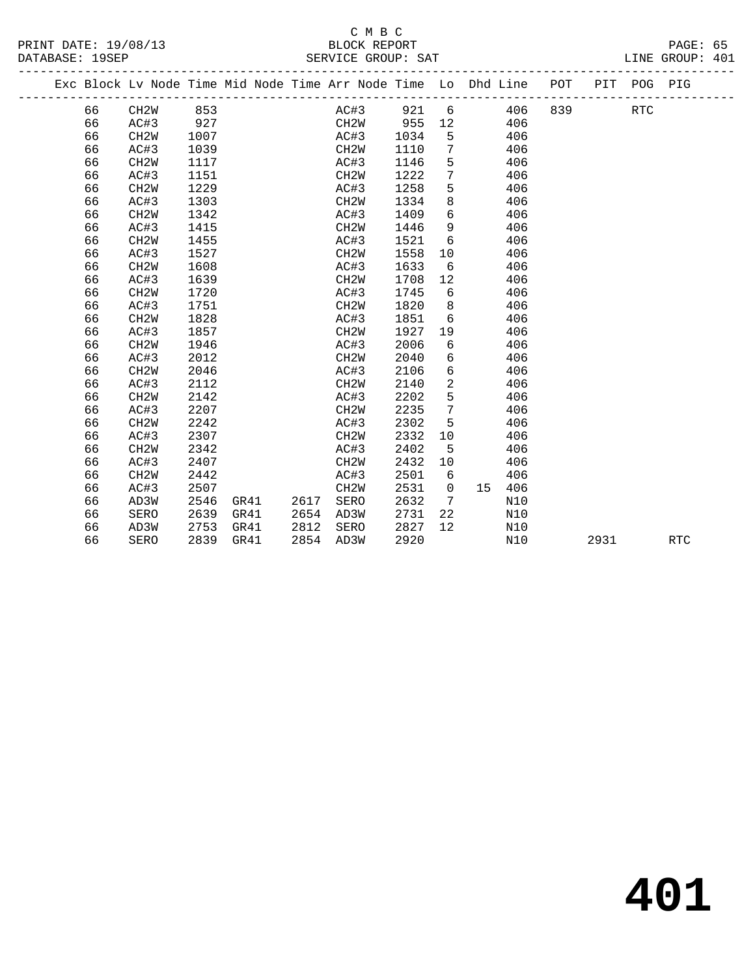# SERVICE GROUP: SAT

|                      | C M B C            |                 |
|----------------------|--------------------|-----------------|
| PRINT DATE: 19/08/13 | BLOCK REPORT       | PAGE: 65        |
| DATABASE: 19SEP      | SERVICE GROUP: SAT | LINE GROUP: 401 |

|  |    | Exc Block Lv Node Time Mid Node Time Arr Node Time Lo Dhd Line POT |      |      |      |                   |            |                   |    |     |     | PIT  | POG PIG    |            |
|--|----|--------------------------------------------------------------------|------|------|------|-------------------|------------|-------------------|----|-----|-----|------|------------|------------|
|  | 66 | CH2W                                                               | 853  |      |      |                   | AC#3 921 6 |                   |    | 406 | 839 |      | <b>RTC</b> |            |
|  | 66 | AC#3                                                               | 927  |      |      |                   | CH2W 955   | 12                |    | 406 |     |      |            |            |
|  | 66 | CH <sub>2</sub> W                                                  | 1007 |      |      | AC#3              | 1034       | 5                 |    | 406 |     |      |            |            |
|  | 66 | AC#3                                                               | 1039 |      |      | CH2W              | 1110       | 7                 |    | 406 |     |      |            |            |
|  | 66 | CH <sub>2</sub> W                                                  | 1117 |      |      | AC#3              | 1146       | 5                 |    | 406 |     |      |            |            |
|  | 66 | AC#3                                                               | 1151 |      |      | CH <sub>2</sub> W | 1222       | $7\phantom{.0}$   |    | 406 |     |      |            |            |
|  | 66 | CH <sub>2</sub> W                                                  | 1229 |      |      | AC#3              | 1258       | 5                 |    | 406 |     |      |            |            |
|  | 66 | AC#3                                                               | 1303 |      |      | CH <sub>2</sub> W | 1334       | 8                 |    | 406 |     |      |            |            |
|  | 66 | CH <sub>2</sub> W                                                  | 1342 |      |      | AC#3              | 1409       | 6                 |    | 406 |     |      |            |            |
|  | 66 | AC#3                                                               | 1415 |      |      | CH <sub>2</sub> W | 1446       | 9                 |    | 406 |     |      |            |            |
|  | 66 | CH <sub>2</sub> W                                                  | 1455 |      |      | AC#3              | 1521       | $6\overline{6}$   |    | 406 |     |      |            |            |
|  | 66 | AC#3                                                               | 1527 |      |      | CH <sub>2</sub> W | 1558       | 10                |    | 406 |     |      |            |            |
|  | 66 | CH <sub>2</sub> W                                                  | 1608 |      |      | AC#3              | 1633       | 6                 |    | 406 |     |      |            |            |
|  | 66 | AC#3                                                               | 1639 |      |      | CH <sub>2</sub> W | 1708       | 12                |    | 406 |     |      |            |            |
|  | 66 | CH <sub>2</sub> W                                                  | 1720 |      |      | AC#3              | 1745       | 6                 |    | 406 |     |      |            |            |
|  | 66 | AC#3                                                               | 1751 |      |      | CH <sub>2</sub> W | 1820       | 8                 |    | 406 |     |      |            |            |
|  | 66 | CH <sub>2</sub> W                                                  | 1828 |      |      | AC#3              | 1851       | 6                 |    | 406 |     |      |            |            |
|  | 66 | AC#3                                                               | 1857 |      |      | CH <sub>2</sub> W | 1927       | 19                |    | 406 |     |      |            |            |
|  | 66 | CH <sub>2</sub> W                                                  | 1946 |      |      | AC#3              | 2006       | 6                 |    | 406 |     |      |            |            |
|  | 66 | AC#3                                                               | 2012 |      |      | CH <sub>2</sub> W | 2040       | 6                 |    | 406 |     |      |            |            |
|  | 66 | CH <sub>2</sub> W                                                  | 2046 |      |      | AC#3              | 2106       | 6                 |    | 406 |     |      |            |            |
|  | 66 | AC#3                                                               | 2112 |      |      | CH <sub>2</sub> W | 2140       | 2                 |    | 406 |     |      |            |            |
|  | 66 | CH <sub>2</sub> W                                                  | 2142 |      |      | AC#3              | 2202       | 5                 |    | 406 |     |      |            |            |
|  | 66 | AC#3                                                               | 2207 |      |      | CH <sub>2</sub> W | 2235       | $7\phantom{.0}$   |    | 406 |     |      |            |            |
|  | 66 | CH <sub>2</sub> W                                                  | 2242 |      |      | AC#3              | 2302       | 5                 |    | 406 |     |      |            |            |
|  | 66 | AC#3                                                               | 2307 |      |      | CH2W              | 2332       | 10                |    | 406 |     |      |            |            |
|  | 66 | CH <sub>2</sub> W                                                  | 2342 |      |      | AC#3              | 2402       | -5                |    | 406 |     |      |            |            |
|  | 66 | AC#3                                                               | 2407 |      |      | CH2W              | 2432       | 10                |    | 406 |     |      |            |            |
|  | 66 | CH <sub>2</sub> W                                                  | 2442 |      |      | AC#3              | 2501       | 6                 |    | 406 |     |      |            |            |
|  | 66 | AC#3                                                               | 2507 |      |      | CH <sub>2</sub> W | 2531       | $\Omega$          | 15 | 406 |     |      |            |            |
|  | 66 | AD3W                                                               | 2546 | GR41 | 2617 | SERO              | 2632       | 7                 |    | N10 |     |      |            |            |
|  | 66 | SERO                                                               | 2639 | GR41 | 2654 | AD3W              | 2731       | 22                |    | N10 |     |      |            |            |
|  | 66 | AD3W                                                               | 2753 | GR41 | 2812 | SERO              | 2827       | $12 \overline{ }$ |    | N10 |     |      |            |            |
|  | 66 | SERO                                                               | 2839 | GR41 | 2854 | AD3W              | 2920       |                   |    | N10 |     | 2931 |            | <b>RTC</b> |
|  |    |                                                                    |      |      |      |                   |            |                   |    |     |     |      |            |            |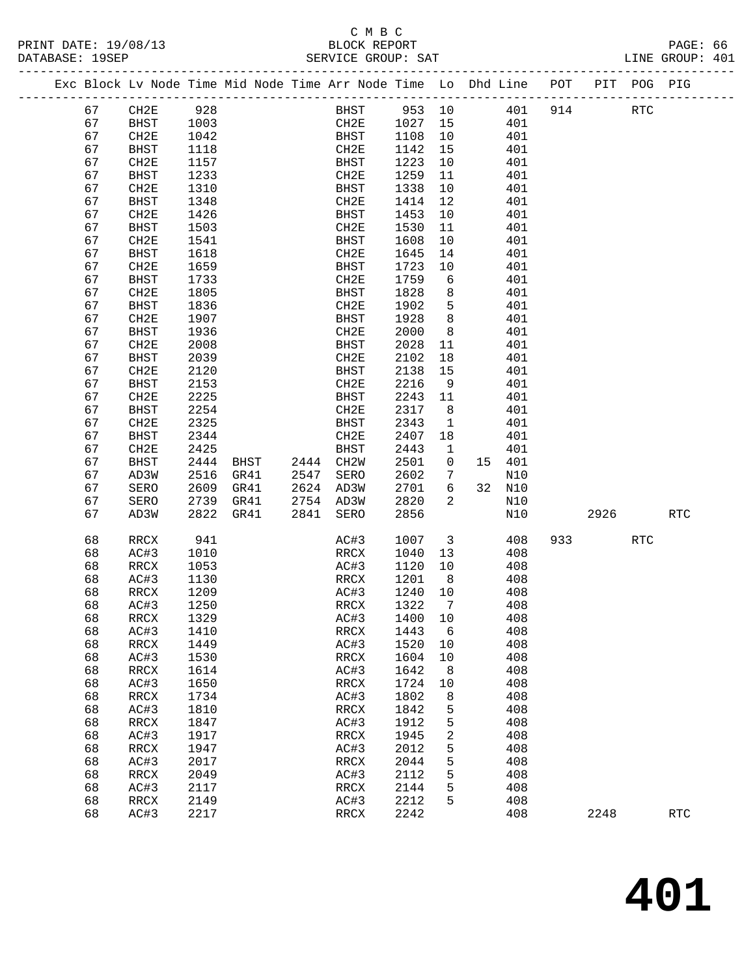|  |          |                     |              | Exc Block Lv Node Time Mid Node Time Arr Node Time Lo Dhd Line POT |      |                     |              |                         |            |     |           | PIT POG PIG |            |
|--|----------|---------------------|--------------|--------------------------------------------------------------------|------|---------------------|--------------|-------------------------|------------|-----|-----------|-------------|------------|
|  | 67       | CH2E                | 928          |                                                                    |      | BHST 953 10         |              |                         | 401        | 914 |           | RTC         |            |
|  | 67       | BHST                | 1003         |                                                                    |      | CH2E                | 1027         | 15                      | 401        |     |           |             |            |
|  | 67       | CH2E                | 1042         |                                                                    |      | BHST                | 1108         | 10                      | 401        |     |           |             |            |
|  | 67       | <b>BHST</b>         | 1118         |                                                                    |      | CH2E                | 1142         | 15                      | 401        |     |           |             |            |
|  | 67       | CH2E                | 1157         |                                                                    |      | BHST                | 1223         | 10                      | 401        |     |           |             |            |
|  | 67       | BHST                | 1233         |                                                                    |      | CH2E                | 1259         | 11                      | 401        |     |           |             |            |
|  | 67       | CH2E                | 1310         |                                                                    |      | BHST                | 1338         | 10                      | 401        |     |           |             |            |
|  | 67       | <b>BHST</b>         | 1348         |                                                                    |      | CH2E                | 1414         | 12                      | 401        |     |           |             |            |
|  | 67       | CH2E                | 1426         |                                                                    |      | BHST                | 1453         | 10                      | 401        |     |           |             |            |
|  | 67       | BHST                | 1503         |                                                                    |      | CH2E                | 1530         | 11                      | 401        |     |           |             |            |
|  | 67       | CH2E                | 1541         |                                                                    |      | BHST                | 1608         | 10 <sub>1</sub>         | 401        |     |           |             |            |
|  | 67       | <b>BHST</b>         | 1618         |                                                                    |      | CH2E                | 1645         | 14                      | 401        |     |           |             |            |
|  | 67       | CH2E                | 1659         |                                                                    |      | BHST                | 1723         | 10                      | 401        |     |           |             |            |
|  | 67       | <b>BHST</b>         | 1733         |                                                                    |      | CH2E                | 1759         | 6                       | 401        |     |           |             |            |
|  | 67       | CH2E                | 1805         |                                                                    |      | BHST                | 1828         | 8                       | 401        |     |           |             |            |
|  | 67       | <b>BHST</b>         | 1836         |                                                                    |      | CH2E                | 1902         | 5                       | 401        |     |           |             |            |
|  | 67       | CH2E                | 1907         |                                                                    |      | BHST                | 1928         | 8                       | 401        |     |           |             |            |
|  | 67       | <b>BHST</b>         | 1936         |                                                                    |      | CH2E                | 2000         | 8 <sup>8</sup>          | 401        |     |           |             |            |
|  | 67       | CH2E                | 2008         |                                                                    |      | BHST                | 2028         | 11                      | 401        |     |           |             |            |
|  | 67       | <b>BHST</b>         | 2039         |                                                                    |      | CH2E                | 2102         | 18                      | 401        |     |           |             |            |
|  | 67<br>67 | CH2E<br><b>BHST</b> | 2120<br>2153 |                                                                    |      | <b>BHST</b><br>CH2E | 2138<br>2216 | 15<br>9                 | 401<br>401 |     |           |             |            |
|  | 67       | CH2E                | 2225         |                                                                    |      | BHST                | 2243         | 11                      | 401        |     |           |             |            |
|  | 67       | <b>BHST</b>         | 2254         |                                                                    |      | CH2E                | 2317         | 8 <sup>8</sup>          | 401        |     |           |             |            |
|  | 67       | CH2E                | 2325         |                                                                    |      | BHST                | 2343         | $\overline{1}$          | 401        |     |           |             |            |
|  | 67       | <b>BHST</b>         | 2344         |                                                                    |      | CH2E                | 2407         | 18                      | 401        |     |           |             |            |
|  | 67       | CH2E                | 2425         |                                                                    |      | BHST                | 2443         | $\mathbf{1}$            | 401        |     |           |             |            |
|  | 67       | <b>BHST</b>         | 2444         | <b>BHST</b>                                                        |      | 2444 CH2W           | 2501         | $\overline{0}$          | 15 401     |     |           |             |            |
|  | 67       | AD3W                | 2516         | GR41                                                               | 2547 | SERO                | 2602         | 7                       | N10        |     |           |             |            |
|  | 67       | <b>SERO</b>         | 2609         | GR41                                                               | 2624 | AD3W                | 2701         | 6                       | 32 N10     |     |           |             |            |
|  | 67       | SERO                | 2739         | GR41                                                               |      | 2754 AD3W           | 2820         | 2                       | N10        |     |           |             |            |
|  | 67       | AD3W                | 2822         | GR41                                                               | 2841 | SERO                | 2856         |                         | N10        |     | 2926 2012 |             | <b>RTC</b> |
|  | 68       | RRCX                | 941          |                                                                    |      | AC#3                | 1007         | $\overline{\mathbf{3}}$ | 408        |     | 933 — 100 | <b>RTC</b>  |            |
|  | 68       | AC#3                | 1010         |                                                                    |      | RRCX                | 1040         | 13                      | 408        |     |           |             |            |
|  | 68       | RRCX                | 1053         |                                                                    |      | AC#3                | 1120         | 10                      | 408        |     |           |             |            |
|  | 68       | AC#3                | 1130         |                                                                    |      | RRCX                | 1201         | 8 <sup>8</sup>          | 408        |     |           |             |            |
|  | 68       | RRCX                | 1209         |                                                                    |      | AC#3                | 1240         | 10                      | 408        |     |           |             |            |
|  | 68       | AC#3                | 1250         |                                                                    |      | RRCX                | 1322         | $\overline{7}$          | 408        |     |           |             |            |
|  | 68       | RRCX                | 1329         |                                                                    |      | AC#3 1400 10        |              |                         | 408        |     |           |             |            |
|  | 68       | AC#3                | 1410         |                                                                    |      | RRCX                | 1443         | 6                       | 408        |     |           |             |            |
|  | 68       | RRCX                | 1449         |                                                                    |      | AC#3                | 1520         | 10                      | 408        |     |           |             |            |
|  | 68       | AC#3                | 1530         |                                                                    |      | RRCX                | 1604         | 10                      | 408        |     |           |             |            |
|  | 68       | RRCX                | 1614<br>1650 |                                                                    |      | AC#3                | 1642         | 8                       | 408<br>408 |     |           |             |            |
|  | 68<br>68 | AC#3                |              |                                                                    |      | RRCX                | 1724         | 10<br>8                 | 408        |     |           |             |            |
|  | 68       | RRCX<br>AC#3        | 1734<br>1810 |                                                                    |      | AC#3<br>RRCX        | 1802<br>1842 | 5                       | 408        |     |           |             |            |
|  | 68       | RRCX                | 1847         |                                                                    |      | AC#3                | 1912         | 5                       | 408        |     |           |             |            |
|  | 68       | AC#3                | 1917         |                                                                    |      | RRCX                | 1945         | 2                       | 408        |     |           |             |            |
|  | 68       | RRCX                | 1947         |                                                                    |      | AC#3                | 2012         | 5                       | 408        |     |           |             |            |
|  | 68       | AC#3                | 2017         |                                                                    |      | RRCX                | 2044         | 5                       | 408        |     |           |             |            |
|  | 68       | RRCX                | 2049         |                                                                    |      | AC#3                | 2112         | 5                       | 408        |     |           |             |            |
|  | 68       | AC#3                | 2117         |                                                                    |      | RRCX                | 2144         | 5                       | 408        |     |           |             |            |
|  | 68       | RRCX                | 2149         |                                                                    |      | AC#3                | 2212         | 5                       | 408        |     |           |             |            |
|  | 68       | AC#3                | 2217         |                                                                    |      | RRCX                | 2242         |                         | 408        |     | 2248      |             | RTC        |
|  |          |                     |              |                                                                    |      |                     |              |                         |            |     |           |             |            |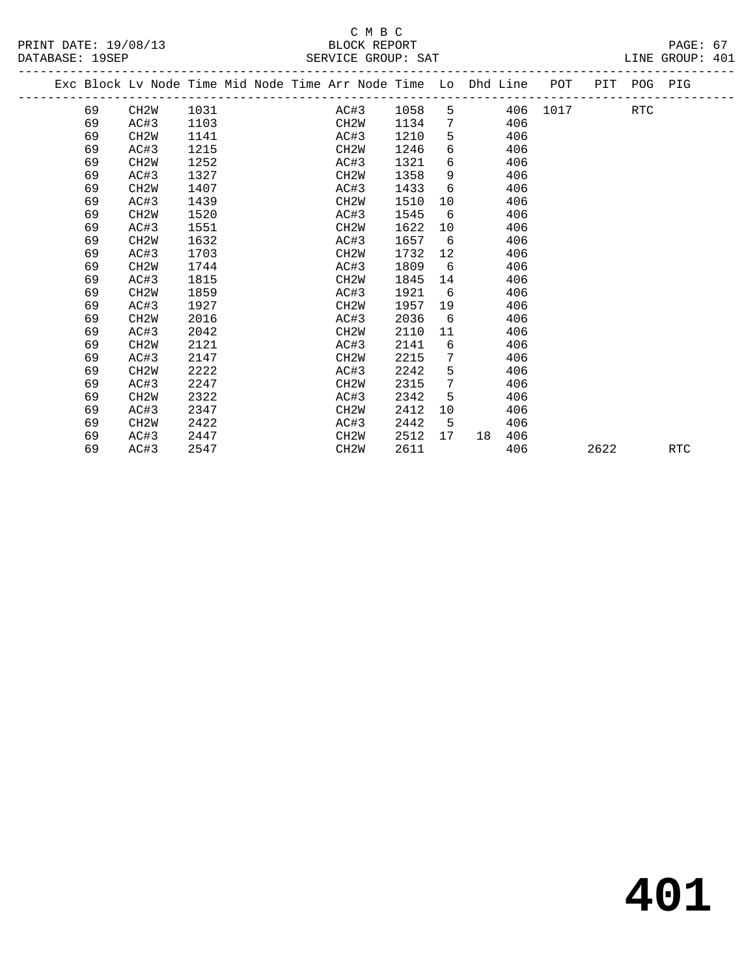PRINT DATE: 19/08/13<br>DATABASE: 19SEP

# C M B C<br>BLOCK REPORT<br>CEPULLOF CROUD: SAT

|  | DATABASE: 19SEP |                   |      |  | SERVICE GROUP: SAT                                                             |      |                 |                |     |          |      |     | LINE GROUP: 401 |  |
|--|-----------------|-------------------|------|--|--------------------------------------------------------------------------------|------|-----------------|----------------|-----|----------|------|-----|-----------------|--|
|  |                 |                   |      |  | Exc Block Lv Node Time Mid Node Time Arr Node Time Lo Dhd Line POT PIT POG PIG |      |                 |                |     |          |      |     |                 |  |
|  | 69              | CH2W              | 1031 |  | AC#3 1058                                                                      |      |                 | $5 - 1$        |     | 406 1017 |      | RTC |                 |  |
|  | 69              | AC#3              | 1103 |  | CH2W                                                                           | 1134 | $7\overline{ }$ |                | 406 |          |      |     |                 |  |
|  | 69              | CH2W              | 1141 |  | AC#3                                                                           | 1210 |                 | 5 <sub>1</sub> | 406 |          |      |     |                 |  |
|  | 69              | AC#3              | 1215 |  | CH2W                                                                           | 1246 | 6               |                | 406 |          |      |     |                 |  |
|  | 69              | CH <sub>2</sub> W | 1252 |  | AC#3                                                                           | 1321 | 6               |                | 406 |          |      |     |                 |  |
|  | 69              | AC#3              | 1327 |  | CH2W                                                                           | 1358 | 9               |                | 406 |          |      |     |                 |  |
|  | 69              | CH <sub>2</sub> W | 1407 |  | AC#3                                                                           | 1433 | 6               |                | 406 |          |      |     |                 |  |
|  | 69              | AC#3              | 1439 |  | CH2W                                                                           | 1510 |                 | 10             | 406 |          |      |     |                 |  |
|  | 69              | CH <sub>2</sub> W | 1520 |  | AC#3                                                                           | 1545 | 6               |                | 406 |          |      |     |                 |  |
|  | 69              | AC#3              | 1551 |  | CH2W                                                                           | 1622 | 10              |                | 406 |          |      |     |                 |  |
|  | 69              | CH <sub>2</sub> W | 1632 |  | AC#3                                                                           | 1657 | 6               |                | 406 |          |      |     |                 |  |
|  | 69              | AC#3              | 1703 |  | CH <sub>2</sub> M                                                              | 1732 | 12              |                | 406 |          |      |     |                 |  |
|  | 69              | CH <sub>2</sub> W | 1744 |  | AC#3                                                                           | 1809 | 6               |                | 406 |          |      |     |                 |  |
|  | 69              | AC#3              | 1815 |  | CH2W                                                                           | 1845 | 14              |                | 406 |          |      |     |                 |  |
|  | 69              | CH <sub>2</sub> W | 1859 |  | AC#3                                                                           | 1921 | 6               |                | 406 |          |      |     |                 |  |
|  | 69              | AC#3              | 1927 |  | CH <sub>2</sub> W                                                              | 1957 | 19              |                | 406 |          |      |     |                 |  |
|  | 69              | CH <sub>2</sub> W | 2016 |  | AC#3                                                                           | 2036 | 6               |                | 406 |          |      |     |                 |  |
|  | 69              | AC#3              | 2042 |  | CH2W                                                                           | 2110 | 11              |                | 406 |          |      |     |                 |  |
|  | 69              | CH <sub>2</sub> W | 2121 |  | AC#3                                                                           | 2141 | 6               |                | 406 |          |      |     |                 |  |
|  | 69              | AC#3              | 2147 |  | CH2W                                                                           | 2215 | 7               |                | 406 |          |      |     |                 |  |
|  | 69              | CH <sub>2</sub> W | 2222 |  | AC#3                                                                           | 2242 | 5               |                | 406 |          |      |     |                 |  |
|  | 69              | AC#3              | 2247 |  | CH2W                                                                           | 2315 | 7               |                | 406 |          |      |     |                 |  |
|  | 69              | CH <sub>2</sub> W | 2322 |  | AC#3                                                                           | 2342 | 5               |                | 406 |          |      |     |                 |  |
|  | 69              | AC#3              | 2347 |  | CH <sub>2</sub> M                                                              | 2412 | 10              |                | 406 |          |      |     |                 |  |
|  | 69              | CH <sub>2</sub> W | 2422 |  | AC#3                                                                           | 2442 | 5 <sup>5</sup>  |                | 406 |          |      |     |                 |  |
|  | 69              | AC#3              | 2447 |  | CH2W                                                                           | 2512 | 17              | 18             | 406 |          |      |     |                 |  |
|  | 69              | AC#3              | 2547 |  | CH2W                                                                           | 2611 |                 |                | 406 |          | 2622 |     | <b>RTC</b>      |  |
|  |                 |                   |      |  |                                                                                |      |                 |                |     |          |      |     |                 |  |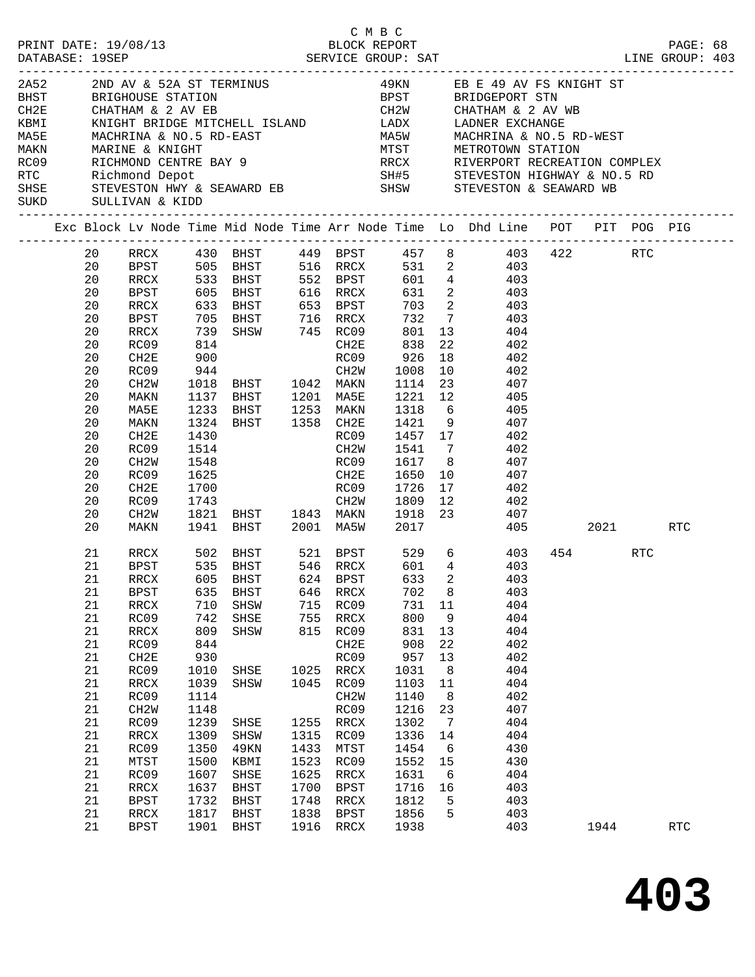|      |    |                   |              |                                                    |      |                   |                          |                 | 2A52 2ND AV & 52A ST TERMINUS<br>2A52 2ND AV & 52A ST TERMINUS<br>BHST BRIGHOUSE STATION<br>CHATHAM & 2 AV EB CHATHAM & 2 AV EB CHATHAM & 2 AV EB CHATHAM & 2 AV EB CHATHAM & 2 AV WB<br>KBMI KNIGHT BRIDGE MITCHELL ISLAND LADX LADNE |      |     |            |  |
|------|----|-------------------|--------------|----------------------------------------------------|------|-------------------|--------------------------|-----------------|----------------------------------------------------------------------------------------------------------------------------------------------------------------------------------------------------------------------------------------|------|-----|------------|--|
|      |    |                   |              |                                                    |      |                   |                          |                 |                                                                                                                                                                                                                                        |      |     |            |  |
|      |    |                   |              |                                                    |      |                   |                          |                 |                                                                                                                                                                                                                                        |      |     |            |  |
|      |    |                   |              |                                                    |      |                   |                          |                 |                                                                                                                                                                                                                                        |      |     |            |  |
|      |    |                   |              |                                                    |      |                   |                          |                 |                                                                                                                                                                                                                                        |      |     |            |  |
|      |    |                   |              |                                                    |      |                   |                          |                 |                                                                                                                                                                                                                                        |      |     |            |  |
|      |    |                   |              |                                                    |      |                   |                          |                 |                                                                                                                                                                                                                                        |      |     |            |  |
|      |    |                   |              |                                                    |      |                   |                          |                 |                                                                                                                                                                                                                                        |      |     |            |  |
|      |    |                   |              |                                                    |      |                   |                          |                 | ROOS RICHMOND CENTRE BAY 9<br>RIC Richmond Depot SH#5 STEVESTON HIGHWAY & NO.5 RD<br>SHSE STEVESTON HWY & SEAWARD EB SHSW STEVESTON & SEAWARD WB                                                                                       |      |     |            |  |
| SUKD |    | SULLIVAN & KIDD   |              |                                                    |      |                   |                          |                 |                                                                                                                                                                                                                                        |      |     |            |  |
|      |    |                   |              |                                                    |      |                   |                          |                 | Exc Block Lv Node Time Mid Node Time Arr Node Time Lo Dhd Line POT PIT POG PIG                                                                                                                                                         |      |     |            |  |
|      |    |                   |              |                                                    |      |                   |                          |                 | 20 RRCX 430 BHST 449 BPST 457 8 403 422 RTC                                                                                                                                                                                            |      |     |            |  |
|      | 20 |                   |              |                                                    |      |                   |                          |                 | BPST 505 BHST 516 RRCX 531 2 403                                                                                                                                                                                                       |      |     |            |  |
|      | 20 | RRCX              |              |                                                    |      |                   |                          |                 |                                                                                                                                                                                                                                        |      |     |            |  |
|      | 20 | BPST              |              |                                                    |      |                   |                          |                 | 533 BHST 552 BPST 601 4 403<br>605 BHST 616 RRCX 631 2 403<br>633 BHST 653 BPST 703 2 403                                                                                                                                              |      |     |            |  |
|      | 20 | RRCX              |              |                                                    |      |                   |                          |                 |                                                                                                                                                                                                                                        |      |     |            |  |
|      | 20 | BPST              |              |                                                    |      |                   |                          |                 | 732 7 403                                                                                                                                                                                                                              |      |     |            |  |
|      | 20 | RRCX              |              |                                                    |      |                   | 801                      |                 | 13 404                                                                                                                                                                                                                                 |      |     |            |  |
|      | 20 | RC09              |              | 705 BHST 716 RRCX<br>739 SHSW 745 RC09<br>814 CH2E |      |                   | 838                      | 22              | 402                                                                                                                                                                                                                                    |      |     |            |  |
|      | 20 | CH2E              | 900          |                                                    |      |                   | RC09 926                 |                 | 18 402                                                                                                                                                                                                                                 |      |     |            |  |
|      | 20 | RC09              |              | 944                                                |      | CH2W              | 1008                     |                 | 10 402                                                                                                                                                                                                                                 |      |     |            |  |
|      | 20 | CH2W              |              | 1018 BHST 1042 MAKN                                |      |                   |                          |                 | 1114 23 407                                                                                                                                                                                                                            |      |     |            |  |
|      | 20 | MAKN              |              |                                                    |      |                   |                          |                 |                                                                                                                                                                                                                                        |      |     |            |  |
|      | 20 | MA5E              |              |                                                    |      |                   |                          |                 | 1137 BHST     1201   MA5E      1221   12                405<br>1233   BHST      1253   MAKN      1318     6              405                                                                                                           |      |     |            |  |
|      | 20 | MAKN              |              |                                                    |      |                   |                          |                 | 1324 BHST 1358 CH2E 1421 9 407                                                                                                                                                                                                         |      |     |            |  |
|      | 20 | CH2E              | 1430         |                                                    |      | RC09              |                          |                 | 1457 17 402                                                                                                                                                                                                                            |      |     |            |  |
|      | 20 | RC09              | 1514         |                                                    |      | CH2W              |                          |                 |                                                                                                                                                                                                                                        |      |     |            |  |
|      | 20 | CH2W              | 1514<br>1548 |                                                    |      | RC09              |                          |                 | 1541 7 402<br>1617 8 407                                                                                                                                                                                                               |      |     |            |  |
|      | 20 | RC09              |              | 1625                                               |      | CH2E              | 1650                     |                 | 10 407                                                                                                                                                                                                                                 |      |     |            |  |
|      | 20 | CH2E              |              |                                                    |      | RC09              |                          |                 | 17 402                                                                                                                                                                                                                                 |      |     |            |  |
|      | 20 | RC09              |              |                                                    |      |                   |                          |                 |                                                                                                                                                                                                                                        |      |     |            |  |
|      | 20 | CH2W              |              |                                                    |      |                   |                          |                 | $\begin{array}{c} 2 \overline{)} \\ 23 \end{array}$<br>407                                                                                                                                                                             |      |     |            |  |
|      | 20 | MAKN              |              |                                                    |      |                   | 1941 BHST 2001 MA5W 2017 |                 | 405 2021 RTC                                                                                                                                                                                                                           |      |     |            |  |
|      | 21 |                   |              |                                                    |      |                   |                          |                 |                                                                                                                                                                                                                                        | 454  | RTC |            |  |
|      | 21 |                   |              |                                                    |      |                   |                          |                 | RRCX 502 BHST 521 BPST 529 6 403<br>BPST 535 BHST 546 RRCX 601 4 403                                                                                                                                                                   |      |     |            |  |
|      |    |                   |              |                                                    |      |                   |                          |                 | 21 RRCX 605 BHST 624 BPST 633 2 403                                                                                                                                                                                                    |      |     |            |  |
|      | 21 | <b>BPST</b>       | 635          | BHST                                               | 646  | RRCX              | 702                      | 8               | 403                                                                                                                                                                                                                                    |      |     |            |  |
|      | 21 | RRCX              | 710          | SHSW                                               | 715  | RC09              | 731 11                   |                 | 404                                                                                                                                                                                                                                    |      |     |            |  |
|      | 21 | RC09              | 742          | SHSE                                               | 755  | RRCX              | 800                      | 9               | 404                                                                                                                                                                                                                                    |      |     |            |  |
|      | 21 | RRCX              | 809          | SHSW                                               | 815  | RC09              | 831                      | 13              | 404                                                                                                                                                                                                                                    |      |     |            |  |
|      | 21 | RC09              | 844          |                                                    |      | CH2E              | 908                      | 22              | 402                                                                                                                                                                                                                                    |      |     |            |  |
|      | 21 | CH <sub>2E</sub>  | 930          |                                                    |      | RC09              | 957                      | 13              | 402                                                                                                                                                                                                                                    |      |     |            |  |
|      | 21 | RC09              | 1010         | SHSE                                               | 1025 | RRCX              | 1031                     | 8 <sup>8</sup>  | 404                                                                                                                                                                                                                                    |      |     |            |  |
|      | 21 | RRCX              | 1039         | SHSW                                               | 1045 | RC09              | 1103                     | 11              | 404                                                                                                                                                                                                                                    |      |     |            |  |
|      | 21 | RC09              | 1114         |                                                    |      | CH <sub>2</sub> W | 1140                     | 8 <sup>8</sup>  | 402                                                                                                                                                                                                                                    |      |     |            |  |
|      | 21 | CH <sub>2</sub> W | 1148         |                                                    |      | RC09              | 1216                     | 23              | 407                                                                                                                                                                                                                                    |      |     |            |  |
|      | 21 | RC09              | 1239         | SHSE                                               |      | 1255 RRCX         | 1302                     | $\overline{7}$  | 404                                                                                                                                                                                                                                    |      |     |            |  |
|      | 21 | RRCX              | 1309         | SHSW                                               | 1315 | RC09              | 1336                     | 14              | 404                                                                                                                                                                                                                                    |      |     |            |  |
|      | 21 | RC09              | 1350         | 49KN                                               | 1433 | MTST              | 1454                     | $6\overline{6}$ | 430                                                                                                                                                                                                                                    |      |     |            |  |
|      | 21 | MTST              | 1500         | KBMI                                               | 1523 | RC09              | 1552                     | 15              | 430                                                                                                                                                                                                                                    |      |     |            |  |
|      | 21 | RC09              | 1607         |                                                    | 1625 |                   | 1631                     | $6\overline{6}$ | 404                                                                                                                                                                                                                                    |      |     |            |  |
|      | 21 |                   | 1637         | SHSE                                               | 1700 | RRCX              |                          |                 |                                                                                                                                                                                                                                        |      |     |            |  |
|      | 21 | RRCX<br>BPST      | 1732         | BHST<br>BHST                                       | 1748 | BPST<br>RRCX      | 1716<br>1812             | 16<br>5         | 403<br>403                                                                                                                                                                                                                             |      |     |            |  |
|      | 21 | RRCX              | 1817         | BHST                                               | 1838 | BPST              | 1856                     | 5               | 403                                                                                                                                                                                                                                    |      |     |            |  |
|      | 21 |                   |              |                                                    |      | 1916 RRCX         | 1938                     |                 | 403                                                                                                                                                                                                                                    |      |     | <b>RTC</b> |  |
|      |    | <b>BPST</b>       | 1901         | BHST                                               |      |                   |                          |                 |                                                                                                                                                                                                                                        | 1944 |     |            |  |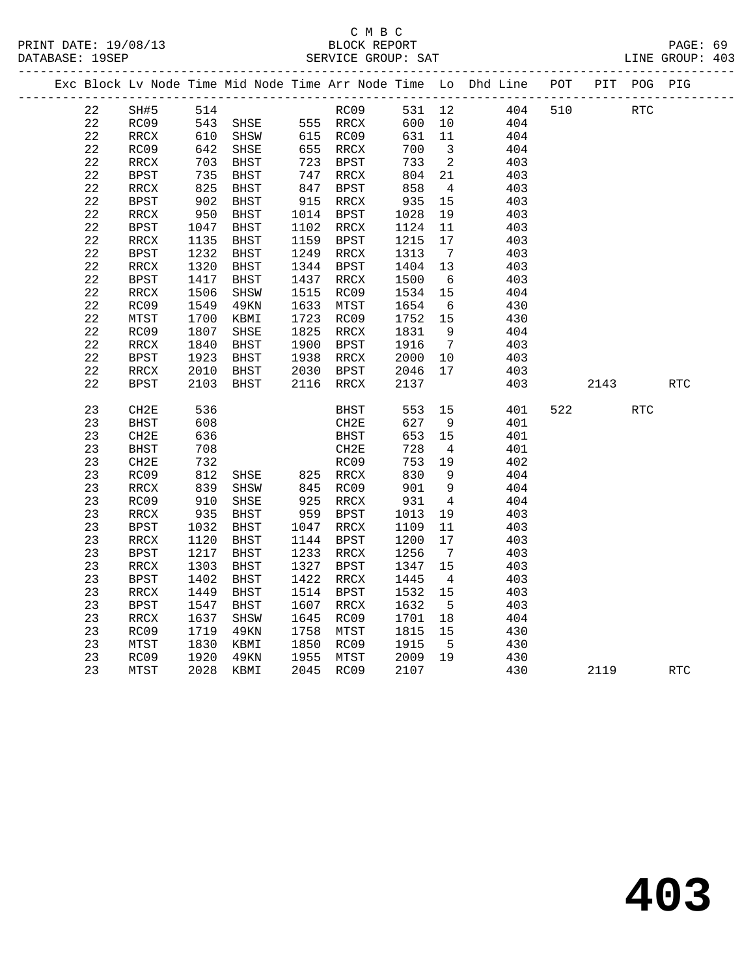PRINT DATE: 19/08/13 BLOCK REPORT PAGE: 69 DATABASE: 19SEP

# C M B C<br>BLOCK REPORT

| DAIABASL · 1995F |             |                          |      | -------------------------- |      | SEKATCE GKOOL. SHI |         |                         | ---------------------------                                        |     |      |             | TINE GKOOL. 402 |
|------------------|-------------|--------------------------|------|----------------------------|------|--------------------|---------|-------------------------|--------------------------------------------------------------------|-----|------|-------------|-----------------|
|                  |             |                          |      |                            |      |                    |         |                         | Exc Block Lv Node Time Mid Node Time Arr Node Time Lo Dhd Line POT |     |      | PIT POG PIG |                 |
|                  | 22          | SH#5                     | 514  |                            |      | RC09               |         |                         | 531 12 404 510                                                     |     |      | <b>RTC</b>  |                 |
|                  | 22          | RC09                     | 543  | SHSE                       |      | 555 RRCX           |         |                         | $600 \t 10 \t 404$                                                 |     |      |             |                 |
|                  | 22          | RRCX                     | 610  | SHSW                       |      | 615 RC09           |         |                         | 631 11<br>404                                                      |     |      |             |                 |
|                  | 22          | RC09                     | 642  | SHSE                       |      | 655 RRCX           | 700     | $\overline{\mathbf{3}}$ | 404                                                                |     |      |             |                 |
|                  | 22          | RRCX                     | 703  | BHST                       |      | 723 BPST           | 733     | $\overline{\mathbf{2}}$ | 403                                                                |     |      |             |                 |
|                  | 22          | BPST                     | 735  | BHST                       |      | 747 RRCX           | 804 21  |                         | 403                                                                |     |      |             |                 |
|                  | 22          | RRCX                     | 825  | BHST                       | 847  | BPST               | 858     | $4\overline{4}$         | 403                                                                |     |      |             |                 |
|                  | 22          | BPST                     | 902  | BHST                       | 915  | RRCX               | 935 15  |                         | 403                                                                |     |      |             |                 |
|                  | 22          | $\mathop{\mathrm{RRCX}}$ | 950  | BHST                       | 1014 | BPST               | 1028    | 19                      | 403                                                                |     |      |             |                 |
|                  | 22          | <b>BPST</b>              | 1047 | BHST                       |      | 1102 RRCX          | 1124    | 11                      | 403                                                                |     |      |             |                 |
|                  | 22          | RRCX                     | 1135 | BHST                       | 1159 | <b>BPST</b>        | 1215    | 17                      | 403                                                                |     |      |             |                 |
|                  | 22          | <b>BPST</b>              | 1232 | BHST                       | 1249 | RRCX               | 1313    | $\overline{7}$          | 403                                                                |     |      |             |                 |
|                  | 22          | RRCX                     | 1320 | BHST                       | 1344 | BPST               | 1404 13 |                         | 403                                                                |     |      |             |                 |
|                  | 22          | BPST                     | 1417 | BHST                       | 1437 | RRCX               | 1500    | $6\overline{6}$         | 403                                                                |     |      |             |                 |
|                  | 22          | RRCX                     | 1506 | SHSW                       | 1515 | RC09               | 1534 15 |                         | 404                                                                |     |      |             |                 |
|                  | 22          | RC09                     | 1549 | 49KN                       | 1633 | MTST               | 1654    |                         | $6\overline{6}$<br>430                                             |     |      |             |                 |
|                  | 22          | MTST                     | 1700 | KBMI                       | 1723 | RC09               | 1752 15 |                         | 430                                                                |     |      |             |                 |
|                  | 22          | RC09                     | 1807 | SHSE                       | 1825 | RRCX               | 1831    | 9                       | 404                                                                |     |      |             |                 |
|                  | 22          | RRCX                     | 1840 | <b>BHST</b>                | 1900 | <b>BPST</b>        | 1916    | $7\overline{ }$         | 403                                                                |     |      |             |                 |
|                  | 22          | <b>BPST</b>              | 1923 | BHST                       | 1938 | RRCX               | 2000 10 |                         | 403                                                                |     |      |             |                 |
|                  | $2\sqrt{2}$ | RRCX                     | 2010 | BHST                       | 2030 | BPST               | 2046    | 17                      | 403                                                                |     |      |             |                 |
|                  | 22          | BPST                     | 2103 | BHST                       | 2116 | RRCX               | 2137    |                         | 403                                                                |     | 2143 |             | <b>RTC</b>      |
|                  | 23          | CH2E                     | 536  |                            |      | BHST               | 553     |                         | 15<br>401                                                          | 522 |      | <b>RTC</b>  |                 |
|                  | 23          | <b>BHST</b>              | 608  |                            |      | CH2E               | 627     |                         | 9<br>401                                                           |     |      |             |                 |
|                  | 23          | CH2E                     | 636  |                            |      | BHST               | 653     | 15                      | 401                                                                |     |      |             |                 |
|                  | 23          | <b>BHST</b>              | 708  |                            |      | CH2E               | 728     | $\overline{4}$          | 401                                                                |     |      |             |                 |
|                  | 23          | CH2E                     | 732  |                            |      | RC09               | 753     | 19                      | 402                                                                |     |      |             |                 |
|                  | 23          | RC09                     | 812  | SHSE                       |      | 825 RRCX           | 830     | 9                       | 404                                                                |     |      |             |                 |
|                  | 23          | RRCX                     | 839  | SHSW                       | 845  | RC09               | 901     | 9                       | 404                                                                |     |      |             |                 |
|                  | 23          | RC09                     | 910  | SHSE                       |      | 925 RRCX           | 931     | $\overline{4}$          | 404                                                                |     |      |             |                 |
|                  | 23          | RRCX                     | 935  | BHST                       | 959  | BPST               | 1013    | 19                      | 403                                                                |     |      |             |                 |
|                  | 23          | <b>BPST</b>              | 1032 | BHST                       | 1047 | RRCX               | 1109    | 11                      | 403                                                                |     |      |             |                 |
|                  | 23          | RRCX                     | 1120 | BHST                       | 1144 | <b>BPST</b>        | 1200    | 17                      | 403                                                                |     |      |             |                 |
|                  | 23          | <b>BPST</b>              | 1217 | BHST                       | 1233 | RRCX               | 1256    | $\overline{7}$          | 403                                                                |     |      |             |                 |
|                  | 23          | RRCX                     | 1303 | BHST                       | 1327 | BPST               | 1347    | 15                      | 403                                                                |     |      |             |                 |
|                  | 23          | BPST                     | 1402 | <b>BHST</b>                | 1422 | RRCX               | 1445    | $4\overline{4}$         | 403                                                                |     |      |             |                 |
|                  | 23          | RRCX                     | 1449 | BHST                       |      | 1514 BPST          | 1532 15 |                         | 403                                                                |     |      |             |                 |
|                  | 23          | <b>BPST</b>              | 1547 | BHST                       |      | 1607 RRCX          | 1632    | 5                       | 403                                                                |     |      |             |                 |

 23 RRCX 1637 SHSW 1645 RC09 1701 18 404 23 RC09 1719 49KN 1758 MTST 1815 15 430 23 MTST 1830 KBMI 1850 RC09 1915 5 430 23 RC09 1920 49KN 1955 MTST 2009 19 430

23 MTST 2028 KBMI 2045 RC09 2107 430 2119 RTC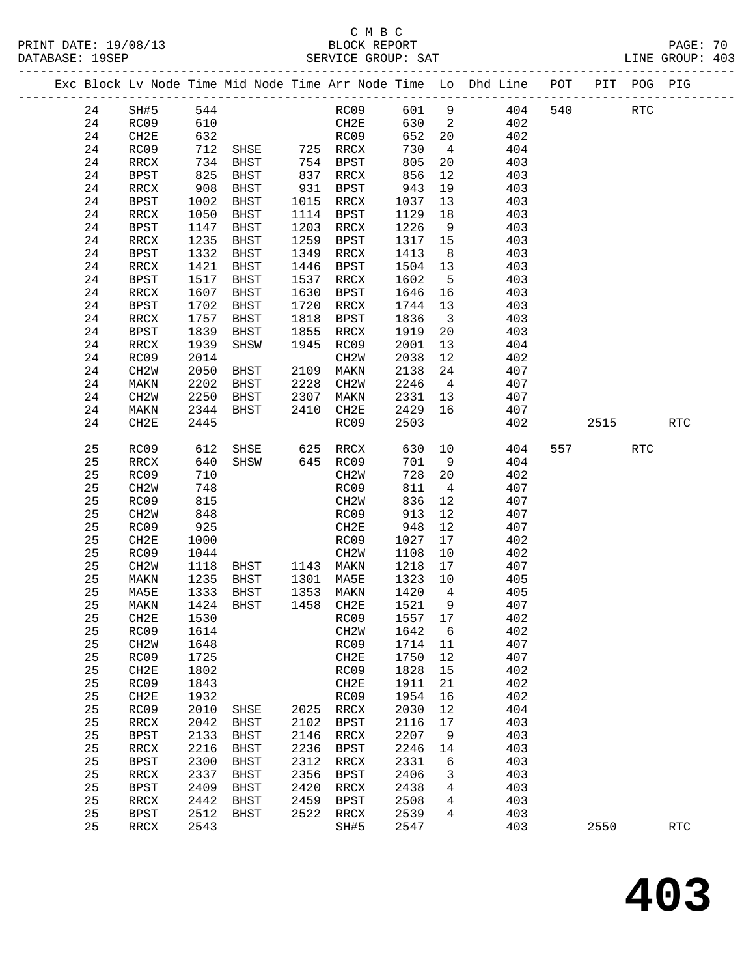#### C M B C<br>BLOCK REPORT DATABASE: 19SEP SERVICE GROUP: SAT LINE GROUP: 403

------------------------------------------------------------------------------------------------- Exc Block Lv Node Time Mid Node Time Arr Node Time Lo Dhd Line POT PIT POG PIG

| 24 | SH#5                     | 544  |                |      | RC09        | 601 9        |                          | 404 | 540 540<br>RTC |                      |
|----|--------------------------|------|----------------|------|-------------|--------------|--------------------------|-----|----------------|----------------------|
| 24 | RC09                     | 610  |                |      | CH2E        | 630          | $\overline{\phantom{a}}$ | 402 |                |                      |
| 24 | CH2E                     | 632  |                |      | RC09        | 652          | 20                       | 402 |                |                      |
| 24 | RC09                     | 712  | SHSE           |      | 725 RRCX    | 730          | $\overline{4}$           | 404 |                |                      |
| 24 | RRCX                     | 734  | BHST           |      | 754 BPST    | 805          | 20                       | 403 |                |                      |
| 24 | BPST                     | 825  | BHST           | 837  | RRCX        | 856          | 12                       | 403 |                |                      |
| 24 | RRCX                     | 908  | BHST           | 931  | BPST        | 943          | 19                       | 403 |                |                      |
| 24 | <b>BPST</b>              | 1002 | BHST           | 1015 | RRCX        | 1037         | 13                       | 403 |                |                      |
| 24 | RRCX                     | 1050 | BHST           | 1114 | BPST        | 1129         | 18                       | 403 |                |                      |
| 24 | BPST                     | 1147 | BHST           | 1203 | RRCX        | 1226         | 9                        | 403 |                |                      |
| 24 |                          |      | BHST           | 1259 |             |              |                          |     |                |                      |
|    | RRCX                     | 1235 |                |      | <b>BPST</b> | 1317 15      |                          | 403 |                |                      |
| 24 | BPST                     | 1332 | BHST           | 1349 | RRCX        | 1413         | 8 <sup>8</sup>           | 403 |                |                      |
| 24 | RRCX                     | 1421 | BHST           | 1446 | BPST        | 1504 13      |                          | 403 |                |                      |
| 24 | BPST                     | 1517 | BHST           | 1537 | RRCX        | 1602         | $-5$                     | 403 |                |                      |
| 24 | $\mathop{\mathrm{RRCX}}$ | 1607 | BHST           | 1630 | <b>BPST</b> | 1646         | 16                       | 403 |                |                      |
| 24 | <b>BPST</b>              | 1702 | BHST           | 1720 | RRCX        | 1744         | 13                       | 403 |                |                      |
| 24 | RRCX                     | 1757 | BHST           | 1818 | BPST        | 1836         | $\overline{\mathbf{3}}$  | 403 |                |                      |
| 24 | <b>BPST</b>              | 1839 | BHST           | 1855 | RRCX        | 1919         | 20                       | 403 |                |                      |
| 24 | RRCX                     | 1939 | SHSW           | 1945 | RC09        | 2001         | 13                       | 404 |                |                      |
| 24 | RC09                     | 2014 |                |      | CH2W        | 2038         | 12                       | 402 |                |                      |
| 24 | CH2W                     | 2050 | BHST           | 2109 | MAKN        | 2138         | 24                       | 407 |                |                      |
| 24 | MAKN                     | 2202 | BHST           | 2228 | CH2W        | 2246         | $\overline{4}$           | 407 |                |                      |
| 24 | CH <sub>2</sub> W        | 2250 | BHST           | 2307 | MAKN        | 2331         | 13                       | 407 |                |                      |
| 24 | MAKN                     | 2344 | BHST           | 2410 | CH2E        | 2429         | 16                       | 407 |                |                      |
| 24 | CH2E                     | 2445 |                |      | RC09        | 2503         |                          | 402 | 2515           | <b>RTC</b>           |
|    |                          |      |                |      |             |              |                          |     |                |                      |
| 25 | RC09                     | 612  | SHSE 625 RRCX  |      |             | 630 10       |                          | 404 | 557 35<br>RTC  |                      |
| 25 | RRCX                     | 640  | SHSW           |      | 645 RC09    | 701 9        |                          | 404 |                |                      |
| 25 | RC09                     | 710  |                |      | CH2W        | 728          | 20                       | 402 |                |                      |
| 25 | CH <sub>2</sub> W        | 748  |                |      | RC09        | 811          | $\overline{4}$           | 407 |                |                      |
| 25 | RC09                     | 815  |                |      | CH2W        | 836          | 12                       | 407 |                |                      |
| 25 | CH2W                     | 848  |                |      | RC09        | 913          | 12                       | 407 |                |                      |
| 25 | RC09                     | 925  |                |      | CH2E        | 948          | 12                       | 407 |                |                      |
| 25 | CH2E                     | 1000 |                |      | RC09        | 1027         | 17                       | 402 |                |                      |
| 25 | RC09                     | 1044 |                |      | CH2W        | 1108         | 10                       | 402 |                |                      |
| 25 | CH2W                     | 1118 | BHST 1143 MAKN |      |             | 1218         | 17                       | 407 |                |                      |
| 25 | MAKN                     | 1235 | BHST           | 1301 | MA5E        | 1323         | 10                       | 405 |                |                      |
| 25 | MA5E                     | 1333 | BHST           | 1353 | MAKN        | 1420         | $\overline{4}$           | 405 |                |                      |
| 25 | MAKN                     | 1424 | BHST           | 1458 | CH2E        | 1521         | 9                        | 407 |                |                      |
| 25 | CH2E                     | 1530 |                |      | RC09        | 1557 17      |                          | 402 |                |                      |
| 25 | RC09                     | 1614 |                |      | CH2W        | 1642         | 6                        | 402 |                |                      |
| 25 | CH2W                     | 1648 |                |      |             | RC09 1714 11 |                          | 407 |                |                      |
| 25 | RC09                     | 1725 |                |      | CH2E        | 1750 12      |                          | 407 |                |                      |
| 25 | CH2E                     | 1802 |                |      | RC09        | 1828         | 15                       | 402 |                |                      |
| 25 | RC09                     | 1843 |                |      | CH2E        | 1911         | 21                       | 402 |                |                      |
| 25 | CH2E                     | 1932 |                |      | RC09        | 1954         | 16                       | 402 |                |                      |
| 25 | RC09                     | 2010 | SHSE           | 2025 | RRCX        | 2030         | 12                       | 404 |                |                      |
| 25 | RRCX                     | 2042 | BHST           | 2102 | BPST        | 2116         | 17                       | 403 |                |                      |
| 25 | <b>BPST</b>              | 2133 | <b>BHST</b>    | 2146 | RRCX        | 2207         | 9                        | 403 |                |                      |
| 25 | $\verb!RRCX!$            | 2216 | BHST           | 2236 | BPST        | 2246         | 14                       | 403 |                |                      |
| 25 | BPST                     | 2300 | BHST           | 2312 | RRCX        | 2331         | 6                        | 403 |                |                      |
| 25 | RRCX                     | 2337 | BHST           | 2356 | BPST        | 2406         | 3                        | 403 |                |                      |
| 25 | <b>BPST</b>              | 2409 | BHST           | 2420 | RRCX        | 2438         | $\overline{4}$           | 403 |                |                      |
| 25 | $\verb!RRCX!$            | 2442 | BHST           | 2459 | BPST        | 2508         | $4\overline{ }$          | 403 |                |                      |
| 25 | BPST                     | 2512 | BHST           | 2522 | RRCX        | 2539         | 4                        | 403 |                |                      |
| 25 | RRCX                     | 2543 |                |      | SH#5        | 2547         |                          | 403 | 2550           | $\operatorname{RTC}$ |
|    |                          |      |                |      |             |              |                          |     |                |                      |
|    |                          |      |                |      |             |              |                          |     |                |                      |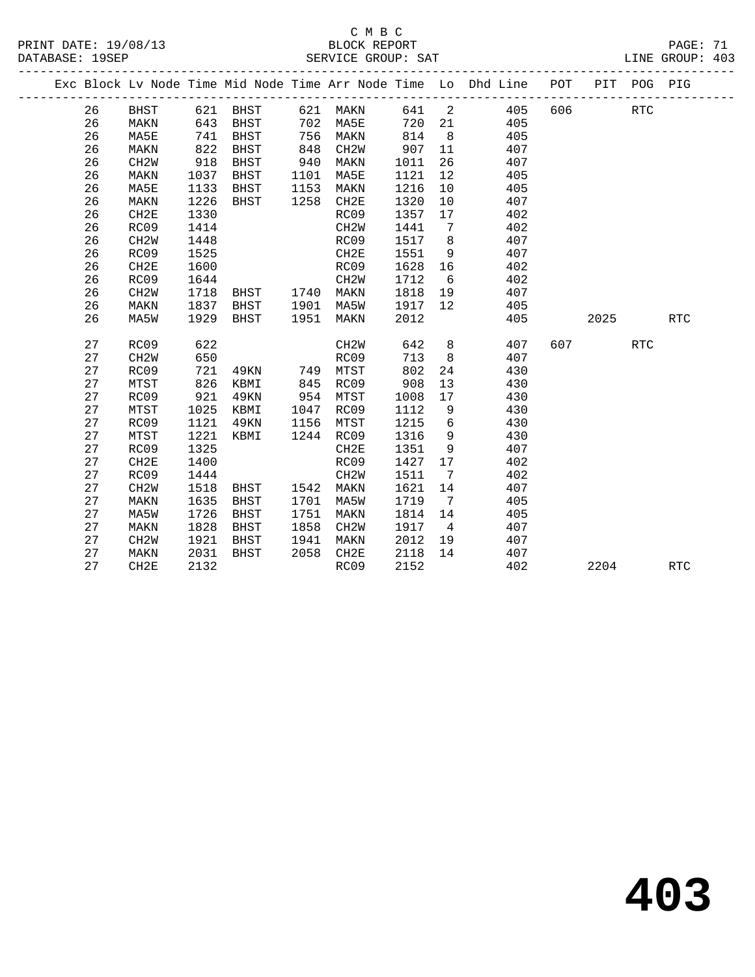|  |    |                   |      |             |      |                   |      |                            | Exc Block Lv Node Time Mid Node Time Arr Node Time Lo Dhd Line POT<br>------------------- |     | PIT  | POG PIG    |            |  |
|--|----|-------------------|------|-------------|------|-------------------|------|----------------------------|-------------------------------------------------------------------------------------------|-----|------|------------|------------|--|
|  | 26 | <b>BHST</b>       | 621  | BHST        | 621  | MAKN              | 641  | $\overline{\phantom{0}}^2$ | 405                                                                                       | 606 |      | <b>RTC</b> |            |  |
|  | 26 | MAKN              | 643  | BHST        | 702  | MA5E              | 720  | 21                         | 405                                                                                       |     |      |            |            |  |
|  | 26 | MA5E              | 741  | BHST        | 756  | MAKN              | 814  | 8 <sup>8</sup>             | 405                                                                                       |     |      |            |            |  |
|  | 26 | MAKN              | 822  | BHST        | 848  | CH <sub>2</sub> M | 907  | 11                         | 407                                                                                       |     |      |            |            |  |
|  | 26 | CH <sub>2</sub> W | 918  | BHST        | 940  | MAKN              | 1011 | 26                         | 407                                                                                       |     |      |            |            |  |
|  | 26 | MAKN              | 1037 | BHST        | 1101 | MA5E              | 1121 | 12                         | 405                                                                                       |     |      |            |            |  |
|  | 26 | MA5E              | 1133 | BHST        | 1153 | MAKN              | 1216 | 10                         | 405                                                                                       |     |      |            |            |  |
|  | 26 | MAKN              | 1226 | BHST        | 1258 | CH2E              | 1320 | 10                         | 407                                                                                       |     |      |            |            |  |
|  | 26 | CH <sub>2E</sub>  | 1330 |             |      | RC09              | 1357 | 17                         | 402                                                                                       |     |      |            |            |  |
|  | 26 | RC09              | 1414 |             |      | CH <sub>2</sub> W | 1441 | $\overline{7}$             | 402                                                                                       |     |      |            |            |  |
|  | 26 | CH <sub>2</sub> W | 1448 |             |      | RC09              | 1517 | 8                          | 407                                                                                       |     |      |            |            |  |
|  | 26 | RC09              | 1525 |             |      | CH2E              | 1551 | 9                          | 407                                                                                       |     |      |            |            |  |
|  | 26 | CH <sub>2E</sub>  | 1600 |             |      | RC09              | 1628 | 16                         | 402                                                                                       |     |      |            |            |  |
|  | 26 | RC09              | 1644 |             |      | CH <sub>2</sub> M | 1712 | 6                          | 402                                                                                       |     |      |            |            |  |
|  | 26 | CH <sub>2</sub> W | 1718 | BHST        | 1740 | MAKN              | 1818 | 19                         | 407                                                                                       |     |      |            |            |  |
|  | 26 | MAKN              | 1837 | BHST        | 1901 | MA5W              | 1917 | 12                         | 405                                                                                       |     |      |            |            |  |
|  | 26 | MA5W              | 1929 | BHST        | 1951 | MAKN              | 2012 |                            | 405                                                                                       |     | 2025 |            | <b>RTC</b> |  |
|  |    |                   |      |             |      |                   |      |                            |                                                                                           |     |      |            |            |  |
|  | 27 | RC09              | 622  |             |      | CH <sub>2</sub> W | 642  | 8                          | 407                                                                                       | 607 |      | <b>RTC</b> |            |  |
|  | 27 | CH <sub>2</sub> W | 650  |             |      | RC09              | 713  | 8                          | 407                                                                                       |     |      |            |            |  |
|  | 27 | RC09              | 721  | 49KN        | 749  | MTST              | 802  | 24                         | 430                                                                                       |     |      |            |            |  |
|  | 27 | MTST              | 826  | KBMI        | 845  | RC09              | 908  | 13                         | 430                                                                                       |     |      |            |            |  |
|  | 27 | RC09              | 921  | 49KN        | 954  | MTST              | 1008 | 17                         | 430                                                                                       |     |      |            |            |  |
|  | 27 | MTST              | 1025 | KBMI        | 1047 | RC09              | 1112 | 9                          | 430                                                                                       |     |      |            |            |  |
|  | 27 | RC09              | 1121 | 49KN        | 1156 | MTST              | 1215 | $6\overline{6}$            | 430                                                                                       |     |      |            |            |  |
|  | 27 | MTST              | 1221 | KBMI        | 1244 | RC09              | 1316 | 9                          | 430                                                                                       |     |      |            |            |  |
|  | 27 | RC09              | 1325 |             |      | CH2E              | 1351 | 9                          | 407                                                                                       |     |      |            |            |  |
|  | 27 | CH2E              | 1400 |             |      | RC09              | 1427 | 17                         | 402                                                                                       |     |      |            |            |  |
|  | 27 | RC09              | 1444 |             |      | CH <sub>2</sub> W | 1511 | 7                          | 402                                                                                       |     |      |            |            |  |
|  | 27 | CH <sub>2</sub> W | 1518 | BHST        | 1542 | MAKN              | 1621 | 14                         | 407                                                                                       |     |      |            |            |  |
|  | 27 | MAKN              | 1635 | BHST        | 1701 | MA5W              | 1719 | 7                          | 405                                                                                       |     |      |            |            |  |
|  | 27 | MA5W              | 1726 | <b>BHST</b> | 1751 | MAKN              | 1814 | 14                         | 405                                                                                       |     |      |            |            |  |
|  | 27 | MAKN              | 1828 | BHST        | 1858 | CH <sub>2</sub> M | 1917 | $\overline{4}$             | 407                                                                                       |     |      |            |            |  |
|  | 27 | CH <sub>2</sub> W | 1921 | BHST        | 1941 | MAKN              | 2012 | 19                         | 407                                                                                       |     |      |            |            |  |
|  | 27 | MAKN              | 2031 | BHST        | 2058 | CH2E              | 2118 | 14                         | 407                                                                                       |     |      |            |            |  |
|  | 27 | CH2E              | 2132 |             |      | RC09              | 2152 |                            | 402                                                                                       |     | 2204 |            | <b>RTC</b> |  |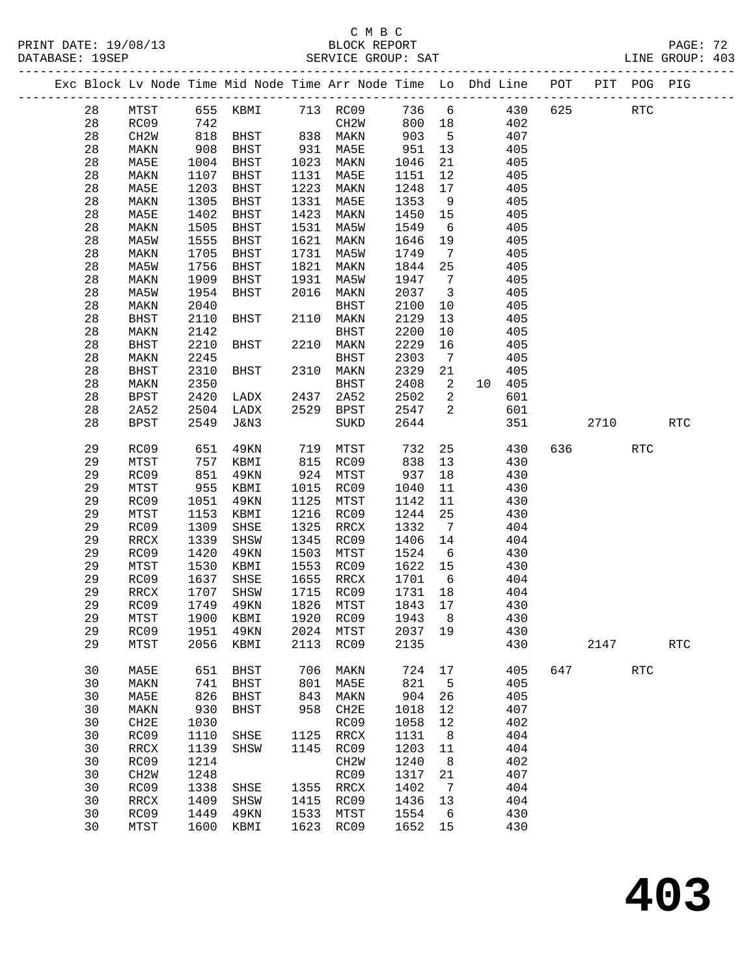#### C M B C<br>BLOCK REPORT SERVICE GROUP: SAT

PRINT DATE: 19/08/13 BLOCK REPORT PAGE: 72

|          |              |              | Exc Block Lv Node Time Mid Node Time Arr Node Time Lo Dhd Line POT PIT POG PIG |              |                          |                 |                          |    |            |     |            |                      |            |
|----------|--------------|--------------|--------------------------------------------------------------------------------|--------------|--------------------------|-----------------|--------------------------|----|------------|-----|------------|----------------------|------------|
| 28       | MTST         |              | 655 KBMI 713 RC09 736 6 430 625                                                |              |                          |                 |                          |    |            |     | <b>RTC</b> |                      |            |
| 28       | RC09         | 742          |                                                                                |              | CH2W                     | 800 18          |                          |    | 402        |     |            |                      |            |
| 28       | CH2W         |              | 818 BHST 838 MAKN                                                              |              |                          | 903             | $5^{\circ}$              |    | 407        |     |            |                      |            |
| 28       | MAKN         | 908          | BHST                                                                           |              | 931 MA5E                 | 951<br>1046     | 13                       |    | 405        |     |            |                      |            |
| 28       | MA5E         | 1004         | BHST                                                                           |              | 1023 MAKN                |                 | 21                       |    | 405        |     |            |                      |            |
| 28       | MAKN         | 1107         | BHST                                                                           | 1131         | MA5E                     | 1151            | 12                       |    | 405        |     |            |                      |            |
| 28       | MA5E         | 1203         | BHST                                                                           | 1223         | MAKN                     | 1248            | 17                       |    | 405        |     |            |                      |            |
| 28       | MAKN         | 1305         | BHST                                                                           | 1331         | MA5E                     | 1353            | 9                        |    | 405        |     |            |                      |            |
| 28       | MA5E         | 1402         | BHST                                                                           | 1423         | MAKN                     | 1450            | 15                       |    | 405        |     |            |                      |            |
| 28       | MAKN         | 1505         | BHST                                                                           |              | 1531 MA5W                | 1549            | 6                        |    | 405        |     |            |                      |            |
| 28       | MA5W         | 1555         | BHST                                                                           |              | 1621 MAKN                | 1646            | 19                       |    | 405        |     |            |                      |            |
| 28       | MAKN         | 1705         | BHST                                                                           | 1731         | MA5W                     | 1749            | $\overline{7}$           |    | 405        |     |            |                      |            |
| 28       | MA5W         | 1756         | BHST                                                                           | 1821         | MAKN                     | 1844            | 25                       |    | 405        |     |            |                      |            |
| 28       | MAKN         | 1909         | BHST                                                                           | 1931         | MA5W                     | 1947            | $\overline{7}$           |    | 405        |     |            |                      |            |
| 28       | MA5W         | 1954         | BHST                                                                           | 2016         | MAKN                     | 2037            | $\overline{\mathbf{3}}$  |    | 405        |     |            |                      |            |
| 28       | MAKN         | 2040         |                                                                                |              | BHST                     | 2100            | 10                       |    | 405        |     |            |                      |            |
| 28       | BHST         | 2110         | BHST                                                                           |              | 2110 MAKN                | 2129            | 13                       |    | 405        |     |            |                      |            |
| 28       | MAKN         | 2142         |                                                                                |              | BHST                     | 2200            | 10                       |    | 405        |     |            |                      |            |
| 28       | BHST         | 2210         | BHST                                                                           |              | 2210 MAKN                | 2229            | 16                       |    | 405        |     |            |                      |            |
| 28       | MAKN         | 2245         |                                                                                |              | BHST                     | 2303            | $\overline{7}$           |    | 405        |     |            |                      |            |
| 28       | <b>BHST</b>  | 2310         | BHST                                                                           |              | 2310 MAKN                | 2329            | 21                       |    | 405        |     |            |                      |            |
| 28       | MAKN         | 2350         |                                                                                |              | BHST                     | 2408            | $\overline{\mathbf{c}}$  |    | 10 405     |     |            |                      |            |
| 28       | BPST         | 2420         | LADX                                                                           |              | 2437 2A52                | 2502            | $\overline{\phantom{a}}$ |    | 601        |     |            |                      |            |
| 28       | 2A52         | 2504         | LADX                                                                           |              | 2529 BPST                | 2547            | $\overline{\phantom{a}}$ |    | 601        |     |            |                      |            |
| 28       | <b>BPST</b>  | 2549         | J&N3                                                                           |              | SUKD                     | 2644            |                          |    | 351        |     | 2710       |                      | <b>RTC</b> |
| 29       | RC09         | 651          | 49KN                                                                           | 719          | MTST                     | 732             |                          | 25 | 430        | 636 |            | $\operatorname{RTC}$ |            |
| 29       | MTST         |              | 757 KBMI                                                                       |              | 815 RC09                 | 838             | 13                       |    | 430        |     |            |                      |            |
| 29       | RC09         | 851          | 49KN                                                                           |              | 924 MTST                 | 937             | 18                       |    | 430        |     |            |                      |            |
| 29       | MTST         | 955          | KBMI                                                                           | 1015         | RC09                     | 1040            | 11                       |    | 430        |     |            |                      |            |
| 29       | RC09         | 1051         | 49KN                                                                           | 1125         | MTST                     | 1142            | 11                       |    | 430        |     |            |                      |            |
| 29       | MTST         | 1153         | KBMI                                                                           | 1216         | RC09                     | 1244            | 25                       |    | 430        |     |            |                      |            |
| 29       | RC09         | 1309         | SHSE                                                                           | 1325         | RRCX                     | 1332            | $\overline{7}$           |    | 404        |     |            |                      |            |
| 29       | RRCX         | 1339         | SHSW                                                                           | 1345         | RC09                     | 1406            | 14                       |    | 404        |     |            |                      |            |
| 29       |              | 1420         |                                                                                | 1503         |                          | 1524            | 6                        |    |            |     |            |                      |            |
| 29       | RC09<br>MTST | 1530         | 49KN                                                                           |              | MTST<br>1553 RC09        | 1622            |                          |    | 430<br>430 |     |            |                      |            |
|          |              |              | KBMI                                                                           |              |                          |                 | 15<br>$6\overline{6}$    |    |            |     |            |                      |            |
| 29       | RC09         | 1637         | SHSE                                                                           | 1655         | RRCX                     | 1701            |                          |    | 404        |     |            |                      |            |
| 29       | RRCX         | 1707         | SHSW                                                                           |              | 1715 RC09                | 1731<br>1843    | 18                       |    | 404        |     |            |                      |            |
| 29       | RC09         | 1749         | 49KN                                                                           |              | 1826 MTST                |                 | 17                       |    | 430        |     |            |                      |            |
| 29       | MTST         |              | 1900 KBMI 1920 RC09 1943 8                                                     |              |                          |                 |                          |    | 430        |     |            |                      |            |
| 29<br>29 | RC09<br>MTST | 1951<br>2056 | 49KN<br>KBMI                                                                   | 2024<br>2113 | MTST<br>RC09             | 2037 19<br>2135 |                          |    | 430<br>430 |     | 2147       |                      | RTC        |
|          |              |              |                                                                                |              |                          |                 |                          |    |            |     |            |                      |            |
| 30       | MA5E         | 651          | BHST                                                                           | 706          | MAKN                     | 724             | 17                       |    | 405        |     | 647        | <b>RTC</b>           |            |
| 30       | MAKN         | 741          | <b>BHST</b>                                                                    | 801          | MA5E                     | 821             | $\overline{5}$           |    | 405        |     |            |                      |            |
| 30       | MA5E         | 826          | BHST                                                                           | 843          | MAKN                     | 904             | 26                       |    | 405        |     |            |                      |            |
| 30       | MAKN         | 930          | BHST                                                                           | 958          | CH2E                     | 1018            | 12                       |    | 407        |     |            |                      |            |
| 30       | CH2E         | 1030         |                                                                                |              | RC09                     | 1058            | 12                       |    | 402        |     |            |                      |            |
| 30       | RC09         | 1110         | SHSE                                                                           | 1125         | RRCX                     | 1131            | 8 <sup>8</sup>           |    | 404        |     |            |                      |            |
| 30       | RRCX         | 1139         | SHSW                                                                           | 1145         | RC09                     | 1203            | 11                       |    | 404        |     |            |                      |            |
| 30       | RC09         | 1214         |                                                                                |              | CH2W                     | 1240            | 8 <sup>8</sup>           |    | 402        |     |            |                      |            |
| 30       | CH2W         | 1248         |                                                                                |              | RC09                     | 1317            | 21                       |    | 407        |     |            |                      |            |
| 30       | RC09         | 1338         | SHSE                                                                           | 1355         | $\mathop{\mathrm{RRCX}}$ | 1402            | $\overline{7}$           |    | 404        |     |            |                      |            |
| 30       | RRCX         | 1409         | SHSW                                                                           | 1415         | RC09                     | 1436            | 13                       |    | 404        |     |            |                      |            |
| 30       | RC09         | 1449         | 49KN                                                                           | 1533         | MTST                     | 1554            | 6                        |    | 430        |     |            |                      |            |
| 30       | MTST         | 1600         | KBMI                                                                           | 1623         | RC09                     | 1652 15         |                          |    | 430        |     |            |                      |            |
|          |              |              |                                                                                |              |                          |                 |                          |    |            |     |            |                      |            |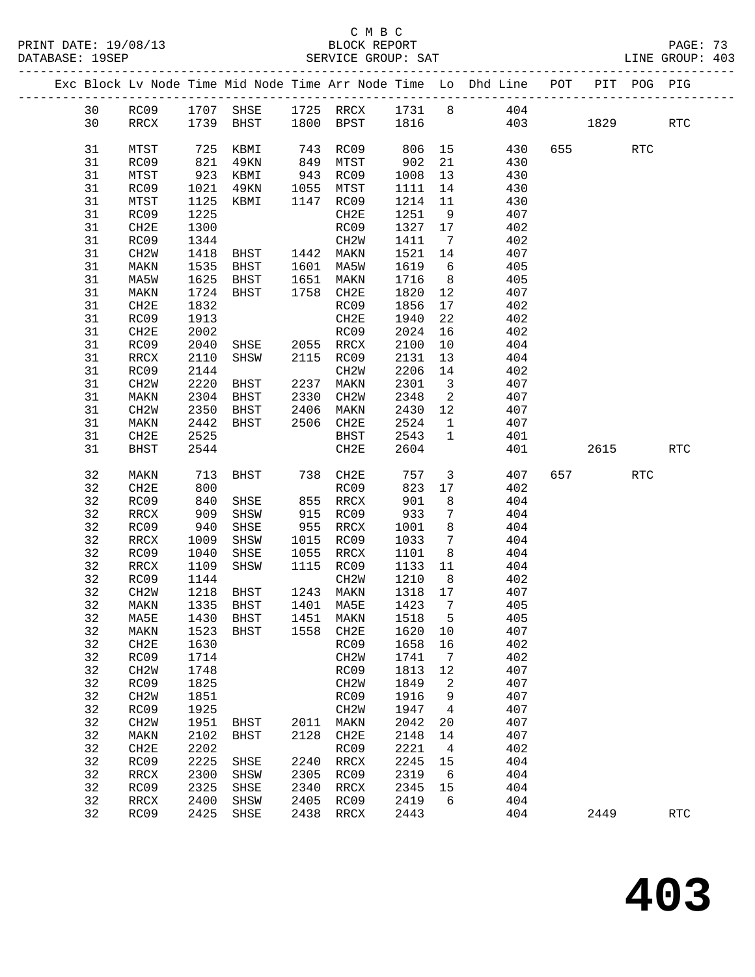## C M B C<br>BLOCK REPORT SERVICE GROUP: SAT

-------------------------------------------------------------------------------------------------

|  |          |                   |              |              |              |                   |              |                 | Exc Block Lv Node Time Mid Node Time Arr Node Time Lo Dhd Line | POT | PIT  | POG PIG    |                      |
|--|----------|-------------------|--------------|--------------|--------------|-------------------|--------------|-----------------|----------------------------------------------------------------|-----|------|------------|----------------------|
|  | 30       | RC09              | 1707         | SHSE         |              | 1725 RRCX         | 1731         | 8               | 404                                                            |     |      |            |                      |
|  | 30       | RRCX              | 1739         | BHST         | 1800         | BPST              | 1816         |                 | 403                                                            |     | 1829 |            | $\operatorname{RTC}$ |
|  |          |                   |              |              |              |                   |              |                 |                                                                |     |      |            |                      |
|  | 31       | MTST              | 725          | KBMI         | 743          | RC09              | 806          | 15              | 430                                                            | 655 |      | <b>RTC</b> |                      |
|  | 31       | RC09              | 821          | 49KN         | 849          | MTST              | 902          | 21              | 430                                                            |     |      |            |                      |
|  | 31       | MTST              | 923          | KBMI         | 943          | RC09              | 1008         | 13              | 430                                                            |     |      |            |                      |
|  | 31       | RC09              | 1021         | 49KN         | 1055         | MTST              | 1111         | 14              | 430                                                            |     |      |            |                      |
|  | 31       | MTST              | 1125         | KBMI         | 1147         | RC09              | 1214         | 11              | 430                                                            |     |      |            |                      |
|  | 31       | RC09              | 1225         |              |              | CH2E              | 1251         | 9               | 407                                                            |     |      |            |                      |
|  | 31       | CH2E              | 1300         |              |              | RC09              | 1327         | 17              | 402                                                            |     |      |            |                      |
|  | 31       | RC09              | 1344         |              |              | CH <sub>2</sub> M | 1411         | 7               | 402                                                            |     |      |            |                      |
|  | 31       | CH <sub>2</sub> W | 1418         | BHST         | 1442         | MAKN              | 1521         | 14              | 407                                                            |     |      |            |                      |
|  | 31       | MAKN              | 1535         | BHST         | 1601         | MA5W              | 1619         | 6               | 405                                                            |     |      |            |                      |
|  | 31       | MA5W              | 1625         | BHST         | 1651         | MAKN              | 1716         | 8               | 405                                                            |     |      |            |                      |
|  | 31       | MAKN              | 1724         | BHST         | 1758         | CH2E              | 1820         | 12              | 407                                                            |     |      |            |                      |
|  | 31       | CH2E              | 1832         |              |              | RC09              | 1856         | 17              | 402                                                            |     |      |            |                      |
|  | 31<br>31 | RC09<br>CH2E      | 1913<br>2002 |              |              | CH2E<br>RC09      | 1940<br>2024 | 22<br>16        | 402<br>402                                                     |     |      |            |                      |
|  | 31       | RC09              | 2040         | SHSE         | 2055         | RRCX              | 2100         | 10              | 404                                                            |     |      |            |                      |
|  | 31       | RRCX              | 2110         | SHSW         | 2115         | RC09              | 2131         | 13              | 404                                                            |     |      |            |                      |
|  | 31       | RC09              | 2144         |              |              | CH <sub>2</sub> M | 2206         | 14              | 402                                                            |     |      |            |                      |
|  | 31       | CH <sub>2</sub> W | 2220         | BHST         | 2237         | MAKN              | 2301         | 3               | 407                                                            |     |      |            |                      |
|  | 31       | MAKN              | 2304         | BHST         | 2330         | CH2W              | 2348         | 2               | 407                                                            |     |      |            |                      |
|  | 31       | CH2W              | 2350         | BHST         | 2406         | MAKN              | 2430         | 12              | 407                                                            |     |      |            |                      |
|  | 31       | MAKN              | 2442         | BHST         | 2506         | CH2E              | 2524         | $\mathbf{1}$    | 407                                                            |     |      |            |                      |
|  | 31       | CH2E              | 2525         |              |              | BHST              | 2543         | $\mathbf{1}$    | 401                                                            |     |      |            |                      |
|  | 31       | <b>BHST</b>       | 2544         |              |              | CH2E              | 2604         |                 | 401                                                            |     | 2615 |            | $\operatorname{RTC}$ |
|  |          |                   |              |              |              |                   |              |                 |                                                                |     |      |            |                      |
|  | 32       | MAKN              | 713          | BHST         | 738          | CH2E              | 757          | 3               | 407                                                            | 657 |      | <b>RTC</b> |                      |
|  | 32       | CH2E              | 800          |              |              | RC09              | 823          | 17              | 402                                                            |     |      |            |                      |
|  | 32       | RC09              | 840          | SHSE         | 855          | RRCX              | 901          | 8               | 404                                                            |     |      |            |                      |
|  | 32       | RRCX              | 909          | SHSW         | 915          | RC09              | 933          | 7               | 404                                                            |     |      |            |                      |
|  | 32       | RC09              | 940          | SHSE         | 955          | RRCX              | 1001         | 8               | 404                                                            |     |      |            |                      |
|  | 32       | RRCX              | 1009         | SHSW         | 1015         | RC09              | 1033         | 7               | 404                                                            |     |      |            |                      |
|  | 32       | RC09              | 1040         | SHSE         | 1055         | RRCX              | 1101         | 8               | 404                                                            |     |      |            |                      |
|  | 32       | RRCX              | 1109         | SHSW         | 1115         | RC09              | 1133         | 11              | 404                                                            |     |      |            |                      |
|  | 32       | RC09              | 1144         |              |              | CH <sub>2</sub> W | 1210         | 8               | 402                                                            |     |      |            |                      |
|  | 32<br>32 | CH <sub>2</sub> W | 1218         | BHST         | 1243<br>1401 | MAKN              | 1318<br>1423 | 17<br>7         | 407                                                            |     |      |            |                      |
|  | 32       | MAKN<br>MA5E      | 1335<br>1430 | BHST<br>BHST | 1451         | MA5E<br>MAKN      | 1518         | 5               | 405<br>405                                                     |     |      |            |                      |
|  | 32       | MAKN              |              | 1523 BHST    |              | 1558 CH2E         | 1620 10      |                 | 407                                                            |     |      |            |                      |
|  | 32       | CH2E              | 1630         |              |              | RC09              | 1658         | 16              | 402                                                            |     |      |            |                      |
|  | 32       | RC09              | 1714         |              |              | CH <sub>2</sub> M | 1741         | $\overline{7}$  | 402                                                            |     |      |            |                      |
|  | 32       | CH <sub>2</sub> W | 1748         |              |              | RC09              | 1813         | 12              | 407                                                            |     |      |            |                      |
|  | 32       | RC09              | 1825         |              |              | CH <sub>2</sub> M | 1849         | 2               | 407                                                            |     |      |            |                      |
|  | 32       | CH <sub>2</sub> W | 1851         |              |              | RC09              | 1916         | 9               | 407                                                            |     |      |            |                      |
|  | 32       | RC09              | 1925         |              |              | CH <sub>2</sub> M | 1947         | 4               | 407                                                            |     |      |            |                      |
|  | 32       | CH <sub>2</sub> W | 1951         | BHST         | 2011         | MAKN              | 2042         | 20              | 407                                                            |     |      |            |                      |
|  | 32       | MAKN              | 2102         | BHST         | 2128         | CH2E              | 2148         | 14              | 407                                                            |     |      |            |                      |
|  | 32       | CH2E              | 2202         |              |              | RC09              | 2221         | $\overline{4}$  | 402                                                            |     |      |            |                      |
|  | 32       | RC09              | 2225         | SHSE         | 2240         | RRCX              | 2245         | 15              | 404                                                            |     |      |            |                      |
|  | 32       | RRCX              | 2300         | SHSW         | 2305         | RC09              | 2319         | $6\overline{6}$ | 404                                                            |     |      |            |                      |
|  | 32       | RC09              | 2325         | SHSE         | 2340         | RRCX              | 2345         | 15              | 404                                                            |     |      |            |                      |
|  | 32       | RRCX              | 2400         | SHSW         | 2405         | RC09              | 2419         | 6               | 404                                                            |     |      |            |                      |
|  | 32       | RC09              | 2425         | SHSE         | 2438         | RRCX              | 2443         |                 | 404                                                            |     | 2449 |            | $\operatorname{RTC}$ |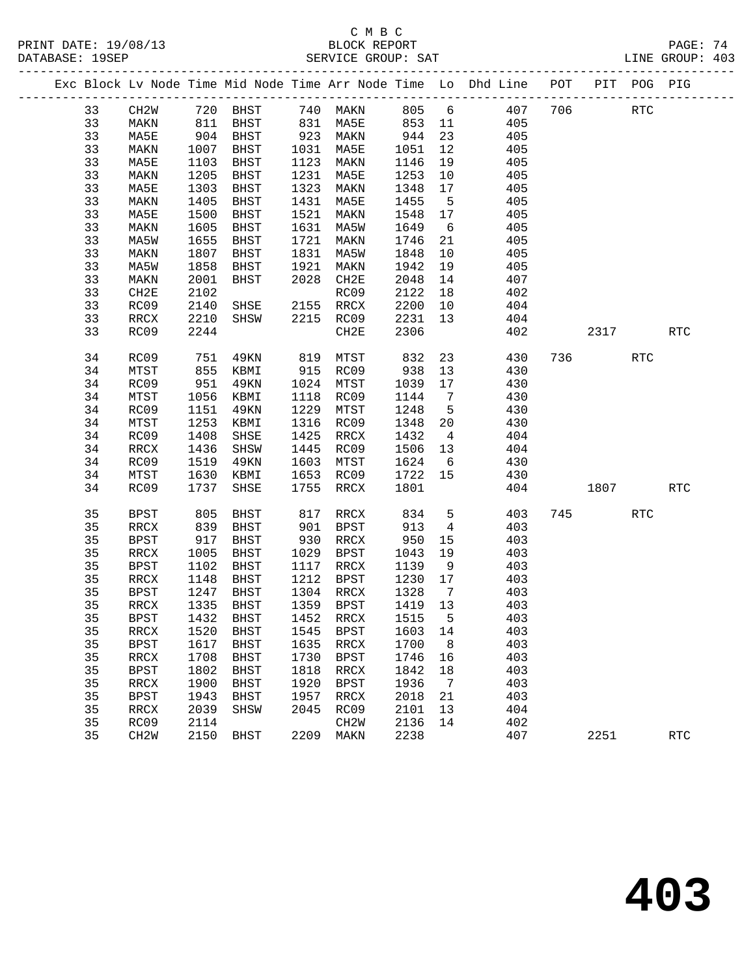### C M B C<br>BLOCK REPORT SERVICE GROUP: SAT

PRINT DATE: 19/08/13 BLOCK REPORT PAGE: 74

|  |          |                   |              |                                 |              |                        |              |                | Exc Block Lv Node Time Mid Node Time Arr Node Time Lo Dhd Line POT PIT POG PIG |     |             |            |                      |
|--|----------|-------------------|--------------|---------------------------------|--------------|------------------------|--------------|----------------|--------------------------------------------------------------------------------|-----|-------------|------------|----------------------|
|  | 33       | CH2W              |              |                                 |              |                        |              |                | 720 BHST 740 MAKN 805 6 407                                                    | 706 |             | <b>RTC</b> |                      |
|  | 33       | MAKN              |              | 811 BHST 831 MA5E 853 11        |              |                        |              |                | 405                                                                            |     |             |            |                      |
|  | 33       | MA5E              | 904          | BHST                            |              | 923 MAKN               | 944          | 23             | 405                                                                            |     |             |            |                      |
|  | 33       | MAKN              | 1007         | BHST                            |              | 1031 MA5E<br>1123 MAKN | 1051         | 12             | 405                                                                            |     |             |            |                      |
|  | 33       | MA5E              | 1103         | BHST                            |              | 1123 MAKN              | 1146         | 19             | 405                                                                            |     |             |            |                      |
|  | 33       | MAKN              | 1205         | BHST                            | 1231         | MA5E                   | 1253         | 10             | 405                                                                            |     |             |            |                      |
|  | 33       | MA5E              | 1303         | BHST                            | 1323         | MAKN                   | 1348         | 17             | 405                                                                            |     |             |            |                      |
|  | 33       | MAKN              | 1405         | BHST                            | 1431         | MA5E                   | 1455         | $5^{\circ}$    | 405                                                                            |     |             |            |                      |
|  | 33       | MA5E              | 1500         | BHST                            |              | 1521 MAKN              | 1548         | 17             | 405                                                                            |     |             |            |                      |
|  | 33       | MAKN              | 1605         | BHST                            |              | 1631 MA5W              | 1649         | 6              | 405                                                                            |     |             |            |                      |
|  | 33       | MA5W              | 1655         | BHST                            |              | 1721 MAKN              | 1746         | 21             | 405                                                                            |     |             |            |                      |
|  | 33       | MAKN              | 1807         | BHST                            | 1831         | MA5W                   | 1848         | 10             | 405                                                                            |     |             |            |                      |
|  | 33       | MA5W              | 1858         | BHST                            |              | 1921 MAKN              | 1942         | 19             | 405                                                                            |     |             |            |                      |
|  | 33       | MAKN              | 2001         | BHST                            |              | 2028 CH2E              | 2048         | 14             | 407                                                                            |     |             |            |                      |
|  | 33       | CH2E              | 2102         |                                 |              | RC09                   | 2122         | 18             | 402                                                                            |     |             |            |                      |
|  | 33       | RC09              | 2140         | SHSE                            |              | 2155 RRCX              | 2200         | 10             | 404                                                                            |     |             |            |                      |
|  | 33       | RRCX              | 2210         | SHSW                            |              | 2215 RC09              | 2231         | 13             | 404                                                                            |     |             |            |                      |
|  | 33       | RC09              | 2244         |                                 |              | CH2E                   | 2306         |                | 402                                                                            |     | 2317        |            | RTC                  |
|  | 34       | RC09              | 751          | 49KN                            |              | 819 MTST               | 832          | 23             | 430                                                                            |     | 736         | <b>RTC</b> |                      |
|  | 34       | MTST              | 855          | KBMI                            |              | 915 RC09               | 938          | 13             | 430                                                                            |     |             |            |                      |
|  | 34       | RC09              | 951          | 49KN                            |              | 1024 MTST              | 1039         | 17             | 430                                                                            |     |             |            |                      |
|  | 34       | MTST              | 1056         | KBMI                            |              | 1118 RC09              | 1144         | $\overline{7}$ | 430                                                                            |     |             |            |                      |
|  | 34       | RC09              | 1151         | 49KN                            |              | 1229 MTST              | 1248         | $5^{\circ}$    | 430                                                                            |     |             |            |                      |
|  | 34       | MTST              | 1253         | KBMI                            |              | 1316 RC09              | 1348         | 20             | 430                                                                            |     |             |            |                      |
|  | 34       | RC09              | 1408         | SHSE                            |              | 1425 RRCX              | 1432         | $\overline{4}$ | 404                                                                            |     |             |            |                      |
|  | 34       | RRCX              | 1436         | SHSW                            |              | 1445 RC09              | 1506 13      |                | 404                                                                            |     |             |            |                      |
|  | 34       | RC09              | 1519         | 49KN                            | 1603         | MTST                   | 1624         | 6              | 430                                                                            |     |             |            |                      |
|  | 34       | MTST              | 1630         | KBMI                            | 1653         | RC09                   | 1722         | 15             | 430                                                                            |     |             |            |                      |
|  | 34       | RC09              | 1737         | SHSE                            | 1755         | RRCX                   | 1801         |                | 404                                                                            |     | 1807 - 1800 |            | <b>RTC</b>           |
|  | 35       | BPST              | 805          | BHST                            | 817          | RRCX                   | 834          | $5^{\circ}$    | 403                                                                            |     | 745         | <b>RTC</b> |                      |
|  | 35       | RRCX              | 839          | BHST                            |              | 901 BPST               | 913          | $\overline{4}$ | 403                                                                            |     |             |            |                      |
|  | 35       | BPST              | 917          | BHST                            |              | 930 RRCX               | 950          | 15             | 403                                                                            |     |             |            |                      |
|  | 35       | RRCX              | 1005         | BHST                            |              | 1029 BPST              | 1043         | 19             | 403                                                                            |     |             |            |                      |
|  | 35       | BPST              | 1102         | BHST                            | 1117         | RRCX                   | 1139         | 9              | 403                                                                            |     |             |            |                      |
|  | 35       | RRCX              | 1148         | BHST                            |              | 1212 BPST              | 1230 17      |                | 403                                                                            |     |             |            |                      |
|  | 35       | BPST              | 1247         | BHST                            |              | 1304 RRCX              | 1328         | $\overline{7}$ | 403                                                                            |     |             |            |                      |
|  | 35       | RRCX              |              | 1335 BHST                       |              | 1359 BPST              | 1419 13      |                | 403                                                                            |     |             |            |                      |
|  | 35       |                   |              | BPST 1432 BHST 1452 RRCX 1515 5 |              |                        |              |                | 403                                                                            |     |             |            |                      |
|  | 35       | RRCX              | 1520         | BHST                            | 1545         | <b>BPST</b>            | 1603 14      |                | 403                                                                            |     |             |            |                      |
|  | 35       | <b>BPST</b>       | 1617         | BHST                            | 1635         | RRCX                   | 1700         | 8              | 403                                                                            |     |             |            |                      |
|  | 35       | RRCX              | 1708         | BHST                            | 1730         | BPST                   | 1746         | 16             | 403                                                                            |     |             |            |                      |
|  | 35       | <b>BPST</b>       | 1802         | BHST                            | 1818<br>1920 | RRCX                   | 1842         | 18             | 403                                                                            |     |             |            |                      |
|  | 35       | RRCX              | 1900         | BHST                            |              | <b>BPST</b>            | 1936         | $\overline{7}$ | 403                                                                            |     |             |            |                      |
|  | 35<br>35 | <b>BPST</b>       | 1943<br>2039 | BHST                            | 1957<br>2045 | RRCX<br>RC09           | 2018<br>2101 | 21<br>13       | 403<br>404                                                                     |     |             |            |                      |
|  | 35       | RRCX<br>RC09      | 2114         | SHSW                            |              | CH <sub>2</sub> M      | 2136         | 14             | 402                                                                            |     |             |            |                      |
|  | 35       | CH <sub>2</sub> W | 2150         | BHST                            | 2209         | MAKN                   | 2238         |                | 407                                                                            |     | 2251        |            | $\operatorname{RTC}$ |
|  |          |                   |              |                                 |              |                        |              |                |                                                                                |     |             |            |                      |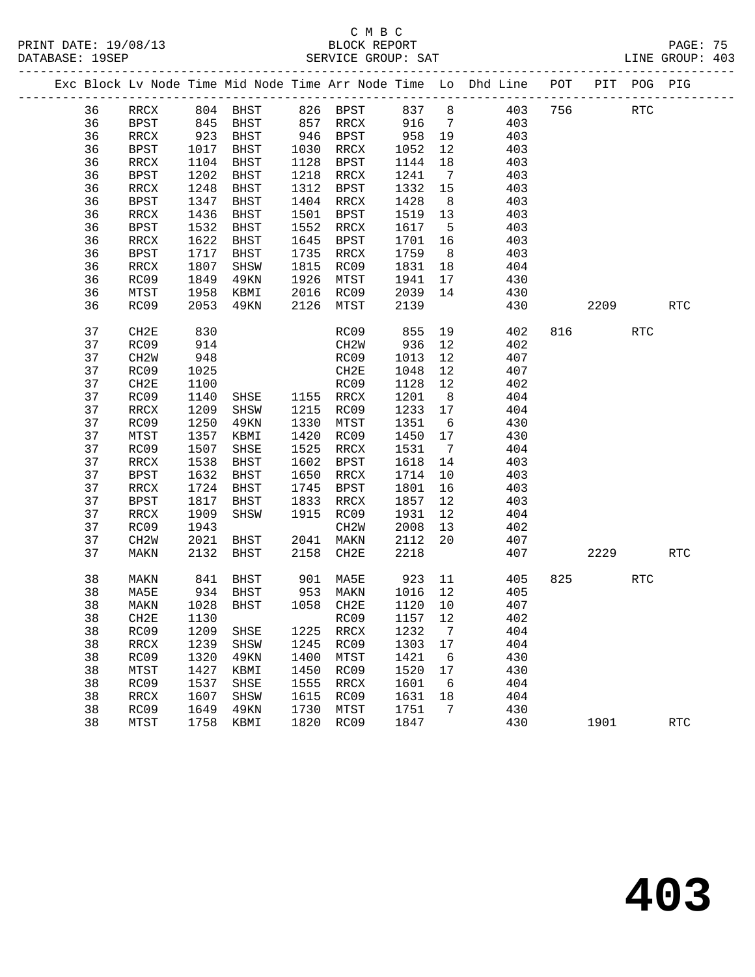#### C M B C DATABASE: 19SEP SERVICE GROUP: SAT LINE GROUP: 403

|          |                          |              |             |      |                |              |                 | Exc Block Lv Node Time Mid Node Time Arr Node Time Lo Dhd Line POT |     |      | PIT POG PIG          |            |
|----------|--------------------------|--------------|-------------|------|----------------|--------------|-----------------|--------------------------------------------------------------------|-----|------|----------------------|------------|
| 36       | RRCX                     |              | 804 BHST    |      | 826 BPST 837 8 |              |                 | 403                                                                | 756 |      | RTC                  |            |
| 36       | BPST                     |              | 845 BHST    |      | 857 RRCX 916 7 |              |                 | 403                                                                |     |      |                      |            |
| 36       | RRCX                     |              | 923 BHST    | 946  | BPST           | 958 19       |                 | 403                                                                |     |      |                      |            |
| 36       | BPST                     | 1017         | <b>BHST</b> | 1030 | RRCX           | 1052         | 12              | 403                                                                |     |      |                      |            |
| 36       | RRCX                     | 1104         | <b>BHST</b> | 1128 | BPST           | 1144         | 18              | 403                                                                |     |      |                      |            |
| 36       | BPST                     | 1202         | BHST        | 1218 | RRCX           | 1241         | $7\phantom{.0}$ | 403                                                                |     |      |                      |            |
| 36       | RRCX                     | 1248         | <b>BHST</b> | 1312 | BPST           | 1332         | 15              | 403                                                                |     |      |                      |            |
| 36       | <b>BPST</b>              | 1347         | <b>BHST</b> | 1404 | RRCX           | 1428         | 8 <sup>8</sup>  | 403                                                                |     |      |                      |            |
| 36       | RRCX                     | 1436         | <b>BHST</b> | 1501 | BPST           | 1519         | 13              | 403                                                                |     |      |                      |            |
| 36       | BPST                     | 1532         | <b>BHST</b> | 1552 | RRCX           | 1617         | $5^{\circ}$     | 403                                                                |     |      |                      |            |
| 36       | RRCX                     | 1622         | <b>BHST</b> | 1645 | BPST           | 1701         | 16              | 403                                                                |     |      |                      |            |
| 36       | BPST                     | 1717         | BHST        | 1735 | RRCX           | 1759         | 8 <sup>8</sup>  | 403                                                                |     |      |                      |            |
| 36       | RRCX                     | 1807         | SHSW        | 1815 | RC09           | 1831         | 18              | 404                                                                |     |      |                      |            |
| 36       | RC09                     | 1849         | 49KN        | 1926 | MTST           | 1941         | 17              | 430                                                                |     |      |                      |            |
| 36       | MTST                     | 1958         | KBMI        | 2016 | RC09           | 2039         | 14              | 430                                                                |     |      |                      |            |
| 36       | RC09                     | 2053         | 49KN        | 2126 | MTST           | 2139         |                 | 430                                                                |     | 2209 |                      | <b>RTC</b> |
|          |                          |              |             |      |                |              |                 |                                                                    |     |      |                      |            |
| 37       | CH2E                     | 830          |             |      | RC09           | 855          | 19              | 402                                                                | 816 |      | $\operatorname{RTC}$ |            |
| 37<br>37 | RC09<br>CH2W             | 914<br>948   |             |      | CH2W<br>RC09   | 936          | 12<br>12        | 402                                                                |     |      |                      |            |
|          |                          |              |             |      |                | 1013         |                 | 407                                                                |     |      |                      |            |
| 37<br>37 | RC09<br>CH2E             | 1025<br>1100 |             |      | CH2E<br>RC09   | 1048<br>1128 | 12<br>12        | 407<br>402                                                         |     |      |                      |            |
| 37       | RC09                     | 1140         | SHSE        | 1155 | RRCX           | 1201         | 8 <sup>8</sup>  | 404                                                                |     |      |                      |            |
| 37       | RRCX                     | 1209         | SHSW        | 1215 | RC09           | 1233         | 17              | 404                                                                |     |      |                      |            |
| 37       | RC09                     | 1250         | 49KN        | 1330 | MTST           | 1351         | 6               | 430                                                                |     |      |                      |            |
| 37       | MTST                     | 1357         | KBMI        | 1420 | RC09           | 1450         | 17              | 430                                                                |     |      |                      |            |
| 37       | RC09                     | 1507         | SHSE        | 1525 | RRCX           | 1531         | $\overline{7}$  | 404                                                                |     |      |                      |            |
| 37       | $\mathop{\mathrm{RRCX}}$ | 1538         | <b>BHST</b> | 1602 | BPST           | 1618         | 14              | 403                                                                |     |      |                      |            |
| 37       | BPST                     | 1632         | BHST        | 1650 | RRCX           | 1714         | 10              | 403                                                                |     |      |                      |            |
| 37       | RRCX                     | 1724         | BHST        | 1745 | BPST           | 1801         | 16              | 403                                                                |     |      |                      |            |
| 37       | BPST                     | 1817         | BHST        | 1833 | RRCX           | 1857         | 12              | 403                                                                |     |      |                      |            |
| 37       | RRCX                     | 1909         | SHSW        |      | 1915 RC09      | 1931         | 12              | 404                                                                |     |      |                      |            |
| 37       | RC09                     | 1943         |             |      | CH2W           | 2008         | 13              | 402                                                                |     |      |                      |            |
| 37       | CH <sub>2</sub> W        | 2021         | BHST        | 2041 | MAKN           | 2112         | 20              | 407                                                                |     |      |                      |            |
| 37       | MAKN                     | 2132         | BHST        | 2158 | CH2E           | 2218         |                 | 407                                                                |     | 2229 |                      | <b>RTC</b> |
|          |                          |              |             |      |                |              |                 |                                                                    |     |      |                      |            |
| 38       | MAKN                     | 841          | BHST        | 901  | MA5E           | 923          | 11              | 405                                                                | 825 |      | RTC                  |            |
| 38       | MA5E                     | 934          | BHST        | 953  | MAKN           | 1016         | 12              | 405                                                                |     |      |                      |            |
| 38       | MAKN                     | 1028         | BHST        |      | 1058 CH2E      | 1120 10      |                 | 407                                                                |     |      |                      |            |
| 38       | CH2E                     | 1130         |             |      | RC09           | 1157 12      |                 | 402                                                                |     |      |                      |            |
|          |                          |              |             |      |                |              |                 |                                                                    |     |      |                      |            |

 38 RRCX 1239 SHSW 1245 RC09 1303 17 404 38 RC09 1320 49KN 1400 MTST 1421 6 430

 38 RC09 1537 SHSE 1555 RRCX 1601 6 404 38 RRCX 1607 SHSW 1615 RC09 1631 18 404 38 RC09 1649 49KN 1730 MTST 1751 7 430

38 RC09 1209 SHSE 1225 RRCX 1232 7 404

38 MTST 1427 KBMI 1450 RC09 1520 17 430

38 MTST 1758 KBMI 1820 RC09 1847 430 1901 RTC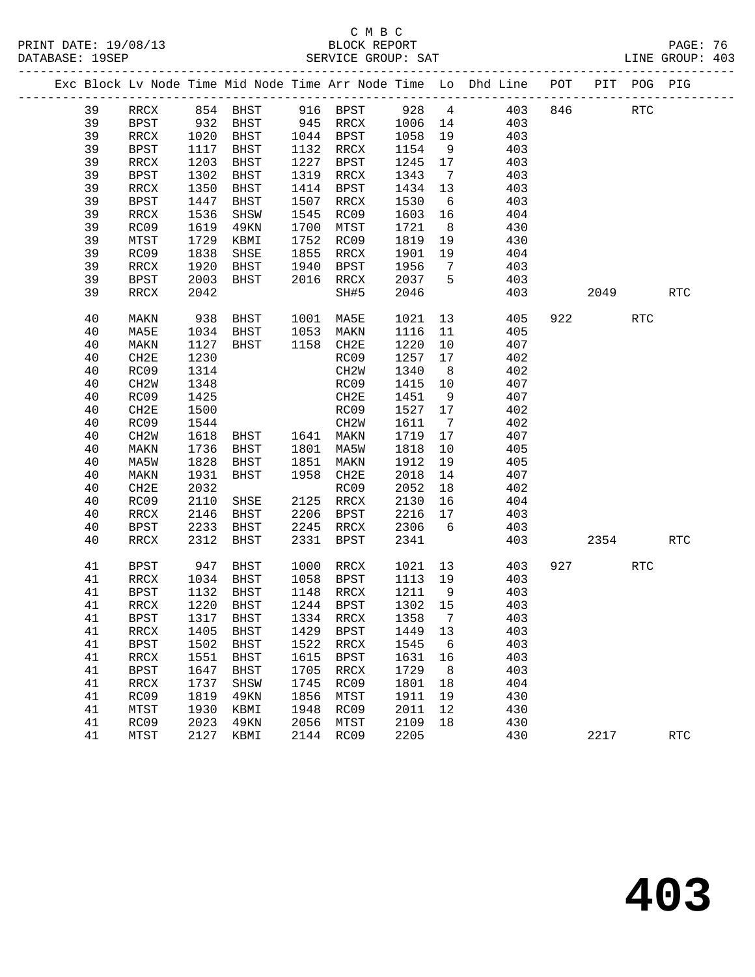|  |    |                   |      |             |      |             |         |                 | Exc Block Lv Node Time Mid Node Time Arr Node Time Lo Dhd Line POT<br>------------------------------- |     |      | PIT POG PIG |            |
|--|----|-------------------|------|-------------|------|-------------|---------|-----------------|-------------------------------------------------------------------------------------------------------|-----|------|-------------|------------|
|  | 39 | RRCX              |      | 854 BHST    |      | 916 BPST    | 928     | $\overline{4}$  | 403                                                                                                   | 846 |      | <b>RTC</b>  |            |
|  | 39 | BPST              | 932  | BHST        |      | 945 RRCX    | 1006    | 14              | 403                                                                                                   |     |      |             |            |
|  | 39 | RRCX              | 1020 | BHST        |      | 1044 BPST   | 1058    | 19              | 403                                                                                                   |     |      |             |            |
|  | 39 | BPST              | 1117 | BHST        |      | 1132 RRCX   | 1154    | 9               | 403                                                                                                   |     |      |             |            |
|  | 39 | RRCX              | 1203 | BHST        | 1227 | BPST        | 1245    | 17              | 403                                                                                                   |     |      |             |            |
|  | 39 | <b>BPST</b>       | 1302 | BHST        | 1319 | RRCX        | 1343    | $\overline{7}$  | 403                                                                                                   |     |      |             |            |
|  | 39 | RRCX              | 1350 | BHST        | 1414 | BPST        | 1434    | 13              | 403                                                                                                   |     |      |             |            |
|  | 39 | <b>BPST</b>       | 1447 | BHST        | 1507 | RRCX        | 1530    | 6               | 403                                                                                                   |     |      |             |            |
|  | 39 | RRCX              | 1536 | SHSW        | 1545 | RC09        | 1603    | 16              | 404                                                                                                   |     |      |             |            |
|  | 39 | RC09              | 1619 | 49KN        | 1700 | MTST        | 1721    | 8               | 430                                                                                                   |     |      |             |            |
|  | 39 | MTST              | 1729 | KBMI        | 1752 | RC09        | 1819    | 19              | 430                                                                                                   |     |      |             |            |
|  | 39 | RC09              | 1838 | SHSE        | 1855 | RRCX        | 1901    | 19              | 404                                                                                                   |     |      |             |            |
|  | 39 | RRCX              | 1920 | BHST        | 1940 | BPST        | 1956    | $\overline{7}$  | 403                                                                                                   |     |      |             |            |
|  | 39 | <b>BPST</b>       | 2003 | BHST        | 2016 | RRCX        | 2037    | 5               | 403                                                                                                   |     |      |             |            |
|  | 39 | RRCX              | 2042 |             |      | SH#5        | 2046    |                 | 403                                                                                                   |     | 2049 |             | <b>RTC</b> |
|  | 40 | MAKN              | 938  | BHST        | 1001 | MA5E        | 1021    | 13              | 405                                                                                                   | 922 |      | <b>RTC</b>  |            |
|  | 40 | MA5E              | 1034 | BHST        | 1053 | MAKN        | 1116    | 11              | 405                                                                                                   |     |      |             |            |
|  | 40 | MAKN              | 1127 | BHST        | 1158 | CH2E        | 1220    | 10              | 407                                                                                                   |     |      |             |            |
|  | 40 | CH <sub>2E</sub>  | 1230 |             |      | RC09        | 1257    | 17              | 402                                                                                                   |     |      |             |            |
|  | 40 | RC09              | 1314 |             |      | CH2W        | 1340    | 8 <sup>8</sup>  | 402                                                                                                   |     |      |             |            |
|  | 40 | CH <sub>2</sub> W | 1348 |             |      | RC09        | 1415    | $10 \,$         | 407                                                                                                   |     |      |             |            |
|  | 40 | RC09              | 1425 |             |      | CH2E        | 1451    | 9               | 407                                                                                                   |     |      |             |            |
|  | 40 | CH <sub>2E</sub>  | 1500 |             |      | RC09        | 1527    | 17              | 402                                                                                                   |     |      |             |            |
|  | 40 | RC09              | 1544 |             |      | CH2W        | 1611    | $7\phantom{.0}$ | 402                                                                                                   |     |      |             |            |
|  | 40 | CH <sub>2</sub> W | 1618 | BHST        |      | 1641 MAKN   | 1719    | 17              | 407                                                                                                   |     |      |             |            |
|  | 40 | MAKN              | 1736 | BHST        | 1801 | MA5W        | 1818    | 10              | 405                                                                                                   |     |      |             |            |
|  | 40 | MA5W              | 1828 | BHST        | 1851 | MAKN        | 1912    | 19              | 405                                                                                                   |     |      |             |            |
|  | 40 | MAKN              | 1931 | BHST        | 1958 | CH2E        | 2018    | 14              | 407                                                                                                   |     |      |             |            |
|  | 40 | CH2E              | 2032 |             |      | RC09        | 2052    | 18              | 402                                                                                                   |     |      |             |            |
|  | 40 | RC09              | 2110 | SHSE        | 2125 | RRCX        | 2130    | 16              | 404                                                                                                   |     |      |             |            |
|  | 40 | <b>RRCX</b>       | 2146 | BHST        | 2206 | BPST        | 2216    | 17              | 403                                                                                                   |     |      |             |            |
|  | 40 | <b>BPST</b>       | 2233 | BHST        | 2245 | RRCX        | 2306    | 6               | 403                                                                                                   |     |      |             |            |
|  | 40 | RRCX              | 2312 | BHST        | 2331 | BPST        | 2341    |                 | 403                                                                                                   |     | 2354 |             | <b>RTC</b> |
|  | 41 | <b>BPST</b>       | 947  | BHST        | 1000 | RRCX        | 1021    | 13              | 403                                                                                                   | 927 |      | <b>RTC</b>  |            |
|  | 41 | RRCX              | 1034 | BHST        | 1058 | BPST        | 1113    | 19              | 403                                                                                                   |     |      |             |            |
|  | 41 | <b>BPST</b>       | 1132 | BHST        | 1148 | RRCX        | 1211    | 9               | 403                                                                                                   |     |      |             |            |
|  | 41 | RRCX              | 1220 | <b>BHST</b> |      | 1244 BPST   | 1302 15 |                 | 403                                                                                                   |     |      |             |            |
|  | 41 | BPST              | 1317 | BHST        | 1334 | RRCX        | 1358    | - 7             | 403                                                                                                   |     |      |             |            |
|  | 41 | RRCX              | 1405 | <b>BHST</b> | 1429 | <b>BPST</b> | 1449    | 13              | 403                                                                                                   |     |      |             |            |
|  | 41 | <b>BPST</b>       | 1502 | <b>BHST</b> | 1522 | RRCX        | 1545    | 6               | 403                                                                                                   |     |      |             |            |
|  | 41 | RRCX              | 1551 | <b>BHST</b> | 1615 | <b>BPST</b> | 1631    | 16              | 403                                                                                                   |     |      |             |            |
|  | 41 | <b>BPST</b>       | 1647 | <b>BHST</b> | 1705 | RRCX        | 1729    | 8               | 403                                                                                                   |     |      |             |            |
|  | 41 | RRCX              | 1737 | SHSW        | 1745 | RC09        | 1801    | 18              | 404                                                                                                   |     |      |             |            |
|  | 41 | RC09              | 1819 | 49KN        | 1856 | MTST        | 1911    | 19              | 430                                                                                                   |     |      |             |            |
|  | 41 | MTST              | 1930 | KBMI        | 1948 | RC09        | 2011    | 12              | 430                                                                                                   |     |      |             |            |
|  | 41 | RC09              | 2023 | 49KN        | 2056 | MTST        | 2109    | 18              | 430                                                                                                   |     |      |             |            |
|  | 41 | MTST              | 2127 | KBMI        | 2144 | RC09        | 2205    |                 | 430                                                                                                   |     | 2217 |             | <b>RTC</b> |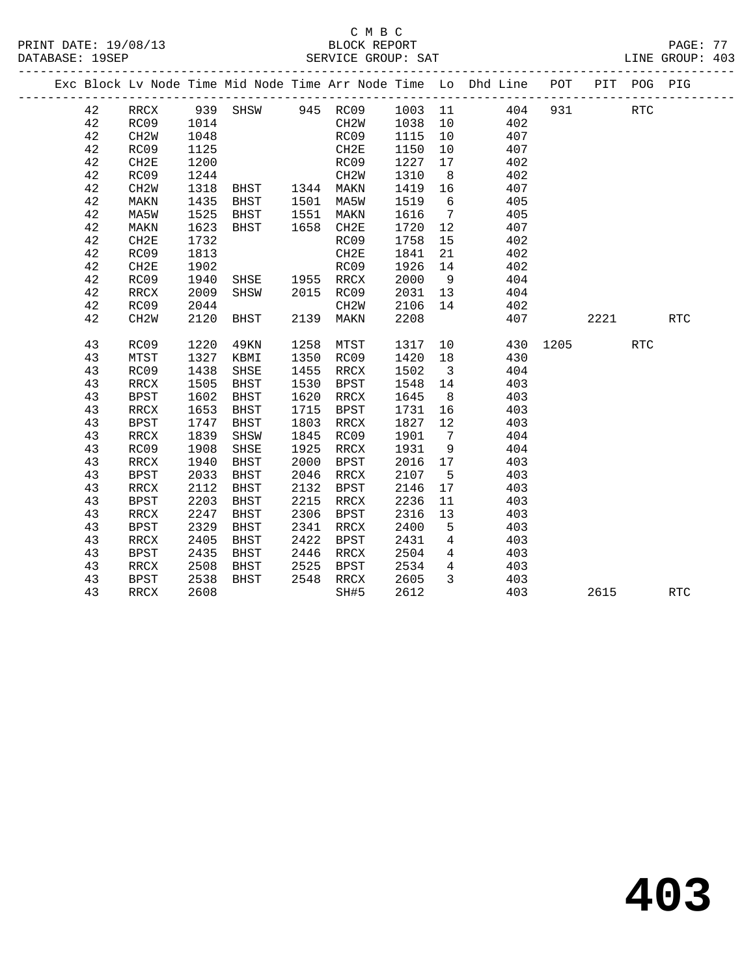|    |                          |      |                                  |      |              |         |                         | Exc Block Lv Node Time Mid Node Time Arr Node Time Lo Dhd Line POT |          |      | PIT POG PIG |                      |
|----|--------------------------|------|----------------------------------|------|--------------|---------|-------------------------|--------------------------------------------------------------------|----------|------|-------------|----------------------|
| 42 | RRCX                     |      |                                  |      |              |         |                         | 939 SHSW 945 RC09 1003 11 404                                      | 931      |      | <b>RTC</b>  |                      |
| 42 | RC09                     | 1014 |                                  |      | CH2W<br>RC09 | 1038 10 |                         | 402                                                                |          |      |             |                      |
| 42 | CH2W                     | 1048 |                                  |      | RC09         | 1115 10 |                         | 407                                                                |          |      |             |                      |
| 42 | RC09                     | 1125 |                                  |      | CH2E         | 1150    | 10                      | 407                                                                |          |      |             |                      |
| 42 | CH2E                     | 1200 |                                  |      | RC09         | 1227    | 17                      | 402                                                                |          |      |             |                      |
| 42 | RC09                     | 1244 |                                  |      | CH2W         | 1310    | 8 <sup>8</sup>          | 402                                                                |          |      |             |                      |
| 42 | CH <sub>2</sub> W        | 1318 | BHST 1344 MAKN<br>BHST 1501 MA5W |      |              | 1419    | 16                      | 407                                                                |          |      |             |                      |
| 42 | MAKN                     | 1435 |                                  |      |              | 1519    | 6                       | 405                                                                |          |      |             |                      |
| 42 | MA5W                     | 1525 | BHST                             |      | 1551 MAKN    | 1616    | $7\overline{ }$         | 405                                                                |          |      |             |                      |
| 42 | MAKN                     | 1623 | BHST                             |      | 1658 CH2E    | 1720    | 12                      | 407                                                                |          |      |             |                      |
| 42 | CH2E                     | 1732 |                                  |      | RC09         | 1758    | 15                      | 402                                                                |          |      |             |                      |
| 42 | RC09                     | 1813 |                                  |      | CH2E         | 1841    | 21                      | 402                                                                |          |      |             |                      |
| 42 | CH2E                     | 1902 |                                  |      | RC09         | 1926    | 14                      | 402                                                                |          |      |             |                      |
| 42 | RC09                     | 1940 | SHSE 1955 RRCX                   |      |              | 2000    | 9                       | 404                                                                |          |      |             |                      |
| 42 | RRCX                     | 2009 | SHSW                             |      | 2015 RC09    | 2031 13 |                         | 404                                                                |          |      |             |                      |
| 42 | RC09                     | 2044 |                                  |      | CH2W         | 2106 14 |                         | 402                                                                |          |      |             |                      |
| 42 | CH <sub>2</sub> W        | 2120 | BHST                             |      | 2139 MAKN    | 2208    |                         |                                                                    | 407      | 2221 |             | $\operatorname{RTC}$ |
| 43 | RC09                     | 1220 | 49KN                             |      | 1258 MTST    | 1317    |                         | 10                                                                 | 430 1205 |      | <b>RTC</b>  |                      |
| 43 | MTST                     | 1327 | KBMI                             | 1350 | RC09         | 1420    | 18                      | 430                                                                |          |      |             |                      |
| 43 | RC09                     | 1438 | SHSE                             | 1455 | RRCX         | 1502    | $\overline{\mathbf{3}}$ | 404                                                                |          |      |             |                      |
| 43 | RRCX                     | 1505 | BHST                             | 1530 | BPST         | 1548    | 14                      | 403                                                                |          |      |             |                      |
| 43 | <b>BPST</b>              | 1602 | BHST                             | 1620 | RRCX         | 1645    | 8 <sup>8</sup>          | 403                                                                |          |      |             |                      |
| 43 | RRCX                     | 1653 | BHST                             | 1715 | BPST         | 1731    | 16                      | 403                                                                |          |      |             |                      |
| 43 | BPST                     | 1747 | BHST                             | 1803 | RRCX         | 1827    | 12                      | 403                                                                |          |      |             |                      |
| 43 | RRCX                     | 1839 | SHSW                             | 1845 | RC09         | 1901    | $\overline{7}$          | 404                                                                |          |      |             |                      |
| 43 | RC09                     | 1908 | SHSE                             | 1925 | RRCX         | 1931    | 9                       | 404                                                                |          |      |             |                      |
| 43 | RRCX                     | 1940 | BHST                             | 2000 | BPST         | 2016    | 17                      | 403                                                                |          |      |             |                      |
| 43 | <b>BPST</b>              | 2033 | BHST                             | 2046 | RRCX         | 2107    | $5^{\circ}$             | 403                                                                |          |      |             |                      |
| 43 | $\mathop{\mathrm{RRCX}}$ | 2112 | BHST                             | 2132 | BPST         | 2146    | 17                      | 403                                                                |          |      |             |                      |
| 43 | <b>BPST</b>              | 2203 | BHST                             | 2215 | RRCX         | 2236    | 11                      | 403                                                                |          |      |             |                      |
| 43 | RRCX                     | 2247 | BHST                             | 2306 | BPST         | 2316    | 13                      | 403                                                                |          |      |             |                      |
| 43 | <b>BPST</b>              | 2329 | BHST                             | 2341 | RRCX         | 2400    | 5                       | 403                                                                |          |      |             |                      |
| 43 | RRCX                     | 2405 | BHST                             | 2422 | BPST         | 2431    | $\overline{4}$          | 403                                                                |          |      |             |                      |
| 43 | BPST                     | 2435 | BHST                             | 2446 | RRCX         | 2504    | $\overline{4}$          | 403                                                                |          |      |             |                      |
| 43 | RRCX                     | 2508 | BHST                             | 2525 | BPST         | 2534    | $\overline{4}$          | 403                                                                |          |      |             |                      |
| 43 | BPST                     | 2538 | BHST                             | 2548 | RRCX         | 2605    | $\mathbf{3}$            | 403                                                                |          |      |             |                      |
| 43 | RRCX                     | 2608 |                                  |      | SH#5         | 2612    |                         | 403                                                                |          | 2615 |             | <b>RTC</b>           |
|    |                          |      |                                  |      |              |         |                         |                                                                    |          |      |             |                      |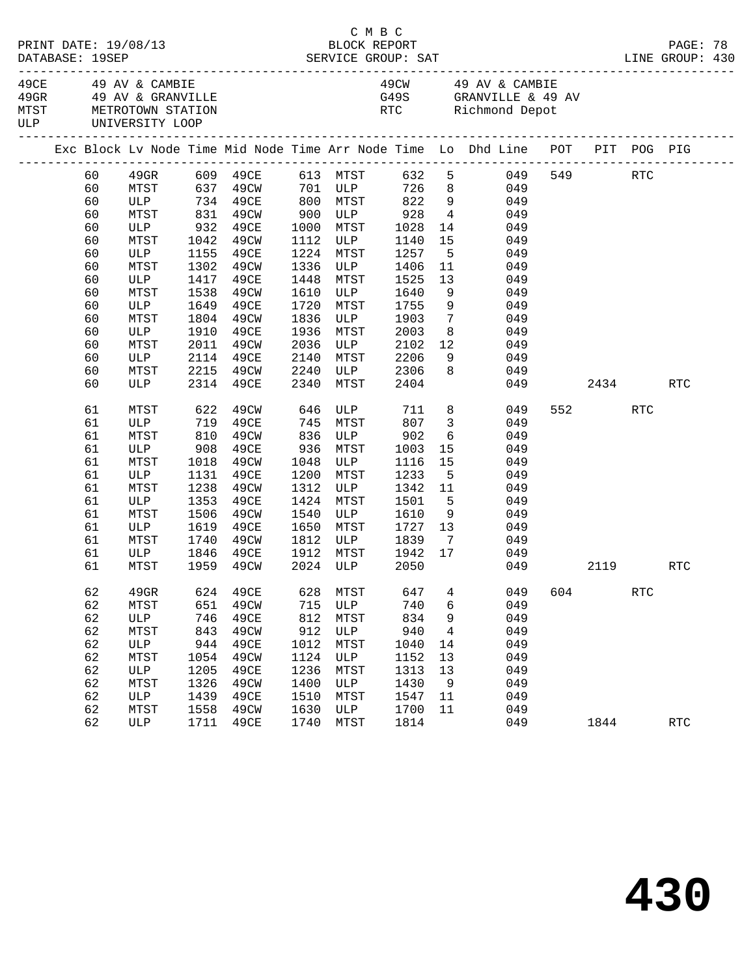| DATABASE: 19SEP                                                                              | PRINT DATE: 19/08/13                                                                                           |                                                                                          |                                                                                                                    |                                                                                  | C M B C<br>BLOCK REPORT                                                                                                                                 |                                                                                  |                                                                                            |                                                                                                                                                                         |     |      |             | PAGE: 78   |  |
|----------------------------------------------------------------------------------------------|----------------------------------------------------------------------------------------------------------------|------------------------------------------------------------------------------------------|--------------------------------------------------------------------------------------------------------------------|----------------------------------------------------------------------------------|---------------------------------------------------------------------------------------------------------------------------------------------------------|----------------------------------------------------------------------------------|--------------------------------------------------------------------------------------------|-------------------------------------------------------------------------------------------------------------------------------------------------------------------------|-----|------|-------------|------------|--|
|                                                                                              | 49CE 49 AV & CAMBIE<br>49GR 49 AV & GRANVILLE<br>MTST METROTOWN STATION<br>ULP UNIVERSITY LOOP                 |                                                                                          |                                                                                                                    |                                                                                  |                                                                                                                                                         |                                                                                  |                                                                                            | 49CW 49 AV & CAMBIE<br>G49S GRANVILLE & 49 AV<br>RTC Richmond Depot                                                                                                     |     |      |             |            |  |
|                                                                                              |                                                                                                                |                                                                                          |                                                                                                                    |                                                                                  |                                                                                                                                                         |                                                                                  |                                                                                            | Exc Block Lv Node Time Mid Node Time Arr Node Time Lo Dhd Line POT PIT POG PIG                                                                                          |     |      |             |            |  |
| 60<br>60<br>60<br>60<br>60<br>60<br>60<br>60<br>60<br>60<br>60<br>60<br>60<br>60<br>60<br>60 | ULP 734 49CE<br>MTST<br>ULP<br>MTST<br>ULP<br>MTST<br>ULP<br>MTST<br>ULP<br>MTST<br>ULP<br>MTST<br>ULP<br>MTST | 932<br>1042<br>1155<br>1302<br>1417<br>1538<br>1649<br>1804<br>1910<br>2011              | 831 49CW<br>49CE<br>49CW<br>49CE<br>49CW<br>49CE<br>49CW<br>49CE<br>49CW<br>49CE<br>49CW<br>2114 49CE<br>2215 49CW | 1224<br>1336<br>1448<br>1610<br>1720<br>1836<br>1936<br>2036<br>2140<br>2240     | 800 MTST 822 9<br>900 ULP 928<br>1000 MTST 1028<br>1112 ULP 1140<br>MTST<br>ULP<br>MTST<br>ULP 1640<br>MTST<br>ULP<br>MTST<br>ULP<br>MTST<br><b>ULP</b> | 1257<br>1406<br>1525<br>1755<br>1903<br>2003<br>2102<br>2206<br>2306             | 5 <sup>5</sup><br>11<br>13<br>9<br>9<br>$\overline{7}$<br>8 <sup>8</sup><br>8 <sup>8</sup> | 049<br>$4\overline{ }$<br>049<br>$\begin{array}{c} 14 \\ 15 \end{array}$<br>049<br>049<br>049<br>049<br>049<br>049<br>049<br>049<br>049<br>12<br>049<br>9<br>049<br>049 |     |      | 549 RTC     |            |  |
| 60                                                                                           | ULP                                                                                                            | 2314                                                                                     | 49CE                                                                                                               | 2340                                                                             | MTST                                                                                                                                                    | 2404                                                                             |                                                                                            |                                                                                                                                                                         | 049 |      | 2434        | <b>RTC</b> |  |
| 61<br>61<br>61<br>61<br>61<br>61<br>61<br>61<br>61<br>61<br>61<br>61<br>61                   | MTST<br>ULP<br>MTST<br>ULP<br>MTST<br>ULP<br>MTST<br>ULP<br>MTST<br>ULP<br>MTST<br>ULP<br>MTST                 | 622<br>719<br>810<br>908<br>1018<br>1131<br>1238<br>1353<br>1506<br>1619<br>1740<br>1846 | 49CW<br>49CE<br>49CW<br>49CE<br>49CW<br>49CE<br>49CW<br>49CE<br>49CW<br>49CE<br>49CW<br>49CE<br>1959 49CW          | 646<br>745<br>836<br>936<br>1048<br>1200<br>1312<br>1424<br>1540<br>1650<br>1812 | ULP 711<br><b>MTST</b><br>ULP<br>MTST<br>ULP<br>MTST<br>ULP<br>MTST<br><b>ULP</b><br>MTST<br>ULP 1839                                                   | 807<br>902<br>1003<br>1116<br>1233<br>1342<br>1501<br>1610<br>1727               | 15<br>$5^{\circ}$<br>11<br>$5^{\circ}$<br>9<br>$\overline{7}$<br>17                        | 8<br>049<br>$\overline{\mathbf{3}}$<br>049<br>$6\overline{6}$<br>049<br>15<br>049<br>049<br>049<br>049<br>049<br>049<br>13<br>049<br>049<br>049<br>049                  |     | 552  | RTC<br>2119 | <b>RTC</b> |  |
| 62<br>62<br>62<br>62<br>62<br>62<br>62<br>62<br>62<br>62<br>62                               | 49GR<br>MTST<br>ULP<br>MTST<br>ULP<br>MTST<br>ULP<br>MTST<br>ULP<br>MTST<br>ULP                                | 624<br>651<br>746<br>843<br>944<br>1054<br>1205<br>1326<br>1439<br>1558<br>1711          | 49CE<br>49CW<br>49CE<br>49CW<br>49CE<br>49CW<br>49CE<br>49CW<br>49CE<br>49CW<br>49CE                               | 628<br>715<br>812<br>912<br>1012<br>1124<br>1236<br>1400<br>1510<br>1630<br>1740 | MTST<br>ULP<br>MTST<br>$_{\rm ULP}$<br>MTST<br>ULP<br>MTST<br>$_{\rm ULP}$<br>MTST<br>ULP<br>MTST                                                       | 647<br>740<br>834<br>940<br>1040<br>1152<br>1313<br>1430<br>1547<br>1700<br>1814 | 4<br>6<br>9<br>4<br>14<br>13<br>13<br>9<br>11<br>11                                        | 049<br>049<br>049<br>049<br>049<br>049<br>049<br>049<br>049<br>049<br>049                                                                                               | 604 | 1844 | RTC         | RTC        |  |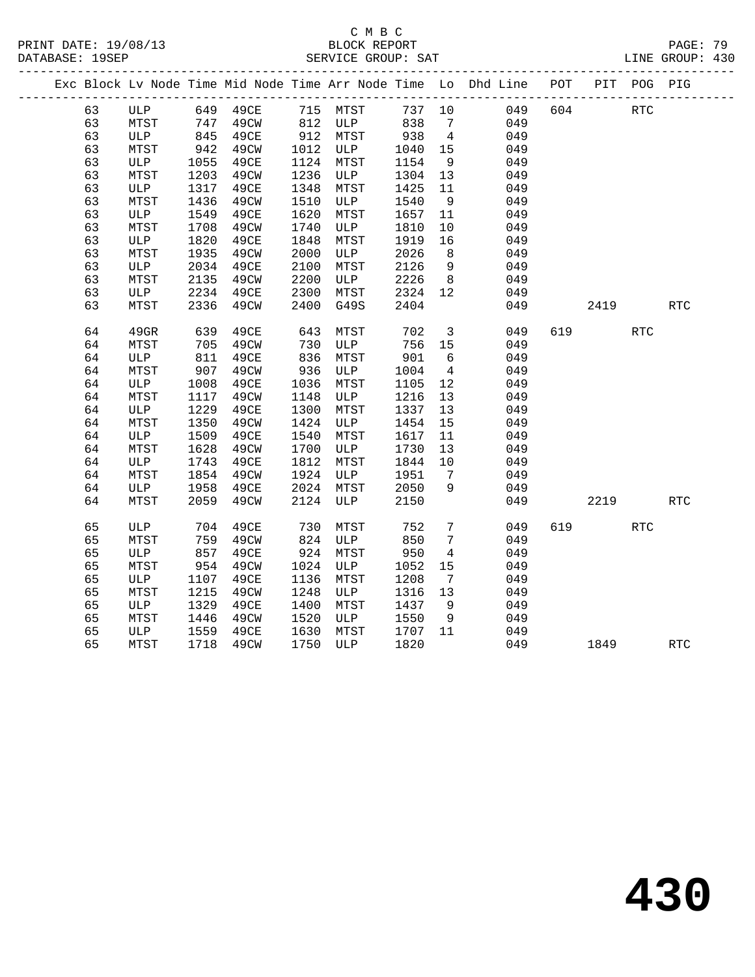|          |      |              |                                                        |              |             |              |                         | Exc Block Lv Node Time Mid Node Time Arr Node Time Lo Dhd Line POT PIT POG PIG |     |          |            |            |
|----------|------|--------------|--------------------------------------------------------|--------------|-------------|--------------|-------------------------|--------------------------------------------------------------------------------|-----|----------|------------|------------|
| 63       |      |              | ULP 649 49CE 715 MTST 737<br>MTST 747 49CW 812 ULP 838 |              |             |              |                         | $737$ 10<br>049                                                                | 604 |          | RTC        |            |
| 63       |      |              |                                                        |              |             |              | $7\overline{ }$         | 049                                                                            |     |          |            |            |
| 63       | ULP  | 845          | 49CE                                                   |              | 912 MTST    | 938          | $\overline{4}$          | 049                                                                            |     |          |            |            |
| 63       | MTST | 942          | 49CW                                                   |              | 1012 ULP    | 1040         | 15                      | 049                                                                            |     |          |            |            |
| 63       | ULP  | 1055         | 49CE                                                   | 1124         | MTST        | 1154         | 9                       | 049                                                                            |     |          |            |            |
| 63       | MTST | 1203         | 49CW                                                   | 1236         | ULP         | 1304         | 13                      | 049                                                                            |     |          |            |            |
| 63       | ULP  | 1317         | 49CE                                                   | 1348         | MTST        | 1425         | 11                      | 049                                                                            |     |          |            |            |
| 63       | MTST | 1436         | 49CW                                                   | 1510         | ULP         | 1540         | 9                       | 049                                                                            |     |          |            |            |
| 63       | ULP  | 1549         | 49CE                                                   | 1620         | MTST        | 1657         | 11                      | 049                                                                            |     |          |            |            |
| 63       | MTST | 1708         | 49CW                                                   | 1740         | ULP         | 1810         | 10                      | 049                                                                            |     |          |            |            |
| 63       | ULP  | 1820         | 49CE                                                   | 1848         | MTST        | 1919         | 16                      | 049                                                                            |     |          |            |            |
| 63       | MTST | 1935         | 49CW                                                   | 2000         | ULP         | 2026         | 8                       | 049                                                                            |     |          |            |            |
| 63       | ULP  | 2034         | 49CE                                                   | 2100         | MTST        | 2126         | 9                       | 049                                                                            |     |          |            |            |
| 63       | MTST | 2135         | 49CW                                                   | 2200         | ULP         | 2226         | 8 <sup>8</sup>          | 049                                                                            |     |          |            |            |
| 63       | ULP  | 2234         | 49CE                                                   | 2300         | MTST        | 2324         | 12                      | 049                                                                            |     |          |            |            |
| 63       | MTST | 2336         | 49CW                                                   | 2400         | G49S        | 2404         |                         | 049                                                                            |     | 2419     |            | <b>RTC</b> |
|          |      |              |                                                        |              |             |              |                         |                                                                                |     |          |            |            |
| 64       | 49GR | 639          | 49CE                                                   | 643          | MTST        | 702          | $\overline{\mathbf{3}}$ | 049                                                                            |     | 619 — 10 | <b>RTC</b> |            |
| 64       | MTST | 705          | 49CW                                                   | 730          | ULP         | 756          | 15                      | 049                                                                            |     |          |            |            |
| 64       | ULP  | 811          | 49CE                                                   | 836          | MTST        | 901          | 6                       | 049                                                                            |     |          |            |            |
| 64       | MTST | 907          | 49CW                                                   | 936          | ULP         | 1004         | $\overline{4}$          | 049                                                                            |     |          |            |            |
| 64       | ULP  | 1008         | 49CE                                                   | 1036         | MTST        | 1105         | 12                      | 049                                                                            |     |          |            |            |
| 64       | MTST | 1117         | 49CW                                                   | 1148         | ULP         | 1216         | 13                      | 049                                                                            |     |          |            |            |
| 64       | ULP  | 1229         | 49CE                                                   | 1300         | MTST        | 1337         | 13                      | 049                                                                            |     |          |            |            |
| 64       | MTST | 1350         | 49CW                                                   | 1424         | ULP         | 1454         | 15                      | 049                                                                            |     |          |            |            |
| 64       | ULP  | 1509         | 49CE                                                   | 1540         | MTST        | 1617         | 11                      | 049                                                                            |     |          |            |            |
| 64       | MTST | 1628         | 49CW                                                   | 1700         | ULP         | 1730         | 13                      | 049                                                                            |     |          |            |            |
| 64       | ULP  | 1743         | 49CE                                                   | 1812         | MTST        | 1844         | 10                      | 049                                                                            |     |          |            |            |
| 64       | MTST | 1854         | 49CW                                                   | 1924         | ULP         | 1951         | $7\overline{ }$         | 049                                                                            |     |          |            |            |
| 64       | ULP  | 1958         | 49CE                                                   | 2024         | MTST        | 2050         | 9                       | 049                                                                            |     |          |            |            |
| 64       | MTST | 2059         | 49CW                                                   | 2124         | ULP         | 2150         |                         | 049                                                                            |     | 2219     |            | <b>RTC</b> |
|          |      |              |                                                        |              |             |              |                         |                                                                                |     |          |            |            |
| 65       | ULP  | 704          | 49CE                                                   | 730          | MTST        | 752          | $7\phantom{.0}$         | 049                                                                            |     | 619 — 10 | <b>RTC</b> |            |
| 65       | MTST | 759          | 49CW                                                   | 824          | ULP         | 850          | $7\phantom{.0}$         | 049                                                                            |     |          |            |            |
| 65       | ULP  | 857          | 49CE                                                   | 924          | MTST        | 950          | $\overline{4}$          | 049                                                                            |     |          |            |            |
| 65       | MTST | 954          | 49CW                                                   | 1024         | ULP         | 1052         | 15<br>$7\overline{ }$   | 049<br>049                                                                     |     |          |            |            |
| 65       | ULP  | 1107         | 49CE                                                   | 1136         | MTST        | 1208         |                         |                                                                                |     |          |            |            |
| 65<br>65 | MTST | 1215<br>1329 | 49CW<br>49CE                                           | 1248<br>1400 | ULP         | 1316<br>1437 | 13<br>9                 | 049<br>049                                                                     |     |          |            |            |
| 65       | ULP  |              |                                                        |              | MTST<br>ULP | 1550         | 9                       | 049                                                                            |     |          |            |            |
| 65       | MTST | 1446         | 49CW                                                   | 1520<br>1630 |             |              | 11                      | 049                                                                            |     |          |            |            |
| 65       | ULP  | 1559<br>1718 | 49CE<br>49CW                                           | 1750         | MTST        | 1707<br>1820 |                         | 049                                                                            |     |          |            |            |
|          | MTST |              |                                                        |              | ULP         |              |                         |                                                                                |     | 1849     |            | <b>RTC</b> |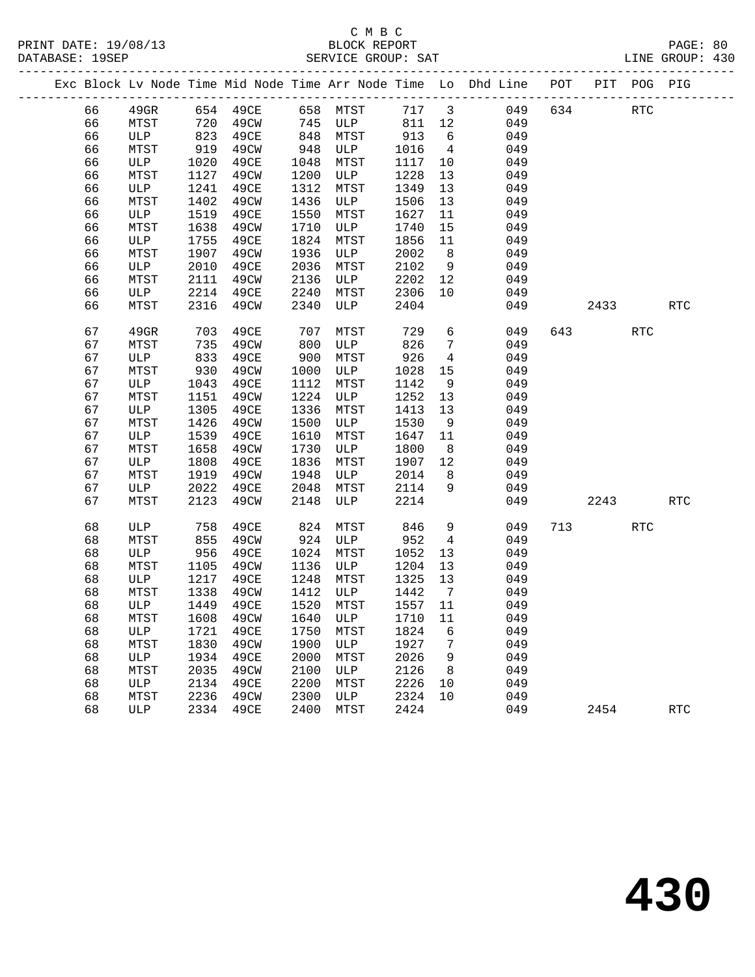|  |    |         |      |                                                                        |      |      |         |                 | Exc Block Lv Node Time Mid Node Time Arr Node Time Lo Dhd Line POT |     |      | PIT POG PIG |            |
|--|----|---------|------|------------------------------------------------------------------------|------|------|---------|-----------------|--------------------------------------------------------------------|-----|------|-------------|------------|
|  | 66 | $49$ GR |      | 654    49CE            658    MTST<br>720    49CW           745    ULP |      |      | 717 3   |                 | 049                                                                | 634 |      | <b>RTC</b>  |            |
|  | 66 | MTST    | 720  |                                                                        |      |      | 811 12  |                 | 049                                                                |     |      |             |            |
|  | 66 | ULP     | 823  | 49CE                                                                   | 848  | MTST | 913     | 6               | 049                                                                |     |      |             |            |
|  | 66 | MTST    | 919  | 49CW                                                                   | 948  | ULP  | 1016    | $4\overline{4}$ | 049                                                                |     |      |             |            |
|  | 66 | ULP     | 1020 | 49CE                                                                   | 1048 | MTST | 1117    | 10              | 049                                                                |     |      |             |            |
|  | 66 | MTST    | 1127 | 49CW                                                                   | 1200 | ULP  | 1228    | 13              | 049                                                                |     |      |             |            |
|  | 66 | ULP     | 1241 | 49CE                                                                   | 1312 | MTST | 1349    | 13              | 049                                                                |     |      |             |            |
|  | 66 | MTST    | 1402 | 49CW                                                                   | 1436 | ULP  | 1506    | 13              | 049                                                                |     |      |             |            |
|  | 66 | ULP     | 1519 | 49CE                                                                   | 1550 | MTST | 1627    | 11              | 049                                                                |     |      |             |            |
|  | 66 | MTST    | 1638 | 49CW                                                                   | 1710 | ULP  | 1740    | 15              | 049                                                                |     |      |             |            |
|  | 66 | ULP     | 1755 | 49CE                                                                   | 1824 | MTST | 1856    | 11              | 049                                                                |     |      |             |            |
|  | 66 | MTST    | 1907 | 49CW                                                                   | 1936 | ULP  | 2002    | 8 <sup>8</sup>  | 049                                                                |     |      |             |            |
|  | 66 | ULP     | 2010 | 49CE                                                                   | 2036 | MTST | 2102    | 9               | 049                                                                |     |      |             |            |
|  | 66 | MTST    | 2111 | 49CW                                                                   | 2136 | ULP  | 2202    | 12              | 049                                                                |     |      |             |            |
|  | 66 | ULP     | 2214 | 49CE                                                                   | 2240 | MTST | 2306    | 10              | 049                                                                |     |      |             |            |
|  | 66 | MTST    | 2316 | 49CW                                                                   | 2340 | ULP  | 2404    |                 | 049                                                                |     | 2433 |             | <b>RTC</b> |
|  | 67 | 49GR    | 703  | 49CE                                                                   | 707  | MTST | 729     | 6               | 049                                                                |     | 643  | <b>RTC</b>  |            |
|  | 67 | MTST    | 735  | 49CW                                                                   | 800  | ULP  | 826     | 7               | 049                                                                |     |      |             |            |
|  | 67 | ULP     | 833  | 49CE                                                                   | 900  | MTST | 926     | $\overline{4}$  | 049                                                                |     |      |             |            |
|  | 67 | MTST    | 930  | 49CW                                                                   | 1000 | ULP  | 1028    | 15              | 049                                                                |     |      |             |            |
|  | 67 | ULP     | 1043 | 49CE                                                                   | 1112 | MTST | 1142    | 9               | 049                                                                |     |      |             |            |
|  | 67 | MTST    | 1151 | 49CW                                                                   | 1224 | ULP  | 1252    | 13              | 049                                                                |     |      |             |            |
|  | 67 | ULP     | 1305 | 49CE                                                                   | 1336 | MTST | 1413    | 13              | 049                                                                |     |      |             |            |
|  | 67 | MTST    | 1426 | 49CW                                                                   | 1500 | ULP  | 1530    | 9               | 049                                                                |     |      |             |            |
|  | 67 | ULP     | 1539 | 49CE                                                                   | 1610 | MTST | 1647    | 11              | 049                                                                |     |      |             |            |
|  | 67 | MTST    | 1658 | 49CW                                                                   | 1730 | ULP  | 1800    | 8               | 049                                                                |     |      |             |            |
|  | 67 | ULP     | 1808 | 49CE                                                                   | 1836 | MTST | 1907    | 12              | 049                                                                |     |      |             |            |
|  | 67 | MTST    | 1919 | 49CW                                                                   | 1948 | ULP  | 2014    | 8               | 049                                                                |     |      |             |            |
|  | 67 | ULP     | 2022 | 49CE                                                                   | 2048 | MTST | 2114    | 9               | 049                                                                |     |      |             |            |
|  | 67 | MTST    | 2123 | 49CW                                                                   | 2148 | ULP  | 2214    |                 | 049                                                                |     | 2243 |             | <b>RTC</b> |
|  | 68 | ULP     | 758  | 49CE                                                                   | 824  | MTST | 846     | 9               | 049                                                                |     | 713  | <b>RTC</b>  |            |
|  | 68 | MTST    | 855  | 49CW                                                                   | 924  | ULP  | 952     | $\overline{4}$  | 049                                                                |     |      |             |            |
|  | 68 | ULP     | 956  | 49CE                                                                   | 1024 | MTST | 1052    | 13              | 049                                                                |     |      |             |            |
|  | 68 | MTST    | 1105 | 49CW                                                                   | 1136 | ULP  | 1204    | 13              | 049                                                                |     |      |             |            |
|  | 68 | ULP     | 1217 | 49CE                                                                   | 1248 | MTST | 1325    | 13              | 049                                                                |     |      |             |            |
|  | 68 | MTST    | 1338 | 49CW                                                                   | 1412 | ULP  | 1442    | $\overline{7}$  | 049                                                                |     |      |             |            |
|  | 68 | ULP     | 1449 | 49CE                                                                   | 1520 | MTST | 1557 11 |                 | 049                                                                |     |      |             |            |
|  | 68 | MTST    |      | 1608 49CW 1640 ULP 1710 11                                             |      |      |         |                 | 049                                                                |     |      |             |            |
|  | 68 | ULP     | 1721 | 49CE                                                                   | 1750 | MTST | 1824    | 6               | 049                                                                |     |      |             |            |
|  | 68 | MTST    | 1830 | 49CW                                                                   | 1900 | ULP  | 1927    | 7               | 049                                                                |     |      |             |            |
|  | 68 | ULP     | 1934 | 49CE                                                                   | 2000 | MTST | 2026    | 9               | 049                                                                |     |      |             |            |
|  | 68 | MTST    | 2035 | 49CW                                                                   | 2100 | ULP  | 2126    | 8               | 049                                                                |     |      |             |            |
|  | 68 | ULP     | 2134 | 49CE                                                                   | 2200 | MTST | 2226    | 10              | 049                                                                |     |      |             |            |
|  | 68 | MTST    | 2236 | 49CW                                                                   | 2300 | ULP  | 2324    | 10              | 049                                                                |     |      |             |            |
|  | 68 | ULP     | 2334 | 49CE                                                                   | 2400 | MTST | 2424    |                 | 049                                                                |     | 2454 |             | <b>RTC</b> |
|  |    |         |      |                                                                        |      |      |         |                 |                                                                    |     |      |             |            |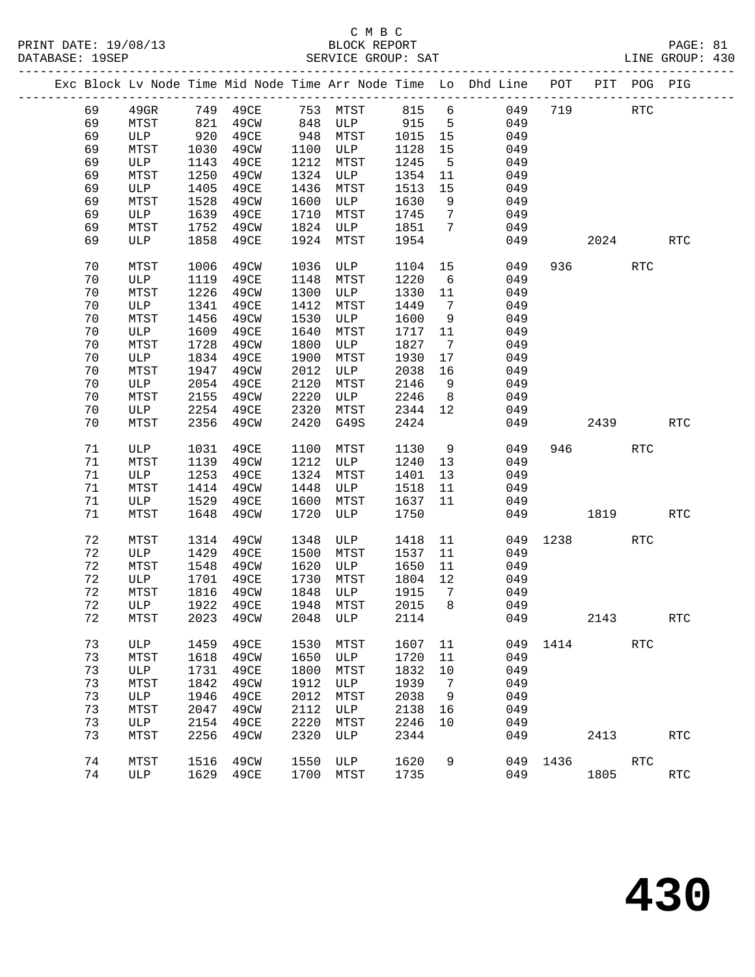|  |    |         |      |                         |      | ARIA AROOI . AUT |      |                 |                                                                    |      |      |             |                      |  |
|--|----|---------|------|-------------------------|------|------------------|------|-----------------|--------------------------------------------------------------------|------|------|-------------|----------------------|--|
|  |    |         |      | ----------------------- |      |                  |      |                 | Exc Block Lv Node Time Mid Node Time Arr Node Time Lo Dhd Line POT |      |      | PIT POG PIG |                      |  |
|  | 69 | $49$ GR |      | 749 49CE                |      | 753 MTST         | 815  | $6\overline{6}$ | 049                                                                | 719  |      | RTC         |                      |  |
|  | 69 | MTST    | 821  | 49CW                    | 848  | ULP 915          |      | $5^{\circ}$     | 049                                                                |      |      |             |                      |  |
|  | 69 | ULP     | 920  | 49CE                    | 948  | MTST             | 1015 | 15              | 049                                                                |      |      |             |                      |  |
|  | 69 | MTST    | 1030 | 49CW                    | 1100 | ULP              | 1128 | 15              | 049                                                                |      |      |             |                      |  |
|  | 69 | ULP     | 1143 | 49CE                    | 1212 | MTST             | 1245 | $5^{\circ}$     | 049                                                                |      |      |             |                      |  |
|  | 69 | MTST    | 1250 | 49CW                    | 1324 | ULP              | 1354 | 11              | 049                                                                |      |      |             |                      |  |
|  | 69 | ULP     | 1405 | 49CE                    | 1436 | MTST             | 1513 | 15              | 049                                                                |      |      |             |                      |  |
|  | 69 | MTST    | 1528 | 49CW                    | 1600 | ULP              | 1630 | 9               | 049                                                                |      |      |             |                      |  |
|  | 69 | ULP     | 1639 | 49CE                    | 1710 | MTST             | 1745 | $7\phantom{.0}$ | 049                                                                |      |      |             |                      |  |
|  | 69 | MTST    | 1752 | 49CW                    | 1824 | ULP              | 1851 | 7               | 049                                                                |      |      |             |                      |  |
|  | 69 | ULP     | 1858 | 49CE                    | 1924 | MTST             | 1954 |                 | 049                                                                |      | 2024 |             | <b>RTC</b>           |  |
|  | 70 | MTST    | 1006 | 49CW                    | 1036 | ULP              | 1104 | 15              | 049                                                                | 936  |      | <b>RTC</b>  |                      |  |
|  | 70 | ULP     | 1119 | 49CE                    | 1148 | MTST             | 1220 | 6               | 049                                                                |      |      |             |                      |  |
|  | 70 | MTST    | 1226 | 49CW                    | 1300 | ULP              | 1330 | 11              | 049                                                                |      |      |             |                      |  |
|  | 70 | ULP     | 1341 | 49CE                    | 1412 | MTST             | 1449 | 7               | 049                                                                |      |      |             |                      |  |
|  | 70 | MTST    | 1456 | 49CW                    | 1530 | ULP              | 1600 | 9               | 049                                                                |      |      |             |                      |  |
|  | 70 | ULP     | 1609 | 49CE                    | 1640 | MTST             | 1717 | 11              | 049                                                                |      |      |             |                      |  |
|  | 70 | MTST    | 1728 | 49CW                    | 1800 | ULP              | 1827 | 7               | 049                                                                |      |      |             |                      |  |
|  | 70 | ULP     | 1834 | 49CE                    | 1900 | MTST             | 1930 | 17              | 049                                                                |      |      |             |                      |  |
|  | 70 | MTST    | 1947 | 49CW                    | 2012 | ULP              | 2038 | 16              | 049                                                                |      |      |             |                      |  |
|  | 70 | ULP     | 2054 | 49CE                    | 2120 | MTST             | 2146 | 9               | 049                                                                |      |      |             |                      |  |
|  | 70 | MTST    | 2155 | 49CW                    | 2220 | ULP              | 2246 | 8 <sup>8</sup>  | 049                                                                |      |      |             |                      |  |
|  | 70 | ULP     | 2254 | 49CE                    | 2320 | MTST             | 2344 | 12              | 049                                                                |      |      |             |                      |  |
|  | 70 | MTST    | 2356 | 49CW                    | 2420 | G49S             | 2424 |                 | 049                                                                |      | 2439 |             | <b>RTC</b>           |  |
|  | 71 | ULP     | 1031 | 49CE                    | 1100 | MTST             | 1130 | 9               | 049                                                                | 946  |      | <b>RTC</b>  |                      |  |
|  | 71 | MTST    | 1139 | 49CW                    | 1212 | ULP              | 1240 | 13              | 049                                                                |      |      |             |                      |  |
|  | 71 | ULP     | 1253 | 49CE                    | 1324 | MTST             | 1401 | 13              | 049                                                                |      |      |             |                      |  |
|  | 71 | MTST    | 1414 | 49CW                    | 1448 | ULP              | 1518 | 11              | 049                                                                |      |      |             |                      |  |
|  | 71 | ULP     | 1529 | 49CE                    | 1600 | MTST             | 1637 | 11              | 049                                                                |      |      |             |                      |  |
|  | 71 | MTST    | 1648 | 49CW                    | 1720 | ULP              | 1750 |                 | 049                                                                |      | 1819 |             | <b>RTC</b>           |  |
|  | 72 | MTST    | 1314 | 49CW                    | 1348 | ULP              | 1418 | 11              | 049                                                                | 1238 |      | <b>RTC</b>  |                      |  |
|  | 72 | ULP     | 1429 | 49CE                    | 1500 | MTST             | 1537 | 11              | 049                                                                |      |      |             |                      |  |
|  | 72 | MTST    | 1548 | 49CW                    | 1620 | ULP              | 1650 | 11              | 049                                                                |      |      |             |                      |  |
|  | 72 | ULP     | 1701 | 49CE                    | 1730 | MTST             | 1804 | 12              | 049                                                                |      |      |             |                      |  |
|  | 72 | MTST    | 1816 | 49CW                    | 1848 | ULP              | 1915 | $\overline{7}$  | 049                                                                |      |      |             |                      |  |
|  | 72 | ULP     | 1922 | 49CE                    | 1948 | MTST             | 2015 | 8               | 049                                                                |      |      |             |                      |  |
|  | 72 | MTST    | 2023 | 49CW                    | 2048 | $_{\rm ULP}$     | 2114 |                 | 049                                                                |      | 2143 |             | $\operatorname{RTC}$ |  |
|  | 73 | ULP     | 1459 | 49CE                    | 1530 | MTST             | 1607 | 11              | 049                                                                | 1414 |      | <b>RTC</b>  |                      |  |
|  | 73 | MTST    | 1618 | 49CW                    | 1650 | ULP              | 1720 | 11              | 049                                                                |      |      |             |                      |  |
|  | 73 | ULP     | 1731 | 49CE                    | 1800 | MTST             | 1832 | 10              | 049                                                                |      |      |             |                      |  |
|  | 73 | MTST    | 1842 | 49CW                    | 1912 | ULP              | 1939 | 7               | 049                                                                |      |      |             |                      |  |
|  | 73 | ULP     | 1946 | 49CE                    | 2012 | MTST             | 2038 | 9               | 049                                                                |      |      |             |                      |  |
|  | 73 | MTST    | 2047 | 49CW                    | 2112 | ULP              | 2138 | 16              | 049                                                                |      |      |             |                      |  |
|  | 73 | ULP     | 2154 | 49CE                    | 2220 | MTST             | 2246 | 10              | 049                                                                |      |      |             |                      |  |
|  | 73 | MTST    | 2256 | 49CW                    | 2320 | ULP              | 2344 |                 | 049                                                                |      | 2413 |             | <b>RTC</b>           |  |
|  | 74 | MTST    | 1516 | 49CW                    | 1550 | ULP              | 1620 | 9               | 049                                                                | 1436 |      | <b>RTC</b>  |                      |  |
|  | 74 | ULP     | 1629 | 49CE                    | 1700 | MTST             | 1735 |                 | 049                                                                |      | 1805 |             | <b>RTC</b>           |  |
|  |    |         |      |                         |      |                  |      |                 |                                                                    |      |      |             |                      |  |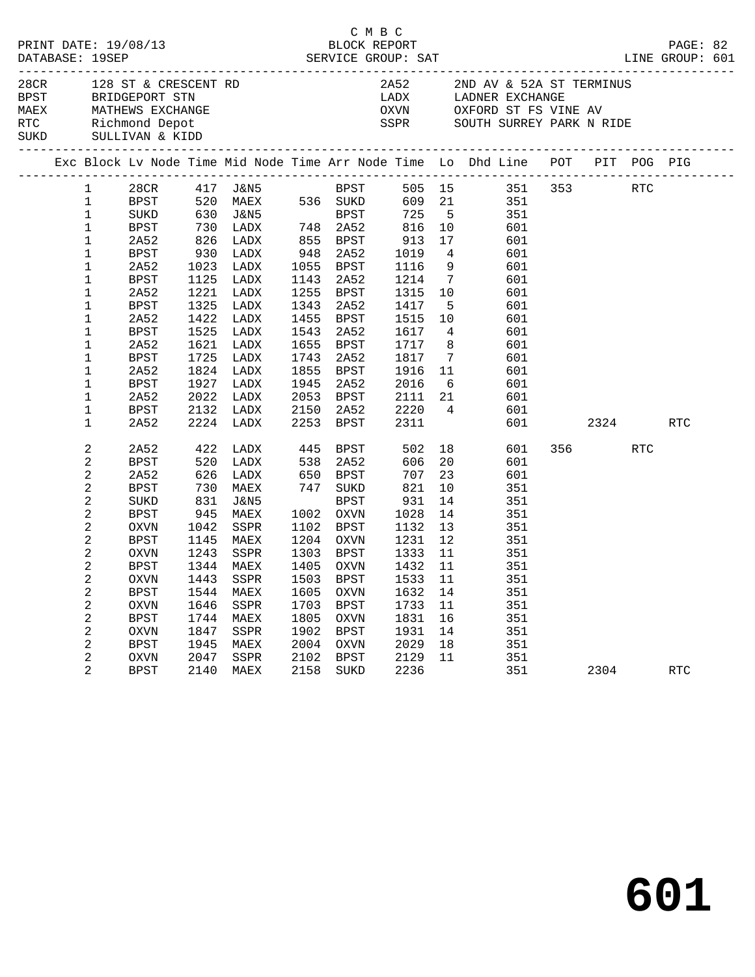|                                                                                                                                                                                                                                                 | 28CR 128 ST & CRESCENT RD<br>BPST BRIDGEPORT STN                                                        |                                                                                                                                                  |                                                                     |                                                                                                                                                                                                                                                                      |                                                                    |                                                                                                                                                                                                                             |                                                                                                                                                                |                                                                                                                     |                                                                                                                                                                                                                                                                                                                                                                                                                |                 |         |                                                             |
|-------------------------------------------------------------------------------------------------------------------------------------------------------------------------------------------------------------------------------------------------|---------------------------------------------------------------------------------------------------------|--------------------------------------------------------------------------------------------------------------------------------------------------|---------------------------------------------------------------------|----------------------------------------------------------------------------------------------------------------------------------------------------------------------------------------------------------------------------------------------------------------------|--------------------------------------------------------------------|-----------------------------------------------------------------------------------------------------------------------------------------------------------------------------------------------------------------------------|----------------------------------------------------------------------------------------------------------------------------------------------------------------|---------------------------------------------------------------------------------------------------------------------|----------------------------------------------------------------------------------------------------------------------------------------------------------------------------------------------------------------------------------------------------------------------------------------------------------------------------------------------------------------------------------------------------------------|-----------------|---------|-------------------------------------------------------------|
|                                                                                                                                                                                                                                                 |                                                                                                         |                                                                                                                                                  | MAEX MATHEWS EXCHANGE<br>RTC Richmond Depot<br>SUKD SULLIVAN & KIDD |                                                                                                                                                                                                                                                                      |                                                                    |                                                                                                                                                                                                                             |                                                                                                                                                                | 2A52 2ND AV & 52A ST TERMINUS<br>LADX LADNER EXCHANGE<br>OXVN OXFORD ST FS VINE AV<br>SSPR SOUTH SURREY PARK N RIDE |                                                                                                                                                                                                                                                                                                                                                                                                                |                 |         |                                                             |
|                                                                                                                                                                                                                                                 |                                                                                                         |                                                                                                                                                  |                                                                     |                                                                                                                                                                                                                                                                      |                                                                    |                                                                                                                                                                                                                             |                                                                                                                                                                | Exc Block Lv Node Time Mid Node Time Arr Node Time Lo Dhd Line POT PIT POG PIG                                      |                                                                                                                                                                                                                                                                                                                                                                                                                |                 |         |                                                             |
| $1 \quad \blacksquare$<br>$\mathbf{1}$<br>$\mathbf 1$<br>$\mathbf{1}$<br>$\mathbf{1}$<br>$\mathbf{1}$<br>$\mathbf 1$<br>$\mathbf{1}$<br>1<br>$\mathbf{1}$<br>1<br>1<br>$\mathbf 1$<br>1<br>1<br>1<br>$\mathbf 1$<br>$\mathbf 1$<br>$\mathbf{1}$ | 2A52<br>2A52<br>2A52<br>2A52<br>2A52<br>2A52<br>2A52                                                    | 1525                                                                                                                                             | LADX                                                                |                                                                                                                                                                                                                                                                      |                                                                    | 2311                                                                                                                                                                                                                        |                                                                                                                                                                | 601<br>601<br>601<br>601<br>601<br>601<br>601<br>601<br>601<br>601<br>601<br>601<br>601                             |                                                                                                                                                                                                                                                                                                                                                                                                                |                 | RTC     |                                                             |
| 2<br>2<br>2<br>2<br>2<br>2<br>2<br>2<br>2<br>2<br>2<br>2<br>2<br>2<br>2<br>2<br>2<br>$\overline{2}$                                                                                                                                             | 2A52<br>2A52<br>SUKD<br><b>BPST</b><br>OXVN<br><b>BPST</b><br><b>OXVN</b><br><b>BPST</b><br><b>OXVN</b> | 1544<br>1646<br>1744<br>1847<br>1945<br>2047                                                                                                     | MAEX<br>SSPR<br>MAEX<br>SSPR<br>MAEX<br>SSPR                        | 1605<br>1703<br>1805<br>1902<br>2004<br>2102                                                                                                                                                                                                                         | BPST<br>OXVN<br>BPST<br><b>OXVN</b><br><b>BPST</b><br>OXVN<br>BPST | 821<br>931<br>1028<br>1028<br>1632<br>1733<br>1831<br>1931<br>2029<br>2129                                                                                                                                                  | 11<br>16<br>14<br>18<br>11                                                                                                                                     | 601<br>601<br>351<br>351<br>351<br>351<br>351<br>351<br>351<br>351<br>351<br>351<br>351<br>351<br>351               |                                                                                                                                                                                                                                                                                                                                                                                                                | RTC             |         |                                                             |
|                                                                                                                                                                                                                                                 |                                                                                                         | BPST<br><b>BPST</b><br>BPST<br>BPST<br><b>BPST</b><br>BPST<br>BPST<br>BPST<br>BPST<br>BPST<br>OXVN<br>BPST<br>OXVN<br><b>BPST</b><br><b>BPST</b> | 2140                                                                | 1023 LADX<br>1125 LADX<br>1221 LADX<br>1325 LADX<br>1422 LADX<br>1621 LADX<br>1725 LADX<br>1824 LADX<br>1927 LADX<br>2022 LADX<br>2132 LADX<br>2224 LADX<br>626 LADX<br>730 MAEX<br>831 J&N5<br>945 MAEX<br>1042 SSPR<br>1145 MAEX<br>1243 SSPR<br>1344 MAEX<br>MAEX | 2158                                                               | 930 LADX 948 2A52<br>1055 BPST<br>1143 2A52<br>1255 BPST<br>1343 2A52<br>1455 BPST<br>1543 2A52<br>1655 BPST<br>1743 2A52<br>1855 BPST<br>747 SUKD<br>1002 OXVN<br>1102 BPST<br>1204 OXVN<br>1303 BPST<br>1405 OXVN<br>SUKD | SUKD 630 J&N5 BPST<br>BPST 730 LADX 748 2A52<br>2A52 826 LADX 855 BPST<br>2253 BPST<br>422 LADX      445  BPST<br>520  LADX      538  2A52<br>650 BPST<br>2236 | 1019<br>1116<br>1417<br>1515<br>1617<br>1717<br>1817<br>1916<br>606<br>707<br>1132<br>14                            | BPST 520 MAEX 536 SUKD 609 21 351<br>BPST 725 5 351<br>816 10<br>913 17<br>4 601<br>9<br>1214 7<br>1315 10<br>$5^{\circ}$<br>10<br>$4\overline{4}$<br>8 <sup>8</sup><br>$7\overline{ }$<br>11<br>1945  2A52  2016  6<br>2053  BPST  2111  21<br>2150  2A52  2220  4<br>6 601<br>502 18 601<br>20<br>23<br>10<br>14<br>14<br>13<br>1231 12<br>1333 11<br>1432 11<br>OXVN 1443 SSPR 1503 BPST 1533 11 351<br>351 | 601 000<br>2304 | 356 700 | 28CR 417 J&N5 BPST 505 15 351 353 RTC<br>2324<br><b>RTC</b> |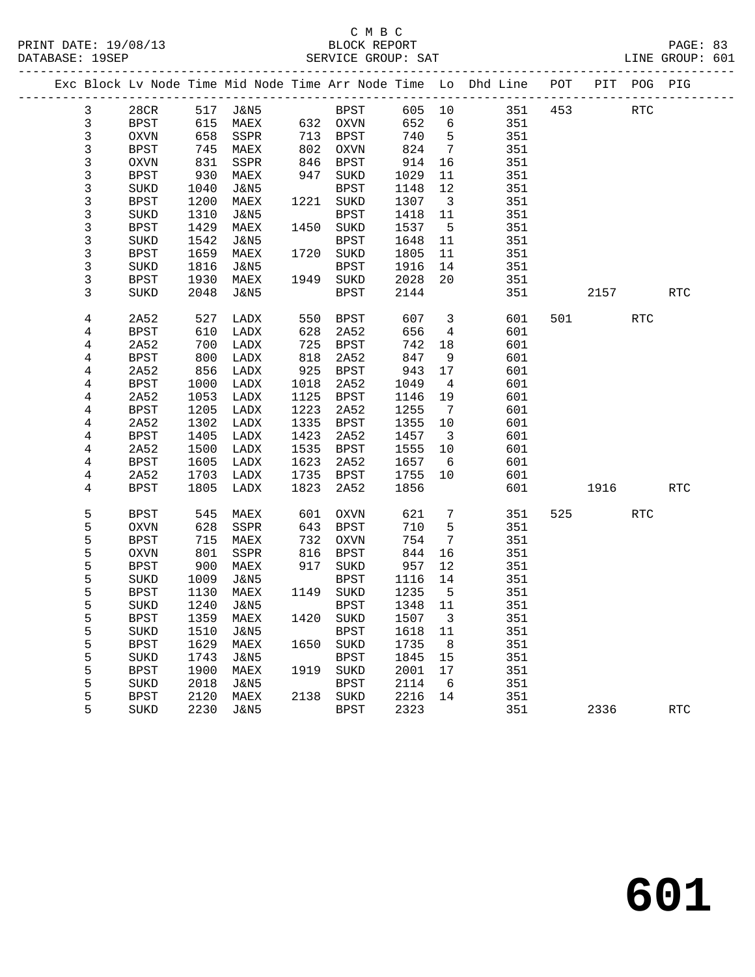# C M B C

| PRINT DATE: 19/08/13        | BLOCK REPORT       |      | PAGE:      |  |
|-----------------------------|--------------------|------|------------|--|
| 19SED<br>DATABASE: <u>.</u> | SERVICE GROUP: SAT | TNE. | GROUP: 601 |  |
|                             |                    |      |            |  |

| 605 10<br>3<br>28CR<br>517 J&N5<br>BPST<br>351<br>453<br><b>RTC</b><br>3<br>652<br>$_{\rm BPST}$<br>615<br>MAEX<br>632 OXVN<br>6<br>351<br>3<br>658<br>713 BPST<br>740<br>5<br>351<br><b>OXVN</b><br>SSPR<br>3<br>824<br>$7\overline{ }$<br><b>BPST</b><br>745<br>MAEX<br>802<br>351<br>OXVN<br>3<br>831<br>846<br>914<br>351<br>OXVN<br>SSPR<br>BPST<br>16<br>3<br><b>BPST</b><br>930<br>MAEX<br>947<br>SUKD<br>1029<br>11<br>351<br>$\mathsf{3}$<br>1040<br>J&N5<br><b>BPST</b><br>1148<br>12<br>351<br>SUKD<br>3<br>1200<br>MAEX<br>1221<br>1307<br>351<br><b>BPST</b><br>SUKD<br>$\overline{\mathbf{3}}$<br>3<br>1310<br>J&N5<br><b>BPST</b><br>1418<br>11<br>351<br>SUKD<br>3<br>1429<br>1450<br>1537<br>5<br>351<br><b>BPST</b><br>MAEX<br>SUKD<br>$\mathsf{3}$<br>1542<br>J&N5<br>1648<br>351<br>SUKD<br><b>BPST</b><br>11<br>3<br>1659<br>1720<br>SUKD<br>1805<br>351<br><b>BPST</b><br>MAEX<br>11<br>3<br>1816<br>1916<br>351<br>SUKD<br>J&N5<br><b>BPST</b><br>14<br>3<br>1930<br>MAEX<br>1949<br>SUKD<br>2028<br>20<br>351<br>BPST<br>3<br>SUKD<br>2048<br>J&N5<br><b>BPST</b><br>2144<br>351<br>2157<br><b>RTC</b><br>4<br>2A52<br>527<br>LADX<br>550<br>BPST<br>607<br>3<br>601<br>501 700<br><b>RTC</b><br>4<br><b>BPST</b><br>610<br>LADX<br>628<br>2A52<br>656<br>4<br>601<br>4<br>2A52<br>700<br>LADX<br>725<br><b>BPST</b><br>742<br>18<br>601<br>4<br>LADX<br>818<br>2A52<br>847<br>9<br>601<br><b>BPST</b><br>800<br>925<br>943<br>17<br>4<br>2A52<br>856<br>LADX<br>BPST<br>601<br>4<br>1000<br>1018<br>1049<br>$\overline{4}$<br>601<br>BPST<br>LADX<br>2A52<br>4<br>2A52<br>1053<br>LADX<br>1125<br>BPST<br>1146<br>19<br>601<br>$\,4$<br>1223<br><b>BPST</b><br>1205<br>LADX<br>2A52<br>1255<br>7<br>601<br>4<br>2A52<br>1302<br>LADX<br>1335<br><b>BPST</b><br>1355<br>10<br>601<br>4<br>1405<br>LADX<br>1423<br>601<br>BPST<br>2A52<br>1457<br>$\overline{\mathbf{3}}$<br>4<br>2A52<br>1500<br>LADX<br>1535<br>1555<br>10<br>601<br><b>BPST</b><br>$\,4$<br><b>BPST</b><br>1605<br>LADX<br>1623<br>1657<br>601<br>2A52<br>- 6<br>1735<br>1755<br>4<br>2A52<br>1703<br>LADX<br><b>BPST</b><br>10<br>601<br>4<br>1805<br>LADX<br>1823<br>1856<br><b>BPST</b><br>2A52<br>601<br>1916<br>RTC<br>5<br>MAEX<br>621<br>7<br>351<br>525<br><b>RTC</b><br><b>BPST</b><br>545<br>601<br>OXVN<br>5<br>SSPR<br>710<br>5<br>351<br>OXVN<br>628<br>643<br>BPST<br>5<br>715<br>732<br><b>OXVN</b><br>754<br>7<br>351<br><b>BPST</b><br>MAEX<br>5<br>844<br><b>OXVN</b><br>801<br>SSPR<br>816<br><b>BPST</b><br>16<br>351<br>5<br><b>BPST</b><br>900<br>917<br>957<br>12<br>351<br>MAEX<br>SUKD<br>5<br>1009<br>1116<br>351<br>SUKD<br>J&N5<br><b>BPST</b><br>14<br>5<br><b>BPST</b><br>1130<br>MAEX<br>1149<br>SUKD<br>1235<br>$5^{\circ}$<br>351<br>5<br>1240<br>351<br>SUKD<br>J&N5<br><b>BPST</b><br>1348<br>11<br>5<br>1359<br>1420<br>1507<br>351<br><b>BPST</b><br>MAEX<br>SUKD<br>$\overline{\mathbf{3}}$<br>5<br>SUKD<br>1510<br>J&N5<br><b>BPST</b><br>1618<br>11<br>351<br>5<br><b>BPST</b><br>1629<br>MAEX<br>1650<br>1735<br>351<br>SUKD<br>- 8<br>5<br>1743<br>1845<br>351<br>SUKD<br>J&N5<br><b>BPST</b><br>15<br>5<br>1900<br>351<br><b>BPST</b><br>MAEX<br>1919<br>SUKD<br>2001<br>17<br>5<br>351<br>$\rm SUKD$<br>2018<br><b>J&amp;N5</b><br><b>BPST</b><br>2114<br>- 6<br>5<br>2120<br>2216<br>351<br><b>BPST</b><br>MAEX<br>2138<br>SUKD<br>14<br>5<br>2323<br>SUKD<br>2230<br><b>J&amp;N5</b><br><b>BPST</b><br>351<br>2336<br><b>RTC</b> |  |  |  |  | Exc Block Lv Node Time Mid Node Time Arr Node Time Lo Dhd Line | POT | PIT | POG PIG |  |
|--------------------------------------------------------------------------------------------------------------------------------------------------------------------------------------------------------------------------------------------------------------------------------------------------------------------------------------------------------------------------------------------------------------------------------------------------------------------------------------------------------------------------------------------------------------------------------------------------------------------------------------------------------------------------------------------------------------------------------------------------------------------------------------------------------------------------------------------------------------------------------------------------------------------------------------------------------------------------------------------------------------------------------------------------------------------------------------------------------------------------------------------------------------------------------------------------------------------------------------------------------------------------------------------------------------------------------------------------------------------------------------------------------------------------------------------------------------------------------------------------------------------------------------------------------------------------------------------------------------------------------------------------------------------------------------------------------------------------------------------------------------------------------------------------------------------------------------------------------------------------------------------------------------------------------------------------------------------------------------------------------------------------------------------------------------------------------------------------------------------------------------------------------------------------------------------------------------------------------------------------------------------------------------------------------------------------------------------------------------------------------------------------------------------------------------------------------------------------------------------------------------------------------------------------------------------------------------------------------------------------------------------------------------------------------------------------------------------------------------------------------------------------------------------------------------------------------------------------------------------------------------------------------------------------------------------------------------------------------------------------------------------------------------------------------------------------------------------------------------------------------------------------------------------------------------------------------------------------------------------------------------------------------------------------------------------------------------------------------------------------------------------------------------------------------------------------------------------------|--|--|--|--|----------------------------------------------------------------|-----|-----|---------|--|
|                                                                                                                                                                                                                                                                                                                                                                                                                                                                                                                                                                                                                                                                                                                                                                                                                                                                                                                                                                                                                                                                                                                                                                                                                                                                                                                                                                                                                                                                                                                                                                                                                                                                                                                                                                                                                                                                                                                                                                                                                                                                                                                                                                                                                                                                                                                                                                                                                                                                                                                                                                                                                                                                                                                                                                                                                                                                                                                                                                                                                                                                                                                                                                                                                                                                                                                                                                                                                                                                          |  |  |  |  |                                                                |     |     |         |  |
|                                                                                                                                                                                                                                                                                                                                                                                                                                                                                                                                                                                                                                                                                                                                                                                                                                                                                                                                                                                                                                                                                                                                                                                                                                                                                                                                                                                                                                                                                                                                                                                                                                                                                                                                                                                                                                                                                                                                                                                                                                                                                                                                                                                                                                                                                                                                                                                                                                                                                                                                                                                                                                                                                                                                                                                                                                                                                                                                                                                                                                                                                                                                                                                                                                                                                                                                                                                                                                                                          |  |  |  |  |                                                                |     |     |         |  |
|                                                                                                                                                                                                                                                                                                                                                                                                                                                                                                                                                                                                                                                                                                                                                                                                                                                                                                                                                                                                                                                                                                                                                                                                                                                                                                                                                                                                                                                                                                                                                                                                                                                                                                                                                                                                                                                                                                                                                                                                                                                                                                                                                                                                                                                                                                                                                                                                                                                                                                                                                                                                                                                                                                                                                                                                                                                                                                                                                                                                                                                                                                                                                                                                                                                                                                                                                                                                                                                                          |  |  |  |  |                                                                |     |     |         |  |
|                                                                                                                                                                                                                                                                                                                                                                                                                                                                                                                                                                                                                                                                                                                                                                                                                                                                                                                                                                                                                                                                                                                                                                                                                                                                                                                                                                                                                                                                                                                                                                                                                                                                                                                                                                                                                                                                                                                                                                                                                                                                                                                                                                                                                                                                                                                                                                                                                                                                                                                                                                                                                                                                                                                                                                                                                                                                                                                                                                                                                                                                                                                                                                                                                                                                                                                                                                                                                                                                          |  |  |  |  |                                                                |     |     |         |  |
|                                                                                                                                                                                                                                                                                                                                                                                                                                                                                                                                                                                                                                                                                                                                                                                                                                                                                                                                                                                                                                                                                                                                                                                                                                                                                                                                                                                                                                                                                                                                                                                                                                                                                                                                                                                                                                                                                                                                                                                                                                                                                                                                                                                                                                                                                                                                                                                                                                                                                                                                                                                                                                                                                                                                                                                                                                                                                                                                                                                                                                                                                                                                                                                                                                                                                                                                                                                                                                                                          |  |  |  |  |                                                                |     |     |         |  |
|                                                                                                                                                                                                                                                                                                                                                                                                                                                                                                                                                                                                                                                                                                                                                                                                                                                                                                                                                                                                                                                                                                                                                                                                                                                                                                                                                                                                                                                                                                                                                                                                                                                                                                                                                                                                                                                                                                                                                                                                                                                                                                                                                                                                                                                                                                                                                                                                                                                                                                                                                                                                                                                                                                                                                                                                                                                                                                                                                                                                                                                                                                                                                                                                                                                                                                                                                                                                                                                                          |  |  |  |  |                                                                |     |     |         |  |
|                                                                                                                                                                                                                                                                                                                                                                                                                                                                                                                                                                                                                                                                                                                                                                                                                                                                                                                                                                                                                                                                                                                                                                                                                                                                                                                                                                                                                                                                                                                                                                                                                                                                                                                                                                                                                                                                                                                                                                                                                                                                                                                                                                                                                                                                                                                                                                                                                                                                                                                                                                                                                                                                                                                                                                                                                                                                                                                                                                                                                                                                                                                                                                                                                                                                                                                                                                                                                                                                          |  |  |  |  |                                                                |     |     |         |  |
|                                                                                                                                                                                                                                                                                                                                                                                                                                                                                                                                                                                                                                                                                                                                                                                                                                                                                                                                                                                                                                                                                                                                                                                                                                                                                                                                                                                                                                                                                                                                                                                                                                                                                                                                                                                                                                                                                                                                                                                                                                                                                                                                                                                                                                                                                                                                                                                                                                                                                                                                                                                                                                                                                                                                                                                                                                                                                                                                                                                                                                                                                                                                                                                                                                                                                                                                                                                                                                                                          |  |  |  |  |                                                                |     |     |         |  |
|                                                                                                                                                                                                                                                                                                                                                                                                                                                                                                                                                                                                                                                                                                                                                                                                                                                                                                                                                                                                                                                                                                                                                                                                                                                                                                                                                                                                                                                                                                                                                                                                                                                                                                                                                                                                                                                                                                                                                                                                                                                                                                                                                                                                                                                                                                                                                                                                                                                                                                                                                                                                                                                                                                                                                                                                                                                                                                                                                                                                                                                                                                                                                                                                                                                                                                                                                                                                                                                                          |  |  |  |  |                                                                |     |     |         |  |
|                                                                                                                                                                                                                                                                                                                                                                                                                                                                                                                                                                                                                                                                                                                                                                                                                                                                                                                                                                                                                                                                                                                                                                                                                                                                                                                                                                                                                                                                                                                                                                                                                                                                                                                                                                                                                                                                                                                                                                                                                                                                                                                                                                                                                                                                                                                                                                                                                                                                                                                                                                                                                                                                                                                                                                                                                                                                                                                                                                                                                                                                                                                                                                                                                                                                                                                                                                                                                                                                          |  |  |  |  |                                                                |     |     |         |  |
|                                                                                                                                                                                                                                                                                                                                                                                                                                                                                                                                                                                                                                                                                                                                                                                                                                                                                                                                                                                                                                                                                                                                                                                                                                                                                                                                                                                                                                                                                                                                                                                                                                                                                                                                                                                                                                                                                                                                                                                                                                                                                                                                                                                                                                                                                                                                                                                                                                                                                                                                                                                                                                                                                                                                                                                                                                                                                                                                                                                                                                                                                                                                                                                                                                                                                                                                                                                                                                                                          |  |  |  |  |                                                                |     |     |         |  |
|                                                                                                                                                                                                                                                                                                                                                                                                                                                                                                                                                                                                                                                                                                                                                                                                                                                                                                                                                                                                                                                                                                                                                                                                                                                                                                                                                                                                                                                                                                                                                                                                                                                                                                                                                                                                                                                                                                                                                                                                                                                                                                                                                                                                                                                                                                                                                                                                                                                                                                                                                                                                                                                                                                                                                                                                                                                                                                                                                                                                                                                                                                                                                                                                                                                                                                                                                                                                                                                                          |  |  |  |  |                                                                |     |     |         |  |
|                                                                                                                                                                                                                                                                                                                                                                                                                                                                                                                                                                                                                                                                                                                                                                                                                                                                                                                                                                                                                                                                                                                                                                                                                                                                                                                                                                                                                                                                                                                                                                                                                                                                                                                                                                                                                                                                                                                                                                                                                                                                                                                                                                                                                                                                                                                                                                                                                                                                                                                                                                                                                                                                                                                                                                                                                                                                                                                                                                                                                                                                                                                                                                                                                                                                                                                                                                                                                                                                          |  |  |  |  |                                                                |     |     |         |  |
|                                                                                                                                                                                                                                                                                                                                                                                                                                                                                                                                                                                                                                                                                                                                                                                                                                                                                                                                                                                                                                                                                                                                                                                                                                                                                                                                                                                                                                                                                                                                                                                                                                                                                                                                                                                                                                                                                                                                                                                                                                                                                                                                                                                                                                                                                                                                                                                                                                                                                                                                                                                                                                                                                                                                                                                                                                                                                                                                                                                                                                                                                                                                                                                                                                                                                                                                                                                                                                                                          |  |  |  |  |                                                                |     |     |         |  |
|                                                                                                                                                                                                                                                                                                                                                                                                                                                                                                                                                                                                                                                                                                                                                                                                                                                                                                                                                                                                                                                                                                                                                                                                                                                                                                                                                                                                                                                                                                                                                                                                                                                                                                                                                                                                                                                                                                                                                                                                                                                                                                                                                                                                                                                                                                                                                                                                                                                                                                                                                                                                                                                                                                                                                                                                                                                                                                                                                                                                                                                                                                                                                                                                                                                                                                                                                                                                                                                                          |  |  |  |  |                                                                |     |     |         |  |
|                                                                                                                                                                                                                                                                                                                                                                                                                                                                                                                                                                                                                                                                                                                                                                                                                                                                                                                                                                                                                                                                                                                                                                                                                                                                                                                                                                                                                                                                                                                                                                                                                                                                                                                                                                                                                                                                                                                                                                                                                                                                                                                                                                                                                                                                                                                                                                                                                                                                                                                                                                                                                                                                                                                                                                                                                                                                                                                                                                                                                                                                                                                                                                                                                                                                                                                                                                                                                                                                          |  |  |  |  |                                                                |     |     |         |  |
|                                                                                                                                                                                                                                                                                                                                                                                                                                                                                                                                                                                                                                                                                                                                                                                                                                                                                                                                                                                                                                                                                                                                                                                                                                                                                                                                                                                                                                                                                                                                                                                                                                                                                                                                                                                                                                                                                                                                                                                                                                                                                                                                                                                                                                                                                                                                                                                                                                                                                                                                                                                                                                                                                                                                                                                                                                                                                                                                                                                                                                                                                                                                                                                                                                                                                                                                                                                                                                                                          |  |  |  |  |                                                                |     |     |         |  |
|                                                                                                                                                                                                                                                                                                                                                                                                                                                                                                                                                                                                                                                                                                                                                                                                                                                                                                                                                                                                                                                                                                                                                                                                                                                                                                                                                                                                                                                                                                                                                                                                                                                                                                                                                                                                                                                                                                                                                                                                                                                                                                                                                                                                                                                                                                                                                                                                                                                                                                                                                                                                                                                                                                                                                                                                                                                                                                                                                                                                                                                                                                                                                                                                                                                                                                                                                                                                                                                                          |  |  |  |  |                                                                |     |     |         |  |
|                                                                                                                                                                                                                                                                                                                                                                                                                                                                                                                                                                                                                                                                                                                                                                                                                                                                                                                                                                                                                                                                                                                                                                                                                                                                                                                                                                                                                                                                                                                                                                                                                                                                                                                                                                                                                                                                                                                                                                                                                                                                                                                                                                                                                                                                                                                                                                                                                                                                                                                                                                                                                                                                                                                                                                                                                                                                                                                                                                                                                                                                                                                                                                                                                                                                                                                                                                                                                                                                          |  |  |  |  |                                                                |     |     |         |  |
|                                                                                                                                                                                                                                                                                                                                                                                                                                                                                                                                                                                                                                                                                                                                                                                                                                                                                                                                                                                                                                                                                                                                                                                                                                                                                                                                                                                                                                                                                                                                                                                                                                                                                                                                                                                                                                                                                                                                                                                                                                                                                                                                                                                                                                                                                                                                                                                                                                                                                                                                                                                                                                                                                                                                                                                                                                                                                                                                                                                                                                                                                                                                                                                                                                                                                                                                                                                                                                                                          |  |  |  |  |                                                                |     |     |         |  |
|                                                                                                                                                                                                                                                                                                                                                                                                                                                                                                                                                                                                                                                                                                                                                                                                                                                                                                                                                                                                                                                                                                                                                                                                                                                                                                                                                                                                                                                                                                                                                                                                                                                                                                                                                                                                                                                                                                                                                                                                                                                                                                                                                                                                                                                                                                                                                                                                                                                                                                                                                                                                                                                                                                                                                                                                                                                                                                                                                                                                                                                                                                                                                                                                                                                                                                                                                                                                                                                                          |  |  |  |  |                                                                |     |     |         |  |
|                                                                                                                                                                                                                                                                                                                                                                                                                                                                                                                                                                                                                                                                                                                                                                                                                                                                                                                                                                                                                                                                                                                                                                                                                                                                                                                                                                                                                                                                                                                                                                                                                                                                                                                                                                                                                                                                                                                                                                                                                                                                                                                                                                                                                                                                                                                                                                                                                                                                                                                                                                                                                                                                                                                                                                                                                                                                                                                                                                                                                                                                                                                                                                                                                                                                                                                                                                                                                                                                          |  |  |  |  |                                                                |     |     |         |  |
|                                                                                                                                                                                                                                                                                                                                                                                                                                                                                                                                                                                                                                                                                                                                                                                                                                                                                                                                                                                                                                                                                                                                                                                                                                                                                                                                                                                                                                                                                                                                                                                                                                                                                                                                                                                                                                                                                                                                                                                                                                                                                                                                                                                                                                                                                                                                                                                                                                                                                                                                                                                                                                                                                                                                                                                                                                                                                                                                                                                                                                                                                                                                                                                                                                                                                                                                                                                                                                                                          |  |  |  |  |                                                                |     |     |         |  |
|                                                                                                                                                                                                                                                                                                                                                                                                                                                                                                                                                                                                                                                                                                                                                                                                                                                                                                                                                                                                                                                                                                                                                                                                                                                                                                                                                                                                                                                                                                                                                                                                                                                                                                                                                                                                                                                                                                                                                                                                                                                                                                                                                                                                                                                                                                                                                                                                                                                                                                                                                                                                                                                                                                                                                                                                                                                                                                                                                                                                                                                                                                                                                                                                                                                                                                                                                                                                                                                                          |  |  |  |  |                                                                |     |     |         |  |
|                                                                                                                                                                                                                                                                                                                                                                                                                                                                                                                                                                                                                                                                                                                                                                                                                                                                                                                                                                                                                                                                                                                                                                                                                                                                                                                                                                                                                                                                                                                                                                                                                                                                                                                                                                                                                                                                                                                                                                                                                                                                                                                                                                                                                                                                                                                                                                                                                                                                                                                                                                                                                                                                                                                                                                                                                                                                                                                                                                                                                                                                                                                                                                                                                                                                                                                                                                                                                                                                          |  |  |  |  |                                                                |     |     |         |  |
|                                                                                                                                                                                                                                                                                                                                                                                                                                                                                                                                                                                                                                                                                                                                                                                                                                                                                                                                                                                                                                                                                                                                                                                                                                                                                                                                                                                                                                                                                                                                                                                                                                                                                                                                                                                                                                                                                                                                                                                                                                                                                                                                                                                                                                                                                                                                                                                                                                                                                                                                                                                                                                                                                                                                                                                                                                                                                                                                                                                                                                                                                                                                                                                                                                                                                                                                                                                                                                                                          |  |  |  |  |                                                                |     |     |         |  |
|                                                                                                                                                                                                                                                                                                                                                                                                                                                                                                                                                                                                                                                                                                                                                                                                                                                                                                                                                                                                                                                                                                                                                                                                                                                                                                                                                                                                                                                                                                                                                                                                                                                                                                                                                                                                                                                                                                                                                                                                                                                                                                                                                                                                                                                                                                                                                                                                                                                                                                                                                                                                                                                                                                                                                                                                                                                                                                                                                                                                                                                                                                                                                                                                                                                                                                                                                                                                                                                                          |  |  |  |  |                                                                |     |     |         |  |
|                                                                                                                                                                                                                                                                                                                                                                                                                                                                                                                                                                                                                                                                                                                                                                                                                                                                                                                                                                                                                                                                                                                                                                                                                                                                                                                                                                                                                                                                                                                                                                                                                                                                                                                                                                                                                                                                                                                                                                                                                                                                                                                                                                                                                                                                                                                                                                                                                                                                                                                                                                                                                                                                                                                                                                                                                                                                                                                                                                                                                                                                                                                                                                                                                                                                                                                                                                                                                                                                          |  |  |  |  |                                                                |     |     |         |  |
|                                                                                                                                                                                                                                                                                                                                                                                                                                                                                                                                                                                                                                                                                                                                                                                                                                                                                                                                                                                                                                                                                                                                                                                                                                                                                                                                                                                                                                                                                                                                                                                                                                                                                                                                                                                                                                                                                                                                                                                                                                                                                                                                                                                                                                                                                                                                                                                                                                                                                                                                                                                                                                                                                                                                                                                                                                                                                                                                                                                                                                                                                                                                                                                                                                                                                                                                                                                                                                                                          |  |  |  |  |                                                                |     |     |         |  |
|                                                                                                                                                                                                                                                                                                                                                                                                                                                                                                                                                                                                                                                                                                                                                                                                                                                                                                                                                                                                                                                                                                                                                                                                                                                                                                                                                                                                                                                                                                                                                                                                                                                                                                                                                                                                                                                                                                                                                                                                                                                                                                                                                                                                                                                                                                                                                                                                                                                                                                                                                                                                                                                                                                                                                                                                                                                                                                                                                                                                                                                                                                                                                                                                                                                                                                                                                                                                                                                                          |  |  |  |  |                                                                |     |     |         |  |
|                                                                                                                                                                                                                                                                                                                                                                                                                                                                                                                                                                                                                                                                                                                                                                                                                                                                                                                                                                                                                                                                                                                                                                                                                                                                                                                                                                                                                                                                                                                                                                                                                                                                                                                                                                                                                                                                                                                                                                                                                                                                                                                                                                                                                                                                                                                                                                                                                                                                                                                                                                                                                                                                                                                                                                                                                                                                                                                                                                                                                                                                                                                                                                                                                                                                                                                                                                                                                                                                          |  |  |  |  |                                                                |     |     |         |  |
|                                                                                                                                                                                                                                                                                                                                                                                                                                                                                                                                                                                                                                                                                                                                                                                                                                                                                                                                                                                                                                                                                                                                                                                                                                                                                                                                                                                                                                                                                                                                                                                                                                                                                                                                                                                                                                                                                                                                                                                                                                                                                                                                                                                                                                                                                                                                                                                                                                                                                                                                                                                                                                                                                                                                                                                                                                                                                                                                                                                                                                                                                                                                                                                                                                                                                                                                                                                                                                                                          |  |  |  |  |                                                                |     |     |         |  |
|                                                                                                                                                                                                                                                                                                                                                                                                                                                                                                                                                                                                                                                                                                                                                                                                                                                                                                                                                                                                                                                                                                                                                                                                                                                                                                                                                                                                                                                                                                                                                                                                                                                                                                                                                                                                                                                                                                                                                                                                                                                                                                                                                                                                                                                                                                                                                                                                                                                                                                                                                                                                                                                                                                                                                                                                                                                                                                                                                                                                                                                                                                                                                                                                                                                                                                                                                                                                                                                                          |  |  |  |  |                                                                |     |     |         |  |
|                                                                                                                                                                                                                                                                                                                                                                                                                                                                                                                                                                                                                                                                                                                                                                                                                                                                                                                                                                                                                                                                                                                                                                                                                                                                                                                                                                                                                                                                                                                                                                                                                                                                                                                                                                                                                                                                                                                                                                                                                                                                                                                                                                                                                                                                                                                                                                                                                                                                                                                                                                                                                                                                                                                                                                                                                                                                                                                                                                                                                                                                                                                                                                                                                                                                                                                                                                                                                                                                          |  |  |  |  |                                                                |     |     |         |  |
|                                                                                                                                                                                                                                                                                                                                                                                                                                                                                                                                                                                                                                                                                                                                                                                                                                                                                                                                                                                                                                                                                                                                                                                                                                                                                                                                                                                                                                                                                                                                                                                                                                                                                                                                                                                                                                                                                                                                                                                                                                                                                                                                                                                                                                                                                                                                                                                                                                                                                                                                                                                                                                                                                                                                                                                                                                                                                                                                                                                                                                                                                                                                                                                                                                                                                                                                                                                                                                                                          |  |  |  |  |                                                                |     |     |         |  |
|                                                                                                                                                                                                                                                                                                                                                                                                                                                                                                                                                                                                                                                                                                                                                                                                                                                                                                                                                                                                                                                                                                                                                                                                                                                                                                                                                                                                                                                                                                                                                                                                                                                                                                                                                                                                                                                                                                                                                                                                                                                                                                                                                                                                                                                                                                                                                                                                                                                                                                                                                                                                                                                                                                                                                                                                                                                                                                                                                                                                                                                                                                                                                                                                                                                                                                                                                                                                                                                                          |  |  |  |  |                                                                |     |     |         |  |
|                                                                                                                                                                                                                                                                                                                                                                                                                                                                                                                                                                                                                                                                                                                                                                                                                                                                                                                                                                                                                                                                                                                                                                                                                                                                                                                                                                                                                                                                                                                                                                                                                                                                                                                                                                                                                                                                                                                                                                                                                                                                                                                                                                                                                                                                                                                                                                                                                                                                                                                                                                                                                                                                                                                                                                                                                                                                                                                                                                                                                                                                                                                                                                                                                                                                                                                                                                                                                                                                          |  |  |  |  |                                                                |     |     |         |  |
|                                                                                                                                                                                                                                                                                                                                                                                                                                                                                                                                                                                                                                                                                                                                                                                                                                                                                                                                                                                                                                                                                                                                                                                                                                                                                                                                                                                                                                                                                                                                                                                                                                                                                                                                                                                                                                                                                                                                                                                                                                                                                                                                                                                                                                                                                                                                                                                                                                                                                                                                                                                                                                                                                                                                                                                                                                                                                                                                                                                                                                                                                                                                                                                                                                                                                                                                                                                                                                                                          |  |  |  |  |                                                                |     |     |         |  |
|                                                                                                                                                                                                                                                                                                                                                                                                                                                                                                                                                                                                                                                                                                                                                                                                                                                                                                                                                                                                                                                                                                                                                                                                                                                                                                                                                                                                                                                                                                                                                                                                                                                                                                                                                                                                                                                                                                                                                                                                                                                                                                                                                                                                                                                                                                                                                                                                                                                                                                                                                                                                                                                                                                                                                                                                                                                                                                                                                                                                                                                                                                                                                                                                                                                                                                                                                                                                                                                                          |  |  |  |  |                                                                |     |     |         |  |
|                                                                                                                                                                                                                                                                                                                                                                                                                                                                                                                                                                                                                                                                                                                                                                                                                                                                                                                                                                                                                                                                                                                                                                                                                                                                                                                                                                                                                                                                                                                                                                                                                                                                                                                                                                                                                                                                                                                                                                                                                                                                                                                                                                                                                                                                                                                                                                                                                                                                                                                                                                                                                                                                                                                                                                                                                                                                                                                                                                                                                                                                                                                                                                                                                                                                                                                                                                                                                                                                          |  |  |  |  |                                                                |     |     |         |  |
|                                                                                                                                                                                                                                                                                                                                                                                                                                                                                                                                                                                                                                                                                                                                                                                                                                                                                                                                                                                                                                                                                                                                                                                                                                                                                                                                                                                                                                                                                                                                                                                                                                                                                                                                                                                                                                                                                                                                                                                                                                                                                                                                                                                                                                                                                                                                                                                                                                                                                                                                                                                                                                                                                                                                                                                                                                                                                                                                                                                                                                                                                                                                                                                                                                                                                                                                                                                                                                                                          |  |  |  |  |                                                                |     |     |         |  |
|                                                                                                                                                                                                                                                                                                                                                                                                                                                                                                                                                                                                                                                                                                                                                                                                                                                                                                                                                                                                                                                                                                                                                                                                                                                                                                                                                                                                                                                                                                                                                                                                                                                                                                                                                                                                                                                                                                                                                                                                                                                                                                                                                                                                                                                                                                                                                                                                                                                                                                                                                                                                                                                                                                                                                                                                                                                                                                                                                                                                                                                                                                                                                                                                                                                                                                                                                                                                                                                                          |  |  |  |  |                                                                |     |     |         |  |
|                                                                                                                                                                                                                                                                                                                                                                                                                                                                                                                                                                                                                                                                                                                                                                                                                                                                                                                                                                                                                                                                                                                                                                                                                                                                                                                                                                                                                                                                                                                                                                                                                                                                                                                                                                                                                                                                                                                                                                                                                                                                                                                                                                                                                                                                                                                                                                                                                                                                                                                                                                                                                                                                                                                                                                                                                                                                                                                                                                                                                                                                                                                                                                                                                                                                                                                                                                                                                                                                          |  |  |  |  |                                                                |     |     |         |  |
|                                                                                                                                                                                                                                                                                                                                                                                                                                                                                                                                                                                                                                                                                                                                                                                                                                                                                                                                                                                                                                                                                                                                                                                                                                                                                                                                                                                                                                                                                                                                                                                                                                                                                                                                                                                                                                                                                                                                                                                                                                                                                                                                                                                                                                                                                                                                                                                                                                                                                                                                                                                                                                                                                                                                                                                                                                                                                                                                                                                                                                                                                                                                                                                                                                                                                                                                                                                                                                                                          |  |  |  |  |                                                                |     |     |         |  |
|                                                                                                                                                                                                                                                                                                                                                                                                                                                                                                                                                                                                                                                                                                                                                                                                                                                                                                                                                                                                                                                                                                                                                                                                                                                                                                                                                                                                                                                                                                                                                                                                                                                                                                                                                                                                                                                                                                                                                                                                                                                                                                                                                                                                                                                                                                                                                                                                                                                                                                                                                                                                                                                                                                                                                                                                                                                                                                                                                                                                                                                                                                                                                                                                                                                                                                                                                                                                                                                                          |  |  |  |  |                                                                |     |     |         |  |
|                                                                                                                                                                                                                                                                                                                                                                                                                                                                                                                                                                                                                                                                                                                                                                                                                                                                                                                                                                                                                                                                                                                                                                                                                                                                                                                                                                                                                                                                                                                                                                                                                                                                                                                                                                                                                                                                                                                                                                                                                                                                                                                                                                                                                                                                                                                                                                                                                                                                                                                                                                                                                                                                                                                                                                                                                                                                                                                                                                                                                                                                                                                                                                                                                                                                                                                                                                                                                                                                          |  |  |  |  |                                                                |     |     |         |  |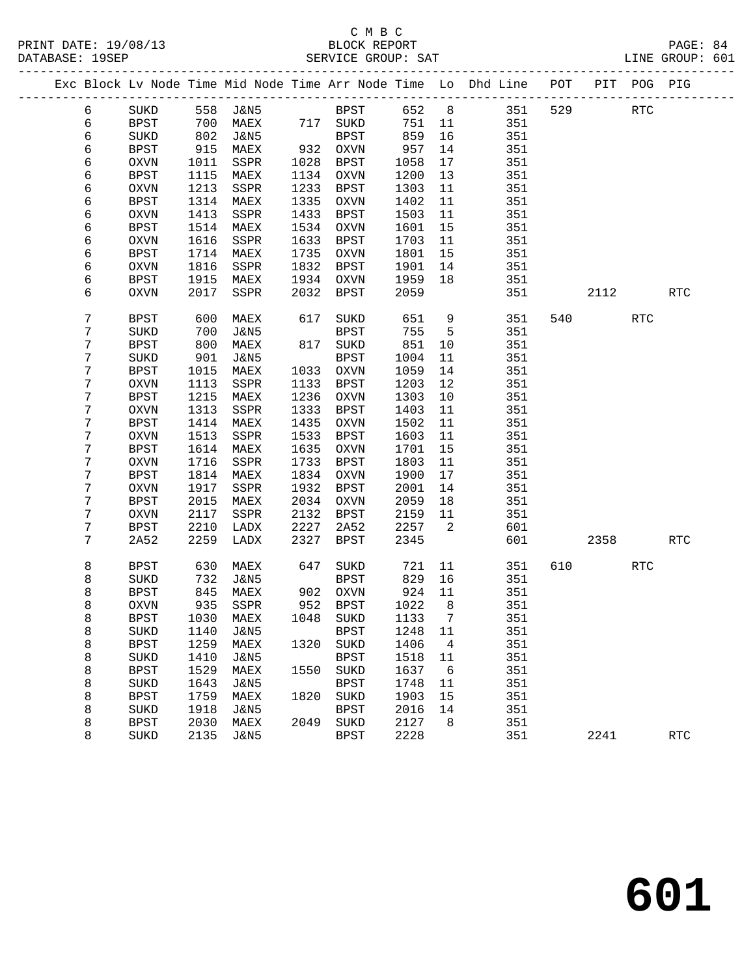#### C M B C<br>BLOCK REPORT PRINT DATE: 19/08/13 BLOCK REPORT PAGE: 84 SERVICE GROUP: SAT

|  |   |             |      |                 |      |                  |      |    | Exc Block Lv Node Time Mid Node Time Arr Node Time Lo Dhd Line POT |     |      | PIT POG PIG |            |
|--|---|-------------|------|-----------------|------|------------------|------|----|--------------------------------------------------------------------|-----|------|-------------|------------|
|  | 6 | SUKD        | 558  | J&N5            |      | <b>BPST</b>      | 652  | 8  | 351                                                                | 529 |      | <b>RTC</b>  |            |
|  | 6 | <b>BPST</b> | 700  | MAEX            |      | 717 SUKD         | 751  | 11 | 351                                                                |     |      |             |            |
|  | 6 | SUKD        | 802  | J&N5            |      | <b>BPST</b>      | 859  | 16 | 351                                                                |     |      |             |            |
|  | 6 | BPST        | 915  | MAEX            | 932  | OXVN             | 957  | 14 | 351                                                                |     |      |             |            |
|  | 6 | OXVN        | 1011 | SSPR            | 1028 | BPST             | 1058 | 17 | 351                                                                |     |      |             |            |
|  | 6 | <b>BPST</b> | 1115 | MAEX            | 1134 | OXVN             | 1200 | 13 | 351                                                                |     |      |             |            |
|  | 6 | OXVN        | 1213 | SSPR            | 1233 | BPST             | 1303 | 11 | 351                                                                |     |      |             |            |
|  | 6 | <b>BPST</b> | 1314 | MAEX            | 1335 | OXVN             | 1402 | 11 | 351                                                                |     |      |             |            |
|  | 6 | <b>OXVN</b> | 1413 | SSPR            | 1433 | <b>BPST</b>      | 1503 | 11 | 351                                                                |     |      |             |            |
|  | 6 | <b>BPST</b> | 1514 | MAEX            | 1534 | OXVN             | 1601 | 15 | 351                                                                |     |      |             |            |
|  | 6 | OXVN        | 1616 | SSPR            | 1633 | BPST             | 1703 | 11 | 351                                                                |     |      |             |            |
|  | 6 | <b>BPST</b> | 1714 | MAEX            | 1735 | OXVN             | 1801 | 15 | 351                                                                |     |      |             |            |
|  | 6 | OXVN        | 1816 | SSPR            | 1832 | BPST             | 1901 | 14 | 351                                                                |     |      |             |            |
|  | 6 | BPST        | 1915 | MAEX            | 1934 | OXVN             | 1959 | 18 | 351                                                                |     |      |             |            |
|  | 6 | <b>OXVN</b> | 2017 | SSPR            | 2032 | BPST             | 2059 |    | 351                                                                |     | 2112 |             | RTC        |
|  |   |             |      |                 |      |                  |      |    |                                                                    |     |      |             |            |
|  | 7 | BPST        | 600  | MAEX            | 617  | <b>SUKD</b>      | 651  | 9  | 351                                                                | 540 |      | <b>RTC</b>  |            |
|  | 7 | SUKD        | 700  | J&N5            |      | <b>BPST</b>      | 755  | 5  | 351                                                                |     |      |             |            |
|  | 7 | <b>BPST</b> | 800  | MAEX            | 817  | SUKD             | 851  | 10 | 351                                                                |     |      |             |            |
|  | 7 | SUKD        | 901  | J&N5            |      | BPST             | 1004 | 11 | 351                                                                |     |      |             |            |
|  | 7 | <b>BPST</b> | 1015 | MAEX            | 1033 | OXVN             | 1059 | 14 | 351                                                                |     |      |             |            |
|  | 7 | OXVN        | 1113 | SSPR            | 1133 | BPST             | 1203 | 12 | 351                                                                |     |      |             |            |
|  | 7 | <b>BPST</b> | 1215 | MAEX            | 1236 | OXVN             | 1303 | 10 | 351                                                                |     |      |             |            |
|  | 7 | OXVN        | 1313 | SSPR            | 1333 | <b>BPST</b>      | 1403 | 11 | 351                                                                |     |      |             |            |
|  | 7 | <b>BPST</b> | 1414 | MAEX            | 1435 | OXVN             | 1502 | 11 | 351                                                                |     |      |             |            |
|  | 7 | OXVN        | 1513 | SSPR            | 1533 | BPST             | 1603 | 11 | 351                                                                |     |      |             |            |
|  | 7 | <b>BPST</b> | 1614 | MAEX            | 1635 | OXVN             | 1701 | 15 | 351                                                                |     |      |             |            |
|  | 7 | OXVN        | 1716 | SSPR            | 1733 | <b>BPST</b>      | 1803 | 11 | 351                                                                |     |      |             |            |
|  | 7 | <b>BPST</b> | 1814 | MAEX            | 1834 | OXVN             | 1900 | 17 | 351                                                                |     |      |             |            |
|  | 7 | OXVN        | 1917 | SSPR            | 1932 | <b>BPST</b>      | 2001 | 14 | 351                                                                |     |      |             |            |
|  | 7 | <b>BPST</b> | 2015 | MAEX            | 2034 | OXVN             | 2059 | 18 | 351                                                                |     |      |             |            |
|  | 7 | OXVN        | 2117 | SSPR            | 2132 | <b>BPST</b>      | 2159 | 11 | 351                                                                |     |      |             |            |
|  | 7 | BPST        | 2210 | LADX            | 2227 | 2A52             | 2257 | 2  | 601                                                                |     |      |             |            |
|  | 7 | 2A52        | 2259 | LADX            | 2327 | <b>BPST</b>      | 2345 |    | 601                                                                |     | 2358 |             | <b>RTC</b> |
|  | 8 | BPST        | 630  | MAEX            | 647  | SUKD             | 721  | 11 | 351                                                                | 610 |      | <b>RTC</b>  |            |
|  | 8 | SUKD        | 732  | J&N5            |      | <b>BPST</b>      | 829  | 16 | 351                                                                |     |      |             |            |
|  | 8 | <b>BPST</b> | 845  | MAEX            |      | 902 OXVN         | 924  | 11 | 351                                                                |     |      |             |            |
|  | 8 | OXVN        | 935  | SSPR            | 952  | BPST             | 1022 | 8  | 351                                                                |     |      |             |            |
|  | 8 | BPST        |      | 1030 MAEX       |      | 1048 SUKD 1133 7 |      |    | 351                                                                |     |      |             |            |
|  | 8 | SUKD        | 1140 | <b>J&amp;N5</b> |      | <b>BPST</b>      | 1248 | 11 | 351                                                                |     |      |             |            |
|  | 8 | <b>BPST</b> | 1259 | MAEX            | 1320 | SUKD             | 1406 | 4  | 351                                                                |     |      |             |            |
|  | 8 | SUKD        | 1410 | <b>J&amp;N5</b> |      | <b>BPST</b>      | 1518 | 11 | 351                                                                |     |      |             |            |
|  | 8 | <b>BPST</b> | 1529 | MAEX            | 1550 | SUKD             | 1637 | 6  | 351                                                                |     |      |             |            |
|  | 8 | SUKD        | 1643 | <b>J&amp;N5</b> |      | <b>BPST</b>      | 1748 | 11 | 351                                                                |     |      |             |            |
|  | 8 | <b>BPST</b> | 1759 | MAEX            | 1820 | SUKD             | 1903 | 15 | 351                                                                |     |      |             |            |
|  | 8 | SUKD        | 1918 | <b>J&amp;N5</b> |      | <b>BPST</b>      | 2016 | 14 | 351                                                                |     |      |             |            |
|  | 8 | <b>BPST</b> | 2030 | MAEX            | 2049 | SUKD             | 2127 | 8  | 351                                                                |     |      |             |            |
|  | 8 | SUKD        | 2135 | <b>J&amp;N5</b> |      | <b>BPST</b>      | 2228 |    | 351                                                                |     | 2241 |             | <b>RTC</b> |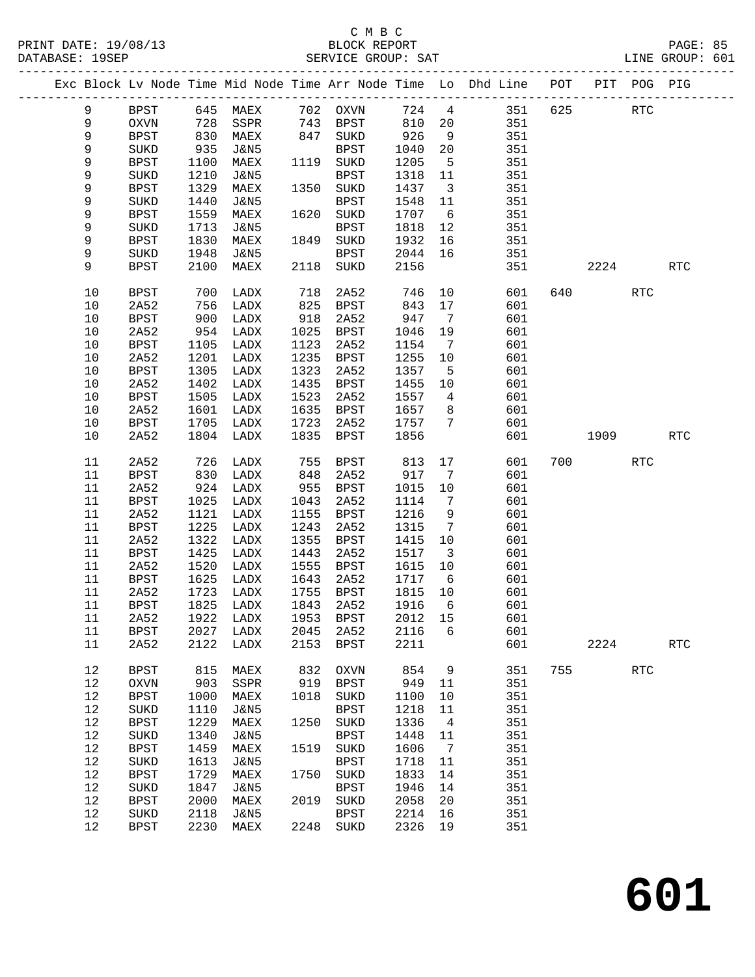#### C M B C<br>BLOCK REPORT SERVICE GROUP: SAT

**601**

|             |             |            |                 |      |             |         |                         | Exc Block Lv Node Time Mid Node Time Arr Node Time Lo Dhd Line POT |         |                                                                                                            | PIT POG PIG |            |
|-------------|-------------|------------|-----------------|------|-------------|---------|-------------------------|--------------------------------------------------------------------|---------|------------------------------------------------------------------------------------------------------------|-------------|------------|
| 9           | <b>BPST</b> |            | 645 MAEX        |      | 702 OXVN    | 724     | $\overline{4}$          |                                                                    | 351 625 |                                                                                                            | RTC         |            |
| $\mathsf 9$ | <b>OXVN</b> | 728        | SSPR            |      | 743 BPST    | 810     | 20                      | 351                                                                |         |                                                                                                            |             |            |
| $\mathsf 9$ | BPST        |            | MAEX            |      | 847 SUKD    | 926     | 9                       | 351                                                                |         |                                                                                                            |             |            |
| 9           | SUKD        | 830<br>935 | J&N5            |      | BPST        | 1040    | 20                      | 351                                                                |         |                                                                                                            |             |            |
| 9           | <b>BPST</b> | 1100       | MAEX            |      | 1119 SUKD   | 1205    | $5^{\circ}$             | 351                                                                |         |                                                                                                            |             |            |
| 9           | SUKD        | 1210       | J&N5            |      | BPST        | 1318    | 11                      | 351                                                                |         |                                                                                                            |             |            |
| 9           | <b>BPST</b> | 1329       | MAEX            |      | 1350 SUKD   | 1437    | $\overline{\mathbf{3}}$ | 351                                                                |         |                                                                                                            |             |            |
| 9           | SUKD        | 1440       | J&N5            |      | BPST        | 1548    | 11                      | 351                                                                |         |                                                                                                            |             |            |
| 9           | <b>BPST</b> | 1559       | MAEX            |      | 1620 SUKD   | 1707    | $6\overline{6}$         | 351                                                                |         |                                                                                                            |             |            |
| 9           | SUKD        | 1713       | J&N5            |      | BPST        | 1818    | 12                      | 351                                                                |         |                                                                                                            |             |            |
| 9           | <b>BPST</b> | 1830       | MAEX            |      | 1849 SUKD   | 1932    | 16                      | 351                                                                |         |                                                                                                            |             |            |
| 9           | SUKD        | 1948       | J&N5            |      | BPST        | 2044    | 16                      | 351                                                                |         |                                                                                                            |             |            |
| 9           |             |            |                 |      |             |         |                         |                                                                    |         |                                                                                                            |             | <b>RTC</b> |
|             | <b>BPST</b> | 2100       | MAEX            | 2118 | SUKD        | 2156    |                         | 351                                                                |         | 2224                                                                                                       |             |            |
| 10          | <b>BPST</b> | 700        | LADX            | 718  | 2A52        | 746     | 10                      | 601                                                                |         | 640                                                                                                        | <b>RTC</b>  |            |
| 10          | 2A52        | 756        | LADX            | 825  | BPST        | 843     | 17                      | 601                                                                |         |                                                                                                            |             |            |
| 10          | <b>BPST</b> | 900        | LADX            | 918  | 2A52        | 947     | $\overline{7}$          | 601                                                                |         |                                                                                                            |             |            |
| 10          | 2A52        | 954        | LADX            | 1025 | BPST        | 1046    | 19                      | 601                                                                |         |                                                                                                            |             |            |
| 10          | <b>BPST</b> | 1105       | LADX            | 1123 | 2A52        | 1154    | $\overline{7}$          | 601                                                                |         |                                                                                                            |             |            |
| 10          | 2A52        | 1201       | LADX            | 1235 | <b>BPST</b> | 1255    | 10                      | 601                                                                |         |                                                                                                            |             |            |
| 10          | <b>BPST</b> | 1305       | LADX            | 1323 | 2A52        | 1357    | $5^{\circ}$             | 601                                                                |         |                                                                                                            |             |            |
| 10          | 2A52        | 1402       | LADX            | 1435 | BPST        | 1455    | 10                      | 601                                                                |         |                                                                                                            |             |            |
| 10          | <b>BPST</b> | 1505       | LADX            | 1523 | 2A52        | 1557    | $\overline{4}$          | 601                                                                |         |                                                                                                            |             |            |
| 10          | 2A52        | 1601       | LADX            | 1635 | BPST        | 1657    | 8                       | 601                                                                |         |                                                                                                            |             |            |
| 10          | <b>BPST</b> | 1705       | LADX            | 1723 | 2A52        | 1757    | 7                       | 601                                                                |         |                                                                                                            |             |            |
| 10          | 2A52        | 1804       | LADX            | 1835 | BPST        | 1856    |                         | 601                                                                |         | 1909 — 1909 — 1909 — 1909 — 1909 — 1909 — 1909 — 1909 — 1909 — 1909 — 1909 — 1909 — 1909 — 1909 — 1909 — 1 |             | <b>RTC</b> |
| 11          | 2A52        | 726        | LADX            | 755  | BPST        | 813     | 17                      | 601                                                                |         |                                                                                                            | RTC         |            |
| 11          | BPST        | 830        | LADX            | 848  | 2A52        | 917     | $\overline{7}$          | 601                                                                |         |                                                                                                            |             |            |
| 11          | 2A52        | 924        | LADX            | 955  | BPST        | 1015    | 10                      | 601                                                                |         |                                                                                                            |             |            |
|             |             |            |                 |      |             |         |                         |                                                                    |         |                                                                                                            |             |            |
| 11          | <b>BPST</b> | 1025       | LADX            | 1043 | 2A52        | 1114    | 7                       | 601                                                                |         |                                                                                                            |             |            |
| 11          | 2A52        | 1121       | LADX            | 1155 | BPST        | 1216    | 9                       | 601                                                                |         |                                                                                                            |             |            |
| 11          | <b>BPST</b> | 1225       | LADX            | 1243 | 2A52        | 1315    | $7\overline{ }$         | 601                                                                |         |                                                                                                            |             |            |
| 11          | 2A52        | 1322       | LADX            | 1355 | BPST        | 1415    | 10                      | 601                                                                |         |                                                                                                            |             |            |
| 11          | <b>BPST</b> | 1425       | LADX            | 1443 | 2A52        | 1517    | $\overline{\mathbf{3}}$ | 601                                                                |         |                                                                                                            |             |            |
| 11          | 2A52        | 1520       | LADX            | 1555 | BPST        | 1615    | 10                      | 601                                                                |         |                                                                                                            |             |            |
| 11          | <b>BPST</b> | 1625       | LADX            | 1643 | 2A52        | 1717    | 6                       | 601                                                                |         |                                                                                                            |             |            |
| 11          | 2A52        | 1723       | LADX            | 1755 | BPST        | 1815    | 10                      | 601                                                                |         |                                                                                                            |             |            |
| 11          | <b>BPST</b> |            | 1825 LADX       | 1843 | 2A52        | 1916    | $6\overline{6}$         | 601                                                                |         |                                                                                                            |             |            |
| 11          | 2A52        |            | 1922 LADX       |      | 1953 BPST   | 2012 15 |                         | 601                                                                |         |                                                                                                            |             |            |
| 11          | <b>BPST</b> | 2027       | LADX            | 2045 | 2A52        | 2116    | 6                       | 601                                                                |         |                                                                                                            |             |            |
| 11          | 2A52        | 2122       | LADX            | 2153 | <b>BPST</b> | 2211    |                         | 601                                                                |         | 2224                                                                                                       |             | RTC        |
| 12          | <b>BPST</b> | 815        | MAEX            | 832  | <b>OXVN</b> | 854     | 9                       | 351                                                                | 755     |                                                                                                            | <b>RTC</b>  |            |
| 12          | <b>OXVN</b> | 903        | SSPR            | 919  | BPST        | 949     | 11                      | 351                                                                |         |                                                                                                            |             |            |
| 12          | <b>BPST</b> | 1000       | MAEX            | 1018 | SUKD        | 1100    | 10                      | 351                                                                |         |                                                                                                            |             |            |
| 12          | SUKD        | 1110       | <b>J&amp;N5</b> |      | <b>BPST</b> | 1218    | 11                      | 351                                                                |         |                                                                                                            |             |            |
| 12          | <b>BPST</b> | 1229       | MAEX            | 1250 | SUKD        | 1336    | 4                       | 351                                                                |         |                                                                                                            |             |            |
| 12          | SUKD        | 1340       | <b>J&amp;N5</b> |      | <b>BPST</b> | 1448    | 11                      | 351                                                                |         |                                                                                                            |             |            |
| 12          | <b>BPST</b> | 1459       | MAEX            | 1519 | SUKD        | 1606    | 7                       | 351                                                                |         |                                                                                                            |             |            |
| 12          | SUKD        | 1613       | <b>J&amp;N5</b> |      | BPST        | 1718    | 11                      | 351                                                                |         |                                                                                                            |             |            |
| 12          | <b>BPST</b> | 1729       | MAEX            | 1750 | SUKD        | 1833    | 14                      | 351                                                                |         |                                                                                                            |             |            |
| 12          |             | 1847       |                 |      |             | 1946    | 14                      | 351                                                                |         |                                                                                                            |             |            |
|             | SUKD        |            | <b>J&amp;N5</b> |      | <b>BPST</b> |         |                         |                                                                    |         |                                                                                                            |             |            |
| 12          | <b>BPST</b> | 2000       | MAEX            | 2019 | SUKD        | 2058    | 20                      | 351                                                                |         |                                                                                                            |             |            |
| 12          | SUKD        | 2118       | <b>J&amp;N5</b> |      | BPST        | 2214    | 16                      | 351                                                                |         |                                                                                                            |             |            |
| 12          | <b>BPST</b> | 2230       | MAEX            | 2248 | SUKD        | 2326    | 19                      | 351                                                                |         |                                                                                                            |             |            |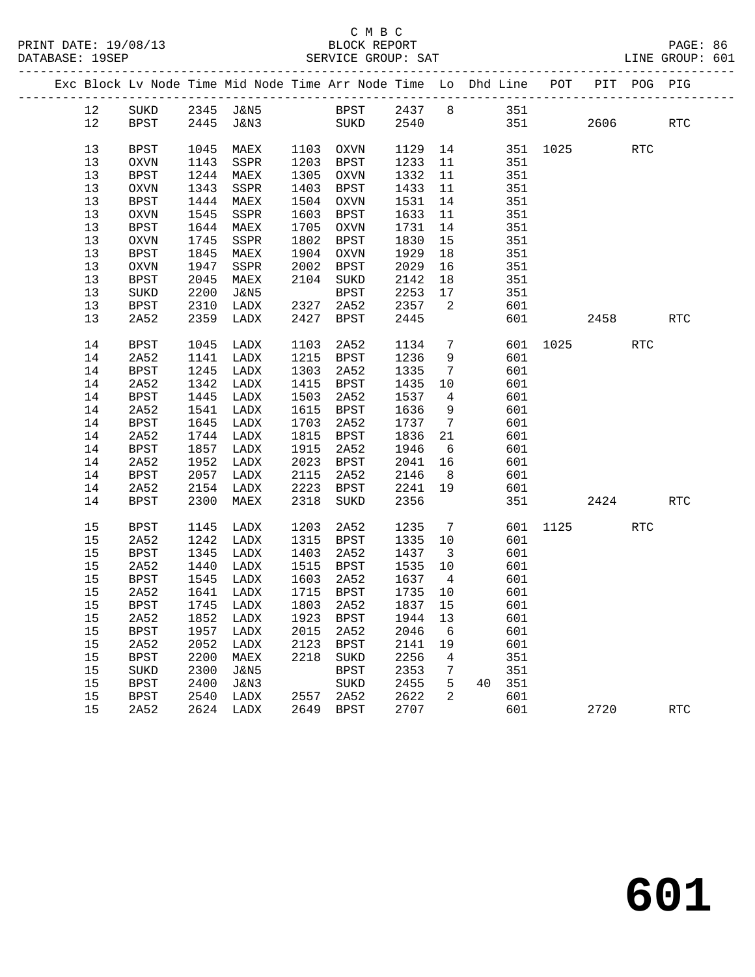|  |          |              |              | Exc Block Lv Node Time Mid Node Time Arr Node Time Lo Dhd Line POT PIT POG PIG |              |              |              |                         |    |            |          |          |            |            |
|--|----------|--------------|--------------|--------------------------------------------------------------------------------|--------------|--------------|--------------|-------------------------|----|------------|----------|----------|------------|------------|
|  | 12       | SUKD         |              | 2345 J&N5 BPST 2437 8 351                                                      |              |              |              |                         |    |            |          |          |            |            |
|  | 12       | BPST         | 2445         | J&N3 SUKD                                                                      |              |              | 2540         |                         |    |            | 351      | 2606 700 |            | RTC        |
|  |          |              |              |                                                                                |              |              |              |                         |    |            |          |          |            |            |
|  | 13       | BPST         | 1045         | MAEX                                                                           |              | 1103 OXVN    | 1129 14      |                         |    |            | 351 1025 |          | <b>RTC</b> |            |
|  | 13       | OXVN         | 1143         | SSPR                                                                           | 1203         | BPST         | 1233         | 11                      |    | 351        |          |          |            |            |
|  | 13       | <b>BPST</b>  | 1244         | MAEX                                                                           | 1305         | OXVN         | 1332         | 11                      |    | 351        |          |          |            |            |
|  | 13       | <b>OXVN</b>  | 1343         | SSPR                                                                           | 1403         | BPST         | 1433         | 11                      |    | 351        |          |          |            |            |
|  | 13       | <b>BPST</b>  | 1444         | MAEX                                                                           | 1504         | OXVN         | 1531         | 14                      |    | 351        |          |          |            |            |
|  | 13       | OXVN         | 1545         | SSPR                                                                           | 1603         | BPST         | 1633         | 11                      |    | 351        |          |          |            |            |
|  | 13       | BPST         | 1644         | MAEX                                                                           | 1705         | OXVN         | 1731         | 14                      |    | 351        |          |          |            |            |
|  | 13       | OXVN         | 1745         | SSPR                                                                           | 1802         | BPST         | 1830         | 15                      |    | 351        |          |          |            |            |
|  | 13       | BPST         | 1845         | MAEX                                                                           | 1904         | OXVN         | 1929<br>2029 | 18                      |    | 351        |          |          |            |            |
|  | 13<br>13 | OXVN<br>BPST | 1947<br>2045 | SSPR<br>MAEX                                                                   | 2002<br>2104 | BPST<br>SUKD | 2142         | 16<br>18                |    | 351<br>351 |          |          |            |            |
|  | 13       | SUKD         | 2200         | J&N5                                                                           |              | BPST         | 2253         | 17                      |    | 351        |          |          |            |            |
|  | 13       | BPST         | 2310         | LADX                                                                           | 2327         | 2A52         | 2357         | $\overline{2}$          |    | 601        |          |          |            |            |
|  | 13       | 2A52         | 2359         | LADX                                                                           | 2427         | BPST         | 2445         |                         |    | 601        |          | 2458     |            | <b>RTC</b> |
|  |          |              |              |                                                                                |              |              |              |                         |    |            |          |          |            |            |
|  | 14       | <b>BPST</b>  | 1045         | LADX                                                                           | 1103         | 2A52         | 1134         | $7\phantom{.0}$         |    |            | 601 1025 |          | <b>RTC</b> |            |
|  | 14       | 2A52         | 1141         | LADX                                                                           | 1215         | BPST         | 1236         | 9                       |    | 601        |          |          |            |            |
|  | 14       | <b>BPST</b>  | 1245         | LADX                                                                           | 1303         | 2A52         | 1335         | 7                       |    | 601        |          |          |            |            |
|  | 14       | 2A52         | 1342         | LADX                                                                           | 1415         | BPST         | 1435         | 10                      |    | 601        |          |          |            |            |
|  | 14       | BPST         | 1445         | LADX                                                                           | 1503         | 2A52         | 1537         | $4\overline{ }$         |    | 601        |          |          |            |            |
|  | 14       | 2A52         | 1541         | LADX                                                                           | 1615         | BPST         | 1636         | 9                       |    | 601        |          |          |            |            |
|  | 14       | BPST         | 1645         | LADX                                                                           | 1703         | 2A52         | 1737         | $\overline{7}$          |    | 601        |          |          |            |            |
|  | 14       | 2A52         | 1744         | LADX                                                                           | 1815         | <b>BPST</b>  | 1836         | 21                      |    | 601        |          |          |            |            |
|  | 14       | BPST         | 1857         | LADX                                                                           | 1915         | 2A52         | 1946         | 6                       |    | 601        |          |          |            |            |
|  | 14       | 2A52         | 1952         | LADX                                                                           | 2023         | BPST         | 2041         | 16                      |    | 601        |          |          |            |            |
|  | 14       | BPST         | 2057         | LADX                                                                           | 2115         | 2A52         | 2146         | 8 <sup>8</sup>          |    | 601        |          |          |            |            |
|  | 14       | 2A52         | 2154         | LADX                                                                           | 2223         | BPST         | 2241         | 19                      |    | 601        |          |          |            |            |
|  | 14       | BPST         | 2300         | MAEX                                                                           | 2318         | SUKD         | 2356         |                         |    | 351        |          | 2424     |            | <b>RTC</b> |
|  | 15       | BPST         | 1145         | LADX                                                                           | 1203         | 2A52         | 1235         | $\overline{7}$          |    | 601        | 1125     |          | <b>RTC</b> |            |
|  | 15       | 2A52         | 1242         | LADX                                                                           | 1315         | BPST         | 1335         | 10                      |    | 601        |          |          |            |            |
|  | 15       | <b>BPST</b>  | 1345         | LADX                                                                           | 1403         | 2A52         | 1437         | $\overline{\mathbf{3}}$ |    | 601        |          |          |            |            |
|  | 15       | 2A52         | 1440         | LADX                                                                           | 1515         | BPST         | 1535         | 10                      |    | 601        |          |          |            |            |
|  | 15       | <b>BPST</b>  | 1545         | LADX                                                                           | 1603         | 2A52         | 1637         | $\overline{4}$          |    | 601        |          |          |            |            |
|  | 15       | 2A52         | 1641         | LADX                                                                           |              | 1715 BPST    | 1735         | 10                      |    | 601        |          |          |            |            |
|  | 15       | BPST         | 1745         | LADX                                                                           |              | 1803 2A52    | 1837 15      |                         |    | 601        |          |          |            |            |
|  |          |              |              | 15  2A52  1852  LADX  1923  BPST  1944  13                                     |              |              |              |                         |    | 601        |          |          |            |            |
|  | 15       | BPST         | 1957         | LADX                                                                           | 2015         | 2A52         | 2046         | 6                       |    | 601        |          |          |            |            |
|  | 15       | 2A52         | 2052         | LADX                                                                           | 2123         | <b>BPST</b>  | 2141         | 19                      |    | 601        |          |          |            |            |
|  | 15       | <b>BPST</b>  | 2200         | MAEX                                                                           | 2218         | SUKD         | 2256         | 4                       |    | 351        |          |          |            |            |
|  | 15       | SUKD         | 2300         | <b>J&amp;N5</b>                                                                |              | <b>BPST</b>  | 2353         | 7                       |    | 351        |          |          |            |            |
|  | 15       | <b>BPST</b>  | 2400         | <b>J&amp;N3</b>                                                                |              | SUKD         | 2455         | 5                       | 40 | 351        |          |          |            |            |
|  | 15<br>15 | <b>BPST</b>  | 2540<br>2624 | LADX                                                                           | 2557<br>2649 | 2A52         | 2622<br>2707 | 2                       |    | 601<br>601 |          | 2720     |            | <b>RTC</b> |
|  |          | 2A52         |              | LADX                                                                           |              | <b>BPST</b>  |              |                         |    |            |          |          |            |            |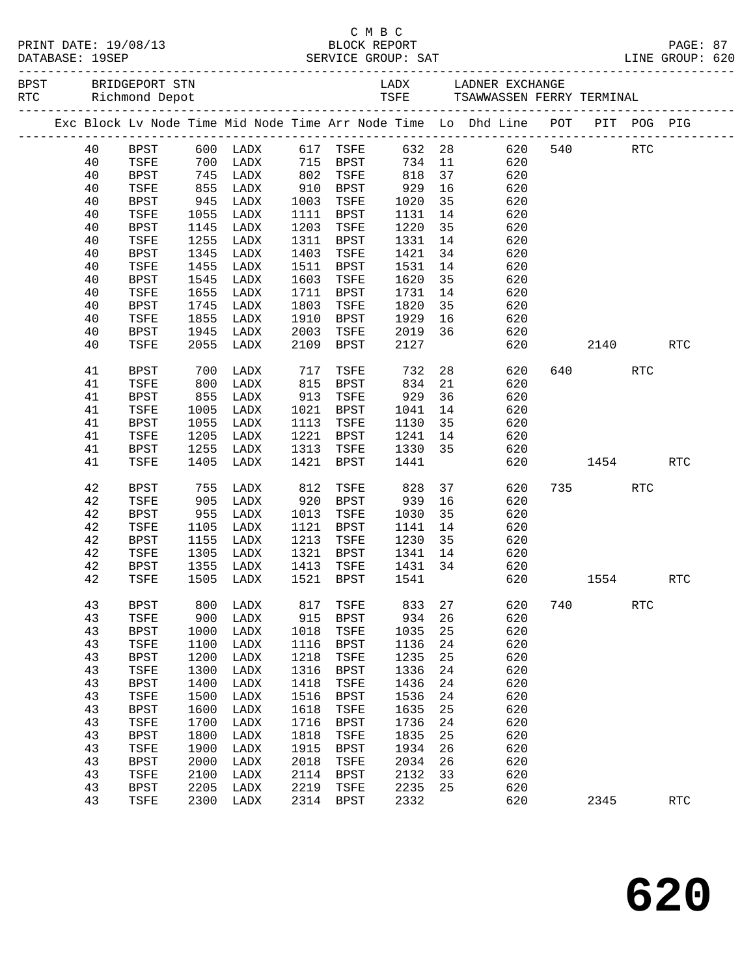| BPST         BRIDGEPORT STN<br>RTC         Richmond Depot                      |              |                    |                                  |              |                                             |               |    |                    |     |          |            |                      |  |
|--------------------------------------------------------------------------------|--------------|--------------------|----------------------------------|--------------|---------------------------------------------|---------------|----|--------------------|-----|----------|------------|----------------------|--|
| Exc Block Lv Node Time Mid Node Time Arr Node Time Lo Dhd Line POT PIT POG PIG |              |                    |                                  |              |                                             |               |    |                    |     |          |            |                      |  |
| 40                                                                             | BPST         |                    | $600$ LADX                       |              | 617 TSFE                                    |               |    | 632 28 620 540 RTC |     |          |            |                      |  |
| 40                                                                             | TSFE         |                    | 700 LADX 715 BPST                |              |                                             |               |    | 734 11<br>620      |     |          |            |                      |  |
| 40                                                                             | BPST         |                    | 745 LADX 802 TSFE                |              |                                             | 818 37        |    | 620                |     |          |            |                      |  |
| 40                                                                             | TSFE         |                    |                                  |              |                                             |               |    | 620                |     |          |            |                      |  |
| 40                                                                             | BPST         | 855<br>945<br>1055 |                                  |              | BPST 929 16<br>TSFE 1020 35<br>BPST 1131 14 |               |    | 620                |     |          |            |                      |  |
| 40                                                                             | TSFE         |                    | LADX                             |              | 1111 BPST                                   |               |    | 620                |     |          |            |                      |  |
| 40                                                                             | BPST         | 1145               | LADX                             | 1203         | TSFE                                        | 1220 35       |    | 620                |     |          |            |                      |  |
| 40                                                                             | TSFE         | 1255               | LADX                             | 1311         | BPST                                        | 1331          | 14 | 620                |     |          |            |                      |  |
| 40                                                                             | BPST         | 1345               | LADX                             | 1403         | TSFE                                        | 1421          | 34 | 620                |     |          |            |                      |  |
| 40                                                                             | TSFE         | 1455               | LADX                             | 1511         | BPST                                        | 1531          | 14 | 620                |     |          |            |                      |  |
| 40                                                                             | BPST         | 1545               | LADX                             | 1603         | TSFE                                        | 1620          | 35 | 620                |     |          |            |                      |  |
| 40                                                                             | TSFE         | 1655<br>1745       | LADX                             | 1711         | BPST                                        | 1731          | 14 | 620                |     |          |            |                      |  |
| 40<br>40                                                                       | BPST         | 1855               | LADX                             | 1803<br>1910 | TSFE<br>BPST 1929 16                        | 1820          | 35 | 620                |     |          |            |                      |  |
| 40                                                                             | TSFE<br>BPST | 1945               | LADX<br>LADX                     | 2003         | TSFE 2019 36                                |               |    | 620<br>620         |     |          |            |                      |  |
| 40                                                                             | TSFE         | 2055               | LADX                             | 2109         | <b>BPST</b>                                 | 2127          |    | 620                |     |          | 2140       | RTC                  |  |
|                                                                                |              |                    |                                  |              |                                             |               |    |                    |     |          |            |                      |  |
| 41                                                                             | BPST         | 700                | LADX                             |              | 717 TSFE                                    |               |    | 732 28<br>620      |     | 640 — 10 | <b>RTC</b> |                      |  |
| 41                                                                             | TSFE         | 800                | LADX                             |              | 815 BPST                                    | 834 21        |    | 620                |     |          |            |                      |  |
| 41                                                                             | BPST         | 855                | LADX                             |              | 913 TSFE                                    | 929           | 36 | 620                |     |          |            |                      |  |
| 41                                                                             | TSFE         | 1005               | LADX                             |              | 1021 BPST                                   | 1041          | 14 | 620                |     |          |            |                      |  |
| 41                                                                             | BPST         | 1055               | LADX                             | 1113         | TSFE                                        | 1130 35       |    | 620                |     |          |            |                      |  |
| 41                                                                             | TSFE         | 1205               | LADX                             | 1221         | BPST                                        | 1241 14       |    | 620                |     |          |            |                      |  |
| 41                                                                             | BPST         | 1255               | LADX                             | 1313         | TSFE                                        | 1330 35       |    | 620                |     |          |            |                      |  |
| 41                                                                             | TSFE         | 1405               | LADX                             | 1421         | BPST                                        | 1441          |    | 620                |     |          | 1454       | RTC                  |  |
| 42                                                                             |              | 755                |                                  |              |                                             |               |    | 37                 |     | 735      | <b>RTC</b> |                      |  |
| 42                                                                             | BPST<br>TSFE | 905                | LADX<br>LADX                     | 812          | TSFE<br>920 BPST                            | 828<br>939 16 |    | 620<br>620         |     |          |            |                      |  |
| 42                                                                             | BPST         |                    | LADX                             | 1013         | TSFE                                        | 1030          | 35 | 620                |     |          |            |                      |  |
| 42                                                                             | TSFE         | 955<br>1105        | LADX                             |              | 1121 BPST                                   | 1141 14       |    | 620                |     |          |            |                      |  |
| 42                                                                             | BPST         | 1155               | LADX                             |              | 1213 TSFE                                   | 1230 35       |    | 620                |     |          |            |                      |  |
| 42                                                                             | TSFE         |                    | 1305 LADX                        |              | 1321 BPST 1341 14                           |               |    | 620                |     |          |            |                      |  |
| 42                                                                             | BPST         |                    | 1355 LADX                        |              | 1413 TSFE                                   | 1431 34       |    | 620                |     |          |            |                      |  |
|                                                                                |              |                    | 42 TSFE 1505 LADX 1521 BPST 1541 |              |                                             |               |    | 620                |     | 1554     |            | $\operatorname{RTC}$ |  |
|                                                                                |              |                    |                                  |              |                                             |               |    |                    |     |          |            |                      |  |
| 43                                                                             | <b>BPST</b>  | 800                | LADX                             | 817          | TSFE                                        | 833           | 27 | 620                | 740 |          | RTC        |                      |  |
| 43                                                                             | TSFE         | 900                | LADX                             | 915          | <b>BPST</b>                                 | 934           | 26 | 620                |     |          |            |                      |  |
| 43                                                                             | <b>BPST</b>  | 1000               | LADX                             | 1018         | TSFE                                        | 1035          | 25 | 620                |     |          |            |                      |  |
| 43                                                                             | TSFE         | 1100               | LADX                             | 1116         | <b>BPST</b>                                 | 1136          | 24 | 620                |     |          |            |                      |  |
| 43                                                                             | <b>BPST</b>  | 1200               | LADX                             | 1218         | TSFE                                        | 1235          | 25 | 620                |     |          |            |                      |  |
| 43                                                                             | TSFE         | 1300               | LADX                             | 1316         | <b>BPST</b>                                 | 1336          | 24 | 620                |     |          |            |                      |  |
| 43                                                                             | <b>BPST</b>  | 1400               | LADX                             | 1418         | TSFE                                        | 1436          | 24 | 620                |     |          |            |                      |  |
| 43                                                                             | TSFE         | 1500               | ${\rm LADX}$                     | 1516         | <b>BPST</b>                                 | 1536          | 24 | 620                |     |          |            |                      |  |
| 43                                                                             | <b>BPST</b>  | 1600               | LADX                             | 1618         | TSFE                                        | 1635          | 25 | 620                |     |          |            |                      |  |
| 43                                                                             | TSFE         | 1700               | LADX                             | 1716         | <b>BPST</b>                                 | 1736          | 24 | 620                |     |          |            |                      |  |
| 43                                                                             | <b>BPST</b>  | 1800               | LADX                             | 1818         | TSFE                                        | 1835          | 25 | 620                |     |          |            |                      |  |
| 43                                                                             | TSFE         | 1900               | LADX                             | 1915         | <b>BPST</b>                                 | 1934          | 26 | 620                |     |          |            |                      |  |
| 43                                                                             | <b>BPST</b>  | 2000               | LADX                             | 2018         | TSFE                                        | 2034          | 26 | 620                |     |          |            |                      |  |
| 43                                                                             | TSFE         | 2100               | LADX                             | 2114         | <b>BPST</b>                                 | 2132          | 33 | 620                |     |          |            |                      |  |
| 43<br>43                                                                       | <b>BPST</b>  | 2205<br>2300       | LADX                             | 2219<br>2314 | TSFE                                        | 2235          | 25 | 620                |     | 2345     |            |                      |  |
|                                                                                | TSFE         |                    | LADX                             |              | <b>BPST</b>                                 | 2332          |    | 620                |     |          |            | $\operatorname{RTC}$ |  |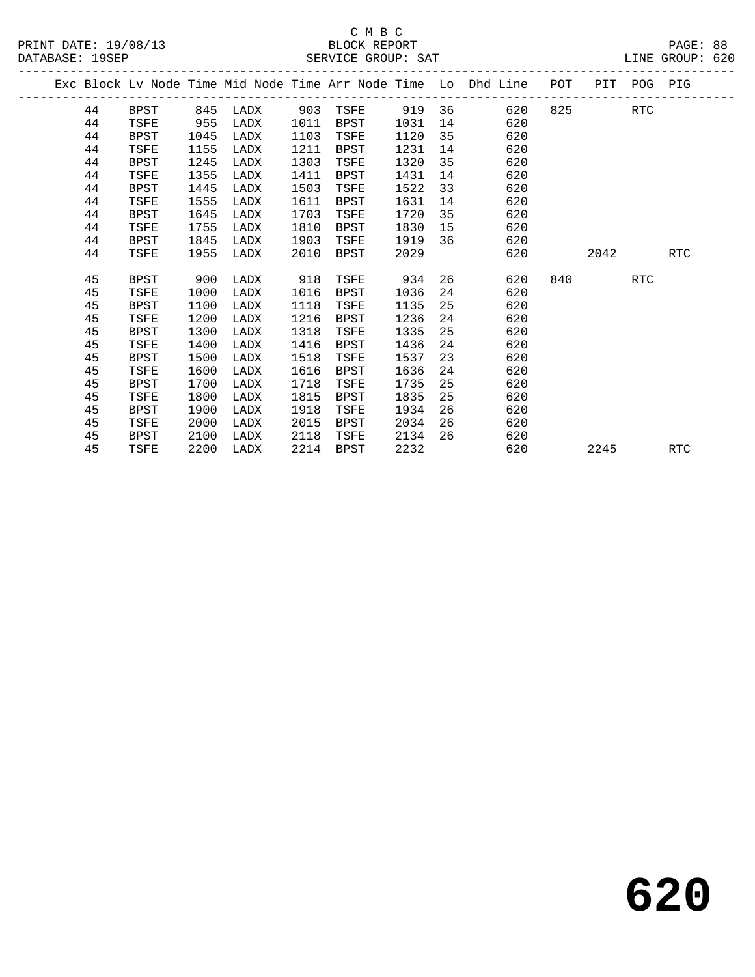|  |    |             |      |      |      |             |        |    | Exc Block Lv Node Time Mid Node Time Arr Node Time Lo Dhd Line | POT |      | PIT POG PIG |            |
|--|----|-------------|------|------|------|-------------|--------|----|----------------------------------------------------------------|-----|------|-------------|------------|
|  | 44 | BPST        | 845  | LADX | 903  | TSFE        | 919 36 |    | 620                                                            | 825 |      | <b>RTC</b>  |            |
|  | 44 | TSFE        | 955  | LADX | 1011 | BPST        | 1031   | 14 | 620                                                            |     |      |             |            |
|  | 44 | BPST        | 1045 | LADX | 1103 | TSFE        | 1120   | 35 | 620                                                            |     |      |             |            |
|  | 44 | TSFE        | 1155 | LADX | 1211 | <b>BPST</b> | 1231   | 14 | 620                                                            |     |      |             |            |
|  | 44 | <b>BPST</b> | 1245 | LADX | 1303 | TSFE        | 1320   | 35 | 620                                                            |     |      |             |            |
|  | 44 | TSFE        | 1355 | LADX | 1411 | <b>BPST</b> | 1431   | 14 | 620                                                            |     |      |             |            |
|  | 44 | BPST        | 1445 | LADX | 1503 | TSFE        | 1522   | 33 | 620                                                            |     |      |             |            |
|  | 44 | TSFE        | 1555 | LADX | 1611 | <b>BPST</b> | 1631   | 14 | 620                                                            |     |      |             |            |
|  | 44 | <b>BPST</b> | 1645 | LADX | 1703 | TSFE        | 1720   | 35 | 620                                                            |     |      |             |            |
|  | 44 | TSFE        | 1755 | LADX | 1810 | BPST        | 1830   | 15 | 620                                                            |     |      |             |            |
|  | 44 | BPST        | 1845 | LADX | 1903 | TSFE        | 1919   | 36 | 620                                                            |     |      |             |            |
|  | 44 | TSFE        | 1955 | LADX | 2010 | BPST        | 2029   |    | 620                                                            |     | 2042 |             | <b>RTC</b> |
|  |    |             |      |      |      |             |        |    |                                                                |     |      |             |            |
|  | 45 | <b>BPST</b> | 900  | LADX | 918  | TSFE        | 934    | 26 | 620                                                            | 840 |      | RTC         |            |
|  | 45 | TSFE        | 1000 | LADX | 1016 | BPST        | 1036   | 24 | 620                                                            |     |      |             |            |
|  | 45 | BPST        | 1100 | LADX | 1118 | TSFE        | 1135   | 25 | 620                                                            |     |      |             |            |
|  | 45 | TSFE        | 1200 | LADX | 1216 | BPST        | 1236   | 24 | 620                                                            |     |      |             |            |
|  | 45 | <b>BPST</b> | 1300 | LADX | 1318 | TSFE        | 1335   | 25 | 620                                                            |     |      |             |            |
|  | 45 | TSFE        | 1400 | LADX | 1416 | <b>BPST</b> | 1436   | 24 | 620                                                            |     |      |             |            |
|  | 45 | <b>BPST</b> | 1500 | LADX | 1518 | TSFE        | 1537   | 23 | 620                                                            |     |      |             |            |
|  | 45 | TSFE        | 1600 | LADX | 1616 | <b>BPST</b> | 1636   | 24 | 620                                                            |     |      |             |            |
|  | 45 | <b>BPST</b> | 1700 | LADX | 1718 | TSFE        | 1735   | 25 | 620                                                            |     |      |             |            |
|  | 45 | TSFE        | 1800 | LADX | 1815 | <b>BPST</b> | 1835   | 25 | 620                                                            |     |      |             |            |
|  | 45 | <b>BPST</b> | 1900 | LADX | 1918 | TSFE        | 1934   | 26 | 620                                                            |     |      |             |            |
|  | 45 | TSFE        | 2000 | LADX | 2015 | <b>BPST</b> | 2034   | 26 | 620                                                            |     |      |             |            |
|  | 45 | BPST        | 2100 | LADX | 2118 | TSFE        | 2134   | 26 | 620                                                            |     |      |             |            |
|  | 45 | TSFE        | 2200 | LADX | 2214 | BPST        | 2232   |    | 620                                                            |     | 2245 |             | <b>RTC</b> |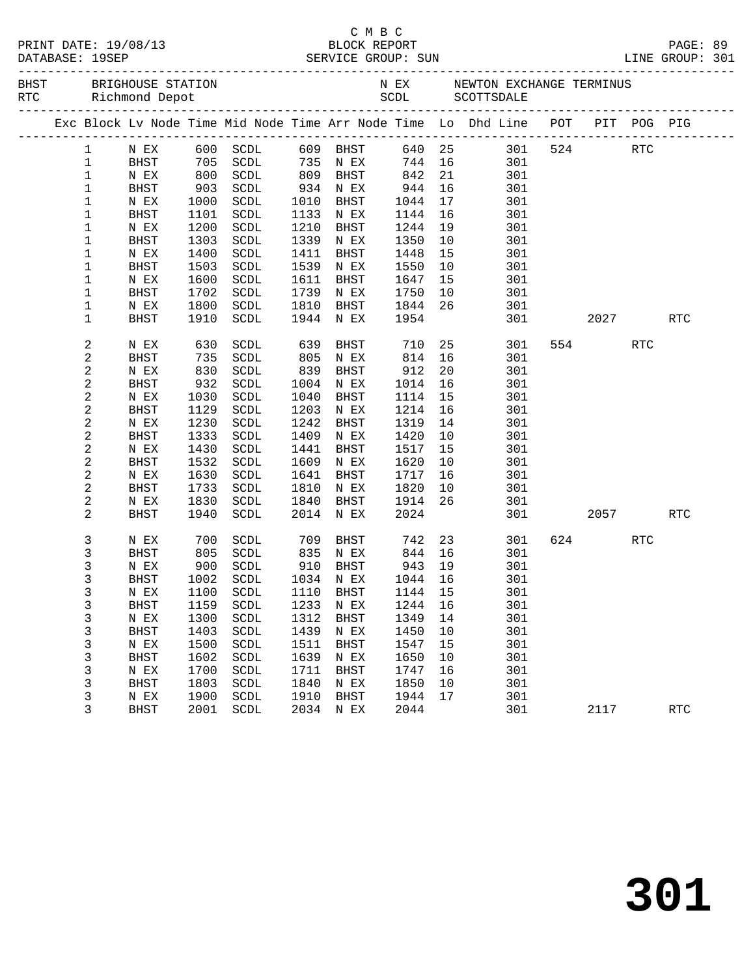|                |                    |                                            |                                  |              |                     |                     |    |                                                                                |        |            | PAGE: 89<br>LINE GROUP: 301 |  |
|----------------|--------------------|--------------------------------------------|----------------------------------|--------------|---------------------|---------------------|----|--------------------------------------------------------------------------------|--------|------------|-----------------------------|--|
|                | RTC Richmond Depot |                                            |                                  |              |                     |                     |    | N EX       NEWTON EXCHANGE TERMINUS<br>SCDL         SCOTTSDALE                 |        |            |                             |  |
|                |                    |                                            |                                  |              |                     |                     |    | Exc Block Lv Node Time Mid Node Time Arr Node Time Lo Dhd Line POT PIT POG PIG |        |            |                             |  |
| $\mathbf{1}$   | N EX               |                                            | 600 SCDL                         |              | 609 BHST            |                     |    | 640 25 301 524 RTC                                                             |        |            |                             |  |
| $\mathbf{1}$   | BHST               | 705                                        | SCDL                             |              | 735 N EX            | 744 16              |    | 301                                                                            |        |            |                             |  |
| $\mathbf 1$    | N EX               | 800                                        | SCDL                             |              | 809 BHST            | 842                 | 21 | 301                                                                            |        |            |                             |  |
| $\mathbf{1}$   | BHST               | $\begin{array}{c} 903 \\ 1000 \end{array}$ | SCDL                             |              | 934 N EX            | 944                 | 16 | 301                                                                            |        |            |                             |  |
| $\mathbf 1$    | N EX               | 1000                                       | SCDL                             | 1010         | BHST                | 1044                | 17 | 301                                                                            |        |            |                             |  |
| $\mathbf 1$    | BHST               | 1101                                       | SCDL                             | 1133         | N EX                | 1144                | 16 | 301                                                                            |        |            |                             |  |
| $\mathbf 1$    | N EX               | 1200                                       | SCDL                             | 1210         | BHST                | 1244                | 19 | 301                                                                            |        |            |                             |  |
| 1              | BHST               | 1303                                       | SCDL                             | 1339         | N EX                | 1350                | 10 | 301                                                                            |        |            |                             |  |
| $\mathbf 1$    | N EX               | 1400                                       | SCDL                             | 1411         | BHST                | 1448                | 15 | 301                                                                            |        |            |                             |  |
| 1              | BHST               | 1503                                       | SCDL                             | 1539         | N EX                | 1550                | 10 | 301                                                                            |        |            |                             |  |
| $\mathbf 1$    | N EX               | 1600                                       | SCDL                             | 1611         | BHST                | 1647                | 15 | 301                                                                            |        |            |                             |  |
| 1              | BHST               | 1702                                       | SCDL                             | 1739         | $\,$ N $\,$ EX $\,$ | 1750                | 10 | 301                                                                            |        |            |                             |  |
| $\mathbf 1$    | N EX               | 1800                                       | SCDL                             | 1810         | BHST                | 1844                | 26 | 301                                                                            |        |            |                             |  |
| 1              | BHST               | 1910                                       | SCDL                             | 1944         | N EX                | 1954                |    | 301                                                                            | 2027   |            | <b>RTC</b>                  |  |
| 2              | N EX               | 630                                        | SCDL                             | 639          | BHST                | 710                 | 25 | 301                                                                            | 554    | <b>RTC</b> |                             |  |
| 2              | BHST               | 735                                        | SCDL                             | 805          | N EX                | 814                 | 16 | 301                                                                            |        |            |                             |  |
| 2              | N EX               | 830                                        | SCDL                             | 839          | <b>BHST</b>         | 912                 | 20 | 301                                                                            |        |            |                             |  |
| $\overline{c}$ | <b>BHST</b>        | 932                                        | SCDL                             | 1004         | N EX                | 1014                | 16 | 301                                                                            |        |            |                             |  |
| 2              | N EX               | 1030                                       | SCDL                             | 1040         | BHST                | 1114                | 15 | 301                                                                            |        |            |                             |  |
| $\overline{c}$ | BHST               | 1129                                       | SCDL                             | 1203         | N EX                | 1214                | 16 | 301                                                                            |        |            |                             |  |
| 2              | N EX               | 1230                                       | SCDL                             | 1242         | BHST                | 1319                | 14 | 301                                                                            |        |            |                             |  |
| $\overline{c}$ | BHST               | 1333                                       | $\operatorname{SCDL}$            | 1409         | N EX                | 1420                | 10 | 301                                                                            |        |            |                             |  |
| 2              | N EX               | 1430                                       | SCDL                             | 1441         | BHST                | 1517                | 15 | 301                                                                            |        |            |                             |  |
| $\overline{c}$ | BHST               | 1532                                       | SCDL                             | 1609         | N EX                | 1620                | 10 | 301                                                                            |        |            |                             |  |
| $\sqrt{2}$     | N EX               | 1630                                       | SCDL                             | 1641         | BHST                | 1717                | 16 | 301                                                                            |        |            |                             |  |
| $\overline{c}$ | BHST               | 1733                                       | SCDL                             | 1810         | N EX                | 1820                | 10 | 301                                                                            |        |            |                             |  |
| 2<br>2         | N EX<br>BHST       | 1830<br>1940                               | SCDL<br>SCDL                     | 1840<br>2014 | BHST<br>N EX        | 1914<br>2024        | 26 | 301<br>301                                                                     | 2057   |            | <b>RTC</b>                  |  |
|                |                    |                                            |                                  |              |                     |                     |    |                                                                                |        |            |                             |  |
| 3              | N EX               | 700                                        | SCDL                             |              | 709 BHST            | 742                 | 23 | 301                                                                            | 624 62 | <b>RTC</b> |                             |  |
| 3              | BHST               | 805                                        | SCDL                             |              | 835 N EX            | 844<br>$044$<br>943 | 16 | 301                                                                            |        |            |                             |  |
| 3              | N EX               | 900                                        | SCDL                             |              | 910 BHST            |                     | 19 | 301                                                                            |        |            |                             |  |
| 3              | <b>BHST</b>        | 1002                                       | SCDL                             |              | 1034 N EX           | 1044 16             |    | 301                                                                            |        |            |                             |  |
|                |                    |                                            | N EX 1100 SCDL 1110 BHST 1144 15 |              |                     |                     |    | 301                                                                            |        |            |                             |  |
| 3              | <b>BHST</b>        | 1159                                       | SCDL                             | 1233         | N EX                | 1244                | 16 | 301                                                                            |        |            |                             |  |
| 3              | N EX               | 1300                                       | SCDL                             | 1312         | <b>BHST</b>         | 1349                | 14 | 301                                                                            |        |            |                             |  |
| 3              | <b>BHST</b>        | 1403                                       | SCDL                             | 1439         | N EX                | 1450                | 10 | 301                                                                            |        |            |                             |  |
| 3              | N EX               | 1500                                       | SCDL                             | 1511         | <b>BHST</b>         | 1547                | 15 | 301                                                                            |        |            |                             |  |
| 3              | <b>BHST</b>        | 1602                                       | SCDL                             | 1639         | N EX                | 1650                | 10 | 301                                                                            |        |            |                             |  |
| 3              | N EX               | 1700                                       | SCDL                             | 1711         | <b>BHST</b>         | 1747                | 16 | 301                                                                            |        |            |                             |  |
| 3              | <b>BHST</b>        | 1803                                       | SCDL                             | 1840         | N EX                | 1850                | 10 | 301                                                                            |        |            |                             |  |
| 3              | N EX               | 1900                                       | SCDL                             | 1910         | <b>BHST</b>         | 1944                | 17 | 301                                                                            |        |            |                             |  |
| 3              | BHST               | 2001                                       | SCDL                             | 2034         | N EX                | 2044                |    | 301                                                                            | 2117   |            | <b>RTC</b>                  |  |

C M B C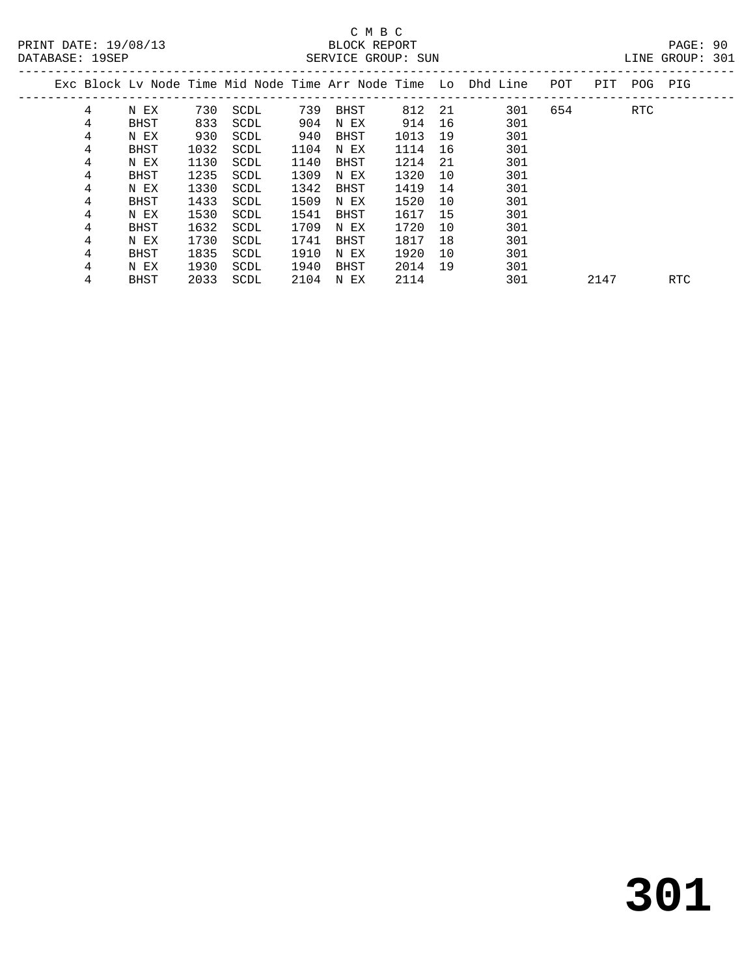|   |             |      |      |      |      |      |     | Exc Block Ly Node Time Mid Node Time Arr Node Time Lo Dhd Line | POT | PIT  | POG- | PIG        |  |
|---|-------------|------|------|------|------|------|-----|----------------------------------------------------------------|-----|------|------|------------|--|
| 4 | N EX        | 730  | SCDL | 739  | BHST | 812  | -21 | 301                                                            | 654 |      | RTC  |            |  |
| 4 | <b>BHST</b> | 833  | SCDL | 904  | N EX | 914  | 16  | 301                                                            |     |      |      |            |  |
| 4 | N EX        | 930  | SCDL | 940  | BHST | 1013 | 19  | 301                                                            |     |      |      |            |  |
| 4 | BHST        | 1032 | SCDL | 1104 | N EX | 1114 | 16  | 301                                                            |     |      |      |            |  |
| 4 | N EX        | 1130 | SCDL | 1140 | BHST | 1214 | 21  | 301                                                            |     |      |      |            |  |
| 4 | BHST        | 1235 | SCDL | 1309 | N EX | 1320 | 10  | 301                                                            |     |      |      |            |  |
| 4 | N EX        | 1330 | SCDL | 1342 | BHST | 1419 | 14  | 301                                                            |     |      |      |            |  |
| 4 | <b>BHST</b> | 1433 | SCDL | 1509 | N EX | 1520 | 10  | 301                                                            |     |      |      |            |  |
| 4 | N EX        | 1530 | SCDL | 1541 | BHST | 1617 | 15  | 301                                                            |     |      |      |            |  |
| 4 | BHST        | 1632 | SCDL | 1709 | N EX | 1720 | 10  | 301                                                            |     |      |      |            |  |
| 4 | N EX        | 1730 | SCDL | 1741 | BHST | 1817 | 18  | 301                                                            |     |      |      |            |  |
| 4 | BHST        | 1835 | SCDL | 1910 | N EX | 1920 | 10  | 301                                                            |     |      |      |            |  |
| 4 | N EX        | 1930 | SCDL | 1940 | BHST | 2014 | 19  | 301                                                            |     |      |      |            |  |
| 4 | <b>BHST</b> | 2033 | SCDL | 2104 | N EX | 2114 |     | 301                                                            |     | 2147 |      | <b>RTC</b> |  |
|   |             |      |      |      |      |      |     |                                                                |     |      |      |            |  |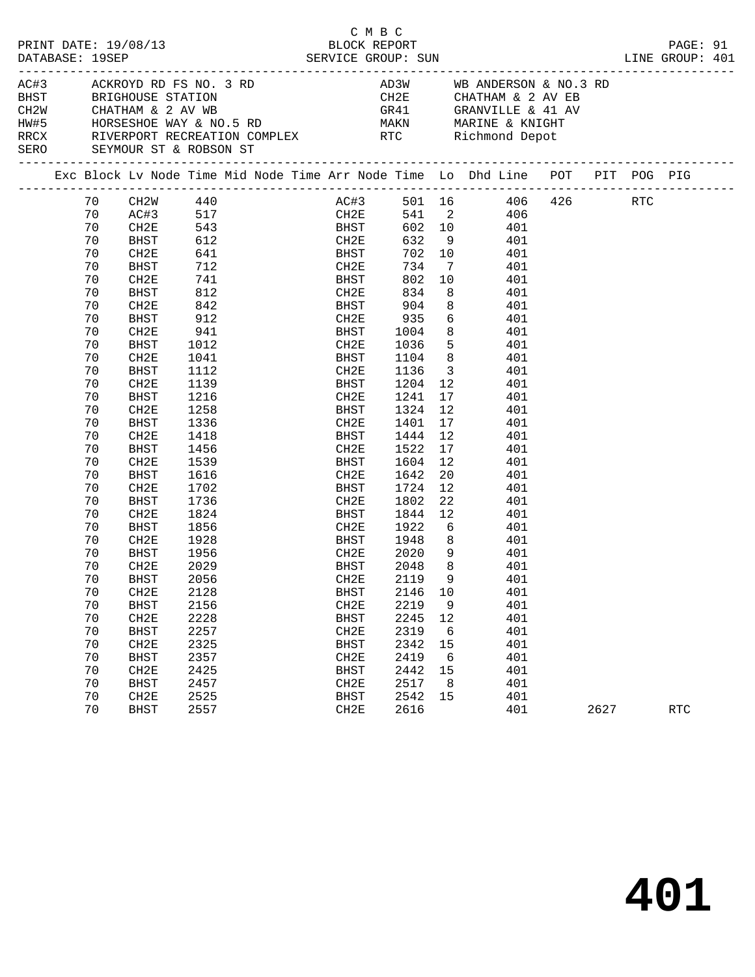|      | DATABASE: 19SEP | PRINT DATE: 19/08/13                                                            |              |                   | C M B C<br>BLOCK REPORT |              |                |                                                                                                                                                                                                                                                    |      | PAGE: 91   |  |
|------|-----------------|---------------------------------------------------------------------------------|--------------|-------------------|-------------------------|--------------|----------------|----------------------------------------------------------------------------------------------------------------------------------------------------------------------------------------------------------------------------------------------------|------|------------|--|
| AC#3 |                 | ACKROYD RD FS NO. 3 RD<br>BHST BRIGHOUSE STATION<br>SERO SEYMOUR ST & ROBSON ST |              |                   |                         |              |                | AD3W WB ANDERSON & NO.3 RD<br>CH2E CHATHAM & 2 AV EB<br>CH2W CHATHAM & 2 AV WB GR41 GRANVILLE & 41 <i>P</i><br>HW#5 HORSESHOE WAY & NO.5 RD MAKN MARINE & KNIGHT<br>RRCX RIVERPORT RECREATION COMPLEX RTC Richmond Depot<br>GR41 GRANVILLE & 41 AV |      |            |  |
|      |                 |                                                                                 |              |                   |                         |              |                | Exc Block Lv Node Time Mid Node Time Arr Node Time Lo Dhd Line POT PIT POG PIG                                                                                                                                                                     |      |            |  |
|      | 70              |                                                                                 |              |                   |                         |              |                | CH2W 440<br>AC#3 501 16 406 426 RTC                                                                                                                                                                                                                |      |            |  |
|      | 70              |                                                                                 |              | AC#3 517          |                         |              |                | CH2E 541 2 406                                                                                                                                                                                                                                     |      |            |  |
|      | 70              | CH2E                                                                            |              |                   | BHST<br>CH2E            | $602$ 10     |                | 401                                                                                                                                                                                                                                                |      |            |  |
|      | 70              | BHST                                                                            |              | 543<br>612<br>641 |                         | 632 9        |                | 401                                                                                                                                                                                                                                                |      |            |  |
|      | 70              | CH2E                                                                            |              |                   | <b>BHST</b>             |              |                | 702 10 401                                                                                                                                                                                                                                         |      |            |  |
|      | 70              | BHST                                                                            | 712          |                   | CH2E                    | 734          |                | 7 401                                                                                                                                                                                                                                              |      |            |  |
|      | 70              | CH2E                                                                            | 741<br>812   |                   | BHST<br>CH2E            | 802          | 10             | 401                                                                                                                                                                                                                                                |      |            |  |
|      | 70              | BHST                                                                            |              |                   |                         | 834          | 8 <sup>8</sup> | 401                                                                                                                                                                                                                                                |      |            |  |
|      | 70              | CH2E                                                                            | 842          |                   | BHST 904                |              |                | 8<br>401                                                                                                                                                                                                                                           |      |            |  |
|      | 70              | BHST                                                                            | 912          |                   | CH2E 935 6              |              |                | 401                                                                                                                                                                                                                                                |      |            |  |
|      | 70              | CH2E                                                                            | 941          |                   | BHST 1004<br>CH2E 1036  |              |                | 8<br>401                                                                                                                                                                                                                                           |      |            |  |
|      | 70              | BHST                                                                            | 1012         |                   |                         |              | 5 <sub>5</sub> | 401                                                                                                                                                                                                                                                |      |            |  |
|      | 70              | CH2E                                                                            | 1041         |                   | BHST 1104 8             |              |                | 401                                                                                                                                                                                                                                                |      |            |  |
|      | 70              | BHST                                                                            | 1112         |                   | CH2E 1136 3             |              |                | 401                                                                                                                                                                                                                                                |      |            |  |
|      | 70              | CH2E                                                                            | 1139         |                   | BHST 1204 12            |              |                | 401                                                                                                                                                                                                                                                |      |            |  |
|      | 70              | BHST                                                                            | 1216         |                   | CH2E                    | 1241         | 17             | 401                                                                                                                                                                                                                                                |      |            |  |
|      | 70              | CH2E                                                                            | 1258         |                   | BHST 1324 12            |              |                | 401                                                                                                                                                                                                                                                |      |            |  |
|      | 70              | BHST                                                                            | 1336         |                   | CH2E 1401               |              |                | 17<br>401                                                                                                                                                                                                                                          |      |            |  |
|      | 70              | CH2E                                                                            | 1418         |                   | BHST                    | 1444         | 12             | 401                                                                                                                                                                                                                                                |      |            |  |
|      | 70              | BHST                                                                            | 1456         |                   | CH2E                    | 1522         | 17             | 401                                                                                                                                                                                                                                                |      |            |  |
|      | 70              | CH2E                                                                            | 1539         |                   | BHST 1604 12            |              |                | 401                                                                                                                                                                                                                                                |      |            |  |
|      | 70              | BHST                                                                            | 1616         |                   | CH2E                    | 1642         | 20             | 401                                                                                                                                                                                                                                                |      |            |  |
|      | 70              | CH2E                                                                            | 1702         |                   | BHST                    | 1724         | 12             | 401                                                                                                                                                                                                                                                |      |            |  |
|      | 70              | BHST                                                                            | 1736         |                   | CH2E<br><b>BHST</b>     | 1802         | 22             | 401                                                                                                                                                                                                                                                |      |            |  |
|      | 70<br>70        | CH2E                                                                            | 1824         |                   | CH2E 1922 6             | 1844 12      |                | 401                                                                                                                                                                                                                                                |      |            |  |
|      |                 | BHST                                                                            | 1856         |                   |                         |              |                | 401                                                                                                                                                                                                                                                |      |            |  |
|      | 70<br>70        | CH2E                                                                            | 1928         |                   |                         |              | 9              | BHST 1948 8 401<br>401                                                                                                                                                                                                                             |      |            |  |
|      | 70              | BHST<br>CH2E                                                                    | 1956<br>2029 |                   | CH2E<br>BHST            | 2020<br>2048 | 8 <sup>8</sup> | 401                                                                                                                                                                                                                                                |      |            |  |
|      | 70              | BHST 2056                                                                       |              |                   | CH2E 2119               |              | Q              | 401                                                                                                                                                                                                                                                |      |            |  |
|      | 70              | CH2E                                                                            | 2128         |                   | BHST                    | 2146         | 10             | 401                                                                                                                                                                                                                                                |      |            |  |
|      | 70              | <b>BHST</b>                                                                     | 2156         |                   | CH2E                    | 2219         | 9              | 401                                                                                                                                                                                                                                                |      |            |  |
|      | 70              | CH2E                                                                            | 2228         |                   | <b>BHST</b>             | 2245         | 12             | 401                                                                                                                                                                                                                                                |      |            |  |
|      | 70              | <b>BHST</b>                                                                     | 2257         |                   | CH2E                    | 2319         | 6              | 401                                                                                                                                                                                                                                                |      |            |  |
|      | 70              | CH <sub>2E</sub>                                                                | 2325         |                   | <b>BHST</b>             | 2342         | 15             | 401                                                                                                                                                                                                                                                |      |            |  |
|      | 70              | <b>BHST</b>                                                                     | 2357         |                   | CH2E                    | 2419         | 6              | 401                                                                                                                                                                                                                                                |      |            |  |
|      | 70              | CH2E                                                                            | 2425         |                   | <b>BHST</b>             | 2442         | 15             | 401                                                                                                                                                                                                                                                |      |            |  |
|      | 70              | <b>BHST</b>                                                                     | 2457         |                   | CH2E                    | 2517         | 8              | 401                                                                                                                                                                                                                                                |      |            |  |
|      | 70              | CH2E                                                                            | 2525         |                   | <b>BHST</b>             | 2542         | 15             | 401                                                                                                                                                                                                                                                |      |            |  |
|      | 70              | <b>BHST</b>                                                                     | 2557         |                   | CH2E                    | 2616         |                | 401                                                                                                                                                                                                                                                | 2627 | <b>RTC</b> |  |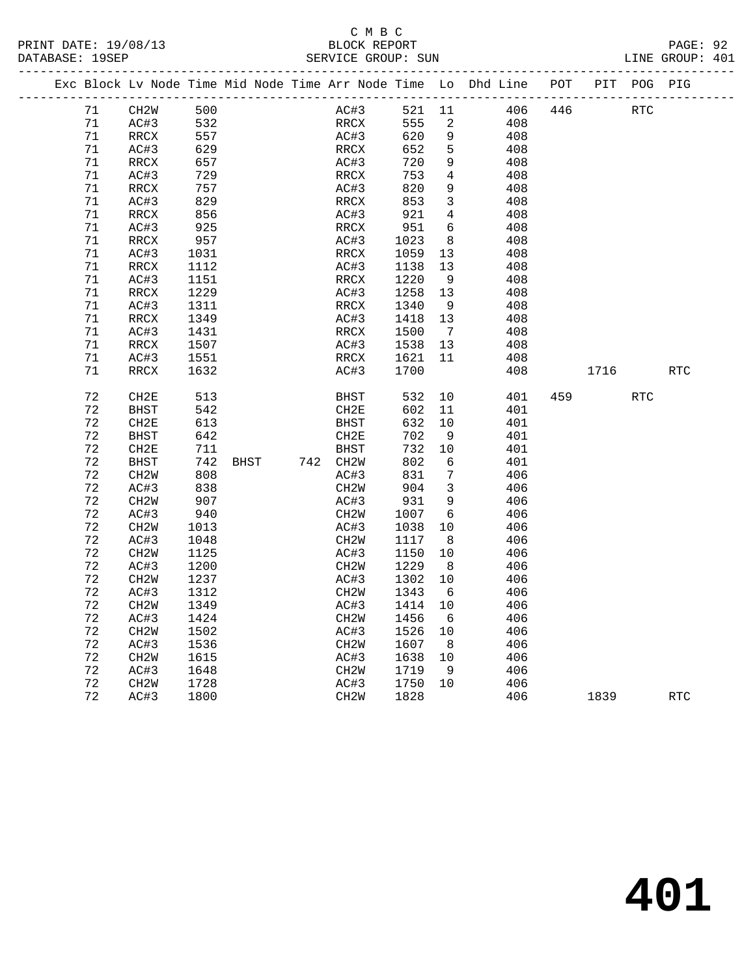|  |     |                   |      |  |             |                      |        | Exc Block Ly Node Time Mid Node Time Arr Node Time Lo Dhd Line | POT | PIT | POG | PIG |
|--|-----|-------------------|------|--|-------------|----------------------|--------|----------------------------------------------------------------|-----|-----|-----|-----|
|  | 71  | CH <sub>2</sub> W | 500  |  | AC#3        | 521                  | 11     | 406                                                            | 446 |     | RTC |     |
|  | 71  | AC#3              | 532  |  | RRCX        | 555                  | 2      | 408                                                            |     |     |     |     |
|  | 71  | RRCX              | 557  |  | AC#3        | 620                  | 9      | 408                                                            |     |     |     |     |
|  | 71  | AC#3              | 629  |  | RRCX        | 652                  | 5.     | 408                                                            |     |     |     |     |
|  | 71  | RRCX              | 657  |  | AC#3        | 720                  | 9      | 408                                                            |     |     |     |     |
|  | 71  | AC#3              | 729  |  | RRCX        | 753                  | 4      | 408                                                            |     |     |     |     |
|  | 71  | RRCX              | 757  |  | AC#3        | 820                  | 9      | 408                                                            |     |     |     |     |
|  | 71  | AC#3              | 829  |  | RRCX        | 853                  | 3      | 408                                                            |     |     |     |     |
|  | 71  | RRCX              | 856  |  | AC#3        | 921                  | 4      | 408                                                            |     |     |     |     |
|  | 71  | AC#3              | 925  |  | RRCX        | 951                  | 6      | 408                                                            |     |     |     |     |
|  | 71  | RRCX              | 957  |  | AC#3        | 1023                 | 8      | 408                                                            |     |     |     |     |
|  | 71  | AC#3              | 1031 |  | RRCX        | 1059                 | 13     | 408                                                            |     |     |     |     |
|  | 71  | RRCX              | 1112 |  | AC#3        | 1138                 | 13     | 408                                                            |     |     |     |     |
|  | - - | $  -$             |      |  | $- - - - -$ | $\sim$ $\sim$ $\sim$ | $\sim$ | $\sim$ $\sim$                                                  |     |     |     |     |

| /⊥   | <b>RRCA</b>       | ⊥⊥⊥∠ |             |     | $A \cup H$        | ᆚᆚᇰᆼ | ᅩ  | 9∪≄ |     |      |            |            |
|------|-------------------|------|-------------|-----|-------------------|------|----|-----|-----|------|------------|------------|
| 71   | AC#3              | 1151 |             |     | RRCX              | 1220 | 9  | 408 |     |      |            |            |
| 71   | <b>RRCX</b>       | 1229 |             |     | AC#3              | 1258 | 13 | 408 |     |      |            |            |
| 71   | AC#3              | 1311 |             |     | RRCX              | 1340 | 9  | 408 |     |      |            |            |
| 71   | RRCX              | 1349 |             |     | AC#3              | 1418 | 13 | 408 |     |      |            |            |
| $71$ | AC#3              | 1431 |             |     | RRCX              | 1500 | 7  | 408 |     |      |            |            |
| 71   | RRCX              | 1507 |             |     | AC#3              | 1538 | 13 | 408 |     |      |            |            |
| 71   | AC#3              | 1551 |             |     | RRCX              | 1621 | 11 | 408 |     |      |            |            |
| 71   | <b>RRCX</b>       | 1632 |             |     | AC#3              | 1700 |    | 408 |     | 1716 |            | <b>RTC</b> |
| 72   | CH2E              | 513  |             |     | <b>BHST</b>       | 532  | 10 | 401 | 459 |      | <b>RTC</b> |            |
| 72   | <b>BHST</b>       | 542  |             |     | CH2E              | 602  | 11 | 401 |     |      |            |            |
| 72   | CH2E              | 613  |             |     | BHST              | 632  | 10 | 401 |     |      |            |            |
| 72   | <b>BHST</b>       | 642  |             |     | CH2E              | 702  | 9  | 401 |     |      |            |            |
| 72   | CH2E              | 711  |             |     | <b>BHST</b>       | 732  | 10 | 401 |     |      |            |            |
| 72   | <b>BHST</b>       | 742  | <b>BHST</b> | 742 | CH <sub>2</sub> W | 802  | 6  | 401 |     |      |            |            |
| 72   | CH <sub>2</sub> W | 808  |             |     | AC#3              | 831  | 7  | 406 |     |      |            |            |
| 72   | AC#3              | 838  |             |     | CH <sub>2</sub> W | 904  | 3  | 406 |     |      |            |            |
| 72   | CH <sub>2</sub> W | 907  |             |     | AC#3              | 931  | 9  | 406 |     |      |            |            |
| 72   | AC#3              | 940  |             |     | CH <sub>2</sub> W | 1007 | 6  | 406 |     |      |            |            |
| 72   | CH <sub>2</sub> W | 1013 |             |     | AC#3              | 1038 | 10 | 406 |     |      |            |            |
| 72   | AC#3              | 1048 |             |     | CH <sub>2</sub> W | 1117 | 8  | 406 |     |      |            |            |
| 72   | CH <sub>2</sub> W | 1125 |             |     | AC#3              | 1150 | 10 | 406 |     |      |            |            |
| 72   | AC#3              | 1200 |             |     | CH <sub>2</sub> W | 1229 | 8  | 406 |     |      |            |            |
| 72   | CH <sub>2</sub> W | 1237 |             |     | AC#3              | 1302 | 10 | 406 |     |      |            |            |
| 72   | AC#3              | 1312 |             |     | CH <sub>2</sub> W | 1343 | 6  | 406 |     |      |            |            |
| 72   | CH <sub>2</sub> W | 1349 |             |     | AC#3              | 1414 | 10 | 406 |     |      |            |            |
| 72   | AC#3              | 1424 |             |     | CH <sub>2</sub> W | 1456 | 6  | 406 |     |      |            |            |
| 72   | CH <sub>2</sub> W | 1502 |             |     | AC#3              | 1526 | 10 | 406 |     |      |            |            |
| 72   | AC#3              | 1536 |             |     | CH <sub>2</sub> W | 1607 | 8  | 406 |     |      |            |            |
| 72   | CH <sub>2</sub> W | 1615 |             |     | AC#3              | 1638 | 10 | 406 |     |      |            |            |
| 72   | AC#3              | 1648 |             |     | CH <sub>2</sub> W | 1719 | 9  | 406 |     |      |            |            |
| 72   | CH <sub>2</sub> W | 1728 |             |     | AC#3              | 1750 | 10 | 406 |     |      |            |            |
| 72   | AC#3              | 1800 |             |     | CH2W              | 1828 |    | 406 |     | 1839 |            | <b>RTC</b> |
|      |                   |      |             |     |                   |      |    |     |     |      |            |            |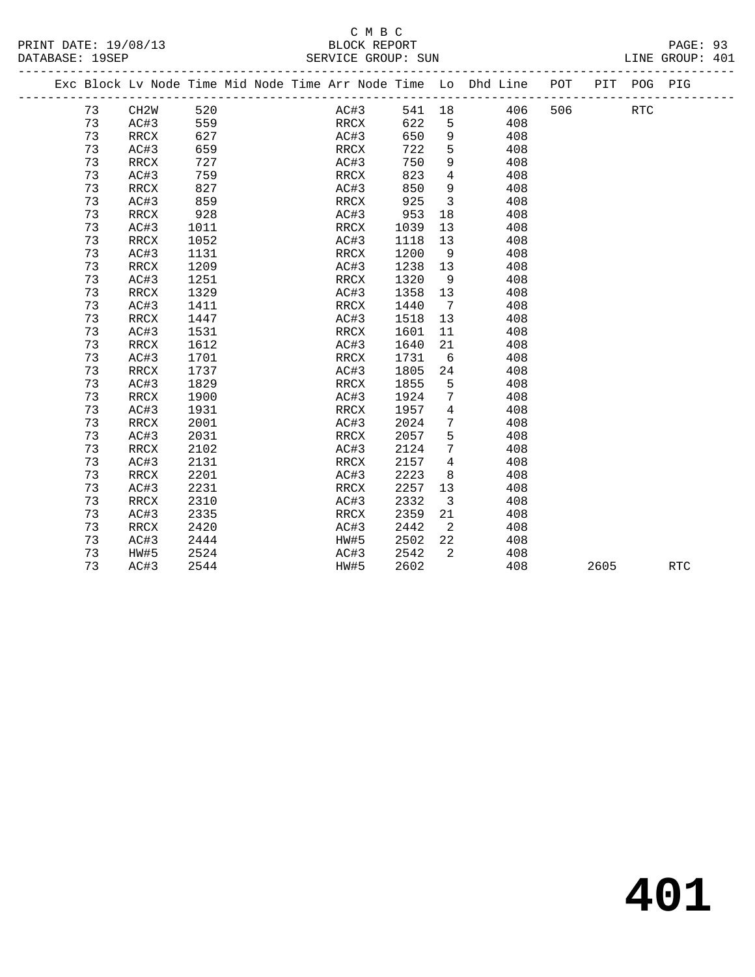#### C M B C PRINT DATE: 19/08/13 BLOCK REPORT PAGE: 93 DATABASE: 1982<br>SERVICE GROUP: SUN

| ∪ µ ⊃ ∪<br>$-$<br>$-$ |
|-----------------------|
|                       |

|  |    |      |      |  |      |      |      |                              | Exc Block Lv Node Time Mid Node Time Arr Node Time Lo Dhd Line POT |     | PIT  | POG PIG    |            |
|--|----|------|------|--|------|------|------|------------------------------|--------------------------------------------------------------------|-----|------|------------|------------|
|  | 73 | CH2W | 520  |  |      | AC#3 |      |                              | 541 18<br>406                                                      | 506 |      | <b>RTC</b> |            |
|  | 73 | AC#3 | 559  |  |      | RRCX | 622  | 5                            | 408                                                                |     |      |            |            |
|  | 73 | RRCX | 627  |  | AC#3 |      | 650  | 9                            | 408                                                                |     |      |            |            |
|  | 73 | AC#3 | 659  |  | RRCX |      | 722  | 5                            | 408                                                                |     |      |            |            |
|  | 73 | RRCX | 727  |  | AC#3 |      | 750  | 9                            | 408                                                                |     |      |            |            |
|  | 73 | AC#3 | 759  |  | RRCX |      | 823  | $\overline{4}$               | 408                                                                |     |      |            |            |
|  | 73 | RRCX | 827  |  | AC#3 |      | 850  | 9                            | 408                                                                |     |      |            |            |
|  | 73 | AC#3 | 859  |  | RRCX |      | 925  | $\overline{3}$               | 408                                                                |     |      |            |            |
|  | 73 | RRCX | 928  |  | AC#3 |      | 953  | 18                           | 408                                                                |     |      |            |            |
|  | 73 | AC#3 | 1011 |  | RRCX |      | 1039 | 13                           | 408                                                                |     |      |            |            |
|  | 73 | RRCX | 1052 |  | AC#3 |      | 1118 | 13                           | 408                                                                |     |      |            |            |
|  | 73 | AC#3 | 1131 |  | RRCX |      | 1200 | 9                            | 408                                                                |     |      |            |            |
|  | 73 | RRCX | 1209 |  | AC#3 |      | 1238 | 13                           | 408                                                                |     |      |            |            |
|  | 73 | AC#3 | 1251 |  | RRCX |      | 1320 | 9                            | 408                                                                |     |      |            |            |
|  | 73 | RRCX | 1329 |  | AC#3 |      | 1358 | 13                           | 408                                                                |     |      |            |            |
|  | 73 | AC#3 | 1411 |  | RRCX |      | 1440 | $7\phantom{.0}\phantom{.0}7$ | 408                                                                |     |      |            |            |
|  | 73 | RRCX | 1447 |  | AC#3 |      | 1518 | 13                           | 408                                                                |     |      |            |            |
|  | 73 | AC#3 | 1531 |  | RRCX |      | 1601 | 11                           | 408                                                                |     |      |            |            |
|  | 73 | RRCX | 1612 |  | AC#3 |      | 1640 | 21                           | 408                                                                |     |      |            |            |
|  | 73 | AC#3 | 1701 |  | RRCX |      | 1731 | 6                            | 408                                                                |     |      |            |            |
|  | 73 | RRCX | 1737 |  | AC#3 |      | 1805 | 24                           | 408                                                                |     |      |            |            |
|  | 73 | AC#3 | 1829 |  | RRCX |      | 1855 | 5                            | 408                                                                |     |      |            |            |
|  | 73 | RRCX | 1900 |  | AC#3 |      | 1924 | 7                            | 408                                                                |     |      |            |            |
|  | 73 | AC#3 | 1931 |  | RRCX |      | 1957 | $4\overline{ }$              | 408                                                                |     |      |            |            |
|  | 73 | RRCX | 2001 |  | AC#3 |      | 2024 | $7\phantom{.0}$              | 408                                                                |     |      |            |            |
|  | 73 | AC#3 | 2031 |  | RRCX |      | 2057 | 5                            | 408                                                                |     |      |            |            |
|  | 73 | RRCX | 2102 |  | AC#3 |      | 2124 | $7\overline{ }$              | 408                                                                |     |      |            |            |
|  | 73 | AC#3 | 2131 |  | RRCX |      | 2157 | $\overline{4}$               | 408                                                                |     |      |            |            |
|  | 73 | RRCX | 2201 |  | AC#3 |      | 2223 | 8                            | 408                                                                |     |      |            |            |
|  | 73 | AC#3 | 2231 |  | RRCX |      | 2257 | 13                           | 408                                                                |     |      |            |            |
|  | 73 | RRCX | 2310 |  | AC#3 |      | 2332 | 3                            | 408                                                                |     |      |            |            |
|  | 73 | AC#3 | 2335 |  | RRCX |      | 2359 | 21                           | 408                                                                |     |      |            |            |
|  | 73 | RRCX | 2420 |  | AC#3 |      | 2442 | $\overline{2}$               | 408                                                                |     |      |            |            |
|  | 73 | AC#3 | 2444 |  | HW#5 |      | 2502 | 22                           | 408                                                                |     |      |            |            |
|  | 73 | HW#5 | 2524 |  | AC#3 |      | 2542 | 2                            | 408                                                                |     |      |            |            |
|  | 73 | AC#3 | 2544 |  | HW#5 |      | 2602 |                              | 408                                                                |     | 2605 |            | <b>RTC</b> |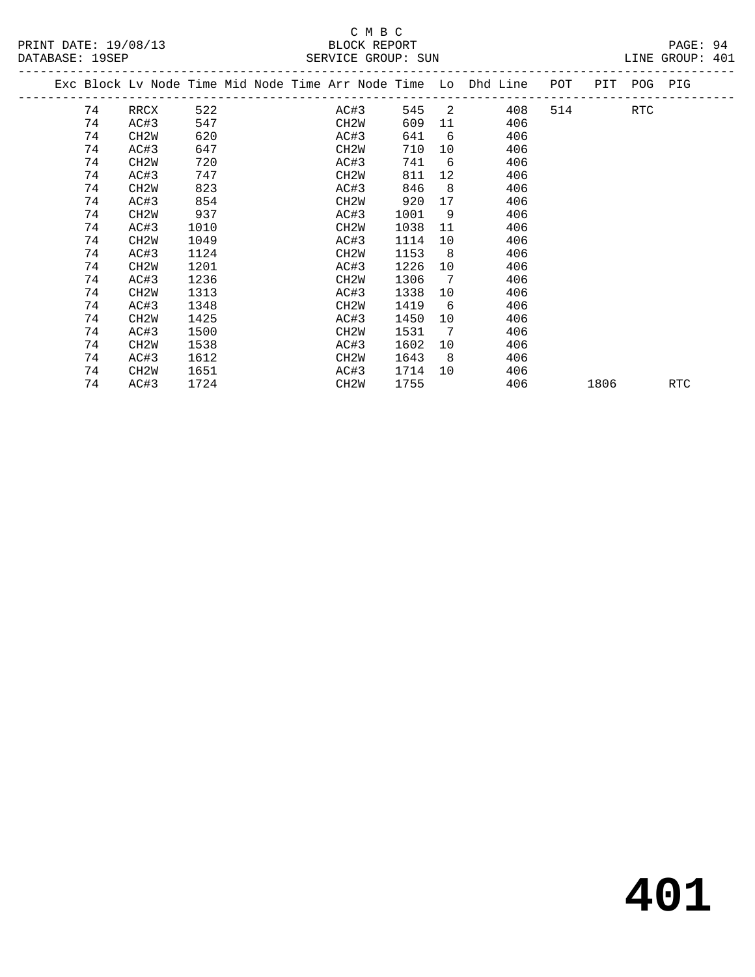#### C M B C SERVICE GROUP: SUN

|  |    |                   |      |  |                   |      |      |                              | Exc Block Lv Node Time Mid Node Time Arr Node Time Lo Dhd Line | POT |      | PIT POG PIG |     |  |
|--|----|-------------------|------|--|-------------------|------|------|------------------------------|----------------------------------------------------------------|-----|------|-------------|-----|--|
|  | 74 | RRCX              | 522  |  |                   | AC#3 | 545  | 2                            | 408                                                            | 514 |      | RTC         |     |  |
|  | 74 | AC#3              | 547  |  | CH2W              |      | 609  | 11                           | 406                                                            |     |      |             |     |  |
|  | 74 | CH <sub>2</sub> W | 620  |  | AC#3              |      | 641  | 6                            | 406                                                            |     |      |             |     |  |
|  | 74 | AC#3              | 647  |  | CH2W              |      | 710  | 10                           | 406                                                            |     |      |             |     |  |
|  | 74 | CH <sub>2</sub> W | 720  |  | AC#3              |      | 741  | 6                            | 406                                                            |     |      |             |     |  |
|  | 74 | AC#3              | 747  |  | CH <sub>2</sub> W |      | 811  | 12                           | 406                                                            |     |      |             |     |  |
|  | 74 | CH <sub>2</sub> W | 823  |  | AC#3              |      | 846  | - 8                          | 406                                                            |     |      |             |     |  |
|  | 74 | AC#3              | 854  |  | CH <sub>2</sub> W |      | 920  | 17                           | 406                                                            |     |      |             |     |  |
|  | 74 | CH <sub>2</sub> W | 937  |  | AC#3              |      | 1001 | 9                            | 406                                                            |     |      |             |     |  |
|  | 74 | AC#3              | 1010 |  | CH <sub>2</sub> W |      | 1038 | 11                           | 406                                                            |     |      |             |     |  |
|  | 74 | CH <sub>2</sub> W | 1049 |  | AC#3              |      | 1114 | 10                           | 406                                                            |     |      |             |     |  |
|  | 74 | AC#3              | 1124 |  | CH <sub>2</sub> W |      | 1153 | 8                            | 406                                                            |     |      |             |     |  |
|  | 74 | CH <sub>2</sub> W | 1201 |  | AC#3              |      | 1226 | 10                           | 406                                                            |     |      |             |     |  |
|  | 74 | AC#3              | 1236 |  | CH <sub>2</sub> W |      | 1306 | 7                            | 406                                                            |     |      |             |     |  |
|  | 74 | CH <sub>2</sub> W | 1313 |  | AC#3              |      | 1338 | 10                           | 406                                                            |     |      |             |     |  |
|  | 74 | AC#3              | 1348 |  | CH <sub>2</sub> W |      | 1419 | -6                           | 406                                                            |     |      |             |     |  |
|  | 74 | CH <sub>2</sub> W | 1425 |  | AC#3              |      | 1450 | 10                           | 406                                                            |     |      |             |     |  |
|  | 74 | AC#3              | 1500 |  | CH <sub>2</sub> W |      | 1531 | $7\phantom{.0}\phantom{.0}7$ | 406                                                            |     |      |             |     |  |
|  | 74 | CH <sub>2</sub> W | 1538 |  | AC#3              |      | 1602 | 10                           | 406                                                            |     |      |             |     |  |
|  | 74 | AC#3              | 1612 |  | CH <sub>2</sub> W |      | 1643 | 8 <sup>8</sup>               | 406                                                            |     |      |             |     |  |
|  | 74 | CH <sub>2</sub> W | 1651 |  | AC#3              |      | 1714 | 10                           | 406                                                            |     |      |             |     |  |
|  | 74 | AC#3              | 1724 |  | CH <sub>2</sub> W |      | 1755 |                              | 406                                                            |     | 1806 |             | RTC |  |
|  |    |                   |      |  |                   |      |      |                              |                                                                |     |      |             |     |  |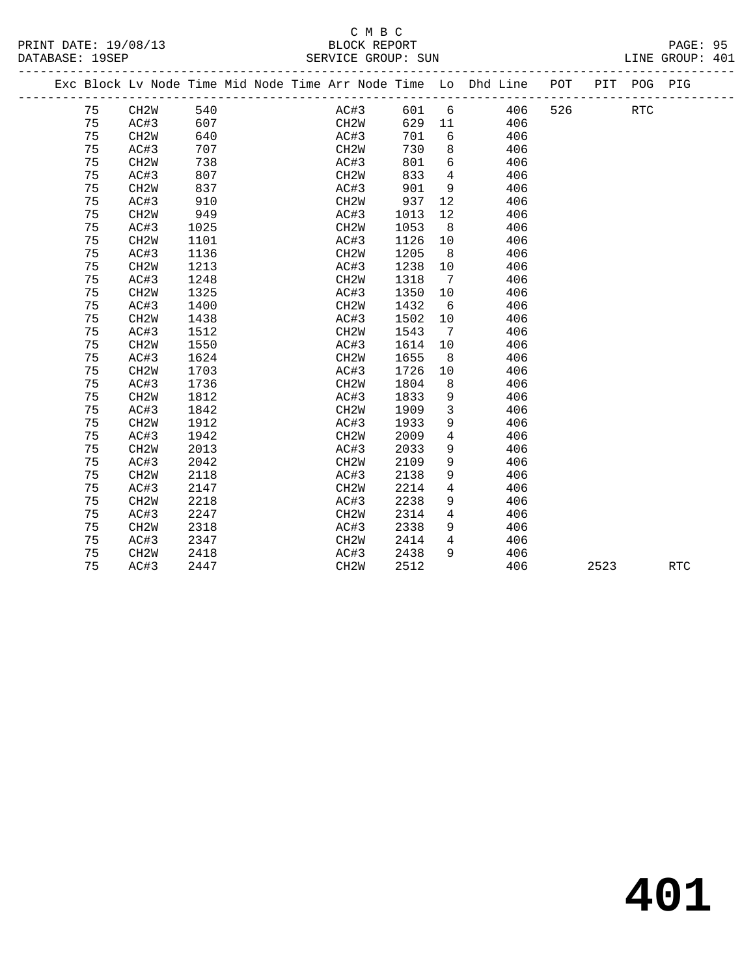#### C M B C<br>BLOCK REPORT SERVICE GROUP: SUN

PRINT DATE: 19/08/13 BLOCK REPORT PAGE: 95

|  |    | ____________________________ |      |  |                   |      |                 | Exc Block Lv Node Time Mid Node Time Arr Node Time Lo Dhd Line POT |     |      | PIT POG PIG |                      |
|--|----|------------------------------|------|--|-------------------|------|-----------------|--------------------------------------------------------------------|-----|------|-------------|----------------------|
|  | 75 | CH2W                         | 540  |  | AC#3              | 601  |                 | 6 406                                                              | 526 |      | <b>RTC</b>  |                      |
|  | 75 | AC#3                         | 607  |  | CH2W              | 629  | 11              | 406                                                                |     |      |             |                      |
|  | 75 | CH2W                         | 640  |  | AC#3              | 701  | 6               | 406                                                                |     |      |             |                      |
|  | 75 | AC#3                         | 707  |  | CH2W              | 730  | 8               | 406                                                                |     |      |             |                      |
|  | 75 | CH <sub>2</sub> W            | 738  |  | AC#3              | 801  | 6               | 406                                                                |     |      |             |                      |
|  | 75 | AC#3                         | 807  |  | CH2W              | 833  | $\overline{4}$  | 406                                                                |     |      |             |                      |
|  | 75 | CH <sub>2</sub> W            | 837  |  | AC#3              | 901  | 9               | 406                                                                |     |      |             |                      |
|  | 75 | AC#3                         | 910  |  | CH2W              | 937  | 12              | 406                                                                |     |      |             |                      |
|  | 75 | CH <sub>2</sub> W            | 949  |  | AC#3              | 1013 | 12 <sup>°</sup> | 406                                                                |     |      |             |                      |
|  | 75 | AC#3                         | 1025 |  | CH <sub>2</sub> W | 1053 | 8 <sup>8</sup>  | 406                                                                |     |      |             |                      |
|  | 75 | CH <sub>2</sub> W            | 1101 |  | AC#3              | 1126 | 10              | 406                                                                |     |      |             |                      |
|  | 75 | AC#3                         | 1136 |  | CH <sub>2</sub> W | 1205 | 8 <sup>8</sup>  | 406                                                                |     |      |             |                      |
|  | 75 | CH <sub>2</sub> W            | 1213 |  | AC#3              | 1238 | 10              | 406                                                                |     |      |             |                      |
|  | 75 | AC#3                         | 1248 |  | CH <sub>2</sub> W | 1318 | $\overline{7}$  | 406                                                                |     |      |             |                      |
|  | 75 | CH <sub>2</sub> W            | 1325 |  | AC#3              | 1350 | 10              | 406                                                                |     |      |             |                      |
|  | 75 | AC#3                         | 1400 |  | CH <sub>2</sub> W | 1432 | 6               | 406                                                                |     |      |             |                      |
|  | 75 | CH <sub>2</sub> W            | 1438 |  | AC#3              | 1502 | 10 <sup>°</sup> | 406                                                                |     |      |             |                      |
|  | 75 | AC#3                         | 1512 |  | CH <sub>2</sub> W | 1543 | $\overline{7}$  | 406                                                                |     |      |             |                      |
|  | 75 | CH <sub>2</sub> W            | 1550 |  | AC#3              | 1614 | 10 <sup>°</sup> | 406                                                                |     |      |             |                      |
|  | 75 | AC#3                         | 1624 |  | CH <sub>2</sub> W | 1655 | 8 <sup>8</sup>  | 406                                                                |     |      |             |                      |
|  | 75 | CH <sub>2</sub> W            | 1703 |  | AC#3              | 1726 | 10 <sup>°</sup> | 406                                                                |     |      |             |                      |
|  | 75 | AC#3                         | 1736 |  | CH <sub>2</sub> W | 1804 | 8               | 406                                                                |     |      |             |                      |
|  | 75 | CH2W                         | 1812 |  | AC#3              | 1833 | 9               | 406                                                                |     |      |             |                      |
|  | 75 | AC#3                         | 1842 |  | CH <sub>2</sub> W | 1909 | $\mathbf{3}$    | 406                                                                |     |      |             |                      |
|  | 75 | CH2W                         | 1912 |  | AC#3              | 1933 | 9               | 406                                                                |     |      |             |                      |
|  | 75 | AC#3                         | 1942 |  | CH <sub>2</sub> W | 2009 | $\overline{4}$  | 406                                                                |     |      |             |                      |
|  | 75 | CH <sub>2</sub> W            | 2013 |  | AC#3              | 2033 | 9               | 406                                                                |     |      |             |                      |
|  | 75 | AC#3                         | 2042 |  | CH <sub>2</sub> W | 2109 | 9               | 406                                                                |     |      |             |                      |
|  | 75 | CH <sub>2</sub> W            | 2118 |  | AC#3              | 2138 | 9               | 406                                                                |     |      |             |                      |
|  | 75 | AC#3                         | 2147 |  | CH <sub>2</sub> W | 2214 | $\overline{4}$  | 406                                                                |     |      |             |                      |
|  | 75 | CH <sub>2</sub> W            | 2218 |  | AC#3              | 2238 | 9               | 406                                                                |     |      |             |                      |
|  | 75 | AC#3                         | 2247 |  | CH <sub>2</sub> W | 2314 | $\overline{4}$  | 406                                                                |     |      |             |                      |
|  | 75 | CH <sub>2</sub> W            | 2318 |  | AC#3              | 2338 | 9               | 406                                                                |     |      |             |                      |
|  | 75 | AC#3                         | 2347 |  | CH <sub>2</sub> W | 2414 | $\overline{4}$  | 406                                                                |     |      |             |                      |
|  | 75 | CH2W                         | 2418 |  | AC#3              | 2438 | 9               | 406                                                                |     |      |             |                      |
|  | 75 | AC#3                         | 2447 |  | CH <sub>2</sub> W | 2512 |                 | 406                                                                |     | 2523 |             | $\operatorname{RTC}$ |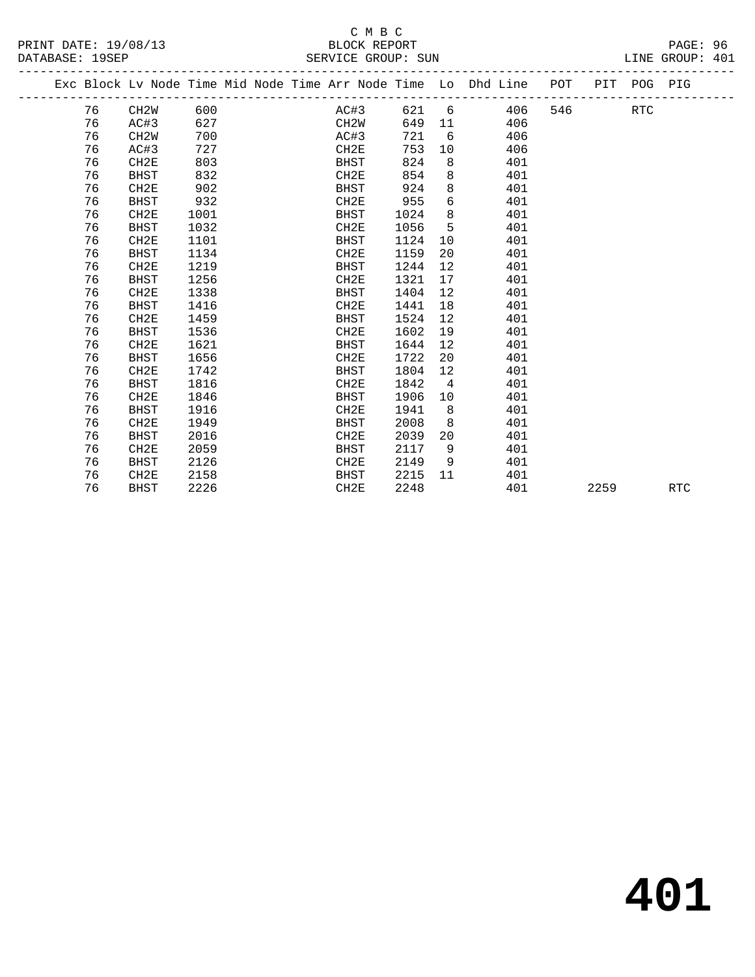|  |    | Exc Block Lv Node Time Mid Node Time Arr Node Time Lo Dhd Line POT |      |  |                  |      |       |                   |     |     |      | PIT POG PIG |            |
|--|----|--------------------------------------------------------------------|------|--|------------------|------|-------|-------------------|-----|-----|------|-------------|------------|
|  | 76 | CH2W                                                               | 600  |  |                  | AC#3 | 621 6 |                   | 406 | 546 |      | RTC         |            |
|  | 76 | AC#3                                                               | 627  |  | CH2W             |      | 649   | 11                | 406 |     |      |             |            |
|  | 76 | CH <sub>2</sub> W                                                  | 700  |  | AC#3             |      | 721   | 6                 | 406 |     |      |             |            |
|  | 76 | AC#3                                                               | 727  |  | CH2E             |      | 753   | 10                | 406 |     |      |             |            |
|  | 76 | CH2E                                                               | 803  |  | BHST             |      | 824   | 8                 | 401 |     |      |             |            |
|  | 76 | <b>BHST</b>                                                        | 832  |  | CH2E             |      | 854   | 8                 | 401 |     |      |             |            |
|  | 76 | CH <sub>2E</sub>                                                   | 902  |  | <b>BHST</b>      |      | 924   | 8                 | 401 |     |      |             |            |
|  | 76 | BHST                                                               | 932  |  | CH2E             |      | 955   | 6                 | 401 |     |      |             |            |
|  | 76 | CH2E                                                               | 1001 |  | BHST             |      | 1024  | 8                 | 401 |     |      |             |            |
|  | 76 | <b>BHST</b>                                                        | 1032 |  | CH2E             |      | 1056  | 5                 | 401 |     |      |             |            |
|  | 76 | CH2E                                                               | 1101 |  | <b>BHST</b>      |      | 1124  | 10                | 401 |     |      |             |            |
|  | 76 | <b>BHST</b>                                                        | 1134 |  | CH2E             |      | 1159  | 20                | 401 |     |      |             |            |
|  | 76 | CH2E                                                               | 1219 |  | <b>BHST</b>      |      | 1244  | $12 \overline{ }$ | 401 |     |      |             |            |
|  | 76 | <b>BHST</b>                                                        | 1256 |  | CH2E             |      | 1321  | 17                | 401 |     |      |             |            |
|  | 76 | CH2E                                                               | 1338 |  | BHST             |      | 1404  | 12                | 401 |     |      |             |            |
|  | 76 | <b>BHST</b>                                                        | 1416 |  | CH2E             |      | 1441  | 18                | 401 |     |      |             |            |
|  | 76 | CH <sub>2E</sub>                                                   | 1459 |  | BHST             |      | 1524  | $12 \overline{ }$ | 401 |     |      |             |            |
|  | 76 | <b>BHST</b>                                                        | 1536 |  | CH2E             |      | 1602  | 19                | 401 |     |      |             |            |
|  | 76 | CH <sub>2E</sub>                                                   | 1621 |  | BHST             |      | 1644  | 12                | 401 |     |      |             |            |
|  | 76 | <b>BHST</b>                                                        | 1656 |  | CH <sub>2E</sub> |      | 1722  | 20                | 401 |     |      |             |            |
|  | 76 | CH <sub>2E</sub>                                                   | 1742 |  | <b>BHST</b>      |      | 1804  | $12 \overline{ }$ | 401 |     |      |             |            |
|  | 76 | <b>BHST</b>                                                        | 1816 |  | CH2E             |      | 1842  | $\overline{4}$    | 401 |     |      |             |            |
|  | 76 | CH2E                                                               | 1846 |  | BHST             |      | 1906  | 10                | 401 |     |      |             |            |
|  | 76 | <b>BHST</b>                                                        | 1916 |  | CH2E             |      | 1941  | 8                 | 401 |     |      |             |            |
|  | 76 | CH <sub>2E</sub>                                                   | 1949 |  | <b>BHST</b>      |      | 2008  | 8                 | 401 |     |      |             |            |
|  | 76 | <b>BHST</b>                                                        | 2016 |  | CH2E             |      | 2039  | 20                | 401 |     |      |             |            |
|  | 76 | CH <sub>2E</sub>                                                   | 2059 |  | BHST             |      | 2117  | 9                 | 401 |     |      |             |            |
|  | 76 | <b>BHST</b>                                                        | 2126 |  | CH2E             |      | 2149  | - 9               | 401 |     |      |             |            |
|  | 76 | CH <sub>2E</sub>                                                   | 2158 |  | BHST             |      | 2215  | 11                | 401 |     |      |             |            |
|  | 76 | BHST                                                               | 2226 |  | CH <sub>2E</sub> |      | 2248  |                   | 401 |     | 2259 |             | <b>RTC</b> |
|  |    |                                                                    |      |  |                  |      |       |                   |     |     |      |             |            |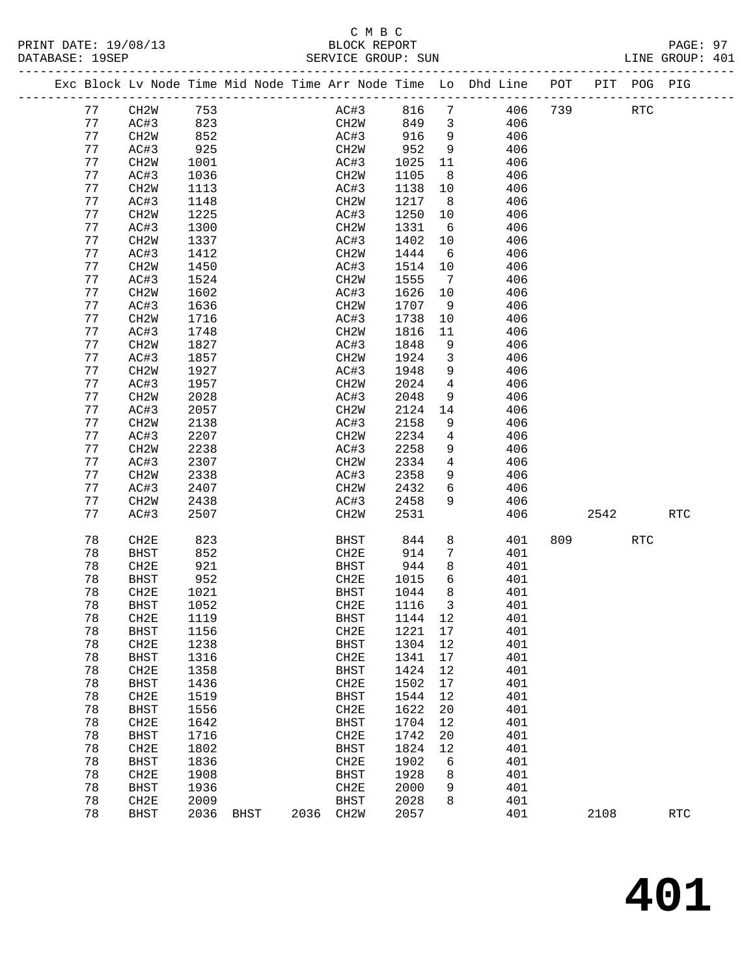## C M B C<br>BLOCK REPORT

| PAGE: 97        |  |
|-----------------|--|
| LINE GROUP: 401 |  |

|    |                   |      |  |                   |      |                 | Exc Block Lv Node Time Mid Node Time Arr Node Time Lo Dhd Line POT |     |      | PIT POG PIG |            |
|----|-------------------|------|--|-------------------|------|-----------------|--------------------------------------------------------------------|-----|------|-------------|------------|
| 77 | CH2W              | 753  |  | AC#3              | 816  | $7\phantom{.0}$ | 406                                                                | 739 |      | <b>RTC</b>  |            |
| 77 | AC#3              | 823  |  | CH2W              | 849  | $\mathbf{3}$    | 406                                                                |     |      |             |            |
| 77 | CH <sub>2</sub> W | 852  |  | AC#3              | 916  | 9               | 406                                                                |     |      |             |            |
| 77 | AC#3              | 925  |  | CH2W              | 952  | 9               | 406                                                                |     |      |             |            |
| 77 | CH <sub>2</sub> M | 1001 |  | AC#3              | 1025 | 11              | 406                                                                |     |      |             |            |
| 77 | AC#3              | 1036 |  | CH2W              | 1105 | 8               | 406                                                                |     |      |             |            |
| 77 | CH <sub>2</sub> W | 1113 |  | AC#3              | 1138 | 10              | 406                                                                |     |      |             |            |
| 77 | AC#3              | 1148 |  | CH <sub>2</sub> W | 1217 | 8               | 406                                                                |     |      |             |            |
| 77 | CH <sub>2</sub> W | 1225 |  | AC#3              | 1250 | 10              | 406                                                                |     |      |             |            |
| 77 | AC#3              | 1300 |  | CH <sub>2</sub> W | 1331 | 6               | 406                                                                |     |      |             |            |
| 77 |                   | 1337 |  |                   | 1402 | 10              | 406                                                                |     |      |             |            |
|    | CH <sub>2</sub> W |      |  | AC#3              |      |                 |                                                                    |     |      |             |            |
| 77 | AC#3              | 1412 |  | CH <sub>2</sub> W | 1444 | 6               | 406                                                                |     |      |             |            |
| 77 | CH <sub>2</sub> W | 1450 |  | AC#3              | 1514 | 10              | 406                                                                |     |      |             |            |
| 77 | AC#3              | 1524 |  | CH <sub>2</sub> W | 1555 | $7\phantom{.0}$ | 406                                                                |     |      |             |            |
| 77 | CH <sub>2</sub> W | 1602 |  | AC#3              | 1626 | 10              | 406                                                                |     |      |             |            |
| 77 | AC#3              | 1636 |  | CH <sub>2</sub> W | 1707 | 9               | 406                                                                |     |      |             |            |
| 77 | CH <sub>2</sub> W | 1716 |  | AC#3              | 1738 | 10              | 406                                                                |     |      |             |            |
| 77 | AC#3              | 1748 |  | CH <sub>2</sub> W | 1816 | 11              | 406                                                                |     |      |             |            |
| 77 | CH <sub>2</sub> W | 1827 |  | AC#3              | 1848 | 9               | 406                                                                |     |      |             |            |
| 77 | AC#3              | 1857 |  | CH <sub>2</sub> W | 1924 | 3               | 406                                                                |     |      |             |            |
| 77 | CH <sub>2</sub> W | 1927 |  | AC#3              | 1948 | 9               | 406                                                                |     |      |             |            |
| 77 | AC#3              | 1957 |  | CH <sub>2</sub> W | 2024 | 4               | 406                                                                |     |      |             |            |
| 77 | CH <sub>2</sub> W | 2028 |  | AC#3              | 2048 | 9               | 406                                                                |     |      |             |            |
| 77 | AC#3              | 2057 |  | CH <sub>2</sub> M | 2124 | 14              | 406                                                                |     |      |             |            |
| 77 | CH <sub>2</sub> W | 2138 |  | AC#3              | 2158 | 9               | 406                                                                |     |      |             |            |
| 77 | AC#3              | 2207 |  | CH <sub>2</sub> W | 2234 | 4               | 406                                                                |     |      |             |            |
| 77 | CH2W              | 2238 |  | AC#3              | 2258 | 9               | 406                                                                |     |      |             |            |
| 77 | AC#3              | 2307 |  | CH <sub>2</sub> W | 2334 | $\overline{4}$  | 406                                                                |     |      |             |            |
| 77 | CH <sub>2</sub> W | 2338 |  | AC#3              | 2358 | 9               | 406                                                                |     |      |             |            |
| 77 | AC#3              | 2407 |  | CH2W              | 2432 | 6               | 406                                                                |     |      |             |            |
| 77 | CH <sub>2</sub> M | 2438 |  | AC#3              | 2458 | 9               | 406                                                                |     |      |             |            |
| 77 | AC#3              | 2507 |  | CH <sub>2</sub> M | 2531 |                 | 406                                                                |     | 2542 |             | <b>RTC</b> |
| 78 | CH2E              | 823  |  | <b>BHST</b>       | 844  | 8               | 401                                                                | 809 |      | <b>RTC</b>  |            |
| 78 | <b>BHST</b>       | 852  |  | CH2E              | 914  | 7               | 401                                                                |     |      |             |            |
| 78 | CH2E              | 921  |  | <b>BHST</b>       | 944  | 8               | 401                                                                |     |      |             |            |
| 78 | BHST              | 952  |  | CH2E              | 1015 | 6               | 401                                                                |     |      |             |            |
| 78 | CH2E              | 1021 |  | <b>BHST</b>       | 1044 | 8               | 401                                                                |     |      |             |            |
| 78 | <b>BHST</b>       | 1052 |  | CH2E              | 1116 | 3               | 401                                                                |     |      |             |            |
| 78 | CH2E              | 1119 |  | BHST              | 1144 | 12              | 401                                                                |     |      |             |            |
| 78 | <b>BHST</b>       | 1156 |  | CH2E              | 1221 | $17$            | 401                                                                |     |      |             |            |
| 78 | CH2E              | 1238 |  | <b>BHST</b>       | 1304 | 12              | 401                                                                |     |      |             |            |
| 78 | <b>BHST</b>       | 1316 |  | CH2E              | 1341 | 17              | 401                                                                |     |      |             |            |
| 78 | CH2E              | 1358 |  | <b>BHST</b>       | 1424 | 12              | 401                                                                |     |      |             |            |
| 78 | <b>BHST</b>       | 1436 |  | CH2E              | 1502 | $17$            | 401                                                                |     |      |             |            |
| 78 | CH2E              | 1519 |  | <b>BHST</b>       | 1544 | 12              | 401                                                                |     |      |             |            |
| 78 | <b>BHST</b>       | 1556 |  | CH2E              | 1622 | 20              | 401                                                                |     |      |             |            |
| 78 | CH2E              | 1642 |  | <b>BHST</b>       | 1704 | 12              | 401                                                                |     |      |             |            |
| 78 | <b>BHST</b>       | 1716 |  | CH2E              | 1742 | 20              | 401                                                                |     |      |             |            |
| 78 | CH2E              | 1802 |  | <b>BHST</b>       | 1824 | 12              | 401                                                                |     |      |             |            |
| 78 | <b>BHST</b>       | 1836 |  | CH2E              | 1902 | 6               | 401                                                                |     |      |             |            |
| 78 | CH2E              | 1908 |  | <b>BHST</b>       | 1928 | 8               | 401                                                                |     |      |             |            |
| 78 | <b>BHST</b>       | 1936 |  | CH2E              | 2000 | 9               | 401                                                                |     |      |             |            |
|    |                   |      |  |                   |      |                 |                                                                    |     |      |             |            |
| 78 | CH2E              | 2009 |  | <b>BHST</b>       | 2028 | 8               | 401                                                                |     |      |             |            |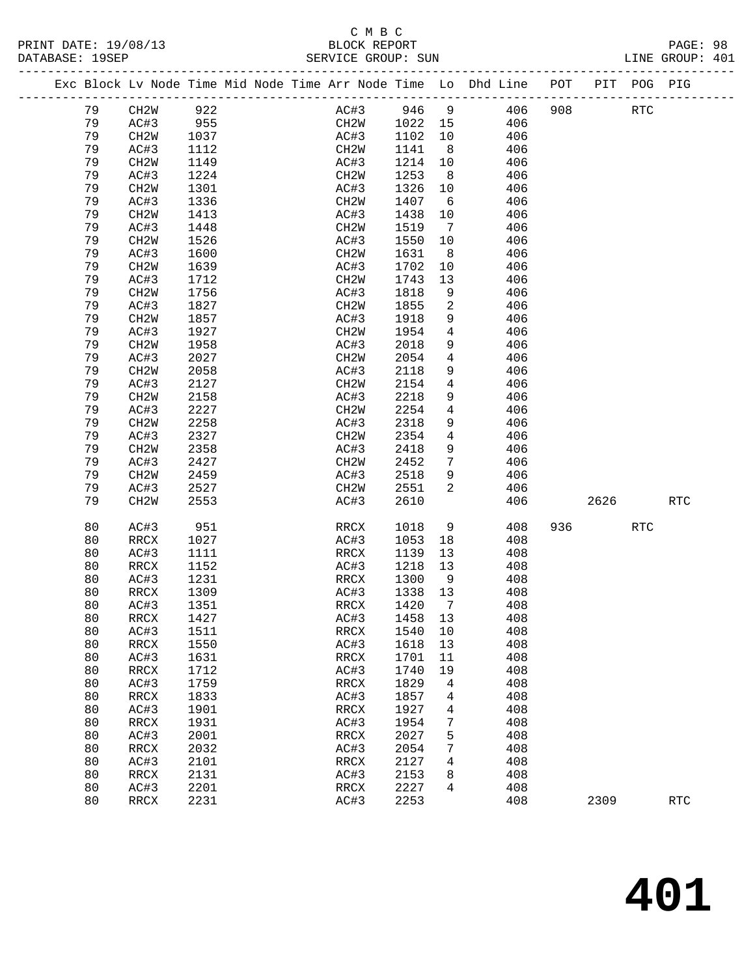|    |                   |      |  |              |      |                 | Exc Block Lv Node Time Mid Node Time Arr Node Time Lo Dhd Line | POT |      | PIT POG PIG |            |
|----|-------------------|------|--|--------------|------|-----------------|----------------------------------------------------------------|-----|------|-------------|------------|
| 79 | CH2W              | 922  |  | AC#3 946     |      | $\overline{9}$  | 406                                                            | 908 |      | RTC         |            |
| 79 | AC#3              | 955  |  | CH2W 1022 15 |      |                 | 406                                                            |     |      |             |            |
| 79 | CH2W              | 1037 |  | AC#3         | 1102 | 10              | 406                                                            |     |      |             |            |
| 79 | AC#3              | 1112 |  | CH2W         | 1141 | 8 <sup>8</sup>  | 406                                                            |     |      |             |            |
| 79 | CH2W              | 1149 |  | AC#3         | 1214 | 10              | 406                                                            |     |      |             |            |
| 79 | AC#3              | 1224 |  | CH2W         | 1253 | 8 <sup>8</sup>  | 406                                                            |     |      |             |            |
| 79 | CH2W              | 1301 |  | AC#3         | 1326 | 10              | 406                                                            |     |      |             |            |
| 79 | AC#3              | 1336 |  | CH2W         | 1407 | $6\overline{6}$ | 406                                                            |     |      |             |            |
| 79 | CH <sub>2</sub> W | 1413 |  | AC#3         | 1438 | 10              | 406                                                            |     |      |             |            |
| 79 | AC#3              | 1448 |  | CH2W         | 1519 | $\overline{7}$  | 406                                                            |     |      |             |            |
| 79 | CH <sub>2</sub> W | 1526 |  | AC#3         | 1550 | 10              | 406                                                            |     |      |             |            |
| 79 | AC#3              | 1600 |  | CH2W         | 1631 | 8 <sup>8</sup>  | 406                                                            |     |      |             |            |
| 79 | CH <sub>2</sub> W | 1639 |  | AC#3         | 1702 | 10              | 406                                                            |     |      |             |            |
| 79 | AC#3              | 1712 |  | CH2W         | 1743 | 13              | 406                                                            |     |      |             |            |
| 79 | CH2W              | 1756 |  | AC#3         | 1818 | 9               | 406                                                            |     |      |             |            |
| 79 | AC#3              | 1827 |  | CH2W         | 1855 | $\overline{a}$  | 406                                                            |     |      |             |            |
| 79 | CH <sub>2</sub> W | 1857 |  | AC#3         | 1918 | 9               | 406                                                            |     |      |             |            |
| 79 | AC#3              | 1927 |  | CH2W         | 1954 | $\overline{4}$  | 406                                                            |     |      |             |            |
| 79 | CH2W              | 1958 |  | AC#3         | 2018 | 9               | 406                                                            |     |      |             |            |
| 79 | AC#3              | 2027 |  | CH2W         | 2054 | $\overline{4}$  | 406                                                            |     |      |             |            |
| 79 | CH <sub>2</sub> W | 2058 |  | AC#3         | 2118 | 9               | 406                                                            |     |      |             |            |
| 79 | AC#3              | 2127 |  | CH2W         | 2154 | $\overline{4}$  | 406                                                            |     |      |             |            |
| 79 | CH2W              | 2158 |  | AC#3         | 2218 | 9               | 406                                                            |     |      |             |            |
| 79 | AC#3              | 2227 |  | CH2W         | 2254 | $\overline{4}$  | 406                                                            |     |      |             |            |
| 79 | CH <sub>2</sub> W | 2258 |  | AC#3         | 2318 | 9               | 406                                                            |     |      |             |            |
| 79 | AC#3              | 2327 |  | CH2W         | 2354 | $\overline{4}$  | 406                                                            |     |      |             |            |
| 79 | CH2W              | 2358 |  | AC#3         | 2418 | 9               | 406                                                            |     |      |             |            |
| 79 | AC#3              | 2427 |  | CH2W         | 2452 | $7\phantom{.0}$ | 406                                                            |     |      |             |            |
| 79 | CH <sub>2</sub> W | 2459 |  | AC#3         | 2518 | 9               | 406                                                            |     |      |             |            |
| 79 | AC#3              | 2527 |  | CH2W         | 2551 | 2               | 406                                                            |     |      |             |            |
| 79 | CH <sub>2</sub> W | 2553 |  | AC#3         | 2610 |                 | 406                                                            |     | 2626 |             | <b>RTC</b> |
| 80 | AC#3              | 951  |  | RRCX         | 1018 | 9               | 408                                                            | 936 |      | <b>RTC</b>  |            |
| 80 | RRCX              | 1027 |  | AC#3         | 1053 | 18              | 408                                                            |     |      |             |            |
| 80 | AC#3              | 1111 |  | RRCX         | 1139 | 13              | 408                                                            |     |      |             |            |
| 80 | RRCX              | 1152 |  | AC#3         | 1218 | 13              | 408                                                            |     |      |             |            |
| 80 | AC#3              | 1231 |  | RRCX         | 1300 | 9               | 408                                                            |     |      |             |            |
| 80 | RRCX              | 1309 |  | AC#3         | 1338 | 13              | 408                                                            |     |      |             |            |
| 80 | AC#3              | 1351 |  | RRCX         | 1420 | $\overline{7}$  | 408                                                            |     |      |             |            |
| 80 | RRCX              | 1427 |  | AC#3 1458 13 |      |                 | 408                                                            |     |      |             |            |
| 80 | AC#3              | 1511 |  | RRCX         | 1540 | 10              | 408                                                            |     |      |             |            |
| 80 | RRCX              | 1550 |  | AC#3         | 1618 | 13              | 408                                                            |     |      |             |            |
| 80 | AC#3              | 1631 |  | RRCX         | 1701 | 11              | 408                                                            |     |      |             |            |
| 80 | RRCX              | 1712 |  | AC#3         | 1740 | 19              | 408                                                            |     |      |             |            |
| 80 | AC#3              | 1759 |  | RRCX         | 1829 | 4               | 408                                                            |     |      |             |            |
| 80 | RRCX              | 1833 |  | AC#3         | 1857 | 4               | 408                                                            |     |      |             |            |
| 80 | AC#3              | 1901 |  | RRCX         | 1927 | 4               | 408                                                            |     |      |             |            |
| 80 | RRCX              | 1931 |  | AC#3         | 1954 | 7               | 408                                                            |     |      |             |            |
| 80 | AC#3              | 2001 |  | RRCX         | 2027 | 5               | 408                                                            |     |      |             |            |
| 80 | RRCX              | 2032 |  | AC#3         | 2054 | 7               | 408                                                            |     |      |             |            |
| 80 | AC#3              | 2101 |  | RRCX         | 2127 | 4               | 408                                                            |     |      |             |            |
| 80 | RRCX              | 2131 |  | AC#3         | 2153 | 8               | 408                                                            |     |      |             |            |
| 80 | AC#3              | 2201 |  | RRCX         | 2227 | 4               | 408                                                            |     |      |             |            |
| 80 | RRCX              | 2231 |  | AC#3         | 2253 |                 | 408                                                            |     | 2309 |             | <b>RTC</b> |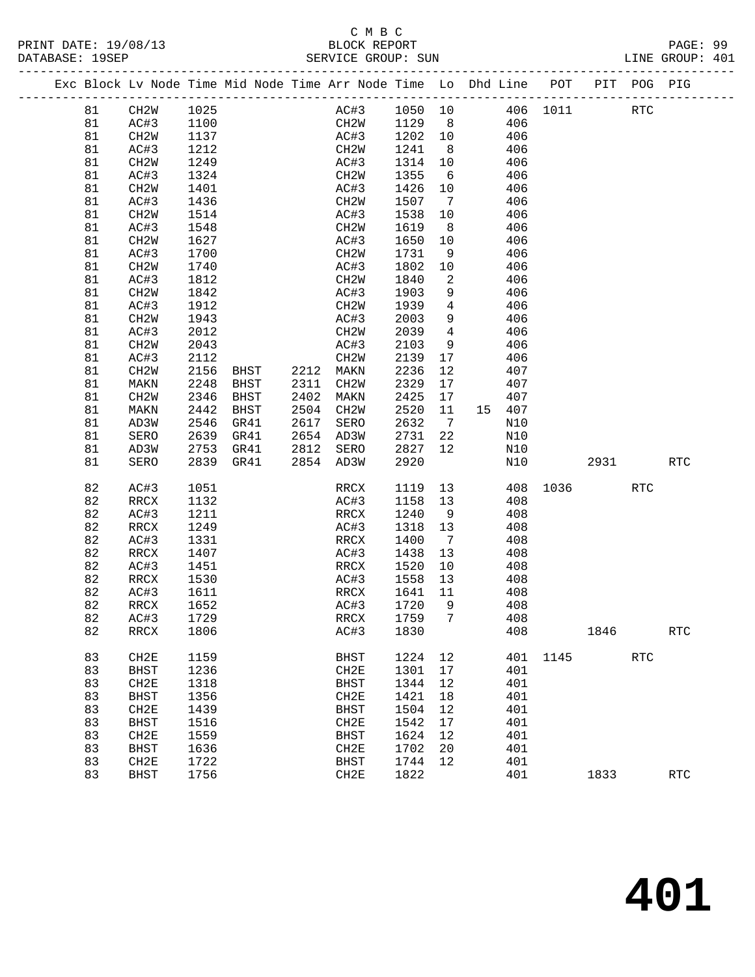PRINT DATE: 19/08/13 BLOCK REPORT BATABASE: 19SEP

# C M B C<br>BLOCK REPORT

PAGE: 99<br>LINE GROUP: 401

|  | תמתח |
|--|------|

|  |          |                   |      |      |           |                     |      |         |                              |        | Exc Block Lv Node Time Mid Node Time Arr Node Time Lo Dhd Line POT PIT POG PIG |      |                      |                      |
|--|----------|-------------------|------|------|-----------|---------------------|------|---------|------------------------------|--------|--------------------------------------------------------------------------------|------|----------------------|----------------------|
|  | 81       | CH2W              | 1025 |      |           |                     | AC#3 | 1050 10 |                              |        | 406 1011                                                                       |      | <b>RTC</b>           |                      |
|  | 81       | AC#3              | 1100 |      |           |                     | CH2W | 1129    | 8 <sup>8</sup>               | 406    |                                                                                |      |                      |                      |
|  | 81       | CH2W              | 1137 |      |           | AC#3                |      | 1202    | 10                           | 406    |                                                                                |      |                      |                      |
|  | 81       | AC#3              | 1212 |      |           | CH2W                |      | 1241    | 8 <sup>8</sup>               | 406    |                                                                                |      |                      |                      |
|  | 81       | CH2W              | 1249 |      |           | AC#3                |      | 1314    | 10                           | 406    |                                                                                |      |                      |                      |
|  | 81       | AC#3              | 1324 |      |           | CH2W                |      | 1355    | 6                            | 406    |                                                                                |      |                      |                      |
|  | 81       | CH <sub>2</sub> W | 1401 |      |           | AC#3                |      | 1426    | 10                           | 406    |                                                                                |      |                      |                      |
|  | 81       | AC#3              | 1436 |      |           | CH2W                |      | 1507    | $7\phantom{.0}\phantom{.0}7$ | 406    |                                                                                |      |                      |                      |
|  | 81       | CH <sub>2</sub> W | 1514 |      |           | AC#3                |      | 1538    | 10                           | 406    |                                                                                |      |                      |                      |
|  | 81       | AC#3              | 1548 |      |           | CH2W                |      | 1619    | 8 <sup>8</sup>               | 406    |                                                                                |      |                      |                      |
|  | 81       | CH <sub>2</sub> W | 1627 |      |           | AC#3                |      | 1650    | 10                           | 406    |                                                                                |      |                      |                      |
|  | 81       | AC#3              | 1700 |      |           | CH2W                |      | 1731    | 9                            | 406    |                                                                                |      |                      |                      |
|  | 81       | CH <sub>2</sub> W | 1740 |      |           | AC#3                |      | 1802    | 10                           | 406    |                                                                                |      |                      |                      |
|  | 81       | AC#3              | 1812 |      |           | CH2W                |      | 1840    | 2                            | 406    |                                                                                |      |                      |                      |
|  | 81       | CH <sub>2</sub> W | 1842 |      |           | AC#3                |      | 1903    | 9                            | 406    |                                                                                |      |                      |                      |
|  | 81       | AC#3              | 1912 |      |           | CH <sub>2</sub> W   |      | 1939    | $\overline{4}$               | 406    |                                                                                |      |                      |                      |
|  | 81       | CH <sub>2</sub> W | 1943 |      |           | AC#3                |      | 2003    | 9                            | 406    |                                                                                |      |                      |                      |
|  | 81       | AC#3              | 2012 |      |           | CH2W                |      | 2039    | $\overline{4}$               | 406    |                                                                                |      |                      |                      |
|  | 81       | CH <sub>2</sub> W | 2043 |      |           | AC#3                |      | 2103    | 9                            | 406    |                                                                                |      |                      |                      |
|  | 81       | AC#3              | 2112 |      |           | CH2W                |      | 2139    | 17                           | 406    |                                                                                |      |                      |                      |
|  | 81       | CH <sub>2</sub> W | 2156 | BHST | 2212 MAKN |                     |      | 2236    | 12                           | 407    |                                                                                |      |                      |                      |
|  | 81       | MAKN              | 2248 | BHST | 2311      | CH <sub>2</sub> W   |      | 2329    | 17                           | 407    |                                                                                |      |                      |                      |
|  | 81       | CH <sub>2</sub> W | 2346 | BHST | 2402      | MAKN                |      | 2425    | 17                           | 407    |                                                                                |      |                      |                      |
|  | 81       | MAKN              | 2442 | BHST | 2504      | CH2W                |      | 2520    | 11                           | 15 407 |                                                                                |      |                      |                      |
|  | 81       | AD3W              | 2546 | GR41 | 2617      | SERO                |      | 2632    | $7\overline{ }$              | N10    |                                                                                |      |                      |                      |
|  | 81       | SERO              | 2639 | GR41 | 2654      | AD3W                |      | 2731    | 22                           | N10    |                                                                                |      |                      |                      |
|  | 81       | AD3W              | 2753 | GR41 | 2812      | SERO                |      | 2827    | 12 <sup>°</sup>              | N10    |                                                                                |      |                      |                      |
|  | 81       | SERO              | 2839 | GR41 | 2854      | AD3W                |      | 2920    |                              | N10    |                                                                                | 2931 |                      | <b>RTC</b>           |
|  | 82       | AC#3              | 1051 |      |           | RRCX                |      | 1119    | 13                           | 408    | 1036                                                                           |      | <b>RTC</b>           |                      |
|  | 82       | RRCX              | 1132 |      |           | AC#3                |      | 1158    | 13                           | 408    |                                                                                |      |                      |                      |
|  | 82       | AC#3              | 1211 |      |           | RRCX                |      | 1240    | 9                            | 408    |                                                                                |      |                      |                      |
|  | 82       | RRCX              | 1249 |      |           | AC#3                |      | 1318    | 13                           | 408    |                                                                                |      |                      |                      |
|  | 82       | AC#3              | 1331 |      |           | RRCX                |      | 1400    | $7\phantom{.0}\phantom{.0}7$ | 408    |                                                                                |      |                      |                      |
|  | 82       | RRCX              | 1407 |      |           | AC#3                |      | 1438    | 13                           | 408    |                                                                                |      |                      |                      |
|  | 82       | AC#3              | 1451 |      |           | RRCX                |      | 1520    | 10                           | 408    |                                                                                |      |                      |                      |
|  | 82       | RRCX              | 1530 |      |           | AC#3                |      | 1558    | 13                           | 408    |                                                                                |      |                      |                      |
|  | 82       | AC#3              | 1611 |      |           | RRCX                |      | 1641    | 11                           | 408    |                                                                                |      |                      |                      |
|  | 82       | RRCX              | 1652 |      |           | AC#3                |      | 1720    | 9                            | 408    |                                                                                |      |                      |                      |
|  | 82       | AC#3              | 1729 |      |           | RRCX                |      | 1759    | $7\overline{ }$              | 408    |                                                                                |      |                      |                      |
|  | 82       | RRCX              | 1806 |      |           | AC#3                |      | 1830    |                              | 408    |                                                                                | 1846 |                      | $\operatorname{RTC}$ |
|  |          |                   |      |      |           |                     |      |         |                              |        |                                                                                |      |                      |                      |
|  | 83       | CH2E              | 1159 |      |           | <b>BHST</b>         |      | 1224    | 12                           | 401    | 1145                                                                           |      | $\operatorname{RTC}$ |                      |
|  | 83       | <b>BHST</b>       | 1236 |      |           | CH2E                |      | 1301    | 17                           | 401    |                                                                                |      |                      |                      |
|  | 83       | CH2E              | 1318 |      |           | <b>BHST</b>         |      | 1344    | 12                           | 401    |                                                                                |      |                      |                      |
|  | 83       | <b>BHST</b>       | 1356 |      |           | CH2E                |      | 1421    | 18                           | 401    |                                                                                |      |                      |                      |
|  | 83       | CH2E              | 1439 |      |           | <b>BHST</b>         |      | 1504    | 12                           | 401    |                                                                                |      |                      |                      |
|  | 83       | <b>BHST</b>       | 1516 |      |           | CH2E                |      | 1542    | 17                           | 401    |                                                                                |      |                      |                      |
|  | 83       | CH <sub>2E</sub>  | 1559 |      |           | <b>BHST</b>         |      | 1624    | 12                           | 401    |                                                                                |      |                      |                      |
|  | 83<br>83 | <b>BHST</b>       | 1636 |      |           | CH2E<br><b>BHST</b> |      | 1702    | 20<br>12                     | 401    |                                                                                |      |                      |                      |
|  |          | CH2E              | 1722 |      |           |                     |      | 1744    |                              | 401    |                                                                                |      |                      |                      |
|  | 83       | <b>BHST</b>       | 1756 |      |           | CH2E                |      | 1822    |                              | 401    |                                                                                | 1833 |                      | $\operatorname{RTC}$ |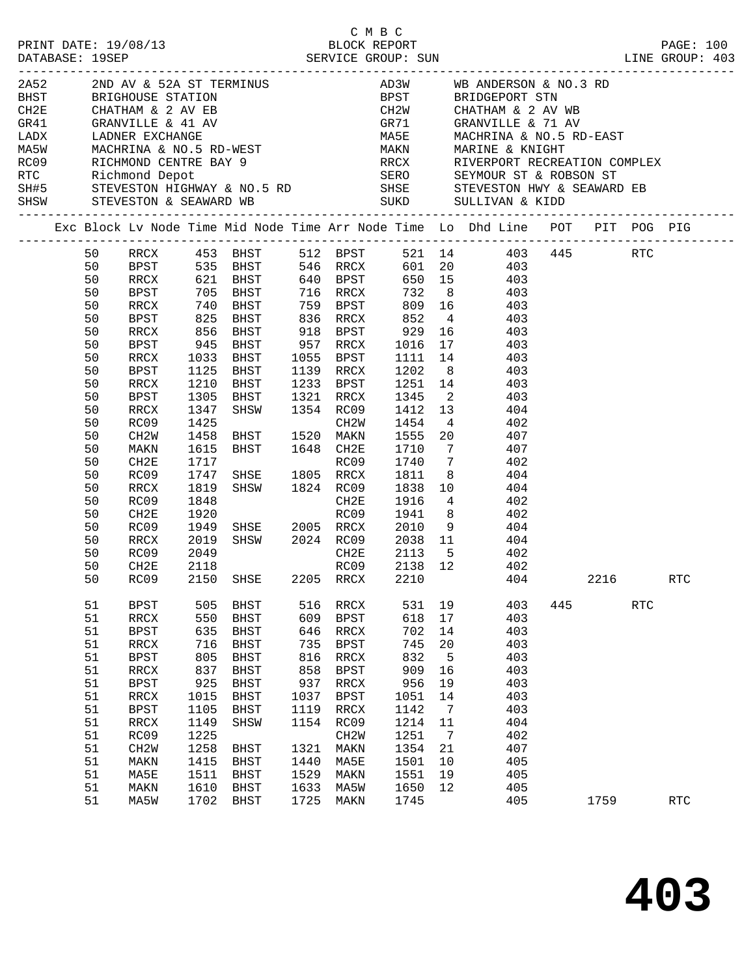|  |    |               |      |                                  |      |             |         |    | GR71 GRANVILLE & 71 AV<br>MA5E MACHRINA & NO.5 RD-EAST<br>MAKN MARINE & KNIGHT<br>RRCX RIVERPORT RECREATION COMPLEX                                                                                                                                           |     |      |            |                      |
|--|----|---------------|------|----------------------------------|------|-------------|---------|----|---------------------------------------------------------------------------------------------------------------------------------------------------------------------------------------------------------------------------------------------------------------|-----|------|------------|----------------------|
|  |    |               |      |                                  |      |             |         |    |                                                                                                                                                                                                                                                               |     |      |            |                      |
|  |    |               |      |                                  |      |             |         |    |                                                                                                                                                                                                                                                               |     |      |            |                      |
|  |    |               |      |                                  |      |             |         |    |                                                                                                                                                                                                                                                               |     |      |            |                      |
|  |    |               |      |                                  |      |             |         |    |                                                                                                                                                                                                                                                               |     |      |            |                      |
|  |    |               |      |                                  |      |             |         |    |                                                                                                                                                                                                                                                               |     |      |            |                      |
|  |    |               |      |                                  |      |             |         |    |                                                                                                                                                                                                                                                               |     |      |            |                      |
|  |    |               |      |                                  |      |             |         |    | Exc Block Lv Node Time Mid Node Time Arr Node Time Lo Dhd Line POT PIT POG PIG                                                                                                                                                                                |     |      |            |                      |
|  | 50 |               |      |                                  |      |             |         |    | RRCX 453 BHST 512 BPST 521 14 403 445 RTC<br>BPST 535 BHST 546 RRCX 601 20 403                                                                                                                                                                                |     |      |            |                      |
|  | 50 |               |      |                                  |      |             |         |    |                                                                                                                                                                                                                                                               |     |      |            |                      |
|  | 50 | RRCX          |      | 621 BHST 640 BPST                |      |             |         |    | 650 15 403                                                                                                                                                                                                                                                    |     |      |            |                      |
|  | 50 | BPST          |      |                                  |      |             |         |    |                                                                                                                                                                                                                                                               |     |      |            |                      |
|  | 50 | RRCX          |      |                                  |      |             |         |    |                                                                                                                                                                                                                                                               |     |      |            |                      |
|  | 50 | BPST          |      |                                  |      |             |         |    |                                                                                                                                                                                                                                                               |     |      |            |                      |
|  | 50 | RRCX          |      |                                  |      |             |         |    | 856 BHST 918 BPST 929 16 403                                                                                                                                                                                                                                  |     |      |            |                      |
|  | 50 | BPST          | 945  |                                  |      |             |         |    | BHST 957 RRCX 1016 17 403                                                                                                                                                                                                                                     |     |      |            |                      |
|  | 50 | RRCX          |      | 1033 BHST<br>1125 BHST<br>BHST   |      | 1055 BPST   |         |    | $1111$ $14$ $403$<br>$1202$ 8 $403$                                                                                                                                                                                                                           |     |      |            |                      |
|  | 50 | BPST          |      |                                  |      | 1139 RRCX   |         |    |                                                                                                                                                                                                                                                               |     |      |            |                      |
|  | 50 | RRCX          | 1210 | BHST                             |      |             |         |    | 1233 BPST 1251 14 403                                                                                                                                                                                                                                         |     |      |            |                      |
|  | 50 | BPST          | 1305 |                                  |      |             |         |    | BHST 1321 RRCX 1345 2 403                                                                                                                                                                                                                                     |     |      |            |                      |
|  | 50 | RRCX          | 1347 | SHSW 1354 RC09                   |      |             |         |    | $1412$ $13$ $404$<br>$1454$ $4$ $402$                                                                                                                                                                                                                         |     |      |            |                      |
|  | 50 | RC09          | 1425 |                                  |      | CH2W        |         |    |                                                                                                                                                                                                                                                               |     |      |            |                      |
|  | 50 | CH2W          | 1458 |                                  |      |             |         |    | BHST 1520 MAKN 1555 20 407                                                                                                                                                                                                                                    |     |      |            |                      |
|  | 50 | MAKN          | 1615 | BHST 1648 CH2E                   |      |             | 1710    |    | 7 407                                                                                                                                                                                                                                                         |     |      |            |                      |
|  | 50 | CH2E          | 1717 |                                  |      |             |         |    | $7\overline{ }$<br>402<br>RC09 1740 7 402<br>SHSE 1805 RRCX 1811 8 404<br>SHSW 1824 RC09 1838 10 404                                                                                                                                                          |     |      |            |                      |
|  | 50 | RC09          | 1747 |                                  |      |             |         |    |                                                                                                                                                                                                                                                               |     |      |            |                      |
|  | 50 | RRCX          | 1819 |                                  |      |             |         |    |                                                                                                                                                                                                                                                               |     |      |            |                      |
|  | 50 | RC09          |      |                                  |      |             |         |    | $\begin{array}{cccccc} 1848 & & & & & \text{CH2E} & 1916 & 4 & & 402 \\ 1920 & & & & \text{RC09} & 1941 & 8 & & 402 \\ 1949 & \text{SHSE} & 2005 & \text{RRCX} & 2010 & 9 & & 404 \\ 2019 & \text{SHSW} & 2024 & \text{RC09} & 2038 & 11 & & 404 \end{array}$ |     |      |            |                      |
|  | 50 | CH2E          |      |                                  |      |             |         |    |                                                                                                                                                                                                                                                               |     |      |            |                      |
|  | 50 | RC09          |      |                                  |      |             |         |    |                                                                                                                                                                                                                                                               |     |      |            |                      |
|  | 50 | RRCX          |      |                                  |      |             |         |    |                                                                                                                                                                                                                                                               |     |      |            |                      |
|  | 50 | RC09          | 2049 |                                  |      |             |         |    | CH2E 2113 5 402                                                                                                                                                                                                                                               |     |      |            |                      |
|  | 50 | CH2E          | 2118 |                                  |      | RC09        | 2138 12 |    | 402                                                                                                                                                                                                                                                           |     |      |            |                      |
|  |    |               |      | 50 RC09 2150 SHSE 2205 RRCX 2210 |      |             |         |    | 404                                                                                                                                                                                                                                                           |     | 2216 |            | <b>RTC</b>           |
|  | 51 | <b>BPST</b>   | 505  | <b>BHST</b>                      | 516  | RRCX        | 531     | 19 | 403                                                                                                                                                                                                                                                           | 445 |      | <b>RTC</b> |                      |
|  | 51 | RRCX          | 550  | <b>BHST</b>                      | 609  | BPST        | 618     | 17 | 403                                                                                                                                                                                                                                                           |     |      |            |                      |
|  | 51 | <b>BPST</b>   | 635  | BHST                             | 646  | RRCX        | 702     | 14 | 403                                                                                                                                                                                                                                                           |     |      |            |                      |
|  | 51 | $\verb!RRCX!$ | 716  | BHST                             | 735  | <b>BPST</b> | 745     | 20 | 403                                                                                                                                                                                                                                                           |     |      |            |                      |
|  | 51 | <b>BPST</b>   | 805  | BHST                             | 816  | RRCX        | 832     | 5  | 403                                                                                                                                                                                                                                                           |     |      |            |                      |
|  | 51 | RRCX          | 837  | <b>BHST</b>                      | 858  | <b>BPST</b> | 909     | 16 | 403                                                                                                                                                                                                                                                           |     |      |            |                      |
|  | 51 | <b>BPST</b>   | 925  | BHST                             | 937  | RRCX        | 956     | 19 | 403                                                                                                                                                                                                                                                           |     |      |            |                      |
|  | 51 | RRCX          | 1015 | <b>BHST</b>                      | 1037 | <b>BPST</b> | 1051    | 14 | 403                                                                                                                                                                                                                                                           |     |      |            |                      |
|  | 51 | <b>BPST</b>   | 1105 | <b>BHST</b>                      | 1119 | RRCX        | 1142    | 7  | 403                                                                                                                                                                                                                                                           |     |      |            |                      |
|  | 51 | RRCX          | 1149 | SHSW                             | 1154 | RC09        | 1214    | 11 | 404                                                                                                                                                                                                                                                           |     |      |            |                      |
|  | 51 | RC09          | 1225 |                                  |      | CH2W        | 1251    | 7  | 402                                                                                                                                                                                                                                                           |     |      |            |                      |
|  | 51 | CH2W          | 1258 | <b>BHST</b>                      | 1321 | MAKN        | 1354    | 21 | 407                                                                                                                                                                                                                                                           |     |      |            |                      |
|  | 51 | MAKN          | 1415 | <b>BHST</b>                      | 1440 | MA5E        | 1501    | 10 | 405                                                                                                                                                                                                                                                           |     |      |            |                      |
|  | 51 | MA5E          | 1511 | BHST                             | 1529 | MAKN        | 1551    | 19 | 405                                                                                                                                                                                                                                                           |     |      |            |                      |
|  | 51 | MAKN          | 1610 | <b>BHST</b>                      | 1633 | MA5W        | 1650    | 12 | 405                                                                                                                                                                                                                                                           |     |      |            |                      |
|  | 51 | MA5W          | 1702 | <b>BHST</b>                      | 1725 | MAKN        | 1745    |    | 405                                                                                                                                                                                                                                                           |     | 1759 |            | $\operatorname{RTC}$ |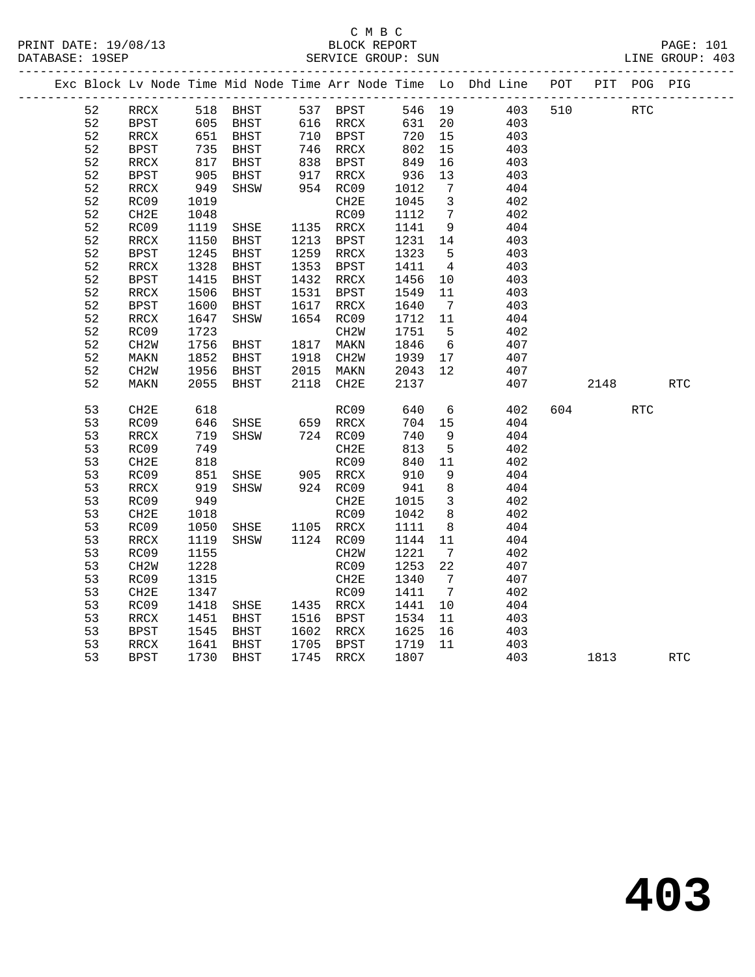#### C M B C<br>BLOCK REPORT PRINT DATE: 19/08/13 BLOCK REPORT PAGE: 101 SERVICE GROUP: SUN

|  |    |                          |                   |                                  |      |                           |              |                         | Exc Block Lv Node Time Mid Node Time Arr Node Time Lo Dhd Line POT |     |      | PIT POG PIG |     |
|--|----|--------------------------|-------------------|----------------------------------|------|---------------------------|--------------|-------------------------|--------------------------------------------------------------------|-----|------|-------------|-----|
|  | 52 | RRCX                     |                   | 518 BHST 537 BPST                |      |                           |              |                         | 546 19 403                                                         | 510 | RTC  |             |     |
|  | 52 | BPST                     |                   | 605 BHST 616 RRCX                |      |                           | 631 20       |                         | 403                                                                |     |      |             |     |
|  | 52 | $\mathop{\mathrm{RRCX}}$ | 651<br>735        | <b>BHST</b>                      |      | 710   BPST<br>746    RRCX | 720 15       |                         | 403                                                                |     |      |             |     |
|  | 52 | <b>BPST</b>              |                   | BHST                             |      |                           | 802          | 15                      | 403                                                                |     |      |             |     |
|  | 52 | RRCX                     | 817               | BHST                             |      | 838 BPST                  | 849          | 16                      | 403                                                                |     |      |             |     |
|  | 52 | <b>BPST</b>              | 905               | BHST                             |      | 917 RRCX<br>954 RC09      | 936          | 13                      | 403                                                                |     |      |             |     |
|  | 52 | RRCX                     | 949               | SHSW                             |      |                           | 1012         | $\overline{7}$          | 404                                                                |     |      |             |     |
|  | 52 | RC09                     | 1019              |                                  |      | CH2E                      | 1045         | $\overline{\mathbf{3}}$ | 402                                                                |     |      |             |     |
|  | 52 | CH2E                     | 1048              |                                  |      | RC09                      | 1112         | $7\overline{ }$         | 402                                                                |     |      |             |     |
|  | 52 | RC09                     | 1119              | SHSE                             |      | 1135 RRCX                 | 1141         | 9                       | 404                                                                |     |      |             |     |
|  | 52 | RRCX                     | 1150              | BHST                             |      | 1213 BPST                 | 1231 14      |                         | 403                                                                |     |      |             |     |
|  | 52 | <b>BPST</b>              | 1245              | BHST                             |      | 1259 RRCX                 | 1323         | $5^{\circ}$             | 403                                                                |     |      |             |     |
|  | 52 | $\verb!RRCX!$            | 1328              | BHST                             |      | 1353 BPST                 | 1411         | $\overline{4}$          | 403                                                                |     |      |             |     |
|  | 52 | BPST                     | 1415              | BHST                             |      | 1432 RRCX                 | 1456 10      |                         | 403                                                                |     |      |             |     |
|  | 52 | $\mathop{\mathrm{RRCX}}$ | 1506              | BHST                             | 1531 | BPST                      | 1549         | 11                      | 403                                                                |     |      |             |     |
|  | 52 | $_{\rm BPST}$            | 1600              | BHST                             |      | 1617 RRCX                 | 1640         | $7\overline{ }$         | 403                                                                |     |      |             |     |
|  | 52 | RRCX                     | 1647              | SHSW                             |      | 1654 RC09                 | 1712 11      |                         | 404                                                                |     |      |             |     |
|  | 52 | RC09                     | 1723              |                                  |      | CH2W                      | 1751         | $5^{\circ}$             | 402                                                                |     |      |             |     |
|  | 52 | CH <sub>2</sub> W        | 1756              | <b>BHST</b>                      |      | 1817 MAKN                 | 1846         | $6\overline{6}$         | 407                                                                |     |      |             |     |
|  | 52 | MAKN                     | 1852              | BHST                             |      | 1918 CH2W                 | 1939 17      |                         | 407                                                                |     |      |             |     |
|  | 52 | CH2W                     | 1956              | BHST                             |      | 2015 MAKN<br>2118 CH2E    | 2043         | 12 <sup>°</sup>         | 407                                                                |     |      |             |     |
|  | 52 | MAKN                     | 2055              | BHST                             |      |                           | 2137         |                         | 407                                                                |     | 2148 |             | RTC |
|  | 53 | CH2E                     | 618               |                                  |      | RC09                      | 640          | $6\overline{6}$         | 402                                                                |     | 604  | RTC         |     |
|  | 53 | RC09                     | 646               |                                  |      |                           | 704 15       |                         | 404                                                                |     |      |             |     |
|  | 53 | RRCX                     | 719               | SHSW                             |      | 724 RC09                  | 740          | 9                       | 404                                                                |     |      |             |     |
|  | 53 | RC09                     | 749               |                                  |      | CH2E                      | 813          | $5^{\circ}$             | 402                                                                |     |      |             |     |
|  | 53 | CH2E                     | 818               |                                  |      | RC09                      | 840          | 11                      | 402                                                                |     |      |             |     |
|  | 53 | RC09                     | 851<br>919<br>949 | SHSE 905 RRCX                    |      |                           | 910          | 9                       | 404                                                                |     |      |             |     |
|  | 53 | RRCX                     |                   | SHSW                             |      | 924 RC09                  | 941          | 8 <sup>8</sup>          | 404                                                                |     |      |             |     |
|  | 53 | RC09                     |                   |                                  |      | CH2E                      | 1015         | $\overline{\mathbf{3}}$ | 402                                                                |     |      |             |     |
|  | 53 | CH2E                     | 1018              |                                  |      | RC09                      | 1042         | 8                       | 402                                                                |     |      |             |     |
|  | 53 | RC09                     | 1050              | SHSE 1105 RRCX<br>SHSW 1124 RC09 |      |                           | 1111         | 8 <sup>8</sup>          | 404                                                                |     |      |             |     |
|  | 53 | RRCX                     | 1119              |                                  |      |                           | 1144         | 11                      | 404                                                                |     |      |             |     |
|  | 53 | RC09                     | 1155              |                                  |      | CH2W                      | 1221         | $7\overline{ }$         | 402                                                                |     |      |             |     |
|  | 53 | CH <sub>2</sub> W        | 1228              |                                  |      | RC09                      | 1253         | 22                      | 407                                                                |     |      |             |     |
|  | 53 | RC09                     | 1315              |                                  |      | CH2E                      | 1340         | $7\overline{ }$         | 407                                                                |     |      |             |     |
|  | 53 | CH2E                     | 1347              |                                  |      | RC09                      | 1411         | $7\overline{ }$         | 402                                                                |     |      |             |     |
|  | 53 | RC09                     | 1418              | SHSE 1435 RRCX<br>BHST 1516 BPST |      |                           | 1441<br>1534 | 10                      | 404                                                                |     |      |             |     |
|  | 53 | $\mathop{\mathrm{RRCX}}$ | 1451              |                                  |      |                           |              | 11                      | 403                                                                |     |      |             |     |
|  | 53 | <b>BPST</b>              | 1545              | BHST                             |      | 1602 RRCX                 | 1625 16      |                         | 403                                                                |     |      |             |     |
|  | 53 | <b>RRCX</b>              | 1641              | <b>BHST</b>                      |      | 1705 BPST                 | 1719 11      |                         | 403                                                                |     |      |             |     |

53 BPST 1730 BHST 1745 RRCX 1807 403 1813 RTC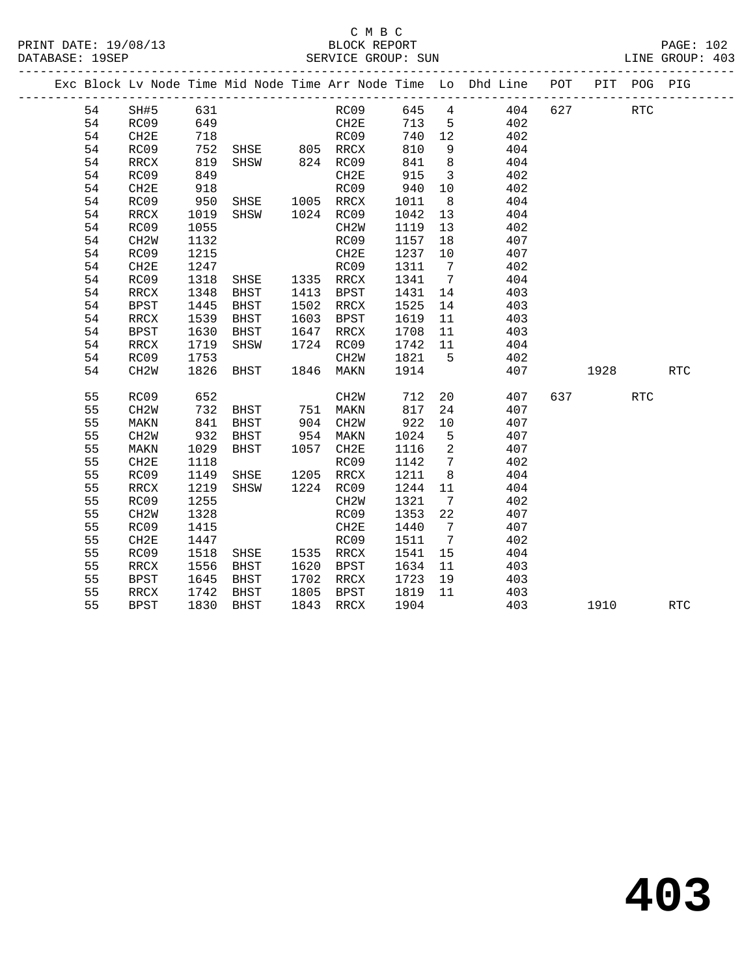### C M B C<br>BLOCK REPORT SERVICE GROUP: SUN

|  |    |                   |      |               |      |                   |      |                              | Exc Block Lv Node Time Mid Node Time Arr Node Time Lo Dhd Line POT |     |      | PIT POG PIG |            |
|--|----|-------------------|------|---------------|------|-------------------|------|------------------------------|--------------------------------------------------------------------|-----|------|-------------|------------|
|  | 54 | SH#5              | 631  |               |      | RC09              | 645  |                              | 4 4 4 0 4                                                          | 627 |      | <b>RTC</b>  |            |
|  | 54 | RC09              | 649  |               |      | CH2E              | 713  | $5^{\circ}$                  | 402                                                                |     |      |             |            |
|  | 54 | CH2E              | 718  |               |      | RC09              | 740  | 12                           | 402                                                                |     |      |             |            |
|  | 54 | RC09              | 752  | SHSE 805 RRCX |      |                   | 810  | 9                            | 404                                                                |     |      |             |            |
|  | 54 | RRCX              | 819  | SHSW          |      | 824 RC09          | 841  | 8 <sup>8</sup>               | 404                                                                |     |      |             |            |
|  | 54 | RC09              | 849  |               |      | CH2E              | 915  | $\overline{\mathbf{3}}$      | 402                                                                |     |      |             |            |
|  | 54 | CH2E              | 918  |               |      | RC09              | 940  | 10                           | 402                                                                |     |      |             |            |
|  | 54 | RC09              | 950  | SHSE          |      | 1005 RRCX         | 1011 | 8 <sup>8</sup>               | 404                                                                |     |      |             |            |
|  | 54 | RRCX              | 1019 | SHSW          |      | 1024 RC09         | 1042 | 13                           | 404                                                                |     |      |             |            |
|  | 54 | RC09              | 1055 |               |      | CH <sub>2</sub> W | 1119 | 13                           | 402                                                                |     |      |             |            |
|  | 54 | CH <sub>2</sub> W | 1132 |               |      | RC09              | 1157 | 18                           | 407                                                                |     |      |             |            |
|  | 54 | RC09              | 1215 |               |      | CH2E              | 1237 | 10                           | 407                                                                |     |      |             |            |
|  | 54 | CH2E              | 1247 |               |      | RC09              | 1311 | $\overline{7}$               | 402                                                                |     |      |             |            |
|  | 54 | RC09              | 1318 | SHSE          |      | 1335 RRCX         | 1341 | $7\overline{ }$              | 404                                                                |     |      |             |            |
|  | 54 | <b>RRCX</b>       | 1348 | BHST          |      | 1413 BPST         | 1431 | 14                           | 403                                                                |     |      |             |            |
|  | 54 | BPST              | 1445 | BHST          |      | 1502 RRCX         | 1525 | 14                           | 403                                                                |     |      |             |            |
|  | 54 | RRCX              | 1539 | BHST          | 1603 | BPST              | 1619 | 11                           | 403                                                                |     |      |             |            |
|  | 54 | <b>BPST</b>       | 1630 | BHST          | 1647 | RRCX              | 1708 | 11                           | 403                                                                |     |      |             |            |
|  | 54 | RRCX              | 1719 | SHSW          | 1724 | RC09              | 1742 | 11                           | 404                                                                |     |      |             |            |
|  | 54 | RC09              | 1753 |               |      | CH <sub>2</sub> W | 1821 | $5^{\circ}$                  | 402                                                                |     |      |             |            |
|  | 54 | CH <sub>2</sub> W | 1826 | BHST          | 1846 | MAKN              | 1914 |                              | 407                                                                |     | 1928 |             | <b>RTC</b> |
|  | 55 | RC09              | 652  |               |      | CH <sub>2</sub> W | 712  | 20                           | 407                                                                | 637 |      | <b>RTC</b>  |            |
|  | 55 | CH <sub>2</sub> W | 732  | BHST          |      | 751 MAKN          | 817  | 24                           | 407                                                                |     |      |             |            |
|  | 55 | MAKN              | 841  | BHST          | 904  | CH2W              | 922  | 10                           | 407                                                                |     |      |             |            |
|  | 55 | CH <sub>2</sub> W | 932  | BHST          |      | 954 MAKN          | 1024 | $5^{\circ}$                  | 407                                                                |     |      |             |            |
|  | 55 | MAKN              | 1029 | BHST          | 1057 | CH2E              | 1116 | 2                            | 407                                                                |     |      |             |            |
|  | 55 | CH2E              | 1118 |               |      | RC09              | 1142 | $7\overline{ }$              | 402                                                                |     |      |             |            |
|  | 55 | RC09              | 1149 | SHSE          |      | 1205 RRCX         | 1211 | 8                            | 404                                                                |     |      |             |            |
|  | 55 | RRCX              | 1219 | SHSW          |      | 1224 RC09         | 1244 | 11                           | 404                                                                |     |      |             |            |
|  | 55 | RC09              | 1255 |               |      | CH <sub>2</sub> W | 1321 | $7\phantom{.0}\phantom{.0}7$ | 402                                                                |     |      |             |            |
|  | 55 | CH <sub>2</sub> W | 1328 |               |      | RC09              | 1353 | 22                           | 407                                                                |     |      |             |            |
|  | 55 | RC09              | 1415 |               |      | CH2E              | 1440 | $\overline{7}$               | 407                                                                |     |      |             |            |
|  | 55 | CH2E              | 1447 |               |      | RC09              | 1511 | $\overline{7}$               | 402                                                                |     |      |             |            |
|  | 55 | RC09              | 1518 | SHSE          |      | 1535 RRCX         | 1541 | 15                           | 404                                                                |     |      |             |            |
|  | 55 | RRCX              | 1556 | BHST          | 1620 | BPST              | 1634 | 11                           | 403                                                                |     |      |             |            |
|  | 55 | <b>BPST</b>       | 1645 | BHST          |      | 1702 RRCX         | 1723 | 19                           | 403                                                                |     |      |             |            |

55 BPST 1830 BHST 1843 RRCX 1904 403 1910 RTC

55 RRCX 1742 BHST 1805 BPST 1819 11 403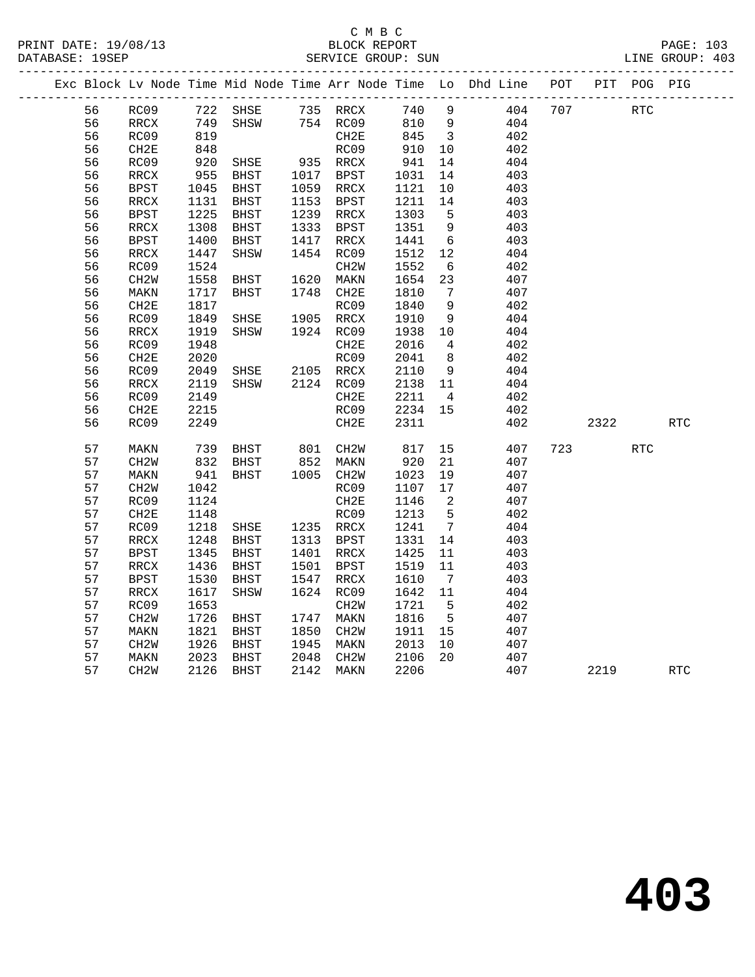#### C M B C<br>BLOCK REPORT SERVICE GROUP: SUN

PRINT DATE: 19/08/13 BLOCK REPORT PAGE: 103

|    |    |                   |      |                |      |                   |      |                            | Exc Block Lv Node Time Mid Node Time Arr Node Time Lo Dhd Line | POT |      | PIT POG PIG |            |
|----|----|-------------------|------|----------------|------|-------------------|------|----------------------------|----------------------------------------------------------------|-----|------|-------------|------------|
|    | 56 | RC09              | 722  | SHSE           |      | 735 RRCX          | 740  | 9                          | 404                                                            | 707 |      | <b>RTC</b>  |            |
|    | 56 | RRCX              | 749  | SHSW           |      | 754 RC09          | 810  | $\overline{9}$             | 404                                                            |     |      |             |            |
|    | 56 | RC09              | 819  |                |      | CH2E              | 845  | $\overline{\phantom{a}}$   | 402                                                            |     |      |             |            |
| 56 |    | CH2E              | 848  |                |      | RC09              | 910  | 10                         | 402                                                            |     |      |             |            |
| 56 |    | RC09              | 920  | SHSE           |      | 935 RRCX          | 941  | 14                         | 404                                                            |     |      |             |            |
|    | 56 | RRCX              | 955  | BHST           | 1017 | BPST              | 1031 | 14                         | 403                                                            |     |      |             |            |
| 56 |    | BPST              | 1045 | BHST           | 1059 | RRCX              | 1121 | 10                         | 403                                                            |     |      |             |            |
|    | 56 | RRCX              | 1131 | BHST           | 1153 | BPST              | 1211 | 14                         | 403                                                            |     |      |             |            |
|    | 56 | <b>BPST</b>       | 1225 | BHST           | 1239 | RRCX              | 1303 | 5                          | 403                                                            |     |      |             |            |
|    | 56 | RRCX              | 1308 | BHST           | 1333 | BPST              | 1351 | - 9                        | 403                                                            |     |      |             |            |
|    | 56 | <b>BPST</b>       | 1400 | BHST           | 1417 | RRCX              | 1441 | $6\overline{6}$            | 403                                                            |     |      |             |            |
| 56 |    | RRCX              | 1447 | SHSW           | 1454 | RC09              | 1512 | 12                         | 404                                                            |     |      |             |            |
|    | 56 | RC09              | 1524 |                |      | CH <sub>2</sub> W | 1552 | 6                          | 402                                                            |     |      |             |            |
|    | 56 | CH <sub>2</sub> W | 1558 | BHST           | 1620 | MAKN              | 1654 | 23                         | 407                                                            |     |      |             |            |
|    | 56 | MAKN              | 1717 | BHST           |      | 1748 CH2E         | 1810 | $\overline{7}$             | 407                                                            |     |      |             |            |
|    | 56 | CH2E              | 1817 |                |      | RC09              | 1840 | 9                          | 402                                                            |     |      |             |            |
|    | 56 | RC09              | 1849 | SHSE           |      | 1905 RRCX         | 1910 | - 9                        | 404                                                            |     |      |             |            |
|    | 56 | RRCX              | 1919 | SHSW           |      | 1924 RC09         | 1938 | 10                         | 404                                                            |     |      |             |            |
|    | 56 | RC09              | 1948 |                |      | CH2E              | 2016 | $\overline{4}$             | 402                                                            |     |      |             |            |
|    | 56 | CH2E              | 2020 |                |      | RC09              | 2041 | 8 <sup>8</sup>             | 402                                                            |     |      |             |            |
|    | 56 | RC09              | 2049 | SHSE           |      | 2105 RRCX         | 2110 | 9                          | 404                                                            |     |      |             |            |
|    | 56 | RRCX              | 2119 | SHSW           |      | 2124 RC09         | 2138 | 11                         | 404                                                            |     |      |             |            |
|    | 56 | RC09              | 2149 |                |      | CH2E              | 2211 | $\overline{4}$             | 402                                                            |     |      |             |            |
|    | 56 | CH2E              | 2215 |                |      | RC09              | 2234 | 15                         | 402                                                            |     |      |             |            |
|    | 56 | RC09              | 2249 |                |      | CH2E              | 2311 |                            | 402                                                            |     | 2322 |             | RTC        |
|    | 57 | MAKN              | 739  | BHST 801 CH2W  |      |                   | 817  | 15                         | 407                                                            | 723 |      | <b>RTC</b>  |            |
|    | 57 | CH <sub>2</sub> W | 832  | BHST           |      | 852 MAKN          | 920  | 21                         | 407                                                            |     |      |             |            |
|    | 57 | MAKN              | 941  | BHST           |      | 1005 CH2W         | 1023 | 19                         | 407                                                            |     |      |             |            |
|    | 57 | CH <sub>2</sub> W | 1042 |                |      | RC09              | 1107 | 17                         | 407                                                            |     |      |             |            |
|    | 57 | RC09              | 1124 |                |      | CH2E              | 1146 | $\overline{\phantom{0}}^2$ | 407                                                            |     |      |             |            |
|    | 57 | CH2E              | 1148 |                |      | RC09              | 1213 | $5^{\circ}$                | 402                                                            |     |      |             |            |
|    | 57 | RC09              | 1218 | SHSE 1235 RRCX |      |                   | 1241 | $\overline{7}$             | 404                                                            |     |      |             |            |
|    | 57 | RRCX              | 1248 | <b>BHST</b>    |      | 1313 BPST         | 1331 | 14                         | 403                                                            |     |      |             |            |
|    | 57 | <b>BPST</b>       | 1345 | BHST           |      | 1401 RRCX         | 1425 | 11                         | 403                                                            |     |      |             |            |
|    | 57 | RRCX              | 1436 | BHST           | 1501 | BPST              | 1519 | 11                         | 403                                                            |     |      |             |            |
|    | 57 | <b>BPST</b>       | 1530 | BHST           | 1547 | RRCX              | 1610 | $\overline{7}$             | 403                                                            |     |      |             |            |
|    | 57 | RRCX              | 1617 | SHSW           | 1624 | RC09              | 1642 | 11                         | 404                                                            |     |      |             |            |
|    | 57 | RC09              | 1653 |                |      | CH <sub>2</sub> W | 1721 | $5^{\circ}$                | 402                                                            |     |      |             |            |
|    | 57 | CH2W              | 1726 | BHST           | 1747 | MAKN              | 1816 | $5^{\circ}$                | 407                                                            |     |      |             |            |
|    | 57 | MAKN              | 1821 | BHST           | 1850 | CH <sub>2</sub> W | 1911 | 15                         | 407                                                            |     |      |             |            |
|    | 57 | CH2W              | 1926 | <b>BHST</b>    | 1945 | MAKN              | 2013 | 10                         | 407                                                            |     |      |             |            |
|    | 57 | MAKN              | 2023 | BHST           | 2048 | CH <sub>2</sub> W | 2106 | 20                         | 407                                                            |     |      |             |            |
|    | 57 | CH <sub>2</sub> W | 2126 | BHST           | 2142 | MAKN              | 2206 |                            | 407                                                            |     | 2219 |             | <b>RTC</b> |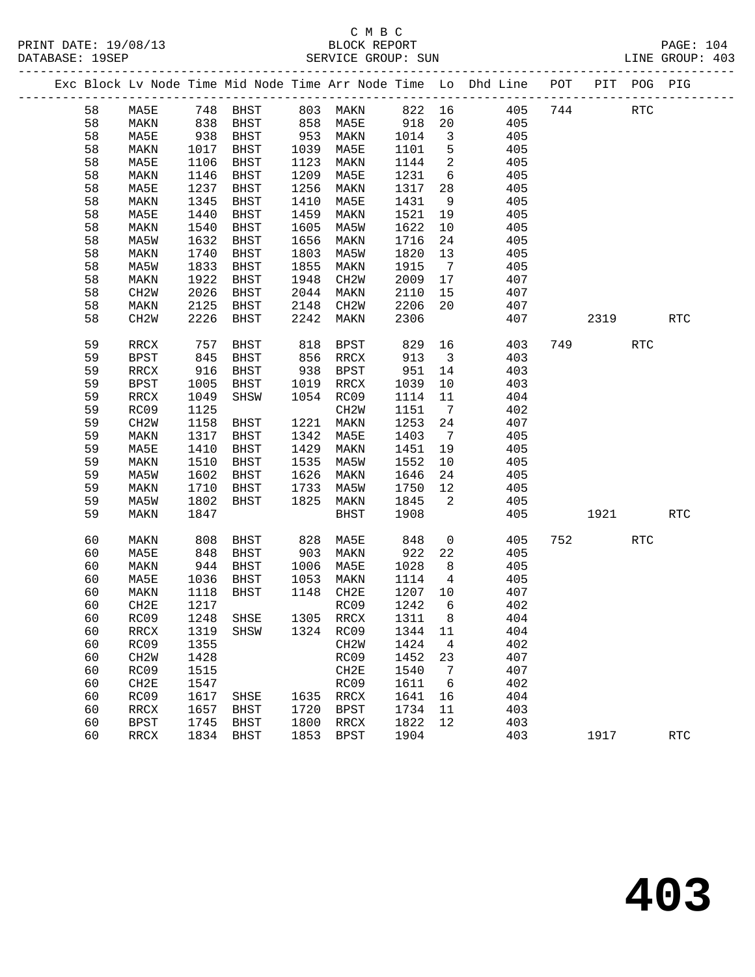|  |          |                     |              |              |              |                  |              |                         | Exc Block Lv Node Time Mid Node Time Arr Node Time Lo Dhd Line POT |     |      | PIT POG PIG |            |
|--|----------|---------------------|--------------|--------------|--------------|------------------|--------------|-------------------------|--------------------------------------------------------------------|-----|------|-------------|------------|
|  | 58       | MA5E                |              |              |              |                  |              |                         | 822 16 405<br>918 20 405                                           | 744 |      | RTC         |            |
|  | 58       | MAKN                |              |              |              |                  |              |                         | 405                                                                |     |      |             |            |
|  | 58       | MA5E                | 938          | BHST         |              | 953 MAKN         | 1014         | $\overline{\mathbf{3}}$ | 405                                                                |     |      |             |            |
|  | 58       | MAKN                | 1017         | BHST         | 1039         | MA5E             | 1101         | 5                       | 405                                                                |     |      |             |            |
|  | 58       | MA5E                | 1106         | BHST         | 1123         | MAKN             | 1144         | 2                       | 405                                                                |     |      |             |            |
|  | 58       | MAKN                | 1146         | BHST         | 1209         | MA5E             | 1231         | $6\overline{6}$         | 405                                                                |     |      |             |            |
|  | 58       | MA5E                | 1237         | BHST         | 1256         | MAKN             | 1317         | 28                      | 405                                                                |     |      |             |            |
|  | 58       | MAKN                | 1345         | BHST         | 1410         | MA5E             | 1431         | 9                       | 405                                                                |     |      |             |            |
|  | 58       | MA5E                | 1440         | BHST         | 1459         | MAKN             | 1521         | 19                      | 405                                                                |     |      |             |            |
|  | 58       | MAKN                | 1540         | BHST         | 1605         | MA5W             | 1622         | 10                      | 405                                                                |     |      |             |            |
|  | 58       | MA5W                | 1632         | BHST         | 1656         | MAKN             | 1716         | 24                      | 405                                                                |     |      |             |            |
|  | 58       | MAKN                | 1740         | BHST         | 1803         | MA5W             | 1820         | 13                      | 405                                                                |     |      |             |            |
|  | 58       | MA5W                | 1833         | <b>BHST</b>  | 1855         | MAKN             | 1915         | $\overline{7}$          | 405                                                                |     |      |             |            |
|  | 58       | MAKN                | 1922         | BHST         | 1948         | CH2W             | 2009         | 17                      | 407                                                                |     |      |             |            |
|  | 58       | CH2W                | 2026         | <b>BHST</b>  | 2044         | MAKN             | 2110         | 15                      | 407                                                                |     |      |             |            |
|  | 58       | MAKN                | 2125         | BHST         | 2148         | CH2W             | 2206         | 20                      | 407                                                                |     |      |             |            |
|  | 58       | CH <sub>2</sub> M   | 2226         | BHST         | 2242         | MAKN             | 2306         |                         | 407                                                                |     | 2319 |             | <b>RTC</b> |
|  | 59       | RRCX                | 757          | BHST         | 818          | BPST             | 829          | 16                      | 403                                                                |     | 749  | RTC         |            |
|  | 59       | <b>BPST</b>         | 845          | BHST         | 856          | RRCX             | 913          | $\overline{\mathbf{3}}$ | 403                                                                |     |      |             |            |
|  | 59       | RRCX                | 916          | BHST         | 938          | BPST             | 951          | 14                      | 403                                                                |     |      |             |            |
|  | 59       | <b>BPST</b>         | 1005         | BHST         | 1019         | RRCX             | 1039         | 10                      | 403                                                                |     |      |             |            |
|  | 59       | RRCX                | 1049         | SHSW         |              | 1054 RC09        | 1114         | 11                      | 404                                                                |     |      |             |            |
|  | 59       | RC09                | 1125         |              |              | CH2W             | 1151         | $\overline{7}$          | 402                                                                |     |      |             |            |
|  | 59       | CH <sub>2</sub> M   | 1158         | BHST         | 1221         | MAKN             | 1253         | 24                      | 407                                                                |     |      |             |            |
|  | 59       | MAKN                | 1317         | BHST         | 1342         | MA5E             | 1403         | $\overline{7}$          | 405                                                                |     |      |             |            |
|  | 59       | MA5E                | 1410         | BHST         | 1429         | MAKN             | 1451         | 19                      | 405                                                                |     |      |             |            |
|  | 59       | MAKN                | 1510         | BHST         | 1535         | MA5W             | 1552         | 10                      | 405                                                                |     |      |             |            |
|  | 59       | MA5W                | 1602         | BHST         | 1626         | MAKN             | 1646         | 24                      | 405                                                                |     |      |             |            |
|  | 59       | MAKN                | 1710         | BHST         | 1733         | MA5W             | 1750         | 12                      | 405                                                                |     |      |             |            |
|  | 59       | MA5W                | 1802         | BHST         | 1825         | MAKN             | 1845         | $\overline{2}$          | 405                                                                |     |      |             |            |
|  | 59       | MAKN                | 1847         |              |              | <b>BHST</b>      | 1908         |                         | 405                                                                |     | 1921 |             | <b>RTC</b> |
|  | 60       | MAKN                | 808          | BHST         | 828<br>903   | MA5E             | 848          | $\overline{0}$          | 405                                                                |     | 752  | RTC         |            |
|  | 60       | MA5E                | 848          | BHST         |              | MAKN             | 922          | 22                      | 405                                                                |     |      |             |            |
|  | 60       | MAKN                | 944          | BHST         | 1006         | MA5E             | 1028         | 8 <sup>8</sup>          | 405                                                                |     |      |             |            |
|  | 60       | MA5E                | 1036         | BHST         | 1053         | MAKN             | 1114         | $\overline{4}$          | 405                                                                |     |      |             |            |
|  | 60       | MAKN                | 1118         | BHST         |              | 1148 CH2E        | 1207         | 10                      | 407                                                                |     |      |             |            |
|  | 60       | CH2E                | 1217         |              |              | RC09             | 1242         | 6                       | 402                                                                |     |      |             |            |
|  | 60       | RC09 1248 SHSE      |              |              |              | 1305 RRCX 1311 8 |              |                         | 404                                                                |     |      |             |            |
|  | 60       | RRCX                | 1319         | SHSW         |              | 1324 RC09        | 1344         | 11                      | 404                                                                |     |      |             |            |
|  | 60       | RC09                | 1355         |              |              | CH2W             | 1424         | 4                       | 402                                                                |     |      |             |            |
|  | 60       | CH2W                | 1428         |              |              | RC09             | 1452         | 23<br>$\overline{7}$    | 407                                                                |     |      |             |            |
|  | 60       | RC09                | 1515<br>1547 |              |              | CH2E<br>RC09     | 1540<br>1611 |                         | 407<br>402                                                         |     |      |             |            |
|  | 60       | CH2E                |              |              |              |                  |              | 6                       |                                                                    |     |      |             |            |
|  | 60<br>60 | RC09                | 1617<br>1657 | SHSE         | 1635<br>1720 | RRCX             | 1641         | 16<br>11                | 404<br>403                                                         |     |      |             |            |
|  | 60       | RRCX<br><b>BPST</b> | 1745         | BHST<br>BHST | 1800         | BPST<br>RRCX     | 1734<br>1822 | 12                      | 403                                                                |     |      |             |            |
|  | 60       | <b>RRCX</b>         | 1834         | BHST         | 1853         | BPST             | 1904         |                         | 403                                                                |     | 1917 |             | <b>RTC</b> |
|  |          |                     |              |              |              |                  |              |                         |                                                                    |     |      |             |            |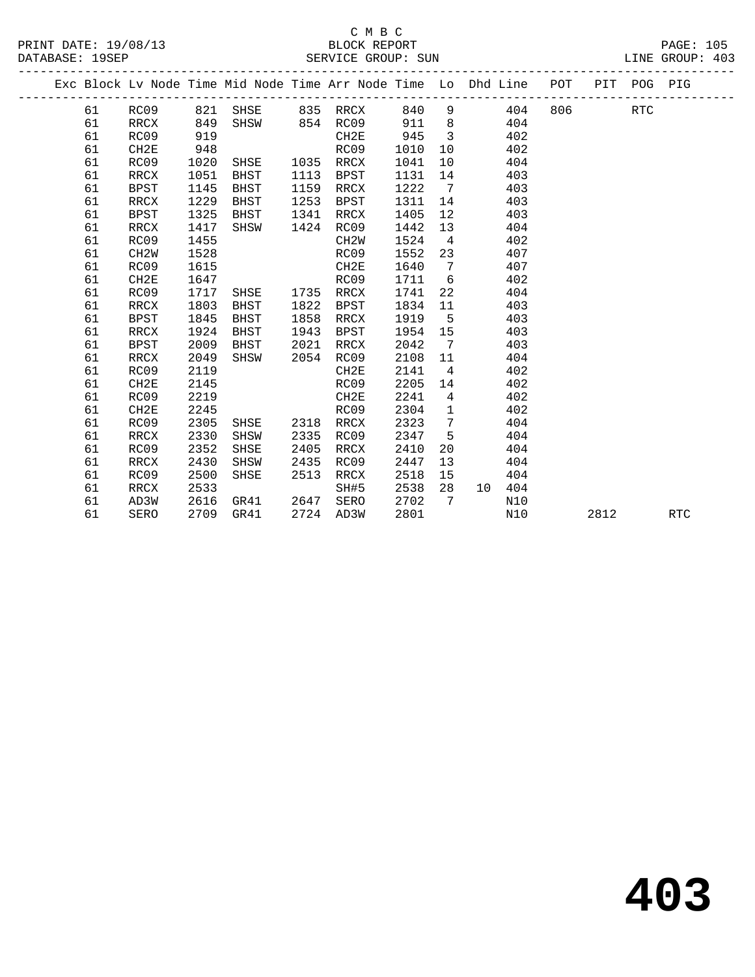#### C M B C<br>BLOCK REPORT SERVICE GROUP: SUN

| Exc Block Lv Node Time Mid Node Time Arr Node Time Lo Dhd Line POT PIT POG PIG |                   |      |                                  |      |                         |           |                 |                                 |     |     |      |            |            |  |
|--------------------------------------------------------------------------------|-------------------|------|----------------------------------|------|-------------------------|-----------|-----------------|---------------------------------|-----|-----|------|------------|------------|--|
| 61                                                                             |                   |      | RC09 821 SHSE 835 RRCX 840 9 404 |      |                         |           |                 |                                 |     | 806 |      | <b>RTC</b> |            |  |
| 61                                                                             | RRCX              | 849  |                                  |      | SHSW 854 RC09 911 8 404 |           |                 |                                 |     |     |      |            |            |  |
| 61                                                                             | RC09              | 919  |                                  |      | CH2E                    | 945 3 402 |                 |                                 |     |     |      |            |            |  |
| 61                                                                             | CH2E              | 948  |                                  |      | RC09                    | 1010      |                 | 10 402                          |     |     |      |            |            |  |
| 61                                                                             | RC09              | 1020 | SHSE 1035                        |      | RRCX                    | 1041      |                 | 10 404                          |     |     |      |            |            |  |
| 61                                                                             | RRCX              | 1051 | <b>BHST</b>                      | 1113 | BPST                    | 1131      |                 | 14 and $\overline{a}$           | 403 |     |      |            |            |  |
| 61                                                                             | <b>BPST</b>       | 1145 | BHST                             | 1159 | RRCX                    | 1222      | $7\overline{7}$ | 403                             |     |     |      |            |            |  |
| 61                                                                             | RRCX              | 1229 | BHST                             | 1253 | BPST                    | 1311      | 14              |                                 | 403 |     |      |            |            |  |
| 61                                                                             | <b>BPST</b>       | 1325 | BHST                             | 1341 | RRCX                    | 1405      |                 | 12                              | 403 |     |      |            |            |  |
| 61                                                                             | RRCX              | 1417 | SHSW                             | 1424 | RC09                    | 1442      |                 | 13                              | 404 |     |      |            |            |  |
| 61                                                                             | RC09              | 1455 |                                  |      | CH2W                    | 1524      |                 | $4\overline{ }$                 | 402 |     |      |            |            |  |
| 61                                                                             | CH <sub>2</sub> W | 1528 |                                  |      | RC09                    | 1552      |                 | 23 and $\sim$                   | 407 |     |      |            |            |  |
| 61                                                                             | RC09              | 1615 |                                  |      | CH2E                    |           |                 | 1640 7                          | 407 |     |      |            |            |  |
| 61                                                                             | CH2E              | 1647 |                                  |      | RC09                    |           |                 | 1711 6                          | 402 |     |      |            |            |  |
| 61                                                                             | RC09              | 1717 | SHSE 1735 RRCX                   |      |                         | 1741      |                 | 22                              | 404 |     |      |            |            |  |
| 61                                                                             | RRCX              | 1803 | BHST                             |      | 1822 BPST               | 1834      | 11              |                                 | 403 |     |      |            |            |  |
| 61                                                                             | BPST              | 1845 | BHST                             | 1858 | RRCX                    |           |                 | 1919 5 403                      |     |     |      |            |            |  |
| 61                                                                             | RRCX              | 1924 | BHST                             | 1943 | BPST                    |           |                 | 1954 15 403                     |     |     |      |            |            |  |
| 61                                                                             | <b>BPST</b>       | 2009 | BHST                             | 2021 | RRCX                    | 2042      |                 | 7 403                           |     |     |      |            |            |  |
| 61                                                                             | RRCX              | 2049 | SHSW                             | 2054 | RC09                    | 2108      |                 | 11                              | 404 |     |      |            |            |  |
| 61                                                                             | RC09              | 2119 |                                  |      | CH2E                    | 2141      |                 | $4\overline{ }$                 | 402 |     |      |            |            |  |
| 61                                                                             | CH2E              | 2145 |                                  |      | RC09                    | 2205      |                 | 14 and $\overline{a}$           | 402 |     |      |            |            |  |
| 61                                                                             | RC09              | 2219 |                                  |      | CH2E                    | 2241      | $\overline{4}$  |                                 | 402 |     |      |            |            |  |
| 61                                                                             | CH2E              | 2245 |                                  |      | RC09                    | 2304 1    |                 |                                 | 402 |     |      |            |            |  |
| 61                                                                             | RC09              | 2305 | SHSE 2318                        |      | RRCX                    | 2323      | $7\overline{)}$ |                                 | 404 |     |      |            |            |  |
| 61                                                                             | RRCX              | 2330 | SHSW                             | 2335 | RC09                    | 2347      | 5 <sup>5</sup>  |                                 | 404 |     |      |            |            |  |
| 61                                                                             | RC09              | 2352 | SHSE                             | 2405 | RRCX                    | 2410      |                 | 20                              | 404 |     |      |            |            |  |
| 61                                                                             | RRCX              | 2430 | SHSW                             | 2435 | RC09                    | 2447      |                 | 13 and $\overline{\phantom{a}}$ | 404 |     |      |            |            |  |
| 61                                                                             | RC09              | 2500 | SHSE                             | 2513 | RRCX                    | 2518      |                 | 15                              | 404 |     |      |            |            |  |
| 61                                                                             | RRCX              | 2533 |                                  |      | SH#5                    | 2538      | 28              | 10 404                          |     |     |      |            |            |  |
| 61                                                                             | AD3W              | 2616 | GR41 2647 SERO                   |      |                         | 2702      | $\overline{7}$  |                                 | N10 |     |      |            |            |  |
| 61                                                                             | SERO              |      | 2709 GR41                        |      | 2724 AD3W               | 2801      |                 |                                 | N10 |     | 2812 |            | <b>RTC</b> |  |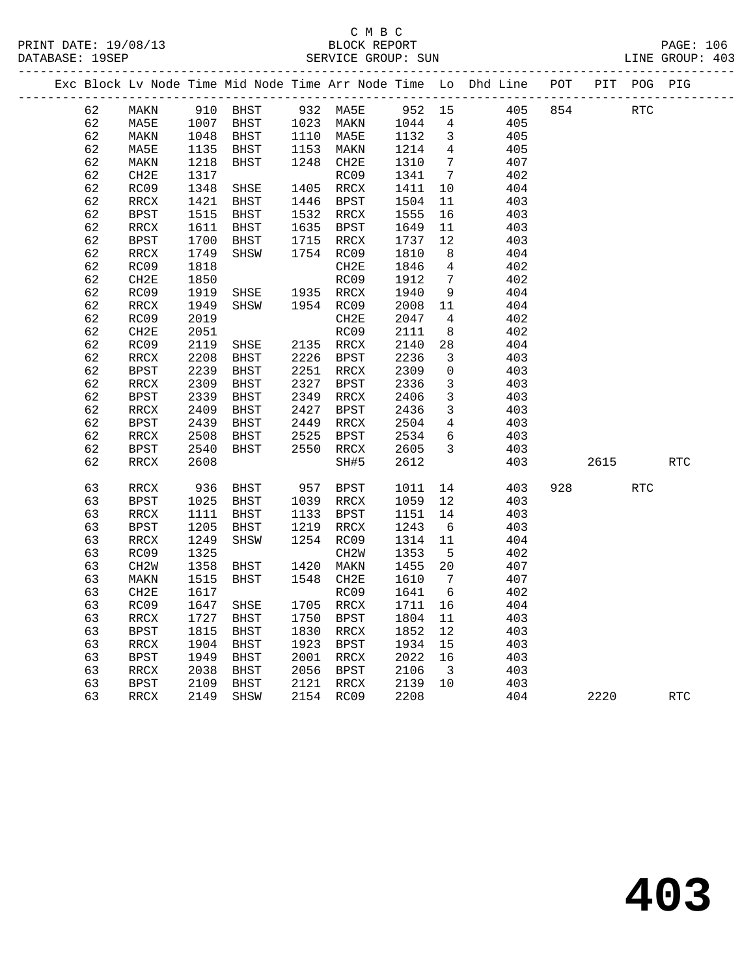|  |          |                   |              |                     |              |                   |              |                         | Exc Block Lv Node Time Mid Node Time Arr Node Time Lo Dhd Line | POT | PIT  | POG PIG    |            |
|--|----------|-------------------|--------------|---------------------|--------------|-------------------|--------------|-------------------------|----------------------------------------------------------------|-----|------|------------|------------|
|  | 62       | MAKN              |              | 910 BHST            |              | 932 MA5E          | 952 15       |                         | 405                                                            | 854 |      | <b>RTC</b> |            |
|  | 62       | MA5E              |              | 1007 BHST           |              | 1023 MAKN         | 1044         | $\overline{4}$          | 405                                                            |     |      |            |            |
|  | 62       | MAKN              | 1048         | BHST                |              | 1110 MA5E         | 1132         | $\overline{\mathbf{3}}$ | 405                                                            |     |      |            |            |
|  | 62       | MA5E              | 1135         | BHST                |              | 1153 MAKN         | 1214         | $\overline{4}$          | 405                                                            |     |      |            |            |
|  | 62       | MAKN              | 1218         | BHST                |              | 1248 CH2E         | 1310         | $\overline{7}$          | 407                                                            |     |      |            |            |
|  | 62       | CH <sub>2E</sub>  | 1317         |                     |              | RC09              | 1341         | $\overline{7}$          | 402                                                            |     |      |            |            |
|  | 62       | RC09              | 1348         | SHSE                |              | 1405 RRCX         | 1411         | 10                      | 404                                                            |     |      |            |            |
|  | 62       | RRCX              | 1421         | BHST                | 1446         | BPST              | 1504         | 11                      | 403                                                            |     |      |            |            |
|  | 62       | <b>BPST</b>       | 1515         | BHST                |              | 1532 RRCX         | 1555         | 16                      | 403                                                            |     |      |            |            |
|  | 62       | RRCX              | 1611         | BHST                | 1635         | BPST              | 1649         | 11                      | 403                                                            |     |      |            |            |
|  | 62       | <b>BPST</b>       | 1700         | BHST                |              | 1715 RRCX         | 1737         | 12                      | 403                                                            |     |      |            |            |
|  | 62       | RRCX              | 1749         | SHSW                |              | 1754 RC09         | 1810         | 8                       | 404                                                            |     |      |            |            |
|  | 62       | RC09              | 1818         |                     |              | CH <sub>2E</sub>  | 1846         | $\overline{4}$          | 402                                                            |     |      |            |            |
|  | 62       | CH2E              | 1850         |                     |              | RC09              | 1912         | $\overline{7}$          | 402                                                            |     |      |            |            |
|  | 62       | RC09              | 1919         | SHSE                |              | 1935 RRCX         | 1940         | 9                       | 404                                                            |     |      |            |            |
|  | 62       | RRCX              | 1949         | SHSW                |              | 1954 RC09         | 2008         | 11                      | 404                                                            |     |      |            |            |
|  | 62       | RC09              | 2019         |                     |              | CH2E              | 2047         | $\overline{4}$          | 402                                                            |     |      |            |            |
|  | 62<br>62 | CH2E              | 2051<br>2119 |                     |              | RC09<br>2135 RRCX | 2111         | 8<br>28                 | 402<br>404                                                     |     |      |            |            |
|  | 62       | RC09<br>RRCX      | 2208         | SHSE<br><b>BHST</b> |              | 2226 BPST         | 2140<br>2236 | 3                       | 403                                                            |     |      |            |            |
|  | 62       | <b>BPST</b>       | 2239         | <b>BHST</b>         |              | 2251 RRCX         | 2309         | $\mathbf 0$             | 403                                                            |     |      |            |            |
|  | 62       | RRCX              | 2309         | BHST                | 2327         | BPST              | 2336         | $\mathbf{3}$            | 403                                                            |     |      |            |            |
|  | 62       | <b>BPST</b>       | 2339         | BHST                | 2349         | RRCX              | 2406         | $\overline{3}$          | 403                                                            |     |      |            |            |
|  | 62       | RRCX              | 2409         | BHST                | 2427         | BPST              | 2436         | $\overline{3}$          | 403                                                            |     |      |            |            |
|  | 62       | <b>BPST</b>       | 2439         | <b>BHST</b>         | 2449         | RRCX              | 2504         | $\overline{4}$          | 403                                                            |     |      |            |            |
|  | 62       | RRCX              | 2508         | BHST                | 2525         | BPST              | 2534         | 6                       | 403                                                            |     |      |            |            |
|  | 62       | <b>BPST</b>       | 2540         | BHST                | 2550         | RRCX              | 2605         | 3                       | 403                                                            |     |      |            |            |
|  | 62       | RRCX              | 2608         |                     |              | SH#5              | 2612         |                         | 403                                                            |     | 2615 |            | <b>RTC</b> |
|  |          |                   |              |                     |              |                   |              |                         |                                                                |     |      |            |            |
|  | 63       | RRCX              | 936          | BHST                | 957          | <b>BPST</b>       | 1011         | 14                      | 403                                                            | 928 |      | <b>RTC</b> |            |
|  | 63       | <b>BPST</b>       | 1025         | BHST                | 1039         | RRCX              | 1059         | 12                      | 403                                                            |     |      |            |            |
|  | 63       | RRCX              | 1111         | BHST                | 1133         | BPST              | 1151         | 14                      | 403                                                            |     |      |            |            |
|  | 63       | <b>BPST</b>       | 1205         | BHST                | 1219         | RRCX              | 1243         | - 6                     | 403                                                            |     |      |            |            |
|  | 63       | RRCX              | 1249         | SHSW                | 1254         | RC09              | 1314         | 11                      | 404                                                            |     |      |            |            |
|  | 63       | RC09              | 1325         |                     |              | CH2W              | 1353         | $-5$                    | 402                                                            |     |      |            |            |
|  | 63       | CH <sub>2</sub> M | 1358         | BHST                | 1420         | MAKN              | 1455         | 20                      | 407                                                            |     |      |            |            |
|  | 63       | MAKN              | 1515         | BHST                | 1548         | CH2E              | 1610         | $\overline{7}$          | 407                                                            |     |      |            |            |
|  | 63       | CH <sub>2E</sub>  | 1617         |                     |              | RC09              | 1641         | 6                       | 402                                                            |     |      |            |            |
|  | 63<br>63 | RC09              | 1647<br>1727 | SHSE                | 1705         | RRCX              | 1711         | 16                      | 404                                                            |     |      |            |            |
|  |          | RRCX              | 1815         | BHST                | 1750<br>1830 | BPST              | 1804         | 11                      | 403                                                            |     |      |            |            |
|  | 63<br>63 | <b>BPST</b>       | 1904         | BHST<br>BHST        | 1923         | RRCX<br>BPST      | 1852<br>1934 | 12<br>15                | 403<br>403                                                     |     |      |            |            |
|  | 63       | RRCX<br>BPST      | 1949         | <b>BHST</b>         | 2001         | RRCX              | 2022         | 16                      | 403                                                            |     |      |            |            |
|  | 63       | RRCX              | 2038         | <b>BHST</b>         | 2056         | BPST              | 2106         | $\overline{\mathbf{3}}$ | 403                                                            |     |      |            |            |
|  | 63       | <b>BPST</b>       | 2109         | BHST                | 2121         | RRCX              | 2139         | 10                      | 403                                                            |     |      |            |            |
|  | 63       | RRCX              | 2149         | SHSW                | 2154         | RC09              | 2208         |                         | 404                                                            |     | 2220 |            | <b>RTC</b> |
|  |          |                   |              |                     |              |                   |              |                         |                                                                |     |      |            |            |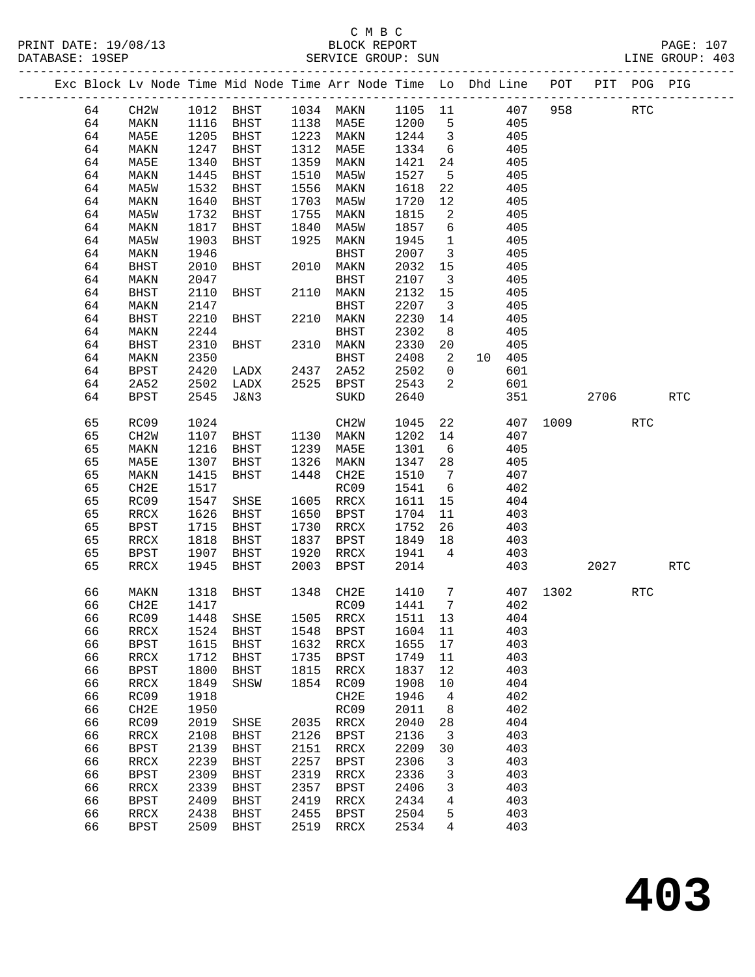#### C M B C<br>BLOCK REPORT DATABASE: 19SEP SERVICE GROUP: SUN LINE GROUP: 403

------------------------------------------------------------------------------------------------- Exc Block Lv Node Time Mid Node Time Arr Node Time Lo Dhd Line POT PIT POG PIG -------------------------------------------------------------------------------------------------

| 64 | CH2W          | 1012 | <b>BHST</b>     | 1034      | MAKN                     | 1105 | 11              |    | 407 | 958  |      | RTC |            |
|----|---------------|------|-----------------|-----------|--------------------------|------|-----------------|----|-----|------|------|-----|------------|
| 64 | MAKN          | 1116 | <b>BHST</b>     | 1138      | MA5E                     | 1200 | 5               |    | 405 |      |      |     |            |
| 64 | MA5E          | 1205 | <b>BHST</b>     | 1223      | MAKN                     | 1244 | 3               |    | 405 |      |      |     |            |
| 64 | MAKN          | 1247 | <b>BHST</b>     | 1312      | MA5E                     | 1334 | 6               |    | 405 |      |      |     |            |
| 64 | MA5E          | 1340 | <b>BHST</b>     | 1359      | MAKN                     | 1421 | 24              |    | 405 |      |      |     |            |
| 64 | MAKN          | 1445 | <b>BHST</b>     | 1510      | MA5W                     | 1527 | 5               |    | 405 |      |      |     |            |
| 64 | MA5W          | 1532 | <b>BHST</b>     | 1556      | MAKN                     | 1618 | 22              |    | 405 |      |      |     |            |
| 64 | MAKN          | 1640 | <b>BHST</b>     | 1703      | MA5W                     | 1720 | $12$            |    | 405 |      |      |     |            |
| 64 | MA5W          | 1732 | <b>BHST</b>     | 1755      | MAKN                     | 1815 | $\sqrt{2}$      |    | 405 |      |      |     |            |
| 64 | MAKN          | 1817 |                 | 1840      | MA5W                     | 1857 |                 |    | 405 |      |      |     |            |
|    |               |      | <b>BHST</b>     |           |                          |      | 6               |    |     |      |      |     |            |
| 64 | MA5W          | 1903 | <b>BHST</b>     | 1925      | MAKN                     | 1945 | 1               |    | 405 |      |      |     |            |
| 64 | <b>MAKN</b>   | 1946 |                 |           | <b>BHST</b>              | 2007 | 3               |    | 405 |      |      |     |            |
| 64 | <b>BHST</b>   | 2010 | BHST            | 2010      | MAKN                     | 2032 | $15$            |    | 405 |      |      |     |            |
| 64 | MAKN          | 2047 |                 |           | BHST                     | 2107 | $\mathbf{3}$    |    | 405 |      |      |     |            |
| 64 | <b>BHST</b>   | 2110 | <b>BHST</b>     | 2110      | MAKN                     | 2132 | $15$            |    | 405 |      |      |     |            |
| 64 | MAKN          | 2147 |                 |           | <b>BHST</b>              | 2207 | $\mathbf{3}$    |    | 405 |      |      |     |            |
| 64 | <b>BHST</b>   | 2210 | <b>BHST</b>     | 2210      | MAKN                     | 2230 | 14              |    | 405 |      |      |     |            |
| 64 | MAKN          | 2244 |                 |           | <b>BHST</b>              | 2302 | 8               |    | 405 |      |      |     |            |
| 64 | <b>BHST</b>   | 2310 | <b>BHST</b>     | 2310      | MAKN                     | 2330 | 20              |    | 405 |      |      |     |            |
| 64 | MAKN          | 2350 |                 |           | <b>BHST</b>              | 2408 | 2               | 10 | 405 |      |      |     |            |
| 64 | <b>BPST</b>   | 2420 | LADX            | 2437      | 2A52                     | 2502 | 0               |    | 601 |      |      |     |            |
| 64 | 2A52          | 2502 | LADX            | 2525      | <b>BPST</b>              | 2543 | 2               |    | 601 |      |      |     |            |
| 64 | <b>BPST</b>   | 2545 | <b>J&amp;N3</b> |           | SUKD                     | 2640 |                 |    | 351 |      | 2706 |     | <b>RTC</b> |
|    |               |      |                 |           |                          |      |                 |    |     |      |      |     |            |
| 65 | RC09          | 1024 |                 |           | CH <sub>2</sub> M        | 1045 | 22              |    | 407 | 1009 |      | RTC |            |
| 65 | CH2W          | 1107 | <b>BHST</b>     | 1130      | MAKN                     | 1202 | 14              |    | 407 |      |      |     |            |
| 65 | MAKN          | 1216 | <b>BHST</b>     | 1239      | MA5E                     | 1301 | 6               |    | 405 |      |      |     |            |
| 65 | MA5E          | 1307 | <b>BHST</b>     | 1326      | MAKN                     | 1347 | 28              |    | 405 |      |      |     |            |
| 65 | MAKN          | 1415 | <b>BHST</b>     | 1448      | CH2E                     | 1510 | $7\phantom{.0}$ |    | 407 |      |      |     |            |
| 65 | CH2E          | 1517 |                 |           | RC09                     | 1541 | 6               |    | 402 |      |      |     |            |
| 65 | RC09          | 1547 | SHSE            | 1605      | RRCX                     | 1611 | 15              |    | 404 |      |      |     |            |
| 65 | RRCX          | 1626 | $_{\rm BHST}$   | 1650      | <b>BPST</b>              | 1704 | 11              |    | 403 |      |      |     |            |
| 65 |               | 1715 |                 | 1730      |                          | 1752 | 26              |    | 403 |      |      |     |            |
|    | <b>BPST</b>   |      | <b>BHST</b>     |           | RRCX                     |      |                 |    |     |      |      |     |            |
| 65 | RRCX          | 1818 | <b>BHST</b>     | 1837      | BPST                     | 1849 | 18              |    | 403 |      |      |     |            |
| 65 | <b>BPST</b>   | 1907 | <b>BHST</b>     | 1920      | RRCX                     | 1941 | 4               |    | 403 |      |      |     |            |
| 65 | RRCX          | 1945 | <b>BHST</b>     | 2003      | <b>BPST</b>              | 2014 |                 |    | 403 |      | 2027 |     | <b>RTC</b> |
|    |               |      |                 |           |                          |      |                 |    |     |      |      |     |            |
| 66 | MAKN          | 1318 | <b>BHST</b>     | 1348      | CH2E                     | 1410 | 7               |    | 407 | 1302 |      | RTC |            |
| 66 | CH2E          | 1417 |                 |           | RC09                     | 1441 | 7               |    | 402 |      |      |     |            |
| 66 | RC09          | 1448 | SHSE            | 1505      | RRCX                     | 1511 | 13              |    | 404 |      |      |     |            |
| 66 | $\verb!RRCX!$ | 1524 | BHST            | 1548      | <b>BPST</b>              | 1604 | 11              |    | 403 |      |      |     |            |
| 66 | <b>BPST</b>   | 1615 | <b>BHST</b>     | 1632      | RRCX                     | 1655 | 17              |    | 403 |      |      |     |            |
| 66 | RRCX          | 1712 | $_{\rm BHST}$   | 1735      | $_{\rm BPST}$            | 1749 | 11              |    | 403 |      |      |     |            |
| 66 | <b>BPST</b>   | 1800 | BHST            | 1815      | RRCX                     | 1837 | 12              |    | 403 |      |      |     |            |
| 66 | RRCX          | 1849 | SHSW            | 1854 RC09 |                          | 1908 | 10              |    | 404 |      |      |     |            |
| 66 | RC09          | 1918 |                 |           | CH2E                     | 1946 | $\overline{4}$  |    | 402 |      |      |     |            |
| 66 | CH2E          | 1950 |                 |           | RC09                     | 2011 | 8               |    | 402 |      |      |     |            |
| 66 | RC09          | 2019 | SHSE            | 2035      | RRCX                     | 2040 | 28              |    | 404 |      |      |     |            |
| 66 | RRCX          | 2108 | <b>BHST</b>     | 2126      | <b>BPST</b>              | 2136 | $\mathbf{3}$    |    | 403 |      |      |     |            |
| 66 | <b>BPST</b>   | 2139 | BHST            | 2151      | RRCX                     | 2209 | 30              |    | 403 |      |      |     |            |
| 66 | RRCX          | 2239 | <b>BHST</b>     | 2257      | <b>BPST</b>              | 2306 | $\mathbf{3}$    |    | 403 |      |      |     |            |
| 66 | <b>BPST</b>   | 2309 | BHST            | 2319      | $\mathop{\mathrm{RRCX}}$ | 2336 | 3               |    | 403 |      |      |     |            |
| 66 | RRCX          | 2339 | BHST            | 2357      | BPST                     | 2406 | 3               |    | 403 |      |      |     |            |
| 66 | <b>BPST</b>   | 2409 | BHST            | 2419      | RRCX                     | 2434 | $\overline{4}$  |    | 403 |      |      |     |            |
| 66 | RRCX          | 2438 | BHST            | 2455      | BPST                     | 2504 | 5               |    | 403 |      |      |     |            |
| 66 | <b>BPST</b>   | 2509 | <b>BHST</b>     | 2519      | RRCX                     | 2534 | 4               |    | 403 |      |      |     |            |
|    |               |      |                 |           |                          |      |                 |    |     |      |      |     |            |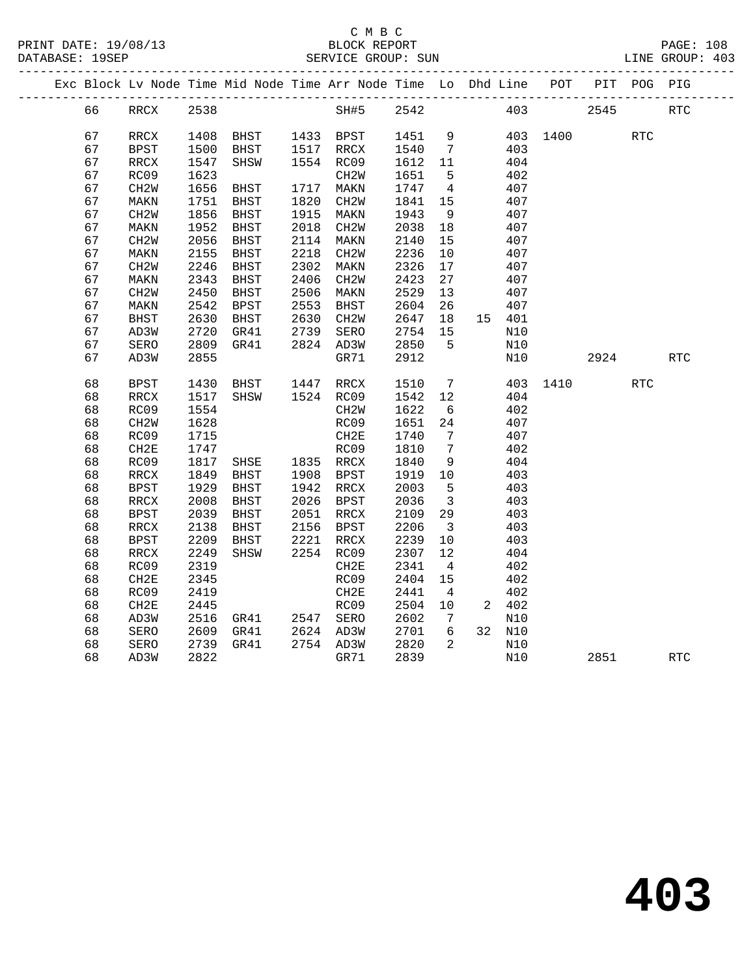## C M B C<br>BLOCK REPORT

|  | DATABASE: 19SEP |                               |      |           |      | SERVICE GROUP: SUN |      |    |                                                                                |              |      | LINE GROUP: 403 |
|--|-----------------|-------------------------------|------|-----------|------|--------------------|------|----|--------------------------------------------------------------------------------|--------------|------|-----------------|
|  |                 |                               |      |           |      |                    |      |    | Exc Block Lv Node Time Mid Node Time Arr Node Time Lo Dhd Line POT PIT POG PIG |              |      |                 |
|  | 66              | ---------------------<br>RRCX |      | 2538 SH#5 |      |                    |      |    | 2542                                                                           | 403          | 2545 | RTC             |
|  | 67              | RRCX                          | 1408 | BHST      | 1433 | BPST               | 1451 | 9  |                                                                                | 403 1400 RTC |      |                 |
|  | 67              | BPST                          | 1500 | BHST      | 1517 | RRCX               | 1540 | 7  | 403                                                                            |              |      |                 |
|  | 67              | RRCX                          | 1547 | SHSW      | 1554 | RC09               | 1612 | 11 | 404                                                                            |              |      |                 |
|  | 67              | RC09                          | 1623 |           |      | CH <sub>2</sub> W  | 1651 | 5  | 402                                                                            |              |      |                 |
|  | 67              | CH2W                          | 1656 | BHST      | 1717 | MAKN               | 1747 | 4  | 407                                                                            |              |      |                 |
|  | 67              | MAKN                          | 1751 | BHST      | 1820 | CH <sub>2</sub> W  | 1841 | 15 | 407                                                                            |              |      |                 |
|  | 67              | CH2W                          | 1856 | BHST      | 1915 | MAKN               | 1943 | 9  | 407                                                                            |              |      |                 |
|  | 67              | MAKN                          | 1952 | BHST      | 2018 | CH <sub>2</sub> W  | 2038 | 18 | 407                                                                            |              |      |                 |
|  | 67              | CH2W                          | 2056 | BHST      | 2114 | MAKN               | 2140 | 15 | 407                                                                            |              |      |                 |
|  | 67              | MAKN                          | 2155 | BHST      | 2218 | CH <sub>2</sub> W  | 2236 | 10 | 407                                                                            |              |      |                 |
|  | 67              | CH <sub>2</sub> W             | 2246 | BHST      | 2302 | MAKN               | 2326 | 17 | 407                                                                            |              |      |                 |
|  | 67              | MAKN                          | 2343 | BHST      | 2406 | CH <sub>2</sub> W  | 2423 | 27 | 407                                                                            |              |      |                 |
|  | 67              | CH2W                          | 2450 | BHST      | 2506 | MAKN               | 2529 | 13 | 407                                                                            |              |      |                 |
|  | 67              | MAKN                          | 2542 | BPST      | 2553 | BHST               | 2604 | 26 | 407                                                                            |              |      |                 |
|  | 67              | BHST                          | 2630 | BHST      | 2630 | CH <sub>2</sub> W  | 2647 | 18 | 15<br>401                                                                      |              |      |                 |
|  | 67              | AD3W                          | 2720 | GR41      | 2739 | SERO               | 2754 | 15 | N10                                                                            |              |      |                 |
|  | 67              | SERO                          | 2809 | GR41      | 2824 | AD3W               | 2850 | 5  | N10                                                                            |              |      |                 |
|  | 67              | AD3W                          | 2855 |           |      | GR71               | 2912 |    | N10                                                                            |              | 2924 | RTC             |
|  |                 |                               |      |           |      |                    |      |    |                                                                                |              |      |                 |

|    | ◡∸∸◟              |      | <b>UILIL</b> | 2021 P | 2 22 U V V        | ---  |    |    |     |      |      |     |            |
|----|-------------------|------|--------------|--------|-------------------|------|----|----|-----|------|------|-----|------------|
| 67 | AD3W              | 2855 |              |        | GR71              | 2912 |    |    | N10 |      | 2924 |     | <b>RTC</b> |
| 68 | <b>BPST</b>       | 1430 | BHST         | 1447   | RRCX              | 1510 | 7  |    | 403 | 1410 |      | RTC |            |
| 68 | RRCX              | 1517 | SHSW         | 1524   | RC09              | 1542 | 12 |    | 404 |      |      |     |            |
| 68 | RC09              | 1554 |              |        | CH <sub>2</sub> W | 1622 | 6  |    | 402 |      |      |     |            |
| 68 | CH <sub>2</sub> W | 1628 |              |        | RC09              | 1651 | 24 |    | 407 |      |      |     |            |
| 68 | RC09              | 1715 |              |        | CH2E              | 1740 | 7  |    | 407 |      |      |     |            |
| 68 | CH <sub>2E</sub>  | 1747 |              |        | RC09              | 1810 | 7  |    | 402 |      |      |     |            |
| 68 | RC09              | 1817 | SHSE         | 1835   | RRCX              | 1840 | 9  |    | 404 |      |      |     |            |
| 68 | RRCX              | 1849 | <b>BHST</b>  | 1908   | BPST              | 1919 | 10 |    | 403 |      |      |     |            |
| 68 | <b>BPST</b>       | 1929 | <b>BHST</b>  | 1942   | RRCX              | 2003 | 5  |    | 403 |      |      |     |            |
| 68 | RRCX              | 2008 | <b>BHST</b>  | 2026   | <b>BPST</b>       | 2036 | 3  |    | 403 |      |      |     |            |
| 68 | <b>BPST</b>       | 2039 | BHST         | 2051   | RRCX              | 2109 | 29 |    | 403 |      |      |     |            |
| 68 | RRCX              | 2138 | BHST         | 2156   | <b>BPST</b>       | 2206 | 3  |    | 403 |      |      |     |            |
| 68 | <b>BPST</b>       | 2209 | <b>BHST</b>  | 2221   | RRCX              | 2239 | 10 |    | 403 |      |      |     |            |
| 68 | RRCX              | 2249 | SHSW         | 2254   | RC09              | 2307 | 12 |    | 404 |      |      |     |            |
| 68 | RC09              | 2319 |              |        | CH2E              | 2341 | 4  |    | 402 |      |      |     |            |
| 68 | CH <sub>2E</sub>  | 2345 |              |        | RC09              | 2404 | 15 |    | 402 |      |      |     |            |
| 68 | RC09              | 2419 |              |        | CH2E              | 2441 | 4  |    | 402 |      |      |     |            |
| 68 | CH <sub>2E</sub>  | 2445 |              |        | RC09              | 2504 | 10 | 2. | 402 |      |      |     |            |
| 68 | AD3W              | 2516 | GR41         | 2547   | SERO              | 2602 | 7  |    | N10 |      |      |     |            |
| 68 | SERO              | 2609 | GR41         | 2624   | AD3W              | 2701 | 6  | 32 | N10 |      |      |     |            |
| 68 | SERO              | 2739 | GR41         | 2754   | AD3W              | 2820 | 2  |    | N10 |      |      |     |            |
| 68 | AD3W              | 2822 |              |        | GR71              | 2839 |    |    | N10 |      | 2851 |     | <b>RTC</b> |
|    |                   |      |              |        |                   |      |    |    |     |      |      |     |            |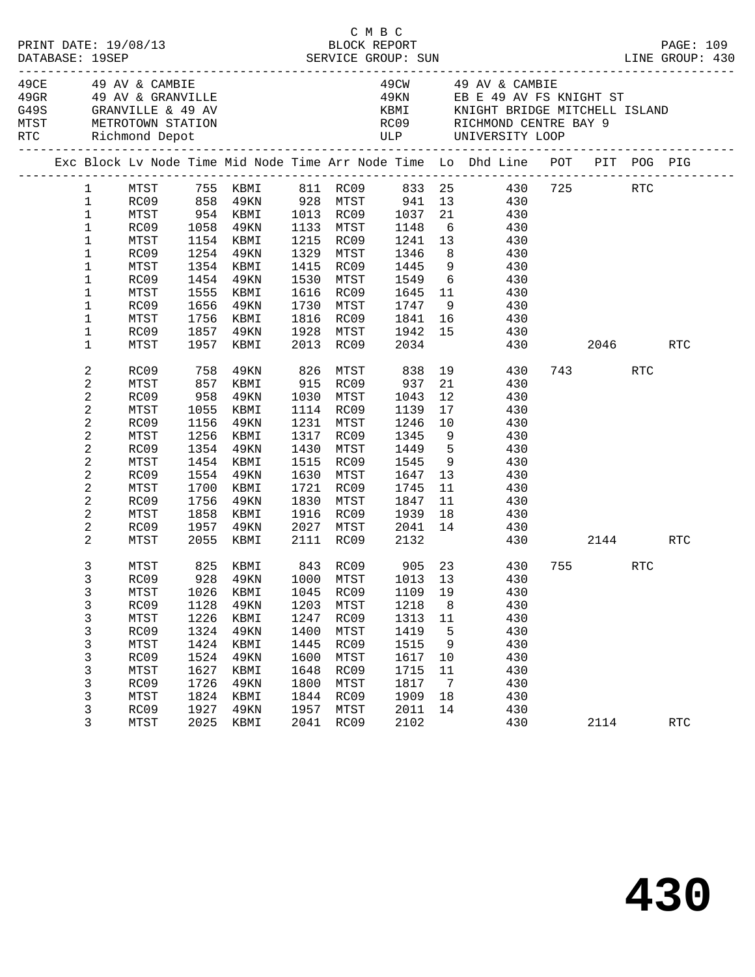|  |                                                                                                                                                                     |                                                                                                      |                                                                              |                                                                                                                                                         |                                                                              | C M B C                                                                                                                                                |                                                                                                              |                                                                     |                                                                                                                                                                                                        |              |            |     |
|--|---------------------------------------------------------------------------------------------------------------------------------------------------------------------|------------------------------------------------------------------------------------------------------|------------------------------------------------------------------------------|---------------------------------------------------------------------------------------------------------------------------------------------------------|------------------------------------------------------------------------------|--------------------------------------------------------------------------------------------------------------------------------------------------------|--------------------------------------------------------------------------------------------------------------|---------------------------------------------------------------------|--------------------------------------------------------------------------------------------------------------------------------------------------------------------------------------------------------|--------------|------------|-----|
|  |                                                                                                                                                                     | 49CE 49 AV & CAMBIE                                                                                  |                                                                              | 49GR 49 AV & GRANVILLE<br>G49S GRANVILLE & 49 AV<br>MTST METROTOWN STATION<br>RTC Richmond Depot                                                        |                                                                              |                                                                                                                                                        |                                                                                                              |                                                                     | 49CW 49 AV & CAMBIE<br>49KN EB E 49 AV FS KNIGHT ST<br>GRANVILLE & 49 AV ABMI WIGHT BRIDGE MITCHELL ISLAND MTST METROTOWN STATION ROOS RICHMOND CENTRE BAY 9<br>RTC Richmond Depot ULP UNIVERSITY LOOP |              |            |     |
|  |                                                                                                                                                                     |                                                                                                      |                                                                              |                                                                                                                                                         |                                                                              |                                                                                                                                                        |                                                                                                              |                                                                     | Exc Block Lv Node Time Mid Node Time Arr Node Time Lo Dhd Line POT PIT POG PIG                                                                                                                         |              |            |     |
|  | $\mathbf{1}$<br>$\mathbf 1$<br>$\mathbf 1$<br>$\mathbf{1}$<br>1<br>$\mathbf 1$<br>$\mathbf 1$                                                                       | MTST<br>RC09<br>MTST<br>RC09<br>MTST<br>RC09<br>MTST                                                 |                                                                              | 1058 49KN<br>1154 KBMI<br>1254 49KN<br>1354 KBMI<br>1454 49KN<br>1555 KBMI                                                                              |                                                                              | 1133 MTST<br>1215 RC09<br>1329 MTST<br>1415 RC09<br>1530 MTST<br>1616 RC09                                                                             | 1346<br>1445                                                                                                 |                                                                     | 1 MTST 755 KBMI 811 RC09 833 25 430 725 RTC<br>1 RC09 858 49KN 928 MTST 941 13 430<br>954 KBMI 1013 RC09 1037 21 430<br>1148 6 430<br>1241 13 430<br>8 430<br>9 430<br>1549 6 430<br>1645 11 430       |              |            |     |
|  | 1<br>$\mathbf 1$<br>1<br>$\mathbf 1$                                                                                                                                | RC09<br>MTST<br>RC09<br>MTST                                                                         |                                                                              | 1656 49KN<br>1756 KBMI<br>1857 49KN<br>1957 KBMI                                                                                                        |                                                                              | 1730 MTST<br>1928 MTST<br>2013 RC09                                                                                                                    |                                                                                                              |                                                                     | $1747$ 9 430<br>1816 RC09 1841 16 430<br>1942 15 430<br>2034 430                                                                                                                                       | 430 2046 RTC |            |     |
|  | 2<br>2<br>$\overline{c}$<br>$\overline{c}$<br>$\overline{c}$<br>2<br>$\overline{c}$<br>$\overline{c}$<br>2<br>2<br>$\overline{c}$<br>$\mathbf{2}$<br>$\overline{a}$ | RC09<br>MTST<br>RC09<br>MTST<br>RC09<br>MTST<br>RC09<br>MTST<br>RC09<br>MTST<br>RC09<br>MTST<br>RC09 | 758<br>1156<br>1256<br>1354<br>1756                                          | 49KN<br>857 KBMI<br>958 49KN<br>1055 KBMT<br>1055 KBMI<br>49KN<br>KBMI<br>49KN<br>1454 KBMI<br>1554 49KN<br>1700 KBMI<br>49KN<br>1858 KBMI<br>1957 49KN |                                                                              | 826 MTST<br>915 RC09<br>1030 MTST<br>1114 RC09<br>1231 MTST<br>1317 RC09<br>1430 MTST<br>1515 RC09<br>1630 MTST<br>1721 RC09<br>1830 MTST<br>1916 RC09 | 838<br>937<br>1043<br>1139<br>1246<br>1345<br>1449<br>1545<br>1647<br>1745<br>1847<br>1939<br>2027 MTST 2041 | 21<br>12<br>17<br>10<br>13<br>11<br>11<br>18                        | 19<br>430<br>430<br>430<br>430<br>430<br>9 430<br>$\begin{array}{ccc} 5 & 430 \\ 9 & 430 \end{array}$<br>430<br>430<br>$430$<br>$430$<br>14 430                                                        | 743          | <b>RTC</b> |     |
|  | $\overline{2}$<br>3<br>3<br>3<br>3<br>3<br>3<br>3<br>3<br>3<br>3<br>3<br>3                                                                                          | MTST<br>MTST<br>MTST<br>RC09<br>MTST<br>RC09<br>MTST<br>RC09<br>MTST<br>RC09<br>MTST<br>RC09         | 1026<br>1128<br>1226<br>1324<br>1424<br>1524<br>1627<br>1726<br>1824<br>1927 | 2055 KBMI<br>KBMI<br>49KN<br>KBMI<br>49KN<br>KBMI<br>49KN<br>KBMI<br>49KN<br>KBMI<br>49KN                                                               | 1045<br>1203<br>1247<br>1400<br>1445<br>1600<br>1648<br>1800<br>1844<br>1957 | 2111 RC09<br>RC09<br>MTST<br>RC09<br>MTST<br>RC09<br>${\tt MTST}$<br>RC09<br>MTST<br>RC09<br>MTST                                                      | 2132<br>1109<br>1218<br>1313<br>1419<br>1515<br>1617<br>1715<br>1817<br>1909<br>2011                         | 19<br>8<br>11<br>- 5<br>9<br>10<br>11<br>$\overline{7}$<br>18<br>14 | 430 2144<br>825 KBMI 843 RC09 905 23 430<br>RC09 928 49KN 1000 MTST 1013 13 430<br>430<br>430<br>430<br>430<br>430<br>430<br>430<br>430<br>430<br>430                                                  | 755          | <b>RTC</b> | RTC |
|  | 3                                                                                                                                                                   | MTST                                                                                                 | 2025                                                                         | KBMI                                                                                                                                                    | 2041                                                                         | RC09                                                                                                                                                   | 2102                                                                                                         |                                                                     | 430                                                                                                                                                                                                    | 2114         |            | RTC |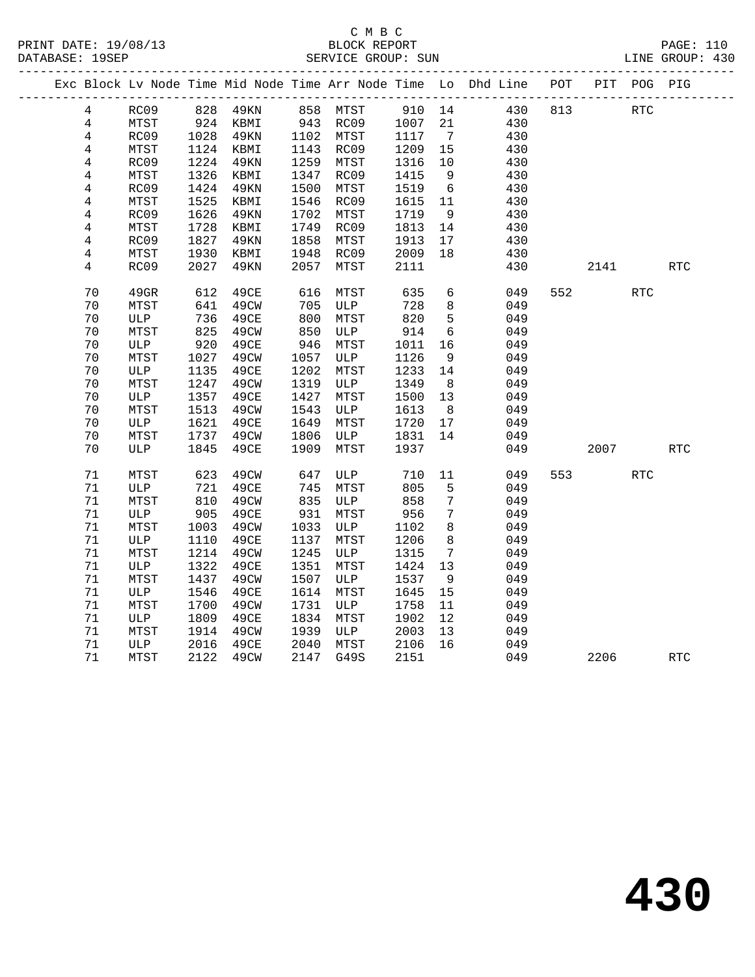#### C M B C<br>BLOCK REPORT SERVICE GROUP: SUN

|                |      |               |                                 |      |           |         |                 | Exc Block Lv Node Time Mid Node Time Arr Node Time Lo Dhd Line POT |     |      | PIT POG PIG |            |
|----------------|------|---------------|---------------------------------|------|-----------|---------|-----------------|--------------------------------------------------------------------|-----|------|-------------|------------|
| 4              | RC09 |               | 828 49KN                        |      | 858 MTST  | 910 14  |                 | 430                                                                | 813 |      | RTC         |            |
| $\overline{4}$ | MTST | $924$<br>1028 | KBMI 943 RC09<br>49KN 1102 MTST |      |           | 1007 21 |                 | 430                                                                |     |      |             |            |
| 4              | RC09 | 1028          |                                 |      |           | 1117    | $\overline{7}$  | 430                                                                |     |      |             |            |
| 4              | MTST | 1124          | KBMI                            |      | 1143 RC09 | 1209    | 15              | 430                                                                |     |      |             |            |
| 4              | RC09 | 1224          | 49KN                            | 1259 | MTST      | 1316    | 10              | 430                                                                |     |      |             |            |
| $\overline{4}$ | MTST | 1326          | KBMI                            | 1347 | RC09      | 1415    | 9               | 430                                                                |     |      |             |            |
| 4              | RC09 | 1424          | 49KN                            | 1500 | MTST      | 1519    | $6\overline{6}$ | 430                                                                |     |      |             |            |
| $\overline{4}$ | MTST | 1525          | KBMI                            | 1546 | RC09      | 1615    | 11              | 430                                                                |     |      |             |            |
| $\overline{4}$ | RC09 | 1626          | 49KN                            | 1702 | MTST      | 1719    | 9               | 430                                                                |     |      |             |            |
| 4              | MTST | 1728          | KBMI                            | 1749 | RC09      | 1813    | 14              | 430                                                                |     |      |             |            |
| $\overline{4}$ | RC09 | 1827          | 49KN                            | 1858 | MTST      | 1913    | 17              | 430                                                                |     |      |             |            |
| 4              | MTST | 1930          | KBMI                            | 1948 | RC09      | 2009    | 18              | 430                                                                |     |      |             |            |
| 4              | RC09 | 2027          | 49KN                            | 2057 | MTST      | 2111    |                 | 430                                                                |     | 2141 |             | RTC        |
| 70             | 49GR | 612           | 49CE                            | 616  | MTST      | 635     | 6               | 049                                                                | 552 |      | <b>RTC</b>  |            |
| 70             | MTST | 641           | 49CW                            | 705  | ULP       | 728     | 8               | 049                                                                |     |      |             |            |
| 70             | ULP  | 736           | 49CE                            | 800  | MTST      | 820     | 5               | 049                                                                |     |      |             |            |
| 70             | MTST | 825           | 49CW                            | 850  | ULP       | 914     | 6               | 049                                                                |     |      |             |            |
| 70             | ULP  | 920           | 49CE                            | 946  | MTST      | 1011    | 16              | 049                                                                |     |      |             |            |
| 70             | MTST | 1027          | 49CW                            | 1057 | ULP       | 1126    | 9               | 049                                                                |     |      |             |            |
| 70             | ULP  | 1135          | 49CE                            | 1202 | MTST      | 1233    | 14              | 049                                                                |     |      |             |            |
| 70             | MTST | 1247          | 49CW                            | 1319 | ULP       | 1349    | 8 <sup>8</sup>  | 049                                                                |     |      |             |            |
| 70             | ULP  | 1357          | 49CE                            | 1427 | MTST      | 1500    | 13              | 049                                                                |     |      |             |            |
| 70             | MTST | 1513          | 49CW                            | 1543 | ULP       | 1613    | 8 <sup>8</sup>  | 049                                                                |     |      |             |            |
| 70             | ULP  | 1621          | 49CE                            | 1649 | MTST      | 1720    | 17              | 049                                                                |     |      |             |            |
| 70             | MTST | 1737          | 49CW                            | 1806 | ULP       | 1831    | 14              | 049                                                                |     |      |             |            |
| 70             | ULP  | 1845          | 49CE                            | 1909 | MTST      | 1937    |                 | 049                                                                |     | 2007 |             | RTC        |
| 71             | MTST | 623           | 49CW                            | 647  | ULP       | 710     | 11              | 049                                                                | 553 |      | <b>RTC</b>  |            |
| 71             | ULP  | 721           | 49CE                            | 745  | MTST      | 805     | 5               | 049                                                                |     |      |             |            |
| 71             | MTST | 810           | 49CW                            | 835  | ULP       | 858     | 7               | 049                                                                |     |      |             |            |
| 71             | ULP  | 905           | 49CE                            | 931  | MTST      | 956     | $7\phantom{.0}$ | 049                                                                |     |      |             |            |
| 71             | MTST | 1003          | 49CW                            | 1033 | ULP       | 1102    | 8               | 049                                                                |     |      |             |            |
| 71             | ULP  | 1110          | 49CE                            | 1137 | MTST      | 1206    | 8               | 049                                                                |     |      |             |            |
| $71\,$         | MTST | 1214          | 49CW                            | 1245 | ULP       | 1315    | $7\overline{ }$ | 049                                                                |     |      |             |            |
| 71             | ULP  | 1322          | 49CE                            | 1351 | MTST      | 1424    | 13              | 049                                                                |     |      |             |            |
| $71\,$         | MTST | 1437          | 49CW                            | 1507 | ULP       | 1537    | 9               | 049                                                                |     |      |             |            |
| 71             | ULP  | 1546          | 49CE                            | 1614 | MTST      | 1645    | 15              | 049                                                                |     |      |             |            |
| $71\,$         | MTST | 1700          | 49CW                            | 1731 | ULP       | 1758    | 11              | 049                                                                |     |      |             |            |
| 71             | ULP  | 1809          | 49CE                            | 1834 | MTST      | 1902    | 12              | 049                                                                |     |      |             |            |
| 71             | MTST | 1914          | 49CW                            | 1939 | ULP       | 2003    | 13              | 049                                                                |     |      |             |            |
| 71             | ULP  | 2016          | 49CE                            | 2040 | MTST      | 2106    | 16              | 049                                                                |     |      |             |            |
| 71             | MTST | 2122          | 49CW                            | 2147 | G49S      | 2151    |                 | 049                                                                |     | 2206 |             | <b>RTC</b> |
|                |      |               |                                 |      |           |         |                 |                                                                    |     |      |             |            |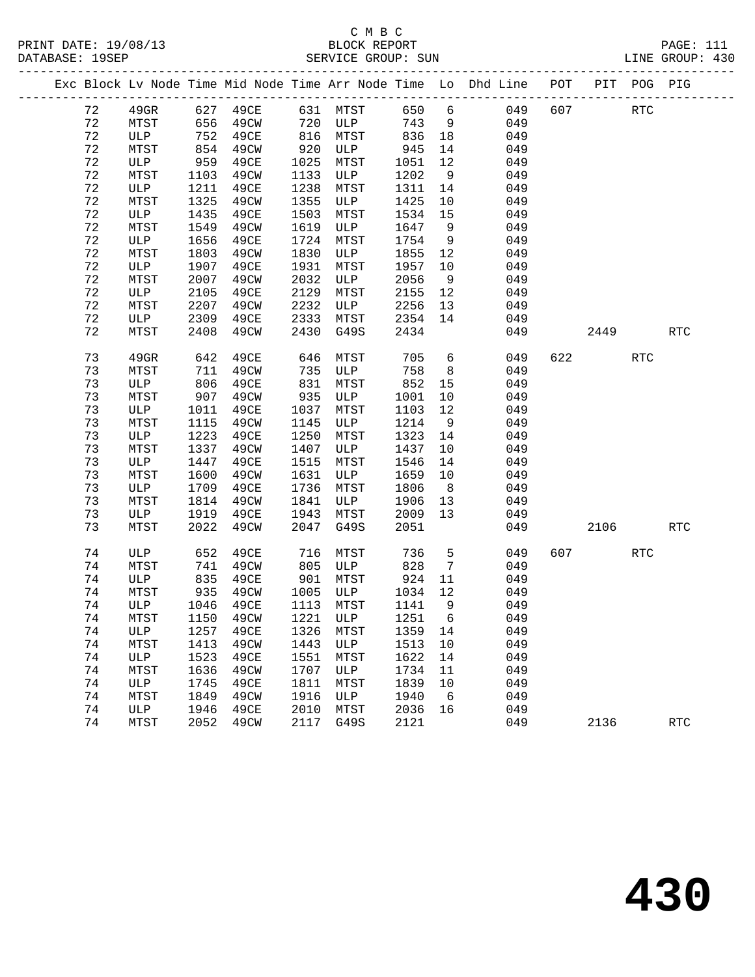# C M B C

|  |    |      |      |                           |      |                         |        |                 | Exc Block Lv Node Time Mid Node Time Arr Node Time Lo Dhd Line POT PIT POG PIG |     |            |            |            |  |
|--|----|------|------|---------------------------|------|-------------------------|--------|-----------------|--------------------------------------------------------------------------------|-----|------------|------------|------------|--|
|  | 72 | 49GR |      |                           |      |                         | 650 6  |                 | 049                                                                            | 607 | <b>RTC</b> |            |            |  |
|  | 72 | MTST | 656  | 49CW                      |      | 720 ULP                 | 743    | 9               | 049                                                                            |     |            |            |            |  |
|  | 72 | ULP  | 752  | 49CE                      |      | 816 MTST                | 836    | 18              | 049                                                                            |     |            |            |            |  |
|  | 72 | MTST | 854  | 49CW                      | 920  | <b>ULP</b>              | 945    | 14              | 049                                                                            |     |            |            |            |  |
|  | 72 | ULP  | 959  | 49CE                      | 1025 | MTST                    | 1051   | 12              | 049                                                                            |     |            |            |            |  |
|  | 72 | MTST | 1103 | 49CW                      | 1133 | ULP                     | 1202   | 9               | 049                                                                            |     |            |            |            |  |
|  | 72 | ULP  | 1211 | 49CE                      | 1238 | MTST                    | 1311   | 14              | 049                                                                            |     |            |            |            |  |
|  | 72 | MTST | 1325 | 49CW                      | 1355 | ULP                     | 1425   | 10              | 049                                                                            |     |            |            |            |  |
|  | 72 | ULP  | 1435 | 49CE                      | 1503 | MTST                    | 1534   | 15              | 049                                                                            |     |            |            |            |  |
|  | 72 | MTST | 1549 | 49CW                      | 1619 | ULP                     | 1647   | 9               | 049                                                                            |     |            |            |            |  |
|  | 72 | ULP  | 1656 | 49CE                      | 1724 | MTST                    | 1754   | 9               | 049                                                                            |     |            |            |            |  |
|  | 72 | MTST | 1803 | 49CW                      | 1830 | ULP                     | 1855   | 12              | 049                                                                            |     |            |            |            |  |
|  | 72 | ULP  | 1907 | 49CE                      | 1931 | MTST                    | 1957   | 10              | 049                                                                            |     |            |            |            |  |
|  | 72 | MTST | 2007 | 49CW                      | 2032 | ULP                     | 2056   | 9               | 049                                                                            |     |            |            |            |  |
|  | 72 | ULP  | 2105 | 49CE                      | 2129 | MTST                    | 2155   | 12              | 049                                                                            |     |            |            |            |  |
|  | 72 | MTST | 2207 | 49CW                      | 2232 | ULP                     | 2256   | 13              | 049                                                                            |     |            |            |            |  |
|  | 72 | ULP  | 2309 | 49CE                      | 2333 | MTST                    | 2354   | 14              | 049                                                                            |     |            |            |            |  |
|  | 72 | MTST | 2408 | 49CW                      | 2430 | G49S                    | 2434   |                 | 049                                                                            |     | 2449       |            | <b>RTC</b> |  |
|  | 73 | 49GR | 642  | 49CE                      | 646  | MTST                    | 705    | $6\overline{6}$ | 049                                                                            |     | 622 620    | <b>RTC</b> |            |  |
|  | 73 | MTST | 711  | 49CW                      | 735  | ULP                     | 758    | 8 <sup>8</sup>  | 049                                                                            |     |            |            |            |  |
|  | 73 | ULP  | 806  | 49CE                      | 831  | MTST                    | 852    | 15              | 049                                                                            |     |            |            |            |  |
|  | 73 | MTST | 907  | 49CW                      | 935  | ULP                     | 1001   | 10              | 049                                                                            |     |            |            |            |  |
|  | 73 | ULP  | 1011 | 49CE                      | 1037 | MTST                    | 1103   | 12              | 049                                                                            |     |            |            |            |  |
|  | 73 | MTST | 1115 | 49CW                      | 1145 | ULP                     | 1214   | 9               | 049                                                                            |     |            |            |            |  |
|  | 73 | ULP  | 1223 | 49CE                      | 1250 | MTST                    | 1323   | 14              | 049                                                                            |     |            |            |            |  |
|  | 73 | MTST | 1337 | 49CW                      | 1407 | ULP                     | 1437   | 10              | 049                                                                            |     |            |            |            |  |
|  | 73 | ULP  | 1447 | 49CE                      | 1515 | MTST                    | 1546   | 14              | 049                                                                            |     |            |            |            |  |
|  | 73 | MTST | 1600 | 49CW                      | 1631 | ULP                     | 1659   | 10              | 049                                                                            |     |            |            |            |  |
|  | 73 | ULP  | 1709 | 49CE                      | 1736 | MTST                    | 1806   | 8 <sup>8</sup>  | 049                                                                            |     |            |            |            |  |
|  | 73 | MTST | 1814 | 49CW                      | 1841 | ULP                     | 1906   | 13              | 049                                                                            |     |            |            |            |  |
|  | 73 | ULP  | 1919 | 49CE                      | 1943 | MTST                    | 2009   | 13              | 049                                                                            |     |            |            |            |  |
|  | 73 | MTST | 2022 | 49CW                      | 2047 | G49S                    | 2051   |                 | 049                                                                            |     | 2106       |            | RTC        |  |
|  | 74 | ULP  | 652  | 49CE                      |      | 716 MTST                | 736    | 5               | 049                                                                            | 607 |            | <b>RTC</b> |            |  |
|  | 74 | MTST | 741  | 49CW                      |      | ווא -<br>805 ULP<br>901 | 828    | $7\phantom{0}$  | 049                                                                            |     |            |            |            |  |
|  | 74 | ULP  | 835  | 49CE                      |      |                         | 924 11 |                 | 049                                                                            |     |            |            |            |  |
|  | 74 | MTST |      | 935 49CW 1005 ULP 1034 12 |      |                         |        |                 | 049                                                                            |     |            |            |            |  |
|  | 74 | ULP  | 1046 | 49CE                      | 1113 | MTST                    | 1141   | 9               | 049                                                                            |     |            |            |            |  |
|  | 74 | MTST | 1150 | 49CW                      | 1221 | ULP                     | 1251   | 6               | 049                                                                            |     |            |            |            |  |
|  | 74 | ULP  | 1257 | 49CE                      | 1326 | MTST                    | 1359   | 14              | 049                                                                            |     |            |            |            |  |
|  | 74 | MTST | 1413 | 49CW                      | 1443 | ULP                     | 1513   | 10              | 049                                                                            |     |            |            |            |  |
|  | 74 | ULP  | 1523 | 49CE                      | 1551 | MTST                    | 1622   | 14              | 049                                                                            |     |            |            |            |  |
|  | 74 | MTST | 1636 | 49CW                      | 1707 | ULP                     | 1734   | 11              | 049                                                                            |     |            |            |            |  |
|  | 74 | ULP  | 1745 | 49CE                      | 1811 | MTST                    | 1839   | 10              | 049                                                                            |     |            |            |            |  |
|  | 74 | MTST |      | 1849 49CW                 | 1916 | ULP                     | 1940   | $6\overline{6}$ | 049                                                                            |     |            |            |            |  |
|  |    |      |      |                           |      |                         |        |                 |                                                                                |     |            |            |            |  |

74 ULP 1946 49CE 2010 MTST 2036 16 049

74 MTST 2052 49CW 2117 G49S 2121 049 2136 RTC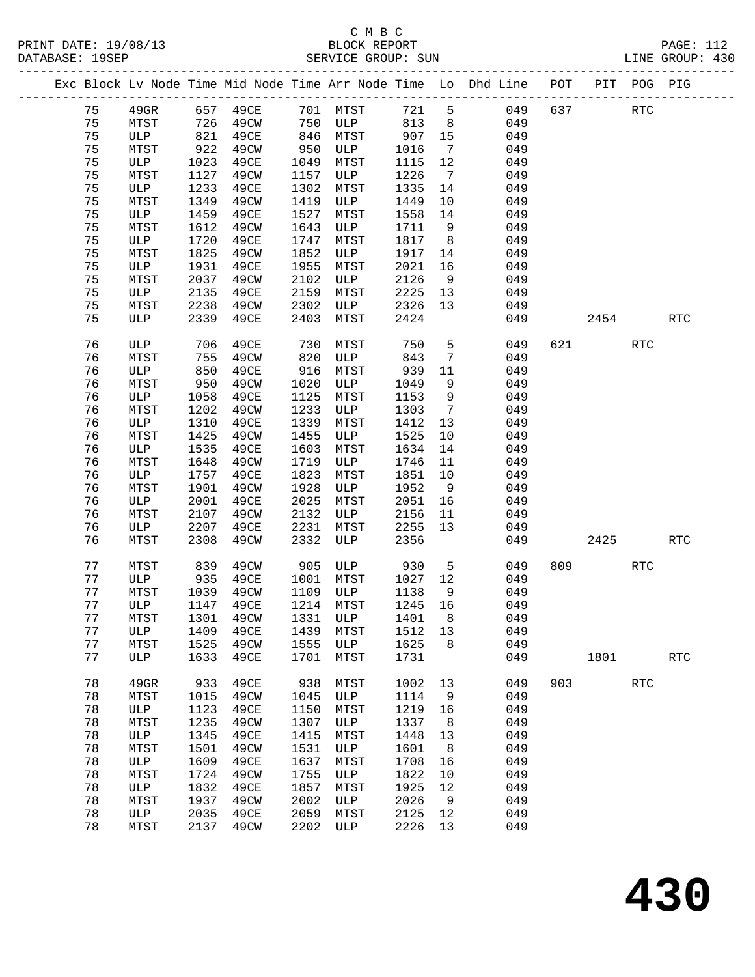# C M B C<br>BLOCK REPORT

| DATABASE: 19SEP |    |         |      | ---------------------------                     |      | SERVICE GROUP: SUN              |         |                 |                                                                                |     |        |            | LINE GROUP: 430 |
|-----------------|----|---------|------|-------------------------------------------------|------|---------------------------------|---------|-----------------|--------------------------------------------------------------------------------|-----|--------|------------|-----------------|
|                 |    |         |      |                                                 |      |                                 |         |                 | Exc Block Lv Node Time Mid Node Time Arr Node Time Lo Dhd Line POT PIT POG PIG |     |        |            |                 |
|                 | 75 | $49$ GR |      | 657 49CE      701  MTST<br>726 49CW     750 ULP |      | 701 MTST 721 5<br>750 ULP 813 8 |         |                 | 049                                                                            |     | 637    | RTC        |                 |
|                 | 75 | MTST    |      |                                                 |      |                                 |         |                 | 049                                                                            |     |        |            |                 |
|                 | 75 | ULP     | 821  | 49CE                                            | 846  | MTST                            | 907 15  |                 | 049                                                                            |     |        |            |                 |
|                 | 75 | MTST    | 922  | 49CW                                            | 950  | ULP                             | 1016    | $\overline{7}$  | 049                                                                            |     |        |            |                 |
|                 | 75 | ULP     | 1023 | 49CE                                            | 1049 | MTST                            | 1115 12 |                 | 049                                                                            |     |        |            |                 |
|                 | 75 | MTST    | 1127 | 49CW                                            | 1157 | ULP                             | 1226    | $\overline{7}$  | 049                                                                            |     |        |            |                 |
|                 | 75 | ULP     | 1233 | 49CE                                            | 1302 | MTST                            | 1335    | 14              | 049                                                                            |     |        |            |                 |
|                 | 75 | MTST    | 1349 | 49CW                                            | 1419 | ULP                             | 1449    | 10              | 049                                                                            |     |        |            |                 |
|                 | 75 | ULP     | 1459 | 49CE                                            | 1527 | MTST                            | 1558    | 14              | 049                                                                            |     |        |            |                 |
|                 | 75 | MTST    | 1612 | 49CW                                            | 1643 | ULP                             | 1711    | 9               | 049                                                                            |     |        |            |                 |
|                 | 75 | ULP     | 1720 | 49CE                                            | 1747 | MTST                            | 1817    | 8 <sup>8</sup>  | 049                                                                            |     |        |            |                 |
|                 | 75 | MTST    | 1825 | 49CW                                            | 1852 | ULP                             | 1917    | 14              | 049                                                                            |     |        |            |                 |
|                 | 75 | ULP     | 1931 | 49CE                                            | 1955 | MTST                            | 2021    | 16              | 049                                                                            |     |        |            |                 |
|                 | 75 | MTST    | 2037 | 49CW                                            | 2102 | ULP                             | 2126    | 9               | 049                                                                            |     |        |            |                 |
|                 | 75 | ULP     | 2135 | 49CE                                            | 2159 | MTST                            | 2225    | 13              | 049                                                                            |     |        |            |                 |
|                 | 75 | MTST    | 2238 | 49CW                                            | 2302 | ULP                             | 2326    | 13              | 049                                                                            |     |        |            |                 |
|                 | 75 | ULP     | 2339 | 49CE                                            | 2403 | MTST                            | 2424    |                 | 049                                                                            |     | 2454   |            | <b>RTC</b>      |
|                 | 76 | ULP     | 706  | 49CE                                            | 730  | MTST                            | 750     | $5\overline{)}$ | 049                                                                            |     | 621 72 | RTC        |                 |
|                 | 76 | MTST    | 755  | 49CW                                            | 820  | ULP                             | 843     | $7\phantom{.0}$ | 049                                                                            |     |        |            |                 |
|                 | 76 | ULP     | 850  | 49CE                                            | 916  | MTST                            | 939     | 11              | 049                                                                            |     |        |            |                 |
|                 | 76 | MTST    | 950  | 49CW                                            | 1020 | ULP                             | 1049    | 9               | 049                                                                            |     |        |            |                 |
|                 | 76 | ULP     | 1058 | 49CE                                            | 1125 | MTST                            | 1153    | 9               | 049                                                                            |     |        |            |                 |
|                 | 76 | MTST    | 1202 | 49CW                                            | 1233 | ULP                             | 1303    | $\overline{7}$  | 049                                                                            |     |        |            |                 |
|                 | 76 | ULP     | 1310 | 49CE                                            | 1339 | MTST                            | 1412    | 13              | 049                                                                            |     |        |            |                 |
|                 | 76 | MTST    | 1425 | 49CW                                            | 1455 | ULP                             | 1525    | 10              | 049                                                                            |     |        |            |                 |
|                 | 76 | ULP     | 1535 | 49CE                                            | 1603 | MTST                            | 1634    | 14              | 049                                                                            |     |        |            |                 |
|                 | 76 | MTST    | 1648 | 49CW                                            | 1719 | ULP                             | 1746    | 11              | 049                                                                            |     |        |            |                 |
|                 | 76 | ULP     | 1757 | 49CE                                            | 1823 | MTST                            | 1851    | 10              | 049                                                                            |     |        |            |                 |
|                 | 76 | MTST    | 1901 | 49CW                                            | 1928 | ULP                             | 1952    | 9               | 049                                                                            |     |        |            |                 |
|                 | 76 | ULP     | 2001 | 49CE                                            | 2025 | MTST                            | 2051    | 16              | 049                                                                            |     |        |            |                 |
|                 | 76 | MTST    | 2107 | 49CW                                            | 2132 | ULP                             | 2156    | 11              | 049                                                                            |     |        |            |                 |
|                 | 76 | ULP     | 2207 | 49CE                                            | 2231 | MTST                            | 2255    | 13              | 049                                                                            |     |        |            |                 |
|                 | 76 | MTST    | 2308 | 49CW                                            | 2332 | ULP                             | 2356    |                 | 049                                                                            |     | 2425   |            | <b>RTC</b>      |
|                 | 77 | MTST    | 839  | 49CW                                            |      | 905 ULP 930                     |         | 5 <sup>5</sup>  | 049                                                                            | 809 |        | RTC        |                 |
|                 | 77 | ULP     | 935  | 49CE                                            |      | 1001 MTST                       | 1027 12 |                 | 049                                                                            |     |        |            |                 |
|                 | 77 | MTST    | 1039 | 49CW                                            |      | 1109 ULP                        | 1138    | 9               | 049                                                                            |     |        |            |                 |
|                 | 77 |         |      |                                                 |      | ULP 1147 49CE 1214 MTST 1245 16 |         |                 | 049                                                                            |     |        |            |                 |
|                 | 77 | MTST    | 1301 | 49CW                                            | 1331 | ULP                             | 1401    | 8               | 049                                                                            |     |        |            |                 |
|                 | 77 | ULP     | 1409 | 49CE                                            | 1439 | MTST                            | 1512    | 13              | 049                                                                            |     |        |            |                 |
|                 | 77 | MTST    | 1525 | 49CW                                            | 1555 | ULP                             | 1625    | 8               | 049                                                                            |     |        |            |                 |
|                 | 77 | ULP     | 1633 | 49CE                                            | 1701 | MTST                            | 1731    |                 | 049                                                                            |     | 1801   |            | <b>RTC</b>      |
|                 | 78 | 49GR    | 933  | 49CE                                            | 938  | MTST                            | 1002    | 13              | 049                                                                            | 903 |        | <b>RTC</b> |                 |
|                 | 78 | MTST    | 1015 | 49CW                                            | 1045 | ULP                             | 1114    | 9               | 049                                                                            |     |        |            |                 |
|                 | 78 | ULP     | 1123 | 49CE                                            | 1150 | MTST                            | 1219    | 16              | 049                                                                            |     |        |            |                 |
|                 | 78 | MTST    | 1235 | 49CW                                            | 1307 | ULP                             | 1337    | 8               | 049                                                                            |     |        |            |                 |
|                 | 78 | ULP     | 1345 | 49CE                                            | 1415 | MTST                            | 1448    | 13              | 049                                                                            |     |        |            |                 |
|                 | 78 | MTST    | 1501 | 49CW                                            | 1531 | ULP                             | 1601    | 8               | 049                                                                            |     |        |            |                 |
|                 | 78 | ULP     | 1609 | 49CE                                            | 1637 | MTST                            | 1708    | 16              | 049                                                                            |     |        |            |                 |
|                 | 78 | MTST    | 1724 | 49CW                                            | 1755 | $_{\rm ULP}$                    | 1822    | 10              | 049                                                                            |     |        |            |                 |
|                 | 78 | ULP     | 1832 | 49CE                                            | 1857 | MTST                            | 1925    | 12              | 049                                                                            |     |        |            |                 |
|                 | 78 | MTST    | 1937 | 49CW                                            | 2002 | ULP                             | 2026    | 9               | 049                                                                            |     |        |            |                 |

 78 ULP 2035 49CE 2059 MTST 2125 12 049 78 MTST 2137 49CW 2202 ULP 2226 13 049

**430**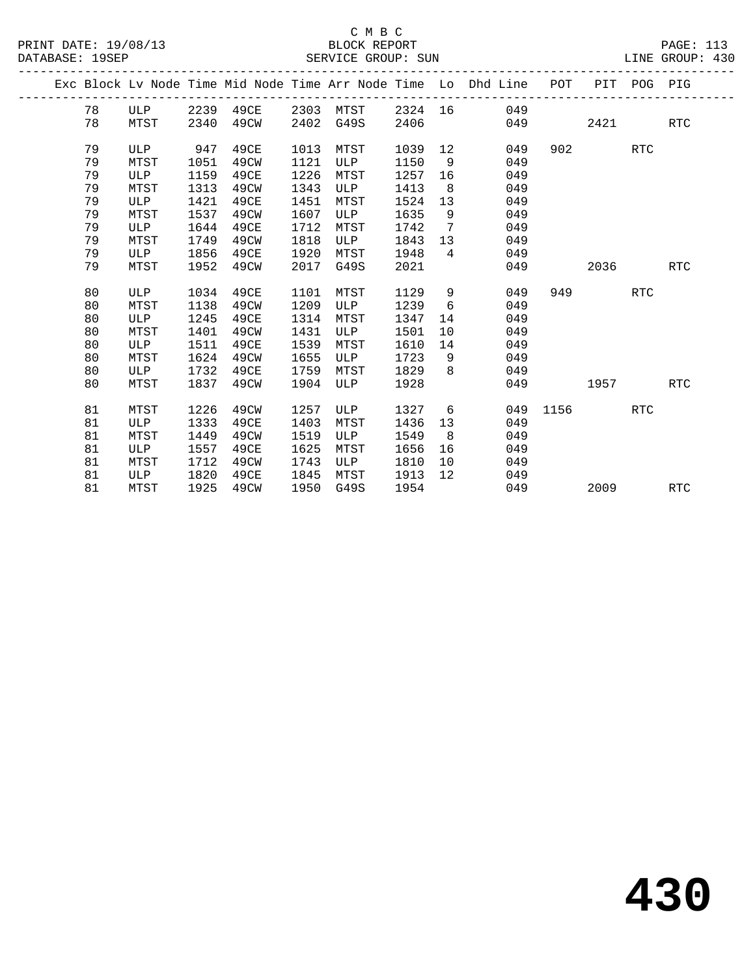#### C M B C<br>BLOCK REPORT SERVICE GROUP: SUN

|  |    |            |      |           |      |      |         |                   | Exc Block Lv Node Time Mid Node Time Arr Node Time Lo Dhd Line POT |      |      | PIT POG PIG |            |
|--|----|------------|------|-----------|------|------|---------|-------------------|--------------------------------------------------------------------|------|------|-------------|------------|
|  | 78 | ULP        |      | 2239 49CE | 2303 | MTST | 2324 16 |                   | 049                                                                |      |      |             |            |
|  | 78 | MTST       | 2340 | 49CW      | 2402 | G49S | 2406    |                   | 049                                                                |      | 2421 |             | <b>RTC</b> |
|  | 79 | ULP        | 947  | 49CE      | 1013 | MTST | 1039    | 12                | 049                                                                | 902  |      | <b>RTC</b>  |            |
|  | 79 | MTST       | 1051 | 49CW      | 1121 | ULP  | 1150    | 9                 | 049                                                                |      |      |             |            |
|  | 79 | ULP        | 1159 | 49CE      | 1226 | MTST | 1257    | 16                | 049                                                                |      |      |             |            |
|  | 79 | MTST       | 1313 | 49CW      | 1343 | ULP  | 1413    | 8                 | 049                                                                |      |      |             |            |
|  | 79 | ULP        | 1421 | 49CE      | 1451 | MTST | 1524    | 13                | 049                                                                |      |      |             |            |
|  | 79 | MTST       | 1537 | 49CW      | 1607 | ULP  | 1635    | 9                 | 049                                                                |      |      |             |            |
|  | 79 | ULP        | 1644 | 49CE      | 1712 | MTST | 1742    | $7\phantom{.0}$   | 049                                                                |      |      |             |            |
|  | 79 | MTST       | 1749 | 49CW      | 1818 | ULP  | 1843    | 13                | 049                                                                |      |      |             |            |
|  | 79 | <b>ULP</b> | 1856 | 49CE      | 1920 | MTST | 1948    | $\overline{4}$    | 049                                                                |      |      |             |            |
|  | 79 | MTST       | 1952 | 49CW      | 2017 | G49S | 2021    |                   | 049                                                                |      | 2036 |             | <b>RTC</b> |
|  |    |            |      |           |      |      |         |                   |                                                                    |      |      |             |            |
|  | 80 | ULP        | 1034 | 49CE      | 1101 | MTST | 1129    | 9                 | 049                                                                | 949  |      | <b>RTC</b>  |            |
|  | 80 | MTST       | 1138 | 49CW      | 1209 | ULP  | 1239    | 6                 | 049                                                                |      |      |             |            |
|  | 80 | ULP        | 1245 | 49CE      | 1314 | MTST | 1347    | 14                | 049                                                                |      |      |             |            |
|  | 80 | MTST       | 1401 | 49CW      | 1431 | ULP  | 1501    | 10                | 049                                                                |      |      |             |            |
|  | 80 | ULP        | 1511 | 49CE      | 1539 | MTST | 1610    | 14                | 049                                                                |      |      |             |            |
|  | 80 | MTST       | 1624 | 49CW      | 1655 | ULP  | 1723    | 9                 | 049                                                                |      |      |             |            |
|  | 80 | ULP        | 1732 | 49CE      | 1759 | MTST | 1829    | 8                 | 049                                                                |      |      |             |            |
|  | 80 | MTST       | 1837 | 49CW      | 1904 | ULP  | 1928    |                   | 049                                                                |      | 1957 |             | <b>RTC</b> |
|  |    |            |      |           |      |      |         |                   |                                                                    |      |      |             |            |
|  | 81 | MTST       | 1226 | 49CW      | 1257 | ULP  | 1327    | 6                 | 049                                                                | 1156 |      | <b>RTC</b>  |            |
|  | 81 | ULP        | 1333 | 49CE      | 1403 | MTST | 1436    | 13                | 049                                                                |      |      |             |            |
|  | 81 | MTST       | 1449 | 49CW      | 1519 | ULP  | 1549    | - 8               | 049                                                                |      |      |             |            |
|  | 81 | ULP        | 1557 | 49CE      | 1625 | MTST | 1656    | 16                | 049                                                                |      |      |             |            |
|  | 81 | MTST       | 1712 | 49CW      | 1743 | ULP  | 1810    | 10 <sup>°</sup>   | 049                                                                |      |      |             |            |
|  | 81 | ULP        | 1820 | 49CE      | 1845 | MTST | 1913    | $12 \overline{ }$ | 049                                                                |      |      |             |            |
|  | 81 | MTST       | 1925 | 49CW      | 1950 | G49S | 1954    |                   | 049                                                                |      | 2009 |             | <b>RTC</b> |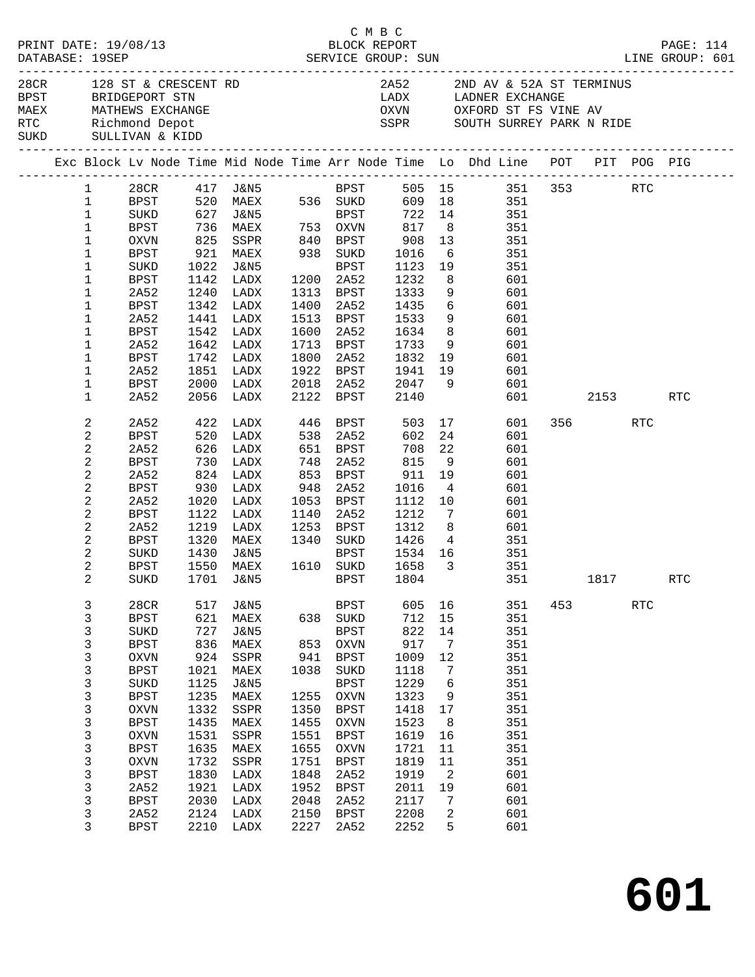|  |                        | PRINT DATE: 19/08/13 |      |                                                                                                                          |      | C M B C                   | BLOCK REPORT                 |                         |                                                                                                                     |     |         |            | PAGE: 114 |
|--|------------------------|----------------------|------|--------------------------------------------------------------------------------------------------------------------------|------|---------------------------|------------------------------|-------------------------|---------------------------------------------------------------------------------------------------------------------|-----|---------|------------|-----------|
|  |                        |                      |      | 28CR 128 ST & CRESCENT RD<br>28CR PRIDGEROORT STN<br>MAEX MATHEWS EXCHANGE<br>RTC Richmond Depot<br>SUKD SULLIVAN & KIDD |      |                           |                              |                         | 2A52 2ND AV & 52A ST TERMINUS<br>LADX LADNER EXCHANGE<br>OXVN OXFORD ST FS VINE AV<br>SSPR SOUTH SURREY PARK N RIDE |     |         |            |           |
|  |                        |                      |      |                                                                                                                          |      |                           |                              |                         | Exc Block Lv Node Time Mid Node Time Arr Node Time Lo Dhd Line POT PIT POG PIG                                      |     |         |            |           |
|  | $1 \quad \blacksquare$ |                      |      |                                                                                                                          |      |                           |                              |                         | 28CR 417 J&N5 BPST 505 15 351 353 RTC                                                                               |     |         |            |           |
|  | $\mathbf 1$            |                      |      |                                                                                                                          |      |                           |                              |                         | BPST 520 MAEX 536 SUKD 609 18 351                                                                                   |     |         |            |           |
|  | $\mathbf{1}$           |                      |      |                                                                                                                          |      |                           |                              |                         | BPST 722 14 351                                                                                                     |     |         |            |           |
|  | $\mathbf{1}$           |                      |      | SUKD 627 J&N5 BPST<br>BPST 736 MAEX 753 OXVN<br>OXVN 825 SSPR 840 BPST                                                   |      |                           |                              |                         |                                                                                                                     |     |         |            |           |
|  | $\mathbf 1$            |                      |      |                                                                                                                          |      |                           | 817 8<br>908 13              |                         | 351<br>351<br>351                                                                                                   |     |         |            |           |
|  | $\mathbf{1}$           | BPST                 |      | 921 MAEX 938 SUKD                                                                                                        |      |                           | 1016                         | $6\overline{6}$         | 351                                                                                                                 |     |         |            |           |
|  | 1                      | SUKD                 | 1022 | J&N5                                                                                                                     |      | BPST                      | 1123                         | 19                      | 351                                                                                                                 |     |         |            |           |
|  | 1                      | BPST                 |      | 1142 LADX                                                                                                                |      | 1200 2A52                 | 1232                         | 8 <sup>8</sup>          | 601                                                                                                                 |     |         |            |           |
|  | 1                      | 2A52                 |      | 1240 LADX                                                                                                                |      | 1313 BPST                 | 1333                         | 9                       | 601                                                                                                                 |     |         |            |           |
|  | 1                      | BPST                 |      | 1342 LADX                                                                                                                |      | 1400 2A52                 | 1435                         |                         | $6\overline{6}$<br>601                                                                                              |     |         |            |           |
|  | 1                      | 2A52                 |      | 1441 LADX                                                                                                                |      | 1513 BPST                 | 1533                         | 9                       | 601                                                                                                                 |     |         |            |           |
|  | 1                      | <b>BPST</b>          | 1542 | LADX                                                                                                                     | 1600 | 2A52                      | 1634<br>1733                 | 8                       | 601                                                                                                                 |     |         |            |           |
|  | 1                      | 2A52                 |      | 1642 LADX                                                                                                                |      | 1713 BPST                 | 1733                         | 9                       | 601                                                                                                                 |     |         |            |           |
|  | 1                      | <b>BPST</b>          |      | 1742 LADX                                                                                                                |      | 1800 2A52                 | 1832                         |                         | 19<br>601                                                                                                           |     |         |            |           |
|  | 1                      | 2A52                 |      | 1851 LADX                                                                                                                | 1922 | BPST                      | 1941                         | 19                      | 601                                                                                                                 |     |         |            |           |
|  | 1                      | <b>BPST</b>          |      | 2000 LADX                                                                                                                | 2018 | 2A52                      | 2047 9                       |                         | 601                                                                                                                 |     |         |            |           |
|  | 1                      | 2A52                 |      | 2056 LADX                                                                                                                |      | 2122 BPST                 | 2140                         |                         | 601                                                                                                                 |     | 2153    |            | RTC       |
|  | 2                      | 2A52                 |      | 422 LADX 446 BPST                                                                                                        |      |                           |                              |                         | 503 17<br>601                                                                                                       |     | 356 700 | <b>RTC</b> |           |
|  | 2                      | <b>BPST</b>          | 520  | LADX                                                                                                                     | 538  | 2A52                      | 602                          | 24                      | 601                                                                                                                 |     |         |            |           |
|  | $\overline{c}$         | 2A52                 |      | 626 LADX<br>730 LADX                                                                                                     |      | 651 BPST<br>748 2A52      | 708                          | 22                      | 601                                                                                                                 |     |         |            |           |
|  | 2                      | <b>BPST</b>          |      |                                                                                                                          |      |                           | 815                          | 9                       | 601                                                                                                                 |     |         |            |           |
|  | $\mathbf{2}$           | 2A52                 |      | 824 LADX                                                                                                                 |      | 853 BPST                  | 911                          | 19                      | 601                                                                                                                 |     |         |            |           |
|  | 2                      | <b>BPST</b>          | 930  | LADX                                                                                                                     | 948  | 2A52                      | 1016                         | $\overline{4}$          | 601                                                                                                                 |     |         |            |           |
|  | $\overline{c}$         | 2A52                 | 1020 | LADX                                                                                                                     | 1053 | BPST                      | 1112                         | 10                      | 601                                                                                                                 |     |         |            |           |
|  | 2                      | <b>BPST</b>          |      | 1122 LADX                                                                                                                | 1140 | 2A52                      | 1212                         | $7\overline{ }$         | 601                                                                                                                 |     |         |            |           |
|  | 2                      | 2A52                 |      | 1219 LADX                                                                                                                | 1253 |                           | BPST 1312                    | 8 <sup>8</sup>          | 601                                                                                                                 |     |         |            |           |
|  | 2                      | <b>BPST</b>          | 1320 | MAEX                                                                                                                     |      | 1340 SUKD                 | 1426                         | $\overline{4}$          | 351                                                                                                                 |     |         |            |           |
|  | $\mathbf{2}$           | SUKD                 | 1430 | J&N5                                                                                                                     |      | BPST<br>BPST<br>1610 SUKD | 1534 16<br>1658 <sup>2</sup> |                         | 351                                                                                                                 |     |         |            |           |
|  | $\mathbf{2}$           | <b>BPST</b>          |      | 1550 MAEX                                                                                                                |      |                           | 1658                         | $\overline{\mathbf{3}}$ | 351<br>SUKD 1701 J&N5 BPST 1804 351 1817                                                                            |     |         |            |           |
|  | 2                      |                      |      |                                                                                                                          |      |                           |                              |                         |                                                                                                                     |     |         |            | RTC       |
|  | 3                      | 28CR                 | 517  | J&N5                                                                                                                     |      | BPST                      | 605                          | 16                      | 351                                                                                                                 | 453 |         | RTC        |           |
|  | 3                      | <b>BPST</b>          | 621  | MAEX                                                                                                                     | 638  | SUKD                      | 712                          | 15                      | 351                                                                                                                 |     |         |            |           |
|  | 3                      | SUKD                 | 727  | <b>J&amp;N5</b>                                                                                                          |      | <b>BPST</b>               | 822                          | 14                      | 351                                                                                                                 |     |         |            |           |
|  | 3                      | <b>BPST</b>          | 836  | MAEX                                                                                                                     | 853  | OXVN                      | 917                          | $\overline{7}$          | 351                                                                                                                 |     |         |            |           |
|  | 3                      | <b>OXVN</b>          | 924  | SSPR                                                                                                                     | 941  | <b>BPST</b>               | 1009                         | 12                      | 351                                                                                                                 |     |         |            |           |
|  | 3                      | <b>BPST</b>          | 1021 | MAEX                                                                                                                     | 1038 | SUKD                      | 1118                         | 7                       | 351                                                                                                                 |     |         |            |           |
|  | 3                      | SUKD                 | 1125 | <b>J&amp;N5</b>                                                                                                          |      | <b>BPST</b>               | 1229                         | 6                       | 351                                                                                                                 |     |         |            |           |
|  | 3                      | <b>BPST</b>          | 1235 | MAEX                                                                                                                     | 1255 | OXVN                      | 1323                         | 9                       | 351                                                                                                                 |     |         |            |           |
|  | 3                      | <b>OXVN</b>          | 1332 | SSPR                                                                                                                     | 1350 | <b>BPST</b>               | 1418                         | 17                      | 351                                                                                                                 |     |         |            |           |
|  | 3                      | <b>BPST</b>          | 1435 | MAEX                                                                                                                     | 1455 | <b>OXVN</b>               | 1523                         | 8                       | 351                                                                                                                 |     |         |            |           |
|  | 3                      | <b>OXVN</b>          | 1531 | SSPR                                                                                                                     | 1551 | <b>BPST</b>               | 1619                         | 16                      | 351                                                                                                                 |     |         |            |           |
|  | 3                      | <b>BPST</b>          | 1635 | MAEX                                                                                                                     | 1655 | OXVN                      | 1721                         | 11                      | 351                                                                                                                 |     |         |            |           |
|  | 3                      | <b>OXVN</b>          | 1732 | SSPR                                                                                                                     | 1751 | BPST                      | 1819                         | 11                      | 351                                                                                                                 |     |         |            |           |
|  | 3                      | <b>BPST</b>          | 1830 | LADX                                                                                                                     | 1848 | 2A52                      | 1919                         | 2                       | 601                                                                                                                 |     |         |            |           |
|  | 3                      | 2A52                 | 1921 | LADX                                                                                                                     | 1952 | <b>BPST</b>               | 2011                         | 19                      | 601                                                                                                                 |     |         |            |           |
|  | 3                      | <b>BPST</b>          | 2030 | LADX                                                                                                                     | 2048 | 2A52                      | 2117                         | 7                       | 601                                                                                                                 |     |         |            |           |
|  | 3                      | 2A52                 | 2124 | LADX                                                                                                                     | 2150 | BPST                      | 2208                         | 2                       | 601                                                                                                                 |     |         |            |           |
|  | 3                      | <b>BPST</b>          | 2210 | LADX                                                                                                                     | 2227 | 2A52                      | 2252                         | 5                       | 601                                                                                                                 |     |         |            |           |

**601**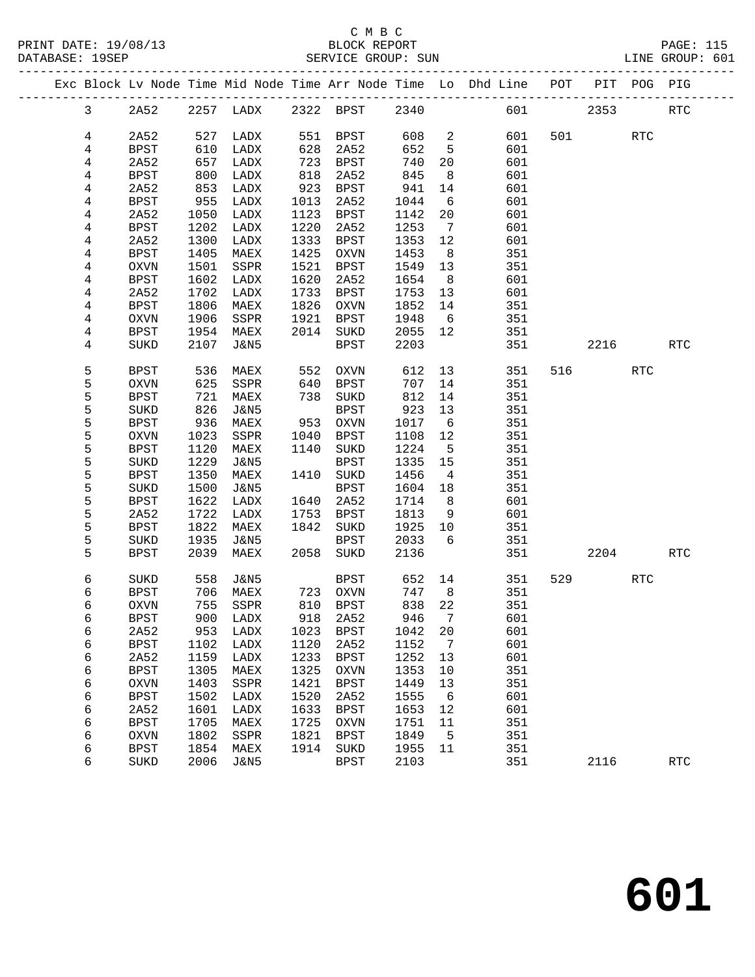### C M B C<br>BLOCK REPORT

PRINT DATE: 19/08/13 BLOCK REPORT PAGE: 115 LINE GROUP: 601 -------------------------------------------------------------------------------------------------

|   |                |             |      |                 |      |             |         |                 | Exc Block Lv Node Time Mid Node Time Arr Node Time Lo Dhd Line POT |         | PIT     | POG PIG    |                      |
|---|----------------|-------------|------|-----------------|------|-------------|---------|-----------------|--------------------------------------------------------------------|---------|---------|------------|----------------------|
|   | $\mathbf{3}$   | 2A52        |      | 2257 LADX       |      | 2322 BPST   | 2340    |                 |                                                                    | 601 000 | 2353    |            | <b>RTC</b>           |
|   | 4              | 2A52        | 527  | LADX            | 551  | BPST        | 608     | $\overline{a}$  | 601                                                                |         | 501 700 | RTC        |                      |
|   | 4              | BPST        | 610  | LADX            | 628  | 2A52        | 652     | 5               | 601                                                                |         |         |            |                      |
|   | 4              | 2A52        | 657  | LADX            | 723  | BPST        | 740     | 20              | 601                                                                |         |         |            |                      |
|   | 4              | BPST        | 800  | LADX            | 818  | 2A52        | 845     | 8               | 601                                                                |         |         |            |                      |
|   | 4              | 2A52        | 853  | LADX            | 923  | BPST        | 941     | 14              | 601                                                                |         |         |            |                      |
|   | 4              | BPST        | 955  | LADX            | 1013 | 2A52        | 1044    | 6               | 601                                                                |         |         |            |                      |
|   | 4              | 2A52        | 1050 | LADX            | 1123 | BPST        | 1142    | 20              | 601                                                                |         |         |            |                      |
|   | 4              | BPST        | 1202 | LADX            | 1220 | 2A52        | 1253    | 7               | 601                                                                |         |         |            |                      |
|   | 4              | 2A52        | 1300 | LADX            | 1333 | <b>BPST</b> | 1353    | 12              | 601                                                                |         |         |            |                      |
|   | 4              | BPST        | 1405 | MAEX            | 1425 | OXVN        | 1453    | 8               | 351                                                                |         |         |            |                      |
|   | 4              | <b>OXVN</b> | 1501 | SSPR            | 1521 | BPST        | 1549    | 13              | 351                                                                |         |         |            |                      |
|   | 4              | <b>BPST</b> | 1602 | LADX            | 1620 | 2A52        | 1654    | 8               | 601                                                                |         |         |            |                      |
|   | 4              | 2A52        | 1702 | LADX            | 1733 | <b>BPST</b> | 1753    | 13              | 601                                                                |         |         |            |                      |
|   | 4              | <b>BPST</b> | 1806 | MAEX            | 1826 | OXVN        | 1852    | 14              | 351                                                                |         |         |            |                      |
|   | 4              | OXVN        | 1906 | SSPR            | 1921 | BPST        | 1948    | 6               | 351                                                                |         |         |            |                      |
|   | 4              | BPST        | 1954 | MAEX            | 2014 | SUKD        | 2055    | 12              | 351                                                                |         |         |            |                      |
|   | $\overline{4}$ | SUKD        | 2107 | J&N5            |      | <b>BPST</b> | 2203    |                 | 351                                                                |         | 2216    |            | RTC                  |
|   |                |             |      |                 |      |             |         |                 |                                                                    |         |         |            |                      |
| 5 |                | <b>BPST</b> | 536  | MAEX            | 552  | OXVN        | 612     | 13              | 351                                                                | 516     |         | <b>RTC</b> |                      |
| 5 |                | <b>OXVN</b> | 625  | SSPR            | 640  | BPST        | 707     | 14              | 351                                                                |         |         |            |                      |
| 5 |                | <b>BPST</b> | 721  | MAEX            | 738  | SUKD        | 812     | 14              | 351                                                                |         |         |            |                      |
| 5 |                | SUKD        | 826  | J&N5            |      | <b>BPST</b> | 923     | 13              | 351                                                                |         |         |            |                      |
| 5 |                | BPST        | 936  | MAEX            | 953  | OXVN        | 1017    | 6               | 351                                                                |         |         |            |                      |
| 5 |                | <b>OXVN</b> | 1023 | SSPR            | 1040 | BPST        | 1108    | 12              | 351                                                                |         |         |            |                      |
| 5 |                | BPST        | 1120 | MAEX            | 1140 | SUKD        | 1224    | 5               | 351                                                                |         |         |            |                      |
| 5 |                | SUKD        | 1229 | J&N5            |      | BPST        | 1335    | 15              | 351                                                                |         |         |            |                      |
| 5 |                | BPST        | 1350 | MAEX            | 1410 | SUKD        | 1456    | $\overline{4}$  | 351                                                                |         |         |            |                      |
| 5 |                | SUKD        | 1500 | J&N5            |      | BPST        | 1604    | 18              | 351                                                                |         |         |            |                      |
| 5 |                | <b>BPST</b> | 1622 | LADX            | 1640 | 2A52        | 1714    | 8               | 601                                                                |         |         |            |                      |
| 5 |                | 2A52        | 1722 | LADX            | 1753 | BPST        | 1813    | 9               | 601                                                                |         |         |            |                      |
| 5 |                | BPST        | 1822 | MAEX            | 1842 | SUKD        | 1925    | $10 \,$         | 351                                                                |         |         |            |                      |
| 5 |                | SUKD        | 1935 | J&N5            |      | <b>BPST</b> | 2033    | 6               | 351                                                                |         |         |            |                      |
| 5 |                | <b>BPST</b> | 2039 | MAEX            | 2058 | SUKD        | 2136    |                 | 351                                                                |         | 2204    |            | $\operatorname{RTC}$ |
| 6 |                | SUKD        | 558  | J&N5            |      | BPST        | 652     | 14              | 351                                                                | 529     |         | RTC        |                      |
| 6 |                | BPST        | 706  | MAEX            | 723  | OXVN        | 747     | 8               | 351                                                                |         |         |            |                      |
| 6 |                | OXVN        | 755  | SSPR            | 810  | BPST        | 838     | 22              | 351                                                                |         |         |            |                      |
| 6 |                | BPST        | 900  | LADX            | 918  | 2A52        | 946     | $7\overline{ }$ | 601                                                                |         |         |            |                      |
|   | 6              | 2A52        |      | 953 LADX        |      | 1023 BPST   | 1042 20 |                 | 601                                                                |         |         |            |                      |
| 6 |                | <b>BPST</b> | 1102 | LADX            | 1120 | 2A52        | 1152    | 7               | 601                                                                |         |         |            |                      |
| 6 |                | 2A52        | 1159 | LADX            | 1233 | BPST        | 1252    | 13              | 601                                                                |         |         |            |                      |
| 6 |                | <b>BPST</b> | 1305 | MAEX            | 1325 | <b>OXVN</b> | 1353    | 10              | 351                                                                |         |         |            |                      |
| 6 |                | <b>OXVN</b> | 1403 | SSPR            | 1421 | <b>BPST</b> | 1449    | 13              | 351                                                                |         |         |            |                      |
| 6 |                | <b>BPST</b> | 1502 | LADX            | 1520 | 2A52        | 1555    | 6               | 601                                                                |         |         |            |                      |
| 6 |                | 2A52        | 1601 | LADX            | 1633 | <b>BPST</b> | 1653    | 12              | 601                                                                |         |         |            |                      |
| 6 |                | <b>BPST</b> | 1705 | MAEX            | 1725 | <b>OXVN</b> | 1751    | 11              | 351                                                                |         |         |            |                      |
| 6 |                | OXVN        | 1802 | SSPR            | 1821 | <b>BPST</b> | 1849    | $5^{\circ}$     | 351                                                                |         |         |            |                      |
| 6 |                | <b>BPST</b> | 1854 | MAEX            | 1914 | SUKD        | 1955    | 11              | 351                                                                |         |         |            |                      |
| 6 |                | SUKD        | 2006 | <b>J&amp;N5</b> |      | <b>BPST</b> | 2103    |                 | 351                                                                |         | 2116    |            | <b>RTC</b>           |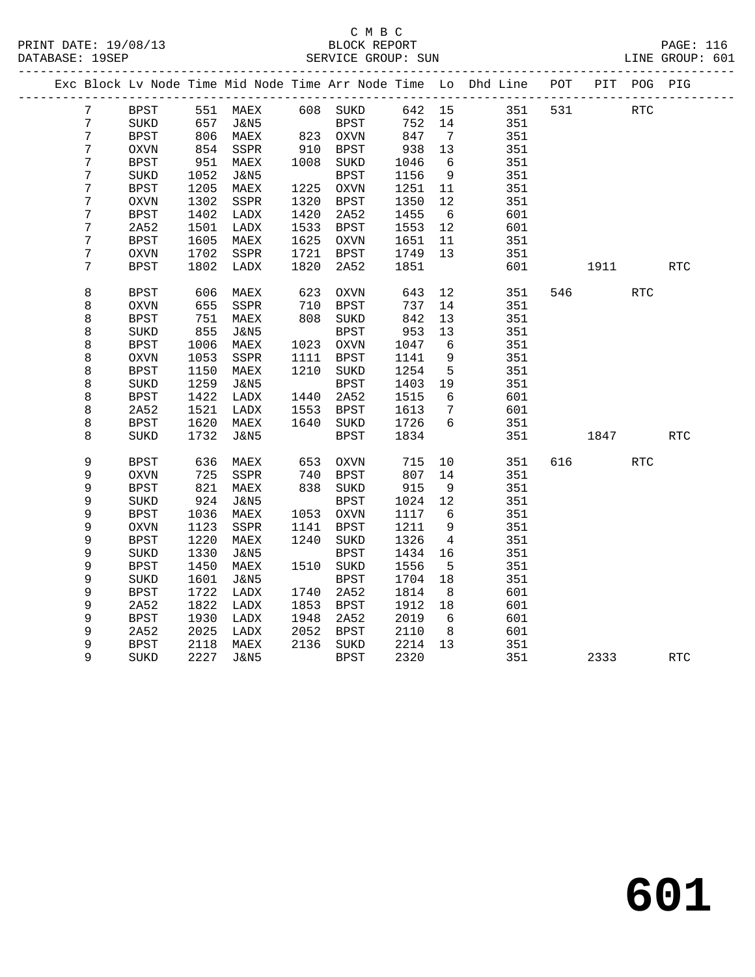#### C M B C<br>BLOCK REPORT SERVICE GROUP: SUN

|                |               |      | Exc Block Lv Node Time Mid Node Time Arr Node Time Lo Dhd Line POT |      |                  |         |                 |     |     |             | PIT POG PIG |            |
|----------------|---------------|------|--------------------------------------------------------------------|------|------------------|---------|-----------------|-----|-----|-------------|-------------|------------|
| 7              | BPST          |      | 551 MAEX 608 SUKD                                                  |      |                  | 642 15  |                 | 351 | 531 | <b>RTC</b>  |             |            |
| 7              | SUKD          | 657  | J&N5                                                               |      | BPST<br>823 OXVN | 752 14  |                 | 351 |     |             |             |            |
| 7              | <b>BPST</b>   |      | 806 MAEX                                                           |      |                  | 847     | $\overline{7}$  | 351 |     |             |             |            |
| $\overline{7}$ | <b>OXVN</b>   |      | 854 SSPR                                                           |      | 910 BPST         | 938     | 13              | 351 |     |             |             |            |
| $\overline{7}$ | BPST          | 951  | MAEX                                                               |      | 1008 SUKD        | 1046    | - 6             | 351 |     |             |             |            |
| 7              | SUKD          | 1052 | J&N5                                                               |      | BPST             | 1156    | - 9             | 351 |     |             |             |            |
| 7              | <b>BPST</b>   | 1205 | MAEX                                                               | 1225 | OXVN             | 1251 11 |                 | 351 |     |             |             |            |
| 7              | OXVN          | 1302 | SSPR                                                               | 1320 | BPST             | 1350    | 12              | 351 |     |             |             |            |
| $\overline{7}$ | <b>BPST</b>   | 1402 | LADX                                                               | 1420 | 2A52             | 1455    | $6\overline{6}$ | 601 |     |             |             |            |
| 7              | 2A52          | 1501 | LADX                                                               | 1533 | BPST             | 1553    | 12              | 601 |     |             |             |            |
| 7              | $_{\rm BPST}$ | 1605 | MAEX                                                               | 1625 | OXVN             | 1651    | 11              | 351 |     |             |             |            |
| 7              | OXVN          | 1702 | SSPR                                                               | 1721 | BPST             | 1749    | 13              | 351 |     |             |             |            |
| 7              | <b>BPST</b>   | 1802 | LADX                                                               | 1820 | 2A52             | 1851    |                 | 601 |     | 1911 — 1911 |             | <b>RTC</b> |
| 8              | <b>BPST</b>   | 606  | MAEX                                                               | 623  | <b>OXVN</b>      | 643     | 12              | 351 |     | 546 540     | <b>RTC</b>  |            |
| 8              | OXVN          | 655  | SSPR                                                               | 710  | BPST             | 737     | 14              | 351 |     |             |             |            |
| 8              | <b>BPST</b>   | 751  | MAEX                                                               | 808  | ${\tt SUKD}$     | 842     | 13              | 351 |     |             |             |            |
| 8              | SUKD          | 855  | J&N5                                                               |      | BPST             | 953     | 13              | 351 |     |             |             |            |
| 8              | <b>BPST</b>   | 1006 | MAEX                                                               |      | 1023 OXVN        | 1047    | $6\overline{6}$ | 351 |     |             |             |            |
| 8              | <b>OXVN</b>   | 1053 | SSPR                                                               |      | 1111 BPST        | 1141    | 9               | 351 |     |             |             |            |
| 8              | <b>BPST</b>   | 1150 | MAEX                                                               | 1210 | SUKD             | 1254    | $5^{\circ}$     | 351 |     |             |             |            |
| 8              | SUKD          | 1259 | J&N5                                                               |      | $_{\rm BPST}$    | 1403    | 19              | 351 |     |             |             |            |
| 8              | <b>BPST</b>   | 1422 | LADX                                                               | 1440 | 2A52             | 1515    | $6\overline{6}$ | 601 |     |             |             |            |
| 8              | 2A52          | 1521 | LADX                                                               | 1553 | BPST             | 1613    | $\overline{7}$  | 601 |     |             |             |            |
| 8              | BPST          | 1620 | MAEX                                                               | 1640 | SUKD             | 1726    | 6               | 351 |     |             |             |            |
| 8              | SUKD          | 1732 | J&N5                                                               |      | BPST             | 1834    |                 | 351 |     | 1847        |             | <b>RTC</b> |
|                |               |      |                                                                    |      |                  |         |                 |     |     |             |             |            |
| 9              | <b>BPST</b>   | 636  | MAEX                                                               | 653  | OXVN             | 715     | 10              | 351 | 616 |             | <b>RTC</b>  |            |
| 9              | $\rm OXVN$    | 725  | SSPR                                                               | 740  | BPST             | 807     | 14              | 351 |     |             |             |            |
| 9              | <b>BPST</b>   | 821  | MAEX                                                               |      | 838 SUKD         | 915     | 9               | 351 |     |             |             |            |
| 9              | SUKD          | 924  | J&N5                                                               |      | <b>BPST</b>      | 1024    | 12              | 351 |     |             |             |            |
| 9              | BPST          | 1036 | MAEX                                                               |      | 1053 OXVN        | 1117    | 6               | 351 |     |             |             |            |
| 9              | <b>OXVN</b>   | 1123 | SSPR                                                               | 1141 | BPST             | 1211    | 9               | 351 |     |             |             |            |
| 9              | <b>BPST</b>   | 1220 | MAEX                                                               | 1240 | SUKD             | 1326    | $\overline{4}$  | 351 |     |             |             |            |
| 9              | SUKD          | 1330 | <b>J&amp;N5</b>                                                    |      | <b>BPST</b>      | 1434    | 16              | 351 |     |             |             |            |
| 9              | <b>BPST</b>   | 1450 | MAEX                                                               |      | 1510 SUKD        | 1556    | 5               | 351 |     |             |             |            |
| 9              | SUKD          | 1601 | J&N5                                                               |      | BPST             | 1704    | 18              | 351 |     |             |             |            |
| 9              | <b>BPST</b>   | 1722 | LADX                                                               | 1740 | 2A52             | 1814    | 8 <sup>8</sup>  | 601 |     |             |             |            |
| 9              | 2A52          | 1822 | LADX                                                               | 1853 | BPST             | 1912    | 18              | 601 |     |             |             |            |
| 9              | <b>BPST</b>   | 1930 | LADX                                                               | 1948 | 2A52             | 2019    | 6               | 601 |     |             |             |            |
| 9              | 2A52          | 2025 | LADX                                                               |      | 2052 BPST        | 2110    | 8 <sup>8</sup>  | 601 |     |             |             |            |
| 9              | <b>BPST</b>   | 2118 | MAEX                                                               |      | 2136 SUKD        | 2214    | 13              | 351 |     |             |             |            |
| 9              | SUKD          | 2227 | J&N5                                                               |      | BPST             | 2320    |                 | 351 |     | 2333        |             | RTC        |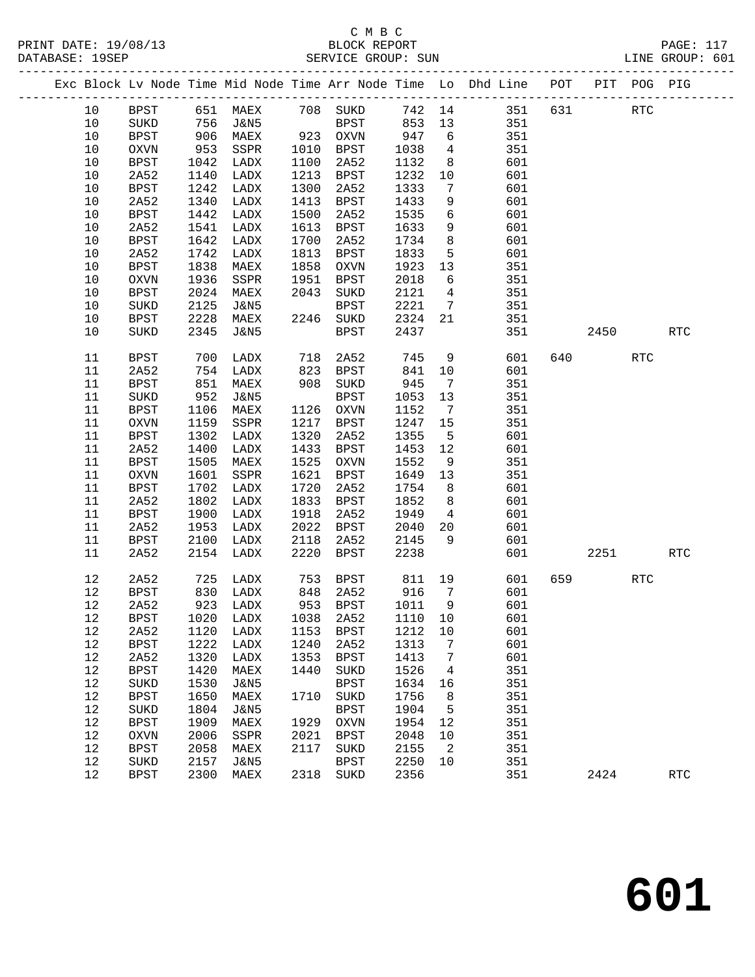#### C M B C<br>BLOCK REPORT SERVICE GROUP: SUN

|  |      |             |      |                                  |      |                     |      |                 | Exc Block Lv Node Time Mid Node Time Arr Node Time Lo Dhd Line POT |     |      | PIT POG PIG          |            |
|--|------|-------------|------|----------------------------------|------|---------------------|------|-----------------|--------------------------------------------------------------------|-----|------|----------------------|------------|
|  | 10   | BPST        |      | 651 MAEX                         |      | 708 SUKD            |      | 742 14          | 351                                                                | 631 |      | $\operatorname{RTC}$ |            |
|  | 10   | SUKD        | 756  | J&N5                             |      | BPST                | 853  | 13              | 351                                                                |     |      |                      |            |
|  | $10$ | BPST        | 906  | MAEX                             |      | BPST<br>923    OXVN | 947  | 6               | 351                                                                |     |      |                      |            |
|  | $10$ | OXVN        | 953  | SSPR                             | 1010 | BPST                | 1038 | $\overline{4}$  | 351                                                                |     |      |                      |            |
|  | 10   | <b>BPST</b> | 1042 | LADX                             | 1100 | 2A52                | 1132 | 8               | 601                                                                |     |      |                      |            |
|  | $10$ | 2A52        | 1140 | LADX                             | 1213 | <b>BPST</b>         | 1232 | 10              | 601                                                                |     |      |                      |            |
|  | 10   | <b>BPST</b> | 1242 | LADX                             | 1300 | 2A52                | 1333 | $7\phantom{.0}$ | 601                                                                |     |      |                      |            |
|  | $10$ | 2A52        | 1340 | LADX                             | 1413 | <b>BPST</b>         | 1433 | 9               | 601                                                                |     |      |                      |            |
|  | 10   | <b>BPST</b> | 1442 | LADX                             | 1500 | 2A52                | 1535 | 6               | 601                                                                |     |      |                      |            |
|  | 10   | 2A52        | 1541 | LADX                             | 1613 | <b>BPST</b>         | 1633 | 9               | 601                                                                |     |      |                      |            |
|  | $10$ | <b>BPST</b> | 1642 | LADX                             | 1700 | 2A52                | 1734 | 8               | 601                                                                |     |      |                      |            |
|  | $10$ | 2A52        | 1742 | LADX                             | 1813 | <b>BPST</b>         | 1833 | 5               | 601                                                                |     |      |                      |            |
|  | 10   | BPST        | 1838 | MAEX                             | 1858 | OXVN                | 1923 | 13              | 351                                                                |     |      |                      |            |
|  | 10   | $\rm OXVN$  | 1936 | SSPR                             | 1951 | <b>BPST</b>         | 2018 | 6               | 351                                                                |     |      |                      |            |
|  | 10   | <b>BPST</b> | 2024 | MAEX                             | 2043 | SUKD                | 2121 | $\overline{4}$  | 351                                                                |     |      |                      |            |
|  | $10$ | SUKD        | 2125 | J&N5                             |      | BPST                | 2221 | $7\overline{ }$ | 351                                                                |     |      |                      |            |
|  | $10$ | BPST        | 2228 | MAEX                             | 2246 | SUKD                | 2324 | 21              | 351                                                                |     |      |                      |            |
|  | 10   | SUKD        | 2345 | J&N5                             |      | BPST                | 2437 |                 | 351                                                                |     | 2450 |                      | <b>RTC</b> |
|  | 11   | BPST        | 700  | LADX                             | 718  | 2A52                | 745  | 9               | 601                                                                | 640 |      | <b>RTC</b>           |            |
|  | 11   | 2A52        | 754  | LADX                             | 823  | BPST                | 841  | 10              | 601                                                                |     |      |                      |            |
|  | 11   | <b>BPST</b> | 851  | MAEX                             | 908  | SUKD                | 945  | $7\overline{ }$ | 351                                                                |     |      |                      |            |
|  | 11   | SUKD        | 952  | J&N5                             |      | <b>BPST</b>         | 1053 | 13              | 351                                                                |     |      |                      |            |
|  | 11   | <b>BPST</b> | 1106 | MAEX                             | 1126 | OXVN                | 1152 | $7\overline{ }$ | 351                                                                |     |      |                      |            |
|  | 11   | OXVN        | 1159 | SSPR                             | 1217 | BPST                | 1247 | 15              | 351                                                                |     |      |                      |            |
|  | 11   | <b>BPST</b> | 1302 | LADX                             | 1320 | 2A52                | 1355 | $5^{\circ}$     | 601                                                                |     |      |                      |            |
|  | 11   | 2A52        | 1400 | LADX                             | 1433 | <b>BPST</b>         | 1453 | 12              | 601                                                                |     |      |                      |            |
|  | 11   | <b>BPST</b> | 1505 | MAEX                             | 1525 | OXVN                | 1552 | 9               | 351                                                                |     |      |                      |            |
|  | 11   | OXVN        | 1601 | SSPR                             | 1621 | <b>BPST</b>         | 1649 | 13              | 351                                                                |     |      |                      |            |
|  | 11   | <b>BPST</b> | 1702 | LADX                             | 1720 | 2A52                | 1754 | 8 <sup>8</sup>  | 601                                                                |     |      |                      |            |
|  | 11   | 2A52        | 1802 | LADX                             | 1833 | <b>BPST</b>         | 1852 | 8               | 601                                                                |     |      |                      |            |
|  | 11   | <b>BPST</b> | 1900 | LADX                             | 1918 | 2A52                | 1949 | $4\overline{4}$ | 601                                                                |     |      |                      |            |
|  | 11   | 2A52        | 1953 | LADX                             | 2022 | <b>BPST</b>         | 2040 | 20              | 601                                                                |     |      |                      |            |
|  | 11   | BPST        | 2100 | LADX                             | 2118 | 2A52                | 2145 | 9               | 601                                                                |     |      |                      |            |
|  | 11   | 2A52        | 2154 | LADX                             | 2220 | <b>BPST</b>         | 2238 |                 | 601                                                                |     | 2251 |                      | <b>RTC</b> |
|  | 12   | 2A52        | 725  | LADX                             | 753  | BPST                | 811  | 19              | 601                                                                | 659 |      | RTC                  |            |
|  | 12   | <b>BPST</b> | 830  | LADX                             | 848  | 2A52                | 916  | $\overline{7}$  | 601                                                                |     |      |                      |            |
|  | 12   | 2A52        |      | 923 LADX                         |      | 953 BPST            | 1011 | $\overline{9}$  | 601                                                                |     |      |                      |            |
|  | 12   |             |      | BPST 1020 LADX 1038 2A52 1110 10 |      |                     |      |                 | 601                                                                |     |      |                      |            |
|  | 12   | 2A52        | 1120 | LADX                             | 1153 | BPST                | 1212 | 10              | 601                                                                |     |      |                      |            |
|  | 12   | <b>BPST</b> | 1222 | LADX                             | 1240 | 2A52                | 1313 | 7               | 601                                                                |     |      |                      |            |
|  | 12   | 2A52        | 1320 | LADX                             | 1353 | <b>BPST</b>         | 1413 | 7               | 601                                                                |     |      |                      |            |
|  | 12   | <b>BPST</b> | 1420 | MAEX                             | 1440 | SUKD                | 1526 | 4               | 351                                                                |     |      |                      |            |
|  | 12   | SUKD        | 1530 | J&N5                             |      | <b>BPST</b>         | 1634 | 16              | 351                                                                |     |      |                      |            |
|  | 12   | <b>BPST</b> | 1650 | MAEX                             | 1710 | <b>SUKD</b>         | 1756 | 8               | 351                                                                |     |      |                      |            |
|  | 12   | SUKD        | 1804 | <b>J&amp;N5</b>                  |      | <b>BPST</b>         | 1904 | 5               | 351                                                                |     |      |                      |            |

 12 BPST 1909 MAEX 1929 OXVN 1954 12 351 12 OXVN 2006 SSPR 2021 BPST 2048 10 351 12 BPST 2058 MAEX 2117 SUKD 2155 2 351 12 SUKD 2157 J&N5 BPST 2250 10 351

12 BPST 2300 MAEX 2318 SUKD 2356 351 2424 RTC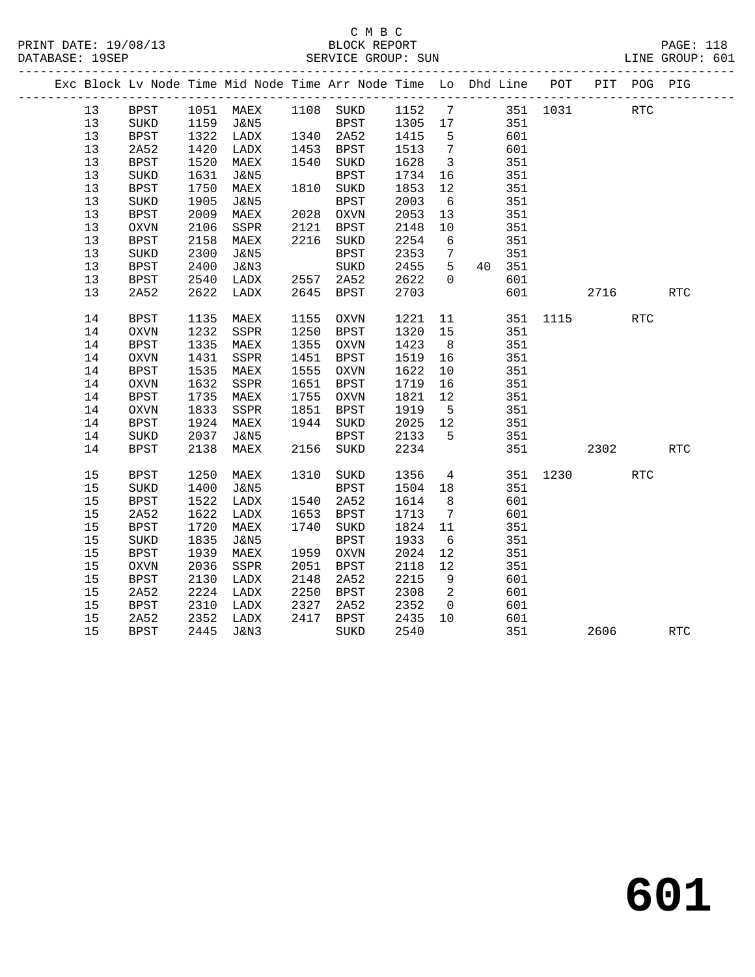#### C M B C<br>BLOCK REPORT SERVICE GROUP: SUN

|  |    |             |      |           |      | Exc Block Lv Node Time Mid Node Time Arr Node Time Lo Dhd Line POT                                  |              |                         |                 |        |          | PIT POG PIG |            |                      |
|--|----|-------------|------|-----------|------|-----------------------------------------------------------------------------------------------------|--------------|-------------------------|-----------------|--------|----------|-------------|------------|----------------------|
|  | 13 | <b>BPST</b> |      |           |      | 1051 MAEX 1108 SUKD 1152 7 351 1031<br>1159 J&N5 BPST 1305 17 351<br>1322 LADX 1340 2A52 1415 5 601 |              |                         |                 |        |          |             | <b>RTC</b> |                      |
|  | 13 | SUKD        |      |           |      |                                                                                                     |              |                         |                 |        |          |             |            |                      |
|  | 13 | <b>BPST</b> | 1322 |           |      |                                                                                                     |              |                         |                 |        |          |             |            |                      |
|  | 13 | 2A52        | 1420 | LADX      |      | 1453 BPST                                                                                           | 1513<br>1628 | $7\overline{)}$         |                 | 601    |          |             |            |                      |
|  | 13 | <b>BPST</b> | 1520 | MAEX      |      | 1540 SUKD                                                                                           | 1628         | $\overline{\mathbf{3}}$ |                 | 351    |          |             |            |                      |
|  | 13 | SUKD        | 1631 | J&N5      |      | <b>BPST</b>                                                                                         | 1734         | 16                      |                 | 351    |          |             |            |                      |
|  | 13 | <b>BPST</b> | 1750 | MAEX      |      | 1810 SUKD                                                                                           | 1853         | 12                      |                 | 351    |          |             |            |                      |
|  | 13 | SUKD        | 1905 | J&N5      |      | BPST                                                                                                | 2003<br>2053 | 6                       |                 | 351    |          |             |            |                      |
|  | 13 | <b>BPST</b> | 2009 | MAEX      |      | 2028 OXVN                                                                                           |              | 13                      |                 | 351    |          |             |            |                      |
|  | 13 | OXVN        | 2106 | SSPR      |      | 2121 BPST                                                                                           | 2148         | 10                      |                 | 351    |          |             |            |                      |
|  | 13 | <b>BPST</b> | 2158 | MAEX      |      | 2216 SUKD                                                                                           | 2254         | 6                       |                 | 351    |          |             |            |                      |
|  | 13 | $\rm SUKD$  | 2300 | J&N5      |      | <b>BPST</b>                                                                                         | 2353         | $7\overline{ }$         |                 | 351    |          |             |            |                      |
|  | 13 | <b>BPST</b> | 2400 | J&N3      |      | SUKD                                                                                                | 2455         | 5 <sup>5</sup>          |                 | 40 351 |          |             |            |                      |
|  | 13 | <b>BPST</b> | 2540 | LADX      |      | 2557 2A52                                                                                           | 2622         | $\overline{0}$          |                 | 601    |          |             |            |                      |
|  | 13 | 2A52        | 2622 | LADX      |      | 2645 BPST                                                                                           | 2703         |                         |                 | 601    |          | 2716        |            | RTC                  |
|  | 14 | <b>BPST</b> | 1135 | MAEX      | 1155 | OXVN                                                                                                | 1221         | 11                      |                 |        | 351 1115 |             | <b>RTC</b> |                      |
|  | 14 | $\rm OXVN$  | 1232 | SSPR      | 1250 | BPST                                                                                                | 1320 15      |                         |                 | 351    |          |             |            |                      |
|  | 14 | <b>BPST</b> | 1335 | MAEX      | 1355 | OXVN                                                                                                | 1423         | 8 <sup>8</sup>          |                 | 351    |          |             |            |                      |
|  | 14 | <b>OXVN</b> | 1431 | SSPR      | 1451 | BPST                                                                                                | 1519         | 16                      |                 | 351    |          |             |            |                      |
|  | 14 | BPST        | 1535 | MAEX      |      | 1555 OXVN                                                                                           | 1622         | 10                      |                 | 351    |          |             |            |                      |
|  | 14 | OXVN        | 1632 | SSPR      | 1651 | BPST                                                                                                | 1719         | 16                      |                 | 351    |          |             |            |                      |
|  | 14 | <b>BPST</b> | 1735 | MAEX      |      | 1755 OXVN                                                                                           | 1821         | 12                      |                 | 351    |          |             |            |                      |
|  | 14 | $\rm OXVN$  | 1833 | SSPR      |      | 1851 BPST                                                                                           | 1919         | $5\overline{)}$         |                 | 351    |          |             |            |                      |
|  | 14 | BPST        | 1924 | MAEX      |      | 1944 SUKD                                                                                           | 2025 12      |                         |                 | 351    |          |             |            |                      |
|  | 14 | SUKD        | 2037 | J&N5      |      | BPST                                                                                                | 2133         | 5 <sup>5</sup>          |                 | 351    |          |             |            |                      |
|  | 14 | <b>BPST</b> | 2138 | MAEX      |      | 2156 SUKD                                                                                           | 2234         |                         |                 | 351    |          | 2302        |            | $\operatorname{RTC}$ |
|  | 15 | <b>BPST</b> | 1250 | MAEX      |      | 1310 SUKD                                                                                           | 1356         |                         | $4\overline{ }$ |        | 351 1230 |             | <b>RTC</b> |                      |
|  | 15 | SUKD        | 1400 | J&N5      |      | <b>BPST</b>                                                                                         | 1504 18      |                         |                 | 351    |          |             |            |                      |
|  | 15 | BPST        | 1522 | LADX      |      | 1540 2A52                                                                                           | 1614         | 8 <sup>8</sup>          |                 | 601    |          |             |            |                      |
|  | 15 | 2A52        | 1622 | LADX      |      | 1653 BPST                                                                                           | 1713         | $\overline{7}$          |                 | 601    |          |             |            |                      |
|  | 15 | <b>BPST</b> | 1720 | MAEX      | 1740 | SUKD                                                                                                | 1824         | 11                      |                 | 351    |          |             |            |                      |
|  | 15 | $\rm SUKD$  | 1835 | J&N5      |      | <b>BPST</b>                                                                                         | 1933         | 6                       |                 | 351    |          |             |            |                      |
|  | 15 | <b>BPST</b> | 1939 | MAEX      |      | 1959 OXVN                                                                                           | 2024         | 12                      |                 | 351    |          |             |            |                      |
|  | 15 | <b>OXVN</b> | 2036 | SSPR      | 2051 | BPST                                                                                                | 2118         | 12                      |                 | 351    |          |             |            |                      |
|  | 15 | BPST        | 2130 | LADX      | 2148 | 2A52                                                                                                | 2215         | 9                       |                 | 601    |          |             |            |                      |
|  | 15 | 2A52        | 2224 | LADX      |      | 2250 BPST                                                                                           | 2308         | $\overline{\mathbf{2}}$ |                 | 601    |          |             |            |                      |
|  | 15 | <b>BPST</b> | 2310 | LADX      | 2327 | 2A52                                                                                                | 2352         | $\overline{0}$          |                 | 601    |          |             |            |                      |
|  | 15 | 2A52        | 2352 | LADX      |      | 2417 BPST                                                                                           | 2435<br>2540 | 10                      |                 | 601    |          |             |            |                      |
|  | 15 | <b>BPST</b> |      | 2445 J&N3 |      | SUKD                                                                                                | 2540         |                         |                 | 351    |          | 2606        |            | RTC                  |
|  |    |             |      |           |      |                                                                                                     |              |                         |                 |        |          |             |            |                      |

**601**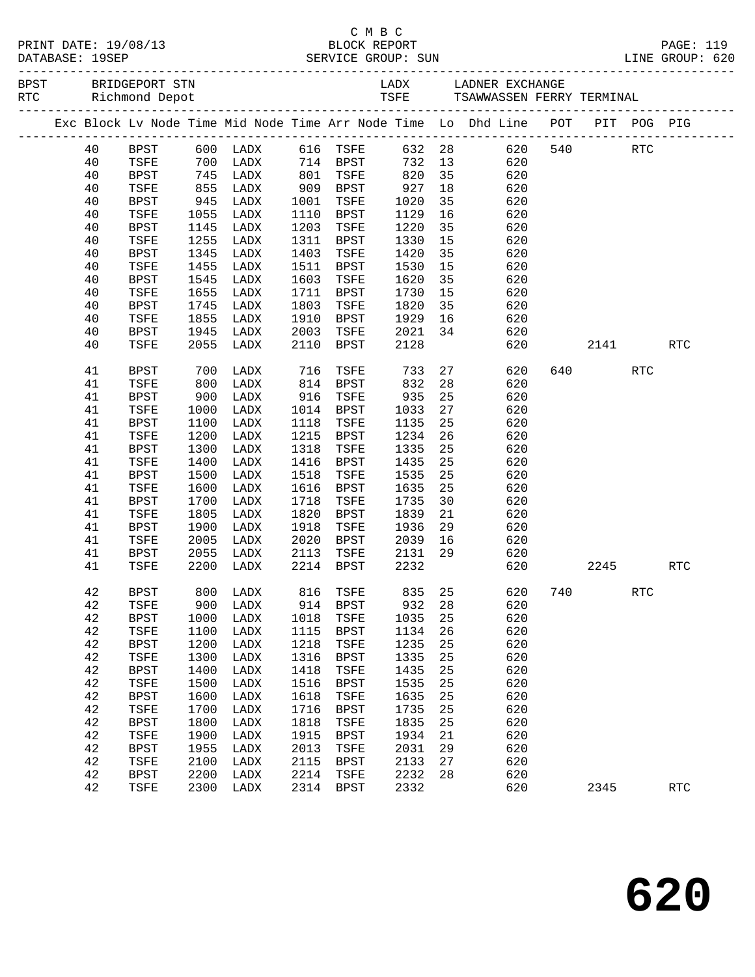| PRINT DATE: 19/08/13 | BLOCK REPORT       | PAGE: 119       |
|----------------------|--------------------|-----------------|
| DATABASE: 19SEP      | SERVICE GROUP: SUN | LINE GROUP: 620 |

#### C M B C DATABASE: 19SEP SERVICE GROUP: SUN SERVICE GROUP: 620

|  |    | BPST BRIDGEPORT STN<br>RTC Richmond Depot |            |                                                                                   |      |                      |                   |    | LADX LADNER EXCHANGE                                                           |     |      |            |                      |
|--|----|-------------------------------------------|------------|-----------------------------------------------------------------------------------|------|----------------------|-------------------|----|--------------------------------------------------------------------------------|-----|------|------------|----------------------|
|  |    |                                           |            |                                                                                   |      |                      |                   |    | Exc Block Lv Node Time Mid Node Time Arr Node Time Lo Dhd Line POT PIT POG PIG |     |      |            |                      |
|  | 40 |                                           |            |                                                                                   |      |                      |                   |    | BPST 600 LADX 616 TSFE 632 28 620 540 RTC                                      |     |      |            |                      |
|  | 40 | TSFE                                      |            | 700 LADX       714   BPST        732<br>745   LADX         801   TSFE         820 |      |                      |                   |    | 732 13 620<br>820 35 620                                                       |     |      |            |                      |
|  | 40 | BPST                                      |            |                                                                                   |      |                      |                   | 35 | 620                                                                            |     |      |            |                      |
|  | 40 | TSFE                                      | 855        | LADX                                                                              |      | 909 BPST             | 927               | 18 | 620                                                                            |     |      |            |                      |
|  | 40 | BPST                                      | 945        | LADX                                                                              | 1001 | TSFE                 | 1020              | 35 | 620                                                                            |     |      |            |                      |
|  | 40 | TSFE                                      | 1055       | LADX                                                                              |      | 1110 BPST            | 1129              | 16 | 620                                                                            |     |      |            |                      |
|  | 40 | BPST                                      | 1145       | LADX                                                                              | 1203 | TSFE                 | 1220              | 35 | 620                                                                            |     |      |            |                      |
|  | 40 | TSFE                                      | 1255       | LADX                                                                              | 1311 | BPST                 | 1330              | 15 | 620                                                                            |     |      |            |                      |
|  | 40 | BPST                                      | 1345       | LADX                                                                              | 1403 | TSFE                 | 1420              | 35 | 620                                                                            |     |      |            |                      |
|  | 40 | TSFE                                      | 1455       | LADX                                                                              | 1511 | BPST                 | 1530              | 15 | 620                                                                            |     |      |            |                      |
|  | 40 | BPST                                      | 1545       | LADX                                                                              | 1603 | TSFE                 | 1620              | 35 | 620                                                                            |     |      |            |                      |
|  | 40 | TSFE                                      | 1655       | LADX                                                                              | 1711 | BPST                 | 1730              | 15 | 620                                                                            |     |      |            |                      |
|  | 40 | <b>BPST</b>                               | 1745       | LADX                                                                              | 1803 | TSFE                 | 1820              | 35 | 620                                                                            |     |      |            |                      |
|  | 40 | TSFE                                      | 1855       | LADX                                                                              | 1910 | BPST                 | 1929              | 16 | 620                                                                            |     |      |            |                      |
|  | 40 | BPST                                      | 1945       | LADX                                                                              | 2003 | TSFE                 | $2021$ 34<br>2128 |    | 620                                                                            |     |      |            |                      |
|  | 40 | TSFE                                      |            | 2055 LADX                                                                         | 2110 | BPST                 | 2128              |    | 620                                                                            |     | 2141 |            | <b>RTC</b>           |
|  | 41 | BPST                                      |            | LADX                                                                              | 716  | TSFE                 | 733               |    | 27<br>620                                                                      |     | 640  | <b>RTC</b> |                      |
|  | 41 | TSFE                                      | 700<br>800 | LADX                                                                              |      | 814 BPST             | 832               | 28 | 620                                                                            |     |      |            |                      |
|  | 41 | BPST                                      | 900        | LADX                                                                              | 916  | TSFE                 | 935               | 25 | 620                                                                            |     |      |            |                      |
|  | 41 | TSFE                                      | 1000       | LADX                                                                              |      | 1014 BPST            | 1033              | 27 | 620                                                                            |     |      |            |                      |
|  | 41 | BPST                                      | 1100       | LADX                                                                              | 1118 | TSFE                 | 1135              | 25 | 620                                                                            |     |      |            |                      |
|  | 41 | TSFE                                      | 1200       | LADX                                                                              | 1215 | BPST                 | 1234              | 26 | 620                                                                            |     |      |            |                      |
|  | 41 | BPST                                      | 1300       | LADX                                                                              | 1318 | TSFE                 | 1335              | 25 | 620                                                                            |     |      |            |                      |
|  | 41 | TSFE                                      | 1400       | LADX                                                                              | 1416 | BPST                 | 1435              | 25 | 620                                                                            |     |      |            |                      |
|  | 41 | BPST                                      | 1500       | LADX                                                                              | 1518 | TSFE                 | 1535              | 25 | 620                                                                            |     |      |            |                      |
|  | 41 | TSFE                                      | 1600       | LADX                                                                              | 1616 | BPST                 | 1635              | 25 | 620                                                                            |     |      |            |                      |
|  | 41 | <b>BPST</b>                               | 1700       | LADX                                                                              | 1718 | TSFE                 | 1735              | 30 | 620                                                                            |     |      |            |                      |
|  | 41 | TSFE                                      | 1805       | LADX                                                                              | 1820 | BPST                 | 1839              | 21 | 620                                                                            |     |      |            |                      |
|  | 41 | BPST                                      | 1900       | LADX                                                                              | 1918 | TSFE                 | 1936              | 29 | 620                                                                            |     |      |            |                      |
|  | 41 | TSFE                                      | 2005       | LADX                                                                              | 2020 | BPST                 |                   | 16 | 620                                                                            |     |      |            |                      |
|  | 41 | BPST                                      | 2055       | LADX                                                                              | 2113 | TSFE                 | 2039<br>2131      | 29 | 620                                                                            |     |      |            |                      |
|  | 41 | TSFE                                      | 2200       | LADX                                                                              |      | 2214 BPST            | 2232              |    | 620                                                                            |     | 2245 |            | <b>RTC</b>           |
|  | 42 | BPST                                      | 800<br>900 | LADX                                                                              |      | 816 TSFE<br>914 BPST |                   |    | 835 25 620<br>932 28 620                                                       | 740 |      | <b>RTC</b> |                      |
|  | 42 | TSFE                                      |            | LADX                                                                              |      |                      |                   |    |                                                                                |     |      |            |                      |
|  |    |                                           |            |                                                                                   |      |                      |                   |    | 42 BPST 1000 LADX 1018 TSFE 1035 25 620                                        |     |      |            |                      |
|  | 42 | TSFE                                      | 1100       | LADX                                                                              | 1115 | BPST                 | 1134              | 26 | 620                                                                            |     |      |            |                      |
|  | 42 | <b>BPST</b>                               | 1200       | LADX                                                                              | 1218 | TSFE                 | 1235              | 25 | 620                                                                            |     |      |            |                      |
|  | 42 | TSFE                                      | 1300       | LADX                                                                              | 1316 | BPST                 | 1335              | 25 | 620                                                                            |     |      |            |                      |
|  | 42 | <b>BPST</b>                               | 1400       | LADX                                                                              | 1418 | TSFE                 | 1435              | 25 | 620                                                                            |     |      |            |                      |
|  | 42 | TSFE                                      | 1500       | LADX                                                                              | 1516 | <b>BPST</b>          | 1535              | 25 | 620                                                                            |     |      |            |                      |
|  | 42 | <b>BPST</b>                               | 1600       | LADX                                                                              | 1618 | TSFE                 | 1635              | 25 | 620                                                                            |     |      |            |                      |
|  | 42 | TSFE                                      | 1700       | LADX                                                                              | 1716 | <b>BPST</b>          | 1735              | 25 | 620                                                                            |     |      |            |                      |
|  | 42 | <b>BPST</b>                               | 1800       | LADX                                                                              | 1818 | TSFE                 | 1835              | 25 | 620                                                                            |     |      |            |                      |
|  | 42 | TSFE                                      | 1900       | LADX                                                                              | 1915 | <b>BPST</b>          | 1934              | 21 | 620                                                                            |     |      |            |                      |
|  | 42 | <b>BPST</b>                               | 1955       | LADX                                                                              | 2013 | TSFE                 | 2031              | 29 | 620                                                                            |     |      |            |                      |
|  | 42 | TSFE                                      | 2100       | LADX                                                                              | 2115 | BPST                 | 2133              | 27 | 620                                                                            |     |      |            |                      |
|  | 42 | BPST                                      | 2200       | LADX                                                                              | 2214 | TSFE                 | 2232              | 28 | 620                                                                            |     |      |            |                      |
|  | 42 | TSFE                                      | 2300       | LADX                                                                              | 2314 | BPST                 | 2332              |    | 620                                                                            |     | 2345 |            | $\operatorname{RTC}$ |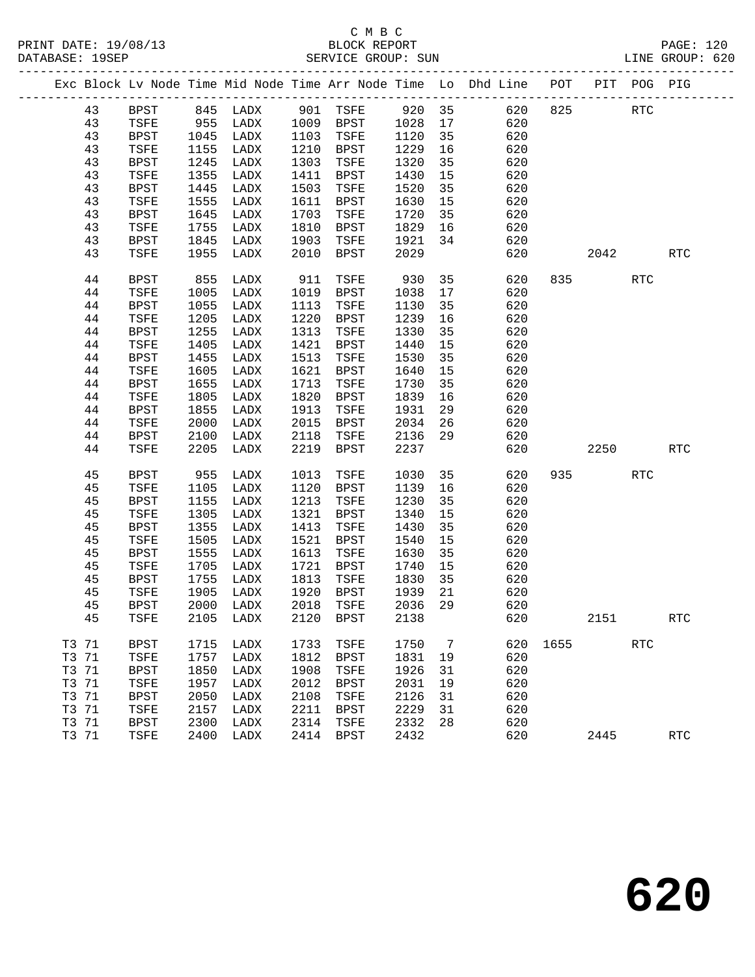#### C M B C<br>BLOCK REPORT SERVICE GROUP: SUN

|       |    |             |      |          |      |             |        |    | Exc Block Lv Node Time Mid Node Time Arr Node Time Lo Dhd Line POT |      |      | PIT POG PIG |                      |
|-------|----|-------------|------|----------|------|-------------|--------|----|--------------------------------------------------------------------|------|------|-------------|----------------------|
|       | 43 | BPST        |      | 845 LADX |      | 901 TSFE    | 920 35 |    | 620                                                                | 825  |      | <b>RTC</b>  |                      |
|       | 43 | TSFE        | 955  | LADX     |      | 1009 BPST   | 1028   | 17 | 620                                                                |      |      |             |                      |
|       | 43 | BPST        | 1045 | LADX     | 1103 | TSFE        | 1120   | 35 | 620                                                                |      |      |             |                      |
|       | 43 | TSFE        | 1155 | LADX     | 1210 | BPST        | 1229   | 16 | 620                                                                |      |      |             |                      |
|       | 43 | BPST        | 1245 | LADX     | 1303 | TSFE        | 1320   | 35 | 620                                                                |      |      |             |                      |
|       | 43 | TSFE        | 1355 | LADX     | 1411 | BPST        | 1430   | 15 | 620                                                                |      |      |             |                      |
|       | 43 | <b>BPST</b> | 1445 | LADX     | 1503 | TSFE        | 1520   | 35 | 620                                                                |      |      |             |                      |
|       | 43 | TSFE        | 1555 | LADX     | 1611 | BPST        | 1630   | 15 | 620                                                                |      |      |             |                      |
|       | 43 | <b>BPST</b> | 1645 | LADX     | 1703 | TSFE        | 1720   | 35 | 620                                                                |      |      |             |                      |
|       | 43 | TSFE        | 1755 | LADX     | 1810 | BPST        | 1829   | 16 | 620                                                                |      |      |             |                      |
|       | 43 | BPST        | 1845 | LADX     | 1903 | TSFE        | 1921   | 34 | 620                                                                |      |      |             |                      |
|       | 43 | TSFE        | 1955 | LADX     | 2010 | BPST        | 2029   |    | 620                                                                |      | 2042 |             | <b>RTC</b>           |
|       |    |             |      |          |      |             |        |    |                                                                    |      |      |             |                      |
|       | 44 | <b>BPST</b> | 855  | LADX     | 911  | TSFE        | 930    | 35 | 620                                                                | 835  |      | <b>RTC</b>  |                      |
|       | 44 | TSFE        | 1005 | LADX     | 1019 | BPST        | 1038   | 17 | 620                                                                |      |      |             |                      |
|       | 44 | <b>BPST</b> | 1055 | LADX     | 1113 | TSFE        | 1130   | 35 | 620                                                                |      |      |             |                      |
|       | 44 | TSFE        | 1205 | LADX     | 1220 | BPST        | 1239   | 16 | 620                                                                |      |      |             |                      |
|       | 44 | <b>BPST</b> | 1255 | LADX     | 1313 | TSFE        | 1330   | 35 | 620                                                                |      |      |             |                      |
|       | 44 | TSFE        | 1405 | LADX     | 1421 | BPST        | 1440   | 15 | 620                                                                |      |      |             |                      |
|       | 44 | <b>BPST</b> | 1455 | LADX     | 1513 | TSFE        | 1530   | 35 | 620                                                                |      |      |             |                      |
|       | 44 | TSFE        | 1605 | LADX     | 1621 | BPST        | 1640   | 15 | 620                                                                |      |      |             |                      |
|       | 44 | BPST        | 1655 | LADX     | 1713 | TSFE        | 1730   | 35 | 620                                                                |      |      |             |                      |
|       | 44 | TSFE        | 1805 | LADX     | 1820 | BPST        | 1839   | 16 | 620                                                                |      |      |             |                      |
|       | 44 | <b>BPST</b> | 1855 | LADX     | 1913 | TSFE        | 1931   | 29 | 620                                                                |      |      |             |                      |
|       | 44 | TSFE        | 2000 | LADX     | 2015 | BPST        | 2034   | 26 | 620                                                                |      |      |             |                      |
|       | 44 | BPST        | 2100 | LADX     | 2118 | TSFE        | 2136   | 29 | 620                                                                |      |      |             |                      |
|       | 44 | TSFE        | 2205 | LADX     | 2219 | BPST        | 2237   |    | 620                                                                |      | 2250 |             | <b>RTC</b>           |
|       | 45 | BPST        | 955  | LADX     | 1013 | TSFE        | 1030   | 35 | 620                                                                | 935  |      | <b>RTC</b>  |                      |
|       | 45 | TSFE        | 1105 | LADX     | 1120 | BPST        | 1139   | 16 | 620                                                                |      |      |             |                      |
|       | 45 | <b>BPST</b> | 1155 | LADX     | 1213 | TSFE        | 1230   | 35 | 620                                                                |      |      |             |                      |
|       | 45 | TSFE        | 1305 | LADX     | 1321 | <b>BPST</b> | 1340   | 15 | 620                                                                |      |      |             |                      |
|       | 45 | <b>BPST</b> | 1355 | LADX     | 1413 | TSFE        | 1430   | 35 | 620                                                                |      |      |             |                      |
|       | 45 | TSFE        | 1505 | LADX     | 1521 | BPST        | 1540   | 15 | 620                                                                |      |      |             |                      |
|       | 45 | <b>BPST</b> | 1555 | LADX     | 1613 | TSFE        | 1630   | 35 | 620                                                                |      |      |             |                      |
|       | 45 | TSFE        | 1705 | LADX     | 1721 | <b>BPST</b> | 1740   | 15 | 620                                                                |      |      |             |                      |
|       | 45 | BPST        | 1755 | LADX     | 1813 | TSFE        | 1830   | 35 | 620                                                                |      |      |             |                      |
|       | 45 | TSFE        | 1905 | LADX     | 1920 | BPST        | 1939   | 21 | 620                                                                |      |      |             |                      |
|       | 45 | BPST        | 2000 | LADX     | 2018 | TSFE        | 2036   | 29 | 620                                                                |      |      |             |                      |
|       | 45 | TSFE        | 2105 | LADX     | 2120 | BPST        | 2138   |    | 620                                                                |      | 2151 |             | RTC                  |
|       |    |             |      |          |      |             |        |    |                                                                    |      |      |             |                      |
| T3 71 |    | BPST        | 1715 | LADX     | 1733 | TSFE        | 1750   | 7  | 620                                                                | 1655 |      | <b>RTC</b>  |                      |
| T3 71 |    | TSFE        | 1757 | LADX     | 1812 | <b>BPST</b> | 1831   | 19 | 620                                                                |      |      |             |                      |
| T3 71 |    | <b>BPST</b> | 1850 | LADX     | 1908 | TSFE        | 1926   | 31 | 620                                                                |      |      |             |                      |
| T3 71 |    | TSFE        | 1957 | LADX     | 2012 | <b>BPST</b> | 2031   | 19 | 620                                                                |      |      |             |                      |
| T3 71 |    | <b>BPST</b> | 2050 | LADX     | 2108 | TSFE        | 2126   | 31 | 620                                                                |      |      |             |                      |
| T3 71 |    | TSFE        | 2157 | LADX     | 2211 | <b>BPST</b> | 2229   | 31 | 620                                                                |      |      |             |                      |
| T3 71 |    | <b>BPST</b> | 2300 | LADX     | 2314 | TSFE        | 2332   | 28 | 620                                                                |      |      |             |                      |
| T3 71 |    | TSFE        | 2400 | LADX     | 2414 | <b>BPST</b> | 2432   |    | 620                                                                |      | 2445 |             | $\operatorname{RTC}$ |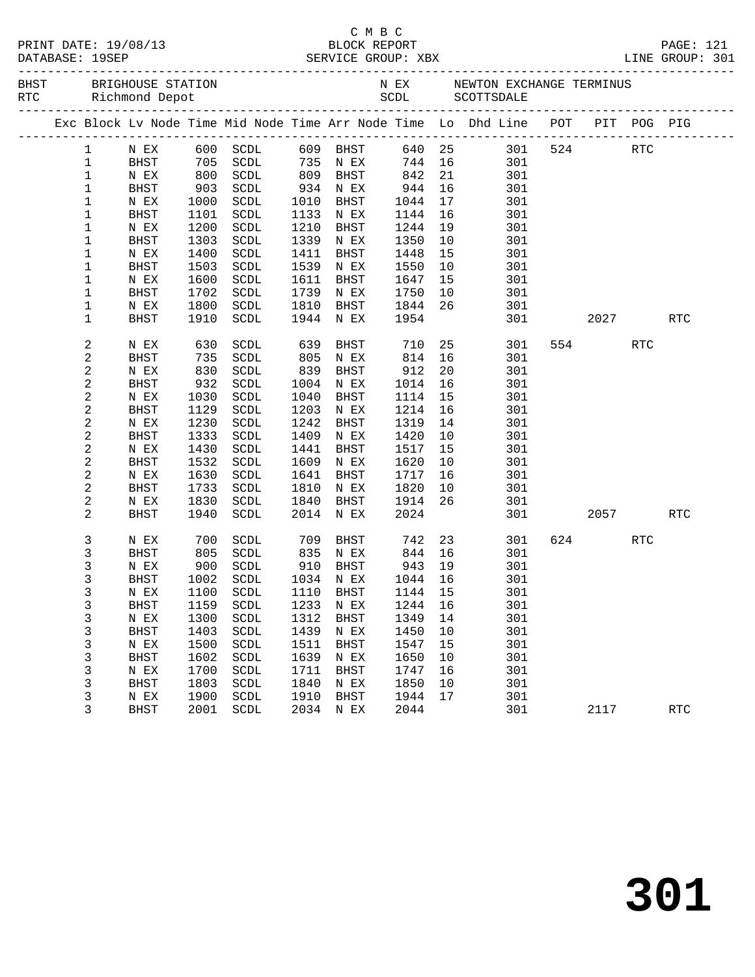|                |              |              |                                  |              |              |              |    |                                                                                |        |            | PAGE: 121<br>LINE GROUP: 301 |
|----------------|--------------|--------------|----------------------------------|--------------|--------------|--------------|----|--------------------------------------------------------------------------------|--------|------------|------------------------------|
|                |              |              |                                  |              |              |              |    |                                                                                |        |            |                              |
|                |              |              |                                  |              |              |              |    | Exc Block Lv Node Time Mid Node Time Arr Node Time Lo Dhd Line POT PIT POG PIG |        |            |                              |
| $\mathbf{1}$   | N EX         |              | 600 SCDL                         |              | 609 BHST     |              |    | 640 25 301 524 RTC                                                             |        |            |                              |
| $\mathbf{1}$   | BHST         | 705          | SCDL                             |              | 735 N EX     | 744 16       |    | 301                                                                            |        |            |                              |
| $\mathbf 1$    | N EX         | 800          | SCDL                             |              | 809 BHST     | 842          | 21 | 301                                                                            |        |            |                              |
| $\mathbf{1}$   | BHST         | 903<br>1000  | SCDL                             |              | 934 N EX     | 944          | 16 | 301                                                                            |        |            |                              |
| $\mathbf 1$    | N EX         | 1000         | SCDL                             | 1010         | BHST         | 1044         | 17 | 301                                                                            |        |            |                              |
| $\mathbf 1$    | BHST         | 1101         | SCDL                             | 1133         | N EX         | 1144         | 16 | 301                                                                            |        |            |                              |
| $\mathbf 1$    | N EX         | 1200         | SCDL                             | 1210         | BHST         | 1244         | 19 | 301                                                                            |        |            |                              |
| 1              | BHST         | 1303         | SCDL                             | 1339         | N EX         | 1350         | 10 | 301                                                                            |        |            |                              |
| $\mathbf 1$    | N EX         | 1400         | SCDL                             | 1411         | BHST         | 1448         | 15 | 301                                                                            |        |            |                              |
| 1              | BHST         | 1503         | SCDL                             | 1539         | N EX         | 1550         | 10 | 301                                                                            |        |            |                              |
| $\mathbf 1$    | N EX         | 1600         | SCDL                             | 1611         | BHST         | 1647         | 15 | 301                                                                            |        |            |                              |
| 1              | BHST         | 1702         | SCDL                             | 1739         | N EX         | 1750         | 10 | 301                                                                            |        |            |                              |
| $\mathbf 1$    | N EX         | 1800         | SCDL                             | 1810         | BHST         | 1844         | 26 | 301                                                                            |        |            |                              |
| 1              | BHST         | 1910         | SCDL                             | 1944         | N EX         | 1954         |    | 301                                                                            | 2027   |            | <b>RTC</b>                   |
| 2              | N EX         | 630          | SCDL                             | 639          | BHST         | 710          | 25 | 301                                                                            | 554    | <b>RTC</b> |                              |
| 2              | BHST         | 735          | SCDL                             | 805          | N EX         | 814          | 16 | 301                                                                            |        |            |                              |
| 2              | N EX         | 830          | SCDL                             | 839          | <b>BHST</b>  | 912          | 20 | 301                                                                            |        |            |                              |
| $\overline{c}$ | <b>BHST</b>  | 932          | SCDL                             | 1004         | N EX         | 1014         | 16 | 301                                                                            |        |            |                              |
| 2              | N EX         | 1030         | SCDL                             | 1040         | BHST         | 1114         | 15 | 301                                                                            |        |            |                              |
| $\overline{c}$ | BHST         | 1129         | SCDL                             | 1203         | N EX         | 1214         | 16 | 301                                                                            |        |            |                              |
| 2              | N EX         | 1230         | SCDL                             | 1242         | BHST         | 1319         | 14 | 301                                                                            |        |            |                              |
| $\overline{c}$ | BHST         | 1333         | SCDL                             | 1409         | N EX         | 1420         | 10 | 301                                                                            |        |            |                              |
| 2              | N EX         | 1430         | SCDL                             | 1441         | BHST         | 1517         | 15 | 301                                                                            |        |            |                              |
| $\overline{c}$ | BHST         | 1532         | SCDL                             | 1609         | N EX         | 1620         | 10 | 301                                                                            |        |            |                              |
| $\sqrt{2}$     | N EX         | 1630         | SCDL                             | 1641         | BHST         | 1717         | 16 | 301                                                                            |        |            |                              |
| $\overline{c}$ | BHST         | 1733         | SCDL                             | 1810         | N EX         | 1820         | 10 | 301                                                                            |        |            |                              |
| 2<br>2         | N EX<br>BHST | 1830<br>1940 | SCDL<br>SCDL                     | 1840<br>2014 | BHST<br>N EX | 1914<br>2024 | 26 | 301<br>301                                                                     | 2057   |            | <b>RTC</b>                   |
| 3              | N EX         | 700          | SCDL                             |              | 709 BHST     | 742          | 23 | 301                                                                            | 624 62 | <b>RTC</b> |                              |
| 3              | BHST         | 805          | SCDL                             |              | 835 N EX     | 844          | 16 | 301                                                                            |        |            |                              |
| 3              | N EX         | 900          | SCDL                             |              | 910 BHST     | $044$<br>943 | 19 | 301                                                                            |        |            |                              |
| 3              | <b>BHST</b>  | 1002         | SCDL                             |              | 1034 N EX    | 1044 16      |    | 301                                                                            |        |            |                              |
|                |              |              | N EX 1100 SCDL 1110 BHST 1144 15 |              |              |              |    | 301                                                                            |        |            |                              |
| 3              | <b>BHST</b>  | 1159         | SCDL                             | 1233         | N EX         | 1244         | 16 | 301                                                                            |        |            |                              |
| 3              | N EX         | 1300         | SCDL                             | 1312         | <b>BHST</b>  | 1349         | 14 | 301                                                                            |        |            |                              |
| 3              | <b>BHST</b>  | 1403         | SCDL                             | 1439         | N EX         | 1450         | 10 | 301                                                                            |        |            |                              |
| 3              | N EX         | 1500         | SCDL                             | 1511         | <b>BHST</b>  | 1547         | 15 | 301                                                                            |        |            |                              |
| 3              | <b>BHST</b>  | 1602         | SCDL                             | 1639         | N EX         | 1650         | 10 | 301                                                                            |        |            |                              |
| 3              | N EX         | 1700         | SCDL                             | 1711         | <b>BHST</b>  | 1747         | 16 | 301                                                                            |        |            |                              |
| 3              | <b>BHST</b>  | 1803         | SCDL                             | 1840         | N EX         | 1850         | 10 | 301                                                                            |        |            |                              |
| 3              | N EX         | 1900         | SCDL                             | 1910         | <b>BHST</b>  | 1944         | 17 | 301                                                                            |        |            |                              |
| 3              | BHST         | 2001         | SCDL                             | 2034         | N EX         | 2044         |    | 301                                                                            | 2117   |            | <b>RTC</b>                   |
|                |              |              |                                  |              |              |              |    |                                                                                |        |            |                              |

C M B C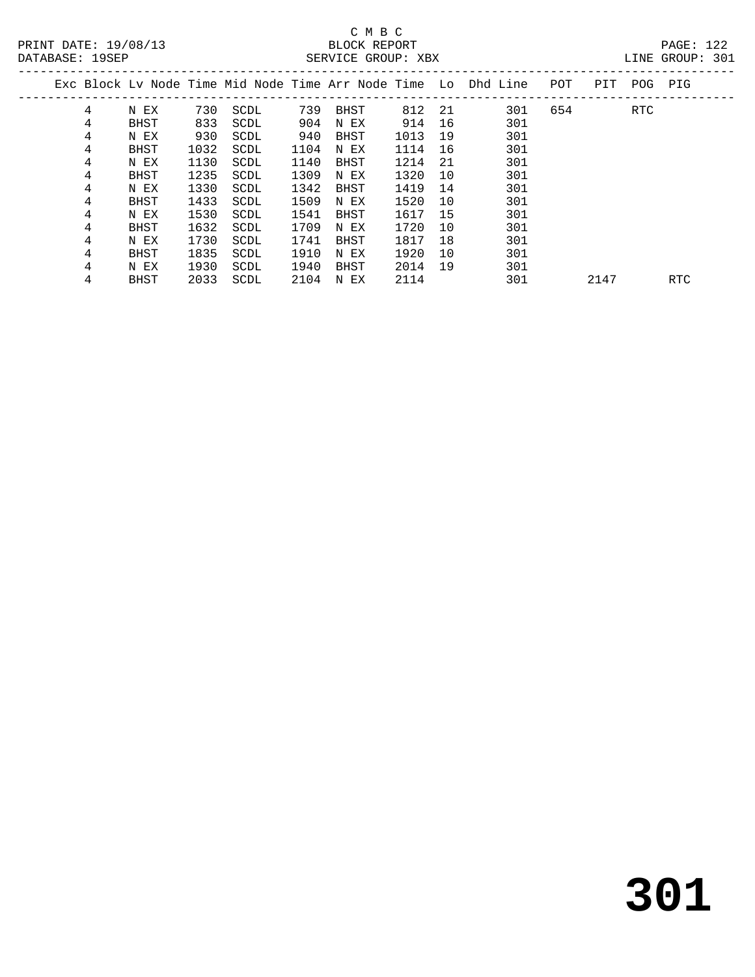# C M B C<br>BLOCK REPORT

DATABASE: 19SEP SERVICE GROUP: XBX LINE GROUP: 301

| DAIADAOE · IJOE |      |      |      |      | DEIVATOR GIVOOL . YDY |        |     |                                                                        |     |         | TIME GILOOL. | - ⊃ ∪ ⊥ |
|-----------------|------|------|------|------|-----------------------|--------|-----|------------------------------------------------------------------------|-----|---------|--------------|---------|
|                 |      |      |      |      |                       |        |     | Exc Block Lv Node Time Mid Node Time Arr Node Time  Lo  Dhd Line   POT |     | PIT POG | PIG          |         |
| 4               | N EX | 730  | SCDL | 739  | BHST                  | 812 21 |     | 301                                                                    | 654 | RTC     |              |         |
| 4               | BHST | 833  | SCDL | 904  | N EX                  | 914    | 16  | 301                                                                    |     |         |              |         |
| 4               | N EX | 930  | SCDL | 940  | BHST                  | 1013   | 19  | 301                                                                    |     |         |              |         |
| 4               | BHST | 1032 | SCDL | 1104 | N EX                  | 1114   | 16  | 301                                                                    |     |         |              |         |
| 4               | N EX | 1130 | SCDL | 1140 | BHST                  | 1214   | -21 | 301                                                                    |     |         |              |         |
| 4               | BHST | 1235 | SCDL | 1309 | N EX                  | 1320   | 10  | 301                                                                    |     |         |              |         |
| 4               | N EX | 1330 | SCDL | 1342 | BHST                  | 1419   | 14  | 301                                                                    |     |         |              |         |
| 4               | BHST | 1433 | SCDL | 1509 | N EX                  | 1520   | 10  | 301                                                                    |     |         |              |         |
| 4               | N EX | 1530 | SCDL | 1541 | BHST                  | 1617   | 15  | 301                                                                    |     |         |              |         |
| 4               | BHST | 1632 | SCDL | 1709 | N EX                  | 1720   | 10  | 301                                                                    |     |         |              |         |
| 4               | N EX | 1730 | SCDL | 1741 | BHST                  | 1817   | 18  | 301                                                                    |     |         |              |         |

4 BHST 2033 SCDL 2104 N EX 2114 301 2147 RTC

 4 BHST 1835 SCDL 1910 N EX 1920 10 301 4 N EX 1930 SCDL 1940 BHST 2014 19 301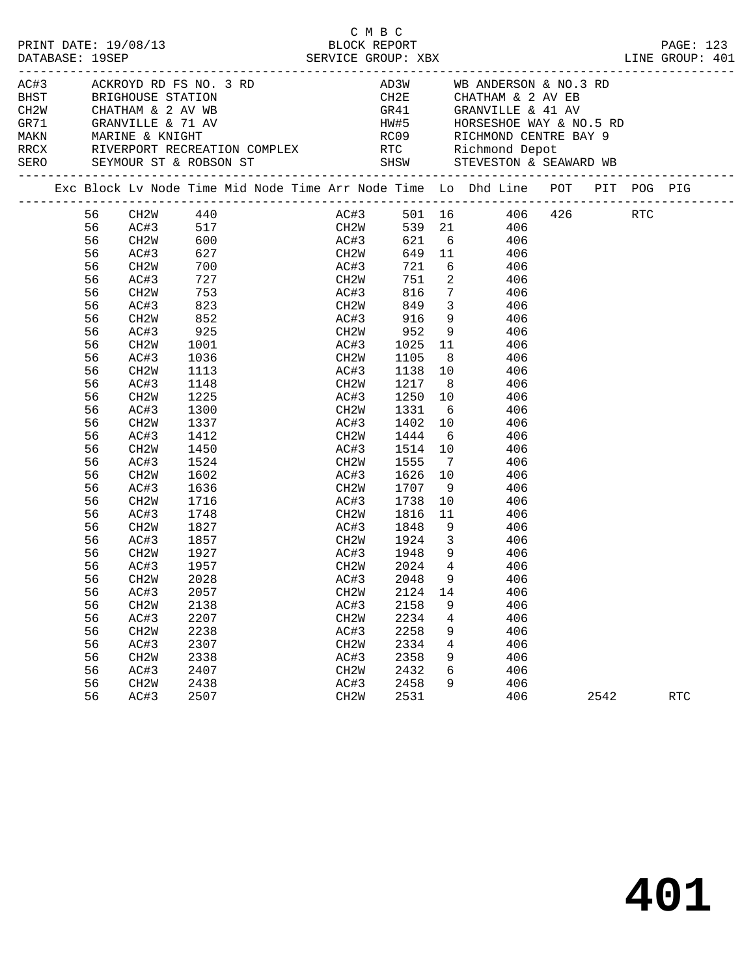|  |    |                   |      | PRINT DATE: 19/08/13 BLOCK REPORT DATABASE: 19SEP |                   | SERVICE GROUP: XBX          |                 |                                                                                                                                                                                                               |      | PAGE: 123<br>LINE GROUP: 401 |  |
|--|----|-------------------|------|---------------------------------------------------|-------------------|-----------------------------|-----------------|---------------------------------------------------------------------------------------------------------------------------------------------------------------------------------------------------------------|------|------------------------------|--|
|  |    |                   |      | GR71 GRANVILLE & 71 AV<br>MAKN MARINE & KNIGHT    |                   |                             |                 | HW#5 HORSESHOE WAY & NO.5 RD<br>MARINE & KNIGHT MARINE & KNIGHT ROOP RICHMOND CENTRE BAY 9<br>RECX RIVERPORT RECREATION COMPLEX RTC Richmond Depot<br>SERO SEYMOUR ST & ROBSON ST SHSW STEVESTON & SEAWARD WB |      |                              |  |
|  |    |                   |      |                                                   |                   |                             |                 |                                                                                                                                                                                                               |      |                              |  |
|  |    |                   |      |                                                   |                   |                             |                 | Exc Block Lv Node Time Mid Node Time Arr Node Time Lo Dhd Line POT PIT POG PIG                                                                                                                                |      |                              |  |
|  |    |                   |      |                                                   |                   |                             |                 |                                                                                                                                                                                                               |      |                              |  |
|  |    |                   |      |                                                   |                   |                             |                 | 56 CH2W 440<br>AC#3 501 16 406 426 RTC                                                                                                                                                                        |      |                              |  |
|  | 56 |                   |      | AC#3 517                                          |                   |                             |                 | CH2W 539 21 406                                                                                                                                                                                               |      |                              |  |
|  | 56 | CH2W              |      |                                                   | AC#3              |                             |                 | 621 6 406                                                                                                                                                                                                     |      |                              |  |
|  | 56 | AC#3              |      | 600<br>627<br>700                                 | CH2W<br>AC#3      | 649 11                      |                 | 406                                                                                                                                                                                                           |      |                              |  |
|  | 56 | CH2W              |      |                                                   |                   |                             |                 | $721 \t6 \t406$                                                                                                                                                                                               |      |                              |  |
|  | 56 | AC#3              |      | 727                                               | CH2W              |                             |                 | 751 2 406                                                                                                                                                                                                     |      |                              |  |
|  | 56 | CH2W              |      | 753<br>823<br>852<br>925                          | AC#3              |                             |                 | 816 7 406                                                                                                                                                                                                     |      |                              |  |
|  | 56 | AC#3              |      |                                                   |                   |                             |                 | CH2W 849 3 406<br>AC#3 916 9 406                                                                                                                                                                              |      |                              |  |
|  | 56 | CH2W              |      |                                                   |                   |                             |                 |                                                                                                                                                                                                               |      |                              |  |
|  | 56 | AC#3              |      |                                                   |                   | CH2W 952 9                  |                 | 406                                                                                                                                                                                                           |      |                              |  |
|  | 56 | CH2W              | 1001 |                                                   |                   |                             |                 |                                                                                                                                                                                                               |      |                              |  |
|  | 56 | AC#3              | 1036 |                                                   |                   |                             |                 | AC#3 1025 11 406<br>CH2W 1105 8 406<br>AC#3 1138 10 406                                                                                                                                                       |      |                              |  |
|  | 56 | CH2W              | 1113 |                                                   |                   |                             |                 |                                                                                                                                                                                                               |      |                              |  |
|  | 56 | AC#3              | 1148 |                                                   |                   |                             |                 | CH2W 1217 8 406                                                                                                                                                                                               |      |                              |  |
|  | 56 | CH2W              | 1225 |                                                   |                   |                             |                 | AC#3 1250 10 406                                                                                                                                                                                              |      |                              |  |
|  | 56 | AC#3              | 1300 |                                                   |                   |                             |                 |                                                                                                                                                                                                               |      |                              |  |
|  | 56 | CH2W              | 1337 |                                                   |                   |                             |                 | CH2W 1331 6 406<br>AC#3 1402 10 406                                                                                                                                                                           |      |                              |  |
|  | 56 | AC#3              | 1412 |                                                   |                   | CH2W 1444 6                 |                 | 406                                                                                                                                                                                                           |      |                              |  |
|  | 56 | CH2W              | 1450 |                                                   |                   |                             |                 | AC#3 1514 10 406                                                                                                                                                                                              |      |                              |  |
|  | 56 | AC#3              | 1524 |                                                   |                   |                             | $7\overline{ }$ | 406                                                                                                                                                                                                           |      |                              |  |
|  | 56 | CH2W              | 1602 |                                                   |                   | CH2W 1555 7<br>AC#3 1626 10 |                 | 406                                                                                                                                                                                                           |      |                              |  |
|  | 56 | AC#3              | 1636 |                                                   |                   | CH2W 1707 9                 |                 | 406                                                                                                                                                                                                           |      |                              |  |
|  | 56 | CH2W              | 1716 |                                                   |                   | AC#3 1738 10                |                 | 406                                                                                                                                                                                                           |      |                              |  |
|  | 56 | AC#3              | 1748 |                                                   |                   | CH2W 1816                   | 11              | 406                                                                                                                                                                                                           |      |                              |  |
|  | 56 | CH2W              |      |                                                   |                   | AC#3 1848                   | 9               | 406                                                                                                                                                                                                           |      |                              |  |
|  | 56 | AC#3              |      | 1827<br>1857                                      |                   |                             |                 | CH2W 1924 3 406                                                                                                                                                                                               |      |                              |  |
|  | 56 | CH2W              |      | 1927                                              |                   |                             |                 | AC#3 1948 9 406                                                                                                                                                                                               |      |                              |  |
|  | 56 | AC#3              | 1957 |                                                   |                   | CH2W 2024 4                 |                 | 406                                                                                                                                                                                                           |      |                              |  |
|  | 56 | CH2W              | 2028 |                                                   | AC#3              | 2048 9                      |                 | 406                                                                                                                                                                                                           |      |                              |  |
|  |    | 56 AC#3 2057      |      |                                                   |                   |                             |                 | CH2W 2124 14 406                                                                                                                                                                                              |      |                              |  |
|  | 56 | CH <sub>2</sub> M | 2138 |                                                   | AC#3              | 2158                        | 9               | 406                                                                                                                                                                                                           |      |                              |  |
|  | 56 | AC#3              | 2207 |                                                   | CH2W              | 2234                        | 4               | 406                                                                                                                                                                                                           |      |                              |  |
|  | 56 | CH2W              | 2238 |                                                   | AC#3              | 2258                        | 9               | 406                                                                                                                                                                                                           |      |                              |  |
|  | 56 | AC#3              | 2307 |                                                   | CH2W              | 2334                        | 4               | 406                                                                                                                                                                                                           |      |                              |  |
|  | 56 | CH <sub>2</sub> W | 2338 |                                                   | AC#3              | 2358                        | 9               | 406                                                                                                                                                                                                           |      |                              |  |
|  | 56 | AC#3              | 2407 |                                                   | CH2W              | 2432                        | 6               | 406                                                                                                                                                                                                           |      |                              |  |
|  | 56 | CH <sub>2</sub> W | 2438 |                                                   | AC#3              | 2458                        | 9               | 406                                                                                                                                                                                                           |      |                              |  |
|  | 56 | AC#3              |      |                                                   |                   | 2531                        |                 | 406                                                                                                                                                                                                           |      | <b>RTC</b>                   |  |
|  |    |                   | 2507 |                                                   | CH <sub>2</sub> M |                             |                 |                                                                                                                                                                                                               | 2542 |                              |  |

C M B C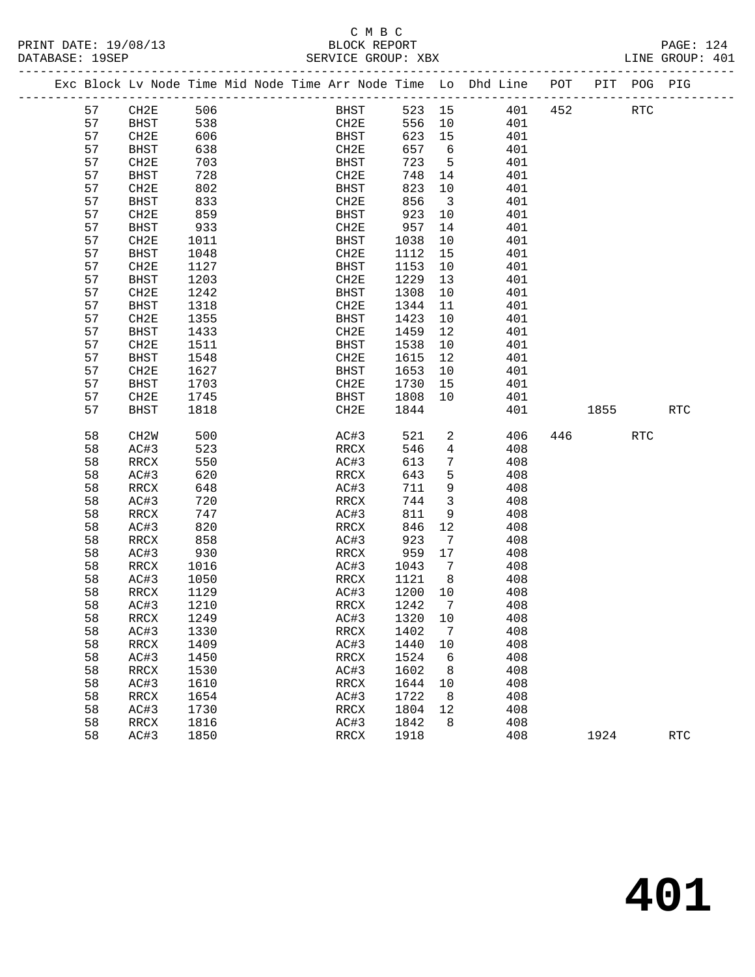#### C M B C DATABASE: 19SEP SERVICE GROUP: XBX

|    |                   |      | Exc Block Lv Node Time Mid Node Time Arr Node Time Lo Dhd Line POT<br>----------------------- |        |                         |     |     |      | PIT POG PIG |            |
|----|-------------------|------|-----------------------------------------------------------------------------------------------|--------|-------------------------|-----|-----|------|-------------|------------|
| 57 | CH2E              | 506  | BHST                                                                                          | 523 15 |                         | 401 | 452 |      | <b>RTC</b>  |            |
| 57 | BHST              | 538  | CH2E                                                                                          | 556 10 |                         | 401 |     |      |             |            |
| 57 | CH2E              | 606  | <b>BHST</b>                                                                                   | 623 15 |                         | 401 |     |      |             |            |
| 57 | <b>BHST</b>       | 638  | CH2E                                                                                          | 657    | 6                       | 401 |     |      |             |            |
| 57 | CH2E              | 703  | BHST                                                                                          | 723    | $5^{\circ}$             | 401 |     |      |             |            |
| 57 | <b>BHST</b>       | 728  | CH2E                                                                                          | 748    | 14                      | 401 |     |      |             |            |
| 57 | CH2E              | 802  | BHST                                                                                          | 823    | 10                      | 401 |     |      |             |            |
| 57 | BHST              | 833  | CH2E                                                                                          | 856    | $\overline{\mathbf{3}}$ | 401 |     |      |             |            |
| 57 | CH2E              | 859  | BHST                                                                                          | 923    | 10                      | 401 |     |      |             |            |
| 57 | <b>BHST</b>       | 933  | CH2E                                                                                          | 957    | 14                      | 401 |     |      |             |            |
| 57 | CH2E              | 1011 | BHST                                                                                          | 1038   | 10                      | 401 |     |      |             |            |
| 57 | <b>BHST</b>       | 1048 | CH2E                                                                                          | 1112   | 15                      | 401 |     |      |             |            |
| 57 | CH2E              | 1127 | <b>BHST</b>                                                                                   | 1153   | 10                      | 401 |     |      |             |            |
| 57 | <b>BHST</b>       | 1203 | CH2E                                                                                          | 1229   | 13                      | 401 |     |      |             |            |
| 57 | CH2E              | 1242 | <b>BHST</b>                                                                                   | 1308   | 10                      | 401 |     |      |             |            |
| 57 | BHST              | 1318 | CH2E                                                                                          | 1344   | 11                      | 401 |     |      |             |            |
| 57 | CH2E              | 1355 | BHST                                                                                          | 1423   | 10                      | 401 |     |      |             |            |
| 57 | <b>BHST</b>       | 1433 | CH2E                                                                                          | 1459   | 12                      | 401 |     |      |             |            |
| 57 | CH2E              | 1511 | <b>BHST</b>                                                                                   | 1538   | 10                      | 401 |     |      |             |            |
| 57 | <b>BHST</b>       | 1548 | CH2E                                                                                          | 1615   | 12                      | 401 |     |      |             |            |
| 57 | CH2E              | 1627 | BHST                                                                                          | 1653   | 10                      | 401 |     |      |             |            |
| 57 | <b>BHST</b>       | 1703 | CH2E                                                                                          | 1730   | 15                      | 401 |     |      |             |            |
| 57 | CH2E              | 1745 | BHST                                                                                          | 1808   | 10                      | 401 |     |      |             |            |
| 57 | <b>BHST</b>       | 1818 | CH2E                                                                                          | 1844   |                         | 401 |     | 1855 |             | <b>RTC</b> |
| 58 | CH <sub>2</sub> W | 500  | AC#3                                                                                          | 521    | $\overline{a}$          | 406 | 446 |      | <b>RTC</b>  |            |
| 58 | AC#3              | 523  | RRCX                                                                                          | 546    | $\overline{4}$          | 408 |     |      |             |            |
| 58 | RRCX              | 550  | AC#3                                                                                          | 613    | 7                       | 408 |     |      |             |            |
| 58 | AC#3              | 620  | RRCX                                                                                          | 643    | 5                       | 408 |     |      |             |            |
| 58 | RRCX              | 648  | AC#3                                                                                          | 711    | 9                       | 408 |     |      |             |            |
| 58 | AC#3              | 720  | RRCX                                                                                          | 744    | $\mathfrak{Z}$          | 408 |     |      |             |            |
| 58 | RRCX              | 747  | AC#3                                                                                          | 811    | 9                       | 408 |     |      |             |            |
| 58 | AC#3              | 820  | RRCX                                                                                          | 846    | 12                      | 408 |     |      |             |            |
| 58 | RRCX              | 858  | AC#3                                                                                          | 923    | 7                       | 408 |     |      |             |            |
| 58 | AC#3              | 930  | RRCX                                                                                          | 959    | 17                      | 408 |     |      |             |            |
| 58 | RRCX              | 1016 | AC#3                                                                                          | 1043   | 7                       | 408 |     |      |             |            |
| 58 | AC#3              | 1050 | <b>RRCX</b>                                                                                   | 1121   | 8                       | 408 |     |      |             |            |

 58 AC#3 1050 RRCX 1121 8 408 58 RRCX 1129 AC#3 1200 10 408 58 AC#3 1210 RRCX 1242 7 408

58 AC#3 1330 RRCX 1402 7 408

 58 AC#3 1450 RRCX 1524 6 408 58 RRCX 1530 AC#3 1602 8 408

58 RRCX 1654 AC#3 1722 8 408

58 RRCX 1816 AC#3 1842 8 408

58 RRCX 1249 AC#3 1320 10 408

 $\begin{array}{cccccccc} 58 & & & & & & 1409 & & & & & & 1440 & 10 & & & 408 \\ 58 & & & & & 1450 & & & & & & 1524 & 6 & & 408 \\ 58 & & & & & & & & & & & 1530 & & & & & 1602 & 8 & & & 408 \\ \end{array}$ 

58 AC#3 1610 RRCX 1644 10 408

1930 111 1931<br>
58 AC#3 1730 1730 RRCX 1804 12 408<br>
58 RRCX 1816 18143 1842 8 408

58 AC#3 1850 RRCX 1918 408 1924 RTC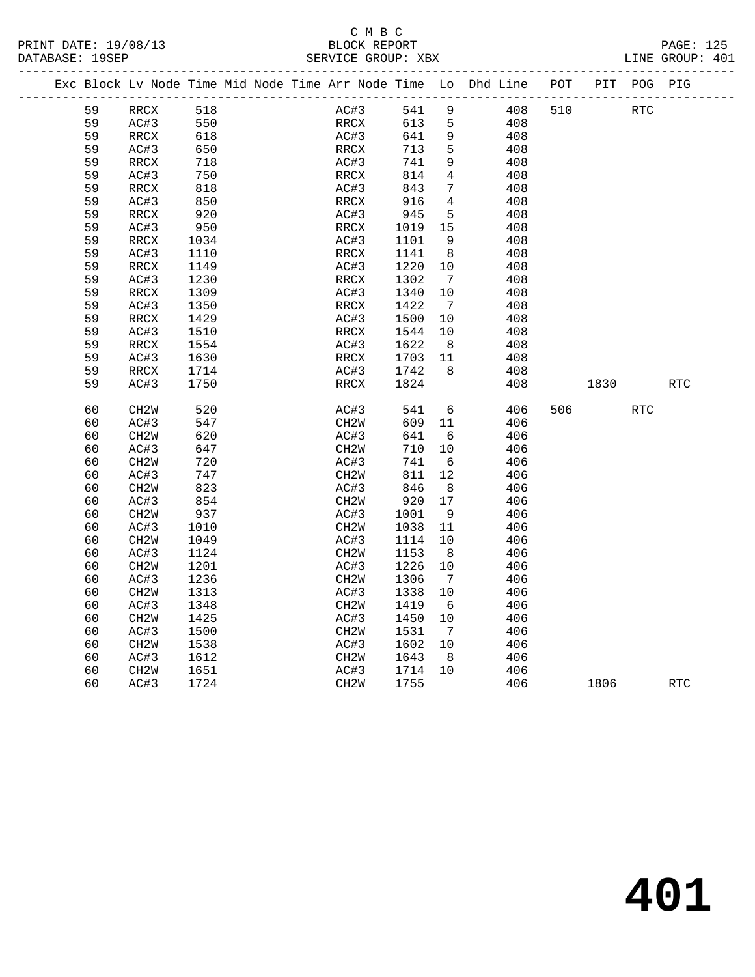#### C M B C<br>BLOCK REPORT SERVICE GROUP: XBX

|    |                          |      | Exc Block Lv Node Time Mid Node Time Arr Node Time Lo Dhd Line POT |                   |      |                 |     |     | PIT  | POG.                 | PIG                  |
|----|--------------------------|------|--------------------------------------------------------------------|-------------------|------|-----------------|-----|-----|------|----------------------|----------------------|
| 59 | RRCX                     | 518  |                                                                    | AC#3              | 541  | 9               | 408 | 510 |      | $\operatorname{RTC}$ |                      |
| 59 | AC#3                     | 550  |                                                                    | RRCX              | 613  | 5               | 408 |     |      |                      |                      |
| 59 | RRCX                     | 618  |                                                                    | AC#3              | 641  | 9               | 408 |     |      |                      |                      |
| 59 | AC#3                     | 650  |                                                                    | RRCX              | 713  | 5               | 408 |     |      |                      |                      |
| 59 | RRCX                     | 718  |                                                                    | AC#3              | 741  | 9               | 408 |     |      |                      |                      |
| 59 | AC#3                     | 750  |                                                                    | RRCX              | 814  | $\overline{4}$  | 408 |     |      |                      |                      |
| 59 | RRCX                     | 818  |                                                                    | AC#3              | 843  | $7\phantom{.0}$ | 408 |     |      |                      |                      |
| 59 | AC#3                     | 850  |                                                                    | RRCX              | 916  | $\overline{4}$  | 408 |     |      |                      |                      |
| 59 | RRCX                     | 920  |                                                                    | AC#3              | 945  | $5\overline{)}$ | 408 |     |      |                      |                      |
| 59 | AC#3                     | 950  |                                                                    | RRCX              | 1019 | 15              | 408 |     |      |                      |                      |
| 59 | RRCX                     | 1034 |                                                                    | AC#3              | 1101 | 9               | 408 |     |      |                      |                      |
| 59 | AC#3                     | 1110 |                                                                    | RRCX              | 1141 | 8               | 408 |     |      |                      |                      |
| 59 | $\mathop{\mathrm{RRCX}}$ | 1149 |                                                                    | AC#3              | 1220 | 10              | 408 |     |      |                      |                      |
| 59 | AC#3                     | 1230 |                                                                    | RRCX              | 1302 | $7\overline{ }$ | 408 |     |      |                      |                      |
| 59 | RRCX                     | 1309 |                                                                    | AC#3              | 1340 | 10              | 408 |     |      |                      |                      |
| 59 | AC#3                     | 1350 |                                                                    | RRCX              | 1422 | $7\phantom{.0}$ | 408 |     |      |                      |                      |
| 59 | RRCX                     | 1429 |                                                                    | AC#3              | 1500 | 10              | 408 |     |      |                      |                      |
| 59 | AC#3                     | 1510 |                                                                    | RRCX              | 1544 | 10              | 408 |     |      |                      |                      |
| 59 | RRCX                     | 1554 |                                                                    | AC#3              | 1622 | 8               | 408 |     |      |                      |                      |
| 59 | AC#3                     | 1630 |                                                                    | RRCX              | 1703 | 11              | 408 |     |      |                      |                      |
| 59 | RRCX                     | 1714 |                                                                    | AC#3              | 1742 | 8               | 408 |     |      |                      |                      |
| 59 | AC#3                     | 1750 |                                                                    | RRCX              | 1824 |                 | 408 |     | 1830 |                      | $\operatorname{RTC}$ |
| 60 | CH <sub>2</sub> W        | 520  |                                                                    | AC#3              | 541  | 6               | 406 | 506 |      | $\operatorname{RTC}$ |                      |
| 60 | AC#3                     | 547  |                                                                    | CH2W              | 609  | 11              | 406 |     |      |                      |                      |
| 60 | CH <sub>2</sub> W        | 620  |                                                                    | AC#3              | 641  | 6               | 406 |     |      |                      |                      |
| 60 | AC#3                     | 647  |                                                                    | CH2W              | 710  | 10              | 406 |     |      |                      |                      |
| 60 | CH2W                     | 720  |                                                                    | AC#3              | 741  | 6               | 406 |     |      |                      |                      |
| 60 | AC#3                     | 747  |                                                                    | CH2W              | 811  | 12              | 406 |     |      |                      |                      |
| 60 | CH2W                     | 823  |                                                                    | AC#3              | 846  | 8               | 406 |     |      |                      |                      |
| 60 | AC#3                     | 854  |                                                                    | CH2W              | 920  | 17              | 406 |     |      |                      |                      |
| 60 | CH <sub>2</sub> M        | 937  |                                                                    | AC#3              | 1001 | 9               | 406 |     |      |                      |                      |
| 60 | AC#3                     | 1010 |                                                                    | CH2W              | 1038 | 11              | 406 |     |      |                      |                      |
| 60 | CH2W                     | 1049 |                                                                    | AC#3              | 1114 | 10              | 406 |     |      |                      |                      |
| 60 | AC#3                     | 1124 |                                                                    | CH <sub>2</sub> W | 1153 | 8               | 406 |     |      |                      |                      |
| 60 | CH <sub>2</sub> M        | 1201 |                                                                    | AC#3              | 1226 | 10              | 406 |     |      |                      |                      |
| 60 | AC#3                     | 1236 |                                                                    | CH <sub>2</sub> W | 1306 | $7\overline{ }$ | 406 |     |      |                      |                      |
| 60 | CH <sub>2</sub> W        | 1313 |                                                                    | AC#3              | 1338 | 10              | 406 |     |      |                      |                      |
| 60 | AC#3                     | 1348 |                                                                    | CH <sub>2</sub> W | 1419 | 6               | 406 |     |      |                      |                      |
| 60 | CH <sub>2</sub> W        | 1425 |                                                                    | AC#3              | 1450 | 10              | 406 |     |      |                      |                      |

60 AC#3 1724 CH2W 1755 406 1806 RTC

 60 AC#3 1500 CH2W 1531 7 406 60 CH2W 1538 AC#3 1602 10 406 60 AC#3 1612 CH2W 1643 8 406 60 CH2W 1651 AC#3 1714 10 406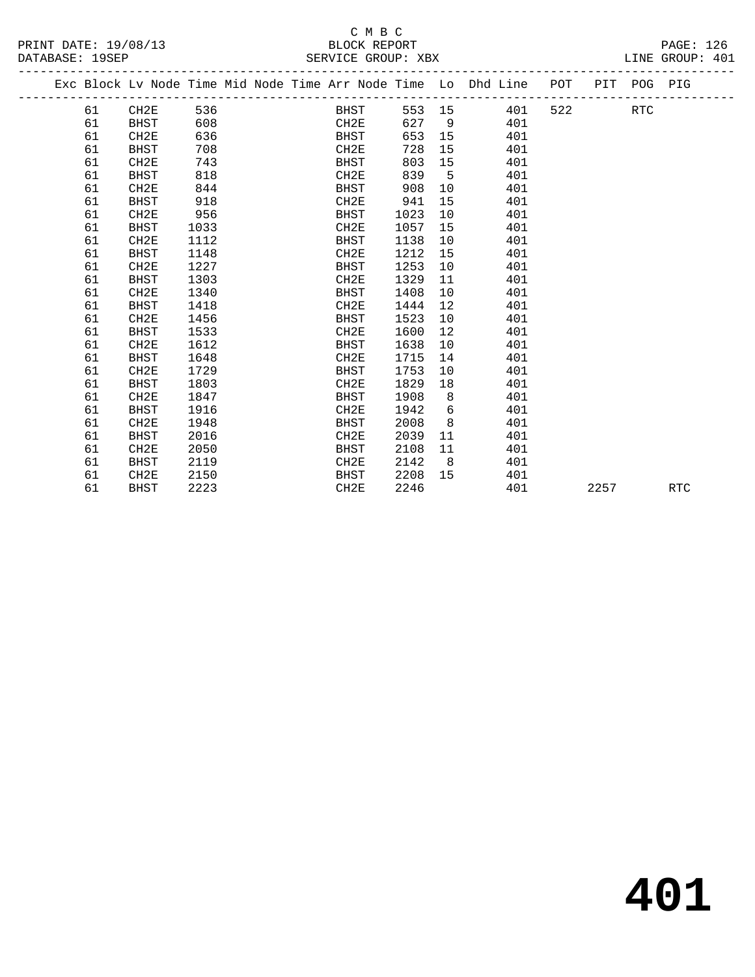#### C M B C<br>LOCK REPORT SERVICE GROUP: XBX

| 19/08/13<br>PRINT DATE:  | REPORT<br>אי∩רו פ         | PAGE:                             |
|--------------------------|---------------------------|-----------------------------------|
| DATABASE:<br><b>ASED</b> | XBX<br>GROIIP:<br>コアマソエムド | 20 <sup>-</sup><br>GROUP:<br>.TNE |

|    | Exc Block Lv Node Time Mid Node Time Arr Node Time Lo Dhd Line POT |      |  |      |      |      |                |        |     |     |      | PIT POG PIG |            |
|----|--------------------------------------------------------------------|------|--|------|------|------|----------------|--------|-----|-----|------|-------------|------------|
| 61 | CH2E                                                               | 536  |  |      | BHST |      |                | 553 15 | 401 | 522 |      | <b>RTC</b>  |            |
| 61 | <b>BHST</b>                                                        | 608  |  | CH2E |      | 627  | 9              |        | 401 |     |      |             |            |
| 61 | CH2E                                                               | 636  |  | BHST |      | 653  | 15             |        | 401 |     |      |             |            |
| 61 | <b>BHST</b>                                                        | 708  |  | CH2E |      | 728  | 15             |        | 401 |     |      |             |            |
| 61 | CH2E                                                               | 743  |  | BHST |      | 803  | 15             |        | 401 |     |      |             |            |
| 61 | <b>BHST</b>                                                        | 818  |  | CH2E |      | 839  | $-5$           |        | 401 |     |      |             |            |
| 61 | CH2E                                                               | 844  |  | BHST |      | 908  | 10             |        | 401 |     |      |             |            |
| 61 | BHST                                                               | 918  |  | CH2E |      | 941  | 15             |        | 401 |     |      |             |            |
| 61 | CH2E                                                               | 956  |  | BHST |      | 1023 | 10             |        | 401 |     |      |             |            |
| 61 | <b>BHST</b>                                                        | 1033 |  | CH2E |      | 1057 | 15             |        | 401 |     |      |             |            |
| 61 | CH2E                                                               | 1112 |  | BHST |      | 1138 | 10             |        | 401 |     |      |             |            |
| 61 | <b>BHST</b>                                                        | 1148 |  | CH2E |      | 1212 | 15             |        | 401 |     |      |             |            |
| 61 | CH2E                                                               | 1227 |  | BHST |      | 1253 | 10             |        | 401 |     |      |             |            |
| 61 | <b>BHST</b>                                                        | 1303 |  | CH2E |      | 1329 | 11             |        | 401 |     |      |             |            |
| 61 | CH2E                                                               | 1340 |  | BHST |      | 1408 | 10             |        | 401 |     |      |             |            |
| 61 | BHST                                                               | 1418 |  | CH2E |      | 1444 | 12             |        | 401 |     |      |             |            |
| 61 | CH2E                                                               | 1456 |  | BHST |      | 1523 | 10             |        | 401 |     |      |             |            |
| 61 | <b>BHST</b>                                                        | 1533 |  | CH2E |      | 1600 | 12             |        | 401 |     |      |             |            |
| 61 | CH <sub>2E</sub>                                                   | 1612 |  | BHST |      | 1638 | 10             |        | 401 |     |      |             |            |
| 61 | BHST                                                               | 1648 |  | CH2E |      | 1715 | 14             |        | 401 |     |      |             |            |
| 61 | CH2E                                                               | 1729 |  | BHST |      | 1753 | 10             |        | 401 |     |      |             |            |
| 61 | BHST                                                               | 1803 |  | CH2E |      | 1829 | 18             |        | 401 |     |      |             |            |
| 61 | CH <sub>2E</sub>                                                   | 1847 |  | BHST |      | 1908 | 8 <sup>8</sup> |        | 401 |     |      |             |            |
| 61 | <b>BHST</b>                                                        | 1916 |  | CH2E |      | 1942 | 6              |        | 401 |     |      |             |            |
| 61 | CH2E                                                               | 1948 |  | BHST |      | 2008 | 8              |        | 401 |     |      |             |            |
| 61 | <b>BHST</b>                                                        | 2016 |  | CH2E |      | 2039 | 11             |        | 401 |     |      |             |            |
| 61 | CH <sub>2E</sub>                                                   | 2050 |  | BHST |      | 2108 | 11             |        | 401 |     |      |             |            |
| 61 | BHST                                                               | 2119 |  | CH2E |      | 2142 | 8 <sup>8</sup> |        | 401 |     |      |             |            |
| 61 | CH2E                                                               | 2150 |  | BHST |      | 2208 | 15             |        | 401 |     |      |             |            |
| 61 | <b>BHST</b>                                                        | 2223 |  | CH2E |      | 2246 |                |        | 401 |     | 2257 |             | <b>RTC</b> |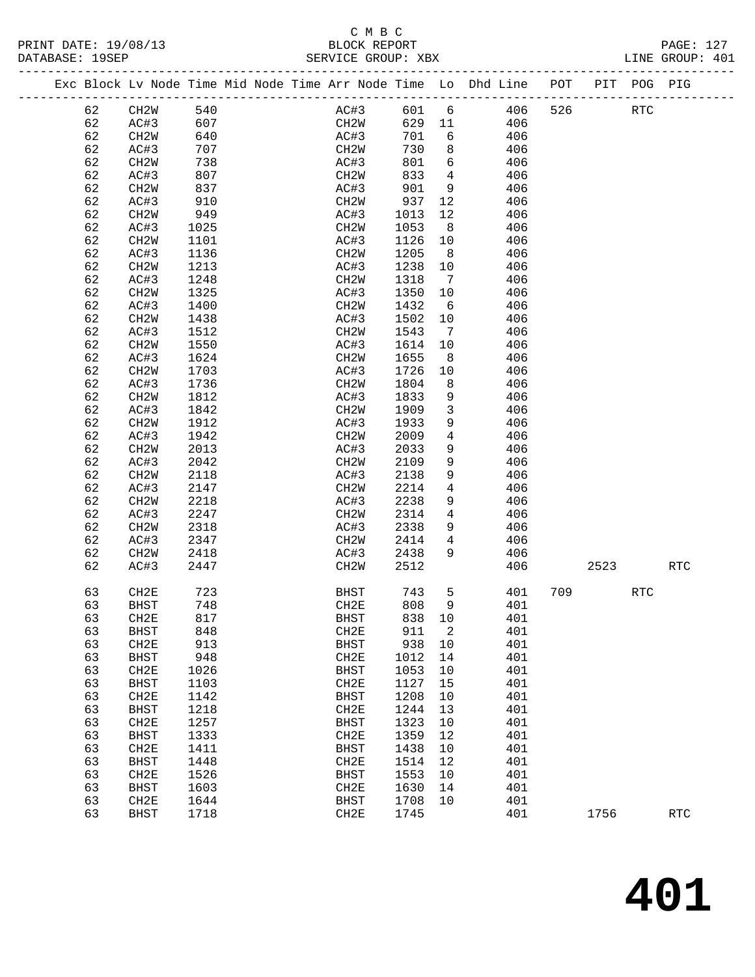#### C M B C<br>BLOCK REPORT SERVICE GROUP: XBX

|  |    |                   |      |  |                   |      |                 | Exc Block Lv Node Time Mid Node Time Arr Node Time Lo Dhd Line POT<br>-------------------------- |     |      | PIT POG PIG |            |  |
|--|----|-------------------|------|--|-------------------|------|-----------------|--------------------------------------------------------------------------------------------------|-----|------|-------------|------------|--|
|  | 62 | CH2W              | 540  |  | AC#3              | 601  | 6               | 406                                                                                              | 526 |      | <b>RTC</b>  |            |  |
|  | 62 | AC#3              | 607  |  | CH2W              | 629  | 11              | 406                                                                                              |     |      |             |            |  |
|  | 62 | CH2W              | 640  |  | AC#3              | 701  | 6               | 406                                                                                              |     |      |             |            |  |
|  | 62 | AC#3              | 707  |  | CH2W              | 730  | 8               | 406                                                                                              |     |      |             |            |  |
|  | 62 | CH <sub>2</sub> W | 738  |  | AC#3              | 801  | 6               | 406                                                                                              |     |      |             |            |  |
|  | 62 | AC#3              | 807  |  | CH2W              | 833  | $\overline{4}$  | 406                                                                                              |     |      |             |            |  |
|  | 62 | CH <sub>2</sub> W | 837  |  | AC#3              | 901  | 9               | 406                                                                                              |     |      |             |            |  |
|  | 62 | AC#3              | 910  |  | CH <sub>2</sub> M | 937  | 12              | 406                                                                                              |     |      |             |            |  |
|  | 62 | CH <sub>2</sub> W | 949  |  | AC#3              | 1013 | 12              | 406                                                                                              |     |      |             |            |  |
|  | 62 | AC#3              | 1025 |  | CH2W              | 1053 | 8               | 406                                                                                              |     |      |             |            |  |
|  | 62 | CH <sub>2</sub> W | 1101 |  | AC#3              | 1126 | 10              | 406                                                                                              |     |      |             |            |  |
|  | 62 | AC#3              | 1136 |  | CH2W              | 1205 | 8               | 406                                                                                              |     |      |             |            |  |
|  | 62 | CH <sub>2</sub> W | 1213 |  | AC#3              | 1238 | 10              | 406                                                                                              |     |      |             |            |  |
|  | 62 | AC#3              | 1248 |  | CH <sub>2</sub> M | 1318 | 7               | 406                                                                                              |     |      |             |            |  |
|  |    |                   |      |  |                   |      |                 |                                                                                                  |     |      |             |            |  |
|  | 62 | CH <sub>2</sub> W | 1325 |  | AC#3              | 1350 | 10              | 406                                                                                              |     |      |             |            |  |
|  | 62 | AC#3              | 1400 |  | CH2W              | 1432 | 6               | 406                                                                                              |     |      |             |            |  |
|  | 62 | CH <sub>2</sub> W | 1438 |  | AC#3              | 1502 | 10              | 406                                                                                              |     |      |             |            |  |
|  | 62 | AC#3              | 1512 |  | CH <sub>2</sub> W | 1543 | $7\phantom{.0}$ | 406                                                                                              |     |      |             |            |  |
|  | 62 | CH <sub>2</sub> W | 1550 |  | AC#3              | 1614 | 10              | 406                                                                                              |     |      |             |            |  |
|  | 62 | AC#3              | 1624 |  | CH2W              | 1655 | 8               | 406                                                                                              |     |      |             |            |  |
|  | 62 | CH <sub>2</sub> W | 1703 |  | AC#3              | 1726 | 10              | 406                                                                                              |     |      |             |            |  |
|  | 62 | AC#3              | 1736 |  | CH <sub>2</sub> W | 1804 | 8               | 406                                                                                              |     |      |             |            |  |
|  | 62 | CH <sub>2</sub> W | 1812 |  | AC#3              | 1833 | 9               | 406                                                                                              |     |      |             |            |  |
|  | 62 | AC#3              | 1842 |  | CH <sub>2</sub> W | 1909 | $\mathbf{3}$    | 406                                                                                              |     |      |             |            |  |
|  | 62 | CH <sub>2</sub> W | 1912 |  | AC#3              | 1933 | $\mathsf 9$     | 406                                                                                              |     |      |             |            |  |
|  | 62 | AC#3              | 1942 |  | CH2W              | 2009 | $\overline{4}$  | 406                                                                                              |     |      |             |            |  |
|  | 62 | CH <sub>2</sub> W | 2013 |  | AC#3              | 2033 | 9               | 406                                                                                              |     |      |             |            |  |
|  | 62 | AC#3              | 2042 |  | CH2W              | 2109 | 9               | 406                                                                                              |     |      |             |            |  |
|  | 62 | CH <sub>2</sub> W | 2118 |  | AC#3              | 2138 | 9               | 406                                                                                              |     |      |             |            |  |
|  | 62 | AC#3              | 2147 |  | CH2W              | 2214 | 4               | 406                                                                                              |     |      |             |            |  |
|  | 62 | CH <sub>2</sub> W | 2218 |  | AC#3              | 2238 | 9               | 406                                                                                              |     |      |             |            |  |
|  | 62 | AC#3              | 2247 |  | CH <sub>2</sub> M | 2314 | $\overline{4}$  | 406                                                                                              |     |      |             |            |  |
|  | 62 | CH <sub>2</sub> W | 2318 |  | AC#3              | 2338 | 9               | 406                                                                                              |     |      |             |            |  |
|  | 62 | AC#3              | 2347 |  | CH2W              | 2414 | $\overline{4}$  | 406                                                                                              |     |      |             |            |  |
|  | 62 | CH <sub>2</sub> W | 2418 |  | AC#3              | 2438 | 9               | 406                                                                                              |     |      |             |            |  |
|  | 62 | AC#3              | 2447 |  | CH <sub>2</sub> M | 2512 |                 | 406                                                                                              |     | 2523 |             | <b>RTC</b> |  |
|  | 63 | CH2E              | 723  |  | <b>BHST</b>       | 743  | 5               | 401                                                                                              | 709 |      | <b>RTC</b>  |            |  |
|  | 63 | <b>BHST</b>       | 748  |  | CH2E              | 808  | 9               | 401                                                                                              |     |      |             |            |  |
|  | 63 | CH2E              | 817  |  | BHST              | 838  | 10              | 401                                                                                              |     |      |             |            |  |
|  | 63 | <b>BHST</b>       | 848  |  | CH2E              | 911  | 2               | 401                                                                                              |     |      |             |            |  |
|  | 63 | CH2E              | 913  |  | <b>BHST</b>       | 938  | 10              | 401                                                                                              |     |      |             |            |  |
|  | 63 | <b>BHST</b>       | 948  |  | CH <sub>2E</sub>  | 1012 | 14              | 401                                                                                              |     |      |             |            |  |
|  | 63 | CH2E              | 1026 |  | <b>BHST</b>       | 1053 | 10              | 401                                                                                              |     |      |             |            |  |
|  | 63 | <b>BHST</b>       | 1103 |  | CH2E              | 1127 | 15              | 401                                                                                              |     |      |             |            |  |
|  | 63 | CH2E              | 1142 |  | <b>BHST</b>       | 1208 | 10              | 401                                                                                              |     |      |             |            |  |
|  | 63 | <b>BHST</b>       | 1218 |  | CH <sub>2E</sub>  | 1244 | 13              | 401                                                                                              |     |      |             |            |  |
|  | 63 | CH2E              | 1257 |  | <b>BHST</b>       | 1323 | 10              | 401                                                                                              |     |      |             |            |  |
|  | 63 | <b>BHST</b>       | 1333 |  | CH2E              | 1359 | 12              | 401                                                                                              |     |      |             |            |  |
|  | 63 | CH2E              | 1411 |  | <b>BHST</b>       | 1438 | 10              | 401                                                                                              |     |      |             |            |  |
|  | 63 | <b>BHST</b>       | 1448 |  | CH2E              | 1514 | 12              | 401                                                                                              |     |      |             |            |  |
|  | 63 | CH2E              | 1526 |  | <b>BHST</b>       | 1553 | 10              | 401                                                                                              |     |      |             |            |  |
|  | 63 | <b>BHST</b>       | 1603 |  | CH2E              | 1630 | 14              | 401                                                                                              |     |      |             |            |  |
|  |    |                   |      |  |                   |      |                 |                                                                                                  |     |      |             |            |  |

63 CH2E 1644 BHST 1708 10 401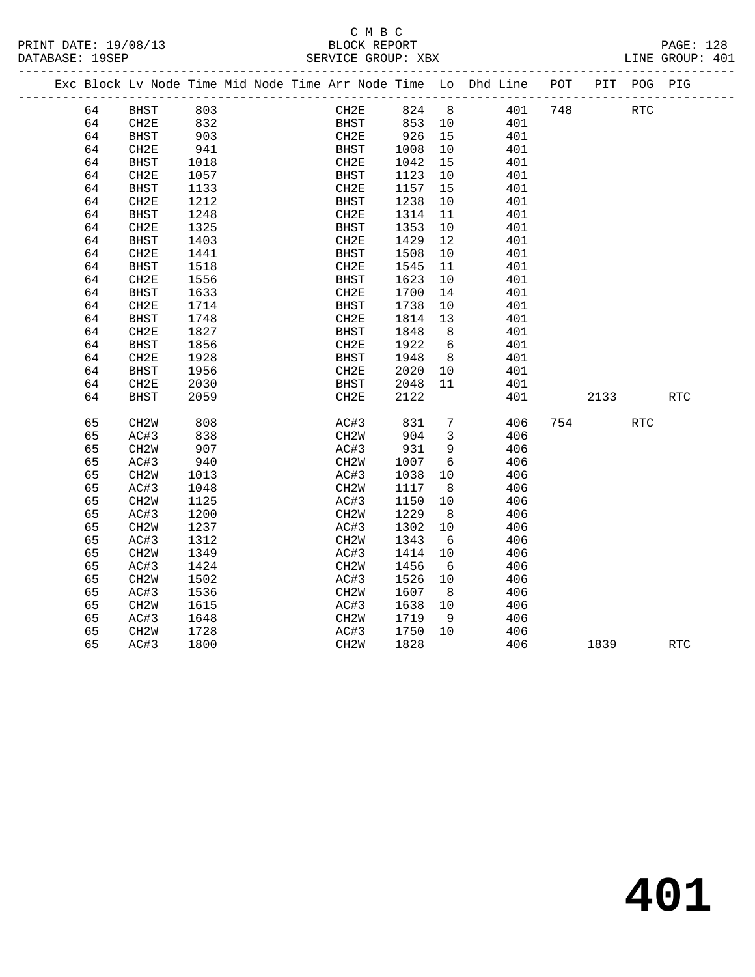PRINT DATE: 19/08/13 BLOCK REPORT PAGE: 128 DATABASE: 19SEP

# C M B C<br>BLOCK REPORT

|  | DAIADAOE: 1705F |      |      |  |      | DEIVATCE GIVOUE · WDA |     |                                                                    |     |             |     | TATAR GIGOOL. IOT |  |
|--|-----------------|------|------|--|------|-----------------------|-----|--------------------------------------------------------------------|-----|-------------|-----|-------------------|--|
|  |                 |      |      |  |      |                       |     | Exc Block Lv Node Time Mid Node Time Arr Node Time Lo Dhd Line POT |     | PIT POG PIG |     |                   |  |
|  | 64              | BHST | 803  |  | CH2E | 824                   | - 8 | 401                                                                | 748 |             | RTC |                   |  |
|  | 64              | CH2E | 832  |  | BHST | 853 10                |     | 401                                                                |     |             |     |                   |  |
|  | 64              | BHST | 903  |  | CH2E | 926 15                |     | 401                                                                |     |             |     |                   |  |
|  | 64              | CH2E | 941  |  | BHST | 1008 10               |     | 401                                                                |     |             |     |                   |  |
|  | 64              | BHST | 1018 |  | CH2E | 1042 15               |     | 401                                                                |     |             |     |                   |  |

| 64 | CH <sub>2E</sub>  | 1057 | <b>BHST</b>       | 1123 | 10              | 401 |     |      |            |                             |
|----|-------------------|------|-------------------|------|-----------------|-----|-----|------|------------|-----------------------------|
| 64 | <b>BHST</b>       | 1133 | CH2E              | 1157 | 15              | 401 |     |      |            |                             |
| 64 | CH2E              | 1212 | <b>BHST</b>       | 1238 | 10              | 401 |     |      |            |                             |
| 64 | <b>BHST</b>       | 1248 | CH2E              | 1314 | 11              | 401 |     |      |            |                             |
| 64 | CH2E              | 1325 | <b>BHST</b>       | 1353 | $10$            | 401 |     |      |            |                             |
| 64 | <b>BHST</b>       | 1403 | CH2E              | 1429 | 12              | 401 |     |      |            |                             |
| 64 | CH2E              | 1441 | <b>BHST</b>       | 1508 | $10$            | 401 |     |      |            |                             |
| 64 | <b>BHST</b>       | 1518 | CH2E              | 1545 | 11              | 401 |     |      |            |                             |
| 64 | CH2E              | 1556 | <b>BHST</b>       | 1623 | 10              | 401 |     |      |            |                             |
| 64 | <b>BHST</b>       | 1633 | CH2E              | 1700 | 14              | 401 |     |      |            |                             |
| 64 | CH2E              | 1714 | <b>BHST</b>       | 1738 | 10              | 401 |     |      |            |                             |
| 64 | <b>BHST</b>       | 1748 | CH2E              | 1814 | 13              | 401 |     |      |            |                             |
| 64 | CH2E              | 1827 | <b>BHST</b>       | 1848 | 8               | 401 |     |      |            |                             |
| 64 | <b>BHST</b>       | 1856 | CH2E              | 1922 | $\epsilon$      | 401 |     |      |            |                             |
| 64 | CH2E              | 1928 | <b>BHST</b>       | 1948 | $\,8\,$         | 401 |     |      |            |                             |
| 64 | <b>BHST</b>       | 1956 | CH2E              | 2020 | 10              | 401 |     |      |            |                             |
| 64 | CH2E              | 2030 | <b>BHST</b>       | 2048 | 11              | 401 |     |      |            |                             |
| 64 | <b>BHST</b>       | 2059 | CH2E              | 2122 |                 | 401 |     | 2133 |            | <b>RTC</b>                  |
|    |                   |      |                   |      |                 |     |     |      |            |                             |
| 65 | CH2W              | 808  | AC#3              | 831  | $7\phantom{.0}$ | 406 | 754 |      | <b>RTC</b> |                             |
| 65 | AC#3              | 838  | CH <sub>2</sub> W | 904  | 3               | 406 |     |      |            |                             |
| 65 | CH <sub>2</sub> W | 907  | AC#3              | 931  | 9               | 406 |     |      |            |                             |
| 65 | AC#3              | 940  | CH <sub>2</sub> W | 1007 | 6               | 406 |     |      |            |                             |
| 65 | CH <sub>2</sub> W | 1013 | AC#3              | 1038 | $10$            | 406 |     |      |            |                             |
| 65 | AC#3              | 1048 | CH2W              | 1117 | 8               | 406 |     |      |            |                             |
| 65 | CH <sub>2</sub> W | 1125 | AC#3              | 1150 | 10              | 406 |     |      |            |                             |
| 65 | AC#3              | 1200 | CH <sub>2</sub> W | 1229 | 8               | 406 |     |      |            |                             |
| 65 | CH <sub>2</sub> W | 1237 | AC#3              | 1302 | 10              | 406 |     |      |            |                             |
| 65 | AC#3              | 1312 | CH <sub>2</sub> W | 1343 | 6               | 406 |     |      |            |                             |
| 65 | CH <sub>2</sub> W | 1349 | AC#3              | 1414 | $10$            | 406 |     |      |            |                             |
| 65 | AC#3              | 1424 | CH <sub>2</sub> W | 1456 | 6               | 406 |     |      |            |                             |
| 65 | CH <sub>2</sub> W | 1502 | AC#3              | 1526 | $10$            | 406 |     |      |            |                             |
| 65 | AC#3              | 1536 | CH2W              | 1607 | 8               | 406 |     |      |            |                             |
| 65 | CH <sub>2</sub> W | 1615 | AC#3              | 1638 | 10              | 406 |     |      |            |                             |
| 65 | AC#3              | 1648 | CH2W              | 1719 | 9               | 406 |     |      |            |                             |
| 65 | CH <sub>2</sub> W | 1728 | AC#3              | 1750 | 10              | 406 |     |      |            |                             |
| 65 | AC#3              | 1800 | CH <sub>2</sub> W | 1828 |                 | 406 |     | 1839 |            | $\mathop{\rm RTC}\nolimits$ |
|    |                   |      |                   |      |                 |     |     |      |            |                             |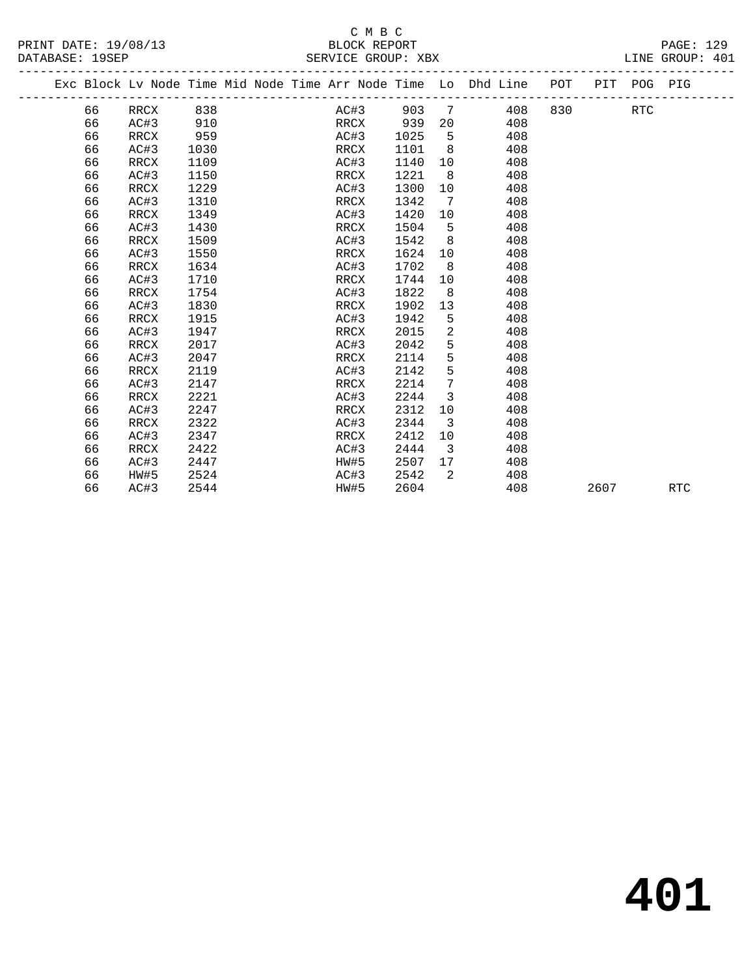### C M B C N B C N B C N B C N B C N B C N B C N B C N B C N B C N B C N B C N B C N B C N B C N B C N B C N B C N B C N B C N B C N B C N B C N B C N B C N B C N B C N B C N B C N B C N B C N B C N B C N B C N B C N B C N B DATABASE: 19SEP SERVICE GROUP: XBX LINE GROUP: 401

|  | חתמחתם שממים |  |
|--|--------------|--|

|  |    | Exc Block Lv Node Time Mid Node Time Arr Node Time Lo Dhd Line POT |      |  |      |      |      |                         |     |     |      | PIT POG PIG |            |
|--|----|--------------------------------------------------------------------|------|--|------|------|------|-------------------------|-----|-----|------|-------------|------------|
|  | 66 | RRCX                                                               | 838  |  |      | AC#3 | 903  | 7                       | 408 | 830 |      | <b>RTC</b>  |            |
|  | 66 | AC#3                                                               | 910  |  | RRCX |      | 939  | 20                      | 408 |     |      |             |            |
|  | 66 | RRCX                                                               | 959  |  | AC#3 |      | 1025 | 5                       | 408 |     |      |             |            |
|  | 66 | AC#3                                                               | 1030 |  | RRCX |      | 1101 | 8                       | 408 |     |      |             |            |
|  | 66 | RRCX                                                               | 1109 |  | AC#3 |      | 1140 | 10                      | 408 |     |      |             |            |
|  | 66 | AC#3                                                               | 1150 |  | RRCX |      | 1221 | 8                       | 408 |     |      |             |            |
|  | 66 | RRCX                                                               | 1229 |  | AC#3 |      | 1300 | 10                      | 408 |     |      |             |            |
|  | 66 | AC#3                                                               | 1310 |  | RRCX |      | 1342 | 7                       | 408 |     |      |             |            |
|  | 66 | RRCX                                                               | 1349 |  | AC#3 |      | 1420 | 10                      | 408 |     |      |             |            |
|  | 66 | AC#3                                                               | 1430 |  | RRCX |      | 1504 | 5                       | 408 |     |      |             |            |
|  | 66 | RRCX                                                               | 1509 |  | AC#3 |      | 1542 | 8                       | 408 |     |      |             |            |
|  | 66 | AC#3                                                               | 1550 |  | RRCX |      | 1624 | 10                      | 408 |     |      |             |            |
|  | 66 | RRCX                                                               | 1634 |  | AC#3 |      | 1702 | 8                       | 408 |     |      |             |            |
|  | 66 | AC#3                                                               | 1710 |  | RRCX |      | 1744 | 10                      | 408 |     |      |             |            |
|  | 66 | RRCX                                                               | 1754 |  | AC#3 |      | 1822 | 8                       | 408 |     |      |             |            |
|  | 66 | AC#3                                                               | 1830 |  | RRCX |      | 1902 | 13                      | 408 |     |      |             |            |
|  | 66 | RRCX                                                               | 1915 |  | AC#3 |      | 1942 | 5                       | 408 |     |      |             |            |
|  | 66 | AC#3                                                               | 1947 |  | RRCX |      | 2015 | 2                       | 408 |     |      |             |            |
|  | 66 | RRCX                                                               | 2017 |  | AC#3 |      | 2042 | 5                       | 408 |     |      |             |            |
|  | 66 | AC#3                                                               | 2047 |  | RRCX |      | 2114 | 5                       | 408 |     |      |             |            |
|  | 66 | RRCX                                                               | 2119 |  | AC#3 |      | 2142 | 5                       | 408 |     |      |             |            |
|  | 66 | AC#3                                                               | 2147 |  | RRCX |      | 2214 | 7                       | 408 |     |      |             |            |
|  | 66 | RRCX                                                               | 2221 |  | AC#3 |      | 2244 | 3                       | 408 |     |      |             |            |
|  | 66 | AC#3                                                               | 2247 |  | RRCX |      | 2312 | 10                      | 408 |     |      |             |            |
|  | 66 | RRCX                                                               | 2322 |  | AC#3 |      | 2344 | 3                       | 408 |     |      |             |            |
|  | 66 | AC#3                                                               | 2347 |  | RRCX |      | 2412 | 10                      | 408 |     |      |             |            |
|  | 66 | RRCX                                                               | 2422 |  | AC#3 |      | 2444 | $\overline{\mathbf{3}}$ | 408 |     |      |             |            |
|  | 66 | AC#3                                                               | 2447 |  | HW#5 |      | 2507 | 17                      | 408 |     |      |             |            |
|  | 66 | HW#5                                                               | 2524 |  | AC#3 |      | 2542 | 2                       | 408 |     |      |             |            |
|  | 66 | AC#3                                                               | 2544 |  | HW#5 |      | 2604 |                         | 408 |     | 2607 |             | <b>RTC</b> |
|  |    |                                                                    |      |  |      |      |      |                         |     |     |      |             |            |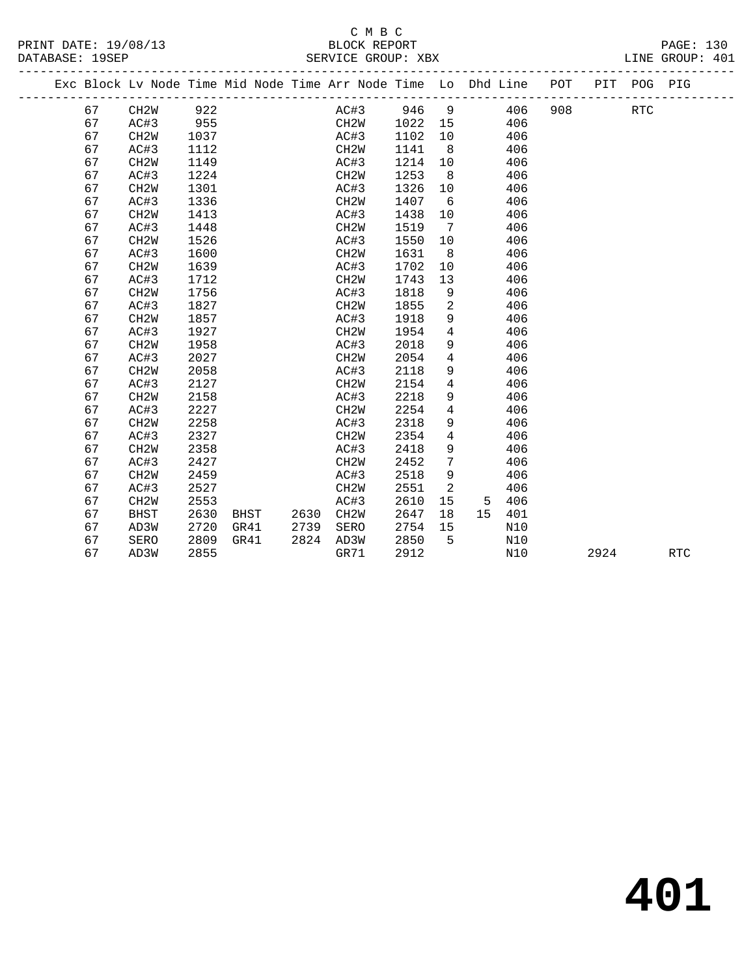#### C M B C<br>BLOCK REPORT PRINT DATE: 19/08/13 BLOCK REPORT PAGE: 130 SERVICE GROUP: XBX

|  |    | Exc Block Lv Node Time Mid Node Time Arr Node Time Lo Dhd Line POT |      |      |           |                   |              |                 |             |     |     |      | PIT POG PIG |            |
|--|----|--------------------------------------------------------------------|------|------|-----------|-------------------|--------------|-----------------|-------------|-----|-----|------|-------------|------------|
|  | 67 | CH2W                                                               | 922  |      |           |                   | AC#3 946 9   |                 |             | 406 | 908 |      | <b>RTC</b>  |            |
|  | 67 | AC#3                                                               | 955  |      |           |                   | CH2W 1022 15 |                 |             | 406 |     |      |             |            |
|  | 67 | CH2W                                                               | 1037 |      |           | AC#3              | 1102         | 10              |             | 406 |     |      |             |            |
|  | 67 | AC#3                                                               | 1112 |      |           | CH2W              | 1141         | 8 <sup>8</sup>  |             | 406 |     |      |             |            |
|  | 67 | CH <sub>2</sub> W                                                  | 1149 |      |           | AC#3              | 1214         | 10              |             | 406 |     |      |             |            |
|  | 67 | AC#3                                                               | 1224 |      |           | CH2W              | 1253         | 8 <sup>8</sup>  |             | 406 |     |      |             |            |
|  | 67 | CH <sub>2</sub> W                                                  | 1301 |      |           | AC#3              | 1326         | 10              |             | 406 |     |      |             |            |
|  | 67 | AC#3                                                               | 1336 |      |           | CH2W              | 1407         | 6               |             | 406 |     |      |             |            |
|  | 67 | CH <sub>2</sub> W                                                  | 1413 |      |           | AC#3              | 1438         | 10              |             | 406 |     |      |             |            |
|  | 67 | AC#3                                                               | 1448 |      |           | CH2W              | 1519         | $\overline{7}$  |             | 406 |     |      |             |            |
|  | 67 | CH <sub>2</sub> W                                                  | 1526 |      |           | AC#3              | 1550         | 10              |             | 406 |     |      |             |            |
|  | 67 | AC#3                                                               | 1600 |      |           | CH <sub>2</sub> W | 1631         | 8 <sup>8</sup>  |             | 406 |     |      |             |            |
|  | 67 | CH <sub>2</sub> M                                                  | 1639 |      |           | AC#3              | 1702         | 10              |             | 406 |     |      |             |            |
|  | 67 | AC#3                                                               | 1712 |      |           | CH2W              | 1743         | 13              |             | 406 |     |      |             |            |
|  | 67 | CH <sub>2</sub> W                                                  | 1756 |      |           | AC#3              | 1818         | 9               |             | 406 |     |      |             |            |
|  | 67 | AC#3                                                               | 1827 |      |           | CH <sub>2</sub> W | 1855         | 2               |             | 406 |     |      |             |            |
|  | 67 | CH2W                                                               | 1857 |      |           | AC#3              | 1918         | 9               |             | 406 |     |      |             |            |
|  | 67 | AC#3                                                               | 1927 |      |           | CH2W              | 1954         | $\overline{4}$  |             | 406 |     |      |             |            |
|  | 67 | CH2W                                                               | 1958 |      |           | AC#3              | 2018         | 9               |             | 406 |     |      |             |            |
|  | 67 | AC#3                                                               | 2027 |      |           | CH2W              | 2054         | $\overline{4}$  |             | 406 |     |      |             |            |
|  | 67 | CH <sub>2</sub> W                                                  | 2058 |      |           | AC#3              | 2118         | 9               |             | 406 |     |      |             |            |
|  | 67 | AC#3                                                               | 2127 |      |           | CH2W              | 2154         | $\overline{4}$  |             | 406 |     |      |             |            |
|  | 67 | CH <sub>2</sub> W                                                  | 2158 |      |           | AC#3              | 2218         | 9               |             | 406 |     |      |             |            |
|  | 67 | AC#3                                                               | 2227 |      |           | CH <sub>2</sub> W | 2254         | $\overline{4}$  |             | 406 |     |      |             |            |
|  | 67 | CH <sub>2</sub> W                                                  | 2258 |      |           | AC#3              | 2318         | 9               |             | 406 |     |      |             |            |
|  | 67 | AC#3                                                               | 2327 |      |           | CH <sub>2</sub> W | 2354         | $\overline{4}$  |             | 406 |     |      |             |            |
|  | 67 | CH <sub>2</sub> W                                                  | 2358 |      |           | AC#3              | 2418         | $\overline{9}$  |             | 406 |     |      |             |            |
|  | 67 | AC#3                                                               | 2427 |      |           | CH <sub>2</sub> W | 2452         | $7\phantom{.0}$ |             | 406 |     |      |             |            |
|  | 67 | CH <sub>2</sub> W                                                  | 2459 |      |           | AC#3              | 2518         | $\overline{9}$  |             | 406 |     |      |             |            |
|  | 67 | AC#3                                                               | 2527 |      |           | CH <sub>2</sub> W | 2551         | 2               |             | 406 |     |      |             |            |
|  | 67 | CH <sub>2</sub> W                                                  | 2553 |      |           | AC#3              | 2610         | 15              | $5^{\circ}$ | 406 |     |      |             |            |
|  | 67 | BHST                                                               | 2630 | BHST | 2630 CH2W |                   | 2647         | 18              | 15          | 401 |     |      |             |            |
|  | 67 | AD3W                                                               | 2720 | GR41 | 2739      | SERO              | 2754         | 15              |             | N10 |     |      |             |            |
|  | 67 | SERO                                                               | 2809 | GR41 | 2824 AD3W |                   | 2850         | 5               |             | N10 |     |      |             |            |
|  | 67 | AD3W                                                               | 2855 |      |           | GR71              | 2912         |                 |             | N10 |     | 2924 |             | <b>RTC</b> |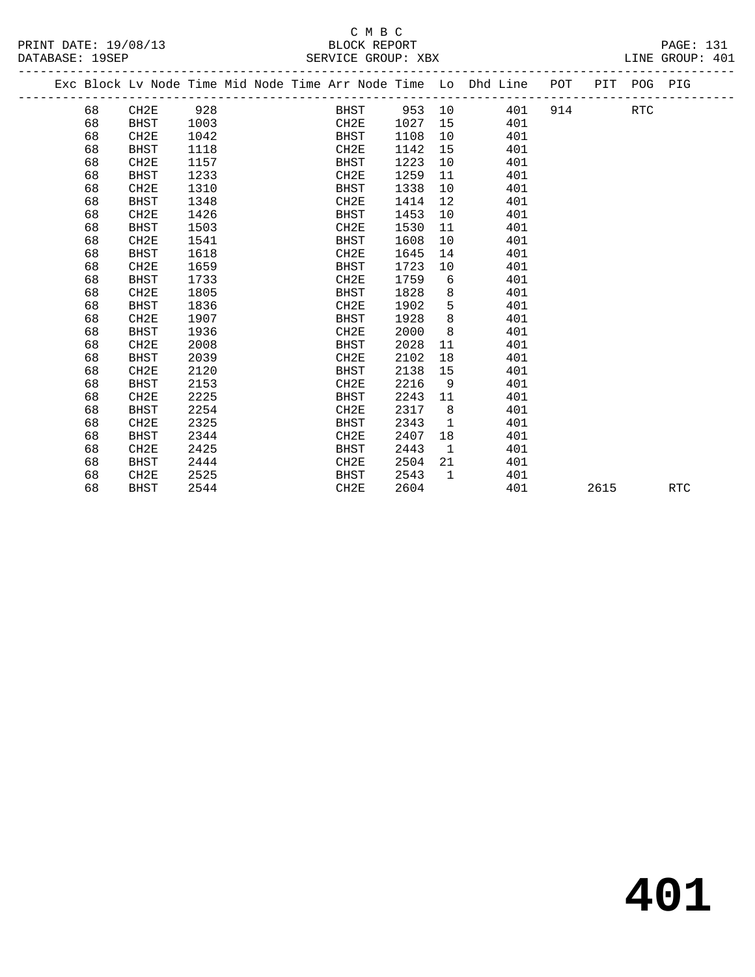#### C M B C SERVICE GROUP: XBX

| PRINT DATE: 19/08/13 | BLOCK REPORT       | <b>PAGE: 131</b> |
|----------------------|--------------------|------------------|
| DATABASE: 19SEP      | SERVICE GROUP: XBX | LINE GROUP: 401  |

|  |    | Exc Block Lv Node Time Mid Node Time Arr Node Time Lo Dhd Line POT |      |  |                  |        |              |     |     |      | PIT POG PIG |            |
|--|----|--------------------------------------------------------------------|------|--|------------------|--------|--------------|-----|-----|------|-------------|------------|
|  | 68 | CH2E                                                               | 928  |  | BHST             | 953 10 |              | 401 | 914 |      | RTC         |            |
|  | 68 | <b>BHST</b>                                                        | 1003 |  | CH2E             | 1027   | 15           | 401 |     |      |             |            |
|  | 68 | CH2E                                                               | 1042 |  | BHST             | 1108   | 10           | 401 |     |      |             |            |
|  | 68 | <b>BHST</b>                                                        | 1118 |  | CH2E             | 1142   | 15           | 401 |     |      |             |            |
|  | 68 | CH2E                                                               | 1157 |  | BHST             | 1223   | 10           | 401 |     |      |             |            |
|  | 68 | <b>BHST</b>                                                        | 1233 |  | CH2E             | 1259   | 11           | 401 |     |      |             |            |
|  | 68 | CH2E                                                               | 1310 |  | BHST             | 1338   | 10           | 401 |     |      |             |            |
|  | 68 | BHST                                                               | 1348 |  | CH2E             | 1414   | 12           | 401 |     |      |             |            |
|  | 68 | CH2E                                                               | 1426 |  | <b>BHST</b>      | 1453   | 10           | 401 |     |      |             |            |
|  | 68 | <b>BHST</b>                                                        | 1503 |  | CH2E             | 1530   | 11           | 401 |     |      |             |            |
|  | 68 | CH2E                                                               | 1541 |  | BHST             | 1608   | 10           | 401 |     |      |             |            |
|  | 68 | BHST                                                               | 1618 |  | CH2E             | 1645   | 14           | 401 |     |      |             |            |
|  | 68 | CH2E                                                               | 1659 |  | <b>BHST</b>      | 1723   | 10           | 401 |     |      |             |            |
|  | 68 | <b>BHST</b>                                                        | 1733 |  | CH2E             | 1759   | 6            | 401 |     |      |             |            |
|  | 68 | CH2E                                                               | 1805 |  | BHST             | 1828   | 8            | 401 |     |      |             |            |
|  | 68 | <b>BHST</b>                                                        | 1836 |  | CH2E             | 1902   | 5            | 401 |     |      |             |            |
|  | 68 | CH2E                                                               | 1907 |  | BHST             | 1928   | 8            | 401 |     |      |             |            |
|  | 68 | BHST                                                               | 1936 |  | CH2E             | 2000   | 8            | 401 |     |      |             |            |
|  | 68 | CH2E                                                               | 2008 |  | BHST             | 2028   | 11           | 401 |     |      |             |            |
|  | 68 | <b>BHST</b>                                                        | 2039 |  | CH2E             | 2102   | 18           | 401 |     |      |             |            |
|  | 68 | CH2E                                                               | 2120 |  | BHST             | 2138   | 15           | 401 |     |      |             |            |
|  | 68 | BHST                                                               | 2153 |  | CH2E             | 2216   | 9            | 401 |     |      |             |            |
|  | 68 | CH2E                                                               | 2225 |  | <b>BHST</b>      | 2243   | 11           | 401 |     |      |             |            |
|  | 68 | <b>BHST</b>                                                        | 2254 |  | CH2E             | 2317   | 8            | 401 |     |      |             |            |
|  | 68 | CH2E                                                               | 2325 |  | BHST             | 2343   | 1            | 401 |     |      |             |            |
|  | 68 | BHST                                                               | 2344 |  | CH2E             | 2407   | 18           | 401 |     |      |             |            |
|  | 68 | CH2E                                                               | 2425 |  | BHST             | 2443   | $\mathbf{1}$ | 401 |     |      |             |            |
|  | 68 | <b>BHST</b>                                                        | 2444 |  | CH2E             | 2504   | 21           | 401 |     |      |             |            |
|  | 68 | CH2E                                                               | 2525 |  | BHST             | 2543   | $\mathbf{1}$ | 401 |     |      |             |            |
|  | 68 | <b>BHST</b>                                                        | 2544 |  | CH <sub>2E</sub> | 2604   |              | 401 |     | 2615 |             | <b>RTC</b> |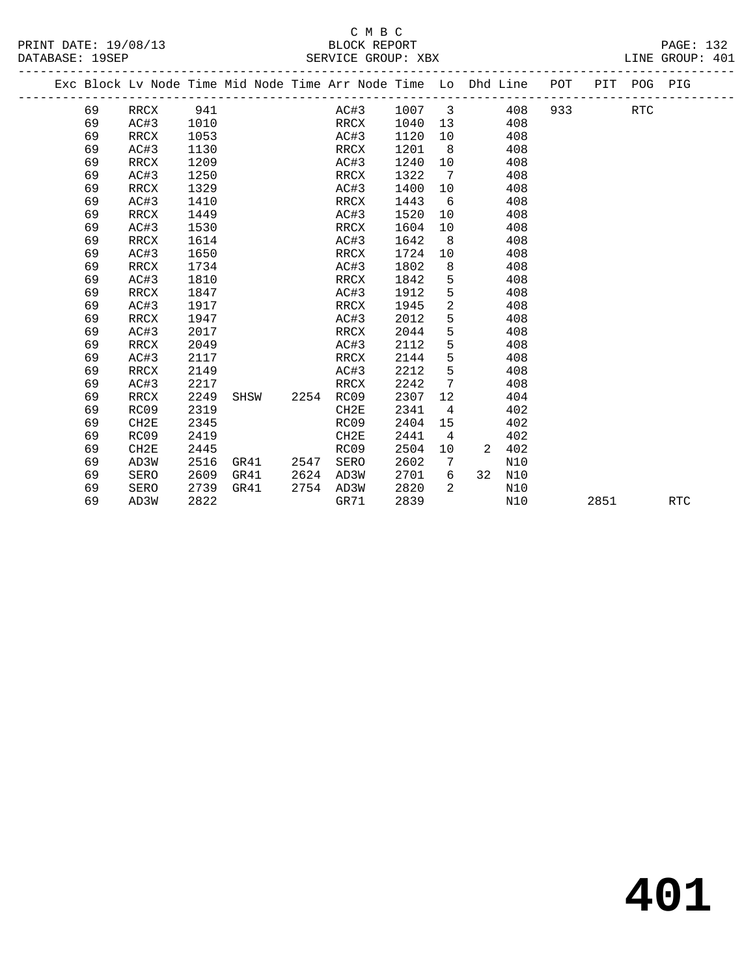#### C M B C<br>OCK REPORT SERVICE GROUP: XBX

| PRINT DATE: 19/08/13 | BLOCK REPORT       | <b>PAGE: 132</b> |
|----------------------|--------------------|------------------|
| DATABASE: 19SEP      | SERVICE GROUP: XBX | LINE GROUP: 401  |

|  |    | Exc Block Lv Node Time Mid Node Time Arr Node Time Lo Dhd Line POT |      |      |      |      |      |        |                |    |     |     |      | PIT POG PIG |            |
|--|----|--------------------------------------------------------------------|------|------|------|------|------|--------|----------------|----|-----|-----|------|-------------|------------|
|  | 69 | RRCX                                                               | 941  |      |      |      | AC#3 | 1007 3 |                |    | 408 | 933 |      | RTC         |            |
|  | 69 | AC#3                                                               | 1010 |      |      | RRCX |      | 1040   | 13             |    | 408 |     |      |             |            |
|  | 69 | RRCX                                                               | 1053 |      |      | AC#3 |      | 1120   | 10             |    | 408 |     |      |             |            |
|  | 69 | AC#3                                                               | 1130 |      |      | RRCX |      | 1201   | 8              |    | 408 |     |      |             |            |
|  | 69 | RRCX                                                               | 1209 |      |      | AC#3 |      | 1240   | 10             |    | 408 |     |      |             |            |
|  | 69 | AC#3                                                               | 1250 |      |      | RRCX |      | 1322   | 7              |    | 408 |     |      |             |            |
|  | 69 | RRCX                                                               | 1329 |      |      | AC#3 |      | 1400   | 10             |    | 408 |     |      |             |            |
|  | 69 | AC#3                                                               | 1410 |      |      | RRCX |      | 1443   | 6              |    | 408 |     |      |             |            |
|  | 69 | RRCX                                                               | 1449 |      |      | AC#3 |      | 1520   | 10             |    | 408 |     |      |             |            |
|  | 69 | AC#3                                                               | 1530 |      |      | RRCX |      | 1604   | 10             |    | 408 |     |      |             |            |
|  | 69 | RRCX                                                               | 1614 |      |      | AC#3 |      | 1642   | - 8            |    | 408 |     |      |             |            |
|  | 69 | AC#3                                                               | 1650 |      |      | RRCX |      | 1724   | 10             |    | 408 |     |      |             |            |
|  | 69 | RRCX                                                               | 1734 |      |      | AC#3 |      | 1802   | 8              |    | 408 |     |      |             |            |
|  | 69 | AC#3                                                               | 1810 |      |      | RRCX |      | 1842   | 5              |    | 408 |     |      |             |            |
|  | 69 | RRCX                                                               | 1847 |      |      | AC#3 |      | 1912   | 5              |    | 408 |     |      |             |            |
|  | 69 | AC#3                                                               | 1917 |      |      | RRCX |      | 1945   | 2              |    | 408 |     |      |             |            |
|  | 69 | RRCX                                                               | 1947 |      |      | AC#3 |      | 2012   | 5              |    | 408 |     |      |             |            |
|  | 69 | AC#3                                                               | 2017 |      |      | RRCX |      | 2044   | 5              |    | 408 |     |      |             |            |
|  | 69 | RRCX                                                               | 2049 |      |      | AC#3 |      | 2112   | 5              |    | 408 |     |      |             |            |
|  | 69 | AC#3                                                               | 2117 |      |      | RRCX |      | 2144   | 5              |    | 408 |     |      |             |            |
|  | 69 | RRCX                                                               | 2149 |      |      | AC#3 |      | 2212   | 5              |    | 408 |     |      |             |            |
|  | 69 | AC#3                                                               | 2217 |      |      | RRCX |      | 2242   | 7              |    | 408 |     |      |             |            |
|  | 69 | RRCX                                                               | 2249 | SHSW | 2254 | RC09 |      | 2307   | 12             |    | 404 |     |      |             |            |
|  | 69 | RC09                                                               | 2319 |      |      | CH2E |      | 2341   | 4              |    | 402 |     |      |             |            |
|  | 69 | CH2E                                                               | 2345 |      |      | RC09 |      | 2404   | 15             |    | 402 |     |      |             |            |
|  | 69 | RC09                                                               | 2419 |      |      | CH2E |      | 2441   | $\overline{4}$ |    | 402 |     |      |             |            |
|  | 69 | CH2E                                                               | 2445 |      |      | RC09 |      | 2504   | 10             | 2  | 402 |     |      |             |            |
|  | 69 | AD3W                                                               | 2516 | GR41 | 2547 | SERO |      | 2602   | 7              |    | N10 |     |      |             |            |
|  | 69 | SERO                                                               | 2609 | GR41 | 2624 | AD3W |      | 2701   | 6              | 32 | N10 |     |      |             |            |
|  | 69 | SERO                                                               | 2739 | GR41 | 2754 | AD3W |      | 2820   | $\mathcal{L}$  |    | N10 |     |      |             |            |
|  | 69 | AD3W                                                               | 2822 |      |      | GR71 |      | 2839   |                |    | N10 |     | 2851 |             | <b>RTC</b> |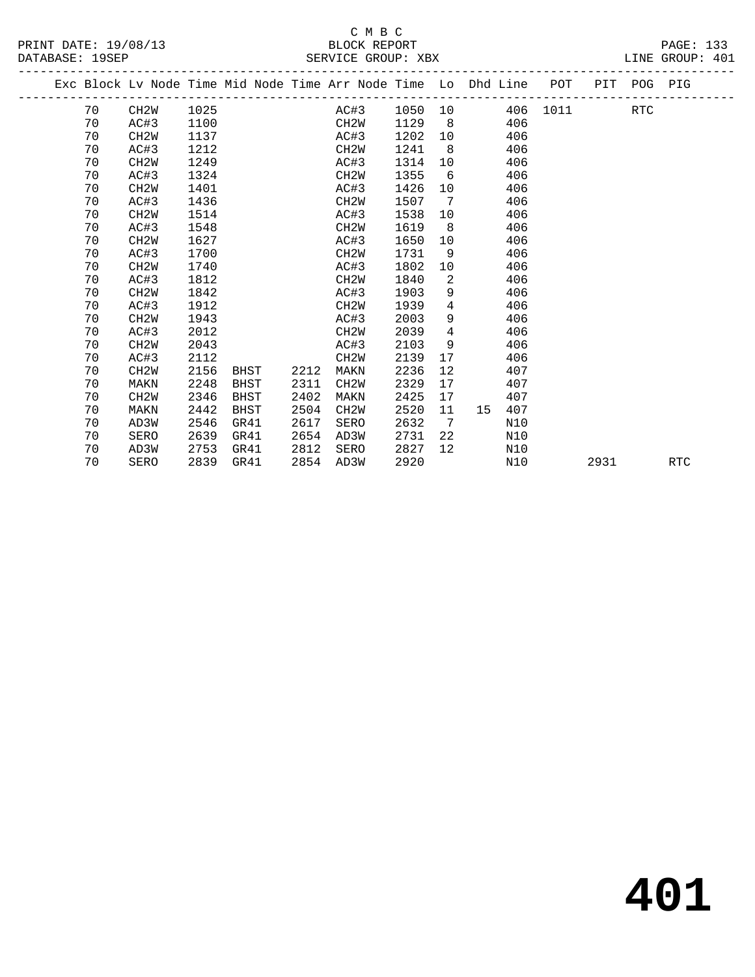#### C M B C<br>BLOCK REPORT SERVICE GROUP: XBX

|  |    |                   |      |      |      | Exc Block Lv Node Time Mid Node Time Arr Node Time Lo Dhd Line POT PIT POG PIG |         |                   |    |     |          |      |            |            |
|--|----|-------------------|------|------|------|--------------------------------------------------------------------------------|---------|-------------------|----|-----|----------|------|------------|------------|
|  | 70 | CH2W              | 1025 |      |      | AC#3                                                                           | 1050 10 |                   |    |     | 406 1011 |      | <b>RTC</b> |            |
|  | 70 | AC#3              | 1100 |      |      | CH2W                                                                           | 1129    | 8 <sup>8</sup>    |    | 406 |          |      |            |            |
|  | 70 | CH <sub>2</sub> W | 1137 |      |      | AC#3                                                                           | 1202    | 10                |    | 406 |          |      |            |            |
|  | 70 | AC#3              | 1212 |      |      | CH2W                                                                           | 1241    | 8                 |    | 406 |          |      |            |            |
|  | 70 | CH2W              | 1249 |      |      | AC#3                                                                           | 1314    | 10                |    | 406 |          |      |            |            |
|  | 70 | AC#3              | 1324 |      |      | CH2W                                                                           | 1355    | 6                 |    | 406 |          |      |            |            |
|  | 70 | CH <sub>2</sub> W | 1401 |      |      | AC#3                                                                           | 1426    | 10                |    | 406 |          |      |            |            |
|  | 70 | AC#3              | 1436 |      |      | CH2W                                                                           | 1507    | $7\phantom{0}$    |    | 406 |          |      |            |            |
|  | 70 | CH2W              | 1514 |      |      | AC#3                                                                           | 1538    | 10                |    | 406 |          |      |            |            |
|  | 70 | AC#3              | 1548 |      |      | CH2W                                                                           | 1619    | 8 <sup>8</sup>    |    | 406 |          |      |            |            |
|  | 70 | CH <sub>2</sub> W | 1627 |      |      | AC#3                                                                           | 1650    | 10                |    | 406 |          |      |            |            |
|  | 70 | AC#3              | 1700 |      |      | CH2W                                                                           | 1731    | 9                 |    | 406 |          |      |            |            |
|  | 70 | CH <sub>2</sub> W | 1740 |      |      | AC#3                                                                           | 1802    | 10                |    | 406 |          |      |            |            |
|  | 70 | AC#3              | 1812 |      |      | CH2W                                                                           | 1840    | 2                 |    | 406 |          |      |            |            |
|  | 70 | CH <sub>2</sub> W | 1842 |      |      | AC#3                                                                           | 1903    | 9                 |    | 406 |          |      |            |            |
|  | 70 | AC#3              | 1912 |      |      | CH2W                                                                           | 1939    | $4\overline{ }$   |    | 406 |          |      |            |            |
|  | 70 | CH <sub>2</sub> W | 1943 |      |      | AC#3                                                                           | 2003    | 9                 |    | 406 |          |      |            |            |
|  | 70 | AC#3              | 2012 |      |      | CH <sub>2</sub> W                                                              | 2039    | $4\overline{ }$   |    | 406 |          |      |            |            |
|  | 70 | CH2W              | 2043 |      |      | AC#3                                                                           | 2103    | 9                 |    | 406 |          |      |            |            |
|  | 70 | AC#3              | 2112 |      |      | CH <sub>2</sub> W                                                              | 2139    | 17                |    | 406 |          |      |            |            |
|  | 70 | CH <sub>2</sub> M | 2156 | BHST | 2212 | MAKN                                                                           | 2236    | $12 \overline{ }$ |    | 407 |          |      |            |            |
|  | 70 | MAKN              | 2248 | BHST | 2311 | CH <sub>2</sub> W                                                              | 2329    | 17                |    | 407 |          |      |            |            |
|  | 70 | CH <sub>2</sub> W | 2346 | BHST | 2402 | MAKN                                                                           | 2425    | 17                |    | 407 |          |      |            |            |
|  | 70 | MAKN              | 2442 | BHST | 2504 | CH2W                                                                           | 2520    | 11                | 15 | 407 |          |      |            |            |
|  | 70 | AD3W              | 2546 | GR41 | 2617 | SERO                                                                           | 2632    | $\overline{7}$    |    | N10 |          |      |            |            |
|  | 70 | SERO              | 2639 | GR41 | 2654 | AD3W                                                                           | 2731    | 22                |    | N10 |          |      |            |            |
|  | 70 | AD3W              | 2753 | GR41 | 2812 | SERO                                                                           | 2827    | 12                |    | N10 |          |      |            |            |
|  | 70 | SERO              | 2839 | GR41 |      | 2854 AD3W                                                                      | 2920    |                   |    | N10 |          | 2931 |            | <b>RTC</b> |
|  |    |                   |      |      |      |                                                                                |         |                   |    |     |          |      |            |            |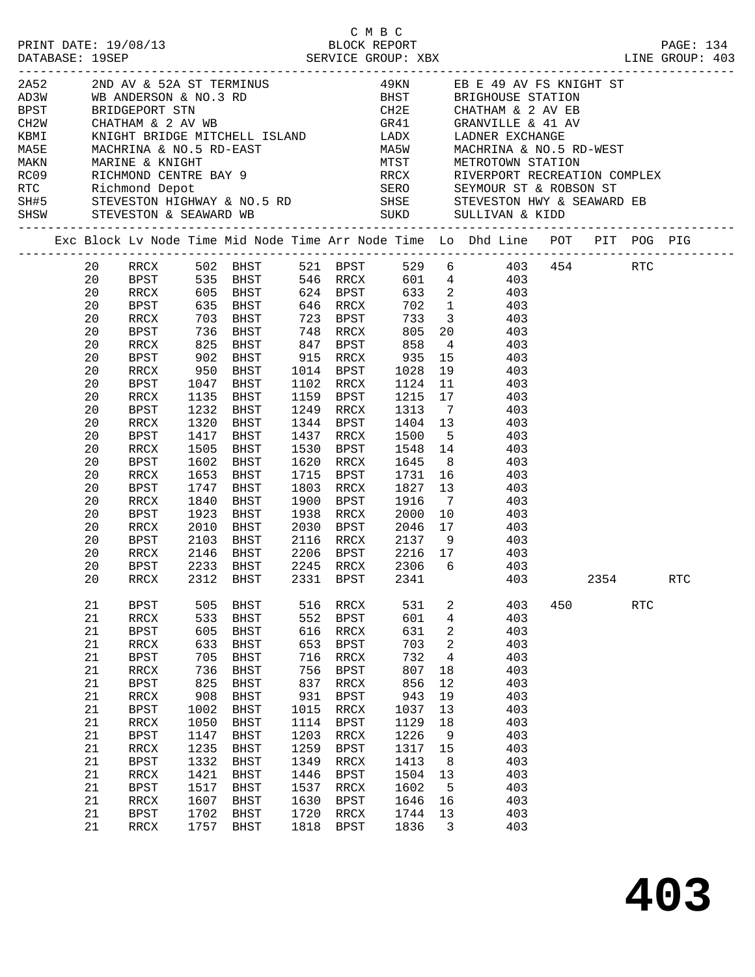|  |                 |                             |              |                            |              | C M B C                      |              |                         |                                                                                                                                                      |     |      |            |                      |  |
|--|-----------------|-----------------------------|--------------|----------------------------|--------------|------------------------------|--------------|-------------------------|------------------------------------------------------------------------------------------------------------------------------------------------------|-----|------|------------|----------------------|--|
|  |                 | PRINT DATE: 19/08/13        |              |                            |              |                              | BLOCK REPORT |                         |                                                                                                                                                      |     |      |            | <b>PAGE: 134</b>     |  |
|  |                 |                             |              |                            |              |                              |              |                         |                                                                                                                                                      |     |      |            |                      |  |
|  |                 |                             |              |                            |              |                              |              |                         |                                                                                                                                                      |     |      |            |                      |  |
|  |                 |                             |              |                            |              |                              |              |                         |                                                                                                                                                      |     |      |            |                      |  |
|  |                 |                             |              |                            |              |                              |              |                         |                                                                                                                                                      |     |      |            |                      |  |
|  |                 |                             |              |                            |              |                              |              |                         |                                                                                                                                                      |     |      |            |                      |  |
|  |                 |                             |              |                            |              |                              |              |                         |                                                                                                                                                      |     |      |            |                      |  |
|  |                 |                             |              |                            |              |                              |              |                         |                                                                                                                                                      |     |      |            |                      |  |
|  |                 |                             |              |                            |              |                              |              |                         |                                                                                                                                                      |     |      |            |                      |  |
|  |                 |                             |              |                            |              |                              |              |                         |                                                                                                                                                      |     |      |            |                      |  |
|  |                 |                             |              |                            |              |                              |              |                         |                                                                                                                                                      |     |      |            |                      |  |
|  |                 |                             |              |                            |              |                              |              |                         |                                                                                                                                                      |     |      |            |                      |  |
|  |                 | SHSW STEVESTON & SEAWARD WB |              |                            |              |                              |              |                         |                                                                                                                                                      |     |      |            |                      |  |
|  |                 |                             |              |                            |              |                              |              |                         |                                                                                                                                                      |     |      |            |                      |  |
|  |                 |                             |              |                            |              |                              |              |                         | Exc Block Lv Node Time Mid Node Time Arr Node Time Lo Dhd Line POT PIT POG PIG                                                                       |     |      |            |                      |  |
|  | 20              |                             |              | RRCX 502 BHST 521 BPST 529 |              |                              |              |                         | RRCX 502 BHST 521 BPST 529 6 403 454 RTC<br>BPST 535 BHST 546 RRCX 601 4 403<br>RRCX 605 BHST 624 BPST 633 2 403<br>BPST 635 BHST 646 RRCX 702 1 403 |     |      |            |                      |  |
|  | 20              |                             |              |                            |              |                              |              |                         |                                                                                                                                                      |     |      |            |                      |  |
|  | 20              |                             |              |                            |              |                              |              |                         |                                                                                                                                                      |     |      |            |                      |  |
|  | 20              |                             |              |                            |              |                              |              |                         |                                                                                                                                                      |     |      |            |                      |  |
|  | 20              | RRCX                        |              |                            |              |                              |              |                         |                                                                                                                                                      |     |      |            |                      |  |
|  | 20              | BPST                        |              |                            |              |                              |              |                         |                                                                                                                                                      |     |      |            |                      |  |
|  | 20              | RRCX                        |              |                            |              |                              |              |                         |                                                                                                                                                      |     |      |            |                      |  |
|  | 20              | BPST                        |              |                            |              |                              |              |                         | 703 BHST 723 BPST 733 3 403<br>736 BHST 748 RRCX 805 20 403<br>825 BHST 847 BPST 858 4 403<br>902 BHST 915 RRCX 935 15 403                           |     |      |            |                      |  |
|  | 20              | <b>RRCX</b>                 | 950          | <b>BHST</b>                |              | 1014 BPST                    |              |                         | 1028 19 403                                                                                                                                          |     |      |            |                      |  |
|  | 20              | BPST                        | 1047         | BHST                       | 1102         | RRCX                         |              |                         | 1124 11 403                                                                                                                                          |     |      |            |                      |  |
|  | 20              | RRCX                        |              | 1135 BHST                  |              | 1159 BPST                    |              |                         | $\begin{array}{cccc} 1215 & 17 & & 403 \\ 1313 & 7 & & 403 \end{array}$                                                                              |     |      |            |                      |  |
|  | 20              | BPST                        | 1232         | BHST                       | 1249         | RRCX                         |              |                         |                                                                                                                                                      |     |      |            |                      |  |
|  | 20              | RRCX                        | 1320         | BHST                       | 1344         | <b>BPST</b>                  |              |                         | 1404 13 403                                                                                                                                          |     |      |            |                      |  |
|  | 20              | BPST                        | 1417         | BHST                       | 1437         | RRCX                         |              |                         | 1500 5 403                                                                                                                                           |     |      |            |                      |  |
|  | 20              | RRCX                        | 1505         | BHST                       | 1530         | BPST                         |              |                         | 1548  14  403<br>1645  8  403                                                                                                                        |     |      |            |                      |  |
|  | 20              | BPST                        | 1602         | BHST                       | 1620         | RRCX                         |              |                         |                                                                                                                                                      |     |      |            |                      |  |
|  | 20              | RRCX                        | 1653         | BHST                       | 1715         | <b>BPST</b>                  |              |                         | 1731 16 403                                                                                                                                          |     |      |            |                      |  |
|  | 20              | BPST                        | 1747         | BHST                       | 1803         | RRCX                         |              |                         | 1827 13 403                                                                                                                                          |     |      |            |                      |  |
|  | 20              | RRCX                        | 1840         | BHST                       | 1900         | BPST                         |              |                         | $\begin{array}{cccc} 1916 & 7 & & 403 \\ 2000 & 10 & & & 403 \end{array}$                                                                            |     |      |            |                      |  |
|  | 20              | BPST                        | 1923         | BHST                       | 1938<br>2030 | RRCX                         |              |                         | 2046 17 403                                                                                                                                          |     |      |            |                      |  |
|  | 20              | RRCX                        | 2010         | <b>BHST</b>                |              | <b>BPST</b>                  |              |                         |                                                                                                                                                      |     |      |            |                      |  |
|  | 20<br>20        | BPST                        | 2103         |                            |              |                              |              |                         | BHST 2116 RRCX 2137 9 403                                                                                                                            |     |      |            |                      |  |
|  | 20              | RRCX<br>BPST                | 2146<br>2233 | 2233 BHST                  |              |                              |              |                         | BHST 2206 BPST 2216 17 403<br>BHST 2245 RRCX 2306 6 403                                                                                              |     |      |            |                      |  |
|  | 20 <sub>o</sub> |                             |              |                            |              |                              |              |                         | RRCX 2312 BHST 2331 BPST 2341 403                                                                                                                    |     | 2354 |            | $\operatorname{RTC}$ |  |
|  |                 |                             |              |                            |              |                              |              |                         |                                                                                                                                                      |     |      |            |                      |  |
|  | 21              | <b>BPST</b>                 | 505          | BHST                       | 516          | RRCX                         | 531          | $\overline{a}$          | 403                                                                                                                                                  | 450 |      | <b>RTC</b> |                      |  |
|  | 21              | RRCX                        | 533          | <b>BHST</b>                | 552          | <b>BPST</b>                  | 601          | $\overline{4}$          | 403                                                                                                                                                  |     |      |            |                      |  |
|  | 21              | <b>BPST</b>                 | 605          | <b>BHST</b>                | 616          | $\verb!RRCX!$                | 631          | 2                       | 403                                                                                                                                                  |     |      |            |                      |  |
|  | 21<br>21        | RRCX                        | 633<br>705   | <b>BHST</b>                | 653<br>716   | <b>BPST</b>                  | 703<br>732   | 2                       | 403<br>403                                                                                                                                           |     |      |            |                      |  |
|  | 21              | <b>BPST</b><br>RRCX         | 736          | <b>BHST</b><br><b>BHST</b> | 756          | $\verb!RRCX!$<br><b>BPST</b> | 807          | 4<br>18                 | 403                                                                                                                                                  |     |      |            |                      |  |
|  | 21              | <b>BPST</b>                 | 825          | <b>BHST</b>                | 837          | $\verb!RRCX!$                | 856          | 12                      | 403                                                                                                                                                  |     |      |            |                      |  |
|  | 21              | RRCX                        | 908          | <b>BHST</b>                | 931          | <b>BPST</b>                  | 943          | 19                      | 403                                                                                                                                                  |     |      |            |                      |  |
|  | 21              | <b>BPST</b>                 | 1002         | <b>BHST</b>                | 1015         | $\verb!RRCX!$                | 1037         | 13                      | 403                                                                                                                                                  |     |      |            |                      |  |
|  | 21              | RRCX                        | 1050         | <b>BHST</b>                | 1114         | <b>BPST</b>                  | 1129         | 18                      | 403                                                                                                                                                  |     |      |            |                      |  |
|  | 21              | <b>BPST</b>                 | 1147         | <b>BHST</b>                | 1203         | $\mathop{\mathrm{RRCX}}$     | 1226         | 9                       | 403                                                                                                                                                  |     |      |            |                      |  |
|  | 21              | RRCX                        | 1235         | <b>BHST</b>                | 1259         | <b>BPST</b>                  | 1317         | 15                      | 403                                                                                                                                                  |     |      |            |                      |  |
|  | 21              | <b>BPST</b>                 | 1332         | <b>BHST</b>                | 1349         | $\mathop{\mathrm{RRCX}}$     | 1413         | 8                       | 403                                                                                                                                                  |     |      |            |                      |  |
|  | 21              | RRCX                        | 1421         | <b>BHST</b>                | 1446         | <b>BPST</b>                  | 1504         | 13                      | 403                                                                                                                                                  |     |      |            |                      |  |
|  | 21              | <b>BPST</b>                 | 1517         | <b>BHST</b>                | 1537         | $\verb!RRCX!$                | 1602         | 5                       | 403                                                                                                                                                  |     |      |            |                      |  |
|  | 21              | RRCX                        | 1607         | BHST                       | 1630         | <b>BPST</b>                  | 1646         | 16                      | 403                                                                                                                                                  |     |      |            |                      |  |
|  | 21              | <b>BPST</b>                 | 1702         | BHST                       | 1720         | RRCX                         | 1744         | 13                      | 403                                                                                                                                                  |     |      |            |                      |  |
|  | 21              | RRCX                        |              | 1757 BHST                  | 1818         | <b>BPST</b>                  | 1836         | $\overline{\mathbf{3}}$ | 403                                                                                                                                                  |     |      |            |                      |  |
|  |                 |                             |              |                            |              |                              |              |                         |                                                                                                                                                      |     |      |            |                      |  |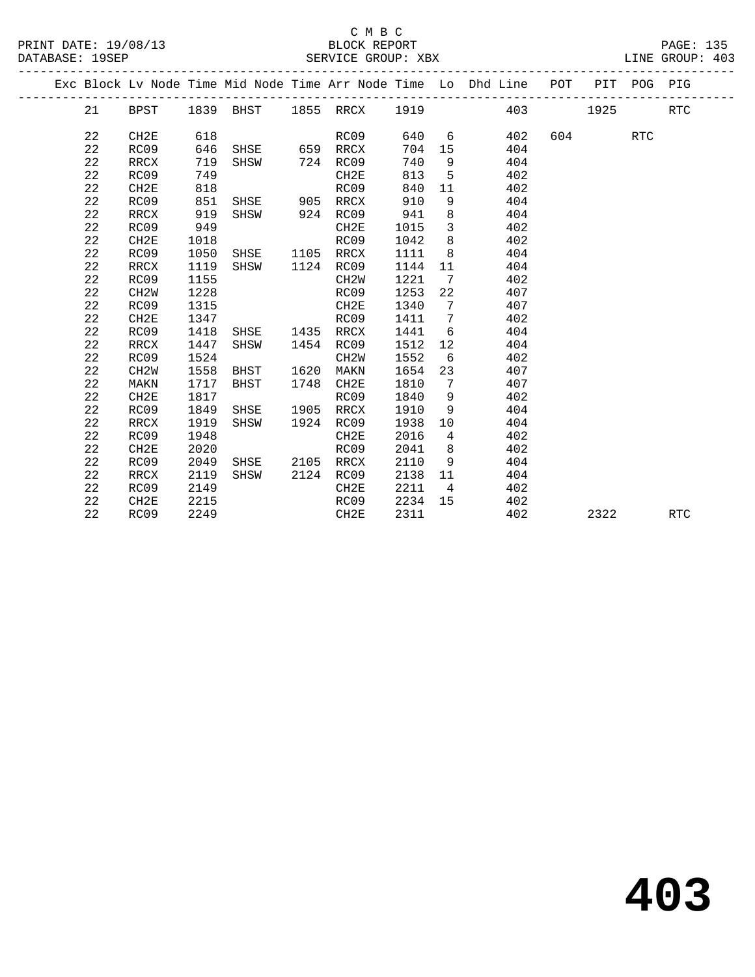#### C M B C<br>BLOCK REPORT SERVICE GROUP: XBX

|  |    |                   |      |             |      |                   |      |                 | Exc Block Lv Node Time Mid Node Time Arr Node Time Lo Dhd Line POT |     |      | PIT POG PIG |            |
|--|----|-------------------|------|-------------|------|-------------------|------|-----------------|--------------------------------------------------------------------|-----|------|-------------|------------|
|  | 21 | BPST              |      | 1839 BHST   |      | 1855 RRCX         | 1919 |                 | 403                                                                |     | 1925 |             | <b>RTC</b> |
|  | 22 | CH2E              | 618  |             |      | RC09              | 640  | 6               | 402                                                                | 604 |      | <b>RTC</b>  |            |
|  | 22 | RC09              | 646  | SHSE        | 659  | RRCX              | 704  | 15              | 404                                                                |     |      |             |            |
|  | 22 | RRCX              | 719  | SHSW        |      | 724 RC09          | 740  | 9               | 404                                                                |     |      |             |            |
|  | 22 | RC09              | 749  |             |      | CH <sub>2E</sub>  | 813  | 5               | 402                                                                |     |      |             |            |
|  | 22 | CH2E              | 818  |             |      | RC09              | 840  | 11              | 402                                                                |     |      |             |            |
|  | 22 | RC09              | 851  | SHSE        | 905  | RRCX              | 910  | 9               | 404                                                                |     |      |             |            |
|  | 22 | RRCX              | 919  | SHSW        | 924  | RC09              | 941  | 8               | 404                                                                |     |      |             |            |
|  | 22 | RC09              | 949  |             |      | CH2E              | 1015 | 3               | 402                                                                |     |      |             |            |
|  | 22 | CH2E              | 1018 |             |      | RC09              | 1042 | 8               | 402                                                                |     |      |             |            |
|  | 22 | RC09              | 1050 | SHSE        |      | 1105 RRCX         | 1111 | 8               | 404                                                                |     |      |             |            |
|  | 22 | RRCX              | 1119 | SHSW        |      | 1124 RC09         | 1144 | 11              | 404                                                                |     |      |             |            |
|  | 22 | RC09              | 1155 |             |      | CH2W              | 1221 | 7               | 402                                                                |     |      |             |            |
|  | 22 | CH <sub>2</sub> W | 1228 |             |      | RC09              | 1253 | 22              | 407                                                                |     |      |             |            |
|  | 22 | RC09              | 1315 |             |      | CH2E              | 1340 | 7               | 407                                                                |     |      |             |            |
|  | 22 | CH2E              | 1347 |             |      | RC09              | 1411 | 7               | 402                                                                |     |      |             |            |
|  | 22 | RC09              | 1418 | SHSE        | 1435 | RRCX              | 1441 | 6               | 404                                                                |     |      |             |            |
|  | 22 | RRCX              | 1447 | SHSW        | 1454 | RC09              | 1512 | 12              | 404                                                                |     |      |             |            |
|  | 22 | RC09              | 1524 |             |      | CH <sub>2</sub> W | 1552 | 6               | 402                                                                |     |      |             |            |
|  | 22 | CH <sub>2</sub> W | 1558 | BHST        | 1620 | MAKN              | 1654 | 23              | 407                                                                |     |      |             |            |
|  | 22 | MAKN              | 1717 | <b>BHST</b> | 1748 | CH2E              | 1810 | 7               | 407                                                                |     |      |             |            |
|  | 22 | CH2E              | 1817 |             |      | RC09              | 1840 | 9               | 402                                                                |     |      |             |            |
|  | 22 | RC09              | 1849 | SHSE        | 1905 | RRCX              | 1910 | 9               | 404                                                                |     |      |             |            |
|  | 22 | RRCX              | 1919 | SHSW        | 1924 | RC09              | 1938 | 10              | 404                                                                |     |      |             |            |
|  | 22 | RC09              | 1948 |             |      | CH2E              | 2016 | $4\overline{ }$ | 402                                                                |     |      |             |            |
|  | 22 | CH2E              | 2020 |             |      | RC09              | 2041 | 8               | 402                                                                |     |      |             |            |
|  | 22 | RC09              | 2049 | SHSE        | 2105 | RRCX              | 2110 | 9               | 404                                                                |     |      |             |            |
|  | 22 | RRCX              | 2119 | SHSW        | 2124 | RC09              | 2138 | 11              | 404                                                                |     |      |             |            |
|  | 22 | RC09              | 2149 |             |      | CH2E              | 2211 | $\overline{4}$  | 402                                                                |     |      |             |            |
|  | 22 | CH2E              | 2215 |             |      | RC09              | 2234 | 15              | 402                                                                |     |      |             |            |
|  | 22 | RC09              | 2249 |             |      | CH2E              | 2311 |                 | 402                                                                |     | 2322 |             | <b>RTC</b> |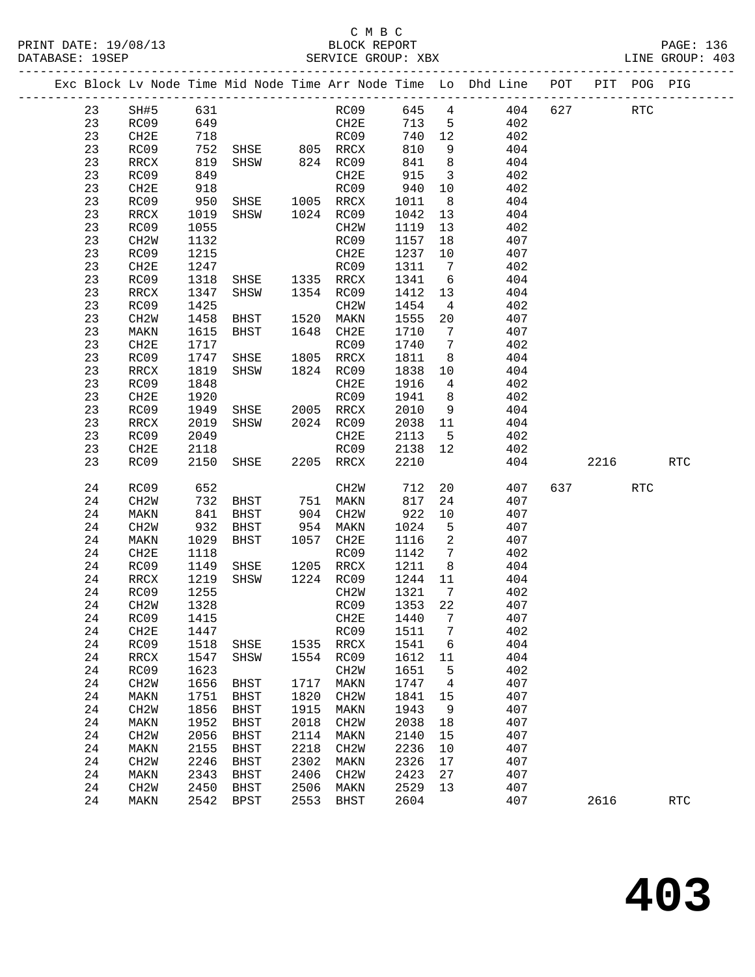# C M B C<br>BLOCK REPORT

| DATABASE: 19SEP |    |                   |      |                |      |                      |        |                         |                                                                                |     |            |            | LINE GROUP: 403 |  |
|-----------------|----|-------------------|------|----------------|------|----------------------|--------|-------------------------|--------------------------------------------------------------------------------|-----|------------|------------|-----------------|--|
|                 |    |                   |      |                |      |                      |        |                         | Exc Block Lv Node Time Mid Node Time Arr Node Time Lo Dhd Line POT PIT POG PIG |     |            |            |                 |  |
|                 | 23 | SH#5              | 631  |                |      | RC09                 | 645 4  |                         | 404                                                                            | 627 | <b>RTC</b> |            |                 |  |
|                 | 23 | RC09              | 649  |                |      | CH2E                 | 713 5  |                         | 402                                                                            |     |            |            |                 |  |
|                 | 23 | CH2E              | 718  |                |      | RC09                 | 740 12 |                         | 402                                                                            |     |            |            |                 |  |
|                 | 23 | RC09              | 752  | SHSE 805 RRCX  |      |                      | 810    | 9                       | 404                                                                            |     |            |            |                 |  |
|                 | 23 | RRCX              | 819  | SHSW 824 RC09  |      |                      | 841    | 8 <sup>8</sup>          | 404                                                                            |     |            |            |                 |  |
|                 | 23 | RC09              | 849  |                |      | CH2E                 | 915    | $\overline{\mathbf{3}}$ | 402                                                                            |     |            |            |                 |  |
|                 | 23 | CH2E              | 918  |                |      | RC09                 | 940    | 10                      | 402                                                                            |     |            |            |                 |  |
|                 | 23 | RC09              | 950  | SHSE 1005 RRCX |      |                      | 1011   | 8 <sup>8</sup>          | 404                                                                            |     |            |            |                 |  |
|                 | 23 | RRCX              | 1019 | SHSW           |      | 1024 RC09            | 1042   | 13                      | 404                                                                            |     |            |            |                 |  |
|                 | 23 | RC09              | 1055 |                |      | CH2W                 | 1119   | 13                      | 402                                                                            |     |            |            |                 |  |
|                 | 23 | CH2W              | 1132 |                |      | RC09                 | 1157   | 18                      | 407                                                                            |     |            |            |                 |  |
|                 | 23 | RC09              | 1215 |                |      | CH2E                 | 1237   | 10                      | 407                                                                            |     |            |            |                 |  |
|                 | 23 | CH2E              | 1247 |                |      | RC09                 | 1311   | $\overline{7}$          | 402                                                                            |     |            |            |                 |  |
|                 | 23 | RC09              | 1318 | SHSE           |      | 1335 RRCX            | 1341   | 6                       | 404                                                                            |     |            |            |                 |  |
|                 | 23 | RRCX              | 1347 | SHSW           |      | 1354 RC09            | 1412   | 13                      | 404                                                                            |     |            |            |                 |  |
|                 | 23 | RC09              | 1425 |                |      | CH2W                 | 1454   | $\overline{4}$          | 402                                                                            |     |            |            |                 |  |
|                 | 23 | CH <sub>2</sub> W | 1458 | BHST           |      | 1520 MAKN            | 1555   | 20                      | 407                                                                            |     |            |            |                 |  |
|                 | 23 | MAKN              | 1615 | BHST           | 1648 | CH2E                 | 1710   | $\overline{7}$          | 407                                                                            |     |            |            |                 |  |
|                 | 23 | CH2E              | 1717 |                |      | RC09                 | 1740   | $\overline{7}$          | 402                                                                            |     |            |            |                 |  |
|                 | 23 | RC09              | 1747 | SHSE           | 1805 | RRCX                 | 1811   | 8                       | 404                                                                            |     |            |            |                 |  |
|                 | 23 | RRCX              | 1819 | SHSW           |      | 1824 RC09            | 1838   | 10                      | 404                                                                            |     |            |            |                 |  |
|                 | 23 | RC09              | 1848 |                |      | CH2E                 | 1916   | $\overline{4}$          | 402                                                                            |     |            |            |                 |  |
|                 | 23 | CH2E              | 1920 |                |      | RC09                 | 1941   | 8                       | 402                                                                            |     |            |            |                 |  |
|                 | 23 | RC09              | 1949 | SHSE           |      | 2005 RRCX            | 2010   | 9                       | 404                                                                            |     |            |            |                 |  |
|                 | 23 | RRCX              | 2019 | SHSW           |      | 2024 RC09            | 2038   | 11                      | 404                                                                            |     |            |            |                 |  |
|                 | 23 | RC09              | 2049 |                |      | CH2E                 | 2113   | $5^{\circ}$             | 402                                                                            |     |            |            |                 |  |
|                 | 23 | CH2E              | 2118 |                |      | RC09                 | 2138   | 12                      | 402                                                                            |     |            |            |                 |  |
|                 | 23 | RC09              | 2150 | SHSE           |      | 2205 RRCX            | 2210   |                         | 404                                                                            |     | 2216       |            | RTC             |  |
|                 | 24 | RC09              | 652  |                |      | CH2W                 | 712    | 20                      | 407                                                                            | 637 |            | <b>RTC</b> |                 |  |
|                 | 24 | CH <sub>2</sub> W | 732  | BHST           |      |                      | 817    | 24                      | 407                                                                            |     |            |            |                 |  |
|                 | 24 | MAKN              | 841  | BHST           |      | 751 MAKN<br>904 CH2W | 922    | 10                      | 407                                                                            |     |            |            |                 |  |
|                 | 24 | CH <sub>2</sub> W | 932  | BHST           |      | 954 MAKN             | 1024   | 5                       | 407                                                                            |     |            |            |                 |  |
|                 | 24 |                   | 1029 | BHST           |      | 1057 CH2E            | 1116   | $\overline{2}$          | 407                                                                            |     |            |            |                 |  |
|                 |    | MAKN              |      |                |      |                      |        | $7\phantom{.0}$         |                                                                                |     |            |            |                 |  |
|                 | 24 | CH2E              | 1118 |                |      | RC09                 | 1142   |                         | 402                                                                            |     |            |            |                 |  |
|                 | 24 | RC09              | 1149 | SHSE           |      | 1205 RRCX            | 1211   | 8                       | 404                                                                            |     |            |            |                 |  |
|                 | 24 | RRCX              | 1219 | SHSW           |      | 1224 RC09            | 1244   | 11                      | 404                                                                            |     |            |            |                 |  |
|                 | 24 | RC09              | 1255 |                |      | CH <sub>2</sub> W    | 1321   | $7\overline{ }$         | 402                                                                            |     |            |            |                 |  |
|                 | 24 | CH2W              | 1328 |                |      | RC09                 | 1353   | 22                      | 407                                                                            |     |            |            |                 |  |
|                 | 24 | RC09              | 1415 |                |      | CH2E                 | 1440   | $\overline{7}$          | 407                                                                            |     |            |            |                 |  |
|                 | 24 | CH2E              | 1447 |                |      | RC09                 | 1511   | $7\phantom{.0}$         | 402                                                                            |     |            |            |                 |  |
|                 | 24 | RC09              | 1518 | SHSE           |      | 1535 RRCX            | 1541   | 6                       | 404                                                                            |     |            |            |                 |  |

 24 RRCX 1547 SHSW 1554 RC09 1612 11 404 24 RC09 1623 CH2W 1651 5 402

 24 MAKN 1751 BHST 1820 CH2W 1841 15 407 24 CH2W 1856 BHST 1915 MAKN 1943 9 407

24 CH2W 2450 BHST 2506 MAKN 2529 13 407

24 CH2W 1656 BHST 1717 MAKN 1747 4 407

 24 MAKN 1952 BHST 2018 CH2W 2038 18 407 24 CH2W 2056 BHST 2114 MAKN 2140 15 407 24 MAKN 2155 BHST 2218 CH2W 2236 10 407

 24 CH2W 2246 BHST 2302 MAKN 2326 17 407 24 MAKN 2343 BHST 2406 CH2W 2423 27 407<br>24 CH2W 2450 BHST 2506 MAKN 2529 13 407<br>24 MAKN 2542 BPST 2553 BHST 2604 407

24 MAKN 2542 BPST 2553 BHST 2604 407 2616 RTC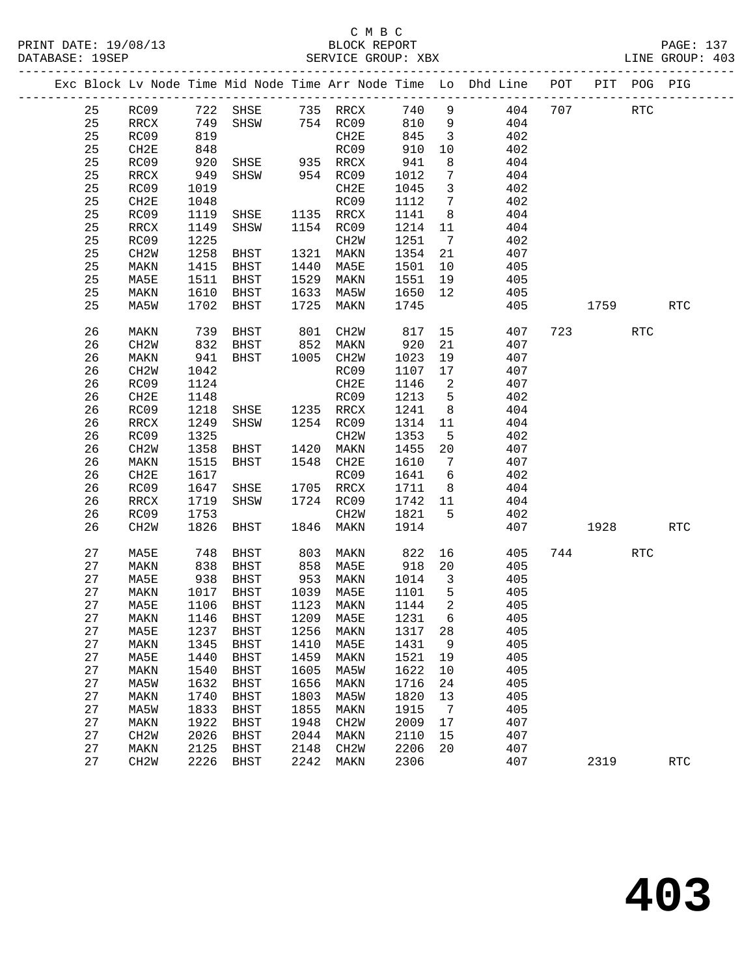#### C M B C<br>BLOCK REPORT SERVICE GROUP: XBX

|  |          |                          |              |                                |              |                           |              |                            | Exc Block Lv Node Time Mid Node Time Arr Node Time Lo Dhd Line | POT | PIT  | POG PIG    |            |
|--|----------|--------------------------|--------------|--------------------------------|--------------|---------------------------|--------------|----------------------------|----------------------------------------------------------------|-----|------|------------|------------|
|  | 25       | RC09                     |              | 722 SHSE                       |              | 735 RRCX<br>754 RC09      | 740          | 9                          | 404                                                            | 707 |      | <b>RTC</b> |            |
|  | 25       | RRCX                     | 749          | SHSW                           |              | 754 RC09                  | 810          | 9                          | 404                                                            |     |      |            |            |
|  | 25       | RC09                     | 819          |                                |              | CH2E                      | 845          | $\overline{\mathbf{3}}$    | 402                                                            |     |      |            |            |
|  | 25       | CH2E                     | 848          |                                |              | RC09                      | 910          | 10                         | 402                                                            |     |      |            |            |
|  | 25       | RC09                     | 920          | SHSE 935 RRCX<br>SHSW 954 RC09 |              |                           | 941          | 8                          | 404                                                            |     |      |            |            |
|  | 25       | $\mathop{\mathrm{RRCX}}$ | 949          |                                |              |                           | 1012         | $7\phantom{.0}$            | 404                                                            |     |      |            |            |
|  | 25       | RC09                     | 1019         |                                |              | CH2E                      | 1045         | $\overline{\mathbf{3}}$    | 402                                                            |     |      |            |            |
|  | 25       | CH2E                     | 1048         |                                |              | RC09                      | 1112         | $\overline{7}$             | 402                                                            |     |      |            |            |
|  | 25       | RC09                     | 1119         | SHSE                           |              | 1135 RRCX                 | 1141         | 8 <sup>8</sup>             | 404                                                            |     |      |            |            |
|  | 25       | RRCX                     | 1149         | SHSW                           |              | 1154 RC09                 | 1214         | 11                         | 404                                                            |     |      |            |            |
|  | 25       | RC09                     | 1225         |                                |              | CH <sub>2</sub> M         | 1251         | $7\overline{ }$            | 402                                                            |     |      |            |            |
|  | 25       | CH <sub>2</sub> W        | 1258         | BHST                           | 1321         | MAKN                      | 1354         | 21                         | 407                                                            |     |      |            |            |
|  | 25       | MAKN                     | 1415         | BHST                           | 1440         | MA5E                      | 1501         | 10                         | 405                                                            |     |      |            |            |
|  | 25       | MA5E                     | 1511         | BHST                           | 1529         | MAKN                      | 1551         | 19                         | 405                                                            |     |      |            |            |
|  | 25       | MAKN                     | 1610         | BHST                           | 1633         | MA5W                      | 1650         | 12                         | 405                                                            |     |      |            |            |
|  | 25       | MA5W                     | 1702         | BHST                           | 1725         | MAKN                      | 1745         |                            | 405                                                            |     | 1759 |            | <b>RTC</b> |
|  | 26       | MAKN                     | 739          | BHST                           | 801<br>852   | CH2W                      | 817          | 15                         | 407                                                            | 723 |      | <b>RTC</b> |            |
|  | 26       | CH <sub>2</sub> W        | 832          | BHST                           |              | MAKN                      | 920          | 21                         | 407                                                            |     |      |            |            |
|  | 26       | MAKN                     | 941          | BHST                           | 1005         | CH2W                      | 1023         | 19                         | 407                                                            |     |      |            |            |
|  | 26       | CH <sub>2</sub> W        | 1042         |                                |              | RC09                      | 1107         | 17                         | 407                                                            |     |      |            |            |
|  | 26       | RC09                     | 1124         |                                |              | CH2E                      | 1146         | $\overline{\phantom{a}}^2$ | 407                                                            |     |      |            |            |
|  | 26       | CH2E                     | 1148         |                                |              | RC09                      | 1213         | $5^{\circ}$                | 402                                                            |     |      |            |            |
|  | 26       | RC09                     | 1218         | SHSE                           |              | 1235 RRCX                 | 1241         | 8 <sup>8</sup>             | 404                                                            |     |      |            |            |
|  | 26       | RRCX                     | 1249         | SHSW                           | 1254         | RC09                      | 1314         | 11                         | 404                                                            |     |      |            |            |
|  | 26       | RC09                     | 1325         |                                |              | CH2W                      | 1353         | $5^{\circ}$                | 402                                                            |     |      |            |            |
|  | 26       | CH <sub>2</sub> W        | 1358         | BHST                           |              | 1420 MAKN                 | 1455         | 20                         | 407                                                            |     |      |            |            |
|  | 26       | MAKN                     | 1515         | BHST                           | 1548         | CH2E                      | 1610         | $\overline{7}$             | 407                                                            |     |      |            |            |
|  | 26       | CH2E                     | 1617         |                                |              | RC09                      | 1641         | $6\overline{6}$            | 402                                                            |     |      |            |            |
|  | 26       | RC09                     | 1647         | SHSE                           | 1705         | RRCX                      | 1711         | 8 <sup>8</sup>             | 404                                                            |     |      |            |            |
|  | 26       | RRCX                     | 1719         | SHSW                           |              | 1724 RC09                 | 1742 11      |                            | 404                                                            |     |      |            |            |
|  | 26       | RC09                     | 1753         |                                |              | CH2W                      | 1821         | 5                          | 402                                                            |     |      |            |            |
|  | 26       | CH <sub>2</sub> W        | 1826         | BHST                           | 1846         | MAKN                      | 1914         |                            | 407                                                            |     | 1928 |            | <b>RTC</b> |
|  | 27       | MA5E                     | 748          | BHST                           | 803          | MAKN                      | 822          | 16                         | 405                                                            |     | 744  | <b>RTC</b> |            |
|  | 27       | MAKN                     | 838          | BHST                           | 858          | MA5E                      | 918          | 20                         | 405                                                            |     |      |            |            |
|  | 27       | MA5E                     | 938          | BHST                           | 953          | MAKN                      | 1014         | $\overline{\mathbf{3}}$    | 405                                                            |     |      |            |            |
|  | 27       | MAKN                     | 1017         | BHST                           | 1039         | MA5E                      | 1101         | $5^{\circ}$                | 405                                                            |     |      |            |            |
|  | 27       | MA5E                     | 1106         | BHST                           | 1123         | MAKN                      | 1144         | $\overline{\phantom{0}}^2$ | 405                                                            |     |      |            |            |
|  | 27       | MAKN 1146 BHST           |              |                                |              | 1209 MA5E                 | 1231 6       |                            | 405                                                            |     |      |            |            |
|  | 27       | MA5E                     | 1237         | BHST                           | 1256         | MAKN                      | 1317         | 28                         | 405                                                            |     |      |            |            |
|  | 27       | MAKN                     | 1345         | BHST                           | 1410         | MA5E                      | 1431         | 9                          | 405                                                            |     |      |            |            |
|  | 27       | MA5E                     | 1440         | BHST                           | 1459         | MAKN                      | 1521         | 19                         | 405                                                            |     |      |            |            |
|  | 27<br>27 | MAKN                     | 1540         | <b>BHST</b>                    | 1605<br>1656 | MA5W                      | 1622         | 10                         | 405                                                            |     |      |            |            |
|  |          | MA5W                     | 1632         | BHST                           |              | MAKN                      | 1716         | 24                         | 405                                                            |     |      |            |            |
|  | 27<br>27 | MAKN                     | 1740         | BHST                           | 1803<br>1855 | MA5W                      | 1820<br>1915 | 13<br>$\overline{7}$       | 405                                                            |     |      |            |            |
|  | 27       | MA5W<br>MAKN             | 1833<br>1922 | <b>BHST</b><br><b>BHST</b>     | 1948         | MAKN<br>CH <sub>2</sub> M | 2009         | 17                         | 405<br>407                                                     |     |      |            |            |
|  | 27       | CH <sub>2</sub> W        | 2026         | BHST                           | 2044         | MAKN                      | 2110         | 15                         | 407                                                            |     |      |            |            |
|  | 27       | MAKN                     | 2125         | BHST                           | 2148         | CH <sub>2</sub> M         | 2206         | 20                         | 407                                                            |     |      |            |            |
|  | 27       | CH <sub>2</sub> W        | 2226         | BHST                           | 2242         | MAKN                      | 2306         |                            | 407                                                            |     | 2319 |            | <b>RTC</b> |
|  |          |                          |              |                                |              |                           |              |                            |                                                                |     |      |            |            |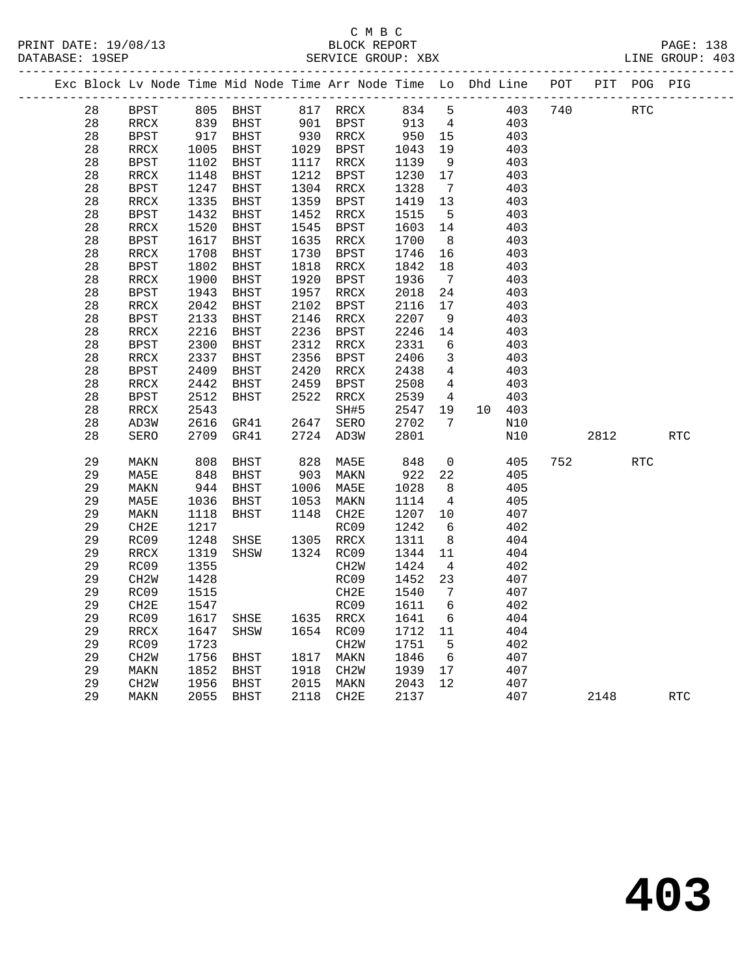#### C M B C<br>BLOCK REPORT SERVICE GROUP: XBX

| Exc Block Lv Node Time Mid Node Time Arr Node Time Lo Dhd Line POT PIT POG PIG |                          |      |                       |      |                       |                   |                                        |                        |      |                      |            |
|--------------------------------------------------------------------------------|--------------------------|------|-----------------------|------|-----------------------|-------------------|----------------------------------------|------------------------|------|----------------------|------------|
| 28                                                                             | BPST                     |      | 805 BHST              |      |                       |                   |                                        | 817 RRCX 834 5 403 740 |      | $\operatorname{RTC}$ |            |
| 28                                                                             | RRCX                     |      | 839 BHST              |      |                       |                   |                                        | 901 BPST 913 4 403     |      |                      |            |
| 28                                                                             | BPST                     |      | 917 BHST<br>1005 BHST |      | 930 RRCX<br>1029 BPST | 950 15<br>1043 19 |                                        | 403                    |      |                      |            |
| 28                                                                             | RRCX                     |      |                       |      | 1029 BPST             |                   |                                        | 403                    |      |                      |            |
| 28                                                                             | BPST                     | 1102 | BHST                  |      | 1117 RRCX             | 1139              | 9                                      | 403                    |      |                      |            |
| 28                                                                             | RRCX                     | 1148 | BHST                  | 1212 | <b>BPST</b>           | 1230              |                                        | 17<br>403              |      |                      |            |
| 28                                                                             | <b>BPST</b>              | 1247 | BHST                  | 1304 | RRCX                  | 1328              | $7\overline{ }$                        | 403                    |      |                      |            |
| 28                                                                             | RRCX                     | 1335 | BHST                  | 1359 | BPST                  | 1419              | 13                                     | 403                    |      |                      |            |
| 28                                                                             | <b>BPST</b>              | 1432 | BHST                  | 1452 | RRCX                  | 1515              |                                        | 5 403                  |      |                      |            |
| 28                                                                             | RRCX                     | 1520 | BHST                  | 1545 | <b>BPST</b>           | 1603              |                                        | 403<br>14              |      |                      |            |
| 28                                                                             | <b>BPST</b>              | 1617 | BHST                  | 1635 | RRCX                  | 1700              | 8 <sup>8</sup>                         | 403                    |      |                      |            |
| 28                                                                             | RRCX                     | 1708 | BHST                  | 1730 | BPST                  | 1746              |                                        | 16 403                 |      |                      |            |
| 28                                                                             | <b>BPST</b>              | 1802 | BHST                  | 1818 | RRCX                  | 1842              | 18                                     | 403                    |      |                      |            |
| 28                                                                             | $\mathop{\mathrm{RRCX}}$ | 1900 | BHST                  | 1920 | <b>BPST</b>           | 1936              | $7\overline{ }$                        | 403                    |      |                      |            |
| 28                                                                             | BPST                     | 1943 | BHST                  | 1957 | RRCX                  | 2018              | 24                                     | 403                    |      |                      |            |
| 28                                                                             | RRCX                     | 2042 | BHST                  | 2102 | BPST                  | 2116              | 17                                     | 403                    |      |                      |            |
| 28                                                                             | <b>BPST</b>              | 2133 | BHST                  | 2146 | RRCX                  | 2207              | 9                                      | 403                    |      |                      |            |
| 28                                                                             | $\mathop{\mathrm{RRCX}}$ | 2216 | BHST                  | 2236 | BPST                  | 2246              | 14                                     | 403                    |      |                      |            |
| 28                                                                             | BPST                     | 2300 | BHST                  | 2312 | RRCX                  | 2331              | $6\overline{6}$                        | 403                    |      |                      |            |
| 28                                                                             | $\mathop{\mathrm{RRCX}}$ | 2337 | BHST                  | 2356 | <b>BPST</b>           | 2406              |                                        | 3 403                  |      |                      |            |
| 28                                                                             | <b>BPST</b>              | 2409 | BHST                  | 2420 | RRCX                  | 2438              | $4\overline{4}$                        | 403                    |      |                      |            |
| 28                                                                             | $\mathop{\mathrm{RRCX}}$ | 2442 | <b>BHST</b>           | 2459 | <b>BPST</b>           | 2508              | $4\overline{4}$                        | 403                    |      |                      |            |
| 28                                                                             | BPST                     | 2512 | BHST                  | 2522 | RRCX                  | 2539              | $4\overline{4}$                        | 403                    |      |                      |            |
| 28                                                                             | $\mathtt{RRCX}$          | 2543 |                       |      | SH#5                  |                   |                                        | 2547 19 10 403         |      |                      |            |
| 28                                                                             | AD3W                     | 2616 | GR41                  |      | 2647 SERO             | 2702              | 7                                      | N10                    |      |                      |            |
| 28                                                                             | SERO                     | 2709 | GR41                  |      | 2724 AD3W             | 2801              |                                        | N10                    | 2812 |                      | <b>RTC</b> |
| 29                                                                             | MAKN                     | 808  | BHST                  | 828  | MA5E                  | 848               |                                        | $0\qquad \qquad 405$   | 752  | $\operatorname{RTC}$ |            |
| 29                                                                             | MA5E                     | 848  | BHST                  | 903  | MAKN                  | 922 22            | $\begin{array}{c} 22 \\ 8 \end{array}$ | 405                    |      |                      |            |
| 29                                                                             | MAKN                     | 944  | BHST                  | 1006 | MA5E                  | 1028              |                                        | 405                    |      |                      |            |
| 29                                                                             | MA5E                     | 1036 | BHST                  | 1053 | MAKN                  | 1114              |                                        | 405<br>$4\overline{ }$ |      |                      |            |
| 29                                                                             | MAKN                     | 1118 | BHST                  | 1148 | CH2E                  | 1207 10           |                                        | 407                    |      |                      |            |
| 29                                                                             | CH2E                     | 1217 |                       |      | RC09                  | 1242              | $6\overline{6}$                        | 402                    |      |                      |            |
| 29                                                                             | RC09                     | 1248 | SHSE                  | 1305 | RRCX                  | 1311              | 8 <sup>8</sup>                         | 404                    |      |                      |            |
| 29                                                                             | RRCX                     | 1319 | SHSW                  | 1324 | RC09                  | 1344              | 11                                     | 404                    |      |                      |            |
| 29                                                                             | RC09                     | 1355 |                       |      | CH <sub>2</sub> W     | 1424              | $4\overline{ }$                        | 402                    |      |                      |            |
| 29                                                                             | CH2W                     | 1428 |                       |      | RC09                  | 1452              | 23                                     | 407                    |      |                      |            |
| 29                                                                             | RC09                     | 1515 |                       |      | CH2E                  | 1540              | 7                                      | 407                    |      |                      |            |
| 29                                                                             | CH2E                     | 1547 |                       |      | RC09                  | 1611              | 6                                      | 402                    |      |                      |            |
| 29                                                                             | RC09                     | 1617 | SHSE 1635 RRCX        |      |                       | 1641              | 6                                      | 404                    |      |                      |            |

29 MAKN 2055 BHST 2118 CH2E 2137 407 2148 RTC

 29 RRCX 1647 SHSW 1654 RC09 1712 11 404 29 RC09 1723 CH2W 1751 5 402

 29 MAKN 1852 BHST 1918 CH2W 1939 17 407 29 CH2W 1956 BHST 2015 MAKN 2043 12 407

29 RC09 1723 CH2W 1751 5 402<br>
29 CH2W 1756 BHST 1817 MAKN 1846 6 407<br>
29 MAKN 1852 BHST 1918 CH2W 1939 17 407<br>
29 CH2W 1956 BHST 2015 MAKN 2043 12 407<br>
29 MAKN 2055 BHST 2118 CH2E 2137 407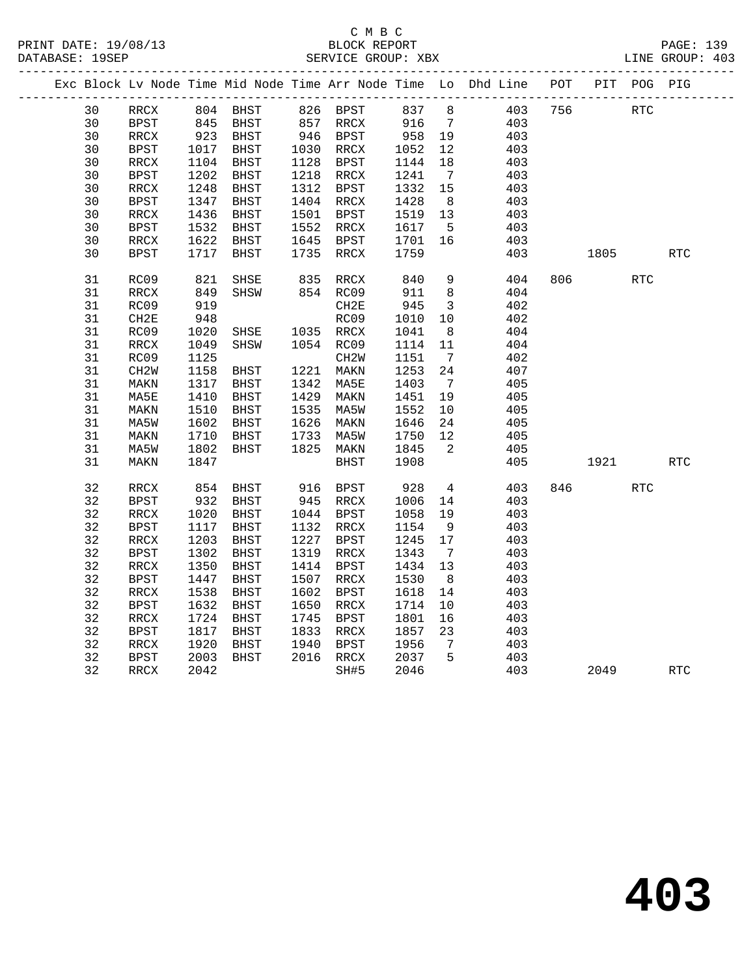#### C M B C<br>BLOCK REPORT SERVICE GROUP: XBX

|  |    |                          |            | Exc Block Lv Node Time Mid Node Time Arr Node Time Lo Dhd Line POT |                      |                   |                           |                         |     |     |         | PIT POG PIG |            |
|--|----|--------------------------|------------|--------------------------------------------------------------------|----------------------|-------------------|---------------------------|-------------------------|-----|-----|---------|-------------|------------|
|  | 30 | RRCX                     |            | 804 BHST 826 BPST 837                                              |                      |                   |                           | 8 <sup>8</sup>          | 403 | 756 |         | <b>RTC</b>  |            |
|  | 30 | <b>BPST</b>              |            | 845 BHST<br>923 BHST                                               |                      |                   | 916       7<br>958     19 |                         | 403 |     |         |             |            |
|  | 30 | RRCX                     |            |                                                                    |                      |                   |                           |                         | 403 |     |         |             |            |
|  | 30 | <b>BPST</b>              |            | 1017 BHST                                                          | 1030 RRCX            |                   | 1052                      | 12                      | 403 |     |         |             |            |
|  | 30 | RRCX                     | 1104       | BHST                                                               | 1128 BPST            |                   | 1144                      | 18                      | 403 |     |         |             |            |
|  | 30 | BPST                     | 1202       | BHST                                                               | 1218 RRCX            |                   | 1241                      | $\overline{7}$          | 403 |     |         |             |            |
|  | 30 | $\mathop{\mathrm{RRCX}}$ | 1248       | BHST                                                               | 1312 BPST            |                   | 1332                      | 15                      | 403 |     |         |             |            |
|  | 30 | <b>BPST</b>              | 1347       | BHST                                                               | 1404 RRCX            |                   | 1428                      | 8 <sup>8</sup>          | 403 |     |         |             |            |
|  | 30 | RRCX                     | 1436       | BHST                                                               | 1501 BPST            |                   | 1519 13                   |                         | 403 |     |         |             |            |
|  | 30 | <b>BPST</b>              | 1532       | <b>BHST</b>                                                        | 1552 RRCX            |                   | 1617                      | $5^{\circ}$             | 403 |     |         |             |            |
|  | 30 | RRCX                     | 1622       | BHST                                                               | 1645 BPST            |                   | 1701 16                   |                         | 403 |     |         |             |            |
|  | 30 | BPST                     | 1717       | BHST                                                               | 1735 RRCX            |                   | 1759                      |                         | 403 |     | 1805    |             | RTC        |
|  | 31 | RC09                     |            | SHSE                                                               |                      |                   |                           | 9                       | 404 |     | 806 700 | <b>RTC</b>  |            |
|  | 31 | RRCX                     | 821<br>849 | SHSW                                                               | 835 RRCX<br>854 RC09 |                   | 840<br>911                | 8                       | 404 |     |         |             |            |
|  | 31 | RC09                     | 919        |                                                                    |                      | CH2E              | 945                       | $\overline{\mathbf{3}}$ | 402 |     |         |             |            |
|  | 31 | CH2E                     | 948        |                                                                    |                      | RC09              | 1010                      | 10                      | 402 |     |         |             |            |
|  | 31 | RC09                     | 1020       | SHSE                                                               | 1035 RRCX            |                   | 1041                      | 8 <sup>8</sup>          | 404 |     |         |             |            |
|  | 31 | RRCX                     | 1049       | SHSW                                                               | 1054 RC09            |                   | 1114                      | 11                      | 404 |     |         |             |            |
|  | 31 | RC09                     | 1125       |                                                                    |                      | CH <sub>2</sub> W | 1151                      | $7\overline{ }$         | 402 |     |         |             |            |
|  | 31 | CH2W                     | 1158       | BHST                                                               | 1221 MAKN            |                   | 1253                      | 24                      | 407 |     |         |             |            |
|  | 31 | MAKN                     | 1317       | BHST                                                               | 1342 MA5E            |                   | 1403                      | $\overline{7}$          | 405 |     |         |             |            |
|  | 31 | MA5E                     | 1410       | <b>BHST</b>                                                        | 1429 MAKN            |                   | 1451                      | 19                      | 405 |     |         |             |            |
|  | 31 | MAKN                     | 1510       | BHST                                                               | 1535 MA5W            |                   | 1552                      | 10                      | 405 |     |         |             |            |
|  | 31 | MA5W                     | 1602       | BHST                                                               | 1626 MAKN            |                   | 1646                      | 24                      | 405 |     |         |             |            |
|  | 31 | MAKN                     | 1710       | BHST                                                               | 1733                 | MA5W              | 1750                      | 12                      | 405 |     |         |             |            |
|  | 31 | MA5W                     | 1802       | BHST                                                               | 1825 MAKN            |                   | 1845                      | $\overline{2}$          | 405 |     |         |             |            |
|  | 31 | MAKN                     | 1847       |                                                                    |                      | BHST              | 1908                      |                         | 405 |     | 1921    |             | <b>RTC</b> |
|  | 32 | RRCX                     | 854        | <b>BHST</b>                                                        | 916 BPST             |                   | 928                       | $\overline{4}$          | 403 |     | 846     | RTC         |            |
|  | 32 | <b>BPST</b>              | 932        | <b>BHST</b>                                                        | 945 RRCX             |                   | 1006 14                   |                         | 403 |     |         |             |            |
|  | 32 | RRCX                     | 1020       | BHST                                                               | 1044 BPST            |                   | 1058                      | 19                      | 403 |     |         |             |            |
|  | 32 | <b>BPST</b>              | 1117       | BHST                                                               | 1132 RRCX            |                   | 1154                      | 9                       | 403 |     |         |             |            |
|  | 32 | RRCX                     | 1203       | BHST                                                               | 1227 BPST            |                   | 1245                      | 17                      | 403 |     |         |             |            |
|  | 32 | <b>BPST</b>              | 1302       | BHST                                                               | 1319                 | RRCX              | 1343                      | $\overline{7}$          | 403 |     |         |             |            |
|  | 32 | $\mathop{\mathrm{RRCX}}$ | 1350       | BHST                                                               | 1414                 | BPST              | 1434                      | 13                      | 403 |     |         |             |            |
|  | 32 | BPST                     | 1447       | BHST                                                               | 1507                 | RRCX              | 1530                      | 8 <sup>8</sup>          | 403 |     |         |             |            |
|  | 32 | RRCX                     | 1538       | BHST                                                               | 1602                 | BPST              | 1618                      | 14                      | 403 |     |         |             |            |
|  | 32 | <b>BPST</b>              | 1632       | BHST                                                               | 1650                 | RRCX              | 1714                      | 10                      | 403 |     |         |             |            |
|  | 32 | $\verb!RRCX!$            | 1724       | BHST                                                               | 1745                 | BPST              | 1801                      | 16                      | 403 |     |         |             |            |
|  | 32 | <b>BPST</b>              | 1817       | BHST                                                               | 1833 RRCX            |                   | 1857                      | 23                      | 403 |     |         |             |            |
|  | 32 | RRCX                     | 1920       | BHST                                                               | 1940                 | BPST              | 1956                      | $\overline{7}$          | 403 |     |         |             |            |
|  | 32 | <b>BPST</b>              | 2003       | <b>BHST</b>                                                        | 2016 RRCX            |                   | 2037                      | $5^{\circ}$             | 403 |     |         |             |            |
|  | 32 | RRCX                     | 2042       |                                                                    |                      | SH#5              | 2046                      |                         | 403 |     | 2049    |             | <b>RTC</b> |
|  |    |                          |            |                                                                    |                      |                   |                           |                         |     |     |         |             |            |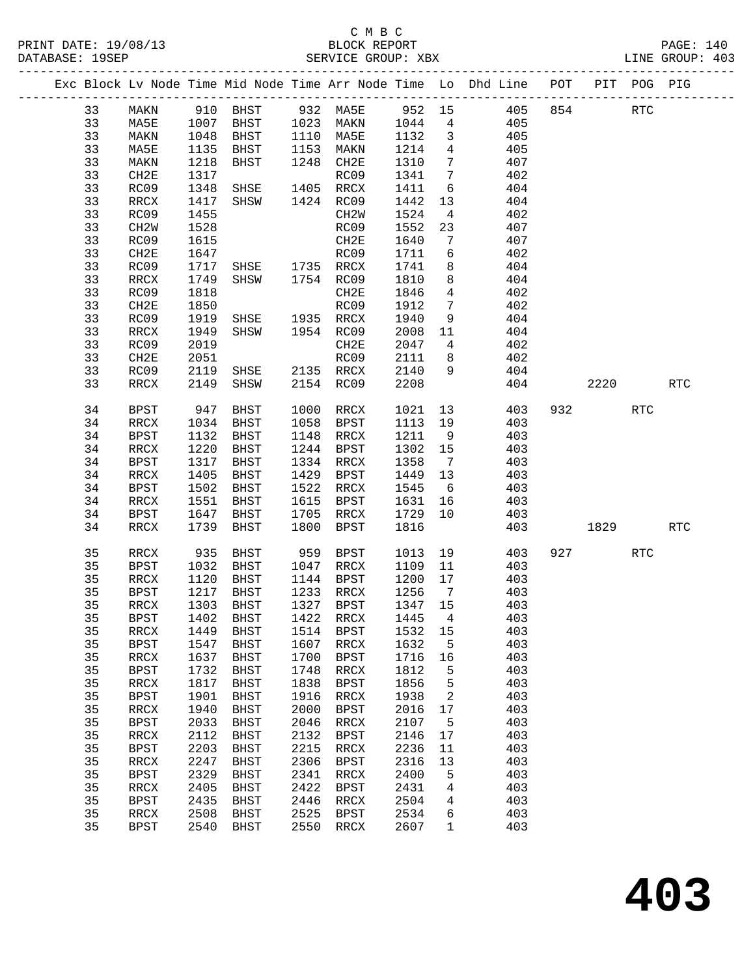#### C M B C<br>BLOCK REPORT SERVICE GROUP: XBX

|  |    |               |      |                                          |      |                                                                  |         |                         | Exc Block Lv Node Time Mid Node Time Arr Node Time Lo Dhd Line POT PIT POG PIG |           |            |            |
|--|----|---------------|------|------------------------------------------|------|------------------------------------------------------------------|---------|-------------------------|--------------------------------------------------------------------------------|-----------|------------|------------|
|  | 33 |               |      |                                          |      | MAKN 910 BHST 932 MA5E 952 15<br>MA5E 1007 BHST 1023 MAKN 1044 4 |         |                         | 405                                                                            | 854       | <b>RTC</b> |            |
|  | 33 |               | 1007 |                                          |      |                                                                  |         |                         | 405                                                                            |           |            |            |
|  | 33 | MAKN          | 1048 |                                          |      | BHST 1110 MA5E 1132                                              |         | $\overline{\mathbf{3}}$ | 405                                                                            |           |            |            |
|  | 33 | MA5E          | 1135 | BHST                                     |      | 1153 MAKN                                                        | 1214    | $\overline{4}$          | 405                                                                            |           |            |            |
|  | 33 | MAKN          | 1218 | BHST                                     |      | 1248 CH2E                                                        | 1310    | $7\overline{ }$         | 407                                                                            |           |            |            |
|  | 33 | CH2E          | 1317 |                                          |      | RC09                                                             | 1341    | $\overline{7}$          | 402                                                                            |           |            |            |
|  | 33 | RC09          | 1348 | SHSE 1405 RRCX                           |      |                                                                  | 1411    | $6\overline{6}$         | 404                                                                            |           |            |            |
|  | 33 | RRCX          | 1417 | SHSW                                     |      | 1424 RC09                                                        | 1442    | 13                      | 404                                                                            |           |            |            |
|  | 33 | RC09          | 1455 |                                          |      | CH2W                                                             | 1524    | $\overline{4}$          | 402                                                                            |           |            |            |
|  | 33 | CH2W          | 1528 |                                          |      | RC09                                                             | 1552    | 23                      | 407                                                                            |           |            |            |
|  | 33 | RC09          | 1615 |                                          |      | CH2E                                                             | 1640    | $\overline{7}$          | 407                                                                            |           |            |            |
|  | 33 | CH2E          | 1647 |                                          |      |                                                                  | 1711    | 6                       | 402                                                                            |           |            |            |
|  | 33 | RC09          | 1717 |                                          |      |                                                                  | 1741    | 8                       | 404                                                                            |           |            |            |
|  | 33 | RRCX          | 1749 | RC09<br>SHSE 1735 RRCX<br>SHSW 1754 RC09 |      |                                                                  | 1810    | 8                       | 404                                                                            |           |            |            |
|  | 33 | RC09          | 1818 |                                          |      | CH2E                                                             | 1846    | $\overline{4}$          | 402                                                                            |           |            |            |
|  | 33 | CH2E          | 1850 |                                          |      | RC09                                                             | 1912    | $\overline{7}$          | 402                                                                            |           |            |            |
|  | 33 | RC09          | 1919 | SHSE 1935 RRCX<br>SHSW 1954 RC09         |      |                                                                  | 1940    | 9                       | 404                                                                            |           |            |            |
|  | 33 | RRCX          | 1949 |                                          |      |                                                                  | 2008    | 11                      | 404                                                                            |           |            |            |
|  | 33 | RC09          | 2019 |                                          |      | CH2E                                                             | 2047    | $\overline{4}$          | 402                                                                            |           |            |            |
|  | 33 | CH2E          | 2051 |                                          |      | RC09                                                             | 2111    | 8 <sup>8</sup>          | 402                                                                            |           |            |            |
|  | 33 | RC09          | 2119 | SHSE 2135 RRCX                           |      |                                                                  | 2140    | 9                       | 404                                                                            |           |            |            |
|  | 33 | RRCX          | 2149 | SHSW                                     |      | 2154 RC09                                                        | 2208    |                         | 404                                                                            | 2220      |            | <b>RTC</b> |
|  |    |               |      |                                          |      |                                                                  |         |                         |                                                                                |           |            |            |
|  | 34 | BPST          | 947  | BHST                                     |      | 1000 RRCX                                                        | 1021    |                         | 13<br>403                                                                      | 932       | <b>RTC</b> |            |
|  | 34 | RRCX          | 1034 | BHST                                     |      | 1058 BPST                                                        | 1113 19 |                         | 403                                                                            |           |            |            |
|  | 34 | BPST          | 1132 | BHST                                     |      | 1148 RRCX                                                        | 1211    | 9                       | 403                                                                            |           |            |            |
|  | 34 | RRCX          | 1220 | BHST                                     |      | 1244 BPST                                                        | 1302 15 |                         | 403                                                                            |           |            |            |
|  | 34 | BPST          | 1317 | BHST                                     |      | 1334 RRCX                                                        | 1358    | $\overline{7}$          | 403                                                                            |           |            |            |
|  | 34 | RRCX          | 1405 | BHST                                     |      | 1429 BPST                                                        | 1449 13 |                         | 403                                                                            |           |            |            |
|  | 34 | BPST          | 1502 | BHST                                     |      | 1522 RRCX                                                        | 1545    | 6                       | 403                                                                            |           |            |            |
|  | 34 | RRCX          | 1551 | BHST                                     |      | 1615 BPST                                                        | 1631    | 16                      | 403                                                                            |           |            |            |
|  | 34 | BPST          | 1647 | BHST                                     |      | 1705 RRCX                                                        | 1729    | 10                      | 403                                                                            |           |            |            |
|  | 34 | RRCX          | 1739 | BHST                                     | 1800 | BPST                                                             | 1816    |                         | 403                                                                            | 1829      |            | RTC        |
|  | 35 | RRCX          | 935  | BHST 959 BPST                            |      |                                                                  | 1013    |                         | 19<br>403                                                                      | 927 — 100 | RTC        |            |
|  | 35 | <b>BPST</b>   | 1032 | BHST 1047 RRCX                           |      |                                                                  | 1109    | 11                      | 403                                                                            |           |            |            |
|  | 35 | RRCX          | 1120 | BHST                                     |      | 1144 BPST                                                        | 1200    | 17                      | 403                                                                            |           |            |            |
|  | 35 | BPST          | 1217 | BHST                                     |      | 1233 RRCX                                                        | 1256    | $\overline{7}$          | 403                                                                            |           |            |            |
|  | 35 | RRCX          |      | 1303 BHST                                |      | 1327 BPST                                                        | 1347 15 |                         | 403                                                                            |           |            |            |
|  | 35 |               |      |                                          |      | BPST 1402 BHST 1422 RRCX 1445 4                                  |         |                         | 403                                                                            |           |            |            |
|  | 35 | RRCX          | 1449 | BHST                                     | 1514 | BPST                                                             | 1532    | 15                      | 403                                                                            |           |            |            |
|  | 35 | <b>BPST</b>   | 1547 | BHST                                     | 1607 | RRCX                                                             | 1632    | $5^{\circ}$             | 403                                                                            |           |            |            |
|  | 35 | RRCX          | 1637 | <b>BHST</b>                              | 1700 | BPST                                                             | 1716    | 16                      | 403                                                                            |           |            |            |
|  | 35 | <b>BPST</b>   | 1732 | <b>BHST</b>                              | 1748 | RRCX                                                             | 1812    | 5                       | 403                                                                            |           |            |            |
|  | 35 | RRCX          | 1817 | BHST                                     | 1838 | <b>BPST</b>                                                      | 1856    | 5                       | 403                                                                            |           |            |            |
|  | 35 | <b>BPST</b>   | 1901 | BHST                                     | 1916 | $\verb!RRCX!$                                                    | 1938    | 2                       | 403                                                                            |           |            |            |
|  | 35 | RRCX          | 1940 | BHST                                     | 2000 | BPST                                                             | 2016    | 17                      | 403                                                                            |           |            |            |
|  | 35 | <b>BPST</b>   | 2033 | <b>BHST</b>                              | 2046 | RRCX                                                             | 2107    | $5^{\circ}$             | 403                                                                            |           |            |            |
|  | 35 | RRCX          | 2112 | BHST                                     | 2132 | <b>BPST</b>                                                      | 2146    | 17                      | 403                                                                            |           |            |            |
|  | 35 | <b>BPST</b>   | 2203 | <b>BHST</b>                              | 2215 | RRCX                                                             | 2236    | 11                      | 403                                                                            |           |            |            |
|  | 35 | $\verb!RRCX!$ | 2247 | BHST                                     | 2306 | <b>BPST</b>                                                      | 2316    | 13                      | 403                                                                            |           |            |            |
|  | 35 | <b>BPST</b>   | 2329 | <b>BHST</b>                              | 2341 | RRCX                                                             | 2400    | 5                       | 403                                                                            |           |            |            |
|  | 35 | RRCX          | 2405 | BHST                                     | 2422 | BPST                                                             | 2431    | 4                       | 403                                                                            |           |            |            |
|  | 35 | <b>BPST</b>   | 2435 | <b>BHST</b>                              | 2446 | RRCX                                                             | 2504    | 4                       | 403                                                                            |           |            |            |
|  | 35 | RRCX          | 2508 | BHST                                     | 2525 | BPST                                                             | 2534    | 6                       | 403                                                                            |           |            |            |
|  | 35 | BPST          | 2540 | BHST                                     | 2550 | RRCX                                                             | 2607    | $\mathbf{1}$            | 403                                                                            |           |            |            |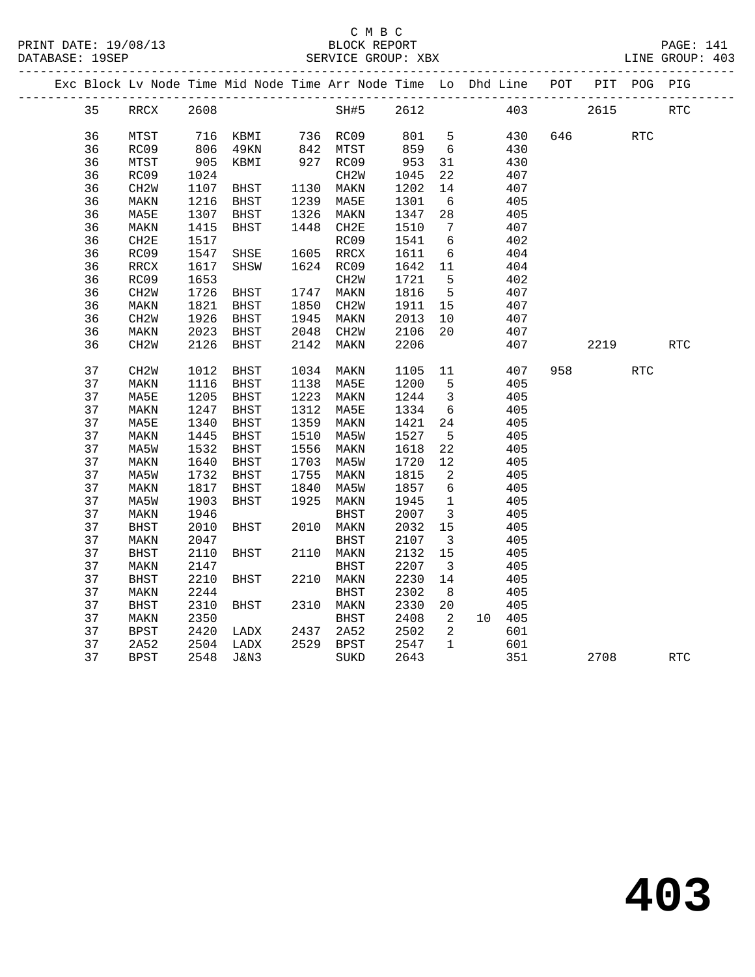### C M B C<br>BLOCK REPORT

PRINT DATE: 19/08/13 BLOCK REPORT PAGE: 141 DATABASE: 19SEP SERVICE GROUP: XBX LINE GROUP: 403 ------------------------------------------------------------------------------------------------- Exc Block Lv Node Time Mid Node Time Arr Node Time Lo Dhd Line POT PIT POG PIG ------------------------------------------------------------------------------------------------- 35 RRCX 2608 SH#5 2612 403 2615 RTC 36 MTST 716 KBMI 736 RC09 801 5 430 646 RTC 36 RC09 806 49KN 842 MTST 859 6 430 36 MTST 905 KBMI 927 RC09 953 31 430 36 RC09 1024 CH2W 1045 22 407 36 CH2W 1107 BHST 1130 MAKN 1202 14 407 36 MAKN 1216 BHST 1239 MA5E 1301 6 405 36 MA5E 1307 BHST 1326 MAKN 1347 28 405 36 MAKN 1415 BHST 1448 CH2E 1510 7 407 36 CH2E 1517 RC09 1541 6 402 36 RC09 1547 SHSE 1605 RRCX 1611 6 404 36 RRCX 1617 SHSW 1624 RC09 1642 11 404 36 RC09 1653 CH2W 1721 5 402 36 CH2W 1726 BHST 1747 MAKN 1816 5 407 36 MAKN 1821 BHST 1850 CH2W 1911 15 407 36 CH2W 1926 BHST 1945 MAKN 2013 10 407 36 MAKN 2023 BHST 2048 CH2W 2106 20 407 36 CH2W 2126 BHST 2142 MAKN 2206 407 2219 RTC 37 CH2W 1012 BHST 1034 MAKN 1105 11 407 958 RTC 37 MAKN 1116 BHST 1138 MA5E 1200 5 405 37 MA5E 1205 BHST 1223 MAKN 1244 3 405 37 MAKN 1247 BHST 1312 MA5E 1334 6 405 37 MA5E 1340 BHST 1359 MAKN 1421 24 405 37 MAKN 1445 BHST 1510 MA5W 1527 5 405 37 MA5W 1532 BHST 1556 MAKN 1618 22 405 37 MAKN 1640 BHST 1703 MA5W 1720 12 405 37 MA5W 1732 BHST 1755 MAKN 1815 2 405 37 MAKN 1817 BHST 1840 MA5W 1857 6 405 37 MA5W 1903 BHST 1925 MAKN 1945 1 405 37 MAKN 1946 BHST 2007 3 405 37 BHST 2010 BHST 2010 MAKN 2032 15 405 37 MAKN 2047 BHST 2107 3 405 37 MAKN 2047<br>37 BHST 2110 BHST 2110 MAKN<br>37 MAKN 2147 BHST 37 MASE 1340 BHST 1359 MAKN 1421 24 405<br>37 MAKN 1445 BHST 1510 MA5W 1527 5 405<br>37 MAKN 1640 BHST 1703 MA5W 1720 12 405<br>37 MAKN 1640 BHST 1703 MA5W 1720 12 405<br>37 MAKN 1732 BHST 1755 MAKN 1815 2 405<br>37 MAKN 1903 BHST 1840 M 37 BHST 2210 BHST 2210 MAKN 2230 14 405<br>37 BHST 2310 BHST 2310 MAKN 2330 20 405<br>37 MAKN 2350 BHST 2408 2 10 405 37 MAKN 2244 BHST 2302 8 405

 37 BHST 2310 BHST 2310 MAKN 2330 20 405 37 MAKN 2350 BHST 2408 2 10 405 37 BPST 2420 LADX 2437 2A52 2502 2 601 37 2A52 2504 LADX 2529 BPST 2547 1 601

37 BPST 2548 J&N3 SUKD 2643 351 2708 RTC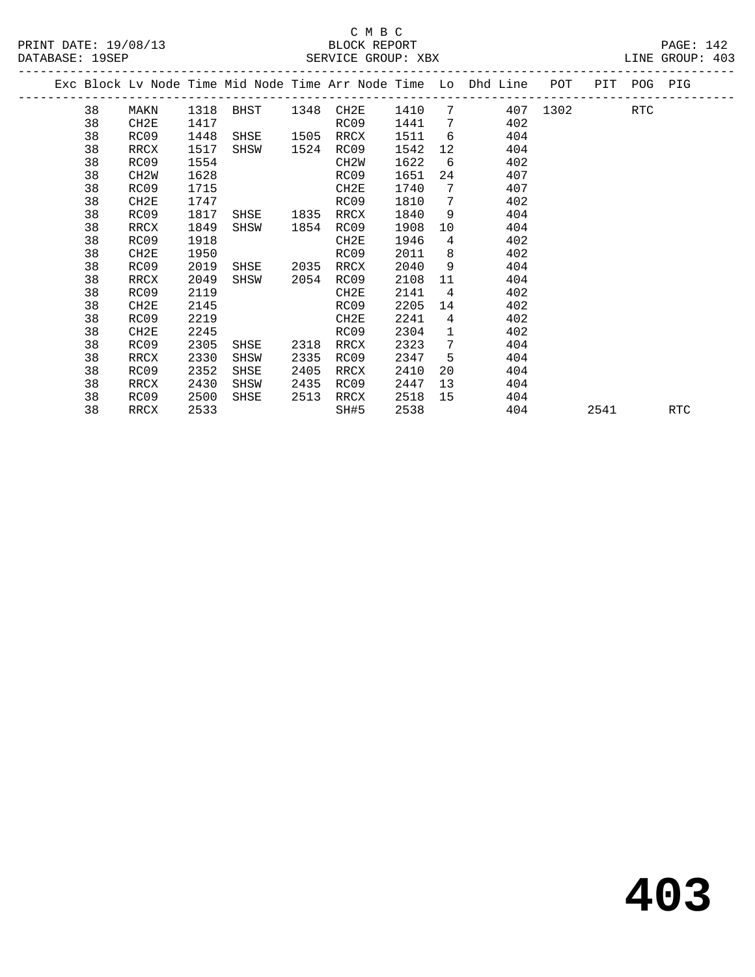#### C M B C<br>BLOCK REPORT DATABASE: 19SEP SERVICE GROUP: XBX LINE GROUP: 403

38 RC09 2352 SHSE 2405 RRCX 2410 20 404<br>38 RC09 2352 SHSE 2405 RRCX 2410 20 404<br>38 RC09 2500 SHSE 2513 RRCX 2518 15 404<br>38 RRCX 2533 SHSE 2513 RRCX 2518 15 404<br>38 RRCX 2533 SH#5 2538 404 2541 RTC

|  |    |      |      |                     |           |        | Exc Block Lv Node Time Mid Node Time Arr Node Time Lo Dhd Line POT PIT POG PIG |          |      |  |
|--|----|------|------|---------------------|-----------|--------|--------------------------------------------------------------------------------|----------|------|--|
|  | 38 | MAKN |      | 1318 BHST 1348 CH2E |           | 1410 7 |                                                                                | 407 1302 | RTC. |  |
|  | 38 | CH2E | 1417 |                     | RC09      | 1441 7 | 402                                                                            |          |      |  |
|  | 38 | RC09 | 1448 | SHSE                | 1505 RRCX | 1511 6 | 404                                                                            |          |      |  |

 38 RRCX 1517 SHSW 1524 RC09 1542 12 404 38 RC09 1554 CH2W 1622 6 402 38 CH2W 1628 RC09 1651 24 407

 38 CH2E 1747 RC09 1810 7 402 38 RC09 1817 SHSE 1835 RRCX 1840 9 404 38 RRCX 1849 SHSW 1854 RC09 1908 10 404 38 RC09 1918 CH2E 1946 4 402 38 CH2E 1950 RC09 2011 8 402 38 RC09 2019 SHSE 2035 RRCX 2040 9 404 38 RRCX 2049 SHSW 2054 RC09 2108 11 404 38 RC09 2119 CH2E 2141 4 402 38 CH2E 2145 RC09 2205 14 402

 38 CH2E 2245 RC09 2304 1 402 38 RC09 2305 SHSE 2318 RRCX 2323 7 404 38 RRCX 2330 SHSW 2335 RC09 2347 5 404 38 RC09 2352 SHSE 2405 RRCX 2410 20 404 38 RRCX 2430 SHSW 2435 RC09 2447 13 404 38 RC09 2500 SHSE 2513 RRCX 2518 15 404

38 RC09 1715 CH2E 1740 7 407<br>
38 CH2E 1747 RC09 1810 7 402<br>
38 RC09 1817 SHSE 1835 RRCX 1840 9 404<br>
38 RRCX 1849 SHSE 1855 RRCX 1840 9 404

38 CH2E 2145 RC09 2205 14 402<br>
38 RC09 2219 CH2E 2241 4 402<br>
38 CH2E 2245 RC09 2304 1 402<br>
38 RC09 2305 SHSE 2318 RRCX 2323 7 404

**403**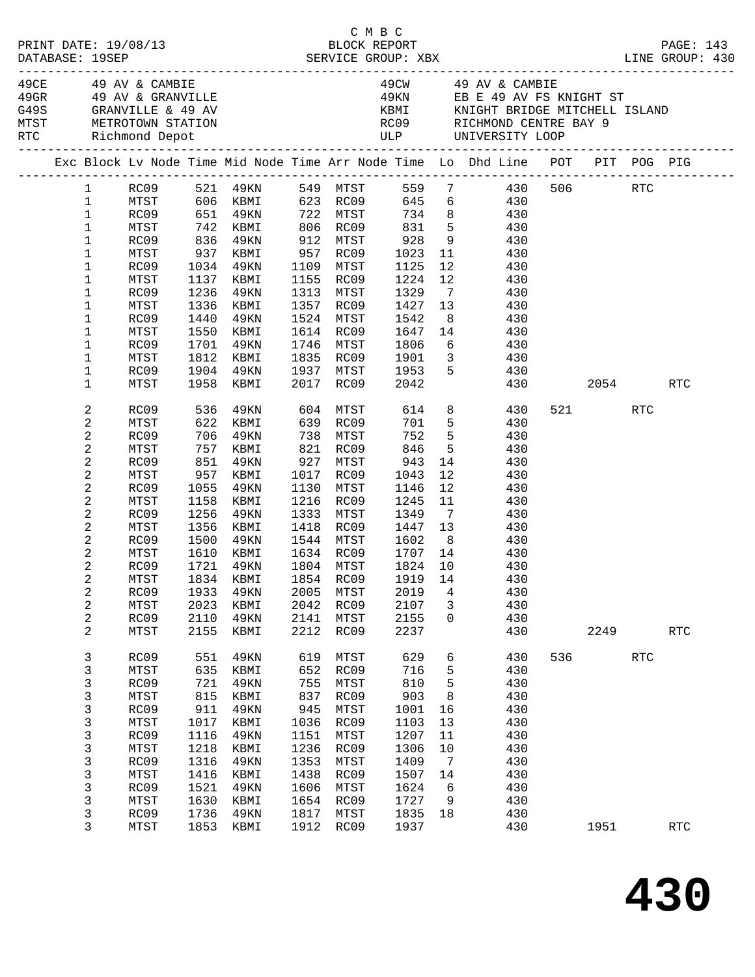|                 |                         |                     |      |                                                                                      |      | C M B C                |                            |                 |                                                                                                                                                                                                                                |     |         |     |                      |
|-----------------|-------------------------|---------------------|------|--------------------------------------------------------------------------------------|------|------------------------|----------------------------|-----------------|--------------------------------------------------------------------------------------------------------------------------------------------------------------------------------------------------------------------------------|-----|---------|-----|----------------------|
|                 |                         |                     |      |                                                                                      |      |                        |                            |                 |                                                                                                                                                                                                                                |     |         |     |                      |
| DATABASE: 19SEP |                         |                     |      |                                                                                      |      |                        |                            |                 |                                                                                                                                                                                                                                |     |         |     |                      |
|                 |                         |                     |      |                                                                                      |      |                        |                            |                 |                                                                                                                                                                                                                                |     |         |     |                      |
|                 |                         | 49CE 49 AV & CAMBIE |      |                                                                                      |      |                        |                            |                 | 49CW 49 AV & CAMBIE                                                                                                                                                                                                            |     |         |     |                      |
|                 |                         |                     |      |                                                                                      |      |                        |                            |                 | 49KN EB E 49 AV FS KNIGHT ST                                                                                                                                                                                                   |     |         |     |                      |
|                 |                         |                     |      |                                                                                      |      |                        |                            |                 |                                                                                                                                                                                                                                |     |         |     |                      |
|                 |                         |                     |      |                                                                                      |      |                        |                            |                 |                                                                                                                                                                                                                                |     |         |     |                      |
|                 |                         |                     |      | 49 GRANVILLE<br>49 GRANVILLE & 49 AV<br>MTST METROTOWN STATION<br>RTC Richmond Depot |      |                        |                            |                 | GRANVILLE & 49 AV (FRANVILLE & 49 AV (FRANVILLE & 49 AV (FRANVILLE & 49 AV ) (FRANVILLE & 49 AV ) (FRANVILLE ADDENTIFICHELL SLAND ) (FRANT ) (FRANT ) (FRANCH ) (FRANCH ) (FRANCH ) (FRANCH ) (FRANCH ) (FRANCH ) (FRANCH ) (F |     |         |     |                      |
|                 |                         |                     |      |                                                                                      |      |                        |                            |                 |                                                                                                                                                                                                                                |     |         |     |                      |
|                 |                         |                     |      |                                                                                      |      |                        |                            |                 | Exc Block Lv Node Time Mid Node Time Arr Node Time Lo Dhd Line POT PIT POG PIG                                                                                                                                                 |     |         |     |                      |
|                 |                         |                     |      |                                                                                      |      |                        |                            |                 | 1 RC09 521 49KN 549 MTST 559 7 430 506 RTC                                                                                                                                                                                     |     |         |     |                      |
|                 | $\mathbf{1}$            |                     |      |                                                                                      |      |                        |                            |                 | MTST 606 KBMI 623 RC09 645 6 430                                                                                                                                                                                               |     |         |     |                      |
|                 | $\mathbf 1$             |                     |      |                                                                                      |      |                        |                            |                 |                                                                                                                                                                                                                                |     |         |     |                      |
|                 | $\mathbf{1}$            |                     |      |                                                                                      |      |                        |                            |                 | RC09 651 49KN 722 MTST 734 8 430<br>MTST 742 KBMI 806 RC09 831 5 430<br>RC09 836 49KN 912 MTST 928 9 430<br>MTST 937 KBMI 957 RC09 1023 11 430                                                                                 |     |         |     |                      |
|                 | $\mathbf 1$             |                     |      |                                                                                      |      |                        |                            |                 |                                                                                                                                                                                                                                |     |         |     |                      |
|                 | $\mathbf 1$             | MTST                |      | 937 KBMI                                                                             |      | 957 RC09               | 1023                       |                 | 11 430                                                                                                                                                                                                                         |     |         |     |                      |
|                 | $\mathbf 1$             | RC09                |      | 1034 49KN                                                                            |      | 1109 MTST              | 1125                       | 12              | 430                                                                                                                                                                                                                            |     |         |     |                      |
|                 | $\mathbf 1$             | MTST                |      | 1137 KBMI                                                                            |      | 1155 RC09              | 1224                       | 12              | 430                                                                                                                                                                                                                            |     |         |     |                      |
|                 | $\mathbf 1$             | RC09                |      | 1236 49KN                                                                            |      | 1313 MTST              | 1224 12<br>1329 7          |                 | 430                                                                                                                                                                                                                            |     |         |     |                      |
|                 | $\mathbf 1$             | MTST                |      | 1336 KBMI                                                                            |      | 1357 RC09              | $\overline{1}427$ 13       |                 | 430                                                                                                                                                                                                                            |     |         |     |                      |
|                 | $\mathbf 1$             | RC09                | 1440 | 49KN                                                                                 |      | 1524 MTST              | 1542                       | 8 <sup>8</sup>  | 430                                                                                                                                                                                                                            |     |         |     |                      |
|                 | 1                       | MTST                | 1550 | KBMI                                                                                 |      | 1614 RC09              |                            |                 |                                                                                                                                                                                                                                |     |         |     |                      |
|                 | $\mathbf 1$             | RC09                |      | 1701 49KN                                                                            |      | 1746 MTST              |                            |                 |                                                                                                                                                                                                                                |     |         |     |                      |
|                 | 1                       | MTST                |      | 1812 KBMI                                                                            |      | 1835 RC09              |                            |                 | 1647 14 430<br>1806 6 430<br>1901 3 430                                                                                                                                                                                        |     |         |     |                      |
|                 | $\mathbf 1$             | RC09                |      | 1904 49KN                                                                            |      |                        | 1937 MTST 1953             |                 | 5 430                                                                                                                                                                                                                          |     |         |     |                      |
|                 | $\mathbf 1$             | MTST                |      | 1958 KBMI                                                                            |      | 2017 RC09              | 2042                       |                 | 430 2054                                                                                                                                                                                                                       |     |         |     | <b>RTC</b>           |
|                 |                         |                     |      |                                                                                      |      |                        |                            |                 |                                                                                                                                                                                                                                |     |         |     |                      |
|                 | 2                       | RC09 536 49KN       |      |                                                                                      |      |                        | 604 MTST 614 8             |                 | 430                                                                                                                                                                                                                            |     | 521 000 | RTC |                      |
|                 | 2                       | MTST                |      | 622 KBMI                                                                             |      |                        |                            |                 | 639 RC09 701 5 430                                                                                                                                                                                                             |     |         |     |                      |
|                 | $\mathbf{2}$            | RC09                |      | 706 49KN<br>757 KBMI<br>851 49KN                                                     |      | 738 MTST               | $752$<br>846<br>943<br>752 |                 | 5 430                                                                                                                                                                                                                          |     |         |     |                      |
|                 | $\overline{\mathbf{c}}$ | MTST                |      |                                                                                      |      | 821 RC09<br>927 MTST   |                            |                 | $\begin{array}{ccc} & 5 & & 430 \\ 14 & & & 430 \end{array}$                                                                                                                                                                   |     |         |     |                      |
|                 | $\sqrt{2}$              | RC09                |      |                                                                                      |      |                        |                            |                 |                                                                                                                                                                                                                                |     |         |     |                      |
|                 | $\overline{\mathbf{c}}$ | MTST                |      | 957 KBMI                                                                             |      | 1017 RC09              | 1043                       | 12              | 430                                                                                                                                                                                                                            |     |         |     |                      |
|                 | $\mathbf{2}$            | RC09                | 1055 | 49KN                                                                                 |      | 1130 MTST              | 1146                       | 12              | 430                                                                                                                                                                                                                            |     |         |     |                      |
|                 | $\sqrt{2}$              | MTST                | 1158 | KBMI                                                                                 |      | 1216 RC09              | 1245                       | 11              | 430                                                                                                                                                                                                                            |     |         |     |                      |
|                 | $\sqrt{2}$              | RC09                |      | 1256 49KN                                                                            |      | 1333 MTST              | 1349                       |                 | $7\overline{ }$<br>430                                                                                                                                                                                                         |     |         |     |                      |
|                 | $\overline{a}$          | MTST                |      | 1356 KBMI                                                                            |      |                        | 1418 RC09 1447 13          |                 | 430                                                                                                                                                                                                                            |     |         |     |                      |
|                 | $\overline{c}$          | RC09                | 1500 | 49KN                                                                                 |      | 1544 MTST              | 1602                       | 8 <sup>8</sup>  | 430                                                                                                                                                                                                                            |     |         |     |                      |
|                 | $\overline{c}$          | MTST                | 1610 | KBMI                                                                                 |      | 1634 RC09<br>1804 MTST |                            |                 | 430                                                                                                                                                                                                                            |     |         |     |                      |
|                 | $\sqrt{2}$              | RC09                |      | 1721 49KN                                                                            |      |                        | 1824 10                    |                 | 430                                                                                                                                                                                                                            |     |         |     |                      |
|                 | $\overline{a}$          |                     |      |                                                                                      |      |                        |                            |                 | MTST 1834 KBMI 1854 RC09 1919 14 430                                                                                                                                                                                           |     |         |     |                      |
|                 | 2                       | RC09                | 1933 | 49KN                                                                                 | 2005 | MTST                   | 2019                       | 4               | 430                                                                                                                                                                                                                            |     |         |     |                      |
|                 | $\mathbf{2}$            | MTST                | 2023 | KBMI                                                                                 | 2042 | RC09                   | 2107                       | 3               | 430                                                                                                                                                                                                                            |     |         |     |                      |
|                 | $\mathbf{2}$            | RC09                | 2110 | 49KN                                                                                 | 2141 | MTST                   | 2155                       | $\mathbf 0$     | 430                                                                                                                                                                                                                            |     |         |     |                      |
|                 | $\overline{a}$          | MTST                | 2155 | KBMI                                                                                 | 2212 | RC09                   | 2237                       |                 | 430                                                                                                                                                                                                                            |     | 2249    |     | $\operatorname{RTC}$ |
|                 | $\mathbf{3}$            | RC09                | 551  | 49KN                                                                                 | 619  | MTST                   | 629                        | 6               | 430                                                                                                                                                                                                                            | 536 |         | RTC |                      |
|                 | 3                       | MTST                | 635  | KBMI                                                                                 | 652  | RC09                   | 716                        | 5               | 430                                                                                                                                                                                                                            |     |         |     |                      |
|                 | 3                       | RC09                | 721  | 49KN                                                                                 | 755  | MTST                   | 810                        | 5               | 430                                                                                                                                                                                                                            |     |         |     |                      |
|                 | 3                       | MTST                | 815  | KBMI                                                                                 | 837  | RC09                   | 903                        | 8               | 430                                                                                                                                                                                                                            |     |         |     |                      |
|                 | 3                       | RC09                | 911  | 49KN                                                                                 | 945  | MTST                   | 1001                       | 16              | 430                                                                                                                                                                                                                            |     |         |     |                      |
|                 | 3                       | MTST                | 1017 | KBMI                                                                                 | 1036 | RC09                   | 1103                       | 13              | 430                                                                                                                                                                                                                            |     |         |     |                      |
|                 | 3                       | RC09                | 1116 | 49KN                                                                                 | 1151 | MTST                   | 1207                       | 11              | 430                                                                                                                                                                                                                            |     |         |     |                      |
|                 | 3                       | MTST                | 1218 | KBMI                                                                                 | 1236 | RC09                   | 1306                       | 10              | 430                                                                                                                                                                                                                            |     |         |     |                      |
|                 | 3                       | RC09                | 1316 | 49KN                                                                                 | 1353 | MTST                   | 1409                       | $\overline{7}$  | 430                                                                                                                                                                                                                            |     |         |     |                      |
|                 | 3                       | MTST                | 1416 | KBMI                                                                                 | 1438 | RC09                   | 1507                       | 14              | 430                                                                                                                                                                                                                            |     |         |     |                      |
|                 | 3                       | RC09                | 1521 | 49KN                                                                                 | 1606 | MTST                   | 1624                       | $6\overline{6}$ | 430                                                                                                                                                                                                                            |     |         |     |                      |
|                 | 3                       | MTST                | 1630 | KBMI                                                                                 | 1654 | RC09                   | 1727                       | 9               | 430                                                                                                                                                                                                                            |     |         |     |                      |
|                 | 3                       | RC09                | 1736 | 49KN                                                                                 | 1817 | MTST                   | 1835                       | 18              | 430                                                                                                                                                                                                                            |     |         |     |                      |
|                 | 3                       | MTST                | 1853 | KBMI                                                                                 |      | 1912 RC09              | 1937                       |                 | 430                                                                                                                                                                                                                            |     | 1951    |     | RTC                  |
|                 |                         |                     |      |                                                                                      |      |                        |                            |                 |                                                                                                                                                                                                                                |     |         |     |                      |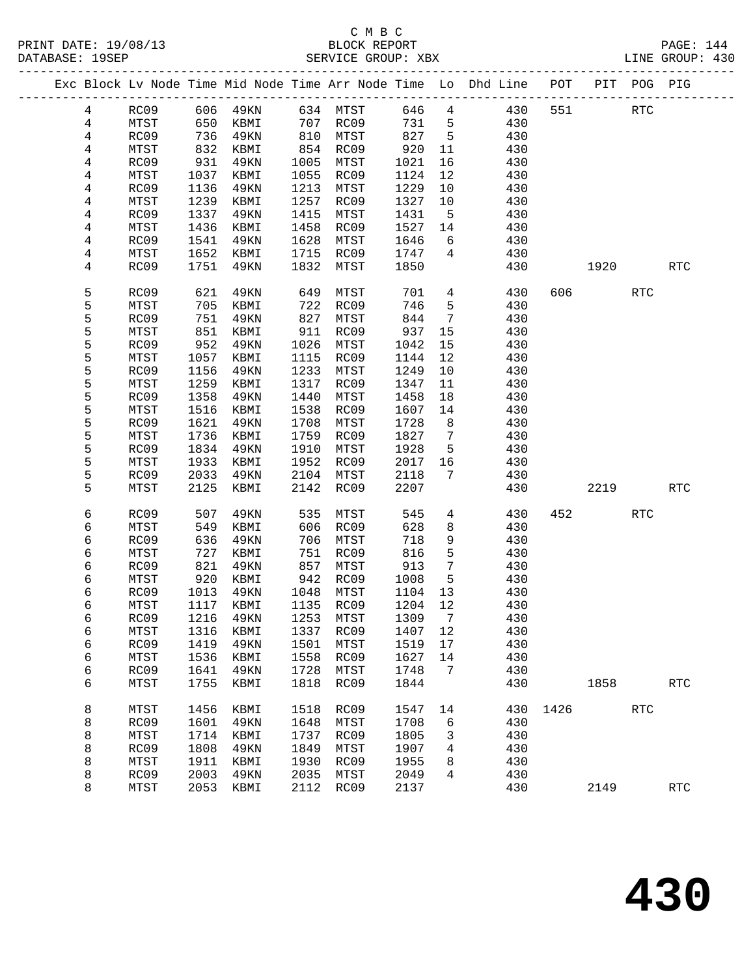#### C M B C<br>BLOCK REPORT SERVICE GROUP: XBX

|                 |             |      |           |      |           |         |                              | Exc Block Lv Node Time Mid Node Time Arr Node Time Lo Dhd Line POT |      |                        | PIT POG PIG |                      |
|-----------------|-------------|------|-----------|------|-----------|---------|------------------------------|--------------------------------------------------------------------|------|------------------------|-------------|----------------------|
| $4\overline{ }$ | RC09        |      | 606 49KN  |      | 634 MTST  | 646 4   |                              | 430                                                                | 551  |                        | <b>RTC</b>  |                      |
| $\overline{4}$  | MTST        | 650  | KBMI      |      | 707 RC09  | 731     | $5^{\circ}$                  | 430                                                                |      |                        |             |                      |
| $\overline{4}$  | RC09        | 736  | 49KN      | 810  | MTST      | 827     | $5^{\circ}$                  | 430                                                                |      |                        |             |                      |
| $\overline{4}$  | MTST        | 832  | KBMI      |      | 854 RC09  | 920     | 11                           | 430                                                                |      |                        |             |                      |
| 4               | RC09        | 931  | 49KN      | 1005 | MTST      | 1021    | 16                           | 430                                                                |      |                        |             |                      |
| 4               | MTST        | 1037 | KBMI      | 1055 | RC09      | 1124    | 12                           | 430                                                                |      |                        |             |                      |
| 4               | RC09        | 1136 | 49KN      | 1213 | MTST      | 1229    | 10                           | 430                                                                |      |                        |             |                      |
| 4               | MTST        | 1239 | KBMI      | 1257 | RC09      | 1327    | 10                           | 430                                                                |      |                        |             |                      |
| 4               | RC09        | 1337 | 49KN      | 1415 | MTST      | 1431    | $5^{\circ}$                  | 430                                                                |      |                        |             |                      |
| 4               | MTST        | 1436 | KBMI      | 1458 | RC09      | 1527    | 14                           | 430                                                                |      |                        |             |                      |
| 4               | RC09        | 1541 | 49KN      | 1628 | MTST      | 1646    | 6                            | 430                                                                |      |                        |             |                      |
| 4               | MTST        | 1652 | KBMI      | 1715 | RC09      | 1747    | $4\overline{ }$              | 430                                                                |      |                        |             |                      |
| 4               | RC09        | 1751 | 49KN      | 1832 | MTST      | 1850    |                              | 430                                                                |      | 1920                   |             | <b>RTC</b>           |
|                 |             |      |           |      |           |         |                              |                                                                    |      |                        |             |                      |
| 5               | RC09        | 621  | 49KN      | 649  | MTST      | 701     | $4\overline{ }$              | 430                                                                | 606  |                        | RTC         |                      |
| 5               | MTST        | 705  | KBMI      | 722  | RC09      | 746     | 5                            | 430                                                                |      |                        |             |                      |
| 5               | RC09        | 751  | 49KN      | 827  | MTST      | 844     | $7\phantom{.0}\phantom{.0}7$ | 430                                                                |      |                        |             |                      |
| 5               | MTST        | 851  | KBMI      | 911  | RC09      | 937     | 15                           | 430                                                                |      |                        |             |                      |
| 5               | RC09        | 952  | 49KN      | 1026 | MTST      | 1042    | 15                           | 430                                                                |      |                        |             |                      |
| 5               | MTST        | 1057 | KBMI      | 1115 | RC09      | 1144    | 12                           | 430                                                                |      |                        |             |                      |
| 5               | RC09        | 1156 | 49KN      | 1233 | MTST      | 1249    | 10                           | 430                                                                |      |                        |             |                      |
| 5               | MTST        | 1259 | KBMI      | 1317 | RC09      | 1347    | 11                           | 430                                                                |      |                        |             |                      |
| 5               | RC09        | 1358 | 49KN      | 1440 | MTST      | 1458    | 18                           | 430                                                                |      |                        |             |                      |
| 5               | MTST        | 1516 | KBMI      | 1538 | RC09      | 1607    | 14                           | 430                                                                |      |                        |             |                      |
| 5               | RC09        | 1621 | 49KN      | 1708 | MTST      | 1728    | 8                            | 430                                                                |      |                        |             |                      |
| 5               | MTST        | 1736 | KBMI      | 1759 | RC09      | 1827    | $\overline{7}$               | 430                                                                |      |                        |             |                      |
| 5               | RC09        | 1834 | 49KN      | 1910 | MTST      | 1928    | 5                            | 430                                                                |      |                        |             |                      |
| 5               | MTST        | 1933 | KBMI      | 1952 | RC09      | 2017    | 16                           | 430                                                                |      |                        |             |                      |
| 5               | RC09        | 2033 | 49KN      | 2104 | MTST      | 2118    | $7\phantom{.0}$              | 430                                                                |      |                        |             |                      |
| 5               | MTST        | 2125 | KBMI      | 2142 | RC09      | 2207    |                              | 430                                                                |      | 2219                   |             | <b>RTC</b>           |
| 6               | RC09        | 507  | 49KN      | 535  | MTST      | 545     | $4\overline{ }$              | 430                                                                |      | 452 and $\overline{a}$ | RTC         |                      |
| 6               | MTST        | 549  | KBMI      | 606  | RC09      | 628     | 8                            | 430                                                                |      |                        |             |                      |
| 6               | RC09        | 636  | 49KN      | 706  | MTST      | 718     | 9                            | 430                                                                |      |                        |             |                      |
| 6               | MTST        | 727  | KBMI      | 751  | RC09      | 816     | 5                            | 430                                                                |      |                        |             |                      |
| 6               | RC09        | 821  | 49KN      | 857  | MTST      | 913     | $7\phantom{.0}$              | 430                                                                |      |                        |             |                      |
| 6               | MTST        | 920  | KBMI      | 942  | RC09      | 1008    | $5^{\circ}$                  | 430                                                                |      |                        |             |                      |
| 6               | RC09        | 1013 | 49KN      | 1048 | MTST      | 1104    | 13                           | 430                                                                |      |                        |             |                      |
| 6               | MTST        |      | 1117 KBMI |      | 1135 RC09 | 1204 12 |                              | 430                                                                |      |                        |             |                      |
| 6               | RC09        |      | 1216 49KN |      | 1253 MTST | 1309 7  |                              | 430                                                                |      |                        |             |                      |
| 6               | MTST        | 1316 | KBMI      | 1337 | RC09      | 1407    | 12                           | 430                                                                |      |                        |             |                      |
| 6               | RC09        | 1419 | 49KN      | 1501 | MTST      | 1519    | 17                           | 430                                                                |      |                        |             |                      |
| 6               | MTST        | 1536 | KBMI      | 1558 | RC09      | 1627    | 14                           | 430                                                                |      |                        |             |                      |
| 6               | RC09        | 1641 | 49KN      | 1728 | MTST      | 1748    | 7                            | 430                                                                |      |                        |             |                      |
| 6               | MTST        | 1755 | KBMI      | 1818 | RC09      | 1844    |                              | 430                                                                |      | 1858                   |             | $\operatorname{RTC}$ |
| 8               | MTST        | 1456 | KBMI      | 1518 | RC09      | 1547    | 14                           | 430                                                                | 1426 |                        | RTC         |                      |
| 8               | RC09        | 1601 | 49KN      | 1648 | MTST      | 1708    | 6                            | 430                                                                |      |                        |             |                      |
| 8               | <b>MTST</b> | 1714 | KBMI      | 1737 | RC09      | 1805    | 3                            | 430                                                                |      |                        |             |                      |
| 8               | RC09        | 1808 | 49KN      | 1849 | MTST      | 1907    | 4                            | 430                                                                |      |                        |             |                      |
| 8               | MTST        | 1911 | KBMI      | 1930 | RC09      | 1955    | 8                            | 430                                                                |      |                        |             |                      |
| 8               | RC09        | 2003 | 49KN      | 2035 | MTST      | 2049    | 4                            | 430                                                                |      |                        |             |                      |
| 8               | MTST        | 2053 | KBMI      | 2112 | RC09      | 2137    |                              | 430                                                                |      | 2149                   |             | <b>RTC</b>           |
|                 |             |      |           |      |           |         |                              |                                                                    |      |                        |             |                      |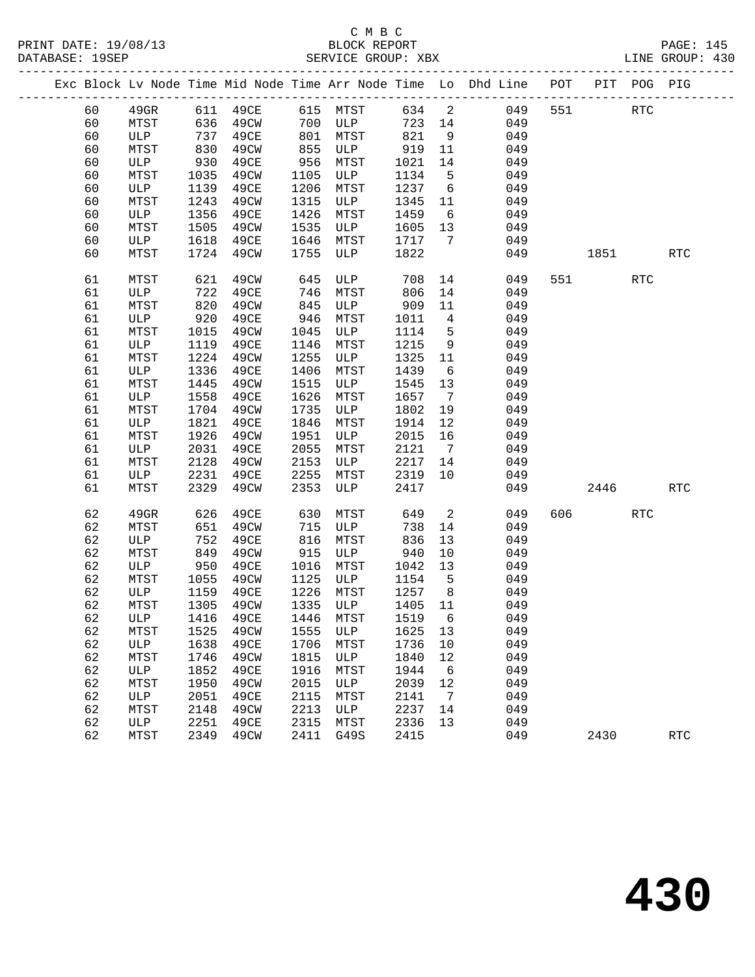|  |          |               |              |                   |              |             |              |                            | Exc Block Lv Node Time Mid Node Time Arr Node Time Lo Dhd Line POT PIT POG PIG |     |         |            |            |
|--|----------|---------------|--------------|-------------------|--------------|-------------|--------------|----------------------------|--------------------------------------------------------------------------------|-----|---------|------------|------------|
|  | 60       | $49$ GR       |              | 611 49CE 615 MTST |              |             | 634 2        |                            | 049                                                                            | 551 |         | <b>RTC</b> |            |
|  | 60       | MTST          | 636          | 49CW              |              | 700 ULP     | 723 14       |                            | 049                                                                            |     |         |            |            |
|  | 60       | ULP           | 737          | 49CE              | 801          | MTST        | 821          | 9                          | 049                                                                            |     |         |            |            |
|  | 60       | MTST          | 830          | 49CW              |              | ULP         | 919          | 11                         | 049                                                                            |     |         |            |            |
|  | 60       | ULP           | 930          | 49CE              | 855<br>956   | MTST        | 1021         | 14                         | 049                                                                            |     |         |            |            |
|  | 60       | MTST          | 1035         | 49CW              | 1105         | ULP         | 1134         | $5^{\circ}$                | 049                                                                            |     |         |            |            |
|  | 60       | ULP           | 1139         | 49CE              | 1206         | MTST        | 1237         | $6\overline{6}$            | 049                                                                            |     |         |            |            |
|  | 60       | MTST          | 1243         | 49CW              | 1315         | ULP         | 1345         | 11                         | 049                                                                            |     |         |            |            |
|  | 60       | ULP           | 1356         | 49CE              | 1426         | MTST        | 1459         | 6                          | 049                                                                            |     |         |            |            |
|  | 60       | MTST          | 1505         | 49CW              | 1535         | ULP         | 1605         | 13                         | 049                                                                            |     |         |            |            |
|  | 60       | ULP           | 1618         | 49CE              | 1646         | <b>MTST</b> | 1717         | $\overline{7}$             | 049                                                                            |     |         |            |            |
|  | 60       | MTST          | 1724         | 49CW              | 1755         | ULP         | 1822         |                            | 049                                                                            |     | 1851    |            | <b>RTC</b> |
|  | 61       | MTST          | 621          | 49CW              | 645          | ULP         | 708          |                            | 14<br>049                                                                      |     | 551 72  | RTC        |            |
|  | 61       | ULP           | 722          | 49CE              | 746          | MTST        | 806          | 14                         | 049                                                                            |     |         |            |            |
|  | 61       | MTST          | 820          | 49CW              | 845          | ULP         | 909          | 11                         | 049                                                                            |     |         |            |            |
|  | 61       | ULP           | 920          | 49CE              | 946          | MTST        | 1011         | $\overline{4}$             | 049                                                                            |     |         |            |            |
|  | 61       | MTST          | 1015         | 49CW              | 1045         | ULP         | 1114         | $5^{\circ}$                | 049                                                                            |     |         |            |            |
|  | 61       | ULP           | 1119         | 49CE              | 1146         | MTST        | 1215         | 9                          | 049                                                                            |     |         |            |            |
|  | 61       | MTST          | 1224         | 49CW              | 1255         | ULP         | 1325         | 11                         | 049                                                                            |     |         |            |            |
|  | 61       | ULP           | 1336         | 49CE              | 1406         | MTST        | 1439         | $6\overline{6}$            | 049                                                                            |     |         |            |            |
|  | 61       | MTST          | 1445         | 49CW              | 1515         | ULP         | 1545         | 13                         | 049                                                                            |     |         |            |            |
|  | 61       | ULP           | 1558         | 49CE              | 1626         | MTST        | 1657         | $\overline{7}$             | 049                                                                            |     |         |            |            |
|  | 61       | MTST          | 1704         | 49CW              | 1735         | ULP         | 1802         | 19                         | 049                                                                            |     |         |            |            |
|  | 61       | ULP           | 1821         | 49CE              | 1846         | MTST        | 1914         | 12                         | 049                                                                            |     |         |            |            |
|  | 61       | MTST          | 1926         | 49CW              | 1951         | ULP         | 2015         | 16                         | 049                                                                            |     |         |            |            |
|  | 61       | ULP           | 2031         | 49CE              | 2055         | MTST        | 2121         | $7\overline{ }$            | 049                                                                            |     |         |            |            |
|  | 61       | MTST          | 2128         | 49CW              | 2153         | ULP         | 2217         | 14                         | 049                                                                            |     |         |            |            |
|  | 61       | ULP           | 2231         | 49CE              | 2255         | MTST        | 2319         | 10                         | 049                                                                            |     |         |            |            |
|  | 61       | MTST          | 2329         | 49CW              | 2353         | ULP         | 2417         |                            | 049                                                                            |     | 2446    |            | <b>RTC</b> |
|  | 62       | 49GR          | 626          | 49CE              | 630          | MTST        | 649          | $\overline{\phantom{a}}^2$ | 049                                                                            |     | 606 700 | <b>RTC</b> |            |
|  | 62       | MTST          | 651          | 49CW              | 715          | ULP         | 738          | 14                         | 049                                                                            |     |         |            |            |
|  | 62       | ULP           | 752          | 49CE              | 816          | MTST        | 836          | 13                         | 049                                                                            |     |         |            |            |
|  | 62       | MTST          | 849          | 49CW              | 915          | ULP         | 940          | 10                         | 049                                                                            |     |         |            |            |
|  | 62       | ULP           | 950          | 49CE              | 1016         | MTST        | 1042         | 13                         | 049                                                                            |     |         |            |            |
|  | 62       | MTST          | 1055         | 49CW              | 1125         | ULP         | 1154         | $5^{\circ}$                | 049                                                                            |     |         |            |            |
|  | 62       | ULP           | 1159         | 49CE              | 1226         | MTST        | 1257         | 8 <sup>8</sup>             | 049                                                                            |     |         |            |            |
|  | 62       | MTST          | 1305         | 49CW              |              | 1335 ULP    | 1405 11      |                            | 049                                                                            |     |         |            |            |
|  | 62       | ULP 1416 49CE |              |                   |              | 1446 MTST   | 1519 6       |                            | 049                                                                            |     |         |            |            |
|  | 62<br>62 | MTST          | 1525         | 49CW              | 1555<br>1706 | ULP         | 1625         | 13                         | 049<br>049                                                                     |     |         |            |            |
|  | 62       | ULP           | 1638         | 49CE              | 1815         | MTST        | 1736         | 10                         | 049                                                                            |     |         |            |            |
|  | 62       | MTST<br>ULP   | 1746<br>1852 | 49CW<br>49CE      | 1916         | ULP<br>MTST | 1840<br>1944 | 12<br>6                    | 049                                                                            |     |         |            |            |
|  | 62       | MTST          | 1950         | 49CW              | 2015         | ULP         | 2039         | 12                         | 049                                                                            |     |         |            |            |
|  | 62       | ULP           | 2051         | 49CE              | 2115         | MTST        | 2141         | 7                          | 049                                                                            |     |         |            |            |
|  | 62       | MTST          | 2148         | 49CW              | 2213         | ULP         | 2237         | 14                         | 049                                                                            |     |         |            |            |
|  | 62       | ULP           | 2251         | 49CE              | 2315         | MTST        | 2336         | 13                         | 049                                                                            |     |         |            |            |
|  | 62       | MTST          | 2349         | 49CW              | 2411         | G49S        | 2415         |                            | 049                                                                            |     | 2430    |            | <b>RTC</b> |
|  |          |               |              |                   |              |             |              |                            |                                                                                |     |         |            |            |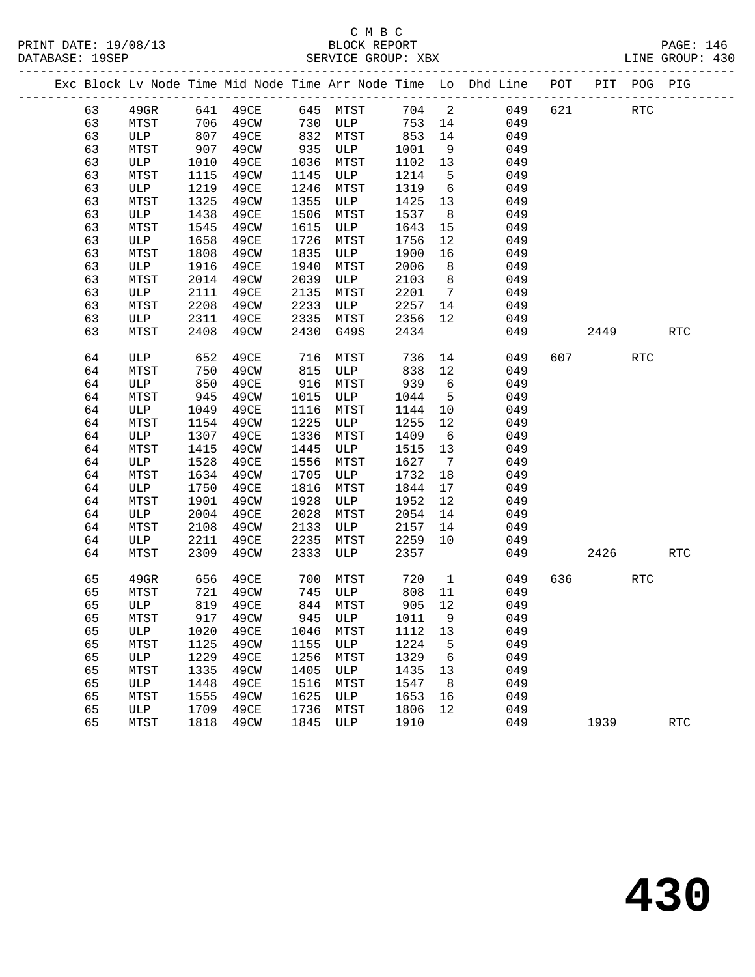PRINT DATE: 19/08/13 BLOCK REPORT PAGE: 146 DATABASE: 19SEP

# C M B C

 64 ULP 1528 49CE 1556 MTST 1627 7 049 64 MTST 1634 49CW 1705 ULP 1732 18 049 64 ULP 1750 49CE 1816 MTST 1844 17 049 64 MTST 1901 49CW 1928 ULP 1952 12 049

65 MTST 1125 49CW 1155 ULP 1224 5 049

1448 49CE 1516 MTST<br>1555 49CW 1625 ULP

65 ULP 1709 49CE 1736 MTST 1806 12 049

2108 49CW

64 ULP 2004 49CE 2028 MTST 2054 14 049

64 ULP 2211 49CE 2235 MTST 2259 10 049

 65 MTST 721 49CW 745 ULP 808 11 049 65 ULP 819 49CE 844 MTST 905 12 049 65 MTST 917 49CW 945 ULP 1011 9 049 65 ULP 1020 49CE 1046 MTST 1112 13 049

 65 ULP 1229 49CE 1256 MTST 1329 6 049 65 MTST 1335 49CW 1405 ULP 1435 13 049

65 MTST 1555 49CW 1625 ULP 1653 16 049<br>65 ULP 1709 49CE 1736 MTST 1806 12 049<br>65 MTST 1818 49CW 1845 ULP 1910 049

64 MTST 2309 49CW 2333 ULP 2357 049 2426 RTC

65 49GR 656 49CE 700 MTST 720 1 049 636 RTC

65 MTST 1818 49CW 1845 ULP 1910 049 1939 RTC

**430**

|  | DAIABASL · 1995F |      |      |               |      | PEKATCE GKOOL. VRV |         |                 |                                                                    |     |        |             | TIME GKOOL. 420 |
|--|------------------|------|------|---------------|------|--------------------|---------|-----------------|--------------------------------------------------------------------|-----|--------|-------------|-----------------|
|  |                  |      |      |               |      |                    |         |                 | Exc Block Lv Node Time Mid Node Time Arr Node Time Lo Dhd Line POT |     |        | PIT POG PIG |                 |
|  | 63               |      |      | 49GR 641 49CE |      | 645 MTST           | 704 2   |                 | 049                                                                |     | 621 72 | RTC         |                 |
|  | 63               | MTST | 706  | 49CW          | 730  | ULP                | 753     |                 | 049<br>14                                                          |     |        |             |                 |
|  | 63               | ULP  | 807  | 49CE          | 832  | MTST               | 853     | 14              | 049                                                                |     |        |             |                 |
|  | 63               | MTST | 907  | 49CW          | 935  | ULP                | 1001    | 9               | 049                                                                |     |        |             |                 |
|  | 63               | ULP  | 1010 | 49CE          | 1036 | MTST               | 1102    |                 | 049<br>13                                                          |     |        |             |                 |
|  | 63               | MTST | 1115 | 49CW          | 1145 | ULP                | 1214    | $5^{\circ}$     | 049                                                                |     |        |             |                 |
|  | 63               | ULP  | 1219 | 49CE          | 1246 | MTST               | 1319    | 6               | 049                                                                |     |        |             |                 |
|  | 63               | MTST | 1325 | 49CW          | 1355 | ULP                | 1425    | 13              | 049                                                                |     |        |             |                 |
|  | 63               | ULP  | 1438 | 49CE          | 1506 | MTST               | 1537    | 8               | 049                                                                |     |        |             |                 |
|  | 63               | MTST | 1545 | 49CW          | 1615 | ULP                | 1643    | 15              | 049                                                                |     |        |             |                 |
|  | 63               | ULP  | 1658 | 49CE          | 1726 | MTST               | 1756    | 12              | 049                                                                |     |        |             |                 |
|  | 63               | MTST | 1808 | 49CW          | 1835 | ULP                | 1900    | 16              | 049                                                                |     |        |             |                 |
|  | 63               | ULP  | 1916 | 49CE          | 1940 | MTST               | 2006    | 8               | 049                                                                |     |        |             |                 |
|  | 63               | MTST | 2014 | 49CW          | 2039 | ULP                | 2103    | 8 <sup>8</sup>  | 049                                                                |     |        |             |                 |
|  | 63               | ULP  | 2111 | 49CE          | 2135 | MTST               | 2201    | $\overline{7}$  | 049                                                                |     |        |             |                 |
|  | 63               | MTST | 2208 | 49CW          | 2233 | ULP                | 2257    | 14              | 049                                                                |     |        |             |                 |
|  | 63               | ULP  | 2311 | 49CE          | 2335 | MTST               | 2356    | 12              | 049                                                                |     |        |             |                 |
|  | 63               | MTST | 2408 | 49CW          | 2430 | G49S               | 2434    |                 | 049                                                                |     | 2449   |             | <b>RTC</b>      |
|  | 64               | ULP  | 652  | 49CE          | 716  | MTST               | 736     | 14              | 049                                                                | 607 |        | RTC         |                 |
|  | 64               | MTST | 750  | 49CW          | 815  | ULP                | 838     | 12              | 049                                                                |     |        |             |                 |
|  | 64               | ULP  | 850  | 49CE          | 916  | MTST               | 939     | 6               | 049                                                                |     |        |             |                 |
|  | 64               | MTST | 945  | 49CW          | 1015 | ULP                | 1044    | $-5$            | 049                                                                |     |        |             |                 |
|  | 64               | ULP  | 1049 | 49CE          | 1116 | MTST               | 1144    | 10 <sup>°</sup> | 049                                                                |     |        |             |                 |
|  | 64               | MTST | 1154 | 49CW          | 1225 | ULP                | 1255    | 12              | 049                                                                |     |        |             |                 |
|  | 64               | ULP  | 1307 | 49CE          | 1336 | MTST               | 1409    | 6               | 049                                                                |     |        |             |                 |
|  | 64               | MTST | 1415 | 49CW          | 1445 | ULP                | 1515 13 |                 | 049                                                                |     |        |             |                 |
|  |                  |      |      |               |      |                    |         |                 |                                                                    |     |        |             |                 |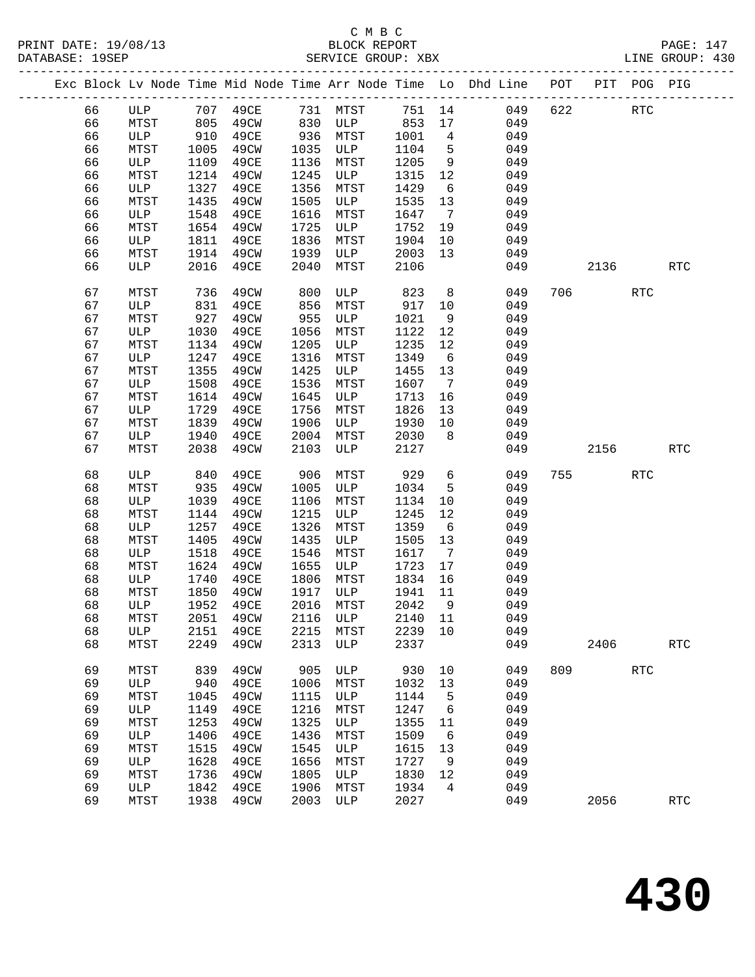#### C M B C<br>BLOCK REPORT PRINT DATE: 19/08/13 BLOCK REPORT PAGE: 147 SERVICE GROUP: XBX

|  |    |      |      |                              |      |                  |         |                              | Exc Block Lv Node Time Mid Node Time Arr Node Time Lo Dhd Line POT PIT POG PIG |     |           |            |                      |
|--|----|------|------|------------------------------|------|------------------|---------|------------------------------|--------------------------------------------------------------------------------|-----|-----------|------------|----------------------|
|  | 66 |      |      | ULP 707 49CE 731 MTST 751 14 |      |                  |         |                              | 049                                                                            | 622 |           | <b>RTC</b> |                      |
|  | 66 | MTST | 805  | 49CW                         |      | $830$ ULP        | 853 17  |                              | 049                                                                            |     |           |            |                      |
|  | 66 | ULP  | 910  | 49CE                         | 936  | <b>MTST</b>      | 1001    | $\overline{4}$               | 049                                                                            |     |           |            |                      |
|  | 66 | MTST | 1005 | 49CW                         | 1035 | ULP              | 1104    | $5^{\circ}$                  | 049                                                                            |     |           |            |                      |
|  | 66 | ULP  | 1109 | 49CE                         | 1136 | MTST             | 1205    | 9                            | 049                                                                            |     |           |            |                      |
|  | 66 | MTST | 1214 | 49CW                         | 1245 | ULP              | 1315    | 12                           | 049                                                                            |     |           |            |                      |
|  | 66 | ULP  | 1327 | 49CE                         | 1356 | MTST             | 1429    | 6                            | 049                                                                            |     |           |            |                      |
|  | 66 | MTST | 1435 | 49CW                         | 1505 | ULP              | 1535    | 13                           | 049                                                                            |     |           |            |                      |
|  | 66 | ULP  | 1548 | 49CE                         | 1616 | MTST             | 1647    | $\overline{7}$               | 049                                                                            |     |           |            |                      |
|  | 66 | MTST | 1654 | 49CW                         | 1725 | ULP              | 1752    | 19                           | 049                                                                            |     |           |            |                      |
|  | 66 | ULP  | 1811 | 49CE                         | 1836 | MTST             | 1904    | 10                           | 049                                                                            |     |           |            |                      |
|  | 66 | MTST | 1914 | 49CW                         | 1939 | ULP              | 2003    | 13                           | 049                                                                            |     |           |            |                      |
|  | 66 | ULP  | 2016 | 49CE                         | 2040 | MTST             | 2106    |                              | 049                                                                            |     | 2136      |            | <b>RTC</b>           |
|  |    |      |      |                              |      |                  |         |                              |                                                                                |     |           |            |                      |
|  | 67 | MTST | 736  | 49CW                         | 800  | ULP              | 823     | 8 <sup>8</sup>               | 049                                                                            |     | 706       | <b>RTC</b> |                      |
|  | 67 | ULP  | 831  | 49CE                         | 856  | MTST             | 917     | 10                           | 049                                                                            |     |           |            |                      |
|  | 67 | MTST | 927  | 49CW                         | 955  | ULP              | 1021    | 9                            | 049                                                                            |     |           |            |                      |
|  | 67 | ULP  | 1030 | 49CE                         | 1056 | MTST             | 1122    | 12                           | 049                                                                            |     |           |            |                      |
|  | 67 | MTST | 1134 | 49CW                         | 1205 | ULP              | 1235    | 12                           | 049                                                                            |     |           |            |                      |
|  | 67 | ULP  | 1247 | 49CE                         | 1316 | MTST             | 1349    | $6\overline{6}$              | 049                                                                            |     |           |            |                      |
|  | 67 | MTST | 1355 | 49CW                         | 1425 | ULP              | 1455    | 13                           | 049                                                                            |     |           |            |                      |
|  | 67 | ULP  | 1508 | 49CE                         | 1536 | MTST             | 1607    | $7\overline{ }$              | 049                                                                            |     |           |            |                      |
|  | 67 | MTST | 1614 | 49CW                         | 1645 | ULP              | 1713    | 16                           | 049                                                                            |     |           |            |                      |
|  | 67 | ULP  | 1729 | 49CE                         | 1756 | MTST             | 1826    | 13                           | 049                                                                            |     |           |            |                      |
|  | 67 | MTST | 1839 | 49CW                         | 1906 | ULP              | 1930    | 10                           | 049                                                                            |     |           |            |                      |
|  | 67 | ULP  | 1940 | 49CE                         | 2004 | MTST             | 2030    | 8 <sup>8</sup>               | 049                                                                            |     |           |            |                      |
|  | 67 | MTST | 2038 | 49CW                         | 2103 | ULP              | 2127    |                              | 049                                                                            |     | 2156      |            | RTC                  |
|  |    |      |      |                              |      |                  |         |                              |                                                                                |     |           |            |                      |
|  | 68 | ULP  | 840  | 49CE                         | 906  | MTST             | 929     | 6                            | 049                                                                            |     | 755 — 176 | <b>RTC</b> |                      |
|  | 68 | MTST | 935  | 49CW                         | 1005 | ULP              | 1034    | $-5$                         | 049                                                                            |     |           |            |                      |
|  | 68 | ULP  | 1039 | 49CE                         | 1106 | MTST             | 1134    | 10                           | 049                                                                            |     |           |            |                      |
|  | 68 | MTST | 1144 | 49CW                         | 1215 | ULP              | 1245    | 12                           | 049                                                                            |     |           |            |                      |
|  | 68 | ULP  | 1257 | 49CE                         | 1326 | MTST             | 1359    | 6                            | 049                                                                            |     |           |            |                      |
|  | 68 | MTST | 1405 | 49CW                         | 1435 | ULP              | 1505    | 13                           | 049                                                                            |     |           |            |                      |
|  | 68 | ULP  | 1518 | 49CE                         | 1546 | MTST             | 1617    | $7\phantom{.0}\phantom{.0}7$ | 049                                                                            |     |           |            |                      |
|  | 68 | MTST | 1624 | 49CW                         | 1655 | ULP              | 1723    | 17                           | 049                                                                            |     |           |            |                      |
|  | 68 | ULP  | 1740 | 49CE                         | 1806 | MTST             | 1834    | 16                           | 049                                                                            |     |           |            |                      |
|  | 68 | MTST | 1850 | 49CW                         | 1917 | ULP              | 1941    | 11                           | 049                                                                            |     |           |            |                      |
|  | 68 | ULP  | 1952 | 49CE                         | 2016 | MTST             | 2042    | 9                            | 049                                                                            |     |           |            |                      |
|  | 68 | MTST |      | 2051 49CW                    |      | 2116 ULP 2140 11 |         |                              | 049                                                                            |     |           |            |                      |
|  | 68 | ULP  | 2151 | 49CE                         | 2215 | MTST             | 2239 10 |                              | 049                                                                            |     |           |            |                      |
|  | 68 | MTST | 2249 | 49CW                         | 2313 | ULP              | 2337    |                              | 049                                                                            |     | 2406      |            | <b>RTC</b>           |
|  | 69 | MTST | 839  | 49CW                         | 905  | ULP              | 930     | 10                           | 049                                                                            | 809 |           | <b>RTC</b> |                      |
|  | 69 | ULP  | 940  | 49CE                         | 1006 | MTST             | 1032    | 13                           | 049                                                                            |     |           |            |                      |
|  | 69 | MTST | 1045 | 49CW                         | 1115 | ULP              | 1144    | 5                            | 049                                                                            |     |           |            |                      |
|  | 69 | ULP  | 1149 | 49CE                         | 1216 | MTST             | 1247    | 6                            | 049                                                                            |     |           |            |                      |
|  | 69 | MTST | 1253 | 49CW                         | 1325 | ULP              | 1355    | 11                           | 049                                                                            |     |           |            |                      |
|  | 69 | ULP  | 1406 | 49CE                         | 1436 | MTST             | 1509    | $6\overline{6}$              | 049                                                                            |     |           |            |                      |
|  | 69 | MTST | 1515 | 49CW                         | 1545 | ULP              | 1615    | 13                           | 049                                                                            |     |           |            |                      |
|  | 69 | ULP  | 1628 | 49CE                         | 1656 | MTST             | 1727    | 9                            | 049                                                                            |     |           |            |                      |
|  | 69 | MTST | 1736 | 49CW                         | 1805 | ULP              | 1830    | 12                           | 049                                                                            |     |           |            |                      |
|  | 69 | ULP  | 1842 | 49CE                         | 1906 | MTST             | 1934    | 4                            | 049                                                                            |     |           |            |                      |
|  | 69 | MTST | 1938 | 49CW                         | 2003 | ULP              | 2027    |                              | 049                                                                            |     | 2056      |            | $\operatorname{RTC}$ |
|  |    |      |      |                              |      |                  |         |                              |                                                                                |     |           |            |                      |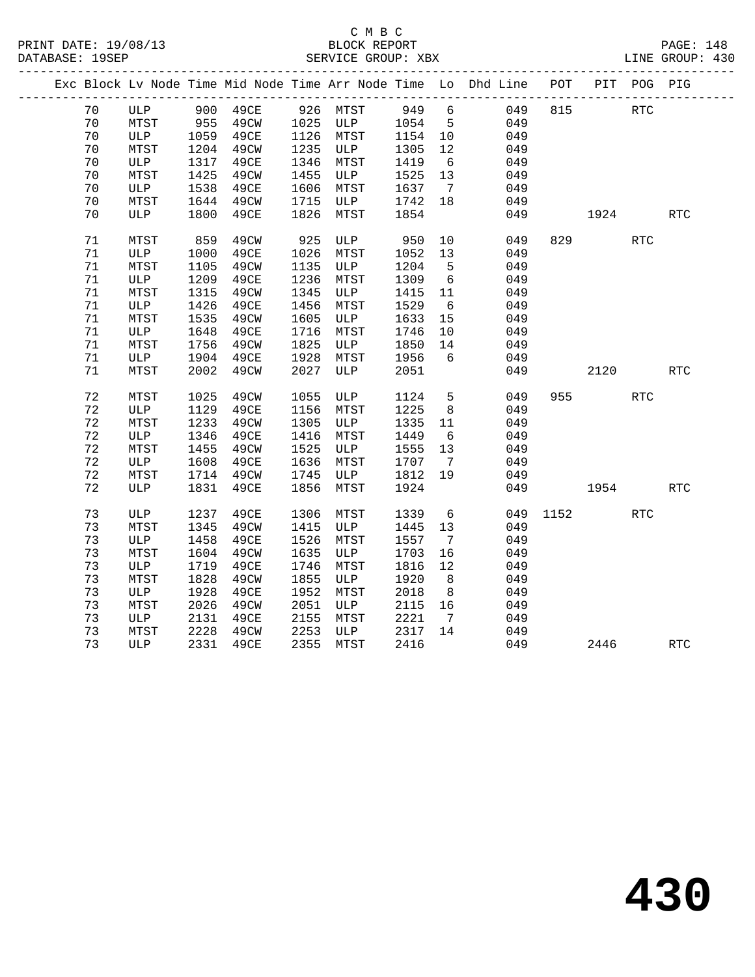|  |    |      |      |                       |      |                                 |       |                 | Exc Block Lv Node Time Mid Node Time Arr Node Time Lo Dhd Line POT PIT POG PIG |          |            |            |            |
|--|----|------|------|-----------------------|------|---------------------------------|-------|-----------------|--------------------------------------------------------------------------------|----------|------------|------------|------------|
|  | 70 |      |      | ULP 900 49CE 926 MTST |      |                                 | 949 6 |                 | 049                                                                            | 815      | <b>RTC</b> |            |            |
|  | 70 | MTST |      | 955 49CW              |      | 1025 ULP 1054<br>1126 MTST 1154 |       | 5 <sub>5</sub>  | 049                                                                            |          |            |            |            |
|  | 70 | ULP  |      | 1059 49CE             |      |                                 |       | 10              | 049                                                                            |          |            |            |            |
|  | 70 | MTST |      | 1204 49CW             |      | 1235 ULP                        | 1305  | 12              | 049                                                                            |          |            |            |            |
|  | 70 | ULP  | 1317 | 49CE                  | 1346 | MTST                            | 1419  | 6               | 049                                                                            |          |            |            |            |
|  | 70 | MTST | 1425 | 49CW                  | 1455 | ULP                             | 1525  | 13              | 049                                                                            |          |            |            |            |
|  | 70 | ULP  | 1538 | 49CE                  | 1606 | MTST                            | 1637  | $7\overline{ }$ | 049                                                                            |          |            |            |            |
|  | 70 | MTST | 1644 | 49CW                  | 1715 | ULP                             | 1742  | 18              | 049                                                                            |          |            |            |            |
|  | 70 | ULP  | 1800 | 49CE                  | 1826 | MTST                            | 1854  |                 | 049                                                                            |          | 1924       |            | RTC        |
|  | 71 | MTST | 859  | 49CW                  | 925  | ULP                             | 950   | 10              | 049                                                                            |          | 829        | <b>RTC</b> |            |
|  | 71 | ULP  | 1000 | 49CE                  | 1026 | MTST                            | 1052  | 13              | 049                                                                            |          |            |            |            |
|  | 71 | MTST | 1105 | 49CW                  | 1135 | ULP                             | 1204  | $5^{\circ}$     | 049                                                                            |          |            |            |            |
|  | 71 | ULP  | 1209 | 49CE                  | 1236 | MTST                            | 1309  | $6\overline{6}$ | 049                                                                            |          |            |            |            |
|  | 71 | MTST | 1315 | 49CW                  | 1345 | ULP                             | 1415  | 11              | 049                                                                            |          |            |            |            |
|  | 71 | ULP  | 1426 | 49CE                  | 1456 | MTST                            | 1529  | $6\overline{6}$ | 049                                                                            |          |            |            |            |
|  | 71 | MTST | 1535 | 49CW                  | 1605 | ULP                             | 1633  | 15              | 049                                                                            |          |            |            |            |
|  | 71 | ULP  | 1648 | 49CE                  | 1716 | MTST                            | 1746  | 10              | 049                                                                            |          |            |            |            |
|  | 71 | MTST | 1756 | 49CW                  | 1825 | ULP                             | 1850  | 14              | 049                                                                            |          |            |            |            |
|  | 71 | ULP  | 1904 | 49CE                  | 1928 | MTST                            | 1956  | 6               | 049                                                                            |          |            |            |            |
|  | 71 | MTST | 2002 | 49CW                  | 2027 | ULP                             | 2051  |                 | 049                                                                            |          | 2120       |            | <b>RTC</b> |
|  | 72 | MTST | 1025 | 49CW                  | 1055 | ULP                             | 1124  | 5               | 049                                                                            |          |            | RTC        |            |
|  | 72 | ULP  | 1129 | 49CE                  | 1156 | MTST                            | 1225  | 8 <sup>8</sup>  | 049                                                                            |          |            |            |            |
|  | 72 | MTST | 1233 | 49CW                  | 1305 | ULP                             | 1335  | 11              | 049                                                                            |          |            |            |            |
|  | 72 | ULP  | 1346 | 49CE                  | 1416 | MTST                            | 1449  | $6\overline{6}$ | 049                                                                            |          |            |            |            |
|  | 72 | MTST | 1455 | 49CW                  | 1525 | ULP                             | 1555  | 13              | 049                                                                            |          |            |            |            |
|  | 72 | ULP  | 1608 | 49CE                  | 1636 | MTST                            | 1707  | $\overline{7}$  | 049                                                                            |          |            |            |            |
|  | 72 | MTST | 1714 | 49CW                  | 1745 | ULP                             | 1812  | 19              | 049                                                                            |          |            |            |            |
|  | 72 | ULP  | 1831 | 49CE                  | 1856 | MTST                            | 1924  |                 | 049                                                                            |          | 1954       |            | <b>RTC</b> |
|  | 73 | ULP  | 1237 | 49CE                  | 1306 | MTST                            | 1339  | $6\overline{6}$ |                                                                                | 049 1152 |            | <b>RTC</b> |            |
|  | 73 | MTST | 1345 | 49CW                  | 1415 | ULP                             | 1445  | 13              | 049                                                                            |          |            |            |            |
|  | 73 | ULP  | 1458 | 49CE                  | 1526 | MTST                            | 1557  | $7\overline{ }$ | 049                                                                            |          |            |            |            |
|  | 73 | MTST | 1604 | 49CW                  | 1635 | ULP                             | 1703  | 16              | 049                                                                            |          |            |            |            |
|  | 73 | ULP  | 1719 | 49CE                  | 1746 | MTST                            | 1816  | 12              | 049                                                                            |          |            |            |            |
|  | 73 | MTST | 1828 | 49CW                  | 1855 | ULP                             | 1920  | 8 <sup>8</sup>  | 049                                                                            |          |            |            |            |
|  | 73 | ULP  | 1928 | 49CE                  | 1952 | MTST                            | 2018  | 8 <sup>8</sup>  | 049                                                                            |          |            |            |            |
|  | 73 | MTST | 2026 | 49CW                  | 2051 | ULP                             | 2115  | 16              | 049                                                                            |          |            |            |            |
|  | 73 | ULP  | 2131 | 49CE                  | 2155 | MTST                            | 2221  | $\overline{7}$  | 049                                                                            |          |            |            |            |
|  | 73 | MTST | 2228 | 49CW                  | 2253 | <b>ATD</b><br>UID 1             | 2317  | 14              | 049                                                                            |          |            |            |            |
|  | 73 | ULP  |      | 2331 49CE             | 2355 | MTST                            | 2416  |                 | 049                                                                            |          | 2446       |            | <b>RTC</b> |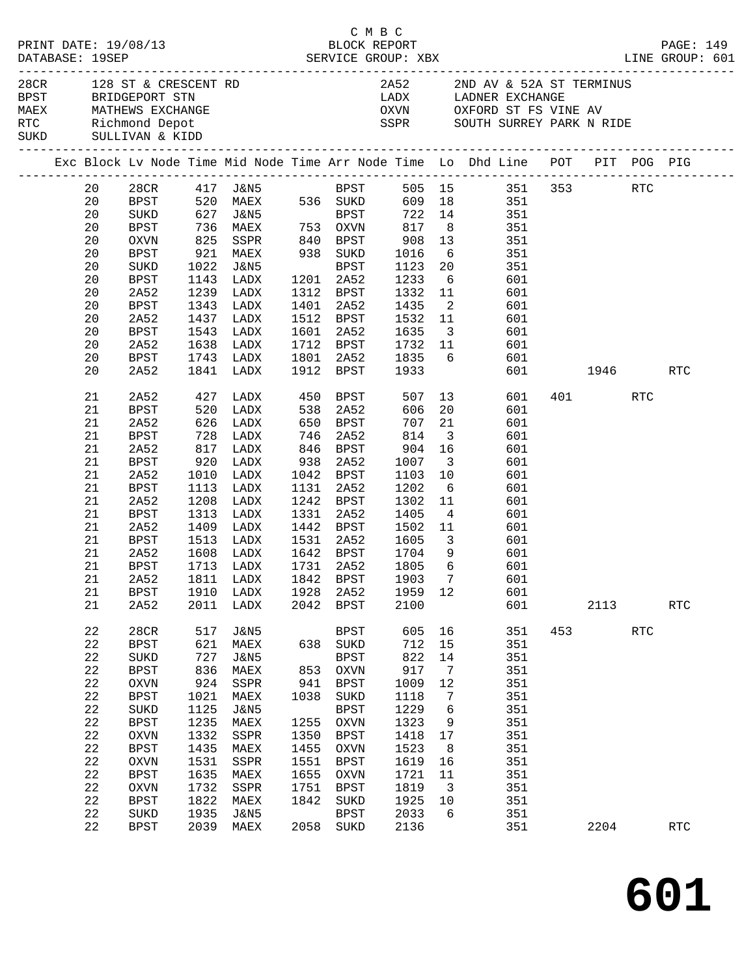|                      |                     |      |                                                                                             |            | C M B C                |                    |                          |                                                                                |          |            |            |
|----------------------|---------------------|------|---------------------------------------------------------------------------------------------|------------|------------------------|--------------------|--------------------------|--------------------------------------------------------------------------------|----------|------------|------------|
| PRINT DATE: 19/08/13 |                     |      |                                                                                             |            |                        | BLOCK REPORT       |                          |                                                                                |          |            | PAGE: 149  |
|                      |                     |      |                                                                                             |            |                        |                    |                          |                                                                                |          |            |            |
|                      |                     |      | -<br>28CR 128 ST & CRESCENT RD<br>PRETREEDORT STN                                           |            |                        |                    |                          | 2A52 2ND AV & 52A ST TERMINUS                                                  |          |            |            |
|                      |                     |      |                                                                                             |            |                        |                    |                          | LADX LADNER EXCHANGE                                                           |          |            |            |
|                      |                     |      |                                                                                             |            |                        |                    |                          | OXVN OXFORD ST FS VINE AV                                                      |          |            |            |
|                      |                     |      | MAEX MATHEWS EXCHANGE<br>RTC Richmond Depot<br>SUKD SULLIVAN & KIDD                         |            |                        |                    |                          | SSPR SOUTH SURREY PARK N RIDE                                                  |          |            |            |
|                      |                     |      |                                                                                             |            |                        |                    |                          |                                                                                |          |            |            |
|                      |                     |      |                                                                                             |            |                        |                    |                          | Exc Block Lv Node Time Mid Node Time Arr Node Time Lo Dhd Line POT PIT POG PIG |          |            |            |
| 20                   |                     |      |                                                                                             |            |                        |                    |                          | 28CR 417 J&N5 BPST 505 15 351 353 RTC                                          |          |            |            |
| 20                   |                     |      |                                                                                             |            |                        |                    |                          | BPST 520 MAEX 536 SUKD 609 18 351                                              |          |            |            |
| 20                   |                     |      | SUKD 627 J&N5 BPST<br>BPST 736 MAEX 753 OXVN<br>OXVN 825 SSPR 840 BPST                      |            |                        |                    |                          | BPST 722 14 351                                                                |          |            |            |
| 20                   |                     |      |                                                                                             |            |                        |                    |                          | 817 8 351<br>908 13 351<br>1016 6 351                                          |          |            |            |
| 20                   |                     |      |                                                                                             |            |                        |                    |                          |                                                                                |          |            |            |
| 20                   | BPST                |      | 921 MAEX 938 SUKD                                                                           |            |                        |                    |                          |                                                                                |          |            |            |
| 20                   | SUKD                | 1022 | J&N5                                                                                        |            | BPST                   | 1123 20            |                          | 351                                                                            |          |            |            |
| 20                   | <b>BPST</b>         |      | 1143 LADX                                                                                   |            | 1201 2A52              | 1233 6             |                          | 601                                                                            |          |            |            |
| 20                   | 2A52                |      | 1239 LADX                                                                                   |            | 1312 BPST              | 1332 11            |                          | 601                                                                            |          |            |            |
| 20                   | BPST                |      | 1343 LADX                                                                                   |            | 1401 2A52              | 1435               | $\overline{\phantom{a}}$ | 601                                                                            |          |            |            |
| 20<br>20             | 2A52<br><b>BPST</b> | 1543 | 1437 LADX<br>LADX                                                                           |            | 1512 BPST<br>1601 2A52 | 1532 11            |                          | 601<br>601                                                                     |          |            |            |
| 20                   | 2A52                |      | 1638 LADX                                                                                   |            | 1712 BPST              | 1635 3<br>1732 11  |                          | $\overline{\mathbf{3}}$<br>601                                                 |          |            |            |
| 20                   | BPST                |      | 1743 LADX                                                                                   |            | 1801 2A52              | $\frac{1835}{6}$   |                          | 601                                                                            |          |            |            |
| 20                   | 2A52                |      | 1841 LADX                                                                                   |            | 1912 BPST              | 1933               |                          |                                                                                | 601 1946 |            | <b>RTC</b> |
|                      |                     |      |                                                                                             |            |                        |                    |                          |                                                                                |          |            |            |
| 21                   | 2A52                |      | 427 LADX       450   BPST        507   13<br>520   LADX         538   2A52         606   20 |            |                        |                    |                          | 601                                                                            | 401 000  | RTC        |            |
| 21                   | BPST                |      |                                                                                             |            |                        |                    |                          | 20<br>601                                                                      |          |            |            |
| 21                   | 2A52                |      | 626 LADX 650 BPST                                                                           |            |                        | 707                | 21                       | 601                                                                            |          |            |            |
| 21                   | <b>BPST</b>         |      | 728 LADX<br>817 LADX<br>920 LADX                                                            | 746        | 2A52                   | 814                | $\overline{\mathbf{3}}$  | 601                                                                            |          |            |            |
| 21                   | 2A52                |      |                                                                                             | 846<br>938 | BPST                   | $904$ 16<br>1007 3 |                          | 601                                                                            |          |            |            |
| 21                   | <b>BPST</b>         |      |                                                                                             |            | 2A52                   | 1007               | $\overline{\mathbf{3}}$  | 601                                                                            |          |            |            |
| 21                   | 2A52                |      | 1010 LADX                                                                                   |            | 1042 BPST              | 1103               | 10                       | 601                                                                            |          |            |            |
| 21                   | <b>BPST</b>         | 1113 | LADX                                                                                        | 1131       | 2A52                   | 1202               | 6                        | 601                                                                            |          |            |            |
| 21                   | 2A52                | 1208 | LADX                                                                                        |            | 1242 BPST              | 1302               | 11                       | 601                                                                            |          |            |            |
| 21                   | <b>BPST</b>         |      | 1313 LADX                                                                                   | 1331       | 2A52                   | 1405               | $\overline{4}$           | 601                                                                            |          |            |            |
| 21                   | 2A52                |      | 1409 LADX                                                                                   |            | 1442 BPST              | 1502 11            |                          | 601                                                                            |          |            |            |
| 21                   | BPST                | 1513 | LADX                                                                                        |            | 1531 2A52              | 1605               | $\overline{\mathbf{3}}$  | 601                                                                            |          |            |            |
| 21                   | 2A52                |      | 1608 –<br>1713 LADX<br>1713 <sup>– TADX</sup>                                               |            | 1642 BPST<br>1731 2A52 | 1704<br>1805       | 9                        | 601                                                                            |          |            |            |
| 21                   | <b>BPST</b>         |      |                                                                                             |            |                        | 1805               | $6\overline{6}$          | 601                                                                            |          |            |            |
| 21                   |                     |      |                                                                                             |            |                        |                    |                          | 2A52 1811 LADX 1842 BPST 1903 7 601                                            |          |            |            |
| 21                   | <b>BPST</b>         | 1910 | LADX                                                                                        | 1928       | 2A52                   | 1959 12<br>2100    |                          | 601<br>601                                                                     | 2113     |            | <b>RTC</b> |
| 21                   | 2A52                | 2011 | LADX                                                                                        | 2042       | BPST                   |                    |                          |                                                                                |          |            |            |
| 22                   | 28CR                | 517  | J&N5                                                                                        |            | <b>BPST</b>            | 605 16             |                          | 351                                                                            | 453      | <b>RTC</b> |            |
| 22                   | <b>BPST</b>         | 621  | MAEX                                                                                        | 638        | SUKD                   | 712                | 15                       | 351                                                                            |          |            |            |
| 22                   | SUKD                | 727  | <b>J&amp;N5</b>                                                                             |            | <b>BPST</b>            | 822                | 14                       | 351                                                                            |          |            |            |
| 22                   | <b>BPST</b>         | 836  | MAEX                                                                                        | 853        | OXVN                   | 917                | $\overline{7}$           | 351                                                                            |          |            |            |
| 22                   | OXVN                | 924  | SSPR                                                                                        | 941        | <b>BPST</b>            | 1009               | 12                       | 351                                                                            |          |            |            |
| 22                   | <b>BPST</b>         | 1021 | MAEX                                                                                        | 1038       | SUKD                   | 1118               | $\overline{7}$           | 351                                                                            |          |            |            |
| 22                   | SUKD                | 1125 | J&N5                                                                                        |            | <b>BPST</b>            | 1229               | 6                        | 351                                                                            |          |            |            |
| 22                   | <b>BPST</b>         | 1235 | MAEX                                                                                        | 1255       | OXVN                   | 1323               | 9                        | 351                                                                            |          |            |            |
| 22                   | OXVN                | 1332 | SSPR                                                                                        | 1350       | <b>BPST</b>            | 1418               | 17                       | 351                                                                            |          |            |            |
| $2\sqrt{2}$          | <b>BPST</b>         | 1435 | MAEX                                                                                        | 1455       | OXVN                   | 1523               | 8                        | 351                                                                            |          |            |            |
| 22                   | OXVN                | 1531 | SSPR                                                                                        | 1551       | BPST                   | 1619               | 16                       | 351                                                                            |          |            |            |
| 22                   | <b>BPST</b>         | 1635 | MAEX                                                                                        | 1655       | OXVN                   | 1721               | 11                       | 351                                                                            |          |            |            |
| 22                   | OXVN                | 1732 | SSPR                                                                                        | 1751       | <b>BPST</b>            | 1819               | $\overline{\mathbf{3}}$  | 351                                                                            |          |            |            |
| 22                   | BPST                | 1822 | MAEX                                                                                        | 1842       | SUKD                   | 1925               | 10                       | 351                                                                            |          |            |            |
| 22                   | SUKD                | 1935 | J&N5                                                                                        |            | <b>BPST</b>            | 2033               | 6                        | 351                                                                            |          |            |            |
| 22                   | <b>BPST</b>         |      | 2039 MAEX                                                                                   |            | 2058 SUKD              | 2136               |                          | 351                                                                            | 2204     |            | RTC        |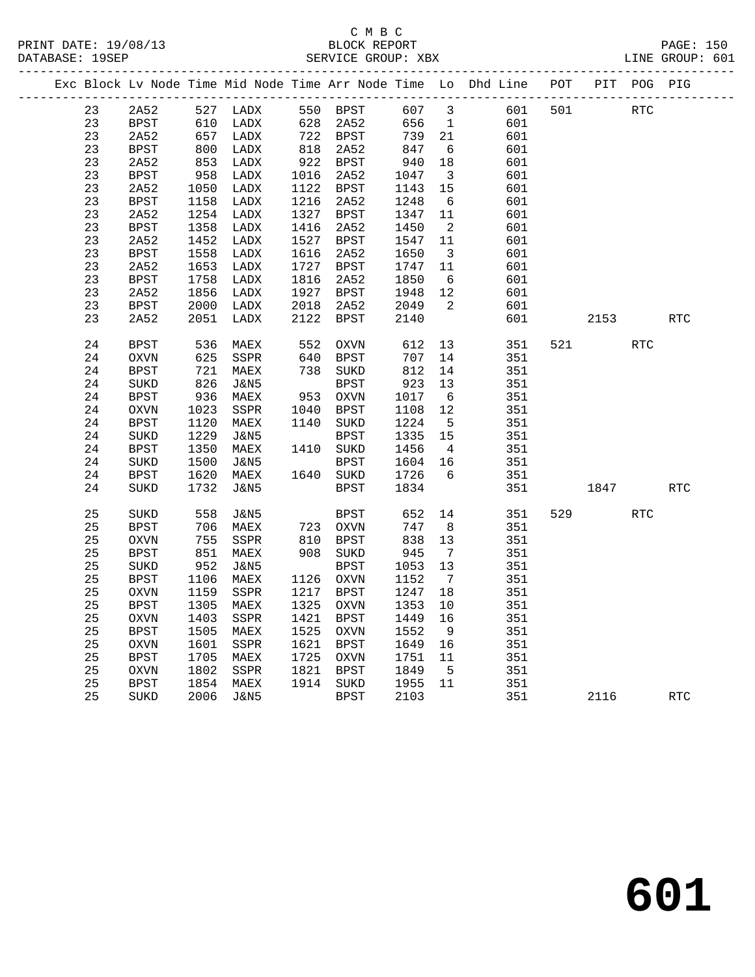|    |             |      |                 |      |             |      |                              | Exc Block Lv Node Time Mid Node Time Arr Node Time Lo Dhd Line | POT |      | PIT POG PIG |            |
|----|-------------|------|-----------------|------|-------------|------|------------------------------|----------------------------------------------------------------|-----|------|-------------|------------|
| 23 | 2A52        |      | 527 LADX        |      | 550 BPST    | 607  | 3                            | 601                                                            | 501 |      | <b>RTC</b>  |            |
| 23 | BPST        | 610  | LADX            | 628  | 2A52        | 656  | $\mathbf{1}$                 | 601                                                            |     |      |             |            |
| 23 | 2A52        | 657  | LADX            |      | 722 BPST    | 739  | 21                           | 601                                                            |     |      |             |            |
| 23 | <b>BPST</b> | 800  | LADX            | 818  | 2A52        | 847  | 6                            | 601                                                            |     |      |             |            |
| 23 | 2A52        | 853  | LADX            | 922  | BPST        | 940  | 18                           | 601                                                            |     |      |             |            |
| 23 | BPST        | 958  | LADX            | 1016 | 2A52        | 1047 | $\overline{\mathbf{3}}$      | 601                                                            |     |      |             |            |
| 23 | 2A52        | 1050 | LADX            |      | 1122 BPST   | 1143 | 15                           | 601                                                            |     |      |             |            |
| 23 | BPST        | 1158 | LADX            | 1216 | 2A52        | 1248 | 6                            | 601                                                            |     |      |             |            |
| 23 | 2A52        | 1254 | LADX            | 1327 | BPST        | 1347 | 11                           | 601                                                            |     |      |             |            |
| 23 | <b>BPST</b> | 1358 | LADX            | 1416 | 2A52        | 1450 | $\overline{2}$               | 601                                                            |     |      |             |            |
| 23 | 2A52        | 1452 | LADX            | 1527 | BPST        | 1547 | 11                           | 601                                                            |     |      |             |            |
| 23 | BPST        | 1558 | LADX            | 1616 | 2A52        | 1650 | $\overline{\mathbf{3}}$      | 601                                                            |     |      |             |            |
| 23 | 2A52        | 1653 | LADX            | 1727 | BPST        | 1747 | 11                           | 601                                                            |     |      |             |            |
| 23 | <b>BPST</b> | 1758 | LADX            | 1816 | 2A52        | 1850 | 6                            | 601                                                            |     |      |             |            |
| 23 | 2A52        | 1856 | LADX            | 1927 | BPST        | 1948 | 12                           | 601                                                            |     |      |             |            |
| 23 | <b>BPST</b> | 2000 | LADX            | 2018 | 2A52        | 2049 | 2                            | 601                                                            |     |      |             |            |
| 23 | 2A52        | 2051 | LADX            | 2122 | <b>BPST</b> | 2140 |                              | 601                                                            |     | 2153 |             | <b>RTC</b> |
| 24 | BPST        | 536  | MAEX            | 552  | <b>OXVN</b> | 612  | 13                           | 351                                                            | 521 |      | <b>RTC</b>  |            |
| 24 | OXVN        | 625  | SSPR            | 640  | BPST        | 707  | 14                           | 351                                                            |     |      |             |            |
| 24 | <b>BPST</b> | 721  | MAEX            |      | 738 SUKD    | 812  | 14                           | 351                                                            |     |      |             |            |
| 24 | SUKD        | 826  | J&N5            |      | <b>BPST</b> | 923  | 13                           | 351                                                            |     |      |             |            |
| 24 | <b>BPST</b> | 936  | MAEX            |      | 953 OXVN    | 1017 | 6                            | 351                                                            |     |      |             |            |
| 24 | <b>OXVN</b> | 1023 | SSPR            | 1040 | BPST        | 1108 | 12                           | 351                                                            |     |      |             |            |
| 24 | <b>BPST</b> | 1120 | MAEX            | 1140 | SUKD        | 1224 | $5^{\circ}$                  | 351                                                            |     |      |             |            |
| 24 | SUKD        | 1229 | J&N5            |      | <b>BPST</b> | 1335 | 15                           | 351                                                            |     |      |             |            |
| 24 | <b>BPST</b> | 1350 | MAEX            |      | 1410 SUKD   | 1456 | $\overline{4}$               | 351                                                            |     |      |             |            |
| 24 | SUKD        | 1500 | J&N5            |      | BPST        | 1604 | 16                           | 351                                                            |     |      |             |            |
| 24 | <b>BPST</b> | 1620 | MAEX            |      | 1640 SUKD   | 1726 | 6                            | 351                                                            |     |      |             |            |
| 24 | SUKD        | 1732 | J&N5            |      | BPST        | 1834 |                              | 351                                                            |     | 1847 |             | <b>RTC</b> |
| 25 | SUKD        | 558  | J&N5            |      | <b>BPST</b> | 652  | 14                           | 351                                                            | 529 |      | <b>RTC</b>  |            |
| 25 | <b>BPST</b> | 706  | MAEX            | 723  | OXVN        | 747  | 8                            | 351                                                            |     |      |             |            |
| 25 | OXVN        | 755  | SSPR            | 810  | BPST        | 838  | 13                           | 351                                                            |     |      |             |            |
| 25 | <b>BPST</b> | 851  | MAEX            | 908  | SUKD        | 945  | $7\phantom{.0}\phantom{.0}7$ | 351                                                            |     |      |             |            |
| 25 | SUKD        | 952  | J&N5            |      | BPST        | 1053 | 13                           | 351                                                            |     |      |             |            |
| 25 | <b>BPST</b> | 1106 | MAEX            | 1126 | OXVN        | 1152 | $\overline{7}$               | 351                                                            |     |      |             |            |
| 25 | OXVN        | 1159 | SSPR            | 1217 | BPST        | 1247 | 18                           | 351                                                            |     |      |             |            |
| 25 | <b>BPST</b> | 1305 | MAEX            | 1325 | <b>OXVN</b> | 1353 | $10\,$                       | 351                                                            |     |      |             |            |
| 25 | <b>OXVN</b> | 1403 | SSPR            | 1421 | <b>BPST</b> | 1449 | 16                           | 351                                                            |     |      |             |            |
| 25 | <b>BPST</b> | 1505 | MAEX            | 1525 | <b>OXVN</b> | 1552 | 9                            | 351                                                            |     |      |             |            |
| 25 | <b>OXVN</b> | 1601 | SSPR            | 1621 | BPST        | 1649 | 16                           | 351                                                            |     |      |             |            |
| 25 | <b>BPST</b> | 1705 | MAEX            | 1725 | OXVN        | 1751 | 11                           | 351                                                            |     |      |             |            |
| 25 | OXVN        | 1802 | SSPR            | 1821 | BPST        | 1849 | 5                            | 351                                                            |     |      |             |            |
| 25 | <b>BPST</b> | 1854 | MAEX            |      | 1914 SUKD   | 1955 | 11                           | 351                                                            |     |      |             |            |
| 25 | SUKD        | 2006 | <b>J&amp;N5</b> |      | <b>BPST</b> | 2103 |                              | 351                                                            |     | 2116 |             | <b>RTC</b> |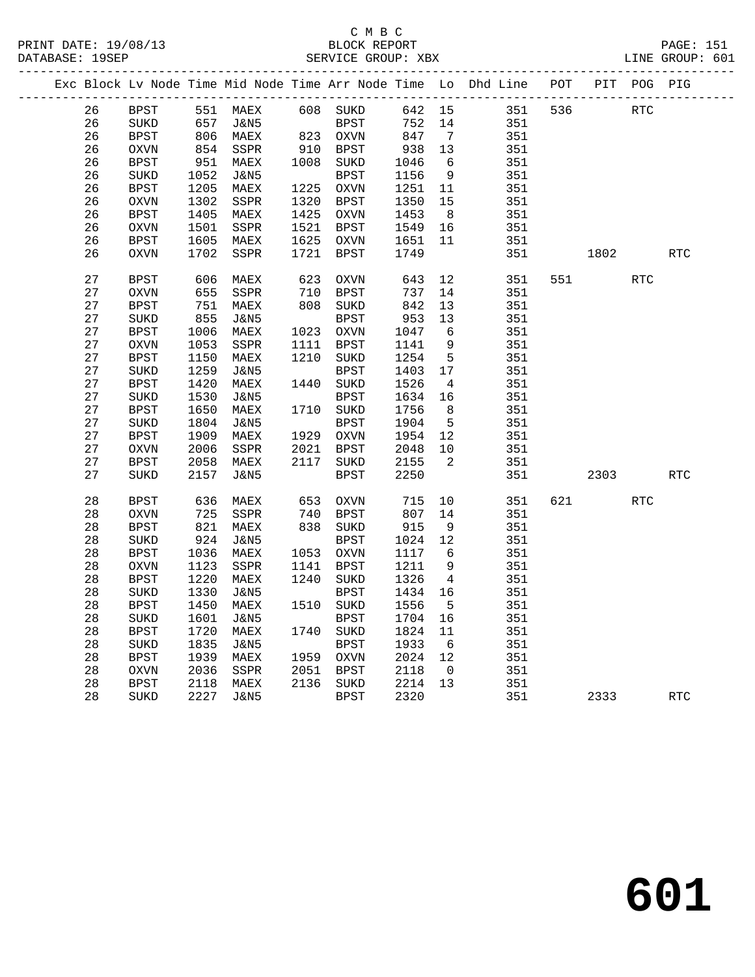#### C M B C<br>BLOCK REPORT PRINT DATE: 19/08/13 BLOCK REPORT PAGE: 151 SERVICE GROUP: XBX

|  |    |             |      |          |      |             |        |                 | Exc Block Lv Node Time Mid Node Time Arr Node Time Lo Dhd Line POT |     |      | PIT POG PIG |            |
|--|----|-------------|------|----------|------|-------------|--------|-----------------|--------------------------------------------------------------------|-----|------|-------------|------------|
|  | 26 | BPST        |      | 551 MAEX |      | 608 SUKD    | 642 15 |                 | 351                                                                | 536 |      | <b>RTC</b>  |            |
|  | 26 | SUKD        | 657  | J&N5     |      | BPST        | 752 14 |                 | 351                                                                |     |      |             |            |
|  | 26 | BPST        |      | 806 MAEX |      | 823 OXVN    | 847    | $\overline{7}$  | 351                                                                |     |      |             |            |
|  | 26 | OXVN        | 854  | SSPR     |      | 910 BPST    | 938    | 13              | 351                                                                |     |      |             |            |
|  | 26 | BPST        | 951  | MAEX     |      | 1008 SUKD   | 1046   | 6               | 351                                                                |     |      |             |            |
|  | 26 | SUKD        | 1052 | J&N5     |      | BPST        | 1156   | 9               | 351                                                                |     |      |             |            |
|  | 26 | BPST        | 1205 | MAEX     |      | 1225 OXVN   | 1251   | 11              | 351                                                                |     |      |             |            |
|  | 26 | OXVN        | 1302 | SSPR     | 1320 | BPST        | 1350   | 15              | 351                                                                |     |      |             |            |
|  | 26 | <b>BPST</b> | 1405 | MAEX     | 1425 | <b>OXVN</b> | 1453   | 8 <sup>8</sup>  | 351                                                                |     |      |             |            |
|  | 26 | <b>OXVN</b> | 1501 | SSPR     | 1521 | BPST        | 1549   | 16              | 351                                                                |     |      |             |            |
|  | 26 | <b>BPST</b> | 1605 | MAEX     | 1625 | OXVN        | 1651   | 11              | 351                                                                |     |      |             |            |
|  | 26 | <b>OXVN</b> | 1702 | SSPR     | 1721 | BPST        | 1749   |                 | 351                                                                |     | 1802 |             | RTC        |
|  | 27 | <b>BPST</b> | 606  | MAEX     | 623  | OXVN        | 643    | 12              | 351                                                                | 551 |      | <b>RTC</b>  |            |
|  | 27 | <b>OXVN</b> | 655  | SSPR     | 710  | <b>BPST</b> | 737    | 14              | 351                                                                |     |      |             |            |
|  | 27 | <b>BPST</b> | 751  | MAEX     | 808  | SUKD        | 842    | 13              | 351                                                                |     |      |             |            |
|  | 27 | SUKD        | 855  | J&N5     |      | <b>BPST</b> | 953    | 13              | 351                                                                |     |      |             |            |
|  | 27 | BPST        | 1006 | MAEX     |      | 1023 OXVN   | 1047   | 6               | 351                                                                |     |      |             |            |
|  | 27 | OXVN        | 1053 | SSPR     | 1111 | BPST        | 1141   | 9               | 351                                                                |     |      |             |            |
|  | 27 | BPST        | 1150 | MAEX     | 1210 | SUKD        | 1254   | $5\overline{5}$ | 351                                                                |     |      |             |            |
|  | 27 | SUKD        | 1259 | J&N5     |      | BPST        | 1403   | 17              | 351                                                                |     |      |             |            |
|  | 27 | BPST        | 1420 | MAEX     |      | 1440 SUKD   | 1526   | $\overline{4}$  | 351                                                                |     |      |             |            |
|  | 27 | SUKD        | 1530 | J&N5     |      | BPST        | 1634   | 16              | 351                                                                |     |      |             |            |
|  | 27 | BPST        | 1650 | MAEX     |      | 1710 SUKD   | 1756   | - 8             | 351                                                                |     |      |             |            |
|  | 27 | SUKD        | 1804 | J&N5     |      | <b>BPST</b> | 1904   | $5^{\circ}$     | 351                                                                |     |      |             |            |
|  | 27 | <b>BPST</b> | 1909 | MAEX     | 1929 | OXVN        | 1954   | 12              | 351                                                                |     |      |             |            |
|  | 27 | OXVN        | 2006 | SSPR     | 2021 | BPST        | 2048   | 10              | 351                                                                |     |      |             |            |
|  | 27 | BPST        | 2058 | MAEX     |      | 2117 SUKD   | 2155   | 2               | 351                                                                |     |      |             |            |
|  | 27 | SUKD        | 2157 | J&N5     |      | <b>BPST</b> | 2250   |                 | 351                                                                |     | 2303 |             | <b>RTC</b> |
|  | 28 | <b>BPST</b> | 636  | MAEX     |      | 653 OXVN    | 715    | 10              | 351                                                                | 621 |      | <b>RTC</b>  |            |
|  | 28 | OXVN        | 725  | SSPR     | 740  | <b>BPST</b> | 807    | 14              | 351                                                                |     |      |             |            |
|  | 28 | BPST        | 821  | MAEX     |      | 838 SUKD    | 915    | 9               | 351                                                                |     |      |             |            |
|  | 28 | SUKD        | 924  | J&N5     |      | <b>BPST</b> | 1024   | 12              | 351                                                                |     |      |             |            |
|  | 28 | BPST        | 1036 | MAEX     |      | 1053 OXVN   | 1117   | 6               | 351                                                                |     |      |             |            |
|  | 28 | OXVN        | 1123 | SSPR     |      | 1141 BPST   | 1211   | 9               | 351                                                                |     |      |             |            |
|  | 28 | BPST        | 1220 | MAEX     | 1240 | SUKD        | 1326   | $\overline{4}$  | 351                                                                |     |      |             |            |
|  | 28 | SUKD        | 1330 | J&N5     |      | <b>BPST</b> | 1434   | 16              | 351                                                                |     |      |             |            |
|  | 28 | BPST        | 1450 | MAEX     |      | 1510 SUKD   | 1556   | - 5             | 351                                                                |     |      |             |            |
|  | 28 | SUKD        | 1601 | J&N5     |      | <b>BPST</b> | 1704   | 16              | 351                                                                |     |      |             |            |
|  | 28 | <b>BPST</b> | 1720 | MAEX     | 1740 | SUKD        | 1824   | 11              | 351                                                                |     |      |             |            |
|  | 28 | SUKD        | 1835 | J&N5     |      | <b>BPST</b> | 1933   | 6               | 351                                                                |     |      |             |            |
|  | 28 | BPST        | 1939 | MAEX     |      | 1959 OXVN   | 2024   | 12              | 351                                                                |     |      |             |            |
|  | 28 | OXVN        | 2036 | SSPR     | 2051 | BPST        | 2118   | $\overline{0}$  | 351                                                                |     |      |             |            |
|  | 28 | BPST        | 2118 | MAEX     |      | 2136 SUKD   | 2214   | 13              | 351                                                                |     |      |             |            |
|  | 28 | SUKD        | 2227 | J&N5     |      | <b>BPST</b> | 2320   |                 | 351                                                                |     | 2333 |             | <b>RTC</b> |
|  |    |             |      |          |      |             |        |                 |                                                                    |     |      |             |            |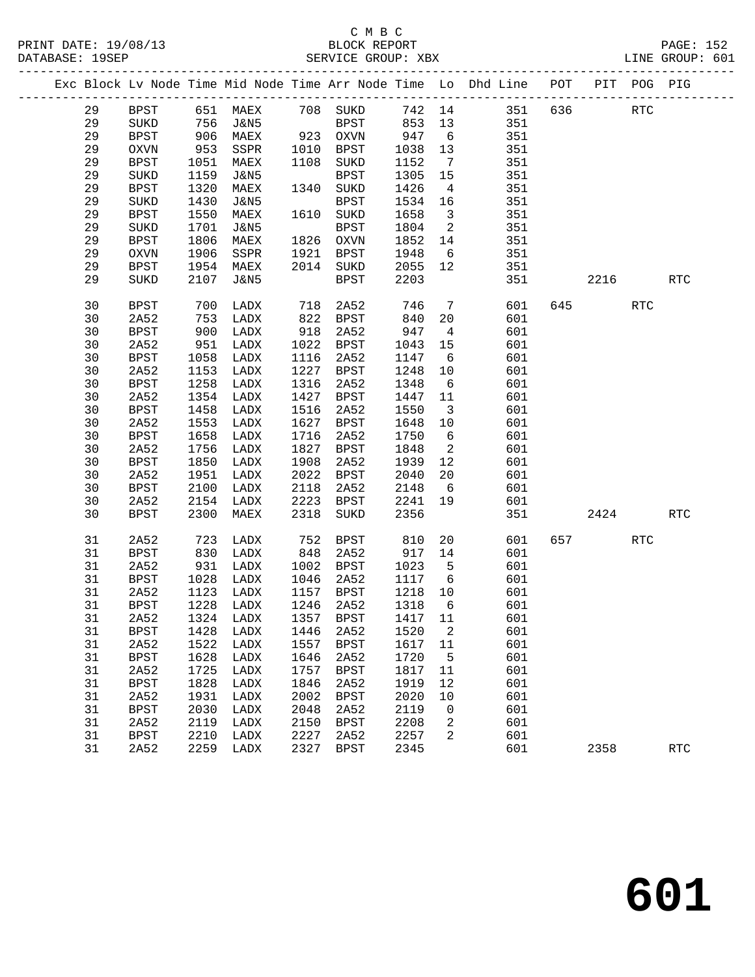#### C M B C<br>BLOCK REPORT PRINT DATE: 19/08/13 BLOCK REPORT PAGE: 152 SERVICE GROUP: XBX

|  |    |             |      |                          |      |             |            |                            | Exc Block Lv Node Time Mid Node Time Arr Node Time Lo Dhd Line POT |     |           | PIT POG PIG          |            |
|--|----|-------------|------|--------------------------|------|-------------|------------|----------------------------|--------------------------------------------------------------------|-----|-----------|----------------------|------------|
|  | 29 | <b>BPST</b> |      | 651 MAEX                 |      | 708 SUKD    |            |                            | 742 14 351                                                         | 636 |           | $\operatorname{RTC}$ |            |
|  | 29 | SUKD        | 756  | J&N5                     |      | BPST        | 853 13     |                            | 351                                                                |     |           |                      |            |
|  | 29 | BPST        | 906  | MAEX                     |      | $923$ OXVN  | 853<br>947 | 6                          | 351                                                                |     |           |                      |            |
|  | 29 | <b>OXVN</b> | 953  | SSPR                     | 1010 | BPST        | 1038       | 13                         | 351                                                                |     |           |                      |            |
|  | 29 | BPST        | 1051 | MAEX                     | 1108 | SUKD        | 1152       | $\overline{7}$             | 351                                                                |     |           |                      |            |
|  | 29 | SUKD        | 1159 | J&N5                     |      | BPST        | 1305       | 15                         | 351                                                                |     |           |                      |            |
|  | 29 | BPST        | 1320 | MAEX                     |      | 1340 SUKD   | 1426       | $\overline{4}$             | 351                                                                |     |           |                      |            |
|  | 29 | SUKD        | 1430 | J&N5                     |      | BPST        | 1534       | 16                         | 351                                                                |     |           |                      |            |
|  | 29 | <b>BPST</b> | 1550 | MAEX                     |      | 1610 SUKD   | 1658       | $\overline{\mathbf{3}}$    | 351                                                                |     |           |                      |            |
|  | 29 | SUKD        | 1701 | J&N5                     |      | BPST        | 1804       | $\overline{\phantom{a}}^2$ | 351                                                                |     |           |                      |            |
|  | 29 | BPST        | 1806 | MAEX                     |      | 1826 OXVN   | 1852       | 14                         | 351                                                                |     |           |                      |            |
|  | 29 | OXVN        | 1906 | SSPR                     | 1921 | BPST        | 1948       | 6                          | 351                                                                |     |           |                      |            |
|  | 29 | BPST        | 1954 | MAEX                     |      | 2014 SUKD   | 2055       | 12                         | 351                                                                |     |           |                      |            |
|  | 29 | SUKD        | 2107 | J&N5                     |      | BPST        | 2203       |                            | 351                                                                |     | 2216      |                      | <b>RTC</b> |
|  |    |             |      |                          |      |             |            |                            |                                                                    |     |           |                      |            |
|  | 30 | <b>BPST</b> | 700  | LADX                     | 718  | 2A52        | 746        | $7\phantom{.0}$            | 601                                                                |     | 645       | <b>RTC</b>           |            |
|  | 30 | 2A52        | 753  | LADX                     | 822  | <b>BPST</b> | 840        | 20                         | 601                                                                |     |           |                      |            |
|  | 30 | BPST        | 900  | LADX                     | 918  | 2A52        | 947        | $\overline{4}$             | 601                                                                |     |           |                      |            |
|  | 30 | 2A52        | 951  | LADX                     | 1022 | BPST        | 1043       | 15                         | 601                                                                |     |           |                      |            |
|  | 30 | <b>BPST</b> | 1058 | LADX                     | 1116 | 2A52        | 1147       | 6                          | 601                                                                |     |           |                      |            |
|  | 30 | 2A52        | 1153 | LADX                     | 1227 | BPST        | 1248       | 10                         | 601                                                                |     |           |                      |            |
|  | 30 | <b>BPST</b> | 1258 | LADX                     | 1316 | 2A52        | 1348       | $6\overline{6}$            | 601                                                                |     |           |                      |            |
|  | 30 | 2A52        | 1354 | LADX                     | 1427 | BPST        | 1447       | 11                         | 601                                                                |     |           |                      |            |
|  | 30 | <b>BPST</b> | 1458 | LADX                     | 1516 | 2A52        | 1550       | $\overline{\mathbf{3}}$    | 601                                                                |     |           |                      |            |
|  | 30 | 2A52        | 1553 | LADX                     | 1627 | BPST        | 1648       | 10                         | 601                                                                |     |           |                      |            |
|  | 30 | <b>BPST</b> | 1658 | LADX                     | 1716 | 2A52        | 1750       | 6                          | 601                                                                |     |           |                      |            |
|  | 30 | 2A52        | 1756 | LADX                     | 1827 | BPST        | 1848       | $\overline{2}$             | 601                                                                |     |           |                      |            |
|  | 30 | BPST        | 1850 | LADX                     | 1908 | 2A52        | 1939       | 12                         | 601                                                                |     |           |                      |            |
|  | 30 | 2A52        | 1951 | LADX                     | 2022 | BPST        | 2040       | 20                         | 601                                                                |     |           |                      |            |
|  | 30 | BPST        | 2100 | LADX                     | 2118 | 2A52        | 2148       | 6                          | 601                                                                |     |           |                      |            |
|  | 30 | 2A52        | 2154 | LADX                     | 2223 | BPST        | 2241       | 19                         | 601                                                                |     |           |                      |            |
|  | 30 | BPST        | 2300 | MAEX                     | 2318 | SUKD        | 2356       |                            | 351                                                                |     | 2424      |                      | <b>RTC</b> |
|  |    |             |      |                          |      |             |            |                            |                                                                    |     |           |                      |            |
|  | 31 | 2A52        | 723  | LADX                     | 752  | BPST        | 810        | 20                         | 601                                                                |     | 657 — 100 | <b>RTC</b>           |            |
|  | 31 | BPST        | 830  | LADX                     | 848  | 2A52        | 917        | 14                         | 601                                                                |     |           |                      |            |
|  | 31 | 2A52        | 931  | LADX                     | 1002 | BPST        | 1023       | $5^{\circ}$                | 601                                                                |     |           |                      |            |
|  | 31 | BPST        | 1028 | LADX                     | 1046 | 2A52        | 1117       | 6                          | 601                                                                |     |           |                      |            |
|  | 31 | 2A52        | 1123 | LADX                     |      | 1157 BPST   | 1218       | 10                         | 601                                                                |     |           |                      |            |
|  | 31 | BPST        | 1228 | LADX                     |      | 1246 2A52   | 1318       | 6                          | 601                                                                |     |           |                      |            |
|  | 31 |             |      | 2A52 1324 LADX 1357 BPST |      |             | 1417 11    |                            | 601                                                                |     |           |                      |            |
|  | 31 | BPST        | 1428 | LADX                     | 1446 | 2A52        | 1520       | 2                          | 601                                                                |     |           |                      |            |
|  | 31 | 2A52        | 1522 | LADX                     | 1557 | <b>BPST</b> | 1617       | 11                         | 601                                                                |     |           |                      |            |
|  | 31 | <b>BPST</b> | 1628 | LADX                     | 1646 | 2A52        | 1720       | 5                          | 601                                                                |     |           |                      |            |
|  | 31 | 2A52        | 1725 | LADX                     | 1757 | <b>BPST</b> | 1817       | 11                         | 601                                                                |     |           |                      |            |
|  | 31 | <b>BPST</b> | 1828 | LADX                     | 1846 | 2A52        | 1919       | 12                         | 601                                                                |     |           |                      |            |
|  | 31 | 2A52        | 1931 | LADX                     | 2002 | <b>BPST</b> | 2020       | 10                         | 601                                                                |     |           |                      |            |
|  | 31 | <b>BPST</b> | 2030 | LADX                     | 2048 | 2A52        | 2119       | 0                          | 601                                                                |     |           |                      |            |
|  | 31 | 2A52        | 2119 | LADX                     | 2150 | <b>BPST</b> | 2208       | 2                          | 601                                                                |     |           |                      |            |
|  | 31 | <b>BPST</b> | 2210 | LADX                     | 2227 | 2A52        | 2257       | 2                          | 601                                                                |     |           |                      |            |
|  | 31 | 2A52        | 2259 | LADX                     | 2327 | <b>BPST</b> | 2345       |                            | 601                                                                |     | 2358      |                      | RTC        |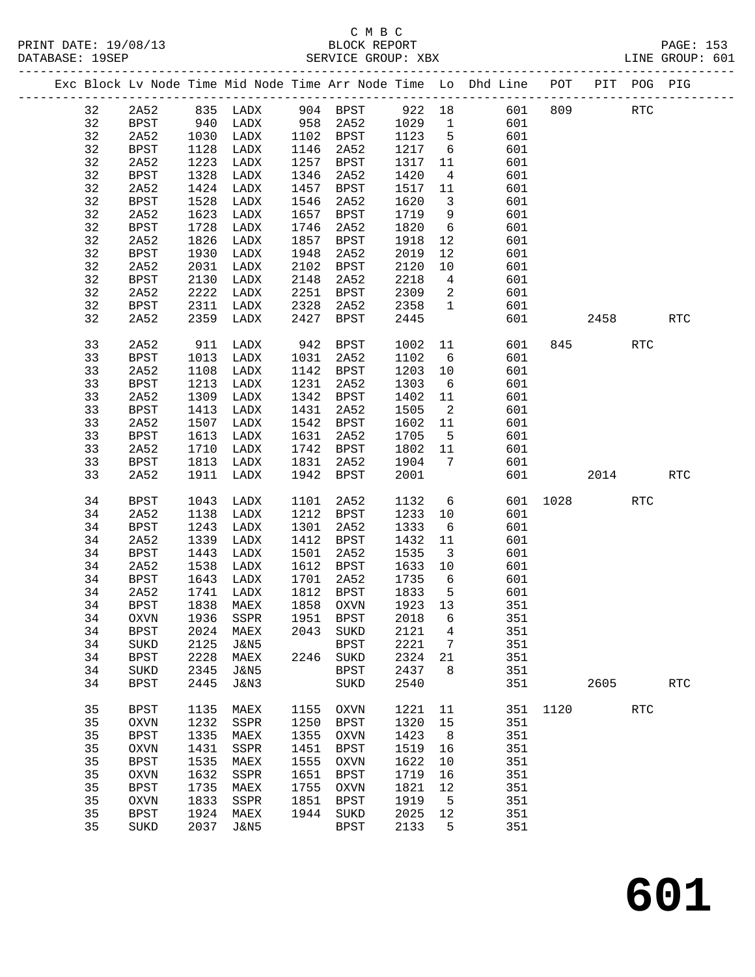|    |             |      |                                    |      |             |         |                         | Exc Block Lv Node Time Mid Node Time Arr Node Time Lo Dhd Line POT PIT POG PIG |         |              |                      |            |
|----|-------------|------|------------------------------------|------|-------------|---------|-------------------------|--------------------------------------------------------------------------------|---------|--------------|----------------------|------------|
| 32 | 2A52        |      |                                    |      |             |         |                         |                                                                                |         | <b>RTC</b>   |                      |            |
| 32 | <b>BPST</b> |      |                                    |      |             |         |                         |                                                                                |         |              |                      |            |
| 32 | 2A52        |      | 1030 LADX 1102 BPST                |      |             | 1123    | $5^{\circ}$             | 601                                                                            |         |              |                      |            |
| 32 | BPST        | 1128 | LADX                               |      | 1146 2A52   | 1217    | $6\overline{6}$         | 601                                                                            |         |              |                      |            |
| 32 | 2A52        | 1223 | LADX                               |      | 1257 BPST   | 1317    | 11                      | 601                                                                            |         |              |                      |            |
| 32 | BPST        | 1328 | LADX                               |      | 1346 2A52   | 1420    | $\overline{4}$          | 601                                                                            |         |              |                      |            |
| 32 | 2A52        | 1424 | LADX                               |      | 1457 BPST   | 1517    | 11                      | 601                                                                            |         |              |                      |            |
| 32 | <b>BPST</b> | 1528 | LADX                               |      | 1546 2A52   | 1620    | $\overline{\mathbf{3}}$ | 601                                                                            |         |              |                      |            |
| 32 | 2A52        | 1623 | LADX                               |      | 1657 BPST   | 1719    | 9                       | 601                                                                            |         |              |                      |            |
| 32 | BPST        | 1728 | LADX                               |      | 1746 2A52   | 1820    | $6\overline{6}$         | 601                                                                            |         |              |                      |            |
| 32 | 2A52        |      | 1826 LADX                          |      | 1857 BPST   | 1918    | 12                      | 601                                                                            |         |              |                      |            |
| 32 | <b>BPST</b> | 1930 | LADX                               | 1948 | 2A52        | 2019    | 12                      | 601                                                                            |         |              |                      |            |
| 32 | 2A52        | 2031 | LADX                               |      | 2102 BPST   | 2120    | 10                      | 601                                                                            |         |              |                      |            |
| 32 | <b>BPST</b> |      | 2130 LADX                          |      | 2148 2A52   | 2218    | $4\overline{4}$         | 601                                                                            |         |              |                      |            |
| 32 | 2A52        |      | 2222 LADX                          |      | 2251 BPST   | 2309    | $\overline{\mathbf{c}}$ | 601                                                                            |         |              |                      |            |
| 32 | BPST        | 2311 | LADX                               |      | 2328 2A52   | 2358    |                         | $\mathbf 1$<br>601                                                             |         |              |                      |            |
| 32 | 2A52        |      | 2359 LADX                          | 2427 | BPST        | 2445    |                         | 601                                                                            |         | 2458         |                      | RTC        |
|    |             |      |                                    |      |             |         |                         |                                                                                |         |              |                      |            |
| 33 | 2A52        |      | 911 LADX                           | 942  | BPST        | 1002    | 11                      | 601                                                                            |         | 845          | RTC                  |            |
| 33 | BPST        | 1013 | LADX                               |      | 1031 2A52   | 1102    | 6                       | 601                                                                            |         |              |                      |            |
| 33 | 2A52        | 1108 | LADX                               |      | 1142 BPST   | 1203    | 10                      | 601                                                                            |         |              |                      |            |
| 33 | <b>BPST</b> | 1213 | LADX                               |      | 1231 2A52   | 1303    | $6\overline{6}$         | 601                                                                            |         |              |                      |            |
| 33 | 2A52        |      | 1309 LADX                          |      | 1342 BPST   | 1402    | 11                      | 601                                                                            |         |              |                      |            |
| 33 | <b>BPST</b> | 1413 | LADX                               |      | 1431 2A52   | 1505    | $\overline{\mathbf{c}}$ | 601                                                                            |         |              |                      |            |
| 33 | 2A52        | 1507 | LADX                               |      | 1542 BPST   | 1602    | 11                      | 601                                                                            |         |              |                      |            |
| 33 | <b>BPST</b> | 1613 | LADX                               |      | 1631 2A52   | 1705    | $5^{\circ}$             | 601                                                                            |         |              |                      |            |
| 33 | 2A52        |      | 1710 LADX                          |      | 1742 BPST   | 1802    | 11                      | 601                                                                            |         |              |                      |            |
| 33 | <b>BPST</b> | 1813 | LADX                               |      | 1831 2A52   | 1904    | $\overline{7}$          | 601                                                                            |         |              |                      |            |
| 33 | 2A52        | 1911 | LADX                               |      | 1942 BPST   | 2001    |                         |                                                                                | 601 700 | 2014         |                      | RTC        |
|    |             |      |                                    |      |             |         |                         |                                                                                |         |              |                      |            |
| 34 | BPST        | 1043 | LADX                               | 1101 | 2A52        | 1132    |                         | $6\overline{6}$                                                                |         | 601 1028     | $\operatorname{RTC}$ |            |
| 34 | 2A52        | 1138 | LADX                               |      | 1212 BPST   | 1233    | 10                      | 601                                                                            |         |              |                      |            |
| 34 | <b>BPST</b> | 1243 | LADX                               |      | 1301 2A52   | 1333    | $6\overline{6}$         | 601                                                                            |         |              |                      |            |
| 34 | 2A52        | 1339 | LADX                               |      | 1412 BPST   | 1432    | 11                      | 601                                                                            |         |              |                      |            |
| 34 | BPST        |      | 1443 LADX                          |      | 1501 2A52   | 1535    | $\overline{\mathbf{3}}$ | 601                                                                            |         |              |                      |            |
| 34 | 2A52        | 1538 | LADX                               |      | 1612 BPST   | 1633    | 10                      | 601                                                                            |         |              |                      |            |
| 34 | BPST        | 1643 | LADX                               |      | 1701 2A52   | 1735    | $6\overline{6}$         | 601                                                                            |         |              |                      |            |
| 34 | 2A52        |      | 1741 LADX                          |      | 1812 BPST   | 1833    | $5^{\circ}$             | 601                                                                            |         |              |                      |            |
| 34 | BPST        |      | 1838 MAEX                          |      | 1858 OXVN   | 1923 13 |                         | 351                                                                            |         |              |                      |            |
|    |             |      | 34 OXVN 1936 SSPR 1951 BPST 2018 6 |      |             |         |                         | 351                                                                            |         |              |                      |            |
| 34 | BPST        | 2024 | MAEX                               |      | 2043 SUKD   | 2121    | $\overline{4}$          | 351                                                                            |         |              |                      |            |
| 34 | SUKD        | 2125 | J&N5                               |      | BPST        | 2221    | $\overline{7}$          | 351                                                                            |         |              |                      |            |
| 34 | <b>BPST</b> | 2228 | MAEX                               |      | 2246 SUKD   | 2324    | 21                      | 351                                                                            |         |              |                      |            |
| 34 | SUKD        | 2345 | J&N5                               |      | BPST        | 2437    | 8 <sup>8</sup>          | 351                                                                            |         |              |                      |            |
| 34 | <b>BPST</b> | 2445 | J&N3                               |      | SUKD        | 2540    |                         | 351                                                                            |         | 2605         |                      | <b>RTC</b> |
|    |             |      |                                    |      |             |         |                         |                                                                                |         |              |                      |            |
| 35 | <b>BPST</b> | 1135 | MAEX                               |      | 1155 OXVN   | 1221 11 |                         |                                                                                |         | 351 1120 RTC |                      |            |
| 35 | OXVN        | 1232 | SSPR                               | 1250 | BPST        | 1320    | 15                      | 351                                                                            |         |              |                      |            |
| 35 | <b>BPST</b> | 1335 | MAEX                               | 1355 | OXVN        | 1423    | 8 <sup>8</sup>          | 351                                                                            |         |              |                      |            |
| 35 | OXVN        | 1431 | SSPR                               | 1451 | <b>BPST</b> | 1519    | 16                      | 351                                                                            |         |              |                      |            |
| 35 | <b>BPST</b> | 1535 | MAEX                               | 1555 | OXVN        | 1622    | 10                      | 351                                                                            |         |              |                      |            |
| 35 | OXVN        | 1632 | SSPR                               | 1651 | BPST        | 1719    | 16                      | 351                                                                            |         |              |                      |            |
| 35 | <b>BPST</b> | 1735 | MAEX                               | 1755 | OXVN        | 1821    | 12                      | 351                                                                            |         |              |                      |            |
| 35 | <b>OXVN</b> | 1833 | SSPR                               | 1851 | BPST        | 1919    | $5^{\circ}$             | 351                                                                            |         |              |                      |            |
| 35 | <b>BPST</b> | 1924 | MAEX                               | 1944 | SUKD        | 2025    | 12                      | 351                                                                            |         |              |                      |            |
| 35 | SUKD        | 2037 | J&N5                               |      | <b>BPST</b> | 2133    | 5                       | 351                                                                            |         |              |                      |            |
|    |             |      |                                    |      |             |         |                         |                                                                                |         |              |                      |            |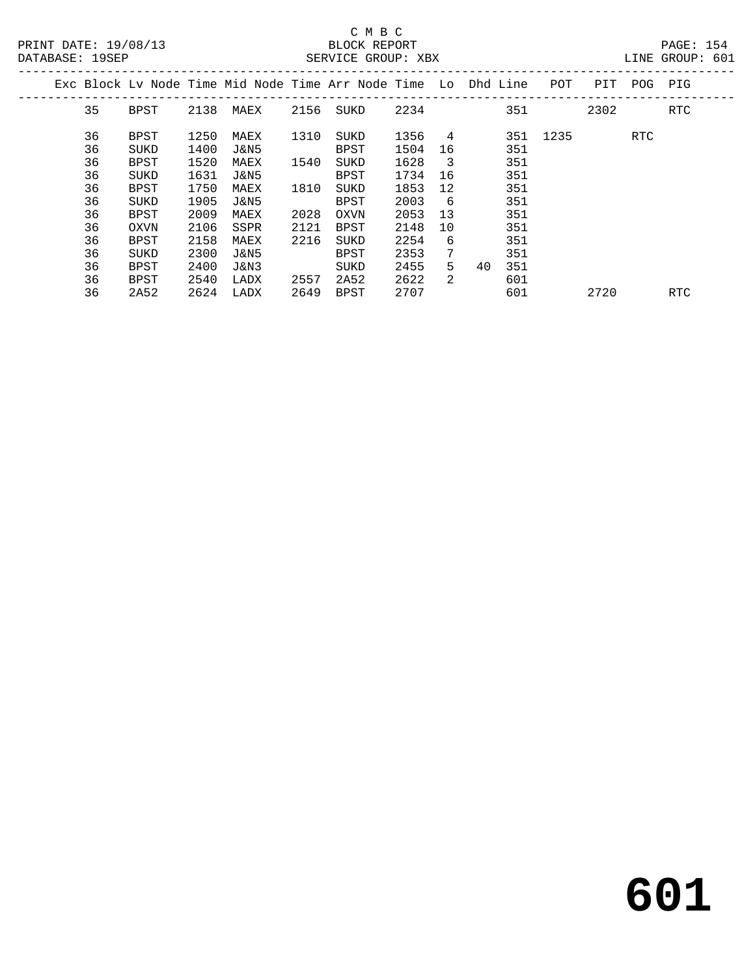| DAIADAOB · IJOBE |      |      |      |      | DENVICE GROUP. ADA                                                 |      |               |           |          |      |             | DIND QIVOUE . OUI |  |
|------------------|------|------|------|------|--------------------------------------------------------------------|------|---------------|-----------|----------|------|-------------|-------------------|--|
|                  |      |      |      |      | Exc Block Lv Node Time Mid Node Time Arr Node Time Lo Dhd Line POT |      |               |           |          |      | PIT POG PIG |                   |  |
| 35               | BPST | 2138 | MAEX |      | 2156 SUKD                                                          | 2234 |               | 351       |          | 2302 |             | RTC               |  |
| 36               | BPST | 1250 | MAEX | 1310 | SUKD                                                               | 1356 | 4             |           | 351 1235 |      | <b>RTC</b>  |                   |  |
| 36               | SUKD | 1400 | J&N5 |      | BPST                                                               | 1504 | 16            | 351       |          |      |             |                   |  |
| 36               | BPST | 1520 | MAEX | 1540 | SUKD                                                               | 1628 | - 3           | 351       |          |      |             |                   |  |
| 36               | SUKD | 1631 | J&N5 |      | BPST                                                               | 1734 | 16            | 351       |          |      |             |                   |  |
| 36               | BPST | 1750 | MAEX | 1810 | SUKD                                                               | 1853 | 12            | 351       |          |      |             |                   |  |
| 36               | SUKD | 1905 | J&N5 |      | BPST                                                               | 2003 | 6             | 351       |          |      |             |                   |  |
| 36               | BPST | 2009 | MAEX | 2028 | OXVN                                                               | 2053 | 13            | 351       |          |      |             |                   |  |
| 36               | OXVN | 2106 | SSPR | 2121 | BPST                                                               | 2148 | 10            | 351       |          |      |             |                   |  |
| 36               | BPST | 2158 | MAEX | 2216 | SUKD                                                               | 2254 | 6             | 351       |          |      |             |                   |  |
| 36               | SUKD | 2300 | J&N5 |      | BPST                                                               | 2353 | 7             | 351       |          |      |             |                   |  |
| 36               | BPST | 2400 | J&N3 |      | SUKD                                                               | 2455 | 5             | 40<br>351 |          |      |             |                   |  |
| 36               | BPST | 2540 | LADX | 2557 | 2A52                                                               | 2622 | $\mathcal{L}$ | 601       |          |      |             |                   |  |
| 36               | 2A52 | 2624 | LADX | 2649 | BPST                                                               | 2707 |               | 601       |          | 2720 |             | RTC               |  |
|                  |      |      |      |      |                                                                    |      |               |           |          |      |             |                   |  |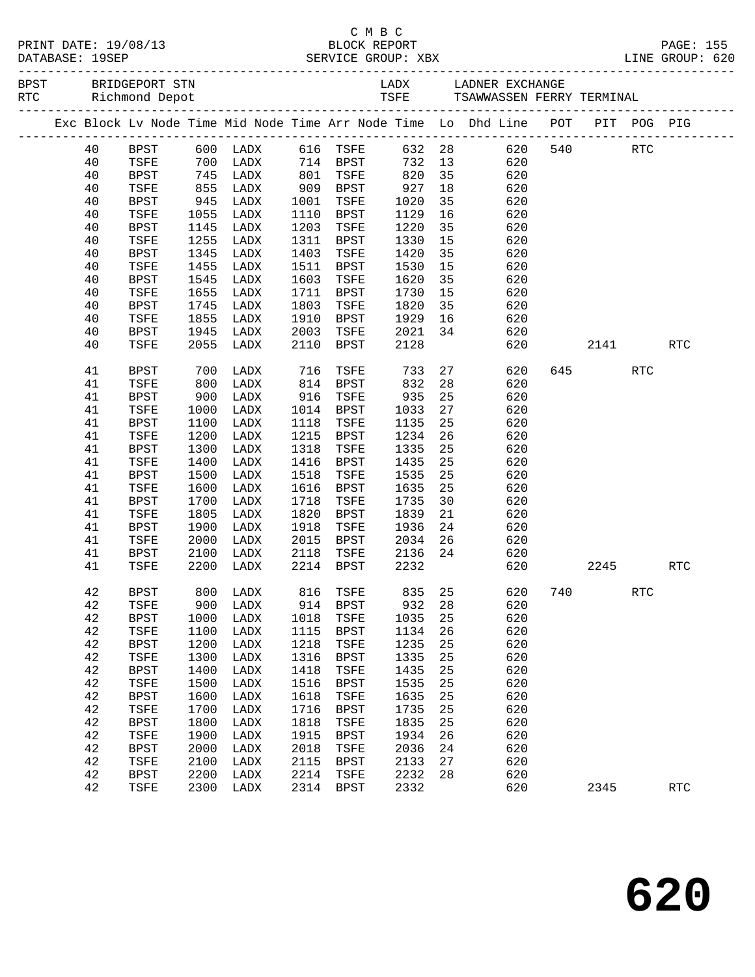|  |    |             |            |                   |      |             |             |    | Exc Block Lv Node Time Mid Node Time Arr Node Time Lo Dhd Line POT PIT POG PIG |      |            |            |  |
|--|----|-------------|------------|-------------------|------|-------------|-------------|----|--------------------------------------------------------------------------------|------|------------|------------|--|
|  | 40 | BPST        |            |                   |      |             |             |    | 600 LADX 616 TSFE 632 28 620 540 RTC                                           |      |            |            |  |
|  | 40 | TSFE        |            | 700 LADX 714 BPST |      |             |             |    | 732 13<br>620                                                                  |      |            |            |  |
|  | 40 | BPST        | 745        | LADX              |      | 801 TSFE    | 820 35      |    | 620                                                                            |      |            |            |  |
|  | 40 | TSFE        | 855<br>945 | LADX              |      | 909 BPST    | 927<br>1020 | 18 | 620                                                                            |      |            |            |  |
|  | 40 | BPST        |            | LADX              | 1001 | TSFE        | 1020        | 35 | 620                                                                            |      |            |            |  |
|  | 40 | TSFE        | 1055       | LADX              | 1110 | BPST        | 1129        | 16 | 620                                                                            |      |            |            |  |
|  | 40 | BPST        | 1145       | LADX              | 1203 | TSFE        | 1220        | 35 | 620                                                                            |      |            |            |  |
|  | 40 | TSFE        | 1255       | LADX              | 1311 | BPST        | 1330        | 15 | 620                                                                            |      |            |            |  |
|  | 40 | BPST        | 1345       | LADX              | 1403 | TSFE        | 1420        | 35 | 620                                                                            |      |            |            |  |
|  | 40 | TSFE        | 1455       | LADX              | 1511 | BPST        | 1530        | 15 | 620                                                                            |      |            |            |  |
|  | 40 | BPST        | 1545       | LADX              | 1603 | TSFE        | 1620        | 35 | 620                                                                            |      |            |            |  |
|  | 40 | TSFE        | 1655       | LADX              | 1711 | BPST        | 1730        | 15 | 620                                                                            |      |            |            |  |
|  | 40 | BPST        | 1745       | LADX              | 1803 | TSFE        | 1820        | 35 | 620                                                                            |      |            |            |  |
|  | 40 | TSFE        | 1855       | LADX              | 1910 | BPST        | 1929        | 16 | 620                                                                            |      |            |            |  |
|  | 40 | BPST        | 1945       | LADX              | 2003 | TSFE        | 2021        | 34 | 620                                                                            |      |            |            |  |
|  | 40 | TSFE        | 2055       | LADX              | 2110 | BPST        | 2128        |    | 620                                                                            | 2141 |            | <b>RTC</b> |  |
|  | 41 | BPST        | 700        | LADX              | 716  | TSFE        | 733         |    | 27 8<br>620                                                                    | 645  | <b>RTC</b> |            |  |
|  | 41 | TSFE        | 800        | LADX              |      | 814 BPST    | 832         | 28 | 620                                                                            |      |            |            |  |
|  | 41 | BPST        | 900        | LADX              | 916  | TSFE        | 935         | 25 | 620                                                                            |      |            |            |  |
|  | 41 | TSFE        | 1000       | LADX              | 1014 | BPST        | 1033        | 27 | 620                                                                            |      |            |            |  |
|  | 41 | BPST        | 1100       | LADX              | 1118 | TSFE        | 1135        | 25 | 620                                                                            |      |            |            |  |
|  | 41 | TSFE        | 1200       | LADX              | 1215 | BPST        | 1234        | 26 | 620                                                                            |      |            |            |  |
|  | 41 | <b>BPST</b> | 1300       | LADX              | 1318 | TSFE        | 1335        | 25 | 620                                                                            |      |            |            |  |
|  | 41 | TSFE        | 1400       | LADX              | 1416 | BPST        | 1435        | 25 | 620                                                                            |      |            |            |  |
|  | 41 | BPST        | 1500       | LADX              | 1518 | TSFE        | 1535        | 25 | 620                                                                            |      |            |            |  |
|  | 41 | TSFE        | 1600       | LADX              | 1616 | BPST        | 1635        | 25 | 620                                                                            |      |            |            |  |
|  | 41 | BPST        | 1700       | LADX              | 1718 | TSFE        | 1735        | 30 | 620                                                                            |      |            |            |  |
|  | 41 | TSFE        | 1805       | LADX              | 1820 | BPST        | 1839        | 21 | 620                                                                            |      |            |            |  |
|  | 41 | BPST        | 1900       | LADX              | 1918 | TSFE        | 1936        | 24 | 620                                                                            |      |            |            |  |
|  | 41 | TSFE        | 2000       | LADX              | 2015 | <b>BPST</b> | 2034        | 26 | 620                                                                            |      |            |            |  |
|  | 41 | BPST        | 2100       | LADX              | 2118 | TSFE        | 2136        | 24 | 620                                                                            |      |            |            |  |
|  | 41 | TSFE        | 2200       | LADX              |      | 2214 BPST   | 2232        |    | 620                                                                            | 2245 |            | <b>RTC</b> |  |
|  | 42 | BPST        |            |                   |      |             |             |    | 800 LADX 816 TSFE 835 25 620 740                                               |      | RTC        |            |  |
|  | 42 | TSFE        | 900        | LADX              | 914  | BPST        | 932         | 28 | 620                                                                            |      |            |            |  |
|  | 42 | <b>BPST</b> | 1000       | LADX              | 1018 | TSFE        | 1035        | 25 | 620                                                                            |      |            |            |  |
|  | 42 | TSFE        | 1100       | LADX              | 1115 | <b>BPST</b> | 1134        | 26 | 620                                                                            |      |            |            |  |
|  | 42 | <b>BPST</b> | 1200       | LADX              | 1218 | TSFE        | 1235        | 25 | 620                                                                            |      |            |            |  |
|  | 42 | TSFE        | 1300       | LADX              | 1316 | <b>BPST</b> | 1335        | 25 | 620                                                                            |      |            |            |  |
|  | 42 | <b>BPST</b> | 1400       | LADX              | 1418 | TSFE        | 1435        | 25 | 620                                                                            |      |            |            |  |
|  | 42 | TSFE        | 1500       | LADX              | 1516 | <b>BPST</b> | 1535        | 25 | 620                                                                            |      |            |            |  |
|  | 42 | <b>BPST</b> | 1600       | LADX              | 1618 | TSFE        | 1635        | 25 | 620                                                                            |      |            |            |  |
|  | 42 | TSFE        | 1700       | LADX              | 1716 | <b>BPST</b> | 1735        | 25 | 620                                                                            |      |            |            |  |
|  | 42 | <b>BPST</b> | 1800       | LADX              | 1818 | TSFE        | 1835        | 25 | 620                                                                            |      |            |            |  |
|  | 42 | TSFE        | 1900       | LADX              | 1915 | <b>BPST</b> | 1934        | 26 | 620                                                                            |      |            |            |  |
|  | 42 | <b>BPST</b> | 2000       | LADX              | 2018 | TSFE        | 2036        | 24 | 620                                                                            |      |            |            |  |
|  | 42 | TSFE        | 2100       | LADX              | 2115 | <b>BPST</b> | 2133        | 27 | 620                                                                            |      |            |            |  |
|  | 42 | <b>BPST</b> | 2200       | LADX              | 2214 | TSFE        | 2232        | 28 | 620                                                                            |      |            |            |  |
|  | 42 | TSFE        | 2300       | LADX              | 2314 | BPST        | 2332        |    | 620                                                                            | 2345 |            | <b>RTC</b> |  |

C M B C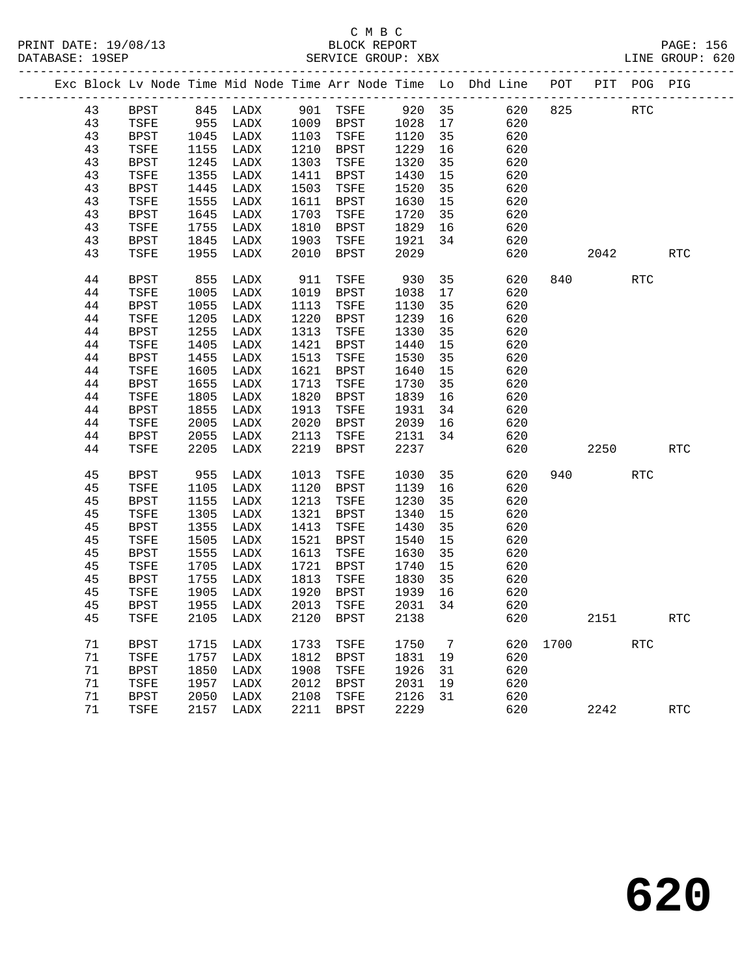PRINT DATE: 19/08/13 BLOCK REPORT PAGE: 156 DATABASE: 19SEP

# C M B C<br>BLOCK REPORT

|  | DAIABASE · 1955P |             |      |                   |      | PERATCE GKOOL. YRY         |         |                 |                                                                    |      |          |             | TIME GKOOR. 070 |
|--|------------------|-------------|------|-------------------|------|----------------------------|---------|-----------------|--------------------------------------------------------------------|------|----------|-------------|-----------------|
|  |                  |             |      |                   |      |                            |         |                 | Exc Block Lv Node Time Mid Node Time Arr Node Time Lo Dhd Line POT |      |          | PIT POG PIG |                 |
|  | 43               | BPST        |      | 845 LADX 901 TSFE |      |                            | 920     | 35              | 620                                                                | 825  |          | <b>RTC</b>  |                 |
|  | 43               | TSFE        |      |                   |      | 955 LADX 1009 BPST 1028 17 |         |                 | 620                                                                |      |          |             |                 |
|  | 43               | BPST        | 1045 | LADX              |      | 1103 TSFE                  | 1120    | 35              | 620                                                                |      |          |             |                 |
|  | 43               | TSFE        | 1155 | LADX              |      | 1210 BPST                  | 1229    | 16              | 620                                                                |      |          |             |                 |
|  | 43               | BPST        | 1245 | LADX              |      | 1303 TSFE                  | 1320    | 35              | 620                                                                |      |          |             |                 |
|  | 43               | TSFE        | 1355 | LADX              |      | 1411 BPST                  | 1430    | 15              | 620                                                                |      |          |             |                 |
|  | 43               | BPST        | 1445 | LADX              |      | 1503 TSFE                  | 1520    | 35              | 620                                                                |      |          |             |                 |
|  | 43               | TSFE        | 1555 | LADX              | 1611 | BPST                       | 1630    | 15              | 620                                                                |      |          |             |                 |
|  | 43               | <b>BPST</b> | 1645 | LADX              | 1703 | TSFE                       | 1720    | 35              | 620                                                                |      |          |             |                 |
|  | 43               | TSFE        | 1755 | LADX              |      | 1810 BPST                  | 1829    | 16              | 620                                                                |      |          |             |                 |
|  | 43               | <b>BPST</b> | 1845 | LADX              | 1903 | TSFE                       | 1921    | 34              | 620                                                                |      |          |             |                 |
|  | 43               | TSFE        | 1955 | LADX              | 2010 | BPST                       | 2029    |                 | 620                                                                |      | 2042     |             | RTC             |
|  | 44               | <b>BPST</b> | 855  | LADX              | 911  | TSFE                       | 930     | 35              | 620                                                                |      |          | <b>RTC</b>  |                 |
|  | 44               | TSFE        | 1005 | LADX              |      | 1019 BPST                  | 1038    | 17              | 620                                                                |      |          |             |                 |
|  | 44               | <b>BPST</b> | 1055 | LADX              | 1113 | <b>TSFE</b>                | 1130    | 35              | 620                                                                |      |          |             |                 |
|  | 44               | TSFE        | 1205 | LADX              |      | 1220 BPST                  | 1239    | 16              | 620                                                                |      |          |             |                 |
|  | 44               | <b>BPST</b> | 1255 | LADX              | 1313 | TSFE                       | 1330    | 35              | 620                                                                |      |          |             |                 |
|  | 44               | TSFE        | 1405 | LADX              | 1421 | BPST                       | 1440    | 15              | 620                                                                |      |          |             |                 |
|  | 44               | BPST        | 1455 | LADX              | 1513 | TSFE                       | 1530    | 35              | 620                                                                |      |          |             |                 |
|  | 44               | TSFE        | 1605 | LADX              | 1621 | BPST                       | 1640    | 15              | 620                                                                |      |          |             |                 |
|  | 44               | BPST        | 1655 | LADX              | 1713 | TSFE                       | 1730    | 35              | 620                                                                |      |          |             |                 |
|  | 44               | TSFE        | 1805 | LADX              | 1820 | BPST                       | 1839    | 16              | 620                                                                |      |          |             |                 |
|  | 44               | BPST        | 1855 | LADX              | 1913 | TSFE                       | 1931    | 34              | 620                                                                |      |          |             |                 |
|  | 44               | TSFE        | 2005 | LADX              | 2020 | BPST                       | 2039    | 16              | 620                                                                |      |          |             |                 |
|  | 44               | <b>BPST</b> | 2055 | LADX              | 2113 | TSFE                       | 2131    | 34              | 620                                                                |      |          |             |                 |
|  | 44               | TSFE        | 2205 | LADX              | 2219 | <b>BPST</b>                | 2237    |                 | 620                                                                |      | 2250     |             | <b>RTC</b>      |
|  | 45               | <b>BPST</b> | 955  | LADX              | 1013 | TSFE                       | 1030    | 35              | 620                                                                |      | 940 — 10 | <b>RTC</b>  |                 |
|  | 45               | TSFE        | 1105 | LADX              |      | 1120 BPST                  | 1139    | 16              | 620                                                                |      |          |             |                 |
|  | 45               | BPST        | 1155 | LADX              | 1213 | TSFE                       | 1230    | 35              | 620                                                                |      |          |             |                 |
|  | 45               | TSFE        | 1305 | LADX              | 1321 | BPST                       | 1340    | 15              | 620                                                                |      |          |             |                 |
|  | 45               | BPST        | 1355 | LADX              | 1413 | TSFE                       | 1430    | 35              | 620                                                                |      |          |             |                 |
|  | 45               | TSFE        | 1505 | LADX              | 1521 | BPST                       | 1540    | 15              | 620                                                                |      |          |             |                 |
|  | 45               | <b>BPST</b> | 1555 | LADX              | 1613 | TSFE                       | 1630    | 35              | 620                                                                |      |          |             |                 |
|  | 45               | TSFE        | 1705 | LADX              | 1721 | BPST                       | 1740    | 15              | 620                                                                |      |          |             |                 |
|  | 45               | <b>BPST</b> | 1755 | LADX              | 1813 | TSFE                       | 1830    | 35              | 620                                                                |      |          |             |                 |
|  | 45               | TSFE        | 1905 | LADX              | 1920 | BPST                       | 1939    | 16              | 620                                                                |      |          |             |                 |
|  | 45               | <b>BPST</b> | 1955 | LADX              | 2013 | TSFE                       | 2031    | 34              | 620                                                                |      |          |             |                 |
|  | 45               | TSFE        | 2105 | LADX              | 2120 | BPST                       | 2138    |                 | 620                                                                |      | 2151     |             | <b>RTC</b>      |
|  | 71               | BPST        | 1715 | LADX              | 1733 | TSFE                       | 1750    | $7\overline{ }$ | 620                                                                | 1700 |          | <b>RTC</b>  |                 |
|  | 71               | TSFE        | 1757 | LADX              |      | 1812 BPST                  | 1831 19 |                 | 620                                                                |      |          |             |                 |
|  | 71               | <b>BPST</b> |      | 1850 LADX         |      | 1908 TSFE                  | 1926    | 31              | 620                                                                |      |          |             |                 |
|  |                  |             |      |                   |      |                            |         |                 |                                                                    |      |          |             |                 |

 71 TSFE 1957 LADX 2012 BPST 2031 19 620 71 BPST 2050 LADX 2108 TSFE 2126 31 620

71 TSFE 2157 LADX 2211 BPST 2229 620 2242 RTC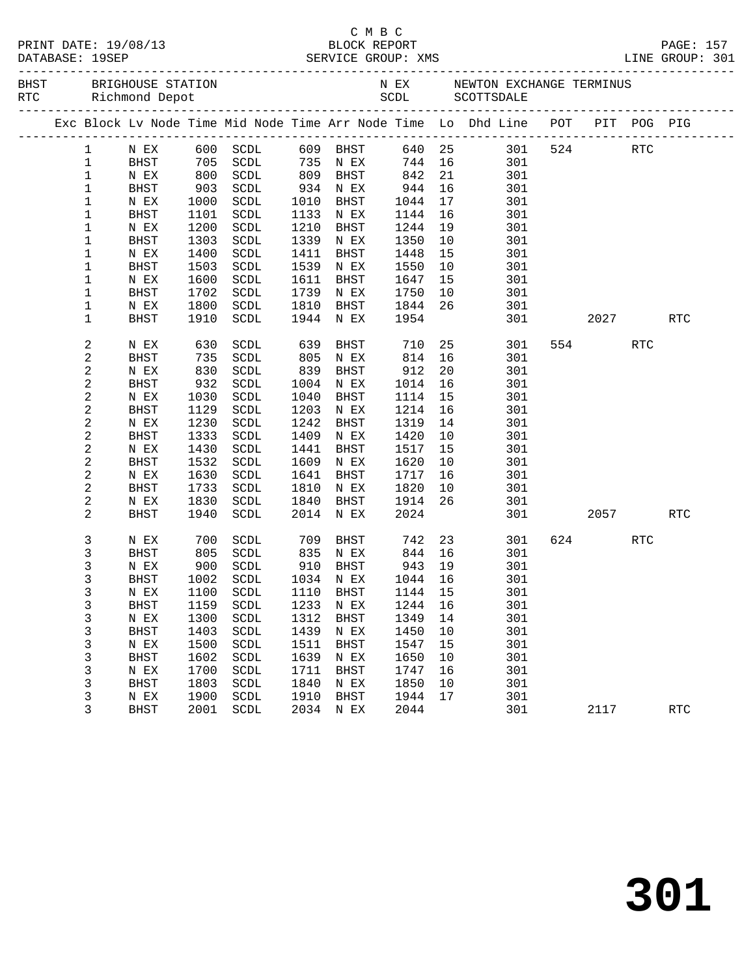|                |                     |                                            |                                  |              |                     |                     |          |                                                                                |        |            | PAGE: 157<br>LINE GROUP: 301 |
|----------------|---------------------|--------------------------------------------|----------------------------------|--------------|---------------------|---------------------|----------|--------------------------------------------------------------------------------|--------|------------|------------------------------|
|                |                     |                                            |                                  |              |                     |                     |          | N EX     NEWTON EXCHANGE TERMINUS<br>SCDL     SCOTTSDALE                       |        |            |                              |
|                |                     |                                            |                                  |              |                     |                     |          | Exc Block Lv Node Time Mid Node Time Arr Node Time Lo Dhd Line POT PIT POG PIG |        |            |                              |
| $\mathbf{1}$   | N EX                |                                            | 600 SCDL                         |              | 609 BHST            |                     |          | 640 25 301 524 RTC                                                             |        |            |                              |
| $\mathbf 1$    | BHST                | 705                                        | SCDL                             |              | 735 N EX            | 744 16              |          | 301                                                                            |        |            |                              |
| $\mathbf 1$    | N EX                | 800                                        | SCDL                             |              | 809 BHST            | 842                 | 21       | 301                                                                            |        |            |                              |
| $\mathbf{1}$   | BHST                | $\begin{array}{c} 903 \\ 1000 \end{array}$ | SCDL                             |              | 934 N EX            | 944                 | 16       | 301                                                                            |        |            |                              |
| $\mathbf 1$    | N EX                | 1000                                       | SCDL                             | 1010         | BHST                | 1044                | 17       | 301                                                                            |        |            |                              |
| $\mathbf 1$    | BHST                | 1101                                       | SCDL                             | 1133         | N EX                | 1144                | 16       | 301                                                                            |        |            |                              |
| $\mathbf 1$    | N EX                | 1200                                       | SCDL                             | 1210         | BHST                | 1244                | 19       | 301                                                                            |        |            |                              |
| 1              | BHST                | 1303                                       | SCDL                             | 1339         | N EX                | 1350                | 10       | 301                                                                            |        |            |                              |
| $\mathbf 1$    | N EX                | 1400                                       | SCDL                             | 1411         | BHST                | 1448                | 15       | 301                                                                            |        |            |                              |
| 1              | BHST                | 1503                                       | SCDL                             | 1539         | N EX                | 1550                | 10       | 301                                                                            |        |            |                              |
| $\mathbf 1$    | N EX                | 1600                                       | SCDL                             | 1611         | BHST                | 1647                | 15       | 301                                                                            |        |            |                              |
| 1              | BHST                | 1702                                       | SCDL                             | 1739         | N EX                | 1750                | 10       | 301                                                                            |        |            |                              |
| $\mathbf 1$    | N EX                | 1800                                       | SCDL                             | 1810         | BHST                | 1844                | 26       | 301                                                                            |        |            |                              |
| 1              | BHST                | 1910                                       | SCDL                             | 1944         | N EX                | 1954                |          | 301                                                                            | 2027   |            | <b>RTC</b>                   |
| 2              | N EX                | 630                                        | SCDL                             | 639          | BHST                | 710                 | 25       | 301                                                                            | 554    | <b>RTC</b> |                              |
| 2              | BHST                | 735                                        | SCDL                             | 805          | N EX                | 814                 | 16       | 301                                                                            |        |            |                              |
| 2              | N EX                | 830                                        | SCDL                             | 839          | <b>BHST</b>         | 912                 | 20       | 301                                                                            |        |            |                              |
| $\overline{c}$ | <b>BHST</b>         | 932                                        | SCDL                             | 1004         | N EX                | 1014                | 16       | 301                                                                            |        |            |                              |
| 2              | N EX                | 1030                                       | SCDL                             | 1040         | BHST                | 1114                | 15       | 301                                                                            |        |            |                              |
| $\overline{c}$ | BHST                | 1129                                       | SCDL                             | 1203         | N EX                | 1214                | 16       | 301                                                                            |        |            |                              |
| 2              | N EX                | 1230                                       | SCDL                             | 1242         | BHST                | 1319                | 14       | 301                                                                            |        |            |                              |
| $\overline{c}$ | BHST                | 1333                                       | SCDL                             | 1409         | N EX                | 1420                | 10       | 301                                                                            |        |            |                              |
| 2              | N EX                | 1430                                       | SCDL                             | 1441         | BHST                | 1517                | 15       | 301                                                                            |        |            |                              |
| $\overline{c}$ | BHST                | 1532                                       | SCDL                             | 1609         | N EX                | 1620                | 10       | 301                                                                            |        |            |                              |
| $\sqrt{2}$     | N EX                | 1630                                       | SCDL                             | 1641         | BHST                | 1717                | 16       | 301                                                                            |        |            |                              |
| $\overline{c}$ | BHST                | 1733                                       | SCDL                             | 1810         | N EX                | 1820                | 10       | 301                                                                            |        |            |                              |
| 2<br>2         | N EX<br>BHST        | 1830<br>1940                               | SCDL<br>SCDL                     | 1840<br>2014 | BHST<br>N EX        | 1914<br>2024        | 26       | 301<br>301                                                                     | 2057   |            | <b>RTC</b>                   |
|                |                     |                                            |                                  |              |                     |                     |          |                                                                                |        |            |                              |
| 3              | N EX                | 700                                        | SCDL                             |              | 709 BHST            | 742                 | 23       | 301                                                                            | 624 62 | <b>RTC</b> |                              |
| 3              | BHST                | 805                                        | SCDL                             |              | 835 N EX            | 844<br>$044$<br>943 | 16       | 301                                                                            |        |            |                              |
| 3              | N EX                | 900                                        | SCDL                             |              | 910 BHST            |                     | 19       | 301                                                                            |        |            |                              |
| 3              | <b>BHST</b>         | 1002                                       | SCDL                             |              | 1034 N EX           | 1044 16             |          | 301                                                                            |        |            |                              |
|                |                     | 1159                                       | N EX 1100 SCDL 1110 BHST 1144 15 |              |                     |                     |          | 301                                                                            |        |            |                              |
| 3              | <b>BHST</b>         | 1300                                       | SCDL                             | 1233<br>1312 | N EX                | 1244                | 16       | 301<br>301                                                                     |        |            |                              |
| 3              | N EX<br><b>BHST</b> | 1403                                       | SCDL                             | 1439         | <b>BHST</b>         | 1349<br>1450        | 14       | 301                                                                            |        |            |                              |
| 3              |                     |                                            | SCDL                             | 1511         | N EX                | 1547                | 10       | 301                                                                            |        |            |                              |
| 3<br>3         | N EX<br><b>BHST</b> | 1500<br>1602                               | SCDL<br>SCDL                     | 1639         | <b>BHST</b><br>N EX | 1650                | 15<br>10 | 301                                                                            |        |            |                              |
| 3              | N EX                | 1700                                       | SCDL                             | 1711         | <b>BHST</b>         | 1747                | 16       | 301                                                                            |        |            |                              |
| 3              | <b>BHST</b>         | 1803                                       | SCDL                             | 1840         | N EX                | 1850                | 10       | 301                                                                            |        |            |                              |
| 3              | N EX                | 1900                                       | SCDL                             | 1910         | <b>BHST</b>         | 1944                | 17       | 301                                                                            |        |            |                              |
| 3              | BHST                | 2001                                       | SCDL                             | 2034         | N EX                | 2044                |          | 301                                                                            | 2117   |            | <b>RTC</b>                   |
|                |                     |                                            |                                  |              |                     |                     |          |                                                                                |        |            |                              |

C M B C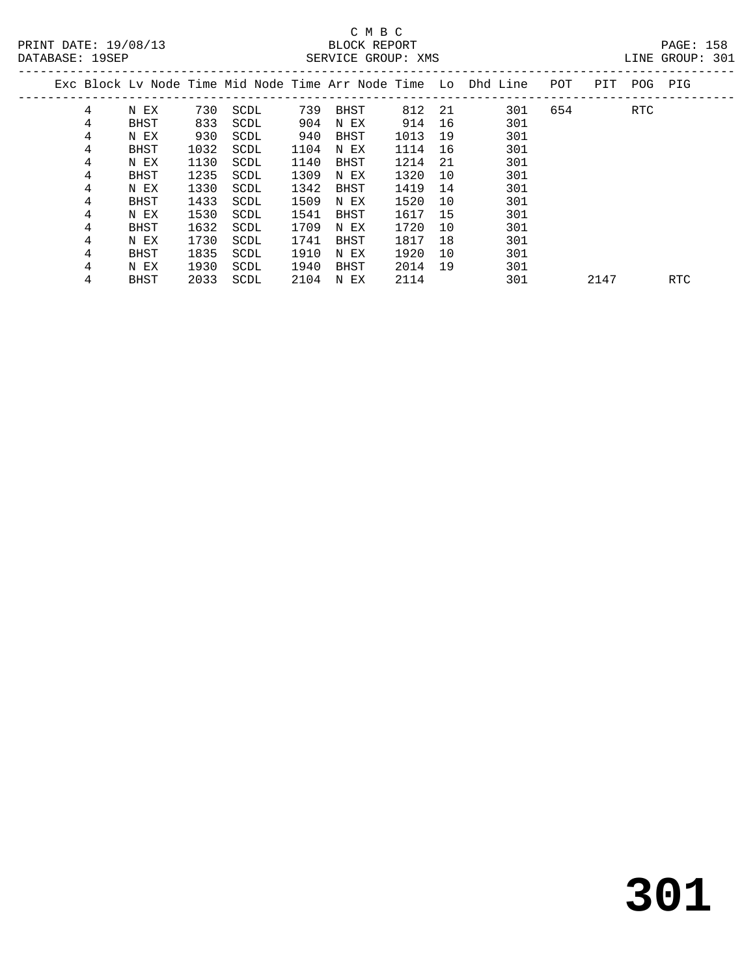# C M B C<br>BLOCK REPORT

DATABASE: 19SEP SERVICE GROUP: XMS LINE GROUP: 301

|  | DAIADAQU . 17081 |      |      |      |      | DERVICE CROOL · ATHO |        |     |                                                                    |     |             | ALIAN OTOOT .<br>- 707 |
|--|------------------|------|------|------|------|----------------------|--------|-----|--------------------------------------------------------------------|-----|-------------|------------------------|
|  |                  |      |      |      |      |                      |        |     | Exc Block Ly Node Time Mid Node Time Arr Node Time Lo Dhd Line POT |     | PIT POG PIG |                        |
|  | 4                | N EX | 730  | SCDL | 739  | BHST                 | 812 21 |     | 301                                                                | 654 | RTC         |                        |
|  | 4                | BHST | 833  | SCDL | 904  | N EX                 | 914    | 16  | 301                                                                |     |             |                        |
|  | 4                | N EX | 930  | SCDL | 940  | BHST                 | 1013   | 19  | 301                                                                |     |             |                        |
|  | 4                | BHST | 1032 | SCDL | 1104 | N EX                 | 1114   | 16  | 301                                                                |     |             |                        |
|  | 4                | N EX | 1130 | SCDL | 1140 | BHST                 | 1214   | -21 | 301                                                                |     |             |                        |
|  | 4                | BHST | 1235 | SCDL | 1309 | N EX                 | 1320   | 10  | 301                                                                |     |             |                        |
|  | 4                | N EX | 1330 | SCDL | 1342 | BHST                 | 1419   | 14  | 301                                                                |     |             |                        |
|  | 4                | BHST | 1433 | SCDL | 1509 | N EX                 | 1520   | 10  | 301                                                                |     |             |                        |
|  | 4                | N EX | 1530 | SCDL | 1541 | BHST                 | 1617   | 15  | 301                                                                |     |             |                        |
|  | 4                | BHST | 1632 | SCDL | 1709 | N EX                 | 1720   | 10  | 301                                                                |     |             |                        |
|  | 4                | N EX | 1730 | SCDL | 1741 | BHST                 | 1817   | 18  | 301                                                                |     |             |                        |
|  | 4                | BHST | 1835 | SCDL | 1910 | N EX                 | 1920   | 10  | 301                                                                |     |             |                        |
|  |                  |      |      |      |      |                      |        |     |                                                                    |     |             |                        |

4 BHST 2033 SCDL 2104 N EX 2114 301 2147 RTC

4 N EX 1930 SCDL 1940 BHST 2014 19 301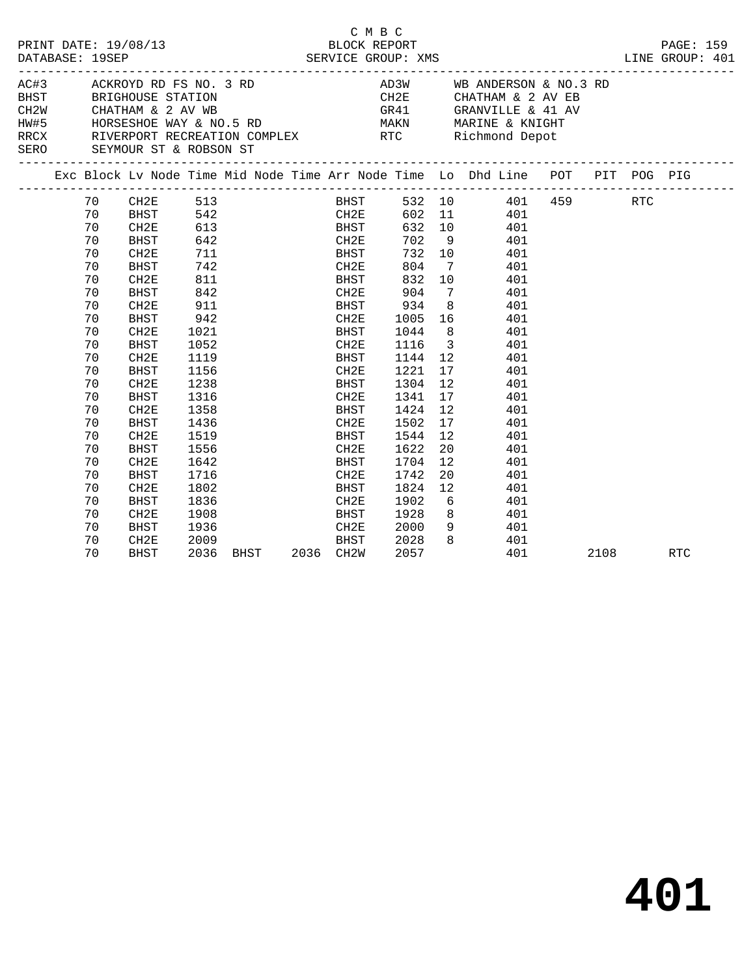|      | DATABASE: 19SEP                                                                                                                                    | PRINT DATE: 19/08/13                                                                                                                                                                                                                                                                                    |                                                                                                                                                                               |                        |             |                                                                                                                                                                                                          | C M B C<br>BLOCK REPORT<br>SERVICE GROUP: XMS                                                                                                                                                   |                                                                                                                                               |                                                                                                                                                                                                                                                                                       |  |      | PAGE: 159<br>LINE GROUP: 401 |
|------|----------------------------------------------------------------------------------------------------------------------------------------------------|---------------------------------------------------------------------------------------------------------------------------------------------------------------------------------------------------------------------------------------------------------------------------------------------------------|-------------------------------------------------------------------------------------------------------------------------------------------------------------------------------|------------------------|-------------|----------------------------------------------------------------------------------------------------------------------------------------------------------------------------------------------------------|-------------------------------------------------------------------------------------------------------------------------------------------------------------------------------------------------|-----------------------------------------------------------------------------------------------------------------------------------------------|---------------------------------------------------------------------------------------------------------------------------------------------------------------------------------------------------------------------------------------------------------------------------------------|--|------|------------------------------|
| AC#3 |                                                                                                                                                    | ACKROYD RD FS NO. 3 RD<br>BHST BRIGHOUSE STATION<br>SERO SEYMOUR ST & ROBSON ST<br>____________________________________                                                                                                                                                                                 |                                                                                                                                                                               |                        |             |                                                                                                                                                                                                          |                                                                                                                                                                                                 |                                                                                                                                               | AD3W WB ANDERSON & NO.3 RD<br>CH2E CHATHAM & 2 AV EB<br>CHARTHAM & 2 AV WB GR41 GRANVILLE & 41 AV GRANVILLE & 41 AV GRANVILLE & 41 AV GRANVILLE & 41 AV GRANVILLE & 41 AV GRANVILLE & 41 AV GRANVILLE & 41 AV GRANVILLE & 41 AV GRANVILLE & 41 AV GRANVILLE & 41 AV GRANVILLE & 41 AV |  |      |                              |
|      |                                                                                                                                                    |                                                                                                                                                                                                                                                                                                         |                                                                                                                                                                               |                        |             |                                                                                                                                                                                                          |                                                                                                                                                                                                 |                                                                                                                                               | Exc Block Lv Node Time Mid Node Time Arr Node Time Lo Dhd Line POT PIT POG PIG                                                                                                                                                                                                        |  |      |                              |
|      | 70<br>70<br>70<br>70<br>70<br>70<br>70<br>70<br>70<br>70<br>70<br>70<br>70<br>70<br>70<br>70<br>70<br>70<br>70<br>70<br>70<br>70<br>70<br>70<br>70 | 70 CH2E 513<br><b>BHST</b><br>CH2E<br>BHST<br>CH2E<br><b>BHST</b><br>CH2E<br><b>BHST</b><br>CH2E<br><b>BHST</b><br>CH2E<br><b>BHST</b><br>CH2E<br><b>BHST</b><br>CH2E<br><b>BHST</b><br>CH2E<br><b>BHST</b><br>CH2E<br><b>BHST</b><br>CH2E<br><b>BHST</b><br>CH2E<br><b>BHST</b><br>CH2E<br><b>BHST</b> | 642<br>711<br>742<br>811<br>842<br>911<br>942<br>1021<br>1052<br>1119<br>1156<br>1238<br>1316<br>1358<br>1436<br>1519<br>1556<br>1642<br>1716<br>1802<br>1836<br>1908<br>1936 | $542$ CH2E<br>613 BHST | <b>BHST</b> | BHST<br>CH2E<br>BHST<br>BHST<br>CH <sub>2E</sub><br>CH2E<br>BHST<br>CH2E<br>BHST<br>CH2E<br>BHST<br>CH2E<br>BHST<br>CH2E<br>BHST<br>CH2E<br>BHST<br>CH2E<br>BHST<br>CH2E<br>BHST<br>CH2E<br>BHST<br>CH2E | 602<br>632<br>702<br>732 10<br>804<br>832<br>904<br>934<br>1005<br>1044<br>1116<br>1144<br>1221<br>1304<br>1341<br>1424<br>1502<br>1544<br>1622<br>1704<br>1742<br>1824<br>1902<br>1928<br>2000 | $\overline{7}$<br>10<br>$7\overline{ }$<br>8 <sup>8</sup><br>12<br>17<br>12<br>17<br>12<br>17<br>12<br>20 <sub>o</sub><br>12<br>20<br>12<br>6 | 532 10 401 459 RTC<br>11 401<br>10 401<br>9<br>401<br>401<br>401<br>401<br>401<br>8<br>401<br>16<br>401<br>401<br>3 401<br>401<br>401<br>401<br>401<br>401<br>401<br>401<br>401<br>401<br>401<br>401<br>401<br>8<br>401<br>9<br>401                                                   |  |      |                              |
|      | 70<br>70                                                                                                                                           | CH2E<br><b>BHST</b>                                                                                                                                                                                                                                                                                     | 2009                                                                                                                                                                          | 2036 BHST 2036 CH2W    |             | BHST                                                                                                                                                                                                     | 2028<br>2057                                                                                                                                                                                    | 8                                                                                                                                             | 401<br>401                                                                                                                                                                                                                                                                            |  | 2108 | RTC                          |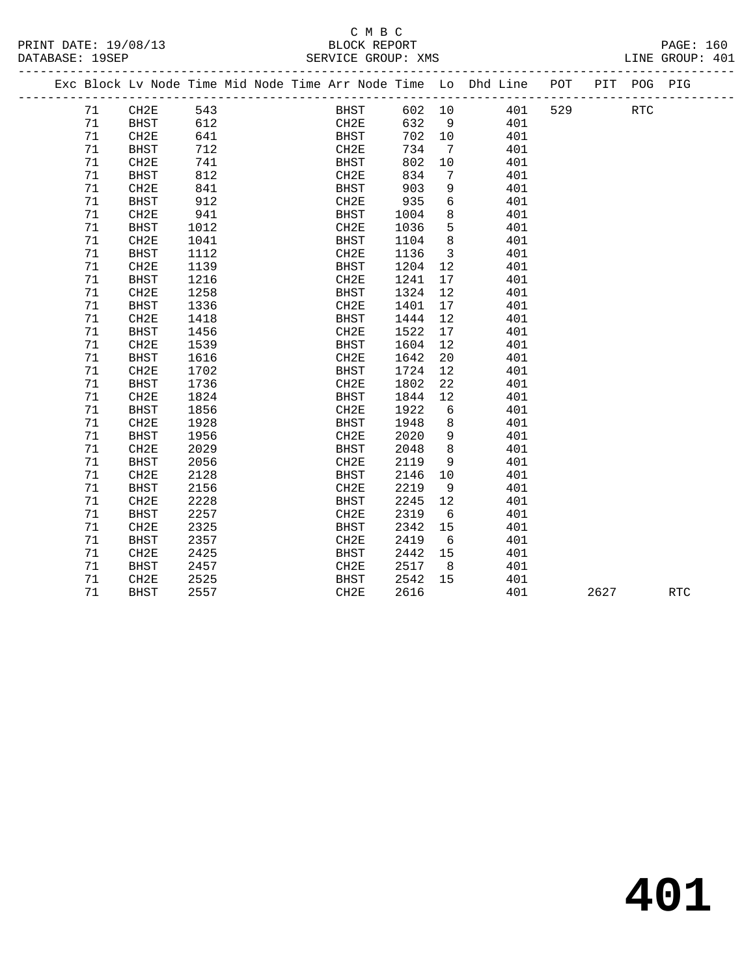# C M B C<br>BLOCK REPORT

| DATABASE: 19SEP |             |      |                                                                                | SERVICE GROUP: XMS |        |                         | ______________________ |     |     |      |            | LINE GROUP: 401 |  |
|-----------------|-------------|------|--------------------------------------------------------------------------------|--------------------|--------|-------------------------|------------------------|-----|-----|------|------------|-----------------|--|
|                 |             |      | Exc Block Lv Node Time Mid Node Time Arr Node Time Lo Dhd Line POT PIT POG PIG |                    |        |                         |                        |     |     |      |            |                 |  |
| 71              | CH2E        | 543  |                                                                                | BHST 602 10        |        |                         |                        | 401 | 529 |      | <b>RTC</b> |                 |  |
| 71              | BHST        | 612  |                                                                                | CH2E               | 632    | $\overline{9}$          |                        | 401 |     |      |            |                 |  |
| 71              | CH2E        | 641  |                                                                                | <b>BHST</b>        | 702 10 |                         |                        | 401 |     |      |            |                 |  |
| 71              | BHST        | 712  |                                                                                | CH2E               | 734    | $\overline{7}$          |                        | 401 |     |      |            |                 |  |
| 71              | CH2E        | 741  |                                                                                | BHST               | 802    | 10                      |                        | 401 |     |      |            |                 |  |
| 71              | BHST        | 812  |                                                                                | CH2E               | 834    | 7                       |                        | 401 |     |      |            |                 |  |
| 71              | CH2E        | 841  |                                                                                | BHST               | 903    | 9                       |                        | 401 |     |      |            |                 |  |
| 71              | <b>BHST</b> | 912  |                                                                                | CH2E               | 935    | 6                       |                        | 401 |     |      |            |                 |  |
| 71              | CH2E        | 941  |                                                                                | BHST               | 1004   | 8                       |                        | 401 |     |      |            |                 |  |
| 71              | BHST        | 1012 |                                                                                | CH2E               | 1036   | 5                       |                        | 401 |     |      |            |                 |  |
| 71              | CH2E        | 1041 |                                                                                | BHST               | 1104   | 8 <sup>8</sup>          |                        | 401 |     |      |            |                 |  |
| 71              | BHST        | 1112 |                                                                                | CH2E               | 1136   | $\overline{\mathbf{3}}$ |                        | 401 |     |      |            |                 |  |
| 71              | CH2E        | 1139 |                                                                                | BHST               | 1204   | 12                      |                        | 401 |     |      |            |                 |  |
| 71              | <b>BHST</b> | 1216 |                                                                                | CH2E               | 1241   | 17                      |                        | 401 |     |      |            |                 |  |
| 71              | CH2E        | 1258 |                                                                                | BHST               | 1324   | 12                      |                        | 401 |     |      |            |                 |  |
| 71              | <b>BHST</b> | 1336 |                                                                                | CH2E               | 1401   | 17                      |                        | 401 |     |      |            |                 |  |
| 71              | CH2E        | 1418 |                                                                                | BHST               | 1444   | 12                      |                        | 401 |     |      |            |                 |  |
| 71              | <b>BHST</b> | 1456 |                                                                                | CH2E               | 1522   | 17                      |                        | 401 |     |      |            |                 |  |
| 71              | CH2E        | 1539 |                                                                                | BHST               | 1604   | 12                      |                        | 401 |     |      |            |                 |  |
| 71              | BHST        | 1616 |                                                                                | CH2E               | 1642   | 20                      |                        | 401 |     |      |            |                 |  |
| 71              | CH2E        | 1702 |                                                                                | BHST               | 1724   | 12                      |                        | 401 |     |      |            |                 |  |
| 71              | BHST        | 1736 |                                                                                | CH2E               | 1802   | 22                      |                        | 401 |     |      |            |                 |  |
| 71              | CH2E        | 1824 |                                                                                | BHST               | 1844   | 12                      |                        | 401 |     |      |            |                 |  |
| 71              | <b>BHST</b> | 1856 |                                                                                | CH2E               | 1922   | $6\overline{6}$         |                        | 401 |     |      |            |                 |  |
| 71              | CH2E        | 1928 |                                                                                | BHST               | 1948   | 8                       |                        | 401 |     |      |            |                 |  |
| 71              | BHST        | 1956 |                                                                                | CH2E               | 2020   | 9                       |                        | 401 |     |      |            |                 |  |
| 71              | CH2E        | 2029 |                                                                                | <b>BHST</b>        | 2048   | 8                       |                        | 401 |     |      |            |                 |  |
| 71              | <b>BHST</b> | 2056 |                                                                                | CH2E               | 2119   | 9                       |                        | 401 |     |      |            |                 |  |
| 71              | CH2E        | 2128 |                                                                                | BHST               | 2146   | 10                      |                        | 401 |     |      |            |                 |  |
| 71              | BHST        | 2156 |                                                                                | CH2E               | 2219   | 9                       |                        | 401 |     |      |            |                 |  |
| 71              | CH2E        | 2228 |                                                                                | <b>BHST</b>        | 2245   | 12                      |                        | 401 |     |      |            |                 |  |
| 71              | <b>BHST</b> | 2257 |                                                                                | CH2E               | 2319   | 6                       |                        | 401 |     |      |            |                 |  |
| 71              | CH2E        | 2325 |                                                                                | BHST               | 2342   | 15                      |                        | 401 |     |      |            |                 |  |
| 71              | <b>BHST</b> | 2357 |                                                                                | CH2E               | 2419   | 6                       |                        | 401 |     |      |            |                 |  |
| 71              | CH2E        | 2425 |                                                                                | BHST               | 2442   | 15                      |                        | 401 |     |      |            |                 |  |
| 71              | BHST        | 2457 |                                                                                | CH2E               | 2517   | 8 <sup>8</sup>          |                        | 401 |     |      |            |                 |  |
| 71              | CH2E        | 2525 |                                                                                | <b>BHST</b>        | 2542   | 15                      |                        | 401 |     |      |            |                 |  |
| 71              | <b>BHST</b> | 2557 |                                                                                | CH2E               | 2616   |                         |                        | 401 |     | 2627 |            | <b>RTC</b>      |  |
|                 |             |      |                                                                                |                    |        |                         |                        |     |     |      |            |                 |  |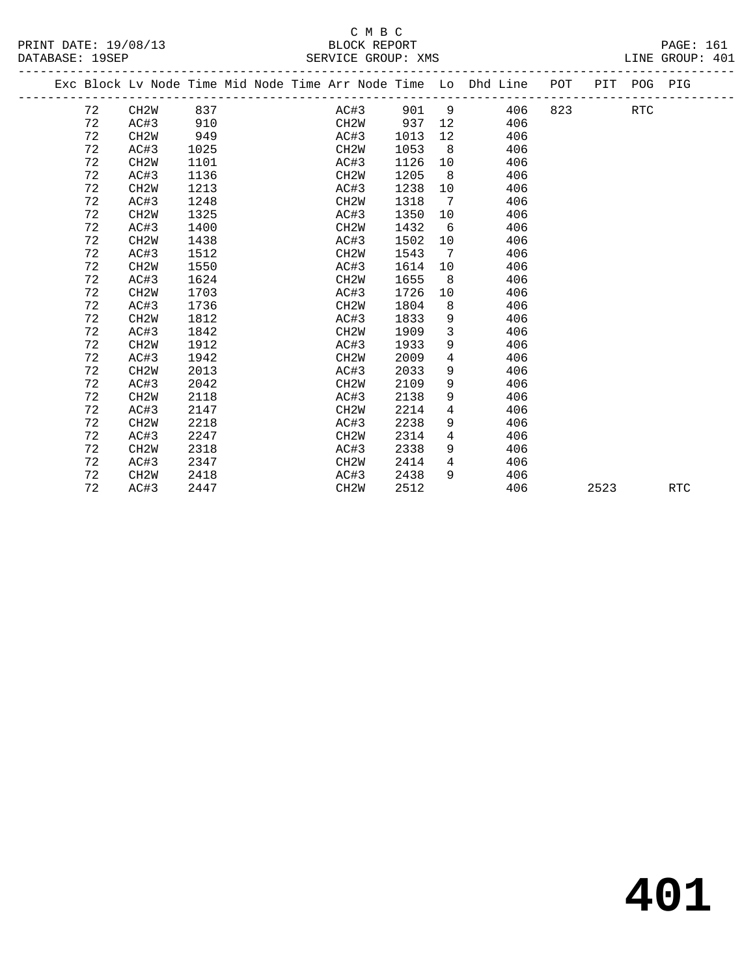|                      | C M B C            |                 |
|----------------------|--------------------|-----------------|
| PRINT DATE: 19/08/13 | BLOCK REPORT       | PAGE: 161       |
| DATABASE: 19SEP      | SERVICE GROUP: XMS | LINE GROUP: 401 |

#### LINE GROUP: 401

|    | Exc Block Lv Node Time Mid Node Time Arr Node Time Lo Dhd Line POT |      |  |                   |      |                 |     |     |      | PIT POG PIG |            |
|----|--------------------------------------------------------------------|------|--|-------------------|------|-----------------|-----|-----|------|-------------|------------|
| 72 | CH2W                                                               | 837  |  | AC#3              | 901  | 9               | 406 | 823 |      | <b>RTC</b>  |            |
| 72 | AC#3                                                               | 910  |  | CH2W              | 937  | 12              | 406 |     |      |             |            |
| 72 | CH <sub>2</sub> W                                                  | 949  |  | AC#3              | 1013 | 12              | 406 |     |      |             |            |
| 72 | AC#3                                                               | 1025 |  | CH2W              | 1053 | 8               | 406 |     |      |             |            |
| 72 | CH <sub>2</sub> W                                                  | 1101 |  | AC#3              | 1126 | 10              | 406 |     |      |             |            |
| 72 | AC#3                                                               | 1136 |  | CH <sub>2</sub> W | 1205 | 8               | 406 |     |      |             |            |
| 72 | CH <sub>2</sub> M                                                  | 1213 |  | AC#3              | 1238 | 10              | 406 |     |      |             |            |
| 72 | AC#3                                                               | 1248 |  | CH <sub>2</sub> W | 1318 | 7               | 406 |     |      |             |            |
| 72 | CH <sub>2</sub> W                                                  | 1325 |  | AC#3              | 1350 | 10 <sup>°</sup> | 406 |     |      |             |            |
| 72 | AC#3                                                               | 1400 |  | CH <sub>2</sub> W | 1432 | 6               | 406 |     |      |             |            |
| 72 | CH <sub>2</sub> W                                                  | 1438 |  | AC#3              | 1502 | 10              | 406 |     |      |             |            |
| 72 | AC#3                                                               | 1512 |  | CH <sub>2</sub> W | 1543 | $7\overline{ }$ | 406 |     |      |             |            |
| 72 | CH2W                                                               | 1550 |  | AC#3              | 1614 | 10              | 406 |     |      |             |            |
| 72 | AC#3                                                               | 1624 |  | CH <sub>2</sub> W | 1655 | 8               | 406 |     |      |             |            |
| 72 | CH <sub>2</sub> W                                                  | 1703 |  | AC#3              | 1726 | 10              | 406 |     |      |             |            |
| 72 | AC#3                                                               | 1736 |  | CH <sub>2</sub> W | 1804 | 8               | 406 |     |      |             |            |
| 72 | CH <sub>2</sub> W                                                  | 1812 |  | AC#3              | 1833 | 9               | 406 |     |      |             |            |
| 72 | AC#3                                                               | 1842 |  | CH <sub>2</sub> W | 1909 | 3               | 406 |     |      |             |            |
| 72 | CH <sub>2</sub> W                                                  | 1912 |  | AC#3              | 1933 | 9               | 406 |     |      |             |            |
| 72 | AC#3                                                               | 1942 |  | CH <sub>2</sub> W | 2009 | $\overline{4}$  | 406 |     |      |             |            |
| 72 | CH2W                                                               | 2013 |  | AC#3              | 2033 | 9               | 406 |     |      |             |            |
| 72 | AC#3                                                               | 2042 |  | CH <sub>2</sub> W | 2109 | 9               | 406 |     |      |             |            |
| 72 | CH <sub>2</sub> W                                                  | 2118 |  | AC#3              | 2138 | 9               | 406 |     |      |             |            |
| 72 | AC#3                                                               | 2147 |  | CH <sub>2</sub> W | 2214 | 4               | 406 |     |      |             |            |
| 72 | CH <sub>2</sub> W                                                  | 2218 |  | AC#3              | 2238 | 9               | 406 |     |      |             |            |
| 72 | AC#3                                                               | 2247 |  | CH <sub>2</sub> W | 2314 | 4               | 406 |     |      |             |            |
| 72 | CH <sub>2</sub> W                                                  | 2318 |  | AC#3              | 2338 | 9               | 406 |     |      |             |            |
| 72 | AC#3                                                               | 2347 |  | CH <sub>2</sub> W | 2414 | 4               | 406 |     |      |             |            |
| 72 | CH <sub>2</sub> W                                                  | 2418 |  | AC#3              | 2438 | 9               | 406 |     |      |             |            |
| 72 | AC#3                                                               | 2447 |  | CH <sub>2</sub> W | 2512 |                 | 406 |     | 2523 |             | <b>RTC</b> |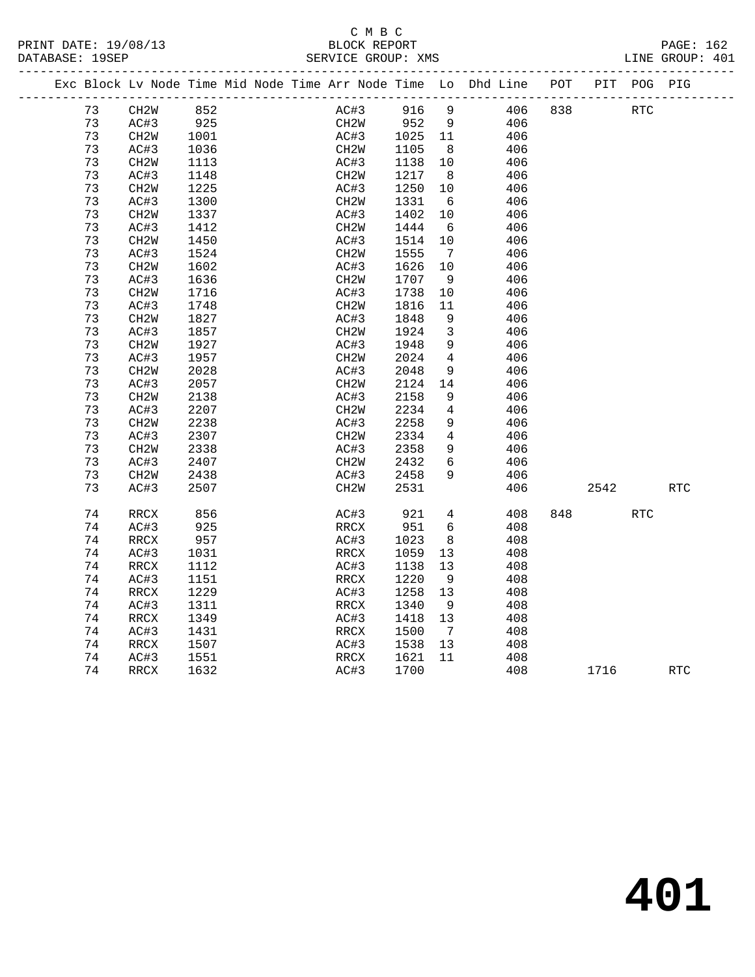|    | Exc Block Lv Node Time Mid Node Time Arr Node Time Lo Dhd Line |      |  |                   |      |                 |     | POT |      | PIT POG PIG |            |
|----|----------------------------------------------------------------|------|--|-------------------|------|-----------------|-----|-----|------|-------------|------------|
| 73 | CH <sub>2</sub> W                                              | 852  |  | AC#3              | 916  | 9               | 406 | 838 |      | <b>RTC</b>  |            |
| 73 | AC#3                                                           | 925  |  | CH2W              | 952  | - 9             | 406 |     |      |             |            |
| 73 | CH <sub>2</sub> W                                              | 1001 |  | AC#3              | 1025 | 11              | 406 |     |      |             |            |
| 73 | AC#3                                                           | 1036 |  | CH <sub>2</sub> W | 1105 | 8 <sup>8</sup>  | 406 |     |      |             |            |
| 73 | CH2W                                                           | 1113 |  | AC#3              | 1138 | 10              | 406 |     |      |             |            |
| 73 | AC#3                                                           | 1148 |  | CH <sub>2</sub> W | 1217 | 8               | 406 |     |      |             |            |
| 73 | CH2W                                                           | 1225 |  | AC#3              | 1250 | 10              | 406 |     |      |             |            |
| 73 | AC#3                                                           | 1300 |  | CH2W              | 1331 | $6\overline{6}$ | 406 |     |      |             |            |
| 73 | CH <sub>2</sub> W                                              | 1337 |  | AC#3              | 1402 | 10              | 406 |     |      |             |            |
| 73 | AC#3                                                           | 1412 |  | CH <sub>2</sub> W | 1444 | 6               | 406 |     |      |             |            |
| 73 | CH <sub>2</sub> M                                              | 1450 |  | AC#3              | 1514 | 10              | 406 |     |      |             |            |
| 73 | AC#3                                                           | 1524 |  | CH <sub>2</sub> W | 1555 | $\overline{7}$  | 406 |     |      |             |            |
| 73 | CH <sub>2</sub> W                                              | 1602 |  | AC#3              | 1626 | 10              | 406 |     |      |             |            |
| 73 | AC#3                                                           | 1636 |  | CH <sub>2</sub> W | 1707 | 9               | 406 |     |      |             |            |
| 73 | CH2W                                                           | 1716 |  | AC#3              | 1738 | $10 \,$         | 406 |     |      |             |            |
| 73 | AC#3                                                           | 1748 |  | CH <sub>2</sub> W | 1816 | 11              | 406 |     |      |             |            |
| 73 | CH <sub>2</sub> W                                              | 1827 |  | AC#3              | 1848 | 9               | 406 |     |      |             |            |
| 73 | AC#3                                                           | 1857 |  | CH2W              | 1924 | 3               | 406 |     |      |             |            |
| 73 | CH <sub>2</sub> M                                              | 1927 |  | AC#3              | 1948 | 9               | 406 |     |      |             |            |
| 73 | AC#3                                                           | 1957 |  | CH <sub>2</sub> W | 2024 | $\overline{4}$  | 406 |     |      |             |            |
| 73 | CH2W                                                           | 2028 |  | AC#3              | 2048 | 9               | 406 |     |      |             |            |
| 73 | AC#3                                                           | 2057 |  | CH <sub>2</sub> W | 2124 | 14              | 406 |     |      |             |            |
| 73 | CH <sub>2</sub> M                                              | 2138 |  | AC#3              | 2158 | 9               | 406 |     |      |             |            |
| 73 | AC#3                                                           | 2207 |  | CH <sub>2</sub> W | 2234 | $\overline{4}$  | 406 |     |      |             |            |
| 73 | CH <sub>2</sub> W                                              | 2238 |  | AC#3              | 2258 | 9               | 406 |     |      |             |            |
| 73 | AC#3                                                           | 2307 |  | CH <sub>2</sub> W | 2334 | $4\overline{ }$ | 406 |     |      |             |            |
| 73 | CH <sub>2</sub> M                                              | 2338 |  | AC#3              | 2358 | 9               | 406 |     |      |             |            |
| 73 | AC#3                                                           | 2407 |  | CH <sub>2</sub> W | 2432 | 6               | 406 |     |      |             |            |
| 73 | CH2W                                                           | 2438 |  | AC#3              | 2458 | 9               | 406 |     |      |             |            |
| 73 | AC#3                                                           | 2507 |  | CH <sub>2</sub> W | 2531 |                 | 406 |     | 2542 |             | <b>RTC</b> |
| 74 | RRCX                                                           | 856  |  | AC#3              | 921  | $4\overline{ }$ | 408 | 848 |      | <b>RTC</b>  |            |
| 74 | AC#3                                                           | 925  |  | RRCX              | 951  | 6               | 408 |     |      |             |            |
| 74 | RRCX                                                           | 957  |  | AC#3              | 1023 | 8               | 408 |     |      |             |            |
| 74 | AC#3                                                           | 1031 |  | RRCX              | 1059 | 13              | 408 |     |      |             |            |
| 74 | RRCX                                                           | 1112 |  | AC#3              | 1138 | 13              | 408 |     |      |             |            |
| 74 | AC#3                                                           | 1151 |  | RRCX              | 1220 | - 9             | 408 |     |      |             |            |
| 74 | RRCX                                                           | 1229 |  | AC#3              | 1258 | 13              | 408 |     |      |             |            |
| 74 | AC#3                                                           | 1311 |  | RRCX              | 1340 | 9               | 408 |     |      |             |            |
| 74 | RRCX                                                           | 1349 |  | AC#3              | 1418 | 13              | 408 |     |      |             |            |
| 74 | AC#3                                                           | 1431 |  | RRCX              | 1500 | $\overline{7}$  | 408 |     |      |             |            |
| 74 | RRCX                                                           | 1507 |  | AC#3              | 1538 | 13              | 408 |     |      |             |            |
| 74 | AC#3                                                           | 1551 |  | RRCX              | 1621 | 11              | 408 |     |      |             |            |
| 74 | RRCX                                                           | 1632 |  | AC#3              | 1700 |                 | 408 |     | 1716 |             | <b>RTC</b> |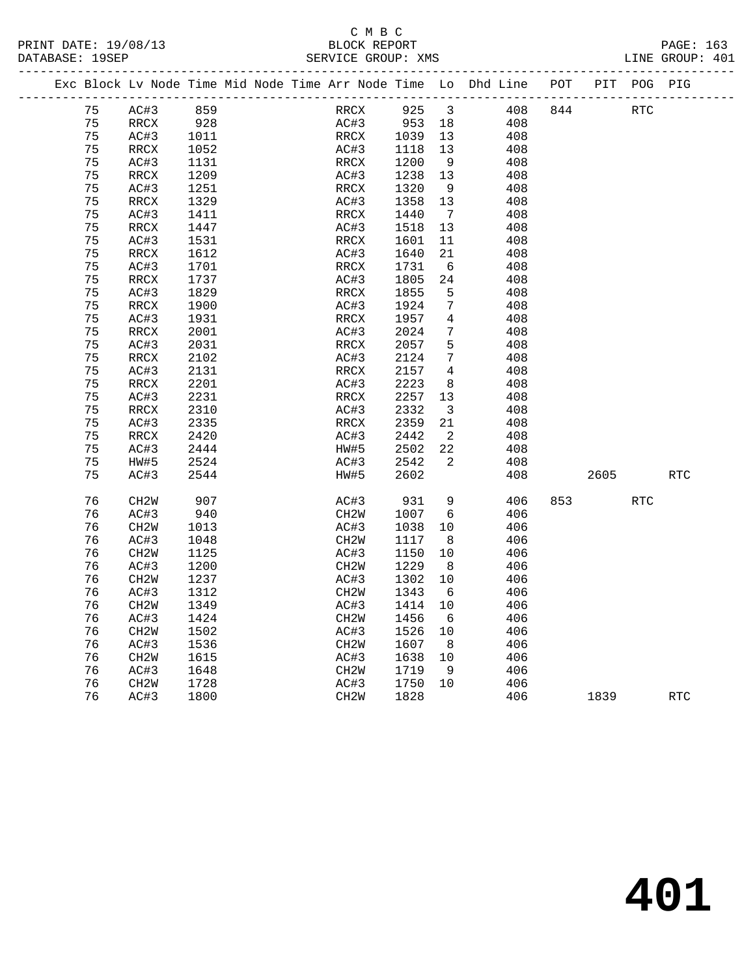# C M B C<br>BLOCK REPORT

|  | DATABASE: 19SEP |                   |              |  | SERVICE GROUP: XMS                                                 |              |                         |            |     |      |            | LINE GROUP: 401 |  |
|--|-----------------|-------------------|--------------|--|--------------------------------------------------------------------|--------------|-------------------------|------------|-----|------|------------|-----------------|--|
|  |                 |                   |              |  | Exc Block Lv Node Time Mid Node Time Arr Node Time Lo Dhd Line POT |              |                         |            |     | PIT  | POG PIG    |                 |  |
|  | 75              | AC#3              | 859          |  | RRCX                                                               | 925          | $\overline{\mathbf{3}}$ | 408        | 844 |      | <b>RTC</b> |                 |  |
|  | 75              | RRCX              | 928          |  | AC#3                                                               | 953          | 18                      | 408        |     |      |            |                 |  |
|  | 75              | AC#3              | 1011         |  | RRCX                                                               | 1039         | 13                      | 408        |     |      |            |                 |  |
|  | 75              | RRCX              | 1052         |  | AC#3                                                               | 1118         | 13                      | 408        |     |      |            |                 |  |
|  | 75              | AC#3              | 1131         |  | RRCX                                                               | 1200         | 9                       | 408        |     |      |            |                 |  |
|  | 75              | RRCX              | 1209         |  | AC#3                                                               | 1238         | 13                      | 408        |     |      |            |                 |  |
|  | 75              | AC#3              | 1251         |  | RRCX                                                               | 1320         | 9                       | 408        |     |      |            |                 |  |
|  | 75              | RRCX              | 1329         |  | AC#3                                                               | 1358         | 13                      | 408        |     |      |            |                 |  |
|  | 75              | AC#3              | 1411         |  | RRCX                                                               | 1440         | $\overline{7}$          | 408        |     |      |            |                 |  |
|  | 75              | RRCX              | 1447         |  | AC#3                                                               | 1518         | 13                      | 408        |     |      |            |                 |  |
|  | 75              | AC#3              | 1531         |  | RRCX                                                               | 1601         | 11                      | 408        |     |      |            |                 |  |
|  | 75              | RRCX              | 1612         |  | AC#3                                                               | 1640         | 21                      | 408        |     |      |            |                 |  |
|  | 75              | AC#3              | 1701         |  | RRCX                                                               | 1731         | 6                       | 408        |     |      |            |                 |  |
|  | 75              | RRCX              | 1737         |  | AC#3                                                               | 1805         | 24                      | 408        |     |      |            |                 |  |
|  | 75              | AC#3              | 1829         |  | RRCX                                                               | 1855         | 5                       | 408        |     |      |            |                 |  |
|  | 75              | RRCX              | 1900         |  | AC#3                                                               | 1924         | 7                       | 408        |     |      |            |                 |  |
|  | 75              | AC#3              | 1931         |  | RRCX                                                               | 1957         | 4                       | 408        |     |      |            |                 |  |
|  | 75              | RRCX              | 2001         |  | AC#3                                                               | 2024         | 7                       | 408        |     |      |            |                 |  |
|  | 75              | AC#3              | 2031         |  | RRCX                                                               | 2057         | 5<br>$7\phantom{.0}$    | 408        |     |      |            |                 |  |
|  | 75              | RRCX              | 2102         |  | AC#3                                                               | 2124         |                         | 408        |     |      |            |                 |  |
|  | 75<br>75        | AC#3              | 2131<br>2201 |  | RRCX<br>AC#3                                                       | 2157<br>2223 | $\overline{4}$<br>8     | 408<br>408 |     |      |            |                 |  |
|  | 75              | RRCX<br>AC#3      | 2231         |  | RRCX                                                               | 2257         | 13                      | 408        |     |      |            |                 |  |
|  | 75              | RRCX              | 2310         |  | AC#3                                                               | 2332         | $\overline{\mathbf{3}}$ | 408        |     |      |            |                 |  |
|  | 75              | AC#3              | 2335         |  | RRCX                                                               | 2359         | 21                      | 408        |     |      |            |                 |  |
|  | 75              | RRCX              | 2420         |  | AC#3                                                               | 2442         | 2                       | 408        |     |      |            |                 |  |
|  | 75              | AC#3              | 2444         |  | HW#5                                                               | 2502         | 22                      | 408        |     |      |            |                 |  |
|  | 75              | HW#5              | 2524         |  | AC#3                                                               | 2542         | 2                       | 408        |     |      |            |                 |  |
|  | 75              | AC#3              | 2544         |  | HW#5                                                               | 2602         |                         | 408        |     | 2605 |            | <b>RTC</b>      |  |
|  |                 |                   |              |  |                                                                    |              |                         |            |     |      |            |                 |  |
|  | 76              | CH <sub>2</sub> W | 907          |  | AC#3                                                               | 931          | 9                       | 406        | 853 |      | <b>RTC</b> |                 |  |
|  | 76              | AC#3              | 940          |  | CH <sub>2</sub> M                                                  | 1007         | 6                       | 406        |     |      |            |                 |  |
|  | 76              | CH <sub>2</sub> W | 1013         |  | AC#3                                                               | 1038         | 10                      | 406        |     |      |            |                 |  |
|  | 76              | AC#3              | 1048         |  | CH2W                                                               | 1117         | 8 <sup>8</sup>          | 406        |     |      |            |                 |  |
|  | 76              | CH <sub>2</sub> W | 1125         |  | AC#3                                                               | 1150         | 10                      | 406        |     |      |            |                 |  |
|  | 76              | AC#3              | 1200         |  | CH2W                                                               | 1229         | - 8                     | 406        |     |      |            |                 |  |
|  | 76              | CH <sub>2</sub> W | 1237         |  | AC#3                                                               | 1302         | 10                      | 406        |     |      |            |                 |  |
|  | 76              | AC#3              | 1312         |  | CH <sub>2</sub> W                                                  | 1343         | - 6                     | 406        |     |      |            |                 |  |
|  | 76              | CH <sub>2</sub> W | 1349         |  | AC#3                                                               | 1414         | 10                      | 406        |     |      |            |                 |  |
|  | 76              | AC#3              | 1424         |  | CH <sub>2</sub> M                                                  | 1456         | 6                       | 406        |     |      |            |                 |  |
|  | 76              | CH <sub>2</sub> W | 1502         |  | AC#3                                                               | 1526         | 10                      | 406        |     |      |            |                 |  |
|  | 76              | AC#3              | 1536         |  | CH <sub>2</sub> M                                                  | 1607         | 8                       | 406        |     |      |            |                 |  |
|  | 76              | CH <sub>2</sub> M | 1615         |  | AC#3                                                               | 1638         | 10                      | 406        |     |      |            |                 |  |
|  | 76              | AC#3              | 1648         |  | CH <sub>2</sub> W                                                  | 1719         | 9                       | 406        |     |      |            |                 |  |
|  | 76              | CH <sub>2</sub> W | 1728         |  | AC#3                                                               | 1750         | 10                      | 406        |     |      |            |                 |  |

76 AC#3 1800 CH2W 1828 406 1839 RTC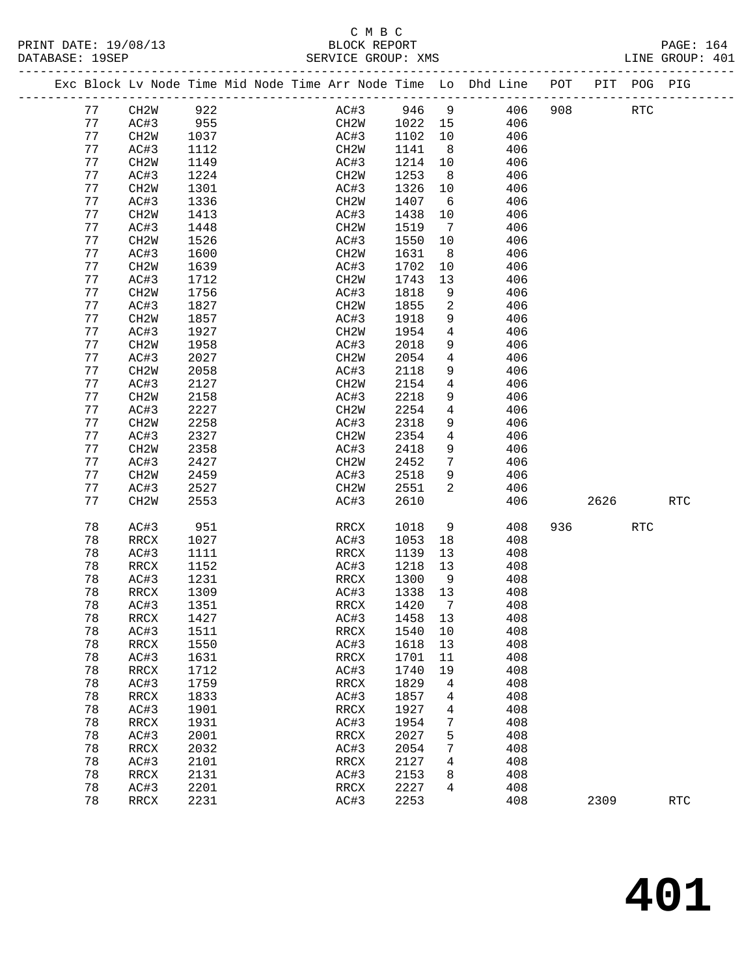### C M B C<br>BLOCK REPORT SERVICE GROUP: XMS

-------------------------------------------------------------------------------------------------

|  |    |                   |      |  |                          |         |                | Exc Block Lv Node Time Mid Node Time Arr Node Time Lo Dhd Line | POT | PIT  | POG PIG    |                      |
|--|----|-------------------|------|--|--------------------------|---------|----------------|----------------------------------------------------------------|-----|------|------------|----------------------|
|  | 77 | CH2W              | 922  |  | AC#3                     | 946     | $\mathsf 9$    | 406                                                            | 908 |      | <b>RTC</b> |                      |
|  | 77 | AC#3              | 955  |  | CH2W                     | 1022    | 15             | 406                                                            |     |      |            |                      |
|  | 77 | CH <sub>2</sub> W | 1037 |  | AC#3                     | 1102    | 10             | 406                                                            |     |      |            |                      |
|  | 77 | AC#3              | 1112 |  | CH <sub>2</sub> W        | 1141    | 8              | 406                                                            |     |      |            |                      |
|  | 77 | CH <sub>2</sub> W | 1149 |  | AC#3                     | 1214    | 10             | 406                                                            |     |      |            |                      |
|  | 77 | AC#3              | 1224 |  | CH <sub>2</sub> M        | 1253    | 8              | 406                                                            |     |      |            |                      |
|  | 77 |                   |      |  |                          | 1326    | 10             | 406                                                            |     |      |            |                      |
|  |    | CH <sub>2</sub> W | 1301 |  | AC#3                     |         |                |                                                                |     |      |            |                      |
|  | 77 | AC#3              | 1336 |  | CH <sub>2</sub> M        | 1407    | 6              | 406                                                            |     |      |            |                      |
|  | 77 | CH <sub>2</sub> W | 1413 |  | AC#3                     | 1438    | 10             | 406                                                            |     |      |            |                      |
|  | 77 | AC#3              | 1448 |  | CH <sub>2</sub> M        | 1519    | 7              | 406                                                            |     |      |            |                      |
|  | 77 | CH <sub>2</sub> W | 1526 |  | AC#3                     | 1550    | 10             | 406                                                            |     |      |            |                      |
|  | 77 | AC#3              | 1600 |  | CH <sub>2</sub> W        | 1631    | 8              | 406                                                            |     |      |            |                      |
|  | 77 | CH <sub>2</sub> W | 1639 |  | AC#3                     | 1702    | 10             | 406                                                            |     |      |            |                      |
|  | 77 | AC#3              | 1712 |  | CH <sub>2</sub> M        | 1743    | 13             | 406                                                            |     |      |            |                      |
|  | 77 | CH <sub>2</sub> W | 1756 |  | AC#3                     | 1818    | 9              | 406                                                            |     |      |            |                      |
|  | 77 | AC#3              | 1827 |  | CH <sub>2</sub> M        | 1855    | 2              | 406                                                            |     |      |            |                      |
|  | 77 | CH <sub>2</sub> W | 1857 |  | AC#3                     | 1918    | 9              | 406                                                            |     |      |            |                      |
|  | 77 | AC#3              | 1927 |  | CH <sub>2</sub> M        | 1954    | 4              | 406                                                            |     |      |            |                      |
|  | 77 | CH <sub>2</sub> W | 1958 |  | AC#3                     | 2018    | 9              | 406                                                            |     |      |            |                      |
|  | 77 | AC#3              | 2027 |  | CH <sub>2</sub> M        | 2054    | 4              | 406                                                            |     |      |            |                      |
|  | 77 | CH <sub>2</sub> W | 2058 |  | AC#3                     | 2118    | 9              | 406                                                            |     |      |            |                      |
|  | 77 | AC#3              | 2127 |  | CH <sub>2</sub> M        | 2154    | $\overline{4}$ | 406                                                            |     |      |            |                      |
|  | 77 | CH2W              | 2158 |  | AC#3                     | 2218    | 9              | 406                                                            |     |      |            |                      |
|  | 77 | AC#3              | 2227 |  | CH <sub>2</sub> M        | 2254    | 4              | 406                                                            |     |      |            |                      |
|  | 77 | CH <sub>2</sub> W | 2258 |  | AC#3                     | 2318    | 9              | 406                                                            |     |      |            |                      |
|  | 77 | AC#3              | 2327 |  | CH <sub>2</sub> M        | 2354    | $\overline{4}$ | 406                                                            |     |      |            |                      |
|  | 77 | CH2W              | 2358 |  | AC#3                     | 2418    | 9              | 406                                                            |     |      |            |                      |
|  | 77 | AC#3              | 2427 |  | CH <sub>2</sub> M        | 2452    | 7              | 406                                                            |     |      |            |                      |
|  | 77 | CH <sub>2</sub> W | 2459 |  | AC#3                     | 2518    | 9              | 406                                                            |     |      |            |                      |
|  | 77 | AC#3              | 2527 |  | CH <sub>2</sub> M        | 2551    | $\overline{2}$ | 406                                                            |     |      |            |                      |
|  | 77 | CH <sub>2</sub> W | 2553 |  | AC#3                     | 2610    |                | 406                                                            |     | 2626 |            | $\operatorname{RTC}$ |
|  |    |                   |      |  |                          |         |                |                                                                |     |      |            |                      |
|  | 78 | AC#3              | 951  |  | RRCX                     | 1018    | 9              | 408                                                            | 936 |      | <b>RTC</b> |                      |
|  | 78 | RRCX              | 1027 |  | AC#3                     | 1053    | 18             | 408                                                            |     |      |            |                      |
|  | 78 | AC#3              | 1111 |  | RRCX                     | 1139    | 13             | 408                                                            |     |      |            |                      |
|  | 78 | RRCX              | 1152 |  | AC#3                     | 1218    | 13             | 408                                                            |     |      |            |                      |
|  | 78 | AC#3              | 1231 |  | RRCX                     | 1300    | 9              | 408                                                            |     |      |            |                      |
|  | 78 | RRCX              | 1309 |  | AC#3                     | 1338    | 13             | 408                                                            |     |      |            |                      |
|  | 78 | AC#3              | 1351 |  | RRCX                     | 1420    | $\overline{7}$ | 408                                                            |     |      |            |                      |
|  | 78 | RRCX              | 1427 |  | AC#3                     | 1458    | 13             | 408                                                            |     |      |            |                      |
|  | 78 | AC#3              | 1511 |  | RRCX                     | 1540 10 |                | 408                                                            |     |      |            |                      |
|  | 78 | RRCX              | 1550 |  | AC#3                     | 1618    | 13             | 408                                                            |     |      |            |                      |
|  | 78 | AC#3              | 1631 |  | RRCX                     | 1701    | 11             | 408                                                            |     |      |            |                      |
|  | 78 | <b>RRCX</b>       | 1712 |  | AC#3                     | 1740    | 19             | 408                                                            |     |      |            |                      |
|  | 78 | AC#3              | 1759 |  | RRCX                     | 1829    | 4              | 408                                                            |     |      |            |                      |
|  | 78 | <b>RRCX</b>       | 1833 |  | AC#3                     | 1857    | 4              | 408                                                            |     |      |            |                      |
|  | 78 | AC#3              | 1901 |  | $\mathop{\mathrm{RRCX}}$ | 1927    | 4              | 408                                                            |     |      |            |                      |
|  | 78 | <b>RRCX</b>       | 1931 |  | AC#3                     | 1954    | 7              | 408                                                            |     |      |            |                      |
|  | 78 | AC#3              | 2001 |  | RRCX                     | 2027    | 5              | 408                                                            |     |      |            |                      |
|  | 78 | <b>RRCX</b>       | 2032 |  | AC#3                     | 2054    | 7              | 408                                                            |     |      |            |                      |
|  | 78 | AC#3              | 2101 |  | RRCX                     | 2127    | 4              | 408                                                            |     |      |            |                      |
|  | 78 | <b>RRCX</b>       | 2131 |  | AC#3                     | 2153    | 8              | 408                                                            |     |      |            |                      |
|  | 78 | AC#3              | 2201 |  | RRCX                     | 2227    | 4              | 408                                                            |     |      |            |                      |
|  | 78 | <b>RRCX</b>       | 2231 |  | AC#3                     | 2253    |                | 408                                                            |     | 2309 |            | $\operatorname{RTC}$ |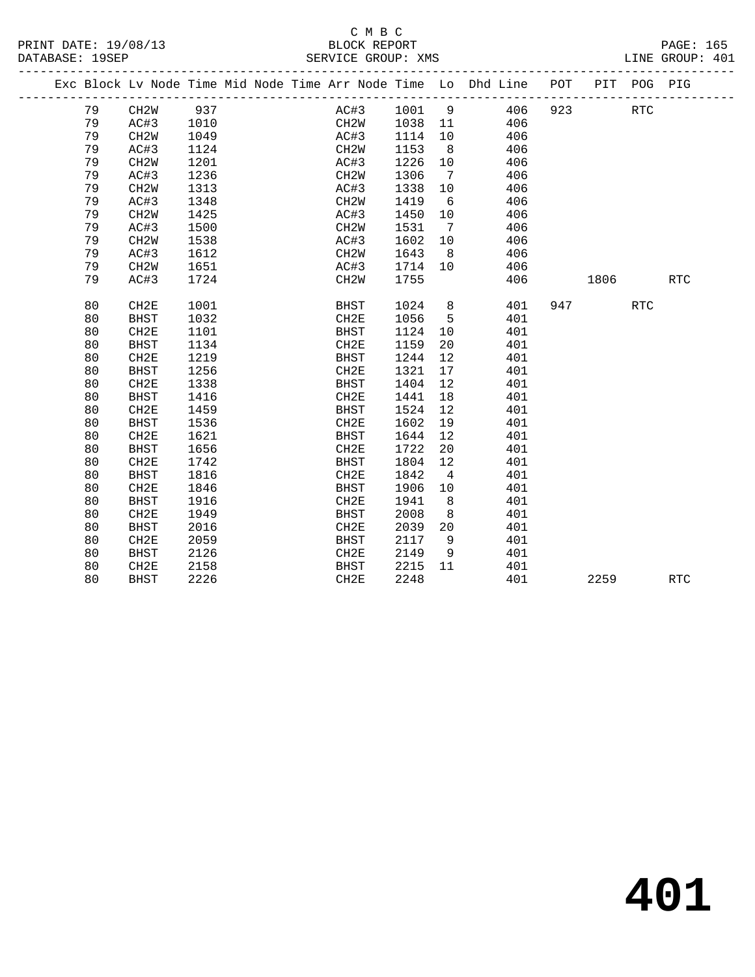|  |    | Exc Block Lv Node Time Mid Node Time Arr Node Time Lo Dhd Line POT |      |  |                   |      |             |                |     |     |      | PIT POG PIG |            |  |
|--|----|--------------------------------------------------------------------|------|--|-------------------|------|-------------|----------------|-----|-----|------|-------------|------------|--|
|  | 79 | CH2W                                                               | 937  |  |                   |      | AC#3 1001 9 |                | 406 | 923 |      | RTC         |            |  |
|  | 79 | AC#3                                                               | 1010 |  |                   | CH2W | 1038 11     |                | 406 |     |      |             |            |  |
|  | 79 | CH <sub>2</sub> W                                                  | 1049 |  | AC#3              |      | 1114        | 10             | 406 |     |      |             |            |  |
|  | 79 | AC#3                                                               | 1124 |  | CH2W              |      | 1153        | 8              | 406 |     |      |             |            |  |
|  | 79 | CH <sub>2</sub> W                                                  | 1201 |  | AC#3              |      | 1226        | 10             | 406 |     |      |             |            |  |
|  | 79 | AC#3                                                               | 1236 |  | CH <sub>2</sub> W |      | 1306        | $\overline{7}$ | 406 |     |      |             |            |  |
|  | 79 | CH <sub>2</sub> W                                                  | 1313 |  | AC#3              |      | 1338        | 10             | 406 |     |      |             |            |  |
|  | 79 | AC#3                                                               | 1348 |  | CH2W              |      | 1419        | 6              | 406 |     |      |             |            |  |
|  | 79 | CH <sub>2</sub> W                                                  | 1425 |  | AC#3              |      | 1450        | 10             | 406 |     |      |             |            |  |
|  | 79 | AC#3                                                               | 1500 |  | CH <sub>2</sub> W |      | 1531        | $\overline{7}$ | 406 |     |      |             |            |  |
|  | 79 | CH <sub>2</sub> W                                                  | 1538 |  | AC#3              |      | 1602        | 10             | 406 |     |      |             |            |  |
|  | 79 | AC#3                                                               | 1612 |  | CH2W              |      | 1643        | 8 <sup>8</sup> | 406 |     |      |             |            |  |
|  | 79 | CH <sub>2</sub> W                                                  | 1651 |  | AC#3              |      | 1714        | 10             | 406 |     |      |             |            |  |
|  | 79 | AC#3                                                               | 1724 |  | CH <sub>2</sub> W |      | 1755        |                | 406 |     | 1806 |             | <b>RTC</b> |  |
|  |    |                                                                    |      |  |                   |      |             |                |     |     |      |             |            |  |
|  | 80 | CH <sub>2E</sub>                                                   | 1001 |  | <b>BHST</b>       |      | 1024        | 8              | 401 |     | 947  | <b>RTC</b>  |            |  |
|  | 80 | <b>BHST</b>                                                        | 1032 |  | CH2E              |      | 1056        | 5              | 401 |     |      |             |            |  |
|  | 80 | CH <sub>2E</sub>                                                   | 1101 |  | BHST              |      | 1124        | 10             | 401 |     |      |             |            |  |
|  | 80 | <b>BHST</b>                                                        | 1134 |  | CH2E              |      | 1159        | 20             | 401 |     |      |             |            |  |
|  | 80 | CH2E                                                               | 1219 |  | BHST              |      | 1244        | 12             | 401 |     |      |             |            |  |
|  | 80 | <b>BHST</b>                                                        | 1256 |  | CH2E              |      | 1321        | 17             | 401 |     |      |             |            |  |
|  | 80 | CH2E                                                               | 1338 |  | <b>BHST</b>       |      | 1404        | 12             | 401 |     |      |             |            |  |
|  | 80 | <b>BHST</b>                                                        | 1416 |  | CH2E              |      | 1441        | 18             | 401 |     |      |             |            |  |
|  | 80 | CH2E                                                               | 1459 |  | <b>BHST</b>       |      | 1524        | 12             | 401 |     |      |             |            |  |
|  | 80 | <b>BHST</b>                                                        | 1536 |  | CH2E              |      | 1602        | 19             | 401 |     |      |             |            |  |
|  | 80 | CH <sub>2E</sub>                                                   | 1621 |  | <b>BHST</b>       |      | 1644        | 12             | 401 |     |      |             |            |  |
|  | 80 | <b>BHST</b>                                                        | 1656 |  | CH2E              |      | 1722        | 20             | 401 |     |      |             |            |  |
|  | 80 | CH2E                                                               | 1742 |  | <b>BHST</b>       |      | 1804        | 12             | 401 |     |      |             |            |  |
|  | 80 | <b>BHST</b>                                                        | 1816 |  | CH2E              |      | 1842        | $\overline{4}$ | 401 |     |      |             |            |  |
|  | 80 | CH <sub>2E</sub>                                                   | 1846 |  | <b>BHST</b>       |      | 1906        | 10             | 401 |     |      |             |            |  |
|  | 80 | <b>BHST</b>                                                        | 1916 |  | CH2E              |      | 1941        | 8              | 401 |     |      |             |            |  |
|  | 80 | CH2E                                                               | 1949 |  | <b>BHST</b>       |      | 2008        | 8              | 401 |     |      |             |            |  |
|  | 80 | <b>BHST</b>                                                        | 2016 |  | CH2E              |      | 2039        | 20             | 401 |     |      |             |            |  |
|  | 80 | CH2E                                                               | 2059 |  | <b>BHST</b>       |      | 2117        | 9              | 401 |     |      |             |            |  |
|  | 80 | <b>BHST</b>                                                        | 2126 |  | CH2E              |      | 2149        | 9              | 401 |     |      |             |            |  |
|  | 80 | CH2E                                                               | 2158 |  | BHST              |      | 2215        | 11             | 401 |     |      |             |            |  |
|  | 80 | <b>BHST</b>                                                        | 2226 |  | CH2E              |      | 2248        |                | 401 |     | 2259 |             | <b>RTC</b> |  |
|  |    |                                                                    |      |  |                   |      |             |                |     |     |      |             |            |  |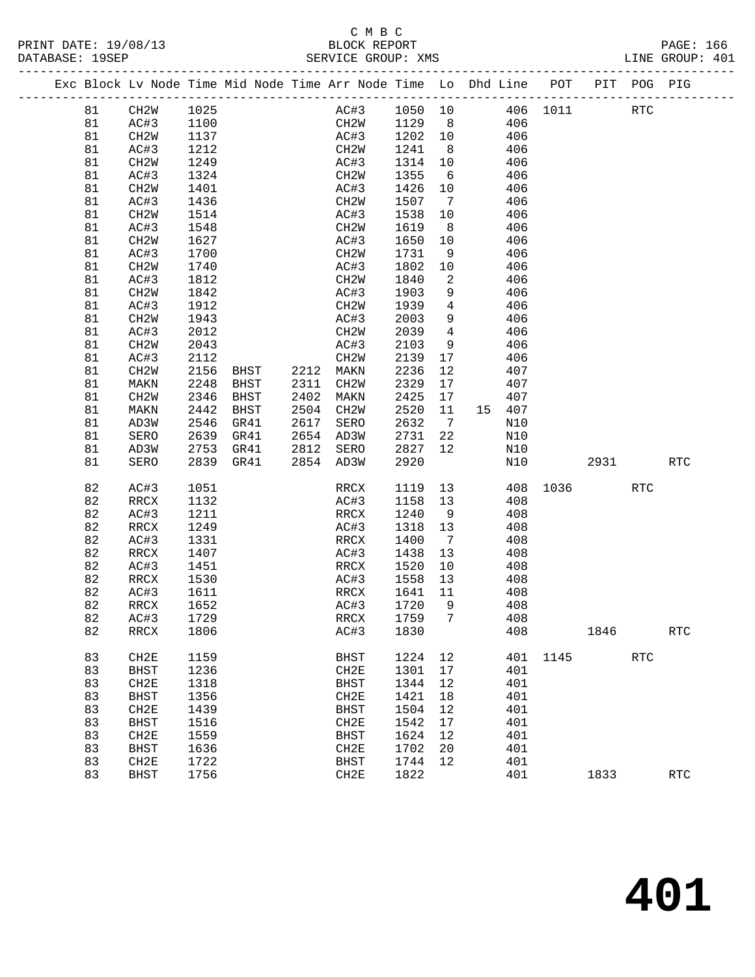#### C M B C<br>BLOCK REPORT SERVICE GROUP: XMS

|  |    | Exc Block Lv Node Time Mid Node Time Arr Node Time Lo Dhd Line POT PIT POG PIG |      |      |           |                   |      |         |                              |        |          |      |                      |            |
|--|----|--------------------------------------------------------------------------------|------|------|-----------|-------------------|------|---------|------------------------------|--------|----------|------|----------------------|------------|
|  | 81 | CH2W                                                                           | 1025 |      |           |                   | AC#3 | 1050 10 |                              |        | 406 1011 |      | <b>RTC</b>           |            |
|  | 81 | AC#3                                                                           | 1100 |      |           |                   | CH2W | 1129    | 8 <sup>8</sup>               | 406    |          |      |                      |            |
|  | 81 | CH2W                                                                           | 1137 |      |           | AC#3              |      | 1202    | 10                           | 406    |          |      |                      |            |
|  | 81 | AC#3                                                                           | 1212 |      |           | CH2W              |      | 1241    | 8 <sup>8</sup>               | 406    |          |      |                      |            |
|  | 81 | CH2W                                                                           | 1249 |      |           | AC#3              |      | 1314    | 10                           | 406    |          |      |                      |            |
|  | 81 | AC#3                                                                           | 1324 |      |           | CH2W              |      | 1355    | 6                            | 406    |          |      |                      |            |
|  | 81 | CH <sub>2</sub> W                                                              | 1401 |      |           | AC#3              |      | 1426    | 10                           | 406    |          |      |                      |            |
|  | 81 | AC#3                                                                           | 1436 |      |           | CH2W              |      | 1507    | $7\phantom{.0}\phantom{.0}7$ | 406    |          |      |                      |            |
|  | 81 | CH <sub>2</sub> W                                                              | 1514 |      |           | AC#3              |      | 1538    | 10                           | 406    |          |      |                      |            |
|  | 81 | AC#3                                                                           | 1548 |      |           | CH2W              |      | 1619    | 8 <sup>8</sup>               | 406    |          |      |                      |            |
|  | 81 | CH <sub>2</sub> W                                                              | 1627 |      |           | AC#3              |      | 1650    | 10                           | 406    |          |      |                      |            |
|  | 81 | AC#3                                                                           | 1700 |      |           | CH2W              |      | 1731    | 9                            | 406    |          |      |                      |            |
|  | 81 | CH <sub>2</sub> W                                                              | 1740 |      |           | AC#3              |      | 1802    | 10                           | 406    |          |      |                      |            |
|  | 81 | AC#3                                                                           | 1812 |      |           | CH2W              |      | 1840    | 2                            | 406    |          |      |                      |            |
|  | 81 | CH <sub>2</sub> W                                                              | 1842 |      |           | AC#3              |      | 1903    | 9                            | 406    |          |      |                      |            |
|  | 81 | AC#3                                                                           | 1912 |      |           | CH <sub>2</sub> W |      | 1939    | $\overline{4}$               | 406    |          |      |                      |            |
|  | 81 | CH <sub>2</sub> W                                                              | 1943 |      |           | AC#3              |      | 2003    | 9                            | 406    |          |      |                      |            |
|  | 81 | AC#3                                                                           | 2012 |      |           | CH2W              |      | 2039    | $\overline{4}$               | 406    |          |      |                      |            |
|  | 81 | CH <sub>2</sub> W                                                              | 2043 |      |           | AC#3              |      | 2103    | 9                            | 406    |          |      |                      |            |
|  | 81 | AC#3                                                                           | 2112 |      |           | CH2W              |      | 2139    | 17                           | 406    |          |      |                      |            |
|  | 81 | CH <sub>2</sub> W                                                              | 2156 | BHST | 2212 MAKN |                   |      | 2236    | 12                           | 407    |          |      |                      |            |
|  | 81 | MAKN                                                                           | 2248 | BHST | 2311      | CH <sub>2</sub> W |      | 2329    | 17                           | 407    |          |      |                      |            |
|  | 81 | CH <sub>2</sub> W                                                              | 2346 | BHST | 2402      | MAKN              |      | 2425    | 17                           | 407    |          |      |                      |            |
|  | 81 | MAKN                                                                           | 2442 | BHST | 2504      | CH2W              |      | 2520    | 11                           | 15 407 |          |      |                      |            |
|  | 81 | AD3W                                                                           | 2546 | GR41 | 2617      | SERO              |      | 2632    | $7\overline{ }$              | N10    |          |      |                      |            |
|  | 81 | SERO                                                                           | 2639 | GR41 | 2654      | AD3W              |      | 2731    | 22                           | N10    |          |      |                      |            |
|  | 81 | AD3W                                                                           | 2753 | GR41 | 2812      | SERO              |      | 2827    | 12 <sup>°</sup>              | N10    |          |      |                      |            |
|  | 81 | SERO                                                                           | 2839 | GR41 | 2854      | AD3W              |      | 2920    |                              | N10    |          | 2931 |                      | <b>RTC</b> |
|  | 82 | AC#3                                                                           | 1051 |      |           | RRCX              |      | 1119    | 13                           | 408    | 1036     |      | <b>RTC</b>           |            |
|  | 82 | RRCX                                                                           | 1132 |      |           | AC#3              |      | 1158    | 13                           | 408    |          |      |                      |            |
|  | 82 | AC#3                                                                           | 1211 |      |           | RRCX              |      | 1240    | 9                            | 408    |          |      |                      |            |
|  | 82 | RRCX                                                                           | 1249 |      |           | AC#3              |      | 1318    | 13                           | 408    |          |      |                      |            |
|  | 82 | AC#3                                                                           | 1331 |      |           | RRCX              |      | 1400    | $7\phantom{.0}\phantom{.0}7$ | 408    |          |      |                      |            |
|  | 82 | RRCX                                                                           | 1407 |      |           | AC#3              |      | 1438    | 13                           | 408    |          |      |                      |            |
|  | 82 | AC#3                                                                           | 1451 |      |           | RRCX              |      | 1520    | 10                           | 408    |          |      |                      |            |
|  | 82 | RRCX                                                                           | 1530 |      |           | AC#3              |      | 1558    | 13                           | 408    |          |      |                      |            |
|  | 82 | AC#3                                                                           | 1611 |      |           | RRCX              |      | 1641    | 11                           | 408    |          |      |                      |            |
|  | 82 | RRCX                                                                           | 1652 |      |           | AC#3              |      | 1720    | 9                            | 408    |          |      |                      |            |
|  | 82 | AC#3                                                                           | 1729 |      |           | RRCX              |      | 1759    | $7\phantom{.0}$              | 408    |          |      |                      |            |
|  | 82 | RRCX                                                                           | 1806 |      |           | AC#3              |      | 1830    |                              | 408    |          | 1846 |                      | <b>RTC</b> |
|  | 83 | CH <sub>2E</sub>                                                               | 1159 |      |           | <b>BHST</b>       |      | 1224    | 12                           | 401    | 1145     |      | $\operatorname{RTC}$ |            |
|  | 83 | <b>BHST</b>                                                                    | 1236 |      |           | CH2E              |      | 1301    | 17                           | 401    |          |      |                      |            |
|  | 83 | CH2E                                                                           | 1318 |      |           | <b>BHST</b>       |      | 1344    | 12                           | 401    |          |      |                      |            |
|  | 83 | <b>BHST</b>                                                                    | 1356 |      |           | CH2E              |      | 1421    | 18                           | 401    |          |      |                      |            |
|  | 83 | CH2E                                                                           | 1439 |      |           | <b>BHST</b>       |      | 1504    | 12                           | 401    |          |      |                      |            |
|  | 83 | <b>BHST</b>                                                                    | 1516 |      |           | CH2E              |      | 1542    | 17                           | 401    |          |      |                      |            |
|  | 83 | CH2E                                                                           | 1559 |      |           | <b>BHST</b>       |      | 1624    | 12                           | 401    |          |      |                      |            |
|  | 83 | <b>BHST</b>                                                                    | 1636 |      |           | CH2E              |      | 1702    | 20                           | 401    |          |      |                      |            |

83 CH2E 1722 BHST 1744 12 401

83 BHST 1756 CH2E 1822 401 1833 RTC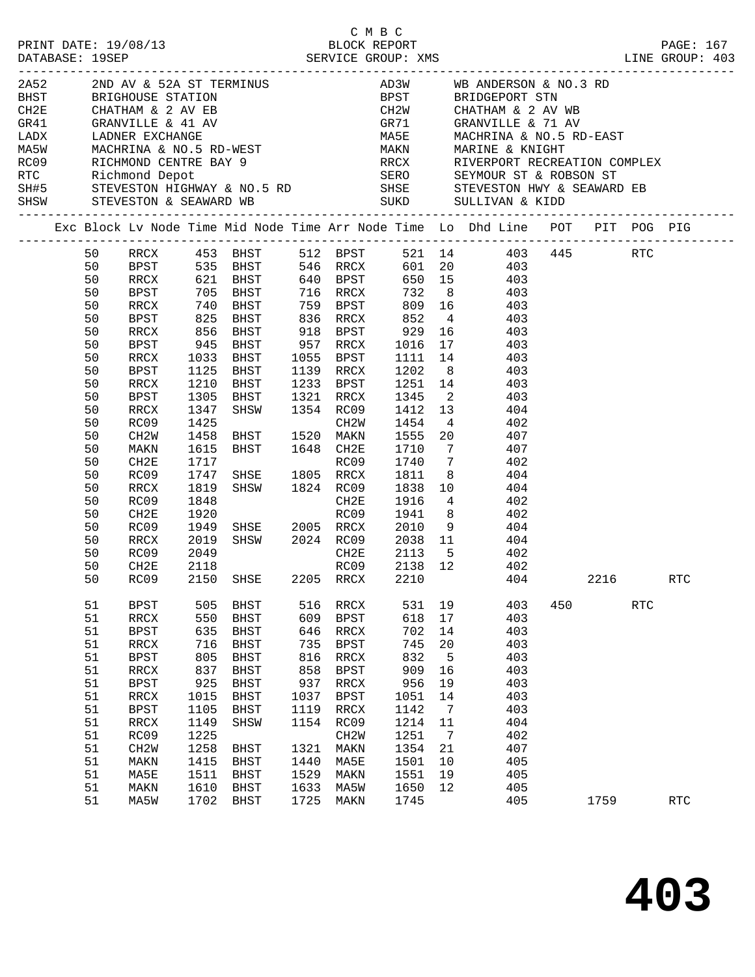|      |    |                             |              | PRINT DATE: 19/08/13<br>DATABASE: 19SEP<br>DATABASE: 19SEP                    |      | C M B C                                                           |                                                  |                 |                                                                                                                                                                                                                                        |     |      |     | PAGE: 167<br>LINE GROUP: 403 |
|------|----|-----------------------------|--------------|-------------------------------------------------------------------------------|------|-------------------------------------------------------------------|--------------------------------------------------|-----------------|----------------------------------------------------------------------------------------------------------------------------------------------------------------------------------------------------------------------------------------|-----|------|-----|------------------------------|
| 2A52 |    |                             |              |                                                                               |      |                                                                   |                                                  |                 | 2ND AV & 52A ST TERMINUS $AD3W$ WB ANDERSON & NO.3 RD                                                                                                                                                                                  |     |      |     |                              |
|      |    |                             |              |                                                                               |      |                                                                   |                                                  |                 |                                                                                                                                                                                                                                        |     |      |     |                              |
|      |    |                             |              |                                                                               |      |                                                                   |                                                  |                 |                                                                                                                                                                                                                                        |     |      |     |                              |
|      |    |                             |              |                                                                               |      |                                                                   |                                                  |                 |                                                                                                                                                                                                                                        |     |      |     |                              |
|      |    |                             |              |                                                                               |      |                                                                   |                                                  |                 |                                                                                                                                                                                                                                        |     |      |     |                              |
|      |    |                             |              |                                                                               |      |                                                                   |                                                  |                 | MA5E           MACHRINA & NO.5 RD-EAST<br>MAKN           MARINE & KNIGHT<br>RRCX           RIVERPORT RECREATION COMPLEX                                                                                                                |     |      |     |                              |
|      |    |                             |              |                                                                               |      |                                                                   |                                                  |                 |                                                                                                                                                                                                                                        |     |      |     |                              |
|      |    |                             |              |                                                                               |      |                                                                   |                                                  |                 |                                                                                                                                                                                                                                        |     |      |     |                              |
|      |    |                             |              |                                                                               |      |                                                                   |                                                  |                 |                                                                                                                                                                                                                                        |     |      |     |                              |
|      |    | SHSW STEVESTON & SEAWARD WB |              |                                                                               |      |                                                                   |                                                  |                 | ERIGHOUSE STATION & SAMPLING AND ALSO BEST BRIDGEPORT STN<br>CHAER CHATHAM & 2 AV EB<br>GRAI GRANVILLE & 41 AV GR71 GRANVILLE & 71 AV<br>LADX LADNER EXCHANGE MASE MACHRINA & NO.5 RD-EAST<br>MASW MACHRINA & NO.5 RD-WEST MAKN MARINE |     |      |     |                              |
|      |    |                             |              |                                                                               |      |                                                                   |                                                  |                 | Exc Block Lv Node Time Mid Node Time Arr Node Time Lo Dhd Line POT PIT POG PIG                                                                                                                                                         |     |      |     |                              |
|      |    |                             |              |                                                                               |      |                                                                   |                                                  |                 |                                                                                                                                                                                                                                        |     |      |     |                              |
|      | 50 |                             |              |                                                                               |      |                                                                   |                                                  |                 | RRCX 453 BHST 512 BPST 521 14 403 445 RTC<br>BPST 535 BHST 546 RRCX 601 20 403<br>RRCX 621 BHST 640 BPST 650 15 403                                                                                                                    |     |      |     |                              |
|      | 50 |                             |              |                                                                               |      |                                                                   |                                                  |                 |                                                                                                                                                                                                                                        |     |      |     |                              |
|      | 50 |                             |              |                                                                               |      |                                                                   |                                                  |                 |                                                                                                                                                                                                                                        |     |      |     |                              |
|      | 50 | BPST                        |              | 705 BHST                                                                      |      |                                                                   |                                                  |                 | 716 RRCX 732 8 403                                                                                                                                                                                                                     |     |      |     |                              |
|      | 50 | RRCX                        |              |                                                                               |      | 759   BPST          809    16<br>836    RRCX           852      4 |                                                  |                 | 809 16 403                                                                                                                                                                                                                             |     |      |     |                              |
|      | 50 | BPST                        |              | 740 BHST<br>825 BHST<br>856 BHST                                              |      |                                                                   |                                                  |                 | 403                                                                                                                                                                                                                                    |     |      |     |                              |
|      | 50 | RRCX                        |              |                                                                               |      |                                                                   |                                                  |                 | 918 BPST 929 16 403                                                                                                                                                                                                                    |     |      |     |                              |
|      | 50 | BPST                        | 945          |                                                                               |      |                                                                   |                                                  |                 | BHST 957 RRCX 1016 17 403                                                                                                                                                                                                              |     |      |     |                              |
|      | 50 | RRCX                        | 1033         | BHST                                                                          |      | 1055 BPST                                                         | 1111<br>1202                                     |                 | 1111 14 403                                                                                                                                                                                                                            |     |      |     |                              |
|      | 50 | BPST                        | 1125<br>1210 | BHST                                                                          |      | 1139 RRCX                                                         |                                                  | 8 <sup>8</sup>  | 403                                                                                                                                                                                                                                    |     |      |     |                              |
|      | 50 | RRCX                        |              | BHST                                                                          |      | 1233 BPST                                                         |                                                  |                 | $\frac{1251}{1251}$ 14 $\frac{135}{403}$                                                                                                                                                                                               |     |      |     |                              |
|      | 50 | BPST                        | 1305         | BHST 1321 RRCX 1345                                                           |      |                                                                   |                                                  |                 | 2 403                                                                                                                                                                                                                                  |     |      |     |                              |
|      | 50 | RRCX                        | 1347         | SHSW 1354 RC09                                                                |      |                                                                   | 1412 13                                          |                 | 404                                                                                                                                                                                                                                    |     |      |     |                              |
|      | 50 | RC09                        | 1425         |                                                                               |      |                                                                   | 1454                                             | $4\overline{4}$ | 402                                                                                                                                                                                                                                    |     |      |     |                              |
|      | 50 | CH2W                        | 1458         |                                                                               |      |                                                                   |                                                  |                 | $\frac{1}{1555}$ 20 $\frac{102}{407}$                                                                                                                                                                                                  |     |      |     |                              |
|      | 50 | MAKN                        | 1615         | BHST 1648 CH2E                                                                |      |                                                                   |                                                  |                 | 1710 7<br>407                                                                                                                                                                                                                          |     |      |     |                              |
|      | 50 | CH2E                        | 1717         |                                                                               |      |                                                                   | 1740                                             |                 | 7 402                                                                                                                                                                                                                                  |     |      |     |                              |
|      | 50 | RC09                        | 1747         |                                                                               |      |                                                                   | 1811                                             | 8 <sup>8</sup>  | 404                                                                                                                                                                                                                                    |     |      |     |                              |
|      | 50 | RRCX                        | 1819         | RC09<br>SHSE 1805 RRCX<br>SHSW 1824 RC09                                      |      |                                                                   | $\begin{array}{c}\n 1838 \quad 10\n \end{array}$ |                 | 404                                                                                                                                                                                                                                    |     |      |     |                              |
|      | 50 | RC09                        | 1848         |                                                                               |      | CH2E                                                              | 1916                                             |                 | 4 4 4 0 2                                                                                                                                                                                                                              |     |      |     |                              |
|      | 50 | CH2E                        | 1920         | COOS 1941 8<br>SHSE 2005 RRCX 2010 9<br>SHSW 2024 RC09 2038 11<br>CH2E 2113 5 |      |                                                                   |                                                  |                 | 8 402                                                                                                                                                                                                                                  |     |      |     |                              |
|      | 50 | RC09                        | 1949         |                                                                               |      |                                                                   |                                                  |                 | 404                                                                                                                                                                                                                                    |     |      |     |                              |
|      | 50 | RRCX                        | 2019         |                                                                               |      |                                                                   |                                                  |                 | 404                                                                                                                                                                                                                                    |     |      |     |                              |
|      | 50 | RC09                        | 2049         |                                                                               |      |                                                                   |                                                  |                 | CH2E 2113 5 402                                                                                                                                                                                                                        |     |      |     |                              |
|      | 50 | CH2E                        | 2118         |                                                                               |      | RC09                                                              |                                                  |                 | 2138 12 402                                                                                                                                                                                                                            |     |      |     |                              |
|      |    | 50 RC09 2150 SHSE           |              |                                                                               |      | 2205 RRCX 2210                                                    |                                                  |                 | 404                                                                                                                                                                                                                                    |     | 2216 |     | $\operatorname{RTC}$         |
|      | 51 | <b>BPST</b>                 | 505          | <b>BHST</b>                                                                   | 516  | RRCX                                                              | 531                                              | 19              | 403                                                                                                                                                                                                                                    | 450 |      | RTC |                              |
|      | 51 | RRCX                        | 550          | <b>BHST</b>                                                                   | 609  | <b>BPST</b>                                                       | 618                                              | 17              | 403                                                                                                                                                                                                                                    |     |      |     |                              |
|      | 51 | <b>BPST</b>                 | 635          | <b>BHST</b>                                                                   | 646  | $\mathop{\mathrm{RRCX}}$                                          | 702                                              | 14              | 403                                                                                                                                                                                                                                    |     |      |     |                              |
|      | 51 | RRCX                        | 716          | <b>BHST</b>                                                                   | 735  | <b>BPST</b>                                                       | 745                                              | 20              | 403                                                                                                                                                                                                                                    |     |      |     |                              |
|      | 51 | $_{\rm BPST}$               | 805          | <b>BHST</b>                                                                   | 816  | $\mathop{\mathrm{RRCX}}$                                          | 832                                              | 5               | 403                                                                                                                                                                                                                                    |     |      |     |                              |
|      | 51 | RRCX                        | 837          | BHST                                                                          | 858  | <b>BPST</b>                                                       | 909                                              | 16              | 403                                                                                                                                                                                                                                    |     |      |     |                              |
|      | 51 | <b>BPST</b>                 | 925          | <b>BHST</b>                                                                   | 937  | $\mathop{\mathrm{RRCX}}$                                          | 956                                              | 19              | 403                                                                                                                                                                                                                                    |     |      |     |                              |
|      | 51 | RRCX                        | 1015         | <b>BHST</b>                                                                   | 1037 | <b>BPST</b>                                                       | 1051                                             | 14              | 403                                                                                                                                                                                                                                    |     |      |     |                              |
|      | 51 | <b>BPST</b>                 | 1105         | <b>BHST</b>                                                                   | 1119 | RRCX                                                              | 1142                                             | 7               | 403                                                                                                                                                                                                                                    |     |      |     |                              |
|      | 51 | RRCX                        | 1149         | SHSW                                                                          | 1154 | RC09                                                              | 1214                                             | 11              | 404                                                                                                                                                                                                                                    |     |      |     |                              |
|      | 51 | RC09                        | 1225         |                                                                               |      | CH2W                                                              | 1251                                             | 7               | 402                                                                                                                                                                                                                                    |     |      |     |                              |
|      | 51 | CH2W                        | 1258         | BHST                                                                          | 1321 | MAKN                                                              | 1354                                             | 21              | 407                                                                                                                                                                                                                                    |     |      |     |                              |
|      | 51 | MAKN                        | 1415         | <b>BHST</b>                                                                   | 1440 | MA5E                                                              | 1501                                             | 10              | 405                                                                                                                                                                                                                                    |     |      |     |                              |
|      | 51 | MA5E                        | 1511         | <b>BHST</b>                                                                   | 1529 | MAKN                                                              | 1551                                             | 19              | 405                                                                                                                                                                                                                                    |     |      |     |                              |
|      | 51 | MAKN                        | 1610         | <b>BHST</b>                                                                   | 1633 | MA5W                                                              | 1650                                             | 12              | 405                                                                                                                                                                                                                                    |     |      |     |                              |
|      | 51 | MA5W                        | 1702         | <b>BHST</b>                                                                   | 1725 | MAKN                                                              | 1745                                             |                 | 405                                                                                                                                                                                                                                    |     | 1759 |     | $\operatorname{RTC}$         |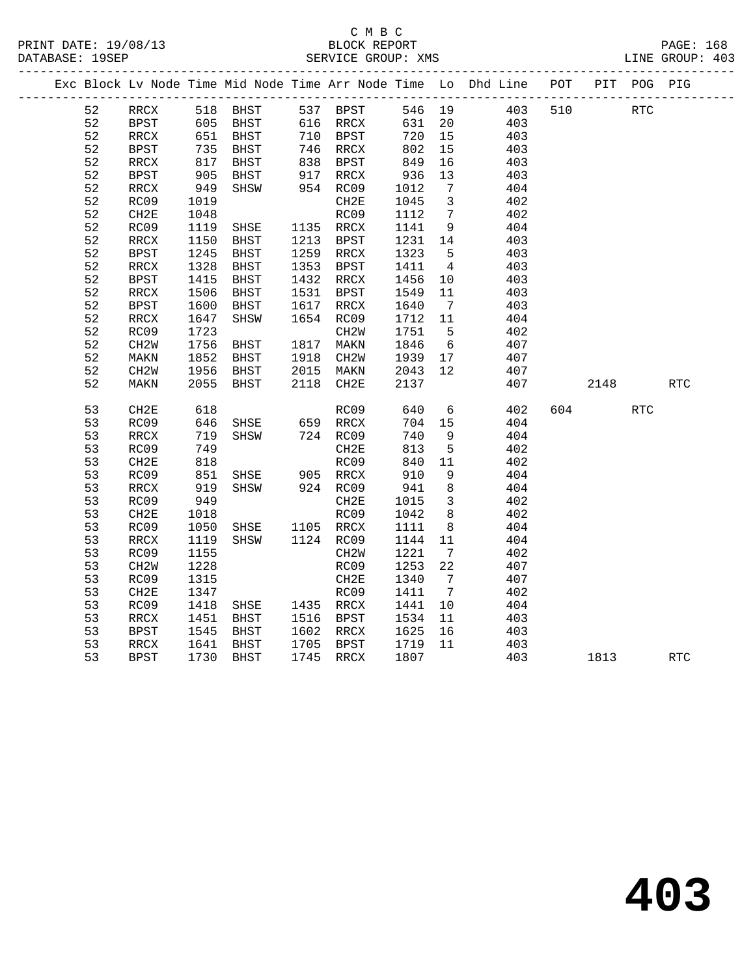# C M B C<br>BLOCK REPORT

| PRINT DATE: 19/08/13 | BLOCK REPORT       | <b>PAGE: 168</b> |
|----------------------|--------------------|------------------|
| DATABASE: 19SEP      | SERVICE GROUP: XMS | LINE GROUP: 403  |

|    |                          |            |                                  |      |                      |                      |                         | Exc Block Lv Node Time Mid Node Time Arr Node Time Lo Dhd Line POT |     |        | PIT POG PIG |            |
|----|--------------------------|------------|----------------------------------|------|----------------------|----------------------|-------------------------|--------------------------------------------------------------------|-----|--------|-------------|------------|
| 52 | RRCX                     |            | 518 BHST 537 BPST                |      |                      |                      |                         | 546 19 403                                                         | 510 | RTC    |             |            |
| 52 | <b>BPST</b>              |            |                                  |      |                      | 631 20               |                         | 403                                                                |     |        |             |            |
| 52 | RRCX                     |            |                                  |      |                      | 720 15               |                         | 403                                                                |     |        |             |            |
| 52 | BPST                     |            | 735 BHST                         |      | 746 RRCX             | 802                  | 15                      | 403                                                                |     |        |             |            |
| 52 | $\mathop{\mathrm{RRCX}}$ | 817<br>905 | BHST                             |      | 838 BPST<br>917 RRCX | 849<br>936           | 16                      | 403                                                                |     |        |             |            |
| 52 | <b>BPST</b>              |            | BHST                             |      |                      |                      | 13                      | 403                                                                |     |        |             |            |
| 52 | RRCX                     | 949        | SHSW                             |      | 954 RC09             | 1012                 | $7\overline{ }$         | 404                                                                |     |        |             |            |
| 52 | RC09                     | 1019       |                                  |      | CH2E                 | 1045                 | $\overline{\mathbf{3}}$ | 402                                                                |     |        |             |            |
| 52 | CH2E                     | 1048       |                                  |      | RC09                 | 1112                 | $\overline{7}$          | 402                                                                |     |        |             |            |
| 52 | RC09                     | 1119       | SHSE                             |      | 1135 RRCX            | 1141                 | 9                       | 404                                                                |     |        |             |            |
| 52 | $\mathop{\mathrm{RRCX}}$ | 1150       | BHST                             |      | 1213 BPST            | 1231 14              |                         | 403                                                                |     |        |             |            |
| 52 | <b>BPST</b>              | 1245       | BHST                             |      | 1259 RRCX            | 1323                 | $5^{\circ}$             | 403                                                                |     |        |             |            |
| 52 | RRCX                     | 1328       | <b>BHST</b>                      | 1353 | BPST                 | 1411                 | $\overline{4}$          | 403                                                                |     |        |             |            |
| 52 | <b>BPST</b>              | 1415       | BHST                             |      | 1432 RRCX            | 1456                 | 10                      | 403                                                                |     |        |             |            |
| 52 | $\mathop{\mathrm{RRCX}}$ | 1506       | BHST                             | 1531 | BPST                 | 1549                 | 11                      | 403                                                                |     |        |             |            |
| 52 | <b>BPST</b>              | 1600       | <b>BHST</b>                      | 1617 | RRCX                 | 1640                 | $7\overline{ }$         | 403                                                                |     |        |             |            |
| 52 | RRCX                     | 1647       | SHSW                             |      | 1654 RC09            | 1712 11              |                         | 404                                                                |     |        |             |            |
| 52 | RC09                     | 1723       |                                  |      | CH2W                 | 1751                 | $5^{\circ}$             | 402                                                                |     |        |             |            |
| 52 | CH <sub>2</sub> W        | 1756       | BHST                             |      | 1817 MAKN            | 1846                 | 6                       | 407                                                                |     |        |             |            |
| 52 | MAKN                     | 1852       | BHST                             |      | 1918 CH2W            | 1939<br>1939<br>2043 | 17                      | 407                                                                |     |        |             |            |
| 52 | CH2W                     | 1956       | <b>BHST</b>                      |      | 2015 MAKN            |                      | 12                      | 407                                                                |     |        |             |            |
| 52 | MAKN                     |            | 2055 BHST                        |      | 2118 CH2E            | 2137                 |                         | 407                                                                |     | 2148   |             | RTC        |
| 53 | CH <sub>2E</sub>         | 618        |                                  |      | RC09                 | 640                  |                         | 6 <sup>1</sup><br>402                                              |     | 604 60 | <b>RTC</b>  |            |
| 53 | RC09                     | 646        | SHSE                             |      |                      | 704                  | 15                      | 404                                                                |     |        |             |            |
| 53 | $\mathop{\mathrm{RRCX}}$ |            | SHSW                             |      | 659 RRCX<br>724 RC09 | 740                  | 9                       | 404                                                                |     |        |             |            |
| 53 | RC09                     | 719<br>749 |                                  |      | CH2E                 | 813                  | $5^{\circ}$             | 402                                                                |     |        |             |            |
| 53 | CH2E                     |            |                                  |      | RC09                 | 840                  | 11                      | 402                                                                |     |        |             |            |
| 53 | RC09                     | 818<br>851 | SHSE 905 RRCX                    |      |                      | 910                  | 9                       | 404                                                                |     |        |             |            |
| 53 | $\mathop{\mathrm{RRCX}}$ | 919        | SHSW                             |      | 924 RC09             | 941                  | 8 <sup>8</sup>          | 404                                                                |     |        |             |            |
| 53 | RC09                     | 949        |                                  |      | CH2E                 | 1015                 | $\overline{\mathbf{3}}$ | 402                                                                |     |        |             |            |
| 53 | CH2E                     | 1018       |                                  |      | RC09                 | 1042                 | 8 <sup>8</sup>          | 402                                                                |     |        |             |            |
| 53 | RC09                     | 1050       |                                  |      |                      | 1111                 | 8 <sup>8</sup>          | 404                                                                |     |        |             |            |
| 53 | RRCX                     | 1119       | SHSE 1105 RRCX<br>SHSW 1124 RC09 |      |                      | 1144 11              |                         | 404                                                                |     |        |             |            |
| 53 | RC09                     | 1155       |                                  |      | CH2W                 | 1221                 | $7\overline{ }$         | 402                                                                |     |        |             |            |
| 53 | CH <sub>2</sub> M        | 1228       |                                  |      | RC09                 | 1253                 | 22                      | 407                                                                |     |        |             |            |
| 53 | RC09                     | 1315       |                                  |      | CH2E                 | 1340                 | $\overline{7}$          | 407                                                                |     |        |             |            |
| 53 | CH2E                     | 1347       |                                  |      | RC09                 | 1411                 | $7\overline{ }$         | 402                                                                |     |        |             |            |
| 53 | RC09                     | 1418       | SHSE                             |      | 1435 RRCX            | 1441                 | 10                      | 404                                                                |     |        |             |            |
| 53 | RRCX                     | 1451       | BHST                             |      | 1516 BPST            | 1534                 | 11                      | 403                                                                |     |        |             |            |
| 53 | <b>BPST</b>              | 1545       | BHST                             |      | 1602 RRCX            | 1625                 | 16                      | 403                                                                |     |        |             |            |
| 53 | RRCX                     | 1641       | BHST                             |      | 1705 BPST            | 1719                 | 11                      | 403                                                                |     |        |             |            |
| 53 | <b>BPST</b>              | 1730       | BHST                             |      | 1745 RRCX            | 1807                 |                         | 403                                                                |     | 1813   |             | <b>RTC</b> |
|    |                          |            |                                  |      |                      |                      |                         |                                                                    |     |        |             |            |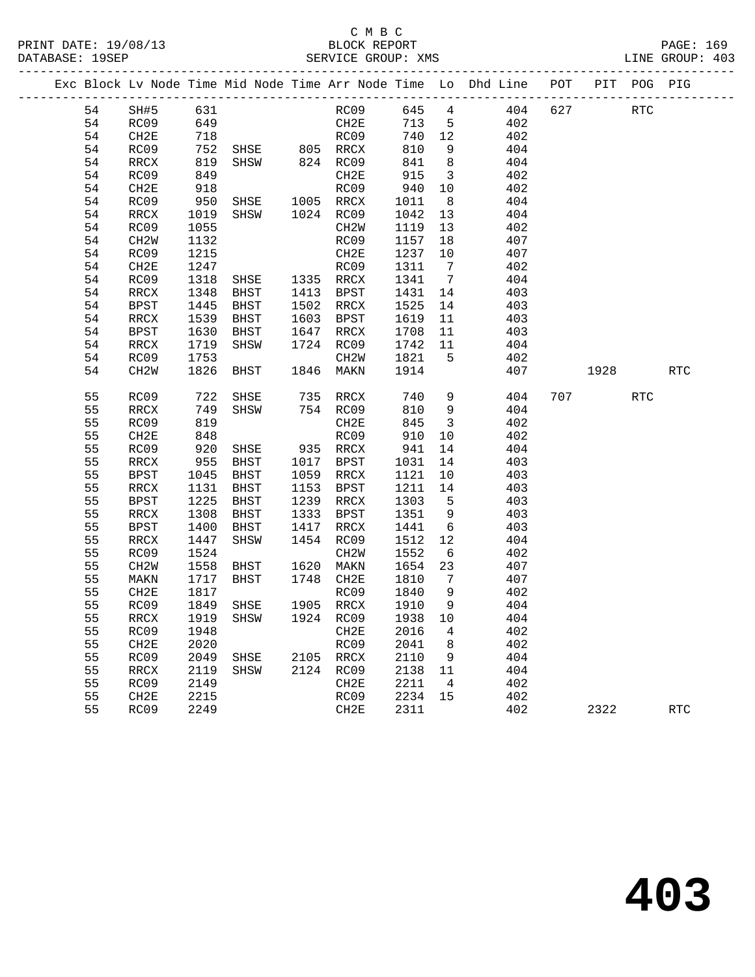#### C M B C<br>BLOCK REPORT PRINT DATE: 19/08/13 BLOCK REPORT PAGE: 169 SERVICE GROUP: XMS

|  |          |                   |                 |                                  |      |                  |            |                         | Exc Block Lv Node Time Mid Node Time Arr Node Time Lo Dhd Line POT PIT POG PIG |     |             |            |            |
|--|----------|-------------------|-----------------|----------------------------------|------|------------------|------------|-------------------------|--------------------------------------------------------------------------------|-----|-------------|------------|------------|
|  | 54       | SH#5 631          |                 |                                  |      |                  |            |                         | RC09 645 4 404                                                                 | 627 |             | <b>RTC</b> |            |
|  | 54       | RC09              | 649             |                                  |      | CH2E             | 713 5      |                         | 402                                                                            |     |             |            |            |
|  | 54       | CH2E              | 718             |                                  |      | RC09             | 740 12     |                         | 402                                                                            |     |             |            |            |
|  | 54       | RC09              | $\frac{1}{819}$ | SHSE 805 RRCX                    |      |                  | 810        | 9                       | 404                                                                            |     |             |            |            |
|  | 54       | RRCX              |                 | SHSW 824 RC09                    |      |                  | 841        | 8 <sup>8</sup>          | 404                                                                            |     |             |            |            |
|  | 54       | RC09              | 849             |                                  |      | CH2E             | 915        | $\overline{\mathbf{3}}$ | 402                                                                            |     |             |            |            |
|  | 54       | CH2E              | 918             |                                  |      | RC09             | 940        | 10                      | 402                                                                            |     |             |            |            |
|  | 54       | RC09              | 950             | SHSE 1005 RRCX                   |      |                  | 1011       | 8 <sup>8</sup>          | 404                                                                            |     |             |            |            |
|  | 54       | RRCX              | 1019            | SHSW 1024 RC09                   |      |                  | 1042       | 13                      | 404                                                                            |     |             |            |            |
|  | 54       | RC09              | 1055            |                                  |      | CH2W             | 1119 13    |                         | 402                                                                            |     |             |            |            |
|  | 54       | CH <sub>2</sub> W | 1132            |                                  |      | RC09             | 1157       | 18                      | 407                                                                            |     |             |            |            |
|  | 54       | RC09              | 1215            |                                  |      | CH2E             | 1237       | 10                      | 407                                                                            |     |             |            |            |
|  | 54       | CH2E              | 1247            |                                  |      | RC09             | 1311       | $7\overline{ }$         | 402                                                                            |     |             |            |            |
|  | 54       | RC09              | 1318            | SHSE 1335 RRCX                   |      |                  | 1341       | $\overline{7}$          | 404                                                                            |     |             |            |            |
|  | 54       | RRCX              | 1348            | BHST                             |      | 1413 BPST        | 1431 14    |                         | 403                                                                            |     |             |            |            |
|  | 54       | BPST              | 1445            | BHST                             |      | 1502 RRCX        | 1525       | 14                      | 403                                                                            |     |             |            |            |
|  | 54       | RRCX              | 1539            | BHST                             |      | 1603 BPST        | 1619       | 11                      | 403                                                                            |     |             |            |            |
|  | 54       | BPST              | 1630            | BHST                             |      | 1647 RRCX        | 1708 11    |                         | 403                                                                            |     |             |            |            |
|  | 54       | RRCX              | 1719            | SHSW                             |      | 1724 RC09        | 1742 11    |                         | 404                                                                            |     |             |            |            |
|  | 54       | RC09              | 1753            |                                  |      | CH2W             | 1821       | $5^{\circ}$             | 402                                                                            |     |             |            |            |
|  | 54       | CH <sub>2</sub> W | 1826            | BHST                             |      | 1846 MAKN        | 1914       |                         | 407                                                                            |     | 1928   1920 |            | <b>RTC</b> |
|  |          |                   |                 |                                  |      |                  |            |                         |                                                                                |     |             |            |            |
|  | 55       | RC09              | 722             | SHSE                             |      | 735 RRCX         | 740        | 9                       | 404                                                                            |     | 707         | <b>RTC</b> |            |
|  | 55       | RRCX              | 749             | SHSW                             |      | 754 RC09         | 810        | $\overline{9}$          | 404                                                                            |     |             |            |            |
|  | 55       | RC09              | 819             |                                  |      | CH2E             | 845        | $\overline{\mathbf{3}}$ | 402                                                                            |     |             |            |            |
|  | 55       | CH2E              | 848<br>920      | SHSE 935 RRCX                    |      | RC09             | 910<br>941 | 10                      | 402                                                                            |     |             |            |            |
|  | 55<br>55 | RC09<br>RRCX      | 955             | BHST 1017 BPST                   |      |                  | 1031       | 14                      | 404<br>403                                                                     |     |             |            |            |
|  | 55       | BPST              | 1045            | BHST                             |      | 1059 RRCX        | 1121       | 14<br>10                | 403                                                                            |     |             |            |            |
|  | 55       | RRCX              | 1131            | BHST                             |      | 1153 BPST        | 1211 14    |                         | 403                                                                            |     |             |            |            |
|  | 55       | BPST              | 1225            | BHST                             |      | 1239 RRCX        | 1303       | $5^{\circ}$             | 403                                                                            |     |             |            |            |
|  | 55       | RRCX              | 1308            | BHST                             |      | 1333 BPST        | 1351       | 9                       | 403                                                                            |     |             |            |            |
|  | 55       | BPST              | 1400            | BHST                             | 1417 | RRCX             | 1441       | $6\overline{6}$         | 403                                                                            |     |             |            |            |
|  | 55       | RRCX              | 1447            | SHSW                             |      | 1454 RC09        | 1512       | 12                      | 404                                                                            |     |             |            |            |
|  | 55       | RC09              | 1524            |                                  |      | CH2W             | 1552       | $6\overline{6}$         | 402                                                                            |     |             |            |            |
|  | 55       | CH2W              | 1558            | <b>BHST</b>                      |      | 1620 MAKN        | 1654       | 23                      | 407                                                                            |     |             |            |            |
|  | 55       | MAKN              | 1717            | BHST                             |      | 1748 CH2E        | 1810       | $7\overline{ }$         | 407                                                                            |     |             |            |            |
|  | 55       | CH2E              | 1817            |                                  |      | RC09             | 1840       | $\overline{9}$          | 402                                                                            |     |             |            |            |
|  | 55       | RC09              | 1849            | SHSE                             |      | 1905 RRCX        | 1910       | $\overline{9}$          | 404                                                                            |     |             |            |            |
|  | 55       |                   |                 | RRCX 1919 SHSW 1924 RC09 1938 10 |      |                  |            |                         | 404                                                                            |     |             |            |            |
|  | 55       | RC09              | 1948            |                                  |      | CH <sub>2E</sub> | 2016       | 4                       | 402                                                                            |     |             |            |            |
|  | 55       | CH <sub>2E</sub>  | 2020            |                                  |      | RC09             | 2041       | 8                       | 402                                                                            |     |             |            |            |
|  | 55       | RC09              | 2049            | SHSE                             |      | 2105 RRCX        | 2110       | 9                       | 404                                                                            |     |             |            |            |
|  | 55       | RRCX              | 2119            | SHSW                             |      | 2124 RC09        | 2138       | 11                      | 404                                                                            |     |             |            |            |
|  | 55       | RC09              | 2149            |                                  |      | CH2E             | 2211       | $\overline{4}$          | 402                                                                            |     |             |            |            |
|  | 55       | CH2E              | 2215            |                                  |      | RC09             | 2234       | 15                      | 402                                                                            |     |             |            |            |
|  | 55       | RC09              | 2249            |                                  |      | CH2E             | 2311       |                         | 402                                                                            |     | 2322        |            | <b>RTC</b> |
|  |          |                   |                 |                                  |      |                  |            |                         |                                                                                |     |             |            |            |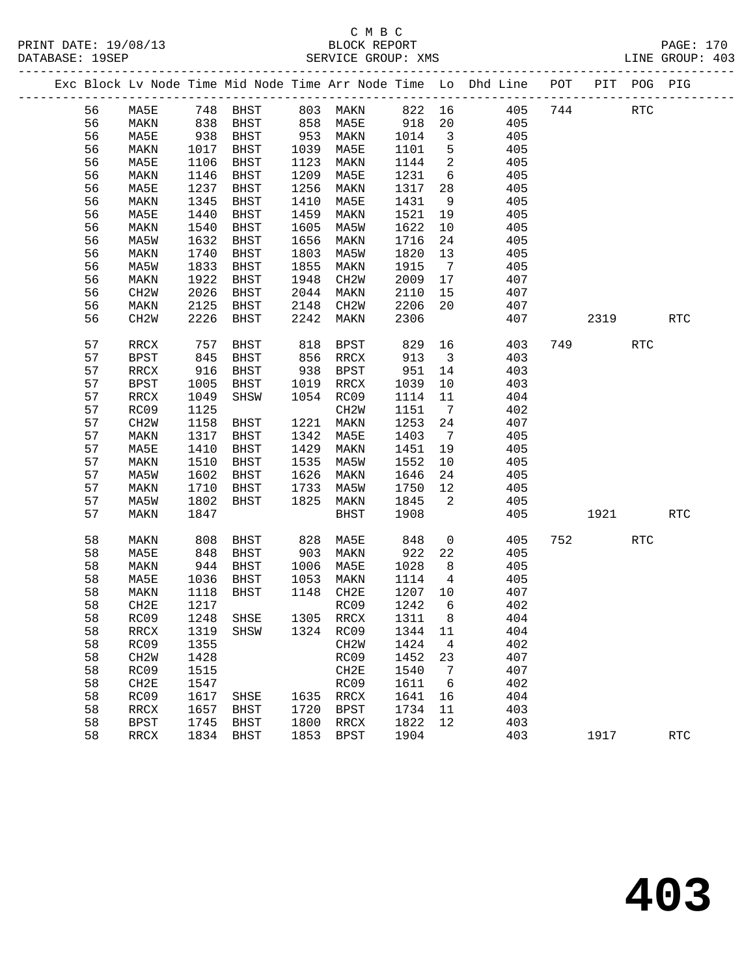|  |          |                     |      |                   |              |                      |              |                         | Exc Block Lv Node Time Mid Node Time Arr Node Time Lo Dhd Line POT                                                  |        | PIT POG PIG |            |
|--|----------|---------------------|------|-------------------|--------------|----------------------|--------------|-------------------------|---------------------------------------------------------------------------------------------------------------------|--------|-------------|------------|
|  | 56       | MA5E                |      |                   |              |                      |              |                         | 748 BHST       803  MAKN       822  16          405    744<br>838  BHST       858  MA5E       918   20          405 |        | <b>RTC</b>  |            |
|  | 56       | MAKN                |      |                   |              |                      |              |                         |                                                                                                                     |        |             |            |
|  | 56       | MA5E                | 938  | BHST              |              | 953 MAKN             | 1014         | $\overline{\mathbf{3}}$ | 405                                                                                                                 |        |             |            |
|  | 56       | MAKN                | 1017 | BHST              |              | 1039 MA5E            | 1101         | $5^{\circ}$             | 405                                                                                                                 |        |             |            |
|  | 56       | MA5E                | 1106 | BHST              | 1123         | MAKN                 | 1144         | $\overline{2}$          | 405                                                                                                                 |        |             |            |
|  | 56       | MAKN                | 1146 | BHST              | 1209         | MA5E                 | 1231         | $6\overline{6}$         | 405                                                                                                                 |        |             |            |
|  | 56       | MA5E                | 1237 | BHST              | 1256         | MAKN                 | 1317         | 28                      | 405                                                                                                                 |        |             |            |
|  | 56       | MAKN                | 1345 | BHST              | 1410         | MA5E                 | 1431         | 9                       | 405                                                                                                                 |        |             |            |
|  | 56       | MA5E                | 1440 | BHST              | 1459         | MAKN                 | 1521         | 19                      | 405                                                                                                                 |        |             |            |
|  | 56       | MAKN                | 1540 | BHST              | 1605         | MA5W                 | 1622         | 10                      | 405                                                                                                                 |        |             |            |
|  | 56       | MA5W                | 1632 | BHST              | 1656         | MAKN                 | 1716         | 24                      | 405                                                                                                                 |        |             |            |
|  | 56       | MAKN                | 1740 | BHST              | 1803         | MA5W                 | 1820         | 13                      | 405                                                                                                                 |        |             |            |
|  | 56       | MA5W                | 1833 | BHST              | 1855         | MAKN                 | 1915         | $\overline{7}$          | 405                                                                                                                 |        |             |            |
|  | 56       | MAKN                | 1922 | BHST              | 1948         | CH2W                 | 2009         | 17                      | 407                                                                                                                 |        |             |            |
|  | 56       | CH <sub>2</sub> W   | 2026 | BHST              | 2044         | MAKN                 | 2110         | 15                      | 407                                                                                                                 |        |             |            |
|  | 56       | MAKN                | 2125 | BHST              | 2148         | CH2W                 | 2206         | 20                      | 407                                                                                                                 |        |             |            |
|  | 56       | CH <sub>2</sub> W   | 2226 | BHST              | 2242         | MAKN                 | 2306         |                         | 407                                                                                                                 | 2319   |             | <b>RTC</b> |
|  | 57       | RRCX                | 757  | BHST              | 818          | BPST                 | 829 16       |                         | 403                                                                                                                 | 749    | <b>RTC</b>  |            |
|  | 57       | BPST                | 845  | BHST              | 856          | RRCX                 | 913          | $\overline{\mathbf{3}}$ | 403                                                                                                                 |        |             |            |
|  | 57       | RRCX                | 916  | BHST              | 938          | BPST                 | 951          | 14                      | 403                                                                                                                 |        |             |            |
|  | 57       | BPST                | 1005 | BHST              | 1019         | RRCX                 | 1039         | 10                      | 403                                                                                                                 |        |             |            |
|  | 57       | RRCX                | 1049 | SHSW              |              | 1054 RC09            | 1114         | 11                      | 404                                                                                                                 |        |             |            |
|  | 57       | RC09                | 1125 |                   |              | CH <sub>2</sub> W    | 1151         | $\overline{7}$          | 402                                                                                                                 |        |             |            |
|  | 57       | CH <sub>2</sub> W   | 1158 | BHST              | 1221         | MAKN                 | 1253         | 24                      | 407                                                                                                                 |        |             |            |
|  | 57       | MAKN                | 1317 | BHST              | 1342         | MA5E                 | 1403         | $\overline{7}$          | 405                                                                                                                 |        |             |            |
|  | 57       | MA5E                | 1410 | BHST              | 1429         | MAKN                 | 1451         | 19                      | 405                                                                                                                 |        |             |            |
|  | 57       | MAKN                | 1510 | BHST              | 1535         | MA5W                 | 1552         | 10                      | 405                                                                                                                 |        |             |            |
|  | 57       | MA5W                | 1602 | BHST              | 1626         | MAKN                 | 1646         | 24                      | 405                                                                                                                 |        |             |            |
|  | 57       | MAKN                | 1710 | BHST              | 1733         | MA5W                 | 1750         | 12                      | 405                                                                                                                 |        |             |            |
|  | 57       | MA5W                | 1802 | BHST              | 1825         | MAKN                 | 1845         | $\overline{2}$          | 405                                                                                                                 |        |             |            |
|  | 57       | MAKN                | 1847 |                   |              | BHST                 | 1908         |                         | 405                                                                                                                 |        |             | <b>RTC</b> |
|  | 58       | MAKN                | 808  | BHST              |              | 828 MA5E<br>903 MAKN | 848          | $\overline{0}$          | 405                                                                                                                 | 752 31 | <b>RTC</b>  |            |
|  | 58       | MA5E                | 848  | BHST              |              |                      | 922          | 22                      | 405                                                                                                                 |        |             |            |
|  | 58       | MAKN                | 944  | BHST              | 1006         | MA5E                 | 1028         | 8 <sup>8</sup>          | 405                                                                                                                 |        |             |            |
|  | 58       | MA5E                | 1036 | BHST              | 1053         | MAKN                 | 1114         | $\overline{4}$          | 405                                                                                                                 |        |             |            |
|  | 58       | MAKN                | 1118 | BHST              |              | 1148 CH2E            | 1207 10      |                         | 407                                                                                                                 |        |             |            |
|  | 58       | CH2E                | 1217 |                   |              | RC09                 | 1242         | 6                       | 402                                                                                                                 |        |             |            |
|  | 58       | RC09 1248 SHSE      |      |                   |              | 1305 RRCX 1311 8     |              |                         | 404                                                                                                                 |        |             |            |
|  | 58       | RRCX                | 1319 | SHSW              |              | 1324 RC09            | 1344         | 11                      | 404                                                                                                                 |        |             |            |
|  | 58       | RC09                | 1355 |                   |              | CH <sub>2</sub> M    | 1424         | $\overline{4}$          | 402                                                                                                                 |        |             |            |
|  | 58       | CH <sub>2</sub> W   | 1428 |                   |              | RC09                 | 1452         | 23                      | 407                                                                                                                 |        |             |            |
|  | 58       | RC09                | 1515 |                   |              | CH2E                 | 1540         | $\overline{7}$          | 407                                                                                                                 |        |             |            |
|  | 58       | CH2E                | 1547 |                   |              | RC09                 | 1611         | 6                       | 402                                                                                                                 |        |             |            |
|  | 58       | RC09                | 1617 | SHSE              | 1635<br>1720 | RRCX                 | 1641         | 16                      | 404                                                                                                                 |        |             |            |
|  | 58       | RRCX                | 1657 | BHST              |              | BPST                 | 1734         | 11                      | 403                                                                                                                 |        |             |            |
|  | 58<br>58 | <b>BPST</b><br>RRCX | 1745 | BHST<br>1834 BHST | 1800<br>1853 | RRCX                 | 1822<br>1904 | 12                      | 403<br>403                                                                                                          | 1917   |             | <b>RTC</b> |
|  |          |                     |      |                   |              | BPST                 |              |                         |                                                                                                                     |        |             |            |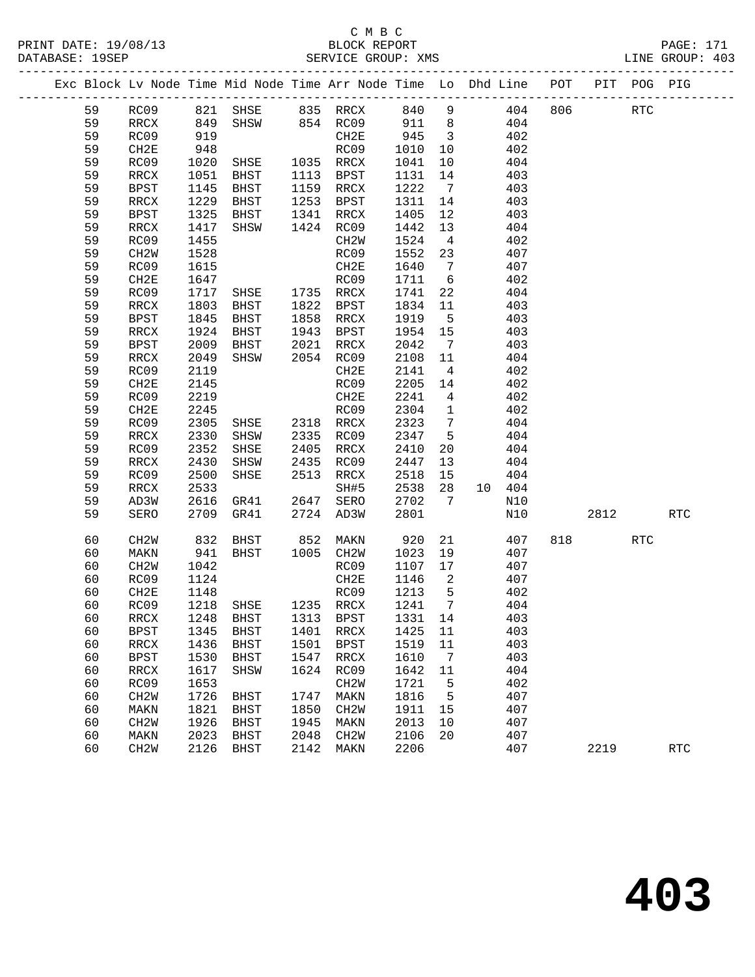### C M B C<br>BLOCK REPORT SERVICE GROUP: XMS

PRINT DATE: 19/08/13 BLOCK REPORT PAGE: 171

|  |    |                          |      | Exc Block Lv Node Time Mid Node Time Arr Node Time Lo Dhd Line POT PIT POG PIG |      |                                          |         |                          |        |     |          |            |            |
|--|----|--------------------------|------|--------------------------------------------------------------------------------|------|------------------------------------------|---------|--------------------------|--------|-----|----------|------------|------------|
|  | 59 |                          |      |                                                                                |      |                                          |         |                          | 404    | 806 |          | <b>RTC</b> |            |
|  | 59 |                          |      | RC09 821 SHSE 835 RRCX 840 9<br>RRCX 849 SHSW 854 RC09 911 8                   |      |                                          |         |                          | 404    |     |          |            |            |
|  | 59 | RC09                     | 919  |                                                                                |      | CH2E                                     | 945 3   |                          | 402    |     |          |            |            |
|  | 59 | CH2E                     | 948  |                                                                                |      | RC09                                     | 1010    | 10                       | 402    |     |          |            |            |
|  | 59 | RC09                     | 1020 | SHSE 1035 RRCX                                                                 |      |                                          | 1041    | 10                       | 404    |     |          |            |            |
|  | 59 | RRCX                     | 1051 | BHST                                                                           |      | 1113 BPST                                | 1131    | 14                       | 403    |     |          |            |            |
|  | 59 | BPST                     | 1145 | BHST                                                                           |      | 1159 RRCX                                | 1222    | $7\phantom{0}$           | 403    |     |          |            |            |
|  | 59 | RRCX                     | 1229 | BHST 1253 BPST                                                                 |      |                                          | 1311    | 14                       | 403    |     |          |            |            |
|  | 59 | BPST                     | 1325 | BHST                                                                           |      | 1341 RRCX                                | 1405    | 12                       | 403    |     |          |            |            |
|  | 59 | RRCX                     | 1417 | SHSW 1424 RC09                                                                 |      |                                          | 1442    | 13                       | 404    |     |          |            |            |
|  | 59 | RC09                     | 1455 |                                                                                |      | CH2W                                     | 1524    | $\overline{4}$           | 402    |     |          |            |            |
|  | 59 | CH2W                     | 1528 |                                                                                |      | RC09                                     | 1552    | 23                       | 407    |     |          |            |            |
|  | 59 | RC09                     | 1615 |                                                                                |      | CH2E                                     | 1640    | $\overline{7}$           | 407    |     |          |            |            |
|  | 59 | CH2E                     | 1647 |                                                                                |      | RC09                                     | 1711    | 6                        | 402    |     |          |            |            |
|  | 59 | RC09                     | 1717 | SHSE 1735 RRCX                                                                 |      |                                          | 1741    | 22                       | 404    |     |          |            |            |
|  | 59 | RRCX                     | 1803 | BHST 1822 BPST                                                                 |      |                                          | 1834    | 11                       | 403    |     |          |            |            |
|  | 59 | BPST                     | 1845 | BHST                                                                           |      | 1858 RRCX<br>1943 BPST                   | 1919    | $5^{\circ}$              | 403    |     |          |            |            |
|  | 59 | RRCX                     | 1924 | BHST                                                                           |      |                                          | 1954 15 |                          | 403    |     |          |            |            |
|  | 59 | BPST                     | 2009 | BHST                                                                           | 2021 | RRCX                                     | 2042    | $\overline{7}$           | 403    |     |          |            |            |
|  | 59 | RRCX                     | 2049 | SHSW                                                                           |      | 2054 RC09                                | 2108    | 11                       | 404    |     |          |            |            |
|  | 59 | RC09                     | 2119 |                                                                                |      | CH2E                                     | 2141    | $\overline{4}$           | 402    |     |          |            |            |
|  | 59 | CH2E                     | 2145 |                                                                                |      | RC09                                     | 2205    | 14                       | 402    |     |          |            |            |
|  | 59 | RC09                     | 2219 |                                                                                |      | CH2E                                     | 2241    | $\overline{4}$           | 402    |     |          |            |            |
|  | 59 | CH2E                     | 2245 |                                                                                |      | RC09                                     | 2304    | $\overline{\mathbf{1}}$  | 402    |     |          |            |            |
|  | 59 | RC09                     | 2305 | SHSE 2318 RRCX<br>SHSW 2335 RC09                                               |      |                                          | 2323    | $\overline{7}$           | 404    |     |          |            |            |
|  | 59 | RRCX                     | 2330 |                                                                                |      |                                          | 2347    | $-5$                     | 404    |     |          |            |            |
|  | 59 | RC09                     | 2352 | SHSE                                                                           | 2405 | RRCX                                     | 2410    | 20                       | 404    |     |          |            |            |
|  | 59 | RRCX                     | 2430 | SHSW                                                                           | 2435 | RC09                                     | 2447    | 13                       | 404    |     |          |            |            |
|  | 59 | RC09                     | 2500 | SHSE                                                                           |      | 2513 RRCX                                | 2518    | 15                       | 404    |     |          |            |            |
|  | 59 | RRCX                     | 2533 |                                                                                |      | SH#5                                     | 2538    | 28                       | 10 404 |     |          |            |            |
|  | 59 | AD3W                     | 2616 | GR41                                                                           |      | 2647 SERO                                | 2702    | $\overline{7}$           | N10    |     |          |            |            |
|  | 59 | SERO                     |      | 2709 GR41                                                                      |      | 2724 AD3W                                | 2801    |                          | N10    |     | 2812     |            | <b>RTC</b> |
|  | 60 | CH2W                     | 832  |                                                                                |      | BHST 852 MAKN 920<br>BHST 1005 CH2W 1023 |         | 21                       | 407    |     | 818 — 18 | RTC        |            |
|  | 60 | MAKN                     | 941  |                                                                                |      |                                          |         | 19                       | 407    |     |          |            |            |
|  | 60 | CH <sub>2</sub> W        | 1042 |                                                                                |      | RC09                                     | 1107    | 17                       | 407    |     |          |            |            |
|  | 60 | RC09                     | 1124 |                                                                                |      | CH2E                                     | 1146    | $\overline{\phantom{a}}$ | 407    |     |          |            |            |
|  | 60 | CH2E                     | 1148 |                                                                                |      | RC09                                     | 1213 5  |                          | 402    |     |          |            |            |
|  | 60 | RC09                     |      | 1218 SHSE                                                                      |      | 1235 RRCX                                | 1241 7  |                          | 404    |     |          |            |            |
|  | 60 |                          |      | RRCX 1248 BHST 1313 BPST 1331 14                                               |      |                                          |         |                          | 403    |     |          |            |            |
|  | 60 | <b>BPST</b>              | 1345 | BHST                                                                           | 1401 | RRCX                                     | 1425    | 11                       | 403    |     |          |            |            |
|  | 60 | $\mathop{\mathrm{RRCX}}$ | 1436 | BHST                                                                           | 1501 | <b>BPST</b>                              | 1519    | 11                       | 403    |     |          |            |            |
|  | 60 | <b>BPST</b>              | 1530 | BHST                                                                           | 1547 | RRCX                                     | 1610    | $\overline{7}$           | 403    |     |          |            |            |
|  | 60 | RRCX                     | 1617 | SHSW                                                                           | 1624 | RC09                                     | 1642    | 11                       | 404    |     |          |            |            |
|  | 60 | RC09                     | 1653 |                                                                                |      | CH <sub>2</sub> M                        | 1721    | 5                        | 402    |     |          |            |            |
|  | 60 | CH <sub>2</sub> W        | 1726 | BHST                                                                           | 1747 | MAKN                                     | 1816    | 5                        | 407    |     |          |            |            |
|  | 60 | MAKN                     | 1821 | BHST                                                                           | 1850 | CH <sub>2</sub> M                        | 1911    | 15                       | 407    |     |          |            |            |
|  | 60 | CH <sub>2</sub> W        | 1926 | <b>BHST</b>                                                                    | 1945 | MAKN                                     | 2013    | 10                       | 407    |     |          |            |            |
|  | 60 | MAKN                     | 2023 | BHST                                                                           | 2048 | CH <sub>2</sub> M                        | 2106    | 20                       | 407    |     |          |            |            |
|  | 60 | CH <sub>2</sub> W        | 2126 | BHST                                                                           | 2142 | MAKN                                     | 2206    |                          | 407    |     | 2219     |            | <b>RTC</b> |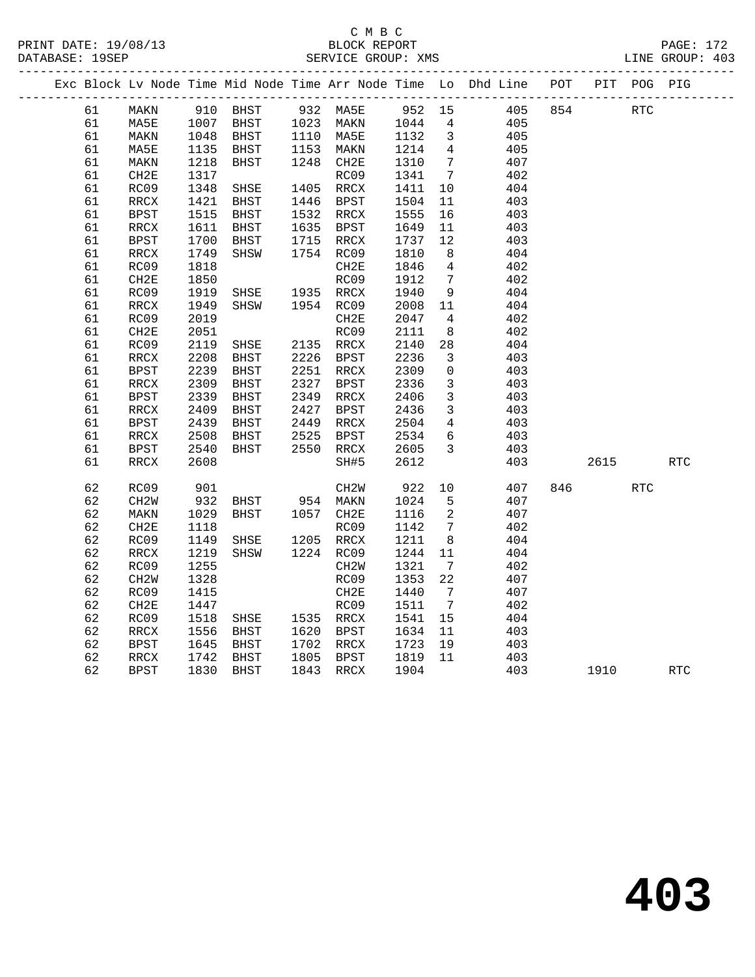#### C M B C<br>BLOCK REPORT PRINT DATE: 19/08/13 BLOCK REPORT PAGE: 172 SERVICE GROUP: XMS

| DAIADAOE: 1705F |    |      |      |      |      | DEIVATCE GROUP · WHO |        |     |                                                                |     |     |     | OWOUT OWNER TOY |  |
|-----------------|----|------|------|------|------|----------------------|--------|-----|----------------------------------------------------------------|-----|-----|-----|-----------------|--|
|                 |    |      |      |      |      |                      |        |     | Exc Block Ly Node Time Mid Node Time Arr Node Time Lo Dhd Line | POT | PIT | POG | PIG             |  |
|                 | 61 | MAKN | 910  | BHST | 932  | MA5E                 | 952 15 |     | 405                                                            | 854 |     | RTC |                 |  |
|                 | 61 | MA5E | 1007 | BHST | 1023 | MAKN                 | 1044   | 4   | 405                                                            |     |     |     |                 |  |
|                 | 61 | MAKN | 1048 | BHST | 1110 | MA5E                 | 1132   | 3   | 405                                                            |     |     |     |                 |  |
|                 | 61 | MA5E | 1135 | BHST | 1153 | MAKN                 | 1214   | 4   | 405                                                            |     |     |     |                 |  |
|                 | 61 | MAKN | 1218 | BHST | 1248 | CH2E                 | 1310   | -7  | 407                                                            |     |     |     |                 |  |
|                 | 61 | CH2E | 1317 |      |      | RC09                 | 1341   | 7   | 402                                                            |     |     |     |                 |  |
|                 | 61 | RC09 | 1348 | SHSE | 1405 | RRCX                 | 1411   | 10  | 404                                                            |     |     |     |                 |  |
|                 | 61 | RRCX | 1421 | BHST | 1446 | BPST                 | 1504   | 11  | 403                                                            |     |     |     |                 |  |
|                 | 61 | BPST | 1515 | BHST | 1532 | RRCX                 | 1555   | 16  | 403                                                            |     |     |     |                 |  |
|                 | 61 | RRCX | 1611 | BHST | 1635 | BPST                 | 1649   | 11  | 403                                                            |     |     |     |                 |  |
|                 | 61 | BPST | 1700 | BHST | 1715 | RRCX                 | 1737   | 12  | 403                                                            |     |     |     |                 |  |
|                 | 61 | RRCX | 1749 | SHSW | 1754 | RC09                 | 1810   | - 8 | 404                                                            |     |     |     |                 |  |
|                 | 61 | RC09 | 1818 |      |      | CH2E                 | 1846   | 4   | 402                                                            |     |     |     |                 |  |
|                 |    |      |      |      |      |                      |        |     |                                                                |     |     |     |                 |  |

| O T | にしりり              | TOTO |             |      | ∪⊓∠r              | TOZQ | ±.          | 4∪∠ |     |      |            |            |
|-----|-------------------|------|-------------|------|-------------------|------|-------------|-----|-----|------|------------|------------|
| 61  | CH <sub>2E</sub>  | 1850 |             |      | RC09              | 1912 | 7           | 402 |     |      |            |            |
| 61  | RC09              | 1919 | SHSE        | 1935 | <b>RRCX</b>       | 1940 | 9           | 404 |     |      |            |            |
| 61  | <b>RRCX</b>       | 1949 | SHSW        | 1954 | RC09              | 2008 | 11          | 404 |     |      |            |            |
| 61  | RC09              | 2019 |             |      | CH <sub>2E</sub>  | 2047 | 4           | 402 |     |      |            |            |
| 61  | CH2E              | 2051 |             |      | RC09              | 2111 | 8           | 402 |     |      |            |            |
| 61  | RC09              | 2119 | SHSE        | 2135 | RRCX              | 2140 | 28          | 404 |     |      |            |            |
| 61  | <b>RRCX</b>       | 2208 | <b>BHST</b> | 2226 | <b>BPST</b>       | 2236 | 3           | 403 |     |      |            |            |
| 61  | <b>BPST</b>       | 2239 | <b>BHST</b> | 2251 | RRCX              | 2309 | $\mathbf 0$ | 403 |     |      |            |            |
| 61  | <b>RRCX</b>       | 2309 | <b>BHST</b> | 2327 | <b>BPST</b>       | 2336 | 3           | 403 |     |      |            |            |
| 61  | BPST              | 2339 | <b>BHST</b> | 2349 | RRCX              | 2406 | 3           | 403 |     |      |            |            |
| 61  | RRCX              | 2409 | <b>BHST</b> | 2427 | <b>BPST</b>       | 2436 | 3           | 403 |     |      |            |            |
| 61  | <b>BPST</b>       | 2439 | <b>BHST</b> | 2449 | RRCX              | 2504 | 4           | 403 |     |      |            |            |
| 61  | RRCX              | 2508 | <b>BHST</b> | 2525 | <b>BPST</b>       | 2534 | 6           | 403 |     |      |            |            |
| 61  | <b>BPST</b>       | 2540 | BHST        | 2550 | RRCX              | 2605 | 3           | 403 |     |      |            |            |
| 61  | <b>RRCX</b>       | 2608 |             |      | SH#5              | 2612 |             | 403 |     | 2615 |            | <b>RTC</b> |
|     |                   |      |             |      |                   |      |             |     |     |      |            |            |
| 62  | RC09              | 901  |             |      | CH <sub>2</sub> W | 922  | 10          | 407 | 846 |      | <b>RTC</b> |            |
| 62  | CH <sub>2</sub> W | 932  | <b>BHST</b> | 954  | MAKN              | 1024 | 5           | 407 |     |      |            |            |
| 62  | MAKN              | 1029 | <b>BHST</b> | 1057 | CH2E              | 1116 | 2           | 407 |     |      |            |            |
| 62  | CH <sub>2E</sub>  | 1118 |             |      | RC09              | 1142 | 7           | 402 |     |      |            |            |
| 62  | RC09              | 1149 | SHSE        | 1205 | RRCX              | 1211 | 8           | 404 |     |      |            |            |
| 62  | RRCX              | 1219 | SHSW        | 1224 | RC09              | 1244 | 11          | 404 |     |      |            |            |
| 62  | RC09              | 1255 |             |      | CH <sub>2</sub> W | 1321 | 7           | 402 |     |      |            |            |
| 62  | CH <sub>2</sub> W | 1328 |             |      | RC09              | 1353 | 22          | 407 |     |      |            |            |
| 62  | RC09              | 1415 |             |      | CH <sub>2E</sub>  | 1440 | 7           | 407 |     |      |            |            |
| 62  | CH2E              | 1447 |             |      | RC09              | 1511 | 7           | 402 |     |      |            |            |
| 62  | RC09              | 1518 | SHSE        | 1535 | <b>RRCX</b>       | 1541 | 15          | 404 |     |      |            |            |
| 62  | RRCX              | 1556 | <b>BHST</b> | 1620 | <b>BPST</b>       | 1634 | 11          | 403 |     |      |            |            |
| 62  | <b>BPST</b>       | 1645 | <b>BHST</b> | 1702 | RRCX              | 1723 | 19          | 403 |     |      |            |            |
| 62  | RRCX              | 1742 | <b>BHST</b> | 1805 | <b>BPST</b>       | 1819 | 11          | 403 |     |      |            |            |
| 62  | <b>BPST</b>       | 1830 | <b>BHST</b> | 1843 | RRCX              | 1904 |             | 403 |     | 1910 |            | <b>RTC</b> |
|     |                   |      |             |      |                   |      |             |     |     |      |            |            |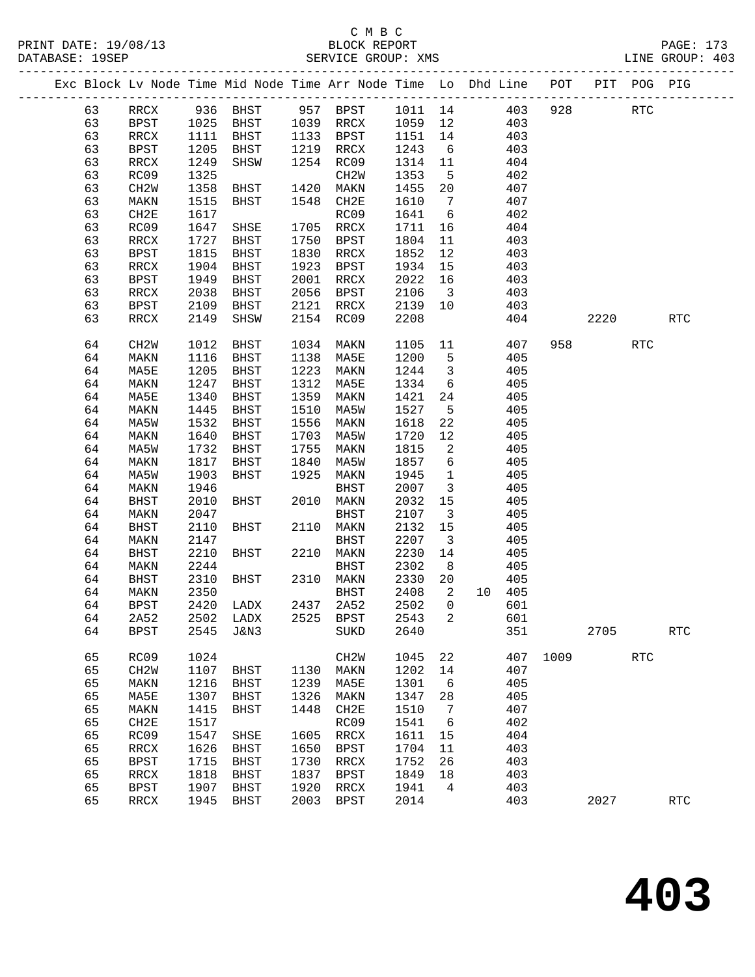|  |    |                   |      |             |      | Exc Block Lv Node Time Mid Node Time Arr Node Time Lo Dhd Line POT |         |                         |        |     |      |      | PIT POG PIG |                      |
|--|----|-------------------|------|-------------|------|--------------------------------------------------------------------|---------|-------------------------|--------|-----|------|------|-------------|----------------------|
|  | 63 | RRCX              |      | 936 BHST    |      | 957 BPST 1011 14 403                                               |         |                         |        |     | 928  |      | <b>RTC</b>  |                      |
|  | 63 | BPST              | 1025 | BHST        |      | 1039 RRCX                                                          | 1059 12 |                         |        | 403 |      |      |             |                      |
|  | 63 | RRCX              | 1111 | BHST        |      | 1133 BPST                                                          | 1151    | 14                      |        | 403 |      |      |             |                      |
|  | 63 | BPST              | 1205 | BHST        | 1219 | RRCX                                                               | 1243    | 6                       |        | 403 |      |      |             |                      |
|  | 63 | RRCX              | 1249 | SHSW        | 1254 | RC09                                                               | 1314    | 11                      |        | 404 |      |      |             |                      |
|  | 63 | RC09              | 1325 |             |      | CH <sub>2</sub> M                                                  | 1353    | $5^{\circ}$             |        | 402 |      |      |             |                      |
|  | 63 | CH <sub>2</sub> W | 1358 | BHST        | 1420 | MAKN                                                               | 1455    | 20                      |        | 407 |      |      |             |                      |
|  | 63 | MAKN              | 1515 | BHST        | 1548 | CH2E                                                               | 1610    | $\overline{7}$          |        | 407 |      |      |             |                      |
|  | 63 | CH2E              | 1617 |             |      | RC09                                                               | 1641    | 6                       |        | 402 |      |      |             |                      |
|  | 63 | RC09              | 1647 | SHSE        | 1705 | RRCX                                                               | 1711    | 16                      |        | 404 |      |      |             |                      |
|  | 63 | RRCX              | 1727 | BHST        | 1750 | BPST                                                               | 1804    | 11                      |        | 403 |      |      |             |                      |
|  | 63 | BPST              | 1815 | BHST        | 1830 | RRCX                                                               | 1852    | 12                      |        | 403 |      |      |             |                      |
|  | 63 | RRCX              | 1904 | BHST        | 1923 | BPST                                                               | 1934    | 15                      |        | 403 |      |      |             |                      |
|  | 63 | BPST              | 1949 | BHST        | 2001 | RRCX                                                               | 2022    | 16                      |        | 403 |      |      |             |                      |
|  | 63 | RRCX              | 2038 | BHST        | 2056 | BPST                                                               | 2106    | $\overline{\mathbf{3}}$ |        | 403 |      |      |             |                      |
|  | 63 | BPST              | 2109 | BHST        | 2121 | RRCX                                                               | 2139    | 10                      |        | 403 |      |      |             |                      |
|  | 63 | RRCX              | 2149 | SHSW        | 2154 | RC09                                                               | 2208    |                         |        | 404 |      | 2220 |             | <b>RTC</b>           |
|  | 64 | CH2W              | 1012 | BHST        | 1034 | MAKN                                                               | 1105    | 11                      |        | 407 | 958  |      | <b>RTC</b>  |                      |
|  | 64 | MAKN              | 1116 | BHST        | 1138 | MA5E                                                               | 1200    | $-5$                    |        | 405 |      |      |             |                      |
|  | 64 | MA5E              | 1205 | BHST        | 1223 | MAKN                                                               | 1244    | $\overline{\mathbf{3}}$ |        | 405 |      |      |             |                      |
|  | 64 | MAKN              | 1247 | BHST        | 1312 | MA5E                                                               | 1334    | $6\overline{6}$         |        | 405 |      |      |             |                      |
|  | 64 | MA5E              | 1340 | BHST        | 1359 | MAKN                                                               | 1421    | 24                      |        | 405 |      |      |             |                      |
|  | 64 | MAKN              | 1445 | BHST        | 1510 | MA5W                                                               | 1527    | $5^{\circ}$             |        | 405 |      |      |             |                      |
|  | 64 | MA5W              | 1532 | BHST        | 1556 | MAKN                                                               | 1618    | 22                      |        | 405 |      |      |             |                      |
|  | 64 | MAKN              | 1640 | BHST        | 1703 | MA5W                                                               | 1720    | 12                      |        | 405 |      |      |             |                      |
|  | 64 | MA5W              | 1732 | BHST        | 1755 | MAKN                                                               | 1815    | $\overline{2}$          |        | 405 |      |      |             |                      |
|  | 64 | MAKN              | 1817 | BHST        | 1840 | MA5W                                                               | 1857    | $6\overline{6}$         |        | 405 |      |      |             |                      |
|  | 64 | MA5W              | 1903 | BHST        | 1925 | MAKN                                                               | 1945    | $\overline{1}$          |        | 405 |      |      |             |                      |
|  | 64 | MAKN              | 1946 |             |      | BHST                                                               | 2007    | $\overline{\mathbf{3}}$ |        | 405 |      |      |             |                      |
|  | 64 | <b>BHST</b>       | 2010 | BHST        |      | 2010 MAKN                                                          | 2032    | 15                      |        | 405 |      |      |             |                      |
|  | 64 | MAKN              | 2047 |             |      | BHST                                                               | 2107    | $\overline{\mathbf{3}}$ |        | 405 |      |      |             |                      |
|  | 64 | <b>BHST</b>       | 2110 | BHST        | 2110 | MAKN                                                               | 2132    | 15                      |        | 405 |      |      |             |                      |
|  | 64 | MAKN              | 2147 |             |      | <b>BHST</b>                                                        | 2207    | $\overline{\mathbf{3}}$ |        | 405 |      |      |             |                      |
|  | 64 | <b>BHST</b>       | 2210 | BHST        | 2210 | MAKN                                                               | 2230    | 14                      |        | 405 |      |      |             |                      |
|  | 64 | MAKN              | 2244 |             |      | BHST                                                               | 2302    | 8 <sup>8</sup>          |        | 405 |      |      |             |                      |
|  | 64 | BHST              | 2310 | BHST        |      | 2310 MAKN                                                          | 2330    | 20                      |        | 405 |      |      |             |                      |
|  | 64 | MAKN              | 2350 |             |      | BHST                                                               | 2408    | 2                       | 10 405 |     |      |      |             |                      |
|  | 64 | <b>BPST</b>       | 2420 | LADX        |      | 2437 2A52                                                          | 2502    | $\overline{0}$          |        | 601 |      |      |             |                      |
|  | 64 | 2A52              |      | 2502 LADX   |      | 2525 BPST                                                          | 2543    | $\overline{a}$          |        | 601 |      |      |             |                      |
|  | 64 | <b>BPST</b>       | 2545 | J&N3        |      | SUKD                                                               | 2640    |                         |        | 351 |      | 2705 |             | $\operatorname{RTC}$ |
|  |    |                   |      |             |      |                                                                    |         |                         |        |     |      |      |             |                      |
|  | 65 | RC09              | 1024 |             |      | CH <sub>2</sub> M                                                  | 1045    | 22                      |        | 407 | 1009 |      | <b>RTC</b>  |                      |
|  | 65 | CH2W              | 1107 | <b>BHST</b> | 1130 | MAKN                                                               | 1202    | 14                      |        | 407 |      |      |             |                      |
|  | 65 | MAKN              | 1216 | BHST        | 1239 | MA5E                                                               | 1301    | 6                       |        | 405 |      |      |             |                      |
|  | 65 | MA5E              | 1307 | BHST        | 1326 | MAKN                                                               | 1347    | 28                      |        | 405 |      |      |             |                      |
|  | 65 | MAKN              | 1415 | <b>BHST</b> | 1448 | CH2E                                                               | 1510    | 7                       |        | 407 |      |      |             |                      |
|  | 65 | CH <sub>2E</sub>  | 1517 |             |      | RC09                                                               | 1541    | 6                       |        | 402 |      |      |             |                      |
|  | 65 | RC09              | 1547 | SHSE        | 1605 | RRCX                                                               | 1611    | 15                      |        | 404 |      |      |             |                      |
|  | 65 | RRCX              | 1626 | BHST        | 1650 | <b>BPST</b>                                                        | 1704    | 11                      |        | 403 |      |      |             |                      |
|  | 65 | <b>BPST</b>       | 1715 | <b>BHST</b> | 1730 | RRCX                                                               | 1752    | 26                      |        | 403 |      |      |             |                      |
|  | 65 | <b>RRCX</b>       | 1818 | BHST        | 1837 | <b>BPST</b>                                                        | 1849    | 18                      |        | 403 |      |      |             |                      |
|  | 65 | <b>BPST</b>       | 1907 | BHST        | 1920 | RRCX                                                               | 1941    | 4                       |        | 403 |      |      |             |                      |
|  | 65 | RRCX              | 1945 | BHST        | 2003 | <b>BPST</b>                                                        | 2014    |                         |        | 403 |      | 2027 |             | $\operatorname{RTC}$ |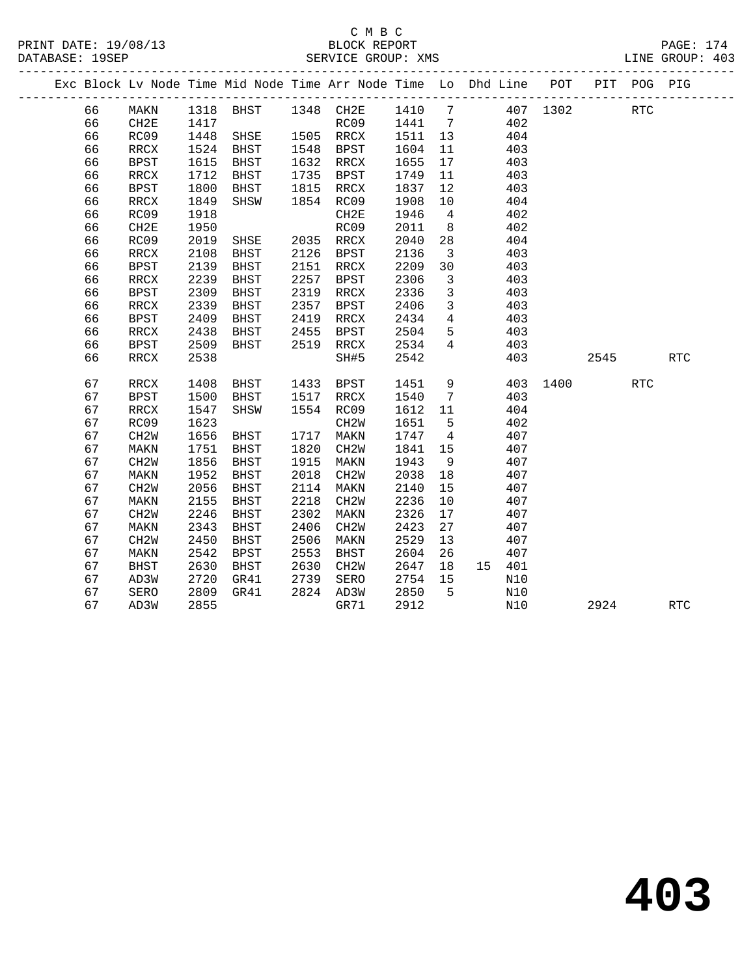## C M B C

|  | DATABASE: 19SEP |                          |      |                                                                                |      | SERVICE GROUP: XMS         |                    |                         |        |     |          |      |            | LINE GROUP: 403 |  |
|--|-----------------|--------------------------|------|--------------------------------------------------------------------------------|------|----------------------------|--------------------|-------------------------|--------|-----|----------|------|------------|-----------------|--|
|  |                 |                          |      | Exc Block Lv Node Time Mid Node Time Arr Node Time Lo Dhd Line POT PIT POG PIG |      |                            |                    |                         |        |     |          |      |            |                 |  |
|  | 66              | MAKN                     |      | 1318 BHST 1348 CH2E 1410 7 407 1302 RTC                                        |      |                            |                    |                         |        |     |          |      |            |                 |  |
|  | 66              | CH2E                     | 1417 |                                                                                |      | RC09 1441 7                |                    |                         | 402    |     |          |      |            |                 |  |
|  | 66              | RC09                     | 1448 | RCU9<br>SHSE 1505 RRCX<br>BHST 1548 BPST                                       |      |                            | 1511 13<br>1604 11 |                         |        | 404 |          |      |            |                 |  |
|  | 66              | RRCX                     | 1524 | BHST                                                                           |      | 1548 BPST                  | 1604               | 11                      |        | 403 |          |      |            |                 |  |
|  | 66              | <b>BPST</b>              | 1615 | BHST                                                                           |      | 1632 RRCX                  | 1655               | 17                      |        | 403 |          |      |            |                 |  |
|  | 66              | RRCX                     | 1712 | BHST                                                                           |      | 1735 BPST                  | 1749               | 11                      |        | 403 |          |      |            |                 |  |
|  | 66              | BPST                     | 1800 | BHST                                                                           |      | 1815 RRCX<br>1854 RC09     | 1837               | 12                      |        | 403 |          |      |            |                 |  |
|  | 66              | RRCX                     | 1849 | SHSW                                                                           |      |                            | 1908               | 10                      |        | 404 |          |      |            |                 |  |
|  | 66              | RC09                     | 1918 |                                                                                |      | CH2E                       | 1946               | $\overline{4}$          |        | 402 |          |      |            |                 |  |
|  | 66              | CH2E                     | 1950 |                                                                                |      | RC09                       | 2011               | 8 <sup>8</sup>          |        | 402 |          |      |            |                 |  |
|  | 66              | RC09                     | 2019 | SHSE 2035 RRCX<br>BHST 2126 RPST                                               |      |                            | 2040               | 28                      |        | 404 |          |      |            |                 |  |
|  | 66              | RRCX                     | 2108 | BHST                                                                           |      | 2126 BPST                  | 2136               | $\overline{\mathbf{3}}$ |        | 403 |          |      |            |                 |  |
|  | 66              | <b>BPST</b>              | 2139 | BHST                                                                           |      | 2151 RRCX                  | 2209               | 30                      |        | 403 |          |      |            |                 |  |
|  | 66              | $\mathop{\mathrm{RRCX}}$ | 2239 | BHST                                                                           |      | 2257 BPST                  | 2306               | $\overline{\mathbf{3}}$ |        | 403 |          |      |            |                 |  |
|  | 66              | BPST                     | 2309 | BHST                                                                           |      | 2319 RRCX                  | 2336               | $\overline{3}$          |        | 403 |          |      |            |                 |  |
|  | 66              | RRCX                     | 2339 | BHST                                                                           | 2357 | BPST                       | 2406               | $\overline{\mathbf{3}}$ |        | 403 |          |      |            |                 |  |
|  | 66              | <b>BPST</b>              | 2409 | BHST                                                                           | 2419 | RRCX                       | 2434               | $\overline{4}$          |        | 403 |          |      |            |                 |  |
|  | 66              | $\mathop{\mathrm{RRCX}}$ | 2438 | BHST                                                                           | 2455 | BPST                       | 2504               | 5 <sub>5</sub>          |        | 403 |          |      |            |                 |  |
|  | 66              | BPST                     | 2509 | BHST                                                                           |      | 2519 RRCX                  | 2534               | $\overline{4}$          |        | 403 |          |      |            |                 |  |
|  | 66              | RRCX                     | 2538 |                                                                                |      | SH#5                       | 2542               |                         |        |     | 403      | 2545 |            | <b>RTC</b>      |  |
|  | 67              | RRCX                     | 1408 | BHST 1433 BPST                                                                 |      |                            | 1451               | 9                       |        |     | 403 1400 |      | <b>RTC</b> |                 |  |
|  | 67              | BPST                     | 1500 | BHST                                                                           |      | $1517$ RRCX<br>$1554$ PC00 | 1540               | $\overline{7}$          |        | 403 |          |      |            |                 |  |
|  | 67              | RRCX                     | 1547 | SHSW                                                                           |      | 1554 RC09                  | 1612 11            |                         |        | 404 |          |      |            |                 |  |
|  | 67              | RC09                     | 1623 |                                                                                |      | CH <sub>2</sub> W          | 1651               | $5^{\circ}$             |        | 402 |          |      |            |                 |  |
|  | 67              | CH <sub>2</sub> W        | 1656 | BHST                                                                           | 1717 | MAKN                       | 1747               | $\overline{4}$          |        | 407 |          |      |            |                 |  |
|  | 67              | MAKN                     | 1751 | BHST                                                                           | 1820 | CH2W                       | 1841               | 15                      |        | 407 |          |      |            |                 |  |
|  | 67              | CH <sub>2</sub> W        | 1856 | BHST                                                                           | 1915 | MAKN                       | 1943               | 9                       |        | 407 |          |      |            |                 |  |
|  | 67              | MAKN                     | 1952 | BHST                                                                           | 2018 | CH2W                       | 2038               | 18                      |        | 407 |          |      |            |                 |  |
|  | 67              | CH <sub>2</sub> W        | 2056 | BHST                                                                           | 2114 | MAKN                       | 2140               | 15                      |        | 407 |          |      |            |                 |  |
|  | 67              | MAKN                     | 2155 | BHST                                                                           | 2218 | CH2W                       | 2236               | 10                      |        | 407 |          |      |            |                 |  |
|  | 67              | CH <sub>2</sub> W        | 2246 | BHST                                                                           | 2302 | MAKN                       | 2326               | 17                      |        | 407 |          |      |            |                 |  |
|  | 67              | MAKN                     | 2343 | BHST                                                                           | 2406 | CH2W                       | 2423               | 27                      |        | 407 |          |      |            |                 |  |
|  | 67              | CH <sub>2</sub> W        | 2450 | BHST                                                                           | 2506 | MAKN                       | 2529               | 13                      |        | 407 |          |      |            |                 |  |
|  | 67              | MAKN                     | 2542 | BPST                                                                           | 2553 | BHST                       | 2604               | 26                      |        | 407 |          |      |            |                 |  |
|  | 67              | BHST                     | 2630 | BHST                                                                           | 2630 | CH2W                       | 2647               | 18                      | 15 401 |     |          |      |            |                 |  |
|  | 67              | AD3W                     | 2720 | GR41                                                                           | 2739 | SERO                       | 2754               | 15                      |        | N10 |          |      |            |                 |  |
|  | 67              | SERO                     | 2809 | GR41                                                                           |      | 2824 AD3W                  | 2850               | $5^{\circ}$             |        | N10 |          |      |            |                 |  |
|  | 67              | AD3W                     | 2855 |                                                                                |      | GR71                       | 2912               |                         |        | N10 |          | 2924 |            | <b>RTC</b>      |  |
|  |                 |                          |      |                                                                                |      |                            |                    |                         |        |     |          |      |            |                 |  |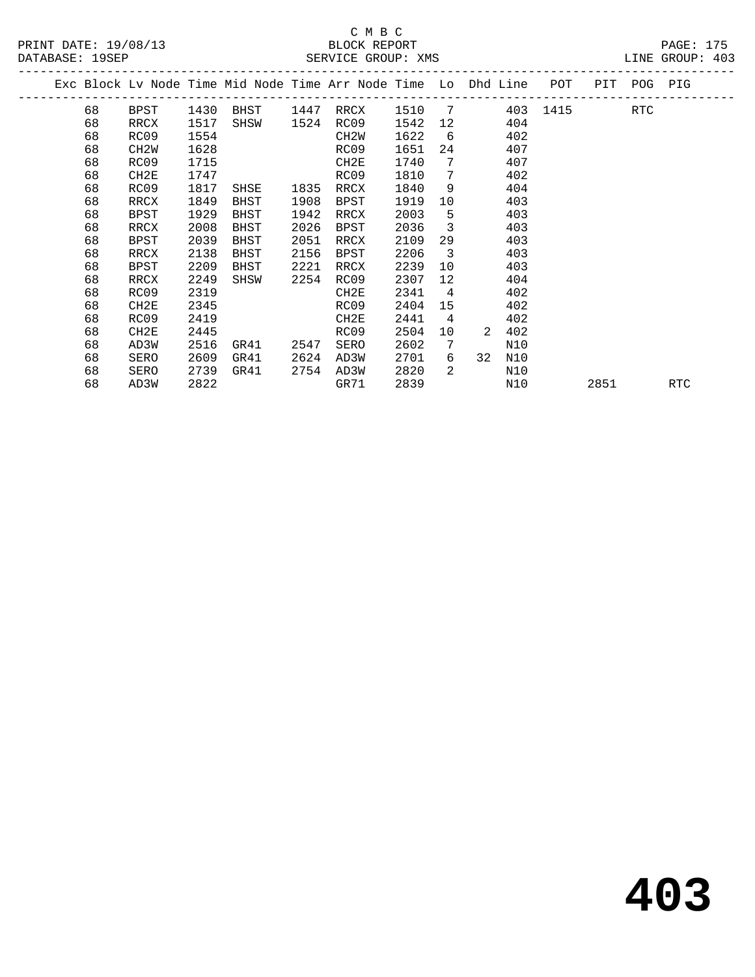|  |    |                   |      |      |      | Exc Block Lv Node Time Mid Node Time Arr Node Time Lo Dhd Line POT |      |                         |                |     |          |      | PIT POG PIG |     |
|--|----|-------------------|------|------|------|--------------------------------------------------------------------|------|-------------------------|----------------|-----|----------|------|-------------|-----|
|  | 68 | BPST              | 1430 | BHST | 1447 | RRCX                                                               | 1510 | $7\phantom{0}$          |                |     | 403 1415 |      | RTC         |     |
|  | 68 | RRCX              | 1517 | SHSW | 1524 | RC09                                                               | 1542 | 12                      |                | 404 |          |      |             |     |
|  | 68 | RC09              | 1554 |      |      | CH2W                                                               | 1622 | 6                       |                | 402 |          |      |             |     |
|  | 68 | CH <sub>2</sub> W | 1628 |      |      | RC09                                                               | 1651 | 24                      |                | 407 |          |      |             |     |
|  | 68 | RC09              | 1715 |      |      | CH2E                                                               | 1740 | 7                       |                | 407 |          |      |             |     |
|  | 68 | CH2E              | 1747 |      |      | RC09                                                               | 1810 | 7                       |                | 402 |          |      |             |     |
|  | 68 | RC09              | 1817 | SHSE | 1835 | RRCX                                                               | 1840 | 9                       |                | 404 |          |      |             |     |
|  | 68 | RRCX              | 1849 | BHST | 1908 | BPST                                                               | 1919 | 10                      |                | 403 |          |      |             |     |
|  | 68 | BPST              | 1929 | BHST | 1942 | RRCX                                                               | 2003 | 5                       |                | 403 |          |      |             |     |
|  | 68 | RRCX              | 2008 | BHST | 2026 | BPST                                                               | 2036 | $\overline{3}$          |                | 403 |          |      |             |     |
|  | 68 | BPST              | 2039 | BHST | 2051 | RRCX                                                               | 2109 | 29                      |                | 403 |          |      |             |     |
|  | 68 | RRCX              | 2138 | BHST | 2156 | BPST                                                               | 2206 | $\overline{\mathbf{3}}$ |                | 403 |          |      |             |     |
|  | 68 | BPST              | 2209 | BHST | 2221 | RRCX                                                               | 2239 | 10                      |                | 403 |          |      |             |     |
|  | 68 | RRCX              | 2249 | SHSW | 2254 | RC09                                                               | 2307 | 12                      |                | 404 |          |      |             |     |
|  | 68 | RC09              | 2319 |      |      | CH2E                                                               | 2341 | $4\overline{ }$         |                | 402 |          |      |             |     |
|  | 68 | CH2E              | 2345 |      |      | RC09                                                               | 2404 | 15                      |                | 402 |          |      |             |     |
|  | 68 | RC09              | 2419 |      |      | CH2E                                                               | 2441 | $\overline{4}$          |                | 402 |          |      |             |     |
|  | 68 | CH2E              | 2445 |      |      | RC09                                                               | 2504 | 10                      | $\overline{2}$ | 402 |          |      |             |     |
|  | 68 | AD3W              | 2516 | GR41 | 2547 | SERO                                                               | 2602 | 7                       |                | N10 |          |      |             |     |
|  | 68 | SERO              | 2609 | GR41 | 2624 | AD3W                                                               | 2701 | 6                       | 32             | N10 |          |      |             |     |
|  | 68 | SERO              | 2739 | GR41 | 2754 | AD3W                                                               | 2820 | $\mathcal{L}$           |                | N10 |          |      |             |     |
|  | 68 | AD3W              | 2822 |      |      | GR71                                                               | 2839 |                         |                | N10 |          | 2851 |             | RTC |
|  |    |                   |      |      |      |                                                                    |      |                         |                |     |          |      |             |     |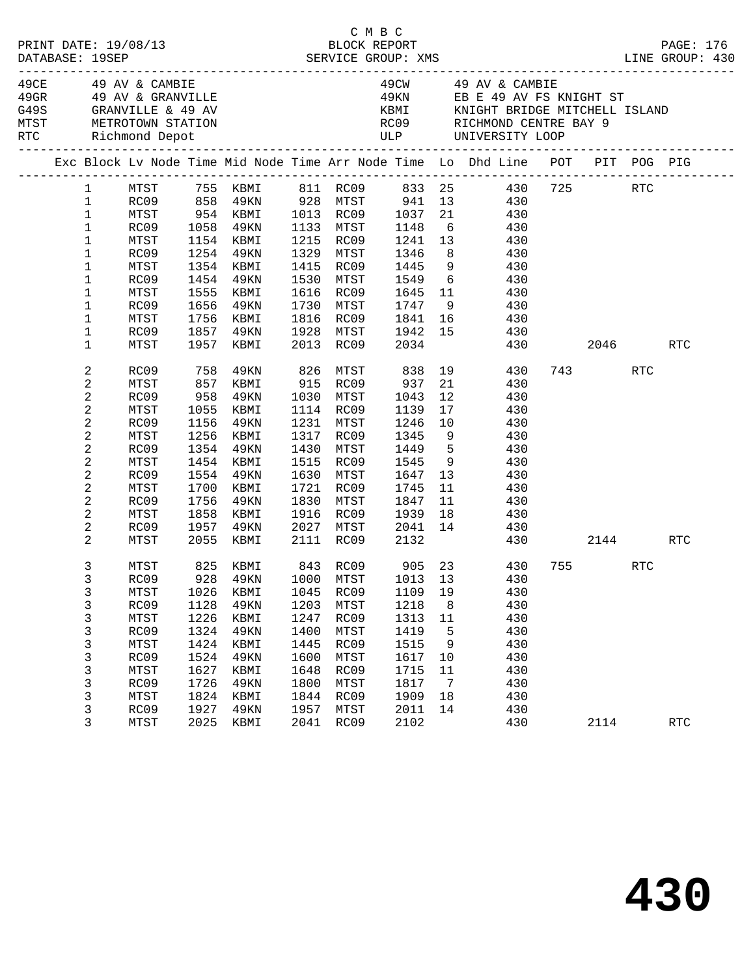|  |                                                                                                                                                                       |                                                                                                      |                                                                              |                                                                                                                                                         |                                                                              | C M B C                                                                                                                                                |                                                                                                              |                                                                     |                                                                                                                                                                                                        |              |            |     |
|--|-----------------------------------------------------------------------------------------------------------------------------------------------------------------------|------------------------------------------------------------------------------------------------------|------------------------------------------------------------------------------|---------------------------------------------------------------------------------------------------------------------------------------------------------|------------------------------------------------------------------------------|--------------------------------------------------------------------------------------------------------------------------------------------------------|--------------------------------------------------------------------------------------------------------------|---------------------------------------------------------------------|--------------------------------------------------------------------------------------------------------------------------------------------------------------------------------------------------------|--------------|------------|-----|
|  |                                                                                                                                                                       | 49CE 49 AV & CAMBIE                                                                                  |                                                                              | 49GR 49 AV & GRANVILLE<br>G49S GRANVILLE & 49 AV<br>MTST METROTOWN STATION<br>RTC Richmond Depot                                                        |                                                                              |                                                                                                                                                        |                                                                                                              |                                                                     | 49CW 49 AV & CAMBIE<br>49KN EB E 49 AV FS KNIGHT ST<br>GRANVILLE & 49 AV ABMI WIGHT BRIDGE MITCHELL ISLAND MTST METROTOWN STATION ROOS RICHMOND CENTRE BAY 9<br>RTC Richmond Depot ULP UNIVERSITY LOOP |              |            |     |
|  |                                                                                                                                                                       |                                                                                                      |                                                                              |                                                                                                                                                         |                                                                              |                                                                                                                                                        |                                                                                                              |                                                                     | Exc Block Lv Node Time Mid Node Time Arr Node Time Lo Dhd Line POT PIT POG PIG                                                                                                                         |              |            |     |
|  | $\mathbf{1}$<br>$\mathbf{1}$<br>$\mathbf{1}$<br>$\mathbf{1}$<br>1<br>$\mathbf 1$<br>$\mathbf 1$                                                                       | MTST<br>RC09<br>MTST<br>RC09<br>MTST<br>RC09<br>MTST                                                 |                                                                              | 1058 49KN<br>1154 KBMI<br>1254 49KN<br>1354 KBMI<br>1454 49KN<br>1555 KBMI                                                                              |                                                                              | 1133 MTST<br>1215 RC09<br>1329 MTST<br>1415 RC09<br>1530 MTST<br>1616 RC09                                                                             | 1346<br>1445                                                                                                 |                                                                     | 1 MTST 755 KBMI 811 RC09 833 25 430 725 RTC<br>1 RC09 858 49KN 928 MTST 941 13 430<br>954 KBMI 1013 RC09 1037 21 430<br>1148 6 430<br>1241 13 430<br>8 430<br>9 430<br>1549 6 430<br>1645 11 430       |              |            |     |
|  | 1<br>$\mathbf 1$<br>1<br>$\mathbf 1$                                                                                                                                  | RC09<br>MTST<br>RC09<br>MTST                                                                         |                                                                              | 1656 49KN<br>1756 KBMI<br>1857 49KN<br>1957 KBMI                                                                                                        |                                                                              | 1730 MTST<br>1928 MTST<br>2013 RC09                                                                                                                    |                                                                                                              |                                                                     | $1747$ 9 430<br>1816 RC09 1841 16 430<br>1942 15 430<br>2034 430                                                                                                                                       | 430 2046 RTC |            |     |
|  | 2<br>2<br>$\overline{c}$<br>$\overline{c}$<br>$\overline{c}$<br>2<br>$\overline{c}$<br>$\overline{c}$<br>2<br>2<br>$\overline{c}$<br>$\overline{c}$<br>$\overline{a}$ | RC09<br>MTST<br>RC09<br>MTST<br>RC09<br>MTST<br>RC09<br>MTST<br>RC09<br>MTST<br>RC09<br>MTST<br>RC09 | 758<br>1156<br>1256<br>1354<br>1756                                          | 49KN<br>857 KBMI<br>958 49KN<br>1055 KBMT<br>1055 KBMI<br>49KN<br>KBMI<br>49KN<br>1454 KBMI<br>1554 49KN<br>1700 KBMI<br>49KN<br>1858 KBMI<br>1957 49KN |                                                                              | 826 MTST<br>915 RC09<br>1030 MTST<br>1114 RC09<br>1231 MTST<br>1317 RC09<br>1430 MTST<br>1515 RC09<br>1630 MTST<br>1721 RC09<br>1830 MTST<br>1916 RC09 | 838<br>937<br>1043<br>1139<br>1246<br>1345<br>1449<br>1545<br>1647<br>1745<br>1847<br>1939<br>2027 MTST 2041 | 21<br>12<br>17<br>10<br>9<br>13<br>11<br>11<br>18                   | 19<br>430<br>430<br>430<br>430<br>430<br>430<br>$\begin{array}{ccc} 5 & 430 \\ 9 & 430 \end{array}$<br>430<br>430<br>$430$<br>$430$<br>14 430                                                          | 743          | <b>RTC</b> |     |
|  | $\overline{2}$<br>3<br>3<br>3<br>3<br>3<br>3<br>3<br>3<br>3<br>3<br>3<br>3                                                                                            | MTST<br>MTST<br>MTST<br>RC09<br>MTST<br>RC09<br>MTST<br>RC09<br>MTST<br>RC09<br>MTST<br>RC09         | 1026<br>1128<br>1226<br>1324<br>1424<br>1524<br>1627<br>1726<br>1824<br>1927 | 2055 KBMI<br>KBMI<br>49KN<br>KBMI<br>49KN<br>KBMI<br>49KN<br>KBMI<br>49KN<br>KBMI<br>49KN                                                               | 1045<br>1203<br>1247<br>1400<br>1445<br>1600<br>1648<br>1800<br>1844<br>1957 | 2111 RC09<br>RC09<br>MTST<br>RC09<br>MTST<br>RC09<br>${\tt MTST}$<br>RC09<br>MTST<br>RC09<br>MTST                                                      | 2132<br>1109<br>1218<br>1313<br>1419<br>1515<br>1617<br>1715<br>1817<br>1909<br>2011                         | 19<br>8<br>11<br>- 5<br>9<br>10<br>11<br>$\overline{7}$<br>18<br>14 | 430 2144<br>825 KBMI 843 RC09 905 23 430<br>RC09 928 49KN 1000 MTST 1013 13 430<br>430<br>430<br>430<br>430<br>430<br>430<br>430<br>430<br>430<br>430                                                  |              | <b>RTC</b> | RTC |
|  | 3                                                                                                                                                                     | MTST                                                                                                 | 2025                                                                         | KBMI                                                                                                                                                    | 2041                                                                         | RC09                                                                                                                                                   | 2102                                                                                                         |                                                                     | 430                                                                                                                                                                                                    | 2114         |            | RTC |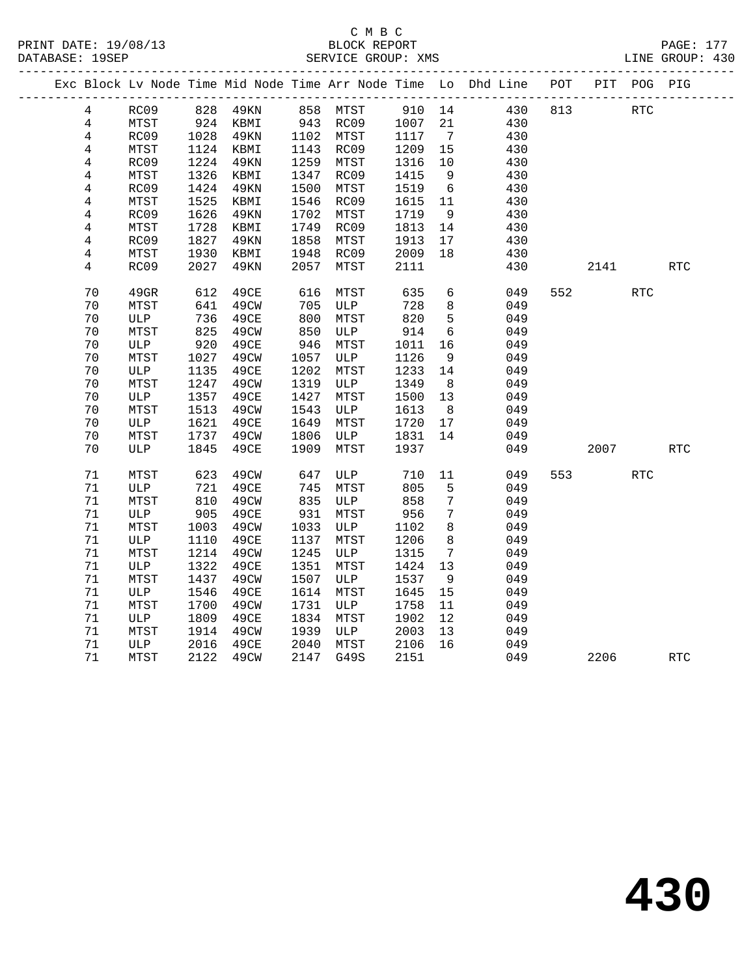|                |      |               |          |      |            |        |                 | Exc Block Lv Node Time Mid Node Time Arr Node Time Lo Dhd Line POT |     |      | PIT POG PIG |            |  |
|----------------|------|---------------|----------|------|------------|--------|-----------------|--------------------------------------------------------------------|-----|------|-------------|------------|--|
| 4              | RC09 |               | 828 49KN |      | 858 MTST   | 910 14 |                 | 430                                                                | 813 |      | <b>RTC</b>  |            |  |
| $\overline{4}$ | MTST | $924$<br>1028 | KBMI     |      | $943$ RC09 | 1007   | 21              | 430                                                                |     |      |             |            |  |
| $\overline{4}$ | RC09 | 1028          | 49KN     |      | 1102 MTST  | 1117   | $\overline{7}$  | 430                                                                |     |      |             |            |  |
| $\overline{4}$ | MTST | 1124          | KBMI     |      | 1143 RC09  | 1209   | 15              | 430                                                                |     |      |             |            |  |
| $\overline{4}$ | RC09 | 1224          | 49KN     | 1259 | MTST       | 1316   | 10              | 430                                                                |     |      |             |            |  |
| $\overline{4}$ | MTST | 1326          | KBMI     | 1347 | RC09       | 1415   | 9               | 430                                                                |     |      |             |            |  |
| 4              | RC09 | 1424          | 49KN     | 1500 | MTST       | 1519   | 6               | 430                                                                |     |      |             |            |  |
| 4              | MTST | 1525          | KBMI     | 1546 | RC09       | 1615   | 11              | 430                                                                |     |      |             |            |  |
| 4              | RC09 | 1626          | 49KN     | 1702 | MTST       | 1719   | 9               | 430                                                                |     |      |             |            |  |
| 4              | MTST | 1728          | KBMI     | 1749 | RC09       | 1813   | 14              | 430                                                                |     |      |             |            |  |
| 4              | RC09 | 1827          | 49KN     | 1858 | MTST       | 1913   | 17              | 430                                                                |     |      |             |            |  |
| 4              | MTST | 1930          | KBMI     | 1948 | RC09       | 2009   | 18              | 430                                                                |     |      |             |            |  |
| 4              | RC09 | 2027          | 49KN     | 2057 | MTST       | 2111   |                 | 430                                                                |     | 2141 |             | <b>RTC</b> |  |
| 70             | 49GR | 612           | 49CE     | 616  | MTST       | 635    | 6               | 049                                                                | 552 |      | <b>RTC</b>  |            |  |
| 70             | MTST | 641           | 49CW     | 705  | ULP        | 728    | 8               | 049                                                                |     |      |             |            |  |
| 70             | ULP  | 736           | 49CE     | 800  | MTST       | 820    | 5               | 049                                                                |     |      |             |            |  |
| 70             | MTST | 825           | 49CW     | 850  | ULP        | 914    | $6\phantom{1}6$ | 049                                                                |     |      |             |            |  |
| 70             | ULP  | 920           | 49CE     | 946  | MTST       | 1011   | 16              | 049                                                                |     |      |             |            |  |
| 70             | MTST | 1027          | 49CW     | 1057 | ULP        | 1126   | 9               | 049                                                                |     |      |             |            |  |
| 70             | ULP  | 1135          | 49CE     | 1202 | MTST       | 1233   | 14              | 049                                                                |     |      |             |            |  |
| 70             | MTST | 1247          | 49CW     | 1319 | ULP        | 1349   | 8               | 049                                                                |     |      |             |            |  |
| 70             | ULP  | 1357          | 49CE     | 1427 | MTST       | 1500   | 13              | 049                                                                |     |      |             |            |  |
| 70             | MTST | 1513          | 49CW     | 1543 | ULP        | 1613   | 8 <sup>8</sup>  | 049                                                                |     |      |             |            |  |
| 70             | ULP  | 1621          | 49CE     | 1649 | MTST       | 1720   | 17              | 049                                                                |     |      |             |            |  |
| 70             | MTST | 1737          | 49CW     | 1806 | ULP        | 1831   | 14              | 049                                                                |     |      |             |            |  |
| 70             | ULP  | 1845          | 49CE     | 1909 | MTST       | 1937   |                 | 049                                                                |     | 2007 |             | <b>RTC</b> |  |
| $71$           | MTST | 623           | 49CW     | 647  | ULP        | 710    | 11              | 049                                                                | 553 |      | <b>RTC</b>  |            |  |
| 71             | ULP  | 721           | 49CE     | 745  | MTST       | 805    | 5               | 049                                                                |     |      |             |            |  |
| $71\,$         | MTST | 810           | 49CW     | 835  | ULP        | 858    | $7\phantom{.0}$ | 049                                                                |     |      |             |            |  |
| 71             | ULP  | 905           | 49CE     | 931  | MTST       | 956    | $7\phantom{.0}$ | 049                                                                |     |      |             |            |  |
| 71             | MTST | 1003          | 49CW     | 1033 | ULP        | 1102   | 8               | 049                                                                |     |      |             |            |  |
| 71             | ULP  | 1110          | 49CE     | 1137 | MTST       | 1206   | 8               | 049                                                                |     |      |             |            |  |
| 71             | MTST | 1214          | 49CW     | 1245 | ULP        | 1315   | $7\overline{ }$ | 049                                                                |     |      |             |            |  |
| 71             | ULP  | 1322          | 49CE     | 1351 | MTST       | 1424   | 13              | 049                                                                |     |      |             |            |  |
| $71\,$         | MTST | 1437          | 49CW     | 1507 | ULP        | 1537   | - 9             | 049                                                                |     |      |             |            |  |
| 71             | ULP  | 1546          | 49CE     | 1614 | MTST       | 1645   | 15              | 049                                                                |     |      |             |            |  |
| $71\,$         | MTST | 1700          | 49CW     | 1731 | ULP        | 1758   | 11              | 049                                                                |     |      |             |            |  |
| 71             | ULP  | 1809          | 49CE     | 1834 | MTST       | 1902   | 12              | 049                                                                |     |      |             |            |  |
| 71             | MTST | 1914          | 49CW     | 1939 | ULP        | 2003   | 13              | 049                                                                |     |      |             |            |  |
| 71             | ULP  | 2016          | 49CE     | 2040 | MTST       | 2106   | 16              | 049                                                                |     |      |             |            |  |
| 71             | MTST | 2122          | 49CW     | 2147 | G49S       | 2151   |                 | 049                                                                |     | 2206 |             | <b>RTC</b> |  |
|                |      |               |          |      |            |        |                 |                                                                    |     |      |             |            |  |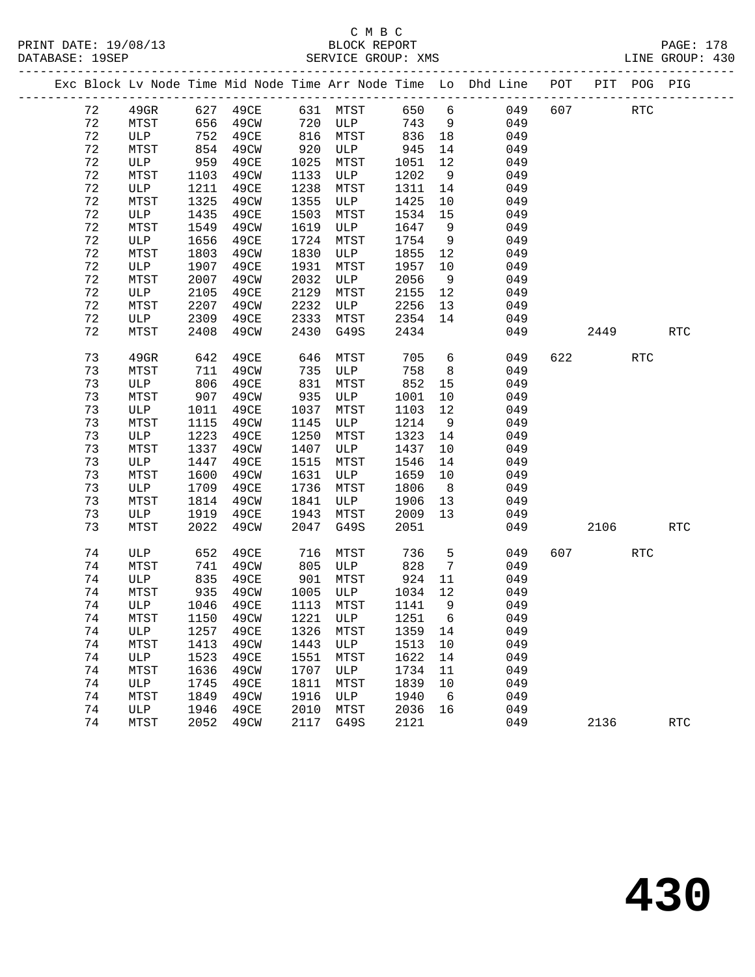PRINT DATE: 19/08/13 BLOCK REPORT BATABASE: 19SEP

# C M B C<br>BLOCK REPORT

PAGE: 178<br>LINE GROUP: 430

| DAIABASL · 1995F |      |      |          |      | PEKATCE GKOOL. VWP |      |                |                                                                                                 |     |      |             | TIME GKOOL. 420 |  |
|------------------|------|------|----------|------|--------------------|------|----------------|-------------------------------------------------------------------------------------------------|-----|------|-------------|-----------------|--|
|                  |      |      |          |      |                    |      |                | -------------------------<br>Exc Block Lv Node Time Mid Node Time Arr Node Time Lo Dhd Line POT |     |      | PIT POG PIG |                 |  |
| 72               | 49GR |      | 627 49CE |      | 631 MTST           | 650  | 6              | 049                                                                                             | 607 |      | <b>RTC</b>  |                 |  |
| 72               | MTST | 656  | 49CW     | 720  | ULP                | 743  | 9              | 049                                                                                             |     |      |             |                 |  |
| 72               | ULP  | 752  | 49CE     | 816  | MTST               | 836  | 18             | 049                                                                                             |     |      |             |                 |  |
| 72               | MTST | 854  | 49CW     | 920  | ULP                | 945  | 14             | 049                                                                                             |     |      |             |                 |  |
| 72               | ULP  | 959  | 49CE     | 1025 | MTST               | 1051 | 12             | 049                                                                                             |     |      |             |                 |  |
| 72               | MTST | 1103 | 49CW     | 1133 | ULP                | 1202 | 9              | 049                                                                                             |     |      |             |                 |  |
| 72               | ULP  | 1211 | 49CE     | 1238 | MTST               | 1311 | 14             | 049                                                                                             |     |      |             |                 |  |
| 72               | MTST | 1325 | 49CW     | 1355 | ULP                | 1425 | 10             | 049                                                                                             |     |      |             |                 |  |
| 72               | ULP  | 1435 | 49CE     | 1503 | MTST               | 1534 | 15             | 049                                                                                             |     |      |             |                 |  |
| 72               | MTST | 1549 | 49CW     | 1619 | ULP                | 1647 | 9              | 049                                                                                             |     |      |             |                 |  |
| 72               | ULP  | 1656 | 49CE     | 1724 | MTST               | 1754 | 9              | 049                                                                                             |     |      |             |                 |  |
| 72               | MTST | 1803 | 49CW     | 1830 | ULP                | 1855 | 12             | 049                                                                                             |     |      |             |                 |  |
| 72               | ULP  | 1907 | 49CE     | 1931 | MTST               | 1957 | 10             | 049                                                                                             |     |      |             |                 |  |
| 72               | MTST | 2007 | 49CW     | 2032 | ULP                | 2056 | 9              | 049                                                                                             |     |      |             |                 |  |
| 72               | ULP  | 2105 | 49CE     | 2129 | MTST               | 2155 | 12             | 049                                                                                             |     |      |             |                 |  |
| 72               | MTST | 2207 | 49CW     | 2232 | ULP                | 2256 | 13             | 049                                                                                             |     |      |             |                 |  |
| 72               | ULP  | 2309 | 49CE     | 2333 | MTST               | 2354 | 14             | 049                                                                                             |     |      |             |                 |  |
| 72               | MTST | 2408 | 49CW     | 2430 | G49S               | 2434 |                | 049                                                                                             |     | 2449 |             | <b>RTC</b>      |  |
|                  |      |      |          |      |                    |      |                |                                                                                                 |     |      |             |                 |  |
| 73               | 49GR | 642  | 49CE     | 646  | MTST               | 705  | 6              | 049                                                                                             | 622 |      | <b>RTC</b>  |                 |  |
| 73               | MTST | 711  | 49CW     | 735  | ULP                | 758  | 8              | 049                                                                                             |     |      |             |                 |  |
| 73               | ULP  | 806  | 49CE     | 831  | MTST               | 852  | 15             | 049                                                                                             |     |      |             |                 |  |
| 73               | MTST | 907  | 49CW     | 935  | ULP                | 1001 | 10             | 049                                                                                             |     |      |             |                 |  |
| 73               | ULP  | 1011 | 49CE     | 1037 | MTST               | 1103 | 12             | 049                                                                                             |     |      |             |                 |  |
| 73               | MTST | 1115 | 49CW     | 1145 | ULP                | 1214 | 9              | 049                                                                                             |     |      |             |                 |  |
| 73               | ULP  | 1223 | 49CE     | 1250 | MTST               | 1323 | 14             | 049                                                                                             |     |      |             |                 |  |
| 73               | MTST | 1337 | 49CW     | 1407 | ULP                | 1437 | 10             | 049                                                                                             |     |      |             |                 |  |
| 73               | ULP  | 1447 | 49CE     | 1515 | MTST               | 1546 | 14             | 049                                                                                             |     |      |             |                 |  |
| 73               | MTST | 1600 | 49CW     | 1631 | ULP                | 1659 | 10             | 049                                                                                             |     |      |             |                 |  |
| 73               | ULP  | 1709 | 49CE     | 1736 | MTST               | 1806 | 8 <sup>8</sup> | 049                                                                                             |     |      |             |                 |  |
| 73               | MTST | 1814 | 49CW     | 1841 | ULP                | 1906 | 13             | 049                                                                                             |     |      |             |                 |  |
| 73               | ULP  | 1919 | 49CE     | 1943 | MTST               | 2009 | 13             | 049                                                                                             |     |      |             |                 |  |
| 73               | MTST | 2022 | 49CW     | 2047 | G49S               | 2051 |                | 049                                                                                             |     | 2106 |             | <b>RTC</b>      |  |
|                  |      |      |          |      |                    |      |                |                                                                                                 |     |      |             |                 |  |
| 74               | ULP  | 652  | 49CE     | 716  | MTST               | 736  | 5              | 049                                                                                             | 607 |      | <b>RTC</b>  |                 |  |
| 74               | MTST | 741  | 49CW     | 805  | ULP                | 828  | 7              | 049                                                                                             |     |      |             |                 |  |
| 74               | ULP  | 835  | 49CE     | 901  | MTST               | 924  | 11             | 049                                                                                             |     |      |             |                 |  |
| 74               | MTST | 935  | 49CW     | 1005 | ULP                | 1034 | 12             | 049                                                                                             |     |      |             |                 |  |
| 74               | ULP  | 1046 | 49CE     | 1113 | MTST               | 1141 | 9              | 049                                                                                             |     |      |             |                 |  |
| 74               | MTST | 1150 | 49CW     | 1221 | ULP                | 1251 | 6              | 049                                                                                             |     |      |             |                 |  |
| 74               | ULP  | 1257 | 49CE     | 1326 | MTST               | 1359 | 14             | 049                                                                                             |     |      |             |                 |  |
| 74               | MTST | 1413 | 49CW     | 1443 | ULP                | 1513 | 10             | 049                                                                                             |     |      |             |                 |  |
| 74               | ULP  | 1523 | 49CE     | 1551 | MTST               | 1622 | 14             | 049                                                                                             |     |      |             |                 |  |
| 74               | MTST | 1636 | 49CW     | 1707 | ULP                | 1734 | 11             | 049                                                                                             |     |      |             |                 |  |
| 74               | ULP  | 1745 | 49CE     | 1811 | MTST               | 1839 | 10             | 049                                                                                             |     |      |             |                 |  |
| 74               | MTST | 1849 | 49CW     | 1916 | ULP                | 1940 | 6              | 049                                                                                             |     |      |             |                 |  |
| 74               | ULP  | 1946 | 49CE     | 2010 | MTST               | 2036 | 16             | 049                                                                                             |     |      |             |                 |  |
|                  |      |      |          |      |                    |      |                |                                                                                                 |     |      |             |                 |  |

74 MTST 2052 49CW 2117 G49S 2121 049 2136 RTC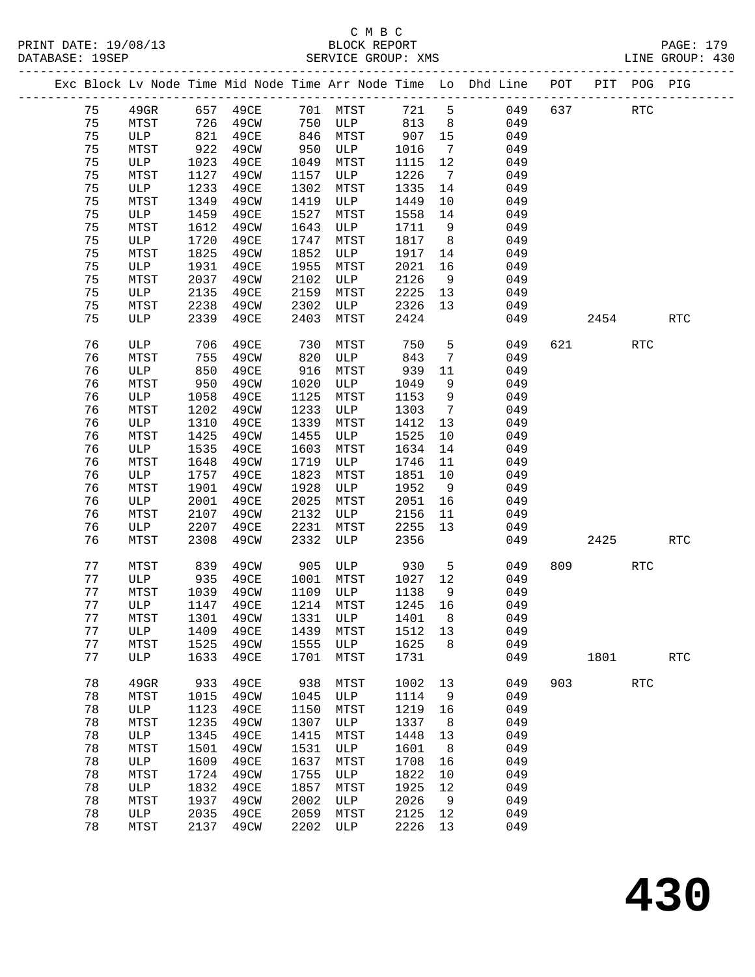### C M B C

| DATABASE: 19SEP |    |      |      |           |      | SERVICE GROUP: XMS                                      |         |                 | LINE GROUP: 430                                                                |     |            |            |                      |  |
|-----------------|----|------|------|-----------|------|---------------------------------------------------------|---------|-----------------|--------------------------------------------------------------------------------|-----|------------|------------|----------------------|--|
|                 |    |      |      |           |      |                                                         |         |                 | Exc Block Lv Node Time Mid Node Time Arr Node Time Lo Dhd Line POT PIT POG PIG |     |            |            |                      |  |
|                 | 75 |      |      |           |      | 49GR 657 49CE 701 MTST 721 5                            |         |                 | 049                                                                            | 637 | <b>RTC</b> |            |                      |  |
|                 | 75 | MTST | 726  |           |      | 49CW 750 ULP 813 8                                      |         |                 | 049                                                                            |     |            |            |                      |  |
|                 | 75 | ULP  | 821  | 49CE      |      | 846 MTST 907                                            |         | 15              | 049                                                                            |     |            |            |                      |  |
|                 | 75 | MTST | 922  | 49CW      |      | 950 ULP                                                 | 1016    | $7\overline{ }$ | 049                                                                            |     |            |            |                      |  |
|                 | 75 | ULP  | 1023 | 49CE      | 1049 | MTST                                                    | 1115    | 12              | 049                                                                            |     |            |            |                      |  |
|                 | 75 | MTST | 1127 | 49CW      | 1157 | ULP                                                     | 1226    | $\overline{7}$  | 049                                                                            |     |            |            |                      |  |
|                 | 75 | ULP  | 1233 | 49CE      | 1302 | MTST                                                    | 1335    | 14              | 049                                                                            |     |            |            |                      |  |
|                 | 75 |      | 1349 | 49CW      | 1419 |                                                         | 1449    |                 | 049                                                                            |     |            |            |                      |  |
|                 |    | MTST |      |           |      | ULP                                                     |         | 10              |                                                                                |     |            |            |                      |  |
|                 | 75 | ULP  | 1459 | 49CE      | 1527 | MTST                                                    | 1558    | 14              | 049                                                                            |     |            |            |                      |  |
|                 | 75 | MTST | 1612 | 49CW      | 1643 | ULP                                                     | 1711    | 9               | 049                                                                            |     |            |            |                      |  |
|                 | 75 | ULP  | 1720 | 49CE      | 1747 | MTST                                                    | 1817    | 8 <sup>8</sup>  | 049                                                                            |     |            |            |                      |  |
|                 | 75 | MTST | 1825 | 49CW      | 1852 | ULP                                                     | 1917    | 14              | 049                                                                            |     |            |            |                      |  |
|                 | 75 | ULP  | 1931 | 49CE      | 1955 | MTST                                                    | 2021    | 16              | 049                                                                            |     |            |            |                      |  |
|                 | 75 | MTST | 2037 | 49CW      | 2102 | ULP                                                     | 2126    | 9               | 049                                                                            |     |            |            |                      |  |
|                 | 75 | ULP  | 2135 | 49CE      | 2159 | MTST                                                    | 2225    | 13              | 049                                                                            |     |            |            |                      |  |
|                 | 75 | MTST | 2238 | 49CW      | 2302 | ULP                                                     | 2326    | 13              | 049                                                                            |     |            |            |                      |  |
|                 | 75 | ULP  | 2339 | 49CE      | 2403 | MTST                                                    | 2424    |                 | 049                                                                            |     |            | 2454       | RTC                  |  |
|                 | 76 | ULP  | 706  | 49CE      | 730  | MTST                                                    | 750     | 5               | 049                                                                            |     | 621 000    | RTC        |                      |  |
|                 | 76 | MTST | 755  | 49CW      | 820  | ULP                                                     | 843     | $7\overline{ }$ | 049                                                                            |     |            |            |                      |  |
|                 | 76 | ULP  | 850  | 49CE      | 916  | MTST                                                    | 939     | 11              | 049                                                                            |     |            |            |                      |  |
|                 | 76 | MTST | 950  | 49CW      | 1020 | ULP                                                     | 1049    | 9               | 049                                                                            |     |            |            |                      |  |
|                 | 76 | ULP  | 1058 | 49CE      | 1125 | MTST                                                    | 1153    | 9               | 049                                                                            |     |            |            |                      |  |
|                 | 76 | MTST | 1202 | 49CW      | 1233 | ULP                                                     | 1303    | $7\overline{ }$ | 049                                                                            |     |            |            |                      |  |
|                 | 76 | ULP  | 1310 | 49CE      | 1339 | MTST                                                    | 1412    | 13              | 049                                                                            |     |            |            |                      |  |
|                 | 76 | MTST | 1425 | 49CW      | 1455 | ULP                                                     | 1525    | 10              | 049                                                                            |     |            |            |                      |  |
|                 | 76 | ULP  | 1535 | 49CE      | 1603 | MTST                                                    | 1634    | 14              | 049                                                                            |     |            |            |                      |  |
|                 | 76 | MTST | 1648 |           | 1719 | ULP                                                     | 1746    |                 | 049                                                                            |     |            |            |                      |  |
|                 |    |      |      | 49CW      |      |                                                         |         | 11              |                                                                                |     |            |            |                      |  |
|                 | 76 | ULP  | 1757 | 49CE      | 1823 | MTST                                                    | 1851    | 10              | 049                                                                            |     |            |            |                      |  |
|                 | 76 | MTST | 1901 | 49CW      | 1928 | ULP                                                     | 1952    | 9               | 049                                                                            |     |            |            |                      |  |
|                 | 76 | ULP  | 2001 | 49CE      | 2025 | MTST                                                    | 2051    | 16              | 049                                                                            |     |            |            |                      |  |
|                 | 76 | MTST | 2107 | 49CW      | 2132 | ULP                                                     | 2156    | 11              | 049                                                                            |     |            |            |                      |  |
|                 | 76 | ULP  | 2207 | 49CE      | 2231 | MTST                                                    | 2255    | 13              | 049                                                                            |     |            |            |                      |  |
|                 | 76 | MTST | 2308 | 49CW      | 2332 | ULP                                                     | 2356    |                 | 049                                                                            |     | 2425       |            | RTC                  |  |
|                 | 77 | MTST | 839  | 49CW      |      | 905 ULP 930                                             |         | $5^{\circ}$     | 049                                                                            | 809 |            | <b>RTC</b> |                      |  |
|                 | 77 | ULP  | 935  | 49CE      |      | 1001 MTST     1027   12<br>1109   ULP        1138     9 |         |                 | 049                                                                            |     |            |            |                      |  |
|                 | 77 | MTST |      | 1039 49CW |      |                                                         |         | 9               | 049                                                                            |     |            |            |                      |  |
|                 | 77 |      |      |           |      | ULP 1147 49CE 1214 MTST 1245 16                         |         |                 | 049                                                                            |     |            |            |                      |  |
|                 | 77 | MTST | 1301 | 49CW      | 1331 | ULP                                                     | 1401    | 8               | 049                                                                            |     |            |            |                      |  |
|                 | 77 | ULP  | 1409 | 49CE      | 1439 | MTST                                                    | 1512    | 13              | 049                                                                            |     |            |            |                      |  |
|                 | 77 | MTST | 1525 | 49CW      | 1555 | ULP                                                     | 1625    | 8               | 049                                                                            |     |            |            |                      |  |
|                 | 77 | ULP  | 1633 | 49CE      | 1701 | MTST                                                    | 1731    |                 | 049                                                                            |     | 1801       |            | $\operatorname{RTC}$ |  |
|                 | 78 | 49GR | 933  | 49CE      | 938  | MTST                                                    | 1002    | 13              | 049                                                                            | 903 |            | <b>RTC</b> |                      |  |
|                 | 78 | MTST | 1015 | 49CW      | 1045 | ULP                                                     | 1114    | 9               | 049                                                                            |     |            |            |                      |  |
|                 | 78 | ULP  | 1123 | 49CE      | 1150 | MTST                                                    | 1219    | 16              | 049                                                                            |     |            |            |                      |  |
|                 | 78 | MTST | 1235 | 49CW      | 1307 | ULP                                                     | 1337    | 8               | 049                                                                            |     |            |            |                      |  |
|                 | 78 | ULP  | 1345 | 49CE      | 1415 | MTST                                                    | 1448    | 13              | 049                                                                            |     |            |            |                      |  |
|                 | 78 |      | 1501 | 49CW      | 1531 | ULP                                                     | 1601    | 8               | 049                                                                            |     |            |            |                      |  |
|                 |    | MTST |      |           |      |                                                         |         |                 |                                                                                |     |            |            |                      |  |
|                 | 78 | ULP  | 1609 | 49CE      | 1637 | MTST                                                    | 1708    | 16              | 049                                                                            |     |            |            |                      |  |
|                 | 78 | MTST | 1724 | 49CW      | 1755 | ULP                                                     | 1822    | 10              | 049                                                                            |     |            |            |                      |  |
|                 | 78 | ULP  | 1832 | 49CE      | 1857 | MTST                                                    | 1925    | 12              | 049                                                                            |     |            |            |                      |  |
|                 | 78 | MTST | 1937 | 49CW      | 2002 | ULP                                                     | 2026    | 9               | 049                                                                            |     |            |            |                      |  |
|                 | 78 | ULP  | 2035 | 49CE      | 2059 | MTST                                                    | 2125    | 12              | 049                                                                            |     |            |            |                      |  |
|                 | 78 | MTST | 2137 | 49CW      | 2202 | ULP                                                     | 2226 13 |                 | 049                                                                            |     |            |            |                      |  |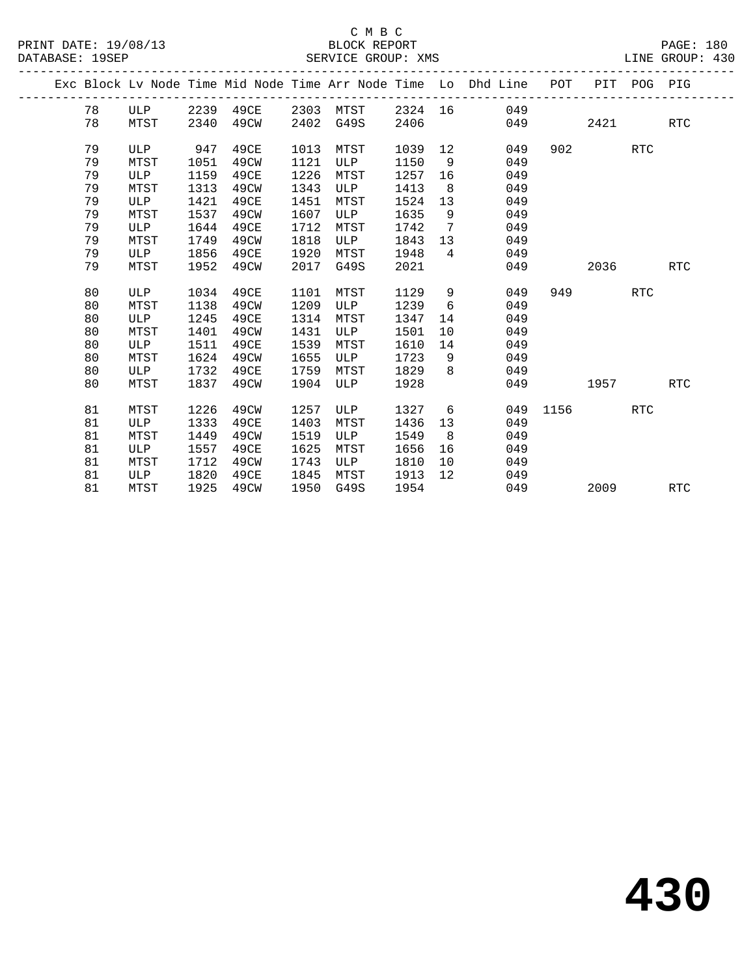|  |    |      |      |      |      |            |         |                   | Exc Block Lv Node Time Mid Node Time Arr Node Time Lo Dhd Line | POT  |      | PIT POG PIG |            |
|--|----|------|------|------|------|------------|---------|-------------------|----------------------------------------------------------------|------|------|-------------|------------|
|  | 78 | ULP  | 2239 | 49CE | 2303 | MTST       | 2324 16 |                   | 049                                                            |      |      |             |            |
|  | 78 | MTST | 2340 | 49CW | 2402 | G49S       | 2406    |                   | 049                                                            |      | 2421 |             | <b>RTC</b> |
|  | 79 | ULP  | 947  | 49CE | 1013 | MTST       | 1039    | 12                | 049                                                            | 902  |      | <b>RTC</b>  |            |
|  | 79 | MTST | 1051 | 49CW | 1121 | ULP        | 1150    | 9                 | 049                                                            |      |      |             |            |
|  | 79 | ULP  | 1159 | 49CE | 1226 | MTST       | 1257    | 16                | 049                                                            |      |      |             |            |
|  | 79 | MTST | 1313 | 49CW | 1343 | ULP        | 1413    | 8                 | 049                                                            |      |      |             |            |
|  | 79 | ULP  | 1421 | 49CE | 1451 | MTST       | 1524    | 13                | 049                                                            |      |      |             |            |
|  | 79 | MTST | 1537 | 49CW | 1607 | ULP        | 1635    | 9                 | 049                                                            |      |      |             |            |
|  | 79 | ULP  | 1644 | 49CE | 1712 | MTST       | 1742    | 7                 | 049                                                            |      |      |             |            |
|  | 79 | MTST | 1749 | 49CW | 1818 | ULP        | 1843    | 13                | 049                                                            |      |      |             |            |
|  | 79 | ULP  | 1856 | 49CE | 1920 | MTST       | 1948    | 4                 | 049                                                            |      |      |             |            |
|  | 79 | MTST | 1952 | 49CW | 2017 | G49S       | 2021    |                   | 049                                                            |      | 2036 |             | <b>RTC</b> |
|  |    |      |      |      |      |            |         |                   |                                                                |      |      |             |            |
|  | 80 | ULP  | 1034 | 49CE | 1101 | MTST       | 1129    | 9                 | 049                                                            | 949  |      | <b>RTC</b>  |            |
|  | 80 | MTST | 1138 | 49CW | 1209 | ULP        | 1239    | 6                 | 049                                                            |      |      |             |            |
|  | 80 | ULP  | 1245 | 49CE | 1314 | MTST       | 1347    | 14                | 049                                                            |      |      |             |            |
|  | 80 | MTST | 1401 | 49CW | 1431 | ULP        | 1501    | 10                | 049                                                            |      |      |             |            |
|  | 80 | ULP  | 1511 | 49CE | 1539 | MTST       | 1610    | 14                | 049                                                            |      |      |             |            |
|  | 80 | MTST | 1624 | 49CW | 1655 | <b>ULP</b> | 1723    | 9                 | 049                                                            |      |      |             |            |
|  | 80 | ULP  | 1732 | 49CE | 1759 | MTST       | 1829    | 8                 | 049                                                            |      |      |             |            |
|  | 80 | MTST | 1837 | 49CW | 1904 | ULP        | 1928    |                   | 049                                                            |      | 1957 |             | <b>RTC</b> |
|  |    |      |      |      |      |            |         |                   |                                                                |      |      |             |            |
|  | 81 | MTST | 1226 | 49CW | 1257 | ULP        | 1327    | 6                 | 049                                                            | 1156 |      | <b>RTC</b>  |            |
|  | 81 | ULP  | 1333 | 49CE | 1403 | MTST       | 1436    | 13                | 049                                                            |      |      |             |            |
|  | 81 | MTST | 1449 | 49CW | 1519 | ULP        | 1549    | 8                 | 049                                                            |      |      |             |            |
|  | 81 | ULP  | 1557 | 49CE | 1625 | MTST       | 1656    | 16                | 049                                                            |      |      |             |            |
|  | 81 | MTST | 1712 | 49CW | 1743 | ULP        | 1810    | 10                | 049                                                            |      |      |             |            |
|  | 81 | ULP  | 1820 | 49CE | 1845 | MTST       | 1913    | $12 \overline{ }$ | 049                                                            |      |      |             |            |
|  | 81 | MTST | 1925 | 49CW | 1950 | G49S       | 1954    |                   | 049                                                            |      | 2009 |             | <b>RTC</b> |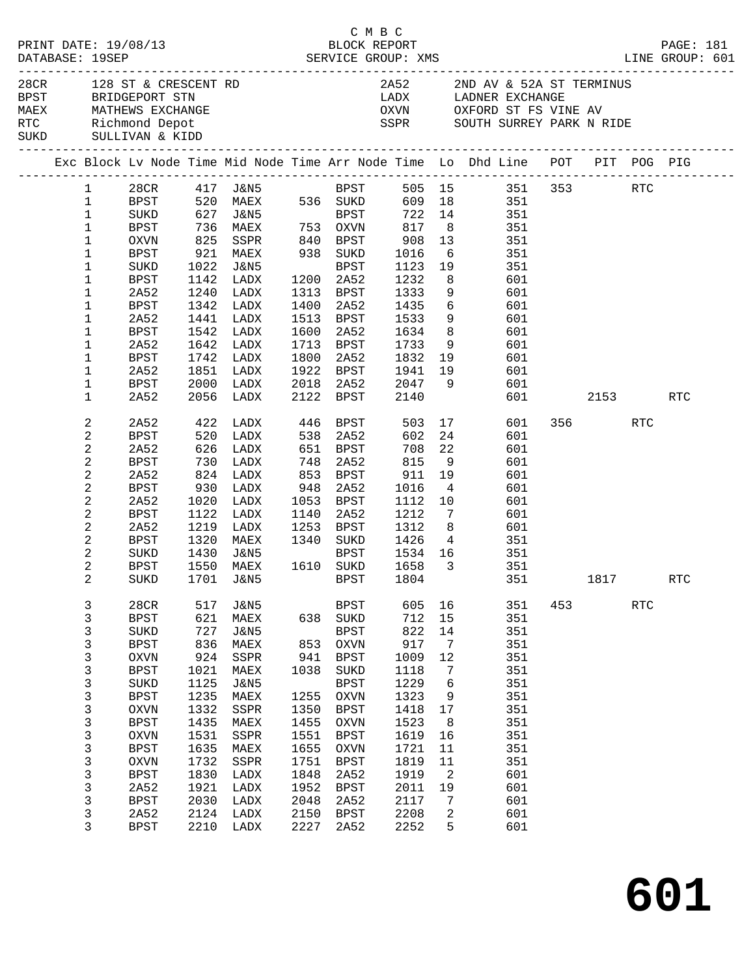|                                                                                                                                                                                                                                                   |                |                        | PRINT DATE: 19/08/13 |      |                                                                                                                         |      | C M B C                   | BLOCK REPORT                 |                |                                                                                                                     |     |         |            | PAGE: 181  |
|---------------------------------------------------------------------------------------------------------------------------------------------------------------------------------------------------------------------------------------------------|----------------|------------------------|----------------------|------|-------------------------------------------------------------------------------------------------------------------------|------|---------------------------|------------------------------|----------------|---------------------------------------------------------------------------------------------------------------------|-----|---------|------------|------------|
| DESCRIPTION AND CONTRAST DESCRIPTION AND DESCRIPTION AND RESERVICE ORDUP. THE CROW PROSE PROSES AND LINE OF THE CONTRAST OF THE CROWN AND THE CHARGE OF THE CONTRAST OF THE CONTRAST OF THE CONTRAST OF THE CONTRAST OF THE CO<br>DATABASE: 19SEP |                |                        |                      |      |                                                                                                                         |      |                           |                              |                |                                                                                                                     |     |         |            |            |
|                                                                                                                                                                                                                                                   |                |                        |                      |      | 28CR 128 ST & CRESCENT RD<br>BPST BRIDGEPORT STN<br>MAEX MATHEWS EXCHANGE<br>RTC Richmond Depot<br>SUKD SULLIVAN & KIDD |      |                           |                              |                | 2A52 2ND AV & 52A ST TERMINUS<br>LADX LADNER EXCHANGE<br>OXVN OXFORD ST FS VINE AV<br>SSPR SOUTH SURREY PARK N RIDE |     |         |            |            |
|                                                                                                                                                                                                                                                   |                |                        |                      |      |                                                                                                                         |      |                           |                              |                | Exc Block Lv Node Time Mid Node Time Arr Node Time Lo Dhd Line POT PIT POG PIG                                      |     |         |            |            |
|                                                                                                                                                                                                                                                   |                | $1 \quad \blacksquare$ |                      |      |                                                                                                                         |      |                           |                              |                | 28CR 417 J&N5 BPST 505 15 351 353 RTC                                                                               |     |         |            |            |
|                                                                                                                                                                                                                                                   | $\mathbf{1}$   |                        |                      |      |                                                                                                                         |      |                           |                              |                | BPST 520 MAEX 536 SUKD 609 18 351                                                                                   |     |         |            |            |
|                                                                                                                                                                                                                                                   | $\mathbf{1}$   |                        | SUKD                 |      | 627 J&N5 BPST<br>736 MAEX 753 OXVN<br>825 SSPR 840 BPST                                                                 |      |                           | BPST 722 14                  |                | 351                                                                                                                 |     |         |            |            |
|                                                                                                                                                                                                                                                   | $\mathbf{1}$   |                        | BPST                 |      |                                                                                                                         |      |                           |                              |                | 351<br>351                                                                                                          |     |         |            |            |
|                                                                                                                                                                                                                                                   | $\mathbf{1}$   |                        | OXVN                 |      |                                                                                                                         |      |                           |                              |                |                                                                                                                     |     |         |            |            |
|                                                                                                                                                                                                                                                   | $\mathbf{1}$   |                        | BPST                 |      | 921 MAEX 938 SUKD                                                                                                       |      |                           |                              |                | 351                                                                                                                 |     |         |            |            |
|                                                                                                                                                                                                                                                   | 1              |                        | SUKD                 |      | 1022 J&N5                                                                                                               |      | BPST                      | 1123 19                      |                | 351                                                                                                                 |     |         |            |            |
|                                                                                                                                                                                                                                                   | 1              |                        | <b>BPST</b>          |      | 1142 LADX                                                                                                               |      | 1200 2A52                 |                              | 8 <sup>8</sup> | 601                                                                                                                 |     |         |            |            |
|                                                                                                                                                                                                                                                   | 1              |                        | 2A52                 |      | 1240 LADX                                                                                                               |      |                           |                              | 9              | 601                                                                                                                 |     |         |            |            |
|                                                                                                                                                                                                                                                   | 1              |                        | BPST                 |      | 1342 LADX                                                                                                               |      |                           |                              |                | $6\overline{6}$<br>601                                                                                              |     |         |            |            |
|                                                                                                                                                                                                                                                   | 1              |                        | 2A52                 |      | 1441 LADX                                                                                                               |      |                           | 1513 BPST 1533               |                | 9<br>601                                                                                                            |     |         |            |            |
|                                                                                                                                                                                                                                                   | 1              |                        | BPST                 |      | 1542 LADX                                                                                                               | 1600 | 2A52                      |                              |                | 8 601                                                                                                               |     |         |            |            |
|                                                                                                                                                                                                                                                   | 1              |                        | 2A52                 |      | 1642 LADX                                                                                                               |      | 1713 BPST                 | 1634 8<br>1733 9<br>1832 19  |                | 601                                                                                                                 |     |         |            |            |
|                                                                                                                                                                                                                                                   | 1              |                        | <b>BPST</b>          |      | 1742 LADX                                                                                                               |      | 1800 2A52                 |                              |                | 601                                                                                                                 |     |         |            |            |
|                                                                                                                                                                                                                                                   | 1              |                        | 2A52                 |      | 1851 LADX                                                                                                               |      |                           | 1922 BPST 1941 19            |                | 601                                                                                                                 |     |         |            |            |
|                                                                                                                                                                                                                                                   | 1              |                        | BPST                 |      | 2000 LADX                                                                                                               |      |                           |                              |                | 2018 2A52 2047 9 601<br>2122 BPST 2140 601                                                                          |     |         |            |            |
|                                                                                                                                                                                                                                                   | $\mathbf 1$    |                        | 2A52                 |      | 2056 LADX                                                                                                               |      |                           |                              |                | 601 000                                                                                                             |     | 2153    |            | RTC        |
|                                                                                                                                                                                                                                                   | 2              |                        | 2A52                 |      | 422 LADX 446 BPST                                                                                                       |      |                           |                              |                | 503 17<br>601                                                                                                       |     | 356 RTC |            |            |
|                                                                                                                                                                                                                                                   | 2              |                        | <b>BPST</b>          | 520  | LADX                                                                                                                    | 538  | 2A52                      | 602                          |                | 24<br>601                                                                                                           |     |         |            |            |
|                                                                                                                                                                                                                                                   | $\sqrt{2}$     |                        | 2A52                 |      | 626 LADX<br>730 LADX                                                                                                    |      | 651 BPST<br>748 2A52      | 708<br>815                   | 22             | 601                                                                                                                 |     |         |            |            |
|                                                                                                                                                                                                                                                   | $\sqrt{2}$     |                        | BPST                 |      |                                                                                                                         |      |                           |                              | 9              | 601                                                                                                                 |     |         |            |            |
|                                                                                                                                                                                                                                                   | $\overline{c}$ |                        | 2A52                 |      | 824 LADX                                                                                                                |      | 853 BPST                  | 911 19                       |                | 601                                                                                                                 |     |         |            |            |
|                                                                                                                                                                                                                                                   | 2              |                        | <b>BPST</b>          |      | 930 LADX                                                                                                                | 948  | 2A52                      | 1016                         | $\overline{4}$ | 601                                                                                                                 |     |         |            |            |
|                                                                                                                                                                                                                                                   | $\sqrt{2}$     |                        | 2A52                 |      | 1020 LADX                                                                                                               |      | 1053 BPST                 | 1112                         | 10             | 601                                                                                                                 |     |         |            |            |
|                                                                                                                                                                                                                                                   | $\sqrt{2}$     |                        | BPST                 |      | 1122 LADX                                                                                                               | 1140 | 2A52                      | 1212                         | $\overline{7}$ | 601                                                                                                                 |     |         |            |            |
|                                                                                                                                                                                                                                                   | $\overline{a}$ |                        | 2A52                 |      | 1219 LADX                                                                                                               |      |                           | 1253 BPST 1312 8             |                | 601                                                                                                                 |     |         |            |            |
|                                                                                                                                                                                                                                                   | 2              |                        | BPST                 | 1320 | MAEX                                                                                                                    |      |                           | 1340 SUKD 1426               |                | 4 351                                                                                                               |     |         |            |            |
|                                                                                                                                                                                                                                                   | $\sqrt{2}$     |                        | SUKD                 | 1430 | J&N5                                                                                                                    |      | BPST<br>BPST<br>1610 SUKD | 1534 16<br>1658 <sup>2</sup> |                | 351                                                                                                                 |     |         |            |            |
|                                                                                                                                                                                                                                                   | 2              |                        | BPST                 |      | 1550 MAEX                                                                                                               |      |                           | 1658 3                       |                | 351                                                                                                                 |     |         |            |            |
|                                                                                                                                                                                                                                                   | 2              |                        |                      |      |                                                                                                                         |      |                           |                              |                | SUKD 1701 J&N5 BPST 1804 351 1817                                                                                   |     |         |            | <b>RTC</b> |
|                                                                                                                                                                                                                                                   | 3              |                        | 28CR                 | 517  | J&N5                                                                                                                    |      | BPST                      | 605                          | 16             | 351                                                                                                                 | 453 |         | <b>RTC</b> |            |
|                                                                                                                                                                                                                                                   | 3              |                        | <b>BPST</b>          | 621  | MAEX                                                                                                                    | 638  | SUKD                      | 712                          | 15             | 351                                                                                                                 |     |         |            |            |
|                                                                                                                                                                                                                                                   | 3              |                        | SUKD                 | 727  | <b>J&amp;N5</b>                                                                                                         |      | <b>BPST</b>               | 822                          | 14             | 351                                                                                                                 |     |         |            |            |
|                                                                                                                                                                                                                                                   | 3              |                        | <b>BPST</b>          | 836  | MAEX                                                                                                                    | 853  | OXVN                      | 917                          | 7              | 351                                                                                                                 |     |         |            |            |
|                                                                                                                                                                                                                                                   | $\mathsf 3$    |                        | <b>OXVN</b>          | 924  | SSPR                                                                                                                    | 941  | <b>BPST</b>               | 1009                         | 12             | 351                                                                                                                 |     |         |            |            |
|                                                                                                                                                                                                                                                   | $\mathsf 3$    |                        | <b>BPST</b>          | 1021 | MAEX                                                                                                                    | 1038 | SUKD                      | 1118                         | 7              | 351                                                                                                                 |     |         |            |            |
|                                                                                                                                                                                                                                                   | 3              |                        | SUKD                 | 1125 | <b>J&amp;N5</b>                                                                                                         |      | <b>BPST</b>               | 1229                         | 6              | 351                                                                                                                 |     |         |            |            |
|                                                                                                                                                                                                                                                   | $\mathsf 3$    |                        | <b>BPST</b>          | 1235 | MAEX                                                                                                                    | 1255 | OXVN                      | 1323                         | 9              | 351                                                                                                                 |     |         |            |            |
|                                                                                                                                                                                                                                                   | $\mathsf 3$    |                        | <b>OXVN</b>          | 1332 | SSPR                                                                                                                    | 1350 | <b>BPST</b>               | 1418                         | 17             | 351                                                                                                                 |     |         |            |            |
|                                                                                                                                                                                                                                                   | $\mathsf 3$    |                        | <b>BPST</b>          | 1435 | MAEX                                                                                                                    | 1455 | <b>OXVN</b>               | 1523                         | 8              | 351                                                                                                                 |     |         |            |            |
|                                                                                                                                                                                                                                                   | $\mathsf 3$    |                        | <b>OXVN</b>          | 1531 | SSPR                                                                                                                    | 1551 | <b>BPST</b>               | 1619                         | 16             | 351                                                                                                                 |     |         |            |            |
|                                                                                                                                                                                                                                                   | $\mathsf 3$    |                        | <b>BPST</b>          | 1635 | MAEX                                                                                                                    | 1655 | OXVN                      | 1721                         | 11             | 351                                                                                                                 |     |         |            |            |
|                                                                                                                                                                                                                                                   | $\mathsf 3$    |                        | <b>OXVN</b>          | 1732 | SSPR                                                                                                                    | 1751 | BPST                      | 1819                         | 11             | 351                                                                                                                 |     |         |            |            |
|                                                                                                                                                                                                                                                   | $\mathsf 3$    |                        | <b>BPST</b>          | 1830 | LADX                                                                                                                    | 1848 | 2A52                      | 1919                         | 2              | 601                                                                                                                 |     |         |            |            |
|                                                                                                                                                                                                                                                   | $\mathsf 3$    |                        | 2A52                 | 1921 | LADX                                                                                                                    | 1952 | <b>BPST</b>               | 2011                         | 19             | 601                                                                                                                 |     |         |            |            |
|                                                                                                                                                                                                                                                   | 3              |                        | <b>BPST</b>          | 2030 | LADX                                                                                                                    | 2048 | 2A52                      | 2117                         | 7              | 601                                                                                                                 |     |         |            |            |
|                                                                                                                                                                                                                                                   | 3              |                        | 2A52                 | 2124 | LADX                                                                                                                    | 2150 | BPST                      | 2208                         | 2              | 601                                                                                                                 |     |         |            |            |
|                                                                                                                                                                                                                                                   | 3              |                        | <b>BPST</b>          |      | 2210 LADX                                                                                                               | 2227 | 2A52                      | 2252                         | 5              | 601                                                                                                                 |     |         |            |            |
|                                                                                                                                                                                                                                                   |                |                        |                      |      |                                                                                                                         |      |                           |                              |                |                                                                                                                     |     |         |            |            |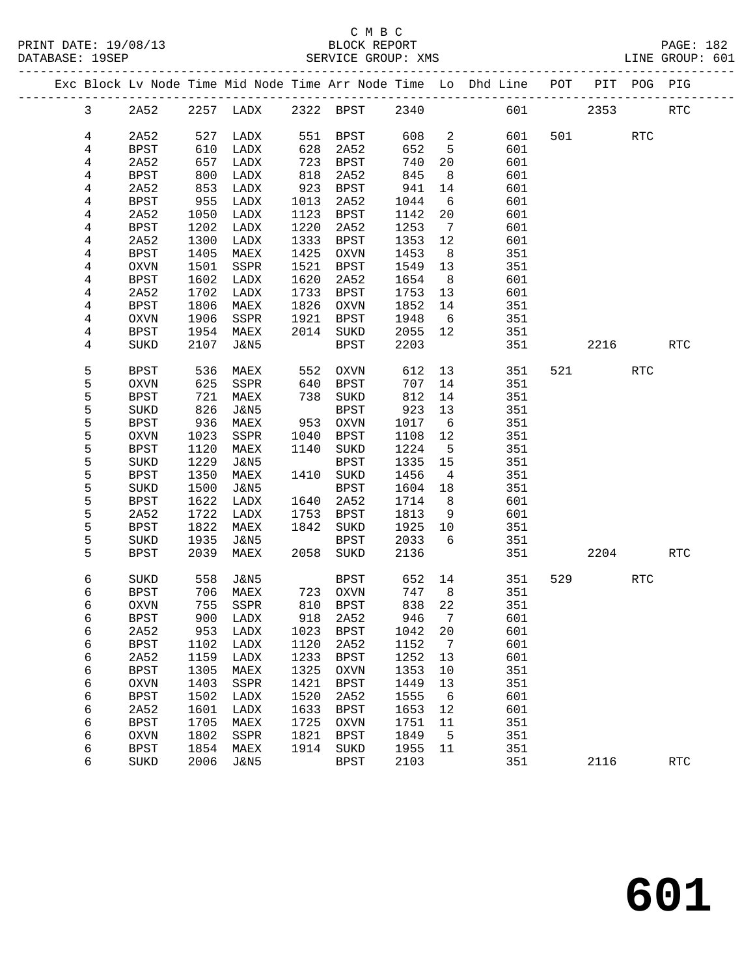## C M B C<br>BLOCK REPORT

|  | DATABASE: 19SEP |      |      |      |      | SERVICE GROUP: XMS            |       | LINE GROUP: 601 |                                                                                |         |  |     |  |
|--|-----------------|------|------|------|------|-------------------------------|-------|-----------------|--------------------------------------------------------------------------------|---------|--|-----|--|
|  |                 |      |      |      |      |                               |       |                 | Exc Block Lv Node Time Mid Node Time Arr Node Time Lo Dhd Line POT PIT POG PIG |         |  |     |  |
|  | 3 <sup>7</sup>  |      |      |      |      | 2A52 2257 LADX 2322 BPST 2340 |       |                 | 601 - 100                                                                      | 2353    |  | RTC |  |
|  | $\overline{4}$  | 2A52 | 527  | LADX | 551  | BPST                          | 608 2 |                 | 601 —                                                                          | 501 RTC |  |     |  |
|  | 4               | BPST | 610  | LADX | 628  | 2A52                          | 652 5 |                 | 601                                                                            |         |  |     |  |
|  | 4               | 2A52 | 657  | LADX | 723  | BPST                          | 740   | 20              | 601                                                                            |         |  |     |  |
|  | 4               | BPST | 800  | LADX | 818  | 2A52                          | 845   | 8 <sup>8</sup>  | 601                                                                            |         |  |     |  |
|  | 4               | 2A52 | 853  | LADX | 923  | BPST                          | 941   | 14              | 601                                                                            |         |  |     |  |
|  | 4               | BPST | 955  | LADX | 1013 | 2A52                          | 1044  | 6               | 601                                                                            |         |  |     |  |
|  | 4               | 2A52 | 1050 | LADX | 1123 | BPST                          | 1142  | 20              | 601                                                                            |         |  |     |  |
|  | 4               | BPST | 1202 | LADX | 1220 | 2A52                          | 1253  | $7\phantom{0}$  | 601                                                                            |         |  |     |  |
|  | 4               | 2A52 | 1300 | LADX | 1333 | BPST                          | 1353  | 12              | 601                                                                            |         |  |     |  |
|  | 4               | BPST | 1405 | MAEX | 1425 | OXVN                          | 1453  | 8 <sup>8</sup>  | 351                                                                            |         |  |     |  |
|  | 4               | OXVN | 1501 | SSPR | 1521 | BPST                          | 1549  | 13              | 351                                                                            |         |  |     |  |
|  | 4               | BPST | 1602 | LADX | 1620 | 2A52                          | 1654  | 8 <sup>8</sup>  | 601                                                                            |         |  |     |  |
|  | 4               | 2A52 | 1702 | LADX | 1733 | BPST                          | 1753  | 13              | 601                                                                            |         |  |     |  |
|  | 4               | BPST | 1806 | MAEX | 1826 | OXVN                          | 1852  | 14              | 351                                                                            |         |  |     |  |
|  | 4               | OXVN | 1906 | SSPR | 1921 | BPST                          | 1948  | 6               | 351                                                                            |         |  |     |  |
|  | 4               | BPST | 1954 | MAEX | 2014 | SUKD                          | 2055  | 12              | 351                                                                            |         |  |     |  |
|  |                 |      |      |      |      |                               |       |                 |                                                                                |         |  |     |  |

| 4 | BPST        | 1806 | MAEX            | 1826 | <b>OXVN</b> | 1852 | 14              | 351 |     |      |            |            |
|---|-------------|------|-----------------|------|-------------|------|-----------------|-----|-----|------|------------|------------|
| 4 | <b>OXVN</b> | 1906 | SSPR            | 1921 | <b>BPST</b> | 1948 | 6               | 351 |     |      |            |            |
| 4 | <b>BPST</b> | 1954 | MAEX            | 2014 | SUKD        | 2055 | 12              | 351 |     |      |            |            |
| 4 | SUKD        | 2107 | <b>J&amp;N5</b> |      | <b>BPST</b> | 2203 |                 | 351 |     | 2216 |            | <b>RTC</b> |
|   |             |      |                 |      |             |      |                 |     |     |      |            |            |
| 5 | <b>BPST</b> | 536  | MAEX            | 552  | <b>OXVN</b> | 612  | 13              | 351 | 521 |      | <b>RTC</b> |            |
| 5 | <b>OXVN</b> | 625  | SSPR            | 640  | <b>BPST</b> | 707  | 14              | 351 |     |      |            |            |
| 5 | BPST        | 721  | MAEX            | 738  | <b>SUKD</b> | 812  | 14              | 351 |     |      |            |            |
| 5 | SUKD        | 826  | J&N5            |      | BPST        | 923  | 13              | 351 |     |      |            |            |
| 5 | BPST        | 936  | MAEX            | 953  | <b>OXVN</b> | 1017 | 6               | 351 |     |      |            |            |
| 5 | <b>OXVN</b> | 1023 | SSPR            | 1040 | <b>BPST</b> | 1108 | 12              | 351 |     |      |            |            |
| 5 | <b>BPST</b> | 1120 | MAEX            | 1140 | SUKD        | 1224 | $5\phantom{.0}$ | 351 |     |      |            |            |
| 5 | SUKD        | 1229 | <b>J&amp;N5</b> |      | <b>BPST</b> | 1335 | 15              | 351 |     |      |            |            |
| 5 | BPST        | 1350 | MAEX            | 1410 | <b>SUKD</b> | 1456 | $\overline{4}$  | 351 |     |      |            |            |
| 5 | SUKD        | 1500 | J&N5            |      | <b>BPST</b> | 1604 | 18              | 351 |     |      |            |            |
| 5 | BPST        | 1622 | LADX            | 1640 | 2A52        | 1714 | 8               | 601 |     |      |            |            |
| 5 | 2A52        | 1722 | LADX            | 1753 | <b>BPST</b> | 1813 | 9               | 601 |     |      |            |            |
| 5 | <b>BPST</b> | 1822 | MAEX            | 1842 | SUKD        | 1925 | 10              | 351 |     |      |            |            |
| 5 | <b>SUKD</b> | 1935 | J&N5            |      | <b>BPST</b> | 2033 | 6               | 351 |     |      |            |            |
| 5 | <b>BPST</b> | 2039 | MAEX            | 2058 | <b>SUKD</b> | 2136 |                 | 351 |     | 2204 |            | <b>RTC</b> |
|   |             |      |                 |      |             |      |                 |     |     |      |            |            |
| 6 | SUKD        | 558  | J&N5            |      | <b>BPST</b> | 652  | 14              | 351 | 529 |      | <b>RTC</b> |            |
| 6 | <b>BPST</b> | 706  | MAEX            | 723  | <b>OXVN</b> | 747  | 8               | 351 |     |      |            |            |
| 6 | <b>OXVN</b> | 755  | SSPR            | 810  | BPST        | 838  | 22              | 351 |     |      |            |            |
| 6 | <b>BPST</b> | 900  | LADX            | 918  | 2A52        | 946  | 7               | 601 |     |      |            |            |
| 6 | 2A52        | 953  | LADX            | 1023 | <b>BPST</b> | 1042 | 20              | 601 |     |      |            |            |
| 6 | <b>BPST</b> | 1102 | LADX            | 1120 | 2A52        | 1152 | 7               | 601 |     |      |            |            |
| б | 2A52        | 1159 | LADX            | 1233 | <b>BPST</b> | 1252 | 13              | 601 |     |      |            |            |
| 6 | <b>BPST</b> | 1305 | MAEX            | 1325 | <b>OXVN</b> | 1353 | 10              | 351 |     |      |            |            |
| 6 | <b>OXVN</b> | 1403 | SSPR            | 1421 | <b>BPST</b> | 1449 | 13              | 351 |     |      |            |            |
| 6 | <b>BPST</b> | 1502 | LADX            | 1520 | 2A52        | 1555 | 6               | 601 |     |      |            |            |
| 6 | 2A52        | 1601 | LADX            | 1633 | <b>BPST</b> | 1653 | 12              | 601 |     |      |            |            |
| 6 | BPST        | 1705 | MAEX            | 1725 | <b>OXVN</b> | 1751 | 11              | 351 |     |      |            |            |
| 6 | <b>OXVN</b> | 1802 | SSPR            | 1821 | <b>BPST</b> | 1849 | 5               | 351 |     |      |            |            |
| 6 | <b>BPST</b> | 1854 | MAEX            | 1914 | <b>SUKD</b> | 1955 | 11              | 351 |     |      |            |            |
| 6 | <b>SUKD</b> | 2006 | <b>J&amp;N5</b> |      | <b>BPST</b> | 2103 |                 | 351 |     | 2116 |            | RTC        |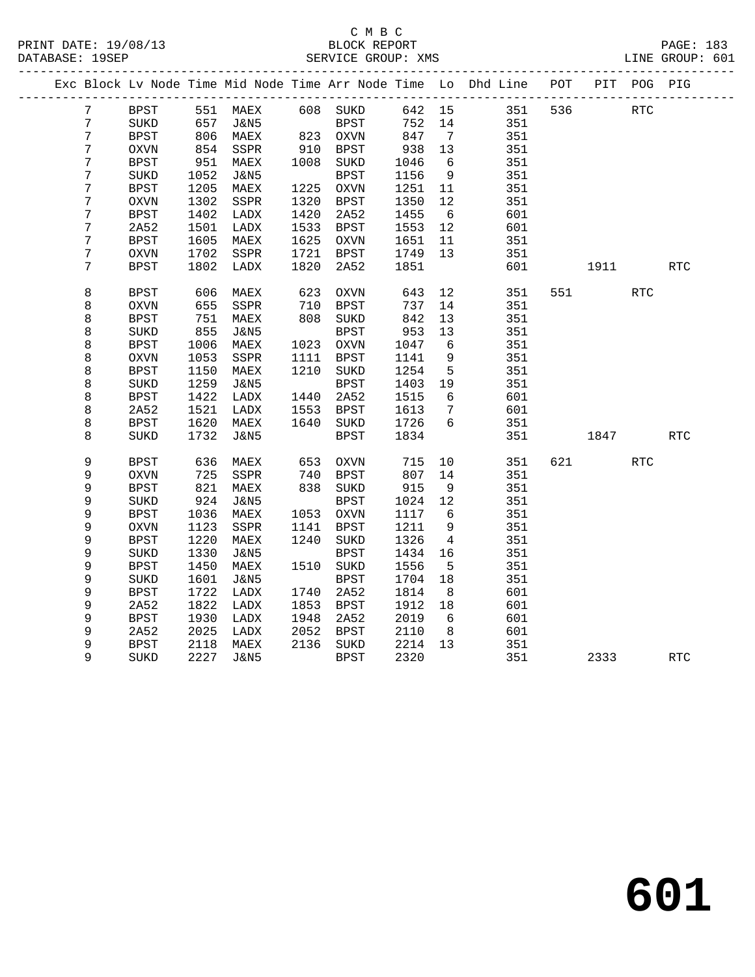## C M B C<br>BLOCK REPORT SERVICE GROUP: XMS

|                  |                |             |            |                   |      |                  |            |                 | Exc Block Lv Node Time Mid Node Time Arr Node Time Lo Dhd Line POT |     |             | PIT POG PIG |            |  |
|------------------|----------------|-------------|------------|-------------------|------|------------------|------------|-----------------|--------------------------------------------------------------------|-----|-------------|-------------|------------|--|
|                  | $7\phantom{.}$ | <b>BPST</b> |            | 551 MAEX 608 SUKD |      |                  | 642 15     |                 | 351                                                                | 536 | <b>RTC</b>  |             |            |  |
| $7\overline{ }$  |                | $\rm SUKD$  | 657        | J&N5              |      | BPST<br>823 OXVN | 752 14     |                 | 351                                                                |     |             |             |            |  |
| $\boldsymbol{7}$ |                | <b>BPST</b> | 806        | MAEX              |      |                  | 847        | $7\overline{ }$ | 351                                                                |     |             |             |            |  |
| $\overline{7}$   |                | <b>OXVN</b> |            | 854 SSPR          |      | 910 BPST         | 938        | 13              | 351                                                                |     |             |             |            |  |
| 7                |                | <b>BPST</b> | 951        | MAEX              |      | 1008 SUKD        | 1046       | 6               | 351                                                                |     |             |             |            |  |
| $\overline{7}$   |                | SUKD        | 1052       | J&N5              |      | BPST             | 1156       | $\overline{9}$  | 351                                                                |     |             |             |            |  |
| 7                |                | BPST        | 1205       | MAEX              | 1225 | OXVN             | 1251 11    |                 | 351                                                                |     |             |             |            |  |
| 7                |                | <b>OXVN</b> | 1302       | SSPR              | 1320 | BPST             | 1350       | 12              | 351                                                                |     |             |             |            |  |
| 7                |                | <b>BPST</b> | 1402       | LADX              | 1420 | 2A52             | 1455       | $6\overline{6}$ | 601                                                                |     |             |             |            |  |
| 7                |                | 2A52        | 1501       | LADX              | 1533 | <b>BPST</b>      | 1553       | 12              | 601                                                                |     |             |             |            |  |
| 7                |                | <b>BPST</b> | 1605       | MAEX              | 1625 | OXVN             | 1651       | 11              | 351                                                                |     |             |             |            |  |
| 7                |                | $\rm OXVN$  | 1702       | SSPR              | 1721 | BPST             | 1749 13    |                 | 351                                                                |     |             |             |            |  |
| 7                |                | <b>BPST</b> | 1802       | LADX              | 1820 | 2A52             | 1851       |                 | 601                                                                |     | 1911 — 1911 |             | <b>RTC</b> |  |
|                  |                |             |            |                   |      |                  |            |                 |                                                                    |     |             |             |            |  |
| 8                |                | BPST        | 606        | MAEX              | 623  | OXVN             | 643        | 12              | 351                                                                |     | 551 72      | RTC         |            |  |
| 8                |                | <b>OXVN</b> | 655<br>751 | SSPR              | 710  | BPST             | 737<br>842 | 14              | 351                                                                |     |             |             |            |  |
| 8                |                | BPST        |            | MAEX              |      | 808 SUKD         |            | 13              | 351                                                                |     |             |             |            |  |
| 8                |                | SUKD        | 855        | J&N5              |      | <b>BPST</b>      | 953        | 13              | 351                                                                |     |             |             |            |  |
| 8                |                | BPST        | 1006       | MAEX              |      | 1023 OXVN        | 1047       | - 6             | 351                                                                |     |             |             |            |  |
| 8                |                | <b>OXVN</b> | 1053       | SSPR              | 1111 | BPST             | 1141       | 9               | 351                                                                |     |             |             |            |  |
| 8                |                | <b>BPST</b> | 1150       | MAEX              | 1210 | SUKD             | 1254       | $5^{\circ}$     | 351                                                                |     |             |             |            |  |
| 8                |                | $\rm SUKD$  | 1259       | J&N5              |      | <b>BPST</b>      | 1403       | 19              | 351                                                                |     |             |             |            |  |
| 8                |                | <b>BPST</b> | 1422       | LADX              |      | 1440 2A52        | 1515       | 6               | 601                                                                |     |             |             |            |  |
| 8                |                | 2A52        | 1521       | LADX              | 1553 | <b>BPST</b>      | 1613       | $\overline{7}$  | 601                                                                |     |             |             |            |  |
| 8                |                | BPST        | 1620       | MAEX              | 1640 | SUKD             | 1726       | 6               | 351                                                                |     |             |             |            |  |
| 8                |                | $\rm SUKD$  | 1732       | J&N5              |      | <b>BPST</b>      | 1834       |                 | 351                                                                |     | 1847        |             | <b>RTC</b> |  |
| 9                |                | <b>BPST</b> | 636        | MAEX              | 653  | OXVN             | 715        | 10              | 351                                                                |     | 621 000     | RTC         |            |  |
| 9                |                | <b>OXVN</b> | 725        | SSPR              | 740  | BPST             | 807        | 14              | 351                                                                |     |             |             |            |  |
| 9                |                | <b>BPST</b> | 821        | MAEX              |      | 838 SUKD         | 915        | 9               | 351                                                                |     |             |             |            |  |
| 9                |                | SUKD        | 924        | J&N5              |      | BPST             | 1024       | 12              | 351                                                                |     |             |             |            |  |
| 9                |                | <b>BPST</b> | 1036       | MAEX              | 1053 | OXVN             | 1117       | 6               | 351                                                                |     |             |             |            |  |
| 9                |                | <b>OXVN</b> | 1123       | SSPR              | 1141 | BPST             | 1211       | 9               | 351                                                                |     |             |             |            |  |
| 9                |                | <b>BPST</b> | 1220       | MAEX              | 1240 | SUKD             | 1326       | $\overline{4}$  | 351                                                                |     |             |             |            |  |
| 9                |                | SUKD        | 1330       | <b>J&amp;N5</b>   |      | <b>BPST</b>      | 1434       | 16              | 351                                                                |     |             |             |            |  |
| 9                |                | <b>BPST</b> | 1450       | MAEX              |      | 1510 SUKD        | 1556       | $5\overline{5}$ | 351                                                                |     |             |             |            |  |
| 9                |                | SUKD        | 1601       | J&N5              |      | <b>BPST</b>      | 1704       | 18              | 351                                                                |     |             |             |            |  |
| 9                |                | <b>BPST</b> | 1722       | LADX              | 1740 | 2A52             | 1814       | 8 <sup>8</sup>  | 601                                                                |     |             |             |            |  |
| 9                |                | 2A52        | 1822       | LADX              | 1853 | BPST             | 1912       | 18              | 601                                                                |     |             |             |            |  |
| 9                |                | BPST        | 1930       | LADX              | 1948 | 2A52             | 2019       | - 6             | 601                                                                |     |             |             |            |  |
| 9                |                | 2A52        | 2025       | LADX              | 2052 | BPST             | 2110       | 8 <sup>8</sup>  | 601                                                                |     |             |             |            |  |
| 9                |                | <b>BPST</b> | 2118       | MAEX              |      | 2136 SUKD        | 2214 13    |                 | 351                                                                |     |             |             |            |  |
| 9                |                | SUKD        | 2227       | <b>J&amp;N5</b>   |      | <b>BPST</b>      | 2320       |                 | 351                                                                |     | 2333        |             | <b>RTC</b> |  |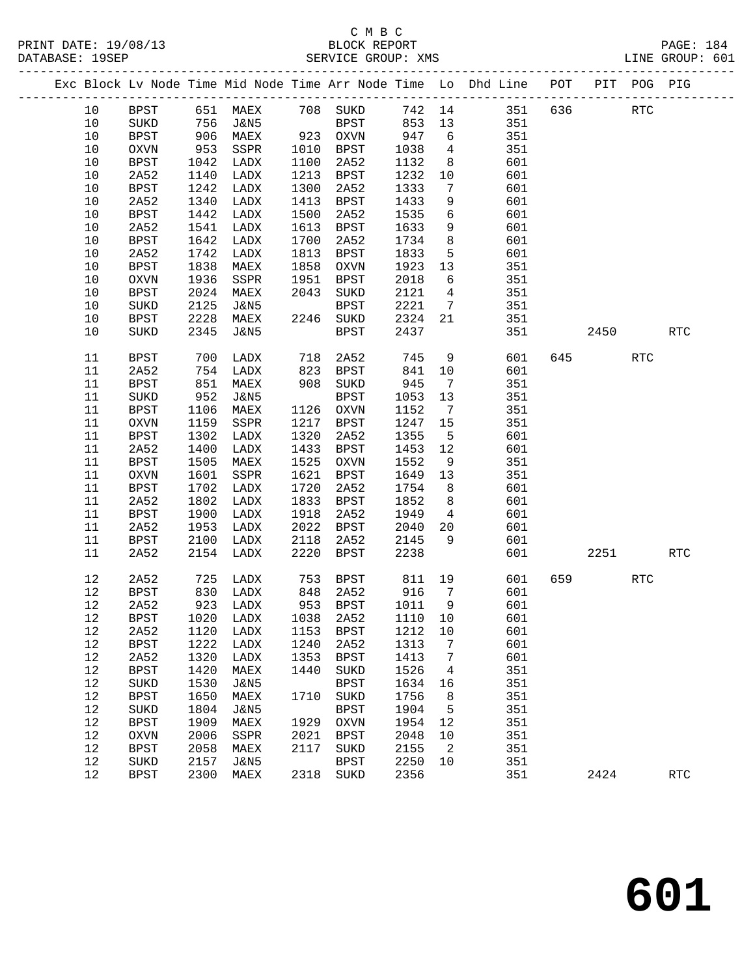## C M B C<br>BLOCK REPORT SERVICE GROUP: XMS

|          |                     |              |                                  |      |                            |              |                              | Exc Block Lv Node Time Mid Node Time Arr Node Time Lo Dhd Line POT PIT POG PIG |     |        |            |            |
|----------|---------------------|--------------|----------------------------------|------|----------------------------|--------------|------------------------------|--------------------------------------------------------------------------------|-----|--------|------------|------------|
| 10       | BPST                |              | 651 MAEX                         |      | 708 SUKD                   |              |                              | 742 14<br>351                                                                  | 636 |        | RTC        |            |
| 10       | SUKD                |              | J&N5                             |      | BPST                       | 853          | 13                           | 351                                                                            |     |        |            |            |
| 10       | <b>BPST</b>         | 756<br>906   | MAEX                             |      | $923$ OXVN                 | 947          | 6                            | 351                                                                            |     |        |            |            |
| $10$     | OXVN                | 953          | SSPR                             | 1010 | BPST                       | 1038         | $\overline{4}$               | 351                                                                            |     |        |            |            |
| 10       | BPST                | 1042         | LADX                             | 1100 | 2A52                       | 1132         | 8 <sup>8</sup>               | 601                                                                            |     |        |            |            |
| 10       | 2A52                | 1140         | LADX                             | 1213 | BPST                       | 1232         | 10                           | 601                                                                            |     |        |            |            |
| $10$     | <b>BPST</b>         | 1242         | LADX                             | 1300 | 2A52                       | 1333         | $7\phantom{.0}$              | 601                                                                            |     |        |            |            |
| $10$     | 2A52                | 1340         | LADX                             | 1413 | BPST                       | 1433         | 9                            | 601                                                                            |     |        |            |            |
| $10$     | BPST                | 1442         | LADX                             | 1500 | 2A52                       | 1535         | 6                            | 601                                                                            |     |        |            |            |
| 10       | 2A52                | 1541         | LADX                             | 1613 | <b>BPST</b>                | 1633         | 9                            | 601                                                                            |     |        |            |            |
| $10$     | <b>BPST</b>         | 1642         | LADX                             | 1700 | 2A52                       | 1734         | 8                            | 601                                                                            |     |        |            |            |
| $10$     | 2A52                | 1742         | LADX                             | 1813 | BPST                       | 1833         | 5                            | 601                                                                            |     |        |            |            |
| 10       | BPST                | 1838         | MAEX                             | 1858 | OXVN                       | 1923         | 13                           | 351                                                                            |     |        |            |            |
| 10       | OXVN                | 1936         | SSPR                             | 1951 | BPST                       | 2018         | 6                            | 351                                                                            |     |        |            |            |
| 10       | <b>BPST</b>         | 2024         | MAEX                             | 2043 | SUKD                       | 2121         | $\overline{4}$               | 351                                                                            |     |        |            |            |
| $10$     | $\rm SUKD$          | 2125         | J&N5                             |      | BPST                       | 2221         | $\overline{7}$               | 351                                                                            |     |        |            |            |
| 10       | BPST                | 2228         | MAEX                             |      | 2246 SUKD                  | 2324         | 21                           | 351                                                                            |     |        |            |            |
| 10       | SUKD                | 2345         | J&N5                             |      | BPST                       | 2437         |                              | 351                                                                            |     | 2450   |            | <b>RTC</b> |
|          |                     |              |                                  |      |                            |              |                              |                                                                                |     |        |            |            |
| 11       | BPST                | 700          | LADX                             | 718  | 2A52                       | 745          | 9                            | 601                                                                            |     | 645    | <b>RTC</b> |            |
| 11       | 2A52                | 754          | LADX                             | 823  | <b>BPST</b>                | 841          | 10                           | 601                                                                            |     |        |            |            |
| 11       | BPST                | 851          | MAEX                             | 908  | SUKD                       | 945          | $7\phantom{.0}$              | 351                                                                            |     |        |            |            |
| 11       | SUKD                | 952          | J&N5                             |      | BPST                       | 1053         | 13                           | 351                                                                            |     |        |            |            |
| 11       | <b>BPST</b>         | 1106         | MAEX                             |      | 1126 OXVN                  | 1152         | $7\phantom{.0}\phantom{.0}7$ | 351                                                                            |     |        |            |            |
| 11       | OXVN                | 1159         | SSPR                             | 1217 | BPST                       | 1247         | 15                           | 351                                                                            |     |        |            |            |
| 11       | <b>BPST</b>         | 1302         | LADX                             | 1320 | 2A52                       | 1355         | 5                            | 601                                                                            |     |        |            |            |
| 11       | 2A52                | 1400         | LADX                             | 1433 | <b>BPST</b>                | 1453         | 12                           | 601                                                                            |     |        |            |            |
| 11       | BPST                | 1505         | MAEX                             | 1525 | OXVN                       | 1552         | 9                            | 351                                                                            |     |        |            |            |
| 11       | $\rm OXVN$          | 1601         | SSPR                             | 1621 | BPST                       | 1649         | 13                           | 351                                                                            |     |        |            |            |
| 11       | BPST                | 1702         | LADX                             | 1720 | 2A52                       | 1754         | 8 <sup>8</sup>               | 601                                                                            |     |        |            |            |
| 11       | 2A52                | 1802         | LADX                             | 1833 | <b>BPST</b>                | 1852         | 8                            | 601                                                                            |     |        |            |            |
| 11       | <b>BPST</b>         | 1900         | LADX                             | 1918 | 2A52                       | 1949         | 4                            | 601                                                                            |     |        |            |            |
| 11       | 2A52                | 1953         | LADX                             | 2022 | <b>BPST</b>                | 2040         | 20                           | 601                                                                            |     |        |            |            |
| 11       | BPST                | 2100         | LADX                             | 2118 | 2A52                       | 2145         | 9                            | 601                                                                            |     |        |            |            |
| 11       | 2A52                | 2154         | LADX                             | 2220 | <b>BPST</b>                | 2238         |                              | 601                                                                            |     | 2251   |            | <b>RTC</b> |
| 12       | 2A52                | 725          | LADX                             |      | 753 BPST                   | 811          | 19                           | 601                                                                            |     | 659 11 | RTC        |            |
| 12       | BPST                | 830          | LADX                             |      | 848 2A52                   | 916          | $\overline{7}$               | 601                                                                            |     |        |            |            |
| 12       | 2A52                |              | 923 LADX                         |      | 953 BPST                   | 1011         | $\overline{9}$               | 601                                                                            |     |        |            |            |
| 12       |                     |              | BPST 1020 LADX 1038 2A52 1110 10 |      |                            |              |                              | 601                                                                            |     |        |            |            |
| 12       | 2A52                | 1120         | LADX                             | 1153 | <b>BPST</b>                | 1212         | 10                           | 601                                                                            |     |        |            |            |
| 12       | <b>BPST</b>         | 1222         | LADX                             | 1240 | 2A52                       | 1313         | 7                            | 601                                                                            |     |        |            |            |
|          | 2A52                | 1320         |                                  | 1353 |                            | 1413         |                              | 601                                                                            |     |        |            |            |
| 12<br>12 |                     | 1420         | LADX                             | 1440 | <b>BPST</b>                | 1526         | 7                            | 351                                                                            |     |        |            |            |
| 12       | <b>BPST</b><br>SUKD | 1530         | MAEX<br><b>J&amp;N5</b>          |      | SUKD<br><b>BPST</b>        | 1634         | 4<br>16                      | 351                                                                            |     |        |            |            |
| 12       |                     | 1650         | MAEX                             | 1710 | <b>SUKD</b>                | 1756         |                              | 351                                                                            |     |        |            |            |
| 12       | <b>BPST</b>         |              |                                  |      |                            | 1904         | 8                            | 351                                                                            |     |        |            |            |
| 12       | SUKD                | 1804<br>1909 | <b>J&amp;N5</b>                  | 1929 | <b>BPST</b>                |              | 5<br>12                      | 351                                                                            |     |        |            |            |
| 12       | <b>BPST</b>         | 2006         | MAEX<br>SSPR                     | 2021 | <b>OXVN</b><br><b>BPST</b> | 1954<br>2048 | 10                           | 351                                                                            |     |        |            |            |
| 12       | OXVN<br><b>BPST</b> | 2058         | MAEX                             | 2117 | SUKD                       | 2155         | 2                            | 351                                                                            |     |        |            |            |
| 12       |                     |              |                                  |      |                            | 2250         | 10                           | 351                                                                            |     |        |            |            |
|          | SUKD                | 2157         | <b>J&amp;N5</b>                  |      | <b>BPST</b>                |              |                              |                                                                                |     |        |            |            |

12 BPST 2300 MAEX 2318 SUKD 2356 351 2424 RTC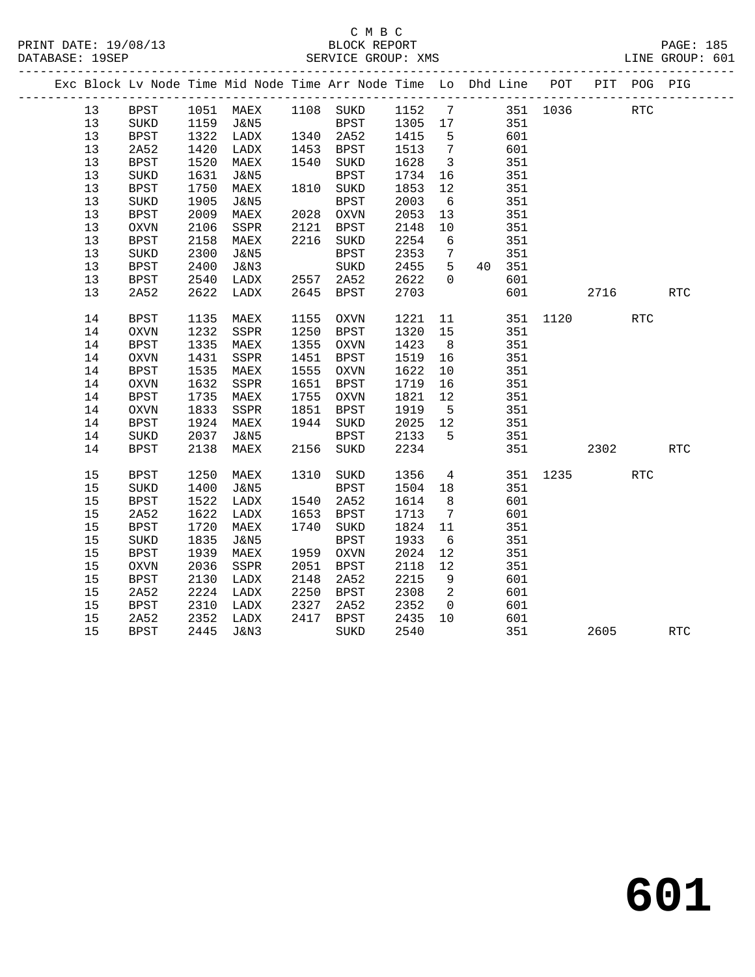## C M B C<br>BLOCK REPORT SERVICE GROUP: XMS

|  |    |             |      | Exc Block Lv Node Time Mid Node Time Arr Node Time Lo Dhd Line POT |      |                |              |                          |                 |                   |                          |      | PIT POG PIG |            |
|--|----|-------------|------|--------------------------------------------------------------------|------|----------------|--------------|--------------------------|-----------------|-------------------|--------------------------|------|-------------|------------|
|  | 13 | BPST        |      | 1051 MAEX 1108 SUKD 1152 7 351 1036<br>1159 J&N5 BPST 1305 17 351  |      |                |              |                          |                 |                   |                          |      | RTC         |            |
|  | 13 | SUKD        |      |                                                                    |      |                |              |                          | 351             |                   |                          |      |             |            |
|  | 13 | <b>BPST</b> |      | 1322 LADX                                                          |      | 1340 2A52 1415 |              | $5^{\circ}$              |                 | 601               |                          |      |             |            |
|  | 13 | 2A52        | 1420 | LADX                                                               |      | 1453 BPST      |              | $\overline{7}$           |                 | $\frac{601}{351}$ |                          |      |             |            |
|  | 13 | <b>BPST</b> | 1520 | MAEX                                                               |      | 1540 SUKD      | 1513<br>1628 | $\overline{\mathbf{3}}$  |                 |                   |                          |      |             |            |
|  | 13 | SUKD        | 1631 | J&N5                                                               |      | BPST           | 1734         | 16                       | 351             |                   |                          |      |             |            |
|  | 13 | <b>BPST</b> | 1750 | MAEX                                                               |      | 1810 SUKD      | 1853         | 12                       |                 | 351               |                          |      |             |            |
|  | 13 | SUKD        | 1905 | J&N5                                                               |      | BPST           | 2003         | 6                        |                 | 351               |                          |      |             |            |
|  | 13 | BPST        | 2009 | MAEX                                                               |      | 2028 OXVN      | 2053         | 13                       |                 | 351               |                          |      |             |            |
|  | 13 | OXVN        | 2106 | SSPR                                                               | 2121 | BPST           | 2148         | 10                       |                 | 351               |                          |      |             |            |
|  | 13 | <b>BPST</b> | 2158 | MAEX                                                               |      | 2216 SUKD      | 2254         | 6                        |                 | 351               |                          |      |             |            |
|  | 13 | $\rm SUKD$  | 2300 | J&N5                                                               |      | <b>BPST</b>    | 2353         | $7\overline{ }$          |                 | 351               |                          |      |             |            |
|  | 13 | BPST        | 2400 | J&N3                                                               |      | SUKD           | 2455         | $5^{\circ}$              |                 | 40 351            |                          |      |             |            |
|  | 13 | BPST        | 2540 | LADX                                                               |      | 2557 2A52      | 2622         | $\overline{0}$           |                 | 601               |                          |      |             |            |
|  | 13 | 2A52        | 2622 | LADX                                                               |      | 2645 BPST      | 2703         |                          |                 | 601               |                          | 2716 |             | RTC        |
|  | 14 | <b>BPST</b> | 1135 | MAEX                                                               | 1155 | OXVN           | 1221         |                          |                 |                   | $\frac{11}{25}$ 351 1120 |      | <b>RTC</b>  |            |
|  | 14 | <b>OXVN</b> | 1232 | SSPR                                                               | 1250 | BPST           | 1320         | 15                       |                 | 351               |                          |      |             |            |
|  | 14 | <b>BPST</b> | 1335 | MAEX                                                               |      | 1355 OXVN      | 1423         | 8 <sup>8</sup>           |                 | 351               |                          |      |             |            |
|  | 14 | <b>OXVN</b> | 1431 | SSPR                                                               | 1451 | BPST           | 1519         | 16                       |                 | 351               |                          |      |             |            |
|  | 14 | <b>BPST</b> | 1535 | MAEX                                                               |      | 1555 OXVN      | 1622         | 10                       |                 | 351               |                          |      |             |            |
|  | 14 | OXVN        | 1632 | SSPR                                                               |      | 1651 BPST      | 1719         | 16                       |                 | 351               |                          |      |             |            |
|  | 14 | <b>BPST</b> | 1735 | MAEX                                                               |      | 1755 OXVN      | 1821         | 12                       |                 | 351               |                          |      |             |            |
|  | 14 | OXVN        | 1833 | SSPR                                                               |      | 1851 BPST      | 1821<br>1919 | 5 <sup>5</sup>           |                 | 351               |                          |      |             |            |
|  | 14 | <b>BPST</b> |      | 1924 MAEX                                                          |      | 1944 SUKD      | 2025         | 12                       |                 | 351               |                          |      |             |            |
|  | 14 | SUKD        | 2037 | J&N5                                                               |      | BPST           | 2133         | $5^{\circ}$              |                 | 351               |                          |      |             |            |
|  | 14 | <b>BPST</b> | 2138 | MAEX                                                               |      | 2156 SUKD      | 2234         |                          |                 | 351               |                          | 2302 |             | RTC        |
|  | 15 | <b>BPST</b> | 1250 | MAEX                                                               | 1310 | SUKD           | 1356         |                          | $4\overline{ }$ |                   | 351 1235                 |      | <b>RTC</b>  |            |
|  | 15 | SUKD        | 1400 | J&N5                                                               |      | BPST           | 1504         | 18                       |                 | 351               |                          |      |             |            |
|  | 15 | <b>BPST</b> | 1522 | LADX                                                               |      | 1540 2A52      | 1614         | 8 <sup>8</sup>           |                 | 601               |                          |      |             |            |
|  | 15 | 2A52        | 1622 | LADX                                                               |      | 1653 BPST      | 1713         | $\overline{7}$           |                 | 601               |                          |      |             |            |
|  | 15 | <b>BPST</b> | 1720 | MAEX                                                               | 1740 | SUKD           | 1824         | 11                       |                 | 351               |                          |      |             |            |
|  | 15 | $\rm SUKD$  | 1835 | J&N5                                                               |      | BPST           | 1933         | 6                        |                 | 351               |                          |      |             |            |
|  | 15 | BPST        | 1939 | MAEX                                                               |      | 1959 OXVN      | 2024         | 12                       |                 | 351               |                          |      |             |            |
|  | 15 | OXVN        | 2036 | SSPR                                                               | 2051 | BPST           | 2118         | 12                       |                 | 351               |                          |      |             |            |
|  | 15 | <b>BPST</b> | 2130 | LADX                                                               | 2148 | 2A52           | 2215         | 9                        |                 | 601               |                          |      |             |            |
|  | 15 | 2A52        | 2224 | LADX                                                               |      | 2250 BPST      | 2308         | $\overline{\phantom{a}}$ |                 | 601               |                          |      |             |            |
|  | 15 | <b>BPST</b> | 2310 | LADX                                                               | 2327 | 2A52           | 2352         | $\overline{0}$           |                 | 601               |                          |      |             |            |
|  | 15 | 2A52        |      | 2352 LADX                                                          |      | 2417 BPST      | 2435         | 10                       |                 | 601               |                          |      |             |            |
|  | 15 | <b>BPST</b> |      | 2445 J&N3                                                          |      | SUKD           | 2540         |                          |                 | 351               |                          | 2605 |             | <b>RTC</b> |